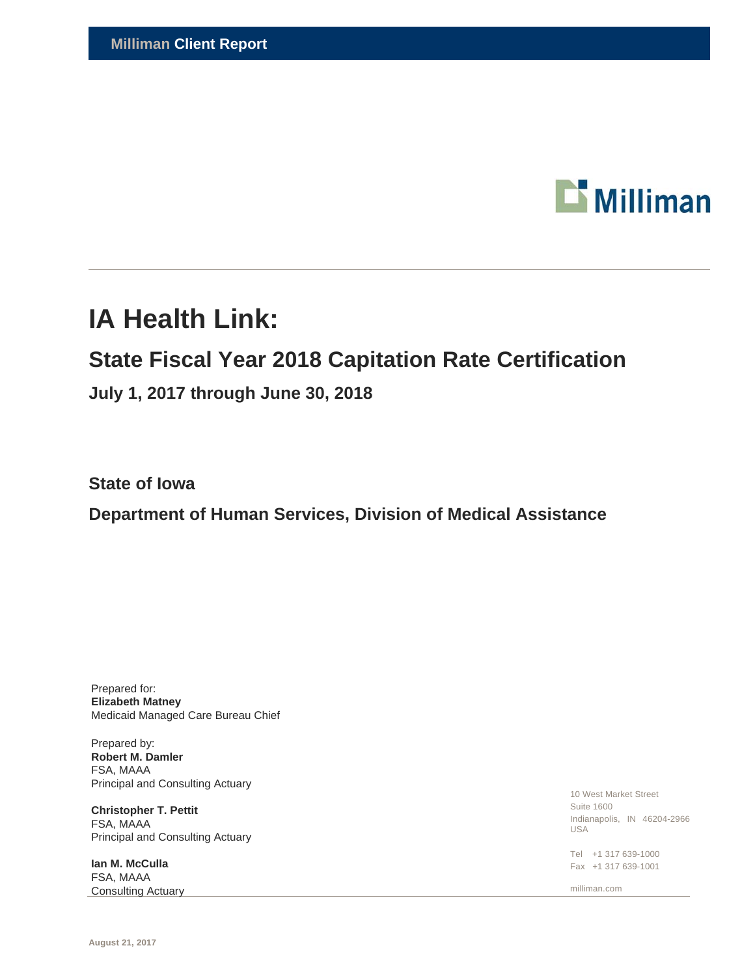

# **IA Health Link:**

# **State Fiscal Year 2018 Capitation Rate Certification**

**July 1, 2017 through June 30, 2018** 

**State of Iowa** 

**Department of Human Services, Division of Medical Assistance** 

Prepared for: **Elizabeth Matney**  Medicaid Managed Care Bureau Chief

Prepared by: **Robert M. Damler**  FSA, MAAA Principal and Consulting Actuary

**Christopher T. Pettit**  FSA, MAAA Principal and Consulting Actuary

**Ian M. McCulla**  FSA, MAAA Consulting Actuary

10 West Market Street Suite 1600 Indianapolis, IN 46204-2966 USA

Tel +1 317 639-1000 Fax +1 317 639-1001

milliman.com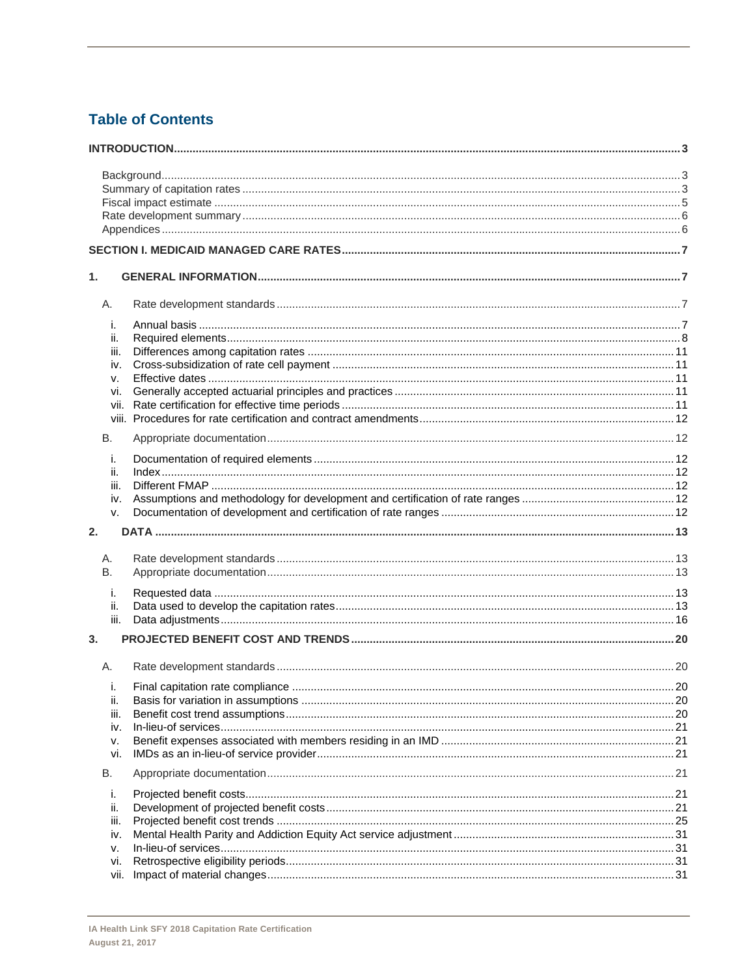# **Table of Contents**

| 1.          |  |
|-------------|--|
| А.          |  |
| i.          |  |
| ii.         |  |
| iii.        |  |
| iv.         |  |
| v.          |  |
| vi.         |  |
| vii.        |  |
|             |  |
| В.          |  |
| i.          |  |
| ii.         |  |
| iii.        |  |
| iv.         |  |
| v.          |  |
| 2.          |  |
| А.          |  |
| <b>B.</b>   |  |
|             |  |
| i.          |  |
| ii.<br>iii. |  |
|             |  |
| 3.          |  |
| A.          |  |
| i.          |  |
| ii.         |  |
| iii.        |  |
| iv.         |  |
| ν.          |  |
| vi.         |  |
| В.          |  |
| i.          |  |
| ii.         |  |
| iii.        |  |
| iv.         |  |
| v.          |  |
| vi.         |  |
| vii.        |  |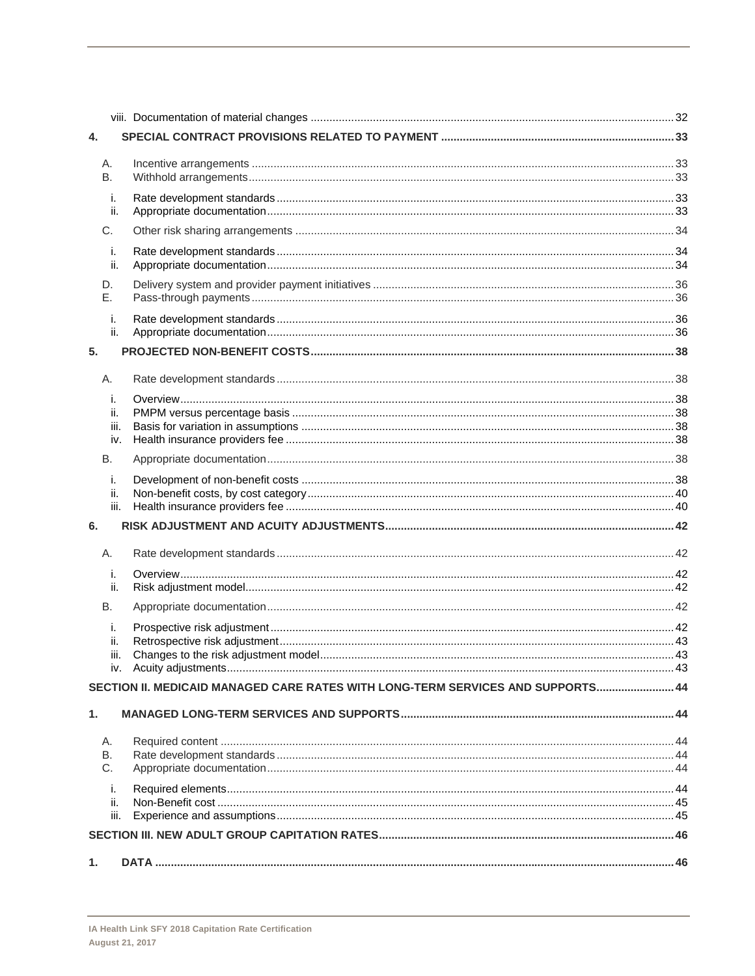| 4.          |                                                                                 |  |
|-------------|---------------------------------------------------------------------------------|--|
| Α.          |                                                                                 |  |
| В.          |                                                                                 |  |
| j.          |                                                                                 |  |
| ii.         |                                                                                 |  |
| C.          |                                                                                 |  |
| j.          |                                                                                 |  |
| ii.         |                                                                                 |  |
| D.<br>Е.    |                                                                                 |  |
|             |                                                                                 |  |
| j.<br>ii.   |                                                                                 |  |
| 5.          |                                                                                 |  |
|             |                                                                                 |  |
| Α.          |                                                                                 |  |
| j.          |                                                                                 |  |
| ii.         |                                                                                 |  |
| iii.<br>iv. |                                                                                 |  |
| В.          |                                                                                 |  |
| j.          |                                                                                 |  |
| ii.         |                                                                                 |  |
| iii.        |                                                                                 |  |
| 6.          |                                                                                 |  |
| А.          |                                                                                 |  |
| i.          |                                                                                 |  |
| ii.         |                                                                                 |  |
| В.          |                                                                                 |  |
| i.          |                                                                                 |  |
| ii.         |                                                                                 |  |
| iii.        |                                                                                 |  |
|             | SECTION II. MEDICAID MANAGED CARE RATES WITH LONG-TERM SERVICES AND SUPPORTS 44 |  |
|             |                                                                                 |  |
| 1.          |                                                                                 |  |
| Α.          |                                                                                 |  |
| В.          |                                                                                 |  |
| C.          |                                                                                 |  |
| j.          |                                                                                 |  |
| ii.         |                                                                                 |  |
| iii.        |                                                                                 |  |
|             |                                                                                 |  |
| 1.          |                                                                                 |  |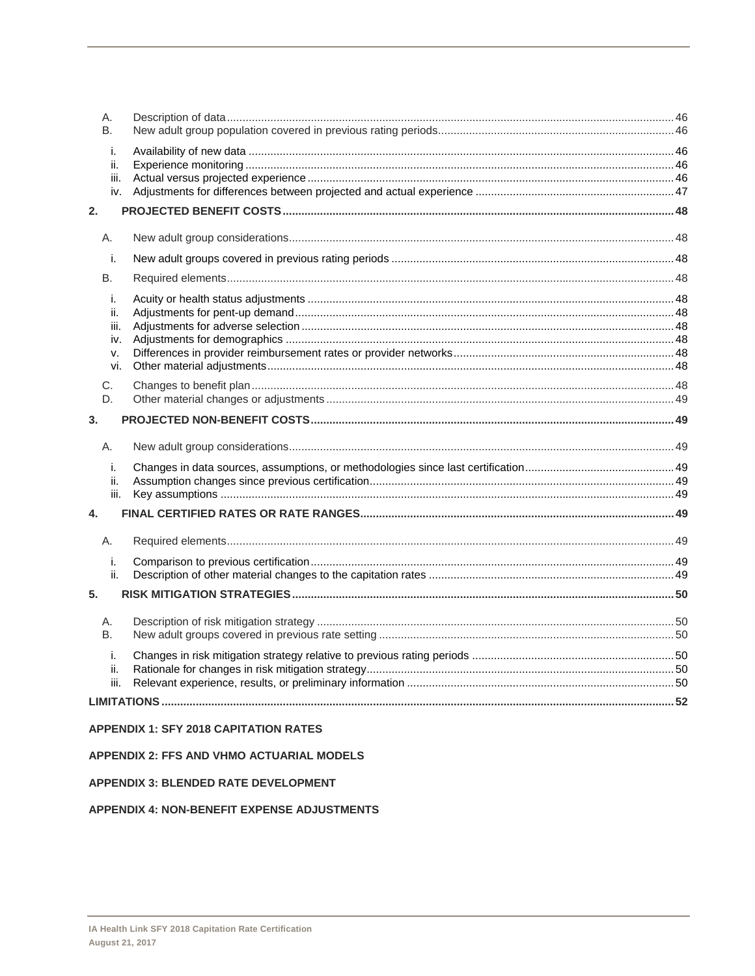| Α.<br>B.                              |                                              |  |
|---------------------------------------|----------------------------------------------|--|
| i.<br>ii.<br>iii.<br>iv.              |                                              |  |
| 2.                                    |                                              |  |
| Α.                                    |                                              |  |
| i.                                    |                                              |  |
| B.                                    |                                              |  |
| i.<br>ii.<br>iii.<br>iv.<br>v.<br>vi. |                                              |  |
| C.<br>D.                              |                                              |  |
| 3.                                    |                                              |  |
| Α.                                    |                                              |  |
| i.<br>ii.<br>iii.                     |                                              |  |
| 4.                                    |                                              |  |
| Α.                                    |                                              |  |
| i.<br>ii.                             |                                              |  |
| 5.                                    |                                              |  |
| А.<br><b>B.</b>                       |                                              |  |
| i.<br>ii.<br>iii.                     |                                              |  |
|                                       |                                              |  |
|                                       | <b>APPENDIX 1: SFY 2018 CAPITATION RATES</b> |  |

## APPENDIX 2: FFS AND VHMO ACTUARIAL MODELS

## **APPENDIX 3: BLENDED RATE DEVELOPMENT**

## **APPENDIX 4: NON-BENEFIT EXPENSE ADJUSTMENTS**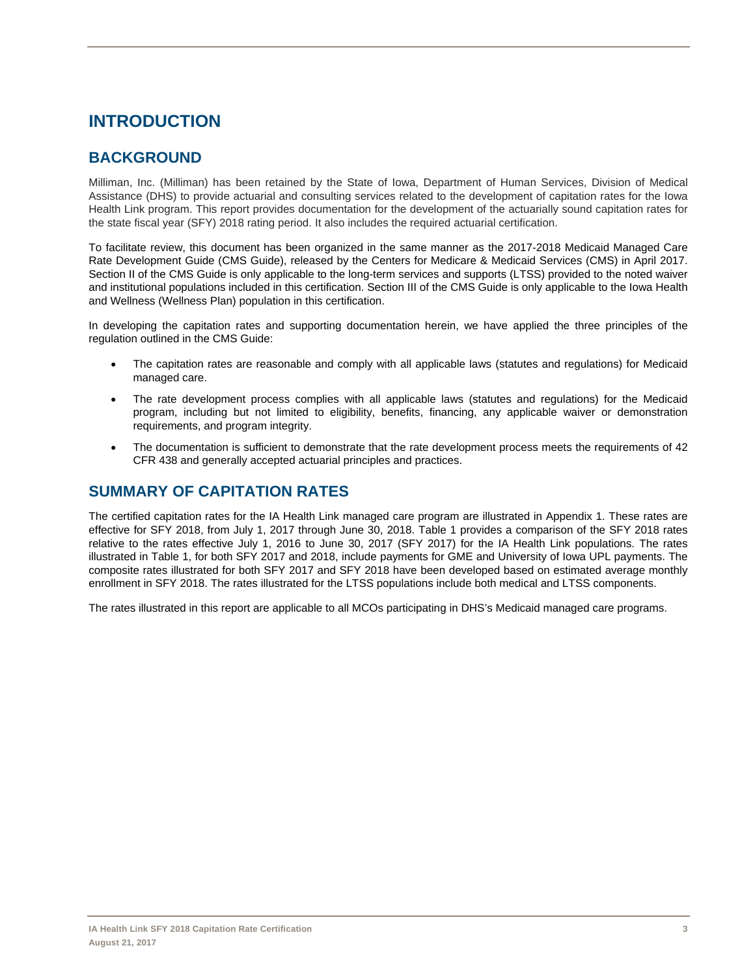# **INTRODUCTION**

# **BACKGROUND**

Milliman, Inc. (Milliman) has been retained by the State of Iowa, Department of Human Services, Division of Medical Assistance (DHS) to provide actuarial and consulting services related to the development of capitation rates for the Iowa Health Link program. This report provides documentation for the development of the actuarially sound capitation rates for the state fiscal year (SFY) 2018 rating period. It also includes the required actuarial certification.

To facilitate review, this document has been organized in the same manner as the 2017-2018 Medicaid Managed Care Rate Development Guide (CMS Guide), released by the Centers for Medicare & Medicaid Services (CMS) in April 2017. Section II of the CMS Guide is only applicable to the long-term services and supports (LTSS) provided to the noted waiver and institutional populations included in this certification. Section III of the CMS Guide is only applicable to the Iowa Health and Wellness (Wellness Plan) population in this certification.

In developing the capitation rates and supporting documentation herein, we have applied the three principles of the regulation outlined in the CMS Guide:

- The capitation rates are reasonable and comply with all applicable laws (statutes and regulations) for Medicaid managed care.
- The rate development process complies with all applicable laws (statutes and regulations) for the Medicaid program, including but not limited to eligibility, benefits, financing, any applicable waiver or demonstration requirements, and program integrity.
- The documentation is sufficient to demonstrate that the rate development process meets the requirements of 42 CFR 438 and generally accepted actuarial principles and practices.

# **SUMMARY OF CAPITATION RATES**

The certified capitation rates for the IA Health Link managed care program are illustrated in Appendix 1. These rates are effective for SFY 2018, from July 1, 2017 through June 30, 2018. Table 1 provides a comparison of the SFY 2018 rates relative to the rates effective July 1, 2016 to June 30, 2017 (SFY 2017) for the IA Health Link populations. The rates illustrated in Table 1, for both SFY 2017 and 2018, include payments for GME and University of Iowa UPL payments. The composite rates illustrated for both SFY 2017 and SFY 2018 have been developed based on estimated average monthly enrollment in SFY 2018. The rates illustrated for the LTSS populations include both medical and LTSS components.

The rates illustrated in this report are applicable to all MCOs participating in DHS's Medicaid managed care programs.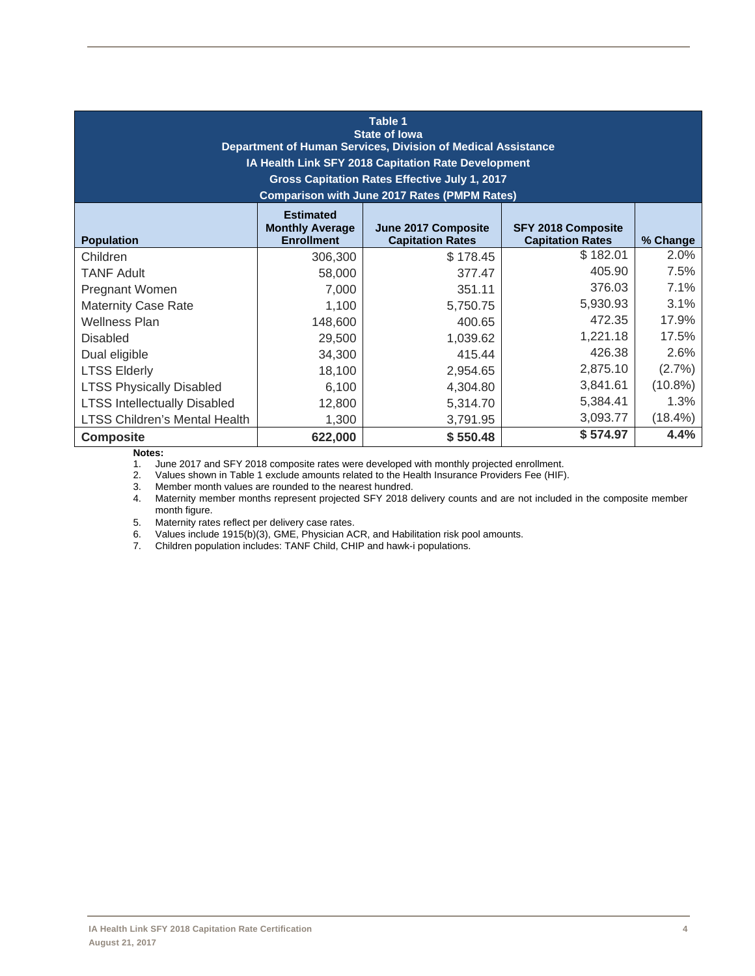| Table 1<br><b>State of lowa</b><br>Department of Human Services, Division of Medical Assistance<br>IA Health Link SFY 2018 Capitation Rate Development<br>Gross Capitation Rates Effective July 1, 2017<br><b>Comparison with June 2017 Rates (PMPM Rates)</b> |                                        |          |          |            |  |  |  |  |
|----------------------------------------------------------------------------------------------------------------------------------------------------------------------------------------------------------------------------------------------------------------|----------------------------------------|----------|----------|------------|--|--|--|--|
| <b>Estimated</b><br><b>Monthly Average</b><br>June 2017 Composite<br><b>SFY 2018 Composite</b><br><b>Enrollment</b><br><b>Capitation Rates</b><br><b>Capitation Rates</b><br>% Change<br><b>Population</b>                                                     |                                        |          |          |            |  |  |  |  |
| Children                                                                                                                                                                                                                                                       | 306,300                                | \$178.45 | \$182.01 | 2.0%       |  |  |  |  |
| <b>TANF Adult</b>                                                                                                                                                                                                                                              | 58,000                                 | 377.47   | 405.90   | 7.5%       |  |  |  |  |
| Pregnant Women                                                                                                                                                                                                                                                 | 7,000                                  | 351.11   | 376.03   | 7.1%       |  |  |  |  |
| <b>Maternity Case Rate</b>                                                                                                                                                                                                                                     | 1,100                                  | 5,750.75 | 5,930.93 | 3.1%       |  |  |  |  |
| <b>Wellness Plan</b>                                                                                                                                                                                                                                           | 148,600                                | 400.65   | 472.35   | 17.9%      |  |  |  |  |
| <b>Disabled</b>                                                                                                                                                                                                                                                | 29,500                                 | 1,039.62 | 1,221.18 | 17.5%      |  |  |  |  |
| Dual eligible                                                                                                                                                                                                                                                  | 34,300                                 | 415.44   | 426.38   | 2.6%       |  |  |  |  |
| <b>LTSS Elderly</b>                                                                                                                                                                                                                                            | 18,100                                 | 2,954.65 | 2,875.10 | (2.7%)     |  |  |  |  |
| <b>LTSS Physically Disabled</b>                                                                                                                                                                                                                                | 6,100                                  | 4,304.80 | 3,841.61 | $(10.8\%)$ |  |  |  |  |
| <b>LTSS Intellectually Disabled</b>                                                                                                                                                                                                                            | 1.3%<br>5,384.41<br>12,800<br>5,314.70 |          |          |            |  |  |  |  |
| <b>LTSS Children's Mental Health</b>                                                                                                                                                                                                                           | 1,300                                  | 3,791.95 | 3,093.77 | $(18.4\%)$ |  |  |  |  |
| <b>Composite</b>                                                                                                                                                                                                                                               | 622,000                                | \$550.48 | \$574.97 | 4.4%       |  |  |  |  |

#### **Notes:**

1. June 2017 and SFY 2018 composite rates were developed with monthly projected enrollment.<br>2. Values shown in Table 1 exclude amounts related to the Health Insurance Providers Fee (HIF)

2. Values shown in Table 1 exclude amounts related to the Health Insurance Providers Fee (HIF).

3. Member month values are rounded to the nearest hundred.<br>4. Maternity member months represent projected SFY 2018 d

4. Maternity member months represent projected SFY 2018 delivery counts and are not included in the composite member month figure.

5. Maternity rates reflect per delivery case rates.

6. Values include 1915(b)(3), GME, Physician ACR, and Habilitation risk pool amounts.

7. Children population includes: TANF Child, CHIP and hawk-i populations.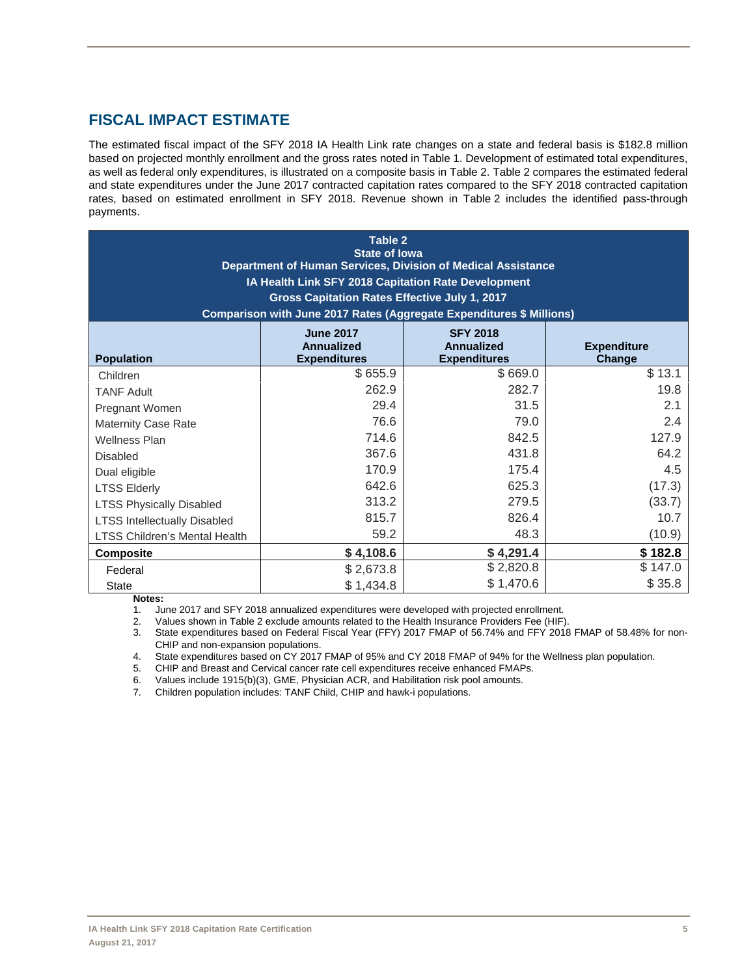# **FISCAL IMPACT ESTIMATE**

The estimated fiscal impact of the SFY 2018 IA Health Link rate changes on a state and federal basis is \$182.8 million based on projected monthly enrollment and the gross rates noted in Table 1. Development of estimated total expenditures, as well as federal only expenditures, is illustrated on a composite basis in Table 2. Table 2 compares the estimated federal and state expenditures under the June 2017 contracted capitation rates compared to the SFY 2018 contracted capitation rates, based on estimated enrollment in SFY 2018. Revenue shown in Table 2 includes the identified pass-through payments.

| <b>Table 2</b><br><b>State of lowa</b><br>Department of Human Services, Division of Medical Assistance<br>IA Health Link SFY 2018 Capitation Rate Development<br>Gross Capitation Rates Effective July 1, 2017<br>Comparison with June 2017 Rates (Aggregate Expenditures \$ Millions) |           |           |         |  |  |  |  |
|----------------------------------------------------------------------------------------------------------------------------------------------------------------------------------------------------------------------------------------------------------------------------------------|-----------|-----------|---------|--|--|--|--|
| <b>June 2017</b><br><b>SFY 2018</b><br><b>Annualized</b><br><b>Expenditure</b><br>Annualized<br><b>Population</b><br><b>Expenditures</b><br><b>Expenditures</b><br>Change                                                                                                              |           |           |         |  |  |  |  |
| Children                                                                                                                                                                                                                                                                               | \$655.9   | \$669.0   | \$13.1  |  |  |  |  |
| <b>TANF Adult</b>                                                                                                                                                                                                                                                                      | 262.9     | 282.7     | 19.8    |  |  |  |  |
| Pregnant Women                                                                                                                                                                                                                                                                         | 29.4      | 31.5      | 2.1     |  |  |  |  |
| <b>Maternity Case Rate</b>                                                                                                                                                                                                                                                             | 76.6      | 79.0      | 2.4     |  |  |  |  |
| <b>Wellness Plan</b>                                                                                                                                                                                                                                                                   | 714.6     | 842.5     | 127.9   |  |  |  |  |
| <b>Disabled</b>                                                                                                                                                                                                                                                                        | 367.6     | 431.8     | 64.2    |  |  |  |  |
| Dual eligible                                                                                                                                                                                                                                                                          | 170.9     | 175.4     | 4.5     |  |  |  |  |
| <b>LTSS Elderly</b>                                                                                                                                                                                                                                                                    | 642.6     | 625.3     | (17.3)  |  |  |  |  |
| <b>LTSS Physically Disabled</b>                                                                                                                                                                                                                                                        | 313.2     | 279.5     | (33.7)  |  |  |  |  |
| <b>LTSS Intellectually Disabled</b>                                                                                                                                                                                                                                                    | 815.7     | 826.4     | 10.7    |  |  |  |  |
| 59.2<br>48.3<br>(10.9)<br>LTSS Children's Mental Health                                                                                                                                                                                                                                |           |           |         |  |  |  |  |
| \$4,108.6<br>\$4,291.4<br>\$182.8<br><b>Composite</b>                                                                                                                                                                                                                                  |           |           |         |  |  |  |  |
| Federal                                                                                                                                                                                                                                                                                | \$2,673.8 | \$2,820.8 | \$147.0 |  |  |  |  |
| <b>State</b>                                                                                                                                                                                                                                                                           | \$1,434.8 | \$1,470.6 | \$35.8  |  |  |  |  |

**Notes:** 

1. June 2017 and SFY 2018 annualized expenditures were developed with projected enrollment.

2. Values shown in Table 2 exclude amounts related to the Health Insurance Providers Fee (HIF).

3. State expenditures based on Federal Fiscal Year (FFY) 2017 FMAP of 56.74% and FFY 2018 FMAP of 58.48% for non-CHIP and non-expansion populations.

4. State expenditures based on CY 2017 FMAP of 95% and CY 2018 FMAP of 94% for the Wellness plan population.

5. CHIP and Breast and Cervical cancer rate cell expenditures receive enhanced FMAPs.

6. Values include 1915(b)(3), GME, Physician ACR, and Habilitation risk pool amounts.

7. Children population includes: TANF Child, CHIP and hawk-i populations.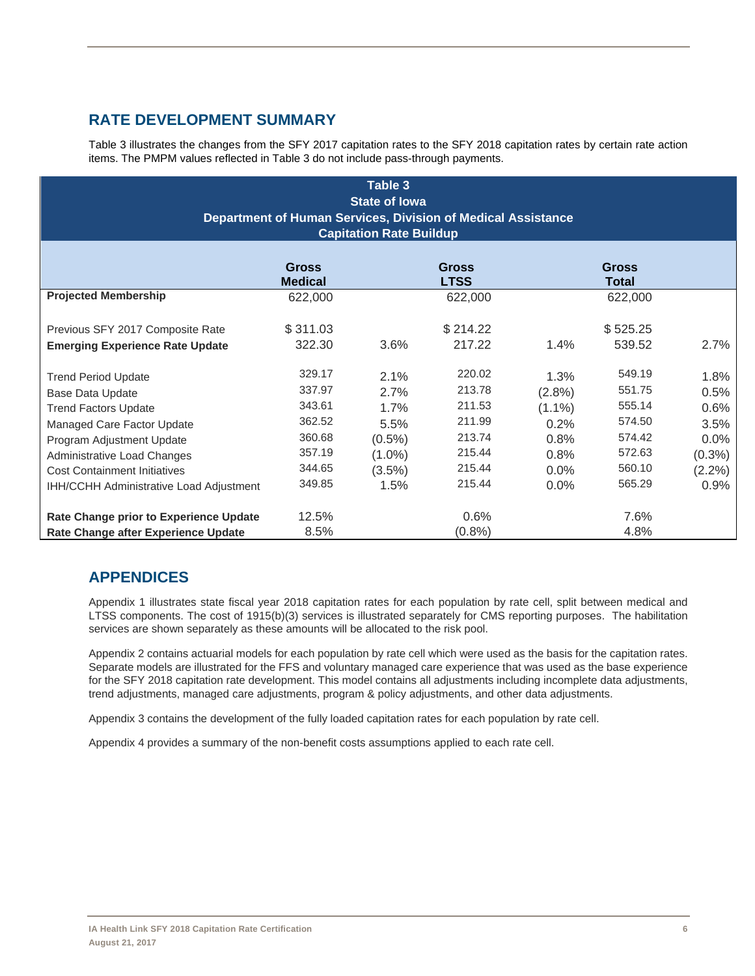# **RATE DEVELOPMENT SUMMARY**

Table 3 illustrates the changes from the SFY 2017 capitation rates to the SFY 2018 capitation rates by certain rate action items. The PMPM values reflected in Table 3 do not include pass-through payments.

| Table 3<br><b>State of lowa</b><br>Department of Human Services, Division of Medical Assistance<br><b>Capitation Rate Buildup</b> |          |           |          |           |          |           |  |  |
|-----------------------------------------------------------------------------------------------------------------------------------|----------|-----------|----------|-----------|----------|-----------|--|--|
| <b>Gross</b><br><b>Gross</b><br>Gross<br><b>LTSS</b><br><b>Medical</b><br><b>Total</b>                                            |          |           |          |           |          |           |  |  |
| <b>Projected Membership</b>                                                                                                       | 622,000  |           | 622,000  |           | 622,000  |           |  |  |
| Previous SFY 2017 Composite Rate                                                                                                  | \$311.03 |           | \$214.22 |           | \$525.25 |           |  |  |
| <b>Emerging Experience Rate Update</b>                                                                                            | 322.30   | 3.6%      | 217.22   | 1.4%      | 539.52   | 2.7%      |  |  |
| <b>Trend Period Update</b>                                                                                                        | 329.17   | 2.1%      | 220.02   | 1.3%      | 549.19   | 1.8%      |  |  |
| Base Data Update                                                                                                                  | 337.97   | 2.7%      | 213.78   | (2.8%)    | 551.75   | 0.5%      |  |  |
| <b>Trend Factors Update</b>                                                                                                       | 343.61   | 1.7%      | 211.53   | $(1.1\%)$ | 555.14   | $0.6\%$   |  |  |
| Managed Care Factor Update                                                                                                        | 362.52   | 5.5%      | 211.99   | 0.2%      | 574.50   | 3.5%      |  |  |
| Program Adjustment Update                                                                                                         | 360.68   | $(0.5\%)$ | 213.74   | 0.8%      | 574.42   | 0.0%      |  |  |
| Administrative Load Changes                                                                                                       | 357.19   | $(1.0\%)$ | 215.44   | 0.8%      | 572.63   | $(0.3\%)$ |  |  |
| <b>Cost Containment Initiatives</b>                                                                                               | 344.65   | $(3.5\%)$ | 215.44   | 0.0%      | 560.10   | $(2.2\%)$ |  |  |
| IHH/CCHH Administrative Load Adjustment                                                                                           | 349.85   | 1.5%      | 215.44   | 0.0%      | 565.29   | 0.9%      |  |  |
| Rate Change prior to Experience Update                                                                                            | 12.5%    |           | 0.6%     |           | 7.6%     |           |  |  |
| <b>Rate Change after Experience Update</b>                                                                                        | 8.5%     |           | (0.8%    |           | 4.8%     |           |  |  |

# **APPENDICES**

Appendix 1 illustrates state fiscal year 2018 capitation rates for each population by rate cell, split between medical and LTSS components. The cost of 1915(b)(3) services is illustrated separately for CMS reporting purposes. The habilitation services are shown separately as these amounts will be allocated to the risk pool.

Appendix 2 contains actuarial models for each population by rate cell which were used as the basis for the capitation rates. Separate models are illustrated for the FFS and voluntary managed care experience that was used as the base experience for the SFY 2018 capitation rate development. This model contains all adjustments including incomplete data adjustments, trend adjustments, managed care adjustments, program & policy adjustments, and other data adjustments.

Appendix 3 contains the development of the fully loaded capitation rates for each population by rate cell.

Appendix 4 provides a summary of the non-benefit costs assumptions applied to each rate cell.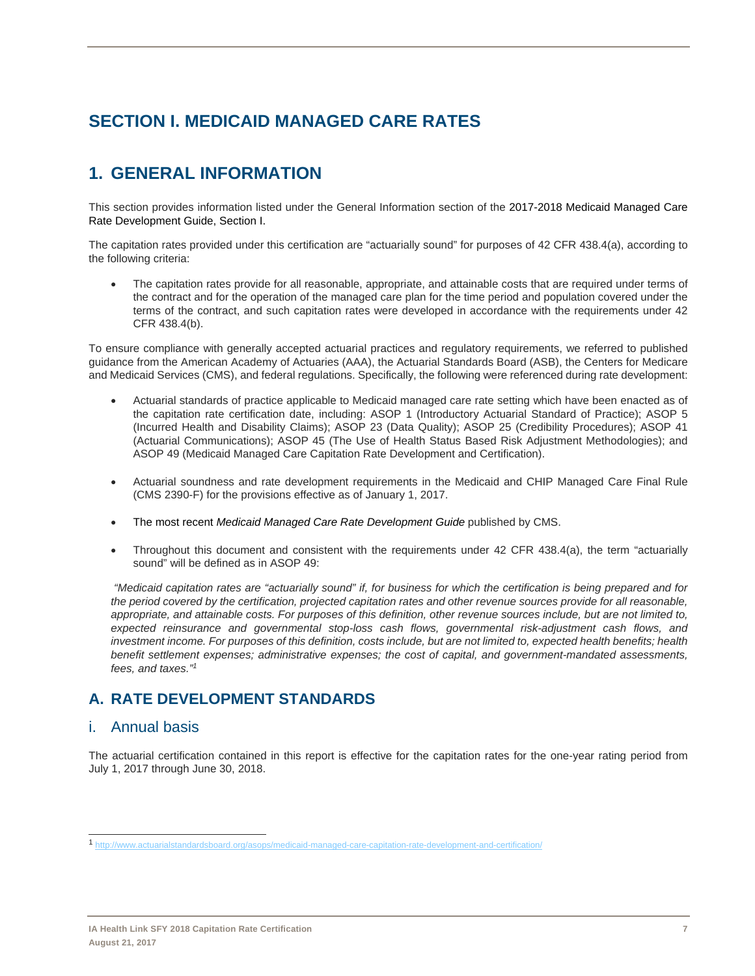# **SECTION I. MEDICAID MANAGED CARE RATES**

# **1. GENERAL INFORMATION**

This section provides information listed under the General Information section of the 2017-2018 Medicaid Managed Care Rate Development Guide, Section I.

The capitation rates provided under this certification are "actuarially sound" for purposes of 42 CFR 438.4(a), according to the following criteria:

 The capitation rates provide for all reasonable, appropriate, and attainable costs that are required under terms of the contract and for the operation of the managed care plan for the time period and population covered under the terms of the contract, and such capitation rates were developed in accordance with the requirements under 42 CFR 438.4(b).

To ensure compliance with generally accepted actuarial practices and regulatory requirements, we referred to published guidance from the American Academy of Actuaries (AAA), the Actuarial Standards Board (ASB), the Centers for Medicare and Medicaid Services (CMS), and federal regulations. Specifically, the following were referenced during rate development:

- Actuarial standards of practice applicable to Medicaid managed care rate setting which have been enacted as of the capitation rate certification date, including: ASOP 1 (Introductory Actuarial Standard of Practice); ASOP 5 (Incurred Health and Disability Claims); ASOP 23 (Data Quality); ASOP 25 (Credibility Procedures); ASOP 41 (Actuarial Communications); ASOP 45 (The Use of Health Status Based Risk Adjustment Methodologies); and ASOP 49 (Medicaid Managed Care Capitation Rate Development and Certification).
- Actuarial soundness and rate development requirements in the Medicaid and CHIP Managed Care Final Rule (CMS 2390-F) for the provisions effective as of January 1, 2017.
- The most recent *Medicaid Managed Care Rate Development Guide* published by CMS.
- Throughout this document and consistent with the requirements under 42 CFR 438.4(a), the term "actuarially sound" will be defined as in ASOP 49:

 *"Medicaid capitation rates are "actuarially sound" if, for business for which the certification is being prepared and for the period covered by the certification, projected capitation rates and other revenue sources provide for all reasonable, appropriate, and attainable costs. For purposes of this definition, other revenue sources include, but are not limited to, expected reinsurance and governmental stop-loss cash flows, governmental risk-adjustment cash flows, and investment income. For purposes of this definition, costs include, but are not limited to, expected health benefits; health benefit settlement expenses; administrative expenses; the cost of capital, and government-mandated assessments, fees, and taxes."1*

# **A. RATE DEVELOPMENT STANDARDS**

## i. Annual basis

 $\overline{a}$ 

The actuarial certification contained in this report is effective for the capitation rates for the one-year rating period from July 1, 2017 through June 30, 2018.

<sup>1</sup> http://www.actuarialstandardsboard.org/asops/medicaid-managed-care-capitation-rate-development-and-certification/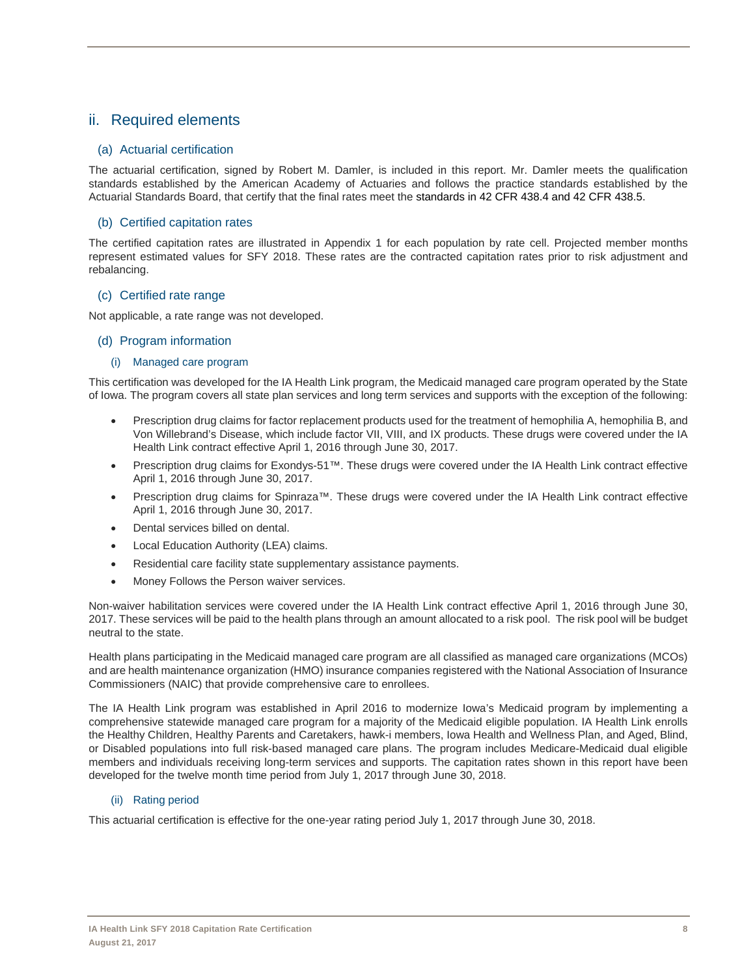# ii. Required elements

## (a) Actuarial certification

The actuarial certification, signed by Robert M. Damler, is included in this report. Mr. Damler meets the qualification standards established by the American Academy of Actuaries and follows the practice standards established by the Actuarial Standards Board, that certify that the final rates meet the standards in 42 CFR 438.4 and 42 CFR 438.5.

## (b) Certified capitation rates

The certified capitation rates are illustrated in Appendix 1 for each population by rate cell. Projected member months represent estimated values for SFY 2018. These rates are the contracted capitation rates prior to risk adjustment and rebalancing.

## (c) Certified rate range

Not applicable, a rate range was not developed.

## (d) Program information

#### (i) Managed care program

This certification was developed for the IA Health Link program, the Medicaid managed care program operated by the State of Iowa. The program covers all state plan services and long term services and supports with the exception of the following:

- Prescription drug claims for factor replacement products used for the treatment of hemophilia A, hemophilia B, and Von Willebrand's Disease, which include factor VII, VIII, and IX products. These drugs were covered under the IA Health Link contract effective April 1, 2016 through June 30, 2017.
- Prescription drug claims for Exondys-51™. These drugs were covered under the IA Health Link contract effective April 1, 2016 through June 30, 2017.
- Prescription drug claims for Spinraza™. These drugs were covered under the IA Health Link contract effective April 1, 2016 through June 30, 2017.
- Dental services billed on dental.
- Local Education Authority (LEA) claims.
- Residential care facility state supplementary assistance payments.
- Money Follows the Person waiver services.

Non-waiver habilitation services were covered under the IA Health Link contract effective April 1, 2016 through June 30, 2017. These services will be paid to the health plans through an amount allocated to a risk pool. The risk pool will be budget neutral to the state.

Health plans participating in the Medicaid managed care program are all classified as managed care organizations (MCOs) and are health maintenance organization (HMO) insurance companies registered with the National Association of Insurance Commissioners (NAIC) that provide comprehensive care to enrollees.

The IA Health Link program was established in April 2016 to modernize Iowa's Medicaid program by implementing a comprehensive statewide managed care program for a majority of the Medicaid eligible population. IA Health Link enrolls the Healthy Children, Healthy Parents and Caretakers, hawk-i members, Iowa Health and Wellness Plan, and Aged, Blind, or Disabled populations into full risk-based managed care plans. The program includes Medicare-Medicaid dual eligible members and individuals receiving long-term services and supports. The capitation rates shown in this report have been developed for the twelve month time period from July 1, 2017 through June 30, 2018.

## (ii) Rating period

This actuarial certification is effective for the one-year rating period July 1, 2017 through June 30, 2018.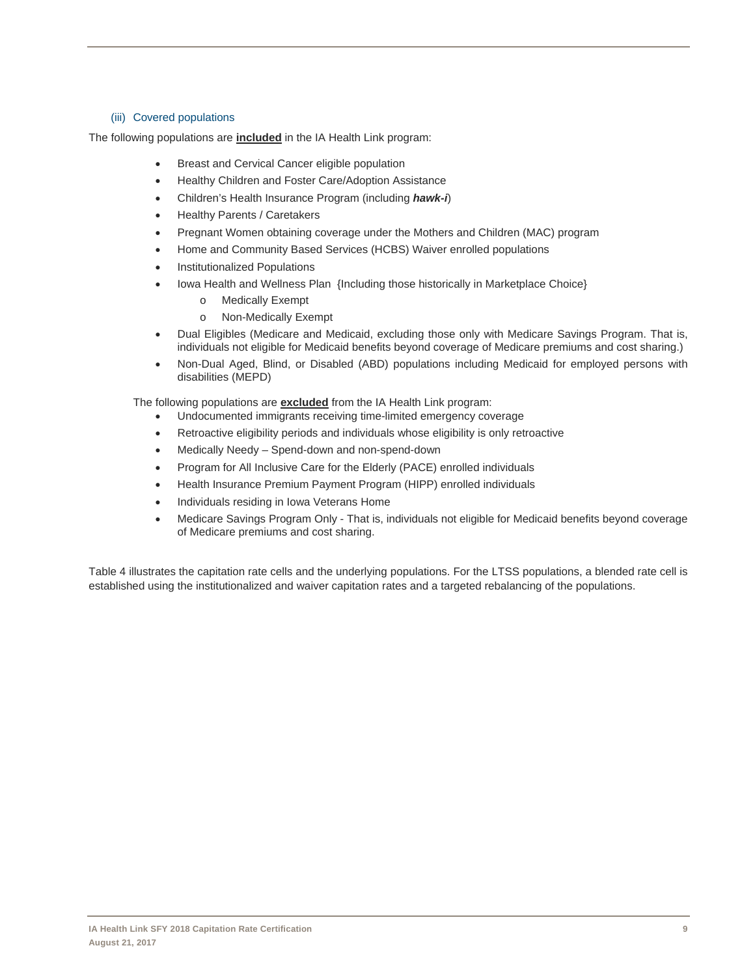#### (iii) Covered populations

The following populations are **included** in the IA Health Link program:

- **•** Breast and Cervical Cancer eligible population
- Healthy Children and Foster Care/Adoption Assistance
- Children's Health Insurance Program (including *hawk-i*)
- Healthy Parents / Caretakers
- Pregnant Women obtaining coverage under the Mothers and Children (MAC) program
- Home and Community Based Services (HCBS) Waiver enrolled populations
- Institutionalized Populations
- Iowa Health and Wellness Plan {Including those historically in Marketplace Choice}
	- o Medically Exempt
	- o Non-Medically Exempt
- Dual Eligibles (Medicare and Medicaid, excluding those only with Medicare Savings Program. That is, individuals not eligible for Medicaid benefits beyond coverage of Medicare premiums and cost sharing.)
- Non-Dual Aged, Blind, or Disabled (ABD) populations including Medicaid for employed persons with disabilities (MEPD)

The following populations are **excluded** from the IA Health Link program:

- Undocumented immigrants receiving time-limited emergency coverage
- Retroactive eligibility periods and individuals whose eligibility is only retroactive
- Medically Needy Spend-down and non-spend-down
- Program for All Inclusive Care for the Elderly (PACE) enrolled individuals
- Health Insurance Premium Payment Program (HIPP) enrolled individuals
- Individuals residing in Iowa Veterans Home
- Medicare Savings Program Only That is, individuals not eligible for Medicaid benefits beyond coverage of Medicare premiums and cost sharing.

Table 4 illustrates the capitation rate cells and the underlying populations. For the LTSS populations, a blended rate cell is established using the institutionalized and waiver capitation rates and a targeted rebalancing of the populations.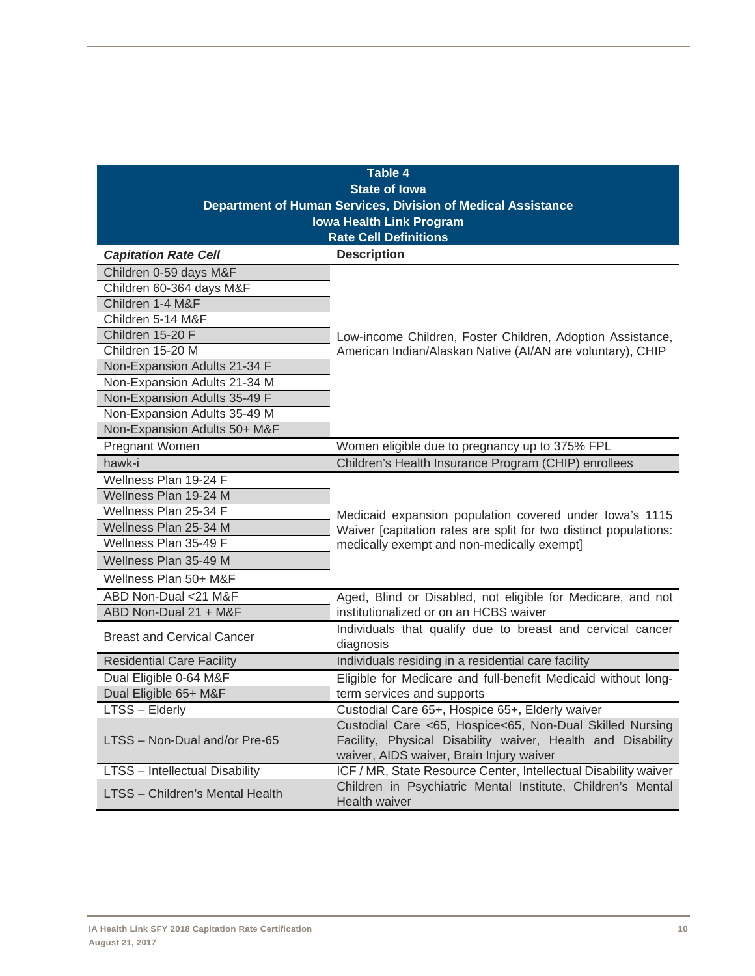|                                   | <b>Table 4</b><br><b>State of lowa</b>                                                                                                                              |  |  |  |
|-----------------------------------|---------------------------------------------------------------------------------------------------------------------------------------------------------------------|--|--|--|
|                                   |                                                                                                                                                                     |  |  |  |
|                                   | Department of Human Services, Division of Medical Assistance                                                                                                        |  |  |  |
|                                   | <b>Iowa Health Link Program</b><br><b>Rate Cell Definitions</b>                                                                                                     |  |  |  |
| <b>Capitation Rate Cell</b>       | <b>Description</b>                                                                                                                                                  |  |  |  |
| Children 0-59 days M&F            |                                                                                                                                                                     |  |  |  |
| Children 60-364 days M&F          |                                                                                                                                                                     |  |  |  |
| Children 1-4 M&F                  |                                                                                                                                                                     |  |  |  |
| Children 5-14 M&F                 |                                                                                                                                                                     |  |  |  |
| Children 15-20 F                  | Low-income Children, Foster Children, Adoption Assistance,                                                                                                          |  |  |  |
| Children 15-20 M                  | American Indian/Alaskan Native (Al/AN are voluntary), CHIP                                                                                                          |  |  |  |
| Non-Expansion Adults 21-34 F      |                                                                                                                                                                     |  |  |  |
| Non-Expansion Adults 21-34 M      |                                                                                                                                                                     |  |  |  |
| Non-Expansion Adults 35-49 F      |                                                                                                                                                                     |  |  |  |
| Non-Expansion Adults 35-49 M      |                                                                                                                                                                     |  |  |  |
| Non-Expansion Adults 50+ M&F      |                                                                                                                                                                     |  |  |  |
| Pregnant Women                    | Women eligible due to pregnancy up to 375% FPL                                                                                                                      |  |  |  |
| hawk-i                            | Children's Health Insurance Program (CHIP) enrollees                                                                                                                |  |  |  |
| Wellness Plan 19-24 F             |                                                                                                                                                                     |  |  |  |
| Wellness Plan 19-24 M             |                                                                                                                                                                     |  |  |  |
| Wellness Plan 25-34 F             | Medicaid expansion population covered under lowa's 1115                                                                                                             |  |  |  |
| Wellness Plan 25-34 M             | Waiver [capitation rates are split for two distinct populations:                                                                                                    |  |  |  |
| Wellness Plan 35-49 F             | medically exempt and non-medically exempt]                                                                                                                          |  |  |  |
| Wellness Plan 35-49 M             |                                                                                                                                                                     |  |  |  |
| Wellness Plan 50+ M&F             |                                                                                                                                                                     |  |  |  |
| ABD Non-Dual <21 M&F              | Aged, Blind or Disabled, not eligible for Medicare, and not                                                                                                         |  |  |  |
| ABD Non-Dual 21 + M&F             | institutionalized or on an HCBS waiver                                                                                                                              |  |  |  |
| <b>Breast and Cervical Cancer</b> | Individuals that qualify due to breast and cervical cancer<br>diagnosis                                                                                             |  |  |  |
| <b>Residential Care Facility</b>  | Individuals residing in a residential care facility                                                                                                                 |  |  |  |
| Dual Eligible 0-64 M&F            | Eligible for Medicare and full-benefit Medicaid without long-                                                                                                       |  |  |  |
| Dual Eligible 65+ M&F             | term services and supports                                                                                                                                          |  |  |  |
| LTSS – Elderly                    | Custodial Care 65+, Hospice 65+, Elderly waiver                                                                                                                     |  |  |  |
| LTSS - Non-Dual and/or Pre-65     | Custodial Care <65, Hospice<65, Non-Dual Skilled Nursing<br>Facility, Physical Disability waiver, Health and Disability<br>waiver, AIDS waiver, Brain Injury waiver |  |  |  |
| LTSS - Intellectual Disability    | ICF / MR, State Resource Center, Intellectual Disability waiver                                                                                                     |  |  |  |
| LTSS - Children's Mental Health   | Children in Psychiatric Mental Institute, Children's Mental<br>Health waiver                                                                                        |  |  |  |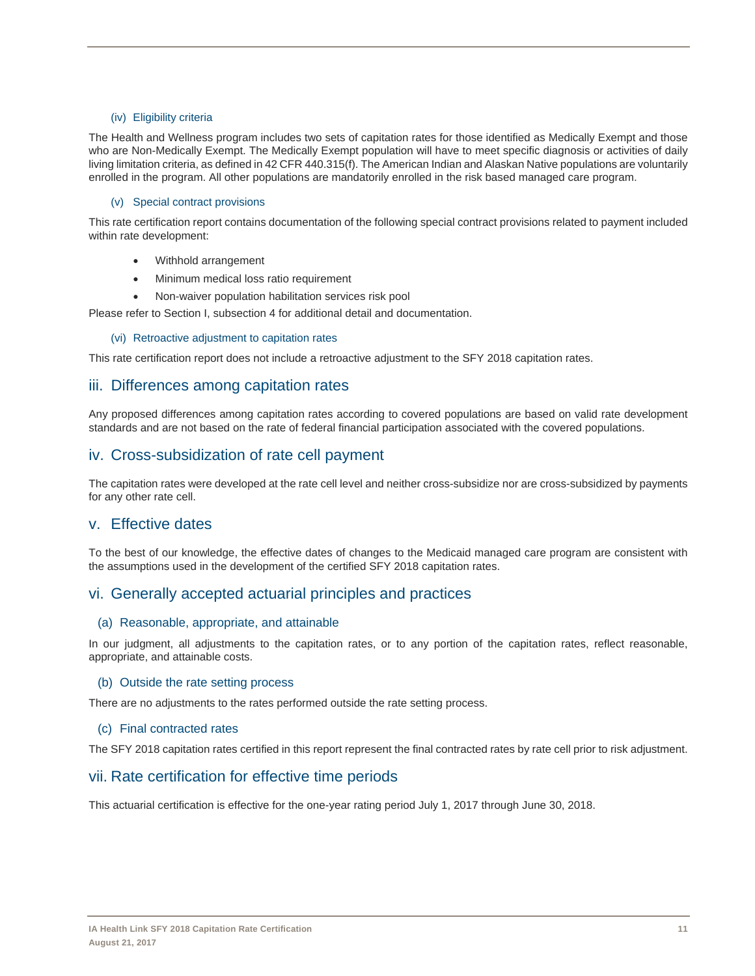#### (iv) Eligibility criteria

The Health and Wellness program includes two sets of capitation rates for those identified as Medically Exempt and those who are Non-Medically Exempt. The Medically Exempt population will have to meet specific diagnosis or activities of daily living limitation criteria, as defined in 42 CFR 440.315(f). The American Indian and Alaskan Native populations are voluntarily enrolled in the program. All other populations are mandatorily enrolled in the risk based managed care program.

#### (v) Special contract provisions

This rate certification report contains documentation of the following special contract provisions related to payment included within rate development:

- Withhold arrangement
- Minimum medical loss ratio requirement
- Non-waiver population habilitation services risk pool

Please refer to Section I, subsection 4 for additional detail and documentation.

#### (vi) Retroactive adjustment to capitation rates

This rate certification report does not include a retroactive adjustment to the SFY 2018 capitation rates.

## iii. Differences among capitation rates

Any proposed differences among capitation rates according to covered populations are based on valid rate development standards and are not based on the rate of federal financial participation associated with the covered populations.

## iv. Cross-subsidization of rate cell payment

The capitation rates were developed at the rate cell level and neither cross-subsidize nor are cross-subsidized by payments for any other rate cell.

## v. Effective dates

To the best of our knowledge, the effective dates of changes to the Medicaid managed care program are consistent with the assumptions used in the development of the certified SFY 2018 capitation rates.

## vi. Generally accepted actuarial principles and practices

#### (a) Reasonable, appropriate, and attainable

In our judgment, all adjustments to the capitation rates, or to any portion of the capitation rates, reflect reasonable, appropriate, and attainable costs.

#### (b) Outside the rate setting process

There are no adjustments to the rates performed outside the rate setting process.

#### (c) Final contracted rates

The SFY 2018 capitation rates certified in this report represent the final contracted rates by rate cell prior to risk adjustment.

## vii. Rate certification for effective time periods

This actuarial certification is effective for the one-year rating period July 1, 2017 through June 30, 2018.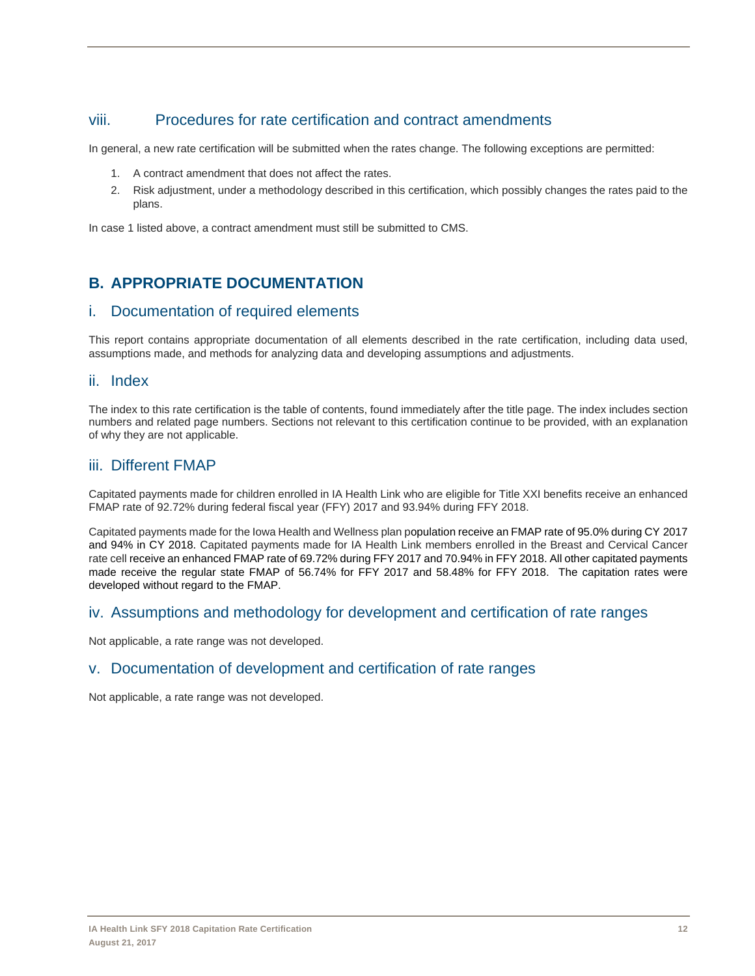# viii. Procedures for rate certification and contract amendments

In general, a new rate certification will be submitted when the rates change. The following exceptions are permitted:

- 1. A contract amendment that does not affect the rates.
- 2. Risk adjustment, under a methodology described in this certification, which possibly changes the rates paid to the plans.

In case 1 listed above, a contract amendment must still be submitted to CMS.

# **B. APPROPRIATE DOCUMENTATION**

## i. Documentation of required elements

This report contains appropriate documentation of all elements described in the rate certification, including data used, assumptions made, and methods for analyzing data and developing assumptions and adjustments.

## ii. Index

The index to this rate certification is the table of contents, found immediately after the title page. The index includes section numbers and related page numbers. Sections not relevant to this certification continue to be provided, with an explanation of why they are not applicable.

## iii. Different FMAP

Capitated payments made for children enrolled in IA Health Link who are eligible for Title XXI benefits receive an enhanced FMAP rate of 92.72% during federal fiscal year (FFY) 2017 and 93.94% during FFY 2018.

Capitated payments made for the Iowa Health and Wellness plan population receive an FMAP rate of 95.0% during CY 2017 and 94% in CY 2018. Capitated payments made for IA Health Link members enrolled in the Breast and Cervical Cancer rate cell receive an enhanced FMAP rate of 69.72% during FFY 2017 and 70.94% in FFY 2018. All other capitated payments made receive the regular state FMAP of 56.74% for FFY 2017 and 58.48% for FFY 2018. The capitation rates were developed without regard to the FMAP.

## iv. Assumptions and methodology for development and certification of rate ranges

Not applicable, a rate range was not developed.

## v. Documentation of development and certification of rate ranges

Not applicable, a rate range was not developed.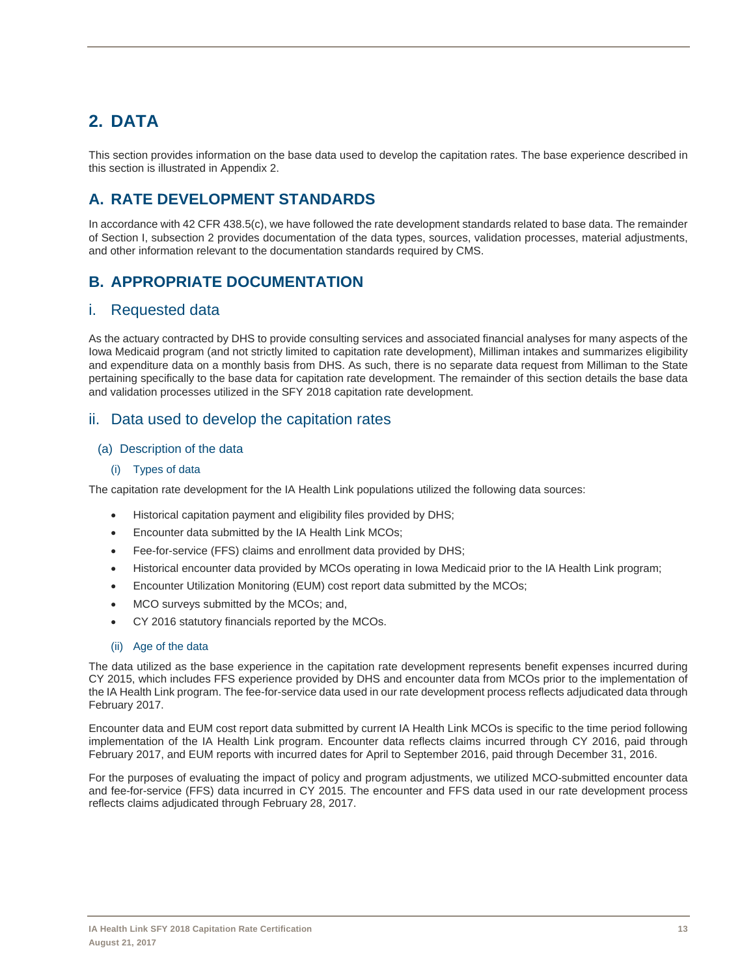# **2. DATA**

This section provides information on the base data used to develop the capitation rates. The base experience described in this section is illustrated in Appendix 2.

# **A. RATE DEVELOPMENT STANDARDS**

In accordance with 42 CFR 438.5(c), we have followed the rate development standards related to base data. The remainder of Section I, subsection 2 provides documentation of the data types, sources, validation processes, material adjustments, and other information relevant to the documentation standards required by CMS.

# **B. APPROPRIATE DOCUMENTATION**

# i. Requested data

As the actuary contracted by DHS to provide consulting services and associated financial analyses for many aspects of the Iowa Medicaid program (and not strictly limited to capitation rate development), Milliman intakes and summarizes eligibility and expenditure data on a monthly basis from DHS. As such, there is no separate data request from Milliman to the State pertaining specifically to the base data for capitation rate development. The remainder of this section details the base data and validation processes utilized in the SFY 2018 capitation rate development.

# ii. Data used to develop the capitation rates

## (a) Description of the data

## (i) Types of data

The capitation rate development for the IA Health Link populations utilized the following data sources:

- Historical capitation payment and eligibility files provided by DHS;
- Encounter data submitted by the IA Health Link MCOs;
- Fee-for-service (FFS) claims and enrollment data provided by DHS;
- Historical encounter data provided by MCOs operating in Iowa Medicaid prior to the IA Health Link program;
- Encounter Utilization Monitoring (EUM) cost report data submitted by the MCOs;
- MCO surveys submitted by the MCOs; and,
- CY 2016 statutory financials reported by the MCOs.

## (ii) Age of the data

The data utilized as the base experience in the capitation rate development represents benefit expenses incurred during CY 2015, which includes FFS experience provided by DHS and encounter data from MCOs prior to the implementation of the IA Health Link program. The fee-for-service data used in our rate development process reflects adjudicated data through February 2017.

Encounter data and EUM cost report data submitted by current IA Health Link MCOs is specific to the time period following implementation of the IA Health Link program. Encounter data reflects claims incurred through CY 2016, paid through February 2017, and EUM reports with incurred dates for April to September 2016, paid through December 31, 2016.

For the purposes of evaluating the impact of policy and program adjustments, we utilized MCO-submitted encounter data and fee-for-service (FFS) data incurred in CY 2015. The encounter and FFS data used in our rate development process reflects claims adjudicated through February 28, 2017.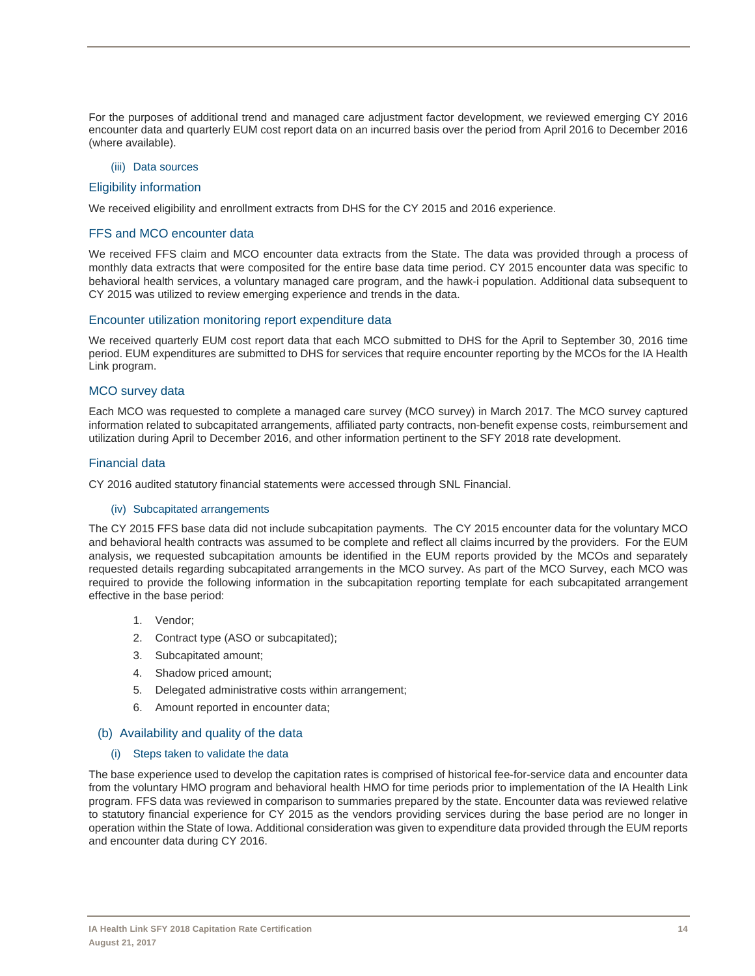For the purposes of additional trend and managed care adjustment factor development, we reviewed emerging CY 2016 encounter data and quarterly EUM cost report data on an incurred basis over the period from April 2016 to December 2016 (where available).

#### (iii) Data sources

#### Eligibility information

We received eligibility and enrollment extracts from DHS for the CY 2015 and 2016 experience.

#### FFS and MCO encounter data

We received FFS claim and MCO encounter data extracts from the State. The data was provided through a process of monthly data extracts that were composited for the entire base data time period. CY 2015 encounter data was specific to behavioral health services, a voluntary managed care program, and the hawk-i population. Additional data subsequent to CY 2015 was utilized to review emerging experience and trends in the data.

#### Encounter utilization monitoring report expenditure data

We received quarterly EUM cost report data that each MCO submitted to DHS for the April to September 30, 2016 time period. EUM expenditures are submitted to DHS for services that require encounter reporting by the MCOs for the IA Health Link program.

#### MCO survey data

Each MCO was requested to complete a managed care survey (MCO survey) in March 2017. The MCO survey captured information related to subcapitated arrangements, affiliated party contracts, non-benefit expense costs, reimbursement and utilization during April to December 2016, and other information pertinent to the SFY 2018 rate development.

#### Financial data

CY 2016 audited statutory financial statements were accessed through SNL Financial.

#### (iv) Subcapitated arrangements

The CY 2015 FFS base data did not include subcapitation payments. The CY 2015 encounter data for the voluntary MCO and behavioral health contracts was assumed to be complete and reflect all claims incurred by the providers. For the EUM analysis, we requested subcapitation amounts be identified in the EUM reports provided by the MCOs and separately requested details regarding subcapitated arrangements in the MCO survey. As part of the MCO Survey, each MCO was required to provide the following information in the subcapitation reporting template for each subcapitated arrangement effective in the base period:

- 1. Vendor;
- 2. Contract type (ASO or subcapitated);
- 3. Subcapitated amount;
- 4. Shadow priced amount;
- 5. Delegated administrative costs within arrangement;
- 6. Amount reported in encounter data;

#### (b) Availability and quality of the data

#### (i) Steps taken to validate the data

The base experience used to develop the capitation rates is comprised of historical fee-for-service data and encounter data from the voluntary HMO program and behavioral health HMO for time periods prior to implementation of the IA Health Link program. FFS data was reviewed in comparison to summaries prepared by the state. Encounter data was reviewed relative to statutory financial experience for CY 2015 as the vendors providing services during the base period are no longer in operation within the State of Iowa. Additional consideration was given to expenditure data provided through the EUM reports and encounter data during CY 2016.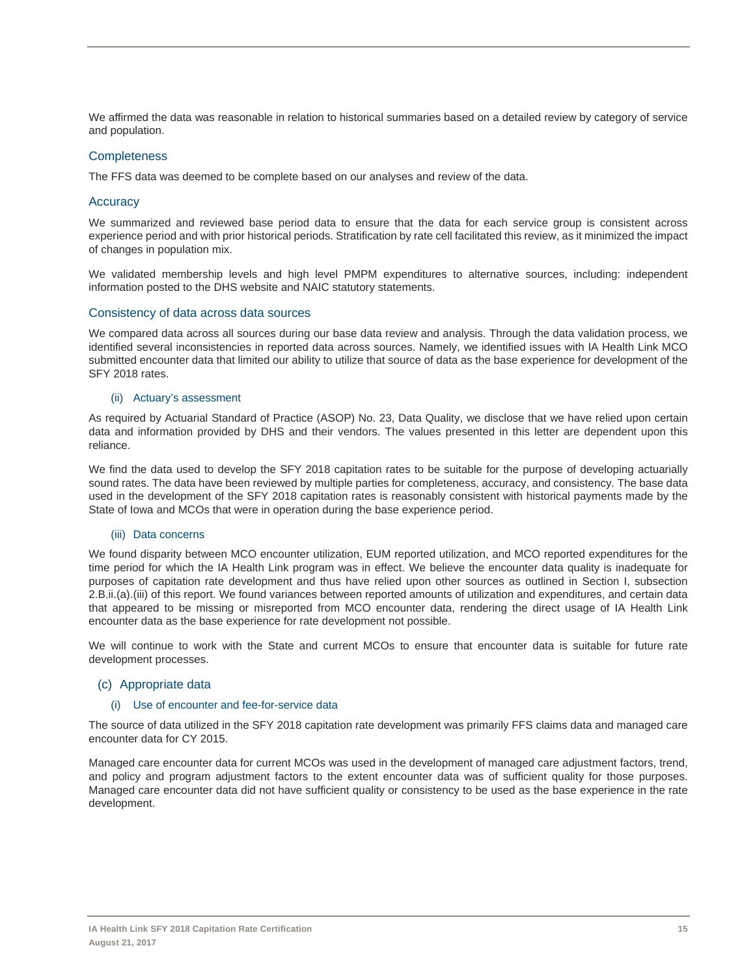We affirmed the data was reasonable in relation to historical summaries based on a detailed review by category of service and population.

#### **Completeness**

The FFS data was deemed to be complete based on our analyses and review of the data.

#### **Accuracy**

We summarized and reviewed base period data to ensure that the data for each service group is consistent across experience period and with prior historical periods. Stratification by rate cell facilitated this review, as it minimized the impact of changes in population mix.

We validated membership levels and high level PMPM expenditures to alternative sources, including: independent information posted to the DHS website and NAIC statutory statements.

#### Consistency of data across data sources

We compared data across all sources during our base data review and analysis. Through the data validation process, we identified several inconsistencies in reported data across sources. Namely, we identified issues with IA Health Link MCO submitted encounter data that limited our ability to utilize that source of data as the base experience for development of the SFY 2018 rates.

#### (ii) Actuary's assessment

As required by Actuarial Standard of Practice (ASOP) No. 23, Data Quality, we disclose that we have relied upon certain data and information provided by DHS and their vendors. The values presented in this letter are dependent upon this reliance.

We find the data used to develop the SFY 2018 capitation rates to be suitable for the purpose of developing actuarially sound rates. The data have been reviewed by multiple parties for completeness, accuracy, and consistency. The base data used in the development of the SFY 2018 capitation rates is reasonably consistent with historical payments made by the State of Iowa and MCOs that were in operation during the base experience period.

#### (iii) Data concerns

We found disparity between MCO encounter utilization, EUM reported utilization, and MCO reported expenditures for the time period for which the IA Health Link program was in effect. We believe the encounter data quality is inadequate for purposes of capitation rate development and thus have relied upon other sources as outlined in Section I, subsection 2.B.ii.(a).(iii) of this report. We found variances between reported amounts of utilization and expenditures, and certain data that appeared to be missing or misreported from MCO encounter data, rendering the direct usage of IA Health Link encounter data as the base experience for rate development not possible.

We will continue to work with the State and current MCOs to ensure that encounter data is suitable for future rate development processes.

#### (c) Appropriate data

#### (i) Use of encounter and fee-for-service data

The source of data utilized in the SFY 2018 capitation rate development was primarily FFS claims data and managed care encounter data for CY 2015.

Managed care encounter data for current MCOs was used in the development of managed care adjustment factors, trend, and policy and program adjustment factors to the extent encounter data was of sufficient quality for those purposes. Managed care encounter data did not have sufficient quality or consistency to be used as the base experience in the rate development.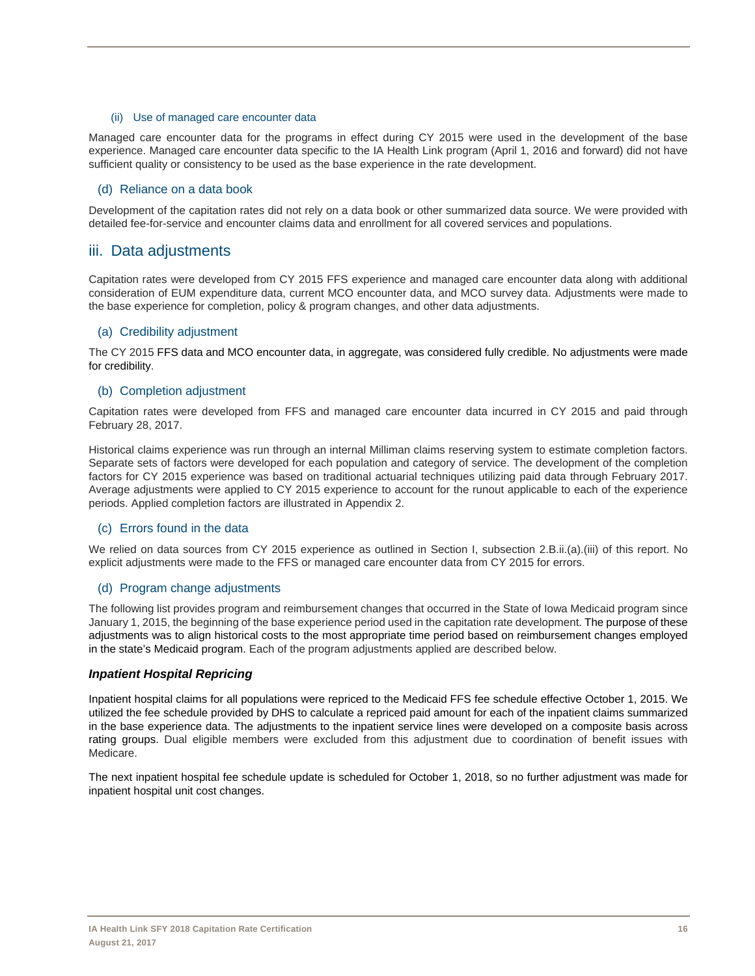#### (ii) Use of managed care encounter data

Managed care encounter data for the programs in effect during CY 2015 were used in the development of the base experience. Managed care encounter data specific to the IA Health Link program (April 1, 2016 and forward) did not have sufficient quality or consistency to be used as the base experience in the rate development.

#### (d) Reliance on a data book

Development of the capitation rates did not rely on a data book or other summarized data source. We were provided with detailed fee-for-service and encounter claims data and enrollment for all covered services and populations.

## iii. Data adjustments

Capitation rates were developed from CY 2015 FFS experience and managed care encounter data along with additional consideration of EUM expenditure data, current MCO encounter data, and MCO survey data. Adjustments were made to the base experience for completion, policy & program changes, and other data adjustments.

#### (a) Credibility adjustment

The CY 2015 FFS data and MCO encounter data, in aggregate, was considered fully credible. No adjustments were made for credibility.

#### (b) Completion adjustment

Capitation rates were developed from FFS and managed care encounter data incurred in CY 2015 and paid through February 28, 2017.

Historical claims experience was run through an internal Milliman claims reserving system to estimate completion factors. Separate sets of factors were developed for each population and category of service. The development of the completion factors for CY 2015 experience was based on traditional actuarial techniques utilizing paid data through February 2017. Average adjustments were applied to CY 2015 experience to account for the runout applicable to each of the experience periods. Applied completion factors are illustrated in Appendix 2.

## (c) Errors found in the data

We relied on data sources from CY 2015 experience as outlined in Section I, subsection 2.B.ii.(a).(iii) of this report. No explicit adjustments were made to the FFS or managed care encounter data from CY 2015 for errors.

#### (d) Program change adjustments

The following list provides program and reimbursement changes that occurred in the State of Iowa Medicaid program since January 1, 2015, the beginning of the base experience period used in the capitation rate development. The purpose of these adjustments was to align historical costs to the most appropriate time period based on reimbursement changes employed in the state's Medicaid program. Each of the program adjustments applied are described below.

## *Inpatient Hospital Repricing*

Inpatient hospital claims for all populations were repriced to the Medicaid FFS fee schedule effective October 1, 2015. We utilized the fee schedule provided by DHS to calculate a repriced paid amount for each of the inpatient claims summarized in the base experience data. The adjustments to the inpatient service lines were developed on a composite basis across rating groups. Dual eligible members were excluded from this adjustment due to coordination of benefit issues with Medicare.

The next inpatient hospital fee schedule update is scheduled for October 1, 2018, so no further adjustment was made for inpatient hospital unit cost changes.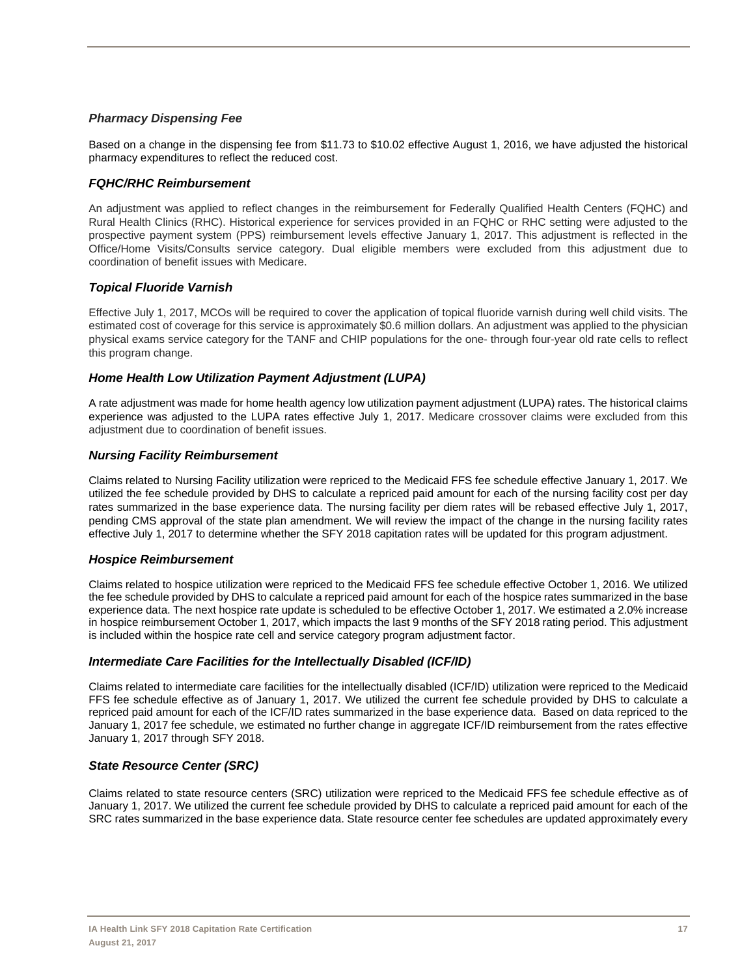## *Pharmacy Dispensing Fee*

Based on a change in the dispensing fee from \$11.73 to \$10.02 effective August 1, 2016, we have adjusted the historical pharmacy expenditures to reflect the reduced cost.

## *FQHC/RHC Reimbursement*

An adjustment was applied to reflect changes in the reimbursement for Federally Qualified Health Centers (FQHC) and Rural Health Clinics (RHC). Historical experience for services provided in an FQHC or RHC setting were adjusted to the prospective payment system (PPS) reimbursement levels effective January 1, 2017. This adjustment is reflected in the Office/Home Visits/Consults service category. Dual eligible members were excluded from this adjustment due to coordination of benefit issues with Medicare.

## *Topical Fluoride Varnish*

Effective July 1, 2017, MCOs will be required to cover the application of topical fluoride varnish during well child visits. The estimated cost of coverage for this service is approximately \$0.6 million dollars. An adjustment was applied to the physician physical exams service category for the TANF and CHIP populations for the one- through four-year old rate cells to reflect this program change.

## *Home Health Low Utilization Payment Adjustment (LUPA)*

A rate adjustment was made for home health agency low utilization payment adjustment (LUPA) rates. The historical claims experience was adjusted to the LUPA rates effective July 1, 2017. Medicare crossover claims were excluded from this adjustment due to coordination of benefit issues.

## *Nursing Facility Reimbursement*

Claims related to Nursing Facility utilization were repriced to the Medicaid FFS fee schedule effective January 1, 2017. We utilized the fee schedule provided by DHS to calculate a repriced paid amount for each of the nursing facility cost per day rates summarized in the base experience data. The nursing facility per diem rates will be rebased effective July 1, 2017, pending CMS approval of the state plan amendment. We will review the impact of the change in the nursing facility rates effective July 1, 2017 to determine whether the SFY 2018 capitation rates will be updated for this program adjustment.

## *Hospice Reimbursement*

Claims related to hospice utilization were repriced to the Medicaid FFS fee schedule effective October 1, 2016. We utilized the fee schedule provided by DHS to calculate a repriced paid amount for each of the hospice rates summarized in the base experience data. The next hospice rate update is scheduled to be effective October 1, 2017. We estimated a 2.0% increase in hospice reimbursement October 1, 2017, which impacts the last 9 months of the SFY 2018 rating period. This adjustment is included within the hospice rate cell and service category program adjustment factor.

## *Intermediate Care Facilities for the Intellectually Disabled (ICF/ID)*

Claims related to intermediate care facilities for the intellectually disabled (ICF/ID) utilization were repriced to the Medicaid FFS fee schedule effective as of January 1, 2017. We utilized the current fee schedule provided by DHS to calculate a repriced paid amount for each of the ICF/ID rates summarized in the base experience data. Based on data repriced to the January 1, 2017 fee schedule, we estimated no further change in aggregate ICF/ID reimbursement from the rates effective January 1, 2017 through SFY 2018.

## *State Resource Center (SRC)*

Claims related to state resource centers (SRC) utilization were repriced to the Medicaid FFS fee schedule effective as of January 1, 2017. We utilized the current fee schedule provided by DHS to calculate a repriced paid amount for each of the SRC rates summarized in the base experience data. State resource center fee schedules are updated approximately every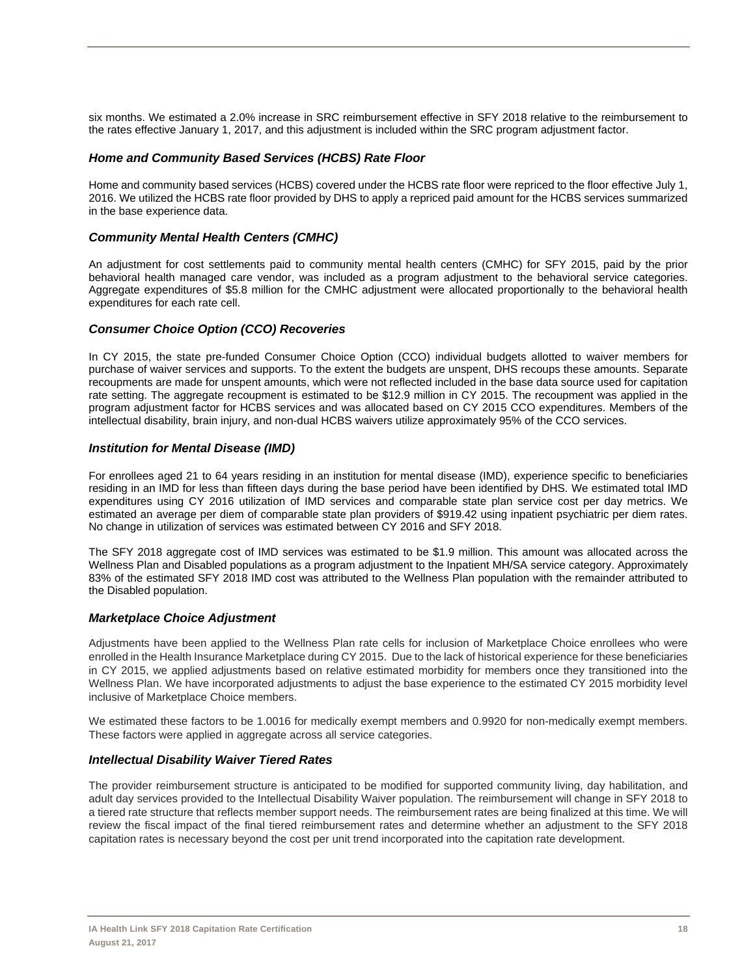six months. We estimated a 2.0% increase in SRC reimbursement effective in SFY 2018 relative to the reimbursement to the rates effective January 1, 2017, and this adjustment is included within the SRC program adjustment factor.

## *Home and Community Based Services (HCBS) Rate Floor*

Home and community based services (HCBS) covered under the HCBS rate floor were repriced to the floor effective July 1, 2016. We utilized the HCBS rate floor provided by DHS to apply a repriced paid amount for the HCBS services summarized in the base experience data.

## *Community Mental Health Centers (CMHC)*

An adjustment for cost settlements paid to community mental health centers (CMHC) for SFY 2015, paid by the prior behavioral health managed care vendor, was included as a program adjustment to the behavioral service categories. Aggregate expenditures of \$5.8 million for the CMHC adjustment were allocated proportionally to the behavioral health expenditures for each rate cell.

## *Consumer Choice Option (CCO) Recoveries*

In CY 2015, the state pre-funded Consumer Choice Option (CCO) individual budgets allotted to waiver members for purchase of waiver services and supports. To the extent the budgets are unspent, DHS recoups these amounts. Separate recoupments are made for unspent amounts, which were not reflected included in the base data source used for capitation rate setting. The aggregate recoupment is estimated to be \$12.9 million in CY 2015. The recoupment was applied in the program adjustment factor for HCBS services and was allocated based on CY 2015 CCO expenditures. Members of the intellectual disability, brain injury, and non-dual HCBS waivers utilize approximately 95% of the CCO services.

## *Institution for Mental Disease (IMD)*

For enrollees aged 21 to 64 years residing in an institution for mental disease (IMD), experience specific to beneficiaries residing in an IMD for less than fifteen days during the base period have been identified by DHS. We estimated total IMD expenditures using CY 2016 utilization of IMD services and comparable state plan service cost per day metrics. We estimated an average per diem of comparable state plan providers of \$919.42 using inpatient psychiatric per diem rates. No change in utilization of services was estimated between CY 2016 and SFY 2018.

The SFY 2018 aggregate cost of IMD services was estimated to be \$1.9 million. This amount was allocated across the Wellness Plan and Disabled populations as a program adjustment to the Inpatient MH/SA service category. Approximately 83% of the estimated SFY 2018 IMD cost was attributed to the Wellness Plan population with the remainder attributed to the Disabled population.

## *Marketplace Choice Adjustment*

Adjustments have been applied to the Wellness Plan rate cells for inclusion of Marketplace Choice enrollees who were enrolled in the Health Insurance Marketplace during CY 2015. Due to the lack of historical experience for these beneficiaries in CY 2015, we applied adjustments based on relative estimated morbidity for members once they transitioned into the Wellness Plan. We have incorporated adjustments to adjust the base experience to the estimated CY 2015 morbidity level inclusive of Marketplace Choice members.

We estimated these factors to be 1.0016 for medically exempt members and 0.9920 for non-medically exempt members. These factors were applied in aggregate across all service categories.

## *Intellectual Disability Waiver Tiered Rates*

The provider reimbursement structure is anticipated to be modified for supported community living, day habilitation, and adult day services provided to the Intellectual Disability Waiver population. The reimbursement will change in SFY 2018 to a tiered rate structure that reflects member support needs. The reimbursement rates are being finalized at this time. We will review the fiscal impact of the final tiered reimbursement rates and determine whether an adjustment to the SFY 2018 capitation rates is necessary beyond the cost per unit trend incorporated into the capitation rate development.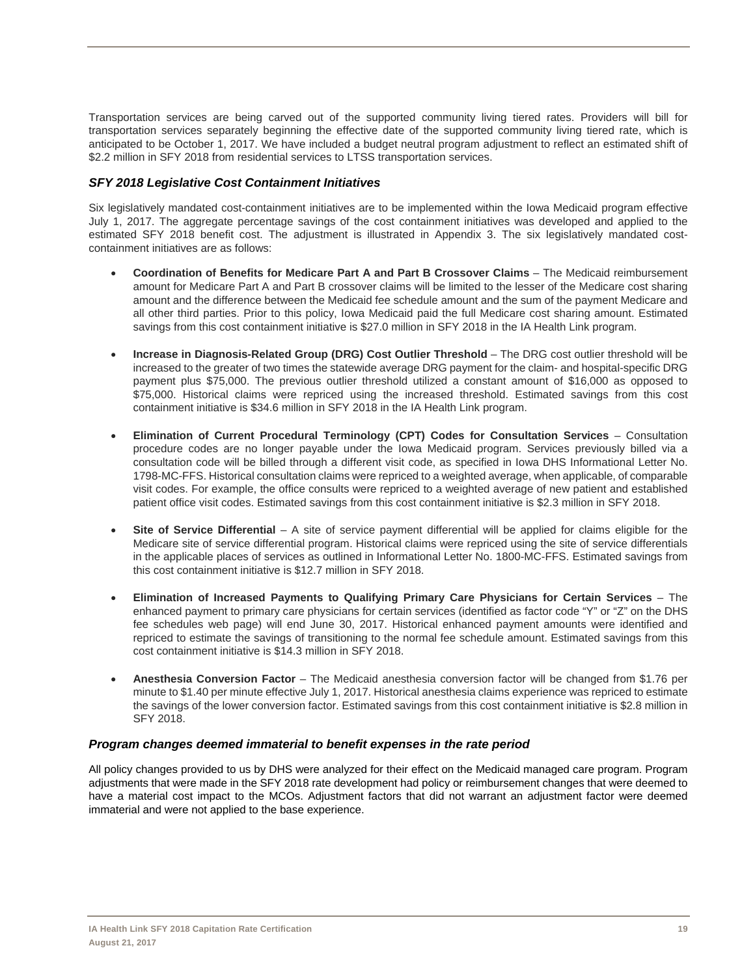Transportation services are being carved out of the supported community living tiered rates. Providers will bill for transportation services separately beginning the effective date of the supported community living tiered rate, which is anticipated to be October 1, 2017. We have included a budget neutral program adjustment to reflect an estimated shift of \$2.2 million in SFY 2018 from residential services to LTSS transportation services.

## *SFY 2018 Legislative Cost Containment Initiatives*

Six legislatively mandated cost-containment initiatives are to be implemented within the Iowa Medicaid program effective July 1, 2017. The aggregate percentage savings of the cost containment initiatives was developed and applied to the estimated SFY 2018 benefit cost. The adjustment is illustrated in Appendix 3. The six legislatively mandated costcontainment initiatives are as follows:

- **Coordination of Benefits for Medicare Part A and Part B Crossover Claims** The Medicaid reimbursement amount for Medicare Part A and Part B crossover claims will be limited to the lesser of the Medicare cost sharing amount and the difference between the Medicaid fee schedule amount and the sum of the payment Medicare and all other third parties. Prior to this policy, Iowa Medicaid paid the full Medicare cost sharing amount. Estimated savings from this cost containment initiative is \$27.0 million in SFY 2018 in the IA Health Link program.
- **Increase in Diagnosis-Related Group (DRG) Cost Outlier Threshold** The DRG cost outlier threshold will be increased to the greater of two times the statewide average DRG payment for the claim- and hospital-specific DRG payment plus \$75,000. The previous outlier threshold utilized a constant amount of \$16,000 as opposed to \$75,000. Historical claims were repriced using the increased threshold. Estimated savings from this cost containment initiative is \$34.6 million in SFY 2018 in the IA Health Link program.
- **Elimination of Current Procedural Terminology (CPT) Codes for Consultation Services** Consultation procedure codes are no longer payable under the Iowa Medicaid program. Services previously billed via a consultation code will be billed through a different visit code, as specified in Iowa DHS Informational Letter No. 1798-MC-FFS. Historical consultation claims were repriced to a weighted average, when applicable, of comparable visit codes. For example, the office consults were repriced to a weighted average of new patient and established patient office visit codes. Estimated savings from this cost containment initiative is \$2.3 million in SFY 2018.
- **Site of Service Differential** A site of service payment differential will be applied for claims eligible for the Medicare site of service differential program. Historical claims were repriced using the site of service differentials in the applicable places of services as outlined in Informational Letter No. 1800-MC-FFS. Estimated savings from this cost containment initiative is \$12.7 million in SFY 2018.
- **Elimination of Increased Payments to Qualifying Primary Care Physicians for Certain Services** The enhanced payment to primary care physicians for certain services (identified as factor code "Y" or "Z" on the DHS fee schedules web page) will end June 30, 2017. Historical enhanced payment amounts were identified and repriced to estimate the savings of transitioning to the normal fee schedule amount. Estimated savings from this cost containment initiative is \$14.3 million in SFY 2018.
- **Anesthesia Conversion Factor** The Medicaid anesthesia conversion factor will be changed from \$1.76 per minute to \$1.40 per minute effective July 1, 2017. Historical anesthesia claims experience was repriced to estimate the savings of the lower conversion factor. Estimated savings from this cost containment initiative is \$2.8 million in SFY 2018.

## *Program changes deemed immaterial to benefit expenses in the rate period*

All policy changes provided to us by DHS were analyzed for their effect on the Medicaid managed care program. Program adjustments that were made in the SFY 2018 rate development had policy or reimbursement changes that were deemed to have a material cost impact to the MCOs. Adjustment factors that did not warrant an adjustment factor were deemed immaterial and were not applied to the base experience.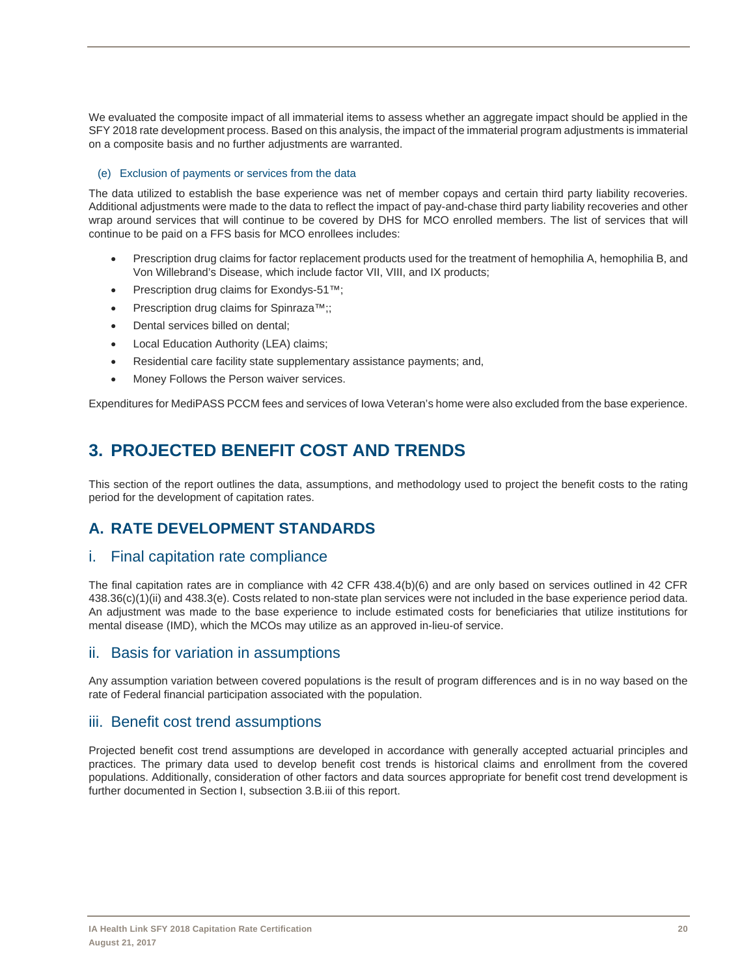We evaluated the composite impact of all immaterial items to assess whether an aggregate impact should be applied in the SFY 2018 rate development process. Based on this analysis, the impact of the immaterial program adjustments is immaterial on a composite basis and no further adjustments are warranted.

#### (e) Exclusion of payments or services from the data

The data utilized to establish the base experience was net of member copays and certain third party liability recoveries. Additional adjustments were made to the data to reflect the impact of pay-and-chase third party liability recoveries and other wrap around services that will continue to be covered by DHS for MCO enrolled members. The list of services that will continue to be paid on a FFS basis for MCO enrollees includes:

- Prescription drug claims for factor replacement products used for the treatment of hemophilia A, hemophilia B, and Von Willebrand's Disease, which include factor VII, VIII, and IX products;
- Prescription drug claims for Exondys-51™;
- Prescription drug claims for Spinraza<sup>™</sup>;;
- Dental services billed on dental;
- Local Education Authority (LEA) claims;
- Residential care facility state supplementary assistance payments; and,
- Money Follows the Person waiver services.

Expenditures for MediPASS PCCM fees and services of Iowa Veteran's home were also excluded from the base experience.

# **3. PROJECTED BENEFIT COST AND TRENDS**

This section of the report outlines the data, assumptions, and methodology used to project the benefit costs to the rating period for the development of capitation rates.

# **A. RATE DEVELOPMENT STANDARDS**

## i. Final capitation rate compliance

The final capitation rates are in compliance with 42 CFR 438.4(b)(6) and are only based on services outlined in 42 CFR 438.36(c)(1)(ii) and 438.3(e). Costs related to non-state plan services were not included in the base experience period data. An adjustment was made to the base experience to include estimated costs for beneficiaries that utilize institutions for mental disease (IMD), which the MCOs may utilize as an approved in-lieu-of service.

## ii. Basis for variation in assumptions

Any assumption variation between covered populations is the result of program differences and is in no way based on the rate of Federal financial participation associated with the population.

## iii. Benefit cost trend assumptions

Projected benefit cost trend assumptions are developed in accordance with generally accepted actuarial principles and practices. The primary data used to develop benefit cost trends is historical claims and enrollment from the covered populations. Additionally, consideration of other factors and data sources appropriate for benefit cost trend development is further documented in Section I, subsection 3.B.iii of this report.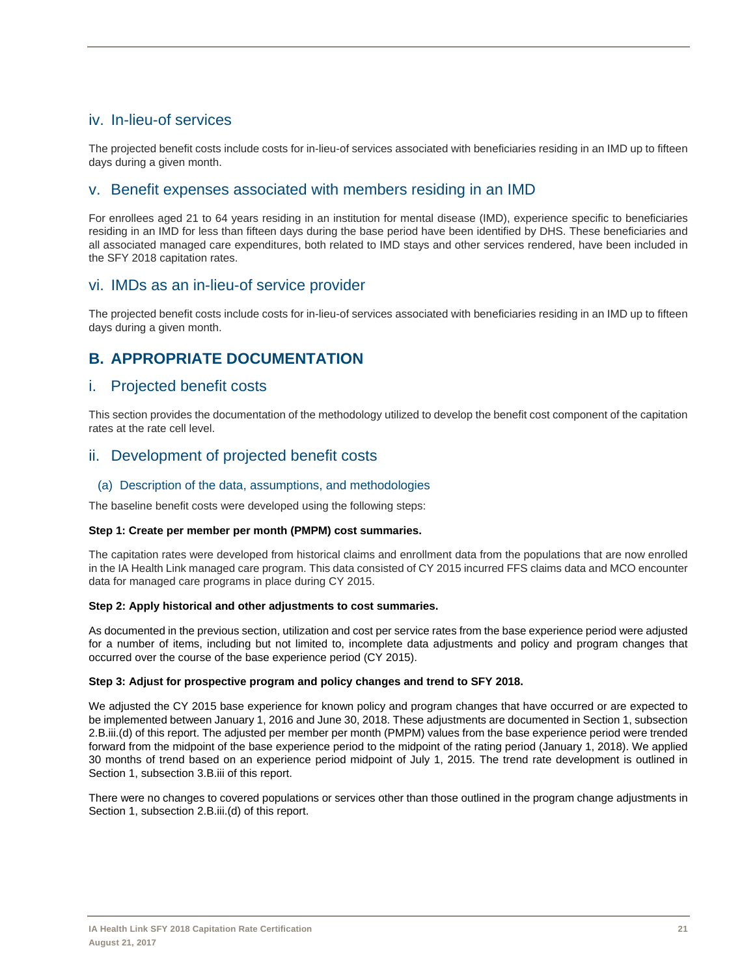# iv. In-lieu-of services

The projected benefit costs include costs for in-lieu-of services associated with beneficiaries residing in an IMD up to fifteen days during a given month.

## v. Benefit expenses associated with members residing in an IMD

For enrollees aged 21 to 64 years residing in an institution for mental disease (IMD), experience specific to beneficiaries residing in an IMD for less than fifteen days during the base period have been identified by DHS. These beneficiaries and all associated managed care expenditures, both related to IMD stays and other services rendered, have been included in the SFY 2018 capitation rates.

# vi. IMDs as an in-lieu-of service provider

The projected benefit costs include costs for in-lieu-of services associated with beneficiaries residing in an IMD up to fifteen days during a given month.

# **B. APPROPRIATE DOCUMENTATION**

## i. Projected benefit costs

This section provides the documentation of the methodology utilized to develop the benefit cost component of the capitation rates at the rate cell level.

# ii. Development of projected benefit costs

## (a) Description of the data, assumptions, and methodologies

The baseline benefit costs were developed using the following steps:

## **Step 1: Create per member per month (PMPM) cost summaries.**

The capitation rates were developed from historical claims and enrollment data from the populations that are now enrolled in the IA Health Link managed care program. This data consisted of CY 2015 incurred FFS claims data and MCO encounter data for managed care programs in place during CY 2015.

## **Step 2: Apply historical and other adjustments to cost summaries.**

As documented in the previous section, utilization and cost per service rates from the base experience period were adjusted for a number of items, including but not limited to, incomplete data adjustments and policy and program changes that occurred over the course of the base experience period (CY 2015).

## **Step 3: Adjust for prospective program and policy changes and trend to SFY 2018.**

We adjusted the CY 2015 base experience for known policy and program changes that have occurred or are expected to be implemented between January 1, 2016 and June 30, 2018. These adjustments are documented in Section 1, subsection 2.B.iii.(d) of this report. The adjusted per member per month (PMPM) values from the base experience period were trended forward from the midpoint of the base experience period to the midpoint of the rating period (January 1, 2018). We applied 30 months of trend based on an experience period midpoint of July 1, 2015. The trend rate development is outlined in Section 1, subsection 3.B.iii of this report.

There were no changes to covered populations or services other than those outlined in the program change adjustments in Section 1, subsection 2.B.iii.(d) of this report.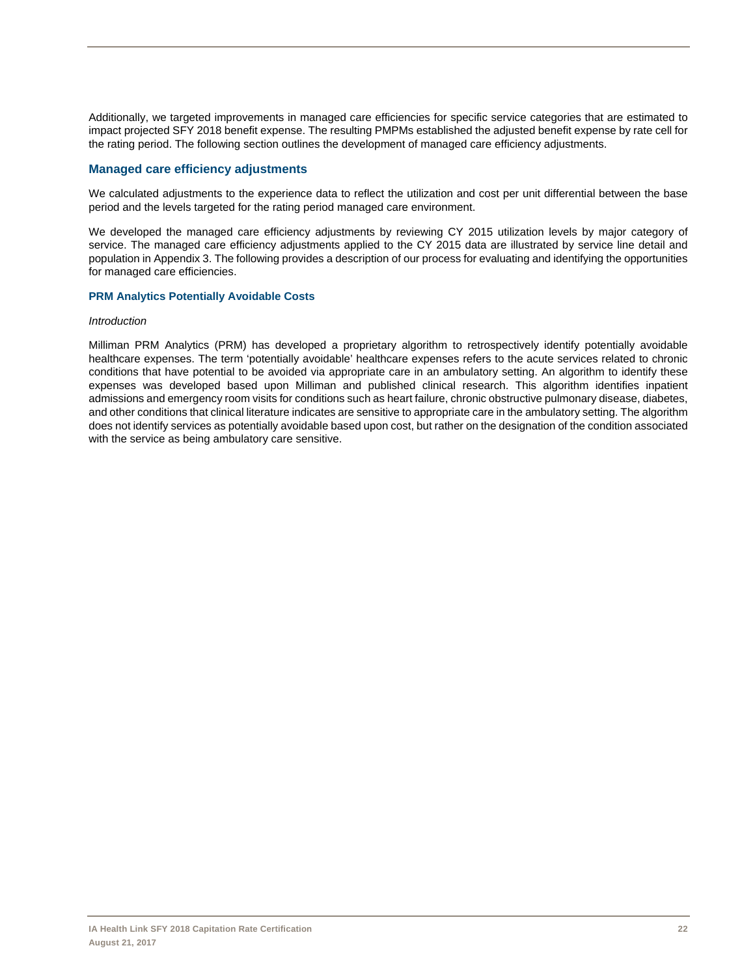Additionally, we targeted improvements in managed care efficiencies for specific service categories that are estimated to impact projected SFY 2018 benefit expense. The resulting PMPMs established the adjusted benefit expense by rate cell for the rating period. The following section outlines the development of managed care efficiency adjustments.

## **Managed care efficiency adjustments**

We calculated adjustments to the experience data to reflect the utilization and cost per unit differential between the base period and the levels targeted for the rating period managed care environment.

We developed the managed care efficiency adjustments by reviewing CY 2015 utilization levels by major category of service. The managed care efficiency adjustments applied to the CY 2015 data are illustrated by service line detail and population in Appendix 3. The following provides a description of our process for evaluating and identifying the opportunities for managed care efficiencies.

#### **PRM Analytics Potentially Avoidable Costs**

#### *Introduction*

Milliman PRM Analytics (PRM) has developed a proprietary algorithm to retrospectively identify potentially avoidable healthcare expenses. The term 'potentially avoidable' healthcare expenses refers to the acute services related to chronic conditions that have potential to be avoided via appropriate care in an ambulatory setting. An algorithm to identify these expenses was developed based upon Milliman and published clinical research. This algorithm identifies inpatient admissions and emergency room visits for conditions such as heart failure, chronic obstructive pulmonary disease, diabetes, and other conditions that clinical literature indicates are sensitive to appropriate care in the ambulatory setting. The algorithm does not identify services as potentially avoidable based upon cost, but rather on the designation of the condition associated with the service as being ambulatory care sensitive.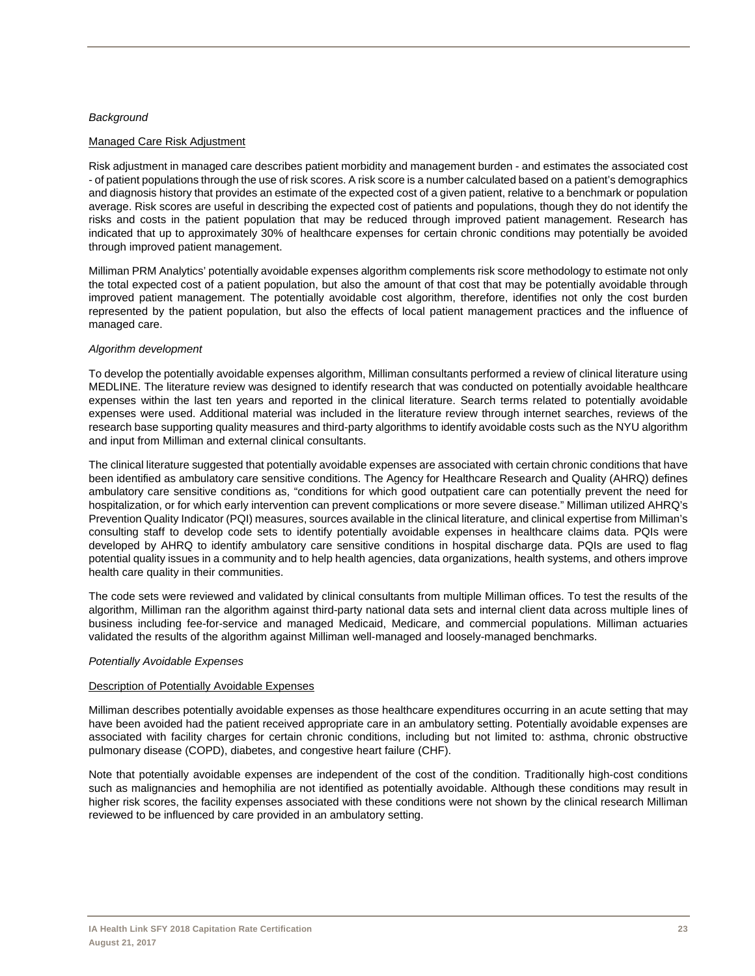#### *Background*

#### Managed Care Risk Adjustment

Risk adjustment in managed care describes patient morbidity and management burden - and estimates the associated cost - of patient populations through the use of risk scores. A risk score is a number calculated based on a patient's demographics and diagnosis history that provides an estimate of the expected cost of a given patient, relative to a benchmark or population average. Risk scores are useful in describing the expected cost of patients and populations, though they do not identify the risks and costs in the patient population that may be reduced through improved patient management. Research has indicated that up to approximately 30% of healthcare expenses for certain chronic conditions may potentially be avoided through improved patient management.

Milliman PRM Analytics' potentially avoidable expenses algorithm complements risk score methodology to estimate not only the total expected cost of a patient population, but also the amount of that cost that may be potentially avoidable through improved patient management. The potentially avoidable cost algorithm, therefore, identifies not only the cost burden represented by the patient population, but also the effects of local patient management practices and the influence of managed care.

#### *Algorithm development*

To develop the potentially avoidable expenses algorithm, Milliman consultants performed a review of clinical literature using MEDLINE. The literature review was designed to identify research that was conducted on potentially avoidable healthcare expenses within the last ten years and reported in the clinical literature. Search terms related to potentially avoidable expenses were used. Additional material was included in the literature review through internet searches, reviews of the research base supporting quality measures and third-party algorithms to identify avoidable costs such as the NYU algorithm and input from Milliman and external clinical consultants.

The clinical literature suggested that potentially avoidable expenses are associated with certain chronic conditions that have been identified as ambulatory care sensitive conditions. The Agency for Healthcare Research and Quality (AHRQ) defines ambulatory care sensitive conditions as, "conditions for which good outpatient care can potentially prevent the need for hospitalization, or for which early intervention can prevent complications or more severe disease." Milliman utilized AHRQ's Prevention Quality Indicator (PQI) measures, sources available in the clinical literature, and clinical expertise from Milliman's consulting staff to develop code sets to identify potentially avoidable expenses in healthcare claims data. PQIs were developed by AHRQ to identify ambulatory care sensitive conditions in hospital discharge data. PQIs are used to flag potential quality issues in a community and to help health agencies, data organizations, health systems, and others improve health care quality in their communities.

The code sets were reviewed and validated by clinical consultants from multiple Milliman offices. To test the results of the algorithm, Milliman ran the algorithm against third-party national data sets and internal client data across multiple lines of business including fee-for-service and managed Medicaid, Medicare, and commercial populations. Milliman actuaries validated the results of the algorithm against Milliman well-managed and loosely-managed benchmarks.

#### *Potentially Avoidable Expenses*

#### Description of Potentially Avoidable Expenses

Milliman describes potentially avoidable expenses as those healthcare expenditures occurring in an acute setting that may have been avoided had the patient received appropriate care in an ambulatory setting. Potentially avoidable expenses are associated with facility charges for certain chronic conditions, including but not limited to: asthma, chronic obstructive pulmonary disease (COPD), diabetes, and congestive heart failure (CHF).

Note that potentially avoidable expenses are independent of the cost of the condition. Traditionally high-cost conditions such as malignancies and hemophilia are not identified as potentially avoidable. Although these conditions may result in higher risk scores, the facility expenses associated with these conditions were not shown by the clinical research Milliman reviewed to be influenced by care provided in an ambulatory setting.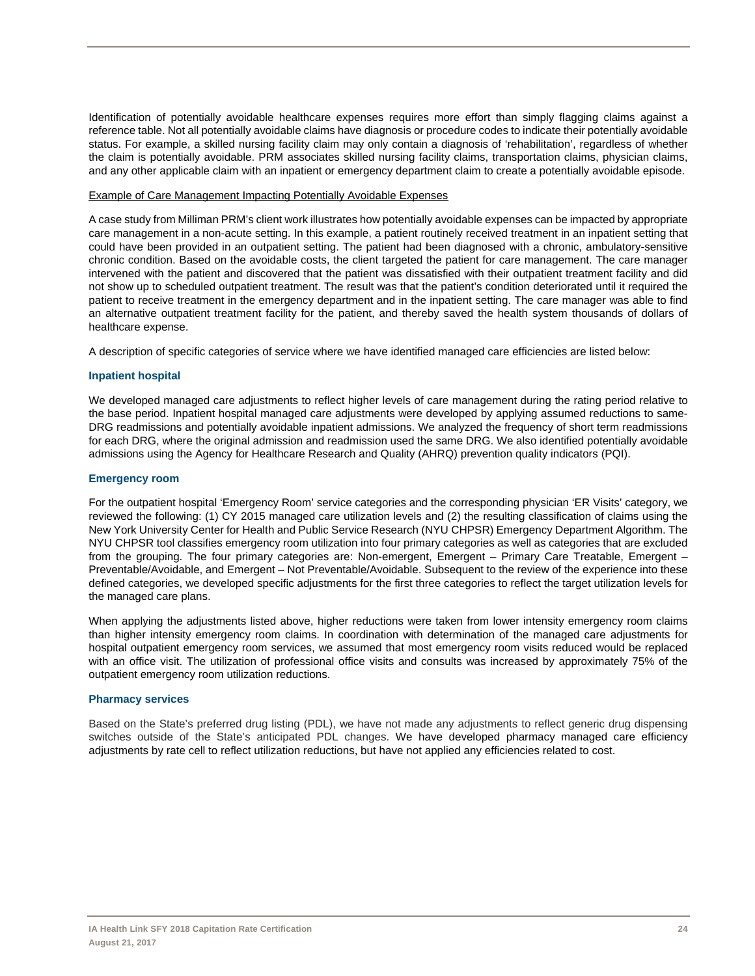Identification of potentially avoidable healthcare expenses requires more effort than simply flagging claims against a reference table. Not all potentially avoidable claims have diagnosis or procedure codes to indicate their potentially avoidable status. For example, a skilled nursing facility claim may only contain a diagnosis of 'rehabilitation', regardless of whether the claim is potentially avoidable. PRM associates skilled nursing facility claims, transportation claims, physician claims, and any other applicable claim with an inpatient or emergency department claim to create a potentially avoidable episode.

#### Example of Care Management Impacting Potentially Avoidable Expenses

A case study from Milliman PRM's client work illustrates how potentially avoidable expenses can be impacted by appropriate care management in a non-acute setting. In this example, a patient routinely received treatment in an inpatient setting that could have been provided in an outpatient setting. The patient had been diagnosed with a chronic, ambulatory-sensitive chronic condition. Based on the avoidable costs, the client targeted the patient for care management. The care manager intervened with the patient and discovered that the patient was dissatisfied with their outpatient treatment facility and did not show up to scheduled outpatient treatment. The result was that the patient's condition deteriorated until it required the patient to receive treatment in the emergency department and in the inpatient setting. The care manager was able to find an alternative outpatient treatment facility for the patient, and thereby saved the health system thousands of dollars of healthcare expense.

A description of specific categories of service where we have identified managed care efficiencies are listed below:

#### **Inpatient hospital**

We developed managed care adjustments to reflect higher levels of care management during the rating period relative to the base period. Inpatient hospital managed care adjustments were developed by applying assumed reductions to same-DRG readmissions and potentially avoidable inpatient admissions. We analyzed the frequency of short term readmissions for each DRG, where the original admission and readmission used the same DRG. We also identified potentially avoidable admissions using the Agency for Healthcare Research and Quality (AHRQ) prevention quality indicators (PQI).

#### **Emergency room**

For the outpatient hospital 'Emergency Room' service categories and the corresponding physician 'ER Visits' category, we reviewed the following: (1) CY 2015 managed care utilization levels and (2) the resulting classification of claims using the New York University Center for Health and Public Service Research (NYU CHPSR) Emergency Department Algorithm. The NYU CHPSR tool classifies emergency room utilization into four primary categories as well as categories that are excluded from the grouping. The four primary categories are: Non-emergent, Emergent – Primary Care Treatable, Emergent – Preventable/Avoidable, and Emergent – Not Preventable/Avoidable. Subsequent to the review of the experience into these defined categories, we developed specific adjustments for the first three categories to reflect the target utilization levels for the managed care plans.

When applying the adjustments listed above, higher reductions were taken from lower intensity emergency room claims than higher intensity emergency room claims. In coordination with determination of the managed care adjustments for hospital outpatient emergency room services, we assumed that most emergency room visits reduced would be replaced with an office visit. The utilization of professional office visits and consults was increased by approximately 75% of the outpatient emergency room utilization reductions.

#### **Pharmacy services**

Based on the State's preferred drug listing (PDL), we have not made any adjustments to reflect generic drug dispensing switches outside of the State's anticipated PDL changes. We have developed pharmacy managed care efficiency adjustments by rate cell to reflect utilization reductions, but have not applied any efficiencies related to cost.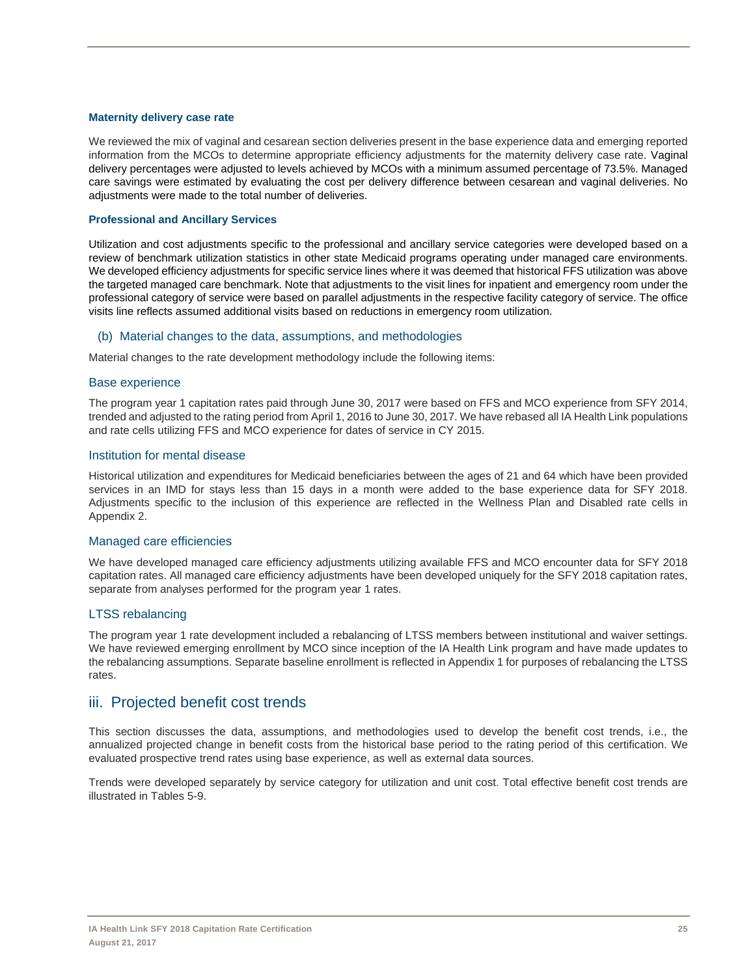#### **Maternity delivery case rate**

We reviewed the mix of vaginal and cesarean section deliveries present in the base experience data and emerging reported information from the MCOs to determine appropriate efficiency adjustments for the maternity delivery case rate. Vaginal delivery percentages were adjusted to levels achieved by MCOs with a minimum assumed percentage of 73.5%. Managed care savings were estimated by evaluating the cost per delivery difference between cesarean and vaginal deliveries. No adjustments were made to the total number of deliveries.

#### **Professional and Ancillary Services**

Utilization and cost adjustments specific to the professional and ancillary service categories were developed based on a review of benchmark utilization statistics in other state Medicaid programs operating under managed care environments. We developed efficiency adjustments for specific service lines where it was deemed that historical FFS utilization was above the targeted managed care benchmark. Note that adjustments to the visit lines for inpatient and emergency room under the professional category of service were based on parallel adjustments in the respective facility category of service. The office visits line reflects assumed additional visits based on reductions in emergency room utilization.

#### (b) Material changes to the data, assumptions, and methodologies

Material changes to the rate development methodology include the following items:

#### Base experience

The program year 1 capitation rates paid through June 30, 2017 were based on FFS and MCO experience from SFY 2014, trended and adjusted to the rating period from April 1, 2016 to June 30, 2017. We have rebased all IA Health Link populations and rate cells utilizing FFS and MCO experience for dates of service in CY 2015.

#### Institution for mental disease

Historical utilization and expenditures for Medicaid beneficiaries between the ages of 21 and 64 which have been provided services in an IMD for stays less than 15 days in a month were added to the base experience data for SFY 2018. Adjustments specific to the inclusion of this experience are reflected in the Wellness Plan and Disabled rate cells in Appendix 2.

#### Managed care efficiencies

We have developed managed care efficiency adjustments utilizing available FFS and MCO encounter data for SFY 2018 capitation rates. All managed care efficiency adjustments have been developed uniquely for the SFY 2018 capitation rates, separate from analyses performed for the program year 1 rates.

#### LTSS rebalancing

The program year 1 rate development included a rebalancing of LTSS members between institutional and waiver settings. We have reviewed emerging enrollment by MCO since inception of the IA Health Link program and have made updates to the rebalancing assumptions. Separate baseline enrollment is reflected in Appendix 1 for purposes of rebalancing the LTSS rates.

## iii. Projected benefit cost trends

This section discusses the data, assumptions, and methodologies used to develop the benefit cost trends, i.e., the annualized projected change in benefit costs from the historical base period to the rating period of this certification. We evaluated prospective trend rates using base experience, as well as external data sources.

Trends were developed separately by service category for utilization and unit cost. Total effective benefit cost trends are illustrated in Tables 5-9.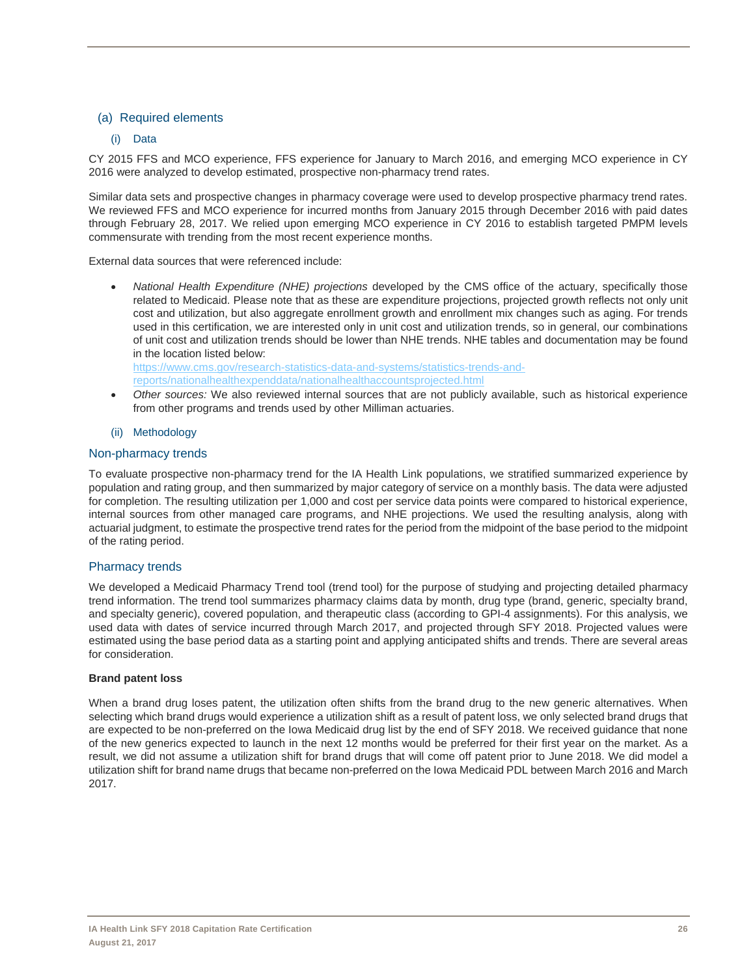## (a) Required elements

## (i) Data

CY 2015 FFS and MCO experience, FFS experience for January to March 2016, and emerging MCO experience in CY 2016 were analyzed to develop estimated, prospective non-pharmacy trend rates.

Similar data sets and prospective changes in pharmacy coverage were used to develop prospective pharmacy trend rates. We reviewed FFS and MCO experience for incurred months from January 2015 through December 2016 with paid dates through February 28, 2017. We relied upon emerging MCO experience in CY 2016 to establish targeted PMPM levels commensurate with trending from the most recent experience months.

External data sources that were referenced include:

 *National Health Expenditure (NHE) projections* developed by the CMS office of the actuary, specifically those related to Medicaid. Please note that as these are expenditure projections, projected growth reflects not only unit cost and utilization, but also aggregate enrollment growth and enrollment mix changes such as aging. For trends used in this certification, we are interested only in unit cost and utilization trends, so in general, our combinations of unit cost and utilization trends should be lower than NHE trends. NHE tables and documentation may be found in the location listed below: https://www.cms.gov/research-statistics-data-and-systems/statistics-trends-and-

reports/nationalhealthexpenddata/nationalhealthaccountsprojected.html

 *Other sources:* We also reviewed internal sources that are not publicly available, such as historical experience from other programs and trends used by other Milliman actuaries.

#### (ii) Methodology

#### Non-pharmacy trends

To evaluate prospective non-pharmacy trend for the IA Health Link populations, we stratified summarized experience by population and rating group, and then summarized by major category of service on a monthly basis. The data were adjusted for completion. The resulting utilization per 1,000 and cost per service data points were compared to historical experience, internal sources from other managed care programs, and NHE projections. We used the resulting analysis, along with actuarial judgment, to estimate the prospective trend rates for the period from the midpoint of the base period to the midpoint of the rating period.

#### Pharmacy trends

We developed a Medicaid Pharmacy Trend tool (trend tool) for the purpose of studying and projecting detailed pharmacy trend information. The trend tool summarizes pharmacy claims data by month, drug type (brand, generic, specialty brand, and specialty generic), covered population, and therapeutic class (according to GPI-4 assignments). For this analysis, we used data with dates of service incurred through March 2017, and projected through SFY 2018. Projected values were estimated using the base period data as a starting point and applying anticipated shifts and trends. There are several areas for consideration.

#### **Brand patent loss**

When a brand drug loses patent, the utilization often shifts from the brand drug to the new generic alternatives. When selecting which brand drugs would experience a utilization shift as a result of patent loss, we only selected brand drugs that are expected to be non-preferred on the Iowa Medicaid drug list by the end of SFY 2018. We received guidance that none of the new generics expected to launch in the next 12 months would be preferred for their first year on the market. As a result, we did not assume a utilization shift for brand drugs that will come off patent prior to June 2018. We did model a utilization shift for brand name drugs that became non-preferred on the Iowa Medicaid PDL between March 2016 and March 2017.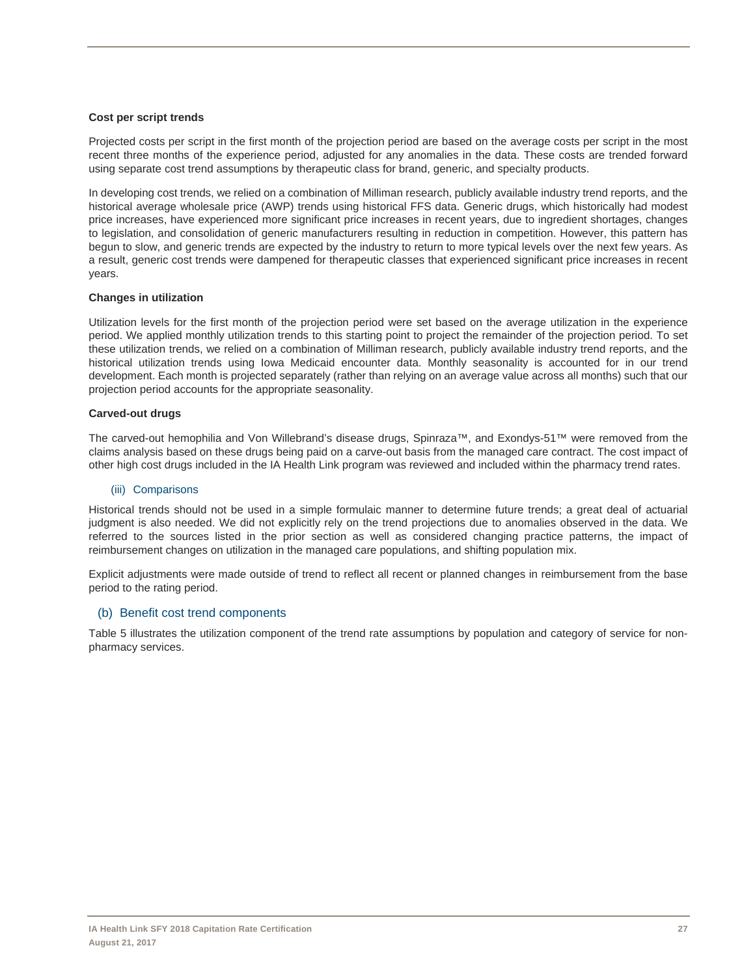#### **Cost per script trends**

Projected costs per script in the first month of the projection period are based on the average costs per script in the most recent three months of the experience period, adjusted for any anomalies in the data. These costs are trended forward using separate cost trend assumptions by therapeutic class for brand, generic, and specialty products.

In developing cost trends, we relied on a combination of Milliman research, publicly available industry trend reports, and the historical average wholesale price (AWP) trends using historical FFS data. Generic drugs, which historically had modest price increases, have experienced more significant price increases in recent years, due to ingredient shortages, changes to legislation, and consolidation of generic manufacturers resulting in reduction in competition. However, this pattern has begun to slow, and generic trends are expected by the industry to return to more typical levels over the next few years. As a result, generic cost trends were dampened for therapeutic classes that experienced significant price increases in recent years.

#### **Changes in utilization**

Utilization levels for the first month of the projection period were set based on the average utilization in the experience period. We applied monthly utilization trends to this starting point to project the remainder of the projection period. To set these utilization trends, we relied on a combination of Milliman research, publicly available industry trend reports, and the historical utilization trends using Iowa Medicaid encounter data. Monthly seasonality is accounted for in our trend development. Each month is projected separately (rather than relying on an average value across all months) such that our projection period accounts for the appropriate seasonality.

#### **Carved-out drugs**

The carved-out hemophilia and Von Willebrand's disease drugs, Spinraza™, and Exondys-51™ were removed from the claims analysis based on these drugs being paid on a carve-out basis from the managed care contract. The cost impact of other high cost drugs included in the IA Health Link program was reviewed and included within the pharmacy trend rates.

#### (iii) Comparisons

Historical trends should not be used in a simple formulaic manner to determine future trends; a great deal of actuarial judgment is also needed. We did not explicitly rely on the trend projections due to anomalies observed in the data. We referred to the sources listed in the prior section as well as considered changing practice patterns, the impact of reimbursement changes on utilization in the managed care populations, and shifting population mix.

Explicit adjustments were made outside of trend to reflect all recent or planned changes in reimbursement from the base period to the rating period.

#### (b) Benefit cost trend components

Table 5 illustrates the utilization component of the trend rate assumptions by population and category of service for nonpharmacy services.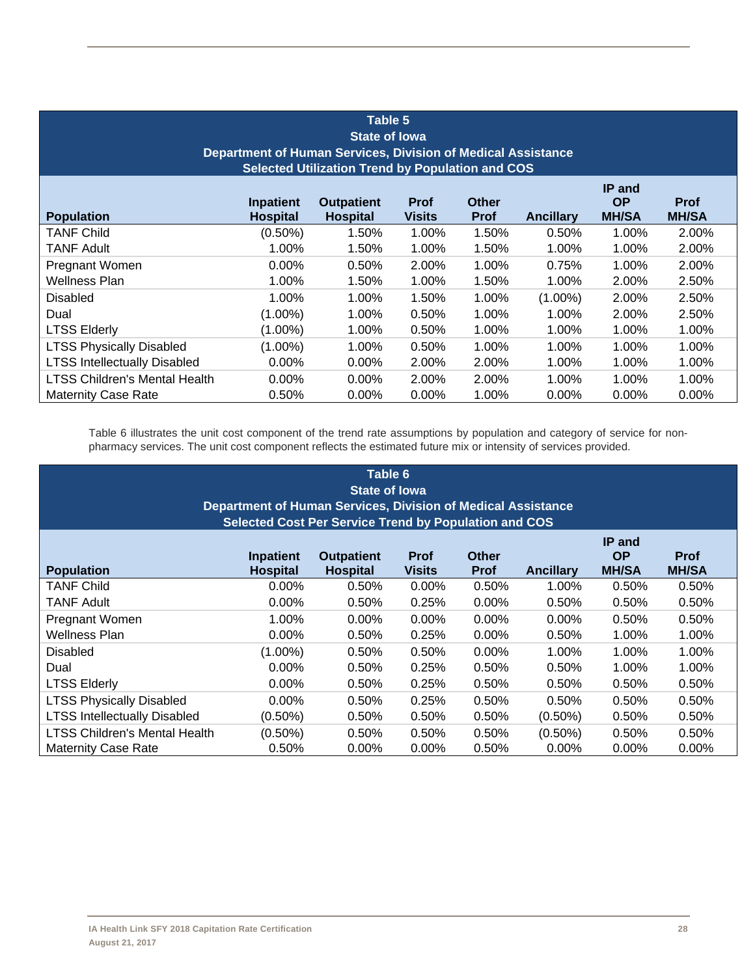| Table 5<br><b>State of lowa</b><br>Department of Human Services, Division of Medical Assistance<br><b>Selected Utilization Trend by Population and COS</b>                                                                                         |            |          |          |          |            |          |          |
|----------------------------------------------------------------------------------------------------------------------------------------------------------------------------------------------------------------------------------------------------|------------|----------|----------|----------|------------|----------|----------|
| IP and<br><b>OP</b><br><b>Outpatient</b><br><b>Prof</b><br><b>Other</b><br><b>Prof</b><br>Inpatient<br><b>Hospital</b><br><b>MH/SA</b><br><b>Population</b><br><b>Hospital</b><br><b>Visits</b><br><b>Ancillary</b><br><b>MH/SA</b><br><b>Prof</b> |            |          |          |          |            |          |          |
| TANF Child                                                                                                                                                                                                                                         | $(0.50\%)$ | 1.50%    | 1.00%    | 1.50%    | 0.50%      | 1.00%    | 2.00%    |
| TANF Adult                                                                                                                                                                                                                                         | 1.00%      | 1.50%    | 1.00%    | 1.50%    | 1.00%      | 1.00%    | 2.00%    |
| Pregnant Women                                                                                                                                                                                                                                     | $0.00\%$   | 0.50%    | 2.00%    | 1.00%    | 0.75%      | $1.00\%$ | 2.00%    |
| Wellness Plan                                                                                                                                                                                                                                      | 1.00%      | 1.50%    | 1.00%    | 1.50%    | 1.00%      | 2.00%    | 2.50%    |
| Disabled                                                                                                                                                                                                                                           | $1.00\%$   | $1.00\%$ | 1.50%    | 1.00%    | $(1.00\%)$ | 2.00%    | 2.50%    |
| Dual                                                                                                                                                                                                                                               | $(1.00\%)$ | $1.00\%$ | $0.50\%$ | 1.00%    | 1.00%      | 2.00%    | 2.50%    |
| <b>LTSS Elderly</b>                                                                                                                                                                                                                                | $(1.00\%)$ | 1.00%    | 0.50%    | 1.00%    | 1.00%      | 1.00%    | 1.00%    |
| <b>LTSS Physically Disabled</b>                                                                                                                                                                                                                    | $(1.00\%)$ | 1.00%    | 0.50%    | $1.00\%$ | 1.00%      | 1.00%    | 1.00%    |
| <b>LTSS Intellectually Disabled</b>                                                                                                                                                                                                                | $0.00\%$   | $0.00\%$ | 2.00%    | 2.00%    | 1.00%      | 1.00%    | 1.00%    |
| <b>LTSS Children's Mental Health</b>                                                                                                                                                                                                               | $0.00\%$   | $0.00\%$ | 2.00%    | 2.00%    | 1.00%      | 1.00%    | 1.00%    |
| <b>Maternity Case Rate</b>                                                                                                                                                                                                                         | 0.50%      | $0.00\%$ | $0.00\%$ | 1.00%    | $0.00\%$   | $0.00\%$ | $0.00\%$ |

Table 6 illustrates the unit cost component of the trend rate assumptions by population and category of service for nonpharmacy services. The unit cost component reflects the estimated future mix or intensity of services provided.

| Table 6<br><b>State of Iowa</b><br>Department of Human Services, Division of Medical Assistance<br><b>Selected Cost Per Service Trend by Population and COS</b>                                                                                    |            |          |          |          |            |          |          |  |
|----------------------------------------------------------------------------------------------------------------------------------------------------------------------------------------------------------------------------------------------------|------------|----------|----------|----------|------------|----------|----------|--|
| IP and<br><b>OP</b><br><b>Outpatient</b><br><b>Prof</b><br><b>Other</b><br><b>Prof</b><br>Inpatient<br><b>Hospital</b><br><b>MH/SA</b><br><b>Hospital</b><br><b>Ancillary</b><br><b>MH/SA</b><br><b>Population</b><br><b>Visits</b><br><b>Prof</b> |            |          |          |          |            |          |          |  |
| <b>TANF Child</b>                                                                                                                                                                                                                                  | $0.00\%$   | 0.50%    | $0.00\%$ | 0.50%    | 1.00%      | 0.50%    | 0.50%    |  |
| TANF Adult                                                                                                                                                                                                                                         | $0.00\%$   | 0.50%    | 0.25%    | $0.00\%$ | 0.50%      | 0.50%    | 0.50%    |  |
| Pregnant Women                                                                                                                                                                                                                                     | 1.00%      | $0.00\%$ | $0.00\%$ | $0.00\%$ | 0.00%      | 0.50%    | 0.50%    |  |
| Wellness Plan                                                                                                                                                                                                                                      | $0.00\%$   | 0.50%    | 0.25%    | $0.00\%$ | 0.50%      | 1.00%    | 1.00%    |  |
| <b>Disabled</b>                                                                                                                                                                                                                                    | $(1.00\%)$ | 0.50%    | 0.50%    | 0.00%    | 1.00%      | 1.00%    | 1.00%    |  |
| Dual                                                                                                                                                                                                                                               | $0.00\%$   | 0.50%    | 0.25%    | 0.50%    | 0.50%      | 1.00%    | 1.00%    |  |
| <b>LTSS Elderly</b>                                                                                                                                                                                                                                | $0.00\%$   | 0.50%    | 0.25%    | 0.50%    | 0.50%      | 0.50%    | 0.50%    |  |
| <b>LTSS Physically Disabled</b>                                                                                                                                                                                                                    | $0.00\%$   | 0.50%    | 0.25%    | 0.50%    | 0.50%      | 0.50%    | 0.50%    |  |
| <b>LTSS Intellectually Disabled</b>                                                                                                                                                                                                                | $(0.50\%)$ | 0.50%    | 0.50%    | 0.50%    | $(0.50\%)$ | 0.50%    | 0.50%    |  |
| <b>LTSS Children's Mental Health</b>                                                                                                                                                                                                               | $(0.50\%)$ | 0.50%    | 0.50%    | 0.50%    | $(0.50\%)$ | 0.50%    | 0.50%    |  |
| <b>Maternity Case Rate</b>                                                                                                                                                                                                                         | 0.50%      | $0.00\%$ | $0.00\%$ | 0.50%    | $0.00\%$   | $0.00\%$ | $0.00\%$ |  |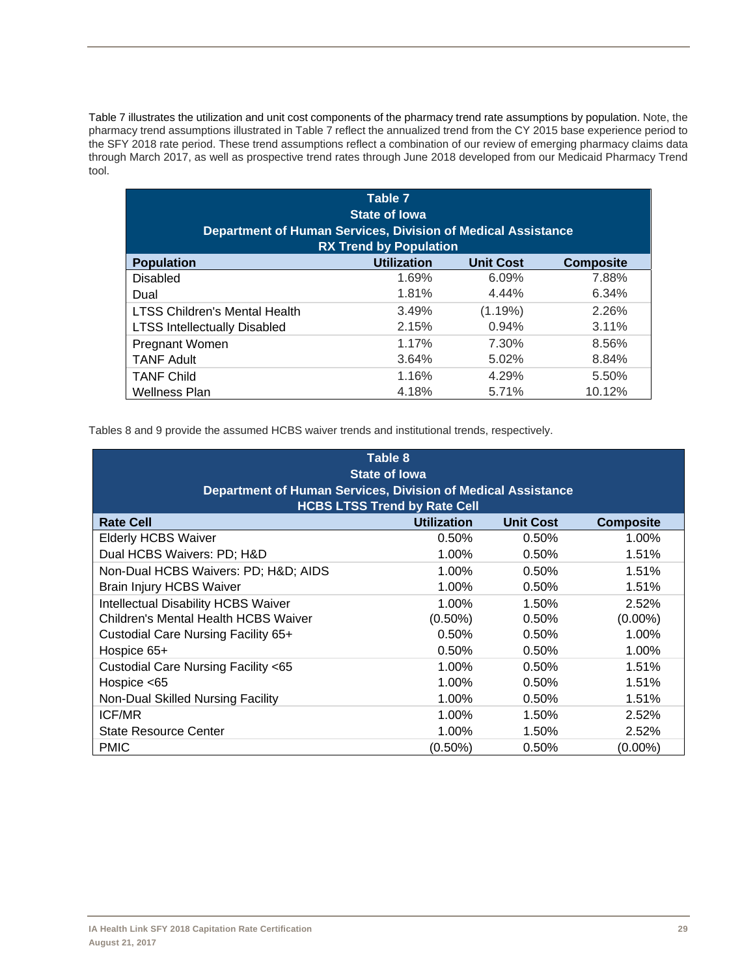Table 7 illustrates the utilization and unit cost components of the pharmacy trend rate assumptions by population. Note, the pharmacy trend assumptions illustrated in Table 7 reflect the annualized trend from the CY 2015 base experience period to the SFY 2018 rate period. These trend assumptions reflect a combination of our review of emerging pharmacy claims data through March 2017, as well as prospective trend rates through June 2018 developed from our Medicaid Pharmacy Trend tool.

| Table 7<br><b>State of lowa</b>                                                               |                                                            |         |        |  |  |  |  |
|-----------------------------------------------------------------------------------------------|------------------------------------------------------------|---------|--------|--|--|--|--|
| Department of Human Services, Division of Medical Assistance<br><b>RX Trend by Population</b> |                                                            |         |        |  |  |  |  |
| <b>Population</b>                                                                             | <b>Utilization</b><br><b>Unit Cost</b><br><b>Composite</b> |         |        |  |  |  |  |
| Disabled                                                                                      | 1.69%                                                      | 6.09%   | 7.88%  |  |  |  |  |
| Dual                                                                                          | 1.81%                                                      | 4.44%   | 6.34%  |  |  |  |  |
| <b>LTSS Children's Mental Health</b>                                                          | 3.49%                                                      | (1.19%) | 2.26%  |  |  |  |  |
| <b>LTSS Intellectually Disabled</b>                                                           | 2.15%                                                      | 0.94%   | 3.11%  |  |  |  |  |
| Pregnant Women                                                                                | 1.17%                                                      | 7.30%   | 8.56%  |  |  |  |  |
| <b>TANF Adult</b>                                                                             | 3.64%                                                      | 5.02%   | 8.84%  |  |  |  |  |
| <b>TANF Child</b>                                                                             | 1.16%                                                      | 4.29%   | 5.50%  |  |  |  |  |
| <b>Wellness Plan</b>                                                                          | 4.18%                                                      | 5.71%   | 10.12% |  |  |  |  |

Tables 8 and 9 provide the assumed HCBS waiver trends and institutional trends, respectively.

| Table 8<br><b>State of lowa</b><br><b>Department of Human Services, Division of Medical Assistance</b><br><b>HCBS LTSS Trend by Rate Cell</b> |                    |                  |                  |  |  |  |
|-----------------------------------------------------------------------------------------------------------------------------------------------|--------------------|------------------|------------------|--|--|--|
| <b>Rate Cell</b>                                                                                                                              | <b>Utilization</b> | <b>Unit Cost</b> | <b>Composite</b> |  |  |  |
| <b>Elderly HCBS Waiver</b>                                                                                                                    | 0.50%              | 0.50%            | 1.00%            |  |  |  |
| Dual HCBS Waivers: PD; H&D                                                                                                                    | 1.00%              | 0.50%            | 1.51%            |  |  |  |
| Non-Dual HCBS Waivers: PD; H&D AIDS                                                                                                           | $1.00\%$           | 0.50%            | 1.51%            |  |  |  |
| <b>Brain Injury HCBS Waiver</b><br>$1.00\%$<br>0.50%<br>1.51%                                                                                 |                    |                  |                  |  |  |  |
| <b>Intellectual Disability HCBS Waiver</b>                                                                                                    | $1.00\%$           | 1.50%            | 2.52%            |  |  |  |
| <b>Children's Mental Health HCBS Waiver</b>                                                                                                   | $(0.50\%)$         | 0.50%            | $(0.00\%)$       |  |  |  |
| Custodial Care Nursing Facility 65+                                                                                                           | 0.50%              | 0.50%            | 1.00%            |  |  |  |
| Hospice 65+                                                                                                                                   | 0.50%              | 0.50%            | 1.00%            |  |  |  |
| Custodial Care Nursing Facility <65                                                                                                           | $1.00\%$           | 0.50%            | 1.51%            |  |  |  |
| Hospice $<$ 65                                                                                                                                | 1.00%              | 0.50%            | 1.51%            |  |  |  |
| Non-Dual Skilled Nursing Facility                                                                                                             | 1.00%              | 0.50%            | 1.51%            |  |  |  |
| <b>ICF/MR</b>                                                                                                                                 | 1.00%              | 1.50%            | 2.52%            |  |  |  |
| State Resource Center                                                                                                                         | 1.00%              | 1.50%            | 2.52%            |  |  |  |
| <b>PMIC</b>                                                                                                                                   | (0.50%)            | 0.50%            | (0.00%)          |  |  |  |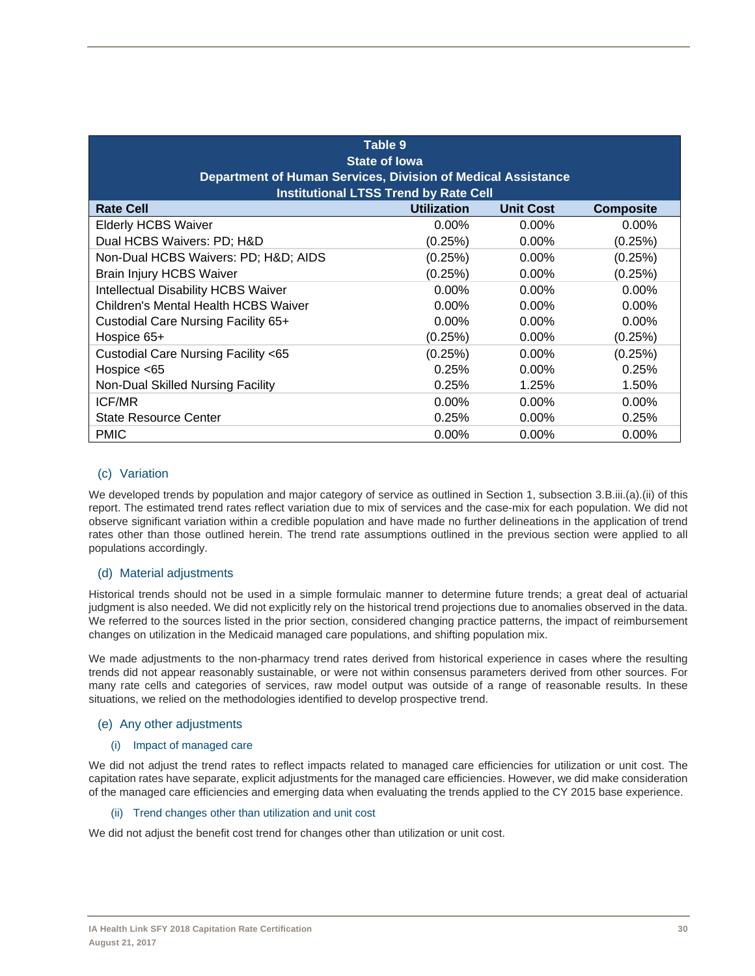| Table 9<br><b>State of lowa</b><br><b>Department of Human Services, Division of Medical Assistance</b><br><b>Institutional LTSS Trend by Rate Cell</b> |                    |                  |                  |  |  |  |
|--------------------------------------------------------------------------------------------------------------------------------------------------------|--------------------|------------------|------------------|--|--|--|
| <b>Rate Cell</b>                                                                                                                                       | <b>Utilization</b> | <b>Unit Cost</b> | <b>Composite</b> |  |  |  |
| <b>Elderly HCBS Waiver</b>                                                                                                                             | $0.00\%$           | $0.00\%$         | $0.00\%$         |  |  |  |
| Dual HCBS Waivers: PD; H&D                                                                                                                             | (0.25%)            | $0.00\%$         | (0.25%)          |  |  |  |
| Non-Dual HCBS Waivers: PD; H&D AIDS                                                                                                                    | (0.25%)            | $0.00\%$         | (0.25%)          |  |  |  |
| <b>Brain Injury HCBS Waiver</b><br>(0.25%)<br>(0.25%)<br>$0.00\%$                                                                                      |                    |                  |                  |  |  |  |
| <b>Intellectual Disability HCBS Waiver</b>                                                                                                             | $0.00\%$           | $0.00\%$         | $0.00\%$         |  |  |  |
| Children's Mental Health HCBS Waiver                                                                                                                   | $0.00\%$           | $0.00\%$         | $0.00\%$         |  |  |  |
| Custodial Care Nursing Facility 65+                                                                                                                    | $0.00\%$           | $0.00\%$         | $0.00\%$         |  |  |  |
| Hospice 65+                                                                                                                                            | (0.25%)            | $0.00\%$         | (0.25%)          |  |  |  |
| Custodial Care Nursing Facility <65                                                                                                                    | (0.25%)            | $0.00\%$         | (0.25%)          |  |  |  |
| Hospice $<$ 65                                                                                                                                         | 0.25%              | $0.00\%$         | 0.25%            |  |  |  |
| Non-Dual Skilled Nursing Facility                                                                                                                      | 0.25%              | 1.25%            | 1.50%            |  |  |  |
| <b>ICF/MR</b>                                                                                                                                          | $0.00\%$           | $0.00\%$         | $0.00\%$         |  |  |  |
| <b>State Resource Center</b>                                                                                                                           | 0.25%              | $0.00\%$         | 0.25%            |  |  |  |
| <b>PMIC</b>                                                                                                                                            | $0.00\%$           | $0.00\%$         | $0.00\%$         |  |  |  |

## (c) Variation

We developed trends by population and major category of service as outlined in Section 1, subsection 3.B.iii.(a).(ii) of this report. The estimated trend rates reflect variation due to mix of services and the case-mix for each population. We did not observe significant variation within a credible population and have made no further delineations in the application of trend rates other than those outlined herein. The trend rate assumptions outlined in the previous section were applied to all populations accordingly.

## (d) Material adjustments

Historical trends should not be used in a simple formulaic manner to determine future trends; a great deal of actuarial judgment is also needed. We did not explicitly rely on the historical trend projections due to anomalies observed in the data. We referred to the sources listed in the prior section, considered changing practice patterns, the impact of reimbursement changes on utilization in the Medicaid managed care populations, and shifting population mix.

We made adjustments to the non-pharmacy trend rates derived from historical experience in cases where the resulting trends did not appear reasonably sustainable, or were not within consensus parameters derived from other sources. For many rate cells and categories of services, raw model output was outside of a range of reasonable results. In these situations, we relied on the methodologies identified to develop prospective trend.

## (e) Any other adjustments

## (i) Impact of managed care

We did not adjust the trend rates to reflect impacts related to managed care efficiencies for utilization or unit cost. The capitation rates have separate, explicit adjustments for the managed care efficiencies. However, we did make consideration of the managed care efficiencies and emerging data when evaluating the trends applied to the CY 2015 base experience.

#### (ii) Trend changes other than utilization and unit cost

We did not adjust the benefit cost trend for changes other than utilization or unit cost.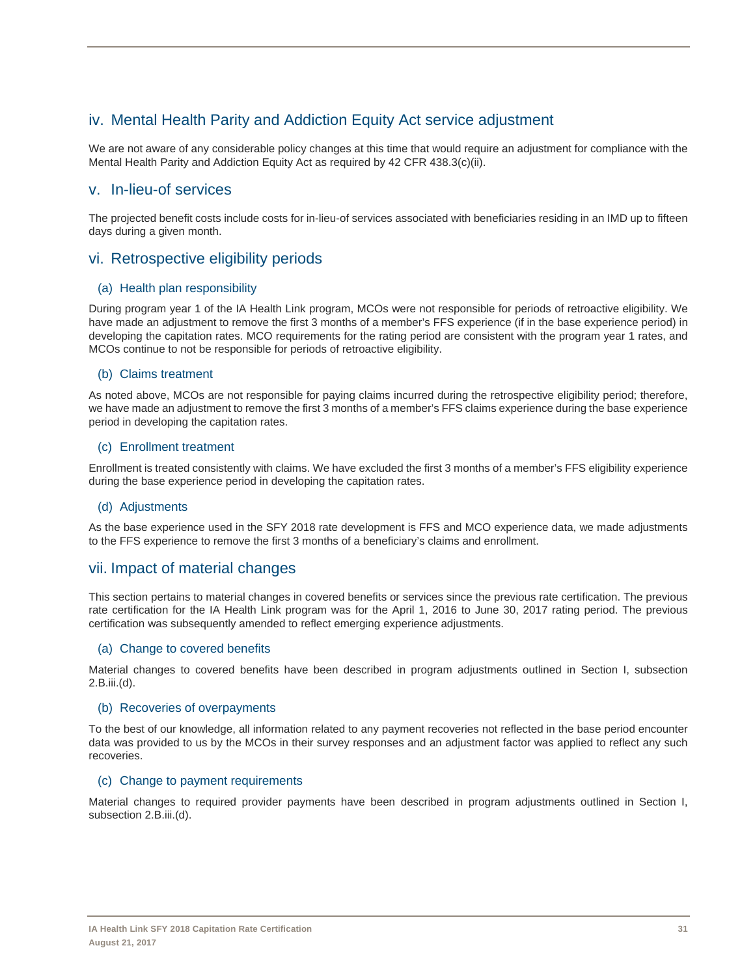# iv. Mental Health Parity and Addiction Equity Act service adjustment

We are not aware of any considerable policy changes at this time that would require an adjustment for compliance with the Mental Health Parity and Addiction Equity Act as required by 42 CFR 438.3(c)(ii).

## v. In-lieu-of services

The projected benefit costs include costs for in-lieu-of services associated with beneficiaries residing in an IMD up to fifteen days during a given month.

# vi. Retrospective eligibility periods

## (a) Health plan responsibility

During program year 1 of the IA Health Link program, MCOs were not responsible for periods of retroactive eligibility. We have made an adjustment to remove the first 3 months of a member's FFS experience (if in the base experience period) in developing the capitation rates. MCO requirements for the rating period are consistent with the program year 1 rates, and MCOs continue to not be responsible for periods of retroactive eligibility.

## (b) Claims treatment

As noted above, MCOs are not responsible for paying claims incurred during the retrospective eligibility period; therefore, we have made an adjustment to remove the first 3 months of a member's FFS claims experience during the base experience period in developing the capitation rates.

## (c) Enrollment treatment

Enrollment is treated consistently with claims. We have excluded the first 3 months of a member's FFS eligibility experience during the base experience period in developing the capitation rates.

## (d) Adjustments

As the base experience used in the SFY 2018 rate development is FFS and MCO experience data, we made adjustments to the FFS experience to remove the first 3 months of a beneficiary's claims and enrollment.

## vii. Impact of material changes

This section pertains to material changes in covered benefits or services since the previous rate certification. The previous rate certification for the IA Health Link program was for the April 1, 2016 to June 30, 2017 rating period. The previous certification was subsequently amended to reflect emerging experience adjustments.

## (a) Change to covered benefits

Material changes to covered benefits have been described in program adjustments outlined in Section I, subsection 2.B.iii.(d).

## (b) Recoveries of overpayments

To the best of our knowledge, all information related to any payment recoveries not reflected in the base period encounter data was provided to us by the MCOs in their survey responses and an adjustment factor was applied to reflect any such recoveries.

## (c) Change to payment requirements

Material changes to required provider payments have been described in program adjustments outlined in Section I, subsection 2.B.iii.(d).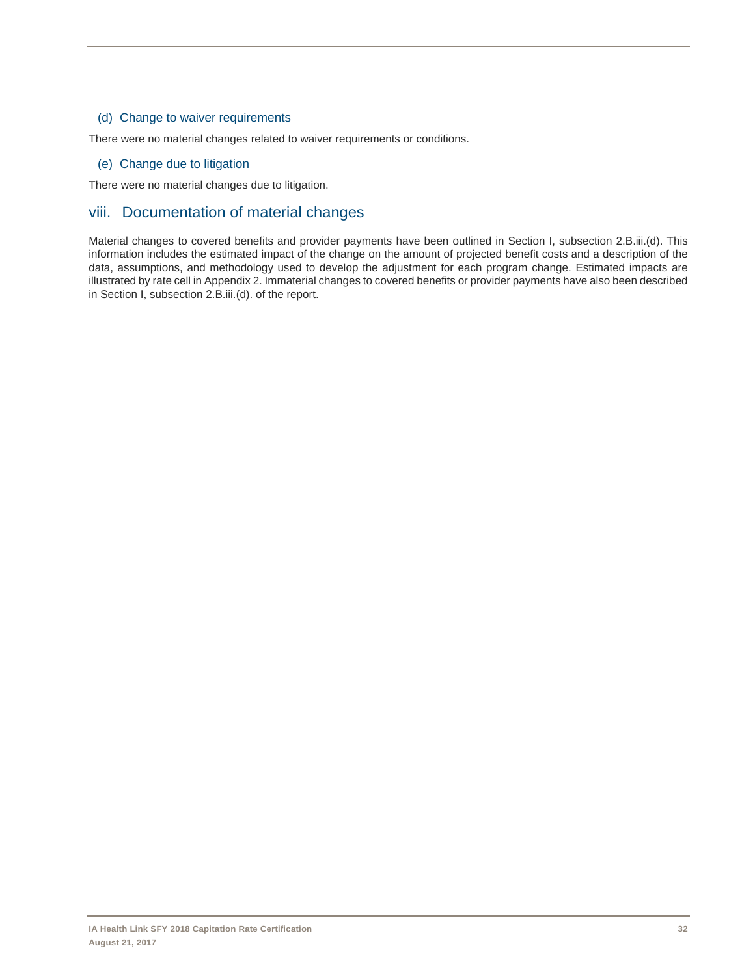#### (d) Change to waiver requirements

There were no material changes related to waiver requirements or conditions.

## (e) Change due to litigation

There were no material changes due to litigation.

# viii. Documentation of material changes

Material changes to covered benefits and provider payments have been outlined in Section I, subsection 2.B.iii.(d). This information includes the estimated impact of the change on the amount of projected benefit costs and a description of the data, assumptions, and methodology used to develop the adjustment for each program change. Estimated impacts are illustrated by rate cell in Appendix 2. Immaterial changes to covered benefits or provider payments have also been described in Section I, subsection 2.B.iii.(d). of the report.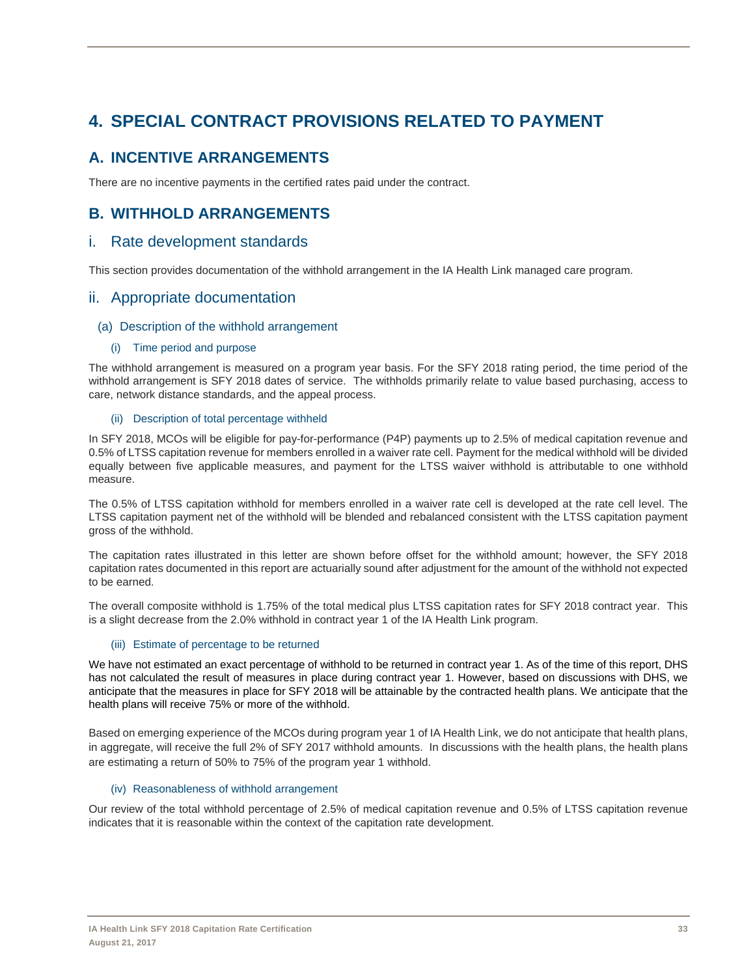# **4. SPECIAL CONTRACT PROVISIONS RELATED TO PAYMENT**

# **A. INCENTIVE ARRANGEMENTS**

There are no incentive payments in the certified rates paid under the contract.

# **B. WITHHOLD ARRANGEMENTS**

## i. Rate development standards

This section provides documentation of the withhold arrangement in the IA Health Link managed care program.

## ii. Appropriate documentation

#### (a) Description of the withhold arrangement

#### (i) Time period and purpose

The withhold arrangement is measured on a program year basis. For the SFY 2018 rating period, the time period of the withhold arrangement is SFY 2018 dates of service. The withholds primarily relate to value based purchasing, access to care, network distance standards, and the appeal process.

#### (ii) Description of total percentage withheld

In SFY 2018, MCOs will be eligible for pay-for-performance (P4P) payments up to 2.5% of medical capitation revenue and 0.5% of LTSS capitation revenue for members enrolled in a waiver rate cell. Payment for the medical withhold will be divided equally between five applicable measures, and payment for the LTSS waiver withhold is attributable to one withhold measure.

The 0.5% of LTSS capitation withhold for members enrolled in a waiver rate cell is developed at the rate cell level. The LTSS capitation payment net of the withhold will be blended and rebalanced consistent with the LTSS capitation payment gross of the withhold.

The capitation rates illustrated in this letter are shown before offset for the withhold amount; however, the SFY 2018 capitation rates documented in this report are actuarially sound after adjustment for the amount of the withhold not expected to be earned.

The overall composite withhold is 1.75% of the total medical plus LTSS capitation rates for SFY 2018 contract year. This is a slight decrease from the 2.0% withhold in contract year 1 of the IA Health Link program.

## (iii) Estimate of percentage to be returned

We have not estimated an exact percentage of withhold to be returned in contract year 1. As of the time of this report, DHS has not calculated the result of measures in place during contract year 1. However, based on discussions with DHS, we anticipate that the measures in place for SFY 2018 will be attainable by the contracted health plans. We anticipate that the health plans will receive 75% or more of the withhold.

Based on emerging experience of the MCOs during program year 1 of IA Health Link, we do not anticipate that health plans, in aggregate, will receive the full 2% of SFY 2017 withhold amounts. In discussions with the health plans, the health plans are estimating a return of 50% to 75% of the program year 1 withhold.

#### (iv) Reasonableness of withhold arrangement

Our review of the total withhold percentage of 2.5% of medical capitation revenue and 0.5% of LTSS capitation revenue indicates that it is reasonable within the context of the capitation rate development.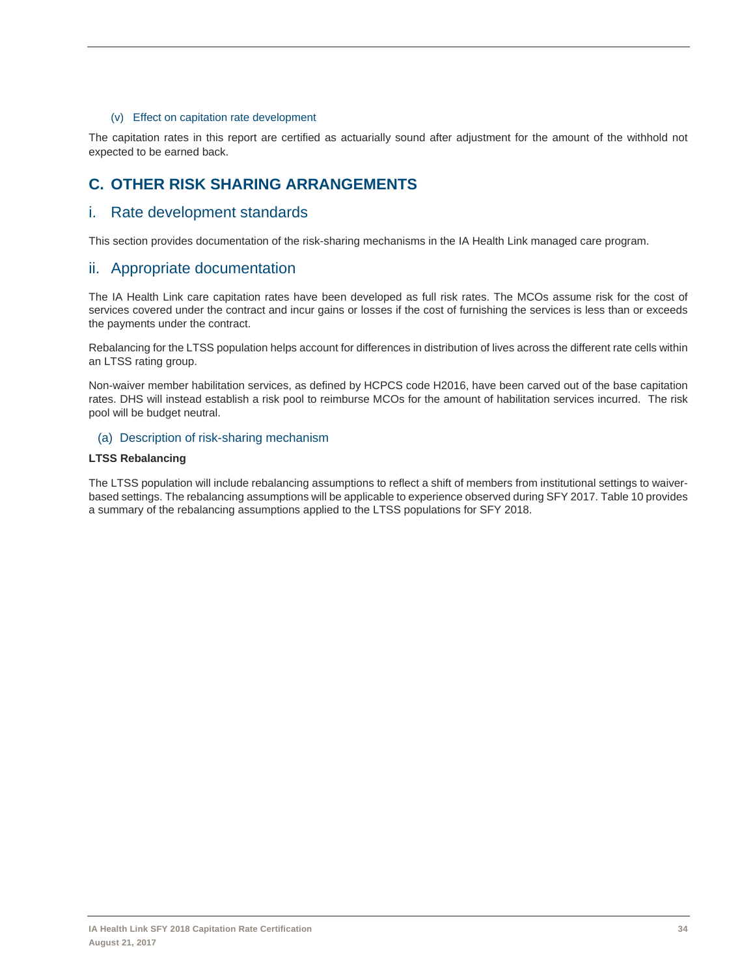#### (v) Effect on capitation rate development

The capitation rates in this report are certified as actuarially sound after adjustment for the amount of the withhold not expected to be earned back.

# **C. OTHER RISK SHARING ARRANGEMENTS**

## i. Rate development standards

This section provides documentation of the risk-sharing mechanisms in the IA Health Link managed care program.

## ii. Appropriate documentation

The IA Health Link care capitation rates have been developed as full risk rates. The MCOs assume risk for the cost of services covered under the contract and incur gains or losses if the cost of furnishing the services is less than or exceeds the payments under the contract.

Rebalancing for the LTSS population helps account for differences in distribution of lives across the different rate cells within an LTSS rating group.

Non-waiver member habilitation services, as defined by HCPCS code H2016, have been carved out of the base capitation rates. DHS will instead establish a risk pool to reimburse MCOs for the amount of habilitation services incurred. The risk pool will be budget neutral.

#### (a) Description of risk-sharing mechanism

#### **LTSS Rebalancing**

The LTSS population will include rebalancing assumptions to reflect a shift of members from institutional settings to waiverbased settings. The rebalancing assumptions will be applicable to experience observed during SFY 2017. Table 10 provides a summary of the rebalancing assumptions applied to the LTSS populations for SFY 2018.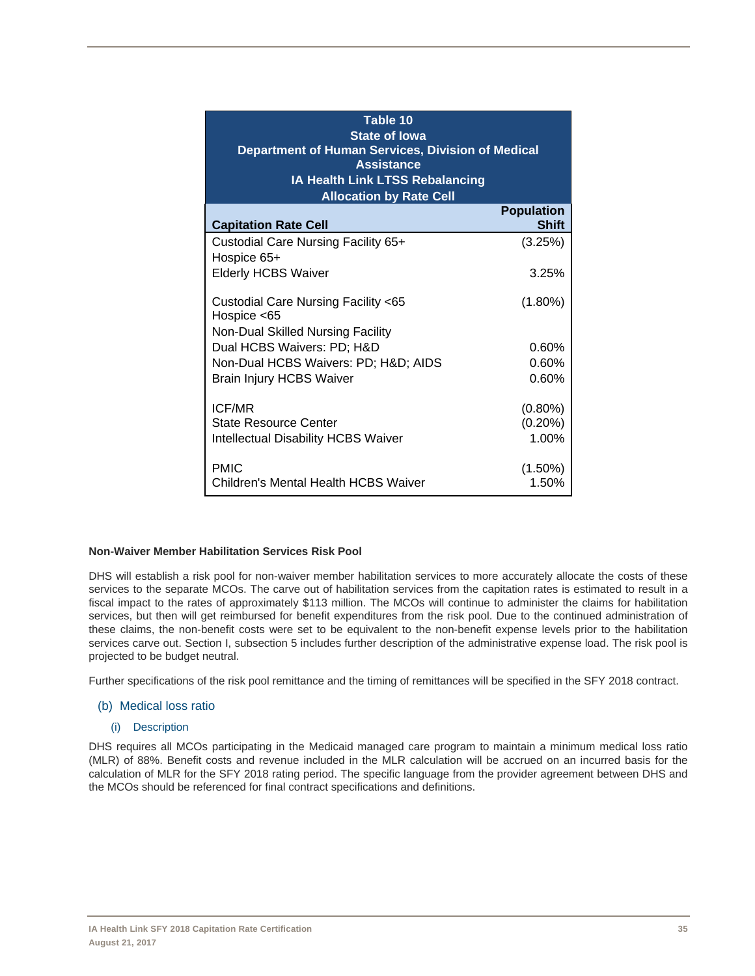| Table 10<br><b>State of lowa</b><br>Department of Human Services, Division of Medical<br><b>Assistance</b><br>IA Health Link LTSS Rebalancing<br><b>Allocation by Rate Cell</b> |                                   |  |  |  |  |  |  |  |  |  |  |
|---------------------------------------------------------------------------------------------------------------------------------------------------------------------------------|-----------------------------------|--|--|--|--|--|--|--|--|--|--|
| <b>Capitation Rate Cell</b>                                                                                                                                                     | <b>Population</b><br><b>Shift</b> |  |  |  |  |  |  |  |  |  |  |
| Custodial Care Nursing Facility 65+<br>Hospice 65+                                                                                                                              | (3.25%)                           |  |  |  |  |  |  |  |  |  |  |
| <b>Elderly HCBS Waiver</b>                                                                                                                                                      | 3.25%                             |  |  |  |  |  |  |  |  |  |  |
| Custodial Care Nursing Facility <65<br>Hospice $<$ 65<br>Non-Dual Skilled Nursing Facility                                                                                      | $(1.80\%)$                        |  |  |  |  |  |  |  |  |  |  |
| Dual HCBS Waivers: PD; H&D                                                                                                                                                      | 0.60%                             |  |  |  |  |  |  |  |  |  |  |
| Non-Dual HCBS Waivers: PD; H&D AIDS                                                                                                                                             | 0.60%                             |  |  |  |  |  |  |  |  |  |  |
| <b>Brain Injury HCBS Waiver</b>                                                                                                                                                 | 0.60%                             |  |  |  |  |  |  |  |  |  |  |
| <b>ICF/MR</b>                                                                                                                                                                   | $(0.80\%)$                        |  |  |  |  |  |  |  |  |  |  |
| State Resource Center                                                                                                                                                           | $(0.20\%)$                        |  |  |  |  |  |  |  |  |  |  |
| <b>Intellectual Disability HCBS Waiver</b><br><b>PMIC</b>                                                                                                                       | 1.00%<br>$(1.50\%)$               |  |  |  |  |  |  |  |  |  |  |
| Children's Mental Health HCBS Waiver                                                                                                                                            | 1.50%                             |  |  |  |  |  |  |  |  |  |  |

#### **Non-Waiver Member Habilitation Services Risk Pool**

DHS will establish a risk pool for non-waiver member habilitation services to more accurately allocate the costs of these services to the separate MCOs. The carve out of habilitation services from the capitation rates is estimated to result in a fiscal impact to the rates of approximately \$113 million. The MCOs will continue to administer the claims for habilitation services, but then will get reimbursed for benefit expenditures from the risk pool. Due to the continued administration of these claims, the non-benefit costs were set to be equivalent to the non-benefit expense levels prior to the habilitation services carve out. Section I, subsection 5 includes further description of the administrative expense load. The risk pool is projected to be budget neutral.

Further specifications of the risk pool remittance and the timing of remittances will be specified in the SFY 2018 contract.

#### (b) Medical loss ratio

#### (i) Description

DHS requires all MCOs participating in the Medicaid managed care program to maintain a minimum medical loss ratio (MLR) of 88%. Benefit costs and revenue included in the MLR calculation will be accrued on an incurred basis for the calculation of MLR for the SFY 2018 rating period. The specific language from the provider agreement between DHS and the MCOs should be referenced for final contract specifications and definitions.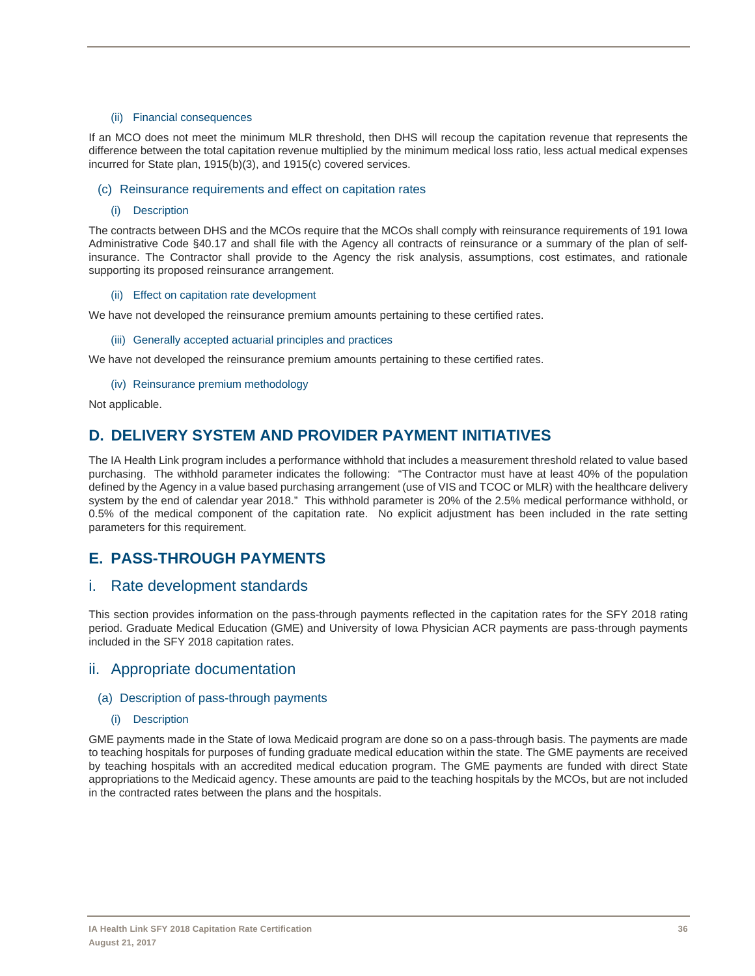#### (ii) Financial consequences

If an MCO does not meet the minimum MLR threshold, then DHS will recoup the capitation revenue that represents the difference between the total capitation revenue multiplied by the minimum medical loss ratio, less actual medical expenses incurred for State plan, 1915(b)(3), and 1915(c) covered services.

#### (c) Reinsurance requirements and effect on capitation rates

(i) Description

The contracts between DHS and the MCOs require that the MCOs shall comply with reinsurance requirements of 191 Iowa Administrative Code §40.17 and shall file with the Agency all contracts of reinsurance or a summary of the plan of selfinsurance. The Contractor shall provide to the Agency the risk analysis, assumptions, cost estimates, and rationale supporting its proposed reinsurance arrangement.

#### (ii) Effect on capitation rate development

We have not developed the reinsurance premium amounts pertaining to these certified rates.

#### (iii) Generally accepted actuarial principles and practices

We have not developed the reinsurance premium amounts pertaining to these certified rates.

(iv) Reinsurance premium methodology

Not applicable.

## **D. DELIVERY SYSTEM AND PROVIDER PAYMENT INITIATIVES**

The IA Health Link program includes a performance withhold that includes a measurement threshold related to value based purchasing. The withhold parameter indicates the following: "The Contractor must have at least 40% of the population defined by the Agency in a value based purchasing arrangement (use of VIS and TCOC or MLR) with the healthcare delivery system by the end of calendar year 2018." This withhold parameter is 20% of the 2.5% medical performance withhold, or 0.5% of the medical component of the capitation rate. No explicit adjustment has been included in the rate setting parameters for this requirement.

## **E. PASS-THROUGH PAYMENTS**

### i. Rate development standards

This section provides information on the pass-through payments reflected in the capitation rates for the SFY 2018 rating period. Graduate Medical Education (GME) and University of Iowa Physician ACR payments are pass-through payments included in the SFY 2018 capitation rates.

### ii. Appropriate documentation

### (a) Description of pass-through payments

#### (i) Description

GME payments made in the State of Iowa Medicaid program are done so on a pass-through basis. The payments are made to teaching hospitals for purposes of funding graduate medical education within the state. The GME payments are received by teaching hospitals with an accredited medical education program. The GME payments are funded with direct State appropriations to the Medicaid agency. These amounts are paid to the teaching hospitals by the MCOs, but are not included in the contracted rates between the plans and the hospitals.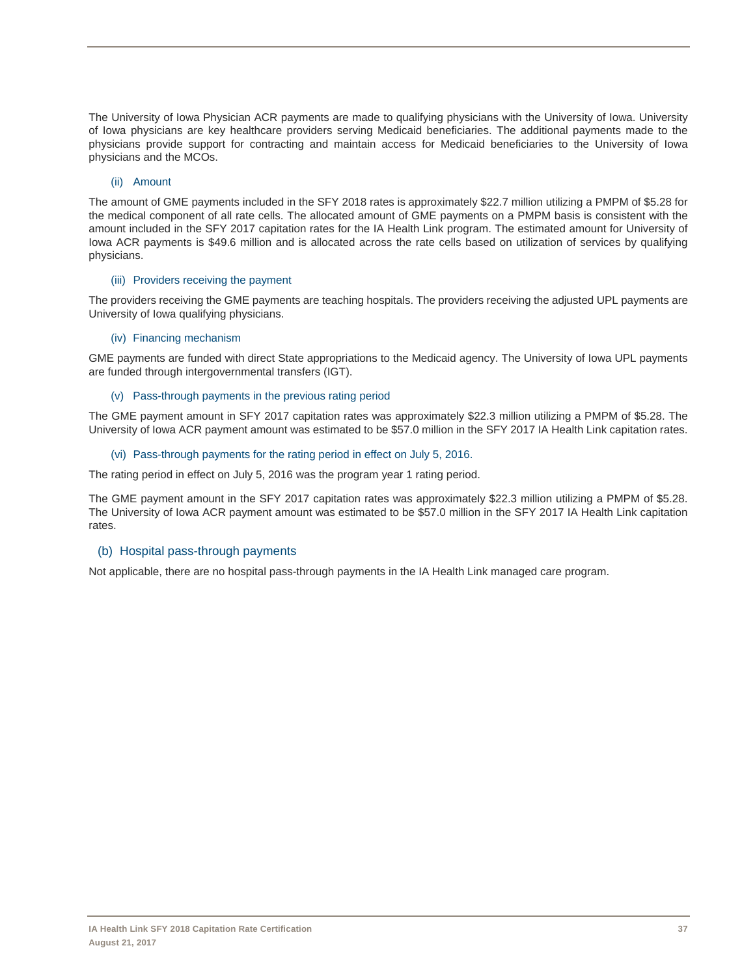The University of Iowa Physician ACR payments are made to qualifying physicians with the University of Iowa. University of Iowa physicians are key healthcare providers serving Medicaid beneficiaries. The additional payments made to the physicians provide support for contracting and maintain access for Medicaid beneficiaries to the University of Iowa physicians and the MCOs.

#### (ii) Amount

The amount of GME payments included in the SFY 2018 rates is approximately \$22.7 million utilizing a PMPM of \$5.28 for the medical component of all rate cells. The allocated amount of GME payments on a PMPM basis is consistent with the amount included in the SFY 2017 capitation rates for the IA Health Link program. The estimated amount for University of Iowa ACR payments is \$49.6 million and is allocated across the rate cells based on utilization of services by qualifying physicians.

#### (iii) Providers receiving the payment

The providers receiving the GME payments are teaching hospitals. The providers receiving the adjusted UPL payments are University of Iowa qualifying physicians.

#### (iv) Financing mechanism

GME payments are funded with direct State appropriations to the Medicaid agency. The University of Iowa UPL payments are funded through intergovernmental transfers (IGT).

#### (v) Pass-through payments in the previous rating period

The GME payment amount in SFY 2017 capitation rates was approximately \$22.3 million utilizing a PMPM of \$5.28. The University of Iowa ACR payment amount was estimated to be \$57.0 million in the SFY 2017 IA Health Link capitation rates.

#### (vi) Pass-through payments for the rating period in effect on July 5, 2016.

The rating period in effect on July 5, 2016 was the program year 1 rating period.

The GME payment amount in the SFY 2017 capitation rates was approximately \$22.3 million utilizing a PMPM of \$5.28. The University of Iowa ACR payment amount was estimated to be \$57.0 million in the SFY 2017 IA Health Link capitation rates.

### (b) Hospital pass-through payments

Not applicable, there are no hospital pass-through payments in the IA Health Link managed care program.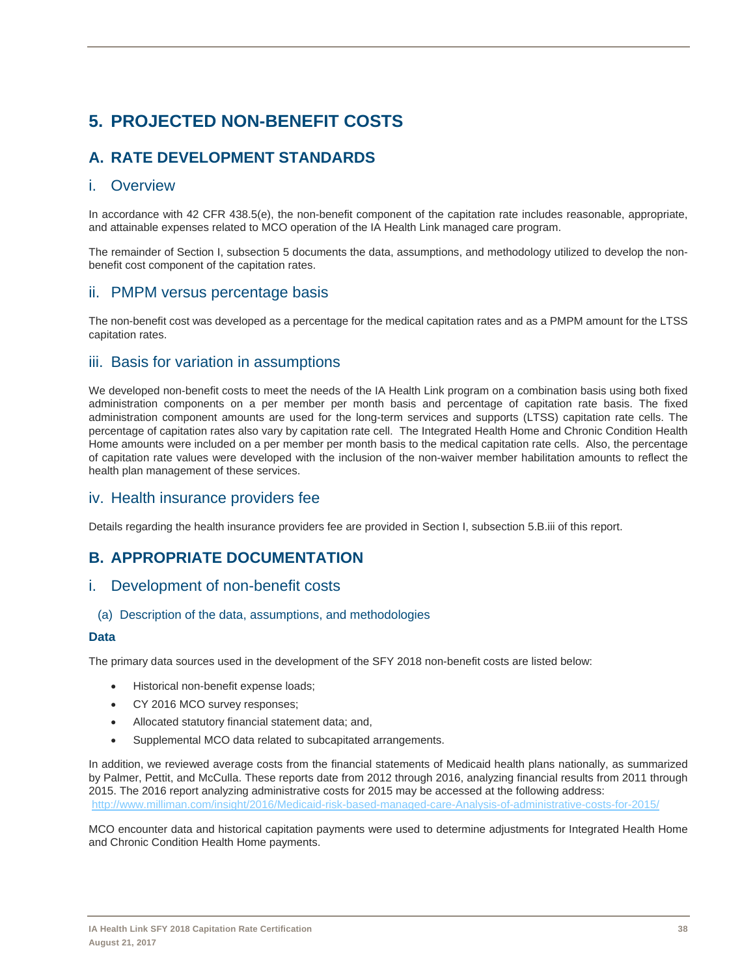# **5. PROJECTED NON-BENEFIT COSTS**

# **A. RATE DEVELOPMENT STANDARDS**

## i. Overview

In accordance with 42 CFR 438.5(e), the non-benefit component of the capitation rate includes reasonable, appropriate, and attainable expenses related to MCO operation of the IA Health Link managed care program.

The remainder of Section I, subsection 5 documents the data, assumptions, and methodology utilized to develop the nonbenefit cost component of the capitation rates.

## ii. PMPM versus percentage basis

The non-benefit cost was developed as a percentage for the medical capitation rates and as a PMPM amount for the LTSS capitation rates.

## iii. Basis for variation in assumptions

We developed non-benefit costs to meet the needs of the IA Health Link program on a combination basis using both fixed administration components on a per member per month basis and percentage of capitation rate basis. The fixed administration component amounts are used for the long-term services and supports (LTSS) capitation rate cells. The percentage of capitation rates also vary by capitation rate cell. The Integrated Health Home and Chronic Condition Health Home amounts were included on a per member per month basis to the medical capitation rate cells. Also, the percentage of capitation rate values were developed with the inclusion of the non-waiver member habilitation amounts to reflect the health plan management of these services.

## iv. Health insurance providers fee

Details regarding the health insurance providers fee are provided in Section I, subsection 5.B.iii of this report.

## **B. APPROPRIATE DOCUMENTATION**

### i. Development of non-benefit costs

### (a) Description of the data, assumptions, and methodologies

### **Data**

The primary data sources used in the development of the SFY 2018 non-benefit costs are listed below:

- Historical non-benefit expense loads;
- CY 2016 MCO survey responses;
- Allocated statutory financial statement data; and,
- Supplemental MCO data related to subcapitated arrangements.

In addition, we reviewed average costs from the financial statements of Medicaid health plans nationally, as summarized by Palmer, Pettit, and McCulla. These reports date from 2012 through 2016, analyzing financial results from 2011 through 2015. The 2016 report analyzing administrative costs for 2015 may be accessed at the following address: http://www.milliman.com/insight/2016/Medicaid-risk-based-managed-care-Analysis-of-administrative-costs-for-2015/

MCO encounter data and historical capitation payments were used to determine adjustments for Integrated Health Home and Chronic Condition Health Home payments.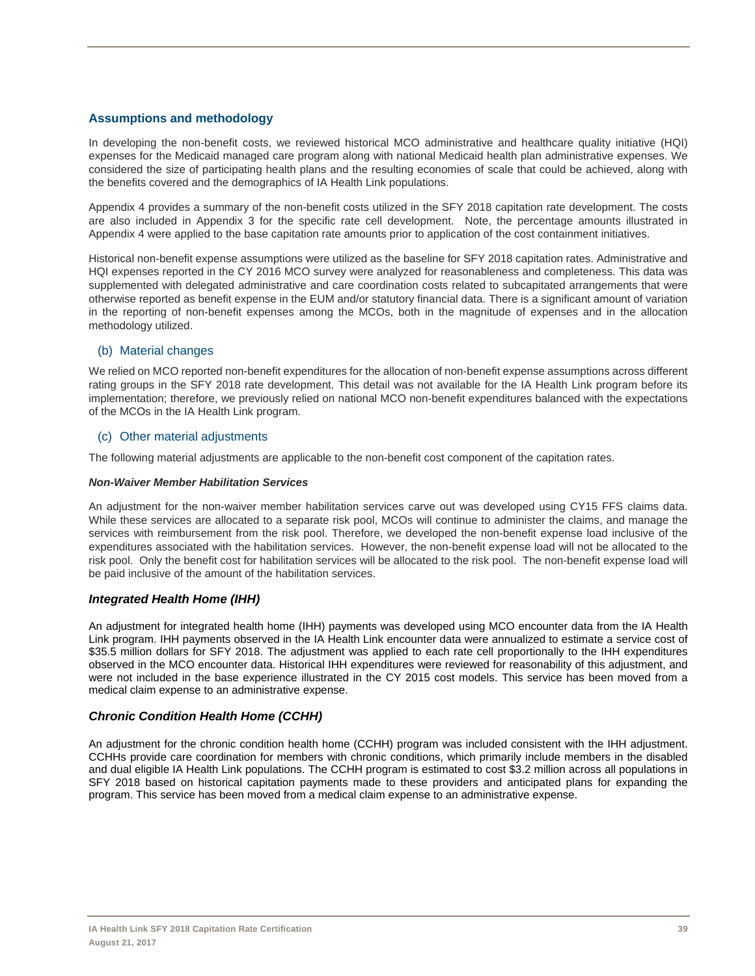### **Assumptions and methodology**

In developing the non-benefit costs, we reviewed historical MCO administrative and healthcare quality initiative (HQI) expenses for the Medicaid managed care program along with national Medicaid health plan administrative expenses. We considered the size of participating health plans and the resulting economies of scale that could be achieved, along with the benefits covered and the demographics of IA Health Link populations.

Appendix 4 provides a summary of the non-benefit costs utilized in the SFY 2018 capitation rate development. The costs are also included in Appendix 3 for the specific rate cell development. Note, the percentage amounts illustrated in Appendix 4 were applied to the base capitation rate amounts prior to application of the cost containment initiatives.

Historical non-benefit expense assumptions were utilized as the baseline for SFY 2018 capitation rates. Administrative and HQI expenses reported in the CY 2016 MCO survey were analyzed for reasonableness and completeness. This data was supplemented with delegated administrative and care coordination costs related to subcapitated arrangements that were otherwise reported as benefit expense in the EUM and/or statutory financial data. There is a significant amount of variation in the reporting of non-benefit expenses among the MCOs, both in the magnitude of expenses and in the allocation methodology utilized.

### (b) Material changes

We relied on MCO reported non-benefit expenditures for the allocation of non-benefit expense assumptions across different rating groups in the SFY 2018 rate development. This detail was not available for the IA Health Link program before its implementation; therefore, we previously relied on national MCO non-benefit expenditures balanced with the expectations of the MCOs in the IA Health Link program.

### (c) Other material adjustments

The following material adjustments are applicable to the non-benefit cost component of the capitation rates.

#### *Non-Waiver Member Habilitation Services*

An adjustment for the non-waiver member habilitation services carve out was developed using CY15 FFS claims data. While these services are allocated to a separate risk pool, MCOs will continue to administer the claims, and manage the services with reimbursement from the risk pool. Therefore, we developed the non-benefit expense load inclusive of the expenditures associated with the habilitation services. However, the non-benefit expense load will not be allocated to the risk pool. Only the benefit cost for habilitation services will be allocated to the risk pool. The non-benefit expense load will be paid inclusive of the amount of the habilitation services.

### *Integrated Health Home (IHH)*

An adjustment for integrated health home (IHH) payments was developed using MCO encounter data from the IA Health Link program. IHH payments observed in the IA Health Link encounter data were annualized to estimate a service cost of \$35.5 million dollars for SFY 2018. The adjustment was applied to each rate cell proportionally to the IHH expenditures observed in the MCO encounter data. Historical IHH expenditures were reviewed for reasonability of this adjustment, and were not included in the base experience illustrated in the CY 2015 cost models. This service has been moved from a medical claim expense to an administrative expense.

### *Chronic Condition Health Home (CCHH)*

An adjustment for the chronic condition health home (CCHH) program was included consistent with the IHH adjustment. CCHHs provide care coordination for members with chronic conditions, which primarily include members in the disabled and dual eligible IA Health Link populations. The CCHH program is estimated to cost \$3.2 million across all populations in SFY 2018 based on historical capitation payments made to these providers and anticipated plans for expanding the program. This service has been moved from a medical claim expense to an administrative expense.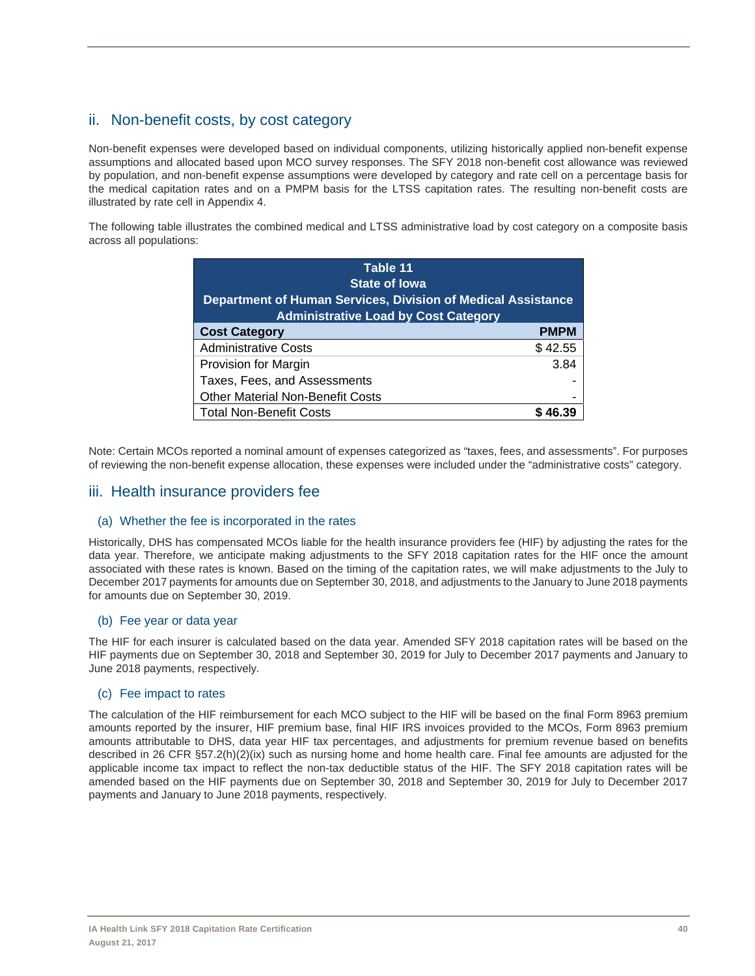## ii. Non-benefit costs, by cost category

Non-benefit expenses were developed based on individual components, utilizing historically applied non-benefit expense assumptions and allocated based upon MCO survey responses. The SFY 2018 non-benefit cost allowance was reviewed by population, and non-benefit expense assumptions were developed by category and rate cell on a percentage basis for the medical capitation rates and on a PMPM basis for the LTSS capitation rates. The resulting non-benefit costs are illustrated by rate cell in Appendix 4.

The following table illustrates the combined medical and LTSS administrative load by cost category on a composite basis across all populations:

| Table 11<br><b>State of lowa</b><br>Department of Human Services, Division of Medical Assistance<br><b>Administrative Load by Cost Category</b> |             |
|-------------------------------------------------------------------------------------------------------------------------------------------------|-------------|
| <b>Cost Category</b>                                                                                                                            | <b>PMPM</b> |
| <b>Administrative Costs</b>                                                                                                                     | \$42.55     |
| Provision for Margin                                                                                                                            | 3.84        |
| Taxes, Fees, and Assessments                                                                                                                    |             |
| <b>Other Material Non-Benefit Costs</b>                                                                                                         |             |
| <b>Total Non-Benefit Costs</b>                                                                                                                  |             |

Note: Certain MCOs reported a nominal amount of expenses categorized as "taxes, fees, and assessments". For purposes of reviewing the non-benefit expense allocation, these expenses were included under the "administrative costs" category.

### iii. Health insurance providers fee

### (a) Whether the fee is incorporated in the rates

Historically, DHS has compensated MCOs liable for the health insurance providers fee (HIF) by adjusting the rates for the data year. Therefore, we anticipate making adjustments to the SFY 2018 capitation rates for the HIF once the amount associated with these rates is known. Based on the timing of the capitation rates, we will make adjustments to the July to December 2017 payments for amounts due on September 30, 2018, and adjustments to the January to June 2018 payments for amounts due on September 30, 2019.

### (b) Fee year or data year

The HIF for each insurer is calculated based on the data year. Amended SFY 2018 capitation rates will be based on the HIF payments due on September 30, 2018 and September 30, 2019 for July to December 2017 payments and January to June 2018 payments, respectively.

### (c) Fee impact to rates

The calculation of the HIF reimbursement for each MCO subject to the HIF will be based on the final Form 8963 premium amounts reported by the insurer, HIF premium base, final HIF IRS invoices provided to the MCOs, Form 8963 premium amounts attributable to DHS, data year HIF tax percentages, and adjustments for premium revenue based on benefits described in 26 CFR §57.2(h)(2)(ix) such as nursing home and home health care. Final fee amounts are adjusted for the applicable income tax impact to reflect the non-tax deductible status of the HIF. The SFY 2018 capitation rates will be amended based on the HIF payments due on September 30, 2018 and September 30, 2019 for July to December 2017 payments and January to June 2018 payments, respectively.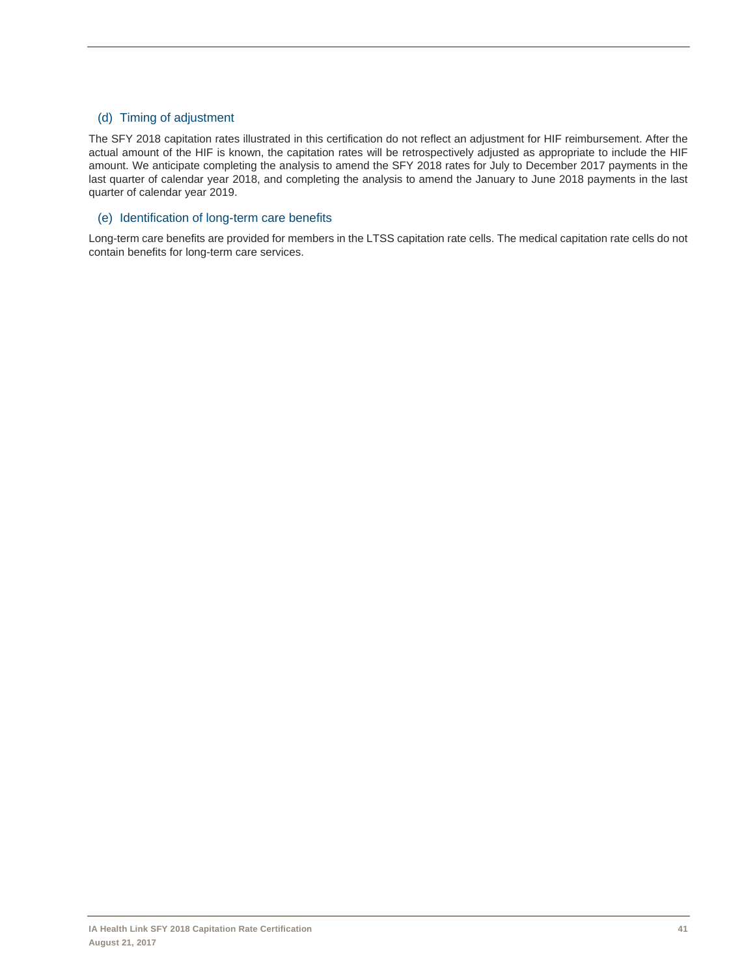### (d) Timing of adjustment

The SFY 2018 capitation rates illustrated in this certification do not reflect an adjustment for HIF reimbursement. After the actual amount of the HIF is known, the capitation rates will be retrospectively adjusted as appropriate to include the HIF amount. We anticipate completing the analysis to amend the SFY 2018 rates for July to December 2017 payments in the last quarter of calendar year 2018, and completing the analysis to amend the January to June 2018 payments in the last quarter of calendar year 2019.

### (e) Identification of long-term care benefits

Long-term care benefits are provided for members in the LTSS capitation rate cells. The medical capitation rate cells do not contain benefits for long-term care services.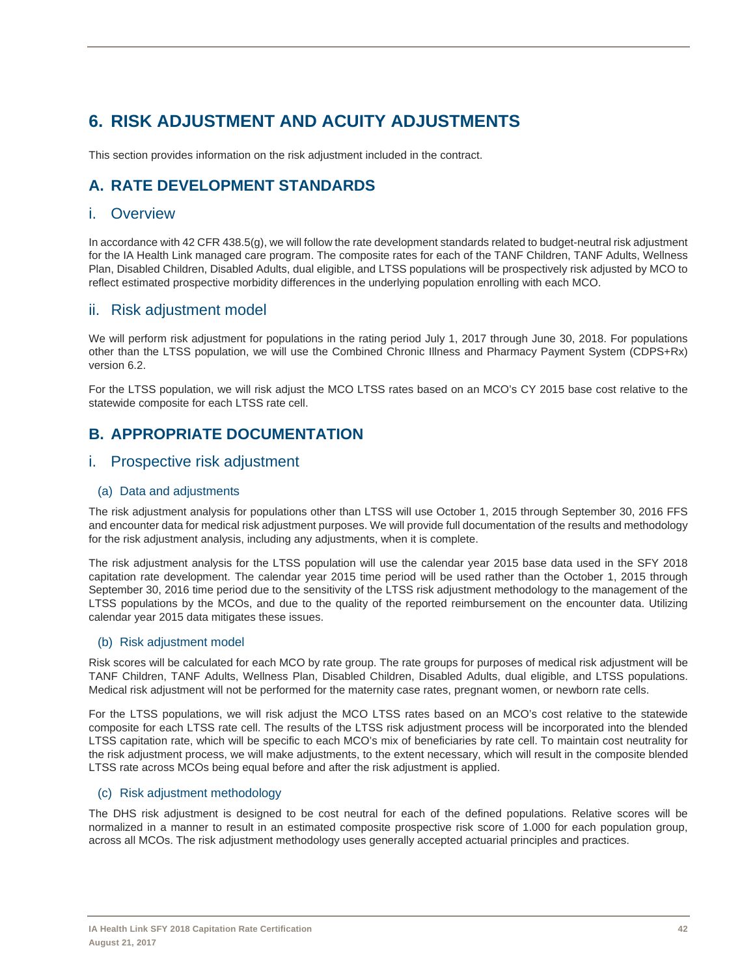# **6. RISK ADJUSTMENT AND ACUITY ADJUSTMENTS**

This section provides information on the risk adjustment included in the contract.

# **A. RATE DEVELOPMENT STANDARDS**

### i. Overview

In accordance with 42 CFR 438.5(g), we will follow the rate development standards related to budget-neutral risk adjustment for the IA Health Link managed care program. The composite rates for each of the TANF Children, TANF Adults, Wellness Plan, Disabled Children, Disabled Adults, dual eligible, and LTSS populations will be prospectively risk adjusted by MCO to reflect estimated prospective morbidity differences in the underlying population enrolling with each MCO.

## ii. Risk adjustment model

We will perform risk adjustment for populations in the rating period July 1, 2017 through June 30, 2018. For populations other than the LTSS population, we will use the Combined Chronic Illness and Pharmacy Payment System (CDPS+Rx) version 6.2.

For the LTSS population, we will risk adjust the MCO LTSS rates based on an MCO's CY 2015 base cost relative to the statewide composite for each LTSS rate cell.

## **B. APPROPRIATE DOCUMENTATION**

## i. Prospective risk adjustment

### (a) Data and adjustments

The risk adjustment analysis for populations other than LTSS will use October 1, 2015 through September 30, 2016 FFS and encounter data for medical risk adjustment purposes. We will provide full documentation of the results and methodology for the risk adjustment analysis, including any adjustments, when it is complete.

The risk adjustment analysis for the LTSS population will use the calendar year 2015 base data used in the SFY 2018 capitation rate development. The calendar year 2015 time period will be used rather than the October 1, 2015 through September 30, 2016 time period due to the sensitivity of the LTSS risk adjustment methodology to the management of the LTSS populations by the MCOs, and due to the quality of the reported reimbursement on the encounter data. Utilizing calendar year 2015 data mitigates these issues.

### (b) Risk adjustment model

Risk scores will be calculated for each MCO by rate group. The rate groups for purposes of medical risk adjustment will be TANF Children, TANF Adults, Wellness Plan, Disabled Children, Disabled Adults, dual eligible, and LTSS populations. Medical risk adjustment will not be performed for the maternity case rates, pregnant women, or newborn rate cells.

For the LTSS populations, we will risk adjust the MCO LTSS rates based on an MCO's cost relative to the statewide composite for each LTSS rate cell. The results of the LTSS risk adjustment process will be incorporated into the blended LTSS capitation rate, which will be specific to each MCO's mix of beneficiaries by rate cell. To maintain cost neutrality for the risk adjustment process, we will make adjustments, to the extent necessary, which will result in the composite blended LTSS rate across MCOs being equal before and after the risk adjustment is applied.

### (c) Risk adjustment methodology

The DHS risk adjustment is designed to be cost neutral for each of the defined populations. Relative scores will be normalized in a manner to result in an estimated composite prospective risk score of 1.000 for each population group, across all MCOs. The risk adjustment methodology uses generally accepted actuarial principles and practices.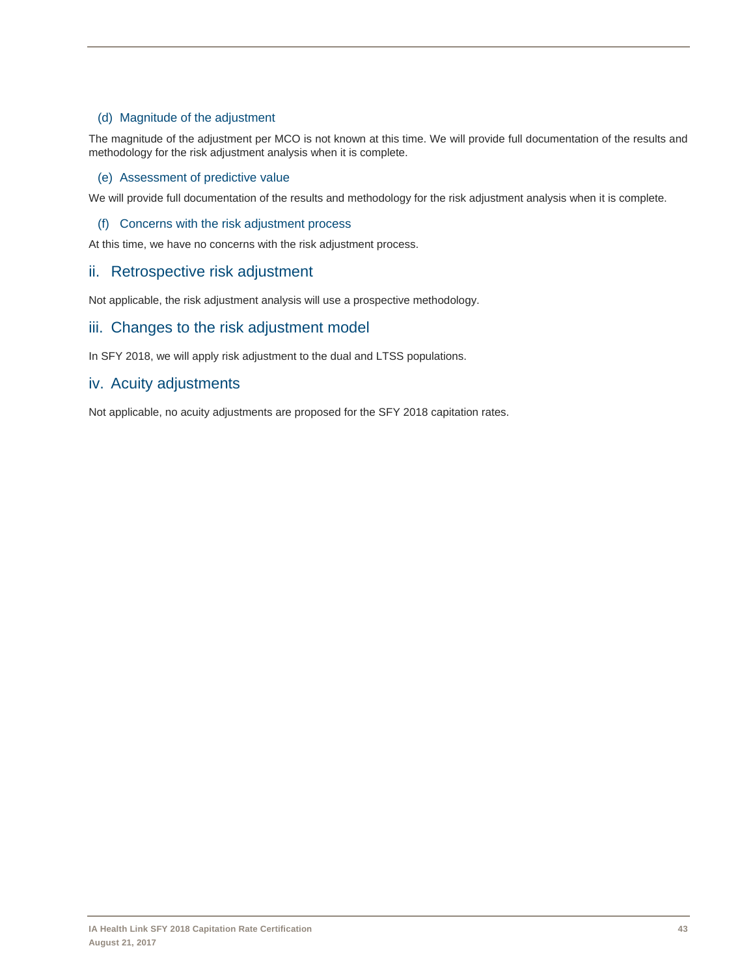### (d) Magnitude of the adjustment

The magnitude of the adjustment per MCO is not known at this time. We will provide full documentation of the results and methodology for the risk adjustment analysis when it is complete.

#### (e) Assessment of predictive value

We will provide full documentation of the results and methodology for the risk adjustment analysis when it is complete.

#### (f) Concerns with the risk adjustment process

At this time, we have no concerns with the risk adjustment process.

### ii. Retrospective risk adjustment

Not applicable, the risk adjustment analysis will use a prospective methodology.

### iii. Changes to the risk adjustment model

In SFY 2018, we will apply risk adjustment to the dual and LTSS populations.

### iv. Acuity adjustments

Not applicable, no acuity adjustments are proposed for the SFY 2018 capitation rates.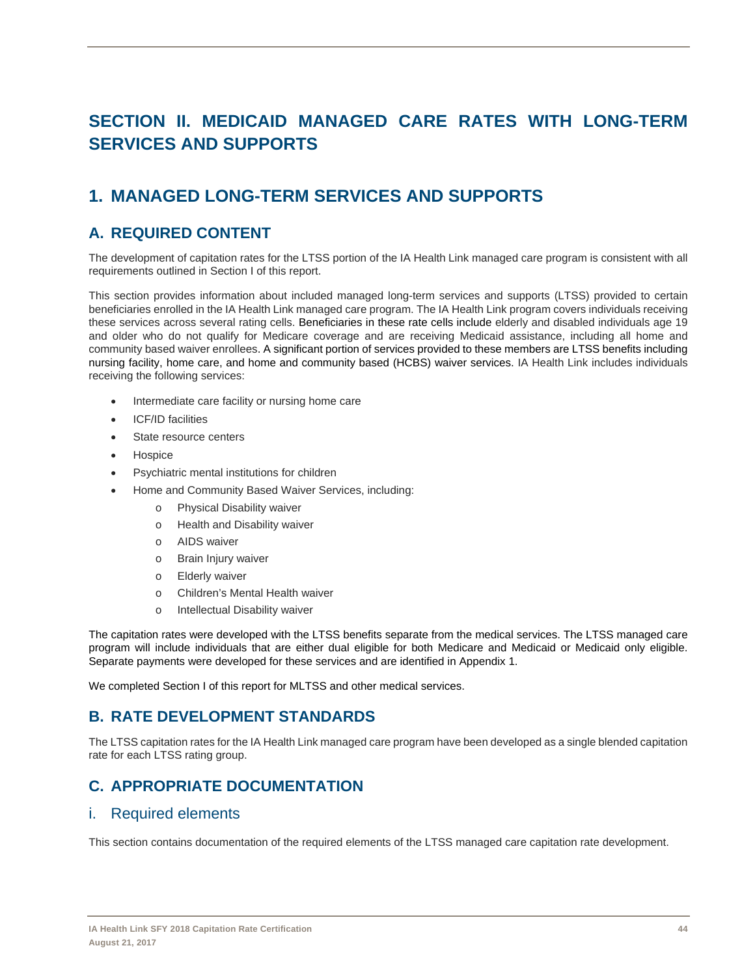# **SECTION II. MEDICAID MANAGED CARE RATES WITH LONG-TERM SERVICES AND SUPPORTS**

# **1. MANAGED LONG-TERM SERVICES AND SUPPORTS**

## **A. REQUIRED CONTENT**

The development of capitation rates for the LTSS portion of the IA Health Link managed care program is consistent with all requirements outlined in Section I of this report.

This section provides information about included managed long-term services and supports (LTSS) provided to certain beneficiaries enrolled in the IA Health Link managed care program. The IA Health Link program covers individuals receiving these services across several rating cells. Beneficiaries in these rate cells include elderly and disabled individuals age 19 and older who do not qualify for Medicare coverage and are receiving Medicaid assistance, including all home and community based waiver enrollees. A significant portion of services provided to these members are LTSS benefits including nursing facility, home care, and home and community based (HCBS) waiver services. IA Health Link includes individuals receiving the following services:

- Intermediate care facility or nursing home care
- ICF/ID facilities
- State resource centers
- **Hospice**
- Psychiatric mental institutions for children
- Home and Community Based Waiver Services, including:
	- o Physical Disability waiver
	- o Health and Disability waiver
	- o AIDS waiver
	- o Brain Injury waiver
	- o Elderly waiver
	- o Children's Mental Health waiver
	- o Intellectual Disability waiver

The capitation rates were developed with the LTSS benefits separate from the medical services. The LTSS managed care program will include individuals that are either dual eligible for both Medicare and Medicaid or Medicaid only eligible. Separate payments were developed for these services and are identified in Appendix 1.

We completed Section I of this report for MLTSS and other medical services.

## **B. RATE DEVELOPMENT STANDARDS**

The LTSS capitation rates for the IA Health Link managed care program have been developed as a single blended capitation rate for each LTSS rating group.

## **C. APPROPRIATE DOCUMENTATION**

### i. Required elements

This section contains documentation of the required elements of the LTSS managed care capitation rate development.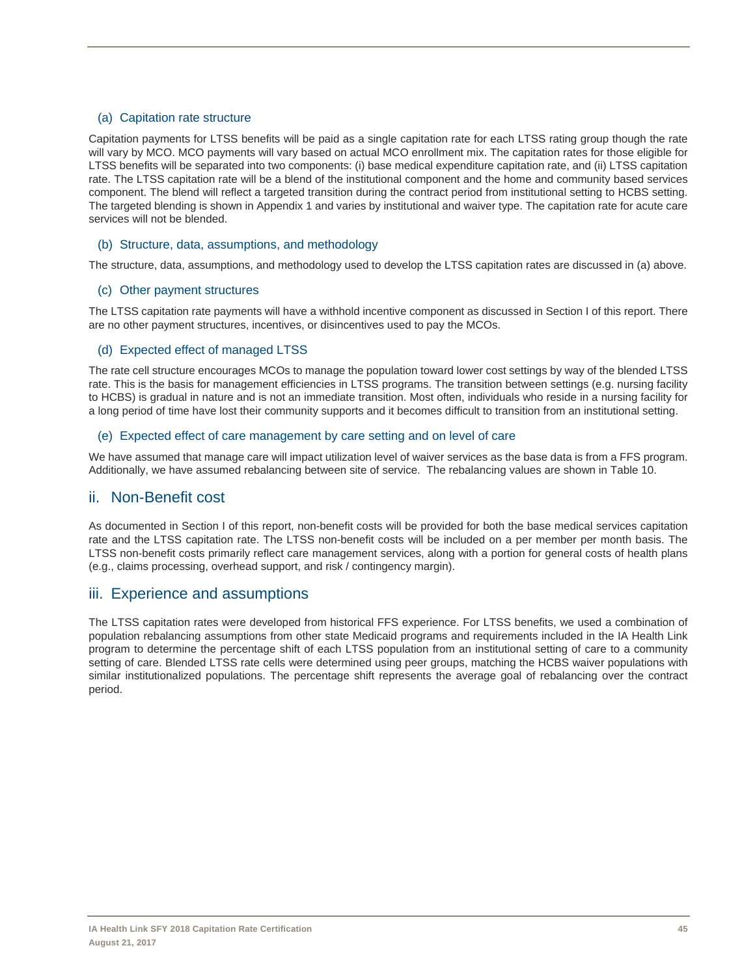### (a) Capitation rate structure

Capitation payments for LTSS benefits will be paid as a single capitation rate for each LTSS rating group though the rate will vary by MCO. MCO payments will vary based on actual MCO enrollment mix. The capitation rates for those eligible for LTSS benefits will be separated into two components: (i) base medical expenditure capitation rate, and (ii) LTSS capitation rate. The LTSS capitation rate will be a blend of the institutional component and the home and community based services component. The blend will reflect a targeted transition during the contract period from institutional setting to HCBS setting. The targeted blending is shown in Appendix 1 and varies by institutional and waiver type. The capitation rate for acute care services will not be blended.

### (b) Structure, data, assumptions, and methodology

The structure, data, assumptions, and methodology used to develop the LTSS capitation rates are discussed in (a) above.

### (c) Other payment structures

The LTSS capitation rate payments will have a withhold incentive component as discussed in Section I of this report. There are no other payment structures, incentives, or disincentives used to pay the MCOs.

### (d) Expected effect of managed LTSS

The rate cell structure encourages MCOs to manage the population toward lower cost settings by way of the blended LTSS rate. This is the basis for management efficiencies in LTSS programs. The transition between settings (e.g. nursing facility to HCBS) is gradual in nature and is not an immediate transition. Most often, individuals who reside in a nursing facility for a long period of time have lost their community supports and it becomes difficult to transition from an institutional setting.

### (e) Expected effect of care management by care setting and on level of care

We have assumed that manage care will impact utilization level of waiver services as the base data is from a FFS program. Additionally, we have assumed rebalancing between site of service. The rebalancing values are shown in Table 10.

## ii. Non-Benefit cost

As documented in Section I of this report, non-benefit costs will be provided for both the base medical services capitation rate and the LTSS capitation rate. The LTSS non-benefit costs will be included on a per member per month basis. The LTSS non-benefit costs primarily reflect care management services, along with a portion for general costs of health plans (e.g., claims processing, overhead support, and risk / contingency margin).

## iii. Experience and assumptions

The LTSS capitation rates were developed from historical FFS experience. For LTSS benefits, we used a combination of population rebalancing assumptions from other state Medicaid programs and requirements included in the IA Health Link program to determine the percentage shift of each LTSS population from an institutional setting of care to a community setting of care. Blended LTSS rate cells were determined using peer groups, matching the HCBS waiver populations with similar institutionalized populations. The percentage shift represents the average goal of rebalancing over the contract period.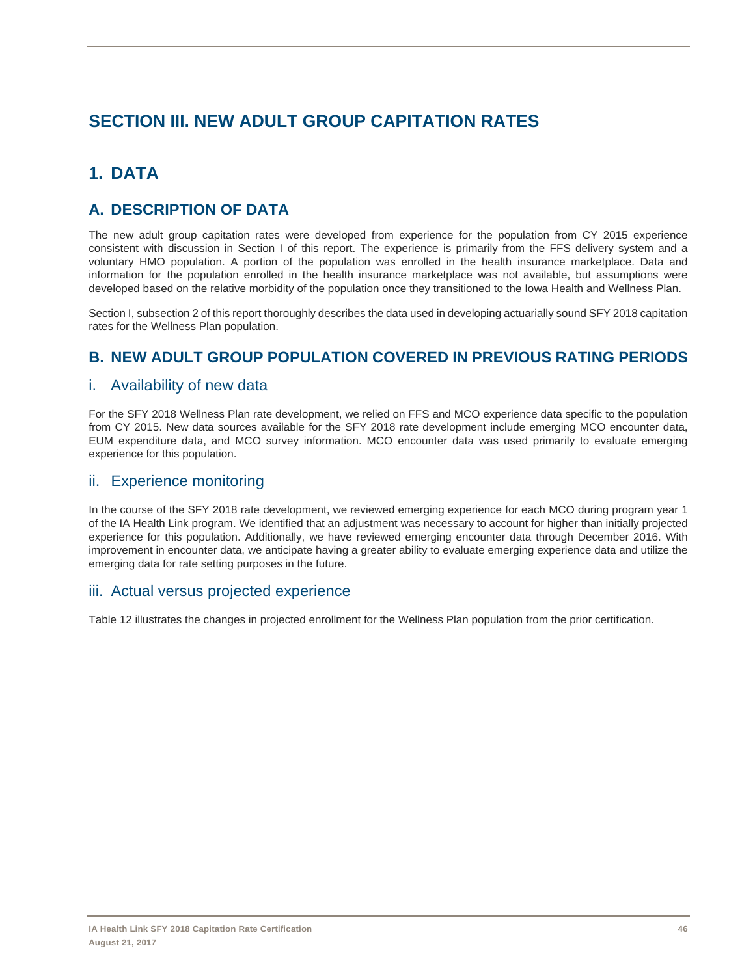# **SECTION III. NEW ADULT GROUP CAPITATION RATES**

# **1. DATA**

## **A. DESCRIPTION OF DATA**

The new adult group capitation rates were developed from experience for the population from CY 2015 experience consistent with discussion in Section I of this report. The experience is primarily from the FFS delivery system and a voluntary HMO population. A portion of the population was enrolled in the health insurance marketplace. Data and information for the population enrolled in the health insurance marketplace was not available, but assumptions were developed based on the relative morbidity of the population once they transitioned to the Iowa Health and Wellness Plan.

Section I, subsection 2 of this report thoroughly describes the data used in developing actuarially sound SFY 2018 capitation rates for the Wellness Plan population.

## **B. NEW ADULT GROUP POPULATION COVERED IN PREVIOUS RATING PERIODS**

## i. Availability of new data

For the SFY 2018 Wellness Plan rate development, we relied on FFS and MCO experience data specific to the population from CY 2015. New data sources available for the SFY 2018 rate development include emerging MCO encounter data, EUM expenditure data, and MCO survey information. MCO encounter data was used primarily to evaluate emerging experience for this population.

## ii. Experience monitoring

In the course of the SFY 2018 rate development, we reviewed emerging experience for each MCO during program year 1 of the IA Health Link program. We identified that an adjustment was necessary to account for higher than initially projected experience for this population. Additionally, we have reviewed emerging encounter data through December 2016. With improvement in encounter data, we anticipate having a greater ability to evaluate emerging experience data and utilize the emerging data for rate setting purposes in the future.

## iii. Actual versus projected experience

Table 12 illustrates the changes in projected enrollment for the Wellness Plan population from the prior certification.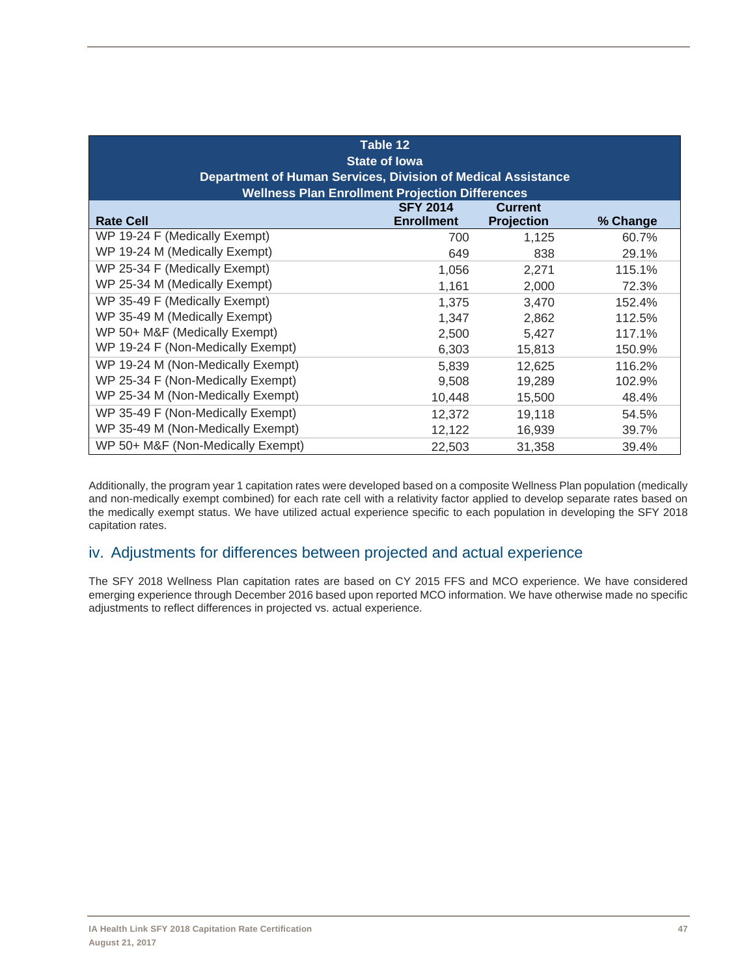| Table 12<br><b>State of lowa</b><br>Department of Human Services, Division of Medical Assistance<br><b>Wellness Plan Enrollment Projection Differences</b> |                                      |                                     |          |  |  |  |  |  |  |  |  |
|------------------------------------------------------------------------------------------------------------------------------------------------------------|--------------------------------------|-------------------------------------|----------|--|--|--|--|--|--|--|--|
| <b>Rate Cell</b>                                                                                                                                           | <b>SFY 2014</b><br><b>Enrollment</b> | <b>Current</b><br><b>Projection</b> | % Change |  |  |  |  |  |  |  |  |
| WP 19-24 F (Medically Exempt)                                                                                                                              | 700                                  | 1,125                               | 60.7%    |  |  |  |  |  |  |  |  |
| WP 19-24 M (Medically Exempt)                                                                                                                              | 649                                  | 838                                 | 29.1%    |  |  |  |  |  |  |  |  |
| WP 25-34 F (Medically Exempt)                                                                                                                              | 1,056                                | 2,271                               | 115.1%   |  |  |  |  |  |  |  |  |
| WP 25-34 M (Medically Exempt)                                                                                                                              | 1,161                                | 2,000                               | 72.3%    |  |  |  |  |  |  |  |  |
| WP 35-49 F (Medically Exempt)                                                                                                                              | 1,375                                | 3,470                               | 152.4%   |  |  |  |  |  |  |  |  |
| WP 35-49 M (Medically Exempt)                                                                                                                              | 1,347                                | 2,862                               | 112.5%   |  |  |  |  |  |  |  |  |
| WP 50+ M&F (Medically Exempt)                                                                                                                              | 2,500                                | 5,427                               | 117.1%   |  |  |  |  |  |  |  |  |
| WP 19-24 F (Non-Medically Exempt)                                                                                                                          | 6,303                                | 15,813                              | 150.9%   |  |  |  |  |  |  |  |  |
| WP 19-24 M (Non-Medically Exempt)                                                                                                                          | 5,839                                | 12,625                              | 116.2%   |  |  |  |  |  |  |  |  |
| WP 25-34 F (Non-Medically Exempt)                                                                                                                          | 9,508                                | 19,289                              | 102.9%   |  |  |  |  |  |  |  |  |
| WP 25-34 M (Non-Medically Exempt)                                                                                                                          | 10,448                               | 15,500                              | 48.4%    |  |  |  |  |  |  |  |  |
| WP 35-49 F (Non-Medically Exempt)                                                                                                                          | 12,372                               | 19,118                              | 54.5%    |  |  |  |  |  |  |  |  |
| WP 35-49 M (Non-Medically Exempt)                                                                                                                          | 12,122                               | 16,939                              | 39.7%    |  |  |  |  |  |  |  |  |
| WP 50+ M&F (Non-Medically Exempt)                                                                                                                          | 22,503                               | 31,358                              | 39.4%    |  |  |  |  |  |  |  |  |

Additionally, the program year 1 capitation rates were developed based on a composite Wellness Plan population (medically and non-medically exempt combined) for each rate cell with a relativity factor applied to develop separate rates based on the medically exempt status. We have utilized actual experience specific to each population in developing the SFY 2018 capitation rates.

## iv. Adjustments for differences between projected and actual experience

The SFY 2018 Wellness Plan capitation rates are based on CY 2015 FFS and MCO experience. We have considered emerging experience through December 2016 based upon reported MCO information. We have otherwise made no specific adjustments to reflect differences in projected vs. actual experience.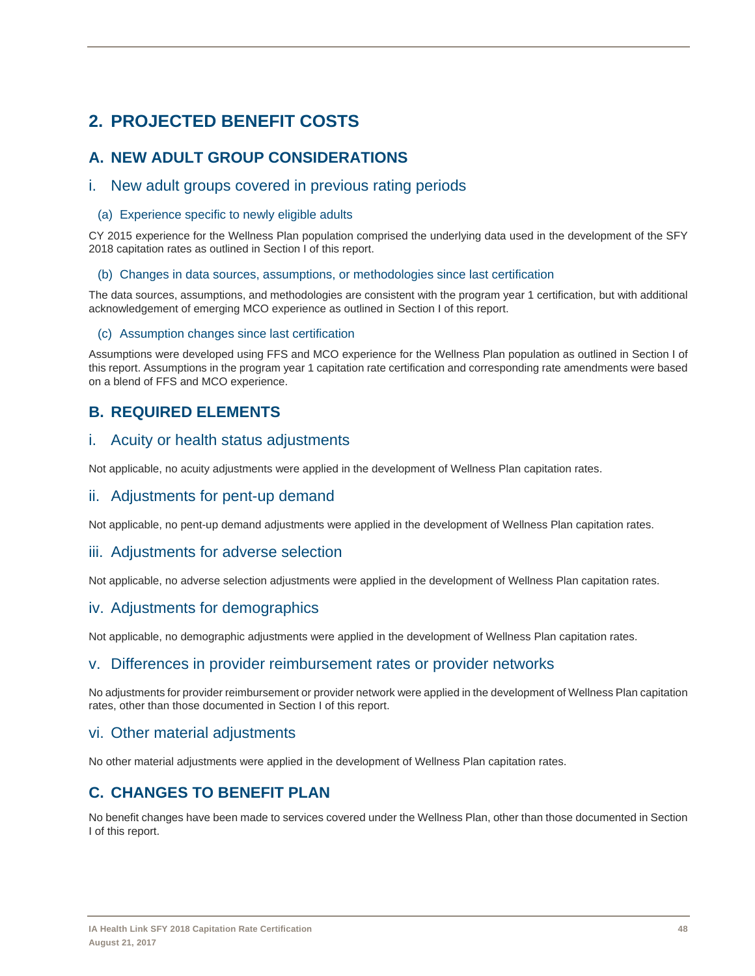# **2. PROJECTED BENEFIT COSTS**

# **A. NEW ADULT GROUP CONSIDERATIONS**

## i. New adult groups covered in previous rating periods

### (a) Experience specific to newly eligible adults

CY 2015 experience for the Wellness Plan population comprised the underlying data used in the development of the SFY 2018 capitation rates as outlined in Section I of this report.

### (b) Changes in data sources, assumptions, or methodologies since last certification

The data sources, assumptions, and methodologies are consistent with the program year 1 certification, but with additional acknowledgement of emerging MCO experience as outlined in Section I of this report.

### (c) Assumption changes since last certification

Assumptions were developed using FFS and MCO experience for the Wellness Plan population as outlined in Section I of this report. Assumptions in the program year 1 capitation rate certification and corresponding rate amendments were based on a blend of FFS and MCO experience.

## **B. REQUIRED ELEMENTS**

## i. Acuity or health status adjustments

Not applicable, no acuity adjustments were applied in the development of Wellness Plan capitation rates.

## ii. Adjustments for pent-up demand

Not applicable, no pent-up demand adjustments were applied in the development of Wellness Plan capitation rates.

## iii. Adjustments for adverse selection

Not applicable, no adverse selection adjustments were applied in the development of Wellness Plan capitation rates.

## iv. Adjustments for demographics

Not applicable, no demographic adjustments were applied in the development of Wellness Plan capitation rates.

## v. Differences in provider reimbursement rates or provider networks

No adjustments for provider reimbursement or provider network were applied in the development of Wellness Plan capitation rates, other than those documented in Section I of this report.

## vi. Other material adjustments

No other material adjustments were applied in the development of Wellness Plan capitation rates.

## **C. CHANGES TO BENEFIT PLAN**

No benefit changes have been made to services covered under the Wellness Plan, other than those documented in Section I of this report.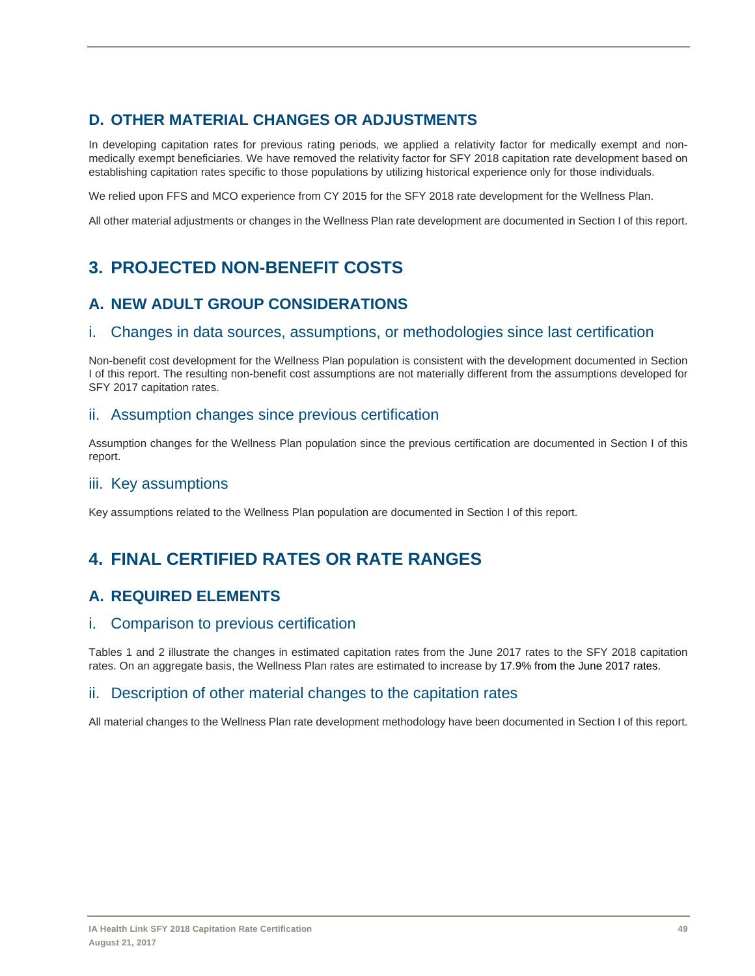# **D. OTHER MATERIAL CHANGES OR ADJUSTMENTS**

In developing capitation rates for previous rating periods, we applied a relativity factor for medically exempt and nonmedically exempt beneficiaries. We have removed the relativity factor for SFY 2018 capitation rate development based on establishing capitation rates specific to those populations by utilizing historical experience only for those individuals.

We relied upon FFS and MCO experience from CY 2015 for the SFY 2018 rate development for the Wellness Plan.

All other material adjustments or changes in the Wellness Plan rate development are documented in Section I of this report.

# **3. PROJECTED NON-BENEFIT COSTS**

# **A. NEW ADULT GROUP CONSIDERATIONS**

## i. Changes in data sources, assumptions, or methodologies since last certification

Non-benefit cost development for the Wellness Plan population is consistent with the development documented in Section I of this report. The resulting non-benefit cost assumptions are not materially different from the assumptions developed for SFY 2017 capitation rates.

## ii. Assumption changes since previous certification

Assumption changes for the Wellness Plan population since the previous certification are documented in Section I of this report.

## iii. Key assumptions

Key assumptions related to the Wellness Plan population are documented in Section I of this report.

# **4. FINAL CERTIFIED RATES OR RATE RANGES**

## **A. REQUIRED ELEMENTS**

## i. Comparison to previous certification

Tables 1 and 2 illustrate the changes in estimated capitation rates from the June 2017 rates to the SFY 2018 capitation rates. On an aggregate basis, the Wellness Plan rates are estimated to increase by 17.9% from the June 2017 rates.

## ii. Description of other material changes to the capitation rates

All material changes to the Wellness Plan rate development methodology have been documented in Section I of this report.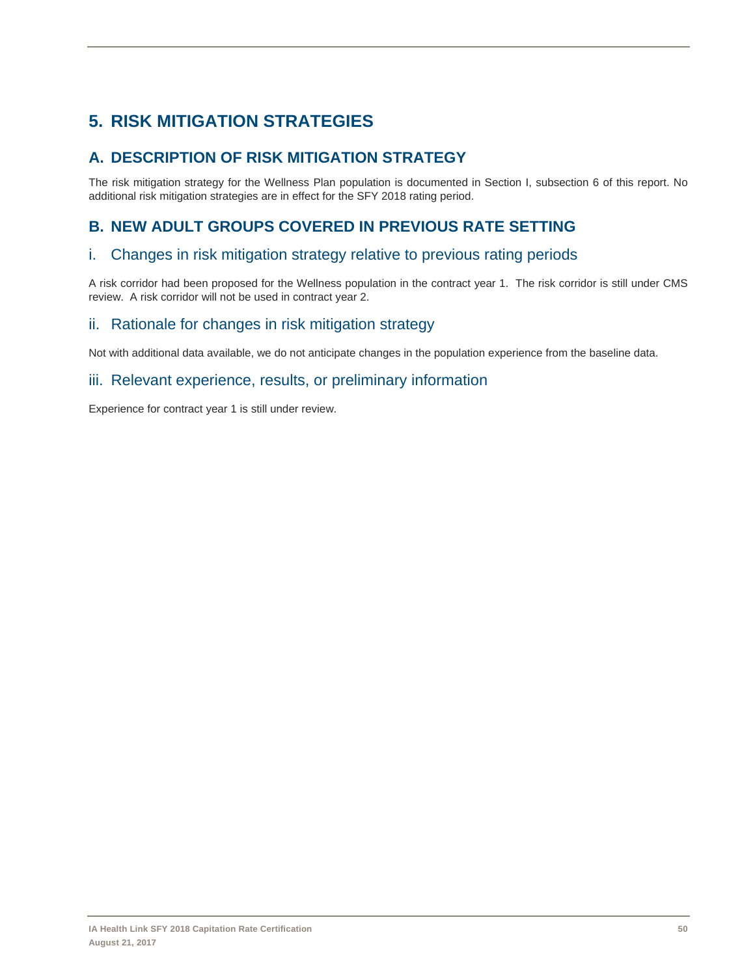# **5. RISK MITIGATION STRATEGIES**

# **A. DESCRIPTION OF RISK MITIGATION STRATEGY**

The risk mitigation strategy for the Wellness Plan population is documented in Section I, subsection 6 of this report. No additional risk mitigation strategies are in effect for the SFY 2018 rating period.

## **B. NEW ADULT GROUPS COVERED IN PREVIOUS RATE SETTING**

## i. Changes in risk mitigation strategy relative to previous rating periods

A risk corridor had been proposed for the Wellness population in the contract year 1. The risk corridor is still under CMS review. A risk corridor will not be used in contract year 2.

## ii. Rationale for changes in risk mitigation strategy

Not with additional data available, we do not anticipate changes in the population experience from the baseline data.

## iii. Relevant experience, results, or preliminary information

Experience for contract year 1 is still under review.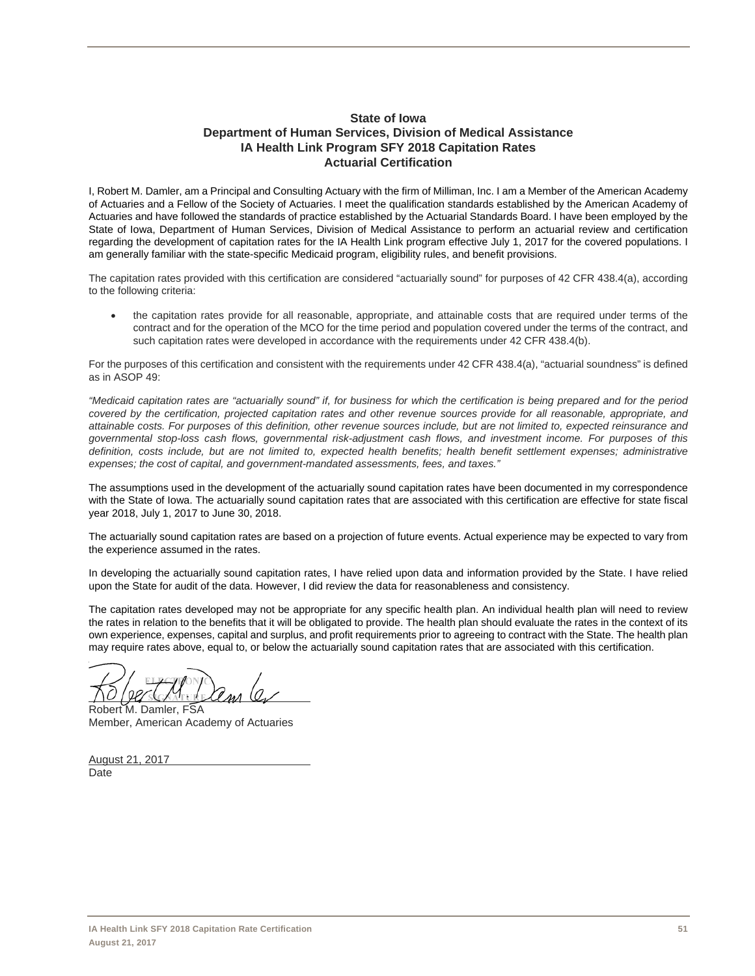### **State of Iowa Department of Human Services, Division of Medical Assistance IA Health Link Program SFY 2018 Capitation Rates Actuarial Certification**

I, Robert M. Damler, am a Principal and Consulting Actuary with the firm of Milliman, Inc. I am a Member of the American Academy of Actuaries and a Fellow of the Society of Actuaries. I meet the qualification standards established by the American Academy of Actuaries and have followed the standards of practice established by the Actuarial Standards Board. I have been employed by the State of Iowa, Department of Human Services, Division of Medical Assistance to perform an actuarial review and certification regarding the development of capitation rates for the IA Health Link program effective July 1, 2017 for the covered populations. I am generally familiar with the state-specific Medicaid program, eligibility rules, and benefit provisions.

The capitation rates provided with this certification are considered "actuarially sound" for purposes of 42 CFR 438.4(a), according to the following criteria:

 the capitation rates provide for all reasonable, appropriate, and attainable costs that are required under terms of the contract and for the operation of the MCO for the time period and population covered under the terms of the contract, and such capitation rates were developed in accordance with the requirements under 42 CFR 438.4(b).

For the purposes of this certification and consistent with the requirements under 42 CFR 438.4(a), "actuarial soundness" is defined as in ASOP 49:

*"Medicaid capitation rates are "actuarially sound" if, for business for which the certification is being prepared and for the period covered by the certification, projected capitation rates and other revenue sources provide for all reasonable, appropriate, and attainable costs. For purposes of this definition, other revenue sources include, but are not limited to, expected reinsurance and governmental stop-loss cash flows, governmental risk-adjustment cash flows, and investment income. For purposes of this definition, costs include, but are not limited to, expected health benefits; health benefit settlement expenses; administrative expenses; the cost of capital, and government-mandated assessments, fees, and taxes."*

The assumptions used in the development of the actuarially sound capitation rates have been documented in my correspondence with the State of Iowa. The actuarially sound capitation rates that are associated with this certification are effective for state fiscal year 2018, July 1, 2017 to June 30, 2018.

The actuarially sound capitation rates are based on a projection of future events. Actual experience may be expected to vary from the experience assumed in the rates.

In developing the actuarially sound capitation rates, I have relied upon data and information provided by the State. I have relied upon the State for audit of the data. However, I did review the data for reasonableness and consistency.

The capitation rates developed may not be appropriate for any specific health plan. An individual health plan will need to review the rates in relation to the benefits that it will be obligated to provide. The health plan should evaluate the rates in the context of its own experience, expenses, capital and surplus, and profit requirements prior to agreeing to contract with the State. The health plan may require rates above, equal to, or below the actuarially sound capitation rates that are associated with this certification.

 $\overline{a}$ 

Robert M. Damler, FSA Member, American Academy of Actuaries

August 21, 2017 Date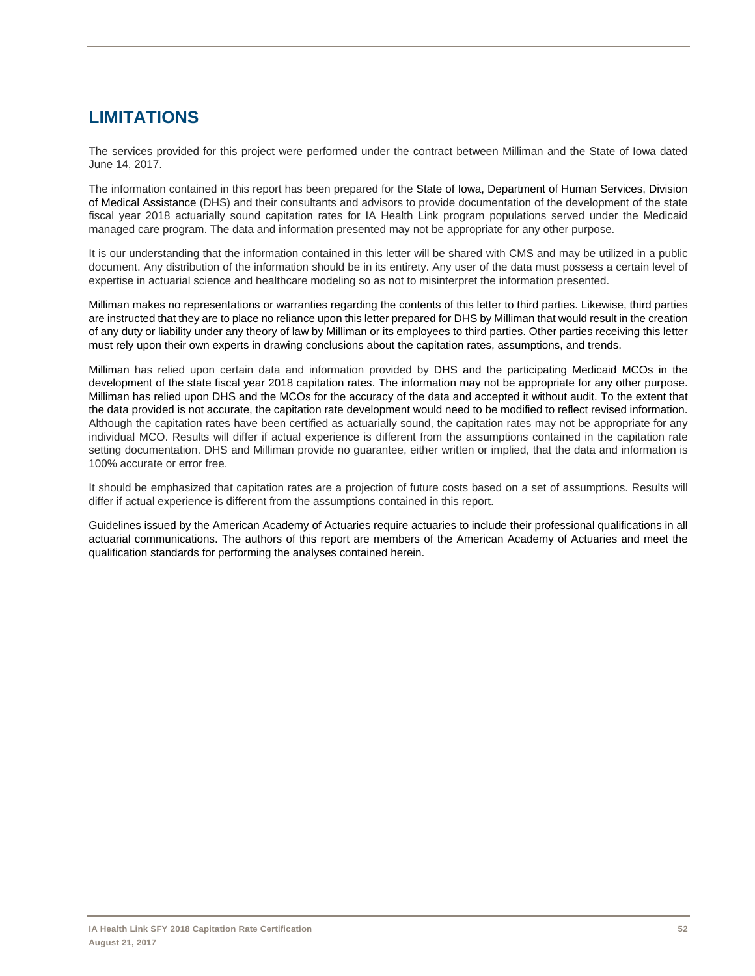# **LIMITATIONS**

The services provided for this project were performed under the contract between Milliman and the State of Iowa dated June 14, 2017.

The information contained in this report has been prepared for the State of Iowa, Department of Human Services, Division of Medical Assistance (DHS) and their consultants and advisors to provide documentation of the development of the state fiscal year 2018 actuarially sound capitation rates for IA Health Link program populations served under the Medicaid managed care program. The data and information presented may not be appropriate for any other purpose.

It is our understanding that the information contained in this letter will be shared with CMS and may be utilized in a public document. Any distribution of the information should be in its entirety. Any user of the data must possess a certain level of expertise in actuarial science and healthcare modeling so as not to misinterpret the information presented.

Milliman makes no representations or warranties regarding the contents of this letter to third parties. Likewise, third parties are instructed that they are to place no reliance upon this letter prepared for DHS by Milliman that would result in the creation of any duty or liability under any theory of law by Milliman or its employees to third parties. Other parties receiving this letter must rely upon their own experts in drawing conclusions about the capitation rates, assumptions, and trends.

Milliman has relied upon certain data and information provided by DHS and the participating Medicaid MCOs in the development of the state fiscal year 2018 capitation rates. The information may not be appropriate for any other purpose. Milliman has relied upon DHS and the MCOs for the accuracy of the data and accepted it without audit. To the extent that the data provided is not accurate, the capitation rate development would need to be modified to reflect revised information. Although the capitation rates have been certified as actuarially sound, the capitation rates may not be appropriate for any individual MCO. Results will differ if actual experience is different from the assumptions contained in the capitation rate setting documentation. DHS and Milliman provide no guarantee, either written or implied, that the data and information is 100% accurate or error free.

It should be emphasized that capitation rates are a projection of future costs based on a set of assumptions. Results will differ if actual experience is different from the assumptions contained in this report.

Guidelines issued by the American Academy of Actuaries require actuaries to include their professional qualifications in all actuarial communications. The authors of this report are members of the American Academy of Actuaries and meet the qualification standards for performing the analyses contained herein.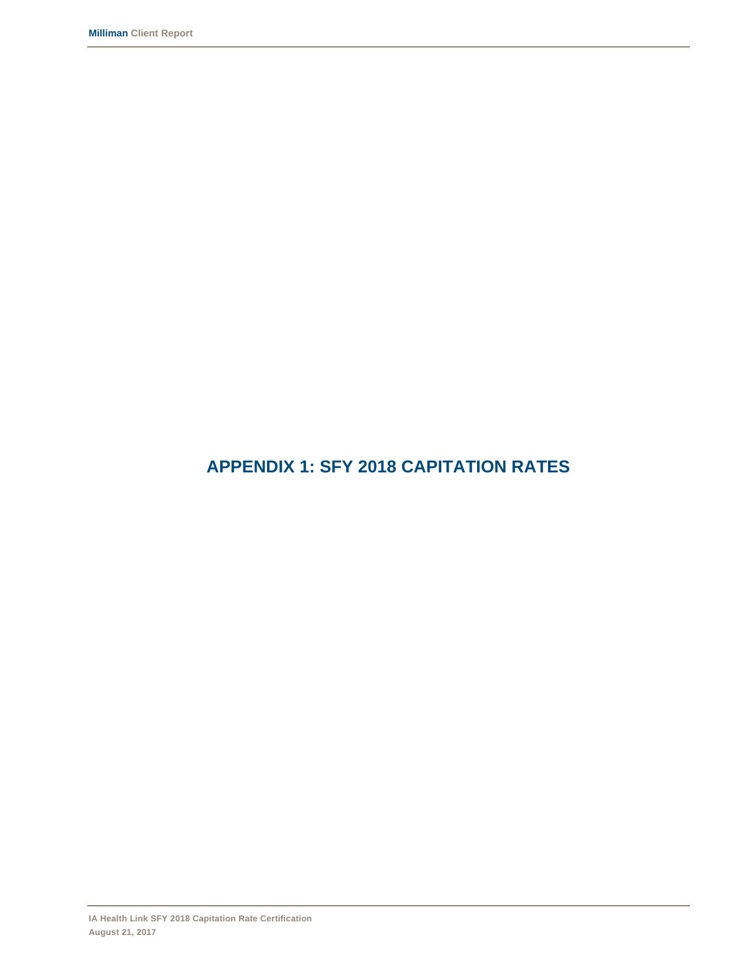# **APPENDIX 1: SFY 2018 CAPITATION RATES**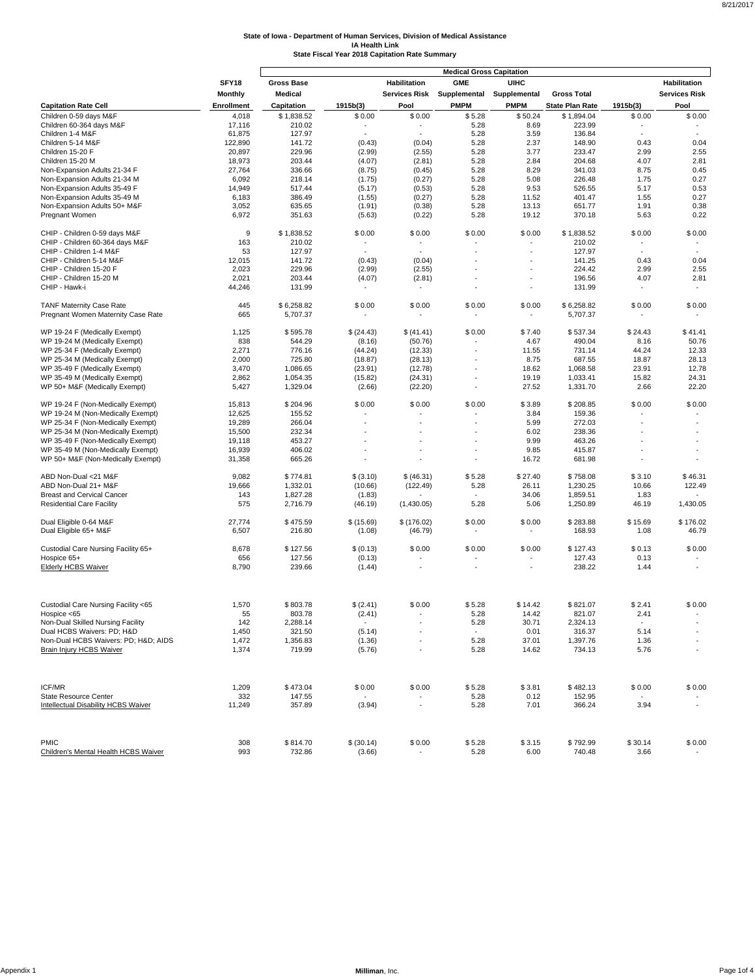|                                               |                   |                      |                |                                    | <b>Medical Gross Capitation</b> |                 |                        |                          |                      |
|-----------------------------------------------|-------------------|----------------------|----------------|------------------------------------|---------------------------------|-----------------|------------------------|--------------------------|----------------------|
|                                               | SFY18             | <b>Gross Base</b>    |                | <b>Habilitation</b>                | <b>GME</b>                      | <b>UIHC</b>     |                        |                          | Habilitation         |
|                                               | Monthly           | Medical              |                | <b>Services Risk</b>               | Supplemental                    | Supplemental    | <b>Gross Total</b>     |                          | <b>Services Risk</b> |
| <b>Capitation Rate Cell</b>                   | <b>Enrollment</b> | Capitation           | 1915b(3)       | Pool                               | <b>PMPM</b>                     | <b>PMPM</b>     | <b>State Plan Rate</b> | 1915b(3)                 | Pool                 |
| Children 0-59 days M&F                        | 4,018             |                      |                |                                    |                                 |                 |                        | \$0.00                   |                      |
| Children 60-364 days M&F                      | 17,116            | \$1,838.52<br>210.02 | \$0.00         | \$0.00<br>$\overline{\phantom{a}}$ | \$5.28<br>5.28                  | \$50.24<br>8.69 | \$1,894.04<br>223.99   | ٠                        | \$0.00               |
| Children 1-4 M&F                              | 61,875            | 127.97               |                |                                    | 5.28                            | 3.59            | 136.84                 | $\ddot{\phantom{1}}$     |                      |
| Children 5-14 M&F                             | 122,890           | 141.72               | (0.43)         | (0.04)                             | 5.28                            | 2.37            | 148.90                 | 0.43                     | 0.04                 |
| Children 15-20 F                              | 20,897            | 229.96               | (2.99)         | (2.55)                             | 5.28                            | 3.77            | 233.47                 | 2.99                     | 2.55                 |
| Children 15-20 M                              | 18,973            | 203.44               | (4.07)         | (2.81)                             | 5.28                            | 2.84            | 204.68                 | 4.07                     | 2.81                 |
| Non-Expansion Adults 21-34 F                  | 27,764            | 336.66               | (8.75)         | (0.45)                             | 5.28                            | 8.29            | 341.03                 | 8.75                     | 0.45                 |
| Non-Expansion Adults 21-34 M                  | 6,092             | 218.14               | (1.75)         | (0.27)                             | 5.28                            | 5.08            | 226.48                 | 1.75                     | 0.27                 |
| Non-Expansion Adults 35-49 F                  | 14,949            | 517.44               | (5.17)         | (0.53)                             | 5.28                            | 9.53            | 526.55                 | 5.17                     | 0.53                 |
| Non-Expansion Adults 35-49 M                  | 6,183             | 386.49               | (1.55)         | (0.27)                             | 5.28                            | 11.52           | 401.47                 | 1.55                     | 0.27                 |
| Non-Expansion Adults 50+ M&F                  | 3,052             | 635.65               | (1.91)         | (0.38)                             | 5.28                            | 13.13           | 651.77                 | 1.91                     | 0.38                 |
| Pregnant Women                                | 6,972             | 351.63               | (5.63)         | (0.22)                             | 5.28                            | 19.12           | 370.18                 | 5.63                     | 0.22                 |
| CHIP - Children 0-59 days M&F                 | 9                 | \$1,838.52           | \$0.00         | \$0.00                             | \$0.00                          | \$0.00          | \$1,838.52             | \$0.00                   | \$0.00               |
| CHIP - Children 60-364 days M&F               | 163               | 210.02               |                | $\overline{\phantom{a}}$           |                                 |                 | 210.02                 | $\overline{\phantom{a}}$ |                      |
| CHIP - Children 1-4 M&F                       | 53                | 127.97               |                | $\sim$                             |                                 | ä               | 127.97                 | ÷,                       | $\sim$               |
| CHIP - Children 5-14 M&F                      | 12,015            | 141.72               | (0.43)         | (0.04)                             |                                 |                 | 141.25                 | 0.43                     | 0.04                 |
| CHIP - Children 15-20 F                       | 2,023             | 229.96               | (2.99)         | (2.55)                             |                                 | ٠               | 224.42                 | 2.99                     | 2.55                 |
| CHIP - Children 15-20 M                       | 2,021             | 203.44               | (4.07)         | (2.81)                             |                                 | ٠               | 196.56                 | 4.07                     | 2.81                 |
| CHIP - Hawk-i                                 | 44,246            | 131.99               |                | $\sim$                             |                                 | ä,              | 131.99                 | ٠                        | $\sim$               |
| <b>TANF Maternity Case Rate</b>               | 445               | \$6,258.82           | \$0.00         | \$0.00                             | \$0.00                          | \$0.00          | \$6,258.82             | \$0.00                   | \$0.00               |
| Pregnant Women Maternity Case Rate            | 665               | 5,707.37             |                |                                    |                                 |                 | 5,707.37               |                          |                      |
| WP 19-24 F (Medically Exempt)                 | 1,125             | \$595.78             | \$ (24.43)     | \$ (41.41)                         | \$0.00                          | \$7.40          | \$537.34               | \$24.43                  | \$41.41              |
| WP 19-24 M (Medically Exempt)                 | 838               | 544.29               | (8.16)         | (50.76)                            |                                 | 4.67            | 490.04                 | 8.16                     | 50.76                |
| WP 25-34 F (Medically Exempt)                 | 2,271             | 776.16               | (44.24)        | (12.33)                            |                                 | 11.55           | 731.14                 | 44.24                    | 12.33                |
| WP 25-34 M (Medically Exempt)                 | 2,000             | 725.80               | (18.87)        | (28.13)                            |                                 | 8.75            | 687.55                 | 18.87                    | 28.13                |
| WP 35-49 F (Medically Exempt)                 | 3,470             | 1,086.65             | (23.91)        | (12.78)                            |                                 | 18.62           | 1,068.58               | 23.91                    | 12.78                |
| WP 35-49 M (Medically Exempt)                 | 2,862             | 1,054.35             | (15.82)        | (24.31)                            |                                 | 19.19           | 1,033.41               | 15.82                    | 24.31                |
| WP 50+ M&F (Medically Exempt)                 | 5,427             | 1,329.04             | (2.66)         | (22.20)                            |                                 | 27.52           | 1,331.70               | 2.66                     | 22.20                |
| WP 19-24 F (Non-Medically Exempt)             | 15,813            | \$204.96             | \$0.00         | \$0.00                             | \$0.00                          | \$3.89          | \$208.85               | \$0.00                   | \$0.00               |
| WP 19-24 M (Non-Medically Exempt)             | 12,625            | 155.52               |                |                                    |                                 | 3.84            | 159.36                 |                          |                      |
| WP 25-34 F (Non-Medically Exempt)             | 19,289            | 266.04               |                |                                    |                                 | 5.99            | 272.03                 |                          |                      |
| WP 25-34 M (Non-Medically Exempt)             | 15,500            | 232.34               |                |                                    |                                 | 6.02            | 238.36                 |                          |                      |
| WP 35-49 F (Non-Medically Exempt)             | 19,118            | 453.27               |                |                                    |                                 | 9.99            | 463.26                 |                          |                      |
| WP 35-49 M (Non-Medically Exempt)             | 16,939            | 406.02               |                |                                    |                                 | 9.85            | 415.87                 |                          |                      |
| WP 50+ M&F (Non-Medically Exempt)             | 31,358            | 665.26               |                |                                    |                                 | 16.72           | 681.98                 |                          |                      |
| ABD Non-Dual <21 M&F                          | 9,082             | \$774.81             | \$ (3.10)      | \$ (46.31)                         | \$5.28                          | \$27.40         | \$758.08               | \$3.10                   | \$46.31              |
| ABD Non-Dual 21+ M&F                          | 19,666            | 1,332.01             | (10.66)        | (122.49)                           | 5.28                            | 26.11           | 1,230.25               | 10.66                    | 122.49               |
| <b>Breast and Cervical Cancer</b>             | 143               | 1,827.28             | (1.83)         |                                    |                                 | 34.06           | 1,859.51               | 1.83                     |                      |
| <b>Residential Care Facility</b>              | 575               | 2,716.79             | (46.19)        | (1,430.05)                         | 5.28                            | 5.06            | 1,250.89               | 46.19                    | 1,430.05             |
| Dual Eligible 0-64 M&F                        | 27,774            | \$475.59             | \$(15.69)      | \$(176.02)                         | \$0.00                          | \$0.00          | \$283.88               | \$15.69                  | \$176.02             |
| Dual Eligible 65+ M&F                         | 6,507             | 216.80               | (1.08)         | (46.79)                            |                                 | ٠               | 168.93                 | 1.08                     | 46.79                |
| Custodial Care Nursing Facility 65+           | 8,678             | \$127.56             | \$ (0.13)      | \$0.00                             | \$0.00                          | \$0.00          | \$127.43               | \$0.13                   | \$0.00               |
| Hospice 65+                                   | 656               | 127.56               | (0.13)         |                                    |                                 |                 | 127.43                 | 0.13                     |                      |
| <b>Elderly HCBS Waiver</b>                    | 8,790             | 239.66               | (1.44)         |                                    |                                 |                 | 238.22                 | 1.44                     |                      |
| Custodial Care Nursing Facility <65           | 1,570             | \$803.78             | \$(2.41)       | \$0.00                             | \$5.28                          | \$14.42         | \$821.07               | \$2.41                   | \$0.00               |
| Hospice <65                                   | 55                | 803.78               | (2.41)         |                                    | 5.28                            | 14.42           | 821.07                 | 2.41                     |                      |
| Non-Dual Skilled Nursing Facility             | 142               | 2,288.14             | $\blacksquare$ |                                    | 5.28                            | 30.71           | 2,324.13               |                          |                      |
| Dual HCBS Waivers: PD; H&D                    | 1,450             | 321.50               | (5.14)         |                                    | $\overline{\phantom{a}}$        | 0.01            | 316.37                 | 5.14                     |                      |
| Non-Dual HCBS Waivers: PD; H&D AIDS           | 1,472             | 1,356.83             | (1.36)         |                                    | 5.28                            | 37.01           | 1,397.76               | 1.36                     |                      |
| <b>Brain Injury HCBS Waiver</b>               | 1,374             | 719.99               | (5.76)         |                                    | 5.28                            | 14.62           | 734.13                 | 5.76                     |                      |
|                                               |                   |                      |                |                                    |                                 |                 |                        |                          |                      |
| <b>ICF/MR</b><br><b>State Resource Center</b> | 1,209             | \$473.04             | \$0.00         | \$0.00                             | \$5.28<br>5.28                  | \$3.81          | \$482.13<br>152.95     | \$0.00                   | \$0.00               |
| <b>Intellectual Disability HCBS Waiver</b>    | 332<br>11,249     | 147.55<br>357.89     | (3.94)         | $\overline{\phantom{a}}$           | 5.28                            | 0.12<br>7.01    | 366.24                 | 3.94                     |                      |
|                                               |                   |                      |                |                                    |                                 |                 |                        |                          |                      |
|                                               |                   |                      |                |                                    |                                 |                 |                        |                          |                      |
| <b>PMIC</b>                                   | 308               | \$814.70             | \$ (30.14)     | \$0.00                             | \$5.28                          | \$3.15          | \$792.99               | \$30.14                  | \$0.00               |
| Children's Mental Health HCBS Waiver          | 993               | 732.86               | (3.66)         |                                    | 5.28                            | 6.00            | 740.48                 | 3.66                     |                      |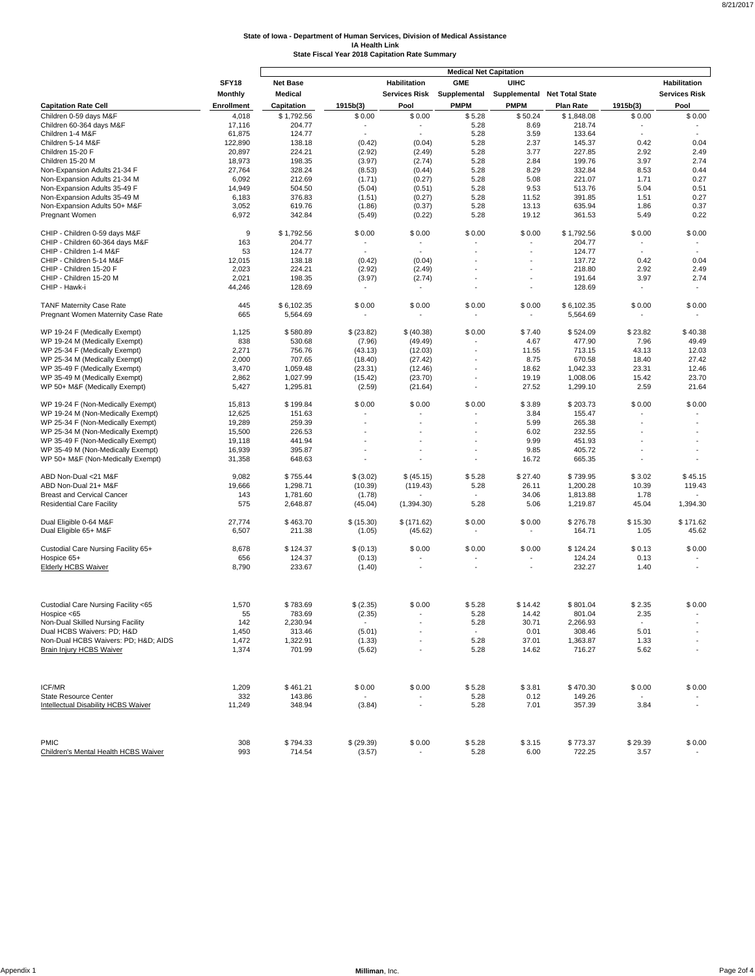|                                            |                   |                 |            |               | <b>Medical Net Capitation</b> |             |                                           |          |                      |
|--------------------------------------------|-------------------|-----------------|------------|---------------|-------------------------------|-------------|-------------------------------------------|----------|----------------------|
|                                            | SFY18             | <b>Net Base</b> |            | Habilitation  | <b>GME</b>                    | <b>UIHC</b> |                                           |          | Habilitation         |
|                                            | <b>Monthly</b>    | Medical         |            | Services Risk |                               |             | Supplemental Supplemental Net Total State |          | <b>Services Risk</b> |
| <b>Capitation Rate Cell</b>                | <b>Enrollment</b> | Capitation      | 1915b(3)   | Pool          | <b>PMPM</b>                   | <b>PMPM</b> | <b>Plan Rate</b>                          | 1915b(3) | Pool                 |
| Children 0-59 days M&F                     | 4,018             | \$1,792.56      | \$0.00     | \$0.00        | \$5.28                        | \$50.24     | \$1,848.08                                | \$0.00   | \$0.00               |
| Children 60-364 days M&F                   | 17,116            | 204.77          |            |               | 5.28                          | 8.69        | 218.74                                    |          |                      |
| Children 1-4 M&F                           | 61,875            | 124.77          |            |               | 5.28                          | 3.59        | 133.64                                    | $\sim$   |                      |
| Children 5-14 M&F                          | 122,890           | 138.18          | (0.42)     | (0.04)        | 5.28                          | 2.37        | 145.37                                    | 0.42     | 0.04                 |
| Children 15-20 F                           | 20,897            | 224.21          | (2.92)     | (2.49)        | 5.28                          | 3.77        | 227.85                                    | 2.92     | 2.49                 |
| Children 15-20 M                           | 18,973            | 198.35          | (3.97)     | (2.74)        | 5.28                          | 2.84        | 199.76                                    | 3.97     | 2.74                 |
| Non-Expansion Adults 21-34 F               | 27,764            | 328.24          | (8.53)     | (0.44)        | 5.28                          | 8.29        | 332.84                                    | 8.53     | 0.44                 |
| Non-Expansion Adults 21-34 M               | 6,092             | 212.69          | (1.71)     | (0.27)        | 5.28                          | 5.08        | 221.07                                    | 1.71     | 0.27                 |
| Non-Expansion Adults 35-49 F               | 14,949            | 504.50          | (5.04)     | (0.51)        | 5.28                          | 9.53        | 513.76                                    | 5.04     | 0.51                 |
| Non-Expansion Adults 35-49 M               | 6,183             | 376.83          | (1.51)     | (0.27)        | 5.28                          | 11.52       | 391.85                                    | 1.51     | 0.27                 |
| Non-Expansion Adults 50+ M&F               | 3,052             | 619.76          | (1.86)     | (0.37)        | 5.28                          | 13.13       | 635.94                                    | 1.86     | 0.37                 |
| Pregnant Women                             | 6,972             | 342.84          | (5.49)     | (0.22)        | 5.28                          | 19.12       | 361.53                                    | 5.49     | 0.22                 |
| CHIP - Children 0-59 days M&F              | 9                 | \$1,792.56      | \$0.00     | \$0.00        | \$0.00                        | \$0.00      | \$1,792.56                                | \$0.00   | \$0.00               |
| CHIP - Children 60-364 days M&F            | 163               | 204.77          |            |               |                               |             | 204.77                                    |          |                      |
| CHIP - Children 1-4 M&F                    | 53                | 124.77          |            |               |                               | ÷           | 124.77                                    | ä,       |                      |
| CHIP - Children 5-14 M&F                   | 12,015            | 138.18          | (0.42)     | (0.04)        |                               |             | 137.72                                    | 0.42     | 0.04                 |
| CHIP - Children 15-20 F                    | 2,023             | 224.21          | (2.92)     | (2.49)        |                               | ä,          | 218.80                                    | 2.92     | 2.49                 |
| CHIP - Children 15-20 M                    | 2,021             | 198.35          | (3.97)     | (2.74)        |                               |             | 191.64                                    | 3.97     | 2.74                 |
| CHIP - Hawk-i                              | 44,246            | 128.69          |            |               |                               | ٠           | 128.69                                    | ÷,       |                      |
| <b>TANF Maternity Case Rate</b>            | 445               | \$6,102.35      | \$0.00     | \$0.00        | \$0.00                        | \$0.00      | \$6,102.35                                | \$0.00   | \$0.00               |
| Pregnant Women Maternity Case Rate         | 665               | 5,564.69        |            |               |                               | ٠           | 5,564.69                                  |          |                      |
| WP 19-24 F (Medically Exempt)              | 1,125             | \$580.89        | \$ (23.82) | \$ (40.38)    | \$0.00                        | \$7.40      | \$524.09                                  | \$23.82  | \$40.38              |
| WP 19-24 M (Medically Exempt)              | 838               | 530.68          | (7.96)     | (49.49)       |                               | 4.67        | 477.90                                    | 7.96     | 49.49                |
| WP 25-34 F (Medically Exempt)              | 2,271             | 756.76          | (43.13)    | (12.03)       |                               | 11.55       | 713.15                                    | 43.13    | 12.03                |
| WP 25-34 M (Medically Exempt)              | 2,000             | 707.65          | (18.40)    | (27.42)       |                               | 8.75        | 670.58                                    | 18.40    | 27.42                |
| WP 35-49 F (Medically Exempt)              | 3,470             | 1,059.48        | (23.31)    | (12.46)       |                               | 18.62       | 1,042.33                                  | 23.31    | 12.46                |
| WP 35-49 M (Medically Exempt)              | 2,862             | 1,027.99        | (15.42)    | (23.70)       |                               | 19.19       | 1,008.06                                  | 15.42    | 23.70                |
| WP 50+ M&F (Medically Exempt)              | 5,427             | 1,295.81        | (2.59)     | (21.64)       |                               | 27.52       | 1,299.10                                  | 2.59     | 21.64                |
| WP 19-24 F (Non-Medically Exempt)          | 15,813            | \$199.84        | \$0.00     | \$0.00        | \$0.00                        | \$3.89      | \$203.73                                  | \$0.00   | \$0.00               |
| WP 19-24 M (Non-Medically Exempt)          | 12,625            | 151.63          |            |               |                               | 3.84        | 155.47                                    |          |                      |
| WP 25-34 F (Non-Medically Exempt)          | 19,289            | 259.39          |            |               |                               | 5.99        | 265.38                                    | ÷        |                      |
| WP 25-34 M (Non-Medically Exempt)          | 15,500            | 226.53          |            |               |                               | 6.02        | 232.55                                    |          |                      |
| WP 35-49 F (Non-Medically Exempt)          | 19,118            | 441.94          |            |               |                               | 9.99        | 451.93                                    |          |                      |
| WP 35-49 M (Non-Medically Exempt)          | 16,939            | 395.87          |            |               |                               | 9.85        | 405.72                                    |          |                      |
| WP 50+ M&F (Non-Medically Exempt)          | 31,358            | 648.63          |            |               |                               | 16.72       | 665.35                                    |          |                      |
| ABD Non-Dual <21 M&F                       | 9,082             | \$755.44        | \$ (3.02)  | \$ (45.15)    | \$5.28                        | \$27.40     | \$739.95                                  | \$3.02   | \$45.15              |
| ABD Non-Dual 21+ M&F                       | 19,666            | 1,298.71        | (10.39)    | (119.43)      | 5.28                          | 26.11       | 1,200.28                                  | 10.39    | 119.43               |
| <b>Breast and Cervical Cancer</b>          | 143               | 1,781.60        | (1.78)     |               |                               | 34.06       | 1,813.88                                  | 1.78     |                      |
| <b>Residential Care Facility</b>           | 575               | 2,648.87        | (45.04)    | (1,394.30)    | 5.28                          | 5.06        | 1,219.87                                  | 45.04    | 1,394.30             |
| Dual Eligible 0-64 M&F                     | 27,774            | \$463.70        | \$(15.30)  | \$(171.62)    | \$0.00                        | \$0.00      | \$276.78                                  | \$15.30  | \$171.62             |
| Dual Eligible 65+ M&F                      | 6,507             | 211.38          | (1.05)     | (45.62)       |                               |             | 164.71                                    | 1.05     | 45.62                |
| Custodial Care Nursing Facility 65+        | 8,678             | \$124.37        | \$ (0.13)  | \$0.00        | \$0.00                        | \$0.00      | \$124.24                                  | \$0.13   | \$0.00               |
| Hospice 65+                                | 656               | 124.37          | (0.13)     |               |                               |             | 124.24                                    | 0.13     |                      |
| <b>Elderly HCBS Waiver</b>                 | 8,790             | 233.67          | (1.40)     |               |                               |             | 232.27                                    | 1.40     |                      |
|                                            |                   |                 |            |               |                               |             |                                           |          |                      |
| Custodial Care Nursing Facility <65        | 1,570             | \$783.69        | \$(2.35)   | \$0.00        | \$5.28                        | \$14.42     | \$801.04                                  | \$2.35   | \$0.00               |
| Hospice <65                                | 55                | 783.69          | (2.35)     |               | 5.28                          | 14.42       | 801.04                                    | 2.35     |                      |
| Non-Dual Skilled Nursing Facility          | 142               | 2,230.94        | $\sim$     |               | 5.28                          | 30.71       | 2,266.93                                  |          |                      |
| Dual HCBS Waivers: PD; H&D                 | 1,450             | 313.46          | (5.01)     |               |                               | 0.01        | 308.46                                    | 5.01     |                      |
| Non-Dual HCBS Waivers: PD; H&D AIDS        | 1,472             | 1,322.91        | (1.33)     |               | 5.28                          | 37.01       | 1,363.87                                  | 1.33     |                      |
| <b>Brain Injury HCBS Waiver</b>            | 1,374             | 701.99          | (5.62)     |               | 5.28                          | 14.62       | 716.27                                    | 5.62     |                      |
|                                            |                   |                 |            |               |                               |             |                                           |          |                      |
|                                            |                   |                 |            |               |                               |             |                                           |          |                      |
| ICF/MR                                     | 1,209             | \$461.21        | \$0.00     | \$0.00        | \$5.28                        | \$3.81      | \$470.30                                  | \$0.00   | \$0.00               |
| <b>State Resource Center</b>               | 332               | 143.86          |            |               | 5.28                          | 0.12        | 149.26                                    |          |                      |
| <b>Intellectual Disability HCBS Waiver</b> | 11,249            | 348.94          | (3.84)     |               | 5.28                          | 7.01        | 357.39                                    | 3.84     |                      |
|                                            |                   |                 |            |               |                               |             |                                           |          |                      |
| <b>PMIC</b>                                | 308               | \$794.33        | \$ (29.39) | \$0.00        | \$5.28                        | \$3.15      | \$773.37                                  | \$29.39  | \$0.00               |
| Children's Mental Health HCBS Waiver       | 993               | 714.54          | (3.57)     |               | 5.28                          | 6.00        | 722.25                                    | 3.57     |                      |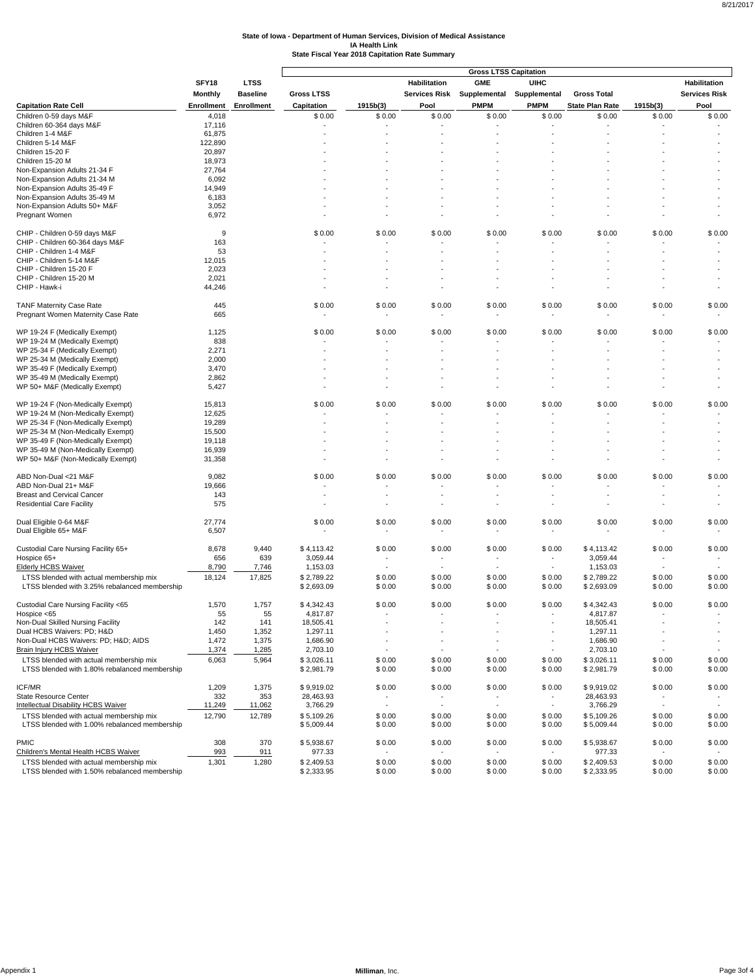|                                                                                          |                   |                   |                   |                          |                          | <b>Gross LTSS Capitation</b> |                          |                          |                          |                          |
|------------------------------------------------------------------------------------------|-------------------|-------------------|-------------------|--------------------------|--------------------------|------------------------------|--------------------------|--------------------------|--------------------------|--------------------------|
|                                                                                          | SFY18             | <b>LTSS</b>       |                   |                          | Habilitation             | <b>GME</b>                   | <b>UIHC</b>              |                          |                          | Habilitation             |
|                                                                                          | Monthly           | <b>Baseline</b>   | <b>Gross LTSS</b> |                          | <b>Services Risk</b>     | Supplemental                 | Supplemental             | <b>Gross Total</b>       |                          | <b>Services Risk</b>     |
| <b>Capitation Rate Cell</b>                                                              | <b>Enrollment</b> | <b>Enrollment</b> | Capitation        | 1915b(3)                 | Pool                     | <b>PMPM</b>                  | <b>PMPM</b>              | <b>State Plan Rate</b>   | 1915b(3)                 | Pool                     |
| Children 0-59 days M&F                                                                   | 4,018             |                   | \$0.00            | \$0.00                   | \$0.00                   | \$0.00                       | \$0.00                   | \$0.00                   | \$0.00                   | \$0.00                   |
| Children 60-364 days M&F                                                                 | 17,116            |                   | ٠                 |                          |                          |                              |                          |                          |                          |                          |
| Children 1-4 M&F                                                                         | 61,875            |                   |                   |                          |                          |                              |                          |                          |                          |                          |
| Children 5-14 M&F                                                                        | 122,890           |                   |                   |                          |                          |                              |                          |                          |                          |                          |
| Children 15-20 F                                                                         | 20,897            |                   |                   |                          |                          |                              |                          |                          |                          |                          |
| Children 15-20 M                                                                         | 18,973            |                   |                   |                          |                          |                              |                          |                          |                          |                          |
| Non-Expansion Adults 21-34 F                                                             | 27,764            |                   |                   |                          |                          |                              |                          |                          |                          |                          |
| Non-Expansion Adults 21-34 M                                                             | 6,092             |                   |                   |                          |                          |                              |                          |                          |                          |                          |
| Non-Expansion Adults 35-49 F                                                             | 14,949            |                   |                   |                          |                          |                              |                          |                          |                          |                          |
| Non-Expansion Adults 35-49 M                                                             | 6,183             |                   |                   |                          |                          |                              |                          |                          |                          |                          |
| Non-Expansion Adults 50+ M&F                                                             | 3,052             |                   |                   |                          |                          |                              |                          |                          |                          |                          |
| Pregnant Women                                                                           | 6,972             |                   |                   |                          |                          |                              |                          |                          |                          |                          |
|                                                                                          |                   |                   |                   |                          |                          |                              |                          |                          |                          |                          |
| CHIP - Children 0-59 days M&F                                                            | 9                 |                   | \$0.00            | \$0.00                   | \$0.00                   | \$0.00                       | \$0.00                   | \$0.00                   | \$0.00                   | \$0.00                   |
| CHIP - Children 60-364 days M&F<br>CHIP - Children 1-4 M&F                               | 163<br>53         |                   |                   |                          |                          |                              |                          |                          |                          |                          |
| CHIP - Children 5-14 M&F                                                                 | 12,015            |                   |                   |                          |                          |                              |                          |                          |                          |                          |
| CHIP - Children 15-20 F                                                                  | 2,023             |                   |                   |                          |                          |                              |                          |                          |                          |                          |
| CHIP - Children 15-20 M                                                                  | 2,021             |                   |                   |                          |                          |                              |                          |                          |                          |                          |
| CHIP - Hawk-i                                                                            | 44,246            |                   |                   |                          |                          |                              |                          |                          |                          |                          |
|                                                                                          |                   |                   |                   |                          |                          |                              |                          |                          |                          |                          |
| <b>TANF Maternity Case Rate</b>                                                          | 445               |                   | \$0.00            | \$0.00                   | \$0.00                   | \$0.00                       | \$0.00                   | \$0.00                   | \$0.00                   | \$0.00                   |
| Pregnant Women Maternity Case Rate                                                       | 665               |                   |                   |                          |                          |                              |                          |                          | ٠                        |                          |
|                                                                                          |                   |                   |                   |                          |                          |                              |                          |                          |                          |                          |
| WP 19-24 F (Medically Exempt)                                                            | 1,125             |                   | \$0.00            | \$0.00                   | \$0.00                   | \$0.00                       | \$0.00                   | \$0.00                   | \$0.00                   | \$0.00                   |
| WP 19-24 M (Medically Exempt)                                                            | 838               |                   |                   |                          |                          |                              |                          |                          |                          |                          |
| WP 25-34 F (Medically Exempt)                                                            | 2,271             |                   |                   |                          |                          |                              |                          | $\overline{\phantom{a}}$ |                          | $\overline{\phantom{a}}$ |
| WP 25-34 M (Medically Exempt)                                                            | 2,000             |                   |                   |                          |                          |                              |                          |                          |                          |                          |
| WP 35-49 F (Medically Exempt)                                                            | 3,470             |                   |                   |                          |                          |                              |                          |                          |                          |                          |
| WP 35-49 M (Medically Exempt)                                                            | 2,862             |                   |                   |                          |                          |                              |                          |                          |                          |                          |
| WP 50+ M&F (Medically Exempt)                                                            | 5,427             |                   |                   |                          |                          |                              |                          |                          |                          |                          |
|                                                                                          |                   |                   |                   | \$0.00                   | \$0.00                   | \$0.00                       | \$0.00                   | \$0.00                   |                          |                          |
| WP 19-24 F (Non-Medically Exempt)<br>WP 19-24 M (Non-Medically Exempt)                   | 15,813<br>12,625  |                   | \$0.00            |                          |                          |                              |                          |                          | \$0.00                   | \$0.00<br>$\sim$         |
| WP 25-34 F (Non-Medically Exempt)                                                        | 19,289            |                   |                   |                          |                          |                              |                          |                          |                          |                          |
| WP 25-34 M (Non-Medically Exempt)                                                        | 15,500            |                   |                   |                          |                          |                              |                          |                          |                          |                          |
| WP 35-49 F (Non-Medically Exempt)                                                        | 19,118            |                   |                   |                          |                          |                              |                          |                          |                          |                          |
| WP 35-49 M (Non-Medically Exempt)                                                        | 16,939            |                   |                   |                          |                          |                              |                          |                          |                          |                          |
| WP 50+ M&F (Non-Medically Exempt)                                                        | 31,358            |                   |                   |                          |                          |                              |                          |                          |                          |                          |
|                                                                                          |                   |                   |                   |                          |                          |                              |                          |                          |                          |                          |
| ABD Non-Dual <21 M&F                                                                     | 9,082             |                   | \$0.00            | \$0.00                   | \$0.00                   | \$0.00                       | \$0.00                   | \$0.00                   | \$0.00                   | \$0.00                   |
| ABD Non-Dual 21+ M&F                                                                     | 19,666            |                   |                   |                          |                          |                              |                          |                          |                          | $\blacksquare$           |
| <b>Breast and Cervical Cancer</b>                                                        | 143               |                   |                   |                          |                          |                              |                          |                          |                          | $\overline{\phantom{a}}$ |
| <b>Residential Care Facility</b>                                                         | 575               |                   |                   |                          | ä,                       |                              |                          |                          |                          |                          |
|                                                                                          |                   |                   |                   |                          |                          |                              |                          |                          |                          |                          |
| Dual Eligible 0-64 M&F                                                                   | 27,774            |                   | \$0.00            | \$0.00                   | \$0.00                   | \$0.00                       | \$0.00                   | \$0.00                   | \$0.00                   | \$0.00                   |
| Dual Eligible 65+ M&F                                                                    | 6,507             |                   |                   |                          | ٠                        | ٠                            |                          |                          |                          | $\blacksquare$           |
| Custodial Care Nursing Facility 65+                                                      |                   |                   | \$4,113.42        |                          |                          |                              |                          |                          |                          |                          |
| Hospice 65+                                                                              | 8,678<br>656      | 9,440<br>639      | 3,059.44          | \$0.00<br>٠              | \$0.00<br>٠              | \$0.00<br>٠                  | \$0.00                   | \$4,113.42<br>3,059.44   | \$0.00                   | \$0.00<br>$\sim$         |
| <b>Elderly HCBS Waiver</b>                                                               | 8,790             | 7,746             | 1,153.03          |                          |                          |                              |                          | 1,153.03                 |                          |                          |
|                                                                                          | 18,124            | 17,825            | \$2,789.22        |                          |                          | \$0.00                       | \$0.00                   | \$2,789.22               |                          | \$0.00                   |
| LTSS blended with actual membership mix<br>LTSS blended with 3.25% rebalanced membership |                   |                   | \$2,693.09        | \$0.00<br>\$0.00         | \$0.00<br>\$0.00         | \$0.00                       | \$0.00                   |                          | \$0.00<br>\$0.00         | \$0.00                   |
|                                                                                          |                   |                   |                   |                          |                          |                              |                          | \$2,693.09               |                          |                          |
| Custodial Care Nursing Facility <65                                                      | 1,570             | 1,757             | \$4.342.43        | \$0.00                   | \$0.00                   | \$0.00                       | \$0.00                   | \$4.342.43               | \$0.00                   | \$0.00                   |
| Hospice <65                                                                              | 55                | 55                | 4,817.87          | $\overline{\phantom{a}}$ | ٠                        | $\sim$                       | $\sim$                   | 4,817.87                 | $\sim$                   | $\sim$                   |
| Non-Dual Skilled Nursing Facility                                                        | 142               | 141               | 18,505.41         | ٠                        |                          | ٠                            | $\overline{\phantom{a}}$ | 18,505.41                |                          |                          |
| Dual HCBS Waivers: PD; H&D                                                               | 1,450             | 1,352             | 1,297.11          | $\blacksquare$           |                          | ٠                            | ٠                        | 1,297.11                 | $\overline{\phantom{a}}$ |                          |
| Non-Dual HCBS Waivers: PD; H&D AIDS                                                      | 1,472             | 1,375             | 1,686.90          |                          | ٠                        |                              | $\sim$                   | 1,686.90                 | $\overline{\phantom{a}}$ |                          |
| <b>Brain Injury HCBS Waiver</b>                                                          | 1,374             | 1,285             | 2,703.10          | ٠                        |                          | ٠                            |                          | 2,703.10                 |                          | $\sim$                   |
| LTSS blended with actual membership mix                                                  | 6,063             | 5,964             | \$3,026.11        | \$0.00                   | \$0.00                   | \$0.00                       | \$0.00                   | \$3,026.11               | \$0.00                   | \$0.00                   |
| LTSS blended with 1.80% rebalanced membership                                            |                   |                   | \$2,981.79        | \$0.00                   | \$0.00                   | \$0.00                       | \$0.00                   | \$2,981.79               | \$0.00                   | \$0.00                   |
|                                                                                          |                   |                   |                   |                          |                          |                              |                          |                          |                          |                          |
| ICF/MR                                                                                   | 1,209             | 1,375             | \$9,919.02        | \$0.00                   | \$0.00                   | \$0.00                       | \$0.00                   | \$9,919.02               | \$0.00                   | \$0.00                   |
| State Resource Center                                                                    | 332               | 353               | 28,463.93         |                          |                          |                              |                          | 28,463.93                |                          |                          |
| <b>Intellectual Disability HCBS Waiver</b>                                               | 11,249            | 11,062            | 3,766.29          | $\blacksquare$           | $\overline{\phantom{a}}$ | $\sim$                       | $\blacksquare$           | 3,766.29                 | $\blacksquare$           | $\sim$                   |
| LTSS blended with actual membership mix                                                  | 12,790            | 12,789            | \$5,109.26        | \$0.00                   | \$0.00                   | \$0.00                       | \$0.00                   | \$5,109.26               | \$0.00                   | \$0.00                   |
| LTSS blended with 1.00% rebalanced membership                                            |                   |                   | \$5,009.44        | \$0.00                   | \$0.00                   | \$0.00                       | \$0.00                   | \$5,009.44               | \$0.00                   | \$0.00                   |
|                                                                                          |                   |                   |                   |                          |                          |                              |                          |                          |                          |                          |
| <b>PMIC</b>                                                                              | 308               | 370               | \$5,938.67        | \$0.00                   | \$0.00                   | \$0.00                       | \$0.00                   | \$5,938.67               | \$0.00                   | \$0.00                   |
| Children's Mental Health HCBS Waiver                                                     | 993               | 911               | 977.33            |                          |                          |                              |                          | 977.33                   |                          |                          |
| LTSS blended with actual membership mix                                                  | 1,301             | 1,280             | \$2,409.53        | \$0.00                   | \$0.00                   | \$0.00                       | \$0.00                   | \$2,409.53               | \$0.00                   | \$0.00                   |
| LTSS blended with 1.50% rebalanced membership                                            |                   |                   | \$2,333.95        | \$0.00                   | \$0.00                   | \$0.00                       | \$0.00                   | \$2,333.95               | \$0.00                   | \$0.00                   |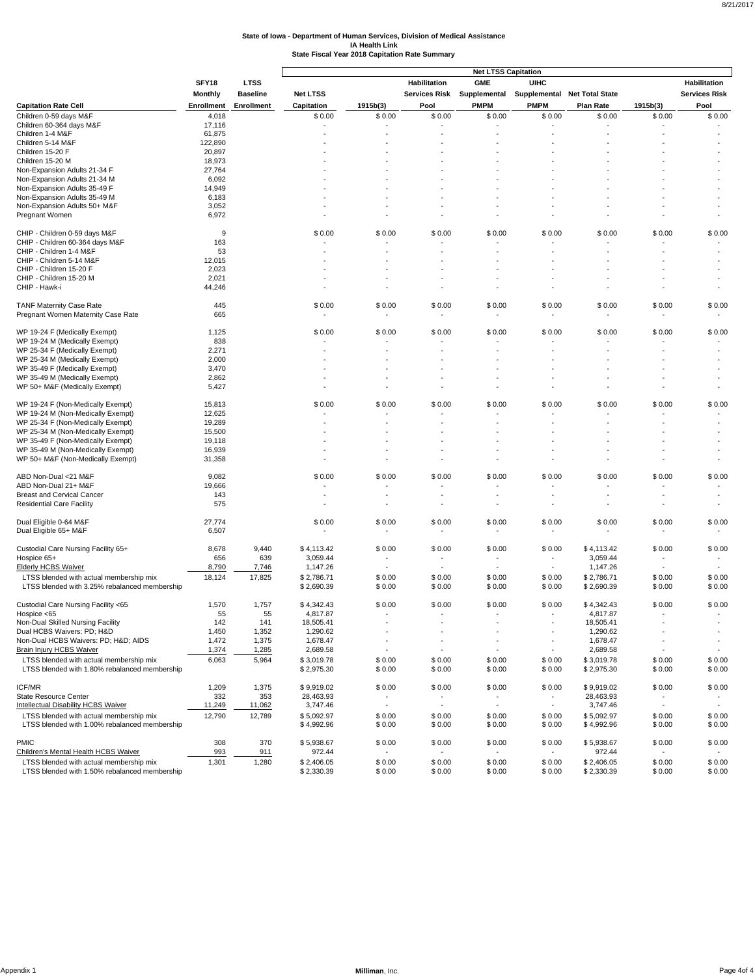|                                                              |                   |                   |                 |                          |                       | <b>Net LTSS Capitation</b> |                              |                  |                          |                      |
|--------------------------------------------------------------|-------------------|-------------------|-----------------|--------------------------|-----------------------|----------------------------|------------------------------|------------------|--------------------------|----------------------|
|                                                              | SFY18             | <b>LTSS</b>       |                 |                          | Habilitation          | <b>GME</b>                 | <b>UIHC</b>                  |                  |                          | Habilitation         |
|                                                              | Monthly           | <b>Baseline</b>   | <b>Net LTSS</b> |                          | Services Risk         | Supplemental               | Supplemental Net Total State |                  |                          | <b>Services Risk</b> |
| <b>Capitation Rate Cell</b>                                  | <b>Enrollment</b> | <b>Enrollment</b> | Capitation      | 1915b(3)                 | Pool                  | <b>PMPM</b>                | <b>PMPM</b>                  | <b>Plan Rate</b> | 1915b(3)                 | Pool                 |
| Children 0-59 days M&F                                       | 4,018             |                   | \$0.00          | \$0.00                   | \$0.00                | \$0.00                     | \$0.00                       | \$0.00           | \$0.00                   | \$0.00               |
| Children 60-364 days M&F                                     | 17,116            |                   | ÷,              |                          |                       | ٠.                         |                              |                  |                          |                      |
| Children 1-4 M&F                                             | 61,875            |                   |                 |                          |                       |                            |                              |                  |                          |                      |
| Children 5-14 M&F                                            | 122,890           |                   |                 |                          |                       |                            |                              |                  |                          |                      |
| Children 15-20 F                                             | 20,897            |                   |                 |                          |                       |                            |                              |                  |                          |                      |
| Children 15-20 M                                             | 18,973            |                   |                 |                          |                       |                            |                              |                  |                          |                      |
| Non-Expansion Adults 21-34 F                                 | 27,764            |                   |                 |                          |                       |                            |                              |                  |                          |                      |
| Non-Expansion Adults 21-34 M                                 | 6,092             |                   |                 |                          |                       |                            |                              |                  |                          |                      |
| Non-Expansion Adults 35-49 F                                 | 14,949            |                   |                 |                          |                       |                            |                              |                  |                          |                      |
| Non-Expansion Adults 35-49 M<br>Non-Expansion Adults 50+ M&F | 6,183<br>3,052    |                   |                 |                          |                       |                            |                              |                  |                          |                      |
| Pregnant Women                                               | 6,972             |                   |                 |                          |                       |                            |                              |                  |                          |                      |
|                                                              |                   |                   |                 |                          |                       |                            |                              |                  |                          |                      |
| CHIP - Children 0-59 days M&F                                | 9                 |                   | \$0.00          | \$0.00                   | \$0.00                | \$0.00                     | \$0.00                       | \$0.00           | \$0.00                   | \$0.00               |
| CHIP - Children 60-364 days M&F                              | 163               |                   |                 |                          |                       |                            |                              |                  |                          |                      |
| CHIP - Children 1-4 M&F                                      | 53                |                   |                 |                          |                       |                            |                              |                  |                          |                      |
| CHIP - Children 5-14 M&F                                     | 12,015            |                   |                 |                          |                       |                            |                              |                  |                          |                      |
| CHIP - Children 15-20 F                                      | 2,023             |                   |                 |                          |                       |                            |                              |                  |                          |                      |
| CHIP - Children 15-20 M                                      | 2,021             |                   |                 |                          |                       |                            |                              |                  |                          |                      |
| CHIP - Hawk-i                                                | 44,246            |                   |                 |                          |                       |                            |                              |                  |                          |                      |
|                                                              |                   |                   |                 |                          |                       |                            |                              |                  |                          |                      |
| <b>TANF Maternity Case Rate</b>                              | 445               |                   | \$0.00          | \$0.00                   | \$0.00                | \$0.00                     | \$0.00                       | \$0.00           | \$0.00                   | \$0.00               |
| Pregnant Women Maternity Case Rate                           | 665               |                   |                 |                          |                       |                            |                              |                  |                          |                      |
| WP 19-24 F (Medically Exempt)                                | 1,125             |                   | \$0.00          | \$0.00                   | \$0.00                | \$0.00                     | \$0.00                       | \$0.00           | \$0.00                   | \$0.00               |
| WP 19-24 M (Medically Exempt)                                | 838               |                   |                 |                          |                       |                            |                              |                  |                          |                      |
| WP 25-34 F (Medically Exempt)                                | 2,271             |                   |                 |                          |                       |                            |                              |                  |                          |                      |
| WP 25-34 M (Medically Exempt)                                | 2,000             |                   |                 |                          |                       |                            |                              |                  |                          |                      |
| WP 35-49 F (Medically Exempt)                                | 3,470             |                   |                 |                          |                       |                            |                              |                  |                          |                      |
| WP 35-49 M (Medically Exempt)                                | 2,862             |                   |                 |                          |                       |                            |                              |                  |                          |                      |
| WP 50+ M&F (Medically Exempt)                                | 5,427             |                   |                 |                          |                       |                            |                              |                  |                          |                      |
|                                                              |                   |                   |                 |                          |                       |                            |                              |                  |                          |                      |
| WP 19-24 F (Non-Medically Exempt)                            | 15,813            |                   | \$0.00          | \$0.00                   | \$0.00                | \$0.00                     | \$0.00                       | \$0.00           | \$0.00                   | \$0.00               |
| WP 19-24 M (Non-Medically Exempt)                            | 12,625            |                   |                 |                          |                       |                            |                              |                  |                          | $\sim$               |
| WP 25-34 F (Non-Medically Exempt)                            | 19,289            |                   |                 |                          |                       |                            |                              |                  |                          |                      |
| WP 25-34 M (Non-Medically Exempt)                            | 15,500            |                   |                 |                          |                       |                            |                              |                  |                          |                      |
| WP 35-49 F (Non-Medically Exempt)                            | 19,118            |                   |                 |                          |                       |                            |                              |                  |                          |                      |
| WP 35-49 M (Non-Medically Exempt)                            | 16,939            |                   |                 |                          |                       |                            |                              |                  |                          |                      |
| WP 50+ M&F (Non-Medically Exempt)                            | 31,358            |                   |                 |                          |                       |                            |                              |                  |                          |                      |
| ABD Non-Dual <21 M&F                                         | 9,082             |                   | \$0.00          | \$0.00                   | \$0.00                | \$0.00                     | \$0.00                       | \$0.00           | \$0.00                   | \$0.00               |
| ABD Non-Dual 21+ M&F                                         | 19,666            |                   |                 |                          |                       |                            |                              |                  |                          |                      |
| <b>Breast and Cervical Cancer</b>                            | 143               |                   |                 |                          |                       |                            |                              |                  |                          |                      |
| <b>Residential Care Facility</b>                             | 575               |                   |                 |                          |                       |                            |                              |                  |                          |                      |
|                                                              |                   |                   |                 |                          |                       |                            |                              |                  |                          |                      |
| Dual Eligible 0-64 M&F                                       | 27,774            |                   | \$0.00          | \$0.00                   | \$0.00                | \$0.00                     | \$0.00                       | \$0.00           | \$0.00                   | \$0.00               |
| Dual Eligible 65+ M&F                                        | 6,507             |                   |                 |                          | ٠                     | $\overline{\phantom{a}}$   |                              |                  |                          |                      |
|                                                              |                   |                   |                 |                          |                       |                            |                              |                  |                          |                      |
| Custodial Care Nursing Facility 65+                          | 8,678             | 9,440             | \$4,113.42      | \$0.00                   | \$0.00                | \$0.00                     | \$0.00                       | \$4,113.42       | \$0.00                   | \$0.00               |
| Hospice 65+                                                  | 656               | 639               | 3,059.44        |                          |                       | $\sim$                     |                              | 3,059.44         |                          |                      |
| <b>Elderly HCBS Waiver</b>                                   | 8,790             | 7,746             | 1,147.26        |                          |                       |                            |                              | 1,147.26         |                          |                      |
| LTSS blended with actual membership mix                      | 18,124            | 17,825            | \$2,786.71      | \$0.00                   | \$0.00                | \$0.00                     | \$0.00                       | \$2,786.71       | \$0.00                   | \$0.00               |
| LTSS blended with 3.25% rebalanced membership                |                   |                   | \$2,690.39      | \$0.00                   | \$0.00                | \$0.00                     | \$0.00                       | \$2,690.39       | \$0.00                   | \$0.00               |
|                                                              |                   |                   |                 |                          |                       |                            |                              |                  |                          |                      |
| Custodial Care Nursing Facility <65                          | 1,570             | 1,757             | \$4,342.43      | \$0.00                   | \$0.00                | \$0.00                     | \$0.00                       | \$4,342.43       | \$0.00                   | \$0.00               |
| Hospice <65                                                  | 55                | 55                | 4,817.87        | $\overline{\phantom{a}}$ | ٠                     | $\sim$                     | $\sim$                       | 4,817.87         |                          |                      |
| Non-Dual Skilled Nursing Facility                            | 142               | 141               | 18,505.41       | ٠                        |                       |                            | $\overline{\phantom{a}}$     | 18,505.41        |                          |                      |
| Dual HCBS Waivers: PD; H&D                                   | 1,450             | 1,352             | 1,290.62        | $\overline{\phantom{a}}$ | $\tilde{\phantom{a}}$ | $\overline{\phantom{a}}$   | $\blacksquare$<br>$\sim$     | 1,290.62         |                          |                      |
| Non-Dual HCBS Waivers: PD; H&D AIDS                          | 1,472             | 1,375             | 1,678.47        |                          |                       | $\overline{\phantom{a}}$   |                              | 1,678.47         |                          |                      |
| <b>Brain Injury HCBS Waiver</b>                              | 1,374             | 1,285             | 2,689.58        | ٠                        |                       | $\blacksquare$             |                              | 2,689.58         |                          |                      |
| LTSS blended with actual membership mix                      | 6,063             | 5,964             | \$3,019.78      | \$0.00                   | \$0.00                | \$0.00                     | \$0.00                       | \$3,019.78       | \$0.00                   | \$0.00               |
| LTSS blended with 1.80% rebalanced membership                |                   |                   | \$2,975.30      | \$0.00                   | \$0.00                | \$0.00                     | \$0.00                       | \$2,975.30       | \$0.00                   | \$0.00               |
| ICF/MR                                                       | 1,209             | 1,375             | \$9,919.02      | \$0.00                   | \$0.00                | \$0.00                     | \$0.00                       | \$9,919.02       | \$0.00                   | \$0.00               |
| State Resource Center                                        | 332               | 353               | 28,463.93       |                          |                       |                            |                              | 28,463.93        |                          |                      |
| <b>Intellectual Disability HCBS Waiver</b>                   | 11,249            | 11,062            | 3,747.46        | $\overline{\phantom{a}}$ | $\blacksquare$        | $\blacksquare$             | $\sim$                       | 3,747.46         | $\overline{\phantom{a}}$ | $\sim$               |
| LTSS blended with actual membership mix                      | 12,790            | 12,789            | \$5,092.97      | \$0.00                   | \$0.00                | \$0.00                     | \$0.00                       | \$5,092.97       | \$0.00                   | \$0.00               |
| LTSS blended with 1.00% rebalanced membership                |                   |                   | \$4,992.96      | \$0.00                   | \$0.00                | \$0.00                     | \$0.00                       | \$4,992.96       | \$0.00                   | \$0.00               |
|                                                              |                   |                   |                 |                          |                       |                            |                              |                  |                          |                      |
| <b>PMIC</b>                                                  | 308               | 370               | \$5,938.67      | \$0.00                   | \$0.00                | \$0.00                     | \$0.00                       | \$5,938.67       | \$0.00                   | \$0.00               |
| Children's Mental Health HCBS Waiver                         | 993               | 911               | 972.44          |                          |                       |                            |                              | 972.44           |                          |                      |
| LTSS blended with actual membership mix                      | 1,301             | 1,280             | \$2,406.05      | \$0.00                   | \$0.00                | \$0.00                     | \$0.00                       | \$2,406.05       | \$0.00                   | \$0.00               |
| LTSS blended with 1.50% rebalanced membership                |                   |                   | \$2,330.39      | \$0.00                   | \$0.00                | \$0.00                     | \$0.00                       | \$2,330.39       | \$0.00                   | \$0.00               |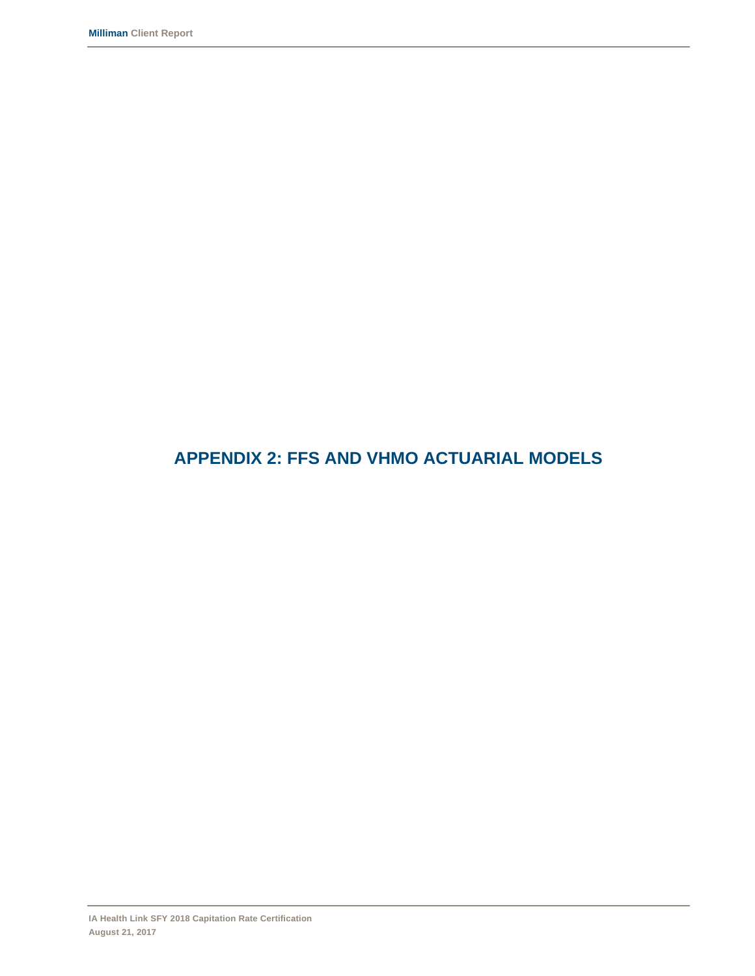# **APPENDIX 2: FFS AND VHMO ACTUARIAL MODELS**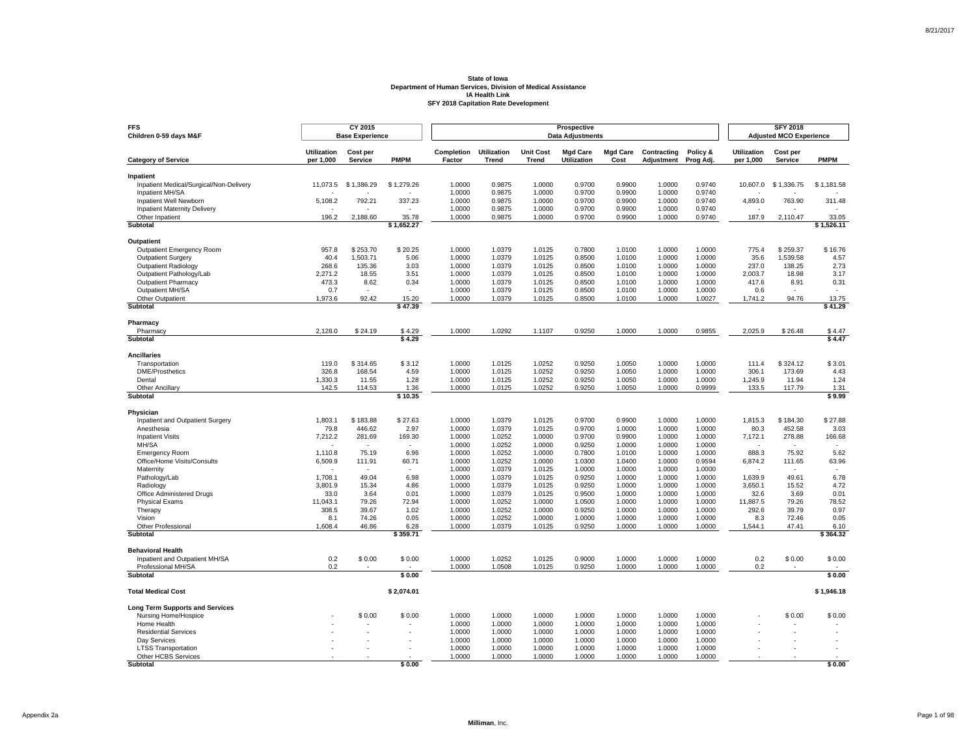| <b>FFS</b><br>Children 0-59 days M&F                 |                                 | CY 2015<br><b>Base Experience</b> |                          | Prospective<br><b>Data Adjustments</b> |                                    |                           |                                |                         |                           |                       |                                 | <b>SFY 2018</b><br><b>Adjusted MCO Experience</b> |                  |  |  |
|------------------------------------------------------|---------------------------------|-----------------------------------|--------------------------|----------------------------------------|------------------------------------|---------------------------|--------------------------------|-------------------------|---------------------------|-----------------------|---------------------------------|---------------------------------------------------|------------------|--|--|
| <b>Category of Service</b>                           | <b>Utilization</b><br>per 1,000 | Cost per<br>Service               | <b>PMPM</b>              | Completion<br>Factor                   | <b>Utilization</b><br><b>Trend</b> | <b>Unit Cost</b><br>Trend | <b>Mad Care</b><br>Utilization | <b>Mad Care</b><br>Cost | Contracting<br>Adjustment | Policy &<br>Prog Adj. | <b>Utilization</b><br>per 1,000 | Cost per<br>Service                               | <b>PMPM</b>      |  |  |
|                                                      |                                 |                                   |                          |                                        |                                    |                           |                                |                         |                           |                       |                                 |                                                   |                  |  |  |
| Inpatient<br>Inpatient Medical/Surgical/Non-Delivery | 11,073.5                        | \$1,386.29                        | \$1,279.26               | 1.0000                                 | 0.9875                             | 1.0000                    | 0.9700                         | 0.9900                  | 1.0000                    | 0.9740                | 10,607.0                        | \$1,336.75                                        | \$1,181.58       |  |  |
| Inpatient MH/SA                                      |                                 |                                   |                          | 1.0000                                 | 0.9875                             | 1.0000                    | 0.9700                         | 0.9900                  | 1.0000                    | 0.9740                |                                 |                                                   |                  |  |  |
| Inpatient Well Newborn                               | 5,108.2                         | 792.21                            | 337.23                   | 1.0000                                 | 0.9875                             | 1.0000                    | 0.9700                         | 0.9900                  | 1.0000                    | 0.9740                | 4,893.0                         | 763.90                                            | 311.48           |  |  |
| <b>Inpatient Maternity Delivery</b>                  |                                 |                                   |                          | 1.0000                                 | 0.9875                             | 1.0000                    | 0.9700                         | 0.9900                  | 1.0000                    | 0.9740                | ٠                               |                                                   |                  |  |  |
| Other Inpatient                                      | 196.2                           | 2,188.60                          | 35.78                    | 1.0000                                 | 0.9875                             | 1.0000                    | 0.9700                         | 0.9900                  | 1.0000                    | 0.9740                | 187.9                           | 2,110.47                                          | 33.05            |  |  |
| <b>Subtotal</b>                                      |                                 |                                   | \$1.652.27               |                                        |                                    |                           |                                |                         |                           |                       |                                 |                                                   | \$1,526.11       |  |  |
| <b>Outpatient</b>                                    |                                 |                                   |                          |                                        |                                    |                           |                                |                         |                           |                       |                                 |                                                   |                  |  |  |
| Outpatient Emergency Room                            | 957.8                           | \$253.70                          | \$20.25                  | 1.0000                                 | 1.0379                             | 1.0125                    | 0.7800                         | 1.0100                  | 1.0000                    | 1.0000                | 775.4                           | \$259.37                                          | \$16.76          |  |  |
| <b>Outpatient Surgery</b>                            | 40.4                            | 1.503.71                          | 5.06                     | 1.0000                                 | 1.0379                             | 1.0125                    | 0.8500                         | 1.0100                  | 1.0000                    | 1.0000                | 35.6                            | 1.539.58                                          | 4.57             |  |  |
| <b>Outpatient Radiology</b>                          | 268.6                           | 135.36                            | 3.03                     | 1.0000                                 | 1.0379                             | 1.0125                    | 0.8500                         | 1.0100                  | 1.0000                    | 1.0000                | 237.0                           | 138.25                                            | 2.73             |  |  |
| Outpatient Pathology/Lab                             | 2.271.2                         | 18.55                             | 3.51                     | 1.0000                                 | 1.0379                             | 1.0125                    | 0.8500                         | 1.0100                  | 1.0000                    | 1.0000                | 2.003.7                         | 18.98                                             | 3.17             |  |  |
| <b>Outpatient Pharmacy</b>                           | 473.3                           | 8.62                              | 0.34                     | 1.0000                                 | 1.0379                             | 1.0125                    | 0.8500                         | 1.0100                  | 1.0000                    | 1.0000                | 417.6                           | 8.91                                              | 0.31             |  |  |
| Outpatient MH/SA                                     | 0.7                             |                                   | ÷.                       | 1.0000                                 | 1.0379                             | 1.0125                    | 0.8500                         | 1.0100                  | 1.0000                    | 1.0000                | 0.6                             |                                                   | $\sim$           |  |  |
| Other Outpatient<br>Subtotal                         | 1,973.6                         | 92.42                             | 15.20<br>\$47.39         | 1.0000                                 | 1.0379                             | 1.0125                    | 0.8500                         | 1.0100                  | 1.0000                    | 1.0027                | 1,741.2                         | 94.76                                             | 13.75<br>\$41.29 |  |  |
|                                                      |                                 |                                   |                          |                                        |                                    |                           |                                |                         |                           |                       |                                 |                                                   |                  |  |  |
| Pharmacy<br>Pharmacy                                 | 2,128.0                         | \$24.19                           | \$4.29                   | 1.0000                                 | 1.0292                             | 1.1107                    | 0.9250                         | 1.0000                  | 1.0000                    | 0.9855                | 2.025.9                         | \$26.48                                           | \$4.47           |  |  |
| Subtotal                                             |                                 |                                   | \$4.29                   |                                        |                                    |                           |                                |                         |                           |                       |                                 |                                                   | \$4.47           |  |  |
|                                                      |                                 |                                   |                          |                                        |                                    |                           |                                |                         |                           |                       |                                 |                                                   |                  |  |  |
| <b>Ancillaries</b>                                   |                                 |                                   |                          |                                        |                                    |                           |                                |                         |                           |                       |                                 |                                                   |                  |  |  |
| Transportation                                       | 119.0                           | \$314.65                          | \$3.12                   | 1.0000                                 | 1.0125                             | 1.0252                    | 0.9250                         | 1.0050                  | 1.0000                    | 1.0000                | 111.4                           | \$324.12                                          | \$3.01           |  |  |
| <b>DME/Prosthetics</b>                               | 326.8                           | 168.54                            | 4.59                     | 1.0000                                 | 1.0125                             | 1.0252                    | 0.9250                         | 1.0050                  | 1.0000                    | 1.0000                | 306.1                           | 173.69                                            | 4.43             |  |  |
| Dental<br>Other Ancillary                            | 1,330.3<br>142.5                | 11.55<br>114.53                   | 1.28<br>1.36             | 1.0000<br>1.0000                       | 1.0125<br>1.0125                   | 1.0252<br>1.0252          | 0.9250<br>0.9250               | 1.0050<br>1.0050        | 1.0000<br>1.0000          | 1.0000<br>0.9999      | 1,245.9<br>133.5                | 11.94<br>117.79                                   | 1.24<br>1.31     |  |  |
| Subtotal                                             |                                 |                                   | \$10.35                  |                                        |                                    |                           |                                |                         |                           |                       |                                 |                                                   | \$9.99           |  |  |
|                                                      |                                 |                                   |                          |                                        |                                    |                           |                                |                         |                           |                       |                                 |                                                   |                  |  |  |
| Physician<br>Inpatient and Outpatient Surgery        | 1,803.1                         | \$183.88                          | \$27.63                  | 1.0000                                 | 1.0379                             | 1.0125                    | 0.9700                         | 0.9900                  | 1.0000                    | 1.0000                | 1,815.3                         | \$184.30                                          | \$27.88          |  |  |
| Anesthesia                                           | 79.8                            | 446.62                            | 2.97                     | 1.0000                                 | 1.0379                             | 1.0125                    | 0.9700                         | 1.0000                  | 1.0000                    | 1.0000                | 80.3                            | 452.58                                            | 3.03             |  |  |
| <b>Inpatient Visits</b>                              | 7,212.2                         | 281.69                            | 169.30                   | 1.0000                                 | 1.0252                             | 1.0000                    | 0.9700                         | 0.9900                  | 1.0000                    | 1.0000                | 7,172.1                         | 278.88                                            | 166.68           |  |  |
| MH/SA                                                |                                 | $\overline{\phantom{a}}$          | $\overline{\phantom{a}}$ | 1.0000                                 | 1.0252                             | 1.0000                    | 0.9250                         | 1.0000                  | 1.0000                    | 1.0000                | $\overline{\phantom{a}}$        | $\overline{\phantom{a}}$                          | $\sim$           |  |  |
| <b>Emergency Room</b>                                | 1,110.8                         | 75.19                             | 6.96                     | 1.0000                                 | 1.0252                             | 1.0000                    | 0.7800                         | 1.0100                  | 1.0000                    | 1.0000                | 888.3                           | 75.92                                             | 5.62             |  |  |
| Office/Home Visits/Consults                          | 6,509.9                         | 111.91                            | 60.71                    | 1.0000                                 | 1.0252                             | 1.0000                    | 1.0300                         | 1.0400                  | 1.0000                    | 0.9594                | 6,874.2                         | 111.65                                            | 63.96            |  |  |
| Maternity                                            |                                 |                                   |                          | 1.0000                                 | 1.0379                             | 1.0125                    | 1.0000                         | 1.0000                  | 1.0000                    | 1.0000                |                                 |                                                   |                  |  |  |
| Pathology/Lab                                        | 1,708.1                         | 49.04                             | 6.98                     | 1.0000                                 | 1.0379                             | 1.0125                    | 0.9250                         | 1.0000                  | 1.0000                    | 1.0000                | 1,639.9                         | 49.61                                             | 6.78             |  |  |
| Radiology                                            | 3.801.9                         | 15.34                             | 4.86                     | 1.0000                                 | 1.0379                             | 1.0125                    | 0.9250                         | 1.0000                  | 1.0000                    | 1.0000                | 3,650.1                         | 15.52                                             | 4.72             |  |  |
| Office Administered Drugs                            | 33.0                            | 3.64                              | 0.01                     | 1.0000                                 | 1.0379                             | 1.0125                    | 0.9500                         | 1.0000                  | 1.0000                    | 1.0000                | 32.6                            | 3.69                                              | 0.01             |  |  |
| <b>Physical Exams</b>                                | 11,043.1<br>308.5               | 79.26                             | 72.94<br>1.02            | 1.0000<br>1.0000                       | 1.0252<br>1.0252                   | 1.0000<br>1.0000          | 1.0500<br>0.9250               | 1.0000<br>1.0000        | 1.0000                    | 1.0000<br>1.0000      | 11,887.5<br>292.6               | 79.26<br>39.79                                    | 78.52<br>0.97    |  |  |
| Therapy<br>Vision                                    | 8.1                             | 39.67<br>74.26                    | 0.05                     | 1.0000                                 | 1.0252                             | 1.0000                    | 1.0000                         | 1.0000                  | 1.0000<br>1.0000          | 1.0000                | 8.3                             | 72.46                                             | 0.05             |  |  |
| Other Professional                                   | 1,608.4                         | 46.86                             | 6.28                     | 1.0000                                 | 1.0379                             | 1.0125                    | 0.9250                         | 1.0000                  | 1.0000                    | 1.0000                | 1,544.1                         | 47.41                                             | 6.10             |  |  |
| Subtotal                                             |                                 |                                   | \$359.71                 |                                        |                                    |                           |                                |                         |                           |                       |                                 |                                                   | \$364.32         |  |  |
| <b>Behavioral Health</b>                             |                                 |                                   |                          |                                        |                                    |                           |                                |                         |                           |                       |                                 |                                                   |                  |  |  |
| Inpatient and Outpatient MH/SA                       | 0.2                             | \$0.00                            | \$0.00                   | 1.0000                                 | 1.0252                             | 1.0125                    | 0.9000                         | 1.0000                  | 1.0000                    | 1.0000                | 0.2                             | \$0.00                                            | \$0.00           |  |  |
| Professional MH/SA                                   | 0.2                             |                                   |                          | 1.0000                                 | 1.0508                             | 1.0125                    | 0.9250                         | 1.0000                  | 1.0000                    | 1.0000                | 0.2                             |                                                   |                  |  |  |
| <b>Subtotal</b>                                      |                                 |                                   | \$0.00                   |                                        |                                    |                           |                                |                         |                           |                       |                                 |                                                   | \$0.00           |  |  |
| <b>Total Medical Cost</b>                            |                                 |                                   | \$2,074.01               |                                        |                                    |                           |                                |                         |                           |                       |                                 |                                                   | \$1,946.18       |  |  |
| <b>Long Term Supports and Services</b>               |                                 |                                   |                          |                                        |                                    |                           |                                |                         |                           |                       |                                 |                                                   |                  |  |  |
| Nursing Home/Hospice                                 |                                 | \$0.00                            | \$0.00                   | 1.0000                                 | 1.0000                             | 1.0000                    | 1.0000                         | 1.0000                  | 1.0000                    | 1.0000                |                                 | \$0.00                                            | \$0.00           |  |  |
| Home Health                                          |                                 |                                   |                          | 1.0000                                 | 1.0000                             | 1.0000                    | 1.0000                         | 1.0000                  | 1.0000                    | 1.0000                |                                 |                                                   |                  |  |  |
| <b>Residential Services</b>                          |                                 |                                   |                          | 1.0000                                 | 1.0000                             | 1.0000                    | 1.0000                         | 1.0000                  | 1.0000                    | 1.0000                |                                 |                                                   |                  |  |  |
| Dav Services                                         |                                 |                                   |                          | 1.0000                                 | 1.0000                             | 1.0000                    | 1.0000                         | 1.0000                  | 1.0000                    | 1.0000                |                                 |                                                   |                  |  |  |
| <b>LTSS Transportation</b>                           |                                 |                                   |                          | 1.0000                                 | 1.0000                             | 1.0000                    | 1.0000                         | 1.0000                  | 1.0000                    | 1.0000                |                                 |                                                   |                  |  |  |
| Other HCBS Services<br>Subtotal                      |                                 |                                   | \$0.00                   | 1.0000                                 | 1.0000                             | 1.0000                    | 1.0000                         | 1.0000                  | 1.0000                    | 1.0000                |                                 |                                                   | \$0.00           |  |  |
|                                                      |                                 |                                   |                          |                                        |                                    |                           |                                |                         |                           |                       |                                 |                                                   |                  |  |  |

Page 1 of 98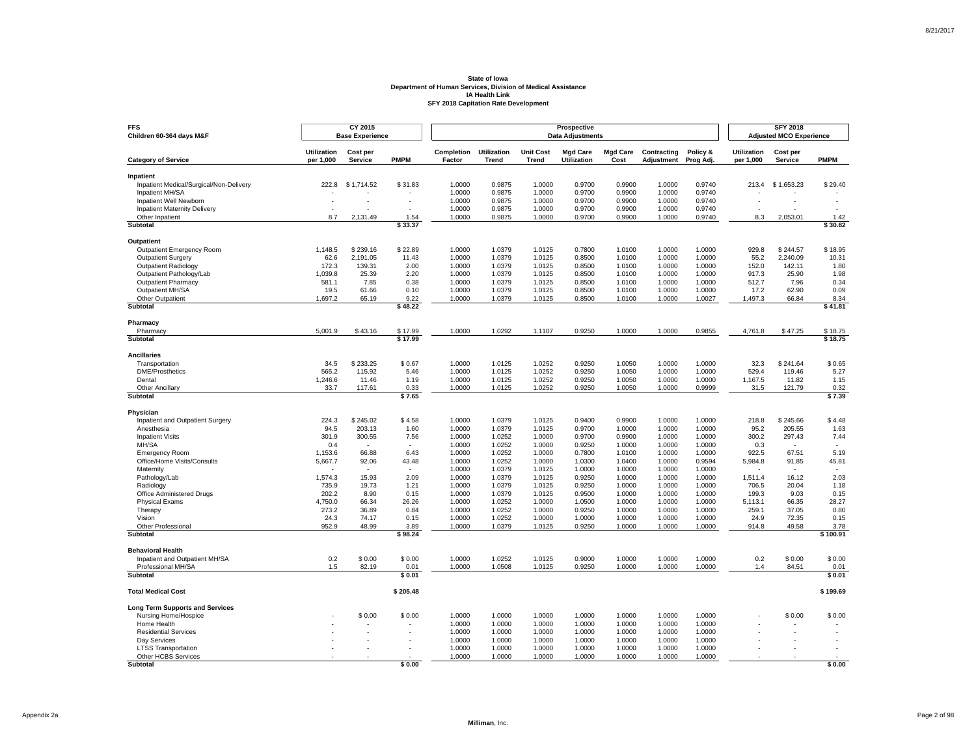| <b>FFS</b><br>Children 60-364 days M&F               |                                 | CY 2015<br><b>Base Experience</b> |                          | Prospective<br><b>Data Adjustments</b> |                             |                                  |                                |                         |                                  |                       |                                 | <b>SFY 2018</b><br><b>Adjusted MCO Experience</b> |                  |  |  |
|------------------------------------------------------|---------------------------------|-----------------------------------|--------------------------|----------------------------------------|-----------------------------|----------------------------------|--------------------------------|-------------------------|----------------------------------|-----------------------|---------------------------------|---------------------------------------------------|------------------|--|--|
| <b>Category of Service</b>                           | <b>Utilization</b><br>per 1,000 | Cost per<br><b>Service</b>        | <b>PMPM</b>              | Completion<br>Factor                   | <b>Utilization</b><br>Trend | <b>Unit Cost</b><br><b>Trend</b> | <b>Mgd Care</b><br>Utilization | <b>Mgd Care</b><br>Cost | Contracting<br><b>Adjustment</b> | Policy &<br>Prog Adj. | <b>Utilization</b><br>per 1,000 | Cost per<br><b>Service</b>                        | <b>PMPM</b>      |  |  |
|                                                      |                                 |                                   |                          |                                        |                             |                                  |                                |                         |                                  |                       |                                 |                                                   |                  |  |  |
| Inpatient<br>Inpatient Medical/Surgical/Non-Delivery | 222.8                           | \$1.714.52                        | \$31.83                  | 1.0000                                 | 0.9875                      | 1.0000                           | 0.9700                         | 0.9900                  | 1.0000                           | 0.9740                | 213.4                           | \$1,653.23                                        | \$29.40          |  |  |
| Inpatient MH/SA                                      |                                 |                                   |                          | 1.0000                                 | 0.9875                      | 1.0000                           | 0.9700                         | 0.9900                  | 1.0000                           | 0.9740                |                                 |                                                   |                  |  |  |
| Inpatient Well Newborn                               |                                 | ä,                                |                          | 1.0000                                 | 0.9875                      | 1.0000                           | 0.9700                         | 0.9900                  | 1.0000                           | 0.9740                | Ĭ.                              |                                                   | ä,               |  |  |
| <b>Inpatient Maternity Delivery</b>                  |                                 |                                   | $\overline{a}$           | 1.0000                                 | 0.9875                      | 1.0000                           | 0.9700                         | 0.9900                  | 1.0000                           | 0.9740                | $\overline{\phantom{a}}$        |                                                   |                  |  |  |
| Other Inpatient                                      | 8.7                             | 2.131.49                          | 1.54                     | 1.0000                                 | 0.9875                      | 1.0000                           | 0.9700                         | 0.9900                  | 1.0000                           | 0.9740                | 8.3                             | 2.053.01                                          | 1.42             |  |  |
| <b>Subtotal</b>                                      |                                 |                                   | \$33.37                  |                                        |                             |                                  |                                |                         |                                  |                       |                                 |                                                   | \$30.82          |  |  |
| Outpatient                                           |                                 |                                   |                          |                                        |                             |                                  |                                |                         |                                  |                       |                                 |                                                   |                  |  |  |
| Outpatient Emergency Room                            | 1,148.5                         | \$239.16                          | \$22.89                  | 1.0000                                 | 1.0379                      | 1.0125                           | 0.7800                         | 1.0100                  | 1.0000                           | 1.0000                | 929.8                           | \$244.57                                          | \$18.95          |  |  |
| <b>Outpatient Surgery</b>                            | 62.6                            | 2,191.05                          | 11.43                    | 1.0000                                 | 1.0379                      | 1.0125                           | 0.8500                         | 1.0100                  | 1.0000                           | 1.0000                | 55.2                            | 2.240.09                                          | 10.31            |  |  |
| <b>Outpatient Radiology</b>                          | 172.3                           | 139.31                            | 2.00                     | 1.0000                                 | 1.0379                      | 1.0125                           | 0.8500                         | 1.0100                  | 1.0000                           | 1.0000                | 152.0                           | 142.11                                            | 1.80             |  |  |
| Outpatient Pathology/Lab                             | 1,039.8                         | 25.39                             | 2.20                     | 1.0000                                 | 1.0379                      | 1.0125                           | 0.8500                         | 1.0100                  | 1.0000                           | 1.0000                | 917.3                           | 25.90                                             | 1.98             |  |  |
| <b>Outpatient Pharmacy</b><br>Outpatient MH/SA       | 581.1<br>19.5                   | 7.85<br>61.66                     | 0.38<br>0.10             | 1.0000<br>1.0000                       | 1.0379<br>1.0379            | 1.0125<br>1.0125                 | 0.8500<br>0.8500               | 1.0100<br>1.0100        | 1.0000<br>1.0000                 | 1.0000<br>1.0000      | 512.7<br>17.2                   | 7.96<br>62.90                                     | 0.34<br>0.09     |  |  |
| Other Outpatient                                     | 1,697.2                         | 65.19                             | 9.22                     | 1.0000                                 | 1.0379                      | 1.0125                           | 0.8500                         | 1.0100                  | 1.0000                           | 1.0027                | 1,497.3                         | 66.84                                             | 8.34             |  |  |
| <b>Subtotal</b>                                      |                                 |                                   | \$48.22                  |                                        |                             |                                  |                                |                         |                                  |                       |                                 |                                                   | \$41.81          |  |  |
|                                                      |                                 |                                   |                          |                                        |                             |                                  |                                |                         |                                  |                       |                                 |                                                   |                  |  |  |
| Pharmacy<br>Pharmacy                                 | 5,001.9                         | \$43.16                           | \$17.99                  | 1.0000                                 | 1.0292                      | 1.1107                           | 0.9250                         | 1.0000                  | 1.0000                           | 0.9855                | 4,761.8                         | \$47.25                                           | \$18.75          |  |  |
| Subtotal                                             |                                 |                                   | 517.99                   |                                        |                             |                                  |                                |                         |                                  |                       |                                 |                                                   | \$18.75          |  |  |
| <b>Ancillaries</b>                                   |                                 |                                   |                          |                                        |                             |                                  |                                |                         |                                  |                       |                                 |                                                   |                  |  |  |
| Transportation                                       | 34.5                            | \$233.25                          | \$0.67                   | 1.0000                                 | 1.0125                      | 1.0252                           | 0.9250                         | 1.0050                  | 1.0000                           | 1.0000                | 32.3                            | \$241.64                                          | \$0.65           |  |  |
| <b>DME/Prosthetics</b>                               | 565.2                           | 115.92                            | 5.46                     | 1.0000                                 | 1.0125                      | 1.0252                           | 0.9250                         | 1.0050                  | 1.0000                           | 1.0000                | 529.4                           | 119.46                                            | 5.27             |  |  |
| Dental                                               | 1,246.6                         | 11.46                             | 1.19                     | 1.0000                                 | 1.0125                      | 1.0252                           | 0.9250                         | 1.0050                  | 1.0000                           | 1.0000                | 1,167.5                         | 11.82                                             | 1.15             |  |  |
| <b>Other Ancillary</b>                               | 33.7                            | 117.61                            | 0.33                     | 1.0000                                 | 1.0125                      | 1.0252                           | 0.9250                         | 1.0050                  | 1.0000                           | 0.9999                | 31.5                            | 121.79                                            | 0.32             |  |  |
| Subtotal                                             |                                 |                                   | \$7.65                   |                                        |                             |                                  |                                |                         |                                  |                       |                                 |                                                   | \$7.39           |  |  |
| Physician                                            |                                 |                                   |                          |                                        |                             |                                  |                                |                         |                                  |                       |                                 |                                                   |                  |  |  |
| Inpatient and Outpatient Surgery                     | 224.3                           | \$245.02                          | \$4.58                   | 1.0000                                 | 1.0379                      | 1.0125                           | 0.9400                         | 0.9900                  | 1.0000                           | 1.0000                | 218.8                           | \$245.66                                          | \$4.48           |  |  |
| Anesthesia                                           | 94.5                            | 203.13                            | 1.60                     | 1.0000                                 | 1.0379                      | 1.0125                           | 0.9700                         | 1.0000                  | 1.0000                           | 1.0000                | 95.2                            | 205.55                                            | 1.63             |  |  |
| <b>Inpatient Visits</b>                              | 301.9                           | 300.55                            | 7.56                     | 1.0000                                 | 1.0252                      | 1.0000                           | 0.9700                         | 0.9900                  | 1.0000                           | 1.0000                | 300.2                           | 297.43                                            | 7.44             |  |  |
| MH/SA                                                | 0.4                             | $\epsilon$                        | $\overline{\phantom{a}}$ | 1.0000                                 | 1.0252                      | 1.0000                           | 0.9250                         | 1.0000                  | 1.0000                           | 1.0000                | 0.3                             | $\sim$                                            | $\sim$           |  |  |
| <b>Emergency Room</b>                                | 1,153.6                         | 66.88                             | 6.43                     | 1.0000                                 | 1.0252                      | 1.0000                           | 0.7800                         | 1.0100                  | 1.0000                           | 1.0000                | 922.5                           | 67.51                                             | 5.19             |  |  |
| Office/Home Visits/Consults<br>Maternity             | 5,667.7                         | 92.06                             | 43.48                    | 1.0000<br>1.0000                       | 1.0252<br>1.0379            | 1.0000<br>1.0125                 | 1.0300<br>1.0000               | 1.0400<br>1.0000        | 1.0000<br>1.0000                 | 0.9594<br>1.0000      | 5,984.8                         | 91.85                                             | 45.81            |  |  |
| Pathology/Lab                                        | 1,574.3                         | 15.93                             | 2.09                     | 1.0000                                 | 1.0379                      | 1.0125                           | 0.9250                         | 1.0000                  | 1.0000                           | 1.0000                | 1,511.4                         | 16.12                                             | 2.03             |  |  |
| Radiology                                            | 735.9                           | 19.73                             | 1.21                     | 1.0000                                 | 1.0379                      | 1.0125                           | 0.9250                         | 1.0000                  | 1.0000                           | 1.0000                | 706.5                           | 20.04                                             | 1.18             |  |  |
| Office Administered Drugs                            | 202.2                           | 8.90                              | 0.15                     | 1.0000                                 | 1.0379                      | 1.0125                           | 0.9500                         | 1.0000                  | 1.0000                           | 1.0000                | 199.3                           | 9.03                                              | 0.15             |  |  |
| <b>Physical Exams</b>                                | 4,750.0                         | 66.34                             | 26.26                    | 1.0000                                 | 1.0252                      | 1.0000                           | 1.0500                         | 1.0000                  | 1.0000                           | 1.0000                | 5,113.1                         | 66.35                                             | 28.27            |  |  |
| Therapy                                              | 273.2                           | 36.89                             | 0.84                     | 1.0000                                 | 1.0252                      | 1.0000                           | 0.9250                         | 1.0000                  | 1.0000                           | 1.0000                | 259.1                           | 37.05                                             | 0.80             |  |  |
| Vision                                               | 24.3                            | 74.17                             | 0.15                     | 1.0000                                 | 1.0252                      | 1.0000                           | 1.0000                         | 1.0000                  | 1.0000                           | 1.0000                | 24.9                            | 72.35                                             | 0.15             |  |  |
| Other Professional<br>Subtotal                       | 952.9                           | 48.99                             | 3.89<br>\$98.24          | 1.0000                                 | 1.0379                      | 1.0125                           | 0.9250                         | 1.0000                  | 1.0000                           | 1.0000                | 914.8                           | 49.58                                             | 3.78<br>\$100.91 |  |  |
|                                                      |                                 |                                   |                          |                                        |                             |                                  |                                |                         |                                  |                       |                                 |                                                   |                  |  |  |
| <b>Behavioral Health</b>                             |                                 |                                   |                          |                                        |                             |                                  |                                |                         |                                  |                       |                                 |                                                   |                  |  |  |
| Inpatient and Outpatient MH/SA                       | 0.2<br>1.5                      | \$0.00                            | \$0.00                   | 1.0000                                 | 1.0252                      | 1.0125                           | 0.9000                         | 1.0000                  | 1.0000                           | 1.0000                | 0.2                             | \$0.00                                            | \$0.00           |  |  |
| Professional MH/SA<br>Subtotal                       |                                 | 82.19                             | 0.01<br>\$0.01           | 1.0000                                 | 1.0508                      | 1.0125                           | 0.9250                         | 1.0000                  | 1.0000                           | 1.0000                | 1.4                             | 84.51                                             | 0.01<br>\$0.01   |  |  |
|                                                      |                                 |                                   |                          |                                        |                             |                                  |                                |                         |                                  |                       |                                 |                                                   |                  |  |  |
| <b>Total Medical Cost</b>                            |                                 |                                   | \$205.48                 |                                        |                             |                                  |                                |                         |                                  |                       |                                 |                                                   | \$199.69         |  |  |
| <b>Long Term Supports and Services</b>               |                                 |                                   |                          |                                        |                             |                                  |                                |                         |                                  |                       |                                 |                                                   |                  |  |  |
| Nursing Home/Hospice                                 |                                 | \$0.00                            | \$0.00                   | 1.0000                                 | 1.0000                      | 1.0000                           | 1.0000                         | 1.0000                  | 1.0000                           | 1.0000                |                                 | \$0.00                                            | \$0.00           |  |  |
| Home Health                                          |                                 |                                   |                          | 1.0000                                 | 1.0000                      | 1.0000                           | 1.0000                         | 1.0000                  | 1.0000                           | 1.0000                |                                 |                                                   |                  |  |  |
| <b>Residential Services</b><br>Dav Services          |                                 |                                   |                          | 1.0000<br>1.0000                       | 1.0000<br>1.0000            | 1.0000<br>1.0000                 | 1.0000<br>1.0000               | 1.0000<br>1.0000        | 1.0000<br>1.0000                 | 1.0000<br>1.0000      |                                 |                                                   |                  |  |  |
| <b>LTSS Transportation</b>                           |                                 |                                   |                          | 1.0000                                 | 1.0000                      | 1.0000                           | 1.0000                         | 1.0000                  | 1.0000                           | 1.0000                |                                 |                                                   |                  |  |  |
| Other HCBS Services                                  |                                 |                                   |                          | 1.0000                                 | 1.0000                      | 1.0000                           | 1.0000                         | 1.0000                  | 1.0000                           | 1.0000                |                                 |                                                   |                  |  |  |
| Subtotal                                             |                                 |                                   | \$0.00                   |                                        |                             |                                  |                                |                         |                                  |                       |                                 |                                                   | \$0.00           |  |  |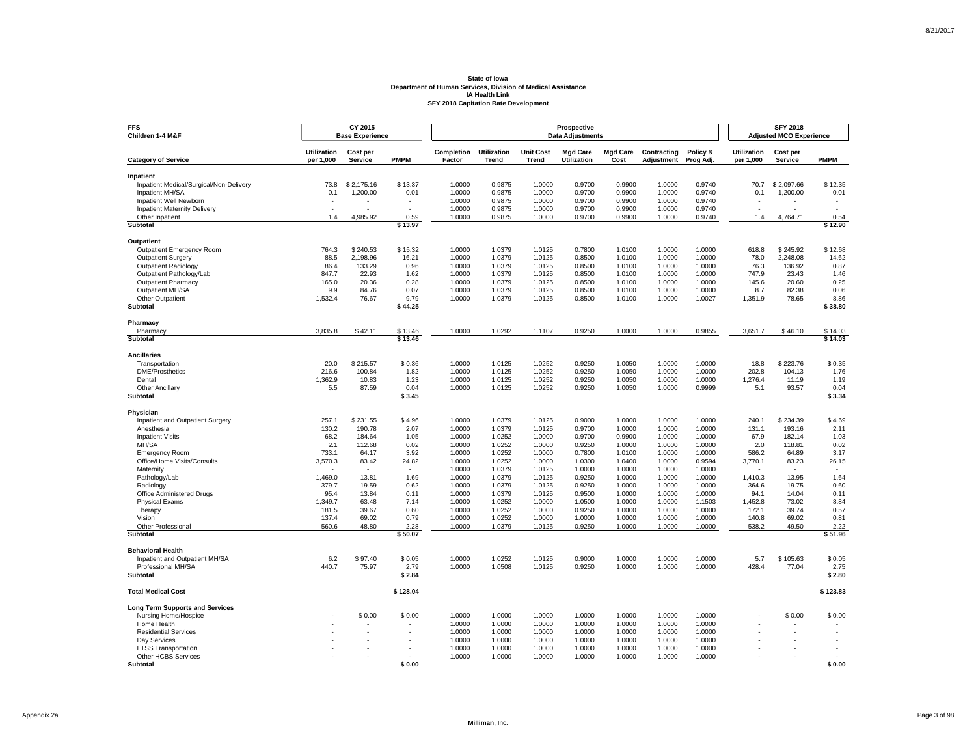| <b>FFS</b><br>Children 1-4 M&F                       |                                 | CY 2015<br><b>Base Experience</b> |                          | Prospective<br><b>Data Adjustments</b> |                                    |                           |                                       |                         |                           |                       |                                 | <b>SFY 2018</b><br><b>Adjusted MCO Experience</b> |                 |  |
|------------------------------------------------------|---------------------------------|-----------------------------------|--------------------------|----------------------------------------|------------------------------------|---------------------------|---------------------------------------|-------------------------|---------------------------|-----------------------|---------------------------------|---------------------------------------------------|-----------------|--|
| <b>Category of Service</b>                           | <b>Utilization</b><br>per 1,000 | Cost per<br>Service               | <b>PMPM</b>              | Completion<br>Factor                   | <b>Utilization</b><br><b>Trend</b> | <b>Unit Cost</b><br>Trend | <b>Mgd Care</b><br><b>Utilization</b> | <b>Mgd Care</b><br>Cost | Contracting<br>Adjustment | Policy &<br>Prog Adj. | <b>Utilization</b><br>per 1,000 | Cost per<br><b>Service</b>                        | <b>PMPM</b>     |  |
|                                                      |                                 |                                   |                          |                                        |                                    |                           |                                       |                         |                           |                       |                                 |                                                   |                 |  |
| Inpatient<br>Inpatient Medical/Surgical/Non-Delivery | 73.8                            | \$2.175.16                        | \$13.37                  | 1.0000                                 | 0.9875                             | 1.0000                    | 0.9700                                | 0.9900                  | 1.0000                    | 0.9740                | 70.7                            | \$2.097.66                                        | \$12.35         |  |
| Inpatient MH/SA                                      | 0.1                             | 1,200.00                          | 0.01                     | 1.0000                                 | 0.9875                             | 1.0000                    | 0.9700                                | 0.9900                  | 1.0000                    | 0.9740                | 0.1                             | 1,200.00                                          | 0.01            |  |
| Inpatient Well Newborn                               |                                 |                                   |                          | 1.0000                                 | 0.9875                             | 1.0000                    | 0.9700                                | 0.9900                  | 1.0000                    | 0.9740                |                                 |                                                   |                 |  |
| <b>Inpatient Maternity Delivery</b>                  | $\overline{\phantom{a}}$        |                                   | $\overline{\phantom{a}}$ | 1.0000                                 | 0.9875                             | 1.0000                    | 0.9700                                | 0.9900                  | 1.0000                    | 0.9740                | ÷,                              |                                                   |                 |  |
| Other Inpatient                                      | 14                              | 4.985.92                          | 0.59                     | 1.0000                                 | 0.9875                             | 1.0000                    | 0.9700                                | 0.9900                  | 1.0000                    | 0.9740                | 1.4                             | 4.764.71                                          | 0.54            |  |
| Subtotal                                             |                                 |                                   | \$13.97                  |                                        |                                    |                           |                                       |                         |                           |                       |                                 |                                                   | \$12.90         |  |
| Outpatient                                           |                                 |                                   |                          |                                        |                                    |                           |                                       |                         |                           |                       |                                 |                                                   |                 |  |
| Outpatient Emergency Room                            | 764.3                           | \$240.53                          | \$15.32                  | 1.0000                                 | 1.0379                             | 1.0125                    | 0.7800                                | 1.0100                  | 1.0000                    | 1.0000                | 618.8                           | \$245.92                                          | \$12.68         |  |
| Outpatient Surgery                                   | 88.5                            | 2,198.96                          | 16.21                    | 1.0000                                 | 1.0379                             | 1.0125                    | 0.8500                                | 1.0100                  | 1.0000                    | 1.0000                | 78.0                            | 2.248.08                                          | 14.62           |  |
| <b>Outpatient Radiology</b>                          | 86.4                            | 133.29                            | 0.96                     | 1.0000                                 | 1.0379                             | 1.0125                    | 0.8500                                | 1.0100                  | 1.0000                    | 1.0000                | 76.3                            | 136.92                                            | 0.87            |  |
| Outpatient Pathology/Lab                             | 847.7                           | 22.93                             | 1.62                     | 1.0000                                 | 1.0379                             | 1.0125                    | 0.8500                                | 1.0100                  | 1.0000                    | 1.0000                | 747.9                           | 23.43                                             | 1.46            |  |
| <b>Outpatient Pharmacy</b>                           | 165.0                           | 20.36                             | 0.28                     | 1.0000                                 | 1.0379                             | 1.0125                    | 0.8500                                | 1.0100                  | 1.0000                    | 1.0000                | 145.6                           | 20.60                                             | 0.25            |  |
| Outpatient MH/SA                                     | 9.9                             | 84.76                             | 0.07                     | 1.0000                                 | 1.0379                             | 1.0125                    | 0.8500                                | 1.0100                  | 1.0000                    | 1.0000                | 8.7                             | 82.38                                             | 0.06            |  |
| Other Outpatient                                     | 1,532.4                         | 76.67                             | 9.79                     | 1.0000                                 | 1.0379                             | 1.0125                    | 0.8500                                | 1.0100                  | 1.0000                    | 1.0027                | 1,351.9                         | 78.65                                             | 8.86            |  |
| Subtotal                                             |                                 |                                   | \$44.25                  |                                        |                                    |                           |                                       |                         |                           |                       |                                 |                                                   | \$38.80         |  |
| Pharmacy                                             |                                 |                                   |                          |                                        |                                    |                           |                                       |                         |                           |                       |                                 |                                                   |                 |  |
| Pharmacy                                             | 3,835.8                         | \$42.11                           | \$13.46                  | 1.0000                                 | 1.0292                             | 1.1107                    | 0.9250                                | 1.0000                  | 1.0000                    | 0.9855                | 3,651.7                         | \$46.10                                           | \$14.03         |  |
| Subtotal                                             |                                 |                                   | \$13.46                  |                                        |                                    |                           |                                       |                         |                           |                       |                                 |                                                   | \$14.03         |  |
| <b>Ancillaries</b>                                   |                                 |                                   |                          |                                        |                                    |                           |                                       |                         |                           |                       |                                 |                                                   |                 |  |
| Transportation                                       | 20.0                            | \$215.57                          | \$0.36                   | 1.0000                                 | 1.0125                             | 1.0252                    | 0.9250                                | 1.0050                  | 1.0000                    | 1.0000                | 18.8                            | \$223.76                                          | \$0.35          |  |
| <b>DME/Prosthetics</b>                               | 216.6                           | 100.84                            | 1.82                     | 1.0000                                 | 1.0125                             | 1.0252                    | 0.9250                                | 1.0050                  | 1.0000                    | 1.0000                | 202.8                           | 104.13                                            | 1.76            |  |
| Dental                                               | 1,362.9                         | 10.83                             | 1.23                     | 1.0000                                 | 1.0125                             | 1.0252                    | 0.9250                                | 1.0050                  | 1.0000                    | 1.0000                | 1,276.4                         | 11.19                                             | 1.19            |  |
| <b>Other Ancillary</b><br>Subtotal                   | 5.5                             | 87.59                             | 0.04<br>\$3.45           | 1.0000                                 | 1.0125                             | 1.0252                    | 0.9250                                | 1.0050                  | 1.0000                    | 0.9999                | 5.1                             | 93.57                                             | 0.04<br>\$3.34  |  |
|                                                      |                                 |                                   |                          |                                        |                                    |                           |                                       |                         |                           |                       |                                 |                                                   |                 |  |
| Physician                                            |                                 |                                   |                          |                                        |                                    |                           |                                       |                         |                           |                       |                                 |                                                   |                 |  |
| Inpatient and Outpatient Surgery                     | 257.1                           | \$231.55                          | \$4.96                   | 1.0000                                 | 1.0379                             | 1.0125                    | 0.9000                                | 1.0000                  | 1.0000                    | 1.0000                | 240.1                           | \$234.39                                          | \$4.69          |  |
| Anesthesia                                           | 130.2                           | 190.78                            | 2.07<br>1.05             | 1.0000                                 | 1.0379<br>1.0252                   | 1.0125                    | 0.9700<br>0.9700                      | 1.0000<br>0.9900        | 1.0000<br>1.0000          | 1.0000                | 131.1<br>67.9                   | 193.16<br>182.14                                  | 2.11            |  |
| <b>Inpatient Visits</b><br>MH/SA                     | 68.2<br>2.1                     | 184.64<br>112.68                  | 0.02                     | 1.0000<br>1.0000                       | 1.0252                             | 1.0000<br>1.0000          | 0.9250                                | 1.0000                  | 1.0000                    | 1.0000<br>1.0000      | 2.0                             | 118.81                                            | 1.03<br>0.02    |  |
| <b>Emergency Room</b>                                | 733.1                           | 64.17                             | 3.92                     | 1.0000                                 | 1.0252                             | 1.0000                    | 0.7800                                | 1.0100                  | 1.0000                    | 1.0000                | 586.2                           | 64.89                                             | 3.17            |  |
| Office/Home Visits/Consults                          | 3,570.3                         | 83.42                             | 24.82                    | 1.0000                                 | 1.0252                             | 1.0000                    | 1.0300                                | 1.0400                  | 1.0000                    | 0.9594                | 3,770.1                         | 83.23                                             | 26.15           |  |
| Maternity                                            |                                 |                                   |                          | 1.0000                                 | 1.0379                             | 1.0125                    | 1.0000                                | 1.0000                  | 1.0000                    | 1.0000                |                                 |                                                   |                 |  |
| Pathology/Lab                                        | 1,469.0                         | 13.81                             | 1.69                     | 1.0000                                 | 1.0379                             | 1.0125                    | 0.9250                                | 1.0000                  | 1.0000                    | 1.0000                | 1.410.3                         | 13.95                                             | 1.64            |  |
| Radiology                                            | 379.7                           | 19.59                             | 0.62                     | 1.0000                                 | 1.0379                             | 1.0125                    | 0.9250                                | 1.0000                  | 1.0000                    | 1.0000                | 364.6                           | 19.75                                             | 0.60            |  |
| Office Administered Drugs                            | 95.4                            | 13.84                             | 0.11                     | 1.0000                                 | 1.0379                             | 1.0125                    | 0.9500                                | 1.0000                  | 1.0000                    | 1.0000                | 94.1                            | 14.04                                             | 0.11            |  |
| <b>Physical Exams</b>                                | 1,349.7                         | 63.48                             | 7.14                     | 1.0000                                 | 1.0252                             | 1.0000                    | 1.0500                                | 1.0000                  | 1.0000                    | 1.1503                | 1,452.8                         | 73.02                                             | 8.84            |  |
| Therapy                                              | 181.5                           | 39.67                             | 0.60                     | 1.0000                                 | 1.0252                             | 1.0000                    | 0.9250                                | 1.0000                  | 1.0000                    | 1.0000                | 172.1                           | 39.74                                             | 0.57            |  |
| Vision                                               | 137.4                           | 69.02                             | 0.79                     | 1.0000                                 | 1.0252                             | 1.0000                    | 1.0000                                | 1.0000                  | 1.0000                    | 1.0000                | 140.8                           | 69.02                                             | 0.81            |  |
| Other Professional<br>Subtotal                       | 560.6                           | 48.80                             | 2.28<br>\$50.07          | 1.0000                                 | 1.0379                             | 1.0125                    | 0.9250                                | 1.0000                  | 1.0000                    | 1.0000                | 538.2                           | 49.50                                             | 2.22<br>\$51.96 |  |
|                                                      |                                 |                                   |                          |                                        |                                    |                           |                                       |                         |                           |                       |                                 |                                                   |                 |  |
| <b>Behavioral Health</b>                             |                                 |                                   |                          |                                        |                                    |                           |                                       |                         |                           |                       |                                 |                                                   |                 |  |
| Inpatient and Outpatient MH/SA                       | 6.2                             | \$97.40                           | \$0.05                   | 1.0000                                 | 1.0252                             | 1.0125                    | 0.9000                                | 1.0000                  | 1.0000                    | 1.0000                | 5.7                             | \$105.63                                          | \$0.05          |  |
| Professional MH/SA<br>Subtotal                       | 440.7                           | 75.97                             | 2.79<br>\$2.84           | 1.0000                                 | 1.0508                             | 1.0125                    | 0.9250                                | 1.0000                  | 1.0000                    | 1.0000                | 428.4                           | 77.04                                             | 2.75<br>\$2.80  |  |
|                                                      |                                 |                                   | \$128.04                 |                                        |                                    |                           |                                       |                         |                           |                       |                                 |                                                   | \$123.83        |  |
| <b>Total Medical Cost</b>                            |                                 |                                   |                          |                                        |                                    |                           |                                       |                         |                           |                       |                                 |                                                   |                 |  |
| <b>Long Term Supports and Services</b>               |                                 |                                   |                          |                                        |                                    |                           |                                       |                         |                           |                       |                                 |                                                   |                 |  |
| Nursing Home/Hospice                                 |                                 | \$0.00                            | \$0.00                   | 1.0000                                 | 1.0000                             | 1.0000                    | 1.0000                                | 1.0000                  | 1.0000                    | 1.0000                |                                 | \$0.00                                            | \$0.00          |  |
| Home Health                                          |                                 |                                   |                          | 1.0000                                 | 1.0000                             | 1.0000                    | 1.0000<br>1.0000                      | 1.0000                  | 1.0000                    | 1.0000                |                                 |                                                   |                 |  |
| <b>Residential Services</b><br>Dav Services          |                                 |                                   |                          | 1.0000<br>1.0000                       | 1.0000<br>1.0000                   | 1.0000<br>1.0000          | 1.0000                                | 1.0000<br>1.0000        | 1.0000<br>1.0000          | 1.0000<br>1.0000      |                                 |                                                   |                 |  |
| <b>LTSS Transportation</b>                           |                                 |                                   |                          | 1.0000                                 | 1.0000                             | 1.0000                    | 1.0000                                | 1.0000                  | 1.0000                    | 1.0000                |                                 |                                                   |                 |  |
| Other HCBS Services                                  |                                 |                                   |                          | 1.0000                                 | 1.0000                             | 1.0000                    | 1.0000                                | 1.0000                  | 1.0000                    | 1.0000                |                                 |                                                   |                 |  |
| Subtotal                                             |                                 |                                   | \$0.00                   |                                        |                                    |                           |                                       |                         |                           |                       |                                 |                                                   | \$0.00          |  |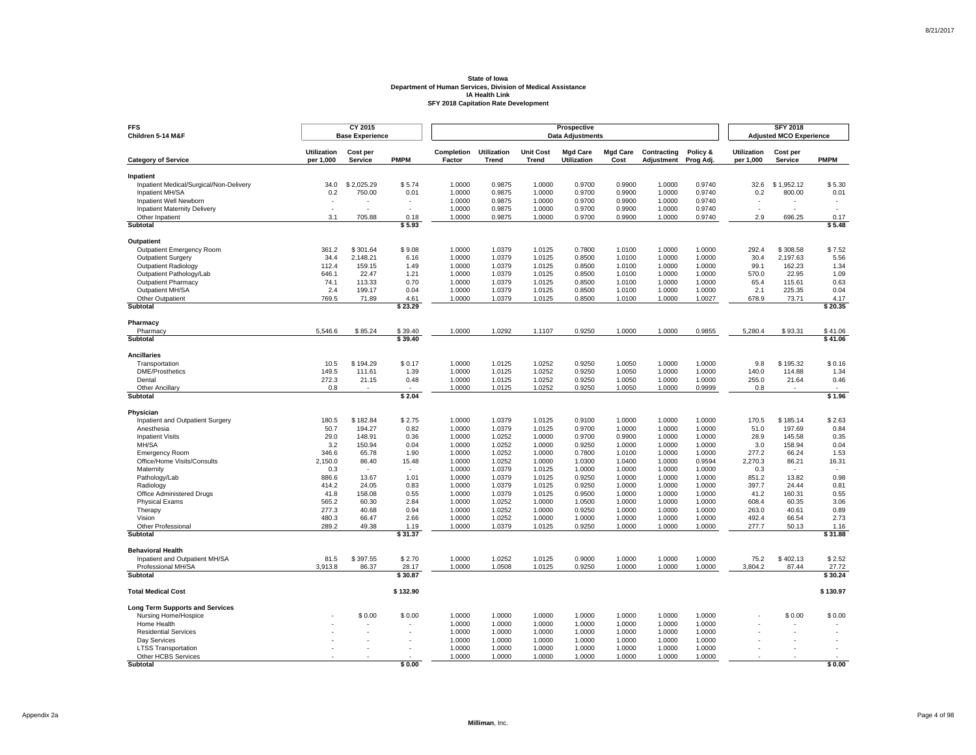| <b>FFS</b><br>Children 5-14 M&F                      |                                 | CY 2015<br><b>Base Experience</b> |                                    | Prospective<br><b>Data Adjustments</b> |                                    |                                  |                                       |                         |                           |                       |                                 | <b>SFY 2018</b><br><b>Adjusted MCO Experience</b> |                  |  |
|------------------------------------------------------|---------------------------------|-----------------------------------|------------------------------------|----------------------------------------|------------------------------------|----------------------------------|---------------------------------------|-------------------------|---------------------------|-----------------------|---------------------------------|---------------------------------------------------|------------------|--|
| <b>Category of Service</b>                           | <b>Utilization</b><br>per 1,000 | Cost per<br>Service               | <b>PMPM</b>                        | Completion<br>Factor                   | <b>Utilization</b><br><b>Trend</b> | <b>Unit Cost</b><br><b>Trend</b> | <b>Mgd Care</b><br><b>Utilization</b> | <b>Mgd Care</b><br>Cost | Contracting<br>Adjustment | Policy &<br>Prog Adj. | <b>Utilization</b><br>per 1,000 | Cost per<br><b>Service</b>                        | <b>PMPM</b>      |  |
|                                                      |                                 |                                   |                                    |                                        |                                    |                                  |                                       |                         |                           |                       |                                 |                                                   |                  |  |
| Inpatient<br>Inpatient Medical/Surgical/Non-Delivery | 34.0                            | \$2.025.29                        | \$5.74                             | 1.0000                                 | 0.9875                             | 1.0000                           | 0.9700                                | 0.9900                  | 1.0000                    | 0.9740                | 32.6                            | \$1.952.12                                        | \$5.30           |  |
| Inpatient MH/SA                                      | 0.2                             | 750.00                            | 0.01                               | 1.0000                                 | 0.9875                             | 1.0000                           | 0.9700                                | 0.9900                  | 1.0000                    | 0.9740                | 0.2                             | 800.00                                            | 0.01             |  |
| Inpatient Well Newborn                               |                                 |                                   |                                    | 1.0000                                 | 0.9875                             | 1.0000                           | 0.9700                                | 0.9900                  | 1.0000                    | 0.9740                |                                 |                                                   |                  |  |
| <b>Inpatient Maternity Delivery</b>                  | $\overline{\phantom{a}}$        |                                   | $\overline{\phantom{a}}$           | 1.0000                                 | 0.9875                             | 1.0000                           | 0.9700                                | 0.9900                  | 1.0000                    | 0.9740                | $\sim$                          |                                                   | $\mathbf{r}$     |  |
| Other Inpatient                                      | 3.1                             | 705.88                            | 0.18                               | 1.0000                                 | 0.9875                             | 1.0000                           | 0.9700                                | 0.9900                  | 1.0000                    | 0.9740                | 2.9                             | 696.25                                            | 0.17             |  |
| Subtotal                                             |                                 |                                   | \$5.93                             |                                        |                                    |                                  |                                       |                         |                           |                       |                                 |                                                   | \$5.48           |  |
| Outpatient                                           |                                 |                                   |                                    |                                        |                                    |                                  |                                       |                         |                           |                       |                                 |                                                   |                  |  |
| Outpatient Emergency Room                            | 361.2                           | \$301.64                          | \$9.08                             | 1.0000                                 | 1.0379                             | 1.0125                           | 0.7800                                | 1.0100                  | 1.0000                    | 1.0000                | 292.4                           | \$308.58                                          | \$7.52           |  |
| Outpatient Surgery                                   | 34.4                            | 2,148.21                          | 6.16                               | 1.0000                                 | 1.0379                             | 1.0125                           | 0.8500                                | 1.0100                  | 1.0000                    | 1.0000                | 30.4                            | 2.197.63                                          | 5.56             |  |
| <b>Outpatient Radiology</b>                          | 112.4                           | 159.15                            | 1.49                               | 1.0000                                 | 1.0379                             | 1.0125                           | 0.8500                                | 1.0100                  | 1.0000                    | 1.0000                | 99.1                            | 162.23                                            | 1.34             |  |
| Outpatient Pathology/Lab                             | 646.1                           | 22.47                             | 1.21                               | 1.0000                                 | 1.0379                             | 1.0125                           | 0.8500                                | 1.0100                  | 1.0000                    | 1.0000                | 570.0                           | 22.95                                             | 1.09             |  |
| <b>Outpatient Pharmacy</b>                           | 74.1                            | 113.33                            | 0.70                               | 1.0000                                 | 1.0379                             | 1.0125                           | 0.8500                                | 1.0100                  | 1.0000                    | 1.0000                | 65.4                            | 115.61                                            | 0.63             |  |
| Outpatient MH/SA                                     | 2.4                             | 199.17                            | 0.04                               | 1.0000                                 | 1.0379                             | 1.0125                           | 0.8500                                | 1.0100                  | 1.0000                    | 1.0000                | 2.1                             | 225.35                                            | 0.04             |  |
| Other Outpatient                                     | 769.5                           | 71.89                             | 4.61                               | 1.0000                                 | 1.0379                             | 1.0125                           | 0.8500                                | 1.0100                  | 1.0000                    | 1.0027                | 678.9                           | 73.71                                             | 4.17             |  |
| Subtotal                                             |                                 |                                   | \$23.29                            |                                        |                                    |                                  |                                       |                         |                           |                       |                                 |                                                   | \$20.35          |  |
| Pharmacy                                             |                                 |                                   |                                    |                                        |                                    |                                  |                                       |                         |                           |                       |                                 |                                                   |                  |  |
| Pharmacy                                             | 5,546.6                         | \$85.24                           | \$39.40                            | 1.0000                                 | 1.0292                             | 1.1107                           | 0.9250                                | 1.0000                  | 1.0000                    | 0.9855                | 5,280.4                         | \$93.31                                           | \$41.06          |  |
| Subtotal                                             |                                 |                                   | \$39.40                            |                                        |                                    |                                  |                                       |                         |                           |                       |                                 |                                                   | \$41.06          |  |
| <b>Ancillaries</b>                                   |                                 |                                   |                                    |                                        |                                    |                                  |                                       |                         |                           |                       |                                 |                                                   |                  |  |
| Transportation                                       | 10.5                            | \$194.29                          | \$0.17                             | 1.0000                                 | 1.0125                             | 1.0252                           | 0.9250                                | 1.0050                  | 1.0000                    | 1.0000                | 9.8                             | \$195.32                                          | \$0.16           |  |
| <b>DME/Prosthetics</b>                               | 149.5                           | 111.61                            | 1.39                               | 1.0000                                 | 1.0125                             | 1.0252                           | 0.9250                                | 1.0050                  | 1.0000                    | 1.0000                | 140.0                           | 114.88                                            | 1.34             |  |
| Dental                                               | 272.3                           | 21.15                             | 0.48                               | 1.0000                                 | 1.0125                             | 1.0252                           | 0.9250                                | 1.0050                  | 1.0000                    | 1.0000                | 255.0                           | 21.64                                             | 0.46             |  |
| <b>Other Ancillary</b><br>Subtotal                   | 0.8                             |                                   | $\overline{\phantom{a}}$<br>\$2.04 | 1.0000                                 | 1.0125                             | 1.0252                           | 0.9250                                | 1.0050                  | 1.0000                    | 0.9999                | 0.8                             |                                                   | $\sim$<br>\$1.96 |  |
|                                                      |                                 |                                   |                                    |                                        |                                    |                                  |                                       |                         |                           |                       |                                 |                                                   |                  |  |
| Physician                                            |                                 |                                   |                                    |                                        |                                    |                                  |                                       |                         |                           |                       |                                 |                                                   |                  |  |
| Inpatient and Outpatient Surgery                     | 180.5                           | \$182.84                          | \$2.75                             | 1.0000                                 | 1.0379                             | 1.0125                           | 0.9100                                | 1.0000                  | 1.0000                    | 1.0000                | 170.5                           | \$185.14                                          | \$2.63           |  |
| Anesthesia                                           | 50.7                            | 194.27<br>148.91                  | 0.82                               | 1.0000                                 | 1.0379<br>1.0252                   | 1.0125                           | 0.9700<br>0.9700                      | 1.0000<br>0.9900        | 1.0000<br>1.0000          | 1.0000<br>1.0000      | 51.0                            | 197.69                                            | 0.84             |  |
| <b>Inpatient Visits</b><br>MH/SA                     | 29.0<br>3.2                     | 150.94                            | 0.36<br>0.04                       | 1.0000<br>1.0000                       | 1.0252                             | 1.0000<br>1.0000                 | 0.9250                                | 1.0000                  | 1.0000                    | 1.0000                | 28.9<br>3.0                     | 145.58<br>158.94                                  | 0.35<br>0.04     |  |
| <b>Emergency Room</b>                                | 346.6                           | 65.78                             | 1.90                               | 1.0000                                 | 1.0252                             | 1.0000                           | 0.7800                                | 1.0100                  | 1.0000                    | 1.0000                | 277.2                           | 66.24                                             | 1.53             |  |
| Office/Home Visits/Consults                          | 2,150.0                         | 86.40                             | 15.48                              | 1.0000                                 | 1.0252                             | 1.0000                           | 1.0300                                | 1.0400                  | 1.0000                    | 0.9594                | 2,270.3                         | 86.21                                             | 16.31            |  |
| Maternity                                            | 0.3                             |                                   |                                    | 1.0000                                 | 1.0379                             | 1.0125                           | 1.0000                                | 1.0000                  | 1.0000                    | 1.0000                | 0.3                             |                                                   |                  |  |
| Pathology/Lab                                        | 886.6                           | 13.67                             | 1.01                               | 1.0000                                 | 1.0379                             | 1.0125                           | 0.9250                                | 1.0000                  | 1.0000                    | 1.0000                | 851.2                           | 13.82                                             | 0.98             |  |
| Radiology                                            | 414.2                           | 24.05                             | 0.83                               | 1.0000                                 | 1.0379                             | 1.0125                           | 0.9250                                | 1.0000                  | 1.0000                    | 1.0000                | 397.7                           | 24.44                                             | 0.81             |  |
| Office Administered Drugs                            | 41.8                            | 158.08                            | 0.55                               | 1.0000                                 | 1.0379                             | 1.0125                           | 0.9500                                | 1.0000                  | 1.0000                    | 1.0000                | 41.2                            | 160.31                                            | 0.55             |  |
| <b>Physical Exams</b>                                | 565.2                           | 60.30                             | 2.84                               | 1.0000                                 | 1.0252                             | 1.0000                           | 1.0500                                | 1.0000                  | 1.0000                    | 1.0000                | 608.4                           | 60.35                                             | 3.06             |  |
| Therapy                                              | 277.3                           | 40.68                             | 0.94                               | 1.0000                                 | 1.0252                             | 1.0000                           | 0.9250                                | 1.0000                  | 1.0000                    | 1.0000                | 263.0                           | 40.61                                             | 0.89             |  |
| Vision                                               | 480.3                           | 66.47                             | 2.66                               | 1.0000                                 | 1.0252                             | 1.0000                           | 1.0000                                | 1.0000                  | 1.0000                    | 1.0000                | 492.4                           | 66.54                                             | 2.73             |  |
| Other Professional<br>Subtotal                       | 289.2                           | 49.38                             | 1.19<br>\$31.37                    | 1.0000                                 | 1.0379                             | 1.0125                           | 0.9250                                | 1.0000                  | 1.0000                    | 1.0000                | 277.7                           | 50.13                                             | 1.16<br>\$31.88  |  |
|                                                      |                                 |                                   |                                    |                                        |                                    |                                  |                                       |                         |                           |                       |                                 |                                                   |                  |  |
| <b>Behavioral Health</b>                             |                                 |                                   |                                    |                                        |                                    |                                  |                                       |                         |                           |                       |                                 |                                                   |                  |  |
| Inpatient and Outpatient MH/SA                       | 81.5                            | \$397.55                          | \$2.70                             | 1.0000                                 | 1.0252                             | 1.0125                           | 0.9000                                | 1.0000                  | 1.0000                    | 1.0000                | 75.2                            | \$402.13                                          | \$2.52           |  |
| Professional MH/SA<br><b>Subtotal</b>                | 3,913.8                         | 86.37                             | 28.17<br>\$30.87                   | 1.0000                                 | 1.0508                             | 1.0125                           | 0.9250                                | 1.0000                  | 1.0000                    | 1.0000                | 3,804.2                         | 87.44                                             | 27.72<br>\$30.24 |  |
|                                                      |                                 |                                   |                                    |                                        |                                    |                                  |                                       |                         |                           |                       |                                 |                                                   |                  |  |
| <b>Total Medical Cost</b>                            |                                 |                                   | \$132.90                           |                                        |                                    |                                  |                                       |                         |                           |                       |                                 |                                                   | \$130.97         |  |
| <b>Long Term Supports and Services</b>               |                                 |                                   |                                    |                                        |                                    |                                  |                                       |                         |                           |                       |                                 |                                                   |                  |  |
| Nursing Home/Hospice                                 |                                 | \$0.00                            | \$0.00                             | 1.0000                                 | 1.0000                             | 1.0000                           | 1.0000                                | 1.0000                  | 1.0000                    | 1.0000                |                                 | \$0.00                                            | \$0.00           |  |
| Home Health                                          |                                 |                                   |                                    | 1.0000                                 | 1.0000                             | 1.0000                           | 1.0000                                | 1.0000                  | 1.0000                    | 1.0000                |                                 |                                                   |                  |  |
| <b>Residential Services</b>                          |                                 |                                   |                                    | 1.0000                                 | 1.0000                             | 1.0000                           | 1.0000                                | 1.0000                  | 1.0000                    | 1.0000                |                                 |                                                   |                  |  |
| Dav Services                                         |                                 |                                   |                                    | 1.0000                                 | 1.0000                             | 1.0000                           | 1.0000                                | 1.0000                  | 1.0000                    | 1.0000                |                                 |                                                   |                  |  |
| <b>LTSS Transportation</b>                           |                                 |                                   |                                    | 1.0000                                 | 1.0000                             | 1.0000                           | 1.0000                                | 1.0000                  | 1.0000                    | 1.0000                |                                 |                                                   |                  |  |
| Other HCBS Services<br><b>Subtotal</b>               |                                 |                                   | \$0.00                             | 1.0000                                 | 1.0000                             | 1.0000                           | 1.0000                                | 1.0000                  | 1.0000                    | 1.0000                |                                 |                                                   | \$0.00           |  |
|                                                      |                                 |                                   |                                    |                                        |                                    |                                  |                                       |                         |                           |                       |                                 |                                                   |                  |  |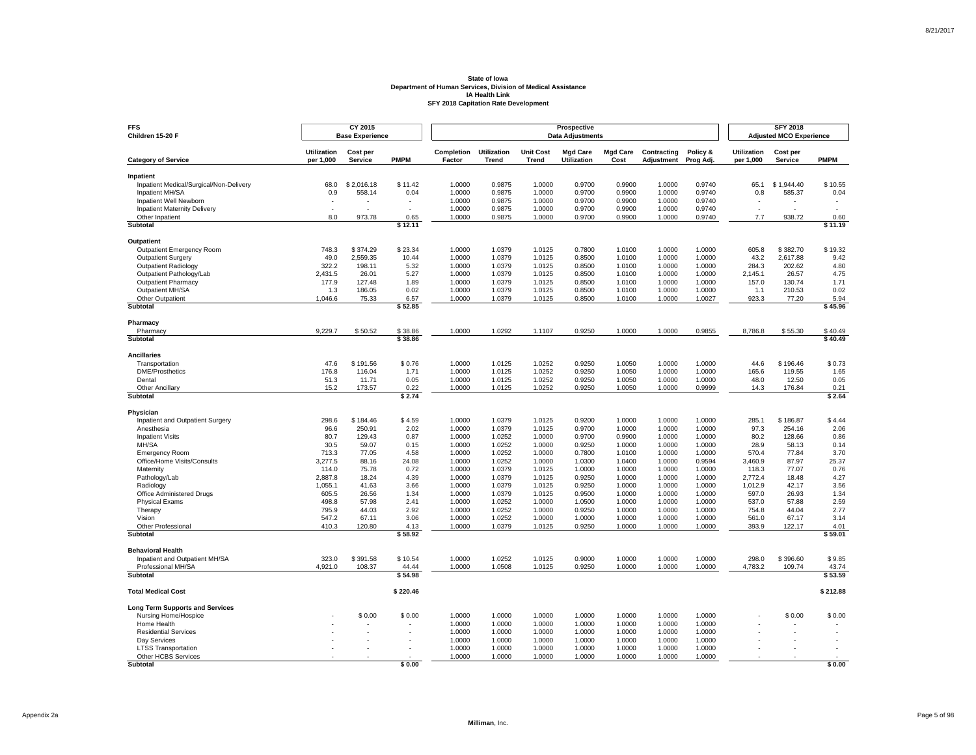| <b>FFS</b><br>Children 15-20 F                       |                                 | CY 2015<br><b>Base Experience</b> |                  | Prospective<br><b>Data Adjustments</b> |                             |                                  |                                       |                         |                           |                       |                                 | <b>SFY 2018</b><br><b>Adjusted MCO Experience</b> |                          |  |  |
|------------------------------------------------------|---------------------------------|-----------------------------------|------------------|----------------------------------------|-----------------------------|----------------------------------|---------------------------------------|-------------------------|---------------------------|-----------------------|---------------------------------|---------------------------------------------------|--------------------------|--|--|
| <b>Category of Service</b>                           | <b>Utilization</b><br>per 1,000 | Cost per<br><b>Service</b>        | <b>PMPM</b>      | Completion<br>Factor                   | <b>Utilization</b><br>Trend | <b>Unit Cost</b><br><b>Trend</b> | <b>Mgd Care</b><br><b>Utilization</b> | <b>Mgd Care</b><br>Cost | Contracting<br>Adjustment | Policy &<br>Prog Adj. | <b>Utilization</b><br>per 1,000 | Cost per<br>Service                               | <b>PMPM</b>              |  |  |
|                                                      |                                 |                                   |                  |                                        |                             |                                  |                                       |                         |                           |                       |                                 |                                                   |                          |  |  |
| Inpatient<br>Inpatient Medical/Surgical/Non-Delivery | 68.0                            | \$2.016.18                        | \$11.42          | 1.0000                                 | 0.9875                      | 1.0000                           | 0.9700                                | 0.9900                  | 1.0000                    | 0.9740                | 65.1                            | \$1.944.40                                        | \$10.55                  |  |  |
| Inpatient MH/SA                                      | 0.9                             | 558.14                            | 0.04             | 1.0000                                 | 0.9875                      | 1.0000                           | 0.9700                                | 0.9900                  | 1.0000                    | 0.9740                | 0.8                             | 585.37                                            | 0.04                     |  |  |
| Inpatient Well Newborn                               |                                 |                                   |                  | 1.0000                                 | 0.9875                      | 1.0000                           | 0.9700                                | 0.9900                  | 1.0000                    | 0.9740                |                                 |                                                   |                          |  |  |
| <b>Inpatient Maternity Delivery</b>                  | $\overline{a}$                  | ٠                                 | $\overline{a}$   | 1.0000                                 | 0.9875                      | 1.0000                           | 0.9700                                | 0.9900                  | 1.0000                    | 0.9740                | $\epsilon$                      | ٠                                                 | $\overline{\phantom{a}}$ |  |  |
| Other Inpatient                                      | 8.0                             | 973.78                            | 0.65             | 1.0000                                 | 0.9875                      | 1.0000                           | 0.9700                                | 0.9900                  | 1.0000                    | 0.9740                | 7.7                             | 938.72                                            | 0.60                     |  |  |
| Subtotal                                             |                                 |                                   | \$12.11          |                                        |                             |                                  |                                       |                         |                           |                       |                                 |                                                   | \$11.19                  |  |  |
| Outpatient                                           |                                 |                                   |                  |                                        |                             |                                  |                                       |                         |                           |                       |                                 |                                                   |                          |  |  |
| Outpatient Emergency Room                            | 748.3                           | \$374.29                          | \$23.34          | 1.0000                                 | 1.0379                      | 1.0125                           | 0.7800                                | 1.0100                  | 1.0000                    | 1.0000                | 605.8                           | \$382.70                                          | \$19.32                  |  |  |
| <b>Outpatient Surgery</b>                            | 49.0                            | 2,559.35                          | 10.44            | 1.0000                                 | 1.0379                      | 1.0125                           | 0.8500                                | 1.0100                  | 1.0000                    | 1.0000                | 43.2                            | 2.617.88                                          | 9.42                     |  |  |
| <b>Outpatient Radiology</b>                          | 322.2                           | 198.11                            | 5.32             | 1.0000                                 | 1.0379                      | 1.0125                           | 0.8500                                | 1.0100                  | 1.0000                    | 1.0000                | 284.3                           | 202.62                                            | 4.80                     |  |  |
| Outpatient Pathology/Lab                             | 2,431.5                         | 26.01                             | 5.27             | 1.0000                                 | 1.0379                      | 1.0125                           | 0.8500                                | 1.0100                  | 1.0000                    | 1.0000                | 2,145.1                         | 26.57                                             | 4.75                     |  |  |
| <b>Outpatient Pharmacy</b>                           | 177.9                           | 127.48                            | 1.89             | 1.0000                                 | 1.0379                      | 1.0125                           | 0.8500                                | 1.0100                  | 1.0000                    | 1.0000                | 157.0                           | 130.74                                            | 1.71                     |  |  |
| Outpatient MH/SA                                     | 1.3                             | 186.05                            | 0.02             | 1.0000                                 | 1.0379                      | 1.0125                           | 0.8500                                | 1.0100                  | 1.0000                    | 1.0000                | 1.1                             | 210.53                                            | 0.02                     |  |  |
| Other Outpatient                                     | 1,046.6                         | 75.33                             | 6.57             | 1.0000                                 | 1.0379                      | 1.0125                           | 0.8500                                | 1.0100                  | 1.0000                    | 1.0027                | 923.3                           | 77.20                                             | 5.94                     |  |  |
| Subtotal                                             |                                 |                                   | \$52.85          |                                        |                             |                                  |                                       |                         |                           |                       |                                 |                                                   | \$45.96                  |  |  |
| Pharmacy                                             |                                 |                                   |                  |                                        |                             |                                  |                                       |                         |                           |                       |                                 |                                                   |                          |  |  |
| Pharmacy                                             | 9,229.7                         | \$50.52                           | \$38.86          | 1.0000                                 | 1.0292                      | 1.1107                           | 0.9250                                | 1.0000                  | 1.0000                    | 0.9855                | 8,786.8                         | \$55.30                                           | \$40.49                  |  |  |
| Subtotal                                             |                                 |                                   | \$38.86          |                                        |                             |                                  |                                       |                         |                           |                       |                                 |                                                   | \$40.49                  |  |  |
| <b>Ancillaries</b>                                   |                                 |                                   |                  |                                        |                             |                                  |                                       |                         |                           |                       |                                 |                                                   |                          |  |  |
| Transportation                                       | 47.6                            | \$191.56                          | \$0.76           | 1.0000                                 | 1.0125                      | 1.0252                           | 0.9250                                | 1.0050                  | 1.0000                    | 1.0000                | 44.6                            | \$196.46                                          | \$0.73                   |  |  |
| <b>DME/Prosthetics</b>                               | 176.8                           | 116.04                            | 1.71             | 1.0000                                 | 1.0125                      | 1.0252                           | 0.9250                                | 1.0050                  | 1.0000                    | 1.0000                | 165.6                           | 119.55                                            | 1.65                     |  |  |
| Dental                                               | 51.3                            | 11.71                             | 0.05             | 1.0000                                 | 1.0125                      | 1.0252                           | 0.9250                                | 1.0050                  | 1.0000                    | 1.0000                | 48.0                            | 12.50                                             | 0.05                     |  |  |
| <b>Other Ancillary</b><br>Subtotal                   | 15.2                            | 173.57                            | 0.22<br>\$2.74   | 1.0000                                 | 1.0125                      | 1.0252                           | 0.9250                                | 1.0050                  | 1.0000                    | 0.9999                | 14.3                            | 176.84                                            | 0.21<br>\$2.64           |  |  |
|                                                      |                                 |                                   |                  |                                        |                             |                                  |                                       |                         |                           |                       |                                 |                                                   |                          |  |  |
| Physician                                            |                                 |                                   |                  |                                        |                             |                                  |                                       |                         |                           |                       |                                 |                                                   |                          |  |  |
| Inpatient and Outpatient Surgery                     | 298.6                           | \$184.46                          | \$4.59           | 1.0000                                 | 1.0379                      | 1.0125                           | 0.9200                                | 1.0000                  | 1.0000                    | 1.0000                | 285.1                           | \$186.87                                          | \$4.44                   |  |  |
| Anesthesia                                           | 96.6                            | 250.91                            | 2.02             | 1.0000                                 | 1.0379                      | 1.0125                           | 0.9700                                | 1.0000                  | 1.0000                    | 1.0000                | 97.3                            | 254.16                                            | 2.06                     |  |  |
| <b>Inpatient Visits</b>                              | 80.7                            | 129.43                            | 0.87             | 1.0000                                 | 1.0252                      | 1.0000                           | 0.9700                                | 0.9900                  | 1.0000                    | 1.0000                | 80.2                            | 128.66                                            | 0.86                     |  |  |
| MH/SA                                                | 30.5                            | 59.07                             | 0.15             | 1.0000                                 | 1.0252                      | 1.0000                           | 0.9250                                | 1.0000                  | 1.0000                    | 1.0000                | 28.9                            | 58.13                                             | 0.14                     |  |  |
| <b>Emergency Room</b>                                | 713.3                           | 77.05                             | 4.58             | 1.0000                                 | 1.0252                      | 1.0000                           | 0.7800                                | 1.0100                  | 1.0000                    | 1.0000                | 570.4                           | 77.84                                             | 3.70                     |  |  |
| Office/Home Visits/Consults<br>Maternity             | 3,277.5<br>114.0                | 88.16<br>75.78                    | 24.08<br>0.72    | 1.0000<br>1.0000                       | 1.0252<br>1.0379            | 1.0000<br>1.0125                 | 1.0300<br>1.0000                      | 1.0400<br>1.0000        | 1.0000<br>1.0000          | 0.9594<br>1.0000      | 3,460.9<br>118.3                | 87.97<br>77.07                                    | 25.37<br>0.76            |  |  |
| Pathology/Lab                                        | 2,887.8                         | 18.24                             | 4.39             | 1.0000                                 | 1.0379                      | 1.0125                           | 0.9250                                | 1.0000                  | 1.0000                    | 1.0000                | 2.772.4                         | 18.48                                             | 4.27                     |  |  |
| Radiology                                            | 1,055.1                         | 41.63                             | 3.66             | 1.0000                                 | 1.0379                      | 1.0125                           | 0.9250                                | 1.0000                  | 1.0000                    | 1.0000                | 1,012.9                         | 42.17                                             | 3.56                     |  |  |
| Office Administered Drugs                            | 605.5                           | 26.56                             | 1.34             | 1.0000                                 | 1.0379                      | 1.0125                           | 0.9500                                | 1.0000                  | 1.0000                    | 1.0000                | 597.0                           | 26.93                                             | 1.34                     |  |  |
| <b>Physical Exams</b>                                | 498.8                           | 57.98                             | 2.41             | 1.0000                                 | 1.0252                      | 1.0000                           | 1.0500                                | 1.0000                  | 1.0000                    | 1.0000                | 537.0                           | 57.88                                             | 2.59                     |  |  |
| Therapy                                              | 795.9                           | 44.03                             | 2.92             | 1.0000                                 | 1.0252                      | 1.0000                           | 0.9250                                | 1.0000                  | 1.0000                    | 1.0000                | 754.8                           | 44.04                                             | 2.77                     |  |  |
| Vision                                               | 547.2                           | 67.11                             | 3.06             | 1.0000                                 | 1.0252                      | 1.0000                           | 1.0000                                | 1.0000                  | 1.0000                    | 1.0000                | 561.0                           | 67.17                                             | 3.14                     |  |  |
| Other Professional                                   | 410.3                           | 120.80                            | 4.13             | 1.0000                                 | 1.0379                      | 1.0125                           | 0.9250                                | 1.0000                  | 1.0000                    | 1.0000                | 393.9                           | 122.17                                            | 4.01                     |  |  |
| Subtotal                                             |                                 |                                   | \$58.92          |                                        |                             |                                  |                                       |                         |                           |                       |                                 |                                                   | \$59.01                  |  |  |
| <b>Behavioral Health</b>                             |                                 |                                   |                  |                                        |                             |                                  |                                       |                         |                           |                       |                                 |                                                   |                          |  |  |
| Inpatient and Outpatient MH/SA                       | 323.0                           | \$391.58                          | \$10.54          | 1.0000                                 | 1.0252                      | 1.0125                           | 0.9000                                | 1.0000                  | 1.0000                    | 1.0000                | 298.0                           | \$396.60                                          | \$9.85                   |  |  |
| Professional MH/SA<br><b>Subtotal</b>                | 4,921.0                         | 108.37                            | 44.44<br>\$54.98 | 1.0000                                 | 1.0508                      | 1.0125                           | 0.9250                                | 1.0000                  | 1.0000                    | 1.0000                | 4,783.2                         | 109.74                                            | 43.74<br>\$53.59         |  |  |
|                                                      |                                 |                                   |                  |                                        |                             |                                  |                                       |                         |                           |                       |                                 |                                                   |                          |  |  |
| <b>Total Medical Cost</b>                            |                                 |                                   | \$220.46         |                                        |                             |                                  |                                       |                         |                           |                       |                                 |                                                   | \$212.88                 |  |  |
| <b>Long Term Supports and Services</b>               |                                 |                                   |                  |                                        |                             |                                  |                                       |                         |                           |                       |                                 |                                                   |                          |  |  |
| Nursing Home/Hospice                                 |                                 | \$0.00                            | \$0.00           | 1.0000                                 | 1.0000                      | 1.0000                           | 1.0000                                | 1.0000                  | 1.0000                    | 1.0000                |                                 | \$0.00                                            | \$0.00                   |  |  |
| Home Health                                          |                                 |                                   |                  | 1.0000                                 | 1.0000                      | 1.0000                           | 1.0000                                | 1.0000                  | 1.0000                    | 1.0000                |                                 |                                                   |                          |  |  |
| <b>Residential Services</b>                          |                                 |                                   |                  | 1.0000                                 | 1.0000                      | 1.0000                           | 1.0000                                | 1.0000                  | 1.0000                    | 1.0000                |                                 |                                                   |                          |  |  |
| Dav Services                                         |                                 |                                   |                  | 1.0000                                 | 1.0000                      | 1.0000                           | 1.0000                                | 1.0000                  | 1.0000                    | 1.0000                |                                 |                                                   |                          |  |  |
| <b>LTSS Transportation</b>                           |                                 |                                   |                  | 1.0000                                 | 1.0000                      | 1.0000                           | 1.0000                                | 1.0000                  | 1.0000                    | 1.0000                |                                 |                                                   |                          |  |  |
| Other HCBS Services                                  |                                 |                                   |                  | 1.0000                                 | 1.0000                      | 1.0000                           | 1.0000                                | 1.0000                  | 1.0000                    | 1.0000                |                                 |                                                   |                          |  |  |
| Subtotal                                             |                                 |                                   | \$0.00           |                                        |                             |                                  |                                       |                         |                           |                       |                                 |                                                   | \$0.00                   |  |  |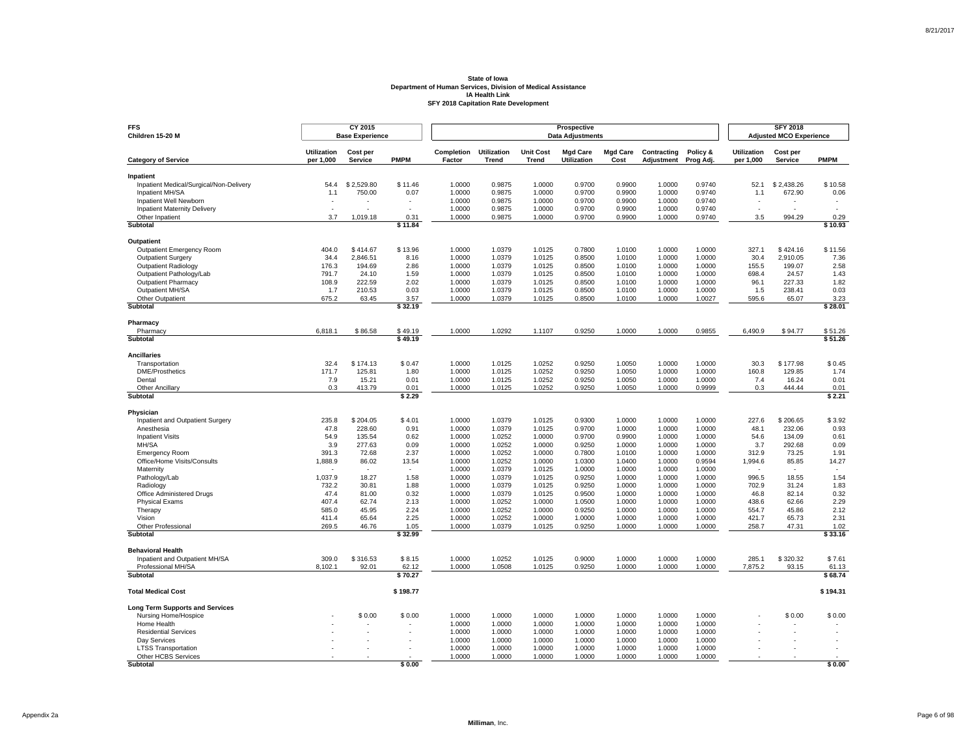| <b>FFS</b><br>Children 15-20 M                       |                                 | CY 2015<br><b>Base Experience</b> |                          | Prospective<br><b>Data Adjustments</b> |                             |                                  |                                       |                         |                           |                       |                                 | <b>SFY 2018</b><br><b>Adjusted MCO Experience</b> |                          |  |  |
|------------------------------------------------------|---------------------------------|-----------------------------------|--------------------------|----------------------------------------|-----------------------------|----------------------------------|---------------------------------------|-------------------------|---------------------------|-----------------------|---------------------------------|---------------------------------------------------|--------------------------|--|--|
| <b>Category of Service</b>                           | <b>Utilization</b><br>per 1,000 | Cost per<br><b>Service</b>        | <b>PMPM</b>              | Completion<br>Factor                   | <b>Utilization</b><br>Trend | <b>Unit Cost</b><br><b>Trend</b> | <b>Mgd Care</b><br><b>Utilization</b> | <b>Mgd Care</b><br>Cost | Contracting<br>Adjustment | Policy &<br>Prog Adj. | <b>Utilization</b><br>per 1,000 | Cost per<br>Service                               | <b>PMPM</b>              |  |  |
|                                                      |                                 |                                   |                          |                                        |                             |                                  |                                       |                         |                           |                       |                                 |                                                   |                          |  |  |
| Inpatient<br>Inpatient Medical/Surgical/Non-Delivery | 54.4                            | \$2.529.80                        | \$11.46                  | 1.0000                                 | 0.9875                      | 1.0000                           | 0.9700                                | 0.9900                  | 1.0000                    | 0.9740                | 52.1                            | \$2.438.26                                        | \$10.58                  |  |  |
| Inpatient MH/SA                                      | 1.1                             | 750.00                            | 0.07                     | 1.0000                                 | 0.9875                      | 1.0000                           | 0.9700                                | 0.9900                  | 1.0000                    | 0.9740                | 1.1                             | 672.90                                            | 0.06                     |  |  |
| Inpatient Well Newborn                               |                                 |                                   |                          | 1.0000                                 | 0.9875                      | 1.0000                           | 0.9700                                | 0.9900                  | 1.0000                    | 0.9740                |                                 |                                                   |                          |  |  |
| <b>Inpatient Maternity Delivery</b>                  | $\overline{a}$                  |                                   | $\overline{a}$           | 1.0000                                 | 0.9875                      | 1.0000                           | 0.9700                                | 0.9900                  | 1.0000                    | 0.9740                | $\sim$                          |                                                   | $\overline{\phantom{a}}$ |  |  |
| Other Inpatient                                      | 3.7                             | 1.019.18                          | 0.31                     | 1.0000                                 | 0.9875                      | 1.0000                           | 0.9700                                | 0.9900                  | 1.0000                    | 0.9740                | 3.5                             | 994.29                                            | 0.29                     |  |  |
| Subtotal                                             |                                 |                                   | \$11.84                  |                                        |                             |                                  |                                       |                         |                           |                       |                                 |                                                   | \$10.93                  |  |  |
| Outpatient                                           |                                 |                                   |                          |                                        |                             |                                  |                                       |                         |                           |                       |                                 |                                                   |                          |  |  |
| Outpatient Emergency Room                            | 404.0                           | \$414.67                          | \$13.96                  | 1.0000                                 | 1.0379                      | 1.0125                           | 0.7800                                | 1.0100                  | 1.0000                    | 1.0000                | 327.1                           | \$424.16                                          | \$11.56                  |  |  |
| <b>Outpatient Surgery</b>                            | 34.4                            | 2,846.51                          | 8.16                     | 1.0000                                 | 1.0379                      | 1.0125                           | 0.8500                                | 1.0100                  | 1.0000                    | 1.0000                | 30.4                            | 2.910.05                                          | 7.36                     |  |  |
| <b>Outpatient Radiology</b>                          | 176.3                           | 194.69                            | 2.86                     | 1.0000                                 | 1.0379                      | 1.0125                           | 0.8500                                | 1.0100                  | 1.0000                    | 1.0000                | 155.5                           | 199.07                                            | 2.58                     |  |  |
| Outpatient Pathology/Lab                             | 791.7                           | 24.10                             | 1.59                     | 1.0000                                 | 1.0379                      | 1.0125                           | 0.8500                                | 1.0100                  | 1.0000                    | 1.0000                | 698.4                           | 24.57                                             | 1.43                     |  |  |
| <b>Outpatient Pharmacy</b>                           | 108.9                           | 222.59                            | 2.02                     | 1.0000                                 | 1.0379                      | 1.0125                           | 0.8500                                | 1.0100                  | 1.0000                    | 1.0000                | 96.1                            | 227.33                                            | 1.82                     |  |  |
| Outpatient MH/SA                                     | 1.7                             | 210.53                            | 0.03                     | 1.0000                                 | 1.0379                      | 1.0125                           | 0.8500                                | 1.0100                  | 1.0000                    | 1.0000                | 1.5                             | 238.41                                            | 0.03                     |  |  |
| Other Outpatient                                     | 675.2                           | 63.45                             | 3.57                     | 1.0000                                 | 1.0379                      | 1.0125                           | 0.8500                                | 1.0100                  | 1.0000                    | 1.0027                | 595.6                           | 65.07                                             | 3.23                     |  |  |
| Subtotal                                             |                                 |                                   | \$32.19                  |                                        |                             |                                  |                                       |                         |                           |                       |                                 |                                                   | \$28.01                  |  |  |
| Pharmacy                                             |                                 |                                   |                          |                                        |                             |                                  |                                       |                         |                           |                       |                                 |                                                   |                          |  |  |
| Pharmacy                                             | 6,818.1                         | \$86.58                           | \$49.19                  | 1.0000                                 | 1.0292                      | 1.1107                           | 0.9250                                | 1.0000                  | 1.0000                    | 0.9855                | 6,490.9                         | \$94.77                                           | \$51.26                  |  |  |
| Subtotal                                             |                                 |                                   | \$49.19                  |                                        |                             |                                  |                                       |                         |                           |                       |                                 |                                                   | \$51.26                  |  |  |
| <b>Ancillaries</b>                                   |                                 |                                   |                          |                                        |                             |                                  |                                       |                         |                           |                       |                                 |                                                   |                          |  |  |
| Transportation                                       | 32.4                            | \$174.13                          | \$0.47                   | 1.0000                                 | 1.0125                      | 1.0252                           | 0.9250                                | 1.0050                  | 1.0000                    | 1.0000                | 30.3                            | \$177.98                                          | \$0.45                   |  |  |
| <b>DME/Prosthetics</b>                               | 171.7                           | 125.81                            | 1.80                     | 1.0000                                 | 1.0125                      | 1.0252                           | 0.9250                                | 1.0050                  | 1.0000                    | 1.0000                | 160.8                           | 129.85                                            | 1.74                     |  |  |
| Dental                                               | 7.9                             | 15.21                             | 0.01                     | 1.0000                                 | 1.0125                      | 1.0252                           | 0.9250                                | 1.0050                  | 1.0000                    | 1.0000                | 7.4                             | 16.24                                             | 0.01                     |  |  |
| <b>Other Ancillary</b><br>Subtotal                   | 0.3                             | 413.79                            | 0.01<br>\$2.29           | 1.0000                                 | 1.0125                      | 1.0252                           | 0.9250                                | 1.0050                  | 1.0000                    | 0.9999                | 0.3                             | 444.44                                            | 0.01<br>\$2.21           |  |  |
|                                                      |                                 |                                   |                          |                                        |                             |                                  |                                       |                         |                           |                       |                                 |                                                   |                          |  |  |
| Physician                                            |                                 |                                   |                          |                                        |                             |                                  |                                       |                         |                           |                       |                                 |                                                   |                          |  |  |
| Inpatient and Outpatient Surgery                     | 235.8                           | \$204.05                          | \$4.01                   | 1.0000                                 | 1.0379                      | 1.0125                           | 0.9300                                | 1.0000                  | 1.0000                    | 1.0000                | 227.6                           | \$206.65                                          | \$3.92<br>0.93           |  |  |
| Anesthesia                                           | 47.8<br>54.9                    | 228.60<br>135.54                  | 0.91<br>0.62             | 1.0000<br>1.0000                       | 1.0379<br>1.0252            | 1.0125<br>1.0000                 | 0.9700<br>0.9700                      | 1.0000<br>0.9900        | 1.0000                    | 1.0000<br>1.0000      | 48.1                            | 232.06<br>134.09                                  | 0.61                     |  |  |
| <b>Inpatient Visits</b><br>MH/SA                     | 3.9                             | 277.63                            | 0.09                     | 1.0000                                 | 1.0252                      | 1.0000                           | 0.9250                                | 1.0000                  | 1.0000<br>1.0000          | 1.0000                | 54.6<br>3.7                     | 292.68                                            | 0.09                     |  |  |
| <b>Emergency Room</b>                                | 391.3                           | 72.68                             | 2.37                     | 1.0000                                 | 1.0252                      | 1.0000                           | 0.7800                                | 1.0100                  | 1.0000                    | 1.0000                | 312.9                           | 73.25                                             | 1.91                     |  |  |
| Office/Home Visits/Consults                          | 1,888.9                         | 86.02                             | 13.54                    | 1.0000                                 | 1.0252                      | 1.0000                           | 1.0300                                | 1.0400                  | 1.0000                    | 0.9594                | 1,994.6                         | 85.85                                             | 14.27                    |  |  |
| Maternity                                            |                                 |                                   | $\overline{\phantom{a}}$ | 1.0000                                 | 1.0379                      | 1.0125                           | 1.0000                                | 1.0000                  | 1.0000                    | 1.0000                |                                 |                                                   |                          |  |  |
| Pathology/Lab                                        | 1,037.9                         | 18.27                             | 1.58                     | 1.0000                                 | 1.0379                      | 1.0125                           | 0.9250                                | 1.0000                  | 1.0000                    | 1.0000                | 996.5                           | 18.55                                             | 1.54                     |  |  |
| Radiology                                            | 732.2                           | 30.81                             | 1.88                     | 1.0000                                 | 1.0379                      | 1.0125                           | 0.9250                                | 1.0000                  | 1.0000                    | 1.0000                | 702.9                           | 31.24                                             | 1.83                     |  |  |
| Office Administered Drugs                            | 47.4                            | 81.00                             | 0.32                     | 1.0000                                 | 1.0379                      | 1.0125                           | 0.9500                                | 1.0000                  | 1.0000                    | 1.0000                | 46.8                            | 82.14                                             | 0.32                     |  |  |
| <b>Physical Exams</b>                                | 407.4                           | 62.74                             | 2.13                     | 1.0000                                 | 1.0252                      | 1.0000                           | 1.0500                                | 1.0000                  | 1.0000                    | 1.0000                | 438.6                           | 62.66                                             | 2.29                     |  |  |
| Therapy                                              | 585.0                           | 45.95                             | 2.24                     | 1.0000                                 | 1.0252                      | 1.0000                           | 0.9250                                | 1.0000                  | 1.0000                    | 1.0000                | 554.7                           | 45.86                                             | 2.12                     |  |  |
| Vision                                               | 411.4                           | 65.64                             | 2.25                     | 1.0000                                 | 1.0252                      | 1.0000                           | 1.0000                                | 1.0000                  | 1.0000                    | 1.0000                | 421.7                           | 65.73                                             | 2.31                     |  |  |
| Other Professional<br>Subtotal                       | 269.5                           | 46.76                             | 1.05<br>\$32.99          | 1.0000                                 | 1.0379                      | 1.0125                           | 0.9250                                | 1.0000                  | 1.0000                    | 1.0000                | 258.7                           | 47.31                                             | 1.02<br>\$33.16          |  |  |
|                                                      |                                 |                                   |                          |                                        |                             |                                  |                                       |                         |                           |                       |                                 |                                                   |                          |  |  |
| <b>Behavioral Health</b>                             |                                 |                                   |                          |                                        |                             |                                  |                                       |                         |                           |                       |                                 |                                                   |                          |  |  |
| Inpatient and Outpatient MH/SA                       | 309.0                           | \$316.53                          | \$8.15                   | 1.0000                                 | 1.0252                      | 1.0125                           | 0.9000                                | 1.0000                  | 1.0000                    | 1.0000                | 285.1                           | \$320.32                                          | \$7.61                   |  |  |
| Professional MH/SA<br><b>Subtotal</b>                | 8,102.1                         | 92.01                             | 62.12<br>\$70.27         | 1.0000                                 | 1.0508                      | 1.0125                           | 0.9250                                | 1.0000                  | 1.0000                    | 1.0000                | 7,875.2                         | 93.15                                             | 61.13<br>\$68.74         |  |  |
|                                                      |                                 |                                   |                          |                                        |                             |                                  |                                       |                         |                           |                       |                                 |                                                   |                          |  |  |
| <b>Total Medical Cost</b>                            |                                 |                                   | \$198.77                 |                                        |                             |                                  |                                       |                         |                           |                       |                                 |                                                   | \$194.31                 |  |  |
| <b>Long Term Supports and Services</b>               |                                 |                                   |                          |                                        |                             |                                  |                                       |                         |                           |                       |                                 |                                                   |                          |  |  |
| Nursing Home/Hospice                                 |                                 | \$0.00                            | \$0.00                   | 1.0000                                 | 1.0000                      | 1.0000                           | 1.0000                                | 1.0000                  | 1.0000                    | 1.0000                |                                 | \$0.00                                            | \$0.00                   |  |  |
| Home Health                                          |                                 |                                   |                          | 1.0000                                 | 1.0000                      | 1.0000                           | 1.0000                                | 1.0000                  | 1.0000                    | 1.0000                |                                 |                                                   |                          |  |  |
| <b>Residential Services</b>                          |                                 |                                   |                          | 1.0000                                 | 1.0000                      | 1.0000                           | 1.0000                                | 1.0000                  | 1.0000                    | 1.0000                |                                 |                                                   |                          |  |  |
| Dav Services                                         |                                 |                                   |                          | 1.0000<br>1.0000                       | 1.0000<br>1.0000            | 1.0000<br>1.0000                 | 1.0000<br>1.0000                      | 1.0000<br>1.0000        | 1.0000<br>1.0000          | 1.0000<br>1.0000      |                                 |                                                   |                          |  |  |
| <b>LTSS Transportation</b><br>Other HCBS Services    |                                 |                                   |                          | 1.0000                                 | 1.0000                      | 1.0000                           | 1.0000                                | 1.0000                  | 1.0000                    | 1.0000                |                                 |                                                   |                          |  |  |
| Subtotal                                             |                                 |                                   | \$0.00                   |                                        |                             |                                  |                                       |                         |                           |                       |                                 |                                                   | \$0.00                   |  |  |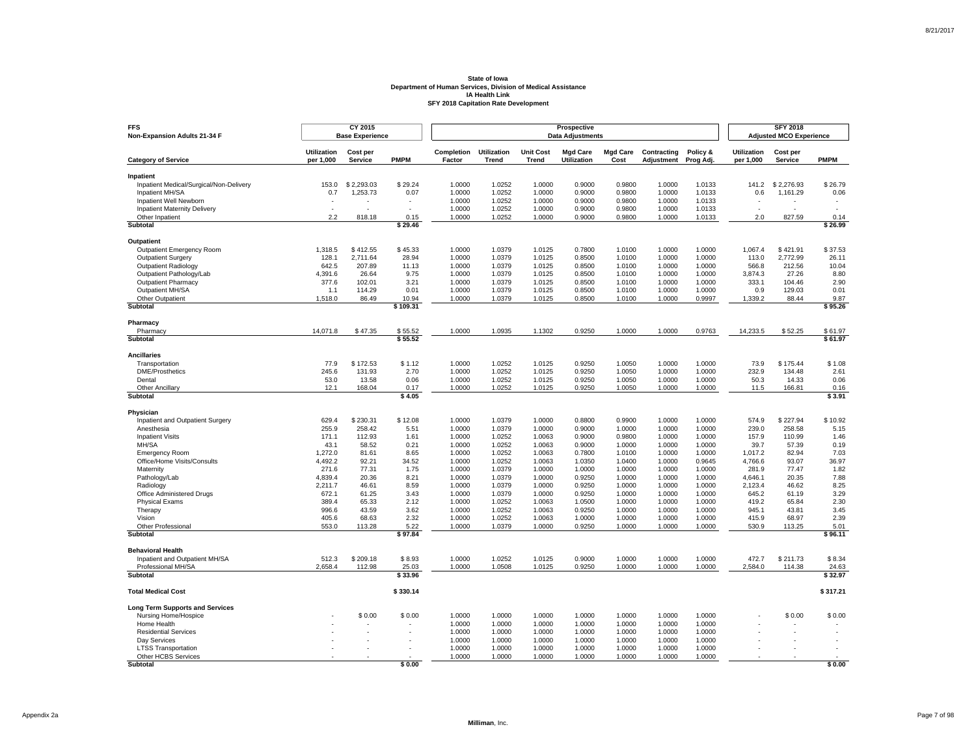| <b>FFS</b><br>Non-Expansion Adults 21-34 F           |                                 | CY 2015<br><b>Base Experience</b> |                   |                      |                             |                                  | <b>SFY 2018</b><br><b>Adjusted MCO Experience</b> |                         |                           |                       |                                 |                     |                          |
|------------------------------------------------------|---------------------------------|-----------------------------------|-------------------|----------------------|-----------------------------|----------------------------------|---------------------------------------------------|-------------------------|---------------------------|-----------------------|---------------------------------|---------------------|--------------------------|
| <b>Category of Service</b>                           | <b>Utilization</b><br>per 1,000 | Cost per<br><b>Service</b>        | <b>PMPM</b>       | Completion<br>Factor | <b>Utilization</b><br>Trend | <b>Unit Cost</b><br><b>Trend</b> | <b>Mgd Care</b><br><b>Utilization</b>             | <b>Mgd Care</b><br>Cost | Contracting<br>Adjustment | Policy &<br>Prog Adj. | <b>Utilization</b><br>per 1,000 | Cost per<br>Service | <b>PMPM</b>              |
|                                                      |                                 |                                   |                   |                      |                             |                                  |                                                   |                         |                           |                       |                                 |                     |                          |
| Inpatient<br>Inpatient Medical/Surgical/Non-Delivery | 153.0                           | \$2.293.03                        | \$29.24           | 1.0000               | 1.0252                      | 1.0000                           | 0.9000                                            | 0.9800                  | 1.0000                    | 1.0133                | 141.2                           | \$2.276.93          | \$26.79                  |
| Inpatient MH/SA                                      | 0.7                             | 1,253.73                          | 0.07              | 1.0000               | 1.0252                      | 1.0000                           | 0.9000                                            | 0.9800                  | 1.0000                    | 1.0133                | 0.6                             | 1,161.29            | 0.06                     |
| Inpatient Well Newborn                               |                                 |                                   |                   | 1.0000               | 1.0252                      | 1.0000                           | 0.9000                                            | 0.9800                  | 1.0000                    | 1.0133                |                                 |                     |                          |
| <b>Inpatient Maternity Delivery</b>                  | $\overline{a}$                  | ٠                                 | ÷.                | 1.0000               | 1.0252                      | 1.0000                           | 0.9000                                            | 0.9800                  | 1.0000                    | 1.0133                | $\sim$                          |                     | $\overline{\phantom{a}}$ |
| Other Inpatient                                      | 2.2                             | 818.18                            | 0.15              | 1.0000               | 1.0252                      | 1.0000                           | 0.9000                                            | 0.9800                  | 1.0000                    | 1.0133                | 2.0                             | 827.59              | 0.14                     |
| Subtotal                                             |                                 |                                   | \$29.46           |                      |                             |                                  |                                                   |                         |                           |                       |                                 |                     | \$26.99                  |
| Outpatient                                           |                                 |                                   |                   |                      |                             |                                  |                                                   |                         |                           |                       |                                 |                     |                          |
| Outpatient Emergency Room                            | 1,318.5                         | \$412.55                          | \$45.33           | 1.0000               | 1.0379                      | 1.0125                           | 0.7800                                            | 1.0100                  | 1.0000                    | 1.0000                | 1,067.4                         | \$421.91            | \$37.53                  |
| <b>Outpatient Surgery</b>                            | 128.1                           | 2,711.64                          | 28.94             | 1.0000               | 1.0379                      | 1.0125                           | 0.8500                                            | 1.0100                  | 1.0000                    | 1.0000                | 113.0                           | 2.772.99            | 26.11                    |
| <b>Outpatient Radiology</b>                          | 642.5                           | 207.89                            | 11.13             | 1.0000               | 1.0379                      | 1.0125                           | 0.8500                                            | 1.0100                  | 1.0000                    | 1.0000                | 566.8                           | 212.56              | 10.04                    |
| Outpatient Pathology/Lab                             | 4,391.6                         | 26.64                             | 9.75              | 1.0000               | 1.0379                      | 1.0125                           | 0.8500                                            | 1.0100                  | 1.0000                    | 1.0000                | 3,874.3                         | 27.26               | 8.80                     |
| <b>Outpatient Pharmacy</b>                           | 377.6                           | 102.01                            | 3.21              | 1.0000               | 1.0379                      | 1.0125                           | 0.8500                                            | 1.0100                  | 1.0000                    | 1.0000                | 333.1                           | 104.46              | 2.90                     |
| Outpatient MH/SA                                     | 1.1                             | 114.29                            | 0.01              | 1.0000               | 1.0379                      | 1.0125<br>1.0125                 | 0.8500                                            | 1.0100                  | 1.0000<br>1.0000          | 1.0000<br>0.9997      | 0.9                             | 129.03              | 0.01                     |
| Other Outpatient<br>Subtotal                         | 1,518.0                         | 86.49                             | 10.94<br>\$109.31 | 1.0000               | 1.0379                      |                                  | 0.8500                                            | 1.0100                  |                           |                       | 1,339.2                         | 88.44               | 9.87<br>\$95.26          |
|                                                      |                                 |                                   |                   |                      |                             |                                  |                                                   |                         |                           |                       |                                 |                     |                          |
| Pharmacy<br>Pharmacy                                 | 14,071.8                        | \$47.35                           | \$55.52           | 1.0000               | 1.0935                      | 1.1302                           | 0.9250                                            | 1.0000                  | 1.0000                    | 0.9763                | 14,233.5                        | \$52.25             | \$61.97                  |
| Subtotal                                             |                                 |                                   | \$55.52           |                      |                             |                                  |                                                   |                         |                           |                       |                                 |                     | \$61.97                  |
| <b>Ancillaries</b>                                   |                                 |                                   |                   |                      |                             |                                  |                                                   |                         |                           |                       |                                 |                     |                          |
| Transportation                                       | 77.9                            | \$172.53                          | \$1.12            | 1.0000               | 1.0252                      | 1.0125                           | 0.9250                                            | 1.0050                  | 1.0000                    | 1.0000                | 73.9                            | \$175.44            | \$1.08                   |
| <b>DME/Prosthetics</b>                               | 245.6                           | 131.93                            | 2.70              | 1.0000               | 1.0252                      | 1.0125                           | 0.9250                                            | 1.0050                  | 1.0000                    | 1.0000                | 232.9                           | 134.48              | 2.61                     |
| Dental                                               | 53.0                            | 13.58                             | 0.06              | 1.0000               | 1.0252                      | 1.0125                           | 0.9250                                            | 1.0050                  | 1.0000                    | 1.0000                | 50.3                            | 14.33               | 0.06                     |
| <b>Other Ancillary</b><br>Subtotal                   | 12.1                            | 168.04                            | 0.17<br>\$4.05    | 1.0000               | 1.0252                      | 1.0125                           | 0.9250                                            | 1.0050                  | 1.0000                    | 1.0000                | 11.5                            | 166.81              | 0.16<br>\$3.91           |
|                                                      |                                 |                                   |                   |                      |                             |                                  |                                                   |                         |                           |                       |                                 |                     |                          |
| Physician                                            |                                 |                                   | \$12.08           | 1.0000               | 1.0379                      | 1.0000                           |                                                   | 0.9900                  |                           |                       |                                 |                     | \$10.92                  |
| Inpatient and Outpatient Surgery<br>Anesthesia       | 629.4<br>255.9                  | \$230.31<br>258.42                | 5.51              | 1.0000               | 1.0379                      | 1.0000                           | 0.8800<br>0.9000                                  | 1.0000                  | 1.0000<br>1.0000          | 1.0000<br>1.0000      | 574.9<br>239.0                  | \$227.94<br>258.58  | 5.15                     |
| <b>Inpatient Visits</b>                              | 171.1                           | 112.93                            | 1.61              | 1.0000               | 1.0252                      | 1.0063                           | 0.9000                                            | 0.9800                  | 1.0000                    | 1.0000                | 157.9                           | 110.99              | 1.46                     |
| MH/SA                                                | 43.1                            | 58.52                             | 0.21              | 1.0000               | 1.0252                      | 1.0063                           | 0.9000                                            | 1.0000                  | 1.0000                    | 1.0000                | 39.7                            | 57.39               | 0.19                     |
| <b>Emergency Room</b>                                | 1,272.0                         | 81.61                             | 8.65              | 1.0000               | 1.0252                      | 1.0063                           | 0.7800                                            | 1.0100                  | 1.0000                    | 1.0000                | 1,017.2                         | 82.94               | 7.03                     |
| Office/Home Visits/Consults                          | 4,492.2                         | 92.21                             | 34.52             | 1.0000               | 1.0252                      | 1.0063                           | 1.0350                                            | 1.0400                  | 1.0000                    | 0.9645                | 4,766.6                         | 93.07               | 36.97                    |
| Maternity                                            | 271.6                           | 77.31                             | 1.75              | 1.0000               | 1.0379                      | 1.0000                           | 1.0000                                            | 1.0000                  | 1.0000                    | 1.0000                | 281.9                           | 77.47               | 1.82                     |
| Pathology/Lab                                        | 4.839.4                         | 20.36                             | 8.21              | 1.0000               | 1.0379                      | 1.0000                           | 0.9250                                            | 1.0000                  | 1.0000                    | 1.0000                | 4,646.1                         | 20.35               | 7.88                     |
| Radiology                                            | 2,211.7                         | 46.61                             | 8.59              | 1.0000               | 1.0379                      | 1.0000                           | 0.9250                                            | 1.0000                  | 1.0000                    | 1.0000                | 2,123.4                         | 46.62               | 8.25                     |
| Office Administered Drugs                            | 672.1                           | 61.25                             | 3.43              | 1.0000               | 1.0379                      | 1.0000                           | 0.9250                                            | 1.0000                  | 1.0000                    | 1.0000                | 645.2                           | 61.19               | 3.29                     |
| <b>Physical Exams</b>                                | 389.4                           | 65.33                             | 2.12              | 1.0000               | 1.0252                      | 1.0063                           | 1.0500                                            | 1.0000                  | 1.0000                    | 1.0000                | 419.2                           | 65.84               | 2.30                     |
| Therapy                                              | 996.6                           | 43.59                             | 3.62              | 1.0000               | 1.0252                      | 1.0063                           | 0.9250                                            | 1.0000                  | 1.0000                    | 1.0000                | 945.1                           | 43.81               | 3.45                     |
| Vision                                               | 405.6                           | 68.63                             | 2.32              | 1.0000               | 1.0252                      | 1.0063                           | 1.0000                                            | 1.0000                  | 1.0000                    | 1.0000                | 415.9                           | 68.97               | 2.39                     |
| Other Professional<br>Subtotal                       | 553.0                           | 113.28                            | 5.22<br>\$97.84   | 1.0000               | 1.0379                      | 1.0000                           | 0.9250                                            | 1.0000                  | 1.0000                    | 1.0000                | 530.9                           | 113.25              | 5.01<br>\$96.11          |
| <b>Behavioral Health</b>                             |                                 |                                   |                   |                      |                             |                                  |                                                   |                         |                           |                       |                                 |                     |                          |
| Inpatient and Outpatient MH/SA                       | 512.3                           | \$209.18                          | \$8.93            | 1.0000               | 1.0252                      | 1.0125                           | 0.9000                                            | 1.0000                  | 1.0000                    | 1.0000                | 472.7                           | \$211.73            | \$8.34                   |
| Professional MH/SA                                   | 2,658.4                         | 112.98                            | 25.03             | 1.0000               | 1.0508                      | 1.0125                           | 0.9250                                            | 1.0000                  | 1.0000                    | 1.0000                | 2,584.0                         | 114.38              | 24.63                    |
| <b>Subtotal</b>                                      |                                 |                                   | \$33.96           |                      |                             |                                  |                                                   |                         |                           |                       |                                 |                     | \$32.97                  |
| <b>Total Medical Cost</b>                            |                                 |                                   | \$330.14          |                      |                             |                                  |                                                   |                         |                           |                       |                                 |                     | \$317.21                 |
| <b>Long Term Supports and Services</b>               |                                 |                                   |                   |                      |                             |                                  |                                                   |                         |                           |                       |                                 |                     |                          |
| Nursing Home/Hospice                                 |                                 | \$0.00                            | \$0.00            | 1.0000               | 1.0000                      | 1.0000                           | 1.0000                                            | 1.0000                  | 1.0000                    | 1.0000                |                                 | \$0.00              | \$0.00                   |
| Home Health                                          |                                 |                                   |                   | 1.0000               | 1.0000                      | 1.0000                           | 1.0000                                            | 1.0000                  | 1.0000                    | 1.0000                |                                 |                     |                          |
| <b>Residential Services</b><br>Dav Services          |                                 |                                   |                   | 1.0000<br>1.0000     | 1.0000<br>1.0000            | 1.0000<br>1.0000                 | 1.0000<br>1.0000                                  | 1.0000<br>1.0000        | 1.0000<br>1.0000          | 1.0000<br>1.0000      |                                 |                     |                          |
| <b>LTSS Transportation</b>                           |                                 |                                   |                   | 1.0000               | 1.0000                      | 1.0000                           | 1.0000                                            | 1.0000                  | 1.0000                    | 1.0000                |                                 |                     |                          |
| Other HCBS Services                                  |                                 |                                   |                   | 1.0000               | 1.0000                      | 1.0000                           | 1.0000                                            | 1.0000                  | 1.0000                    | 1.0000                |                                 |                     |                          |
| Subtotal                                             |                                 |                                   | \$0.00            |                      |                             |                                  |                                                   |                         |                           |                       |                                 |                     | \$0.00                   |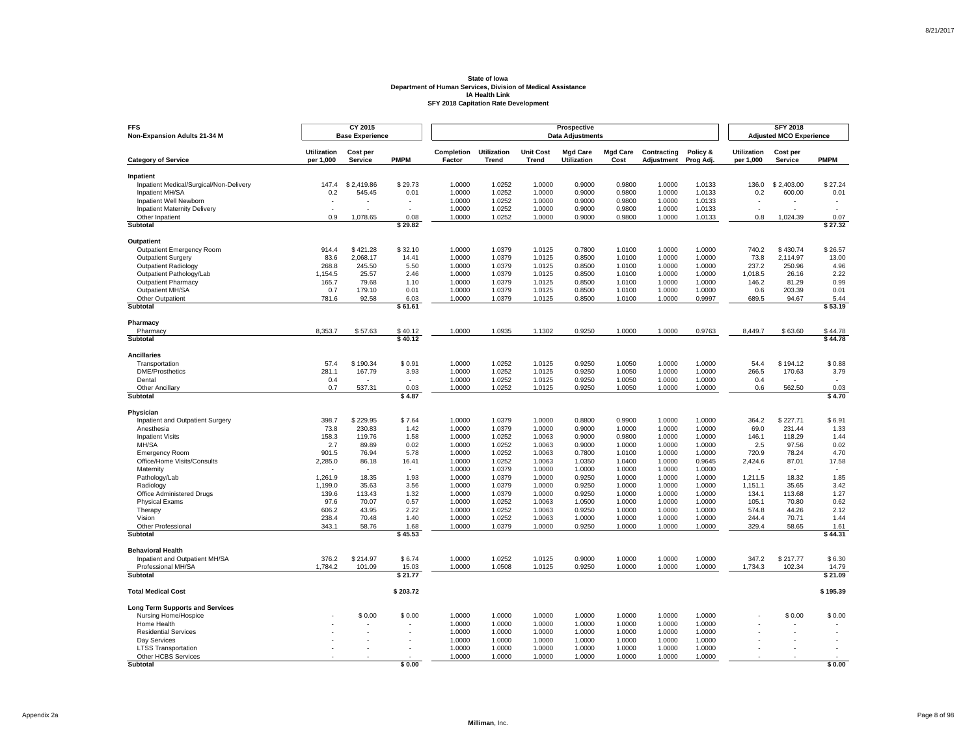| <b>FFS</b><br>Non-Expansion Adults 21-34 M           |                                 | CY 2015<br><b>Base Experience</b> |                  |                      |                             |                                  | <b>SFY 2018</b><br><b>Adjusted MCO Experience</b> |                         |                           |                       |                                 |                     |                          |
|------------------------------------------------------|---------------------------------|-----------------------------------|------------------|----------------------|-----------------------------|----------------------------------|---------------------------------------------------|-------------------------|---------------------------|-----------------------|---------------------------------|---------------------|--------------------------|
| <b>Category of Service</b>                           | <b>Utilization</b><br>per 1,000 | Cost per<br><b>Service</b>        | <b>PMPM</b>      | Completion<br>Factor | <b>Utilization</b><br>Trend | <b>Unit Cost</b><br><b>Trend</b> | <b>Mgd Care</b><br><b>Utilization</b>             | <b>Mgd Care</b><br>Cost | Contracting<br>Adjustment | Policy &<br>Prog Adj. | <b>Utilization</b><br>per 1,000 | Cost per<br>Service | <b>PMPM</b>              |
|                                                      |                                 |                                   |                  |                      |                             |                                  |                                                   |                         |                           |                       |                                 |                     |                          |
| Inpatient<br>Inpatient Medical/Surgical/Non-Delivery | 147.4                           | \$2.419.86                        | \$29.73          | 1.0000               | 1.0252                      | 1.0000                           | 0.9000                                            | 0.9800                  | 1.0000                    | 1.0133                | 136.0                           | \$2.403.00          | \$27.24                  |
| Inpatient MH/SA                                      | 0.2                             | 545.45                            | 0.01             | 1.0000               | 1.0252                      | 1.0000                           | 0.9000                                            | 0.9800                  | 1.0000                    | 1.0133                | 0.2                             | 600.00              | 0.01                     |
| Inpatient Well Newborn                               |                                 |                                   |                  | 1.0000               | 1.0252                      | 1.0000                           | 0.9000                                            | 0.9800                  | 1.0000                    | 1.0133                |                                 |                     |                          |
| <b>Inpatient Maternity Delivery</b>                  | $\overline{a}$                  |                                   | $\overline{a}$   | 1.0000               | 1.0252                      | 1.0000                           | 0.9000                                            | 0.9800                  | 1.0000                    | 1.0133                | $\sim$                          |                     | $\overline{\phantom{a}}$ |
| Other Inpatient                                      | 0.9                             | 1.078.65                          | 0.08             | 1.0000               | 1.0252                      | 1.0000                           | 0.9000                                            | 0.9800                  | 1.0000                    | 1.0133                | 0.8                             | 1.024.39            | 0.07                     |
| Subtotal                                             |                                 |                                   | \$29.82          |                      |                             |                                  |                                                   |                         |                           |                       |                                 |                     | \$27.32                  |
| Outpatient                                           |                                 |                                   |                  |                      |                             |                                  |                                                   |                         |                           |                       |                                 |                     |                          |
| Outpatient Emergency Room                            | 914.4                           | \$421.28                          | \$32.10          | 1.0000               | 1.0379                      | 1.0125                           | 0.7800                                            | 1.0100                  | 1.0000                    | 1.0000                | 740.2                           | \$430.74            | \$26.57                  |
| Outpatient Surgery                                   | 83.6                            | 2.068.17                          | 14.41            | 1.0000               | 1.0379                      | 1.0125                           | 0.8500                                            | 1.0100                  | 1.0000                    | 1.0000                | 73.8                            | 2.114.97            | 13.00                    |
| <b>Outpatient Radiology</b>                          | 268.8                           | 245.50                            | 5.50             | 1.0000               | 1.0379                      | 1.0125                           | 0.8500                                            | 1.0100                  | 1.0000                    | 1.0000                | 237.2                           | 250.96              | 4.96                     |
| Outpatient Pathology/Lab                             | 1,154.5                         | 25.57                             | 2.46             | 1.0000               | 1.0379                      | 1.0125                           | 0.8500                                            | 1.0100                  | 1.0000                    | 1.0000                | 1,018.5                         | 26.16               | 2.22                     |
| <b>Outpatient Pharmacy</b>                           | 165.7                           | 79.68                             | 1.10             | 1.0000               | 1.0379                      | 1.0125                           | 0.8500                                            | 1.0100                  | 1.0000                    | 1.0000                | 146.2                           | 81.29               | 0.99                     |
| Outpatient MH/SA                                     | 0.7                             | 179.10                            | 0.01             | 1.0000               | 1.0379                      | 1.0125                           | 0.8500                                            | 1.0100                  | 1.0000                    | 1.0000                | 0.6                             | 203.39              | 0.01                     |
| Other Outpatient                                     | 781.6                           | 92.58                             | 6.03             | 1.0000               | 1.0379                      | 1.0125                           | 0.8500                                            | 1.0100                  | 1.0000                    | 0.9997                | 689.5                           | 94.67               | 5.44                     |
| Subtotal                                             |                                 |                                   | \$61.61          |                      |                             |                                  |                                                   |                         |                           |                       |                                 |                     | \$53.19                  |
| Pharmacy                                             |                                 |                                   |                  |                      |                             |                                  |                                                   |                         |                           |                       |                                 |                     |                          |
| Pharmacy                                             | 8,353.7                         | \$57.63                           | \$40.12          | 1.0000               | 1.0935                      | 1.1302                           | 0.9250                                            | 1.0000                  | 1.0000                    | 0.9763                | 8,449.7                         | \$63.60             | \$44.78                  |
| Subtotal                                             |                                 |                                   | \$40.12          |                      |                             |                                  |                                                   |                         |                           |                       |                                 |                     | \$44.78                  |
| <b>Ancillaries</b>                                   |                                 |                                   |                  |                      |                             |                                  |                                                   |                         |                           |                       |                                 |                     |                          |
| Transportation                                       | 57.4                            | \$190.34                          | \$0.91           | 1.0000               | 1.0252                      | 1.0125                           | 0.9250                                            | 1.0050                  | 1.0000                    | 1.0000                | 54.4                            | \$194.12            | \$0.88                   |
| <b>DME/Prosthetics</b>                               | 281.1                           | 167.79                            | 3.93             | 1.0000               | 1.0252                      | 1.0125                           | 0.9250                                            | 1.0050                  | 1.0000                    | 1.0000                | 266.5                           | 170.63              | 3.79                     |
| Dental                                               | 0.4                             |                                   | $\sim$           | 1.0000               | 1.0252                      | 1.0125                           | 0.9250                                            | 1.0050                  | 1.0000                    | 1.0000                | 0.4                             |                     |                          |
| <b>Other Ancillary</b><br>Subtotal                   | 0.7                             | 537.31                            | 0.03<br>\$4.87   | 1.0000               | 1.0252                      | 1.0125                           | 0.9250                                            | 1.0050                  | 1.0000                    | 1.0000                | 0.6                             | 562.50              | 0.03<br>\$4.70           |
|                                                      |                                 |                                   |                  |                      |                             |                                  |                                                   |                         |                           |                       |                                 |                     |                          |
| Physician                                            | 398.7                           |                                   |                  | 1.0000               | 1.0379                      | 1.0000                           |                                                   | 0.9900                  |                           |                       |                                 |                     |                          |
| Inpatient and Outpatient Surgery<br>Anesthesia       | 73.8                            | \$229.95<br>230.83                | \$7.64<br>1.42   | 1.0000               | 1.0379                      | 1.0000                           | 0.8800<br>0.9000                                  | 1.0000                  | 1.0000<br>1.0000          | 1.0000<br>1.0000      | 364.2<br>69.0                   | \$227.71<br>231.44  | \$6.91<br>1.33           |
| <b>Inpatient Visits</b>                              | 158.3                           | 119.76                            | 1.58             | 1.0000               | 1.0252                      | 1.0063                           | 0.9000                                            | 0.9800                  | 1.0000                    | 1.0000                | 146.1                           | 118.29              | 1.44                     |
| MH/SA                                                | 2.7                             | 89.89                             | 0.02             | 1.0000               | 1.0252                      | 1.0063                           | 0.9000                                            | 1.0000                  | 1.0000                    | 1.0000                | 2.5                             | 97.56               | 0.02                     |
| <b>Emergency Room</b>                                | 901.5                           | 76.94                             | 5.78             | 1.0000               | 1.0252                      | 1.0063                           | 0.7800                                            | 1.0100                  | 1.0000                    | 1.0000                | 720.9                           | 78.24               | 4.70                     |
| Office/Home Visits/Consults                          | 2,285.0                         | 86.18                             | 16.41            | 1.0000               | 1.0252                      | 1.0063                           | 1.0350                                            | 1.0400                  | 1.0000                    | 0.9645                | 2,424.6                         | 87.01               | 17.58                    |
| Maternity                                            |                                 |                                   |                  | 1.0000               | 1.0379                      | 1.0000                           | 1.0000                                            | 1.0000                  | 1.0000                    | 1.0000                |                                 |                     | $\overline{\phantom{a}}$ |
| Pathology/Lab                                        | 1,261.9                         | 18.35                             | 1.93             | 1.0000               | 1.0379                      | 1.0000                           | 0.9250                                            | 1.0000                  | 1.0000                    | 1.0000                | 1,211.5                         | 18.32               | 1.85                     |
| Radiology                                            | 1,199.0                         | 35.63                             | 3.56             | 1.0000               | 1.0379                      | 1.0000                           | 0.9250                                            | 1.0000                  | 1.0000                    | 1.0000                | 1,151.1                         | 35.65               | 3.42                     |
| Office Administered Drugs                            | 139.6                           | 113.43                            | 1.32             | 1.0000               | 1.0379                      | 1.0000                           | 0.9250                                            | 1.0000                  | 1.0000                    | 1.0000                | 134.1                           | 113.68              | 1.27                     |
| <b>Physical Exams</b>                                | 97.6                            | 70.07                             | 0.57             | 1.0000               | 1.0252                      | 1.0063                           | 1.0500                                            | 1.0000                  | 1.0000                    | 1.0000                | 105.1                           | 70.80               | 0.62                     |
| Therapy                                              | 606.2                           | 43.95                             | 2.22             | 1.0000               | 1.0252                      | 1.0063                           | 0.9250                                            | 1.0000                  | 1.0000                    | 1.0000                | 574.8                           | 44.26               | 2.12                     |
| Vision                                               | 238.4                           | 70.48                             | 1.40             | 1.0000               | 1.0252                      | 1.0063                           | 1.0000                                            | 1.0000                  | 1.0000                    | 1.0000                | 244.4                           | 70.71               | 1.44                     |
| Other Professional<br>Subtotal                       | 343.1                           | 58.76                             | 1.68<br>\$45.53  | 1.0000               | 1.0379                      | 1.0000                           | 0.9250                                            | 1.0000                  | 1.0000                    | 1.0000                | 329.4                           | 58.65               | 1.61<br>\$44.31          |
|                                                      |                                 |                                   |                  |                      |                             |                                  |                                                   |                         |                           |                       |                                 |                     |                          |
| <b>Behavioral Health</b>                             |                                 |                                   |                  |                      |                             |                                  |                                                   |                         |                           |                       |                                 |                     |                          |
| Inpatient and Outpatient MH/SA                       | 376.2                           | \$214.97                          | \$6.74           | 1.0000               | 1.0252                      | 1.0125                           | 0.9000                                            | 1.0000                  | 1.0000                    | 1.0000                | 347.2                           | \$217.77            | \$6.30                   |
| Professional MH/SA<br><b>Subtotal</b>                | 1,784.2                         | 101.09                            | 15.03<br>\$21.77 | 1.0000               | 1.0508                      | 1.0125                           | 0.9250                                            | 1.0000                  | 1.0000                    | 1.0000                | 1,734.3                         | 102.34              | 14.79<br>\$21.09         |
|                                                      |                                 |                                   |                  |                      |                             |                                  |                                                   |                         |                           |                       |                                 |                     |                          |
| <b>Total Medical Cost</b>                            |                                 |                                   | \$203.72         |                      |                             |                                  |                                                   |                         |                           |                       |                                 |                     | \$195.39                 |
| <b>Long Term Supports and Services</b>               |                                 |                                   |                  |                      |                             |                                  |                                                   |                         |                           |                       |                                 |                     |                          |
| Nursing Home/Hospice                                 |                                 | \$0.00                            | \$0.00           | 1.0000               | 1.0000                      | 1.0000                           | 1.0000                                            | 1.0000                  | 1.0000                    | 1.0000                |                                 | \$0.00              | \$0.00                   |
| Home Health                                          |                                 |                                   |                  | 1.0000               | 1.0000                      | 1.0000<br>1.0000                 | 1.0000<br>1.0000                                  | 1.0000                  | 1.0000                    | 1.0000<br>1.0000      |                                 |                     |                          |
| <b>Residential Services</b><br>Dav Services          |                                 |                                   |                  | 1.0000<br>1.0000     | 1.0000<br>1.0000            | 1.0000                           | 1.0000                                            | 1.0000<br>1.0000        | 1.0000<br>1.0000          | 1.0000                |                                 |                     |                          |
| <b>LTSS Transportation</b>                           |                                 |                                   |                  | 1.0000               | 1.0000                      | 1.0000                           | 1.0000                                            | 1.0000                  | 1.0000                    | 1.0000                |                                 |                     |                          |
| Other HCBS Services                                  |                                 |                                   |                  | 1.0000               | 1.0000                      | 1.0000                           | 1.0000                                            | 1.0000                  | 1.0000                    | 1.0000                |                                 |                     |                          |
| Subtotal                                             |                                 |                                   | \$0.00           |                      |                             |                                  |                                                   |                         |                           |                       |                                 |                     | \$0.00                   |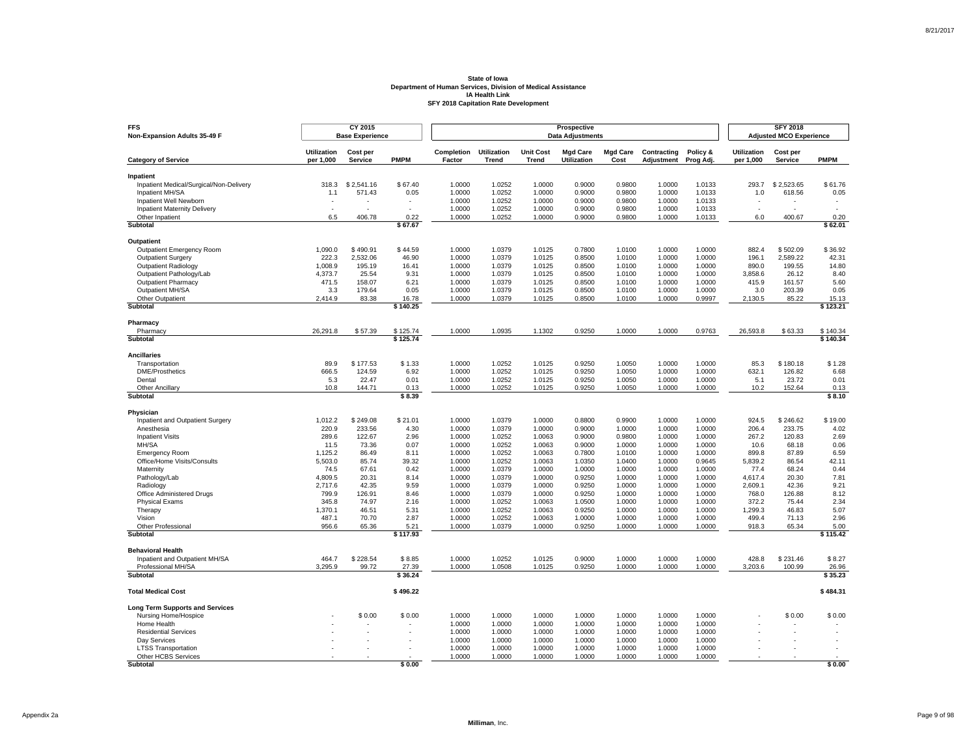| <b>Utilization</b><br>Completion<br><b>Utilization</b><br><b>Unit Cost</b><br><b>Mgd Care</b><br><b>Mgd Care</b><br>Contracting<br>Policy &<br><b>Utilization</b><br>Cost per<br>Cost per<br><b>PMPM</b><br><b>PMPM</b><br>per 1,000<br>Factor<br><b>Utilization</b><br>Cost<br>per 1,000<br><b>Category of Service</b><br><b>Service</b><br>Trend<br><b>Trend</b><br>Adjustment<br>Prog Adj.<br>Service<br>Inpatient<br>Inpatient Medical/Surgical/Non-Delivery<br>318.3<br>\$2.541.16<br>\$67.40<br>1.0000<br>1.0252<br>1.0000<br>0.9000<br>0.9800<br>1.0000<br>1.0133<br>293.7<br>\$2.523.65<br>\$61.76<br>1.0252<br>1.0000<br>0.9000<br>0.9800<br>1.0000<br>0.05<br>Inpatient MH/SA<br>571.43<br>0.05<br>1.0000<br>1.0133<br>1.0<br>618.56<br>1.1<br>Inpatient Well Newborn<br>1.0000<br>1.0252<br>1.0000<br>0.9000<br>0.9800<br>1.0000<br>1.0133<br>1.0000<br>1.0252<br>1.0000<br>0.9000<br>0.9800<br>1.0000<br>1.0133<br><b>Inpatient Maternity Delivery</b><br>$\sim$<br>$\overline{a}$<br>٠<br>$\overline{a}$<br>$\overline{\phantom{a}}$<br>Other Inpatient<br>6.5<br>406.78<br>0.22<br>1.0000<br>1.0252<br>1.0000<br>0.9000<br>0.9800<br>1.0000<br>1.0133<br>6.0<br>400.67<br>0.20<br>Subtotal<br>\$67.67<br>\$62.01<br>Outpatient<br>\$44.59<br>\$36.92<br>1,090.0<br>\$490.91<br>1.0000<br>1.0379<br>1.0125<br>0.7800<br>1.0100<br>1.0000<br>1.0000<br>882.4<br>\$502.09<br>Outpatient Emergency Room<br>42.31<br><b>Outpatient Surgery</b><br>222.3<br>2,532.06<br>46.90<br>1.0000<br>1.0379<br>1.0125<br>0.8500<br>1.0100<br>1.0000<br>1.0000<br>196.1<br>2,589.22<br>1,008.9<br>195.19<br>1.0000<br>1.0379<br>1.0125<br>0.8500<br>1.0100<br>1.0000<br>1.0000<br>890.0<br>199.55<br>14.80<br><b>Outpatient Radiology</b><br>16.41<br>Outpatient Pathology/Lab<br>1.0125<br>8.40<br>4,373.7<br>25.54<br>9.31<br>1.0000<br>1.0379<br>0.8500<br>1.0100<br>1.0000<br>1.0000<br>3,858.6<br>26.12<br>5.60<br><b>Outpatient Pharmacy</b><br>471.5<br>6.21<br>1.0000<br>1.0379<br>1.0125<br>0.8500<br>1.0100<br>1.0000<br>1.0000<br>415.9<br>158.07<br>161.57<br>Outpatient MH/SA<br>3.3<br>179.64<br>0.05<br>1.0000<br>1.0379<br>1.0125<br>0.8500<br>1.0100<br>1.0000<br>1.0000<br>3.0<br>203.39<br>0.05<br>1.0125<br>1.0000<br>0.9997<br>85.22<br>Other Outpatient<br>2,414.9<br>83.38<br>16.78<br>1.0000<br>1.0379<br>0.8500<br>1.0100<br>2,130.5<br>15.13<br>Subtotal<br>\$123.21<br>\$140.25<br>Pharmacy<br>26,291.8<br>\$57.39<br>\$125.74<br>1.0000<br>1.0935<br>1.1302<br>0.9250<br>1.0000<br>1.0000<br>0.9763<br>26,593.8<br>\$63.33<br>\$140.34<br>Pharmacy<br>Subtotal<br>\$125.74<br>\$140.34<br><b>Ancillaries</b><br>89.9<br>\$1.33<br>1.0000<br>1.0252<br>1.0125<br>0.9250<br>1.0000<br>\$1.28<br>Transportation<br>\$177.53<br>1.0050<br>1.0000<br>85.3<br>\$180.18<br><b>DME/Prosthetics</b><br>666.5<br>6.92<br>1.0252<br>1.0125<br>0.9250<br>1.0000<br>632.1<br>6.68<br>124.59<br>1.0000<br>1.0050<br>1.0000<br>126.82<br>0.01<br>1.0125<br>0.9250<br>0.01<br>Dental<br>5.3<br>22.47<br>1.0000<br>1.0252<br>1.0050<br>1.0000<br>1.0000<br>5.1<br>23.72<br>1.0000<br>1.0252<br>1.0125<br>0.9250<br>1.0050<br>1.0000<br>1.0000<br>10.2<br><b>Other Ancillary</b><br>10.8<br>144.71<br>0.13<br>152.64<br>0.13<br>Subtotal<br>\$8.39<br>\$8.10<br>Physician<br>1.0000<br>1.0379<br>1.0000<br>0.9900<br>\$19.00<br>Inpatient and Outpatient Surgery<br>1,012.2<br>\$249.08<br>\$21.01<br>0.8800<br>1.0000<br>1.0000<br>924.5<br>\$246.62<br>Anesthesia<br>220.9<br>233.56<br>4.30<br>1.0000<br>1.0379<br>1.0000<br>0.9000<br>1.0000<br>1.0000<br>1.0000<br>206.4<br>233.75<br>4.02<br>289.6<br>122.67<br>2.96<br>1.0000<br>1.0252<br>1.0063<br>0.9000<br>0.9800<br>1.0000<br>267.2<br>120.83<br>2.69<br><b>Inpatient Visits</b><br>1.0000<br>MH/SA<br>0.07<br>1.0252<br>0.06<br>11.5<br>73.36<br>1.0000<br>1.0063<br>0.9000<br>1.0000<br>1.0000<br>1.0000<br>10.6<br>68.18<br>1,125.2<br>86.49<br>8.11<br>1.0000<br>1.0252<br>1.0063<br>0.7800<br>1.0100<br>1.0000<br>899.8<br>87.89<br>6.59<br><b>Emergency Room</b><br>1.0000<br>39.32<br>42.11<br>Office/Home Visits/Consults<br>5,503.0<br>85.74<br>1.0000<br>1.0252<br>1.0063<br>1.0350<br>1.0400<br>1.0000<br>0.9645<br>5,839.2<br>86.54<br>Maternity<br>74.5<br>67.61<br>0.42<br>1.0000<br>1.0379<br>1.0000<br>1.0000<br>1.0000<br>1.0000<br>1.0000<br>77.4<br>68.24<br>0.44<br>7.81<br>20.31<br>8.14<br>1.0000<br>1.0379<br>1.0000<br>0.9250<br>1.0000<br>1.0000<br>1.0000<br>4.617.4<br>20.30<br>Pathology/Lab<br>4,809.5<br>2,717.6<br>42.35<br>9.59<br>1.0000<br>1.0379<br>1.0000<br>0.9250<br>1.0000<br>1.0000<br>1.0000<br>2,609.1<br>42.36<br>9.21<br>Radiology<br>799.9<br>1.0000<br>1.0000<br>0.9250<br>1.0000<br>768.0<br>8.12<br>Office Administered Drugs<br>126.91<br>8.46<br>1.0379<br>1.0000<br>1.0000<br>126.88<br>345.8<br>74.97<br>1.0252<br>1.0063<br>1.0500<br>372.2<br>2.34<br><b>Physical Exams</b><br>2.16<br>1.0000<br>1.0000<br>1.0000<br>1.0000<br>75.44<br>0.9250<br>1,299.3<br>5.07<br>Therapy<br>1,370.1<br>46.51<br>5.31<br>1.0000<br>1.0252<br>1.0063<br>1.0000<br>1.0000<br>1.0000<br>46.83<br>Vision<br>487.1<br>70.70<br>2.87<br>1.0000<br>1.0252<br>1.0063<br>1.0000<br>1.0000<br>1.0000<br>1.0000<br>499.4<br>71.13<br>2.96<br>956.6<br>65.36<br>5.21<br>1.0000<br>1.0379<br>1.0000<br>0.9250<br>1.0000<br>1.0000<br>1.0000<br>918.3<br>65.34<br>5.00<br>Other Professional<br>\$115.42<br>Subtotal<br>\$117.93<br><b>Behavioral Health</b><br>Inpatient and Outpatient MH/SA<br>464.7<br>\$228.54<br>\$8.85<br>1.0000<br>1.0252<br>1.0125<br>0.9000<br>1.0000<br>1.0000<br>1.0000<br>428.8<br>\$231.46<br>\$8.27<br>Professional MH/SA<br>3,295.9<br>99.72<br>27.39<br>1.0000<br>1.0508<br>1.0125<br>0.9250<br>1.0000<br>1.0000<br>1.0000<br>3,203.6<br>100.99<br>26.96<br>\$35.23<br><b>Subtotal</b><br>\$36.24<br>\$496.22<br>\$484.31<br><b>Total Medical Cost</b><br><b>Long Term Supports and Services</b><br>\$0.00<br>1.0000<br>1.0000<br>1.0000<br>1.0000<br>1.0000<br>1.0000<br>1.0000<br>\$0.00<br>\$0.00<br>Nursing Home/Hospice<br>\$0.00<br>1.0000<br>1.0000<br>1.0000<br>1.0000<br>1.0000<br>1.0000<br>Home Health<br>1.0000<br>1.0000<br>1.0000<br>1.0000<br><b>Residential Services</b><br>1.0000<br>1.0000<br>1.0000<br>1.0000<br>Dav Services<br>1.0000<br>1.0000<br>1.0000<br>1.0000<br>1.0000<br>1.0000<br>1.0000<br>1.0000<br>1.0000<br>1.0000<br>1.0000<br>1.0000<br>1.0000<br>1.0000<br><b>LTSS Transportation</b><br>Other HCBS Services<br>1.0000<br>1.0000<br>1.0000<br>1.0000<br>1.0000<br>1.0000<br>1.0000<br><b>Subtotal</b><br>\$0.00<br>\$0.00 | <b>FFS</b><br>Non-Expansion Adults 35-49 F | CY 2015<br><b>Base Experience</b> |  |  | <b>SFY 2018</b><br><b>Adjusted MCO Experience</b> |  |  |  |  |
|-----------------------------------------------------------------------------------------------------------------------------------------------------------------------------------------------------------------------------------------------------------------------------------------------------------------------------------------------------------------------------------------------------------------------------------------------------------------------------------------------------------------------------------------------------------------------------------------------------------------------------------------------------------------------------------------------------------------------------------------------------------------------------------------------------------------------------------------------------------------------------------------------------------------------------------------------------------------------------------------------------------------------------------------------------------------------------------------------------------------------------------------------------------------------------------------------------------------------------------------------------------------------------------------------------------------------------------------------------------------------------------------------------------------------------------------------------------------------------------------------------------------------------------------------------------------------------------------------------------------------------------------------------------------------------------------------------------------------------------------------------------------------------------------------------------------------------------------------------------------------------------------------------------------------------------------------------------------------------------------------------------------------------------------------------------------------------------------------------------------------------------------------------------------------------------------------------------------------------------------------------------------------------------------------------------------------------------------------------------------------------------------------------------------------------------------------------------------------------------------------------------------------------------------------------------------------------------------------------------------------------------------------------------------------------------------------------------------------------------------------------------------------------------------------------------------------------------------------------------------------------------------------------------------------------------------------------------------------------------------------------------------------------------------------------------------------------------------------------------------------------------------------------------------------------------------------------------------------------------------------------------------------------------------------------------------------------------------------------------------------------------------------------------------------------------------------------------------------------------------------------------------------------------------------------------------------------------------------------------------------------------------------------------------------------------------------------------------------------------------------------------------------------------------------------------------------------------------------------------------------------------------------------------------------------------------------------------------------------------------------------------------------------------------------------------------------------------------------------------------------------------------------------------------------------------------------------------------------------------------------------------------------------------------------------------------------------------------------------------------------------------------------------------------------------------------------------------------------------------------------------------------------------------------------------------------------------------------------------------------------------------------------------------------------------------------------------------------------------------------------------------------------------------------------------------------------------------------------------------------------------------------------------------------------------------------------------------------------------------------------------------------------------------------------------------------------------------------------------------------------------------------------------------------------------------------------------------------------------------------------------------------------------------------------------------------------------------------------------------------------------------------------------------------------------------------------------------------------------------------------------------------------------------------------------------------------------------------------------------------------------------------------------------------------------------------------------------------------------------------------------------------------------------------------------------------------------------------------------------------------------------------------------------------------------------------------------------------------------------------------------------------------------------------------------------------------------------------------------------------------------------------------------------------------------------------------------------------------------------------------------------------------------------------------------------------------------------------------------------------------------------------------------------------------------------------------------------------------------------------------------------------------------------------------------------------------------------------------|--------------------------------------------|-----------------------------------|--|--|---------------------------------------------------|--|--|--|--|
|                                                                                                                                                                                                                                                                                                                                                                                                                                                                                                                                                                                                                                                                                                                                                                                                                                                                                                                                                                                                                                                                                                                                                                                                                                                                                                                                                                                                                                                                                                                                                                                                                                                                                                                                                                                                                                                                                                                                                                                                                                                                                                                                                                                                                                                                                                                                                                                                                                                                                                                                                                                                                                                                                                                                                                                                                                                                                                                                                                                                                                                                                                                                                                                                                                                                                                                                                                                                                                                                                                                                                                                                                                                                                                                                                                                                                                                                                                                                                                                                                                                                                                                                                                                                                                                                                                                                                                                                                                                                                                                                                                                                                                                                                                                                                                                                                                                                                                                                                                                                                                                                                                                                                                                                                                                                                                                                                                                                                                                                                                                                                                                                                                                                                                                                                                                                                                                                                                                                                                                                                                                                                                                                                                                                                                                                                                                                                                                                                                                                                                                                                                                               |                                            |                                   |  |  |                                                   |  |  |  |  |
|                                                                                                                                                                                                                                                                                                                                                                                                                                                                                                                                                                                                                                                                                                                                                                                                                                                                                                                                                                                                                                                                                                                                                                                                                                                                                                                                                                                                                                                                                                                                                                                                                                                                                                                                                                                                                                                                                                                                                                                                                                                                                                                                                                                                                                                                                                                                                                                                                                                                                                                                                                                                                                                                                                                                                                                                                                                                                                                                                                                                                                                                                                                                                                                                                                                                                                                                                                                                                                                                                                                                                                                                                                                                                                                                                                                                                                                                                                                                                                                                                                                                                                                                                                                                                                                                                                                                                                                                                                                                                                                                                                                                                                                                                                                                                                                                                                                                                                                                                                                                                                                                                                                                                                                                                                                                                                                                                                                                                                                                                                                                                                                                                                                                                                                                                                                                                                                                                                                                                                                                                                                                                                                                                                                                                                                                                                                                                                                                                                                                                                                                                                                               |                                            |                                   |  |  |                                                   |  |  |  |  |
|                                                                                                                                                                                                                                                                                                                                                                                                                                                                                                                                                                                                                                                                                                                                                                                                                                                                                                                                                                                                                                                                                                                                                                                                                                                                                                                                                                                                                                                                                                                                                                                                                                                                                                                                                                                                                                                                                                                                                                                                                                                                                                                                                                                                                                                                                                                                                                                                                                                                                                                                                                                                                                                                                                                                                                                                                                                                                                                                                                                                                                                                                                                                                                                                                                                                                                                                                                                                                                                                                                                                                                                                                                                                                                                                                                                                                                                                                                                                                                                                                                                                                                                                                                                                                                                                                                                                                                                                                                                                                                                                                                                                                                                                                                                                                                                                                                                                                                                                                                                                                                                                                                                                                                                                                                                                                                                                                                                                                                                                                                                                                                                                                                                                                                                                                                                                                                                                                                                                                                                                                                                                                                                                                                                                                                                                                                                                                                                                                                                                                                                                                                                               |                                            |                                   |  |  |                                                   |  |  |  |  |
|                                                                                                                                                                                                                                                                                                                                                                                                                                                                                                                                                                                                                                                                                                                                                                                                                                                                                                                                                                                                                                                                                                                                                                                                                                                                                                                                                                                                                                                                                                                                                                                                                                                                                                                                                                                                                                                                                                                                                                                                                                                                                                                                                                                                                                                                                                                                                                                                                                                                                                                                                                                                                                                                                                                                                                                                                                                                                                                                                                                                                                                                                                                                                                                                                                                                                                                                                                                                                                                                                                                                                                                                                                                                                                                                                                                                                                                                                                                                                                                                                                                                                                                                                                                                                                                                                                                                                                                                                                                                                                                                                                                                                                                                                                                                                                                                                                                                                                                                                                                                                                                                                                                                                                                                                                                                                                                                                                                                                                                                                                                                                                                                                                                                                                                                                                                                                                                                                                                                                                                                                                                                                                                                                                                                                                                                                                                                                                                                                                                                                                                                                                                               |                                            |                                   |  |  |                                                   |  |  |  |  |
|                                                                                                                                                                                                                                                                                                                                                                                                                                                                                                                                                                                                                                                                                                                                                                                                                                                                                                                                                                                                                                                                                                                                                                                                                                                                                                                                                                                                                                                                                                                                                                                                                                                                                                                                                                                                                                                                                                                                                                                                                                                                                                                                                                                                                                                                                                                                                                                                                                                                                                                                                                                                                                                                                                                                                                                                                                                                                                                                                                                                                                                                                                                                                                                                                                                                                                                                                                                                                                                                                                                                                                                                                                                                                                                                                                                                                                                                                                                                                                                                                                                                                                                                                                                                                                                                                                                                                                                                                                                                                                                                                                                                                                                                                                                                                                                                                                                                                                                                                                                                                                                                                                                                                                                                                                                                                                                                                                                                                                                                                                                                                                                                                                                                                                                                                                                                                                                                                                                                                                                                                                                                                                                                                                                                                                                                                                                                                                                                                                                                                                                                                                                               |                                            |                                   |  |  |                                                   |  |  |  |  |
|                                                                                                                                                                                                                                                                                                                                                                                                                                                                                                                                                                                                                                                                                                                                                                                                                                                                                                                                                                                                                                                                                                                                                                                                                                                                                                                                                                                                                                                                                                                                                                                                                                                                                                                                                                                                                                                                                                                                                                                                                                                                                                                                                                                                                                                                                                                                                                                                                                                                                                                                                                                                                                                                                                                                                                                                                                                                                                                                                                                                                                                                                                                                                                                                                                                                                                                                                                                                                                                                                                                                                                                                                                                                                                                                                                                                                                                                                                                                                                                                                                                                                                                                                                                                                                                                                                                                                                                                                                                                                                                                                                                                                                                                                                                                                                                                                                                                                                                                                                                                                                                                                                                                                                                                                                                                                                                                                                                                                                                                                                                                                                                                                                                                                                                                                                                                                                                                                                                                                                                                                                                                                                                                                                                                                                                                                                                                                                                                                                                                                                                                                                                               |                                            |                                   |  |  |                                                   |  |  |  |  |
|                                                                                                                                                                                                                                                                                                                                                                                                                                                                                                                                                                                                                                                                                                                                                                                                                                                                                                                                                                                                                                                                                                                                                                                                                                                                                                                                                                                                                                                                                                                                                                                                                                                                                                                                                                                                                                                                                                                                                                                                                                                                                                                                                                                                                                                                                                                                                                                                                                                                                                                                                                                                                                                                                                                                                                                                                                                                                                                                                                                                                                                                                                                                                                                                                                                                                                                                                                                                                                                                                                                                                                                                                                                                                                                                                                                                                                                                                                                                                                                                                                                                                                                                                                                                                                                                                                                                                                                                                                                                                                                                                                                                                                                                                                                                                                                                                                                                                                                                                                                                                                                                                                                                                                                                                                                                                                                                                                                                                                                                                                                                                                                                                                                                                                                                                                                                                                                                                                                                                                                                                                                                                                                                                                                                                                                                                                                                                                                                                                                                                                                                                                                               |                                            |                                   |  |  |                                                   |  |  |  |  |
|                                                                                                                                                                                                                                                                                                                                                                                                                                                                                                                                                                                                                                                                                                                                                                                                                                                                                                                                                                                                                                                                                                                                                                                                                                                                                                                                                                                                                                                                                                                                                                                                                                                                                                                                                                                                                                                                                                                                                                                                                                                                                                                                                                                                                                                                                                                                                                                                                                                                                                                                                                                                                                                                                                                                                                                                                                                                                                                                                                                                                                                                                                                                                                                                                                                                                                                                                                                                                                                                                                                                                                                                                                                                                                                                                                                                                                                                                                                                                                                                                                                                                                                                                                                                                                                                                                                                                                                                                                                                                                                                                                                                                                                                                                                                                                                                                                                                                                                                                                                                                                                                                                                                                                                                                                                                                                                                                                                                                                                                                                                                                                                                                                                                                                                                                                                                                                                                                                                                                                                                                                                                                                                                                                                                                                                                                                                                                                                                                                                                                                                                                                                               |                                            |                                   |  |  |                                                   |  |  |  |  |
|                                                                                                                                                                                                                                                                                                                                                                                                                                                                                                                                                                                                                                                                                                                                                                                                                                                                                                                                                                                                                                                                                                                                                                                                                                                                                                                                                                                                                                                                                                                                                                                                                                                                                                                                                                                                                                                                                                                                                                                                                                                                                                                                                                                                                                                                                                                                                                                                                                                                                                                                                                                                                                                                                                                                                                                                                                                                                                                                                                                                                                                                                                                                                                                                                                                                                                                                                                                                                                                                                                                                                                                                                                                                                                                                                                                                                                                                                                                                                                                                                                                                                                                                                                                                                                                                                                                                                                                                                                                                                                                                                                                                                                                                                                                                                                                                                                                                                                                                                                                                                                                                                                                                                                                                                                                                                                                                                                                                                                                                                                                                                                                                                                                                                                                                                                                                                                                                                                                                                                                                                                                                                                                                                                                                                                                                                                                                                                                                                                                                                                                                                                                               |                                            |                                   |  |  |                                                   |  |  |  |  |
|                                                                                                                                                                                                                                                                                                                                                                                                                                                                                                                                                                                                                                                                                                                                                                                                                                                                                                                                                                                                                                                                                                                                                                                                                                                                                                                                                                                                                                                                                                                                                                                                                                                                                                                                                                                                                                                                                                                                                                                                                                                                                                                                                                                                                                                                                                                                                                                                                                                                                                                                                                                                                                                                                                                                                                                                                                                                                                                                                                                                                                                                                                                                                                                                                                                                                                                                                                                                                                                                                                                                                                                                                                                                                                                                                                                                                                                                                                                                                                                                                                                                                                                                                                                                                                                                                                                                                                                                                                                                                                                                                                                                                                                                                                                                                                                                                                                                                                                                                                                                                                                                                                                                                                                                                                                                                                                                                                                                                                                                                                                                                                                                                                                                                                                                                                                                                                                                                                                                                                                                                                                                                                                                                                                                                                                                                                                                                                                                                                                                                                                                                                                               |                                            |                                   |  |  |                                                   |  |  |  |  |
|                                                                                                                                                                                                                                                                                                                                                                                                                                                                                                                                                                                                                                                                                                                                                                                                                                                                                                                                                                                                                                                                                                                                                                                                                                                                                                                                                                                                                                                                                                                                                                                                                                                                                                                                                                                                                                                                                                                                                                                                                                                                                                                                                                                                                                                                                                                                                                                                                                                                                                                                                                                                                                                                                                                                                                                                                                                                                                                                                                                                                                                                                                                                                                                                                                                                                                                                                                                                                                                                                                                                                                                                                                                                                                                                                                                                                                                                                                                                                                                                                                                                                                                                                                                                                                                                                                                                                                                                                                                                                                                                                                                                                                                                                                                                                                                                                                                                                                                                                                                                                                                                                                                                                                                                                                                                                                                                                                                                                                                                                                                                                                                                                                                                                                                                                                                                                                                                                                                                                                                                                                                                                                                                                                                                                                                                                                                                                                                                                                                                                                                                                                                               |                                            |                                   |  |  |                                                   |  |  |  |  |
|                                                                                                                                                                                                                                                                                                                                                                                                                                                                                                                                                                                                                                                                                                                                                                                                                                                                                                                                                                                                                                                                                                                                                                                                                                                                                                                                                                                                                                                                                                                                                                                                                                                                                                                                                                                                                                                                                                                                                                                                                                                                                                                                                                                                                                                                                                                                                                                                                                                                                                                                                                                                                                                                                                                                                                                                                                                                                                                                                                                                                                                                                                                                                                                                                                                                                                                                                                                                                                                                                                                                                                                                                                                                                                                                                                                                                                                                                                                                                                                                                                                                                                                                                                                                                                                                                                                                                                                                                                                                                                                                                                                                                                                                                                                                                                                                                                                                                                                                                                                                                                                                                                                                                                                                                                                                                                                                                                                                                                                                                                                                                                                                                                                                                                                                                                                                                                                                                                                                                                                                                                                                                                                                                                                                                                                                                                                                                                                                                                                                                                                                                                                               |                                            |                                   |  |  |                                                   |  |  |  |  |
|                                                                                                                                                                                                                                                                                                                                                                                                                                                                                                                                                                                                                                                                                                                                                                                                                                                                                                                                                                                                                                                                                                                                                                                                                                                                                                                                                                                                                                                                                                                                                                                                                                                                                                                                                                                                                                                                                                                                                                                                                                                                                                                                                                                                                                                                                                                                                                                                                                                                                                                                                                                                                                                                                                                                                                                                                                                                                                                                                                                                                                                                                                                                                                                                                                                                                                                                                                                                                                                                                                                                                                                                                                                                                                                                                                                                                                                                                                                                                                                                                                                                                                                                                                                                                                                                                                                                                                                                                                                                                                                                                                                                                                                                                                                                                                                                                                                                                                                                                                                                                                                                                                                                                                                                                                                                                                                                                                                                                                                                                                                                                                                                                                                                                                                                                                                                                                                                                                                                                                                                                                                                                                                                                                                                                                                                                                                                                                                                                                                                                                                                                                                               |                                            |                                   |  |  |                                                   |  |  |  |  |
|                                                                                                                                                                                                                                                                                                                                                                                                                                                                                                                                                                                                                                                                                                                                                                                                                                                                                                                                                                                                                                                                                                                                                                                                                                                                                                                                                                                                                                                                                                                                                                                                                                                                                                                                                                                                                                                                                                                                                                                                                                                                                                                                                                                                                                                                                                                                                                                                                                                                                                                                                                                                                                                                                                                                                                                                                                                                                                                                                                                                                                                                                                                                                                                                                                                                                                                                                                                                                                                                                                                                                                                                                                                                                                                                                                                                                                                                                                                                                                                                                                                                                                                                                                                                                                                                                                                                                                                                                                                                                                                                                                                                                                                                                                                                                                                                                                                                                                                                                                                                                                                                                                                                                                                                                                                                                                                                                                                                                                                                                                                                                                                                                                                                                                                                                                                                                                                                                                                                                                                                                                                                                                                                                                                                                                                                                                                                                                                                                                                                                                                                                                                               |                                            |                                   |  |  |                                                   |  |  |  |  |
|                                                                                                                                                                                                                                                                                                                                                                                                                                                                                                                                                                                                                                                                                                                                                                                                                                                                                                                                                                                                                                                                                                                                                                                                                                                                                                                                                                                                                                                                                                                                                                                                                                                                                                                                                                                                                                                                                                                                                                                                                                                                                                                                                                                                                                                                                                                                                                                                                                                                                                                                                                                                                                                                                                                                                                                                                                                                                                                                                                                                                                                                                                                                                                                                                                                                                                                                                                                                                                                                                                                                                                                                                                                                                                                                                                                                                                                                                                                                                                                                                                                                                                                                                                                                                                                                                                                                                                                                                                                                                                                                                                                                                                                                                                                                                                                                                                                                                                                                                                                                                                                                                                                                                                                                                                                                                                                                                                                                                                                                                                                                                                                                                                                                                                                                                                                                                                                                                                                                                                                                                                                                                                                                                                                                                                                                                                                                                                                                                                                                                                                                                                                               |                                            |                                   |  |  |                                                   |  |  |  |  |
|                                                                                                                                                                                                                                                                                                                                                                                                                                                                                                                                                                                                                                                                                                                                                                                                                                                                                                                                                                                                                                                                                                                                                                                                                                                                                                                                                                                                                                                                                                                                                                                                                                                                                                                                                                                                                                                                                                                                                                                                                                                                                                                                                                                                                                                                                                                                                                                                                                                                                                                                                                                                                                                                                                                                                                                                                                                                                                                                                                                                                                                                                                                                                                                                                                                                                                                                                                                                                                                                                                                                                                                                                                                                                                                                                                                                                                                                                                                                                                                                                                                                                                                                                                                                                                                                                                                                                                                                                                                                                                                                                                                                                                                                                                                                                                                                                                                                                                                                                                                                                                                                                                                                                                                                                                                                                                                                                                                                                                                                                                                                                                                                                                                                                                                                                                                                                                                                                                                                                                                                                                                                                                                                                                                                                                                                                                                                                                                                                                                                                                                                                                                               |                                            |                                   |  |  |                                                   |  |  |  |  |
|                                                                                                                                                                                                                                                                                                                                                                                                                                                                                                                                                                                                                                                                                                                                                                                                                                                                                                                                                                                                                                                                                                                                                                                                                                                                                                                                                                                                                                                                                                                                                                                                                                                                                                                                                                                                                                                                                                                                                                                                                                                                                                                                                                                                                                                                                                                                                                                                                                                                                                                                                                                                                                                                                                                                                                                                                                                                                                                                                                                                                                                                                                                                                                                                                                                                                                                                                                                                                                                                                                                                                                                                                                                                                                                                                                                                                                                                                                                                                                                                                                                                                                                                                                                                                                                                                                                                                                                                                                                                                                                                                                                                                                                                                                                                                                                                                                                                                                                                                                                                                                                                                                                                                                                                                                                                                                                                                                                                                                                                                                                                                                                                                                                                                                                                                                                                                                                                                                                                                                                                                                                                                                                                                                                                                                                                                                                                                                                                                                                                                                                                                                                               |                                            |                                   |  |  |                                                   |  |  |  |  |
|                                                                                                                                                                                                                                                                                                                                                                                                                                                                                                                                                                                                                                                                                                                                                                                                                                                                                                                                                                                                                                                                                                                                                                                                                                                                                                                                                                                                                                                                                                                                                                                                                                                                                                                                                                                                                                                                                                                                                                                                                                                                                                                                                                                                                                                                                                                                                                                                                                                                                                                                                                                                                                                                                                                                                                                                                                                                                                                                                                                                                                                                                                                                                                                                                                                                                                                                                                                                                                                                                                                                                                                                                                                                                                                                                                                                                                                                                                                                                                                                                                                                                                                                                                                                                                                                                                                                                                                                                                                                                                                                                                                                                                                                                                                                                                                                                                                                                                                                                                                                                                                                                                                                                                                                                                                                                                                                                                                                                                                                                                                                                                                                                                                                                                                                                                                                                                                                                                                                                                                                                                                                                                                                                                                                                                                                                                                                                                                                                                                                                                                                                                                               |                                            |                                   |  |  |                                                   |  |  |  |  |
|                                                                                                                                                                                                                                                                                                                                                                                                                                                                                                                                                                                                                                                                                                                                                                                                                                                                                                                                                                                                                                                                                                                                                                                                                                                                                                                                                                                                                                                                                                                                                                                                                                                                                                                                                                                                                                                                                                                                                                                                                                                                                                                                                                                                                                                                                                                                                                                                                                                                                                                                                                                                                                                                                                                                                                                                                                                                                                                                                                                                                                                                                                                                                                                                                                                                                                                                                                                                                                                                                                                                                                                                                                                                                                                                                                                                                                                                                                                                                                                                                                                                                                                                                                                                                                                                                                                                                                                                                                                                                                                                                                                                                                                                                                                                                                                                                                                                                                                                                                                                                                                                                                                                                                                                                                                                                                                                                                                                                                                                                                                                                                                                                                                                                                                                                                                                                                                                                                                                                                                                                                                                                                                                                                                                                                                                                                                                                                                                                                                                                                                                                                                               |                                            |                                   |  |  |                                                   |  |  |  |  |
|                                                                                                                                                                                                                                                                                                                                                                                                                                                                                                                                                                                                                                                                                                                                                                                                                                                                                                                                                                                                                                                                                                                                                                                                                                                                                                                                                                                                                                                                                                                                                                                                                                                                                                                                                                                                                                                                                                                                                                                                                                                                                                                                                                                                                                                                                                                                                                                                                                                                                                                                                                                                                                                                                                                                                                                                                                                                                                                                                                                                                                                                                                                                                                                                                                                                                                                                                                                                                                                                                                                                                                                                                                                                                                                                                                                                                                                                                                                                                                                                                                                                                                                                                                                                                                                                                                                                                                                                                                                                                                                                                                                                                                                                                                                                                                                                                                                                                                                                                                                                                                                                                                                                                                                                                                                                                                                                                                                                                                                                                                                                                                                                                                                                                                                                                                                                                                                                                                                                                                                                                                                                                                                                                                                                                                                                                                                                                                                                                                                                                                                                                                                               |                                            |                                   |  |  |                                                   |  |  |  |  |
|                                                                                                                                                                                                                                                                                                                                                                                                                                                                                                                                                                                                                                                                                                                                                                                                                                                                                                                                                                                                                                                                                                                                                                                                                                                                                                                                                                                                                                                                                                                                                                                                                                                                                                                                                                                                                                                                                                                                                                                                                                                                                                                                                                                                                                                                                                                                                                                                                                                                                                                                                                                                                                                                                                                                                                                                                                                                                                                                                                                                                                                                                                                                                                                                                                                                                                                                                                                                                                                                                                                                                                                                                                                                                                                                                                                                                                                                                                                                                                                                                                                                                                                                                                                                                                                                                                                                                                                                                                                                                                                                                                                                                                                                                                                                                                                                                                                                                                                                                                                                                                                                                                                                                                                                                                                                                                                                                                                                                                                                                                                                                                                                                                                                                                                                                                                                                                                                                                                                                                                                                                                                                                                                                                                                                                                                                                                                                                                                                                                                                                                                                                                               |                                            |                                   |  |  |                                                   |  |  |  |  |
|                                                                                                                                                                                                                                                                                                                                                                                                                                                                                                                                                                                                                                                                                                                                                                                                                                                                                                                                                                                                                                                                                                                                                                                                                                                                                                                                                                                                                                                                                                                                                                                                                                                                                                                                                                                                                                                                                                                                                                                                                                                                                                                                                                                                                                                                                                                                                                                                                                                                                                                                                                                                                                                                                                                                                                                                                                                                                                                                                                                                                                                                                                                                                                                                                                                                                                                                                                                                                                                                                                                                                                                                                                                                                                                                                                                                                                                                                                                                                                                                                                                                                                                                                                                                                                                                                                                                                                                                                                                                                                                                                                                                                                                                                                                                                                                                                                                                                                                                                                                                                                                                                                                                                                                                                                                                                                                                                                                                                                                                                                                                                                                                                                                                                                                                                                                                                                                                                                                                                                                                                                                                                                                                                                                                                                                                                                                                                                                                                                                                                                                                                                                               |                                            |                                   |  |  |                                                   |  |  |  |  |
|                                                                                                                                                                                                                                                                                                                                                                                                                                                                                                                                                                                                                                                                                                                                                                                                                                                                                                                                                                                                                                                                                                                                                                                                                                                                                                                                                                                                                                                                                                                                                                                                                                                                                                                                                                                                                                                                                                                                                                                                                                                                                                                                                                                                                                                                                                                                                                                                                                                                                                                                                                                                                                                                                                                                                                                                                                                                                                                                                                                                                                                                                                                                                                                                                                                                                                                                                                                                                                                                                                                                                                                                                                                                                                                                                                                                                                                                                                                                                                                                                                                                                                                                                                                                                                                                                                                                                                                                                                                                                                                                                                                                                                                                                                                                                                                                                                                                                                                                                                                                                                                                                                                                                                                                                                                                                                                                                                                                                                                                                                                                                                                                                                                                                                                                                                                                                                                                                                                                                                                                                                                                                                                                                                                                                                                                                                                                                                                                                                                                                                                                                                                               |                                            |                                   |  |  |                                                   |  |  |  |  |
|                                                                                                                                                                                                                                                                                                                                                                                                                                                                                                                                                                                                                                                                                                                                                                                                                                                                                                                                                                                                                                                                                                                                                                                                                                                                                                                                                                                                                                                                                                                                                                                                                                                                                                                                                                                                                                                                                                                                                                                                                                                                                                                                                                                                                                                                                                                                                                                                                                                                                                                                                                                                                                                                                                                                                                                                                                                                                                                                                                                                                                                                                                                                                                                                                                                                                                                                                                                                                                                                                                                                                                                                                                                                                                                                                                                                                                                                                                                                                                                                                                                                                                                                                                                                                                                                                                                                                                                                                                                                                                                                                                                                                                                                                                                                                                                                                                                                                                                                                                                                                                                                                                                                                                                                                                                                                                                                                                                                                                                                                                                                                                                                                                                                                                                                                                                                                                                                                                                                                                                                                                                                                                                                                                                                                                                                                                                                                                                                                                                                                                                                                                                               |                                            |                                   |  |  |                                                   |  |  |  |  |
|                                                                                                                                                                                                                                                                                                                                                                                                                                                                                                                                                                                                                                                                                                                                                                                                                                                                                                                                                                                                                                                                                                                                                                                                                                                                                                                                                                                                                                                                                                                                                                                                                                                                                                                                                                                                                                                                                                                                                                                                                                                                                                                                                                                                                                                                                                                                                                                                                                                                                                                                                                                                                                                                                                                                                                                                                                                                                                                                                                                                                                                                                                                                                                                                                                                                                                                                                                                                                                                                                                                                                                                                                                                                                                                                                                                                                                                                                                                                                                                                                                                                                                                                                                                                                                                                                                                                                                                                                                                                                                                                                                                                                                                                                                                                                                                                                                                                                                                                                                                                                                                                                                                                                                                                                                                                                                                                                                                                                                                                                                                                                                                                                                                                                                                                                                                                                                                                                                                                                                                                                                                                                                                                                                                                                                                                                                                                                                                                                                                                                                                                                                                               |                                            |                                   |  |  |                                                   |  |  |  |  |
|                                                                                                                                                                                                                                                                                                                                                                                                                                                                                                                                                                                                                                                                                                                                                                                                                                                                                                                                                                                                                                                                                                                                                                                                                                                                                                                                                                                                                                                                                                                                                                                                                                                                                                                                                                                                                                                                                                                                                                                                                                                                                                                                                                                                                                                                                                                                                                                                                                                                                                                                                                                                                                                                                                                                                                                                                                                                                                                                                                                                                                                                                                                                                                                                                                                                                                                                                                                                                                                                                                                                                                                                                                                                                                                                                                                                                                                                                                                                                                                                                                                                                                                                                                                                                                                                                                                                                                                                                                                                                                                                                                                                                                                                                                                                                                                                                                                                                                                                                                                                                                                                                                                                                                                                                                                                                                                                                                                                                                                                                                                                                                                                                                                                                                                                                                                                                                                                                                                                                                                                                                                                                                                                                                                                                                                                                                                                                                                                                                                                                                                                                                                               |                                            |                                   |  |  |                                                   |  |  |  |  |
|                                                                                                                                                                                                                                                                                                                                                                                                                                                                                                                                                                                                                                                                                                                                                                                                                                                                                                                                                                                                                                                                                                                                                                                                                                                                                                                                                                                                                                                                                                                                                                                                                                                                                                                                                                                                                                                                                                                                                                                                                                                                                                                                                                                                                                                                                                                                                                                                                                                                                                                                                                                                                                                                                                                                                                                                                                                                                                                                                                                                                                                                                                                                                                                                                                                                                                                                                                                                                                                                                                                                                                                                                                                                                                                                                                                                                                                                                                                                                                                                                                                                                                                                                                                                                                                                                                                                                                                                                                                                                                                                                                                                                                                                                                                                                                                                                                                                                                                                                                                                                                                                                                                                                                                                                                                                                                                                                                                                                                                                                                                                                                                                                                                                                                                                                                                                                                                                                                                                                                                                                                                                                                                                                                                                                                                                                                                                                                                                                                                                                                                                                                                               |                                            |                                   |  |  |                                                   |  |  |  |  |
|                                                                                                                                                                                                                                                                                                                                                                                                                                                                                                                                                                                                                                                                                                                                                                                                                                                                                                                                                                                                                                                                                                                                                                                                                                                                                                                                                                                                                                                                                                                                                                                                                                                                                                                                                                                                                                                                                                                                                                                                                                                                                                                                                                                                                                                                                                                                                                                                                                                                                                                                                                                                                                                                                                                                                                                                                                                                                                                                                                                                                                                                                                                                                                                                                                                                                                                                                                                                                                                                                                                                                                                                                                                                                                                                                                                                                                                                                                                                                                                                                                                                                                                                                                                                                                                                                                                                                                                                                                                                                                                                                                                                                                                                                                                                                                                                                                                                                                                                                                                                                                                                                                                                                                                                                                                                                                                                                                                                                                                                                                                                                                                                                                                                                                                                                                                                                                                                                                                                                                                                                                                                                                                                                                                                                                                                                                                                                                                                                                                                                                                                                                                               |                                            |                                   |  |  |                                                   |  |  |  |  |
|                                                                                                                                                                                                                                                                                                                                                                                                                                                                                                                                                                                                                                                                                                                                                                                                                                                                                                                                                                                                                                                                                                                                                                                                                                                                                                                                                                                                                                                                                                                                                                                                                                                                                                                                                                                                                                                                                                                                                                                                                                                                                                                                                                                                                                                                                                                                                                                                                                                                                                                                                                                                                                                                                                                                                                                                                                                                                                                                                                                                                                                                                                                                                                                                                                                                                                                                                                                                                                                                                                                                                                                                                                                                                                                                                                                                                                                                                                                                                                                                                                                                                                                                                                                                                                                                                                                                                                                                                                                                                                                                                                                                                                                                                                                                                                                                                                                                                                                                                                                                                                                                                                                                                                                                                                                                                                                                                                                                                                                                                                                                                                                                                                                                                                                                                                                                                                                                                                                                                                                                                                                                                                                                                                                                                                                                                                                                                                                                                                                                                                                                                                                               |                                            |                                   |  |  |                                                   |  |  |  |  |
|                                                                                                                                                                                                                                                                                                                                                                                                                                                                                                                                                                                                                                                                                                                                                                                                                                                                                                                                                                                                                                                                                                                                                                                                                                                                                                                                                                                                                                                                                                                                                                                                                                                                                                                                                                                                                                                                                                                                                                                                                                                                                                                                                                                                                                                                                                                                                                                                                                                                                                                                                                                                                                                                                                                                                                                                                                                                                                                                                                                                                                                                                                                                                                                                                                                                                                                                                                                                                                                                                                                                                                                                                                                                                                                                                                                                                                                                                                                                                                                                                                                                                                                                                                                                                                                                                                                                                                                                                                                                                                                                                                                                                                                                                                                                                                                                                                                                                                                                                                                                                                                                                                                                                                                                                                                                                                                                                                                                                                                                                                                                                                                                                                                                                                                                                                                                                                                                                                                                                                                                                                                                                                                                                                                                                                                                                                                                                                                                                                                                                                                                                                                               |                                            |                                   |  |  |                                                   |  |  |  |  |
|                                                                                                                                                                                                                                                                                                                                                                                                                                                                                                                                                                                                                                                                                                                                                                                                                                                                                                                                                                                                                                                                                                                                                                                                                                                                                                                                                                                                                                                                                                                                                                                                                                                                                                                                                                                                                                                                                                                                                                                                                                                                                                                                                                                                                                                                                                                                                                                                                                                                                                                                                                                                                                                                                                                                                                                                                                                                                                                                                                                                                                                                                                                                                                                                                                                                                                                                                                                                                                                                                                                                                                                                                                                                                                                                                                                                                                                                                                                                                                                                                                                                                                                                                                                                                                                                                                                                                                                                                                                                                                                                                                                                                                                                                                                                                                                                                                                                                                                                                                                                                                                                                                                                                                                                                                                                                                                                                                                                                                                                                                                                                                                                                                                                                                                                                                                                                                                                                                                                                                                                                                                                                                                                                                                                                                                                                                                                                                                                                                                                                                                                                                                               |                                            |                                   |  |  |                                                   |  |  |  |  |
|                                                                                                                                                                                                                                                                                                                                                                                                                                                                                                                                                                                                                                                                                                                                                                                                                                                                                                                                                                                                                                                                                                                                                                                                                                                                                                                                                                                                                                                                                                                                                                                                                                                                                                                                                                                                                                                                                                                                                                                                                                                                                                                                                                                                                                                                                                                                                                                                                                                                                                                                                                                                                                                                                                                                                                                                                                                                                                                                                                                                                                                                                                                                                                                                                                                                                                                                                                                                                                                                                                                                                                                                                                                                                                                                                                                                                                                                                                                                                                                                                                                                                                                                                                                                                                                                                                                                                                                                                                                                                                                                                                                                                                                                                                                                                                                                                                                                                                                                                                                                                                                                                                                                                                                                                                                                                                                                                                                                                                                                                                                                                                                                                                                                                                                                                                                                                                                                                                                                                                                                                                                                                                                                                                                                                                                                                                                                                                                                                                                                                                                                                                                               |                                            |                                   |  |  |                                                   |  |  |  |  |
|                                                                                                                                                                                                                                                                                                                                                                                                                                                                                                                                                                                                                                                                                                                                                                                                                                                                                                                                                                                                                                                                                                                                                                                                                                                                                                                                                                                                                                                                                                                                                                                                                                                                                                                                                                                                                                                                                                                                                                                                                                                                                                                                                                                                                                                                                                                                                                                                                                                                                                                                                                                                                                                                                                                                                                                                                                                                                                                                                                                                                                                                                                                                                                                                                                                                                                                                                                                                                                                                                                                                                                                                                                                                                                                                                                                                                                                                                                                                                                                                                                                                                                                                                                                                                                                                                                                                                                                                                                                                                                                                                                                                                                                                                                                                                                                                                                                                                                                                                                                                                                                                                                                                                                                                                                                                                                                                                                                                                                                                                                                                                                                                                                                                                                                                                                                                                                                                                                                                                                                                                                                                                                                                                                                                                                                                                                                                                                                                                                                                                                                                                                                               |                                            |                                   |  |  |                                                   |  |  |  |  |
|                                                                                                                                                                                                                                                                                                                                                                                                                                                                                                                                                                                                                                                                                                                                                                                                                                                                                                                                                                                                                                                                                                                                                                                                                                                                                                                                                                                                                                                                                                                                                                                                                                                                                                                                                                                                                                                                                                                                                                                                                                                                                                                                                                                                                                                                                                                                                                                                                                                                                                                                                                                                                                                                                                                                                                                                                                                                                                                                                                                                                                                                                                                                                                                                                                                                                                                                                                                                                                                                                                                                                                                                                                                                                                                                                                                                                                                                                                                                                                                                                                                                                                                                                                                                                                                                                                                                                                                                                                                                                                                                                                                                                                                                                                                                                                                                                                                                                                                                                                                                                                                                                                                                                                                                                                                                                                                                                                                                                                                                                                                                                                                                                                                                                                                                                                                                                                                                                                                                                                                                                                                                                                                                                                                                                                                                                                                                                                                                                                                                                                                                                                                               |                                            |                                   |  |  |                                                   |  |  |  |  |
|                                                                                                                                                                                                                                                                                                                                                                                                                                                                                                                                                                                                                                                                                                                                                                                                                                                                                                                                                                                                                                                                                                                                                                                                                                                                                                                                                                                                                                                                                                                                                                                                                                                                                                                                                                                                                                                                                                                                                                                                                                                                                                                                                                                                                                                                                                                                                                                                                                                                                                                                                                                                                                                                                                                                                                                                                                                                                                                                                                                                                                                                                                                                                                                                                                                                                                                                                                                                                                                                                                                                                                                                                                                                                                                                                                                                                                                                                                                                                                                                                                                                                                                                                                                                                                                                                                                                                                                                                                                                                                                                                                                                                                                                                                                                                                                                                                                                                                                                                                                                                                                                                                                                                                                                                                                                                                                                                                                                                                                                                                                                                                                                                                                                                                                                                                                                                                                                                                                                                                                                                                                                                                                                                                                                                                                                                                                                                                                                                                                                                                                                                                                               |                                            |                                   |  |  |                                                   |  |  |  |  |
|                                                                                                                                                                                                                                                                                                                                                                                                                                                                                                                                                                                                                                                                                                                                                                                                                                                                                                                                                                                                                                                                                                                                                                                                                                                                                                                                                                                                                                                                                                                                                                                                                                                                                                                                                                                                                                                                                                                                                                                                                                                                                                                                                                                                                                                                                                                                                                                                                                                                                                                                                                                                                                                                                                                                                                                                                                                                                                                                                                                                                                                                                                                                                                                                                                                                                                                                                                                                                                                                                                                                                                                                                                                                                                                                                                                                                                                                                                                                                                                                                                                                                                                                                                                                                                                                                                                                                                                                                                                                                                                                                                                                                                                                                                                                                                                                                                                                                                                                                                                                                                                                                                                                                                                                                                                                                                                                                                                                                                                                                                                                                                                                                                                                                                                                                                                                                                                                                                                                                                                                                                                                                                                                                                                                                                                                                                                                                                                                                                                                                                                                                                                               |                                            |                                   |  |  |                                                   |  |  |  |  |
|                                                                                                                                                                                                                                                                                                                                                                                                                                                                                                                                                                                                                                                                                                                                                                                                                                                                                                                                                                                                                                                                                                                                                                                                                                                                                                                                                                                                                                                                                                                                                                                                                                                                                                                                                                                                                                                                                                                                                                                                                                                                                                                                                                                                                                                                                                                                                                                                                                                                                                                                                                                                                                                                                                                                                                                                                                                                                                                                                                                                                                                                                                                                                                                                                                                                                                                                                                                                                                                                                                                                                                                                                                                                                                                                                                                                                                                                                                                                                                                                                                                                                                                                                                                                                                                                                                                                                                                                                                                                                                                                                                                                                                                                                                                                                                                                                                                                                                                                                                                                                                                                                                                                                                                                                                                                                                                                                                                                                                                                                                                                                                                                                                                                                                                                                                                                                                                                                                                                                                                                                                                                                                                                                                                                                                                                                                                                                                                                                                                                                                                                                                                               |                                            |                                   |  |  |                                                   |  |  |  |  |
|                                                                                                                                                                                                                                                                                                                                                                                                                                                                                                                                                                                                                                                                                                                                                                                                                                                                                                                                                                                                                                                                                                                                                                                                                                                                                                                                                                                                                                                                                                                                                                                                                                                                                                                                                                                                                                                                                                                                                                                                                                                                                                                                                                                                                                                                                                                                                                                                                                                                                                                                                                                                                                                                                                                                                                                                                                                                                                                                                                                                                                                                                                                                                                                                                                                                                                                                                                                                                                                                                                                                                                                                                                                                                                                                                                                                                                                                                                                                                                                                                                                                                                                                                                                                                                                                                                                                                                                                                                                                                                                                                                                                                                                                                                                                                                                                                                                                                                                                                                                                                                                                                                                                                                                                                                                                                                                                                                                                                                                                                                                                                                                                                                                                                                                                                                                                                                                                                                                                                                                                                                                                                                                                                                                                                                                                                                                                                                                                                                                                                                                                                                                               |                                            |                                   |  |  |                                                   |  |  |  |  |
|                                                                                                                                                                                                                                                                                                                                                                                                                                                                                                                                                                                                                                                                                                                                                                                                                                                                                                                                                                                                                                                                                                                                                                                                                                                                                                                                                                                                                                                                                                                                                                                                                                                                                                                                                                                                                                                                                                                                                                                                                                                                                                                                                                                                                                                                                                                                                                                                                                                                                                                                                                                                                                                                                                                                                                                                                                                                                                                                                                                                                                                                                                                                                                                                                                                                                                                                                                                                                                                                                                                                                                                                                                                                                                                                                                                                                                                                                                                                                                                                                                                                                                                                                                                                                                                                                                                                                                                                                                                                                                                                                                                                                                                                                                                                                                                                                                                                                                                                                                                                                                                                                                                                                                                                                                                                                                                                                                                                                                                                                                                                                                                                                                                                                                                                                                                                                                                                                                                                                                                                                                                                                                                                                                                                                                                                                                                                                                                                                                                                                                                                                                                               |                                            |                                   |  |  |                                                   |  |  |  |  |
|                                                                                                                                                                                                                                                                                                                                                                                                                                                                                                                                                                                                                                                                                                                                                                                                                                                                                                                                                                                                                                                                                                                                                                                                                                                                                                                                                                                                                                                                                                                                                                                                                                                                                                                                                                                                                                                                                                                                                                                                                                                                                                                                                                                                                                                                                                                                                                                                                                                                                                                                                                                                                                                                                                                                                                                                                                                                                                                                                                                                                                                                                                                                                                                                                                                                                                                                                                                                                                                                                                                                                                                                                                                                                                                                                                                                                                                                                                                                                                                                                                                                                                                                                                                                                                                                                                                                                                                                                                                                                                                                                                                                                                                                                                                                                                                                                                                                                                                                                                                                                                                                                                                                                                                                                                                                                                                                                                                                                                                                                                                                                                                                                                                                                                                                                                                                                                                                                                                                                                                                                                                                                                                                                                                                                                                                                                                                                                                                                                                                                                                                                                                               |                                            |                                   |  |  |                                                   |  |  |  |  |
|                                                                                                                                                                                                                                                                                                                                                                                                                                                                                                                                                                                                                                                                                                                                                                                                                                                                                                                                                                                                                                                                                                                                                                                                                                                                                                                                                                                                                                                                                                                                                                                                                                                                                                                                                                                                                                                                                                                                                                                                                                                                                                                                                                                                                                                                                                                                                                                                                                                                                                                                                                                                                                                                                                                                                                                                                                                                                                                                                                                                                                                                                                                                                                                                                                                                                                                                                                                                                                                                                                                                                                                                                                                                                                                                                                                                                                                                                                                                                                                                                                                                                                                                                                                                                                                                                                                                                                                                                                                                                                                                                                                                                                                                                                                                                                                                                                                                                                                                                                                                                                                                                                                                                                                                                                                                                                                                                                                                                                                                                                                                                                                                                                                                                                                                                                                                                                                                                                                                                                                                                                                                                                                                                                                                                                                                                                                                                                                                                                                                                                                                                                                               |                                            |                                   |  |  |                                                   |  |  |  |  |
|                                                                                                                                                                                                                                                                                                                                                                                                                                                                                                                                                                                                                                                                                                                                                                                                                                                                                                                                                                                                                                                                                                                                                                                                                                                                                                                                                                                                                                                                                                                                                                                                                                                                                                                                                                                                                                                                                                                                                                                                                                                                                                                                                                                                                                                                                                                                                                                                                                                                                                                                                                                                                                                                                                                                                                                                                                                                                                                                                                                                                                                                                                                                                                                                                                                                                                                                                                                                                                                                                                                                                                                                                                                                                                                                                                                                                                                                                                                                                                                                                                                                                                                                                                                                                                                                                                                                                                                                                                                                                                                                                                                                                                                                                                                                                                                                                                                                                                                                                                                                                                                                                                                                                                                                                                                                                                                                                                                                                                                                                                                                                                                                                                                                                                                                                                                                                                                                                                                                                                                                                                                                                                                                                                                                                                                                                                                                                                                                                                                                                                                                                                                               |                                            |                                   |  |  |                                                   |  |  |  |  |
|                                                                                                                                                                                                                                                                                                                                                                                                                                                                                                                                                                                                                                                                                                                                                                                                                                                                                                                                                                                                                                                                                                                                                                                                                                                                                                                                                                                                                                                                                                                                                                                                                                                                                                                                                                                                                                                                                                                                                                                                                                                                                                                                                                                                                                                                                                                                                                                                                                                                                                                                                                                                                                                                                                                                                                                                                                                                                                                                                                                                                                                                                                                                                                                                                                                                                                                                                                                                                                                                                                                                                                                                                                                                                                                                                                                                                                                                                                                                                                                                                                                                                                                                                                                                                                                                                                                                                                                                                                                                                                                                                                                                                                                                                                                                                                                                                                                                                                                                                                                                                                                                                                                                                                                                                                                                                                                                                                                                                                                                                                                                                                                                                                                                                                                                                                                                                                                                                                                                                                                                                                                                                                                                                                                                                                                                                                                                                                                                                                                                                                                                                                                               |                                            |                                   |  |  |                                                   |  |  |  |  |
|                                                                                                                                                                                                                                                                                                                                                                                                                                                                                                                                                                                                                                                                                                                                                                                                                                                                                                                                                                                                                                                                                                                                                                                                                                                                                                                                                                                                                                                                                                                                                                                                                                                                                                                                                                                                                                                                                                                                                                                                                                                                                                                                                                                                                                                                                                                                                                                                                                                                                                                                                                                                                                                                                                                                                                                                                                                                                                                                                                                                                                                                                                                                                                                                                                                                                                                                                                                                                                                                                                                                                                                                                                                                                                                                                                                                                                                                                                                                                                                                                                                                                                                                                                                                                                                                                                                                                                                                                                                                                                                                                                                                                                                                                                                                                                                                                                                                                                                                                                                                                                                                                                                                                                                                                                                                                                                                                                                                                                                                                                                                                                                                                                                                                                                                                                                                                                                                                                                                                                                                                                                                                                                                                                                                                                                                                                                                                                                                                                                                                                                                                                                               |                                            |                                   |  |  |                                                   |  |  |  |  |
|                                                                                                                                                                                                                                                                                                                                                                                                                                                                                                                                                                                                                                                                                                                                                                                                                                                                                                                                                                                                                                                                                                                                                                                                                                                                                                                                                                                                                                                                                                                                                                                                                                                                                                                                                                                                                                                                                                                                                                                                                                                                                                                                                                                                                                                                                                                                                                                                                                                                                                                                                                                                                                                                                                                                                                                                                                                                                                                                                                                                                                                                                                                                                                                                                                                                                                                                                                                                                                                                                                                                                                                                                                                                                                                                                                                                                                                                                                                                                                                                                                                                                                                                                                                                                                                                                                                                                                                                                                                                                                                                                                                                                                                                                                                                                                                                                                                                                                                                                                                                                                                                                                                                                                                                                                                                                                                                                                                                                                                                                                                                                                                                                                                                                                                                                                                                                                                                                                                                                                                                                                                                                                                                                                                                                                                                                                                                                                                                                                                                                                                                                                                               |                                            |                                   |  |  |                                                   |  |  |  |  |
|                                                                                                                                                                                                                                                                                                                                                                                                                                                                                                                                                                                                                                                                                                                                                                                                                                                                                                                                                                                                                                                                                                                                                                                                                                                                                                                                                                                                                                                                                                                                                                                                                                                                                                                                                                                                                                                                                                                                                                                                                                                                                                                                                                                                                                                                                                                                                                                                                                                                                                                                                                                                                                                                                                                                                                                                                                                                                                                                                                                                                                                                                                                                                                                                                                                                                                                                                                                                                                                                                                                                                                                                                                                                                                                                                                                                                                                                                                                                                                                                                                                                                                                                                                                                                                                                                                                                                                                                                                                                                                                                                                                                                                                                                                                                                                                                                                                                                                                                                                                                                                                                                                                                                                                                                                                                                                                                                                                                                                                                                                                                                                                                                                                                                                                                                                                                                                                                                                                                                                                                                                                                                                                                                                                                                                                                                                                                                                                                                                                                                                                                                                                               |                                            |                                   |  |  |                                                   |  |  |  |  |
|                                                                                                                                                                                                                                                                                                                                                                                                                                                                                                                                                                                                                                                                                                                                                                                                                                                                                                                                                                                                                                                                                                                                                                                                                                                                                                                                                                                                                                                                                                                                                                                                                                                                                                                                                                                                                                                                                                                                                                                                                                                                                                                                                                                                                                                                                                                                                                                                                                                                                                                                                                                                                                                                                                                                                                                                                                                                                                                                                                                                                                                                                                                                                                                                                                                                                                                                                                                                                                                                                                                                                                                                                                                                                                                                                                                                                                                                                                                                                                                                                                                                                                                                                                                                                                                                                                                                                                                                                                                                                                                                                                                                                                                                                                                                                                                                                                                                                                                                                                                                                                                                                                                                                                                                                                                                                                                                                                                                                                                                                                                                                                                                                                                                                                                                                                                                                                                                                                                                                                                                                                                                                                                                                                                                                                                                                                                                                                                                                                                                                                                                                                                               |                                            |                                   |  |  |                                                   |  |  |  |  |
|                                                                                                                                                                                                                                                                                                                                                                                                                                                                                                                                                                                                                                                                                                                                                                                                                                                                                                                                                                                                                                                                                                                                                                                                                                                                                                                                                                                                                                                                                                                                                                                                                                                                                                                                                                                                                                                                                                                                                                                                                                                                                                                                                                                                                                                                                                                                                                                                                                                                                                                                                                                                                                                                                                                                                                                                                                                                                                                                                                                                                                                                                                                                                                                                                                                                                                                                                                                                                                                                                                                                                                                                                                                                                                                                                                                                                                                                                                                                                                                                                                                                                                                                                                                                                                                                                                                                                                                                                                                                                                                                                                                                                                                                                                                                                                                                                                                                                                                                                                                                                                                                                                                                                                                                                                                                                                                                                                                                                                                                                                                                                                                                                                                                                                                                                                                                                                                                                                                                                                                                                                                                                                                                                                                                                                                                                                                                                                                                                                                                                                                                                                                               |                                            |                                   |  |  |                                                   |  |  |  |  |
|                                                                                                                                                                                                                                                                                                                                                                                                                                                                                                                                                                                                                                                                                                                                                                                                                                                                                                                                                                                                                                                                                                                                                                                                                                                                                                                                                                                                                                                                                                                                                                                                                                                                                                                                                                                                                                                                                                                                                                                                                                                                                                                                                                                                                                                                                                                                                                                                                                                                                                                                                                                                                                                                                                                                                                                                                                                                                                                                                                                                                                                                                                                                                                                                                                                                                                                                                                                                                                                                                                                                                                                                                                                                                                                                                                                                                                                                                                                                                                                                                                                                                                                                                                                                                                                                                                                                                                                                                                                                                                                                                                                                                                                                                                                                                                                                                                                                                                                                                                                                                                                                                                                                                                                                                                                                                                                                                                                                                                                                                                                                                                                                                                                                                                                                                                                                                                                                                                                                                                                                                                                                                                                                                                                                                                                                                                                                                                                                                                                                                                                                                                                               |                                            |                                   |  |  |                                                   |  |  |  |  |
|                                                                                                                                                                                                                                                                                                                                                                                                                                                                                                                                                                                                                                                                                                                                                                                                                                                                                                                                                                                                                                                                                                                                                                                                                                                                                                                                                                                                                                                                                                                                                                                                                                                                                                                                                                                                                                                                                                                                                                                                                                                                                                                                                                                                                                                                                                                                                                                                                                                                                                                                                                                                                                                                                                                                                                                                                                                                                                                                                                                                                                                                                                                                                                                                                                                                                                                                                                                                                                                                                                                                                                                                                                                                                                                                                                                                                                                                                                                                                                                                                                                                                                                                                                                                                                                                                                                                                                                                                                                                                                                                                                                                                                                                                                                                                                                                                                                                                                                                                                                                                                                                                                                                                                                                                                                                                                                                                                                                                                                                                                                                                                                                                                                                                                                                                                                                                                                                                                                                                                                                                                                                                                                                                                                                                                                                                                                                                                                                                                                                                                                                                                                               |                                            |                                   |  |  |                                                   |  |  |  |  |
|                                                                                                                                                                                                                                                                                                                                                                                                                                                                                                                                                                                                                                                                                                                                                                                                                                                                                                                                                                                                                                                                                                                                                                                                                                                                                                                                                                                                                                                                                                                                                                                                                                                                                                                                                                                                                                                                                                                                                                                                                                                                                                                                                                                                                                                                                                                                                                                                                                                                                                                                                                                                                                                                                                                                                                                                                                                                                                                                                                                                                                                                                                                                                                                                                                                                                                                                                                                                                                                                                                                                                                                                                                                                                                                                                                                                                                                                                                                                                                                                                                                                                                                                                                                                                                                                                                                                                                                                                                                                                                                                                                                                                                                                                                                                                                                                                                                                                                                                                                                                                                                                                                                                                                                                                                                                                                                                                                                                                                                                                                                                                                                                                                                                                                                                                                                                                                                                                                                                                                                                                                                                                                                                                                                                                                                                                                                                                                                                                                                                                                                                                                                               |                                            |                                   |  |  |                                                   |  |  |  |  |
|                                                                                                                                                                                                                                                                                                                                                                                                                                                                                                                                                                                                                                                                                                                                                                                                                                                                                                                                                                                                                                                                                                                                                                                                                                                                                                                                                                                                                                                                                                                                                                                                                                                                                                                                                                                                                                                                                                                                                                                                                                                                                                                                                                                                                                                                                                                                                                                                                                                                                                                                                                                                                                                                                                                                                                                                                                                                                                                                                                                                                                                                                                                                                                                                                                                                                                                                                                                                                                                                                                                                                                                                                                                                                                                                                                                                                                                                                                                                                                                                                                                                                                                                                                                                                                                                                                                                                                                                                                                                                                                                                                                                                                                                                                                                                                                                                                                                                                                                                                                                                                                                                                                                                                                                                                                                                                                                                                                                                                                                                                                                                                                                                                                                                                                                                                                                                                                                                                                                                                                                                                                                                                                                                                                                                                                                                                                                                                                                                                                                                                                                                                                               |                                            |                                   |  |  |                                                   |  |  |  |  |
|                                                                                                                                                                                                                                                                                                                                                                                                                                                                                                                                                                                                                                                                                                                                                                                                                                                                                                                                                                                                                                                                                                                                                                                                                                                                                                                                                                                                                                                                                                                                                                                                                                                                                                                                                                                                                                                                                                                                                                                                                                                                                                                                                                                                                                                                                                                                                                                                                                                                                                                                                                                                                                                                                                                                                                                                                                                                                                                                                                                                                                                                                                                                                                                                                                                                                                                                                                                                                                                                                                                                                                                                                                                                                                                                                                                                                                                                                                                                                                                                                                                                                                                                                                                                                                                                                                                                                                                                                                                                                                                                                                                                                                                                                                                                                                                                                                                                                                                                                                                                                                                                                                                                                                                                                                                                                                                                                                                                                                                                                                                                                                                                                                                                                                                                                                                                                                                                                                                                                                                                                                                                                                                                                                                                                                                                                                                                                                                                                                                                                                                                                                                               |                                            |                                   |  |  |                                                   |  |  |  |  |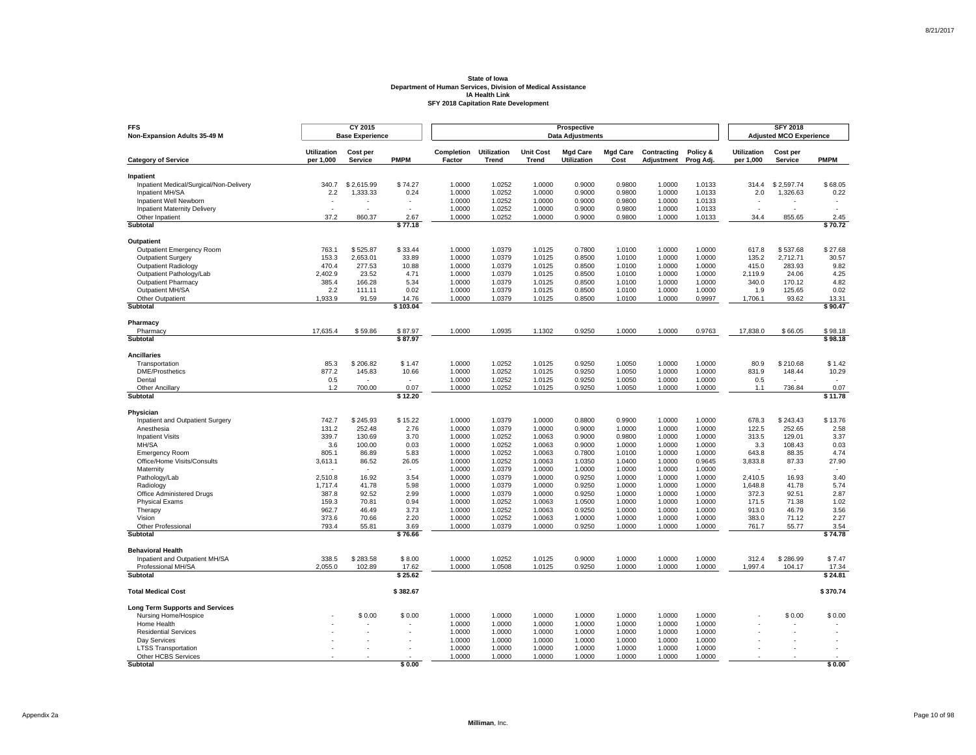| <b>FFS</b><br>Non-Expansion Adults 35-49 M           |                                 | CY 2015<br><b>Base Experience</b> |                  |                      |                             |                                  | <b>SFY 2018</b><br><b>Adjusted MCO Experience</b> |                         |                           |                       |                                 |                     |                          |
|------------------------------------------------------|---------------------------------|-----------------------------------|------------------|----------------------|-----------------------------|----------------------------------|---------------------------------------------------|-------------------------|---------------------------|-----------------------|---------------------------------|---------------------|--------------------------|
| <b>Category of Service</b>                           | <b>Utilization</b><br>per 1,000 | Cost per<br><b>Service</b>        | <b>PMPM</b>      | Completion<br>Factor | <b>Utilization</b><br>Trend | <b>Unit Cost</b><br><b>Trend</b> | <b>Mgd Care</b><br><b>Utilization</b>             | <b>Mgd Care</b><br>Cost | Contracting<br>Adjustment | Policy &<br>Prog Adj. | <b>Utilization</b><br>per 1,000 | Cost per<br>Service | <b>PMPM</b>              |
|                                                      |                                 |                                   |                  |                      |                             |                                  |                                                   |                         |                           |                       |                                 |                     |                          |
| Inpatient<br>Inpatient Medical/Surgical/Non-Delivery | 340.7                           | \$2.615.99                        | \$74.27          | 1.0000               | 1.0252                      | 1.0000                           | 0.9000                                            | 0.9800                  | 1.0000                    | 1.0133                | 314.4                           | \$2.597.74          | \$68.05                  |
| Inpatient MH/SA                                      | 2.2                             | 1,333.33                          | 0.24             | 1.0000               | 1.0252                      | 1.0000                           | 0.9000                                            | 0.9800                  | 1.0000                    | 1.0133                | 2.0                             | 1,326.63            | 0.22                     |
| Inpatient Well Newborn                               |                                 |                                   |                  | 1.0000               | 1.0252                      | 1.0000                           | 0.9000                                            | 0.9800                  | 1.0000                    | 1.0133                |                                 |                     |                          |
| <b>Inpatient Maternity Delivery</b>                  | $\overline{a}$                  | ٠                                 | ÷.               | 1.0000               | 1.0252                      | 1.0000                           | 0.9000                                            | 0.9800                  | 1.0000                    | 1.0133                | $\sim$                          |                     | $\overline{\phantom{a}}$ |
| Other Inpatient                                      | 37.2                            | 860.37                            | 2.67             | 1.0000               | 1.0252                      | 1.0000                           | 0.9000                                            | 0.9800                  | 1.0000                    | 1.0133                | 34.4                            | 855.65              | 2.45                     |
| Subtotal                                             |                                 |                                   | \$77.18          |                      |                             |                                  |                                                   |                         |                           |                       |                                 |                     | \$70.72                  |
| Outpatient                                           |                                 |                                   |                  |                      |                             |                                  |                                                   |                         |                           |                       |                                 |                     |                          |
| Outpatient Emergency Room                            | 763.1                           | \$525.87                          | \$33.44          | 1.0000               | 1.0379                      | 1.0125                           | 0.7800                                            | 1.0100                  | 1.0000                    | 1.0000                | 617.8                           | \$537.68            | \$27.68                  |
| <b>Outpatient Surgery</b>                            | 153.3                           | 2,653.01                          | 33.89            | 1.0000               | 1.0379                      | 1.0125                           | 0.8500                                            | 1.0100                  | 1.0000                    | 1.0000                | 135.2                           | 2.712.71            | 30.57                    |
| <b>Outpatient Radiology</b>                          | 470.4                           | 277.53                            | 10.88            | 1.0000               | 1.0379                      | 1.0125                           | 0.8500                                            | 1.0100                  | 1.0000                    | 1.0000                | 415.0                           | 283.93              | 9.82                     |
| Outpatient Pathology/Lab                             | 2,402.9                         | 23.52                             | 4.71             | 1.0000               | 1.0379                      | 1.0125                           | 0.8500                                            | 1.0100                  | 1.0000                    | 1.0000                | 2,119.9                         | 24.06               | 4.25                     |
| <b>Outpatient Pharmacy</b>                           | 385.4                           | 166.28                            | 5.34             | 1.0000               | 1.0379                      | 1.0125                           | 0.8500                                            | 1.0100                  | 1.0000                    | 1.0000                | 340.0                           | 170.12              | 4.82                     |
| Outpatient MH/SA                                     | 2.2                             | 111.11                            | 0.02             | 1.0000               | 1.0379                      | 1.0125                           | 0.8500                                            | 1.0100                  | 1.0000                    | 1.0000                | 1.9                             | 125.65              | 0.02                     |
| Other Outpatient                                     | 1,933.9                         | 91.59                             | 14.76            | 1.0000               | 1.0379                      | 1.0125                           | 0.8500                                            | 1.0100                  | 1.0000                    | 0.9997                | 1,706.1                         | 93.62               | 13.31                    |
| Subtotal                                             |                                 |                                   | \$103.04         |                      |                             |                                  |                                                   |                         |                           |                       |                                 |                     | \$90.47                  |
| Pharmacy                                             |                                 |                                   |                  |                      |                             |                                  |                                                   |                         |                           |                       |                                 |                     |                          |
| Pharmacy                                             | 17,635.4                        | \$59.86                           | \$87.97          | 1.0000               | 1.0935                      | 1.1302                           | 0.9250                                            | 1.0000                  | 1.0000                    | 0.9763                | 17,838.0                        | \$66.05             | \$98.18                  |
| Subtotal                                             |                                 |                                   | \$87.97          |                      |                             |                                  |                                                   |                         |                           |                       |                                 |                     | \$98.18                  |
| <b>Ancillaries</b>                                   |                                 |                                   |                  |                      |                             |                                  |                                                   |                         |                           |                       |                                 |                     |                          |
| Transportation                                       | 85.3                            | \$206.82                          | \$1.47           | 1.0000               | 1.0252                      | 1.0125                           | 0.9250                                            | 1.0050                  | 1.0000                    | 1.0000                | 80.9                            | \$210.68            | \$1.42                   |
| <b>DME/Prosthetics</b>                               | 877.2                           | 145.83                            | 10.66            | 1.0000               | 1.0252                      | 1.0125                           | 0.9250                                            | 1.0050                  | 1.0000                    | 1.0000                | 831.9                           | 148.44              | 10.29                    |
| Dental                                               | 0.5                             | ٠                                 | $\mathbf{r}$     | 1.0000               | 1.0252                      | 1.0125                           | 0.9250                                            | 1.0050                  | 1.0000                    | 1.0000                | 0.5                             |                     |                          |
| <b>Other Ancillary</b><br>Subtotal                   | 1.2                             | 700.00                            | 0.07<br>\$12.20  | 1.0000               | 1.0252                      | 1.0125                           | 0.9250                                            | 1.0050                  | 1.0000                    | 1.0000                | 1.1                             | 736.84              | 0.07<br>\$11.78          |
|                                                      |                                 |                                   |                  |                      |                             |                                  |                                                   |                         |                           |                       |                                 |                     |                          |
| Physician<br>Inpatient and Outpatient Surgery        | 742.7                           | \$245.93                          | \$15.22          | 1.0000               | 1.0379                      | 1.0000                           | 0.8800                                            | 0.9900                  | 1.0000                    | 1.0000                | 678.3                           | \$243.43            | \$13.76                  |
| Anesthesia                                           | 131.2                           | 252.48                            | 2.76             | 1.0000               | 1.0379                      | 1.0000                           | 0.9000                                            | 1.0000                  | 1.0000                    | 1.0000                | 122.5                           | 252.65              | 2.58                     |
| <b>Inpatient Visits</b>                              | 339.7                           | 130.69                            | 3.70             | 1.0000               | 1.0252                      | 1.0063                           | 0.9000                                            | 0.9800                  | 1.0000                    | 1.0000                | 313.5                           | 129.01              | 3.37                     |
| MH/SA                                                | 3.6                             | 100.00                            | 0.03             | 1.0000               | 1.0252                      | 1.0063                           | 0.9000                                            | 1.0000                  | 1.0000                    | 1.0000                | 3.3                             | 108.43              | 0.03                     |
| <b>Emergency Room</b>                                | 805.1                           | 86.89                             | 5.83             | 1.0000               | 1.0252                      | 1.0063                           | 0.7800                                            | 1.0100                  | 1.0000                    | 1.0000                | 643.8                           | 88.35               | 4.74                     |
| Office/Home Visits/Consults                          | 3,613.1                         | 86.52                             | 26.05            | 1.0000               | 1.0252                      | 1.0063                           | 1.0350                                            | 1.0400                  | 1.0000                    | 0.9645                | 3,833.8                         | 87.33               | 27.90                    |
| Maternity                                            |                                 |                                   |                  | 1.0000               | 1.0379                      | 1.0000                           | 1.0000                                            | 1.0000                  | 1.0000                    | 1.0000                |                                 |                     |                          |
| Pathology/Lab                                        | 2,510.8                         | 16.92                             | 3.54             | 1.0000               | 1.0379                      | 1.0000                           | 0.9250                                            | 1.0000                  | 1.0000                    | 1.0000                | 2.410.5                         | 16.93               | 3.40                     |
| Radiology                                            | 1,717.4                         | 41.78                             | 5.98             | 1.0000               | 1.0379                      | 1.0000                           | 0.9250                                            | 1.0000                  | 1.0000                    | 1.0000                | 1,648.8                         | 41.78               | 5.74                     |
| Office Administered Drugs                            | 387.8                           | 92.52                             | 2.99             | 1.0000               | 1.0379                      | 1.0000                           | 0.9250                                            | 1.0000                  | 1.0000                    | 1.0000                | 372.3                           | 92.51               | 2.87                     |
| <b>Physical Exams</b>                                | 159.3                           | 70.81                             | 0.94             | 1.0000               | 1.0252                      | 1.0063                           | 1.0500                                            | 1.0000                  | 1.0000                    | 1.0000                | 171.5                           | 71.38               | 1.02                     |
| Therapy                                              | 962.7                           | 46.49                             | 3.73             | 1.0000               | 1.0252                      | 1.0063                           | 0.9250                                            | 1.0000                  | 1.0000                    | 1.0000                | 913.0                           | 46.79               | 3.56                     |
| Vision                                               | 373.6                           | 70.66                             | 2.20             | 1.0000               | 1.0252                      | 1.0063                           | 1.0000                                            | 1.0000                  | 1.0000                    | 1.0000                | 383.0                           | 71.12               | 2.27                     |
| Other Professional<br>Subtotal                       | 793.4                           | 55.81                             | 3.69<br>\$76.66  | 1.0000               | 1.0379                      | 1.0000                           | 0.9250                                            | 1.0000                  | 1.0000                    | 1.0000                | 761.7                           | 55.77               | 3.54<br>\$74.78          |
|                                                      |                                 |                                   |                  |                      |                             |                                  |                                                   |                         |                           |                       |                                 |                     |                          |
| <b>Behavioral Health</b>                             |                                 |                                   |                  |                      |                             |                                  |                                                   |                         |                           |                       |                                 |                     |                          |
| Inpatient and Outpatient MH/SA                       | 338.5                           | \$283.58                          | \$8.00           | 1.0000               | 1.0252                      | 1.0125                           | 0.9000                                            | 1.0000                  | 1.0000                    | 1.0000                | 312.4                           | \$286.99            | \$7.47                   |
| Professional MH/SA<br><b>Subtotal</b>                | 2,055.0                         | 102.89                            | 17.62<br>\$25.62 | 1.0000               | 1.0508                      | 1.0125                           | 0.9250                                            | 1.0000                  | 1.0000                    | 1.0000                | 1,997.4                         | 104.17              | 17.34<br>\$24.81         |
|                                                      |                                 |                                   |                  |                      |                             |                                  |                                                   |                         |                           |                       |                                 |                     |                          |
| <b>Total Medical Cost</b>                            |                                 |                                   | \$382.67         |                      |                             |                                  |                                                   |                         |                           |                       |                                 |                     | \$370.74                 |
| <b>Long Term Supports and Services</b>               |                                 |                                   |                  |                      |                             |                                  |                                                   |                         |                           |                       |                                 |                     |                          |
| Nursing Home/Hospice                                 |                                 | \$0.00                            | \$0.00           | 1.0000               | 1.0000                      | 1.0000                           | 1.0000                                            | 1.0000                  | 1.0000                    | 1.0000                |                                 | \$0.00              | \$0.00                   |
| Home Health                                          |                                 |                                   |                  | 1.0000               | 1.0000                      | 1.0000<br>1.0000                 | 1.0000<br>1.0000                                  | 1.0000                  | 1.0000                    | 1.0000<br>1.0000      |                                 |                     |                          |
| <b>Residential Services</b><br>Dav Services          |                                 |                                   |                  | 1.0000<br>1.0000     | 1.0000<br>1.0000            | 1.0000                           | 1.0000                                            | 1.0000<br>1.0000        | 1.0000<br>1.0000          | 1.0000                |                                 |                     |                          |
| <b>LTSS Transportation</b>                           |                                 |                                   |                  | 1.0000               | 1.0000                      | 1.0000                           | 1.0000                                            | 1.0000                  | 1.0000                    | 1.0000                |                                 |                     |                          |
| Other HCBS Services                                  |                                 |                                   |                  | 1.0000               | 1.0000                      | 1.0000                           | 1.0000                                            | 1.0000                  | 1.0000                    | 1.0000                |                                 |                     |                          |
| <b>Subtotal</b>                                      |                                 |                                   | \$0.00           |                      |                             |                                  |                                                   |                         |                           |                       |                                 |                     | \$0.00                   |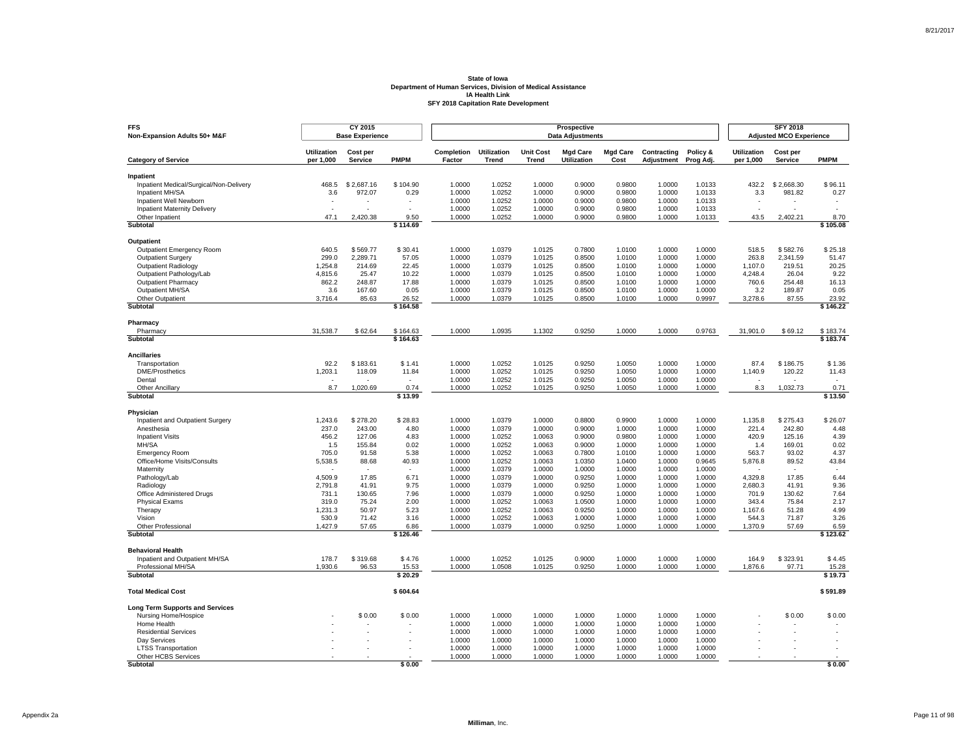| <b>FFS</b><br>Non-Expansion Adults 50+ M&F                 |                                 | CY 2015<br><b>Base Experience</b> |                          |                      |                                    |                                  | <b>SFY 2018</b><br><b>Adjusted MCO Experience</b> |                         |                           |                       |                                 |                            |                   |
|------------------------------------------------------------|---------------------------------|-----------------------------------|--------------------------|----------------------|------------------------------------|----------------------------------|---------------------------------------------------|-------------------------|---------------------------|-----------------------|---------------------------------|----------------------------|-------------------|
| <b>Category of Service</b>                                 | <b>Utilization</b><br>per 1,000 | Cost per<br><b>Service</b>        | <b>PMPM</b>              | Completion<br>Factor | <b>Utilization</b><br><b>Trend</b> | <b>Unit Cost</b><br><b>Trend</b> | <b>Mgd Care</b><br>Utilization                    | <b>Mgd Care</b><br>Cost | Contracting<br>Adjustment | Policy &<br>Prog Adj. | <b>Utilization</b><br>per 1,000 | Cost per<br><b>Service</b> | <b>PMPM</b>       |
|                                                            |                                 |                                   |                          |                      |                                    |                                  |                                                   |                         |                           |                       |                                 |                            |                   |
| Inpatient                                                  |                                 |                                   |                          |                      |                                    |                                  |                                                   |                         |                           |                       |                                 |                            |                   |
| Inpatient Medical/Surgical/Non-Delivery<br>Inpatient MH/SA | 468.5<br>3.6                    | \$2,687.16<br>972.07              | \$104.90<br>0.29         | 1.0000<br>1.0000     | 1.0252<br>1.0252                   | 1.0000<br>1.0000                 | 0.9000<br>0.9000                                  | 0.9800<br>0.9800        | 1.0000<br>1.0000          | 1.0133<br>1.0133      | 432.2<br>3.3                    | \$2,668.30<br>981.82       | \$96.11<br>0.27   |
| Inpatient Well Newborn                                     | $\blacksquare$                  |                                   | $\blacksquare$           | 1.0000               | 1.0252                             | 1.0000                           | 0.9000                                            | 0.9800                  | 1.0000                    | 1.0133                | $\sim$                          |                            |                   |
| <b>Inpatient Maternity Delivery</b>                        |                                 |                                   |                          | 1.0000               | 1.0252                             | 1.0000                           | 0.9000                                            | 0.9800                  | 1.0000                    | 1.0133                |                                 |                            |                   |
| Other Inpatient                                            | 47.1                            | 2,420.38                          | 9.50                     | 1.0000               | 1.0252                             | 1.0000                           | 0.9000                                            | 0.9800                  | 1.0000                    | 1.0133                | 43.5                            | 2,402.21                   | 8.70              |
| Subtotal                                                   |                                 |                                   | \$114.69                 |                      |                                    |                                  |                                                   |                         |                           |                       |                                 |                            | \$105.08          |
| Outpatient                                                 |                                 |                                   |                          |                      |                                    |                                  |                                                   |                         |                           |                       |                                 |                            |                   |
| Outpatient Emergency Room                                  | 640.5                           | \$569.77                          | \$30.41                  | 1.0000               | 1.0379                             | 1.0125                           | 0.7800                                            | 1.0100                  | 1.0000                    | 1.0000                | 518.5                           | \$582.76                   | \$25.18           |
| <b>Outpatient Surgery</b>                                  | 299.0                           | 2,289.71                          | 57.05                    | 1.0000               | 1.0379                             | 1.0125                           | 0.8500                                            | 1.0100                  | 1.0000                    | 1.0000                | 263.8                           | 2,341.59                   | 51.47             |
| <b>Outpatient Radiology</b>                                | 1,254.8                         | 214.69                            | 22.45                    | 1.0000               | 1.0379                             | 1.0125                           | 0.8500                                            | 1.0100                  | 1.0000                    | 1.0000                | 1,107.0                         | 219.51                     | 20.25             |
| Outpatient Pathology/Lab                                   | 4,815.6                         | 25.47                             | 10.22                    | 1.0000               | 1.0379                             | 1.0125                           | 0.8500                                            | 1.0100                  | 1.0000                    | 1.0000                | 4,248.4                         | 26.04                      | 9.22              |
| <b>Outpatient Pharmacy</b>                                 | 862.2                           | 248.87                            | 17.88                    | 1.0000               | 1.0379                             | 1.0125                           | 0.8500                                            | 1.0100                  | 1.0000                    | 1.0000                | 760.6                           | 254.48                     | 16.13             |
| Outpatient MH/SA                                           | 3.6                             | 167.60                            | 0.05                     | 1.0000               | 1.0379                             | 1.0125                           | 0.8500                                            | 1.0100                  | 1.0000                    | 1.0000                | 3.2                             | 189.87                     | 0.05              |
| Other Outpatient<br><b>Subtotal</b>                        | 3,716.4                         | 85.63                             | 26.52<br>\$164.58        | 1.0000               | 1.0379                             | 1.0125                           | 0.8500                                            | 1.0100                  | 1.0000                    | 0.9997                | 3,278.6                         | 87.55                      | 23.92<br>\$146.22 |
|                                                            |                                 |                                   |                          |                      |                                    |                                  |                                                   |                         |                           |                       |                                 |                            |                   |
| Pharmacy<br>Pharmacy                                       | 31.538.7                        | \$62.64                           | \$164.63                 | 1.0000               | 1.0935                             | 1.1302                           | 0.9250                                            | 1.0000                  | 1.0000                    | 0.9763                | 31,901.0                        | \$69.12                    | \$183.74          |
| Subtotal                                                   |                                 |                                   | \$164.63                 |                      |                                    |                                  |                                                   |                         |                           |                       |                                 |                            | \$183.74          |
| <b>Ancillaries</b>                                         |                                 |                                   |                          |                      |                                    |                                  |                                                   |                         |                           |                       |                                 |                            |                   |
| Transportation                                             | 92.2                            | \$183.61                          | \$1.41                   | 1.0000               | 1.0252                             | 1.0125                           | 0.9250                                            | 1.0050                  | 1.0000                    | 1.0000                | 87.4                            | \$186.75                   | \$1.36            |
| DME/Prosthetics                                            | 1,203.1                         | 118.09                            | 11.84                    | 1.0000               | 1.0252                             | 1.0125                           | 0.9250                                            | 1.0050                  | 1.0000                    | 1.0000                | 1,140.9                         | 120.22                     | 11.43             |
| Dental                                                     |                                 |                                   | $\overline{\phantom{a}}$ | 1.0000               | 1.0252                             | 1.0125                           | 0.9250                                            | 1.0050                  | 1.0000                    | 1.0000                |                                 |                            |                   |
| Other Ancillary                                            | 8.7                             | 1,020.69                          | 0.74                     | 1.0000               | 1.0252                             | 1.0125                           | 0.9250                                            | 1.0050                  | 1.0000                    | 1.0000                | 8.3                             | 1,032.73                   | 0.71              |
| Subtotal                                                   |                                 |                                   | \$13.99                  |                      |                                    |                                  |                                                   |                         |                           |                       |                                 |                            | \$13.50           |
| Physician                                                  |                                 |                                   |                          |                      |                                    |                                  |                                                   |                         |                           |                       |                                 |                            |                   |
| Inpatient and Outpatient Surgery                           | 1,243.6                         | \$278.20                          | \$28.83                  | 1.0000               | 1.0379                             | 1.0000                           | 0.8800                                            | 0.9900                  | 1.0000                    | 1.0000                | 1,135.8                         | \$275.43                   | \$26.07           |
| Anesthesia                                                 | 237.0                           | 243.00                            | 4.80                     | 1.0000               | 1.0379                             | 1.0000                           | 0.9000                                            | 1.0000                  | 1.0000                    | 1.0000                | 221.4                           | 242.80                     | 4.48              |
| <b>Inpatient Visits</b>                                    | 456.2                           | 127.06                            | 4.83                     | 1.0000               | 1.0252                             | 1.0063                           | 0.9000                                            | 0.9800                  | 1.0000                    | 1.0000                | 420.9                           | 125.16                     | 4.39              |
| MH/SA                                                      | 1.5                             | 155.84                            | 0.02                     | 1.0000               | 1.0252                             | 1.0063                           | 0.9000                                            | 1.0000                  | 1.0000                    | 1.0000                | 1.4                             | 169.01                     | 0.02              |
| <b>Emergency Room</b>                                      | 705.0                           | 91.58                             | 5.38                     | 1.0000               | 1.0252                             | 1.0063                           | 0.7800                                            | 1.0100                  | 1.0000                    | 1.0000                | 563.7                           | 93.02                      | 4.37              |
| Office/Home Visits/Consults<br>Maternity                   | 5,538.5                         | 88.68                             | 40.93                    | 1.0000<br>1.0000     | 1.0252<br>1.0379                   | 1.0063<br>1.0000                 | 1.0350<br>1.0000                                  | 1.0400<br>1.0000        | 1.0000<br>1.0000          | 0.9645<br>1.0000      | 5,876.8                         | 89.52                      | 43.84             |
| Pathology/Lab                                              | 4,509.9                         | 17.85                             | 6.71                     | 1.0000               | 1.0379                             | 1.0000                           | 0.9250                                            | 1.0000                  | 1.0000                    | 1.0000                | 4,329.8                         | 17.85                      | 6.44              |
| Radiology                                                  | 2,791.8                         | 41.91                             | 9.75                     | 1.0000               | 1.0379                             | 1.0000                           | 0.9250                                            | 1.0000                  | 1.0000                    | 1.0000                | 2,680.3                         | 41.91                      | 9.36              |
| Office Administered Drugs                                  | 731.1                           | 130.65                            | 7.96                     | 1.0000               | 1.0379                             | 1.0000                           | 0.9250                                            | 1.0000                  | 1.0000                    | 1.0000                | 701.9                           | 130.62                     | 7.64              |
| <b>Physical Exams</b>                                      | 319.0                           | 75.24                             | 2.00                     | 1.0000               | 1.0252                             | 1.0063                           | 1.0500                                            | 1.0000                  | 1.0000                    | 1.0000                | 343.4                           | 75.84                      | 2.17              |
| Therapy                                                    | 1,231.3                         | 50.97                             | 5.23                     | 1.0000               | 1.0252                             | 1.0063                           | 0.9250                                            | 1.0000                  | 1.0000                    | 1.0000                | 1,167.6                         | 51.28                      | 4.99              |
| Vision                                                     | 530.9                           | 71.42                             | 3.16                     | 1.0000               | 1.0252                             | 1.0063                           | 1.0000                                            | 1.0000                  | 1.0000                    | 1.0000                | 544.3                           | 71.87                      | 3.26              |
| <b>Other Professional</b><br>Subtotal                      | 1,427.9                         | 57.65                             | 6.86<br>\$126.46         | 1.0000               | 1.0379                             | 1.0000                           | 0.9250                                            | 1.0000                  | 1.0000                    | 1.0000                | 1,370.9                         | 57.69                      | 6.59<br>\$123.62  |
|                                                            |                                 |                                   |                          |                      |                                    |                                  |                                                   |                         |                           |                       |                                 |                            |                   |
| <b>Behavioral Health</b>                                   |                                 |                                   |                          |                      |                                    |                                  |                                                   |                         |                           |                       |                                 |                            |                   |
| Inpatient and Outpatient MH/SA                             | 178.7                           | \$319.68                          | \$4.76                   | 1.0000               | 1.0252                             | 1.0125                           | 0.9000                                            | 1.0000                  | 1.0000                    | 1.0000                | 164.9                           | \$323.91                   | \$4.45            |
| Professional MH/SA<br>Subtotal                             | 1,930.6                         | 96.53                             | 15.53<br>\$20.29         | 1.0000               | 1.0508                             | 1.0125                           | 0.9250                                            | 1.0000                  | 1.0000                    | 1.0000                | 1,876.6                         | 97.71                      | 15.28<br>\$19.73  |
|                                                            |                                 |                                   |                          |                      |                                    |                                  |                                                   |                         |                           |                       |                                 |                            |                   |
| <b>Total Medical Cost</b>                                  |                                 |                                   | \$604.64                 |                      |                                    |                                  |                                                   |                         |                           |                       |                                 |                            | \$591.89          |
| <b>Long Term Supports and Services</b>                     |                                 |                                   |                          |                      |                                    |                                  |                                                   |                         |                           |                       |                                 |                            |                   |
| Nursing Home/Hospice                                       |                                 | \$0.00                            | \$0.00                   | 1.0000               | 1.0000                             | 1.0000                           | 1.0000                                            | 1.0000                  | 1.0000                    | 1.0000                |                                 | \$0.00                     | \$0.00            |
| Home Health                                                |                                 |                                   |                          | 1.0000               | 1.0000                             | 1.0000                           | 1.0000                                            | 1.0000                  | 1.0000                    | 1.0000                |                                 |                            |                   |
| <b>Residential Services</b>                                |                                 |                                   |                          | 1.0000               | 1.0000                             | 1.0000                           | 1.0000                                            | 1.0000                  | 1.0000                    | 1.0000                |                                 |                            |                   |
| Day Services                                               |                                 |                                   |                          | 1.0000<br>1.0000     | 1.0000<br>1.0000                   | 1.0000<br>1.0000                 | 1.0000<br>1.0000                                  | 1.0000<br>1.0000        | 1.0000<br>1.0000          | 1.0000<br>1.0000      |                                 |                            |                   |
| <b>LTSS Transportation</b><br>Other HCBS Services          |                                 |                                   |                          | 1.0000               | 1.0000                             | 1.0000                           | 1.0000                                            | 1.0000                  | 1.0000                    | 1.0000                |                                 |                            |                   |
| <b>Subtotal</b>                                            |                                 |                                   | \$0.00                   |                      |                                    |                                  |                                                   |                         |                           |                       |                                 |                            | \$0.00            |

Page 11 of 98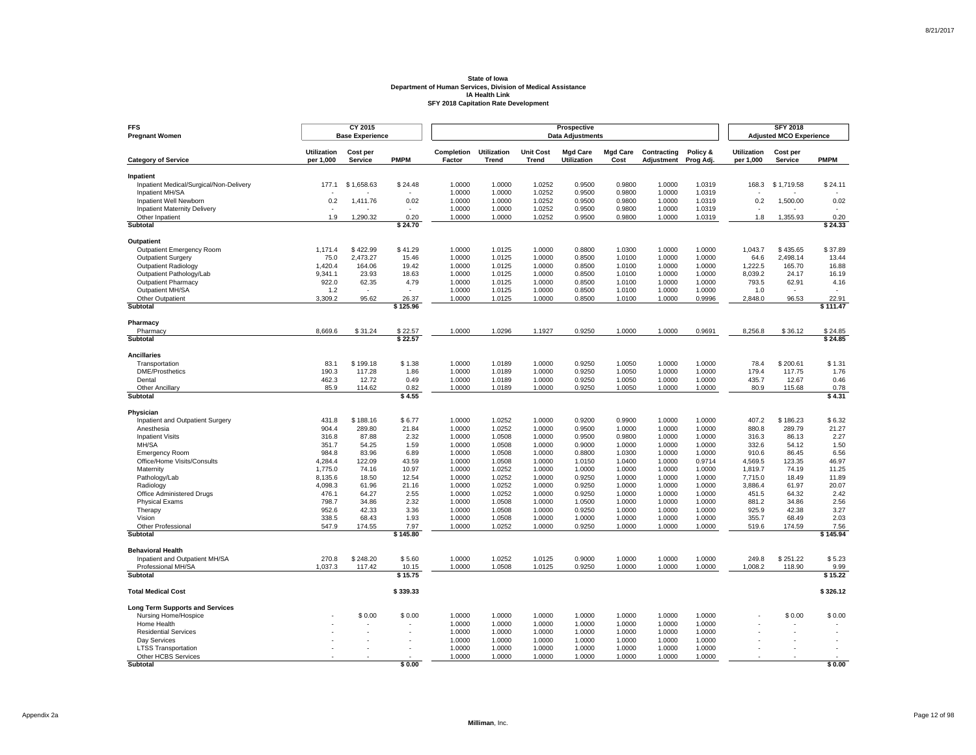| <b>FFS</b><br><b>Pregnant Women</b>                            |                                 | CY 2015<br><b>Base Experience</b> |                          |                      |                                    |                                  | <b>SFY 2018</b><br><b>Adjusted MCO Experience</b> |                         |                           |                       |                                 |                            |                    |
|----------------------------------------------------------------|---------------------------------|-----------------------------------|--------------------------|----------------------|------------------------------------|----------------------------------|---------------------------------------------------|-------------------------|---------------------------|-----------------------|---------------------------------|----------------------------|--------------------|
| <b>Category of Service</b>                                     | <b>Utilization</b><br>per 1,000 | Cost per<br>Service               | <b>PMPM</b>              | Completion<br>Factor | <b>Utilization</b><br><b>Trend</b> | <b>Unit Cost</b><br><b>Trend</b> | <b>Mgd Care</b><br>Utilization                    | <b>Mgd Care</b><br>Cost | Contracting<br>Adjustment | Policy &<br>Prog Adj. | <b>Utilization</b><br>per 1,000 | Cost per<br><b>Service</b> | <b>PMPM</b>        |
|                                                                |                                 |                                   |                          |                      |                                    |                                  |                                                   |                         |                           |                       |                                 |                            |                    |
| Inpatient                                                      | 177.1                           | \$1,658,63                        | \$24.48                  | 1.0000               | 1.0000                             | 1.0252                           | 0.9500                                            | 0.9800                  | 1.0000                    | 1.0319                | 168.3                           | \$1.719.58                 | \$24.11            |
| Inpatient Medical/Surgical/Non-Delivery<br>Inpatient MH/SA     |                                 |                                   |                          | 1.0000               | 1.0000                             | 1.0252                           | 0.9500                                            | 0.9800                  | 1.0000                    | 1.0319                |                                 |                            |                    |
| Inpatient Well Newborn                                         | 0.2                             | 1,411.76                          | 0.02                     | 1.0000               | 1.0000                             | 1.0252                           | 0.9500                                            | 0.9800                  | 1.0000                    | 1.0319                | 0.2                             | 1,500.00                   | 0.02               |
| <b>Inpatient Maternity Delivery</b>                            | $\overline{\phantom{a}}$        |                                   | $\overline{\phantom{a}}$ | 1.0000               | 1.0000                             | 1.0252                           | 0.9500                                            | 0.9800                  | 1.0000                    | 1.0319                |                                 |                            | ٠                  |
| Other Inpatient                                                | 1.9                             | 1.290.32                          | 0.20                     | 1.0000               | 1.0000                             | 1.0252                           | 0.9500                                            | 0.9800                  | 1.0000                    | 1.0319                | 1.8                             | 1.355.93                   | 0.20               |
| Subtotal                                                       |                                 |                                   | \$24.70                  |                      |                                    |                                  |                                                   |                         |                           |                       |                                 |                            | \$24.33            |
| Outpatient                                                     |                                 |                                   |                          |                      |                                    |                                  |                                                   |                         |                           |                       |                                 |                            |                    |
| Outpatient Emergency Room                                      | 1,171.4                         | \$422.99                          | \$41.29                  | 1.0000               | 1.0125                             | 1.0000                           | 0.8800                                            | 1.0300                  | 1.0000                    | 1.0000                | 1,043.7                         | \$435.65                   | \$37.89            |
| <b>Outpatient Surgery</b>                                      | 75.0                            | 2,473.27                          | 15.46                    | 1.0000               | 1.0125                             | 1.0000                           | 0.8500                                            | 1.0100                  | 1.0000                    | 1.0000                | 64.6                            | 2.498.14                   | 13.44              |
| <b>Outpatient Radiology</b>                                    | 1,420.4                         | 164.06                            | 19.42                    | 1.0000               | 1.0125                             | 1.0000                           | 0.8500                                            | 1.0100                  | 1.0000                    | 1.0000                | 1,222.5                         | 165.70                     | 16.88              |
| Outpatient Pathology/Lab                                       | 9,341.1                         | 23.93                             | 18.63                    | 1.0000               | 1.0125                             | 1.0000                           | 0.8500                                            | 1.0100                  | 1.0000                    | 1.0000                | 8,039.2                         | 24.17                      | 16.19              |
| <b>Outpatient Pharmacy</b>                                     | 922.0                           | 62.35                             | 4.79                     | 1.0000               | 1.0125                             | 1.0000                           | 0.8500                                            | 1.0100                  | 1.0000                    | 1.0000                | 793.5                           | 62.91                      | 4.16               |
| Outpatient MH/SA                                               | 1.2                             |                                   |                          | 1.0000               | 1.0125                             | 1.0000                           | 0.8500                                            | 1.0100                  | 1.0000                    | 1.0000                | 1.0                             |                            |                    |
| Other Outpatient                                               | 3,309.2                         | 95.62                             | 26.37                    | 1.0000               | 1.0125                             | 1.0000                           | 0.8500                                            | 1.0100                  | 1.0000                    | 0.9996                | 2,848.0                         | 96.53                      | 22.91              |
| Subtotal                                                       |                                 |                                   | \$125.96                 |                      |                                    |                                  |                                                   |                         |                           |                       |                                 |                            | \$111.47           |
| Pharmacy                                                       |                                 |                                   |                          |                      |                                    |                                  |                                                   |                         |                           |                       |                                 |                            |                    |
| Pharmacy<br>Subtotal                                           | 8,669.6                         | \$31.24                           | \$22.57<br>\$22.57       | 1.0000               | 1.0296                             | 1.1927                           | 0.9250                                            | 1.0000                  | 1.0000                    | 0.9691                | 8,256.8                         | \$36.12                    | \$24.85<br>\$24.85 |
|                                                                |                                 |                                   |                          |                      |                                    |                                  |                                                   |                         |                           |                       |                                 |                            |                    |
| <b>Ancillaries</b>                                             |                                 |                                   |                          |                      |                                    |                                  |                                                   |                         |                           |                       |                                 |                            |                    |
| Transportation                                                 | 83.1                            | \$199.18                          | \$1.38                   | 1.0000               | 1.0189                             | 1.0000                           | 0.9250                                            | 1.0050                  | 1.0000                    | 1.0000                | 78.4                            | \$200.61                   | \$1.31             |
| <b>DME/Prosthetics</b>                                         | 190.3                           | 117.28                            | 1.86                     | 1.0000               | 1.0189                             | 1.0000                           | 0.9250                                            | 1.0050                  | 1.0000                    | 1.0000                | 179.4                           | 117.75                     | 1.76               |
| Dental                                                         | 462.3                           | 12.72                             | 0.49                     | 1.0000               | 1.0189                             | 1.0000                           | 0.9250                                            | 1.0050                  | 1.0000                    | 1.0000                | 435.7                           | 12.67                      | 0.46               |
| <b>Other Ancillary</b><br>Subtotal                             | 85.9                            | 114.62                            | 0.82<br>\$4.55           | 1.0000               | 1.0189                             | 1.0000                           | 0.9250                                            | 1.0050                  | 1.0000                    | 1.0000                | 80.9                            | 115.68                     | 0.78<br>\$4.31     |
|                                                                |                                 |                                   |                          |                      |                                    |                                  |                                                   |                         |                           |                       |                                 |                            |                    |
| Physician                                                      |                                 |                                   |                          |                      |                                    |                                  |                                                   |                         |                           |                       |                                 |                            |                    |
| Inpatient and Outpatient Surgery                               | 431.8                           | \$188.16                          | \$6.77                   | 1.0000               | 1.0252                             | 1.0000                           | 0.9200                                            | 0.9900                  | 1.0000                    | 1.0000                | 407.2                           | \$186.23                   | \$6.32             |
| Anesthesia                                                     | 904.4                           | 289.80<br>87.88                   | 21.84<br>2.32            | 1.0000<br>1.0000     | 1.0252<br>1.0508                   | 1.0000<br>1.0000                 | 0.9500<br>0.9500                                  | 1.0000<br>0.9800        | 1.0000<br>1.0000          | 1.0000<br>1.0000      | 880.8<br>316.3                  | 289.79<br>86.13            | 21.27<br>2.27      |
| <b>Inpatient Visits</b><br>MH/SA                               | 316.8<br>351.7                  | 54.25                             | 1.59                     | 1.0000               | 1.0508                             | 1.0000                           | 0.9000                                            | 1.0000                  | 1.0000                    | 1.0000                | 332.6                           | 54.12                      | 1.50               |
| <b>Emergency Room</b>                                          | 984.8                           | 83.96                             | 6.89                     | 1.0000               | 1.0508                             | 1.0000                           | 0.8800                                            | 1.0300                  | 1.0000                    | 1.0000                | 910.6                           | 86.45                      | 6.56               |
| Office/Home Visits/Consults                                    | 4,284.4                         | 122.09                            | 43.59                    | 1.0000               | 1.0508                             | 1.0000                           | 1.0150                                            | 1.0400                  | 1.0000                    | 0.9714                | 4,569.5                         | 123.35                     | 46.97              |
| Maternity                                                      | 1,775.0                         | 74.16                             | 10.97                    | 1.0000               | 1.0252                             | 1.0000                           | 1.0000                                            | 1.0000                  | 1.0000                    | 1.0000                | 1,819.7                         | 74.19                      | 11.25              |
| Pathology/Lab                                                  | 8,135.6                         | 18.50                             | 12.54                    | 1.0000               | 1.0252                             | 1.0000                           | 0.9250                                            | 1.0000                  | 1.0000                    | 1.0000                | 7,715.0                         | 18.49                      | 11.89              |
| Radiology                                                      | 4,098.3                         | 61.96                             | 21.16                    | 1.0000               | 1.0252                             | 1.0000                           | 0.9250                                            | 1.0000                  | 1.0000                    | 1.0000                | 3,886.4                         | 61.97                      | 20.07              |
| Office Administered Drugs                                      | 476.1                           | 64.27                             | 2.55                     | 1.0000               | 1.0252                             | 1.0000                           | 0.9250                                            | 1.0000                  | 1.0000                    | 1.0000                | 451.5                           | 64.32                      | 2.42               |
| <b>Physical Exams</b>                                          | 798.7                           | 34.86                             | 2.32                     | 1.0000               | 1.0508                             | 1.0000                           | 1.0500                                            | 1.0000                  | 1.0000                    | 1.0000                | 881.2                           | 34.86                      | 2.56               |
| Therapy                                                        | 952.6                           | 42.33                             | 3.36                     | 1.0000               | 1.0508                             | 1.0000                           | 0.9250                                            | 1.0000                  | 1.0000                    | 1.0000                | 925.9                           | 42.38                      | 3.27               |
| Vision                                                         | 338.5                           | 68.43                             | 1.93                     | 1.0000               | 1.0508                             | 1.0000                           | 1.0000                                            | 1.0000                  | 1.0000                    | 1.0000                | 355.7                           | 68.49                      | 2.03               |
| Other Professional<br>Subtotal                                 | 547.9                           | 174.55                            | 7.97<br>\$145.80         | 1.0000               | 1.0252                             | 1.0000                           | 0.9250                                            | 1.0000                  | 1.0000                    | 1.0000                | 519.6                           | 174.59                     | 7.56<br>\$145.94   |
|                                                                |                                 |                                   |                          |                      |                                    |                                  |                                                   |                         |                           |                       |                                 |                            |                    |
| <b>Behavioral Health</b>                                       |                                 |                                   |                          |                      |                                    |                                  |                                                   |                         |                           |                       |                                 |                            |                    |
| Inpatient and Outpatient MH/SA                                 | 270.8                           | \$248.20                          | \$5.60                   | 1.0000               | 1.0252                             | 1.0125                           | 0.9000                                            | 1.0000                  | 1.0000<br>1.0000          | 1.0000                | 249.8                           | \$251.22                   | \$5.23             |
| Professional MH/SA<br><b>Subtotal</b>                          | 1,037.3                         | 117.42                            | 10.15<br>\$15.75         | 1.0000               | 1.0508                             | 1.0125                           | 0.9250                                            | 1.0000                  |                           | 1.0000                | 1,008.2                         | 118.90                     | 9.99<br>\$15.22    |
| <b>Total Medical Cost</b>                                      |                                 |                                   | \$339.33                 |                      |                                    |                                  |                                                   |                         |                           |                       |                                 |                            | \$326.12           |
|                                                                |                                 |                                   |                          |                      |                                    |                                  |                                                   |                         |                           |                       |                                 |                            |                    |
| <b>Long Term Supports and Services</b><br>Nursing Home/Hospice |                                 | \$0.00                            | \$0.00                   | 1.0000               | 1.0000                             | 1.0000                           | 1.0000                                            | 1.0000                  | 1.0000                    | 1.0000                |                                 | \$0.00                     | \$0.00             |
| Home Health                                                    |                                 |                                   |                          | 1.0000               | 1.0000                             | 1.0000                           | 1.0000                                            | 1.0000                  | 1.0000                    | 1.0000                |                                 |                            |                    |
| <b>Residential Services</b>                                    |                                 |                                   |                          | 1.0000               | 1.0000                             | 1.0000                           | 1.0000                                            | 1.0000                  | 1.0000                    | 1.0000                |                                 |                            |                    |
| Dav Services                                                   |                                 |                                   |                          | 1.0000               | 1.0000                             | 1.0000                           | 1.0000                                            | 1.0000                  | 1.0000                    | 1.0000                |                                 |                            |                    |
| <b>LTSS Transportation</b>                                     |                                 |                                   |                          | 1.0000               | 1.0000                             | 1.0000                           | 1.0000                                            | 1.0000                  | 1.0000                    | 1.0000                |                                 |                            |                    |
| Other HCBS Services                                            |                                 |                                   |                          | 1.0000               | 1.0000                             | 1.0000                           | 1.0000                                            | 1.0000                  | 1.0000                    | 1.0000                |                                 |                            |                    |
| <b>Subtotal</b>                                                |                                 |                                   | \$0.00                   |                      |                                    |                                  |                                                   |                         |                           |                       |                                 |                            | \$0.00             |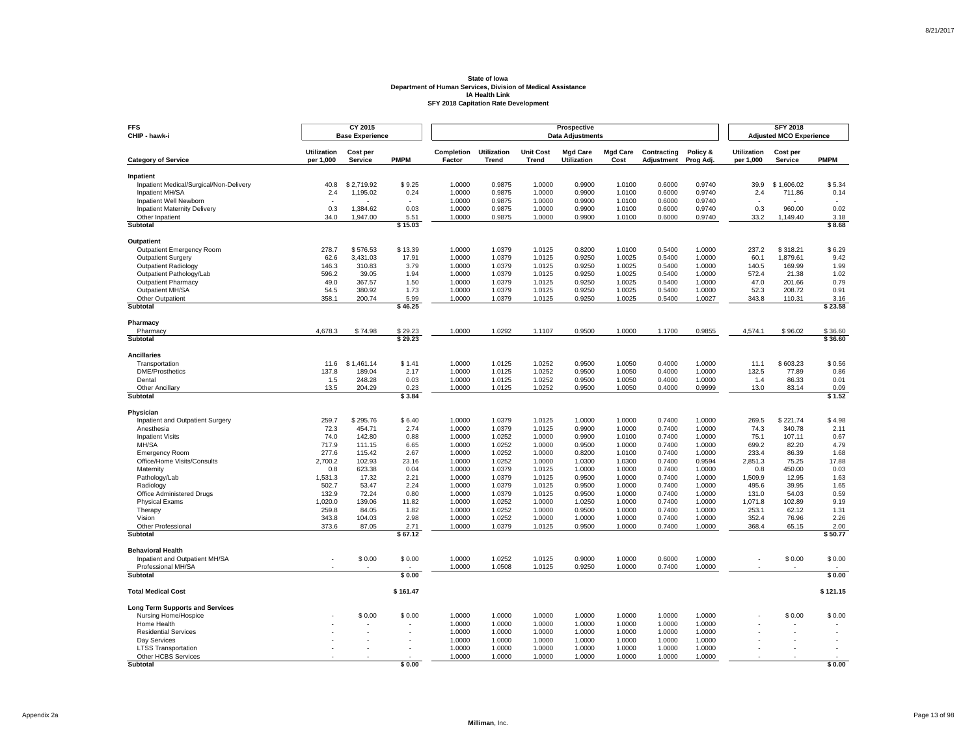| <b>FFS</b><br>CHIP - hawk-i                          |                                 | CY 2015<br><b>Base Experience</b> |                |                      |                             |                                  | Prospective<br><b>Data Adjustments</b> |                         |                           |                       |                                 | <b>SFY 2018</b><br><b>Adjusted MCO Experience</b> |                |
|------------------------------------------------------|---------------------------------|-----------------------------------|----------------|----------------------|-----------------------------|----------------------------------|----------------------------------------|-------------------------|---------------------------|-----------------------|---------------------------------|---------------------------------------------------|----------------|
| <b>Category of Service</b>                           | <b>Utilization</b><br>per 1,000 | Cost per<br>Service               | <b>PMPM</b>    | Completion<br>Factor | <b>Utilization</b><br>Trend | <b>Unit Cost</b><br><b>Trend</b> | <b>Mgd Care</b><br>Utilization         | <b>Mgd Care</b><br>Cost | Contracting<br>Adjustment | Policy &<br>Prog Adj. | <b>Utilization</b><br>per 1,000 | Cost per<br><b>Service</b>                        | <b>PMPM</b>    |
|                                                      |                                 |                                   |                |                      |                             |                                  |                                        |                         |                           |                       |                                 |                                                   |                |
| Inpatient<br>Inpatient Medical/Surgical/Non-Delivery | 40.8                            | \$2.719.92                        | \$9.25         | 1.0000               | 0.9875                      | 1.0000                           | 0.9900                                 | 1.0100                  | 0.6000                    | 0.9740                | 39.9                            | \$1,606.02                                        | \$5.34         |
| Inpatient MH/SA                                      | 2.4                             | 1,195.02                          | 0.24           | 1.0000               | 0.9875                      | 1.0000                           | 0.9900                                 | 1.0100                  | 0.6000                    | 0.9740                | 2.4                             | 711.86                                            | 0.14           |
| Inpatient Well Newborn                               |                                 |                                   |                | 1.0000               | 0.9875                      | 1.0000                           | 0.9900                                 | 1.0100                  | 0.6000                    | 0.9740                |                                 |                                                   |                |
| <b>Inpatient Maternity Delivery</b>                  | 0.3                             | 1,384.62                          | 0.03           | 1.0000               | 0.9875                      | 1.0000                           | 0.9900                                 | 1.0100                  | 0.6000                    | 0.9740                | 0.3                             | 960.00                                            | 0.02           |
| Other Inpatient                                      | 34.0                            | 1.947.00                          | 5.51           | 1.0000               | 0.9875                      | 1.0000                           | 0.9900                                 | 1.0100                  | 0.6000                    | 0.9740                | 33.2                            | 1,149.40                                          | 3.18           |
| Subtotal                                             |                                 |                                   | \$15.03        |                      |                             |                                  |                                        |                         |                           |                       |                                 |                                                   | \$8.68         |
| Outpatient                                           |                                 |                                   |                |                      |                             |                                  |                                        |                         |                           |                       |                                 |                                                   |                |
| <b>Outpatient Emergency Room</b>                     | 278.7                           | \$576.53                          | \$13.39        | 1.0000               | 1.0379                      | 1.0125                           | 0.8200                                 | 1.0100                  | 0.5400                    | 1.0000                | 237.2                           | \$318.21                                          | \$6.29         |
| Outpatient Surgery                                   | 62.6                            | 3,431.03                          | 17.91          | 1.0000               | 1.0379                      | 1.0125                           | 0.9250                                 | 1.0025                  | 0.5400                    | 1.0000                | 60.1                            | 1.879.61                                          | 9.42           |
| <b>Outpatient Radiology</b>                          | 146.3                           | 310.83                            | 3.79           | 1.0000               | 1.0379                      | 1.0125                           | 0.9250                                 | 1.0025                  | 0.5400                    | 1.0000                | 140.5                           | 169.99                                            | 1.99           |
| Outpatient Pathology/Lab                             | 596.2                           | 39.05                             | 1.94           | 1.0000               | 1.0379                      | 1.0125                           | 0.9250                                 | 1.0025                  | 0.5400                    | 1.0000                | 572.4                           | 21.38                                             | 1.02           |
| <b>Outpatient Pharmacy</b>                           | 49.0                            | 367.57                            | 1.50           | 1.0000               | 1.0379                      | 1.0125                           | 0.9250                                 | 1.0025                  | 0.5400                    | 1.0000                | 47.0                            | 201.66                                            | 0.79           |
| Outpatient MH/SA                                     | 54.5                            | 380.92                            | 1.73           | 1.0000               | 1.0379                      | 1.0125                           | 0.9250                                 | 1.0025                  | 0.5400                    | 1.0000                | 52.3                            | 208.72                                            | 0.91           |
| Other Outpatient                                     | 358.1                           | 200.74                            | 5.99           | 1.0000               | 1.0379                      | 1.0125                           | 0.9250                                 | 1.0025                  | 0.5400                    | 1.0027                | 343.8                           | 110.31                                            | 3.16           |
| Subtotal                                             |                                 |                                   | \$46.25        |                      |                             |                                  |                                        |                         |                           |                       |                                 |                                                   | \$23.58        |
| Pharmacy                                             |                                 |                                   |                |                      |                             |                                  |                                        |                         |                           |                       |                                 |                                                   |                |
| Pharmacy                                             | 4,678.3                         | \$74.98                           | \$29.23        | 1.0000               | 1.0292                      | 1.1107                           | 0.9500                                 | 1.0000                  | 1.1700                    | 0.9855                | 4,574.1                         | \$96.02                                           | \$36.60        |
| Subtotal                                             |                                 |                                   | \$29.23        |                      |                             |                                  |                                        |                         |                           |                       |                                 |                                                   | \$36.60        |
| <b>Ancillaries</b>                                   |                                 |                                   |                |                      |                             |                                  |                                        |                         |                           |                       |                                 |                                                   |                |
| Transportation                                       | 11.6                            | \$1,461.14                        | \$1.41         | 1.0000               | 1.0125                      | 1.0252                           | 0.9500                                 | 1.0050                  | 0.4000                    | 1.0000                | 11.1                            | \$603.23                                          | \$0.56         |
| <b>DME/Prosthetics</b>                               | 137.8                           | 189.04                            | 2.17           | 1.0000               | 1.0125                      | 1.0252                           | 0.9500                                 | 1.0050                  | 0.4000                    | 1.0000                | 132.5                           | 77.89                                             | 0.86           |
| Dental                                               | 1.5                             | 248.28                            | 0.03           | 1.0000               | 1.0125                      | 1.0252                           | 0.9500                                 | 1.0050                  | 0.4000                    | 1.0000                | 1.4                             | 86.33                                             | 0.01           |
| <b>Other Ancillary</b><br>Subtotal                   | 13.5                            | 204.29                            | 0.23<br>\$3.84 | 1.0000               | 1.0125                      | 1.0252                           | 0.9500                                 | 1.0050                  | 0.4000                    | 0.9999                | 13.0                            | 83.14                                             | 0.09<br>\$1.52 |
|                                                      |                                 |                                   |                |                      |                             |                                  |                                        |                         |                           |                       |                                 |                                                   |                |
| Physician                                            |                                 |                                   |                |                      |                             |                                  |                                        |                         |                           |                       |                                 |                                                   |                |
| Inpatient and Outpatient Surgery                     | 259.7                           | \$295.76                          | \$6.40         | 1.0000               | 1.0379                      | 1.0125                           | 1.0000                                 | 1.0000                  | 0.7400                    | 1.0000                | 269.5                           | \$221.74                                          | \$4.98         |
| Anesthesia                                           | 72.3                            | 454.71                            | 2.74           | 1.0000               | 1.0379                      | 1.0125                           | 0.9900                                 | 1.0000                  | 0.7400                    | 1.0000                | 74.3                            | 340.78                                            | 2.11           |
| <b>Inpatient Visits</b>                              | 74.0                            | 142.80                            | 0.88           | 1.0000               | 1.0252                      | 1.0000                           | 0.9900                                 | 1.0100                  | 0.7400                    | 1.0000                | 75.1                            | 107.11                                            | 0.67           |
| MH/SA                                                | 717.9                           | 111.15                            | 6.65           | 1.0000               | 1.0252                      | 1.0000                           | 0.9500                                 | 1.0000                  | 0.7400                    | 1.0000                | 699.2                           | 82.20                                             | 4.79           |
| <b>Emergency Room</b>                                | 277.6                           | 115.42                            | 2.67           | 1.0000               | 1.0252                      | 1.0000                           | 0.8200                                 | 1.0100                  | 0.7400                    | 1.0000                | 233.4                           | 86.39                                             | 1.68           |
| Office/Home Visits/Consults                          | 2,700.2                         | 102.93                            | 23.16          | 1.0000               | 1.0252                      | 1.0000                           | 1.0300                                 | 1.0300                  | 0.7400                    | 0.9594                | 2,851.3                         | 75.25                                             | 17.88          |
| Maternity<br>Pathology/Lab                           | 0.8<br>1,531.3                  | 623.38<br>17.32                   | 0.04<br>2.21   | 1.0000<br>1.0000     | 1.0379<br>1.0379            | 1.0125<br>1.0125                 | 1.0000<br>0.9500                       | 1.0000<br>1.0000        | 0.7400<br>0.7400          | 1.0000<br>1.0000      | 0.8<br>1,509.9                  | 450.00<br>12.95                                   | 0.03<br>1.63   |
| Radiology                                            | 502.7                           | 53.47                             | 2.24           | 1.0000               | 1.0379                      | 1.0125                           | 0.9500                                 | 1.0000                  | 0.7400                    | 1.0000                | 495.6                           | 39.95                                             | 1.65           |
| Office Administered Drugs                            | 132.9                           | 72.24                             | 0.80           | 1.0000               | 1.0379                      | 1.0125                           | 0.9500                                 | 1.0000                  | 0.7400                    | 1.0000                | 131.0                           | 54.03                                             | 0.59           |
| <b>Physical Exams</b>                                | 1,020.0                         | 139.06                            | 11.82          | 1.0000               | 1.0252                      | 1.0000                           | 1.0250                                 | 1.0000                  | 0.7400                    | 1.0000                | 1,071.8                         | 102.89                                            | 9.19           |
| Therapy                                              | 259.8                           | 84.05                             | 1.82           | 1.0000               | 1.0252                      | 1.0000                           | 0.9500                                 | 1.0000                  | 0.7400                    | 1.0000                | 253.1                           | 62.12                                             | 1.31           |
| Vision                                               | 343.8                           | 104.03                            | 2.98           | 1.0000               | 1.0252                      | 1.0000                           | 1.0000                                 | 1.0000                  | 0.7400                    | 1.0000                | 352.4                           | 76.96                                             | 2.26           |
| Other Professional                                   | 373.6                           | 87.05                             | 2.71           | 1.0000               | 1.0379                      | 1.0125                           | 0.9500                                 | 1.0000                  | 0.7400                    | 1.0000                | 368.4                           | 65.15                                             | 2.00           |
| Subtotal                                             |                                 |                                   | \$67.12        |                      |                             |                                  |                                        |                         |                           |                       |                                 |                                                   | \$50.77        |
| <b>Behavioral Health</b>                             |                                 |                                   |                |                      |                             |                                  |                                        |                         |                           |                       |                                 |                                                   |                |
| Inpatient and Outpatient MH/SA                       |                                 | \$0.00                            | \$0.00         | 1.0000               | 1.0252                      | 1.0125                           | 0.9000                                 | 1.0000                  | 0.6000                    | 1.0000                |                                 | \$0.00                                            | \$0.00         |
| Professional MH/SA                                   |                                 |                                   |                | 1.0000               | 1.0508                      | 1.0125                           | 0.9250                                 | 1.0000                  | 0.7400                    | 1.0000                |                                 |                                                   |                |
| Subtotal                                             |                                 |                                   | \$0.00         |                      |                             |                                  |                                        |                         |                           |                       |                                 |                                                   | \$0.00         |
| <b>Total Medical Cost</b>                            |                                 |                                   | \$161.47       |                      |                             |                                  |                                        |                         |                           |                       |                                 |                                                   | \$121.15       |
| <b>Long Term Supports and Services</b>               |                                 |                                   |                |                      |                             |                                  |                                        |                         |                           |                       |                                 |                                                   |                |
| Nursing Home/Hospice                                 |                                 | \$0.00                            | \$0.00         | 1.0000               | 1.0000                      | 1.0000                           | 1.0000                                 | 1.0000                  | 1.0000                    | 1.0000                |                                 | \$0.00                                            | \$0.00         |
| Home Health                                          |                                 |                                   |                | 1.0000               | 1.0000                      | 1.0000                           | 1.0000                                 | 1.0000                  | 1.0000                    | 1.0000                |                                 |                                                   |                |
| <b>Residential Services</b>                          |                                 |                                   |                | 1.0000               | 1.0000                      | 1.0000                           | 1.0000                                 | 1.0000                  | 1.0000                    | 1.0000                |                                 |                                                   |                |
| Dav Services                                         |                                 |                                   |                | 1.0000               | 1.0000                      | 1.0000                           | 1.0000                                 | 1.0000                  | 1.0000                    | 1.0000                |                                 |                                                   |                |
| <b>LTSS Transportation</b>                           |                                 |                                   |                | 1.0000               | 1.0000                      | 1.0000                           | 1.0000                                 | 1.0000                  | 1.0000                    | 1.0000                |                                 |                                                   |                |
| Other HCBS Services<br>Subtotal                      |                                 |                                   | \$0.00         | 1.0000               | 1.0000                      | 1.0000                           | 1.0000                                 | 1.0000                  | 1.0000                    | 1.0000                |                                 |                                                   | \$0.00         |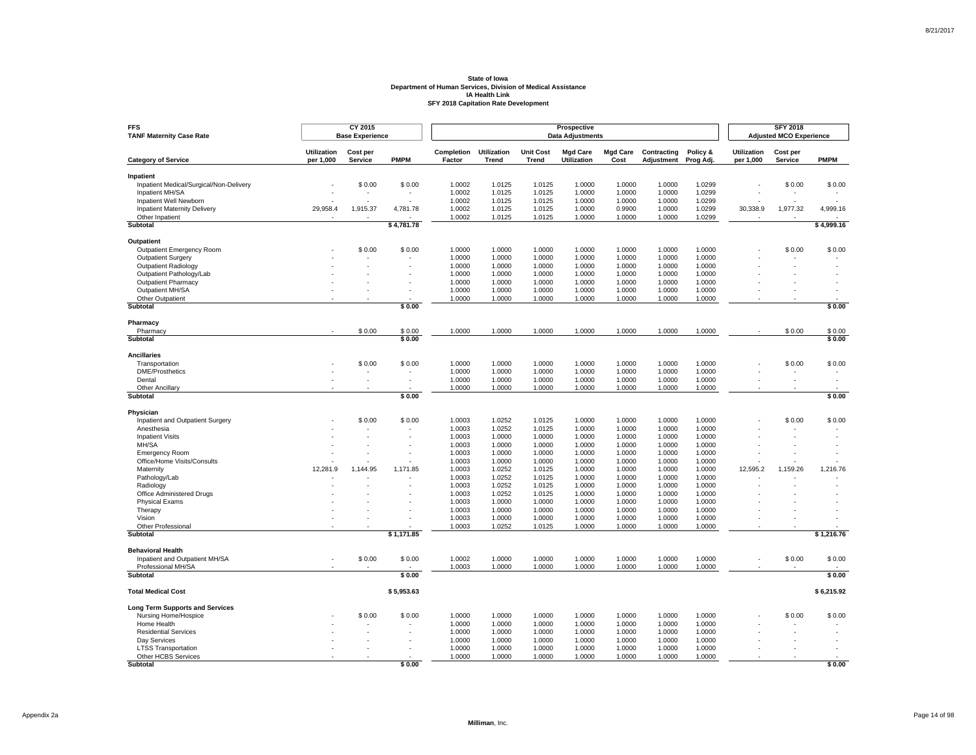| <b>Utilization</b><br>Completion<br><b>Utilization</b><br><b>Unit Cost</b><br><b>Mgd Care</b><br><b>Mgd Care</b><br>Contracting<br>Policy &<br><b>Utilization</b><br>Cost per<br>Cost per<br><b>PMPM</b><br>per 1,000<br>Factor<br><b>Trend</b><br>Utilization<br>Cost<br>per 1,000<br><b>Category of Service</b><br><b>Service</b><br><b>Trend</b><br><b>Adjustment</b><br>Prog Adj.<br>Service<br>Inpatient<br>Inpatient Medical/Surgical/Non-Delivery<br>\$0.00<br>\$0.00<br>1.0002<br>1.0125<br>1.0125<br>1.0000<br>1.0000<br>1.0000<br>1.0299<br>\$0.00<br>1.0002<br>1.0125<br>1.0000<br>1.0000<br>1.0000<br>1.0299<br>Inpatient MH/SA<br>1.0125<br>Inpatient Well Newborn<br>1.0002<br>1.0125<br>1.0125<br>1.0000<br>1.0000<br>1.0000<br>1.0299<br><b>Inpatient Maternity Delivery</b><br>29,958.4<br>1,915.37<br>4,781.78<br>1.0002<br>1.0125<br>1.0125<br>1.0000<br>0.9900<br>1.0000<br>1.0299<br>30,338.9<br>1,977.32<br>Other Inpatient<br>1.0002<br>1.0125<br>1.0125<br>1.0000<br>1.0000<br>1.0000<br>1.0299<br>Subtotal<br>\$4,781.78<br>Outpatient<br>\$0.00<br>\$0.00<br>1.0000<br>1.0000<br>1.0000<br>1.0000<br>1.0000<br>1.0000<br>1.0000<br>\$0.00<br><b>Outpatient Emergency Room</b><br>Outpatient Surgery<br>1.0000<br>1.0000<br>1.0000<br>1.0000<br>1.0000<br>1.0000<br>1.0000<br>1.0000<br>1.0000<br>1.0000<br>1.0000<br>1.0000<br>1.0000<br>1.0000<br><b>Outpatient Radiology</b><br>Outpatient Pathology/Lab<br>1.0000<br>1.0000<br>1.0000<br>1.0000<br>1.0000<br>1.0000<br>1.0000<br>1.0000<br>1.0000<br><b>Outpatient Pharmacy</b><br>1.0000<br>1.0000<br>1.0000<br>1.0000<br>1.0000<br>Outpatient MH/SA<br>1.0000<br>1.0000<br>1.0000<br>1.0000<br>1.0000<br>1.0000<br>1.0000<br>1.0000<br>1.0000<br>1.0000<br>Other Outpatient<br>1.0000<br>1.0000<br>1.0000<br>1.0000<br>Subtotal<br>\$0.00<br>Pharmacy<br>Pharmacy<br>\$0.00<br>\$0.00<br>1.0000<br>1.0000<br>1.0000<br>1.0000<br>1.0000<br>1.0000<br>1.0000<br>\$0.00<br>Subtotal<br>\$0.00<br><b>Ancillaries</b><br>\$0.00<br>\$0.00<br>1.0000<br>1.0000<br>1.0000<br>1.0000<br>1.0000<br>1.0000<br>\$0.00<br>Transportation<br>1.0000<br>DME/Prosthetics<br>1.0000<br>1.0000<br>1.0000<br>1.0000<br>1.0000<br>1.0000<br>1.0000<br>1.0000<br>1.0000<br>Dental<br>1.0000<br>1.0000<br>1.0000<br>1.0000<br>1.0000<br>ä,<br>1.0000<br>1.0000<br>1.0000<br>1.0000<br>1.0000<br><b>Other Ancillary</b><br>1.0000<br>1.0000 | <b>PMPM</b><br>\$0.00<br>4,999.16 |
|-------------------------------------------------------------------------------------------------------------------------------------------------------------------------------------------------------------------------------------------------------------------------------------------------------------------------------------------------------------------------------------------------------------------------------------------------------------------------------------------------------------------------------------------------------------------------------------------------------------------------------------------------------------------------------------------------------------------------------------------------------------------------------------------------------------------------------------------------------------------------------------------------------------------------------------------------------------------------------------------------------------------------------------------------------------------------------------------------------------------------------------------------------------------------------------------------------------------------------------------------------------------------------------------------------------------------------------------------------------------------------------------------------------------------------------------------------------------------------------------------------------------------------------------------------------------------------------------------------------------------------------------------------------------------------------------------------------------------------------------------------------------------------------------------------------------------------------------------------------------------------------------------------------------------------------------------------------------------------------------------------------------------------------------------------------------------------------------------------------------------------------------------------------------------------------------------------------------------------------------------------------------------------------------------------------------------------------------------------------------------------------------------------|-----------------------------------|
|                                                                                                                                                                                                                                                                                                                                                                                                                                                                                                                                                                                                                                                                                                                                                                                                                                                                                                                                                                                                                                                                                                                                                                                                                                                                                                                                                                                                                                                                                                                                                                                                                                                                                                                                                                                                                                                                                                                                                                                                                                                                                                                                                                                                                                                                                                                                                                                                       |                                   |
|                                                                                                                                                                                                                                                                                                                                                                                                                                                                                                                                                                                                                                                                                                                                                                                                                                                                                                                                                                                                                                                                                                                                                                                                                                                                                                                                                                                                                                                                                                                                                                                                                                                                                                                                                                                                                                                                                                                                                                                                                                                                                                                                                                                                                                                                                                                                                                                                       |                                   |
|                                                                                                                                                                                                                                                                                                                                                                                                                                                                                                                                                                                                                                                                                                                                                                                                                                                                                                                                                                                                                                                                                                                                                                                                                                                                                                                                                                                                                                                                                                                                                                                                                                                                                                                                                                                                                                                                                                                                                                                                                                                                                                                                                                                                                                                                                                                                                                                                       |                                   |
|                                                                                                                                                                                                                                                                                                                                                                                                                                                                                                                                                                                                                                                                                                                                                                                                                                                                                                                                                                                                                                                                                                                                                                                                                                                                                                                                                                                                                                                                                                                                                                                                                                                                                                                                                                                                                                                                                                                                                                                                                                                                                                                                                                                                                                                                                                                                                                                                       |                                   |
|                                                                                                                                                                                                                                                                                                                                                                                                                                                                                                                                                                                                                                                                                                                                                                                                                                                                                                                                                                                                                                                                                                                                                                                                                                                                                                                                                                                                                                                                                                                                                                                                                                                                                                                                                                                                                                                                                                                                                                                                                                                                                                                                                                                                                                                                                                                                                                                                       |                                   |
|                                                                                                                                                                                                                                                                                                                                                                                                                                                                                                                                                                                                                                                                                                                                                                                                                                                                                                                                                                                                                                                                                                                                                                                                                                                                                                                                                                                                                                                                                                                                                                                                                                                                                                                                                                                                                                                                                                                                                                                                                                                                                                                                                                                                                                                                                                                                                                                                       |                                   |
|                                                                                                                                                                                                                                                                                                                                                                                                                                                                                                                                                                                                                                                                                                                                                                                                                                                                                                                                                                                                                                                                                                                                                                                                                                                                                                                                                                                                                                                                                                                                                                                                                                                                                                                                                                                                                                                                                                                                                                                                                                                                                                                                                                                                                                                                                                                                                                                                       |                                   |
|                                                                                                                                                                                                                                                                                                                                                                                                                                                                                                                                                                                                                                                                                                                                                                                                                                                                                                                                                                                                                                                                                                                                                                                                                                                                                                                                                                                                                                                                                                                                                                                                                                                                                                                                                                                                                                                                                                                                                                                                                                                                                                                                                                                                                                                                                                                                                                                                       | \$4,999.16                        |
|                                                                                                                                                                                                                                                                                                                                                                                                                                                                                                                                                                                                                                                                                                                                                                                                                                                                                                                                                                                                                                                                                                                                                                                                                                                                                                                                                                                                                                                                                                                                                                                                                                                                                                                                                                                                                                                                                                                                                                                                                                                                                                                                                                                                                                                                                                                                                                                                       |                                   |
|                                                                                                                                                                                                                                                                                                                                                                                                                                                                                                                                                                                                                                                                                                                                                                                                                                                                                                                                                                                                                                                                                                                                                                                                                                                                                                                                                                                                                                                                                                                                                                                                                                                                                                                                                                                                                                                                                                                                                                                                                                                                                                                                                                                                                                                                                                                                                                                                       | \$0.00                            |
|                                                                                                                                                                                                                                                                                                                                                                                                                                                                                                                                                                                                                                                                                                                                                                                                                                                                                                                                                                                                                                                                                                                                                                                                                                                                                                                                                                                                                                                                                                                                                                                                                                                                                                                                                                                                                                                                                                                                                                                                                                                                                                                                                                                                                                                                                                                                                                                                       |                                   |
|                                                                                                                                                                                                                                                                                                                                                                                                                                                                                                                                                                                                                                                                                                                                                                                                                                                                                                                                                                                                                                                                                                                                                                                                                                                                                                                                                                                                                                                                                                                                                                                                                                                                                                                                                                                                                                                                                                                                                                                                                                                                                                                                                                                                                                                                                                                                                                                                       |                                   |
|                                                                                                                                                                                                                                                                                                                                                                                                                                                                                                                                                                                                                                                                                                                                                                                                                                                                                                                                                                                                                                                                                                                                                                                                                                                                                                                                                                                                                                                                                                                                                                                                                                                                                                                                                                                                                                                                                                                                                                                                                                                                                                                                                                                                                                                                                                                                                                                                       |                                   |
|                                                                                                                                                                                                                                                                                                                                                                                                                                                                                                                                                                                                                                                                                                                                                                                                                                                                                                                                                                                                                                                                                                                                                                                                                                                                                                                                                                                                                                                                                                                                                                                                                                                                                                                                                                                                                                                                                                                                                                                                                                                                                                                                                                                                                                                                                                                                                                                                       |                                   |
|                                                                                                                                                                                                                                                                                                                                                                                                                                                                                                                                                                                                                                                                                                                                                                                                                                                                                                                                                                                                                                                                                                                                                                                                                                                                                                                                                                                                                                                                                                                                                                                                                                                                                                                                                                                                                                                                                                                                                                                                                                                                                                                                                                                                                                                                                                                                                                                                       |                                   |
|                                                                                                                                                                                                                                                                                                                                                                                                                                                                                                                                                                                                                                                                                                                                                                                                                                                                                                                                                                                                                                                                                                                                                                                                                                                                                                                                                                                                                                                                                                                                                                                                                                                                                                                                                                                                                                                                                                                                                                                                                                                                                                                                                                                                                                                                                                                                                                                                       | \$0.00                            |
|                                                                                                                                                                                                                                                                                                                                                                                                                                                                                                                                                                                                                                                                                                                                                                                                                                                                                                                                                                                                                                                                                                                                                                                                                                                                                                                                                                                                                                                                                                                                                                                                                                                                                                                                                                                                                                                                                                                                                                                                                                                                                                                                                                                                                                                                                                                                                                                                       |                                   |
|                                                                                                                                                                                                                                                                                                                                                                                                                                                                                                                                                                                                                                                                                                                                                                                                                                                                                                                                                                                                                                                                                                                                                                                                                                                                                                                                                                                                                                                                                                                                                                                                                                                                                                                                                                                                                                                                                                                                                                                                                                                                                                                                                                                                                                                                                                                                                                                                       | \$0.00                            |
|                                                                                                                                                                                                                                                                                                                                                                                                                                                                                                                                                                                                                                                                                                                                                                                                                                                                                                                                                                                                                                                                                                                                                                                                                                                                                                                                                                                                                                                                                                                                                                                                                                                                                                                                                                                                                                                                                                                                                                                                                                                                                                                                                                                                                                                                                                                                                                                                       | \$0.00                            |
|                                                                                                                                                                                                                                                                                                                                                                                                                                                                                                                                                                                                                                                                                                                                                                                                                                                                                                                                                                                                                                                                                                                                                                                                                                                                                                                                                                                                                                                                                                                                                                                                                                                                                                                                                                                                                                                                                                                                                                                                                                                                                                                                                                                                                                                                                                                                                                                                       |                                   |
|                                                                                                                                                                                                                                                                                                                                                                                                                                                                                                                                                                                                                                                                                                                                                                                                                                                                                                                                                                                                                                                                                                                                                                                                                                                                                                                                                                                                                                                                                                                                                                                                                                                                                                                                                                                                                                                                                                                                                                                                                                                                                                                                                                                                                                                                                                                                                                                                       |                                   |
|                                                                                                                                                                                                                                                                                                                                                                                                                                                                                                                                                                                                                                                                                                                                                                                                                                                                                                                                                                                                                                                                                                                                                                                                                                                                                                                                                                                                                                                                                                                                                                                                                                                                                                                                                                                                                                                                                                                                                                                                                                                                                                                                                                                                                                                                                                                                                                                                       | \$0.00                            |
|                                                                                                                                                                                                                                                                                                                                                                                                                                                                                                                                                                                                                                                                                                                                                                                                                                                                                                                                                                                                                                                                                                                                                                                                                                                                                                                                                                                                                                                                                                                                                                                                                                                                                                                                                                                                                                                                                                                                                                                                                                                                                                                                                                                                                                                                                                                                                                                                       |                                   |
|                                                                                                                                                                                                                                                                                                                                                                                                                                                                                                                                                                                                                                                                                                                                                                                                                                                                                                                                                                                                                                                                                                                                                                                                                                                                                                                                                                                                                                                                                                                                                                                                                                                                                                                                                                                                                                                                                                                                                                                                                                                                                                                                                                                                                                                                                                                                                                                                       |                                   |
| Subtotal<br>\$0.00                                                                                                                                                                                                                                                                                                                                                                                                                                                                                                                                                                                                                                                                                                                                                                                                                                                                                                                                                                                                                                                                                                                                                                                                                                                                                                                                                                                                                                                                                                                                                                                                                                                                                                                                                                                                                                                                                                                                                                                                                                                                                                                                                                                                                                                                                                                                                                                    | \$0.00                            |
|                                                                                                                                                                                                                                                                                                                                                                                                                                                                                                                                                                                                                                                                                                                                                                                                                                                                                                                                                                                                                                                                                                                                                                                                                                                                                                                                                                                                                                                                                                                                                                                                                                                                                                                                                                                                                                                                                                                                                                                                                                                                                                                                                                                                                                                                                                                                                                                                       |                                   |
| Physician<br>\$0.00<br>1.0003<br>1.0252<br>1.0125<br>1.0000<br>Inpatient and Outpatient Surgery<br>\$0.00<br>1.0000<br>1.0000<br>1.0000<br>\$0.00                                                                                                                                                                                                                                                                                                                                                                                                                                                                                                                                                                                                                                                                                                                                                                                                                                                                                                                                                                                                                                                                                                                                                                                                                                                                                                                                                                                                                                                                                                                                                                                                                                                                                                                                                                                                                                                                                                                                                                                                                                                                                                                                                                                                                                                     | \$0.00                            |
| 1.0125<br>Anesthesia<br>1.0003<br>1.0252<br>1.0000<br>1.0000<br>1.0000<br>1.0000                                                                                                                                                                                                                                                                                                                                                                                                                                                                                                                                                                                                                                                                                                                                                                                                                                                                                                                                                                                                                                                                                                                                                                                                                                                                                                                                                                                                                                                                                                                                                                                                                                                                                                                                                                                                                                                                                                                                                                                                                                                                                                                                                                                                                                                                                                                      |                                   |
| 1.0003<br>1.0000<br>1.0000<br>1.0000<br>1.0000<br>1.0000<br><b>Inpatient Visits</b><br>1.0000                                                                                                                                                                                                                                                                                                                                                                                                                                                                                                                                                                                                                                                                                                                                                                                                                                                                                                                                                                                                                                                                                                                                                                                                                                                                                                                                                                                                                                                                                                                                                                                                                                                                                                                                                                                                                                                                                                                                                                                                                                                                                                                                                                                                                                                                                                         |                                   |
| MH/SA<br>1.0000<br>1.0003<br>1.0000<br>1.0000<br>1.0000<br>1.0000<br>1.0000                                                                                                                                                                                                                                                                                                                                                                                                                                                                                                                                                                                                                                                                                                                                                                                                                                                                                                                                                                                                                                                                                                                                                                                                                                                                                                                                                                                                                                                                                                                                                                                                                                                                                                                                                                                                                                                                                                                                                                                                                                                                                                                                                                                                                                                                                                                           |                                   |
| 1.0003<br>1.0000<br>1.0000<br>1.0000<br>1.0000<br>1.0000<br>1.0000<br><b>Emergency Room</b>                                                                                                                                                                                                                                                                                                                                                                                                                                                                                                                                                                                                                                                                                                                                                                                                                                                                                                                                                                                                                                                                                                                                                                                                                                                                                                                                                                                                                                                                                                                                                                                                                                                                                                                                                                                                                                                                                                                                                                                                                                                                                                                                                                                                                                                                                                           |                                   |
| 1.0000<br>Office/Home Visits/Consults<br>1.0003<br>1.0000<br>1.0000<br>1.0000<br>1.0000<br>1.0000                                                                                                                                                                                                                                                                                                                                                                                                                                                                                                                                                                                                                                                                                                                                                                                                                                                                                                                                                                                                                                                                                                                                                                                                                                                                                                                                                                                                                                                                                                                                                                                                                                                                                                                                                                                                                                                                                                                                                                                                                                                                                                                                                                                                                                                                                                     |                                   |
| Maternity<br>12,281.9<br>1,144.95<br>1,171.85<br>1.0003<br>1.0252<br>1.0125<br>1.0000<br>1.0000<br>1.0000<br>1.0000<br>12,595.2<br>1,159.26                                                                                                                                                                                                                                                                                                                                                                                                                                                                                                                                                                                                                                                                                                                                                                                                                                                                                                                                                                                                                                                                                                                                                                                                                                                                                                                                                                                                                                                                                                                                                                                                                                                                                                                                                                                                                                                                                                                                                                                                                                                                                                                                                                                                                                                           | 1,216.76                          |
| 1.0125<br>1.0003<br>1.0252<br>1.0000<br>1.0000<br>1.0000<br>1.0000<br>Pathology/Lab                                                                                                                                                                                                                                                                                                                                                                                                                                                                                                                                                                                                                                                                                                                                                                                                                                                                                                                                                                                                                                                                                                                                                                                                                                                                                                                                                                                                                                                                                                                                                                                                                                                                                                                                                                                                                                                                                                                                                                                                                                                                                                                                                                                                                                                                                                                   |                                   |
| 1.0003<br>1.0252<br>1.0125<br>1.0000<br>1.0000<br>1.0000<br>1.0000<br>Radiology                                                                                                                                                                                                                                                                                                                                                                                                                                                                                                                                                                                                                                                                                                                                                                                                                                                                                                                                                                                                                                                                                                                                                                                                                                                                                                                                                                                                                                                                                                                                                                                                                                                                                                                                                                                                                                                                                                                                                                                                                                                                                                                                                                                                                                                                                                                       |                                   |
| 1.0003<br>1.0125<br>1.0000<br>1.0000<br>1.0000<br>Office Administered Drugs<br>1.0252<br>1.0000                                                                                                                                                                                                                                                                                                                                                                                                                                                                                                                                                                                                                                                                                                                                                                                                                                                                                                                                                                                                                                                                                                                                                                                                                                                                                                                                                                                                                                                                                                                                                                                                                                                                                                                                                                                                                                                                                                                                                                                                                                                                                                                                                                                                                                                                                                       |                                   |
| 1.0000<br>1.0000<br>1.0000<br><b>Physical Exams</b><br>1.0003<br>1.0000<br>1.0000<br>1.0000                                                                                                                                                                                                                                                                                                                                                                                                                                                                                                                                                                                                                                                                                                                                                                                                                                                                                                                                                                                                                                                                                                                                                                                                                                                                                                                                                                                                                                                                                                                                                                                                                                                                                                                                                                                                                                                                                                                                                                                                                                                                                                                                                                                                                                                                                                           |                                   |
| 1.0000<br>1.0000<br>Therapy<br>1.0003<br>1.0000<br>1.0000<br>1.0000<br>1.0000                                                                                                                                                                                                                                                                                                                                                                                                                                                                                                                                                                                                                                                                                                                                                                                                                                                                                                                                                                                                                                                                                                                                                                                                                                                                                                                                                                                                                                                                                                                                                                                                                                                                                                                                                                                                                                                                                                                                                                                                                                                                                                                                                                                                                                                                                                                         |                                   |
| Vision<br>1.0003<br>1.0000<br>1.0000<br>1.0000<br>1.0000<br>1.0000<br>1.0000<br>1.0003<br>1.0252<br>1.0125<br>1.0000<br>1.0000<br>1.0000<br>1.0000                                                                                                                                                                                                                                                                                                                                                                                                                                                                                                                                                                                                                                                                                                                                                                                                                                                                                                                                                                                                                                                                                                                                                                                                                                                                                                                                                                                                                                                                                                                                                                                                                                                                                                                                                                                                                                                                                                                                                                                                                                                                                                                                                                                                                                                    |                                   |
| Other Professional<br>Subtotal<br>\$1,171.85                                                                                                                                                                                                                                                                                                                                                                                                                                                                                                                                                                                                                                                                                                                                                                                                                                                                                                                                                                                                                                                                                                                                                                                                                                                                                                                                                                                                                                                                                                                                                                                                                                                                                                                                                                                                                                                                                                                                                                                                                                                                                                                                                                                                                                                                                                                                                          | \$1,216.76                        |
|                                                                                                                                                                                                                                                                                                                                                                                                                                                                                                                                                                                                                                                                                                                                                                                                                                                                                                                                                                                                                                                                                                                                                                                                                                                                                                                                                                                                                                                                                                                                                                                                                                                                                                                                                                                                                                                                                                                                                                                                                                                                                                                                                                                                                                                                                                                                                                                                       |                                   |
| <b>Behavioral Health</b>                                                                                                                                                                                                                                                                                                                                                                                                                                                                                                                                                                                                                                                                                                                                                                                                                                                                                                                                                                                                                                                                                                                                                                                                                                                                                                                                                                                                                                                                                                                                                                                                                                                                                                                                                                                                                                                                                                                                                                                                                                                                                                                                                                                                                                                                                                                                                                              |                                   |
| Inpatient and Outpatient MH/SA<br>\$0.00<br>\$0.00<br>1.0002<br>1.0000<br>1.0000<br>1.0000<br>1.0000<br>1.0000<br>1.0000<br>\$0.00<br>1.0003                                                                                                                                                                                                                                                                                                                                                                                                                                                                                                                                                                                                                                                                                                                                                                                                                                                                                                                                                                                                                                                                                                                                                                                                                                                                                                                                                                                                                                                                                                                                                                                                                                                                                                                                                                                                                                                                                                                                                                                                                                                                                                                                                                                                                                                          | \$0.00                            |
| Professional MH/SA<br>1.0000<br>1.0000<br>1.0000<br>1.0000<br>1.0000<br>1.0000<br>\$0.00<br>Subtotal                                                                                                                                                                                                                                                                                                                                                                                                                                                                                                                                                                                                                                                                                                                                                                                                                                                                                                                                                                                                                                                                                                                                                                                                                                                                                                                                                                                                                                                                                                                                                                                                                                                                                                                                                                                                                                                                                                                                                                                                                                                                                                                                                                                                                                                                                                  | \$0.00                            |
|                                                                                                                                                                                                                                                                                                                                                                                                                                                                                                                                                                                                                                                                                                                                                                                                                                                                                                                                                                                                                                                                                                                                                                                                                                                                                                                                                                                                                                                                                                                                                                                                                                                                                                                                                                                                                                                                                                                                                                                                                                                                                                                                                                                                                                                                                                                                                                                                       |                                   |
| <b>Total Medical Cost</b><br>\$5,953.63                                                                                                                                                                                                                                                                                                                                                                                                                                                                                                                                                                                                                                                                                                                                                                                                                                                                                                                                                                                                                                                                                                                                                                                                                                                                                                                                                                                                                                                                                                                                                                                                                                                                                                                                                                                                                                                                                                                                                                                                                                                                                                                                                                                                                                                                                                                                                               | \$6,215.92                        |
| <b>Long Term Supports and Services</b>                                                                                                                                                                                                                                                                                                                                                                                                                                                                                                                                                                                                                                                                                                                                                                                                                                                                                                                                                                                                                                                                                                                                                                                                                                                                                                                                                                                                                                                                                                                                                                                                                                                                                                                                                                                                                                                                                                                                                                                                                                                                                                                                                                                                                                                                                                                                                                |                                   |
| \$0.00<br>1.0000<br>1.0000<br>1.0000<br>1.0000<br>1.0000<br>1.0000<br>1.0000<br>\$0.00<br>Nursing Home/Hospice<br>\$0.00                                                                                                                                                                                                                                                                                                                                                                                                                                                                                                                                                                                                                                                                                                                                                                                                                                                                                                                                                                                                                                                                                                                                                                                                                                                                                                                                                                                                                                                                                                                                                                                                                                                                                                                                                                                                                                                                                                                                                                                                                                                                                                                                                                                                                                                                              | \$0.00                            |
| 1.0000<br>1.0000<br>1.0000<br>1.0000<br>1.0000<br>1.0000<br>Home Health<br>1.0000                                                                                                                                                                                                                                                                                                                                                                                                                                                                                                                                                                                                                                                                                                                                                                                                                                                                                                                                                                                                                                                                                                                                                                                                                                                                                                                                                                                                                                                                                                                                                                                                                                                                                                                                                                                                                                                                                                                                                                                                                                                                                                                                                                                                                                                                                                                     |                                   |
| 1.0000<br>1.0000<br>1.0000<br><b>Residential Services</b><br>1.0000<br>1.0000<br>1.0000<br>1.0000                                                                                                                                                                                                                                                                                                                                                                                                                                                                                                                                                                                                                                                                                                                                                                                                                                                                                                                                                                                                                                                                                                                                                                                                                                                                                                                                                                                                                                                                                                                                                                                                                                                                                                                                                                                                                                                                                                                                                                                                                                                                                                                                                                                                                                                                                                     |                                   |
| Dav Services<br>1.0000<br>1.0000<br>1.0000<br>1.0000<br>1.0000<br>1.0000<br>1.0000                                                                                                                                                                                                                                                                                                                                                                                                                                                                                                                                                                                                                                                                                                                                                                                                                                                                                                                                                                                                                                                                                                                                                                                                                                                                                                                                                                                                                                                                                                                                                                                                                                                                                                                                                                                                                                                                                                                                                                                                                                                                                                                                                                                                                                                                                                                    |                                   |
| 1.0000<br>1.0000<br>1.0000<br>1.0000<br>1.0000<br>1.0000<br>1.0000<br><b>LTSS Transportation</b>                                                                                                                                                                                                                                                                                                                                                                                                                                                                                                                                                                                                                                                                                                                                                                                                                                                                                                                                                                                                                                                                                                                                                                                                                                                                                                                                                                                                                                                                                                                                                                                                                                                                                                                                                                                                                                                                                                                                                                                                                                                                                                                                                                                                                                                                                                      |                                   |
| Other HCBS Services<br>1.0000<br>1.0000<br>1.0000<br>1.0000<br>1.0000<br>1.0000<br>1.0000<br>Subtotal<br>\$0.00                                                                                                                                                                                                                                                                                                                                                                                                                                                                                                                                                                                                                                                                                                                                                                                                                                                                                                                                                                                                                                                                                                                                                                                                                                                                                                                                                                                                                                                                                                                                                                                                                                                                                                                                                                                                                                                                                                                                                                                                                                                                                                                                                                                                                                                                                       |                                   |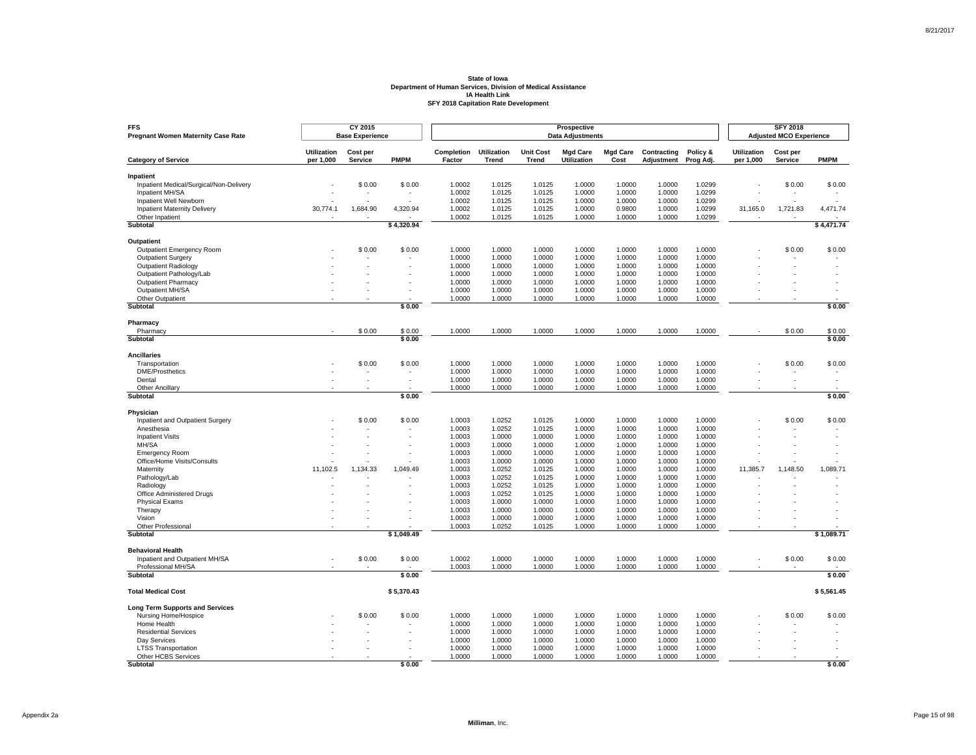| <b>FFS</b><br><b>Pregnant Women Maternity Case Rate</b> |                                 | CY 2015<br><b>Base Experience</b> |                  |                      |                             |                                  | <b>Prospective</b><br><b>Data Adjustments</b> |                         |                           |                       |                                 | <b>SFY 2018</b><br><b>Adjusted MCO Experience</b> |                  |
|---------------------------------------------------------|---------------------------------|-----------------------------------|------------------|----------------------|-----------------------------|----------------------------------|-----------------------------------------------|-------------------------|---------------------------|-----------------------|---------------------------------|---------------------------------------------------|------------------|
| <b>Category of Service</b>                              | <b>Utilization</b><br>per 1,000 | Cost per<br><b>Service</b>        | <b>PMPM</b>      | Completion<br>Factor | <b>Utilization</b><br>Trend | <b>Unit Cost</b><br><b>Trend</b> | <b>Mgd Care</b><br>Utilization                | <b>Mgd Care</b><br>Cost | Contracting<br>Adjustment | Policy &<br>Prog Adj. | <b>Utilization</b><br>per 1,000 | Cost per<br><b>Service</b>                        | <b>PMPM</b>      |
|                                                         |                                 |                                   |                  |                      |                             |                                  |                                               |                         |                           |                       |                                 |                                                   |                  |
| Inpatient<br>Inpatient Medical/Surgical/Non-Delivery    |                                 | \$0.00                            | \$0.00           | 1.0002               | 1.0125                      | 1.0125                           | 1.0000                                        | 1.0000                  | 1.0000                    | 1.0299                |                                 | \$0.00                                            | \$0.00           |
| Inpatient MH/SA                                         |                                 |                                   |                  | 1.0002               | 1.0125                      | 1.0125                           | 1.0000                                        | 1.0000                  | 1.0000                    | 1.0299                |                                 |                                                   |                  |
| Inpatient Well Newborn                                  |                                 |                                   |                  | 1.0002               | 1.0125                      | 1.0125                           | 1.0000                                        | 1.0000                  | 1.0000                    | 1.0299                |                                 |                                                   |                  |
| <b>Inpatient Maternity Delivery</b>                     | 30,774.1                        | 1,684.90                          | 4,320.94         | 1.0002               | 1.0125                      | 1.0125                           | 1.0000                                        | 0.9800                  | 1.0000                    | 1.0299                | 31,165.0                        | 1,721.83                                          | 4,471.74         |
| Other Inpatient                                         |                                 |                                   |                  | 1.0002               | 1.0125                      | 1.0125                           | 1.0000                                        | 1.0000                  | 1.0000                    | 1.0299                |                                 |                                                   |                  |
| <b>Subtotal</b>                                         |                                 |                                   | \$4,320.94       |                      |                             |                                  |                                               |                         |                           |                       |                                 |                                                   | \$4,471.74       |
| Outpatient                                              |                                 |                                   |                  |                      |                             |                                  |                                               |                         |                           |                       |                                 |                                                   |                  |
| Outpatient Emergency Room                               |                                 | \$0.00                            | \$0.00           | 1.0000               | 1.0000                      | 1.0000                           | 1.0000                                        | 1.0000                  | 1.0000                    | 1.0000                |                                 | \$0.00                                            | \$0.00           |
| <b>Outpatient Surgery</b>                               |                                 |                                   |                  | 1.0000               | 1.0000                      | 1.0000                           | 1.0000                                        | 1.0000                  | 1.0000                    | 1.0000                |                                 |                                                   |                  |
| Outpatient Radiology                                    |                                 |                                   |                  | 1.0000               | 1.0000                      | 1.0000                           | 1.0000                                        | 1.0000                  | 1.0000                    | 1.0000                |                                 |                                                   |                  |
| Outpatient Pathology/Lab                                |                                 |                                   |                  | 1.0000               | 1.0000                      | 1.0000                           | 1.0000                                        | 1.0000                  | 1.0000                    | 1.0000                |                                 |                                                   |                  |
| <b>Outpatient Pharmacy</b>                              |                                 |                                   |                  | 1.0000               | 1.0000                      | 1.0000                           | 1.0000                                        | 1.0000                  | 1.0000                    | 1.0000                |                                 |                                                   |                  |
| Outpatient MH/SA                                        |                                 |                                   |                  | 1.0000               | 1.0000                      | 1.0000                           | 1.0000                                        | 1.0000                  | 1.0000                    | 1.0000                |                                 |                                                   |                  |
| Other Outpatient<br><b>Subtotal</b>                     |                                 |                                   | \$0.00           | 1.0000               | 1.0000                      | 1.0000                           | 1.0000                                        | 1.0000                  | 1.0000                    | 1.0000                |                                 |                                                   | \$0.00           |
|                                                         |                                 |                                   |                  |                      |                             |                                  |                                               |                         |                           |                       |                                 |                                                   |                  |
| Pharmacy                                                |                                 |                                   |                  |                      |                             |                                  |                                               |                         |                           |                       |                                 |                                                   |                  |
| Pharmacy<br>Subtotal                                    |                                 | \$0.00                            | \$0.00<br>\$0.00 | 1.0000               | 1.0000                      | 1.0000                           | 1.0000                                        | 1.0000                  | 1.0000                    | 1.0000                |                                 | \$0.00                                            | \$0.00<br>\$0.00 |
|                                                         |                                 |                                   |                  |                      |                             |                                  |                                               |                         |                           |                       |                                 |                                                   |                  |
| <b>Ancillaries</b>                                      |                                 |                                   |                  |                      |                             |                                  |                                               |                         |                           |                       |                                 |                                                   |                  |
| Transportation                                          |                                 | \$0.00                            | \$0.00           | 1.0000               | 1.0000                      | 1.0000                           | 1.0000                                        | 1.0000                  | 1.0000                    | 1.0000                |                                 | \$0.00                                            | \$0.00           |
| <b>DME/Prosthetics</b>                                  |                                 | $\overline{\phantom{a}}$          |                  | 1.0000               | 1.0000                      | 1.0000                           | 1.0000                                        | 1.0000                  | 1.0000                    | 1.0000                |                                 | ٠                                                 |                  |
| Dental<br><b>Other Ancillary</b>                        |                                 |                                   |                  | 1.0000<br>1.0000     | 1.0000<br>1.0000            | 1.0000<br>1.0000                 | 1.0000<br>1.0000                              | 1.0000<br>1.0000        | 1.0000<br>1.0000          | 1.0000<br>1.0000      |                                 |                                                   |                  |
| Subtotal                                                |                                 |                                   | \$0.00           |                      |                             |                                  |                                               |                         |                           |                       |                                 |                                                   | \$0.00           |
|                                                         |                                 |                                   |                  |                      |                             |                                  |                                               |                         |                           |                       |                                 |                                                   |                  |
| Physician<br>Inpatient and Outpatient Surgery           |                                 | \$0.00                            | \$0.00           | 1.0003               | 1.0252                      | 1.0125                           | 1.0000                                        | 1.0000                  | 1.0000                    | 1.0000                |                                 | \$0.00                                            | \$0.00           |
| Anesthesia                                              |                                 |                                   |                  | 1.0003               | 1.0252                      | 1.0125                           | 1.0000                                        | 1.0000                  | 1.0000                    | 1.0000                |                                 |                                                   |                  |
| <b>Inpatient Visits</b>                                 |                                 | ÷.                                |                  | 1.0003               | 1.0000                      | 1.0000                           | 1.0000                                        | 1.0000                  | 1.0000                    | 1.0000                |                                 |                                                   |                  |
| MH/SA                                                   |                                 |                                   |                  | 1.0003               | 1.0000                      | 1.0000                           | 1.0000                                        | 1.0000                  | 1.0000                    | 1.0000                |                                 |                                                   |                  |
| <b>Emergency Room</b>                                   |                                 |                                   |                  | 1.0003               | 1.0000                      | 1.0000                           | 1.0000                                        | 1.0000                  | 1.0000                    | 1.0000                |                                 |                                                   |                  |
| Office/Home Visits/Consults                             |                                 |                                   |                  | 1.0003               | 1.0000                      | 1.0000                           | 1.0000                                        | 1.0000                  | 1.0000                    | 1.0000                |                                 |                                                   |                  |
| Maternity                                               | 11,102.5                        | 1,134.33                          | 1,049.49         | 1.0003               | 1.0252                      | 1.0125                           | 1.0000                                        | 1.0000                  | 1.0000                    | 1.0000                | 11,385.7                        | 1,148.50                                          | 1,089.71         |
| Pathology/Lab                                           |                                 |                                   |                  | 1.0003               | 1.0252                      | 1.0125                           | 1.0000                                        | 1.0000                  | 1.0000                    | 1.0000                |                                 |                                                   |                  |
| Radiology                                               |                                 |                                   |                  | 1.0003               | 1.0252                      | 1.0125                           | 1.0000                                        | 1.0000                  | 1.0000                    | 1.0000                |                                 |                                                   |                  |
| Office Administered Drugs                               |                                 |                                   |                  | 1.0003               | 1.0252                      | 1.0125                           | 1.0000                                        | 1.0000                  | 1.0000                    | 1.0000                |                                 |                                                   |                  |
| <b>Physical Exams</b><br>Therapy                        |                                 |                                   |                  | 1.0003<br>1.0003     | 1.0000<br>1.0000            | 1.0000<br>1.0000                 | 1.0000<br>1.0000                              | 1.0000<br>1.0000        | 1.0000<br>1.0000          | 1.0000<br>1.0000      |                                 |                                                   |                  |
| Vision                                                  |                                 |                                   |                  | 1.0003               | 1.0000                      | 1.0000                           | 1.0000                                        | 1.0000                  | 1.0000                    | 1.0000                |                                 |                                                   |                  |
| Other Professional                                      |                                 |                                   |                  | 1.0003               | 1.0252                      | 1.0125                           | 1.0000                                        | 1.0000                  | 1.0000                    | 1.0000                |                                 |                                                   |                  |
| Subtotal                                                |                                 |                                   | \$1.049.49       |                      |                             |                                  |                                               |                         |                           |                       |                                 |                                                   | \$1.089.71       |
| <b>Behavioral Health</b>                                |                                 |                                   |                  |                      |                             |                                  |                                               |                         |                           |                       |                                 |                                                   |                  |
| Inpatient and Outpatient MH/SA                          |                                 | \$0.00                            | \$0.00           | 1.0002               | 1.0000                      | 1.0000                           | 1.0000                                        | 1.0000                  | 1.0000                    | 1.0000                |                                 | \$0.00                                            | \$0.00           |
| Professional MH/SA                                      |                                 |                                   |                  | 1.0003               | 1.0000                      | 1.0000                           | 1.0000                                        | 1.0000                  | 1.0000                    | 1.0000                |                                 |                                                   |                  |
| Subtotal                                                |                                 |                                   | \$0.00           |                      |                             |                                  |                                               |                         |                           |                       |                                 |                                                   | \$0.00           |
| <b>Total Medical Cost</b>                               |                                 |                                   | \$5,370.43       |                      |                             |                                  |                                               |                         |                           |                       |                                 |                                                   | \$5,561.45       |
| <b>Long Term Supports and Services</b>                  |                                 |                                   |                  |                      |                             |                                  |                                               |                         |                           |                       |                                 |                                                   |                  |
| Nursing Home/Hospice                                    |                                 | \$0.00                            | \$0.00           | 1.0000               | 1.0000                      | 1.0000                           | 1.0000                                        | 1.0000                  | 1.0000                    | 1.0000                |                                 | \$0.00                                            | \$0.00           |
| Home Health                                             |                                 |                                   |                  | 1.0000               | 1.0000                      | 1.0000                           | 1.0000                                        | 1.0000                  | 1.0000                    | 1.0000                |                                 |                                                   |                  |
| <b>Residential Services</b>                             |                                 |                                   |                  | 1.0000               | 1.0000                      | 1.0000                           | 1.0000                                        | 1.0000                  | 1.0000                    | 1.0000                |                                 |                                                   |                  |
| Dav Services                                            |                                 |                                   |                  | 1.0000               | 1.0000                      | 1.0000                           | 1.0000                                        | 1.0000                  | 1.0000                    | 1.0000                |                                 |                                                   |                  |
| <b>LTSS Transportation</b>                              |                                 |                                   |                  | 1.0000               | 1.0000                      | 1.0000                           | 1.0000                                        | 1.0000                  | 1.0000                    | 1.0000                |                                 |                                                   |                  |
| Other HCBS Services                                     |                                 |                                   |                  | 1.0000               | 1.0000                      | 1.0000                           | 1.0000                                        | 1.0000                  | 1.0000                    | 1.0000                |                                 |                                                   |                  |
| Subtotal                                                |                                 |                                   | \$0.00           |                      |                             |                                  |                                               |                         |                           |                       |                                 |                                                   | \$0.00           |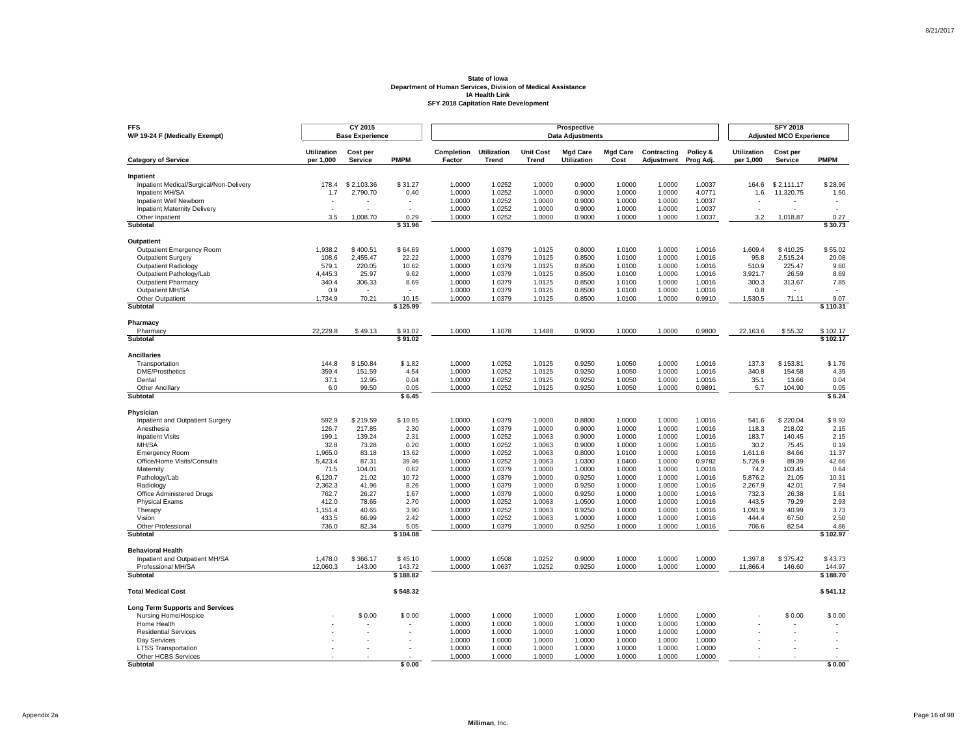| <b>FFS</b><br>WP 19-24 F (Medically Exempt)          |                                 | CY 2015<br><b>Base Experience</b> |                    |                      |                             |                                  | Prospective<br><b>Data Adjustments</b> |                         |                           |                       |                                 | <b>SFY 2018</b><br><b>Adjusted MCO Experience</b> |                    |
|------------------------------------------------------|---------------------------------|-----------------------------------|--------------------|----------------------|-----------------------------|----------------------------------|----------------------------------------|-------------------------|---------------------------|-----------------------|---------------------------------|---------------------------------------------------|--------------------|
| <b>Category of Service</b>                           | <b>Utilization</b><br>per 1,000 | Cost per<br><b>Service</b>        | <b>PMPM</b>        | Completion<br>Factor | <b>Utilization</b><br>Trend | <b>Unit Cost</b><br><b>Trend</b> | <b>Mgd Care</b><br>Utilization         | <b>Mgd Care</b><br>Cost | Contracting<br>Adjustment | Policy &<br>Prog Adj. | <b>Utilization</b><br>per 1,000 | Cost per<br>Service                               | <b>PMPM</b>        |
|                                                      |                                 |                                   |                    |                      |                             |                                  |                                        |                         |                           |                       |                                 |                                                   |                    |
| Inpatient<br>Inpatient Medical/Surgical/Non-Delivery | 178.4                           | \$2.103.36                        | \$31.27            | 1.0000               | 1.0252                      | 1.0000                           | 0.9000                                 | 1.0000                  | 1.0000                    | 1.0037                | 164.6                           | \$2.111.17                                        | \$28.96            |
| Inpatient MH/SA                                      | 1.7                             | 2,790.70                          | 0.40               | 1.0000               | 1.0252                      | 1.0000                           | 0.9000                                 | 1.0000                  | 1.0000                    | 4.0771                | 1.6                             | 11,320.75                                         | 1.50               |
| Inpatient Well Newborn                               |                                 |                                   |                    | 1.0000               | 1.0252                      | 1.0000                           | 0.9000                                 | 1.0000                  | 1.0000                    | 1.0037                |                                 |                                                   |                    |
| <b>Inpatient Maternity Delivery</b>                  | $\overline{a}$                  |                                   | $\overline{a}$     | 1.0000               | 1.0252                      | 1.0000                           | 0.9000                                 | 1.0000                  | 1.0000                    | 1.0037                | ÷.                              |                                                   |                    |
| Other Inpatient                                      | 3.5                             | 1.008.70                          | 0.29               | 1.0000               | 1.0252                      | 1.0000                           | 0.9000                                 | 1.0000                  | 1.0000                    | 1.0037                | 3.2                             | 1.018.87                                          | 0.27               |
| Subtotal                                             |                                 |                                   | \$31.96            |                      |                             |                                  |                                        |                         |                           |                       |                                 |                                                   | \$30.73            |
| Outpatient                                           |                                 |                                   |                    |                      |                             |                                  |                                        |                         |                           |                       |                                 |                                                   |                    |
| <b>Outpatient Emergency Room</b>                     | 1.938.2                         | \$400.51                          | \$64.69            | 1.0000               | 1.0379                      | 1.0125                           | 0.8000                                 | 1.0100                  | 1.0000                    | 1.0016                | 1,609.4                         | \$410.25                                          | \$55.02            |
| <b>Outpatient Surgery</b>                            | 108.6                           | 2.455.47                          | 22.22              | 1.0000               | 1.0379                      | 1.0125                           | 0.8500                                 | 1.0100                  | 1.0000                    | 1.0016                | 95.8                            | 2.515.24                                          | 20.08              |
| <b>Outpatient Radiology</b>                          | 579.1                           | 220.05                            | 10.62              | 1.0000               | 1.0379                      | 1.0125                           | 0.8500                                 | 1.0100                  | 1.0000                    | 1.0016                | 510.9                           | 225.47                                            | 9.60               |
| Outpatient Pathology/Lab                             | 4,445.3                         | 25.97                             | 9.62               | 1.0000               | 1.0379                      | 1.0125                           | 0.8500                                 | 1.0100                  | 1.0000                    | 1.0016                | 3,921.7                         | 26.59                                             | 8.69               |
| <b>Outpatient Pharmacy</b>                           | 340.4                           | 306.33                            | 8.69               | 1.0000               | 1.0379                      | 1.0125                           | 0.8500                                 | 1.0100                  | 1.0000                    | 1.0016                | 300.3                           | 313.67                                            | 7.85               |
| Outpatient MH/SA                                     | 0.9                             |                                   |                    | 1.0000               | 1.0379                      | 1.0125                           | 0.8500                                 | 1.0100                  | 1.0000                    | 1.0016                | 0.8                             |                                                   |                    |
| Other Outpatient<br>Subtotal                         | 1,734.9                         | 70.21                             | 10.15<br>\$125.99  | 1.0000               | 1.0379                      | 1.0125                           | 0.8500                                 | 1.0100                  | 1.0000                    | 0.9910                | 1,530.5                         | 71.11                                             | 9.07<br>\$110.31   |
|                                                      |                                 |                                   |                    |                      |                             |                                  |                                        |                         |                           |                       |                                 |                                                   |                    |
| Pharmacy<br>Pharmacy                                 | 22,229.8                        | \$49.13                           | \$91.02            | 1.0000               | 1.1078                      | 1.1488                           | 0.9000                                 | 1.0000                  | 1.0000                    | 0.9800                | 22,163.6                        | \$55.32                                           | \$102.17           |
| Subtotal                                             |                                 |                                   | \$91.02            |                      |                             |                                  |                                        |                         |                           |                       |                                 |                                                   | \$102.17           |
| <b>Ancillaries</b>                                   |                                 |                                   |                    |                      |                             |                                  |                                        |                         |                           |                       |                                 |                                                   |                    |
| Transportation                                       | 144.8                           | \$150.84                          | \$1.82             | 1.0000               | 1.0252                      | 1.0125                           | 0.9250                                 | 1.0050                  | 1.0000                    | 1.0016                | 137.3                           | \$153.81                                          | \$1.76             |
| <b>DME/Prosthetics</b>                               | 359.4                           | 151.59                            | 4.54               | 1.0000               | 1.0252                      | 1.0125                           | 0.9250                                 | 1.0050                  | 1.0000                    | 1.0016                | 340.8                           | 154.58                                            | 4.39               |
| Dental                                               | 37.1                            | 12.95                             | 0.04               | 1.0000               | 1.0252                      | 1.0125                           | 0.9250                                 | 1.0050                  | 1.0000                    | 1.0016                | 35.1                            | 13.66                                             | 0.04               |
| <b>Other Ancillary</b>                               | 6.0                             | 99.50                             | 0.05               | 1.0000               | 1.0252                      | 1.0125                           | 0.9250                                 | 1.0050                  | 1.0000                    | 0.9891                | 5.7                             | 104.90                                            | 0.05               |
| Subtotal                                             |                                 |                                   | \$6.45             |                      |                             |                                  |                                        |                         |                           |                       |                                 |                                                   | \$6.24             |
| Physician                                            |                                 |                                   |                    |                      |                             |                                  |                                        |                         |                           |                       |                                 |                                                   |                    |
| Inpatient and Outpatient Surgery                     | 592.9                           | \$219.59                          | \$10.85            | 1.0000               | 1.0379                      | 1.0000                           | 0.8800                                 | 1.0000                  | 1.0000                    | 1.0016                | 541.6                           | \$220.04                                          | \$9.93             |
| Anesthesia                                           | 126.7                           | 217.85                            | 2.30               | 1.0000               | 1.0379                      | 1.0000                           | 0.9000                                 | 1.0000                  | 1.0000                    | 1.0016                | 118.3                           | 218.02                                            | 2.15               |
| <b>Inpatient Visits</b>                              | 199.1                           | 139.24                            | 2.31               | 1.0000               | 1.0252                      | 1.0063                           | 0.9000                                 | 1.0000                  | 1.0000                    | 1.0016                | 183.7                           | 140.45                                            | 2.15               |
| MH/SA                                                | 32.8                            | 73.28                             | 0.20               | 1.0000               | 1.0252                      | 1.0063                           | 0.9000                                 | 1.0000                  | 1.0000                    | 1.0016                | 30.2                            | 75.45                                             | 0.19               |
| <b>Emergency Room</b>                                | 1,965.0                         | 83.18                             | 13.62              | 1.0000               | 1.0252                      | 1.0063                           | 0.8000                                 | 1.0100                  | 1.0000                    | 1.0016                | 1,611.6                         | 84.66                                             | 11.37              |
| Office/Home Visits/Consults                          | 5,423.4                         | 87.31                             | 39.46              | 1.0000               | 1.0252                      | 1.0063                           | 1.0300                                 | 1.0400                  | 1.0000                    | 0.9782                | 5,726.9                         | 89.39                                             | 42.66              |
| Maternity<br>Pathology/Lab                           | 71.5<br>6,120.7                 | 104.01<br>21.02                   | 0.62<br>10.72      | 1.0000<br>1.0000     | 1.0379<br>1.0379            | 1.0000<br>1.0000                 | 1.0000<br>0.9250                       | 1.0000<br>1.0000        | 1.0000<br>1.0000          | 1.0016<br>1.0016      | 74.2<br>5,876.2                 | 103.45<br>21.05                                   | 0.64<br>10.31      |
| Radiology                                            | 2,362.3                         | 41.96                             | 8.26               | 1.0000               | 1.0379                      | 1.0000                           | 0.9250                                 | 1.0000                  | 1.0000                    | 1.0016                | 2,267.9                         | 42.01                                             | 7.94               |
| Office Administered Drugs                            | 762.7                           | 26.27                             | 1.67               | 1.0000               | 1.0379                      | 1.0000                           | 0.9250                                 | 1.0000                  | 1.0000                    | 1.0016                | 732.3                           | 26.38                                             | 1.61               |
| <b>Physical Exams</b>                                | 412.0                           | 78.65                             | 2.70               | 1.0000               | 1.0252                      | 1.0063                           | 1.0500                                 | 1.0000                  | 1.0000                    | 1.0016                | 443.5                           | 79.29                                             | 2.93               |
| Therapy                                              | 1,151.4                         | 40.65                             | 3.90               | 1.0000               | 1.0252                      | 1.0063                           | 0.9250                                 | 1.0000                  | 1.0000                    | 1.0016                | 1,091.9                         | 40.99                                             | 3.73               |
| Vision                                               | 433.5                           | 66.99                             | 2.42               | 1.0000               | 1.0252                      | 1.0063                           | 1.0000                                 | 1.0000                  | 1.0000                    | 1.0016                | 444.4                           | 67.50                                             | 2.50               |
| Other Professional                                   | 736.0                           | 82.34                             | 5.05               | 1.0000               | 1.0379                      | 1.0000                           | 0.9250                                 | 1.0000                  | 1.0000                    | 1.0016                | 706.6                           | 82.54                                             | 4.86               |
| Subtotal                                             |                                 |                                   | \$104.08           |                      |                             |                                  |                                        |                         |                           |                       |                                 |                                                   | \$102.97           |
| <b>Behavioral Health</b>                             |                                 |                                   |                    |                      |                             |                                  |                                        |                         |                           |                       |                                 |                                                   |                    |
| Inpatient and Outpatient MH/SA                       | 1,478.0                         | \$366.17                          | \$45.10            | 1.0000               | 1.0508                      | 1.0252                           | 0.9000                                 | 1.0000                  | 1.0000                    | 1.0000                | 1,397.8                         | \$375.42                                          | \$43.73            |
| Professional MH/SA<br><b>Subtotal</b>                | 12,060.3                        | 143.00                            | 143.72<br>\$188.82 | 1.0000               | 1.0637                      | 1.0252                           | 0.9250                                 | 1.0000                  | 1.0000                    | 1.0000                | 11,866.4                        | 146.60                                            | 144.97<br>\$188.70 |
|                                                      |                                 |                                   |                    |                      |                             |                                  |                                        |                         |                           |                       |                                 |                                                   |                    |
| <b>Total Medical Cost</b>                            |                                 |                                   | \$548.32           |                      |                             |                                  |                                        |                         |                           |                       |                                 |                                                   | \$541.12           |
| <b>Long Term Supports and Services</b>               |                                 |                                   |                    |                      |                             |                                  |                                        |                         |                           |                       |                                 |                                                   |                    |
| Nursing Home/Hospice                                 |                                 | \$0.00                            | \$0.00             | 1.0000               | 1.0000                      | 1.0000                           | 1.0000                                 | 1.0000                  | 1.0000                    | 1.0000                |                                 | \$0.00                                            | \$0.00             |
| Home Health                                          |                                 |                                   |                    | 1.0000               | 1.0000                      | 1.0000                           | 1.0000                                 | 1.0000                  | 1.0000                    | 1.0000                |                                 |                                                   |                    |
| <b>Residential Services</b>                          |                                 |                                   |                    | 1.0000               | 1.0000                      | 1.0000                           | 1.0000                                 | 1.0000                  | 1.0000                    | 1.0000                |                                 |                                                   |                    |
| Dav Services                                         |                                 |                                   |                    | 1.0000<br>1.0000     | 1.0000<br>1.0000            | 1.0000<br>1.0000                 | 1.0000<br>1.0000                       | 1.0000<br>1.0000        | 1.0000<br>1.0000          | 1.0000<br>1.0000      |                                 |                                                   |                    |
| <b>LTSS Transportation</b><br>Other HCBS Services    |                                 |                                   |                    | 1.0000               | 1.0000                      | 1.0000                           | 1.0000                                 | 1.0000                  | 1.0000                    | 1.0000                |                                 |                                                   |                    |
| Subtotal                                             |                                 |                                   | \$0.00             |                      |                             |                                  |                                        |                         |                           |                       |                                 |                                                   | \$0.00             |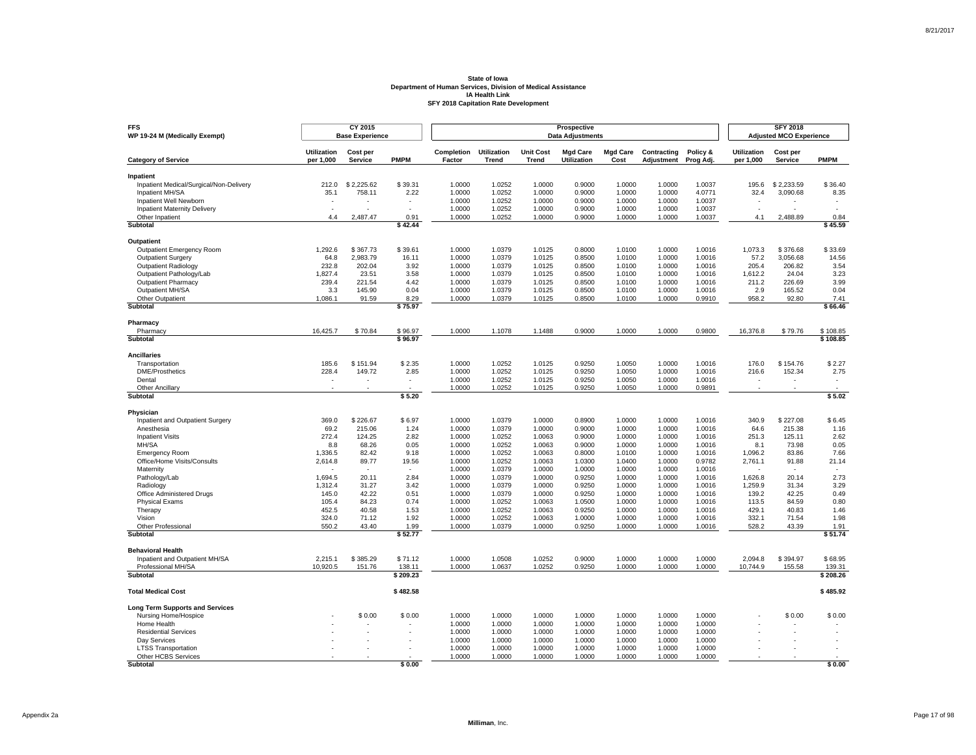| <b>FFS</b><br>WP 19-24 M (Medically Exempt)          |                                 | CY 2015<br><b>Base Experience</b> |                          |                      |                             |                                  | Prospective<br><b>Data Adjustments</b> |                         |                           |                       |                                 | <b>SFY 2018</b><br><b>Adjusted MCO Experience</b> |                          |
|------------------------------------------------------|---------------------------------|-----------------------------------|--------------------------|----------------------|-----------------------------|----------------------------------|----------------------------------------|-------------------------|---------------------------|-----------------------|---------------------------------|---------------------------------------------------|--------------------------|
| <b>Category of Service</b>                           | <b>Utilization</b><br>per 1,000 | Cost per<br><b>Service</b>        | <b>PMPM</b>              | Completion<br>Factor | <b>Utilization</b><br>Trend | <b>Unit Cost</b><br><b>Trend</b> | <b>Mgd Care</b><br>Utilization         | <b>Mgd Care</b><br>Cost | Contracting<br>Adjustment | Policy &<br>Prog Adj. | <b>Utilization</b><br>per 1,000 | Cost per<br>Service                               | <b>PMPM</b>              |
|                                                      |                                 |                                   |                          |                      |                             |                                  |                                        |                         |                           |                       |                                 |                                                   |                          |
| Inpatient<br>Inpatient Medical/Surgical/Non-Delivery | 212.0                           | \$2.225.62                        | \$39.31                  | 1.0000               | 1.0252                      | 1.0000                           | 0.9000                                 | 1.0000                  | 1.0000                    | 1.0037                | 195.6                           | \$2.233.59                                        | \$36.40                  |
| Inpatient MH/SA                                      | 35.1                            | 758.11                            | 2.22                     | 1.0000               | 1.0252                      | 1.0000                           | 0.9000                                 | 1.0000                  | 1.0000                    | 4.0771                | 32.4                            | 3,090.68                                          | 8.35                     |
| Inpatient Well Newborn                               |                                 |                                   |                          | 1.0000               | 1.0252                      | 1.0000                           | 0.9000                                 | 1.0000                  | 1.0000                    | 1.0037                |                                 |                                                   |                          |
| <b>Inpatient Maternity Delivery</b>                  | $\overline{\phantom{a}}$        |                                   | $\overline{a}$           | 1.0000               | 1.0252                      | 1.0000                           | 0.9000                                 | 1.0000                  | 1.0000                    | 1.0037                | $\epsilon$                      |                                                   | $\overline{\phantom{a}}$ |
| Other Inpatient                                      | 4.4                             | 2.487.47                          | 0.91                     | 1.0000               | 1.0252                      | 1.0000                           | 0.9000                                 | 1.0000                  | 1.0000                    | 1.0037                | 4.1                             | 2.488.89                                          | 0.84                     |
| Subtotal                                             |                                 |                                   | \$42.44                  |                      |                             |                                  |                                        |                         |                           |                       |                                 |                                                   | \$45.59                  |
| Outpatient                                           |                                 |                                   |                          |                      |                             |                                  |                                        |                         |                           |                       |                                 |                                                   |                          |
| <b>Outpatient Emergency Room</b>                     | 1,292.6                         | \$367.73                          | \$39.61                  | 1.0000               | 1.0379                      | 1.0125                           | 0.8000                                 | 1.0100                  | 1.0000                    | 1.0016                | 1,073.3                         | \$376.68                                          | \$33.69                  |
| Outpatient Surgery                                   | 64.8                            | 2,983.79                          | 16.11                    | 1.0000               | 1.0379                      | 1.0125                           | 0.8500                                 | 1.0100                  | 1.0000                    | 1.0016                | 57.2                            | 3,056.68                                          | 14.56                    |
| <b>Outpatient Radiology</b>                          | 232.8                           | 202.04                            | 3.92                     | 1.0000               | 1.0379                      | 1.0125                           | 0.8500                                 | 1.0100                  | 1.0000                    | 1.0016                | 205.4                           | 206.82                                            | 3.54                     |
| Outpatient Pathology/Lab                             | 1,827.4                         | 23.51                             | 3.58                     | 1.0000               | 1.0379                      | 1.0125                           | 0.8500                                 | 1.0100                  | 1.0000                    | 1.0016                | 1,612.2                         | 24.04                                             | 3.23                     |
| <b>Outpatient Pharmacy</b>                           | 239.4                           | 221.54                            | 4.42                     | 1.0000               | 1.0379                      | 1.0125                           | 0.8500                                 | 1.0100                  | 1.0000                    | 1.0016                | 211.2                           | 226.69                                            | 3.99                     |
| Outpatient MH/SA                                     | 3.3                             | 145.90                            | 0.04                     | 1.0000               | 1.0379                      | 1.0125                           | 0.8500                                 | 1.0100                  | 1.0000                    | 1.0016                | 2.9                             | 165.52                                            | 0.04                     |
| Other Outpatient                                     | 1,086.1                         | 91.59                             | 8.29                     | 1.0000               | 1.0379                      | 1.0125                           | 0.8500                                 | 1.0100                  | 1.0000                    | 0.9910                | 958.2                           | 92.80                                             | 7.41                     |
| <b>Subtotal</b>                                      |                                 |                                   | \$75.97                  |                      |                             |                                  |                                        |                         |                           |                       |                                 |                                                   | \$66.46                  |
| Pharmacy                                             |                                 |                                   |                          |                      |                             |                                  |                                        |                         |                           |                       |                                 |                                                   |                          |
| Pharmacy<br>Subtotal                                 | 16,425.7                        | \$70.84                           | \$96.97<br>\$96.97       | 1.0000               | 1.1078                      | 1.1488                           | 0.9000                                 | 1.0000                  | 1.0000                    | 0.9800                | 16,376.8                        | \$79.76                                           | \$108.85<br>\$108.85     |
|                                                      |                                 |                                   |                          |                      |                             |                                  |                                        |                         |                           |                       |                                 |                                                   |                          |
| <b>Ancillaries</b>                                   |                                 |                                   |                          |                      |                             |                                  |                                        |                         |                           |                       |                                 |                                                   |                          |
| Transportation                                       | 185.6                           | \$151.94                          | \$2.35                   | 1.0000               | 1.0252                      | 1.0125                           | 0.9250                                 | 1.0050                  | 1.0000                    | 1.0016                | 176.0                           | \$154.76                                          | \$2.27                   |
| <b>DME/Prosthetics</b>                               | 228.4                           | 149.72                            | 2.85                     | 1.0000               | 1.0252                      | 1.0125                           | 0.9250                                 | 1.0050                  | 1.0000                    | 1.0016                | 216.6                           | 152.34                                            | 2.75                     |
| Dental                                               | $\mathbf{r}$                    |                                   | $\overline{\phantom{a}}$ | 1.0000               | 1.0252                      | 1.0125                           | 0.9250                                 | 1.0050                  | 1.0000                    | 1.0016                | ÷.                              | ٠                                                 | $\overline{\phantom{a}}$ |
| <b>Other Ancillary</b><br>Subtotal                   |                                 |                                   | \$5.20                   | 1.0000               | 1.0252                      | 1.0125                           | 0.9250                                 | 1.0050                  | 1.0000                    | 0.9891                |                                 |                                                   | $\sim$<br>\$5.02         |
|                                                      |                                 |                                   |                          |                      |                             |                                  |                                        |                         |                           |                       |                                 |                                                   |                          |
| Physician                                            |                                 |                                   |                          |                      |                             |                                  |                                        |                         |                           |                       |                                 |                                                   |                          |
| Inpatient and Outpatient Surgery                     | 369.0                           | \$226.67                          | \$6.97                   | 1.0000               | 1.0379                      | 1.0000                           | 0.8900                                 | 1.0000                  | 1.0000                    | 1.0016                | 340.9                           | \$227.08                                          | \$6.45                   |
| Anesthesia                                           | 69.2                            | 215.06                            | 1.24                     | 1.0000               | 1.0379                      | 1.0000                           | 0.9000                                 | 1.0000<br>1.0000        | 1.0000                    | 1.0016                | 64.6                            | 215.38                                            | 1.16                     |
| <b>Inpatient Visits</b><br>MH/SA                     | 272.4<br>8.8                    | 124.25<br>68.26                   | 2.82<br>0.05             | 1.0000<br>1.0000     | 1.0252<br>1.0252            | 1.0063<br>1.0063                 | 0.9000<br>0.9000                       | 1.0000                  | 1.0000<br>1.0000          | 1.0016<br>1.0016      | 251.3<br>8.1                    | 125.11<br>73.98                                   | 2.62<br>0.05             |
| <b>Emergency Room</b>                                | 1,336.5                         | 82.42                             | 9.18                     | 1.0000               | 1.0252                      | 1.0063                           | 0.8000                                 | 1.0100                  | 1.0000                    | 1.0016                | 1,096.2                         | 83.86                                             | 7.66                     |
| Office/Home Visits/Consults                          | 2,614.8                         | 89.77                             | 19.56                    | 1.0000               | 1.0252                      | 1.0063                           | 1.0300                                 | 1.0400                  | 1.0000                    | 0.9782                | 2,761.1                         | 91.88                                             | 21.14                    |
| Maternity                                            |                                 |                                   | $\blacksquare$           | 1.0000               | 1.0379                      | 1.0000                           | 1.0000                                 | 1.0000                  | 1.0000                    | 1.0016                |                                 |                                                   | $\overline{\phantom{a}}$ |
| Pathology/Lab                                        | 1,694.5                         | 20.11                             | 2.84                     | 1.0000               | 1.0379                      | 1.0000                           | 0.9250                                 | 1.0000                  | 1.0000                    | 1.0016                | 1,626.8                         | 20.14                                             | 2.73                     |
| Radiology                                            | 1,312.4                         | 31.27                             | 3.42                     | 1.0000               | 1.0379                      | 1.0000                           | 0.9250                                 | 1.0000                  | 1.0000                    | 1.0016                | 1,259.9                         | 31.34                                             | 3.29                     |
| Office Administered Drugs                            | 145.0                           | 42.22                             | 0.51                     | 1.0000               | 1.0379                      | 1.0000                           | 0.9250                                 | 1.0000                  | 1.0000                    | 1.0016                | 139.2                           | 42.25                                             | 0.49                     |
| <b>Physical Exams</b>                                | 105.4                           | 84.23                             | 0.74                     | 1.0000               | 1.0252                      | 1.0063                           | 1.0500                                 | 1.0000                  | 1.0000                    | 1.0016                | 113.5                           | 84.59                                             | 0.80                     |
| Therapy                                              | 452.5                           | 40.58                             | 1.53                     | 1.0000               | 1.0252                      | 1.0063                           | 0.9250                                 | 1.0000                  | 1.0000                    | 1.0016                | 429.1                           | 40.83                                             | 1.46                     |
| Vision                                               | 324.0                           | 71.12                             | 1.92                     | 1.0000               | 1.0252                      | 1.0063                           | 1.0000                                 | 1.0000                  | 1.0000                    | 1.0016                | 332.1                           | 71.54                                             | 1.98                     |
| Other Professional<br>Subtotal                       | 550.2                           | 43.40                             | 1.99<br>\$52.77          | 1.0000               | 1.0379                      | 1.0000                           | 0.9250                                 | 1.0000                  | 1.0000                    | 1.0016                | 528.2                           | 43.39                                             | 1.91<br>\$51.74          |
|                                                      |                                 |                                   |                          |                      |                             |                                  |                                        |                         |                           |                       |                                 |                                                   |                          |
| <b>Behavioral Health</b>                             |                                 |                                   |                          |                      |                             |                                  |                                        |                         |                           |                       |                                 |                                                   |                          |
| Inpatient and Outpatient MH/SA                       | 2,215.1                         | \$385.29                          | \$71.12                  | 1.0000               | 1.0508                      | 1.0252                           | 0.9000                                 | 1.0000                  | 1.0000                    | 1.0000                | 2,094.8                         | \$394.97                                          | \$68.95                  |
| Professional MH/SA<br><b>Subtotal</b>                | 10,920.5                        | 151.76                            | 138.11<br>\$209.23       | 1.0000               | 1.0637                      | 1.0252                           | 0.9250                                 | 1.0000                  | 1.0000                    | 1.0000                | 10,744.9                        | 155.58                                            | 139.31<br>\$208.26       |
|                                                      |                                 |                                   |                          |                      |                             |                                  |                                        |                         |                           |                       |                                 |                                                   |                          |
| <b>Total Medical Cost</b>                            |                                 |                                   | \$482.58                 |                      |                             |                                  |                                        |                         |                           |                       |                                 |                                                   | \$485.92                 |
| <b>Long Term Supports and Services</b>               |                                 |                                   |                          |                      |                             |                                  |                                        |                         |                           |                       |                                 |                                                   |                          |
| Nursing Home/Hospice                                 |                                 | \$0.00                            | \$0.00                   | 1.0000               | 1.0000                      | 1.0000                           | 1.0000                                 | 1.0000                  | 1.0000                    | 1.0000                |                                 | \$0.00                                            | \$0.00                   |
| Home Health                                          |                                 |                                   |                          | 1.0000               | 1.0000                      | 1.0000                           | 1.0000                                 | 1.0000                  | 1.0000                    | 1.0000                |                                 |                                                   |                          |
| <b>Residential Services</b>                          |                                 |                                   |                          | 1.0000               | 1.0000                      | 1.0000                           | 1.0000                                 | 1.0000                  | 1.0000                    | 1.0000                |                                 |                                                   |                          |
| Dav Services                                         |                                 |                                   |                          | 1.0000<br>1.0000     | 1.0000<br>1.0000            | 1.0000<br>1.0000                 | 1.0000<br>1.0000                       | 1.0000<br>1.0000        | 1.0000<br>1.0000          | 1.0000<br>1.0000      |                                 |                                                   |                          |
| <b>LTSS Transportation</b><br>Other HCBS Services    |                                 |                                   |                          | 1.0000               | 1.0000                      | 1.0000                           | 1.0000                                 | 1.0000                  | 1.0000                    | 1.0000                |                                 |                                                   |                          |
| Subtotal                                             |                                 |                                   | \$0.00                   |                      |                             |                                  |                                        |                         |                           |                       |                                 |                                                   | \$0.00                   |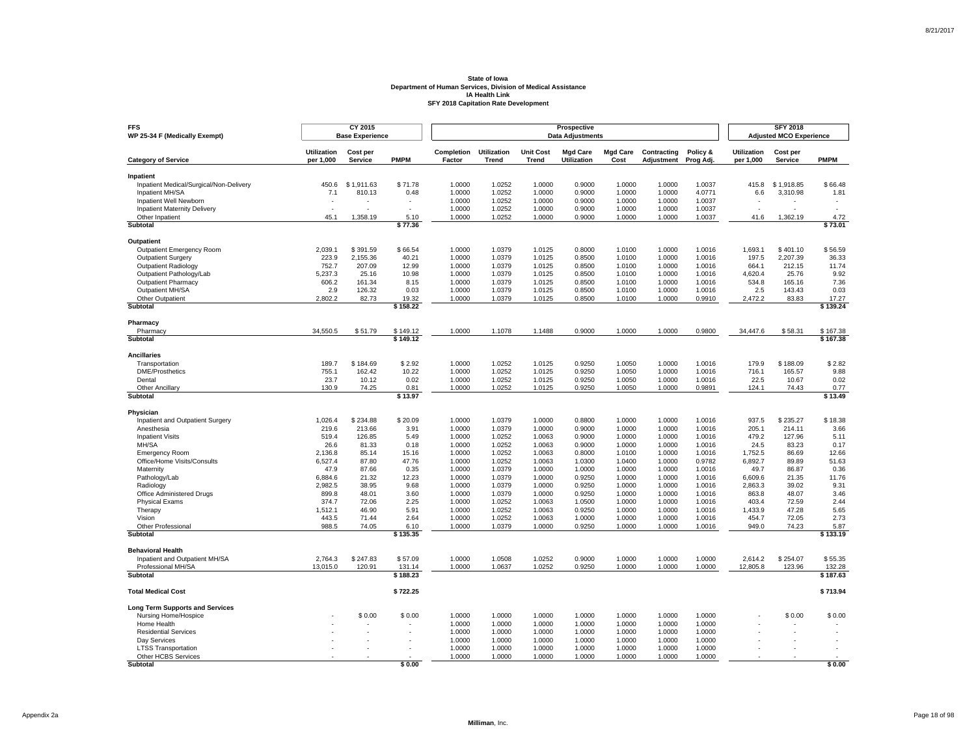| <b>FFS</b><br>WP 25-34 F (Medically Exempt)          |                                 | CY 2015<br><b>Base Experience</b> |               |                      |                             |                                  | Prospective<br><b>Data Adjustments</b> |                         |                           |                       |                                 | <b>SFY 2018</b><br><b>Adjusted MCO Experience</b> |                          |
|------------------------------------------------------|---------------------------------|-----------------------------------|---------------|----------------------|-----------------------------|----------------------------------|----------------------------------------|-------------------------|---------------------------|-----------------------|---------------------------------|---------------------------------------------------|--------------------------|
| <b>Category of Service</b>                           | <b>Utilization</b><br>per 1,000 | Cost per<br><b>Service</b>        | <b>PMPM</b>   | Completion<br>Factor | <b>Utilization</b><br>Trend | <b>Unit Cost</b><br><b>Trend</b> | <b>Mgd Care</b><br>Utilization         | <b>Mgd Care</b><br>Cost | Contracting<br>Adjustment | Policy &<br>Prog Adj. | <b>Utilization</b><br>per 1,000 | Cost per<br>Service                               | <b>PMPM</b>              |
|                                                      |                                 |                                   |               |                      |                             |                                  |                                        |                         |                           |                       |                                 |                                                   |                          |
| Inpatient<br>Inpatient Medical/Surgical/Non-Delivery | 450.6                           | \$1.911.63                        | \$71.78       | 1.0000               | 1.0252                      | 1.0000                           | 0.9000                                 | 1.0000                  | 1.0000                    | 1.0037                | 415.8                           | \$1.918.85                                        | \$66.48                  |
| Inpatient MH/SA                                      | 7.1                             | 810.13                            | 0.48          | 1.0000               | 1.0252                      | 1.0000                           | 0.9000                                 | 1.0000                  | 1.0000                    | 4.0771                | 6.6                             | 3,310.98                                          | 1.81                     |
| Inpatient Well Newborn                               |                                 |                                   |               | 1.0000               | 1.0252                      | 1.0000                           | 0.9000                                 | 1.0000                  | 1.0000                    | 1.0037                |                                 |                                                   |                          |
| <b>Inpatient Maternity Delivery</b>                  | $\overline{a}$                  |                                   | ÷.            | 1.0000               | 1.0252                      | 1.0000                           | 0.9000                                 | 1.0000                  | 1.0000                    | 1.0037                | ÷.                              |                                                   | $\overline{\phantom{a}}$ |
| Other Inpatient                                      | 45.1                            | 1.358.19                          | 5.10          | 1.0000               | 1.0252                      | 1.0000                           | 0.9000                                 | 1.0000                  | 1.0000                    | 1.0037                | 41.6                            | 1.362.19                                          | 4.72                     |
| Subtotal                                             |                                 |                                   | \$77.36       |                      |                             |                                  |                                        |                         |                           |                       |                                 |                                                   | \$73.01                  |
| Outpatient                                           |                                 |                                   |               |                      |                             |                                  |                                        |                         |                           |                       |                                 |                                                   |                          |
| <b>Outpatient Emergency Room</b>                     | 2,039.1                         | \$391.59                          | \$66.54       | 1.0000               | 1.0379                      | 1.0125                           | 0.8000                                 | 1.0100                  | 1.0000                    | 1.0016                | 1,693.1                         | \$401.10                                          | \$56.59                  |
| <b>Outpatient Surgery</b>                            | 223.9                           | 2,155.36                          | 40.21         | 1.0000               | 1.0379                      | 1.0125                           | 0.8500                                 | 1.0100                  | 1.0000                    | 1.0016                | 197.5                           | 2.207.39                                          | 36.33                    |
| <b>Outpatient Radiology</b>                          | 752.7                           | 207.09                            | 12.99         | 1.0000               | 1.0379                      | 1.0125                           | 0.8500                                 | 1.0100                  | 1.0000                    | 1.0016                | 664.1                           | 212.15                                            | 11.74                    |
| Outpatient Pathology/Lab                             | 5,237.3                         | 25.16                             | 10.98         | 1.0000               | 1.0379                      | 1.0125                           | 0.8500                                 | 1.0100                  | 1.0000                    | 1.0016                | 4,620.4                         | 25.76                                             | 9.92                     |
| <b>Outpatient Pharmacy</b>                           | 606.2                           | 161.34                            | 8.15          | 1.0000               | 1.0379                      | 1.0125                           | 0.8500                                 | 1.0100                  | 1.0000                    | 1.0016                | 534.8                           | 165.16                                            | 7.36                     |
| Outpatient MH/SA<br>Other Outpatient                 | 2.9<br>2,802.2                  | 126.32<br>82.73                   | 0.03<br>19.32 | 1.0000<br>1.0000     | 1.0379<br>1.0379            | 1.0125<br>1.0125                 | 0.8500<br>0.8500                       | 1.0100<br>1.0100        | 1.0000<br>1.0000          | 1.0016<br>0.9910      | 2.5<br>2,472.2                  | 143.43<br>83.83                                   | 0.03                     |
| Subtotal                                             |                                 |                                   | \$158.22      |                      |                             |                                  |                                        |                         |                           |                       |                                 |                                                   | 17.27<br>\$139.24        |
|                                                      |                                 |                                   |               |                      |                             |                                  |                                        |                         |                           |                       |                                 |                                                   |                          |
| Pharmacy<br>Pharmacy                                 | 34,550.5                        | \$51.79                           | \$149.12      | 1.0000               | 1.1078                      | 1.1488                           | 0.9000                                 | 1.0000                  | 1.0000                    | 0.9800                | 34,447.6                        | \$58.31                                           | \$167.38                 |
| Subtotal                                             |                                 |                                   | \$149.12      |                      |                             |                                  |                                        |                         |                           |                       |                                 |                                                   | \$167.38                 |
|                                                      |                                 |                                   |               |                      |                             |                                  |                                        |                         |                           |                       |                                 |                                                   |                          |
| <b>Ancillaries</b><br>Transportation                 | 189.7                           | \$184.69                          | \$2.92        | 1.0000               | 1.0252                      | 1.0125                           | 0.9250                                 | 1.0050                  | 1.0000                    | 1.0016                | 179.9                           | \$188.09                                          | \$2.82                   |
| <b>DME/Prosthetics</b>                               | 755.1                           | 162.42                            | 10.22         | 1.0000               | 1.0252                      | 1.0125                           | 0.9250                                 | 1.0050                  | 1.0000                    | 1.0016                | 716.1                           | 165.57                                            | 9.88                     |
| Dental                                               | 23.7                            | 10.12                             | 0.02          | 1.0000               | 1.0252                      | 1.0125                           | 0.9250                                 | 1.0050                  | 1.0000                    | 1.0016                | 22.5                            | 10.67                                             | 0.02                     |
| <b>Other Ancillary</b>                               | 130.9                           | 74.25                             | 0.81          | 1.0000               | 1.0252                      | 1.0125                           | 0.9250                                 | 1.0050                  | 1.0000                    | 0.9891                | 124.1                           | 74.43                                             | 0.77                     |
| Subtotal                                             |                                 |                                   | \$13.97       |                      |                             |                                  |                                        |                         |                           |                       |                                 |                                                   | \$13.49                  |
| Physician                                            |                                 |                                   |               |                      |                             |                                  |                                        |                         |                           |                       |                                 |                                                   |                          |
| Inpatient and Outpatient Surgery                     | 1,026.4                         | \$234.88                          | \$20.09       | 1.0000               | 1.0379                      | 1.0000                           | 0.8800                                 | 1.0000                  | 1.0000                    | 1.0016                | 937.5                           | \$235.27                                          | \$18.38                  |
| Anesthesia                                           | 219.6                           | 213.66                            | 3.91          | 1.0000               | 1.0379                      | 1.0000                           | 0.9000                                 | 1.0000                  | 1.0000                    | 1.0016                | 205.1                           | 214.11                                            | 3.66                     |
| <b>Inpatient Visits</b>                              | 519.4                           | 126.85                            | 5.49          | 1.0000               | 1.0252                      | 1.0063                           | 0.9000                                 | 1.0000                  | 1.0000                    | 1.0016                | 479.2                           | 127.96                                            | 5.11                     |
| MH/SA                                                | 26.6                            | 81.33                             | 0.18          | 1.0000               | 1.0252                      | 1.0063                           | 0.9000                                 | 1.0000                  | 1.0000                    | 1.0016                | 24.5                            | 83.23                                             | 0.17                     |
| <b>Emergency Room</b>                                | 2,136.8                         | 85.14                             | 15.16         | 1.0000               | 1.0252                      | 1.0063                           | 0.8000                                 | 1.0100                  | 1.0000                    | 1.0016                | 1,752.5                         | 86.69                                             | 12.66                    |
| Office/Home Visits/Consults                          | 6,527.4                         | 87.80                             | 47.76         | 1.0000               | 1.0252                      | 1.0063                           | 1.0300                                 | 1.0400                  | 1.0000                    | 0.9782                | 6,892.7                         | 89.89                                             | 51.63                    |
| Maternity                                            | 47.9                            | 87.66                             | 0.35          | 1.0000               | 1.0379                      | 1.0000                           | 1.0000                                 | 1.0000                  | 1.0000                    | 1.0016                | 49.7                            | 86.87                                             | 0.36                     |
| Pathology/Lab                                        | 6.884.6<br>2.982.5              | 21.32<br>38.95                    | 12.23<br>9.68 | 1.0000<br>1.0000     | 1.0379<br>1.0379            | 1.0000<br>1.0000                 | 0.9250<br>0.9250                       | 1.0000<br>1.0000        | 1.0000<br>1.0000          | 1.0016<br>1.0016      | 6,609.6<br>2,863.3              | 21.35<br>39.02                                    | 11.76<br>9.31            |
| Radiology<br>Office Administered Drugs               | 899.8                           | 48.01                             | 3.60          | 1.0000               | 1.0379                      | 1.0000                           | 0.9250                                 | 1.0000                  | 1.0000                    | 1.0016                | 863.8                           | 48.07                                             | 3.46                     |
| <b>Physical Exams</b>                                | 374.7                           | 72.06                             | 2.25          | 1.0000               | 1.0252                      | 1.0063                           | 1.0500                                 | 1.0000                  | 1.0000                    | 1.0016                | 403.4                           | 72.59                                             | 2.44                     |
| Therapy                                              | 1,512.1                         | 46.90                             | 5.91          | 1.0000               | 1.0252                      | 1.0063                           | 0.9250                                 | 1.0000                  | 1.0000                    | 1.0016                | 1,433.9                         | 47.28                                             | 5.65                     |
| Vision                                               | 443.5                           | 71.44                             | 2.64          | 1.0000               | 1.0252                      | 1.0063                           | 1.0000                                 | 1.0000                  | 1.0000                    | 1.0016                | 454.7                           | 72.05                                             | 2.73                     |
| Other Professional                                   | 988.5                           | 74.05                             | 6.10          | 1.0000               | 1.0379                      | 1.0000                           | 0.9250                                 | 1.0000                  | 1.0000                    | 1.0016                | 949.0                           | 74.23                                             | 5.87                     |
| Subtotal                                             |                                 |                                   | \$135.35      |                      |                             |                                  |                                        |                         |                           |                       |                                 |                                                   | \$133.19                 |
| <b>Behavioral Health</b>                             |                                 |                                   |               |                      |                             |                                  |                                        |                         |                           |                       |                                 |                                                   |                          |
| Inpatient and Outpatient MH/SA                       | 2,764.3                         | \$247.83                          | \$57.09       | 1.0000               | 1.0508                      | 1.0252                           | 0.9000                                 | 1.0000                  | 1.0000                    | 1.0000                | 2,614.2                         | \$254.07                                          | \$55.35                  |
| Professional MH/SA                                   | 13,015.0                        | 120.91                            | 131.14        | 1.0000               | 1.0637                      | 1.0252                           | 0.9250                                 | 1.0000                  | 1.0000                    | 1.0000                | 12,805.8                        | 123.96                                            | 132.28                   |
| <b>Subtotal</b>                                      |                                 |                                   | \$188.23      |                      |                             |                                  |                                        |                         |                           |                       |                                 |                                                   | \$187.63                 |
| <b>Total Medical Cost</b>                            |                                 |                                   | \$722.25      |                      |                             |                                  |                                        |                         |                           |                       |                                 |                                                   | \$713.94                 |
| <b>Long Term Supports and Services</b>               |                                 |                                   |               |                      |                             |                                  |                                        |                         |                           |                       |                                 |                                                   |                          |
| Nursing Home/Hospice                                 |                                 | \$0.00                            | \$0.00        | 1.0000               | 1.0000                      | 1.0000                           | 1.0000                                 | 1.0000                  | 1.0000                    | 1.0000                |                                 | \$0.00                                            | \$0.00                   |
| Home Health                                          |                                 |                                   |               | 1.0000               | 1.0000                      | 1.0000                           | 1.0000                                 | 1.0000                  | 1.0000                    | 1.0000                |                                 |                                                   |                          |
| <b>Residential Services</b>                          |                                 |                                   |               | 1.0000               | 1.0000                      | 1.0000                           | 1.0000                                 | 1.0000                  | 1.0000                    | 1.0000                |                                 |                                                   |                          |
| Dav Services                                         |                                 |                                   |               | 1.0000<br>1.0000     | 1.0000<br>1.0000            | 1.0000<br>1.0000                 | 1.0000<br>1.0000                       | 1.0000<br>1.0000        | 1.0000<br>1.0000          | 1.0000<br>1.0000      |                                 |                                                   |                          |
| <b>LTSS Transportation</b><br>Other HCBS Services    |                                 |                                   |               | 1.0000               | 1.0000                      | 1.0000                           | 1.0000                                 | 1.0000                  | 1.0000                    | 1.0000                |                                 |                                                   |                          |
| Subtotal                                             |                                 |                                   | \$0.00        |                      |                             |                                  |                                        |                         |                           |                       |                                 |                                                   | \$0.00                   |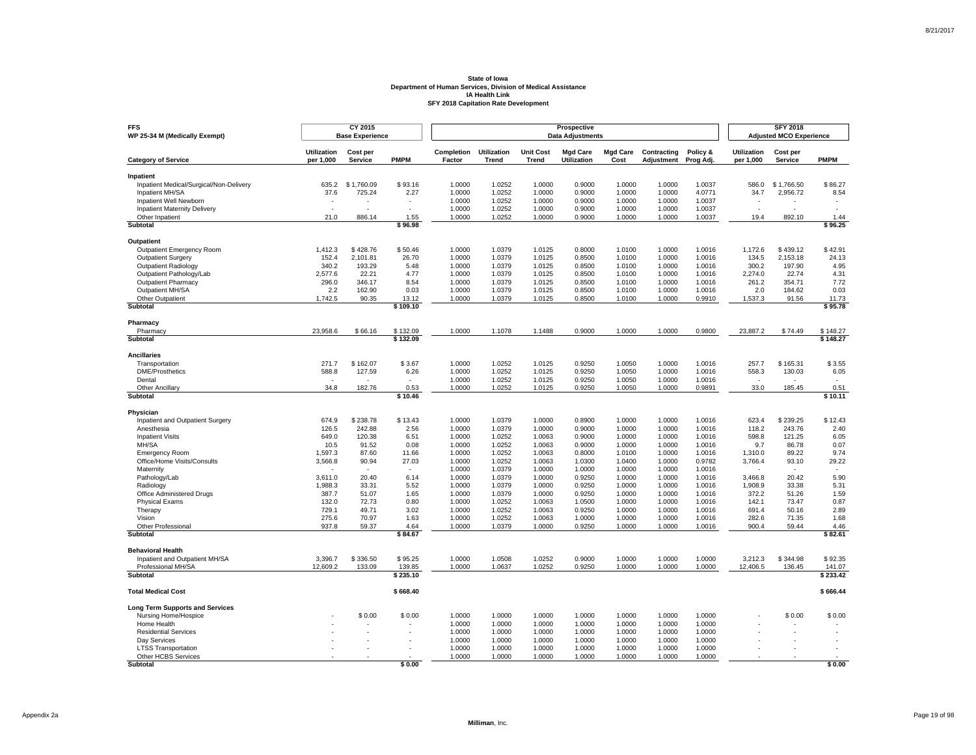| <b>FFS</b><br>WP 25-34 M (Medically Exempt)          |                                 | CY 2015<br><b>Base Experience</b> |                          |                      |                                    |                           | Prospective<br><b>Data Adjustments</b> |                         |                           |                       |                                 | <b>SFY 2018</b><br><b>Adjusted MCO Experience</b> |                    |
|------------------------------------------------------|---------------------------------|-----------------------------------|--------------------------|----------------------|------------------------------------|---------------------------|----------------------------------------|-------------------------|---------------------------|-----------------------|---------------------------------|---------------------------------------------------|--------------------|
| <b>Category of Service</b>                           | <b>Utilization</b><br>per 1,000 | Cost per<br>Service               | <b>PMPM</b>              | Completion<br>Factor | <b>Utilization</b><br><b>Trend</b> | <b>Unit Cost</b><br>Trend | <b>Mad Care</b><br>Utilization         | <b>Mad Care</b><br>Cost | Contracting<br>Adjustment | Policy &<br>Prog Adj. | <b>Utilization</b><br>per 1,000 | Cost per<br>Service                               | <b>PMPM</b>        |
|                                                      |                                 |                                   |                          |                      |                                    |                           |                                        |                         |                           |                       |                                 |                                                   |                    |
| Inpatient<br>Inpatient Medical/Surgical/Non-Delivery | 635.2                           | \$1,760.09                        | \$93.16                  | 1.0000               | 1.0252                             | 1.0000                    | 0.9000                                 | 1.0000                  | 1.0000                    | 1.0037                | 586.0                           | \$1,766.50                                        | \$86.27            |
| Inpatient MH/SA                                      | 37.6                            | 725.24                            | 2.27                     | 1.0000               | 1.0252                             | 1.0000                    | 0.9000                                 | 1.0000                  | 1.0000                    | 4.0771                | 34.7                            | 2,956.72                                          | 8.54               |
| Inpatient Well Newborn                               |                                 |                                   | $\overline{\phantom{a}}$ | 1.0000               | 1.0252                             | 1.0000                    | 0.9000                                 | 1.0000                  | 1.0000                    | 1.0037                |                                 |                                                   |                    |
| <b>Inpatient Maternity Delivery</b>                  |                                 |                                   |                          | 1.0000               | 1.0252                             | 1.0000                    | 0.9000                                 | 1.0000                  | 1.0000                    | 1.0037                | Ĭ.                              |                                                   |                    |
| Other Inpatient                                      | 21.0                            | 886.14                            | 1.55                     | 1.0000               | 1.0252                             | 1.0000                    | 0.9000                                 | 1.0000                  | 1.0000                    | 1.0037                | 19.4                            | 892.10                                            | 1.44               |
| <b>Subtotal</b>                                      |                                 |                                   | \$96.98                  |                      |                                    |                           |                                        |                         |                           |                       |                                 |                                                   | \$96.25            |
| <b>Outpatient</b>                                    |                                 |                                   |                          |                      |                                    |                           |                                        |                         |                           |                       |                                 |                                                   |                    |
| Outpatient Emergency Room                            | 1,412.3                         | \$428.76                          | \$50.46                  | 1.0000               | 1.0379                             | 1.0125                    | 0.8000                                 | 1.0100                  | 1.0000                    | 1.0016                | 1,172.6                         | \$439.12                                          | \$42.91            |
| <b>Outpatient Surgery</b>                            | 152.4                           | 2,101.81                          | 26.70                    | 1.0000               | 1.0379                             | 1.0125                    | 0.8500                                 | 1.0100                  | 1.0000                    | 1.0016                | 134.5                           | 2.153.18                                          | 24.13              |
| <b>Outpatient Radiology</b>                          | 340.2                           | 193.29                            | 5.48                     | 1.0000               | 1.0379                             | 1.0125                    | 0.8500                                 | 1.0100                  | 1.0000                    | 1.0016                | 300.2                           | 197.90                                            | 4.95               |
| Outpatient Pathology/Lab                             | 2.577.6                         | 22.21                             | 4.77                     | 1.0000               | 1.0379                             | 1.0125                    | 0.8500                                 | 1.0100                  | 1.0000                    | 1.0016                | 2.274.0                         | 22.74                                             | 4.31               |
| <b>Outpatient Pharmacy</b>                           | 296.0                           | 346.17                            | 8.54                     | 1.0000               | 1.0379                             | 1.0125                    | 0.8500                                 | 1.0100                  | 1.0000                    | 1.0016                | 261.2                           | 354.71                                            | 7.72               |
| Outpatient MH/SA                                     | 2.2                             | 162.90                            | 0.03                     | 1.0000               | 1.0379                             | 1.0125                    | 0.8500                                 | 1.0100                  | 1.0000                    | 1.0016                | 2.0                             | 184.62                                            | 0.03               |
| Other Outpatient                                     | 1,742.5                         | 90.35                             | 13.12                    | 1.0000               | 1.0379                             | 1.0125                    | 0.8500                                 | 1.0100                  | 1.0000                    | 0.9910                | 1,537.3                         | 91.56                                             | 11.73              |
| Subtotal                                             |                                 |                                   | \$109.10                 |                      |                                    |                           |                                        |                         |                           |                       |                                 |                                                   | \$95.78            |
| Pharmacy                                             |                                 |                                   |                          |                      |                                    |                           |                                        |                         |                           |                       |                                 |                                                   |                    |
| Pharmacy                                             | 23,958.6                        | \$66.16                           | \$132.09                 | 1.0000               | 1.1078                             | 1.1488                    | 0.9000                                 | 1.0000                  | 1.0000                    | 0.9800                | 23,887.2                        | \$74.49                                           | \$148.27           |
| Subtotal                                             |                                 |                                   | \$132.09                 |                      |                                    |                           |                                        |                         |                           |                       |                                 |                                                   | \$148.27           |
| <b>Ancillaries</b>                                   |                                 |                                   |                          |                      |                                    |                           |                                        |                         |                           |                       |                                 |                                                   |                    |
| Transportation                                       | 271.7                           | \$162.07                          | \$3.67                   | 1.0000               | 1.0252                             | 1.0125                    | 0.9250                                 | 1.0050                  | 1.0000                    | 1.0016                | 257.7                           | \$165.31                                          | \$3.55             |
| <b>DME/Prosthetics</b>                               | 588.8                           | 127.59                            | 6.26                     | 1.0000               | 1.0252                             | 1.0125                    | 0.9250                                 | 1.0050                  | 1.0000                    | 1.0016                | 558.3                           | 130.03                                            | 6.05               |
| Dental                                               | $\overline{\phantom{a}}$        |                                   | $\epsilon$               | 1.0000               | 1.0252                             | 1.0125                    | 0.9250                                 | 1.0050                  | 1.0000                    | 1.0016                | $\sim$                          |                                                   |                    |
| Other Ancillary                                      | 34.8                            | 182.76                            | 0.53                     | 1.0000               | 1.0252                             | 1.0125                    | 0.9250                                 | 1.0050                  | 1.0000                    | 0.9891                | 33.0                            | 185.45                                            | 0.51               |
| Subtotal                                             |                                 |                                   | \$10.46                  |                      |                                    |                           |                                        |                         |                           |                       |                                 |                                                   | \$10.11            |
| Physician                                            |                                 |                                   |                          |                      |                                    |                           |                                        |                         |                           |                       |                                 |                                                   |                    |
| Inpatient and Outpatient Surgery                     | 674.9                           | \$238.78                          | \$13.43                  | 1.0000               | 1.0379                             | 1.0000                    | 0.8900                                 | 1.0000                  | 1.0000                    | 1.0016                | 623.4                           | \$239.25                                          | \$12.43            |
| Anesthesia                                           | 126.5                           | 242.88                            | 2.56                     | 1.0000               | 1.0379                             | 1.0000                    | 0.9000                                 | 1.0000                  | 1.0000                    | 1.0016                | 118.2                           | 243.76                                            | 2.40               |
| <b>Inpatient Visits</b>                              | 649.0                           | 120.38                            | 6.51                     | 1.0000               | 1.0252                             | 1.0063                    | 0.9000                                 | 1.0000                  | 1.0000                    | 1.0016                | 598.8                           | 121.25                                            | 6.05               |
| MH/SA                                                | 10.5                            | 91.52                             | 0.08                     | 1.0000               | 1.0252                             | 1.0063                    | 0.9000                                 | 1.0000                  | 1.0000                    | 1.0016                | 9.7                             | 86.78                                             | 0.07               |
| <b>Emergency Room</b>                                | 1,597.3                         | 87.60                             | 11.66                    | 1.0000               | 1.0252                             | 1.0063                    | 0.8000                                 | 1.0100                  | 1.0000                    | 1.0016                | 1,310.0                         | 89.22                                             | 9.74               |
| Office/Home Visits/Consults                          | 3,566.8                         | 90.94                             | 27.03                    | 1.0000               | 1.0252                             | 1.0063                    | 1.0300                                 | 1.0400                  | 1.0000                    | 0.9782                | 3,766.4                         | 93.10                                             | 29.22              |
| Maternity                                            |                                 |                                   |                          | 1.0000               | 1.0379                             | 1.0000                    | 1.0000                                 | 1.0000                  | 1.0000                    | 1.0016                |                                 |                                                   |                    |
| Pathology/Lab                                        | 3,611.0                         | 20.40                             | 6.14                     | 1.0000               | 1.0379                             | 1.0000                    | 0.9250                                 | 1.0000                  | 1.0000                    | 1.0016                | 3,466.8                         | 20.42                                             | 5.90               |
| Radiology                                            | 1,988.3                         | 33.31                             | 5.52                     | 1.0000               | 1.0379                             | 1.0000                    | 0.9250                                 | 1.0000                  | 1.0000                    | 1.0016                | 1,908.9                         | 33.38                                             | 5.31               |
| Office Administered Drugs                            | 387.7                           | 51.07                             | 1.65                     | 1.0000               | 1.0379                             | 1.0000                    | 0.9250                                 | 1.0000                  | 1.0000                    | 1.0016                | 372.2                           | 51.26                                             | 1.59               |
| <b>Physical Exams</b>                                | 132.0                           | 72.73                             | 0.80                     | 1.0000               | 1.0252                             | 1.0063                    | 1.0500                                 | 1.0000                  | 1.0000                    | 1.0016                | 142.1                           | 73.47                                             | 0.87               |
| Therapy                                              | 729.1                           | 49.71                             | 3.02                     | 1.0000               | 1.0252                             | 1.0063                    | 0.9250                                 | 1.0000                  | 1.0000                    | 1.0016                | 691.4                           | 50.16                                             | 2.89               |
| Vision                                               | 275.6                           | 70.97                             | 1.63                     | 1.0000               | 1.0252                             | 1.0063                    | 1.0000                                 | 1.0000                  | 1.0000                    | 1.0016                | 282.6                           | 71.35                                             | 1.68               |
| Other Professional<br>Subtotal                       | 937.8                           | 59.37                             | 4.64<br>\$84.67          | 1.0000               | 1.0379                             | 1.0000                    | 0.9250                                 | 1.0000                  | 1.0000                    | 1.0016                | 900.4                           | 59.44                                             | 4.46<br>\$82.61    |
|                                                      |                                 |                                   |                          |                      |                                    |                           |                                        |                         |                           |                       |                                 |                                                   |                    |
| <b>Behavioral Health</b>                             |                                 |                                   |                          |                      |                                    |                           |                                        |                         |                           |                       |                                 |                                                   |                    |
| Inpatient and Outpatient MH/SA                       | 3,396.7                         | \$336.50                          | \$95.25                  | 1.0000               | 1.0508                             | 1.0252                    | 0.9000                                 | 1.0000                  | 1.0000                    | 1.0000                | 3,212.3                         | \$344.98                                          | \$92.35            |
| Professional MH/SA<br><b>Subtotal</b>                | 12,609.2                        | 133.09                            | 139.85<br>\$235.10       | 1.0000               | 1.0637                             | 1.0252                    | 0.9250                                 | 1.0000                  | 1.0000                    | 1.0000                | 12,406.5                        | 136.45                                            | 141.07<br>\$233.42 |
|                                                      |                                 |                                   |                          |                      |                                    |                           |                                        |                         |                           |                       |                                 |                                                   |                    |
| <b>Total Medical Cost</b>                            |                                 |                                   | \$668.40                 |                      |                                    |                           |                                        |                         |                           |                       |                                 |                                                   | \$666.44           |
| <b>Long Term Supports and Services</b>               |                                 |                                   |                          |                      |                                    |                           |                                        |                         |                           |                       |                                 |                                                   |                    |
| Nursing Home/Hospice                                 |                                 | \$0.00                            | \$0.00                   | 1.0000               | 1.0000                             | 1.0000                    | 1.0000                                 | 1.0000                  | 1.0000                    | 1.0000                |                                 | \$0.00                                            | \$0.00             |
| Home Health                                          |                                 |                                   |                          | 1.0000               | 1.0000                             | 1.0000                    | 1.0000                                 | 1.0000                  | 1.0000                    | 1.0000                |                                 |                                                   |                    |
| <b>Residential Services</b>                          |                                 |                                   |                          | 1.0000               | 1.0000                             | 1.0000                    | 1.0000                                 | 1.0000                  | 1.0000                    | 1.0000                |                                 |                                                   |                    |
| Dav Services                                         |                                 |                                   |                          | 1.0000               | 1.0000                             | 1.0000                    | 1.0000                                 | 1.0000                  | 1.0000                    | 1.0000                |                                 |                                                   |                    |
| <b>LTSS Transportation</b>                           |                                 |                                   |                          | 1.0000               | 1.0000                             | 1.0000                    | 1.0000                                 | 1.0000                  | 1.0000                    | 1.0000                |                                 |                                                   |                    |
| Other HCBS Services                                  |                                 |                                   |                          | 1.0000               | 1.0000                             | 1.0000                    | 1.0000                                 | 1.0000                  | 1.0000                    | 1.0000                |                                 |                                                   |                    |
| Subtotal                                             |                                 |                                   | \$0.00                   |                      |                                    |                           |                                        |                         |                           |                       |                                 |                                                   | \$0.00             |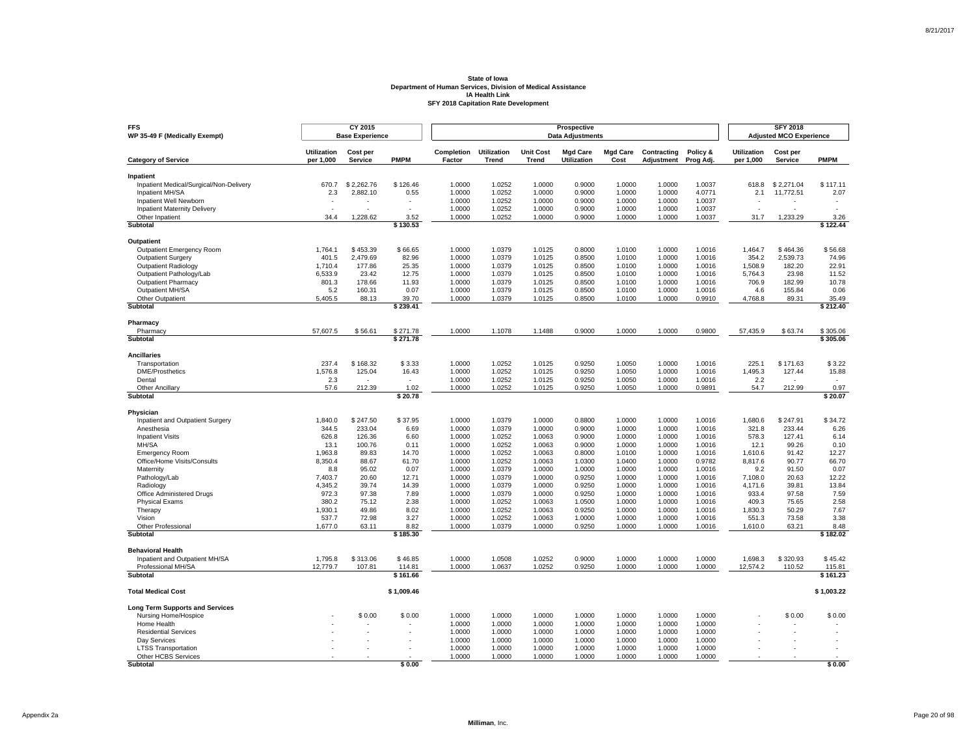| <b>FFS</b><br>WP 35-49 F (Medically Exempt)          |                                 | CY 2015<br><b>Base Experience</b> |                    |                      |                             |                                  | Prospective<br><b>Data Adjustments</b> |                         |                           |                       |                                 | <b>SFY 2018</b><br><b>Adjusted MCO Experience</b> |                    |
|------------------------------------------------------|---------------------------------|-----------------------------------|--------------------|----------------------|-----------------------------|----------------------------------|----------------------------------------|-------------------------|---------------------------|-----------------------|---------------------------------|---------------------------------------------------|--------------------|
| <b>Category of Service</b>                           | <b>Utilization</b><br>per 1,000 | Cost per<br><b>Service</b>        | <b>PMPM</b>        | Completion<br>Factor | <b>Utilization</b><br>Trend | <b>Unit Cost</b><br><b>Trend</b> | <b>Mgd Care</b><br>Utilization         | <b>Mgd Care</b><br>Cost | Contracting<br>Adjustment | Policy &<br>Prog Adj. | <b>Utilization</b><br>per 1,000 | Cost per<br>Service                               | <b>PMPM</b>        |
|                                                      |                                 |                                   |                    |                      |                             |                                  |                                        |                         |                           |                       |                                 |                                                   |                    |
| Inpatient<br>Inpatient Medical/Surgical/Non-Delivery | 670.7                           | \$2.262.76                        | \$126.46           | 1.0000               | 1.0252                      | 1.0000                           | 0.9000                                 | 1.0000                  | 1.0000                    | 1.0037                | 618.8                           | \$2.271.04                                        | \$117.11           |
| Inpatient MH/SA                                      | 2.3                             | 2,882.10                          | 0.55               | 1.0000               | 1.0252                      | 1.0000                           | 0.9000                                 | 1.0000                  | 1.0000                    | 4.0771                | 2.1                             | 11,772.51                                         | 2.07               |
| Inpatient Well Newborn                               |                                 |                                   |                    | 1.0000               | 1.0252                      | 1.0000                           | 0.9000                                 | 1.0000                  | 1.0000                    | 1.0037                |                                 |                                                   |                    |
| <b>Inpatient Maternity Delivery</b>                  |                                 |                                   | $\overline{a}$     | 1.0000               | 1.0252                      | 1.0000                           | 0.9000                                 | 1.0000                  | 1.0000                    | 1.0037                | ÷.                              |                                                   |                    |
| Other Inpatient                                      | 34.4                            | 1.228.62                          | 3.52               | 1.0000               | 1.0252                      | 1.0000                           | 0.9000                                 | 1.0000                  | 1.0000                    | 1.0037                | 31.7                            | 1.233.29                                          | 3.26               |
| Subtotal                                             |                                 |                                   | \$130.53           |                      |                             |                                  |                                        |                         |                           |                       |                                 |                                                   | \$122.44           |
| Outpatient                                           |                                 |                                   |                    |                      |                             |                                  |                                        |                         |                           |                       |                                 |                                                   |                    |
| <b>Outpatient Emergency Room</b>                     | 1,764.1                         | \$453.39                          | \$66.65            | 1.0000               | 1.0379                      | 1.0125                           | 0.8000                                 | 1.0100                  | 1.0000                    | 1.0016                | 1,464.7                         | \$464.36                                          | \$56.68            |
| <b>Outpatient Surgery</b>                            | 401.5                           | 2,479.69                          | 82.96              | 1.0000               | 1.0379                      | 1.0125                           | 0.8500                                 | 1.0100                  | 1.0000                    | 1.0016                | 354.2                           | 2,539.73                                          | 74.96              |
| <b>Outpatient Radiology</b>                          | 1,710.4                         | 177.86                            | 25.35              | 1.0000               | 1.0379                      | 1.0125                           | 0.8500                                 | 1.0100                  | 1.0000                    | 1.0016                | 1,508.9                         | 182.20                                            | 22.91              |
| Outpatient Pathology/Lab                             | 6,533.9                         | 23.42                             | 12.75              | 1.0000               | 1.0379                      | 1.0125                           | 0.8500                                 | 1.0100                  | 1.0000                    | 1.0016                | 5,764.3                         | 23.98                                             | 11.52              |
| <b>Outpatient Pharmacy</b>                           | 801.3                           | 178.66                            | 11.93              | 1.0000               | 1.0379                      | 1.0125                           | 0.8500                                 | 1.0100                  | 1.0000                    | 1.0016                | 706.9                           | 182.99                                            | 10.78              |
| Outpatient MH/SA                                     | 5.2                             | 160.31                            | 0.07               | 1.0000               | 1.0379                      | 1.0125                           | 0.8500                                 | 1.0100                  | 1.0000                    | 1.0016                | 4.6                             | 155.84                                            | 0.06               |
| Other Outpatient                                     | 5,405.5                         | 88.13                             | 39.70              | 1.0000               | 1.0379                      | 1.0125                           | 0.8500                                 | 1.0100                  | 1.0000                    | 0.9910                | 4,768.8                         | 89.31                                             | 35.49              |
| Subtotal                                             |                                 |                                   | \$239.41           |                      |                             |                                  |                                        |                         |                           |                       |                                 |                                                   | \$212.40           |
| Pharmacy                                             |                                 |                                   |                    |                      |                             |                                  |                                        |                         |                           |                       |                                 |                                                   |                    |
| Pharmacy                                             | 57,607.5                        | \$56.61                           | \$271.78           | 1.0000               | 1.1078                      | 1.1488                           | 0.9000                                 | 1.0000                  | 1.0000                    | 0.9800                | 57,435.9                        | \$63.74                                           | \$305.06           |
| Subtotal                                             |                                 |                                   | \$271.78           |                      |                             |                                  |                                        |                         |                           |                       |                                 |                                                   | \$305.06           |
| <b>Ancillaries</b>                                   |                                 |                                   |                    |                      |                             |                                  |                                        |                         |                           |                       |                                 |                                                   |                    |
| Transportation                                       | 237.4                           | \$168.32                          | \$3.33             | 1.0000               | 1.0252                      | 1.0125                           | 0.9250                                 | 1.0050                  | 1.0000                    | 1.0016                | 225.1                           | \$171.63                                          | \$3.22             |
| <b>DME/Prosthetics</b>                               | 1,576.8                         | 125.04                            | 16.43              | 1.0000               | 1.0252                      | 1.0125                           | 0.9250                                 | 1.0050                  | 1.0000                    | 1.0016                | 1,495.3                         | 127.44                                            | 15.88              |
| Dental                                               | 2.3                             | ٠                                 | $\mathbf{r}$       | 1.0000               | 1.0252                      | 1.0125                           | 0.9250                                 | 1.0050                  | 1.0000                    | 1.0016                | 2.2                             |                                                   |                    |
| <b>Other Ancillary</b><br>Subtotal                   | 57.6                            | 212.39                            | 1.02<br>\$20.78    | 1.0000               | 1.0252                      | 1.0125                           | 0.9250                                 | 1.0050                  | 1.0000                    | 0.9891                | 54.7                            | 212.99                                            | 0.97<br>\$20.07    |
|                                                      |                                 |                                   |                    |                      |                             |                                  |                                        |                         |                           |                       |                                 |                                                   |                    |
| Physician<br>Inpatient and Outpatient Surgery        | 1,840.0                         | \$247.50                          | \$37.95            | 1.0000               | 1.0379                      | 1.0000                           | 0.8800                                 | 1.0000                  | 1.0000                    | 1.0016                | 1,680.6                         | \$247.91                                          | \$34.72            |
| Anesthesia                                           | 344.5                           | 233.04                            | 6.69               | 1.0000               | 1.0379                      | 1.0000                           | 0.9000                                 | 1.0000                  | 1.0000                    | 1.0016                | 321.8                           | 233.44                                            | 6.26               |
| <b>Inpatient Visits</b>                              | 626.8                           | 126.36                            | 6.60               | 1.0000               | 1.0252                      | 1.0063                           | 0.9000                                 | 1.0000                  | 1.0000                    | 1.0016                | 578.3                           | 127.41                                            | 6.14               |
| MH/SA                                                | 13.1                            | 100.76                            | 0.11               | 1.0000               | 1.0252                      | 1.0063                           | 0.9000                                 | 1.0000                  | 1.0000                    | 1.0016                | 12.1                            | 99.26                                             | 0.10               |
| <b>Emergency Room</b>                                | 1,963.8                         | 89.83                             | 14.70              | 1.0000               | 1.0252                      | 1.0063                           | 0.8000                                 | 1.0100                  | 1.0000                    | 1.0016                | 1,610.6                         | 91.42                                             | 12.27              |
| Office/Home Visits/Consults                          | 8,350.4                         | 88.67                             | 61.70              | 1.0000               | 1.0252                      | 1.0063                           | 1.0300                                 | 1.0400                  | 1.0000                    | 0.9782                | 8,817.6                         | 90.77                                             | 66.70              |
| Maternity                                            | 8.8                             | 95.02                             | 0.07               | 1.0000               | 1.0379                      | 1.0000                           | 1.0000                                 | 1.0000                  | 1.0000                    | 1.0016                | 9.2                             | 91.50                                             | 0.07               |
| Pathology/Lab                                        | 7,403.7                         | 20.60                             | 12.71              | 1.0000               | 1.0379                      | 1.0000                           | 0.9250                                 | 1.0000                  | 1.0000                    | 1.0016                | 7.108.0                         | 20.63                                             | 12.22              |
| Radiology                                            | 4,345.2                         | 39.74                             | 14.39              | 1.0000               | 1.0379                      | 1.0000                           | 0.9250                                 | 1.0000                  | 1.0000                    | 1.0016                | 4,171.6                         | 39.81                                             | 13.84              |
| Office Administered Drugs                            | 972.3                           | 97.38                             | 7.89               | 1.0000               | 1.0379                      | 1.0000                           | 0.9250                                 | 1.0000                  | 1.0000                    | 1.0016                | 933.4                           | 97.58                                             | 7.59               |
| <b>Physical Exams</b>                                | 380.2                           | 75.12                             | 2.38               | 1.0000               | 1.0252                      | 1.0063                           | 1.0500                                 | 1.0000                  | 1.0000                    | 1.0016                | 409.3                           | 75.65                                             | 2.58               |
| Therapy                                              | 1,930.1                         | 49.86                             | 8.02               | 1.0000               | 1.0252                      | 1.0063                           | 0.9250                                 | 1.0000                  | 1.0000                    | 1.0016                | 1,830.3                         | 50.29                                             | 7.67               |
| Vision                                               | 537.7                           | 72.98                             | 3.27               | 1.0000               | 1.0252                      | 1.0063                           | 1.0000                                 | 1.0000                  | 1.0000                    | 1.0016                | 551.3                           | 73.58                                             | 3.38               |
| Other Professional<br>Subtotal                       | 1,677.0                         | 63.11                             | 8.82<br>\$185.30   | 1.0000               | 1.0379                      | 1.0000                           | 0.9250                                 | 1.0000                  | 1.0000                    | 1.0016                | 1,610.0                         | 63.21                                             | 8.48<br>\$182.02   |
|                                                      |                                 |                                   |                    |                      |                             |                                  |                                        |                         |                           |                       |                                 |                                                   |                    |
| <b>Behavioral Health</b>                             |                                 |                                   |                    |                      |                             |                                  |                                        |                         |                           |                       |                                 |                                                   |                    |
| Inpatient and Outpatient MH/SA                       | 1,795.8                         | \$313.06                          | \$46.85            | 1.0000               | 1.0508                      | 1.0252                           | 0.9000                                 | 1.0000                  | 1.0000                    | 1.0000                | 1,698.3                         | \$320.93                                          | \$45.42            |
| Professional MH/SA<br><b>Subtotal</b>                | 12,779.7                        | 107.81                            | 114.81<br>\$161.66 | 1.0000               | 1.0637                      | 1.0252                           | 0.9250                                 | 1.0000                  | 1.0000                    | 1.0000                | 12,574.2                        | 110.52                                            | 115.81<br>\$161.23 |
|                                                      |                                 |                                   |                    |                      |                             |                                  |                                        |                         |                           |                       |                                 |                                                   |                    |
| <b>Total Medical Cost</b>                            |                                 |                                   | \$1,009.46         |                      |                             |                                  |                                        |                         |                           |                       |                                 |                                                   | \$1,003.22         |
| <b>Long Term Supports and Services</b>               |                                 |                                   |                    |                      |                             |                                  |                                        |                         |                           |                       |                                 |                                                   |                    |
| Nursing Home/Hospice                                 |                                 | \$0.00                            | \$0.00             | 1.0000               | 1.0000                      | 1.0000                           | 1.0000                                 | 1.0000                  | 1.0000                    | 1.0000                |                                 | \$0.00                                            | \$0.00             |
| Home Health                                          |                                 |                                   |                    | 1.0000               | 1.0000                      | 1.0000<br>1.0000                 | 1.0000<br>1.0000                       | 1.0000                  | 1.0000                    | 1.0000<br>1.0000      |                                 |                                                   |                    |
| <b>Residential Services</b><br>Dav Services          |                                 |                                   |                    | 1.0000<br>1.0000     | 1.0000<br>1.0000            | 1.0000                           | 1.0000                                 | 1.0000<br>1.0000        | 1.0000<br>1.0000          | 1.0000                |                                 |                                                   |                    |
| <b>LTSS Transportation</b>                           |                                 |                                   |                    | 1.0000               | 1.0000                      | 1.0000                           | 1.0000                                 | 1.0000                  | 1.0000                    | 1.0000                |                                 |                                                   |                    |
| Other HCBS Services                                  |                                 |                                   |                    | 1.0000               | 1.0000                      | 1.0000                           | 1.0000                                 | 1.0000                  | 1.0000                    | 1.0000                |                                 |                                                   |                    |
| Subtotal                                             |                                 |                                   | \$0.00             |                      |                             |                                  |                                        |                         |                           |                       |                                 |                                                   | \$0.00             |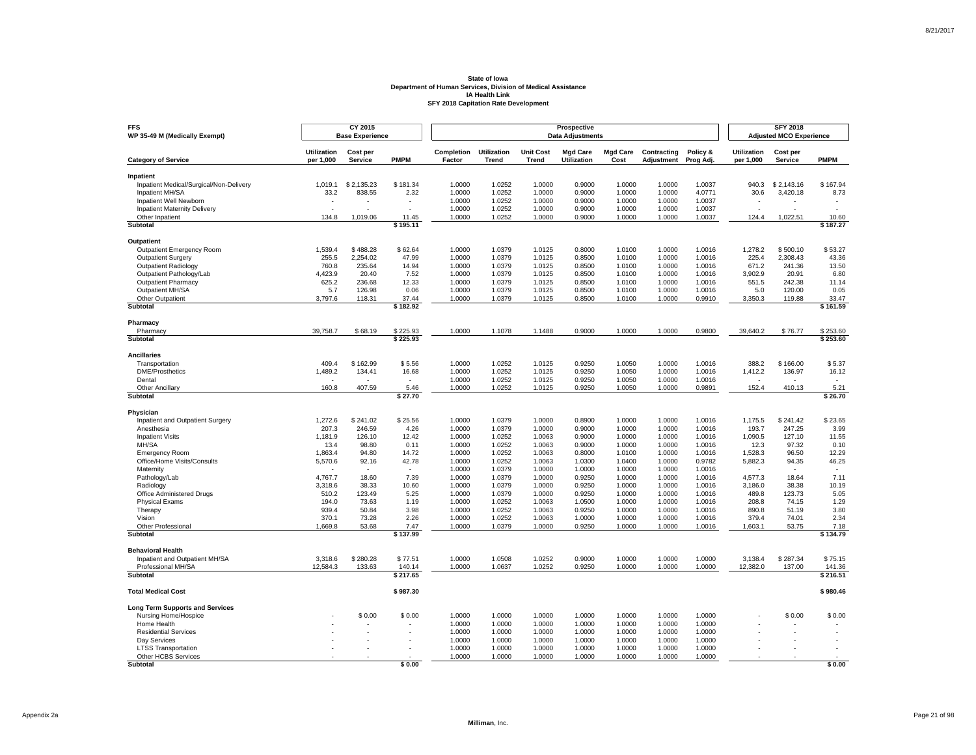| <b>FFS</b><br>WP 35-49 M (Medically Exempt)          |                                 | CY 2015<br><b>Base Experience</b> |                   |                      |                             |                                  | Prospective<br><b>Data Adjustments</b> |                         |                           |                       |                                 | <b>SFY 2018</b><br><b>Adjusted MCO Experience</b> |                   |
|------------------------------------------------------|---------------------------------|-----------------------------------|-------------------|----------------------|-----------------------------|----------------------------------|----------------------------------------|-------------------------|---------------------------|-----------------------|---------------------------------|---------------------------------------------------|-------------------|
| <b>Category of Service</b>                           | <b>Utilization</b><br>per 1,000 | Cost per<br><b>Service</b>        | <b>PMPM</b>       | Completion<br>Factor | <b>Utilization</b><br>Trend | <b>Unit Cost</b><br><b>Trend</b> | <b>Mgd Care</b><br>Utilization         | <b>Mgd Care</b><br>Cost | Contracting<br>Adjustment | Policy &<br>Prog Adj. | <b>Utilization</b><br>per 1,000 | Cost per<br>Service                               | <b>PMPM</b>       |
| Inpatient                                            |                                 |                                   |                   |                      |                             |                                  |                                        |                         |                           |                       |                                 |                                                   |                   |
| Inpatient Medical/Surgical/Non-Delivery              | 1.019.1                         | \$2.135.23                        | \$181.34          | 1.0000               | 1.0252                      | 1.0000                           | 0.9000                                 | 1.0000                  | 1.0000                    | 1.0037                | 940.3                           | \$2.143.16                                        | \$167.94          |
| Inpatient MH/SA                                      | 33.2                            | 838.55                            | 2.32              | 1.0000               | 1.0252                      | 1.0000                           | 0.9000                                 | 1.0000                  | 1.0000                    | 4.0771                | 30.6                            | 3,420.18                                          | 8.73              |
| Inpatient Well Newborn                               |                                 |                                   |                   | 1.0000               | 1.0252                      | 1.0000                           | 0.9000                                 | 1.0000                  | 1.0000                    | 1.0037                |                                 |                                                   |                   |
| <b>Inpatient Maternity Delivery</b>                  |                                 |                                   | $\overline{a}$    | 1.0000               | 1.0252                      | 1.0000                           | 0.9000                                 | 1.0000                  | 1.0000                    | 1.0037                | $\sim$                          |                                                   |                   |
| Other Inpatient                                      | 134.8                           | 1.019.06                          | 11.45             | 1.0000               | 1.0252                      | 1.0000                           | 0.9000                                 | 1.0000                  | 1.0000                    | 1.0037                | 124.4                           | 1.022.51                                          | 10.60             |
| Subtotal                                             |                                 |                                   | \$195.11          |                      |                             |                                  |                                        |                         |                           |                       |                                 |                                                   | \$187.27          |
| Outpatient                                           |                                 |                                   |                   |                      |                             |                                  |                                        |                         |                           |                       |                                 |                                                   |                   |
| <b>Outpatient Emergency Room</b>                     | 1,539.4                         | \$488.28                          | \$62.64           | 1.0000               | 1.0379                      | 1.0125                           | 0.8000                                 | 1.0100                  | 1.0000                    | 1.0016                | 1,278.2                         | \$500.10                                          | \$53.27           |
| <b>Outpatient Surgery</b>                            | 255.5                           | 2,254.02                          | 47.99             | 1.0000               | 1.0379                      | 1.0125                           | 0.8500                                 | 1.0100                  | 1.0000                    | 1.0016                | 225.4                           | 2.308.43                                          | 43.36             |
| <b>Outpatient Radiology</b>                          | 760.8                           | 235.64                            | 14.94             | 1.0000               | 1.0379                      | 1.0125                           | 0.8500                                 | 1.0100                  | 1.0000                    | 1.0016                | 671.2                           | 241.36                                            | 13.50             |
| Outpatient Pathology/Lab                             | 4,423.9                         | 20.40                             | 7.52              | 1.0000               | 1.0379                      | 1.0125                           | 0.8500                                 | 1.0100                  | 1.0000                    | 1.0016                | 3,902.9                         | 20.91                                             | 6.80              |
| <b>Outpatient Pharmacy</b><br>Outpatient MH/SA       | 625.2<br>5.7                    | 236.68<br>126.98                  | 12.33<br>0.06     | 1.0000<br>1.0000     | 1.0379<br>1.0379            | 1.0125<br>1.0125                 | 0.8500<br>0.8500                       | 1.0100<br>1.0100        | 1.0000<br>1.0000          | 1.0016<br>1.0016      | 551.5<br>5.0                    | 242.38<br>120.00                                  | 11.14<br>0.05     |
| Other Outpatient                                     | 3,797.6                         | 118.31                            | 37.44             | 1.0000               | 1.0379                      | 1.0125                           | 0.8500                                 | 1.0100                  | 1.0000                    | 0.9910                | 3,350.3                         | 119.88                                            | 33.47             |
| Subtotal                                             |                                 |                                   | \$182.92          |                      |                             |                                  |                                        |                         |                           |                       |                                 |                                                   | \$161.59          |
|                                                      |                                 |                                   |                   |                      |                             |                                  |                                        |                         |                           |                       |                                 |                                                   |                   |
| Pharmacy<br>Pharmacy                                 | 39,758.7                        | \$68.19                           | \$225.93          | 1.0000               | 1.1078                      | 1.1488                           | 0.9000                                 | 1.0000                  | 1.0000                    | 0.9800                | 39,640.2                        | \$76.77                                           | \$253.60          |
| Subtotal                                             |                                 |                                   | \$225.93          |                      |                             |                                  |                                        |                         |                           |                       |                                 |                                                   | \$253.60          |
| <b>Ancillaries</b>                                   |                                 |                                   |                   |                      |                             |                                  |                                        |                         |                           |                       |                                 |                                                   |                   |
| Transportation                                       | 409.4                           | \$162.99                          | \$5.56            | 1.0000               | 1.0252                      | 1.0125                           | 0.9250                                 | 1.0050                  | 1.0000                    | 1.0016                | 388.2                           | \$166.00                                          | \$5.37            |
| <b>DME/Prosthetics</b>                               | 1,489.2                         | 134.41                            | 16.68             | 1.0000               | 1.0252                      | 1.0125                           | 0.9250                                 | 1.0050                  | 1.0000                    | 1.0016                | 1,412.2                         | 136.97                                            | 16.12             |
| Dental                                               | $\mathbf{r}$                    |                                   | $\sim$            | 1.0000               | 1.0252                      | 1.0125                           | 0.9250                                 | 1.0050                  | 1.0000                    | 1.0016                | $\sim$                          |                                                   |                   |
| <b>Other Ancillary</b>                               | 160.8                           | 407.59                            | 5.46              | 1.0000               | 1.0252                      | 1.0125                           | 0.9250                                 | 1.0050                  | 1.0000                    | 0.9891                | 152.4                           | 410.13                                            | 5.21              |
| Subtotal                                             |                                 |                                   | \$27.70           |                      |                             |                                  |                                        |                         |                           |                       |                                 |                                                   | \$26.70           |
| Physician                                            |                                 |                                   |                   |                      |                             |                                  |                                        |                         |                           |                       |                                 |                                                   |                   |
| Inpatient and Outpatient Surgery                     | 1,272.6                         | \$241.02                          | \$25.56           | 1.0000               | 1.0379                      | 1.0000                           | 0.8900                                 | 1.0000                  | 1.0000                    | 1.0016                | 1,175.5                         | \$241.42                                          | \$23.65           |
| Anesthesia                                           | 207.3                           | 246.59                            | 4.26              | 1.0000               | 1.0379                      | 1.0000                           | 0.9000                                 | 1.0000                  | 1.0000                    | 1.0016                | 193.7                           | 247.25                                            | 3.99              |
| <b>Inpatient Visits</b>                              | 1,181.9                         | 126.10                            | 12.42             | 1.0000               | 1.0252                      | 1.0063                           | 0.9000                                 | 1.0000                  | 1.0000                    | 1.0016                | 1,090.5                         | 127.10                                            | 11.55             |
| MH/SA                                                | 13.4<br>1,863.4                 | 98.80<br>94.80                    | 0.11<br>14.72     | 1.0000<br>1.0000     | 1.0252<br>1.0252            | 1.0063<br>1.0063                 | 0.9000<br>0.8000                       | 1.0000<br>1.0100        | 1.0000<br>1.0000          | 1.0016<br>1.0016      | 12.3<br>1,528.3                 | 97.32<br>96.50                                    | 0.10<br>12.29     |
| <b>Emergency Room</b><br>Office/Home Visits/Consults | 5,570.6                         | 92.16                             | 42.78             | 1.0000               | 1.0252                      | 1.0063                           | 1.0300                                 | 1.0400                  | 1.0000                    | 0.9782                | 5,882.3                         | 94.35                                             | 46.25             |
| Maternity                                            |                                 |                                   |                   | 1.0000               | 1.0379                      | 1.0000                           | 1.0000                                 | 1.0000                  | 1.0000                    | 1.0016                |                                 |                                                   |                   |
| Pathology/Lab                                        | 4,767.7                         | 18.60                             | 7.39              | 1.0000               | 1.0379                      | 1.0000                           | 0.9250                                 | 1.0000                  | 1.0000                    | 1.0016                | 4,577.3                         | 18.64                                             | 7.11              |
| Radiology                                            | 3,318.6                         | 38.33                             | 10.60             | 1.0000               | 1.0379                      | 1.0000                           | 0.9250                                 | 1.0000                  | 1.0000                    | 1.0016                | 3,186.0                         | 38.38                                             | 10.19             |
| Office Administered Drugs                            | 510.2                           | 123.49                            | 5.25              | 1.0000               | 1.0379                      | 1.0000                           | 0.9250                                 | 1.0000                  | 1.0000                    | 1.0016                | 489.8                           | 123.73                                            | 5.05              |
| <b>Physical Exams</b>                                | 194.0                           | 73.63                             | 1.19              | 1.0000               | 1.0252                      | 1.0063                           | 1.0500                                 | 1.0000                  | 1.0000                    | 1.0016                | 208.8                           | 74.15                                             | 1.29              |
| Therapy                                              | 939.4                           | 50.84                             | 3.98              | 1.0000               | 1.0252                      | 1.0063                           | 0.9250                                 | 1.0000                  | 1.0000                    | 1.0016                | 890.8                           | 51.19                                             | 3.80              |
| Vision                                               | 370.1                           | 73.28                             | 2.26              | 1.0000               | 1.0252                      | 1.0063                           | 1.0000                                 | 1.0000                  | 1.0000                    | 1.0016                | 379.4                           | 74.01                                             | 2.34              |
| Other Professional<br>Subtotal                       | 1,669.8                         | 53.68                             | 7.47<br>\$137.99  | 1.0000               | 1.0379                      | 1.0000                           | 0.9250                                 | 1.0000                  | 1.0000                    | 1.0016                | 1,603.1                         | 53.75                                             | 7.18<br>\$134.79  |
|                                                      |                                 |                                   |                   |                      |                             |                                  |                                        |                         |                           |                       |                                 |                                                   |                   |
| <b>Behavioral Health</b>                             |                                 |                                   |                   |                      |                             |                                  |                                        |                         |                           |                       |                                 |                                                   |                   |
| Inpatient and Outpatient MH/SA<br>Professional MH/SA | 3,318.6<br>12,584.3             | \$280.28<br>133.63                | \$77.51<br>140.14 | 1.0000<br>1.0000     | 1.0508<br>1.0637            | 1.0252<br>1.0252                 | 0.9000<br>0.9250                       | 1.0000<br>1.0000        | 1.0000<br>1.0000          | 1.0000<br>1.0000      | 3,138.4<br>12,382.0             | \$287.34<br>137.00                                | \$75.15<br>141.36 |
| <b>Subtotal</b>                                      |                                 |                                   | \$217.65          |                      |                             |                                  |                                        |                         |                           |                       |                                 |                                                   | \$216.51          |
| <b>Total Medical Cost</b>                            |                                 |                                   |                   |                      |                             |                                  |                                        |                         |                           |                       |                                 |                                                   |                   |
|                                                      |                                 |                                   | \$987.30          |                      |                             |                                  |                                        |                         |                           |                       |                                 |                                                   | \$980.46          |
| <b>Long Term Supports and Services</b>               |                                 |                                   |                   |                      |                             |                                  |                                        |                         |                           |                       |                                 |                                                   |                   |
| Nursing Home/Hospice                                 |                                 | \$0.00                            | \$0.00            | 1.0000               | 1.0000                      | 1.0000                           | 1.0000                                 | 1.0000                  | 1.0000                    | 1.0000                |                                 | \$0.00                                            | \$0.00            |
| Home Health                                          |                                 |                                   |                   | 1.0000               | 1.0000                      | 1.0000<br>1.0000                 | 1.0000<br>1.0000                       | 1.0000                  | 1.0000                    | 1.0000<br>1.0000      |                                 |                                                   |                   |
| <b>Residential Services</b><br>Dav Services          |                                 |                                   |                   | 1.0000<br>1.0000     | 1.0000<br>1.0000            | 1.0000                           | 1.0000                                 | 1.0000<br>1.0000        | 1.0000<br>1.0000          | 1.0000                |                                 |                                                   |                   |
| <b>LTSS Transportation</b>                           |                                 |                                   |                   | 1.0000               | 1.0000                      | 1.0000                           | 1.0000                                 | 1.0000                  | 1.0000                    | 1.0000                |                                 |                                                   |                   |
| Other HCBS Services                                  |                                 |                                   |                   | 1.0000               | 1.0000                      | 1.0000                           | 1.0000                                 | 1.0000                  | 1.0000                    | 1.0000                |                                 |                                                   |                   |
| Subtotal                                             |                                 |                                   | \$0.00            |                      |                             |                                  |                                        |                         |                           |                       |                                 |                                                   | \$0.00            |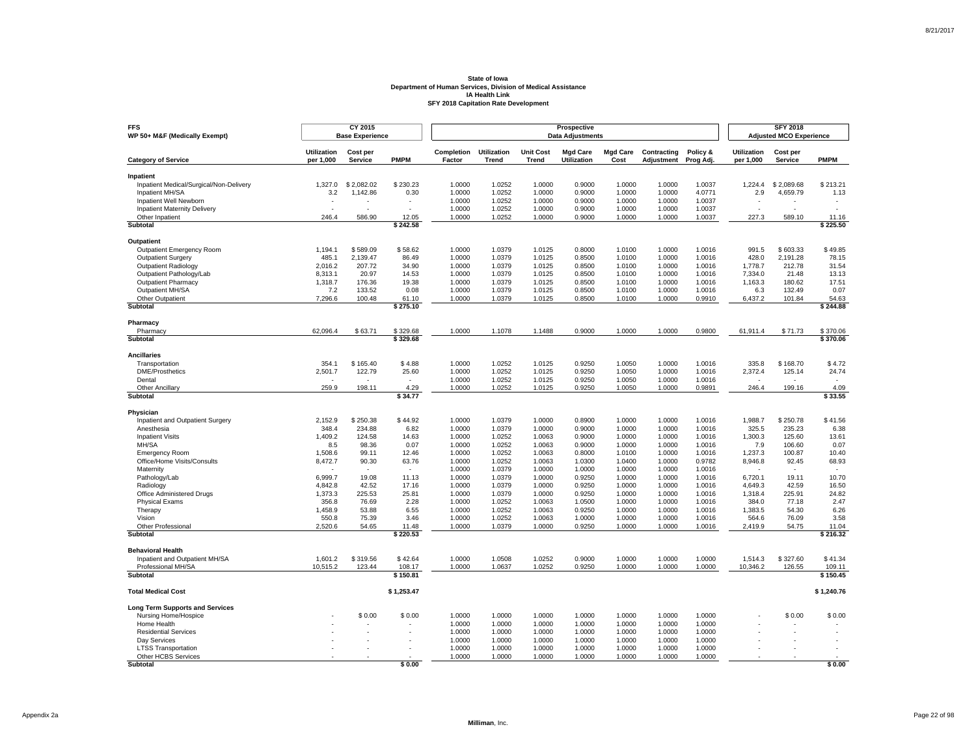| <b>Utilization</b><br>Completion<br><b>Utilization</b><br><b>Unit Cost</b><br><b>Mgd Care</b><br><b>Mgd Care</b><br>Contracting<br>Policy &<br><b>Utilization</b><br>Cost per<br>Cost per<br><b>PMPM</b><br>per 1,000<br>Factor<br>Trend<br>Utilization<br>Cost<br>per 1,000<br><b>Category of Service</b><br><b>Service</b><br><b>Trend</b><br>Adjustment<br>Prog Adj.<br>Service<br>Inpatient<br>Inpatient Medical/Surgical/Non-Delivery<br>1.327.0<br>\$2.082.02<br>\$230.23<br>1.0000<br>1.0252<br>1.0000<br>0.9000<br>1.0000<br>1.0000<br>1.0037<br>1.224.4<br>\$2.089.68<br>1.0252<br>1.0000<br>0.9000<br>1.0000<br>4.0771<br>4,659.79<br>Inpatient MH/SA<br>3.2<br>1,142.86<br>0.30<br>1.0000<br>1.0000<br>2.9<br>Inpatient Well Newborn<br>1.0000<br>1.0252<br>1.0000<br>0.9000<br>1.0000<br>1.0000<br>1.0037<br>1.0000<br>1.0252<br>1.0000<br>0.9000<br>1.0000<br>1.0000<br>1.0037<br><b>Inpatient Maternity Delivery</b><br>$\sim$<br>٠<br>$\overline{a}$<br>1.0252<br>Other Inpatient<br>246.4<br>586.90<br>12.05<br>1.0000<br>1.0000<br>0.9000<br>1.0000<br>1.0000<br>1.0037<br>227.3<br>589.10<br>Subtotal<br>\$242.58<br>Outpatient<br>1,194.1<br>\$589.09<br>\$58.62<br>1.0000<br>1.0379<br>1.0125<br>0.8000<br>1.0100<br>1.0000<br>1.0016<br>991.5<br>\$603.33<br><b>Outpatient Emergency Room</b><br><b>Outpatient Surgery</b><br>485.1<br>2,139.47<br>86.49<br>1.0000<br>1.0379<br>1.0125<br>0.8500<br>1.0100<br>1.0000<br>1.0016<br>428.0<br>2.191.28<br>207.72<br>34.90<br>1.0000<br>1.0379<br>1.0125<br>0.8500<br>1.0100<br>1.0000<br>1.0016<br>212.78<br><b>Outpatient Radiology</b><br>2,016.2<br>1,778.7<br>Outpatient Pathology/Lab<br>1.0125<br>8,313.1<br>20.97<br>14.53<br>1.0000<br>1.0379<br>0.8500<br>1.0100<br>1.0000<br>1.0016<br>7,334.0<br>21.48<br><b>Outpatient Pharmacy</b><br>1,318.7<br>176.36<br>19.38<br>1.0000<br>1.0379<br>1.0125<br>0.8500<br>1.0100<br>1.0000<br>1.0016<br>1,163.3<br>180.62<br>Outpatient MH/SA<br>7.2<br>133.52<br>0.08<br>1.0000<br>1.0379<br>1.0125<br>0.8500<br>1.0100<br>1.0000<br>1.0016<br>6.3<br>132.49<br>1.0125<br>1.0000<br>0.9910<br>Other Outpatient<br>7,296.6<br>100.48<br>1.0000<br>1.0379<br>0.8500<br>1.0100<br>6,437.2<br>101.84<br>61.10<br>Subtotal<br>\$275.10<br>Pharmacy<br>Pharmacy<br>62,096.4<br>\$63.71<br>\$329.68<br>1.0000<br>1.1078<br>1.1488<br>0.9000<br>1.0000<br>1.0000<br>0.9800<br>61,911.4<br>\$71.73<br>Subtotal<br>\$329.68<br><b>Ancillaries</b><br>354.1<br>\$165.40<br>\$4.88<br>1.0000<br>1.0252<br>1.0125<br>0.9250<br>1.0016<br>335.8<br>\$168.70<br>Transportation<br>1.0050<br>1.0000<br><b>DME/Prosthetics</b><br>122.79<br>25.60<br>1.0252<br>1.0125<br>0.9250<br>1.0016<br>2,372.4<br>2,501.7<br>1.0000<br>1.0050<br>1.0000<br>125.14<br>1.0252<br>1.0125<br>0.9250<br>Dental<br>1.0000<br>1.0050<br>1.0000<br>1.0016<br>$\overline{a}$<br>٠<br>$\mathbf{r}$<br>259.9<br>198.11<br>1.0000<br>1.0252<br>1.0125<br>0.9250<br>1.0050<br>1.0000<br>0.9891<br>246.4<br>199.16<br><b>Other Ancillary</b><br>4.29<br>Subtotal<br>\$34.77<br>Physician<br>\$44.92<br>1.0000<br>1.0379<br>1.0000<br>\$41.56<br>Inpatient and Outpatient Surgery<br>2,152.9<br>\$250.38<br>0.8900<br>1.0000<br>1.0000<br>1.0016<br>1,988.7<br>\$250.78<br>348.4<br>6.82<br>1.0000<br>325.5<br>Anesthesia<br>234.88<br>1.0000<br>1.0379<br>0.9000<br>1.0000<br>1.0000<br>1.0016<br>235.23<br>1,409.2<br>1.0000<br>1.0252<br>1.0063<br>0.9000<br>1.0000<br>1.0016<br>1,300.3<br>125.60<br><b>Inpatient Visits</b><br>124.58<br>14.63<br>1.0000<br>MH/SA<br>0.07<br>1.0252<br>1.0063<br>8.5<br>98.36<br>1.0000<br>0.9000<br>1.0000<br>1.0000<br>1.0016<br>7.9<br>106.60<br>1,508.6<br>99.11<br>12.46<br>1.0000<br>1.0252<br>1.0063<br>0.8000<br>1.0100<br>1.0000<br>1.0016<br>1,237.3<br>100.87<br><b>Emergency Room</b><br>Office/Home Visits/Consults<br>8,472.7<br>90.30<br>63.76<br>1.0000<br>1.0252<br>1.0063<br>1.0300<br>1.0400<br>1.0000<br>0.9782<br>8,946.8<br>92.45<br>Maternity<br>1.0000<br>1.0379<br>1.0000<br>1.0000<br>1.0000<br>1.0000<br>1.0016<br>6,999.7<br>19.08<br>11.13<br>1.0000<br>1.0379<br>1.0000<br>0.9250<br>1.0000<br>1.0000<br>1.0016<br>6,720.1<br>19.11<br>Pathology/Lab<br>4,842.8<br>42.52<br>1.0000<br>1.0379<br>1.0000<br>0.9250<br>1.0000<br>1.0000<br>1.0016<br>4,649.3<br>42.59<br>Radiology<br>17.16<br>225.53<br>25.81<br>1.0000<br>1.0000<br>0.9250<br>Office Administered Drugs<br>1,373.3<br>1.0379<br>1.0000<br>1.0000<br>1.0016<br>1,318.4<br>225.91<br>356.8<br>1.0252<br>1.0063<br>1.0500<br><b>Physical Exams</b><br>76.69<br>2.28<br>1.0000<br>1.0000<br>1.0000<br>1.0016<br>384.0<br>77.18<br>0.9250<br>1.0016<br>1,383.5<br>Therapy<br>1,458.9<br>53.88<br>6.55<br>1.0000<br>1.0252<br>1.0063<br>1.0000<br>1.0000<br>54.30<br>Vision<br>550.8<br>75.39<br>3.46<br>1.0000<br>1.0252<br>1.0063<br>1.0000<br>1.0000<br>1.0000<br>1.0016<br>564.6<br>76.09<br>2,520.6<br>1.0000<br>1.0379<br>1.0000<br>0.9250<br>1.0000<br>1.0000<br>1.0016<br>2,419.9<br>54.75<br>Other Professional<br>54.65<br>11.48<br>\$220.53<br>Subtotal<br><b>Behavioral Health</b><br>Inpatient and Outpatient MH/SA<br>1,601.2<br>\$319.56<br>\$42.64<br>1.0000<br>1.0508<br>1.0252<br>0.9000<br>1.0000<br>1.0000<br>1.0000<br>1,514.3<br>\$327.60<br>Professional MH/SA<br>10,515.2<br>123.44<br>108.17<br>1.0000<br>1.0637<br>1.0252<br>0.9250<br>1.0000<br>1.0000<br>1.0000<br>10,346.2<br>126.55<br><b>Subtotal</b><br>\$150.81<br><b>Total Medical Cost</b><br>\$1,253.47<br><b>Long Term Supports and Services</b><br>\$0.00<br>1.0000<br>1.0000<br>1.0000<br>1.0000<br>1.0000<br>1.0000<br>1.0000<br>\$0.00<br>Nursing Home/Hospice<br>\$0.00<br>1.0000<br>1.0000<br>1.0000<br>1.0000<br>1.0000<br>1.0000<br>Home Health<br>1.0000<br>1.0000<br>1.0000<br>1.0000<br><b>Residential Services</b><br>1.0000<br>1.0000<br>1.0000<br>1.0000<br>Dav Services<br>1.0000<br>1.0000<br>1.0000<br>1.0000<br>1.0000<br>1.0000<br>1.0000<br>1.0000<br>1.0000<br>1.0000<br>1.0000<br>1.0000<br>1.0000<br>1.0000<br><b>LTSS Transportation</b> | <b>FFS</b><br>WP 50+ M&F (Medically Exempt) | CY 2015<br><b>Base Experience</b> |  |  | Prospective<br><b>Data Adjustments</b> |  |  | <b>SFY 2018</b><br><b>Adjusted MCO Experience</b> |                    |
|-----------------------------------------------------------------------------------------------------------------------------------------------------------------------------------------------------------------------------------------------------------------------------------------------------------------------------------------------------------------------------------------------------------------------------------------------------------------------------------------------------------------------------------------------------------------------------------------------------------------------------------------------------------------------------------------------------------------------------------------------------------------------------------------------------------------------------------------------------------------------------------------------------------------------------------------------------------------------------------------------------------------------------------------------------------------------------------------------------------------------------------------------------------------------------------------------------------------------------------------------------------------------------------------------------------------------------------------------------------------------------------------------------------------------------------------------------------------------------------------------------------------------------------------------------------------------------------------------------------------------------------------------------------------------------------------------------------------------------------------------------------------------------------------------------------------------------------------------------------------------------------------------------------------------------------------------------------------------------------------------------------------------------------------------------------------------------------------------------------------------------------------------------------------------------------------------------------------------------------------------------------------------------------------------------------------------------------------------------------------------------------------------------------------------------------------------------------------------------------------------------------------------------------------------------------------------------------------------------------------------------------------------------------------------------------------------------------------------------------------------------------------------------------------------------------------------------------------------------------------------------------------------------------------------------------------------------------------------------------------------------------------------------------------------------------------------------------------------------------------------------------------------------------------------------------------------------------------------------------------------------------------------------------------------------------------------------------------------------------------------------------------------------------------------------------------------------------------------------------------------------------------------------------------------------------------------------------------------------------------------------------------------------------------------------------------------------------------------------------------------------------------------------------------------------------------------------------------------------------------------------------------------------------------------------------------------------------------------------------------------------------------------------------------------------------------------------------------------------------------------------------------------------------------------------------------------------------------------------------------------------------------------------------------------------------------------------------------------------------------------------------------------------------------------------------------------------------------------------------------------------------------------------------------------------------------------------------------------------------------------------------------------------------------------------------------------------------------------------------------------------------------------------------------------------------------------------------------------------------------------------------------------------------------------------------------------------------------------------------------------------------------------------------------------------------------------------------------------------------------------------------------------------------------------------------------------------------------------------------------------------------------------------------------------------------------------------------------------------------------------------------------------------------------------------------------------------------------------------------------------------------------------------------------------------------------------------------------------------------------------------------------------------------------------------------------------------------------------------------------------------------------------------------------------------------------------------------------------------------------------------------------------------------------------------------------------------------------------------------------------------------------------------------------------------------|---------------------------------------------|-----------------------------------|--|--|----------------------------------------|--|--|---------------------------------------------------|--------------------|
|                                                                                                                                                                                                                                                                                                                                                                                                                                                                                                                                                                                                                                                                                                                                                                                                                                                                                                                                                                                                                                                                                                                                                                                                                                                                                                                                                                                                                                                                                                                                                                                                                                                                                                                                                                                                                                                                                                                                                                                                                                                                                                                                                                                                                                                                                                                                                                                                                                                                                                                                                                                                                                                                                                                                                                                                                                                                                                                                                                                                                                                                                                                                                                                                                                                                                                                                                                                                                                                                                                                                                                                                                                                                                                                                                                                                                                                                                                                                                                                                                                                                                                                                                                                                                                                                                                                                                                                                                                                                                                                                                                                                                                                                                                                                                                                                                                                                                                                                                                                                                                                                                                                                                                                                                                                                                                                                                                                                                                                                                                                                                                                                                                                                                                                                                                                                                                                                                                                                                                                                                                                           |                                             |                                   |  |  |                                        |  |  |                                                   | <b>PMPM</b>        |
|                                                                                                                                                                                                                                                                                                                                                                                                                                                                                                                                                                                                                                                                                                                                                                                                                                                                                                                                                                                                                                                                                                                                                                                                                                                                                                                                                                                                                                                                                                                                                                                                                                                                                                                                                                                                                                                                                                                                                                                                                                                                                                                                                                                                                                                                                                                                                                                                                                                                                                                                                                                                                                                                                                                                                                                                                                                                                                                                                                                                                                                                                                                                                                                                                                                                                                                                                                                                                                                                                                                                                                                                                                                                                                                                                                                                                                                                                                                                                                                                                                                                                                                                                                                                                                                                                                                                                                                                                                                                                                                                                                                                                                                                                                                                                                                                                                                                                                                                                                                                                                                                                                                                                                                                                                                                                                                                                                                                                                                                                                                                                                                                                                                                                                                                                                                                                                                                                                                                                                                                                                                           |                                             |                                   |  |  |                                        |  |  |                                                   |                    |
|                                                                                                                                                                                                                                                                                                                                                                                                                                                                                                                                                                                                                                                                                                                                                                                                                                                                                                                                                                                                                                                                                                                                                                                                                                                                                                                                                                                                                                                                                                                                                                                                                                                                                                                                                                                                                                                                                                                                                                                                                                                                                                                                                                                                                                                                                                                                                                                                                                                                                                                                                                                                                                                                                                                                                                                                                                                                                                                                                                                                                                                                                                                                                                                                                                                                                                                                                                                                                                                                                                                                                                                                                                                                                                                                                                                                                                                                                                                                                                                                                                                                                                                                                                                                                                                                                                                                                                                                                                                                                                                                                                                                                                                                                                                                                                                                                                                                                                                                                                                                                                                                                                                                                                                                                                                                                                                                                                                                                                                                                                                                                                                                                                                                                                                                                                                                                                                                                                                                                                                                                                                           |                                             |                                   |  |  |                                        |  |  |                                                   | \$213.21           |
|                                                                                                                                                                                                                                                                                                                                                                                                                                                                                                                                                                                                                                                                                                                                                                                                                                                                                                                                                                                                                                                                                                                                                                                                                                                                                                                                                                                                                                                                                                                                                                                                                                                                                                                                                                                                                                                                                                                                                                                                                                                                                                                                                                                                                                                                                                                                                                                                                                                                                                                                                                                                                                                                                                                                                                                                                                                                                                                                                                                                                                                                                                                                                                                                                                                                                                                                                                                                                                                                                                                                                                                                                                                                                                                                                                                                                                                                                                                                                                                                                                                                                                                                                                                                                                                                                                                                                                                                                                                                                                                                                                                                                                                                                                                                                                                                                                                                                                                                                                                                                                                                                                                                                                                                                                                                                                                                                                                                                                                                                                                                                                                                                                                                                                                                                                                                                                                                                                                                                                                                                                                           |                                             |                                   |  |  |                                        |  |  |                                                   | 1.13               |
|                                                                                                                                                                                                                                                                                                                                                                                                                                                                                                                                                                                                                                                                                                                                                                                                                                                                                                                                                                                                                                                                                                                                                                                                                                                                                                                                                                                                                                                                                                                                                                                                                                                                                                                                                                                                                                                                                                                                                                                                                                                                                                                                                                                                                                                                                                                                                                                                                                                                                                                                                                                                                                                                                                                                                                                                                                                                                                                                                                                                                                                                                                                                                                                                                                                                                                                                                                                                                                                                                                                                                                                                                                                                                                                                                                                                                                                                                                                                                                                                                                                                                                                                                                                                                                                                                                                                                                                                                                                                                                                                                                                                                                                                                                                                                                                                                                                                                                                                                                                                                                                                                                                                                                                                                                                                                                                                                                                                                                                                                                                                                                                                                                                                                                                                                                                                                                                                                                                                                                                                                                                           |                                             |                                   |  |  |                                        |  |  |                                                   |                    |
|                                                                                                                                                                                                                                                                                                                                                                                                                                                                                                                                                                                                                                                                                                                                                                                                                                                                                                                                                                                                                                                                                                                                                                                                                                                                                                                                                                                                                                                                                                                                                                                                                                                                                                                                                                                                                                                                                                                                                                                                                                                                                                                                                                                                                                                                                                                                                                                                                                                                                                                                                                                                                                                                                                                                                                                                                                                                                                                                                                                                                                                                                                                                                                                                                                                                                                                                                                                                                                                                                                                                                                                                                                                                                                                                                                                                                                                                                                                                                                                                                                                                                                                                                                                                                                                                                                                                                                                                                                                                                                                                                                                                                                                                                                                                                                                                                                                                                                                                                                                                                                                                                                                                                                                                                                                                                                                                                                                                                                                                                                                                                                                                                                                                                                                                                                                                                                                                                                                                                                                                                                                           |                                             |                                   |  |  |                                        |  |  |                                                   | $\overline{a}$     |
|                                                                                                                                                                                                                                                                                                                                                                                                                                                                                                                                                                                                                                                                                                                                                                                                                                                                                                                                                                                                                                                                                                                                                                                                                                                                                                                                                                                                                                                                                                                                                                                                                                                                                                                                                                                                                                                                                                                                                                                                                                                                                                                                                                                                                                                                                                                                                                                                                                                                                                                                                                                                                                                                                                                                                                                                                                                                                                                                                                                                                                                                                                                                                                                                                                                                                                                                                                                                                                                                                                                                                                                                                                                                                                                                                                                                                                                                                                                                                                                                                                                                                                                                                                                                                                                                                                                                                                                                                                                                                                                                                                                                                                                                                                                                                                                                                                                                                                                                                                                                                                                                                                                                                                                                                                                                                                                                                                                                                                                                                                                                                                                                                                                                                                                                                                                                                                                                                                                                                                                                                                                           |                                             |                                   |  |  |                                        |  |  |                                                   | 11.16              |
|                                                                                                                                                                                                                                                                                                                                                                                                                                                                                                                                                                                                                                                                                                                                                                                                                                                                                                                                                                                                                                                                                                                                                                                                                                                                                                                                                                                                                                                                                                                                                                                                                                                                                                                                                                                                                                                                                                                                                                                                                                                                                                                                                                                                                                                                                                                                                                                                                                                                                                                                                                                                                                                                                                                                                                                                                                                                                                                                                                                                                                                                                                                                                                                                                                                                                                                                                                                                                                                                                                                                                                                                                                                                                                                                                                                                                                                                                                                                                                                                                                                                                                                                                                                                                                                                                                                                                                                                                                                                                                                                                                                                                                                                                                                                                                                                                                                                                                                                                                                                                                                                                                                                                                                                                                                                                                                                                                                                                                                                                                                                                                                                                                                                                                                                                                                                                                                                                                                                                                                                                                                           |                                             |                                   |  |  |                                        |  |  |                                                   | \$225.50           |
|                                                                                                                                                                                                                                                                                                                                                                                                                                                                                                                                                                                                                                                                                                                                                                                                                                                                                                                                                                                                                                                                                                                                                                                                                                                                                                                                                                                                                                                                                                                                                                                                                                                                                                                                                                                                                                                                                                                                                                                                                                                                                                                                                                                                                                                                                                                                                                                                                                                                                                                                                                                                                                                                                                                                                                                                                                                                                                                                                                                                                                                                                                                                                                                                                                                                                                                                                                                                                                                                                                                                                                                                                                                                                                                                                                                                                                                                                                                                                                                                                                                                                                                                                                                                                                                                                                                                                                                                                                                                                                                                                                                                                                                                                                                                                                                                                                                                                                                                                                                                                                                                                                                                                                                                                                                                                                                                                                                                                                                                                                                                                                                                                                                                                                                                                                                                                                                                                                                                                                                                                                                           |                                             |                                   |  |  |                                        |  |  |                                                   |                    |
|                                                                                                                                                                                                                                                                                                                                                                                                                                                                                                                                                                                                                                                                                                                                                                                                                                                                                                                                                                                                                                                                                                                                                                                                                                                                                                                                                                                                                                                                                                                                                                                                                                                                                                                                                                                                                                                                                                                                                                                                                                                                                                                                                                                                                                                                                                                                                                                                                                                                                                                                                                                                                                                                                                                                                                                                                                                                                                                                                                                                                                                                                                                                                                                                                                                                                                                                                                                                                                                                                                                                                                                                                                                                                                                                                                                                                                                                                                                                                                                                                                                                                                                                                                                                                                                                                                                                                                                                                                                                                                                                                                                                                                                                                                                                                                                                                                                                                                                                                                                                                                                                                                                                                                                                                                                                                                                                                                                                                                                                                                                                                                                                                                                                                                                                                                                                                                                                                                                                                                                                                                                           |                                             |                                   |  |  |                                        |  |  |                                                   | \$49.85            |
|                                                                                                                                                                                                                                                                                                                                                                                                                                                                                                                                                                                                                                                                                                                                                                                                                                                                                                                                                                                                                                                                                                                                                                                                                                                                                                                                                                                                                                                                                                                                                                                                                                                                                                                                                                                                                                                                                                                                                                                                                                                                                                                                                                                                                                                                                                                                                                                                                                                                                                                                                                                                                                                                                                                                                                                                                                                                                                                                                                                                                                                                                                                                                                                                                                                                                                                                                                                                                                                                                                                                                                                                                                                                                                                                                                                                                                                                                                                                                                                                                                                                                                                                                                                                                                                                                                                                                                                                                                                                                                                                                                                                                                                                                                                                                                                                                                                                                                                                                                                                                                                                                                                                                                                                                                                                                                                                                                                                                                                                                                                                                                                                                                                                                                                                                                                                                                                                                                                                                                                                                                                           |                                             |                                   |  |  |                                        |  |  |                                                   | 78.15              |
|                                                                                                                                                                                                                                                                                                                                                                                                                                                                                                                                                                                                                                                                                                                                                                                                                                                                                                                                                                                                                                                                                                                                                                                                                                                                                                                                                                                                                                                                                                                                                                                                                                                                                                                                                                                                                                                                                                                                                                                                                                                                                                                                                                                                                                                                                                                                                                                                                                                                                                                                                                                                                                                                                                                                                                                                                                                                                                                                                                                                                                                                                                                                                                                                                                                                                                                                                                                                                                                                                                                                                                                                                                                                                                                                                                                                                                                                                                                                                                                                                                                                                                                                                                                                                                                                                                                                                                                                                                                                                                                                                                                                                                                                                                                                                                                                                                                                                                                                                                                                                                                                                                                                                                                                                                                                                                                                                                                                                                                                                                                                                                                                                                                                                                                                                                                                                                                                                                                                                                                                                                                           |                                             |                                   |  |  |                                        |  |  |                                                   | 31.54              |
|                                                                                                                                                                                                                                                                                                                                                                                                                                                                                                                                                                                                                                                                                                                                                                                                                                                                                                                                                                                                                                                                                                                                                                                                                                                                                                                                                                                                                                                                                                                                                                                                                                                                                                                                                                                                                                                                                                                                                                                                                                                                                                                                                                                                                                                                                                                                                                                                                                                                                                                                                                                                                                                                                                                                                                                                                                                                                                                                                                                                                                                                                                                                                                                                                                                                                                                                                                                                                                                                                                                                                                                                                                                                                                                                                                                                                                                                                                                                                                                                                                                                                                                                                                                                                                                                                                                                                                                                                                                                                                                                                                                                                                                                                                                                                                                                                                                                                                                                                                                                                                                                                                                                                                                                                                                                                                                                                                                                                                                                                                                                                                                                                                                                                                                                                                                                                                                                                                                                                                                                                                                           |                                             |                                   |  |  |                                        |  |  |                                                   | 13.13              |
|                                                                                                                                                                                                                                                                                                                                                                                                                                                                                                                                                                                                                                                                                                                                                                                                                                                                                                                                                                                                                                                                                                                                                                                                                                                                                                                                                                                                                                                                                                                                                                                                                                                                                                                                                                                                                                                                                                                                                                                                                                                                                                                                                                                                                                                                                                                                                                                                                                                                                                                                                                                                                                                                                                                                                                                                                                                                                                                                                                                                                                                                                                                                                                                                                                                                                                                                                                                                                                                                                                                                                                                                                                                                                                                                                                                                                                                                                                                                                                                                                                                                                                                                                                                                                                                                                                                                                                                                                                                                                                                                                                                                                                                                                                                                                                                                                                                                                                                                                                                                                                                                                                                                                                                                                                                                                                                                                                                                                                                                                                                                                                                                                                                                                                                                                                                                                                                                                                                                                                                                                                                           |                                             |                                   |  |  |                                        |  |  |                                                   | 17.51              |
|                                                                                                                                                                                                                                                                                                                                                                                                                                                                                                                                                                                                                                                                                                                                                                                                                                                                                                                                                                                                                                                                                                                                                                                                                                                                                                                                                                                                                                                                                                                                                                                                                                                                                                                                                                                                                                                                                                                                                                                                                                                                                                                                                                                                                                                                                                                                                                                                                                                                                                                                                                                                                                                                                                                                                                                                                                                                                                                                                                                                                                                                                                                                                                                                                                                                                                                                                                                                                                                                                                                                                                                                                                                                                                                                                                                                                                                                                                                                                                                                                                                                                                                                                                                                                                                                                                                                                                                                                                                                                                                                                                                                                                                                                                                                                                                                                                                                                                                                                                                                                                                                                                                                                                                                                                                                                                                                                                                                                                                                                                                                                                                                                                                                                                                                                                                                                                                                                                                                                                                                                                                           |                                             |                                   |  |  |                                        |  |  |                                                   | 0.07               |
|                                                                                                                                                                                                                                                                                                                                                                                                                                                                                                                                                                                                                                                                                                                                                                                                                                                                                                                                                                                                                                                                                                                                                                                                                                                                                                                                                                                                                                                                                                                                                                                                                                                                                                                                                                                                                                                                                                                                                                                                                                                                                                                                                                                                                                                                                                                                                                                                                                                                                                                                                                                                                                                                                                                                                                                                                                                                                                                                                                                                                                                                                                                                                                                                                                                                                                                                                                                                                                                                                                                                                                                                                                                                                                                                                                                                                                                                                                                                                                                                                                                                                                                                                                                                                                                                                                                                                                                                                                                                                                                                                                                                                                                                                                                                                                                                                                                                                                                                                                                                                                                                                                                                                                                                                                                                                                                                                                                                                                                                                                                                                                                                                                                                                                                                                                                                                                                                                                                                                                                                                                                           |                                             |                                   |  |  |                                        |  |  |                                                   | 54.63              |
|                                                                                                                                                                                                                                                                                                                                                                                                                                                                                                                                                                                                                                                                                                                                                                                                                                                                                                                                                                                                                                                                                                                                                                                                                                                                                                                                                                                                                                                                                                                                                                                                                                                                                                                                                                                                                                                                                                                                                                                                                                                                                                                                                                                                                                                                                                                                                                                                                                                                                                                                                                                                                                                                                                                                                                                                                                                                                                                                                                                                                                                                                                                                                                                                                                                                                                                                                                                                                                                                                                                                                                                                                                                                                                                                                                                                                                                                                                                                                                                                                                                                                                                                                                                                                                                                                                                                                                                                                                                                                                                                                                                                                                                                                                                                                                                                                                                                                                                                                                                                                                                                                                                                                                                                                                                                                                                                                                                                                                                                                                                                                                                                                                                                                                                                                                                                                                                                                                                                                                                                                                                           |                                             |                                   |  |  |                                        |  |  |                                                   | \$244.88           |
|                                                                                                                                                                                                                                                                                                                                                                                                                                                                                                                                                                                                                                                                                                                                                                                                                                                                                                                                                                                                                                                                                                                                                                                                                                                                                                                                                                                                                                                                                                                                                                                                                                                                                                                                                                                                                                                                                                                                                                                                                                                                                                                                                                                                                                                                                                                                                                                                                                                                                                                                                                                                                                                                                                                                                                                                                                                                                                                                                                                                                                                                                                                                                                                                                                                                                                                                                                                                                                                                                                                                                                                                                                                                                                                                                                                                                                                                                                                                                                                                                                                                                                                                                                                                                                                                                                                                                                                                                                                                                                                                                                                                                                                                                                                                                                                                                                                                                                                                                                                                                                                                                                                                                                                                                                                                                                                                                                                                                                                                                                                                                                                                                                                                                                                                                                                                                                                                                                                                                                                                                                                           |                                             |                                   |  |  |                                        |  |  |                                                   |                    |
|                                                                                                                                                                                                                                                                                                                                                                                                                                                                                                                                                                                                                                                                                                                                                                                                                                                                                                                                                                                                                                                                                                                                                                                                                                                                                                                                                                                                                                                                                                                                                                                                                                                                                                                                                                                                                                                                                                                                                                                                                                                                                                                                                                                                                                                                                                                                                                                                                                                                                                                                                                                                                                                                                                                                                                                                                                                                                                                                                                                                                                                                                                                                                                                                                                                                                                                                                                                                                                                                                                                                                                                                                                                                                                                                                                                                                                                                                                                                                                                                                                                                                                                                                                                                                                                                                                                                                                                                                                                                                                                                                                                                                                                                                                                                                                                                                                                                                                                                                                                                                                                                                                                                                                                                                                                                                                                                                                                                                                                                                                                                                                                                                                                                                                                                                                                                                                                                                                                                                                                                                                                           |                                             |                                   |  |  |                                        |  |  |                                                   | \$370.06           |
|                                                                                                                                                                                                                                                                                                                                                                                                                                                                                                                                                                                                                                                                                                                                                                                                                                                                                                                                                                                                                                                                                                                                                                                                                                                                                                                                                                                                                                                                                                                                                                                                                                                                                                                                                                                                                                                                                                                                                                                                                                                                                                                                                                                                                                                                                                                                                                                                                                                                                                                                                                                                                                                                                                                                                                                                                                                                                                                                                                                                                                                                                                                                                                                                                                                                                                                                                                                                                                                                                                                                                                                                                                                                                                                                                                                                                                                                                                                                                                                                                                                                                                                                                                                                                                                                                                                                                                                                                                                                                                                                                                                                                                                                                                                                                                                                                                                                                                                                                                                                                                                                                                                                                                                                                                                                                                                                                                                                                                                                                                                                                                                                                                                                                                                                                                                                                                                                                                                                                                                                                                                           |                                             |                                   |  |  |                                        |  |  |                                                   | \$370.06           |
|                                                                                                                                                                                                                                                                                                                                                                                                                                                                                                                                                                                                                                                                                                                                                                                                                                                                                                                                                                                                                                                                                                                                                                                                                                                                                                                                                                                                                                                                                                                                                                                                                                                                                                                                                                                                                                                                                                                                                                                                                                                                                                                                                                                                                                                                                                                                                                                                                                                                                                                                                                                                                                                                                                                                                                                                                                                                                                                                                                                                                                                                                                                                                                                                                                                                                                                                                                                                                                                                                                                                                                                                                                                                                                                                                                                                                                                                                                                                                                                                                                                                                                                                                                                                                                                                                                                                                                                                                                                                                                                                                                                                                                                                                                                                                                                                                                                                                                                                                                                                                                                                                                                                                                                                                                                                                                                                                                                                                                                                                                                                                                                                                                                                                                                                                                                                                                                                                                                                                                                                                                                           |                                             |                                   |  |  |                                        |  |  |                                                   |                    |
|                                                                                                                                                                                                                                                                                                                                                                                                                                                                                                                                                                                                                                                                                                                                                                                                                                                                                                                                                                                                                                                                                                                                                                                                                                                                                                                                                                                                                                                                                                                                                                                                                                                                                                                                                                                                                                                                                                                                                                                                                                                                                                                                                                                                                                                                                                                                                                                                                                                                                                                                                                                                                                                                                                                                                                                                                                                                                                                                                                                                                                                                                                                                                                                                                                                                                                                                                                                                                                                                                                                                                                                                                                                                                                                                                                                                                                                                                                                                                                                                                                                                                                                                                                                                                                                                                                                                                                                                                                                                                                                                                                                                                                                                                                                                                                                                                                                                                                                                                                                                                                                                                                                                                                                                                                                                                                                                                                                                                                                                                                                                                                                                                                                                                                                                                                                                                                                                                                                                                                                                                                                           |                                             |                                   |  |  |                                        |  |  |                                                   | \$4.72             |
|                                                                                                                                                                                                                                                                                                                                                                                                                                                                                                                                                                                                                                                                                                                                                                                                                                                                                                                                                                                                                                                                                                                                                                                                                                                                                                                                                                                                                                                                                                                                                                                                                                                                                                                                                                                                                                                                                                                                                                                                                                                                                                                                                                                                                                                                                                                                                                                                                                                                                                                                                                                                                                                                                                                                                                                                                                                                                                                                                                                                                                                                                                                                                                                                                                                                                                                                                                                                                                                                                                                                                                                                                                                                                                                                                                                                                                                                                                                                                                                                                                                                                                                                                                                                                                                                                                                                                                                                                                                                                                                                                                                                                                                                                                                                                                                                                                                                                                                                                                                                                                                                                                                                                                                                                                                                                                                                                                                                                                                                                                                                                                                                                                                                                                                                                                                                                                                                                                                                                                                                                                                           |                                             |                                   |  |  |                                        |  |  |                                                   | 24.74              |
|                                                                                                                                                                                                                                                                                                                                                                                                                                                                                                                                                                                                                                                                                                                                                                                                                                                                                                                                                                                                                                                                                                                                                                                                                                                                                                                                                                                                                                                                                                                                                                                                                                                                                                                                                                                                                                                                                                                                                                                                                                                                                                                                                                                                                                                                                                                                                                                                                                                                                                                                                                                                                                                                                                                                                                                                                                                                                                                                                                                                                                                                                                                                                                                                                                                                                                                                                                                                                                                                                                                                                                                                                                                                                                                                                                                                                                                                                                                                                                                                                                                                                                                                                                                                                                                                                                                                                                                                                                                                                                                                                                                                                                                                                                                                                                                                                                                                                                                                                                                                                                                                                                                                                                                                                                                                                                                                                                                                                                                                                                                                                                                                                                                                                                                                                                                                                                                                                                                                                                                                                                                           |                                             |                                   |  |  |                                        |  |  |                                                   |                    |
|                                                                                                                                                                                                                                                                                                                                                                                                                                                                                                                                                                                                                                                                                                                                                                                                                                                                                                                                                                                                                                                                                                                                                                                                                                                                                                                                                                                                                                                                                                                                                                                                                                                                                                                                                                                                                                                                                                                                                                                                                                                                                                                                                                                                                                                                                                                                                                                                                                                                                                                                                                                                                                                                                                                                                                                                                                                                                                                                                                                                                                                                                                                                                                                                                                                                                                                                                                                                                                                                                                                                                                                                                                                                                                                                                                                                                                                                                                                                                                                                                                                                                                                                                                                                                                                                                                                                                                                                                                                                                                                                                                                                                                                                                                                                                                                                                                                                                                                                                                                                                                                                                                                                                                                                                                                                                                                                                                                                                                                                                                                                                                                                                                                                                                                                                                                                                                                                                                                                                                                                                                                           |                                             |                                   |  |  |                                        |  |  |                                                   | 4.09<br>\$33.55    |
|                                                                                                                                                                                                                                                                                                                                                                                                                                                                                                                                                                                                                                                                                                                                                                                                                                                                                                                                                                                                                                                                                                                                                                                                                                                                                                                                                                                                                                                                                                                                                                                                                                                                                                                                                                                                                                                                                                                                                                                                                                                                                                                                                                                                                                                                                                                                                                                                                                                                                                                                                                                                                                                                                                                                                                                                                                                                                                                                                                                                                                                                                                                                                                                                                                                                                                                                                                                                                                                                                                                                                                                                                                                                                                                                                                                                                                                                                                                                                                                                                                                                                                                                                                                                                                                                                                                                                                                                                                                                                                                                                                                                                                                                                                                                                                                                                                                                                                                                                                                                                                                                                                                                                                                                                                                                                                                                                                                                                                                                                                                                                                                                                                                                                                                                                                                                                                                                                                                                                                                                                                                           |                                             |                                   |  |  |                                        |  |  |                                                   |                    |
|                                                                                                                                                                                                                                                                                                                                                                                                                                                                                                                                                                                                                                                                                                                                                                                                                                                                                                                                                                                                                                                                                                                                                                                                                                                                                                                                                                                                                                                                                                                                                                                                                                                                                                                                                                                                                                                                                                                                                                                                                                                                                                                                                                                                                                                                                                                                                                                                                                                                                                                                                                                                                                                                                                                                                                                                                                                                                                                                                                                                                                                                                                                                                                                                                                                                                                                                                                                                                                                                                                                                                                                                                                                                                                                                                                                                                                                                                                                                                                                                                                                                                                                                                                                                                                                                                                                                                                                                                                                                                                                                                                                                                                                                                                                                                                                                                                                                                                                                                                                                                                                                                                                                                                                                                                                                                                                                                                                                                                                                                                                                                                                                                                                                                                                                                                                                                                                                                                                                                                                                                                                           |                                             |                                   |  |  |                                        |  |  |                                                   |                    |
|                                                                                                                                                                                                                                                                                                                                                                                                                                                                                                                                                                                                                                                                                                                                                                                                                                                                                                                                                                                                                                                                                                                                                                                                                                                                                                                                                                                                                                                                                                                                                                                                                                                                                                                                                                                                                                                                                                                                                                                                                                                                                                                                                                                                                                                                                                                                                                                                                                                                                                                                                                                                                                                                                                                                                                                                                                                                                                                                                                                                                                                                                                                                                                                                                                                                                                                                                                                                                                                                                                                                                                                                                                                                                                                                                                                                                                                                                                                                                                                                                                                                                                                                                                                                                                                                                                                                                                                                                                                                                                                                                                                                                                                                                                                                                                                                                                                                                                                                                                                                                                                                                                                                                                                                                                                                                                                                                                                                                                                                                                                                                                                                                                                                                                                                                                                                                                                                                                                                                                                                                                                           |                                             |                                   |  |  |                                        |  |  |                                                   | 6.38               |
|                                                                                                                                                                                                                                                                                                                                                                                                                                                                                                                                                                                                                                                                                                                                                                                                                                                                                                                                                                                                                                                                                                                                                                                                                                                                                                                                                                                                                                                                                                                                                                                                                                                                                                                                                                                                                                                                                                                                                                                                                                                                                                                                                                                                                                                                                                                                                                                                                                                                                                                                                                                                                                                                                                                                                                                                                                                                                                                                                                                                                                                                                                                                                                                                                                                                                                                                                                                                                                                                                                                                                                                                                                                                                                                                                                                                                                                                                                                                                                                                                                                                                                                                                                                                                                                                                                                                                                                                                                                                                                                                                                                                                                                                                                                                                                                                                                                                                                                                                                                                                                                                                                                                                                                                                                                                                                                                                                                                                                                                                                                                                                                                                                                                                                                                                                                                                                                                                                                                                                                                                                                           |                                             |                                   |  |  |                                        |  |  |                                                   | 13.61              |
|                                                                                                                                                                                                                                                                                                                                                                                                                                                                                                                                                                                                                                                                                                                                                                                                                                                                                                                                                                                                                                                                                                                                                                                                                                                                                                                                                                                                                                                                                                                                                                                                                                                                                                                                                                                                                                                                                                                                                                                                                                                                                                                                                                                                                                                                                                                                                                                                                                                                                                                                                                                                                                                                                                                                                                                                                                                                                                                                                                                                                                                                                                                                                                                                                                                                                                                                                                                                                                                                                                                                                                                                                                                                                                                                                                                                                                                                                                                                                                                                                                                                                                                                                                                                                                                                                                                                                                                                                                                                                                                                                                                                                                                                                                                                                                                                                                                                                                                                                                                                                                                                                                                                                                                                                                                                                                                                                                                                                                                                                                                                                                                                                                                                                                                                                                                                                                                                                                                                                                                                                                                           |                                             |                                   |  |  |                                        |  |  |                                                   | 0.07               |
|                                                                                                                                                                                                                                                                                                                                                                                                                                                                                                                                                                                                                                                                                                                                                                                                                                                                                                                                                                                                                                                                                                                                                                                                                                                                                                                                                                                                                                                                                                                                                                                                                                                                                                                                                                                                                                                                                                                                                                                                                                                                                                                                                                                                                                                                                                                                                                                                                                                                                                                                                                                                                                                                                                                                                                                                                                                                                                                                                                                                                                                                                                                                                                                                                                                                                                                                                                                                                                                                                                                                                                                                                                                                                                                                                                                                                                                                                                                                                                                                                                                                                                                                                                                                                                                                                                                                                                                                                                                                                                                                                                                                                                                                                                                                                                                                                                                                                                                                                                                                                                                                                                                                                                                                                                                                                                                                                                                                                                                                                                                                                                                                                                                                                                                                                                                                                                                                                                                                                                                                                                                           |                                             |                                   |  |  |                                        |  |  |                                                   | 10.40              |
|                                                                                                                                                                                                                                                                                                                                                                                                                                                                                                                                                                                                                                                                                                                                                                                                                                                                                                                                                                                                                                                                                                                                                                                                                                                                                                                                                                                                                                                                                                                                                                                                                                                                                                                                                                                                                                                                                                                                                                                                                                                                                                                                                                                                                                                                                                                                                                                                                                                                                                                                                                                                                                                                                                                                                                                                                                                                                                                                                                                                                                                                                                                                                                                                                                                                                                                                                                                                                                                                                                                                                                                                                                                                                                                                                                                                                                                                                                                                                                                                                                                                                                                                                                                                                                                                                                                                                                                                                                                                                                                                                                                                                                                                                                                                                                                                                                                                                                                                                                                                                                                                                                                                                                                                                                                                                                                                                                                                                                                                                                                                                                                                                                                                                                                                                                                                                                                                                                                                                                                                                                                           |                                             |                                   |  |  |                                        |  |  |                                                   | 68.93              |
|                                                                                                                                                                                                                                                                                                                                                                                                                                                                                                                                                                                                                                                                                                                                                                                                                                                                                                                                                                                                                                                                                                                                                                                                                                                                                                                                                                                                                                                                                                                                                                                                                                                                                                                                                                                                                                                                                                                                                                                                                                                                                                                                                                                                                                                                                                                                                                                                                                                                                                                                                                                                                                                                                                                                                                                                                                                                                                                                                                                                                                                                                                                                                                                                                                                                                                                                                                                                                                                                                                                                                                                                                                                                                                                                                                                                                                                                                                                                                                                                                                                                                                                                                                                                                                                                                                                                                                                                                                                                                                                                                                                                                                                                                                                                                                                                                                                                                                                                                                                                                                                                                                                                                                                                                                                                                                                                                                                                                                                                                                                                                                                                                                                                                                                                                                                                                                                                                                                                                                                                                                                           |                                             |                                   |  |  |                                        |  |  |                                                   |                    |
|                                                                                                                                                                                                                                                                                                                                                                                                                                                                                                                                                                                                                                                                                                                                                                                                                                                                                                                                                                                                                                                                                                                                                                                                                                                                                                                                                                                                                                                                                                                                                                                                                                                                                                                                                                                                                                                                                                                                                                                                                                                                                                                                                                                                                                                                                                                                                                                                                                                                                                                                                                                                                                                                                                                                                                                                                                                                                                                                                                                                                                                                                                                                                                                                                                                                                                                                                                                                                                                                                                                                                                                                                                                                                                                                                                                                                                                                                                                                                                                                                                                                                                                                                                                                                                                                                                                                                                                                                                                                                                                                                                                                                                                                                                                                                                                                                                                                                                                                                                                                                                                                                                                                                                                                                                                                                                                                                                                                                                                                                                                                                                                                                                                                                                                                                                                                                                                                                                                                                                                                                                                           |                                             |                                   |  |  |                                        |  |  |                                                   | 10.70              |
|                                                                                                                                                                                                                                                                                                                                                                                                                                                                                                                                                                                                                                                                                                                                                                                                                                                                                                                                                                                                                                                                                                                                                                                                                                                                                                                                                                                                                                                                                                                                                                                                                                                                                                                                                                                                                                                                                                                                                                                                                                                                                                                                                                                                                                                                                                                                                                                                                                                                                                                                                                                                                                                                                                                                                                                                                                                                                                                                                                                                                                                                                                                                                                                                                                                                                                                                                                                                                                                                                                                                                                                                                                                                                                                                                                                                                                                                                                                                                                                                                                                                                                                                                                                                                                                                                                                                                                                                                                                                                                                                                                                                                                                                                                                                                                                                                                                                                                                                                                                                                                                                                                                                                                                                                                                                                                                                                                                                                                                                                                                                                                                                                                                                                                                                                                                                                                                                                                                                                                                                                                                           |                                             |                                   |  |  |                                        |  |  |                                                   | 16.50              |
|                                                                                                                                                                                                                                                                                                                                                                                                                                                                                                                                                                                                                                                                                                                                                                                                                                                                                                                                                                                                                                                                                                                                                                                                                                                                                                                                                                                                                                                                                                                                                                                                                                                                                                                                                                                                                                                                                                                                                                                                                                                                                                                                                                                                                                                                                                                                                                                                                                                                                                                                                                                                                                                                                                                                                                                                                                                                                                                                                                                                                                                                                                                                                                                                                                                                                                                                                                                                                                                                                                                                                                                                                                                                                                                                                                                                                                                                                                                                                                                                                                                                                                                                                                                                                                                                                                                                                                                                                                                                                                                                                                                                                                                                                                                                                                                                                                                                                                                                                                                                                                                                                                                                                                                                                                                                                                                                                                                                                                                                                                                                                                                                                                                                                                                                                                                                                                                                                                                                                                                                                                                           |                                             |                                   |  |  |                                        |  |  |                                                   | 24.82              |
|                                                                                                                                                                                                                                                                                                                                                                                                                                                                                                                                                                                                                                                                                                                                                                                                                                                                                                                                                                                                                                                                                                                                                                                                                                                                                                                                                                                                                                                                                                                                                                                                                                                                                                                                                                                                                                                                                                                                                                                                                                                                                                                                                                                                                                                                                                                                                                                                                                                                                                                                                                                                                                                                                                                                                                                                                                                                                                                                                                                                                                                                                                                                                                                                                                                                                                                                                                                                                                                                                                                                                                                                                                                                                                                                                                                                                                                                                                                                                                                                                                                                                                                                                                                                                                                                                                                                                                                                                                                                                                                                                                                                                                                                                                                                                                                                                                                                                                                                                                                                                                                                                                                                                                                                                                                                                                                                                                                                                                                                                                                                                                                                                                                                                                                                                                                                                                                                                                                                                                                                                                                           |                                             |                                   |  |  |                                        |  |  |                                                   | 2.47               |
|                                                                                                                                                                                                                                                                                                                                                                                                                                                                                                                                                                                                                                                                                                                                                                                                                                                                                                                                                                                                                                                                                                                                                                                                                                                                                                                                                                                                                                                                                                                                                                                                                                                                                                                                                                                                                                                                                                                                                                                                                                                                                                                                                                                                                                                                                                                                                                                                                                                                                                                                                                                                                                                                                                                                                                                                                                                                                                                                                                                                                                                                                                                                                                                                                                                                                                                                                                                                                                                                                                                                                                                                                                                                                                                                                                                                                                                                                                                                                                                                                                                                                                                                                                                                                                                                                                                                                                                                                                                                                                                                                                                                                                                                                                                                                                                                                                                                                                                                                                                                                                                                                                                                                                                                                                                                                                                                                                                                                                                                                                                                                                                                                                                                                                                                                                                                                                                                                                                                                                                                                                                           |                                             |                                   |  |  |                                        |  |  |                                                   | 6.26               |
|                                                                                                                                                                                                                                                                                                                                                                                                                                                                                                                                                                                                                                                                                                                                                                                                                                                                                                                                                                                                                                                                                                                                                                                                                                                                                                                                                                                                                                                                                                                                                                                                                                                                                                                                                                                                                                                                                                                                                                                                                                                                                                                                                                                                                                                                                                                                                                                                                                                                                                                                                                                                                                                                                                                                                                                                                                                                                                                                                                                                                                                                                                                                                                                                                                                                                                                                                                                                                                                                                                                                                                                                                                                                                                                                                                                                                                                                                                                                                                                                                                                                                                                                                                                                                                                                                                                                                                                                                                                                                                                                                                                                                                                                                                                                                                                                                                                                                                                                                                                                                                                                                                                                                                                                                                                                                                                                                                                                                                                                                                                                                                                                                                                                                                                                                                                                                                                                                                                                                                                                                                                           |                                             |                                   |  |  |                                        |  |  |                                                   | 3.58               |
|                                                                                                                                                                                                                                                                                                                                                                                                                                                                                                                                                                                                                                                                                                                                                                                                                                                                                                                                                                                                                                                                                                                                                                                                                                                                                                                                                                                                                                                                                                                                                                                                                                                                                                                                                                                                                                                                                                                                                                                                                                                                                                                                                                                                                                                                                                                                                                                                                                                                                                                                                                                                                                                                                                                                                                                                                                                                                                                                                                                                                                                                                                                                                                                                                                                                                                                                                                                                                                                                                                                                                                                                                                                                                                                                                                                                                                                                                                                                                                                                                                                                                                                                                                                                                                                                                                                                                                                                                                                                                                                                                                                                                                                                                                                                                                                                                                                                                                                                                                                                                                                                                                                                                                                                                                                                                                                                                                                                                                                                                                                                                                                                                                                                                                                                                                                                                                                                                                                                                                                                                                                           |                                             |                                   |  |  |                                        |  |  |                                                   | 11.04<br>\$216.32  |
|                                                                                                                                                                                                                                                                                                                                                                                                                                                                                                                                                                                                                                                                                                                                                                                                                                                                                                                                                                                                                                                                                                                                                                                                                                                                                                                                                                                                                                                                                                                                                                                                                                                                                                                                                                                                                                                                                                                                                                                                                                                                                                                                                                                                                                                                                                                                                                                                                                                                                                                                                                                                                                                                                                                                                                                                                                                                                                                                                                                                                                                                                                                                                                                                                                                                                                                                                                                                                                                                                                                                                                                                                                                                                                                                                                                                                                                                                                                                                                                                                                                                                                                                                                                                                                                                                                                                                                                                                                                                                                                                                                                                                                                                                                                                                                                                                                                                                                                                                                                                                                                                                                                                                                                                                                                                                                                                                                                                                                                                                                                                                                                                                                                                                                                                                                                                                                                                                                                                                                                                                                                           |                                             |                                   |  |  |                                        |  |  |                                                   |                    |
|                                                                                                                                                                                                                                                                                                                                                                                                                                                                                                                                                                                                                                                                                                                                                                                                                                                                                                                                                                                                                                                                                                                                                                                                                                                                                                                                                                                                                                                                                                                                                                                                                                                                                                                                                                                                                                                                                                                                                                                                                                                                                                                                                                                                                                                                                                                                                                                                                                                                                                                                                                                                                                                                                                                                                                                                                                                                                                                                                                                                                                                                                                                                                                                                                                                                                                                                                                                                                                                                                                                                                                                                                                                                                                                                                                                                                                                                                                                                                                                                                                                                                                                                                                                                                                                                                                                                                                                                                                                                                                                                                                                                                                                                                                                                                                                                                                                                                                                                                                                                                                                                                                                                                                                                                                                                                                                                                                                                                                                                                                                                                                                                                                                                                                                                                                                                                                                                                                                                                                                                                                                           |                                             |                                   |  |  |                                        |  |  |                                                   |                    |
|                                                                                                                                                                                                                                                                                                                                                                                                                                                                                                                                                                                                                                                                                                                                                                                                                                                                                                                                                                                                                                                                                                                                                                                                                                                                                                                                                                                                                                                                                                                                                                                                                                                                                                                                                                                                                                                                                                                                                                                                                                                                                                                                                                                                                                                                                                                                                                                                                                                                                                                                                                                                                                                                                                                                                                                                                                                                                                                                                                                                                                                                                                                                                                                                                                                                                                                                                                                                                                                                                                                                                                                                                                                                                                                                                                                                                                                                                                                                                                                                                                                                                                                                                                                                                                                                                                                                                                                                                                                                                                                                                                                                                                                                                                                                                                                                                                                                                                                                                                                                                                                                                                                                                                                                                                                                                                                                                                                                                                                                                                                                                                                                                                                                                                                                                                                                                                                                                                                                                                                                                                                           |                                             |                                   |  |  |                                        |  |  |                                                   | \$41.34            |
|                                                                                                                                                                                                                                                                                                                                                                                                                                                                                                                                                                                                                                                                                                                                                                                                                                                                                                                                                                                                                                                                                                                                                                                                                                                                                                                                                                                                                                                                                                                                                                                                                                                                                                                                                                                                                                                                                                                                                                                                                                                                                                                                                                                                                                                                                                                                                                                                                                                                                                                                                                                                                                                                                                                                                                                                                                                                                                                                                                                                                                                                                                                                                                                                                                                                                                                                                                                                                                                                                                                                                                                                                                                                                                                                                                                                                                                                                                                                                                                                                                                                                                                                                                                                                                                                                                                                                                                                                                                                                                                                                                                                                                                                                                                                                                                                                                                                                                                                                                                                                                                                                                                                                                                                                                                                                                                                                                                                                                                                                                                                                                                                                                                                                                                                                                                                                                                                                                                                                                                                                                                           |                                             |                                   |  |  |                                        |  |  |                                                   | 109.11<br>\$150.45 |
|                                                                                                                                                                                                                                                                                                                                                                                                                                                                                                                                                                                                                                                                                                                                                                                                                                                                                                                                                                                                                                                                                                                                                                                                                                                                                                                                                                                                                                                                                                                                                                                                                                                                                                                                                                                                                                                                                                                                                                                                                                                                                                                                                                                                                                                                                                                                                                                                                                                                                                                                                                                                                                                                                                                                                                                                                                                                                                                                                                                                                                                                                                                                                                                                                                                                                                                                                                                                                                                                                                                                                                                                                                                                                                                                                                                                                                                                                                                                                                                                                                                                                                                                                                                                                                                                                                                                                                                                                                                                                                                                                                                                                                                                                                                                                                                                                                                                                                                                                                                                                                                                                                                                                                                                                                                                                                                                                                                                                                                                                                                                                                                                                                                                                                                                                                                                                                                                                                                                                                                                                                                           |                                             |                                   |  |  |                                        |  |  |                                                   |                    |
|                                                                                                                                                                                                                                                                                                                                                                                                                                                                                                                                                                                                                                                                                                                                                                                                                                                                                                                                                                                                                                                                                                                                                                                                                                                                                                                                                                                                                                                                                                                                                                                                                                                                                                                                                                                                                                                                                                                                                                                                                                                                                                                                                                                                                                                                                                                                                                                                                                                                                                                                                                                                                                                                                                                                                                                                                                                                                                                                                                                                                                                                                                                                                                                                                                                                                                                                                                                                                                                                                                                                                                                                                                                                                                                                                                                                                                                                                                                                                                                                                                                                                                                                                                                                                                                                                                                                                                                                                                                                                                                                                                                                                                                                                                                                                                                                                                                                                                                                                                                                                                                                                                                                                                                                                                                                                                                                                                                                                                                                                                                                                                                                                                                                                                                                                                                                                                                                                                                                                                                                                                                           |                                             |                                   |  |  |                                        |  |  |                                                   | \$1,240.76         |
|                                                                                                                                                                                                                                                                                                                                                                                                                                                                                                                                                                                                                                                                                                                                                                                                                                                                                                                                                                                                                                                                                                                                                                                                                                                                                                                                                                                                                                                                                                                                                                                                                                                                                                                                                                                                                                                                                                                                                                                                                                                                                                                                                                                                                                                                                                                                                                                                                                                                                                                                                                                                                                                                                                                                                                                                                                                                                                                                                                                                                                                                                                                                                                                                                                                                                                                                                                                                                                                                                                                                                                                                                                                                                                                                                                                                                                                                                                                                                                                                                                                                                                                                                                                                                                                                                                                                                                                                                                                                                                                                                                                                                                                                                                                                                                                                                                                                                                                                                                                                                                                                                                                                                                                                                                                                                                                                                                                                                                                                                                                                                                                                                                                                                                                                                                                                                                                                                                                                                                                                                                                           |                                             |                                   |  |  |                                        |  |  |                                                   |                    |
|                                                                                                                                                                                                                                                                                                                                                                                                                                                                                                                                                                                                                                                                                                                                                                                                                                                                                                                                                                                                                                                                                                                                                                                                                                                                                                                                                                                                                                                                                                                                                                                                                                                                                                                                                                                                                                                                                                                                                                                                                                                                                                                                                                                                                                                                                                                                                                                                                                                                                                                                                                                                                                                                                                                                                                                                                                                                                                                                                                                                                                                                                                                                                                                                                                                                                                                                                                                                                                                                                                                                                                                                                                                                                                                                                                                                                                                                                                                                                                                                                                                                                                                                                                                                                                                                                                                                                                                                                                                                                                                                                                                                                                                                                                                                                                                                                                                                                                                                                                                                                                                                                                                                                                                                                                                                                                                                                                                                                                                                                                                                                                                                                                                                                                                                                                                                                                                                                                                                                                                                                                                           |                                             |                                   |  |  |                                        |  |  |                                                   | \$0.00             |
|                                                                                                                                                                                                                                                                                                                                                                                                                                                                                                                                                                                                                                                                                                                                                                                                                                                                                                                                                                                                                                                                                                                                                                                                                                                                                                                                                                                                                                                                                                                                                                                                                                                                                                                                                                                                                                                                                                                                                                                                                                                                                                                                                                                                                                                                                                                                                                                                                                                                                                                                                                                                                                                                                                                                                                                                                                                                                                                                                                                                                                                                                                                                                                                                                                                                                                                                                                                                                                                                                                                                                                                                                                                                                                                                                                                                                                                                                                                                                                                                                                                                                                                                                                                                                                                                                                                                                                                                                                                                                                                                                                                                                                                                                                                                                                                                                                                                                                                                                                                                                                                                                                                                                                                                                                                                                                                                                                                                                                                                                                                                                                                                                                                                                                                                                                                                                                                                                                                                                                                                                                                           |                                             |                                   |  |  |                                        |  |  |                                                   |                    |
|                                                                                                                                                                                                                                                                                                                                                                                                                                                                                                                                                                                                                                                                                                                                                                                                                                                                                                                                                                                                                                                                                                                                                                                                                                                                                                                                                                                                                                                                                                                                                                                                                                                                                                                                                                                                                                                                                                                                                                                                                                                                                                                                                                                                                                                                                                                                                                                                                                                                                                                                                                                                                                                                                                                                                                                                                                                                                                                                                                                                                                                                                                                                                                                                                                                                                                                                                                                                                                                                                                                                                                                                                                                                                                                                                                                                                                                                                                                                                                                                                                                                                                                                                                                                                                                                                                                                                                                                                                                                                                                                                                                                                                                                                                                                                                                                                                                                                                                                                                                                                                                                                                                                                                                                                                                                                                                                                                                                                                                                                                                                                                                                                                                                                                                                                                                                                                                                                                                                                                                                                                                           |                                             |                                   |  |  |                                        |  |  |                                                   |                    |
|                                                                                                                                                                                                                                                                                                                                                                                                                                                                                                                                                                                                                                                                                                                                                                                                                                                                                                                                                                                                                                                                                                                                                                                                                                                                                                                                                                                                                                                                                                                                                                                                                                                                                                                                                                                                                                                                                                                                                                                                                                                                                                                                                                                                                                                                                                                                                                                                                                                                                                                                                                                                                                                                                                                                                                                                                                                                                                                                                                                                                                                                                                                                                                                                                                                                                                                                                                                                                                                                                                                                                                                                                                                                                                                                                                                                                                                                                                                                                                                                                                                                                                                                                                                                                                                                                                                                                                                                                                                                                                                                                                                                                                                                                                                                                                                                                                                                                                                                                                                                                                                                                                                                                                                                                                                                                                                                                                                                                                                                                                                                                                                                                                                                                                                                                                                                                                                                                                                                                                                                                                                           |                                             |                                   |  |  |                                        |  |  |                                                   |                    |
|                                                                                                                                                                                                                                                                                                                                                                                                                                                                                                                                                                                                                                                                                                                                                                                                                                                                                                                                                                                                                                                                                                                                                                                                                                                                                                                                                                                                                                                                                                                                                                                                                                                                                                                                                                                                                                                                                                                                                                                                                                                                                                                                                                                                                                                                                                                                                                                                                                                                                                                                                                                                                                                                                                                                                                                                                                                                                                                                                                                                                                                                                                                                                                                                                                                                                                                                                                                                                                                                                                                                                                                                                                                                                                                                                                                                                                                                                                                                                                                                                                                                                                                                                                                                                                                                                                                                                                                                                                                                                                                                                                                                                                                                                                                                                                                                                                                                                                                                                                                                                                                                                                                                                                                                                                                                                                                                                                                                                                                                                                                                                                                                                                                                                                                                                                                                                                                                                                                                                                                                                                                           |                                             |                                   |  |  |                                        |  |  |                                                   |                    |
| Other HCBS Services<br>1.0000<br>1.0000<br>1.0000<br>1.0000<br>1.0000<br>1.0000<br>1.0000<br>Subtotal<br>\$0.00                                                                                                                                                                                                                                                                                                                                                                                                                                                                                                                                                                                                                                                                                                                                                                                                                                                                                                                                                                                                                                                                                                                                                                                                                                                                                                                                                                                                                                                                                                                                                                                                                                                                                                                                                                                                                                                                                                                                                                                                                                                                                                                                                                                                                                                                                                                                                                                                                                                                                                                                                                                                                                                                                                                                                                                                                                                                                                                                                                                                                                                                                                                                                                                                                                                                                                                                                                                                                                                                                                                                                                                                                                                                                                                                                                                                                                                                                                                                                                                                                                                                                                                                                                                                                                                                                                                                                                                                                                                                                                                                                                                                                                                                                                                                                                                                                                                                                                                                                                                                                                                                                                                                                                                                                                                                                                                                                                                                                                                                                                                                                                                                                                                                                                                                                                                                                                                                                                                                           |                                             |                                   |  |  |                                        |  |  |                                                   | \$0.00             |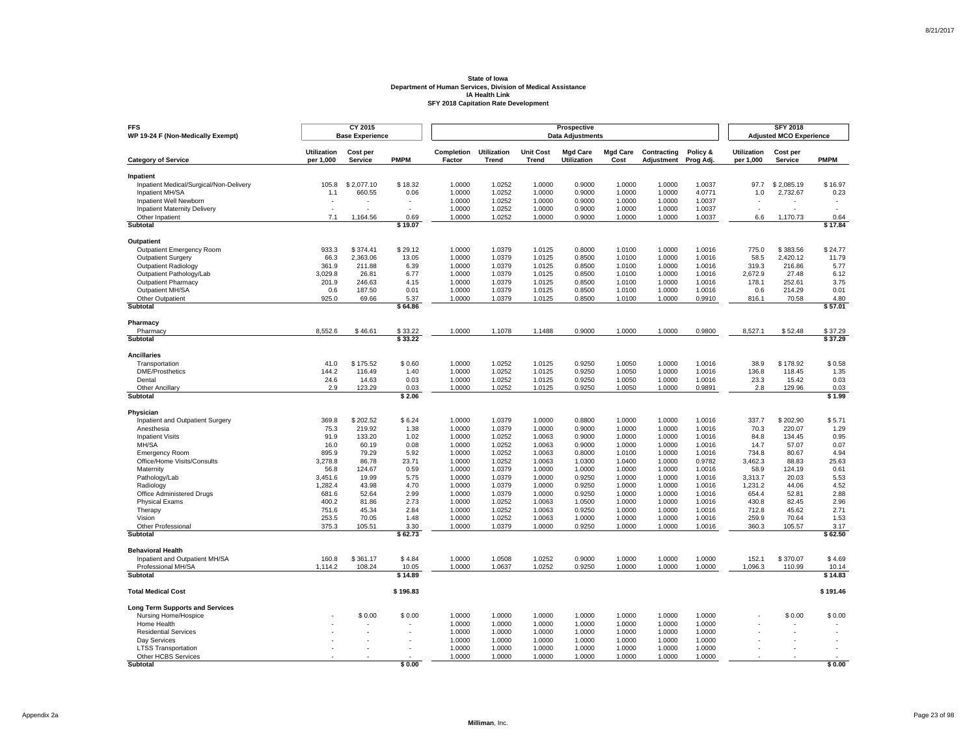| <b>FFS</b><br>WP 19-24 F (Non-Medically Exempt)      |                                 | CY 2015<br><b>Base Experience</b> |                 |                      |                             |                                  | Prospective<br><b>Data Adjustments</b> |                         |                           |                       |                                 | <b>SFY 2018</b><br><b>Adjusted MCO Experience</b> |                          |
|------------------------------------------------------|---------------------------------|-----------------------------------|-----------------|----------------------|-----------------------------|----------------------------------|----------------------------------------|-------------------------|---------------------------|-----------------------|---------------------------------|---------------------------------------------------|--------------------------|
| <b>Category of Service</b>                           | <b>Utilization</b><br>per 1,000 | Cost per<br><b>Service</b>        | <b>PMPM</b>     | Completion<br>Factor | <b>Utilization</b><br>Trend | <b>Unit Cost</b><br><b>Trend</b> | <b>Mgd Care</b><br>Utilization         | <b>Mgd Care</b><br>Cost | Contracting<br>Adjustment | Policy &<br>Prog Adj. | <b>Utilization</b><br>per 1,000 | Cost per<br>Service                               | <b>PMPM</b>              |
|                                                      |                                 |                                   |                 |                      |                             |                                  |                                        |                         |                           |                       |                                 |                                                   |                          |
| Inpatient<br>Inpatient Medical/Surgical/Non-Delivery | 105.8                           | \$2.077.10                        | \$18.32         | 1.0000               | 1.0252                      | 1.0000                           | 0.9000                                 | 1.0000                  | 1.0000                    | 1.0037                | 97.7                            | \$2.085.19                                        | \$16.97                  |
| Inpatient MH/SA                                      | 1.1                             | 660.55                            | 0.06            | 1.0000               | 1.0252                      | 1.0000                           | 0.9000                                 | 1.0000                  | 1.0000                    | 4.0771                | 1.0                             | 2,732.67                                          | 0.23                     |
| Inpatient Well Newborn                               |                                 |                                   |                 | 1.0000               | 1.0252                      | 1.0000                           | 0.9000                                 | 1.0000                  | 1.0000                    | 1.0037                |                                 |                                                   |                          |
| <b>Inpatient Maternity Delivery</b>                  | $\overline{a}$                  |                                   | $\overline{a}$  | 1.0000               | 1.0252                      | 1.0000                           | 0.9000                                 | 1.0000                  | 1.0000                    | 1.0037                | ÷.                              |                                                   | $\overline{\phantom{a}}$ |
| Other Inpatient                                      | 7.1                             | 1.164.56                          | 0.69            | 1.0000               | 1.0252                      | 1.0000                           | 0.9000                                 | 1.0000                  | 1.0000                    | 1.0037                | 6.6                             | 1.170.73                                          | 0.64                     |
| Subtotal                                             |                                 |                                   | \$19.07         |                      |                             |                                  |                                        |                         |                           |                       |                                 |                                                   | \$17.84                  |
| Outpatient                                           |                                 |                                   |                 |                      |                             |                                  |                                        |                         |                           |                       |                                 |                                                   |                          |
| <b>Outpatient Emergency Room</b>                     | 933.3                           | \$374.41                          | \$29.12         | 1.0000               | 1.0379                      | 1.0125                           | 0.8000                                 | 1.0100                  | 1.0000                    | 1.0016                | 775.0                           | \$383.56                                          | \$24.77                  |
| <b>Outpatient Surgery</b>                            | 66.3                            | 2,363.06                          | 13.05           | 1.0000               | 1.0379                      | 1.0125                           | 0.8500                                 | 1.0100                  | 1.0000                    | 1.0016                | 58.5                            | 2,420.12                                          | 11.79                    |
| <b>Outpatient Radiology</b>                          | 361.9                           | 211.88                            | 6.39            | 1.0000               | 1.0379                      | 1.0125                           | 0.8500                                 | 1.0100                  | 1.0000                    | 1.0016                | 319.3                           | 216.86                                            | 5.77                     |
| Outpatient Pathology/Lab                             | 3,029.8                         | 26.81                             | 6.77            | 1.0000               | 1.0379                      | 1.0125                           | 0.8500                                 | 1.0100                  | 1.0000                    | 1.0016                | 2,672.9                         | 27.48                                             | 6.12                     |
| <b>Outpatient Pharmacy</b>                           | 201.9                           | 246.63                            | 4.15            | 1.0000               | 1.0379                      | 1.0125                           | 0.8500                                 | 1.0100                  | 1.0000                    | 1.0016                | 178.1                           | 252.61                                            | 3.75                     |
| Outpatient MH/SA                                     | 0.6                             | 187.50                            | 0.01            | 1.0000               | 1.0379                      | 1.0125                           | 0.8500                                 | 1.0100                  | 1.0000                    | 1.0016                | 0.6                             | 214.29                                            | 0.01                     |
| Other Outpatient<br>Subtotal                         | 925.0                           | 69.66                             | 5.37<br>\$64.86 | 1.0000               | 1.0379                      | 1.0125                           | 0.8500                                 | 1.0100                  | 1.0000                    | 0.9910                | 816.1                           | 70.58                                             | 4.80<br>\$57.01          |
|                                                      |                                 |                                   |                 |                      |                             |                                  |                                        |                         |                           |                       |                                 |                                                   |                          |
| Pharmacy<br>Pharmacy                                 | 8,552.6                         | \$46.61                           | \$33.22         | 1.0000               | 1.1078                      | 1.1488                           | 0.9000                                 | 1.0000                  | 1.0000                    | 0.9800                | 8,527.1                         | \$52.48                                           | \$37.29                  |
| Subtotal                                             |                                 |                                   | \$33.22         |                      |                             |                                  |                                        |                         |                           |                       |                                 |                                                   | \$37.29                  |
| <b>Ancillaries</b>                                   |                                 |                                   |                 |                      |                             |                                  |                                        |                         |                           |                       |                                 |                                                   |                          |
| Transportation                                       | 41.0                            | \$175.52                          | \$0.60          | 1.0000               | 1.0252                      | 1.0125                           | 0.9250                                 | 1.0050                  | 1.0000                    | 1.0016                | 38.9                            | \$178.92                                          | \$0.58                   |
| <b>DME/Prosthetics</b>                               | 144.2                           | 116.49                            | 1.40            | 1.0000               | 1.0252                      | 1.0125                           | 0.9250                                 | 1.0050                  | 1.0000                    | 1.0016                | 136.8                           | 118.45                                            | 1.35                     |
| Dental                                               | 24.6                            | 14.63                             | 0.03            | 1.0000               | 1.0252                      | 1.0125                           | 0.9250                                 | 1.0050                  | 1.0000                    | 1.0016                | 23.3                            | 15.42                                             | 0.03                     |
| <b>Other Ancillary</b><br>Subtotal                   | 2.9                             | 123.29                            | 0.03<br>\$2.06  | 1.0000               | 1.0252                      | 1.0125                           | 0.9250                                 | 1.0050                  | 1.0000                    | 0.9891                | 2.8                             | 129.96                                            | 0.03                     |
|                                                      |                                 |                                   |                 |                      |                             |                                  |                                        |                         |                           |                       |                                 |                                                   | \$1.99                   |
| Physician                                            |                                 |                                   |                 |                      |                             |                                  |                                        |                         |                           |                       |                                 |                                                   |                          |
| Inpatient and Outpatient Surgery                     | 369.8                           | \$202.52                          | \$6.24          | 1.0000               | 1.0379                      | 1.0000                           | 0.8800                                 | 1.0000                  | 1.0000                    | 1.0016                | 337.7                           | \$202.90                                          | \$5.71                   |
| Anesthesia                                           | 75.3                            | 219.92                            | 1.38            | 1.0000               | 1.0379                      | 1.0000                           | 0.9000                                 | 1.0000                  | 1.0000                    | 1.0016                | 70.3                            | 220.07                                            | 1.29                     |
| <b>Inpatient Visits</b>                              | 91.9                            | 133.20                            | 1.02            | 1.0000               | 1.0252                      | 1.0063                           | 0.9000                                 | 1.0000                  | 1.0000                    | 1.0016                | 84.8                            | 134.45                                            | 0.95<br>0.07             |
| MH/SA<br><b>Emergency Room</b>                       | 16.0<br>895.9                   | 60.19<br>79.29                    | 0.08<br>5.92    | 1.0000<br>1.0000     | 1.0252<br>1.0252            | 1.0063<br>1.0063                 | 0.9000<br>0.8000                       | 1.0000<br>1.0100        | 1.0000<br>1.0000          | 1.0016<br>1.0016      | 14.7<br>734.8                   | 57.07<br>80.67                                    | 4.94                     |
| Office/Home Visits/Consults                          | 3,278.8                         | 86.78                             | 23.71           | 1.0000               | 1.0252                      | 1.0063                           | 1.0300                                 | 1.0400                  | 1.0000                    | 0.9782                | 3,462.3                         | 88.83                                             | 25.63                    |
| Maternity                                            | 56.8                            | 124.67                            | 0.59            | 1.0000               | 1.0379                      | 1.0000                           | 1.0000                                 | 1.0000                  | 1.0000                    | 1.0016                | 58.9                            | 124.19                                            | 0.61                     |
| Pathology/Lab                                        | 3,451.6                         | 19.99                             | 5.75            | 1.0000               | 1.0379                      | 1.0000                           | 0.9250                                 | 1.0000                  | 1.0000                    | 1.0016                | 3,313.7                         | 20.03                                             | 5.53                     |
| Radiology                                            | 1,282.4                         | 43.98                             | 4.70            | 1.0000               | 1.0379                      | 1.0000                           | 0.9250                                 | 1.0000                  | 1.0000                    | 1.0016                | 1,231.2                         | 44.06                                             | 4.52                     |
| Office Administered Drugs                            | 681.6                           | 52.64                             | 2.99            | 1.0000               | 1.0379                      | 1.0000                           | 0.9250                                 | 1.0000                  | 1.0000                    | 1.0016                | 654.4                           | 52.81                                             | 2.88                     |
| <b>Physical Exams</b>                                | 400.2                           | 81.86                             | 2.73            | 1.0000               | 1.0252                      | 1.0063                           | 1.0500                                 | 1.0000                  | 1.0000                    | 1.0016                | 430.8                           | 82.45                                             | 2.96                     |
| Therapy                                              | 751.6                           | 45.34                             | 2.84            | 1.0000               | 1.0252                      | 1.0063                           | 0.9250                                 | 1.0000                  | 1.0000                    | 1.0016                | 712.8                           | 45.62                                             | 2.71                     |
| Vision                                               | 253.5                           | 70.05                             | 1.48            | 1.0000               | 1.0252                      | 1.0063                           | 1.0000                                 | 1.0000                  | 1.0000                    | 1.0016                | 259.9                           | 70.64                                             | 1.53                     |
| Other Professional<br>Subtotal                       | 375.3                           | 105.51                            | 3.30<br>\$62.73 | 1.0000               | 1.0379                      | 1.0000                           | 0.9250                                 | 1.0000                  | 1.0000                    | 1.0016                | 360.3                           | 105.57                                            | 3.17<br>\$62.50          |
|                                                      |                                 |                                   |                 |                      |                             |                                  |                                        |                         |                           |                       |                                 |                                                   |                          |
| <b>Behavioral Health</b>                             |                                 |                                   |                 |                      |                             |                                  |                                        |                         |                           |                       |                                 |                                                   |                          |
| Inpatient and Outpatient MH/SA<br>Professional MH/SA | 160.8<br>1,114.2                | \$361.17<br>108.24                | \$4.84<br>10.05 | 1.0000<br>1.0000     | 1.0508<br>1.0637            | 1.0252<br>1.0252                 | 0.9000<br>0.9250                       | 1.0000<br>1.0000        | 1.0000<br>1.0000          | 1.0000<br>1.0000      | 152.1<br>1,096.3                | \$370.07<br>110.99                                | \$4.69<br>10.14          |
| <b>Subtotal</b>                                      |                                 |                                   | \$14.89         |                      |                             |                                  |                                        |                         |                           |                       |                                 |                                                   | \$14.83                  |
| <b>Total Medical Cost</b>                            |                                 |                                   | \$196.83        |                      |                             |                                  |                                        |                         |                           |                       |                                 |                                                   | \$191.46                 |
| <b>Long Term Supports and Services</b>               |                                 |                                   |                 |                      |                             |                                  |                                        |                         |                           |                       |                                 |                                                   |                          |
| Nursing Home/Hospice                                 |                                 | \$0.00                            | \$0.00          | 1.0000               | 1.0000                      | 1.0000                           | 1.0000                                 | 1.0000                  | 1.0000                    | 1.0000                |                                 | \$0.00                                            | \$0.00                   |
| Home Health                                          |                                 |                                   |                 | 1.0000               | 1.0000                      | 1.0000                           | 1.0000                                 | 1.0000                  | 1.0000                    | 1.0000                |                                 |                                                   |                          |
| <b>Residential Services</b>                          |                                 |                                   |                 | 1.0000               | 1.0000                      | 1.0000                           | 1.0000                                 | 1.0000                  | 1.0000                    | 1.0000                |                                 |                                                   |                          |
| Dav Services                                         |                                 |                                   |                 | 1.0000               | 1.0000                      | 1.0000                           | 1.0000                                 | 1.0000                  | 1.0000                    | 1.0000                |                                 |                                                   |                          |
| <b>LTSS Transportation</b>                           |                                 |                                   |                 | 1.0000               | 1.0000                      | 1.0000                           | 1.0000                                 | 1.0000                  | 1.0000                    | 1.0000                |                                 |                                                   |                          |
| Other HCBS Services                                  |                                 |                                   |                 | 1.0000               | 1.0000                      | 1.0000                           | 1.0000                                 | 1.0000                  | 1.0000                    | 1.0000                |                                 |                                                   |                          |
| Subtotal                                             |                                 |                                   | \$0.00          |                      |                             |                                  |                                        |                         |                           |                       |                                 |                                                   | \$0.00                   |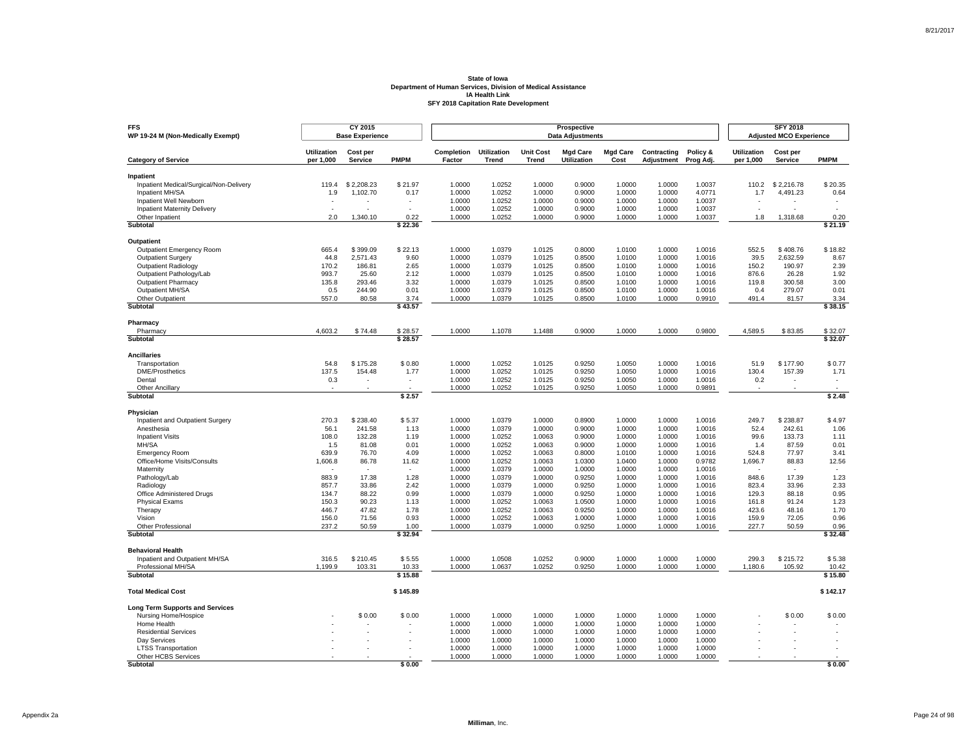| <b>FFS</b><br>WP 19-24 M (Non-Medically Exempt)      |                                 | CY 2015<br><b>Base Experience</b> |                          |                      |                             |                                  | Prospective<br><b>Data Adjustments</b> |                         |                                  |                       |                                 | <b>SFY 2018</b><br><b>Adjusted MCO Experience</b> |              |
|------------------------------------------------------|---------------------------------|-----------------------------------|--------------------------|----------------------|-----------------------------|----------------------------------|----------------------------------------|-------------------------|----------------------------------|-----------------------|---------------------------------|---------------------------------------------------|--------------|
| <b>Category of Service</b>                           | <b>Utilization</b><br>per 1,000 | Cost per<br><b>Service</b>        | <b>PMPM</b>              | Completion<br>Factor | <b>Utilization</b><br>Trend | <b>Unit Cost</b><br><b>Trend</b> | <b>Mgd Care</b><br>Utilization         | <b>Mgd Care</b><br>Cost | Contracting<br><b>Adjustment</b> | Policy &<br>Prog Adj. | <b>Utilization</b><br>per 1,000 | Cost per<br><b>Service</b>                        | <b>PMPM</b>  |
|                                                      |                                 |                                   |                          |                      |                             |                                  |                                        |                         |                                  |                       |                                 |                                                   |              |
| Inpatient<br>Inpatient Medical/Surgical/Non-Delivery | 119.4                           | \$2.208.23                        | \$21.97                  | 1.0000               | 1.0252                      | 1.0000                           | 0.9000                                 | 1.0000                  | 1.0000                           | 1.0037                | 110.2                           | \$2.216.78                                        | \$20.35      |
| Inpatient MH/SA                                      | 1.9                             | 1,102.70                          | 0.17                     | 1.0000               | 1.0252                      | 1.0000                           | 0.9000                                 | 1.0000                  | 1.0000                           | 4.0771                | 1.7                             | 4,491.23                                          | 0.64         |
| Inpatient Well Newborn                               |                                 |                                   |                          | 1.0000               | 1.0252                      | 1.0000                           | 0.9000                                 | 1.0000                  | 1.0000                           | 1.0037                |                                 |                                                   |              |
| <b>Inpatient Maternity Delivery</b>                  |                                 |                                   |                          | 1.0000               | 1.0252                      | 1.0000                           | 0.9000                                 | 1.0000                  | 1.0000                           | 1.0037                | $\overline{\phantom{a}}$        |                                                   |              |
| Other Inpatient                                      | 2.0                             | 1.340.10                          | 0.22                     | 1.0000               | 1.0252                      | 1.0000                           | 0.9000                                 | 1.0000                  | 1.0000                           | 1.0037                | 1.8                             | 1.318.68                                          | 0.20         |
| Subtotal                                             |                                 |                                   | \$22.36                  |                      |                             |                                  |                                        |                         |                                  |                       |                                 |                                                   | \$21.19      |
| Outpatient                                           |                                 |                                   |                          |                      |                             |                                  |                                        |                         |                                  |                       |                                 |                                                   |              |
| Outpatient Emergency Room                            | 665.4                           | \$399.09                          | \$22.13                  | 1.0000               | 1.0379                      | 1.0125                           | 0.8000                                 | 1.0100                  | 1.0000                           | 1.0016                | 552.5                           | \$408.76                                          | \$18.82      |
| <b>Outpatient Surgery</b>                            | 44.8                            | 2,571.43                          | 9.60                     | 1.0000               | 1.0379                      | 1.0125                           | 0.8500                                 | 1.0100                  | 1.0000                           | 1.0016                | 39.5                            | 2.632.59                                          | 8.67         |
| <b>Outpatient Radiology</b>                          | 170.2                           | 186.81                            | 2.65                     | 1.0000               | 1.0379                      | 1.0125                           | 0.8500                                 | 1.0100                  | 1.0000                           | 1.0016                | 150.2                           | 190.97                                            | 2.39         |
| Outpatient Pathology/Lab                             | 993.7                           | 25.60                             | 2.12                     | 1.0000               | 1.0379                      | 1.0125                           | 0.8500                                 | 1.0100                  | 1.0000                           | 1.0016                | 876.6                           | 26.28                                             | 1.92         |
| <b>Outpatient Pharmacy</b>                           | 135.8                           | 293.46                            | 3.32                     | 1.0000               | 1.0379                      | 1.0125                           | 0.8500                                 | 1.0100                  | 1.0000                           | 1.0016                | 119.8                           | 300.58                                            | 3.00         |
| Outpatient MH/SA                                     | 0.5                             | 244.90                            | 0.01                     | 1.0000               | 1.0379                      | 1.0125                           | 0.8500                                 | 1.0100                  | 1.0000                           | 1.0016                | 0.4                             | 279.07                                            | 0.01         |
| Other Outpatient                                     | 557.0                           | 80.58                             | 3.74                     | 1.0000               | 1.0379                      | 1.0125                           | 0.8500                                 | 1.0100                  | 1.0000                           | 0.9910                | 491.4                           | 81.57                                             | 3.34         |
| <b>Subtotal</b>                                      |                                 |                                   | \$43.57                  |                      |                             |                                  |                                        |                         |                                  |                       |                                 |                                                   | \$38.15      |
| Pharmacy                                             |                                 |                                   |                          |                      |                             |                                  |                                        |                         |                                  |                       |                                 |                                                   |              |
| Pharmacy                                             | 4,603.2                         | \$74.48                           | \$28.57                  | 1.0000               | 1.1078                      | 1.1488                           | 0.9000                                 | 1.0000                  | 1.0000                           | 0.9800                | 4,589.5                         | \$83.85                                           | \$32.07      |
| Subtotal                                             |                                 |                                   | \$28.57                  |                      |                             |                                  |                                        |                         |                                  |                       |                                 |                                                   | \$32.07      |
| <b>Ancillaries</b>                                   |                                 |                                   |                          |                      |                             |                                  |                                        |                         |                                  |                       |                                 |                                                   |              |
| Transportation                                       | 54.8                            | \$175.28                          | \$0.80                   | 1.0000               | 1.0252                      | 1.0125                           | 0.9250                                 | 1.0050                  | 1.0000                           | 1.0016                | 51.9                            | \$177.90                                          | \$0.77       |
| <b>DME/Prosthetics</b>                               | 137.5                           | 154.48                            | 1.77                     | 1.0000               | 1.0252                      | 1.0125                           | 0.9250                                 | 1.0050                  | 1.0000                           | 1.0016                | 130.4                           | 157.39                                            | 1.71         |
| Dental<br><b>Other Ancillary</b>                     | 0.3<br>$\sim$                   | ٠                                 | $\overline{\phantom{a}}$ | 1.0000<br>1.0000     | 1.0252<br>1.0252            | 1.0125<br>1.0125                 | 0.9250<br>0.9250                       | 1.0050<br>1.0050        | 1.0000<br>1.0000                 | 1.0016<br>0.9891      | 0.2<br>$\sim$                   | ÷.                                                |              |
| Subtotal                                             |                                 |                                   | \$2.57                   |                      |                             |                                  |                                        |                         |                                  |                       |                                 |                                                   | \$2.48       |
|                                                      |                                 |                                   |                          |                      |                             |                                  |                                        |                         |                                  |                       |                                 |                                                   |              |
| Physician<br>Inpatient and Outpatient Surgery        | 270.3                           | \$238.40                          | \$5.37                   | 1.0000               | 1.0379                      | 1.0000                           | 0.8900                                 | 1.0000                  | 1.0000                           | 1.0016                | 249.7                           | \$238.87                                          | \$4.97       |
| Anesthesia                                           | 56.1                            | 241.58                            | 1.13                     | 1.0000               | 1.0379                      | 1.0000                           | 0.9000                                 | 1.0000                  | 1.0000                           | 1.0016                | 52.4                            | 242.61                                            | 1.06         |
| <b>Inpatient Visits</b>                              | 108.0                           | 132.28                            | 1.19                     | 1.0000               | 1.0252                      | 1.0063                           | 0.9000                                 | 1.0000                  | 1.0000                           | 1.0016                | 99.6                            | 133.73                                            | 1.11         |
| MH/SA                                                | 1.5                             | 81.08                             | 0.01                     | 1.0000               | 1.0252                      | 1.0063                           | 0.9000                                 | 1.0000                  | 1.0000                           | 1.0016                | 1.4                             | 87.59                                             | 0.01         |
| <b>Emergency Room</b>                                | 639.9                           | 76.70                             | 4.09                     | 1.0000               | 1.0252                      | 1.0063                           | 0.8000                                 | 1.0100                  | 1.0000                           | 1.0016                | 524.8                           | 77.97                                             | 3.41         |
| Office/Home Visits/Consults                          | 1,606.8                         | 86.78                             | 11.62                    | 1.0000               | 1.0252                      | 1.0063                           | 1.0300                                 | 1.0400                  | 1.0000                           | 0.9782                | 1,696.7                         | 88.83                                             | 12.56        |
| Maternity                                            |                                 |                                   |                          | 1.0000               | 1.0379                      | 1.0000                           | 1.0000                                 | 1.0000                  | 1.0000                           | 1.0016                |                                 |                                                   |              |
| Pathology/Lab                                        | 883.9                           | 17.38                             | 1.28                     | 1.0000               | 1.0379                      | 1.0000                           | 0.9250                                 | 1.0000                  | 1.0000                           | 1.0016                | 848.6                           | 17.39                                             | 1.23         |
| Radiology                                            | 857.7                           | 33.86                             | 2.42                     | 1.0000               | 1.0379                      | 1.0000                           | 0.9250                                 | 1.0000                  | 1.0000                           | 1.0016                | 823.4                           | 33.96                                             | 2.33         |
| Office Administered Drugs                            | 134.7                           | 88.22                             | 0.99                     | 1.0000               | 1.0379                      | 1.0000                           | 0.9250                                 | 1.0000                  | 1.0000                           | 1.0016                | 129.3                           | 88.18                                             | 0.95         |
| <b>Physical Exams</b>                                | 150.3                           | 90.23                             | 1.13                     | 1.0000               | 1.0252                      | 1.0063                           | 1.0500                                 | 1.0000                  | 1.0000                           | 1.0016                | 161.8                           | 91.24                                             | 1.23         |
| Therapy<br>Vision                                    | 446.7<br>156.0                  | 47.82<br>71.56                    | 1.78<br>0.93             | 1.0000<br>1.0000     | 1.0252<br>1.0252            | 1.0063<br>1.0063                 | 0.9250<br>1.0000                       | 1.0000<br>1.0000        | 1.0000<br>1.0000                 | 1.0016<br>1.0016      | 423.6<br>159.9                  | 48.16<br>72.05                                    | 1.70<br>0.96 |
| Other Professional                                   | 237.2                           | 50.59                             | 1.00                     | 1.0000               | 1.0379                      | 1.0000                           | 0.9250                                 | 1.0000                  | 1.0000                           | 1.0016                | 227.7                           | 50.59                                             | 0.96         |
| Subtotal                                             |                                 |                                   | \$32.94                  |                      |                             |                                  |                                        |                         |                                  |                       |                                 |                                                   | \$32.48      |
| <b>Behavioral Health</b>                             |                                 |                                   |                          |                      |                             |                                  |                                        |                         |                                  |                       |                                 |                                                   |              |
| Inpatient and Outpatient MH/SA                       | 316.5                           | \$210.45                          | \$5.55                   | 1.0000               | 1.0508                      | 1.0252                           | 0.9000                                 | 1.0000                  | 1.0000                           | 1.0000                | 299.3                           | \$215.72                                          | \$5.38       |
| Professional MH/SA                                   | 1,199.9                         | 103.31                            | 10.33                    | 1.0000               | 1.0637                      | 1.0252                           | 0.9250                                 | 1.0000                  | 1.0000                           | 1.0000                | 1,180.6                         | 105.92                                            | 10.42        |
| Subtotal                                             |                                 |                                   | \$15.88                  |                      |                             |                                  |                                        |                         |                                  |                       |                                 |                                                   | \$15.80      |
| <b>Total Medical Cost</b>                            |                                 |                                   | \$145.89                 |                      |                             |                                  |                                        |                         |                                  |                       |                                 |                                                   | \$142.17     |
| <b>Long Term Supports and Services</b>               |                                 |                                   |                          |                      |                             |                                  |                                        |                         |                                  |                       |                                 |                                                   |              |
| Nursing Home/Hospice                                 |                                 | \$0.00                            | \$0.00                   | 1.0000               | 1.0000                      | 1.0000                           | 1.0000                                 | 1.0000                  | 1.0000                           | 1.0000                |                                 | \$0.00                                            | \$0.00       |
| Home Health                                          |                                 |                                   |                          | 1.0000               | 1.0000                      | 1.0000                           | 1.0000                                 | 1.0000                  | 1.0000                           | 1.0000                |                                 |                                                   |              |
| <b>Residential Services</b>                          |                                 |                                   |                          | 1.0000               | 1.0000                      | 1.0000                           | 1.0000                                 | 1.0000                  | 1.0000                           | 1.0000                |                                 |                                                   |              |
| Dav Services                                         |                                 |                                   |                          | 1.0000               | 1.0000                      | 1.0000                           | 1.0000                                 | 1.0000                  | 1.0000                           | 1.0000                |                                 |                                                   |              |
| <b>LTSS Transportation</b>                           |                                 |                                   |                          | 1.0000               | 1.0000                      | 1.0000                           | 1.0000                                 | 1.0000                  | 1.0000                           | 1.0000                |                                 |                                                   |              |
| Other HCBS Services<br>Subtotal                      |                                 |                                   | \$0.00                   | 1.0000               | 1.0000                      | 1.0000                           | 1.0000                                 | 1.0000                  | 1.0000                           | 1.0000                |                                 |                                                   | \$0.00       |
|                                                      |                                 |                                   |                          |                      |                             |                                  |                                        |                         |                                  |                       |                                 |                                                   |              |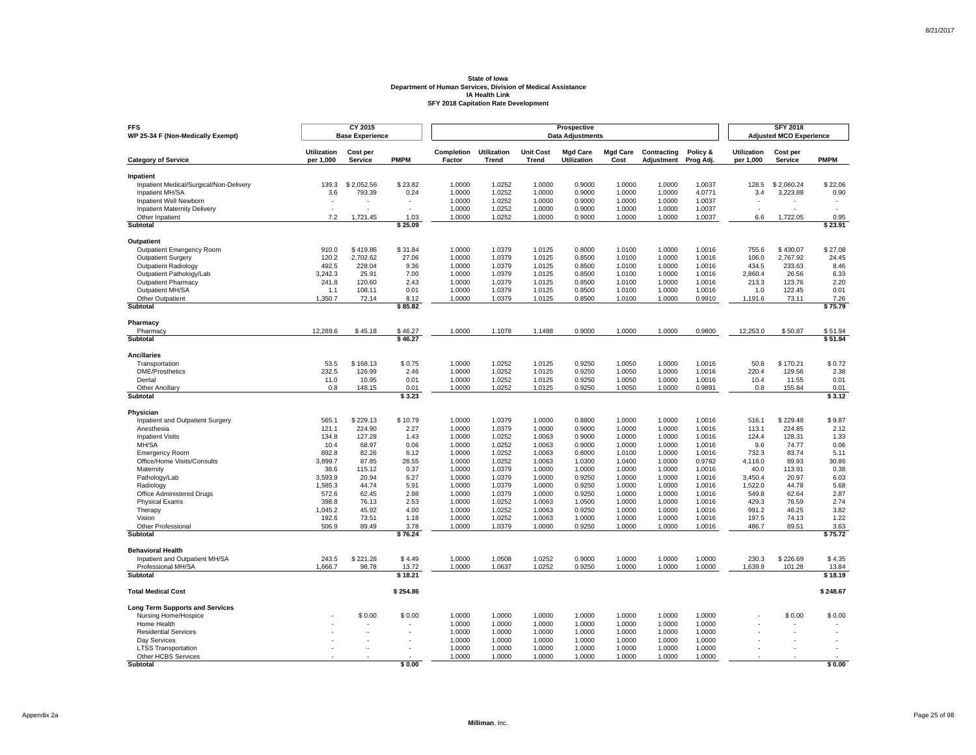| <b>FFS</b><br>WP 25-34 F (Non-Medically Exempt)        |                                 | CY 2015<br><b>Base Experience</b> |                |                      |                             |                                  | Prospective<br><b>Data Adjustments</b> |                         |                           |                       |                                 | <b>SFY 2018</b><br><b>Adjusted MCO Experience</b> |                |
|--------------------------------------------------------|---------------------------------|-----------------------------------|----------------|----------------------|-----------------------------|----------------------------------|----------------------------------------|-------------------------|---------------------------|-----------------------|---------------------------------|---------------------------------------------------|----------------|
| <b>Category of Service</b>                             | <b>Utilization</b><br>per 1,000 | Cost per<br><b>Service</b>        | <b>PMPM</b>    | Completion<br>Factor | <b>Utilization</b><br>Trend | <b>Unit Cost</b><br><b>Trend</b> | <b>Mgd Care</b><br>Utilization         | <b>Mgd Care</b><br>Cost | Contracting<br>Adjustment | Policy &<br>Prog Adj. | <b>Utilization</b><br>per 1,000 | Cost per<br>Service                               | <b>PMPM</b>    |
|                                                        |                                 |                                   |                |                      |                             |                                  |                                        |                         |                           |                       |                                 |                                                   |                |
| Inpatient<br>Inpatient Medical/Surgical/Non-Delivery   | 139.3                           | \$2.052.56                        | \$23.82        | 1.0000               | 1.0252                      | 1.0000                           | 0.9000                                 | 1.0000                  | 1.0000                    | 1.0037                | 128.5                           | \$2.060.24                                        | \$22.06        |
| Inpatient MH/SA                                        | 3.6                             | 793.39                            | 0.24           | 1.0000               | 1.0252                      | 1.0000                           | 0.9000                                 | 1.0000                  | 1.0000                    | 4.0771                | 3.4                             | 3,223.88                                          | 0.90           |
| Inpatient Well Newborn                                 |                                 |                                   |                | 1.0000               | 1.0252                      | 1.0000                           | 0.9000                                 | 1.0000                  | 1.0000                    | 1.0037                |                                 |                                                   |                |
| <b>Inpatient Maternity Delivery</b>                    | $\overline{a}$                  |                                   | ÷.             | 1.0000               | 1.0252                      | 1.0000                           | 0.9000                                 | 1.0000                  | 1.0000                    | 1.0037                | $\sim$                          |                                                   |                |
| Other Inpatient                                        | 7.2                             | 1.721.45                          | 1.03           | 1.0000               | 1.0252                      | 1.0000                           | 0.9000                                 | 1.0000                  | 1.0000                    | 1.0037                | 6.6                             | 1.722.05                                          | 0.95           |
| Subtotal                                               |                                 |                                   | \$25.09        |                      |                             |                                  |                                        |                         |                           |                       |                                 |                                                   | \$23.91        |
| Outpatient                                             |                                 |                                   |                |                      |                             |                                  |                                        |                         |                           |                       |                                 |                                                   |                |
| <b>Outpatient Emergency Room</b>                       | 910.0                           | \$419.86                          | \$31.84        | 1.0000               | 1.0379                      | 1.0125                           | 0.8000                                 | 1.0100                  | 1.0000                    | 1.0016                | 755.6                           | \$430.07                                          | \$27.08        |
| <b>Outpatient Surgery</b>                              | 120.2                           | 2,702.62                          | 27.06          | 1.0000               | 1.0379                      | 1.0125                           | 0.8500                                 | 1.0100                  | 1.0000                    | 1.0016                | 106.0                           | 2,767.92                                          | 24.45          |
| <b>Outpatient Radiology</b>                            | 492.5                           | 228.04                            | 9.36           | 1.0000               | 1.0379                      | 1.0125                           | 0.8500                                 | 1.0100                  | 1.0000                    | 1.0016                | 434.5                           | 233.63                                            | 8.46           |
| Outpatient Pathology/Lab<br><b>Outpatient Pharmacy</b> | 3,242.3<br>241.8                | 25.91<br>120.60                   | 7.00<br>2.43   | 1.0000<br>1.0000     | 1.0379<br>1.0379            | 1.0125<br>1.0125                 | 0.8500<br>0.8500                       | 1.0100<br>1.0100        | 1.0000<br>1.0000          | 1.0016<br>1.0016      | 2,860.4<br>213.3                | 26.56<br>123.76                                   | 6.33<br>2.20   |
| Outpatient MH/SA                                       | 1.1                             | 108.11                            | 0.01           | 1.0000               | 1.0379                      | 1.0125                           | 0.8500                                 | 1.0100                  | 1.0000                    | 1.0016                | 1.0                             | 122.45                                            | 0.01           |
| Other Outpatient                                       | 1,350.7                         | 72.14                             | 8.12           | 1.0000               | 1.0379                      | 1.0125                           | 0.8500                                 | 1.0100                  | 1.0000                    | 0.9910                | 1,191.6                         | 73.11                                             | 7.26           |
| Subtotal                                               |                                 |                                   | \$85.82        |                      |                             |                                  |                                        |                         |                           |                       |                                 |                                                   | \$75.79        |
| Pharmacy                                               |                                 |                                   |                |                      |                             |                                  |                                        |                         |                           |                       |                                 |                                                   |                |
| Pharmacy                                               | 12,289.6                        | \$45.18                           | \$46.27        | 1.0000               | 1.1078                      | 1.1488                           | 0.9000                                 | 1.0000                  | 1.0000                    | 0.9800                | 12,253.0                        | \$50.87                                           | \$51.94        |
| Subtotal                                               |                                 |                                   | \$46.27        |                      |                             |                                  |                                        |                         |                           |                       |                                 |                                                   | \$51.94        |
| <b>Ancillaries</b>                                     |                                 |                                   |                |                      |                             |                                  |                                        |                         |                           |                       |                                 |                                                   |                |
| Transportation                                         | 53.5                            | \$168.13                          | \$0.75         | 1.0000               | 1.0252                      | 1.0125                           | 0.9250                                 | 1.0050                  | 1.0000                    | 1.0016                | 50.8                            | \$170.21                                          | \$0.72         |
| <b>DME/Prosthetics</b>                                 | 232.5                           | 126.99                            | 2.46           | 1.0000               | 1.0252                      | 1.0125                           | 0.9250                                 | 1.0050                  | 1.0000                    | 1.0016                | 220.4                           | 129.56                                            | 2.38           |
| Dental                                                 | 11.0                            | 10.95                             | 0.01           | 1.0000               | 1.0252                      | 1.0125                           | 0.9250                                 | 1.0050                  | 1.0000                    | 1.0016                | 10.4                            | 11.55                                             | 0.01           |
| <b>Other Ancillary</b><br>Subtotal                     | 0.8                             | 148.15                            | 0.01<br>\$3.23 | 1.0000               | 1.0252                      | 1.0125                           | 0.9250                                 | 1.0050                  | 1.0000                    | 0.9891                | 0.8                             | 155.84                                            | 0.01<br>\$3.12 |
|                                                        |                                 |                                   |                |                      |                             |                                  |                                        |                         |                           |                       |                                 |                                                   |                |
| Physician                                              |                                 |                                   |                |                      |                             |                                  |                                        |                         |                           |                       |                                 |                                                   |                |
| Inpatient and Outpatient Surgery                       | 565.1                           | \$229.13                          | \$10.79        | 1.0000               | 1.0379                      | 1.0000                           | 0.8800                                 | 1.0000                  | 1.0000                    | 1.0016                | 516.1                           | \$229.48                                          | \$9.87         |
| Anesthesia                                             | 121.1                           | 224.90<br>127.29                  | 2.27           | 1.0000               | 1.0379                      | 1.0000                           | 0.9000                                 | 1.0000<br>1.0000        | 1.0000                    | 1.0016                | 113.1                           | 224.85                                            | 2.12           |
| <b>Inpatient Visits</b><br>MH/SA                       | 134.8<br>10.4                   | 68.97                             | 1.43<br>0.06   | 1.0000<br>1.0000     | 1.0252<br>1.0252            | 1.0063<br>1.0063                 | 0.9000<br>0.9000                       | 1.0000                  | 1.0000<br>1.0000          | 1.0016<br>1.0016      | 124.4<br>9.6                    | 128.31<br>74.77                                   | 1.33<br>0.06   |
| <b>Emergency Room</b>                                  | 892.8                           | 82.26                             | 6.12           | 1.0000               | 1.0252                      | 1.0063                           | 0.8000                                 | 1.0100                  | 1.0000                    | 1.0016                | 732.3                           | 83.74                                             | 5.11           |
| Office/Home Visits/Consults                            | 3,899.7                         | 87.85                             | 28.55          | 1.0000               | 1.0252                      | 1.0063                           | 1.0300                                 | 1.0400                  | 1.0000                    | 0.9782                | 4,118.0                         | 89.93                                             | 30.86          |
| Maternity                                              | 38.6                            | 115.12                            | 0.37           | 1.0000               | 1.0379                      | 1.0000                           | 1.0000                                 | 1.0000                  | 1.0000                    | 1.0016                | 40.0                            | 113.91                                            | 0.38           |
| Pathology/Lab                                          | 3,593.9                         | 20.94                             | 6.27           | 1.0000               | 1.0379                      | 1.0000                           | 0.9250                                 | 1.0000                  | 1.0000                    | 1.0016                | 3.450.4                         | 20.97                                             | 6.03           |
| Radiology                                              | 1,585.3                         | 44.74                             | 5.91           | 1.0000               | 1.0379                      | 1.0000                           | 0.9250                                 | 1.0000                  | 1.0000                    | 1.0016                | 1,522.0                         | 44.78                                             | 5.68           |
| Office Administered Drugs                              | 572.6                           | 62.45                             | 2.98           | 1.0000               | 1.0379                      | 1.0000                           | 0.9250                                 | 1.0000                  | 1.0000                    | 1.0016                | 549.8                           | 62.64                                             | 2.87           |
| <b>Physical Exams</b>                                  | 398.8                           | 76.13                             | 2.53           | 1.0000               | 1.0252                      | 1.0063                           | 1.0500                                 | 1.0000                  | 1.0000                    | 1.0016                | 429.3                           | 76.59                                             | 2.74           |
| Therapy<br>Vision                                      | 1,045.2<br>192.6                | 45.92<br>73.51                    | 4.00<br>1.18   | 1.0000<br>1.0000     | 1.0252<br>1.0252            | 1.0063<br>1.0063                 | 0.9250<br>1.0000                       | 1.0000<br>1.0000        | 1.0000<br>1.0000          | 1.0016<br>1.0016      | 991.2<br>197.5                  | 46.25<br>74.13                                    | 3.82<br>1.22   |
| Other Professional                                     | 506.9                           | 89.49                             | 3.78           | 1.0000               | 1.0379                      | 1.0000                           | 0.9250                                 | 1.0000                  | 1.0000                    | 1.0016                | 486.7                           | 89.51                                             | 3.63           |
| Subtotal                                               |                                 |                                   | \$76.24        |                      |                             |                                  |                                        |                         |                           |                       |                                 |                                                   | \$75.72        |
| <b>Behavioral Health</b>                               |                                 |                                   |                |                      |                             |                                  |                                        |                         |                           |                       |                                 |                                                   |                |
| Inpatient and Outpatient MH/SA                         | 243.5                           | \$221.28                          | \$4.49         | 1.0000               | 1.0508                      | 1.0252                           | 0.9000                                 | 1.0000                  | 1.0000                    | 1.0000                | 230.3                           | \$226.69                                          | \$4.35         |
| Professional MH/SA                                     | 1,666.7                         | 98.78                             | 13.72          | 1.0000               | 1.0637                      | 1.0252                           | 0.9250                                 | 1.0000                  | 1.0000                    | 1.0000                | 1,639.9                         | 101.28                                            | 13.84          |
| <b>Subtotal</b>                                        |                                 |                                   | \$18.21        |                      |                             |                                  |                                        |                         |                           |                       |                                 |                                                   | \$18.19        |
| <b>Total Medical Cost</b>                              |                                 |                                   | \$254.86       |                      |                             |                                  |                                        |                         |                           |                       |                                 |                                                   | \$248.67       |
| <b>Long Term Supports and Services</b>                 |                                 |                                   |                |                      |                             |                                  |                                        |                         |                           |                       |                                 |                                                   |                |
| Nursing Home/Hospice                                   |                                 | \$0.00                            | \$0.00         | 1.0000               | 1.0000                      | 1.0000                           | 1.0000                                 | 1.0000                  | 1.0000                    | 1.0000                |                                 | \$0.00                                            | \$0.00         |
| Home Health                                            |                                 |                                   |                | 1.0000               | 1.0000                      | 1.0000                           | 1.0000                                 | 1.0000                  | 1.0000                    | 1.0000                |                                 |                                                   |                |
| <b>Residential Services</b>                            |                                 |                                   |                | 1.0000               | 1.0000                      | 1.0000                           | 1.0000                                 | 1.0000                  | 1.0000                    | 1.0000                |                                 |                                                   |                |
| Dav Services<br><b>LTSS Transportation</b>             |                                 |                                   |                | 1.0000<br>1.0000     | 1.0000<br>1.0000            | 1.0000<br>1.0000                 | 1.0000<br>1.0000                       | 1.0000<br>1.0000        | 1.0000<br>1.0000          | 1.0000<br>1.0000      |                                 |                                                   |                |
| Other HCBS Services                                    |                                 |                                   |                | 1.0000               | 1.0000                      | 1.0000                           | 1.0000                                 | 1.0000                  | 1.0000                    | 1.0000                |                                 |                                                   |                |
| Subtotal                                               |                                 |                                   | \$0.00         |                      |                             |                                  |                                        |                         |                           |                       |                                 |                                                   | \$0.00         |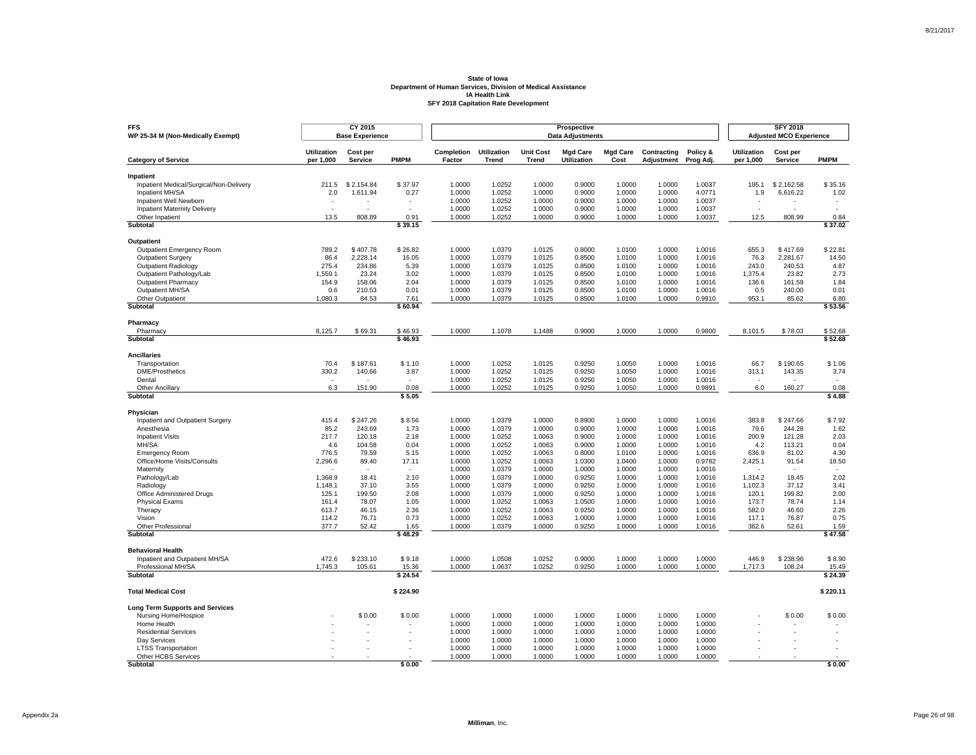| <b>FFS</b><br>WP 25-34 M (Non-Medically Exempt)      |                                 | CY 2015<br><b>Base Experience</b> |                  |                      |                                    |                           | Prospective<br><b>Data Adjustments</b> |                         |                           |                       |                                 | <b>SFY 2018</b><br><b>Adjusted MCO Experience</b> |                          |
|------------------------------------------------------|---------------------------------|-----------------------------------|------------------|----------------------|------------------------------------|---------------------------|----------------------------------------|-------------------------|---------------------------|-----------------------|---------------------------------|---------------------------------------------------|--------------------------|
| <b>Category of Service</b>                           | <b>Utilization</b><br>per 1,000 | Cost per<br>Service               | <b>PMPM</b>      | Completion<br>Factor | <b>Utilization</b><br><b>Trend</b> | <b>Unit Cost</b><br>Trend | <b>Mad Care</b><br>Utilization         | <b>Mad Care</b><br>Cost | Contracting<br>Adjustment | Policy &<br>Prog Adj. | <b>Utilization</b><br>per 1,000 | Cost per<br>Service                               | <b>PMPM</b>              |
|                                                      |                                 |                                   |                  |                      |                                    |                           |                                        |                         |                           |                       |                                 |                                                   |                          |
| Inpatient<br>Inpatient Medical/Surgical/Non-Delivery | 211.5                           | \$2,154.84                        | \$37.97          | 1.0000               | 1.0252                             | 1.0000                    | 0.9000                                 | 1.0000                  | 1.0000                    | 1.0037                | 195.1                           | \$2,162.58                                        | \$35.16                  |
| Inpatient MH/SA                                      | 2.0                             | 1,611.94                          | 0.27             | 1.0000               | 1.0252                             | 1.0000                    | 0.9000                                 | 1.0000                  | 1.0000                    | 4.0771                | 1.9                             | 6,616.22                                          | 1.02                     |
| Inpatient Well Newborn                               |                                 |                                   |                  | 1.0000               | 1.0252                             | 1.0000                    | 0.9000                                 | 1.0000                  | 1.0000                    | 1.0037                |                                 |                                                   | $\overline{\phantom{a}}$ |
| <b>Inpatient Maternity Delivery</b>                  |                                 |                                   |                  | 1.0000               | 1.0252                             | 1.0000                    | 0.9000                                 | 1.0000                  | 1.0000                    | 1.0037                | ٠                               |                                                   |                          |
| Other Inpatient                                      | 13.5                            | 808.89                            | 0.91             | 1.0000               | 1.0252                             | 1.0000                    | 0.9000                                 | 1.0000                  | 1.0000                    | 1.0037                | 12.5                            | 808.99                                            | 0.84                     |
| <b>Subtotal</b>                                      |                                 |                                   | \$39.15          |                      |                                    |                           |                                        |                         |                           |                       |                                 |                                                   | \$37.02                  |
| <b>Outpatient</b>                                    |                                 |                                   |                  |                      |                                    |                           |                                        |                         |                           |                       |                                 |                                                   |                          |
| Outpatient Emergency Room                            | 789.2                           | \$407.78                          | \$26.82          | 1.0000               | 1.0379                             | 1.0125                    | 0.8000                                 | 1.0100                  | 1.0000                    | 1.0016                | 655.3                           | \$417.69                                          | \$22.81                  |
| <b>Outpatient Surgery</b>                            | 86.4                            | 2,228.14                          | 16.05            | 1.0000               | 1.0379                             | 1.0125                    | 0.8500                                 | 1.0100                  | 1.0000                    | 1.0016                | 76.3                            | 2.281.67                                          | 14.50                    |
| <b>Outpatient Radiology</b>                          | 275.4                           | 234.86                            | 5.39             | 1.0000               | 1.0379                             | 1.0125                    | 0.8500                                 | 1.0100                  | 1.0000                    | 1.0016                | 243.0                           | 240.53                                            | 4.87                     |
| Outpatient Pathology/Lab                             | 1.559.1                         | 23.24                             | 3.02             | 1.0000               | 1.0379                             | 1.0125                    | 0.8500                                 | 1.0100                  | 1.0000                    | 1.0016                | 1.375.4                         | 23.82                                             | 2.73                     |
| <b>Outpatient Pharmacy</b>                           | 154.9                           | 158.06                            | 2.04             | 1.0000               | 1.0379                             | 1.0125                    | 0.8500                                 | 1.0100                  | 1.0000                    | 1.0016                | 136.6                           | 161.59                                            | 1.84                     |
| Outpatient MH/SA                                     | 0.6                             | 210.53                            | 0.01             | 1.0000               | 1.0379                             | 1.0125                    | 0.8500                                 | 1.0100                  | 1.0000                    | 1.0016                | 0.5                             | 240.00                                            | 0.01                     |
| Other Outpatient                                     | 1,080.3                         | 84.53                             | 7.61             | 1.0000               | 1.0379                             | 1.0125                    | 0.8500                                 | 1.0100                  | 1.0000                    | 0.9910                | 953.1                           | 85.62                                             | 6.80                     |
| Subtotal                                             |                                 |                                   | \$60.94          |                      |                                    |                           |                                        |                         |                           |                       |                                 |                                                   | \$53.56                  |
| Pharmacy                                             |                                 |                                   |                  |                      |                                    |                           |                                        |                         |                           |                       |                                 |                                                   |                          |
| Pharmacy                                             | 8,125.7                         | \$69.31                           | \$46.93          | 1.0000               | 1.1078                             | 1.1488                    | 0.9000                                 | 1.0000                  | 1.0000                    | 0.9800                | 8,101.5                         | \$78.03                                           | \$52.68                  |
| Subtotal                                             |                                 |                                   | \$46.93          |                      |                                    |                           |                                        |                         |                           |                       |                                 |                                                   | \$52.68                  |
| <b>Ancillaries</b>                                   |                                 |                                   |                  |                      |                                    |                           |                                        |                         |                           |                       |                                 |                                                   |                          |
| Transportation                                       | 70.4                            | \$187.61                          | \$1.10           | 1.0000               | 1.0252                             | 1.0125                    | 0.9250                                 | 1.0050                  | 1.0000                    | 1.0016                | 66.7                            | \$190.65                                          | \$1.06                   |
| <b>DME/Prosthetics</b>                               | 330.2                           | 140.66                            | 3.87             | 1.0000               | 1.0252                             | 1.0125                    | 0.9250                                 | 1.0050                  | 1.0000                    | 1.0016                | 313.1                           | 143.35                                            | 3.74                     |
| Dental                                               | $\epsilon$                      |                                   | $\epsilon$       | 1.0000               | 1.0252                             | 1.0125                    | 0.9250                                 | 1.0050                  | 1.0000                    | 1.0016                | ٠                               |                                                   |                          |
| Other Ancillary<br>Subtotal                          | 6.3                             | 151.90                            | 0.08<br>\$5.05   | 1.0000               | 1.0252                             | 1.0125                    | 0.9250                                 | 1.0050                  | 1.0000                    | 0.9891                | 6.0                             | 160.27                                            | 0.08<br>\$4.88           |
|                                                      |                                 |                                   |                  |                      |                                    |                           |                                        |                         |                           |                       |                                 |                                                   |                          |
| Physician                                            |                                 |                                   |                  |                      |                                    |                           |                                        |                         |                           |                       |                                 |                                                   |                          |
| Inpatient and Outpatient Surgery                     | 415.4                           | \$247.26                          | \$8.56           | 1.0000               | 1.0379                             | 1.0000                    | 0.8900                                 | 1.0000                  | 1.0000                    | 1.0016                | 383.8                           | \$247.66                                          | \$7.92                   |
| Anesthesia                                           | 85.2                            | 243.69                            | 1.73             | 1.0000               | 1.0379                             | 1.0000                    | 0.9000                                 | 1.0000                  | 1.0000                    | 1.0016                | 79.6                            | 244.28                                            | 1.62                     |
| <b>Inpatient Visits</b><br>MH/SA                     | 217.7<br>4.6                    | 120.18<br>104.58                  | 2.18<br>0.04     | 1.0000<br>1.0000     | 1.0252<br>1.0252                   | 1.0063<br>1.0063          | 0.9000<br>0.9000                       | 1.0000<br>1.0000        | 1.0000<br>1.0000          | 1.0016<br>1.0016      | 200.9<br>4.2                    | 121.28<br>113.21                                  | 2.03<br>0.04             |
| <b>Emergency Room</b>                                | 776.5                           | 79.59                             | 5.15             | 1.0000               | 1.0252                             | 1.0063                    | 0.8000                                 | 1.0100                  | 1.0000                    | 1.0016                | 636.9                           | 81.02                                             | 4.30                     |
| Office/Home Visits/Consults                          | 2,296.6                         | 89.40                             | 17.11            | 1.0000               | 1.0252                             | 1.0063                    | 1.0300                                 | 1.0400                  | 1.0000                    | 0.9782                | 2,425.1                         | 91.54                                             | 18.50                    |
| Maternity                                            |                                 |                                   |                  | 1.0000               | 1.0379                             | 1.0000                    | 1.0000                                 | 1.0000                  | 1.0000                    | 1.0016                |                                 |                                                   |                          |
| Pathology/Lab                                        | 1,368.9                         | 18.41                             | 2.10             | 1.0000               | 1.0379                             | 1.0000                    | 0.9250                                 | 1.0000                  | 1.0000                    | 1.0016                | 1,314.2                         | 18.45                                             | 2.02                     |
| Radiology                                            | 1.148.1                         | 37.10                             | 3.55             | 1.0000               | 1.0379                             | 1.0000                    | 0.9250                                 | 1.0000                  | 1.0000                    | 1.0016                | 1.102.3                         | 37.12                                             | 3.41                     |
| Office Administered Drugs                            | 125.1                           | 199.50                            | 2.08             | 1.0000               | 1.0379                             | 1.0000                    | 0.9250                                 | 1.0000                  | 1.0000                    | 1.0016                | 120.1                           | 199.82                                            | 2.00                     |
| <b>Physical Exams</b>                                | 161.4                           | 78.07                             | 1.05             | 1.0000               | 1.0252                             | 1.0063                    | 1.0500                                 | 1.0000                  | 1.0000                    | 1.0016                | 173.7                           | 78.74                                             | 1.14                     |
| Therapy                                              | 613.7                           | 46.15                             | 2.36             | 1.0000               | 1.0252                             | 1.0063                    | 0.9250                                 | 1.0000                  | 1.0000                    | 1.0016                | 582.0                           | 46.60                                             | 2.26                     |
| Vision                                               | 114.2                           | 76.71                             | 0.73             | 1.0000               | 1.0252                             | 1.0063                    | 1.0000                                 | 1.0000                  | 1.0000                    | 1.0016                | 117.1                           | 76.87                                             | 0.75                     |
| Other Professional                                   | 377.7                           | 52.42                             | 1.65<br>\$48.29  | 1.0000               | 1.0379                             | 1.0000                    | 0.9250                                 | 1.0000                  | 1.0000                    | 1.0016                | 362.6                           | 52.61                                             | 1.59<br>\$47.58          |
| Subtotal                                             |                                 |                                   |                  |                      |                                    |                           |                                        |                         |                           |                       |                                 |                                                   |                          |
| <b>Behavioral Health</b>                             |                                 |                                   |                  |                      |                                    |                           |                                        |                         |                           |                       |                                 |                                                   |                          |
| Inpatient and Outpatient MH/SA                       | 472.6                           | \$233.10                          | \$9.18           | 1.0000               | 1.0508                             | 1.0252                    | 0.9000                                 | 1.0000                  | 1.0000                    | 1.0000                | 446.9                           | \$238.96                                          | \$8.90                   |
| Professional MH/SA<br><b>Subtotal</b>                | 1,745.3                         | 105.61                            | 15.36<br>\$24.54 | 1.0000               | 1.0637                             | 1.0252                    | 0.9250                                 | 1.0000                  | 1.0000                    | 1.0000                | 1,717.3                         | 108.24                                            | 15.49<br>\$24.39         |
|                                                      |                                 |                                   |                  |                      |                                    |                           |                                        |                         |                           |                       |                                 |                                                   |                          |
| <b>Total Medical Cost</b>                            |                                 |                                   | \$224.90         |                      |                                    |                           |                                        |                         |                           |                       |                                 |                                                   | \$220.11                 |
| <b>Long Term Supports and Services</b>               |                                 |                                   |                  |                      |                                    |                           |                                        |                         |                           |                       |                                 |                                                   |                          |
| Nursing Home/Hospice                                 |                                 | \$0.00                            | \$0.00           | 1.0000               | 1.0000                             | 1.0000                    | 1.0000                                 | 1.0000                  | 1.0000                    | 1.0000                |                                 | \$0.00                                            | \$0.00                   |
| Home Health                                          |                                 |                                   |                  | 1.0000               | 1.0000                             | 1.0000                    | 1.0000                                 | 1.0000                  | 1.0000                    | 1.0000                |                                 |                                                   |                          |
| <b>Residential Services</b>                          |                                 |                                   |                  | 1.0000               | 1.0000                             | 1.0000                    | 1.0000                                 | 1.0000                  | 1.0000                    | 1.0000                |                                 |                                                   |                          |
| Dav Services                                         |                                 |                                   |                  | 1.0000               | 1.0000                             | 1.0000                    | 1.0000                                 | 1.0000                  | 1.0000                    | 1.0000                |                                 |                                                   |                          |
| <b>LTSS Transportation</b><br>Other HCBS Services    |                                 |                                   |                  | 1.0000<br>1.0000     | 1.0000<br>1.0000                   | 1.0000<br>1.0000          | 1.0000<br>1.0000                       | 1.0000<br>1.0000        | 1.0000<br>1.0000          | 1.0000<br>1.0000      |                                 |                                                   |                          |
| Subtotal                                             |                                 |                                   | \$0.00           |                      |                                    |                           |                                        |                         |                           |                       |                                 |                                                   | \$0.00                   |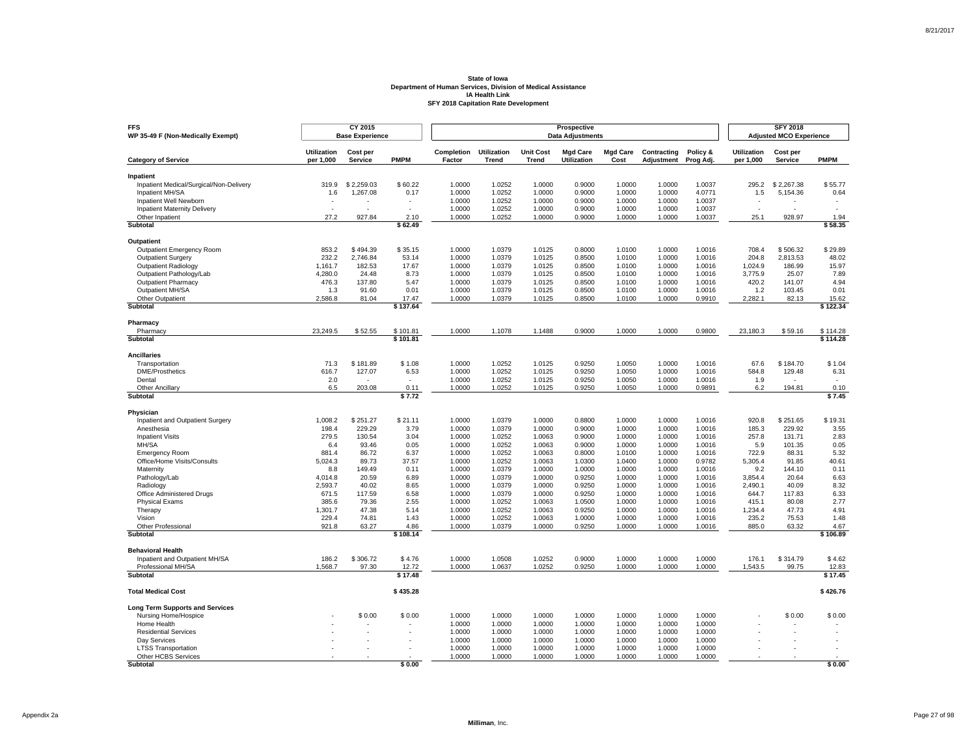| <b>FFS</b><br>WP 35-49 F (Non-Medically Exempt)      |                                 | CY 2015<br><b>Base Experience</b> |                   |                      |                             |                                  | Prospective<br><b>Data Adjustments</b> |                         |                           |                       |                                 | <b>SFY 2018</b><br><b>Adjusted MCO Experience</b> |                          |
|------------------------------------------------------|---------------------------------|-----------------------------------|-------------------|----------------------|-----------------------------|----------------------------------|----------------------------------------|-------------------------|---------------------------|-----------------------|---------------------------------|---------------------------------------------------|--------------------------|
| <b>Category of Service</b>                           | <b>Utilization</b><br>per 1,000 | Cost per<br><b>Service</b>        | <b>PMPM</b>       | Completion<br>Factor | <b>Utilization</b><br>Trend | <b>Unit Cost</b><br><b>Trend</b> | <b>Mgd Care</b><br>Utilization         | <b>Mgd Care</b><br>Cost | Contracting<br>Adjustment | Policy &<br>Prog Adj. | <b>Utilization</b><br>per 1,000 | Cost per<br>Service                               | <b>PMPM</b>              |
|                                                      |                                 |                                   |                   |                      |                             |                                  |                                        |                         |                           |                       |                                 |                                                   |                          |
| Inpatient<br>Inpatient Medical/Surgical/Non-Delivery | 319.9                           | \$2.259.03                        | \$60.22           | 1.0000               | 1.0252                      | 1.0000                           | 0.9000                                 | 1.0000                  | 1.0000                    | 1.0037                | 295.2                           | \$2.267.38                                        | \$55.77                  |
| Inpatient MH/SA                                      | 1.6                             | 1,267.08                          | 0.17              | 1.0000               | 1.0252                      | 1.0000                           | 0.9000                                 | 1.0000                  | 1.0000                    | 4.0771                | 1.5                             | 5,154.36                                          | 0.64                     |
| Inpatient Well Newborn                               |                                 |                                   |                   | 1.0000               | 1.0252                      | 1.0000                           | 0.9000                                 | 1.0000                  | 1.0000                    | 1.0037                |                                 |                                                   |                          |
| <b>Inpatient Maternity Delivery</b>                  | $\overline{a}$                  | ÷                                 | ÷.                | 1.0000               | 1.0252                      | 1.0000                           | 0.9000                                 | 1.0000                  | 1.0000                    | 1.0037                | $\sim$                          |                                                   | $\overline{\phantom{a}}$ |
| Other Inpatient                                      | 27.2                            | 927.84                            | 2.10              | 1.0000               | 1.0252                      | 1.0000                           | 0.9000                                 | 1.0000                  | 1.0000                    | 1.0037                | 25.1                            | 928.97                                            | 1.94                     |
| Subtotal                                             |                                 |                                   | \$62.49           |                      |                             |                                  |                                        |                         |                           |                       |                                 |                                                   | \$58.35                  |
| Outpatient                                           |                                 |                                   |                   |                      |                             |                                  |                                        |                         |                           |                       |                                 |                                                   |                          |
| <b>Outpatient Emergency Room</b>                     | 853.2                           | \$494.39                          | \$35.15           | 1.0000               | 1.0379                      | 1.0125                           | 0.8000                                 | 1.0100                  | 1.0000                    | 1.0016                | 708.4                           | \$506.32                                          | \$29.89                  |
| <b>Outpatient Surgery</b>                            | 232.2                           | 2,746.84                          | 53.14             | 1.0000               | 1.0379                      | 1.0125                           | 0.8500                                 | 1.0100                  | 1.0000                    | 1.0016                | 204.8                           | 2.813.53                                          | 48.02                    |
| <b>Outpatient Radiology</b>                          | 1,161.7                         | 182.53                            | 17.67             | 1.0000               | 1.0379                      | 1.0125                           | 0.8500                                 | 1.0100                  | 1.0000                    | 1.0016                | 1,024.9                         | 186.99                                            | 15.97                    |
| Outpatient Pathology/Lab                             | 4,280.0                         | 24.48                             | 8.73              | 1.0000               | 1.0379                      | 1.0125                           | 0.8500                                 | 1.0100                  | 1.0000                    | 1.0016                | 3,775.9                         | 25.07                                             | 7.89                     |
| <b>Outpatient Pharmacy</b>                           | 476.3                           | 137.80                            | 5.47              | 1.0000               | 1.0379                      | 1.0125                           | 0.8500                                 | 1.0100                  | 1.0000                    | 1.0016                | 420.2                           | 141.07                                            | 4.94                     |
| Outpatient MH/SA<br>Other Outpatient                 | 1.3<br>2,586.8                  | 91.60<br>81.04                    | 0.01              | 1.0000<br>1.0000     | 1.0379<br>1.0379            | 1.0125<br>1.0125                 | 0.8500<br>0.8500                       | 1.0100<br>1.0100        | 1.0000<br>1.0000          | 1.0016                | 1.2<br>2,282.1                  | 103.45<br>82.13                                   | 0.01                     |
| Subtotal                                             |                                 |                                   | 17.47<br>\$137.64 |                      |                             |                                  |                                        |                         |                           | 0.9910                |                                 |                                                   | 15.62<br>\$122.34        |
|                                                      |                                 |                                   |                   |                      |                             |                                  |                                        |                         |                           |                       |                                 |                                                   |                          |
| Pharmacy<br>Pharmacy                                 | 23,249.5                        | \$52.55                           | \$101.81          | 1.0000               | 1.1078                      | 1.1488                           | 0.9000                                 | 1.0000                  | 1.0000                    | 0.9800                | 23,180.3                        | \$59.16                                           | \$114.28                 |
| Subtotal                                             |                                 |                                   | \$101.81          |                      |                             |                                  |                                        |                         |                           |                       |                                 |                                                   | \$114.28                 |
| <b>Ancillaries</b>                                   |                                 |                                   |                   |                      |                             |                                  |                                        |                         |                           |                       |                                 |                                                   |                          |
| Transportation                                       | 71.3                            | \$181.89                          | \$1.08            | 1.0000               | 1.0252                      | 1.0125                           | 0.9250                                 | 1.0050                  | 1.0000                    | 1.0016                | 67.6                            | \$184.70                                          | \$1.04                   |
| <b>DME/Prosthetics</b>                               | 616.7                           | 127.07                            | 6.53              | 1.0000               | 1.0252                      | 1.0125                           | 0.9250                                 | 1.0050                  | 1.0000                    | 1.0016                | 584.8                           | 129.48                                            | 6.31                     |
| Dental                                               | 2.0                             |                                   | $\sim$            | 1.0000               | 1.0252                      | 1.0125                           | 0.9250                                 | 1.0050                  | 1.0000                    | 1.0016                | 1.9                             |                                                   |                          |
| <b>Other Ancillary</b><br>Subtotal                   | 6.5                             | 203.08                            | 0.11<br>\$7.72    | 1.0000               | 1.0252                      | 1.0125                           | 0.9250                                 | 1.0050                  | 1.0000                    | 0.9891                | 6.2                             | 194.81                                            | 0.10<br>\$7.45           |
|                                                      |                                 |                                   |                   |                      |                             |                                  |                                        |                         |                           |                       |                                 |                                                   |                          |
| Physician                                            |                                 |                                   |                   |                      |                             |                                  |                                        |                         |                           |                       |                                 |                                                   |                          |
| Inpatient and Outpatient Surgery                     | 1,008.2                         | \$251.27                          | \$21.11           | 1.0000               | 1.0379                      | 1.0000                           | 0.8800                                 | 1.0000                  | 1.0000                    | 1.0016                | 920.8                           | \$251.65                                          | \$19.31<br>3.55          |
| Anesthesia<br><b>Inpatient Visits</b>                | 198.4<br>279.5                  | 229.29<br>130.54                  | 3.79<br>3.04      | 1.0000<br>1.0000     | 1.0379<br>1.0252            | 1.0000<br>1.0063                 | 0.9000<br>0.9000                       | 1.0000<br>1.0000        | 1.0000<br>1.0000          | 1.0016<br>1.0016      | 185.3<br>257.8                  | 229.92<br>131.71                                  | 2.83                     |
| MH/SA                                                | 6.4                             | 93.46                             | 0.05              | 1.0000               | 1.0252                      | 1.0063                           | 0.9000                                 | 1.0000                  | 1.0000                    | 1.0016                | 5.9                             | 101.35                                            | 0.05                     |
| <b>Emergency Room</b>                                | 881.4                           | 86.72                             | 6.37              | 1.0000               | 1.0252                      | 1.0063                           | 0.8000                                 | 1.0100                  | 1.0000                    | 1.0016                | 722.9                           | 88.31                                             | 5.32                     |
| Office/Home Visits/Consults                          | 5,024.3                         | 89.73                             | 37.57             | 1.0000               | 1.0252                      | 1.0063                           | 1.0300                                 | 1.0400                  | 1.0000                    | 0.9782                | 5,305.4                         | 91.85                                             | 40.61                    |
| Maternity                                            | 8.8                             | 149.49                            | 0.11              | 1.0000               | 1.0379                      | 1.0000                           | 1.0000                                 | 1.0000                  | 1.0000                    | 1.0016                | 9.2                             | 144.10                                            | 0.11                     |
| Pathology/Lab                                        | 4,014.8                         | 20.59                             | 6.89              | 1.0000               | 1.0379                      | 1.0000                           | 0.9250                                 | 1.0000                  | 1.0000                    | 1.0016                | 3,854.4                         | 20.64                                             | 6.63                     |
| Radiology                                            | 2,593.7                         | 40.02                             | 8.65              | 1.0000               | 1.0379                      | 1.0000                           | 0.9250                                 | 1.0000                  | 1.0000                    | 1.0016                | 2,490.1                         | 40.09                                             | 8.32                     |
| Office Administered Drugs                            | 671.5                           | 117.59                            | 6.58              | 1.0000               | 1.0379                      | 1.0000                           | 0.9250                                 | 1.0000                  | 1.0000                    | 1.0016                | 644.7                           | 117.83                                            | 6.33                     |
| <b>Physical Exams</b>                                | 385.6                           | 79.36                             | 2.55              | 1.0000               | 1.0252                      | 1.0063                           | 1.0500                                 | 1.0000                  | 1.0000                    | 1.0016                | 415.1                           | 80.08                                             | 2.77                     |
| Therapy                                              | 1,301.7                         | 47.38                             | 5.14              | 1.0000               | 1.0252                      | 1.0063                           | 0.9250                                 | 1.0000                  | 1.0000                    | 1.0016                | 1,234.4                         | 47.73                                             | 4.91                     |
| Vision<br>Other Professional                         | 229.4<br>921.8                  | 74.81<br>63.27                    | 1.43<br>4.86      | 1.0000<br>1.0000     | 1.0252<br>1.0379            | 1.0063<br>1.0000                 | 1.0000<br>0.9250                       | 1.0000<br>1.0000        | 1.0000<br>1.0000          | 1.0016<br>1.0016      | 235.2<br>885.0                  | 75.53<br>63.32                                    | 1.48<br>4.67             |
| Subtotal                                             |                                 |                                   | \$108.14          |                      |                             |                                  |                                        |                         |                           |                       |                                 |                                                   | \$106.89                 |
| <b>Behavioral Health</b>                             |                                 |                                   |                   |                      |                             |                                  |                                        |                         |                           |                       |                                 |                                                   |                          |
| Inpatient and Outpatient MH/SA                       | 186.2                           | \$306.72                          | \$4.76            | 1.0000               | 1.0508                      | 1.0252                           | 0.9000                                 | 1.0000                  | 1.0000                    | 1.0000                | 176.1                           | \$314.79                                          | \$4.62                   |
| Professional MH/SA                                   | 1,568.7                         | 97.30                             | 12.72             | 1.0000               | 1.0637                      | 1.0252                           | 0.9250                                 | 1.0000                  | 1.0000                    | 1.0000                | 1,543.5                         | 99.75                                             | 12.83                    |
| <b>Subtotal</b>                                      |                                 |                                   | \$17.48           |                      |                             |                                  |                                        |                         |                           |                       |                                 |                                                   | \$17.45                  |
| <b>Total Medical Cost</b>                            |                                 |                                   | \$435.28          |                      |                             |                                  |                                        |                         |                           |                       |                                 |                                                   | \$426.76                 |
| <b>Long Term Supports and Services</b>               |                                 |                                   |                   |                      |                             |                                  |                                        |                         |                           |                       |                                 |                                                   |                          |
| Nursing Home/Hospice                                 |                                 | \$0.00                            | \$0.00            | 1.0000               | 1.0000                      | 1.0000                           | 1.0000                                 | 1.0000                  | 1.0000                    | 1.0000                |                                 | \$0.00                                            | \$0.00                   |
| Home Health                                          |                                 |                                   |                   | 1.0000               | 1.0000                      | 1.0000                           | 1.0000                                 | 1.0000                  | 1.0000                    | 1.0000                |                                 |                                                   |                          |
| <b>Residential Services</b>                          |                                 |                                   |                   | 1.0000               | 1.0000                      | 1.0000                           | 1.0000                                 | 1.0000                  | 1.0000                    | 1.0000                |                                 |                                                   |                          |
| Dav Services                                         |                                 |                                   |                   | 1.0000<br>1.0000     | 1.0000<br>1.0000            | 1.0000<br>1.0000                 | 1.0000<br>1.0000                       | 1.0000<br>1.0000        | 1.0000<br>1.0000          | 1.0000<br>1.0000      |                                 |                                                   |                          |
| <b>LTSS Transportation</b><br>Other HCBS Services    |                                 |                                   |                   | 1.0000               | 1.0000                      | 1.0000                           | 1.0000                                 | 1.0000                  | 1.0000                    | 1.0000                |                                 |                                                   |                          |
| Subtotal                                             |                                 |                                   | \$0.00            |                      |                             |                                  |                                        |                         |                           |                       |                                 |                                                   | \$0.00                   |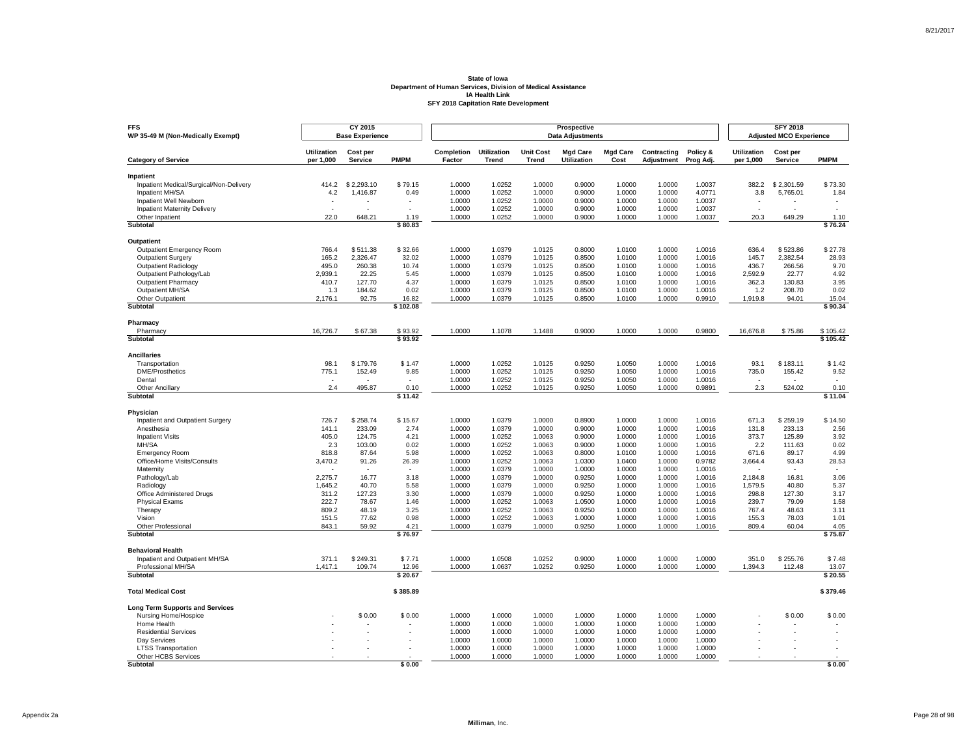| <b>Utilization</b><br>Completion<br><b>Utilization</b><br><b>Unit Cost</b><br><b>Mad Care</b><br><b>Mad Care</b><br>Contracting<br>Policy &<br><b>Utilization</b><br>Cost per<br>Cost per<br>per 1,000<br>Service<br><b>PMPM</b><br>Factor<br><b>Trend</b><br>Trend<br>Utilization<br>Cost<br>Adjustment<br>per 1,000<br>Service<br><b>PMPM</b><br><b>Category of Service</b><br>Prog Adj.<br>Inpatient<br>\$73.30<br>Inpatient Medical/Surgical/Non-Delivery<br>414.2<br>\$2,293.10<br>\$79.15<br>1.0000<br>1.0252<br>1.0000<br>0.9000<br>1.0000<br>1.0000<br>1.0037<br>382.2<br>\$2,301.59<br>Inpatient MH/SA<br>4.2<br>1,416.87<br>0.49<br>1.0000<br>1.0252<br>1.0000<br>0.9000<br>1.0000<br>1.0000<br>4.0771<br>3.8<br>5,765.01<br>1.84<br>1.0000<br>1.0037<br>Inpatient Well Newborn<br>1.0000<br>1.0252<br>0.9000<br>1.0000<br>1.0000<br><b>Inpatient Maternity Delivery</b><br>1.0000<br>1.0252<br>1.0000<br>0.9000<br>1.0000<br>1.0000<br>1.0037<br>$\overline{\phantom{a}}$<br>٠<br>1.0252<br>20.3<br>22.0<br>648.21<br>1.19<br>1.0000<br>1.0000<br>0.9000<br>1.0000<br>1.0000<br>1.0037<br>649.29<br>Other Inpatient<br>1.10<br><b>Subtotal</b><br>\$80.83<br>\$76.24<br><b>Outpatient</b><br>\$32.66<br>\$27.78<br>766.4<br>\$511.38<br>1.0000<br>1.0379<br>1.0125<br>0.8000<br>1.0100<br>1.0000<br>1.0016<br>636.4<br>\$523.86<br>Outpatient Emergency Room<br><b>Outpatient Surgery</b><br>165.2<br>2,326.47<br>32.02<br>1.0000<br>1.0379<br>1.0125<br>0.8500<br>1.0100<br>1.0000<br>1.0016<br>145.7<br>2.382.54<br>28.93<br>495.0<br>260.38<br>10.74<br>1.0000<br>1.0379<br>1.0125<br>0.8500<br>1.0100<br>1.0000<br>1.0016<br>436.7<br>266.56<br>9.70<br><b>Outpatient Radiology</b><br>Outpatient Pathology/Lab<br>2.939.1<br>22.25<br>5.45<br>1.0000<br>1.0379<br>1.0125<br>0.8500<br>1.0100<br>1.0000<br>1.0016<br>2.592.9<br>22.77<br>4.92<br><b>Outpatient Pharmacy</b><br>410.7<br>127.70<br>4.37<br>1.0000<br>1.0379<br>1.0125<br>0.8500<br>1.0100<br>1.0000<br>1.0016<br>362.3<br>130.83<br>3.95<br>0.02<br>0.02<br>Outpatient MH/SA<br>1.3<br>184.62<br>1.0000<br>1.0379<br>1.0125<br>0.8500<br>1.0100<br>1.0000<br>1.0016<br>1.2<br>208.70<br>Other Outpatient<br>2,176.1<br>92.75<br>16.82<br>1.0000<br>1.0379<br>1.0125<br>0.8500<br>1.0100<br>1.0000<br>0.9910<br>1,919.8<br>94.01<br>15.04<br>Subtotal<br>\$102.08<br>\$90.34<br>Pharmacy<br>\$67.38<br>1.0000<br>1.1078<br>1.1488<br>0.9000<br>1.0000<br>0.9800<br>16,676.8<br>\$75.86<br>Pharmacy<br>16,726.7<br>\$93.92<br>1.0000<br>\$105.42<br>\$93.92<br>\$105.42<br>Subtotal<br><b>Ancillaries</b><br>98.1<br>\$179.76<br>\$1.47<br>1.0000<br>1.0252<br>1.0125<br>0.9250<br>1.0050<br>1.0000<br>1.0016<br>93.1<br>\$183.11<br>\$1.42<br>Transportation<br>9.52<br><b>DME/Prosthetics</b><br>775.1<br>152.49<br>9.85<br>1.0000<br>1.0252<br>1.0125<br>0.9250<br>1.0050<br>1.0000<br>1.0016<br>735.0<br>155.42<br>1.0000<br>1.0252<br>1.0125<br>0.9250<br>1.0050<br>1.0016<br>Dental<br>1.0000<br>$\epsilon$<br>$\sim$<br>٠<br>2.4<br>495.87<br>1.0000<br>1.0252<br>1.0125<br>0.9250<br>1.0050<br>1.0000<br>0.9891<br>2.3<br>524.02<br>Other Ancillary<br>0.10<br>0.10<br>\$11.42<br>\$11.04<br>Subtotal<br>Physician<br>Inpatient and Outpatient Surgery<br>726.7<br>\$258.74<br>\$15.67<br>1.0000<br>1.0379<br>1.0000<br>0.8900<br>1.0000<br>1.0000<br>1.0016<br>671.3<br>\$259.19<br>\$14.50<br>Anesthesia<br>233.09<br>2.74<br>1.0000<br>1.0379<br>1.0000<br>0.9000<br>1.0000<br>1.0000<br>233.13<br>2.56<br>141.1<br>1.0016<br>131.8<br><b>Inpatient Visits</b><br>405.0<br>124.75<br>4.21<br>1.0000<br>1.0252<br>1.0063<br>0.9000<br>1.0000<br>1.0000<br>1.0016<br>373.7<br>125.89<br>3.92<br>MH/SA<br>0.02<br>0.02<br>2.3<br>103.00<br>1.0000<br>1.0252<br>1.0063<br>0.9000<br>1.0000<br>1.0000<br>1.0016<br>2.2<br>111.63<br>4.99<br><b>Emergency Room</b><br>818.8<br>87.64<br>5.98<br>1.0000<br>1.0252<br>1.0063<br>0.8000<br>1.0100<br>1.0000<br>1.0016<br>671.6<br>89.17<br>Office/Home Visits/Consults<br>3,470.2<br>26.39<br>1.0000<br>1.0252<br>1.0063<br>1.0300<br>0.9782<br>93.43<br>28.53<br>91.26<br>1.0400<br>1.0000<br>3,664.4<br>1.0000<br>1.0379<br>1.0000<br>1.0000<br>1.0000<br>Maternity<br>1.0000<br>1.0016<br>$\overline{\phantom{a}}$<br>3.06<br>2,275.7<br>16.77<br>3.18<br>1.0000<br>1.0379<br>1.0000<br>0.9250<br>16.81<br>Pathology/Lab<br>1.0000<br>1.0000<br>1.0016<br>2,184.8<br>Radiology<br>1.645.2<br>40.70<br>5.58<br>1.0000<br>1.0379<br>1.0000<br>0.9250<br>1.0000<br>1.0000<br>1.0016<br>1,579.5<br>40.80<br>5.37<br>311.2<br>127.23<br>3.30<br>1.0000<br>1.0379<br>1.0000<br>0.9250<br>1.0000<br>1.0000<br>1.0016<br>298.8<br>127.30<br>3.17<br>Office Administered Drugs<br>222.7<br>78.67<br>1.46<br>1.0000<br>1.0252<br>1.0063<br>1.0500<br>239.7<br>79.09<br>1.58<br><b>Physical Exams</b><br>1.0000<br>1.0000<br>1.0016<br>809.2<br>3.25<br>1.0000<br>1.0252<br>1.0063<br>0.9250<br>1.0000<br>1.0016<br>767.4<br>48.63<br>3.11<br>Therapy<br>48.19<br>1.0000<br>0.98<br>Vision<br>151.5<br>77.62<br>1.0000<br>1.0252<br>1.0063<br>1.0000<br>1.0000<br>1.0000<br>1.0016<br>155.3<br>78.03<br>1.01<br>843.1<br>59.92<br>4.21<br>1.0000<br>1.0379<br>1.0000<br>0.9250<br>1.0000<br>1.0000<br>1.0016<br>809.4<br>60.04<br>4.05<br>Other Professional<br>\$76.97<br>\$75.87<br>Subtotal<br><b>Behavioral Health</b><br>Inpatient and Outpatient MH/SA<br>371.1<br>\$249.31<br>\$7.71<br>1.0000<br>1.0508<br>1.0252<br>0.9000<br>1.0000<br>1.0000<br>1.0000<br>351.0<br>\$255.76<br>\$7.48<br>1.0000<br>1.0252<br>0.9250<br>1.0000<br>1.0000<br>1.0000<br>13.07<br>Professional MH/SA<br>1,417.1<br>109.74<br>12.96<br>1.0637<br>1,394.3<br>112.48<br>\$20.55<br><b>Subtotal</b><br>\$20.67<br><b>Total Medical Cost</b><br>\$385.89<br>\$379.46<br><b>Long Term Supports and Services</b><br>\$0.00<br>\$0.00<br>\$0.00<br>1.0000<br>1.0000<br>1.0000<br>1.0000<br>1.0000<br>1.0000<br>1.0000<br>\$0.00<br>Nursing Home/Hospice<br>1.0000<br>1.0000<br>1.0000<br>1.0000<br>1.0000<br>1.0000<br>Home Health<br>1.0000<br>1.0000<br>1.0000<br>1.0000<br><b>Residential Services</b><br>1.0000<br>1.0000<br>1.0000<br>1.0000<br>Dav Services<br>1.0000<br>1.0000<br>1.0000<br>1.0000<br>1.0000<br>1.0000<br>1.0000<br>1.0000<br>1.0000<br>1.0000<br>1.0000<br>1.0000<br>1.0000<br>1.0000<br><b>LTSS Transportation</b><br>Other HCBS Services<br>1.0000<br>1.0000<br>1.0000<br>1.0000<br>1.0000<br>1.0000<br>1.0000<br>Subtotal<br>\$0.00<br>\$0.00 | <b>FFS</b><br>WP 35-49 M (Non-Medically Exempt) | CY 2015<br><b>Base Experience</b> |  |  | Prospective<br><b>Data Adjustments</b> |  |  | <b>SFY 2018</b><br><b>Adjusted MCO Experience</b> |  |
|-------------------------------------------------------------------------------------------------------------------------------------------------------------------------------------------------------------------------------------------------------------------------------------------------------------------------------------------------------------------------------------------------------------------------------------------------------------------------------------------------------------------------------------------------------------------------------------------------------------------------------------------------------------------------------------------------------------------------------------------------------------------------------------------------------------------------------------------------------------------------------------------------------------------------------------------------------------------------------------------------------------------------------------------------------------------------------------------------------------------------------------------------------------------------------------------------------------------------------------------------------------------------------------------------------------------------------------------------------------------------------------------------------------------------------------------------------------------------------------------------------------------------------------------------------------------------------------------------------------------------------------------------------------------------------------------------------------------------------------------------------------------------------------------------------------------------------------------------------------------------------------------------------------------------------------------------------------------------------------------------------------------------------------------------------------------------------------------------------------------------------------------------------------------------------------------------------------------------------------------------------------------------------------------------------------------------------------------------------------------------------------------------------------------------------------------------------------------------------------------------------------------------------------------------------------------------------------------------------------------------------------------------------------------------------------------------------------------------------------------------------------------------------------------------------------------------------------------------------------------------------------------------------------------------------------------------------------------------------------------------------------------------------------------------------------------------------------------------------------------------------------------------------------------------------------------------------------------------------------------------------------------------------------------------------------------------------------------------------------------------------------------------------------------------------------------------------------------------------------------------------------------------------------------------------------------------------------------------------------------------------------------------------------------------------------------------------------------------------------------------------------------------------------------------------------------------------------------------------------------------------------------------------------------------------------------------------------------------------------------------------------------------------------------------------------------------------------------------------------------------------------------------------------------------------------------------------------------------------------------------------------------------------------------------------------------------------------------------------------------------------------------------------------------------------------------------------------------------------------------------------------------------------------------------------------------------------------------------------------------------------------------------------------------------------------------------------------------------------------------------------------------------------------------------------------------------------------------------------------------------------------------------------------------------------------------------------------------------------------------------------------------------------------------------------------------------------------------------------------------------------------------------------------------------------------------------------------------------------------------------------------------------------------------------------------------------------------------------------------------------------------------------------------------------------------------------------------------------------------------------------------------------------------------------------------------------------------------------------------------------------------------------------------------------------------------------------------------------------------------------------------------------------------------------------------------------------------------------------------------------------------------------------------------------------------------------------------------------------------------------------------------------------------------------------------------------------------------------------------------------------------------------------------------------------------------------------------------------------------------------------------------------------------------------------------------------------------------------------------------------------------------------------------------------------------------------------------------------------|-------------------------------------------------|-----------------------------------|--|--|----------------------------------------|--|--|---------------------------------------------------|--|
|                                                                                                                                                                                                                                                                                                                                                                                                                                                                                                                                                                                                                                                                                                                                                                                                                                                                                                                                                                                                                                                                                                                                                                                                                                                                                                                                                                                                                                                                                                                                                                                                                                                                                                                                                                                                                                                                                                                                                                                                                                                                                                                                                                                                                                                                                                                                                                                                                                                                                                                                                                                                                                                                                                                                                                                                                                                                                                                                                                                                                                                                                                                                                                                                                                                                                                                                                                                                                                                                                                                                                                                                                                                                                                                                                                                                                                                                                                                                                                                                                                                                                                                                                                                                                                                                                                                                                                                                                                                                                                                                                                                                                                                                                                                                                                                                                                                                                                                                                                                                                                                                                                                                                                                                                                                                                                                                                                                                                                                                                                                                                                                                                                                                                                                                                                                                                                                                                                                                                                                                                                                                                                                                                                                                                                                                                                                                                                                                                                                                               |                                                 |                                   |  |  |                                        |  |  |                                                   |  |
|                                                                                                                                                                                                                                                                                                                                                                                                                                                                                                                                                                                                                                                                                                                                                                                                                                                                                                                                                                                                                                                                                                                                                                                                                                                                                                                                                                                                                                                                                                                                                                                                                                                                                                                                                                                                                                                                                                                                                                                                                                                                                                                                                                                                                                                                                                                                                                                                                                                                                                                                                                                                                                                                                                                                                                                                                                                                                                                                                                                                                                                                                                                                                                                                                                                                                                                                                                                                                                                                                                                                                                                                                                                                                                                                                                                                                                                                                                                                                                                                                                                                                                                                                                                                                                                                                                                                                                                                                                                                                                                                                                                                                                                                                                                                                                                                                                                                                                                                                                                                                                                                                                                                                                                                                                                                                                                                                                                                                                                                                                                                                                                                                                                                                                                                                                                                                                                                                                                                                                                                                                                                                                                                                                                                                                                                                                                                                                                                                                                                               |                                                 |                                   |  |  |                                        |  |  |                                                   |  |
|                                                                                                                                                                                                                                                                                                                                                                                                                                                                                                                                                                                                                                                                                                                                                                                                                                                                                                                                                                                                                                                                                                                                                                                                                                                                                                                                                                                                                                                                                                                                                                                                                                                                                                                                                                                                                                                                                                                                                                                                                                                                                                                                                                                                                                                                                                                                                                                                                                                                                                                                                                                                                                                                                                                                                                                                                                                                                                                                                                                                                                                                                                                                                                                                                                                                                                                                                                                                                                                                                                                                                                                                                                                                                                                                                                                                                                                                                                                                                                                                                                                                                                                                                                                                                                                                                                                                                                                                                                                                                                                                                                                                                                                                                                                                                                                                                                                                                                                                                                                                                                                                                                                                                                                                                                                                                                                                                                                                                                                                                                                                                                                                                                                                                                                                                                                                                                                                                                                                                                                                                                                                                                                                                                                                                                                                                                                                                                                                                                                                               |                                                 |                                   |  |  |                                        |  |  |                                                   |  |
|                                                                                                                                                                                                                                                                                                                                                                                                                                                                                                                                                                                                                                                                                                                                                                                                                                                                                                                                                                                                                                                                                                                                                                                                                                                                                                                                                                                                                                                                                                                                                                                                                                                                                                                                                                                                                                                                                                                                                                                                                                                                                                                                                                                                                                                                                                                                                                                                                                                                                                                                                                                                                                                                                                                                                                                                                                                                                                                                                                                                                                                                                                                                                                                                                                                                                                                                                                                                                                                                                                                                                                                                                                                                                                                                                                                                                                                                                                                                                                                                                                                                                                                                                                                                                                                                                                                                                                                                                                                                                                                                                                                                                                                                                                                                                                                                                                                                                                                                                                                                                                                                                                                                                                                                                                                                                                                                                                                                                                                                                                                                                                                                                                                                                                                                                                                                                                                                                                                                                                                                                                                                                                                                                                                                                                                                                                                                                                                                                                                                               |                                                 |                                   |  |  |                                        |  |  |                                                   |  |
|                                                                                                                                                                                                                                                                                                                                                                                                                                                                                                                                                                                                                                                                                                                                                                                                                                                                                                                                                                                                                                                                                                                                                                                                                                                                                                                                                                                                                                                                                                                                                                                                                                                                                                                                                                                                                                                                                                                                                                                                                                                                                                                                                                                                                                                                                                                                                                                                                                                                                                                                                                                                                                                                                                                                                                                                                                                                                                                                                                                                                                                                                                                                                                                                                                                                                                                                                                                                                                                                                                                                                                                                                                                                                                                                                                                                                                                                                                                                                                                                                                                                                                                                                                                                                                                                                                                                                                                                                                                                                                                                                                                                                                                                                                                                                                                                                                                                                                                                                                                                                                                                                                                                                                                                                                                                                                                                                                                                                                                                                                                                                                                                                                                                                                                                                                                                                                                                                                                                                                                                                                                                                                                                                                                                                                                                                                                                                                                                                                                                               |                                                 |                                   |  |  |                                        |  |  |                                                   |  |
|                                                                                                                                                                                                                                                                                                                                                                                                                                                                                                                                                                                                                                                                                                                                                                                                                                                                                                                                                                                                                                                                                                                                                                                                                                                                                                                                                                                                                                                                                                                                                                                                                                                                                                                                                                                                                                                                                                                                                                                                                                                                                                                                                                                                                                                                                                                                                                                                                                                                                                                                                                                                                                                                                                                                                                                                                                                                                                                                                                                                                                                                                                                                                                                                                                                                                                                                                                                                                                                                                                                                                                                                                                                                                                                                                                                                                                                                                                                                                                                                                                                                                                                                                                                                                                                                                                                                                                                                                                                                                                                                                                                                                                                                                                                                                                                                                                                                                                                                                                                                                                                                                                                                                                                                                                                                                                                                                                                                                                                                                                                                                                                                                                                                                                                                                                                                                                                                                                                                                                                                                                                                                                                                                                                                                                                                                                                                                                                                                                                                               |                                                 |                                   |  |  |                                        |  |  |                                                   |  |
|                                                                                                                                                                                                                                                                                                                                                                                                                                                                                                                                                                                                                                                                                                                                                                                                                                                                                                                                                                                                                                                                                                                                                                                                                                                                                                                                                                                                                                                                                                                                                                                                                                                                                                                                                                                                                                                                                                                                                                                                                                                                                                                                                                                                                                                                                                                                                                                                                                                                                                                                                                                                                                                                                                                                                                                                                                                                                                                                                                                                                                                                                                                                                                                                                                                                                                                                                                                                                                                                                                                                                                                                                                                                                                                                                                                                                                                                                                                                                                                                                                                                                                                                                                                                                                                                                                                                                                                                                                                                                                                                                                                                                                                                                                                                                                                                                                                                                                                                                                                                                                                                                                                                                                                                                                                                                                                                                                                                                                                                                                                                                                                                                                                                                                                                                                                                                                                                                                                                                                                                                                                                                                                                                                                                                                                                                                                                                                                                                                                                               |                                                 |                                   |  |  |                                        |  |  |                                                   |  |
|                                                                                                                                                                                                                                                                                                                                                                                                                                                                                                                                                                                                                                                                                                                                                                                                                                                                                                                                                                                                                                                                                                                                                                                                                                                                                                                                                                                                                                                                                                                                                                                                                                                                                                                                                                                                                                                                                                                                                                                                                                                                                                                                                                                                                                                                                                                                                                                                                                                                                                                                                                                                                                                                                                                                                                                                                                                                                                                                                                                                                                                                                                                                                                                                                                                                                                                                                                                                                                                                                                                                                                                                                                                                                                                                                                                                                                                                                                                                                                                                                                                                                                                                                                                                                                                                                                                                                                                                                                                                                                                                                                                                                                                                                                                                                                                                                                                                                                                                                                                                                                                                                                                                                                                                                                                                                                                                                                                                                                                                                                                                                                                                                                                                                                                                                                                                                                                                                                                                                                                                                                                                                                                                                                                                                                                                                                                                                                                                                                                                               |                                                 |                                   |  |  |                                        |  |  |                                                   |  |
|                                                                                                                                                                                                                                                                                                                                                                                                                                                                                                                                                                                                                                                                                                                                                                                                                                                                                                                                                                                                                                                                                                                                                                                                                                                                                                                                                                                                                                                                                                                                                                                                                                                                                                                                                                                                                                                                                                                                                                                                                                                                                                                                                                                                                                                                                                                                                                                                                                                                                                                                                                                                                                                                                                                                                                                                                                                                                                                                                                                                                                                                                                                                                                                                                                                                                                                                                                                                                                                                                                                                                                                                                                                                                                                                                                                                                                                                                                                                                                                                                                                                                                                                                                                                                                                                                                                                                                                                                                                                                                                                                                                                                                                                                                                                                                                                                                                                                                                                                                                                                                                                                                                                                                                                                                                                                                                                                                                                                                                                                                                                                                                                                                                                                                                                                                                                                                                                                                                                                                                                                                                                                                                                                                                                                                                                                                                                                                                                                                                                               |                                                 |                                   |  |  |                                        |  |  |                                                   |  |
|                                                                                                                                                                                                                                                                                                                                                                                                                                                                                                                                                                                                                                                                                                                                                                                                                                                                                                                                                                                                                                                                                                                                                                                                                                                                                                                                                                                                                                                                                                                                                                                                                                                                                                                                                                                                                                                                                                                                                                                                                                                                                                                                                                                                                                                                                                                                                                                                                                                                                                                                                                                                                                                                                                                                                                                                                                                                                                                                                                                                                                                                                                                                                                                                                                                                                                                                                                                                                                                                                                                                                                                                                                                                                                                                                                                                                                                                                                                                                                                                                                                                                                                                                                                                                                                                                                                                                                                                                                                                                                                                                                                                                                                                                                                                                                                                                                                                                                                                                                                                                                                                                                                                                                                                                                                                                                                                                                                                                                                                                                                                                                                                                                                                                                                                                                                                                                                                                                                                                                                                                                                                                                                                                                                                                                                                                                                                                                                                                                                                               |                                                 |                                   |  |  |                                        |  |  |                                                   |  |
|                                                                                                                                                                                                                                                                                                                                                                                                                                                                                                                                                                                                                                                                                                                                                                                                                                                                                                                                                                                                                                                                                                                                                                                                                                                                                                                                                                                                                                                                                                                                                                                                                                                                                                                                                                                                                                                                                                                                                                                                                                                                                                                                                                                                                                                                                                                                                                                                                                                                                                                                                                                                                                                                                                                                                                                                                                                                                                                                                                                                                                                                                                                                                                                                                                                                                                                                                                                                                                                                                                                                                                                                                                                                                                                                                                                                                                                                                                                                                                                                                                                                                                                                                                                                                                                                                                                                                                                                                                                                                                                                                                                                                                                                                                                                                                                                                                                                                                                                                                                                                                                                                                                                                                                                                                                                                                                                                                                                                                                                                                                                                                                                                                                                                                                                                                                                                                                                                                                                                                                                                                                                                                                                                                                                                                                                                                                                                                                                                                                                               |                                                 |                                   |  |  |                                        |  |  |                                                   |  |
|                                                                                                                                                                                                                                                                                                                                                                                                                                                                                                                                                                                                                                                                                                                                                                                                                                                                                                                                                                                                                                                                                                                                                                                                                                                                                                                                                                                                                                                                                                                                                                                                                                                                                                                                                                                                                                                                                                                                                                                                                                                                                                                                                                                                                                                                                                                                                                                                                                                                                                                                                                                                                                                                                                                                                                                                                                                                                                                                                                                                                                                                                                                                                                                                                                                                                                                                                                                                                                                                                                                                                                                                                                                                                                                                                                                                                                                                                                                                                                                                                                                                                                                                                                                                                                                                                                                                                                                                                                                                                                                                                                                                                                                                                                                                                                                                                                                                                                                                                                                                                                                                                                                                                                                                                                                                                                                                                                                                                                                                                                                                                                                                                                                                                                                                                                                                                                                                                                                                                                                                                                                                                                                                                                                                                                                                                                                                                                                                                                                                               |                                                 |                                   |  |  |                                        |  |  |                                                   |  |
|                                                                                                                                                                                                                                                                                                                                                                                                                                                                                                                                                                                                                                                                                                                                                                                                                                                                                                                                                                                                                                                                                                                                                                                                                                                                                                                                                                                                                                                                                                                                                                                                                                                                                                                                                                                                                                                                                                                                                                                                                                                                                                                                                                                                                                                                                                                                                                                                                                                                                                                                                                                                                                                                                                                                                                                                                                                                                                                                                                                                                                                                                                                                                                                                                                                                                                                                                                                                                                                                                                                                                                                                                                                                                                                                                                                                                                                                                                                                                                                                                                                                                                                                                                                                                                                                                                                                                                                                                                                                                                                                                                                                                                                                                                                                                                                                                                                                                                                                                                                                                                                                                                                                                                                                                                                                                                                                                                                                                                                                                                                                                                                                                                                                                                                                                                                                                                                                                                                                                                                                                                                                                                                                                                                                                                                                                                                                                                                                                                                                               |                                                 |                                   |  |  |                                        |  |  |                                                   |  |
|                                                                                                                                                                                                                                                                                                                                                                                                                                                                                                                                                                                                                                                                                                                                                                                                                                                                                                                                                                                                                                                                                                                                                                                                                                                                                                                                                                                                                                                                                                                                                                                                                                                                                                                                                                                                                                                                                                                                                                                                                                                                                                                                                                                                                                                                                                                                                                                                                                                                                                                                                                                                                                                                                                                                                                                                                                                                                                                                                                                                                                                                                                                                                                                                                                                                                                                                                                                                                                                                                                                                                                                                                                                                                                                                                                                                                                                                                                                                                                                                                                                                                                                                                                                                                                                                                                                                                                                                                                                                                                                                                                                                                                                                                                                                                                                                                                                                                                                                                                                                                                                                                                                                                                                                                                                                                                                                                                                                                                                                                                                                                                                                                                                                                                                                                                                                                                                                                                                                                                                                                                                                                                                                                                                                                                                                                                                                                                                                                                                                               |                                                 |                                   |  |  |                                        |  |  |                                                   |  |
|                                                                                                                                                                                                                                                                                                                                                                                                                                                                                                                                                                                                                                                                                                                                                                                                                                                                                                                                                                                                                                                                                                                                                                                                                                                                                                                                                                                                                                                                                                                                                                                                                                                                                                                                                                                                                                                                                                                                                                                                                                                                                                                                                                                                                                                                                                                                                                                                                                                                                                                                                                                                                                                                                                                                                                                                                                                                                                                                                                                                                                                                                                                                                                                                                                                                                                                                                                                                                                                                                                                                                                                                                                                                                                                                                                                                                                                                                                                                                                                                                                                                                                                                                                                                                                                                                                                                                                                                                                                                                                                                                                                                                                                                                                                                                                                                                                                                                                                                                                                                                                                                                                                                                                                                                                                                                                                                                                                                                                                                                                                                                                                                                                                                                                                                                                                                                                                                                                                                                                                                                                                                                                                                                                                                                                                                                                                                                                                                                                                                               |                                                 |                                   |  |  |                                        |  |  |                                                   |  |
|                                                                                                                                                                                                                                                                                                                                                                                                                                                                                                                                                                                                                                                                                                                                                                                                                                                                                                                                                                                                                                                                                                                                                                                                                                                                                                                                                                                                                                                                                                                                                                                                                                                                                                                                                                                                                                                                                                                                                                                                                                                                                                                                                                                                                                                                                                                                                                                                                                                                                                                                                                                                                                                                                                                                                                                                                                                                                                                                                                                                                                                                                                                                                                                                                                                                                                                                                                                                                                                                                                                                                                                                                                                                                                                                                                                                                                                                                                                                                                                                                                                                                                                                                                                                                                                                                                                                                                                                                                                                                                                                                                                                                                                                                                                                                                                                                                                                                                                                                                                                                                                                                                                                                                                                                                                                                                                                                                                                                                                                                                                                                                                                                                                                                                                                                                                                                                                                                                                                                                                                                                                                                                                                                                                                                                                                                                                                                                                                                                                                               |                                                 |                                   |  |  |                                        |  |  |                                                   |  |
|                                                                                                                                                                                                                                                                                                                                                                                                                                                                                                                                                                                                                                                                                                                                                                                                                                                                                                                                                                                                                                                                                                                                                                                                                                                                                                                                                                                                                                                                                                                                                                                                                                                                                                                                                                                                                                                                                                                                                                                                                                                                                                                                                                                                                                                                                                                                                                                                                                                                                                                                                                                                                                                                                                                                                                                                                                                                                                                                                                                                                                                                                                                                                                                                                                                                                                                                                                                                                                                                                                                                                                                                                                                                                                                                                                                                                                                                                                                                                                                                                                                                                                                                                                                                                                                                                                                                                                                                                                                                                                                                                                                                                                                                                                                                                                                                                                                                                                                                                                                                                                                                                                                                                                                                                                                                                                                                                                                                                                                                                                                                                                                                                                                                                                                                                                                                                                                                                                                                                                                                                                                                                                                                                                                                                                                                                                                                                                                                                                                                               |                                                 |                                   |  |  |                                        |  |  |                                                   |  |
|                                                                                                                                                                                                                                                                                                                                                                                                                                                                                                                                                                                                                                                                                                                                                                                                                                                                                                                                                                                                                                                                                                                                                                                                                                                                                                                                                                                                                                                                                                                                                                                                                                                                                                                                                                                                                                                                                                                                                                                                                                                                                                                                                                                                                                                                                                                                                                                                                                                                                                                                                                                                                                                                                                                                                                                                                                                                                                                                                                                                                                                                                                                                                                                                                                                                                                                                                                                                                                                                                                                                                                                                                                                                                                                                                                                                                                                                                                                                                                                                                                                                                                                                                                                                                                                                                                                                                                                                                                                                                                                                                                                                                                                                                                                                                                                                                                                                                                                                                                                                                                                                                                                                                                                                                                                                                                                                                                                                                                                                                                                                                                                                                                                                                                                                                                                                                                                                                                                                                                                                                                                                                                                                                                                                                                                                                                                                                                                                                                                                               |                                                 |                                   |  |  |                                        |  |  |                                                   |  |
|                                                                                                                                                                                                                                                                                                                                                                                                                                                                                                                                                                                                                                                                                                                                                                                                                                                                                                                                                                                                                                                                                                                                                                                                                                                                                                                                                                                                                                                                                                                                                                                                                                                                                                                                                                                                                                                                                                                                                                                                                                                                                                                                                                                                                                                                                                                                                                                                                                                                                                                                                                                                                                                                                                                                                                                                                                                                                                                                                                                                                                                                                                                                                                                                                                                                                                                                                                                                                                                                                                                                                                                                                                                                                                                                                                                                                                                                                                                                                                                                                                                                                                                                                                                                                                                                                                                                                                                                                                                                                                                                                                                                                                                                                                                                                                                                                                                                                                                                                                                                                                                                                                                                                                                                                                                                                                                                                                                                                                                                                                                                                                                                                                                                                                                                                                                                                                                                                                                                                                                                                                                                                                                                                                                                                                                                                                                                                                                                                                                                               |                                                 |                                   |  |  |                                        |  |  |                                                   |  |
|                                                                                                                                                                                                                                                                                                                                                                                                                                                                                                                                                                                                                                                                                                                                                                                                                                                                                                                                                                                                                                                                                                                                                                                                                                                                                                                                                                                                                                                                                                                                                                                                                                                                                                                                                                                                                                                                                                                                                                                                                                                                                                                                                                                                                                                                                                                                                                                                                                                                                                                                                                                                                                                                                                                                                                                                                                                                                                                                                                                                                                                                                                                                                                                                                                                                                                                                                                                                                                                                                                                                                                                                                                                                                                                                                                                                                                                                                                                                                                                                                                                                                                                                                                                                                                                                                                                                                                                                                                                                                                                                                                                                                                                                                                                                                                                                                                                                                                                                                                                                                                                                                                                                                                                                                                                                                                                                                                                                                                                                                                                                                                                                                                                                                                                                                                                                                                                                                                                                                                                                                                                                                                                                                                                                                                                                                                                                                                                                                                                                               |                                                 |                                   |  |  |                                        |  |  |                                                   |  |
|                                                                                                                                                                                                                                                                                                                                                                                                                                                                                                                                                                                                                                                                                                                                                                                                                                                                                                                                                                                                                                                                                                                                                                                                                                                                                                                                                                                                                                                                                                                                                                                                                                                                                                                                                                                                                                                                                                                                                                                                                                                                                                                                                                                                                                                                                                                                                                                                                                                                                                                                                                                                                                                                                                                                                                                                                                                                                                                                                                                                                                                                                                                                                                                                                                                                                                                                                                                                                                                                                                                                                                                                                                                                                                                                                                                                                                                                                                                                                                                                                                                                                                                                                                                                                                                                                                                                                                                                                                                                                                                                                                                                                                                                                                                                                                                                                                                                                                                                                                                                                                                                                                                                                                                                                                                                                                                                                                                                                                                                                                                                                                                                                                                                                                                                                                                                                                                                                                                                                                                                                                                                                                                                                                                                                                                                                                                                                                                                                                                                               |                                                 |                                   |  |  |                                        |  |  |                                                   |  |
|                                                                                                                                                                                                                                                                                                                                                                                                                                                                                                                                                                                                                                                                                                                                                                                                                                                                                                                                                                                                                                                                                                                                                                                                                                                                                                                                                                                                                                                                                                                                                                                                                                                                                                                                                                                                                                                                                                                                                                                                                                                                                                                                                                                                                                                                                                                                                                                                                                                                                                                                                                                                                                                                                                                                                                                                                                                                                                                                                                                                                                                                                                                                                                                                                                                                                                                                                                                                                                                                                                                                                                                                                                                                                                                                                                                                                                                                                                                                                                                                                                                                                                                                                                                                                                                                                                                                                                                                                                                                                                                                                                                                                                                                                                                                                                                                                                                                                                                                                                                                                                                                                                                                                                                                                                                                                                                                                                                                                                                                                                                                                                                                                                                                                                                                                                                                                                                                                                                                                                                                                                                                                                                                                                                                                                                                                                                                                                                                                                                                               |                                                 |                                   |  |  |                                        |  |  |                                                   |  |
|                                                                                                                                                                                                                                                                                                                                                                                                                                                                                                                                                                                                                                                                                                                                                                                                                                                                                                                                                                                                                                                                                                                                                                                                                                                                                                                                                                                                                                                                                                                                                                                                                                                                                                                                                                                                                                                                                                                                                                                                                                                                                                                                                                                                                                                                                                                                                                                                                                                                                                                                                                                                                                                                                                                                                                                                                                                                                                                                                                                                                                                                                                                                                                                                                                                                                                                                                                                                                                                                                                                                                                                                                                                                                                                                                                                                                                                                                                                                                                                                                                                                                                                                                                                                                                                                                                                                                                                                                                                                                                                                                                                                                                                                                                                                                                                                                                                                                                                                                                                                                                                                                                                                                                                                                                                                                                                                                                                                                                                                                                                                                                                                                                                                                                                                                                                                                                                                                                                                                                                                                                                                                                                                                                                                                                                                                                                                                                                                                                                                               |                                                 |                                   |  |  |                                        |  |  |                                                   |  |
|                                                                                                                                                                                                                                                                                                                                                                                                                                                                                                                                                                                                                                                                                                                                                                                                                                                                                                                                                                                                                                                                                                                                                                                                                                                                                                                                                                                                                                                                                                                                                                                                                                                                                                                                                                                                                                                                                                                                                                                                                                                                                                                                                                                                                                                                                                                                                                                                                                                                                                                                                                                                                                                                                                                                                                                                                                                                                                                                                                                                                                                                                                                                                                                                                                                                                                                                                                                                                                                                                                                                                                                                                                                                                                                                                                                                                                                                                                                                                                                                                                                                                                                                                                                                                                                                                                                                                                                                                                                                                                                                                                                                                                                                                                                                                                                                                                                                                                                                                                                                                                                                                                                                                                                                                                                                                                                                                                                                                                                                                                                                                                                                                                                                                                                                                                                                                                                                                                                                                                                                                                                                                                                                                                                                                                                                                                                                                                                                                                                                               |                                                 |                                   |  |  |                                        |  |  |                                                   |  |
|                                                                                                                                                                                                                                                                                                                                                                                                                                                                                                                                                                                                                                                                                                                                                                                                                                                                                                                                                                                                                                                                                                                                                                                                                                                                                                                                                                                                                                                                                                                                                                                                                                                                                                                                                                                                                                                                                                                                                                                                                                                                                                                                                                                                                                                                                                                                                                                                                                                                                                                                                                                                                                                                                                                                                                                                                                                                                                                                                                                                                                                                                                                                                                                                                                                                                                                                                                                                                                                                                                                                                                                                                                                                                                                                                                                                                                                                                                                                                                                                                                                                                                                                                                                                                                                                                                                                                                                                                                                                                                                                                                                                                                                                                                                                                                                                                                                                                                                                                                                                                                                                                                                                                                                                                                                                                                                                                                                                                                                                                                                                                                                                                                                                                                                                                                                                                                                                                                                                                                                                                                                                                                                                                                                                                                                                                                                                                                                                                                                                               |                                                 |                                   |  |  |                                        |  |  |                                                   |  |
|                                                                                                                                                                                                                                                                                                                                                                                                                                                                                                                                                                                                                                                                                                                                                                                                                                                                                                                                                                                                                                                                                                                                                                                                                                                                                                                                                                                                                                                                                                                                                                                                                                                                                                                                                                                                                                                                                                                                                                                                                                                                                                                                                                                                                                                                                                                                                                                                                                                                                                                                                                                                                                                                                                                                                                                                                                                                                                                                                                                                                                                                                                                                                                                                                                                                                                                                                                                                                                                                                                                                                                                                                                                                                                                                                                                                                                                                                                                                                                                                                                                                                                                                                                                                                                                                                                                                                                                                                                                                                                                                                                                                                                                                                                                                                                                                                                                                                                                                                                                                                                                                                                                                                                                                                                                                                                                                                                                                                                                                                                                                                                                                                                                                                                                                                                                                                                                                                                                                                                                                                                                                                                                                                                                                                                                                                                                                                                                                                                                                               |                                                 |                                   |  |  |                                        |  |  |                                                   |  |
|                                                                                                                                                                                                                                                                                                                                                                                                                                                                                                                                                                                                                                                                                                                                                                                                                                                                                                                                                                                                                                                                                                                                                                                                                                                                                                                                                                                                                                                                                                                                                                                                                                                                                                                                                                                                                                                                                                                                                                                                                                                                                                                                                                                                                                                                                                                                                                                                                                                                                                                                                                                                                                                                                                                                                                                                                                                                                                                                                                                                                                                                                                                                                                                                                                                                                                                                                                                                                                                                                                                                                                                                                                                                                                                                                                                                                                                                                                                                                                                                                                                                                                                                                                                                                                                                                                                                                                                                                                                                                                                                                                                                                                                                                                                                                                                                                                                                                                                                                                                                                                                                                                                                                                                                                                                                                                                                                                                                                                                                                                                                                                                                                                                                                                                                                                                                                                                                                                                                                                                                                                                                                                                                                                                                                                                                                                                                                                                                                                                                               |                                                 |                                   |  |  |                                        |  |  |                                                   |  |
|                                                                                                                                                                                                                                                                                                                                                                                                                                                                                                                                                                                                                                                                                                                                                                                                                                                                                                                                                                                                                                                                                                                                                                                                                                                                                                                                                                                                                                                                                                                                                                                                                                                                                                                                                                                                                                                                                                                                                                                                                                                                                                                                                                                                                                                                                                                                                                                                                                                                                                                                                                                                                                                                                                                                                                                                                                                                                                                                                                                                                                                                                                                                                                                                                                                                                                                                                                                                                                                                                                                                                                                                                                                                                                                                                                                                                                                                                                                                                                                                                                                                                                                                                                                                                                                                                                                                                                                                                                                                                                                                                                                                                                                                                                                                                                                                                                                                                                                                                                                                                                                                                                                                                                                                                                                                                                                                                                                                                                                                                                                                                                                                                                                                                                                                                                                                                                                                                                                                                                                                                                                                                                                                                                                                                                                                                                                                                                                                                                                                               |                                                 |                                   |  |  |                                        |  |  |                                                   |  |
|                                                                                                                                                                                                                                                                                                                                                                                                                                                                                                                                                                                                                                                                                                                                                                                                                                                                                                                                                                                                                                                                                                                                                                                                                                                                                                                                                                                                                                                                                                                                                                                                                                                                                                                                                                                                                                                                                                                                                                                                                                                                                                                                                                                                                                                                                                                                                                                                                                                                                                                                                                                                                                                                                                                                                                                                                                                                                                                                                                                                                                                                                                                                                                                                                                                                                                                                                                                                                                                                                                                                                                                                                                                                                                                                                                                                                                                                                                                                                                                                                                                                                                                                                                                                                                                                                                                                                                                                                                                                                                                                                                                                                                                                                                                                                                                                                                                                                                                                                                                                                                                                                                                                                                                                                                                                                                                                                                                                                                                                                                                                                                                                                                                                                                                                                                                                                                                                                                                                                                                                                                                                                                                                                                                                                                                                                                                                                                                                                                                                               |                                                 |                                   |  |  |                                        |  |  |                                                   |  |
|                                                                                                                                                                                                                                                                                                                                                                                                                                                                                                                                                                                                                                                                                                                                                                                                                                                                                                                                                                                                                                                                                                                                                                                                                                                                                                                                                                                                                                                                                                                                                                                                                                                                                                                                                                                                                                                                                                                                                                                                                                                                                                                                                                                                                                                                                                                                                                                                                                                                                                                                                                                                                                                                                                                                                                                                                                                                                                                                                                                                                                                                                                                                                                                                                                                                                                                                                                                                                                                                                                                                                                                                                                                                                                                                                                                                                                                                                                                                                                                                                                                                                                                                                                                                                                                                                                                                                                                                                                                                                                                                                                                                                                                                                                                                                                                                                                                                                                                                                                                                                                                                                                                                                                                                                                                                                                                                                                                                                                                                                                                                                                                                                                                                                                                                                                                                                                                                                                                                                                                                                                                                                                                                                                                                                                                                                                                                                                                                                                                                               |                                                 |                                   |  |  |                                        |  |  |                                                   |  |
|                                                                                                                                                                                                                                                                                                                                                                                                                                                                                                                                                                                                                                                                                                                                                                                                                                                                                                                                                                                                                                                                                                                                                                                                                                                                                                                                                                                                                                                                                                                                                                                                                                                                                                                                                                                                                                                                                                                                                                                                                                                                                                                                                                                                                                                                                                                                                                                                                                                                                                                                                                                                                                                                                                                                                                                                                                                                                                                                                                                                                                                                                                                                                                                                                                                                                                                                                                                                                                                                                                                                                                                                                                                                                                                                                                                                                                                                                                                                                                                                                                                                                                                                                                                                                                                                                                                                                                                                                                                                                                                                                                                                                                                                                                                                                                                                                                                                                                                                                                                                                                                                                                                                                                                                                                                                                                                                                                                                                                                                                                                                                                                                                                                                                                                                                                                                                                                                                                                                                                                                                                                                                                                                                                                                                                                                                                                                                                                                                                                                               |                                                 |                                   |  |  |                                        |  |  |                                                   |  |
|                                                                                                                                                                                                                                                                                                                                                                                                                                                                                                                                                                                                                                                                                                                                                                                                                                                                                                                                                                                                                                                                                                                                                                                                                                                                                                                                                                                                                                                                                                                                                                                                                                                                                                                                                                                                                                                                                                                                                                                                                                                                                                                                                                                                                                                                                                                                                                                                                                                                                                                                                                                                                                                                                                                                                                                                                                                                                                                                                                                                                                                                                                                                                                                                                                                                                                                                                                                                                                                                                                                                                                                                                                                                                                                                                                                                                                                                                                                                                                                                                                                                                                                                                                                                                                                                                                                                                                                                                                                                                                                                                                                                                                                                                                                                                                                                                                                                                                                                                                                                                                                                                                                                                                                                                                                                                                                                                                                                                                                                                                                                                                                                                                                                                                                                                                                                                                                                                                                                                                                                                                                                                                                                                                                                                                                                                                                                                                                                                                                                               |                                                 |                                   |  |  |                                        |  |  |                                                   |  |
|                                                                                                                                                                                                                                                                                                                                                                                                                                                                                                                                                                                                                                                                                                                                                                                                                                                                                                                                                                                                                                                                                                                                                                                                                                                                                                                                                                                                                                                                                                                                                                                                                                                                                                                                                                                                                                                                                                                                                                                                                                                                                                                                                                                                                                                                                                                                                                                                                                                                                                                                                                                                                                                                                                                                                                                                                                                                                                                                                                                                                                                                                                                                                                                                                                                                                                                                                                                                                                                                                                                                                                                                                                                                                                                                                                                                                                                                                                                                                                                                                                                                                                                                                                                                                                                                                                                                                                                                                                                                                                                                                                                                                                                                                                                                                                                                                                                                                                                                                                                                                                                                                                                                                                                                                                                                                                                                                                                                                                                                                                                                                                                                                                                                                                                                                                                                                                                                                                                                                                                                                                                                                                                                                                                                                                                                                                                                                                                                                                                                               |                                                 |                                   |  |  |                                        |  |  |                                                   |  |
|                                                                                                                                                                                                                                                                                                                                                                                                                                                                                                                                                                                                                                                                                                                                                                                                                                                                                                                                                                                                                                                                                                                                                                                                                                                                                                                                                                                                                                                                                                                                                                                                                                                                                                                                                                                                                                                                                                                                                                                                                                                                                                                                                                                                                                                                                                                                                                                                                                                                                                                                                                                                                                                                                                                                                                                                                                                                                                                                                                                                                                                                                                                                                                                                                                                                                                                                                                                                                                                                                                                                                                                                                                                                                                                                                                                                                                                                                                                                                                                                                                                                                                                                                                                                                                                                                                                                                                                                                                                                                                                                                                                                                                                                                                                                                                                                                                                                                                                                                                                                                                                                                                                                                                                                                                                                                                                                                                                                                                                                                                                                                                                                                                                                                                                                                                                                                                                                                                                                                                                                                                                                                                                                                                                                                                                                                                                                                                                                                                                                               |                                                 |                                   |  |  |                                        |  |  |                                                   |  |
|                                                                                                                                                                                                                                                                                                                                                                                                                                                                                                                                                                                                                                                                                                                                                                                                                                                                                                                                                                                                                                                                                                                                                                                                                                                                                                                                                                                                                                                                                                                                                                                                                                                                                                                                                                                                                                                                                                                                                                                                                                                                                                                                                                                                                                                                                                                                                                                                                                                                                                                                                                                                                                                                                                                                                                                                                                                                                                                                                                                                                                                                                                                                                                                                                                                                                                                                                                                                                                                                                                                                                                                                                                                                                                                                                                                                                                                                                                                                                                                                                                                                                                                                                                                                                                                                                                                                                                                                                                                                                                                                                                                                                                                                                                                                                                                                                                                                                                                                                                                                                                                                                                                                                                                                                                                                                                                                                                                                                                                                                                                                                                                                                                                                                                                                                                                                                                                                                                                                                                                                                                                                                                                                                                                                                                                                                                                                                                                                                                                                               |                                                 |                                   |  |  |                                        |  |  |                                                   |  |
|                                                                                                                                                                                                                                                                                                                                                                                                                                                                                                                                                                                                                                                                                                                                                                                                                                                                                                                                                                                                                                                                                                                                                                                                                                                                                                                                                                                                                                                                                                                                                                                                                                                                                                                                                                                                                                                                                                                                                                                                                                                                                                                                                                                                                                                                                                                                                                                                                                                                                                                                                                                                                                                                                                                                                                                                                                                                                                                                                                                                                                                                                                                                                                                                                                                                                                                                                                                                                                                                                                                                                                                                                                                                                                                                                                                                                                                                                                                                                                                                                                                                                                                                                                                                                                                                                                                                                                                                                                                                                                                                                                                                                                                                                                                                                                                                                                                                                                                                                                                                                                                                                                                                                                                                                                                                                                                                                                                                                                                                                                                                                                                                                                                                                                                                                                                                                                                                                                                                                                                                                                                                                                                                                                                                                                                                                                                                                                                                                                                                               |                                                 |                                   |  |  |                                        |  |  |                                                   |  |
|                                                                                                                                                                                                                                                                                                                                                                                                                                                                                                                                                                                                                                                                                                                                                                                                                                                                                                                                                                                                                                                                                                                                                                                                                                                                                                                                                                                                                                                                                                                                                                                                                                                                                                                                                                                                                                                                                                                                                                                                                                                                                                                                                                                                                                                                                                                                                                                                                                                                                                                                                                                                                                                                                                                                                                                                                                                                                                                                                                                                                                                                                                                                                                                                                                                                                                                                                                                                                                                                                                                                                                                                                                                                                                                                                                                                                                                                                                                                                                                                                                                                                                                                                                                                                                                                                                                                                                                                                                                                                                                                                                                                                                                                                                                                                                                                                                                                                                                                                                                                                                                                                                                                                                                                                                                                                                                                                                                                                                                                                                                                                                                                                                                                                                                                                                                                                                                                                                                                                                                                                                                                                                                                                                                                                                                                                                                                                                                                                                                                               |                                                 |                                   |  |  |                                        |  |  |                                                   |  |
|                                                                                                                                                                                                                                                                                                                                                                                                                                                                                                                                                                                                                                                                                                                                                                                                                                                                                                                                                                                                                                                                                                                                                                                                                                                                                                                                                                                                                                                                                                                                                                                                                                                                                                                                                                                                                                                                                                                                                                                                                                                                                                                                                                                                                                                                                                                                                                                                                                                                                                                                                                                                                                                                                                                                                                                                                                                                                                                                                                                                                                                                                                                                                                                                                                                                                                                                                                                                                                                                                                                                                                                                                                                                                                                                                                                                                                                                                                                                                                                                                                                                                                                                                                                                                                                                                                                                                                                                                                                                                                                                                                                                                                                                                                                                                                                                                                                                                                                                                                                                                                                                                                                                                                                                                                                                                                                                                                                                                                                                                                                                                                                                                                                                                                                                                                                                                                                                                                                                                                                                                                                                                                                                                                                                                                                                                                                                                                                                                                                                               |                                                 |                                   |  |  |                                        |  |  |                                                   |  |
|                                                                                                                                                                                                                                                                                                                                                                                                                                                                                                                                                                                                                                                                                                                                                                                                                                                                                                                                                                                                                                                                                                                                                                                                                                                                                                                                                                                                                                                                                                                                                                                                                                                                                                                                                                                                                                                                                                                                                                                                                                                                                                                                                                                                                                                                                                                                                                                                                                                                                                                                                                                                                                                                                                                                                                                                                                                                                                                                                                                                                                                                                                                                                                                                                                                                                                                                                                                                                                                                                                                                                                                                                                                                                                                                                                                                                                                                                                                                                                                                                                                                                                                                                                                                                                                                                                                                                                                                                                                                                                                                                                                                                                                                                                                                                                                                                                                                                                                                                                                                                                                                                                                                                                                                                                                                                                                                                                                                                                                                                                                                                                                                                                                                                                                                                                                                                                                                                                                                                                                                                                                                                                                                                                                                                                                                                                                                                                                                                                                                               |                                                 |                                   |  |  |                                        |  |  |                                                   |  |
|                                                                                                                                                                                                                                                                                                                                                                                                                                                                                                                                                                                                                                                                                                                                                                                                                                                                                                                                                                                                                                                                                                                                                                                                                                                                                                                                                                                                                                                                                                                                                                                                                                                                                                                                                                                                                                                                                                                                                                                                                                                                                                                                                                                                                                                                                                                                                                                                                                                                                                                                                                                                                                                                                                                                                                                                                                                                                                                                                                                                                                                                                                                                                                                                                                                                                                                                                                                                                                                                                                                                                                                                                                                                                                                                                                                                                                                                                                                                                                                                                                                                                                                                                                                                                                                                                                                                                                                                                                                                                                                                                                                                                                                                                                                                                                                                                                                                                                                                                                                                                                                                                                                                                                                                                                                                                                                                                                                                                                                                                                                                                                                                                                                                                                                                                                                                                                                                                                                                                                                                                                                                                                                                                                                                                                                                                                                                                                                                                                                                               |                                                 |                                   |  |  |                                        |  |  |                                                   |  |
|                                                                                                                                                                                                                                                                                                                                                                                                                                                                                                                                                                                                                                                                                                                                                                                                                                                                                                                                                                                                                                                                                                                                                                                                                                                                                                                                                                                                                                                                                                                                                                                                                                                                                                                                                                                                                                                                                                                                                                                                                                                                                                                                                                                                                                                                                                                                                                                                                                                                                                                                                                                                                                                                                                                                                                                                                                                                                                                                                                                                                                                                                                                                                                                                                                                                                                                                                                                                                                                                                                                                                                                                                                                                                                                                                                                                                                                                                                                                                                                                                                                                                                                                                                                                                                                                                                                                                                                                                                                                                                                                                                                                                                                                                                                                                                                                                                                                                                                                                                                                                                                                                                                                                                                                                                                                                                                                                                                                                                                                                                                                                                                                                                                                                                                                                                                                                                                                                                                                                                                                                                                                                                                                                                                                                                                                                                                                                                                                                                                                               |                                                 |                                   |  |  |                                        |  |  |                                                   |  |
|                                                                                                                                                                                                                                                                                                                                                                                                                                                                                                                                                                                                                                                                                                                                                                                                                                                                                                                                                                                                                                                                                                                                                                                                                                                                                                                                                                                                                                                                                                                                                                                                                                                                                                                                                                                                                                                                                                                                                                                                                                                                                                                                                                                                                                                                                                                                                                                                                                                                                                                                                                                                                                                                                                                                                                                                                                                                                                                                                                                                                                                                                                                                                                                                                                                                                                                                                                                                                                                                                                                                                                                                                                                                                                                                                                                                                                                                                                                                                                                                                                                                                                                                                                                                                                                                                                                                                                                                                                                                                                                                                                                                                                                                                                                                                                                                                                                                                                                                                                                                                                                                                                                                                                                                                                                                                                                                                                                                                                                                                                                                                                                                                                                                                                                                                                                                                                                                                                                                                                                                                                                                                                                                                                                                                                                                                                                                                                                                                                                                               |                                                 |                                   |  |  |                                        |  |  |                                                   |  |
|                                                                                                                                                                                                                                                                                                                                                                                                                                                                                                                                                                                                                                                                                                                                                                                                                                                                                                                                                                                                                                                                                                                                                                                                                                                                                                                                                                                                                                                                                                                                                                                                                                                                                                                                                                                                                                                                                                                                                                                                                                                                                                                                                                                                                                                                                                                                                                                                                                                                                                                                                                                                                                                                                                                                                                                                                                                                                                                                                                                                                                                                                                                                                                                                                                                                                                                                                                                                                                                                                                                                                                                                                                                                                                                                                                                                                                                                                                                                                                                                                                                                                                                                                                                                                                                                                                                                                                                                                                                                                                                                                                                                                                                                                                                                                                                                                                                                                                                                                                                                                                                                                                                                                                                                                                                                                                                                                                                                                                                                                                                                                                                                                                                                                                                                                                                                                                                                                                                                                                                                                                                                                                                                                                                                                                                                                                                                                                                                                                                                               |                                                 |                                   |  |  |                                        |  |  |                                                   |  |
|                                                                                                                                                                                                                                                                                                                                                                                                                                                                                                                                                                                                                                                                                                                                                                                                                                                                                                                                                                                                                                                                                                                                                                                                                                                                                                                                                                                                                                                                                                                                                                                                                                                                                                                                                                                                                                                                                                                                                                                                                                                                                                                                                                                                                                                                                                                                                                                                                                                                                                                                                                                                                                                                                                                                                                                                                                                                                                                                                                                                                                                                                                                                                                                                                                                                                                                                                                                                                                                                                                                                                                                                                                                                                                                                                                                                                                                                                                                                                                                                                                                                                                                                                                                                                                                                                                                                                                                                                                                                                                                                                                                                                                                                                                                                                                                                                                                                                                                                                                                                                                                                                                                                                                                                                                                                                                                                                                                                                                                                                                                                                                                                                                                                                                                                                                                                                                                                                                                                                                                                                                                                                                                                                                                                                                                                                                                                                                                                                                                                               |                                                 |                                   |  |  |                                        |  |  |                                                   |  |
|                                                                                                                                                                                                                                                                                                                                                                                                                                                                                                                                                                                                                                                                                                                                                                                                                                                                                                                                                                                                                                                                                                                                                                                                                                                                                                                                                                                                                                                                                                                                                                                                                                                                                                                                                                                                                                                                                                                                                                                                                                                                                                                                                                                                                                                                                                                                                                                                                                                                                                                                                                                                                                                                                                                                                                                                                                                                                                                                                                                                                                                                                                                                                                                                                                                                                                                                                                                                                                                                                                                                                                                                                                                                                                                                                                                                                                                                                                                                                                                                                                                                                                                                                                                                                                                                                                                                                                                                                                                                                                                                                                                                                                                                                                                                                                                                                                                                                                                                                                                                                                                                                                                                                                                                                                                                                                                                                                                                                                                                                                                                                                                                                                                                                                                                                                                                                                                                                                                                                                                                                                                                                                                                                                                                                                                                                                                                                                                                                                                                               |                                                 |                                   |  |  |                                        |  |  |                                                   |  |
|                                                                                                                                                                                                                                                                                                                                                                                                                                                                                                                                                                                                                                                                                                                                                                                                                                                                                                                                                                                                                                                                                                                                                                                                                                                                                                                                                                                                                                                                                                                                                                                                                                                                                                                                                                                                                                                                                                                                                                                                                                                                                                                                                                                                                                                                                                                                                                                                                                                                                                                                                                                                                                                                                                                                                                                                                                                                                                                                                                                                                                                                                                                                                                                                                                                                                                                                                                                                                                                                                                                                                                                                                                                                                                                                                                                                                                                                                                                                                                                                                                                                                                                                                                                                                                                                                                                                                                                                                                                                                                                                                                                                                                                                                                                                                                                                                                                                                                                                                                                                                                                                                                                                                                                                                                                                                                                                                                                                                                                                                                                                                                                                                                                                                                                                                                                                                                                                                                                                                                                                                                                                                                                                                                                                                                                                                                                                                                                                                                                                               |                                                 |                                   |  |  |                                        |  |  |                                                   |  |
|                                                                                                                                                                                                                                                                                                                                                                                                                                                                                                                                                                                                                                                                                                                                                                                                                                                                                                                                                                                                                                                                                                                                                                                                                                                                                                                                                                                                                                                                                                                                                                                                                                                                                                                                                                                                                                                                                                                                                                                                                                                                                                                                                                                                                                                                                                                                                                                                                                                                                                                                                                                                                                                                                                                                                                                                                                                                                                                                                                                                                                                                                                                                                                                                                                                                                                                                                                                                                                                                                                                                                                                                                                                                                                                                                                                                                                                                                                                                                                                                                                                                                                                                                                                                                                                                                                                                                                                                                                                                                                                                                                                                                                                                                                                                                                                                                                                                                                                                                                                                                                                                                                                                                                                                                                                                                                                                                                                                                                                                                                                                                                                                                                                                                                                                                                                                                                                                                                                                                                                                                                                                                                                                                                                                                                                                                                                                                                                                                                                                               |                                                 |                                   |  |  |                                        |  |  |                                                   |  |
|                                                                                                                                                                                                                                                                                                                                                                                                                                                                                                                                                                                                                                                                                                                                                                                                                                                                                                                                                                                                                                                                                                                                                                                                                                                                                                                                                                                                                                                                                                                                                                                                                                                                                                                                                                                                                                                                                                                                                                                                                                                                                                                                                                                                                                                                                                                                                                                                                                                                                                                                                                                                                                                                                                                                                                                                                                                                                                                                                                                                                                                                                                                                                                                                                                                                                                                                                                                                                                                                                                                                                                                                                                                                                                                                                                                                                                                                                                                                                                                                                                                                                                                                                                                                                                                                                                                                                                                                                                                                                                                                                                                                                                                                                                                                                                                                                                                                                                                                                                                                                                                                                                                                                                                                                                                                                                                                                                                                                                                                                                                                                                                                                                                                                                                                                                                                                                                                                                                                                                                                                                                                                                                                                                                                                                                                                                                                                                                                                                                                               |                                                 |                                   |  |  |                                        |  |  |                                                   |  |
|                                                                                                                                                                                                                                                                                                                                                                                                                                                                                                                                                                                                                                                                                                                                                                                                                                                                                                                                                                                                                                                                                                                                                                                                                                                                                                                                                                                                                                                                                                                                                                                                                                                                                                                                                                                                                                                                                                                                                                                                                                                                                                                                                                                                                                                                                                                                                                                                                                                                                                                                                                                                                                                                                                                                                                                                                                                                                                                                                                                                                                                                                                                                                                                                                                                                                                                                                                                                                                                                                                                                                                                                                                                                                                                                                                                                                                                                                                                                                                                                                                                                                                                                                                                                                                                                                                                                                                                                                                                                                                                                                                                                                                                                                                                                                                                                                                                                                                                                                                                                                                                                                                                                                                                                                                                                                                                                                                                                                                                                                                                                                                                                                                                                                                                                                                                                                                                                                                                                                                                                                                                                                                                                                                                                                                                                                                                                                                                                                                                                               |                                                 |                                   |  |  |                                        |  |  |                                                   |  |
|                                                                                                                                                                                                                                                                                                                                                                                                                                                                                                                                                                                                                                                                                                                                                                                                                                                                                                                                                                                                                                                                                                                                                                                                                                                                                                                                                                                                                                                                                                                                                                                                                                                                                                                                                                                                                                                                                                                                                                                                                                                                                                                                                                                                                                                                                                                                                                                                                                                                                                                                                                                                                                                                                                                                                                                                                                                                                                                                                                                                                                                                                                                                                                                                                                                                                                                                                                                                                                                                                                                                                                                                                                                                                                                                                                                                                                                                                                                                                                                                                                                                                                                                                                                                                                                                                                                                                                                                                                                                                                                                                                                                                                                                                                                                                                                                                                                                                                                                                                                                                                                                                                                                                                                                                                                                                                                                                                                                                                                                                                                                                                                                                                                                                                                                                                                                                                                                                                                                                                                                                                                                                                                                                                                                                                                                                                                                                                                                                                                                               |                                                 |                                   |  |  |                                        |  |  |                                                   |  |
|                                                                                                                                                                                                                                                                                                                                                                                                                                                                                                                                                                                                                                                                                                                                                                                                                                                                                                                                                                                                                                                                                                                                                                                                                                                                                                                                                                                                                                                                                                                                                                                                                                                                                                                                                                                                                                                                                                                                                                                                                                                                                                                                                                                                                                                                                                                                                                                                                                                                                                                                                                                                                                                                                                                                                                                                                                                                                                                                                                                                                                                                                                                                                                                                                                                                                                                                                                                                                                                                                                                                                                                                                                                                                                                                                                                                                                                                                                                                                                                                                                                                                                                                                                                                                                                                                                                                                                                                                                                                                                                                                                                                                                                                                                                                                                                                                                                                                                                                                                                                                                                                                                                                                                                                                                                                                                                                                                                                                                                                                                                                                                                                                                                                                                                                                                                                                                                                                                                                                                                                                                                                                                                                                                                                                                                                                                                                                                                                                                                                               |                                                 |                                   |  |  |                                        |  |  |                                                   |  |
|                                                                                                                                                                                                                                                                                                                                                                                                                                                                                                                                                                                                                                                                                                                                                                                                                                                                                                                                                                                                                                                                                                                                                                                                                                                                                                                                                                                                                                                                                                                                                                                                                                                                                                                                                                                                                                                                                                                                                                                                                                                                                                                                                                                                                                                                                                                                                                                                                                                                                                                                                                                                                                                                                                                                                                                                                                                                                                                                                                                                                                                                                                                                                                                                                                                                                                                                                                                                                                                                                                                                                                                                                                                                                                                                                                                                                                                                                                                                                                                                                                                                                                                                                                                                                                                                                                                                                                                                                                                                                                                                                                                                                                                                                                                                                                                                                                                                                                                                                                                                                                                                                                                                                                                                                                                                                                                                                                                                                                                                                                                                                                                                                                                                                                                                                                                                                                                                                                                                                                                                                                                                                                                                                                                                                                                                                                                                                                                                                                                                               |                                                 |                                   |  |  |                                        |  |  |                                                   |  |
|                                                                                                                                                                                                                                                                                                                                                                                                                                                                                                                                                                                                                                                                                                                                                                                                                                                                                                                                                                                                                                                                                                                                                                                                                                                                                                                                                                                                                                                                                                                                                                                                                                                                                                                                                                                                                                                                                                                                                                                                                                                                                                                                                                                                                                                                                                                                                                                                                                                                                                                                                                                                                                                                                                                                                                                                                                                                                                                                                                                                                                                                                                                                                                                                                                                                                                                                                                                                                                                                                                                                                                                                                                                                                                                                                                                                                                                                                                                                                                                                                                                                                                                                                                                                                                                                                                                                                                                                                                                                                                                                                                                                                                                                                                                                                                                                                                                                                                                                                                                                                                                                                                                                                                                                                                                                                                                                                                                                                                                                                                                                                                                                                                                                                                                                                                                                                                                                                                                                                                                                                                                                                                                                                                                                                                                                                                                                                                                                                                                                               |                                                 |                                   |  |  |                                        |  |  |                                                   |  |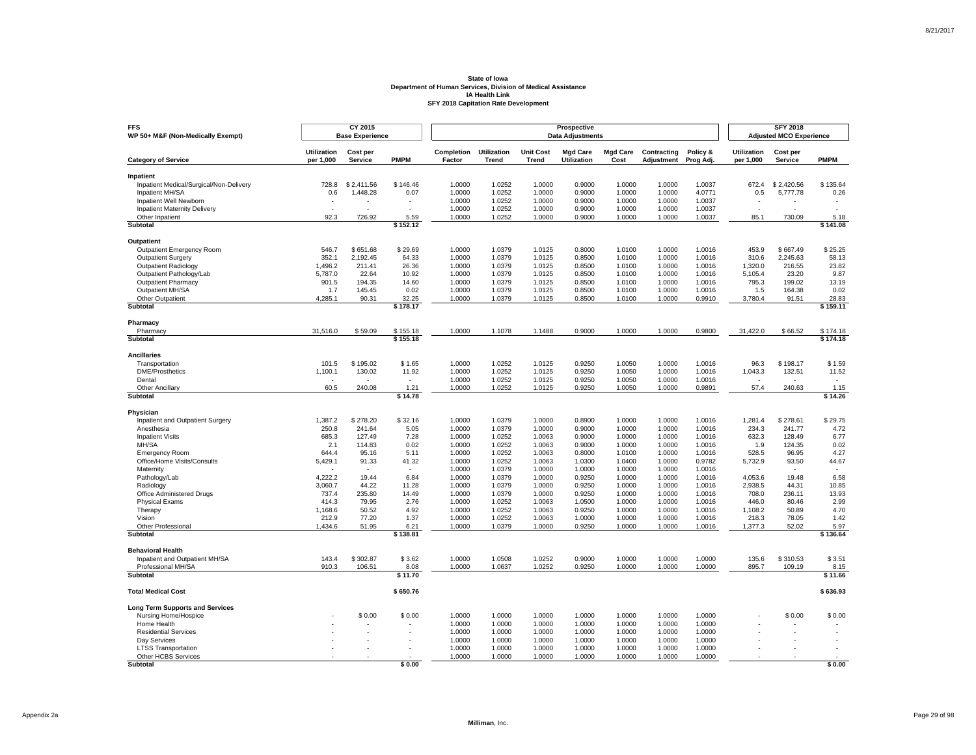| <b>FFS</b><br>WP 50+ M&F (Non-Medically Exempt)      |                                 | CY 2015<br><b>Base Experience</b> |                  |                      |                             |                                  | Prospective<br><b>Data Adjustments</b> |                         |                           |                       |                                 | <b>SFY 2018</b><br><b>Adjusted MCO Experience</b> |                          |
|------------------------------------------------------|---------------------------------|-----------------------------------|------------------|----------------------|-----------------------------|----------------------------------|----------------------------------------|-------------------------|---------------------------|-----------------------|---------------------------------|---------------------------------------------------|--------------------------|
| <b>Category of Service</b>                           | <b>Utilization</b><br>per 1,000 | Cost per<br><b>Service</b>        | <b>PMPM</b>      | Completion<br>Factor | <b>Utilization</b><br>Trend | <b>Unit Cost</b><br><b>Trend</b> | <b>Mgd Care</b><br>Utilization         | <b>Mgd Care</b><br>Cost | Contracting<br>Adjustment | Policy &<br>Prog Adj. | <b>Utilization</b><br>per 1,000 | Cost per<br>Service                               | <b>PMPM</b>              |
|                                                      |                                 |                                   |                  |                      |                             |                                  |                                        |                         |                           |                       |                                 |                                                   |                          |
| Inpatient<br>Inpatient Medical/Surgical/Non-Delivery | 728.8                           | \$2.411.56                        | \$146.46         | 1.0000               | 1.0252                      | 1.0000                           | 0.9000                                 | 1.0000                  | 1.0000                    | 1.0037                | 672.4                           | \$2,420.56                                        | \$135.64                 |
| Inpatient MH/SA                                      | 0.6                             | 1,448.28                          | 0.07             | 1.0000               | 1.0252                      | 1.0000                           | 0.9000                                 | 1.0000                  | 1.0000                    | 4.0771                | 0.5                             | 5,777.78                                          | 0.26                     |
| Inpatient Well Newborn                               |                                 |                                   |                  | 1.0000               | 1.0252                      | 1.0000                           | 0.9000                                 | 1.0000                  | 1.0000                    | 1.0037                |                                 |                                                   |                          |
| <b>Inpatient Maternity Delivery</b>                  | $\overline{a}$                  | ÷                                 | $\overline{a}$   | 1.0000               | 1.0252                      | 1.0000                           | 0.9000                                 | 1.0000                  | 1.0000                    | 1.0037                | $\sim$                          |                                                   | $\overline{\phantom{a}}$ |
| Other Inpatient                                      | 92.3                            | 726.92                            | 5.59             | 1.0000               | 1.0252                      | 1.0000                           | 0.9000                                 | 1.0000                  | 1.0000                    | 1.0037                | 85.1                            | 730.09                                            | 5.18                     |
| Subtotal                                             |                                 |                                   | \$152.12         |                      |                             |                                  |                                        |                         |                           |                       |                                 |                                                   | \$141.08                 |
| Outpatient                                           |                                 |                                   |                  |                      |                             |                                  |                                        |                         |                           |                       |                                 |                                                   |                          |
| <b>Outpatient Emergency Room</b>                     | 546.7                           | \$651.68                          | \$29.69          | 1.0000               | 1.0379                      | 1.0125                           | 0.8000                                 | 1.0100                  | 1.0000                    | 1.0016                | 453.9                           | \$667.49                                          | \$25.25                  |
| Outpatient Surgery                                   | 352.1                           | 2,192.45                          | 64.33            | 1.0000               | 1.0379                      | 1.0125                           | 0.8500                                 | 1.0100                  | 1.0000                    | 1.0016                | 310.6                           | 2.245.63                                          | 58.13                    |
| <b>Outpatient Radiology</b>                          | 1,496.2                         | 211.41                            | 26.36            | 1.0000               | 1.0379                      | 1.0125                           | 0.8500                                 | 1.0100                  | 1.0000                    | 1.0016                | 1,320.0                         | 216.55                                            | 23.82                    |
| Outpatient Pathology/Lab                             | 5,787.0                         | 22.64                             | 10.92            | 1.0000               | 1.0379                      | 1.0125                           | 0.8500                                 | 1.0100                  | 1.0000                    | 1.0016                | 5,105.4                         | 23.20                                             | 9.87                     |
| <b>Outpatient Pharmacy</b>                           | 901.5                           | 194.35                            | 14.60            | 1.0000               | 1.0379                      | 1.0125                           | 0.8500                                 | 1.0100                  | 1.0000                    | 1.0016                | 795.3                           | 199.02                                            | 13.19                    |
| Outpatient MH/SA                                     | 1.7                             | 145.45                            | 0.02             | 1.0000               | 1.0379                      | 1.0125                           | 0.8500                                 | 1.0100                  | 1.0000                    | 1.0016                | 1.5                             | 164.38                                            | 0.02                     |
| Other Outpatient                                     | 4,285.1                         | 90.31                             | 32.25            | 1.0000               | 1.0379                      | 1.0125                           | 0.8500                                 | 1.0100                  | 1.0000                    | 0.9910                | 3,780.4                         | 91.51                                             | 28.83                    |
| Subtotal                                             |                                 |                                   | \$178.17         |                      |                             |                                  |                                        |                         |                           |                       |                                 |                                                   | \$159.11                 |
| Pharmacy                                             |                                 |                                   |                  |                      |                             |                                  |                                        |                         |                           |                       |                                 |                                                   |                          |
| Pharmacy                                             | 31,516.0                        | \$59.09                           | \$155.18         | 1.0000               | 1.1078                      | 1.1488                           | 0.9000                                 | 1.0000                  | 1.0000                    | 0.9800                | 31,422.0                        | \$66.52                                           | \$174.18                 |
| Subtotal                                             |                                 |                                   | \$155.18         |                      |                             |                                  |                                        |                         |                           |                       |                                 |                                                   | \$174.18                 |
| <b>Ancillaries</b>                                   |                                 |                                   |                  |                      |                             |                                  |                                        |                         |                           |                       |                                 |                                                   |                          |
| Transportation                                       | 101.5                           | \$195.02                          | \$1.65           | 1.0000               | 1.0252                      | 1.0125                           | 0.9250                                 | 1.0050                  | 1.0000                    | 1.0016                | 96.3                            | \$198.17                                          | \$1.59                   |
| <b>DME/Prosthetics</b>                               | 1,100.1                         | 130.02                            | 11.92            | 1.0000               | 1.0252                      | 1.0125                           | 0.9250                                 | 1.0050                  | 1.0000                    | 1.0016                | 1,043.3                         | 132.51                                            | 11.52                    |
| Dental                                               |                                 | ٠                                 | $\mathbf{r}$     | 1.0000               | 1.0252                      | 1.0125                           | 0.9250                                 | 1.0050                  | 1.0000                    | 1.0016                | ÷.                              |                                                   |                          |
| <b>Other Ancillary</b><br>Subtotal                   | 60.5                            | 240.08                            | 1.21<br>\$14.78  | 1.0000               | 1.0252                      | 1.0125                           | 0.9250                                 | 1.0050                  | 1.0000                    | 0.9891                | 57.4                            | 240.63                                            | 1.15<br>\$14.26          |
|                                                      |                                 |                                   |                  |                      |                             |                                  |                                        |                         |                           |                       |                                 |                                                   |                          |
| Physician<br>Inpatient and Outpatient Surgery        | 1,387.2                         | \$278.20                          | \$32.16          | 1.0000               | 1.0379                      | 1.0000                           | 0.8900                                 | 1.0000                  | 1.0000                    | 1.0016                | 1,281.4                         | \$278.61                                          | \$29.75                  |
| Anesthesia                                           | 250.8                           | 241.64                            | 5.05             | 1.0000               | 1.0379                      | 1.0000                           | 0.9000                                 | 1.0000                  | 1.0000                    | 1.0016                | 234.3                           | 241.77                                            | 4.72                     |
| <b>Inpatient Visits</b>                              | 685.3                           | 127.49                            | 7.28             | 1.0000               | 1.0252                      | 1.0063                           | 0.9000                                 | 1.0000                  | 1.0000                    | 1.0016                | 632.3                           | 128.49                                            | 6.77                     |
| MH/SA                                                | 2.1                             | 114.83                            | 0.02             | 1.0000               | 1.0252                      | 1.0063                           | 0.9000                                 | 1.0000                  | 1.0000                    | 1.0016                | 1.9                             | 124.35                                            | 0.02                     |
| <b>Emergency Room</b>                                | 644.4                           | 95.16                             | 5.11             | 1.0000               | 1.0252                      | 1.0063                           | 0.8000                                 | 1.0100                  | 1.0000                    | 1.0016                | 528.5                           | 96.95                                             | 4.27                     |
| Office/Home Visits/Consults                          | 5,429.1                         | 91.33                             | 41.32            | 1.0000               | 1.0252                      | 1.0063                           | 1.0300                                 | 1.0400                  | 1.0000                    | 0.9782                | 5,732.9                         | 93.50                                             | 44.67                    |
| Maternity                                            |                                 |                                   |                  | 1.0000               | 1.0379                      | 1.0000                           | 1.0000                                 | 1.0000                  | 1.0000                    | 1.0016                |                                 |                                                   |                          |
| Pathology/Lab                                        | 4.222.2                         | 19.44                             | 6.84             | 1.0000               | 1.0379                      | 1.0000                           | 0.9250                                 | 1.0000                  | 1.0000                    | 1.0016                | 4,053.6                         | 19.48                                             | 6.58                     |
| Radiology                                            | 3,060.7                         | 44.22                             | 11.28            | 1.0000               | 1.0379                      | 1.0000                           | 0.9250                                 | 1.0000                  | 1.0000                    | 1.0016                | 2,938.5                         | 44.31                                             | 10.85                    |
| Office Administered Drugs                            | 737.4                           | 235.80                            | 14.49            | 1.0000               | 1.0379                      | 1.0000                           | 0.9250                                 | 1.0000                  | 1.0000                    | 1.0016                | 708.0                           | 236.11                                            | 13.93                    |
| <b>Physical Exams</b>                                | 414.3                           | 79.95                             | 2.76             | 1.0000               | 1.0252                      | 1.0063                           | 1.0500                                 | 1.0000                  | 1.0000                    | 1.0016                | 446.0                           | 80.46                                             | 2.99                     |
| Therapy                                              | 1,168.6                         | 50.52                             | 4.92             | 1.0000               | 1.0252                      | 1.0063                           | 0.9250                                 | 1.0000                  | 1.0000                    | 1.0016                | 1,108.2                         | 50.89                                             | 4.70                     |
| Vision                                               | 212.9                           | 77.20                             | 1.37             | 1.0000               | 1.0252                      | 1.0063                           | 1.0000                                 | 1.0000                  | 1.0000                    | 1.0016                | 218.3                           | 78.05                                             | 1.42                     |
| Other Professional<br>Subtotal                       | 1,434.6                         | 51.95                             | 6.21<br>\$138.81 | 1.0000               | 1.0379                      | 1.0000                           | 0.9250                                 | 1.0000                  | 1.0000                    | 1.0016                | 1,377.3                         | 52.02                                             | 5.97<br>\$136.64         |
|                                                      |                                 |                                   |                  |                      |                             |                                  |                                        |                         |                           |                       |                                 |                                                   |                          |
| <b>Behavioral Health</b>                             |                                 |                                   |                  |                      |                             |                                  |                                        |                         |                           |                       |                                 |                                                   |                          |
| Inpatient and Outpatient MH/SA                       | 143.4                           | \$302.87                          | \$3.62           | 1.0000               | 1.0508                      | 1.0252                           | 0.9000                                 | 1.0000                  | 1.0000                    | 1.0000                | 135.6                           | \$310.53                                          | \$3.51                   |
| Professional MH/SA<br><b>Subtotal</b>                | 910.3                           | 106.51                            | 8.08<br>\$11.70  | 1.0000               | 1.0637                      | 1.0252                           | 0.9250                                 | 1.0000                  | 1.0000                    | 1.0000                | 895.7                           | 109.19                                            | 8.15<br>\$11.66          |
|                                                      |                                 |                                   |                  |                      |                             |                                  |                                        |                         |                           |                       |                                 |                                                   |                          |
| <b>Total Medical Cost</b>                            |                                 |                                   | \$650.76         |                      |                             |                                  |                                        |                         |                           |                       |                                 |                                                   | \$636.93                 |
| <b>Long Term Supports and Services</b>               |                                 |                                   |                  |                      |                             |                                  |                                        |                         |                           |                       |                                 |                                                   |                          |
| Nursing Home/Hospice                                 |                                 | \$0.00                            | \$0.00           | 1.0000               | 1.0000                      | 1.0000                           | 1.0000                                 | 1.0000                  | 1.0000                    | 1.0000                |                                 | \$0.00                                            | \$0.00                   |
| Home Health                                          |                                 |                                   |                  | 1.0000               | 1.0000                      | 1.0000                           | 1.0000                                 | 1.0000                  | 1.0000                    | 1.0000                |                                 |                                                   |                          |
| <b>Residential Services</b><br>Dav Services          |                                 |                                   |                  | 1.0000<br>1.0000     | 1.0000<br>1.0000            | 1.0000<br>1.0000                 | 1.0000<br>1.0000                       | 1.0000<br>1.0000        | 1.0000<br>1.0000          | 1.0000<br>1.0000      |                                 |                                                   |                          |
| <b>LTSS Transportation</b>                           |                                 |                                   |                  | 1.0000               | 1.0000                      | 1.0000                           | 1.0000                                 | 1.0000                  | 1.0000                    | 1.0000                |                                 |                                                   |                          |
| Other HCBS Services                                  |                                 |                                   |                  | 1.0000               | 1.0000                      | 1.0000                           | 1.0000                                 | 1.0000                  | 1.0000                    | 1.0000                |                                 |                                                   |                          |
| Subtotal                                             |                                 |                                   | \$0.00           |                      |                             |                                  |                                        |                         |                           |                       |                                 |                                                   | \$0.00                   |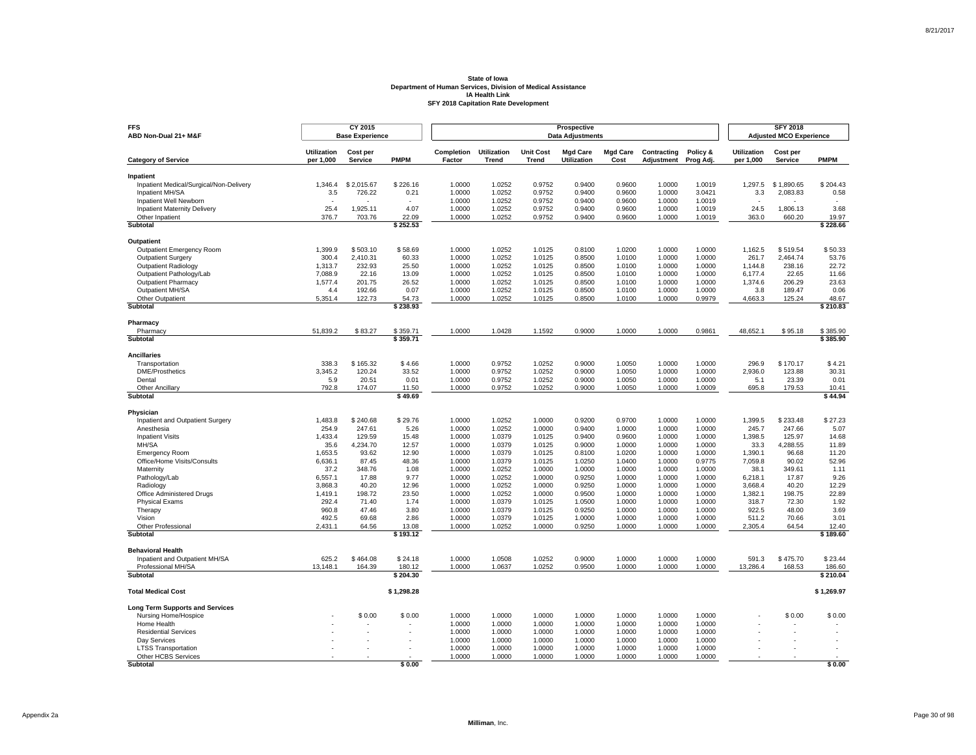| <b>FFS</b><br>ABD Non-Dual 21+ M&F                   |                                 | CY 2015<br><b>Base Experience</b> |                    |                      |                             |                                  | Prospective<br><b>Data Adjustments</b> |                         |                           |                       |                                 | <b>SFY 2018</b><br><b>Adjusted MCO Experience</b> |                    |
|------------------------------------------------------|---------------------------------|-----------------------------------|--------------------|----------------------|-----------------------------|----------------------------------|----------------------------------------|-------------------------|---------------------------|-----------------------|---------------------------------|---------------------------------------------------|--------------------|
| <b>Category of Service</b>                           | <b>Utilization</b><br>per 1,000 | Cost per<br><b>Service</b>        | <b>PMPM</b>        | Completion<br>Factor | <b>Utilization</b><br>Trend | <b>Unit Cost</b><br><b>Trend</b> | <b>Mgd Care</b><br>Utilization         | <b>Mgd Care</b><br>Cost | Contracting<br>Adjustment | Policy &<br>Prog Adj. | <b>Utilization</b><br>per 1,000 | Cost per<br>Service                               | <b>PMPM</b>        |
|                                                      |                                 |                                   |                    |                      |                             |                                  |                                        |                         |                           |                       |                                 |                                                   |                    |
| Inpatient<br>Inpatient Medical/Surgical/Non-Delivery | 1.346.4                         | \$2.015.67                        | \$226.16           | 1.0000               | 1.0252                      | 0.9752                           | 0.9400                                 | 0.9600                  | 1.0000                    | 1.0019                | 1.297.5                         | \$1.890.65                                        | \$204.43           |
| Inpatient MH/SA                                      | 3.5                             | 726.22                            | 0.21               | 1.0000               | 1.0252                      | 0.9752                           | 0.9400                                 | 0.9600                  | 1.0000                    | 3.0421                | 3.3                             | 2,083.83                                          | 0.58               |
| Inpatient Well Newborn                               |                                 |                                   |                    | 1.0000               | 1.0252                      | 0.9752                           | 0.9400                                 | 0.9600                  | 1.0000                    | 1.0019                |                                 |                                                   |                    |
| <b>Inpatient Maternity Delivery</b>                  | 25.4                            | 1,925.11                          | 4.07               | 1.0000               | 1.0252                      | 0.9752                           | 0.9400                                 | 0.9600                  | 1.0000                    | 1.0019                | 24.5                            | 1,806.13                                          | 3.68               |
| Other Inpatient                                      | 376.7                           | 703.76                            | 22.09              | 1.0000               | 1.0252                      | 0.9752                           | 0.9400                                 | 0.9600                  | 1.0000                    | 1.0019                | 363.0                           | 660.20                                            | 19.97              |
| <b>Subtotal</b>                                      |                                 |                                   | \$252.53           |                      |                             |                                  |                                        |                         |                           |                       |                                 |                                                   | \$228.66           |
| Outpatient                                           |                                 |                                   |                    |                      |                             |                                  |                                        |                         |                           |                       |                                 |                                                   |                    |
| <b>Outpatient Emergency Room</b>                     | 1,399.9                         | \$503.10                          | \$58.69            | 1.0000               | 1.0252                      | 1.0125                           | 0.8100                                 | 1.0200                  | 1.0000                    | 1.0000                | 1,162.5                         | \$519.54                                          | \$50.33            |
| <b>Outpatient Surgery</b>                            | 300.4                           | 2,410.31                          | 60.33              | 1.0000               | 1.0252                      | 1.0125                           | 0.8500                                 | 1.0100                  | 1.0000                    | 1.0000                | 261.7                           | 2.464.74                                          | 53.76              |
| <b>Outpatient Radiology</b>                          | 1,313.7                         | 232.93                            | 25.50              | 1.0000               | 1.0252                      | 1.0125                           | 0.8500                                 | 1.0100                  | 1.0000                    | 1.0000                | 1,144.8                         | 238.16                                            | 22.72              |
| Outpatient Pathology/Lab                             | 7,088.9                         | 22.16                             | 13.09              | 1.0000               | 1.0252                      | 1.0125                           | 0.8500                                 | 1.0100                  | 1.0000                    | 1.0000                | 6,177.4                         | 22.65                                             | 11.66              |
| <b>Outpatient Pharmacy</b>                           | 1,577.4                         | 201.75                            | 26.52              | 1.0000               | 1.0252                      | 1.0125                           | 0.8500                                 | 1.0100                  | 1.0000                    | 1.0000                | 1,374.6                         | 206.29                                            | 23.63              |
| Outpatient MH/SA                                     | 4.4                             | 192.66                            | 0.07               | 1.0000               | 1.0252                      | 1.0125                           | 0.8500                                 | 1.0100                  | 1.0000                    | 1.0000                | 3.8                             | 189.47                                            | 0.06               |
| Other Outpatient                                     | 5,351.4                         | 122.73                            | 54.73              | 1.0000               | 1.0252                      | 1.0125                           | 0.8500                                 | 1.0100                  | 1.0000                    | 0.9979                | 4,663.3                         | 125.24                                            | 48.67              |
| Subtotal                                             |                                 |                                   | \$238.93           |                      |                             |                                  |                                        |                         |                           |                       |                                 |                                                   | \$210.83           |
| Pharmacy                                             |                                 |                                   |                    |                      |                             |                                  |                                        |                         |                           |                       |                                 |                                                   |                    |
| Pharmacy                                             | 51,839.2                        | \$83.27                           | \$359.71           | 1.0000               | 1.0428                      | 1.1592                           | 0.9000                                 | 1.0000                  | 1.0000                    | 0.9861                | 48,652.1                        | \$95.18                                           | \$385.90           |
| Subtotal                                             |                                 |                                   | \$359.71           |                      |                             |                                  |                                        |                         |                           |                       |                                 |                                                   | \$385.90           |
| <b>Ancillaries</b>                                   |                                 |                                   |                    |                      |                             |                                  |                                        |                         |                           |                       |                                 |                                                   |                    |
| Transportation                                       | 338.3                           | \$165.32                          | \$4.66             | 1.0000               | 0.9752                      | 1.0252                           | 0.9000                                 | 1.0050                  | 1.0000                    | 1.0000                | 296.9                           | \$170.17                                          | \$4.21             |
| <b>DME/Prosthetics</b>                               | 3,345.2                         | 120.24                            | 33.52              | 1.0000               | 0.9752                      | 1.0252                           | 0.9000                                 | 1.0050                  | 1.0000                    | 1.0000                | 2,936.0                         | 123.88                                            | 30.31              |
| Dental                                               | 5.9                             | 20.51                             | 0.01               | 1.0000               | 0.9752                      | 1.0252                           | 0.9000                                 | 1.0050                  | 1.0000                    | 1.0000                | 5.1                             | 23.39                                             | 0.01               |
| <b>Other Ancillary</b><br>Subtotal                   | 792.8                           | 174.07                            | 11.50<br>\$49.69   | 1.0000               | 0.9752                      | 1.0252                           | 0.9000                                 | 1.0050                  | 1.0000                    | 1.0009                | 695.8                           | 179.53                                            | 10.41<br>\$44.94   |
|                                                      |                                 |                                   |                    |                      |                             |                                  |                                        |                         |                           |                       |                                 |                                                   |                    |
| Physician<br>Inpatient and Outpatient Surgery        | 1,483.8                         | \$240.68                          | \$29.76            | 1.0000               | 1.0252                      | 1.0000                           | 0.9200                                 | 0.9700                  | 1.0000                    | 1.0000                | 1,399.5                         | \$233.48                                          | \$27.23            |
| Anesthesia                                           | 254.9                           | 247.61                            | 5.26               | 1.0000               | 1.0252                      | 1.0000                           | 0.9400                                 | 1.0000                  | 1.0000                    | 1.0000                | 245.7                           | 247.66                                            | 5.07               |
| <b>Inpatient Visits</b>                              | 1,433.4                         | 129.59                            | 15.48              | 1.0000               | 1.0379                      | 1.0125                           | 0.9400                                 | 0.9600                  | 1.0000                    | 1.0000                | 1,398.5                         | 125.97                                            | 14.68              |
| MH/SA                                                | 35.6                            | 4,234.70                          | 12.57              | 1.0000               | 1.0379                      | 1.0125                           | 0.9000                                 | 1.0000                  | 1.0000                    | 1.0000                | 33.3                            | 4,288.55                                          | 11.89              |
| <b>Emergency Room</b>                                | 1,653.5                         | 93.62                             | 12.90              | 1.0000               | 1.0379                      | 1.0125                           | 0.8100                                 | 1.0200                  | 1.0000                    | 1.0000                | 1,390.1                         | 96.68                                             | 11.20              |
| Office/Home Visits/Consults                          | 6,636.1                         | 87.45                             | 48.36              | 1.0000               | 1.0379                      | 1.0125                           | 1.0250                                 | 1.0400                  | 1.0000                    | 0.9775                | 7,059.8                         | 90.02                                             | 52.96              |
| Maternity                                            | 37.2                            | 348.76                            | 1.08               | 1.0000               | 1.0252                      | 1.0000                           | 1.0000                                 | 1.0000                  | 1.0000                    | 1.0000                | 38.1                            | 349.61                                            | 1.11               |
| Pathology/Lab                                        | 6,557.1                         | 17.88                             | 9.77               | 1.0000               | 1.0252                      | 1.0000                           | 0.9250                                 | 1.0000                  | 1.0000                    | 1.0000                | 6,218.1                         | 17.87                                             | 9.26               |
| Radiology                                            | 3,868.3                         | 40.20                             | 12.96              | 1.0000               | 1.0252                      | 1.0000                           | 0.9250                                 | 1.0000                  | 1.0000                    | 1.0000                | 3.668.4                         | 40.20                                             | 12.29              |
| Office Administered Drugs                            | 1,419.1                         | 198.72                            | 23.50              | 1.0000               | 1.0252                      | 1.0000                           | 0.9500                                 | 1.0000                  | 1.0000                    | 1.0000                | 1,382.1                         | 198.75                                            | 22.89              |
| <b>Physical Exams</b>                                | 292.4                           | 71.40                             | 1.74               | 1.0000               | 1.0379                      | 1.0125                           | 1.0500                                 | 1.0000                  | 1.0000                    | 1.0000                | 318.7                           | 72.30                                             | 1.92               |
| Therapy                                              | 960.8                           | 47.46                             | 3.80               | 1.0000               | 1.0379                      | 1.0125                           | 0.9250                                 | 1.0000                  | 1.0000                    | 1.0000                | 922.5                           | 48.00                                             | 3.69               |
| Vision                                               | 492.5                           | 69.68                             | 2.86               | 1.0000               | 1.0379                      | 1.0125                           | 1.0000                                 | 1.0000                  | 1.0000                    | 1.0000                | 511.2                           | 70.66                                             | 3.01               |
| Other Professional<br>Subtotal                       | 2,431.1                         | 64.56                             | 13.08<br>\$193.12  | 1.0000               | 1.0252                      | 1.0000                           | 0.9250                                 | 1.0000                  | 1.0000                    | 1.0000                | 2,305.4                         | 64.54                                             | 12.40<br>\$189.60  |
|                                                      |                                 |                                   |                    |                      |                             |                                  |                                        |                         |                           |                       |                                 |                                                   |                    |
| <b>Behavioral Health</b>                             |                                 |                                   |                    |                      |                             |                                  |                                        |                         |                           |                       |                                 |                                                   |                    |
| Inpatient and Outpatient MH/SA                       | 625.2                           | \$464.08                          | \$24.18            | 1.0000               | 1.0508                      | 1.0252                           | 0.9000                                 | 1.0000                  | 1.0000                    | 1.0000                | 591.3                           | \$475.70                                          | \$23.44            |
| Professional MH/SA<br><b>Subtotal</b>                | 13,148.1                        | 164.39                            | 180.12<br>\$204.30 | 1.0000               | 1.0637                      | 1.0252                           | 0.9500                                 | 1.0000                  | 1.0000                    | 1.0000                | 13,286.4                        | 168.53                                            | 186.60<br>\$210.04 |
|                                                      |                                 |                                   |                    |                      |                             |                                  |                                        |                         |                           |                       |                                 |                                                   |                    |
| <b>Total Medical Cost</b>                            |                                 |                                   | \$1,298.28         |                      |                             |                                  |                                        |                         |                           |                       |                                 |                                                   | \$1,269.97         |
| <b>Long Term Supports and Services</b>               |                                 |                                   |                    |                      |                             |                                  |                                        |                         |                           |                       |                                 |                                                   |                    |
| Nursing Home/Hospice                                 |                                 | \$0.00                            | \$0.00             | 1.0000               | 1.0000                      | 1.0000                           | 1.0000                                 | 1.0000                  | 1.0000                    | 1.0000                |                                 | \$0.00                                            | \$0.00             |
| Home Health                                          |                                 |                                   |                    | 1.0000               | 1.0000                      | 1.0000                           | 1.0000                                 | 1.0000                  | 1.0000                    | 1.0000                |                                 |                                                   |                    |
| <b>Residential Services</b>                          |                                 |                                   |                    | 1.0000               | 1.0000                      | 1.0000                           | 1.0000                                 | 1.0000                  | 1.0000                    | 1.0000                |                                 |                                                   |                    |
| Dav Services                                         |                                 |                                   |                    | 1.0000               | 1.0000                      | 1.0000                           | 1.0000                                 | 1.0000                  | 1.0000                    | 1.0000                |                                 |                                                   |                    |
| <b>LTSS Transportation</b>                           |                                 |                                   |                    | 1.0000               | 1.0000                      | 1.0000                           | 1.0000                                 | 1.0000                  | 1.0000                    | 1.0000                |                                 |                                                   |                    |
| Other HCBS Services<br>Subtotal                      |                                 |                                   | \$0.00             | 1.0000               | 1.0000                      | 1.0000                           | 1.0000                                 | 1.0000                  | 1.0000                    | 1.0000                |                                 |                                                   | \$0.00             |
|                                                      |                                 |                                   |                    |                      |                             |                                  |                                        |                         |                           |                       |                                 |                                                   |                    |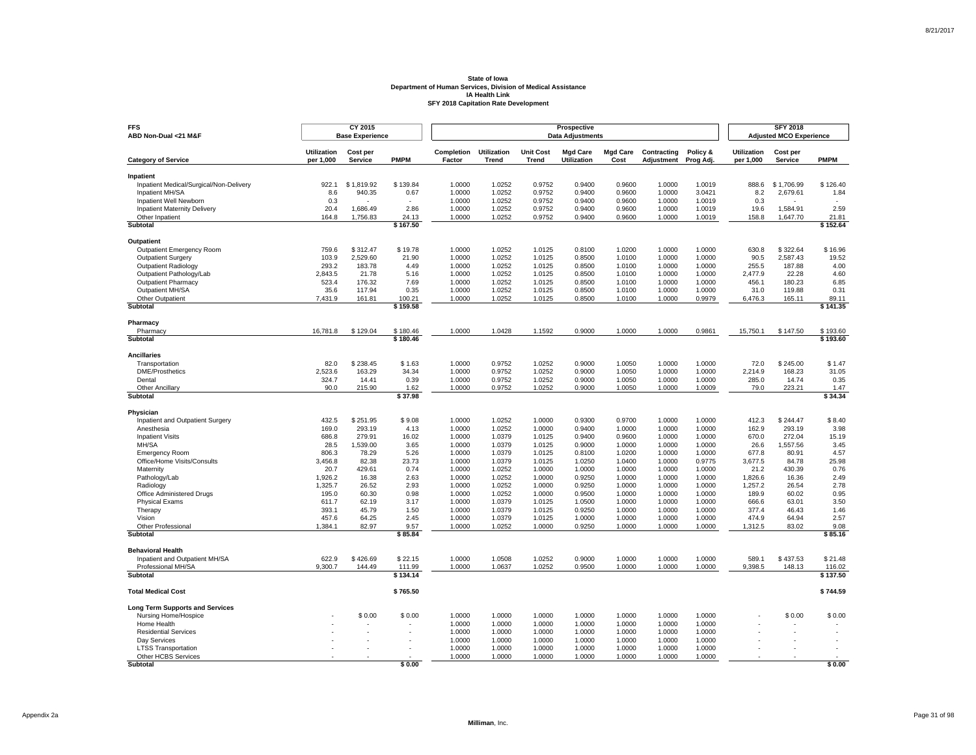| <b>FFS</b><br>ABD Non-Dual <21 M&F                   |                                 | CY 2015<br><b>Base Experience</b> |                    |                      |                             |                                  | Prospective<br><b>Data Adjustments</b> |                         |                           |                       |                                 | <b>SFY 2018</b><br><b>Adjusted MCO Experience</b> |                    |
|------------------------------------------------------|---------------------------------|-----------------------------------|--------------------|----------------------|-----------------------------|----------------------------------|----------------------------------------|-------------------------|---------------------------|-----------------------|---------------------------------|---------------------------------------------------|--------------------|
| <b>Category of Service</b>                           | <b>Utilization</b><br>per 1,000 | Cost per<br><b>Service</b>        | <b>PMPM</b>        | Completion<br>Factor | <b>Utilization</b><br>Trend | <b>Unit Cost</b><br><b>Trend</b> | <b>Mgd Care</b><br>Utilization         | <b>Mgd Care</b><br>Cost | Contracting<br>Adjustment | Policy &<br>Prog Adj. | <b>Utilization</b><br>per 1,000 | Cost per<br>Service                               | <b>PMPM</b>        |
|                                                      |                                 |                                   |                    |                      |                             |                                  |                                        |                         |                           |                       |                                 |                                                   |                    |
| Inpatient<br>Inpatient Medical/Surgical/Non-Delivery | 922.1                           | \$1.819.92                        | \$139.84           | 1.0000               | 1.0252                      | 0.9752                           | 0.9400                                 | 0.9600                  | 1.0000                    | 1.0019                | 888.6                           | \$1,706.99                                        | \$126.40           |
| Inpatient MH/SA                                      | 8.6                             | 940.35                            | 0.67               | 1.0000               | 1.0252                      | 0.9752                           | 0.9400                                 | 0.9600                  | 1.0000                    | 3.0421                | 8.2                             | 2,679.61                                          | 1.84               |
| Inpatient Well Newborn                               | 0.3                             |                                   |                    | 1.0000               | 1.0252                      | 0.9752                           | 0.9400                                 | 0.9600                  | 1.0000                    | 1.0019                | 0.3                             |                                                   |                    |
| <b>Inpatient Maternity Delivery</b>                  | 20.4                            | 1,686.49                          | 2.86               | 1.0000               | 1.0252                      | 0.9752                           | 0.9400                                 | 0.9600                  | 1.0000                    | 1.0019                | 19.6                            | 1,584.91                                          | 2.59               |
| Other Inpatient                                      | 164.8                           | 1.756.83                          | 24.13              | 1.0000               | 1.0252                      | 0.9752                           | 0.9400                                 | 0.9600                  | 1.0000                    | 1.0019                | 158.8                           | 1,647.70                                          | 21.81              |
| Subtotal                                             |                                 |                                   | \$167.50           |                      |                             |                                  |                                        |                         |                           |                       |                                 |                                                   | \$152.64           |
| Outpatient                                           |                                 |                                   |                    |                      |                             |                                  |                                        |                         |                           |                       |                                 |                                                   |                    |
| <b>Outpatient Emergency Room</b>                     | 759.6                           | \$312.47                          | \$19.78            | 1.0000               | 1.0252                      | 1.0125                           | 0.8100                                 | 1.0200                  | 1.0000                    | 1.0000                | 630.8                           | \$322.64                                          | \$16.96            |
| <b>Outpatient Surgery</b>                            | 103.9                           | 2,529.60                          | 21.90              | 1.0000               | 1.0252                      | 1.0125                           | 0.8500                                 | 1.0100                  | 1.0000                    | 1.0000                | 90.5                            | 2,587.43                                          | 19.52              |
| <b>Outpatient Radiology</b>                          | 293.2                           | 183.78                            | 4.49               | 1.0000               | 1.0252                      | 1.0125                           | 0.8500                                 | 1.0100                  | 1.0000                    | 1.0000                | 255.5                           | 187.88                                            | 4.00               |
| Outpatient Pathology/Lab                             | 2,843.5                         | 21.78                             | 5.16               | 1.0000               | 1.0252                      | 1.0125                           | 0.8500                                 | 1.0100                  | 1.0000                    | 1.0000                | 2,477.9                         | 22.28                                             | 4.60               |
| <b>Outpatient Pharmacy</b>                           | 523.4                           | 176.32                            | 7.69               | 1.0000               | 1.0252                      | 1.0125                           | 0.8500                                 | 1.0100                  | 1.0000                    | 1.0000                | 456.1                           | 180.23                                            | 6.85               |
| Outpatient MH/SA                                     | 35.6                            | 117.94                            | 0.35               | 1.0000               | 1.0252                      | 1.0125                           | 0.8500                                 | 1.0100                  | 1.0000                    | 1.0000                | 31.0                            | 119.88                                            | 0.31               |
| Other Outpatient                                     | 7,431.9                         | 161.81                            | 100.21             | 1.0000               | 1.0252                      | 1.0125                           | 0.8500                                 | 1.0100                  | 1.0000                    | 0.9979                | 6,476.3                         | 165.11                                            | 89.11              |
| Subtotal                                             |                                 |                                   | \$159.58           |                      |                             |                                  |                                        |                         |                           |                       |                                 |                                                   | \$141.35           |
| Pharmacy                                             |                                 |                                   |                    |                      |                             |                                  |                                        |                         |                           |                       |                                 |                                                   |                    |
| Pharmacy                                             | 16,781.8                        | \$129.04                          | \$180.46           | 1.0000               | 1.0428                      | 1.1592                           | 0.9000                                 | 1.0000                  | 1.0000                    | 0.9861                | 15,750.1                        | \$147.50                                          | \$193.60           |
| Subtotal                                             |                                 |                                   | \$180.46           |                      |                             |                                  |                                        |                         |                           |                       |                                 |                                                   | \$193.60           |
| <b>Ancillaries</b>                                   |                                 |                                   |                    |                      |                             |                                  |                                        |                         |                           |                       |                                 |                                                   |                    |
| Transportation                                       | 82.0                            | \$238.45                          | \$1.63             | 1.0000               | 0.9752                      | 1.0252                           | 0.9000                                 | 1.0050                  | 1.0000                    | 1.0000                | 72.0                            | \$245.00                                          | \$1.47             |
| <b>DME/Prosthetics</b>                               | 2,523.6                         | 163.29                            | 34.34              | 1.0000               | 0.9752                      | 1.0252                           | 0.9000                                 | 1.0050                  | 1.0000                    | 1.0000                | 2,214.9                         | 168.23                                            | 31.05              |
| Dental                                               | 324.7                           | 14.41                             | 0.39               | 1.0000               | 0.9752                      | 1.0252                           | 0.9000                                 | 1.0050                  | 1.0000                    | 1.0000                | 285.0                           | 14.74                                             | 0.35               |
| <b>Other Ancillary</b><br>Subtotal                   | 90.0                            | 215.90                            | 1.62<br>\$37.98    | 1.0000               | 0.9752                      | 1.0252                           | 0.9000                                 | 1.0050                  | 1.0000                    | 1.0009                | 79.0                            | 223.21                                            | 1.47<br>\$34.34    |
|                                                      |                                 |                                   |                    |                      |                             |                                  |                                        |                         |                           |                       |                                 |                                                   |                    |
| Physician                                            |                                 |                                   |                    |                      |                             |                                  |                                        |                         |                           |                       |                                 |                                                   |                    |
| Inpatient and Outpatient Surgery                     | 432.5                           | \$251.95                          | \$9.08             | 1.0000               | 1.0252                      | 1.0000                           | 0.9300                                 | 0.9700                  | 1.0000                    | 1.0000                | 412.3                           | \$244.47                                          | \$8.40             |
| Anesthesia                                           | 169.0                           | 293.19<br>279.91                  | 4.13               | 1.0000               | 1.0252<br>1.0379            | 1.0000                           | 0.9400<br>0.9400                       | 1.0000<br>0.9600        | 1.0000                    | 1.0000<br>1.0000      | 162.9<br>670.0                  | 293.19<br>272.04                                  | 3.98               |
| <b>Inpatient Visits</b><br>MH/SA                     | 686.8<br>28.5                   | 1,539.00                          | 16.02<br>3.65      | 1.0000<br>1.0000     | 1.0379                      | 1.0125<br>1.0125                 | 0.9000                                 | 1.0000                  | 1.0000<br>1.0000          | 1.0000                | 26.6                            | 1,557.56                                          | 15.19<br>3.45      |
| <b>Emergency Room</b>                                | 806.3                           | 78.29                             | 5.26               | 1.0000               | 1.0379                      | 1.0125                           | 0.8100                                 | 1.0200                  | 1.0000                    | 1.0000                | 677.8                           | 80.91                                             | 4.57               |
| Office/Home Visits/Consults                          | 3,456.8                         | 82.38                             | 23.73              | 1.0000               | 1.0379                      | 1.0125                           | 1.0250                                 | 1.0400                  | 1.0000                    | 0.9775                | 3,677.5                         | 84.78                                             | 25.98              |
| Maternity                                            | 20.7                            | 429.61                            | 0.74               | 1.0000               | 1.0252                      | 1.0000                           | 1.0000                                 | 1.0000                  | 1.0000                    | 1.0000                | 21.2                            | 430.39                                            | 0.76               |
| Pathology/Lab                                        | 1,926.2                         | 16.38                             | 2.63               | 1.0000               | 1.0252                      | 1.0000                           | 0.9250                                 | 1.0000                  | 1.0000                    | 1.0000                | 1,826.6                         | 16.36                                             | 2.49               |
| Radiology                                            | 1,325.7                         | 26.52                             | 2.93               | 1.0000               | 1.0252                      | 1.0000                           | 0.9250                                 | 1.0000                  | 1.0000                    | 1.0000                | 1,257.2                         | 26.54                                             | 2.78               |
| Office Administered Drugs                            | 195.0                           | 60.30                             | 0.98               | 1.0000               | 1.0252                      | 1.0000                           | 0.9500                                 | 1.0000                  | 1.0000                    | 1.0000                | 189.9                           | 60.02                                             | 0.95               |
| <b>Physical Exams</b>                                | 611.7                           | 62.19                             | 3.17               | 1.0000               | 1.0379                      | 1.0125                           | 1.0500                                 | 1.0000                  | 1.0000                    | 1.0000                | 666.6                           | 63.01                                             | 3.50               |
| Therapy                                              | 393.1                           | 45.79                             | 1.50               | 1.0000               | 1.0379                      | 1.0125                           | 0.9250                                 | 1.0000                  | 1.0000                    | 1.0000                | 377.4                           | 46.43                                             | 1.46               |
| Vision                                               | 457.6                           | 64.25                             | 2.45               | 1.0000               | 1.0379                      | 1.0125                           | 1.0000                                 | 1.0000                  | 1.0000                    | 1.0000                | 474.9                           | 64.94                                             | 2.57               |
| Other Professional<br>Subtotal                       | 1,384.1                         | 82.97                             | 9.57<br>\$85.84    | 1.0000               | 1.0252                      | 1.0000                           | 0.9250                                 | 1.0000                  | 1.0000                    | 1.0000                | 1,312.5                         | 83.02                                             | 9.08<br>\$85.16    |
|                                                      |                                 |                                   |                    |                      |                             |                                  |                                        |                         |                           |                       |                                 |                                                   |                    |
| <b>Behavioral Health</b>                             |                                 |                                   |                    |                      |                             |                                  |                                        |                         |                           |                       |                                 |                                                   |                    |
| Inpatient and Outpatient MH/SA                       | 622.9                           | \$426.69                          | \$22.15            | 1.0000               | 1.0508                      | 1.0252                           | 0.9000                                 | 1.0000                  | 1.0000                    | 1.0000                | 589.1                           | \$437.53                                          | \$21.48            |
| Professional MH/SA<br><b>Subtotal</b>                | 9,300.7                         | 144.49                            | 111.99<br>\$134.14 | 1.0000               | 1.0637                      | 1.0252                           | 0.9500                                 | 1.0000                  | 1.0000                    | 1.0000                | 9,398.5                         | 148.13                                            | 116.02<br>\$137.50 |
|                                                      |                                 |                                   |                    |                      |                             |                                  |                                        |                         |                           |                       |                                 |                                                   |                    |
| <b>Total Medical Cost</b>                            |                                 |                                   | \$765.50           |                      |                             |                                  |                                        |                         |                           |                       |                                 |                                                   | \$744.59           |
| <b>Long Term Supports and Services</b>               |                                 |                                   |                    |                      |                             |                                  |                                        |                         |                           |                       |                                 |                                                   |                    |
| Nursing Home/Hospice                                 |                                 | \$0.00                            | \$0.00             | 1.0000               | 1.0000                      | 1.0000                           | 1.0000                                 | 1.0000                  | 1.0000                    | 1.0000                |                                 | \$0.00                                            | \$0.00             |
| Home Health                                          |                                 |                                   |                    | 1.0000               | 1.0000                      | 1.0000                           | 1.0000                                 | 1.0000                  | 1.0000                    | 1.0000                |                                 |                                                   |                    |
| <b>Residential Services</b>                          |                                 |                                   |                    | 1.0000               | 1.0000                      | 1.0000                           | 1.0000                                 | 1.0000                  | 1.0000                    | 1.0000                |                                 |                                                   |                    |
| Dav Services                                         |                                 |                                   |                    | 1.0000               | 1.0000                      | 1.0000                           | 1.0000                                 | 1.0000                  | 1.0000                    | 1.0000                |                                 |                                                   |                    |
| <b>LTSS Transportation</b><br>Other HCBS Services    |                                 |                                   |                    | 1.0000<br>1.0000     | 1.0000<br>1.0000            | 1.0000<br>1.0000                 | 1.0000<br>1.0000                       | 1.0000<br>1.0000        | 1.0000<br>1.0000          | 1.0000<br>1.0000      |                                 |                                                   |                    |
| Subtotal                                             |                                 |                                   | \$0.00             |                      |                             |                                  |                                        |                         |                           |                       |                                 |                                                   | \$0.00             |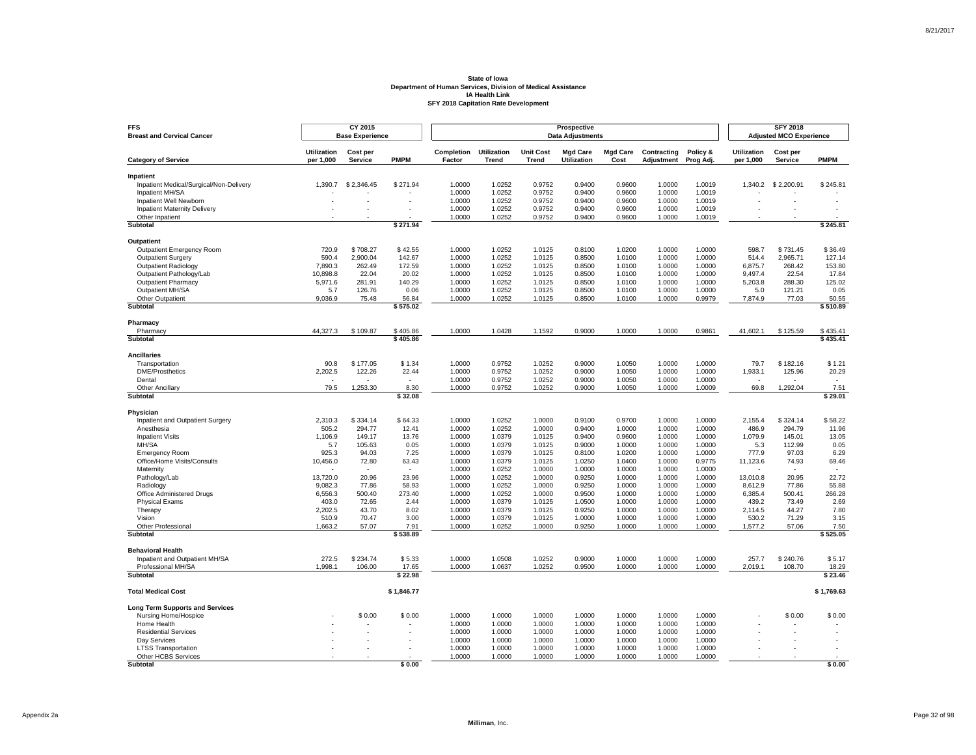| <b>FFS</b><br><b>Breast and Cervical Cancer</b>      |                                 | CY 2015<br><b>Base Experience</b> |                          |                             |                                    |                           | Prospective<br><b>Data Adjustments</b> |                         |                           |                       |                                 | <b>SFY 2018</b><br><b>Adjusted MCO Experience</b> |                      |
|------------------------------------------------------|---------------------------------|-----------------------------------|--------------------------|-----------------------------|------------------------------------|---------------------------|----------------------------------------|-------------------------|---------------------------|-----------------------|---------------------------------|---------------------------------------------------|----------------------|
| <b>Category of Service</b>                           | <b>Utilization</b><br>per 1,000 | Cost per<br>Service               | <b>PMPM</b>              | <b>Completion</b><br>Factor | <b>Utilization</b><br><b>Trend</b> | <b>Unit Cost</b><br>Trend | <b>Mad Care</b><br>Utilization         | <b>Mad Care</b><br>Cost | Contracting<br>Adjustment | Policy &<br>Prog Adj. | <b>Utilization</b><br>per 1,000 | Cost per<br>Service                               | <b>PMPM</b>          |
|                                                      |                                 |                                   |                          |                             |                                    |                           |                                        |                         |                           |                       |                                 |                                                   |                      |
| Inpatient<br>Inpatient Medical/Surgical/Non-Delivery | 1.390.7                         | \$2,346.45                        | \$271.94                 | 1.0000                      | 1.0252                             | 0.9752                    | 0.9400                                 | 0.9600                  | 1.0000                    | 1.0019                |                                 | 1,340.2 \$2,200.91                                | \$245.81             |
| Inpatient MH/SA                                      |                                 |                                   |                          | 1.0000                      | 1.0252                             | 0.9752                    | 0.9400                                 | 0.9600                  | 1.0000                    | 1.0019                |                                 |                                                   |                      |
| Inpatient Well Newborn                               |                                 | ä,                                |                          | 1.0000                      | 1.0252                             | 0.9752                    | 0.9400                                 | 0.9600                  | 1.0000                    | 1.0019                |                                 |                                                   |                      |
| <b>Inpatient Maternity Delivery</b>                  |                                 |                                   |                          | 1.0000                      | 1.0252                             | 0.9752                    | 0.9400                                 | 0.9600                  | 1.0000                    | 1.0019                |                                 |                                                   |                      |
| Other Inpatient                                      |                                 |                                   |                          | 1.0000                      | 1.0252                             | 0.9752                    | 0.9400                                 | 0.9600                  | 1.0000                    | 1.0019                |                                 |                                                   |                      |
| <b>Subtotal</b>                                      |                                 |                                   | \$271.94                 |                             |                                    |                           |                                        |                         |                           |                       |                                 |                                                   | \$245.81             |
| <b>Outpatient</b>                                    |                                 |                                   |                          |                             |                                    |                           |                                        |                         |                           |                       |                                 |                                                   |                      |
| Outpatient Emergency Room                            | 720.9                           | \$708.27                          | \$42.55                  | 1.0000                      | 1.0252                             | 1.0125                    | 0.8100                                 | 1.0200                  | 1.0000                    | 1.0000                | 598.7                           | \$731.45                                          | \$36.49              |
| <b>Outpatient Surgery</b>                            | 590.4                           | 2,900.04                          | 142.67                   | 1.0000                      | 1.0252                             | 1.0125                    | 0.8500                                 | 1.0100                  | 1.0000                    | 1.0000                | 514.4                           | 2.965.71                                          | 127.14               |
| <b>Outpatient Radiology</b>                          | 7,890.3                         | 262.49                            | 172.59                   | 1.0000                      | 1.0252                             | 1.0125                    | 0.8500                                 | 1.0100                  | 1.0000                    | 1.0000                | 6,875.7                         | 268.42                                            | 153.80               |
| Outpatient Pathology/Lab                             | 10.898.8                        | 22.04                             | 20.02                    | 1.0000                      | 1.0252                             | 1.0125                    | 0.8500                                 | 1.0100                  | 1.0000                    | 1.0000                | 9.497.4                         | 22.54                                             | 17.84                |
| <b>Outpatient Pharmacy</b>                           | 5,971.6                         | 281.91                            | 140.29                   | 1.0000                      | 1.0252                             | 1.0125                    | 0.8500                                 | 1.0100                  | 1.0000                    | 1.0000                | 5,203.8                         | 288.30                                            | 125.02               |
| Outpatient MH/SA                                     | 5.7                             | 126.76                            | 0.06                     | 1.0000                      | 1.0252                             | 1.0125                    | 0.8500                                 | 1.0100                  | 1.0000                    | 1.0000                | 5.0                             | 121.21                                            | 0.05                 |
| Other Outpatient                                     | 9,036.9                         | 75.48                             | 56.84                    | 1.0000                      | 1.0252                             | 1.0125                    | 0.8500                                 | 1.0100                  | 1.0000                    | 0.9979                | 7,874.9                         | 77.03                                             | 50.55                |
| Subtotal                                             |                                 |                                   | \$575.02                 |                             |                                    |                           |                                        |                         |                           |                       |                                 |                                                   | \$510.89             |
| Pharmacy                                             |                                 |                                   |                          |                             |                                    |                           |                                        |                         |                           |                       |                                 |                                                   |                      |
| Pharmacy<br>Subtotal                                 | 44,327.3                        | \$109.87                          | \$405.86<br>\$405.86     | 1.0000                      | 1.0428                             | 1.1592                    | 0.9000                                 | 1.0000                  | 1.0000                    | 0.9861                | 41,602.1                        | \$125.59                                          | \$435.41<br>\$435.41 |
|                                                      |                                 |                                   |                          |                             |                                    |                           |                                        |                         |                           |                       |                                 |                                                   |                      |
| <b>Ancillaries</b>                                   |                                 |                                   |                          |                             |                                    |                           |                                        |                         |                           |                       |                                 |                                                   |                      |
| Transportation                                       | 90.8                            | \$177.05                          | \$1.34                   | 1.0000                      | 0.9752                             | 1.0252                    | 0.9000                                 | 1.0050                  | 1.0000                    | 1.0000                | 79.7                            | \$182.16                                          | \$1.21               |
| <b>DME/Prosthetics</b>                               | 2,202.5                         | 122.26                            | 22.44                    | 1.0000                      | 0.9752                             | 1.0252                    | 0.9000                                 | 1.0050                  | 1.0000                    | 1.0000                | 1,933.1                         | 125.96                                            | 20.29                |
| Dental                                               | $\overline{\phantom{a}}$        |                                   | $\overline{\phantom{a}}$ | 1.0000                      | 0.9752                             | 1.0252                    | 0.9000                                 | 1.0050                  | 1.0000                    | 1.0000                |                                 |                                                   | $\sim$               |
| Other Ancillary<br>Subtotal                          | 79.5                            | 1,253.30                          | 8.30<br>\$32.08          | 1.0000                      | 0.9752                             | 1.0252                    | 0.9000                                 | 1.0050                  | 1.0000                    | 1.0009                | 69.8                            | 1,292.04                                          | 7.51<br>\$29.01      |
|                                                      |                                 |                                   |                          |                             |                                    |                           |                                        |                         |                           |                       |                                 |                                                   |                      |
| Physician                                            |                                 |                                   |                          |                             |                                    |                           |                                        |                         |                           |                       |                                 |                                                   |                      |
| Inpatient and Outpatient Surgery<br>Anesthesia       | 2,310.3<br>505.2                | \$334.14<br>294.77                | \$64.33<br>12.41         | 1.0000<br>1.0000            | 1.0252<br>1.0252                   | 1.0000<br>1.0000          | 0.9100<br>0.9400                       | 0.9700<br>1.0000        | 1.0000<br>1.0000          | 1.0000<br>1.0000      | 2,155.4<br>486.9                | \$324.14<br>294.79                                | \$58.22<br>11.96     |
| <b>Inpatient Visits</b>                              | 1,106.9                         | 149.17                            | 13.76                    | 1.0000                      | 1.0379                             | 1.0125                    | 0.9400                                 | 0.9600                  | 1.0000                    | 1.0000                | 1,079.9                         | 145.01                                            | 13.05                |
| MH/SA                                                | 5.7                             | 105.63                            | 0.05                     | 1.0000                      | 1.0379                             | 1.0125                    | 0.9000                                 | 1.0000                  | 1.0000                    | 1.0000                | 5.3                             | 112.99                                            | 0.05                 |
| <b>Emergency Room</b>                                | 925.3                           | 94.03                             | 7.25                     | 1.0000                      | 1.0379                             | 1.0125                    | 0.8100                                 | 1.0200                  | 1.0000                    | 1.0000                | 777.9                           | 97.03                                             | 6.29                 |
| Office/Home Visits/Consults                          | 10,456.0                        | 72.80                             | 63.43                    | 1.0000                      | 1.0379                             | 1.0125                    | 1.0250                                 | 1.0400                  | 1.0000                    | 0.9775                | 11,123.6                        | 74.93                                             | 69.46                |
| Maternity                                            |                                 |                                   |                          | 1.0000                      | 1.0252                             | 1.0000                    | 1.0000                                 | 1.0000                  | 1.0000                    | 1.0000                |                                 |                                                   |                      |
| Pathology/Lab                                        | 13,720.0                        | 20.96                             | 23.96                    | 1.0000                      | 1.0252                             | 1.0000                    | 0.9250                                 | 1.0000                  | 1.0000                    | 1.0000                | 13,010.8                        | 20.95                                             | 22.72                |
| Radiology                                            | 9.082.3                         | 77.86                             | 58.93                    | 1.0000                      | 1.0252                             | 1.0000                    | 0.9250                                 | 1.0000                  | 1.0000                    | 1.0000                | 8.612.9                         | 77.86                                             | 55.88                |
| Office Administered Drugs                            | 6,556.3                         | 500.40                            | 273.40                   | 1.0000                      | 1.0252                             | 1.0000                    | 0.9500                                 | 1.0000                  | 1.0000                    | 1.0000                | 6,385.4                         | 500.41                                            | 266.28               |
| <b>Physical Exams</b>                                | 403.0                           | 72.65                             | 2.44                     | 1.0000                      | 1.0379                             | 1.0125                    | 1.0500                                 | 1.0000                  | 1.0000                    | 1.0000                | 439.2                           | 73.49                                             | 2.69                 |
| Therapy                                              | 2,202.5                         | 43.70                             | 8.02                     | 1.0000                      | 1.0379                             | 1.0125                    | 0.9250                                 | 1.0000                  | 1.0000                    | 1.0000                | 2,114.5                         | 44.27                                             | 7.80                 |
| Vision                                               | 510.9                           | 70.47                             | 3.00                     | 1.0000                      | 1.0379                             | 1.0125                    | 1.0000                                 | 1.0000                  | 1.0000                    | 1.0000                | 530.2                           | 71.29                                             | 3.15                 |
| Other Professional<br>Subtotal                       | 1,663.2                         | 57.07                             | 7.91<br>\$538.89         | 1.0000                      | 1.0252                             | 1.0000                    | 0.9250                                 | 1.0000                  | 1.0000                    | 1.0000                | 1,577.2                         | 57.06                                             | 7.50<br>\$525.05     |
|                                                      |                                 |                                   |                          |                             |                                    |                           |                                        |                         |                           |                       |                                 |                                                   |                      |
| <b>Behavioral Health</b>                             |                                 |                                   |                          |                             |                                    |                           |                                        |                         |                           |                       |                                 |                                                   |                      |
| Inpatient and Outpatient MH/SA                       | 272.5                           | \$234.74                          | \$5.33                   | 1.0000                      | 1.0508                             | 1.0252                    | 0.9000                                 | 1.0000                  | 1.0000                    | 1.0000                | 257.7                           | \$240.76                                          | \$5.17               |
| Professional MH/SA<br><b>Subtotal</b>                | 1,998.1                         | 106.00                            | 17.65<br>\$22.98         | 1.0000                      | 1.0637                             | 1.0252                    | 0.9500                                 | 1.0000                  | 1.0000                    | 1.0000                | 2,019.1                         | 108.70                                            | 18.29<br>\$23.46     |
|                                                      |                                 |                                   |                          |                             |                                    |                           |                                        |                         |                           |                       |                                 |                                                   |                      |
| <b>Total Medical Cost</b>                            |                                 |                                   | \$1,846.77               |                             |                                    |                           |                                        |                         |                           |                       |                                 |                                                   | \$1,769.63           |
| <b>Long Term Supports and Services</b>               |                                 |                                   |                          |                             |                                    |                           |                                        |                         |                           |                       |                                 |                                                   |                      |
| Nursing Home/Hospice                                 |                                 | \$0.00                            | \$0.00                   | 1.0000                      | 1.0000                             | 1.0000                    | 1.0000                                 | 1.0000                  | 1.0000                    | 1.0000                |                                 | \$0.00                                            | \$0.00               |
| Home Health                                          |                                 |                                   |                          | 1.0000                      | 1.0000                             | 1.0000                    | 1.0000                                 | 1.0000                  | 1.0000                    | 1.0000                |                                 |                                                   |                      |
| <b>Residential Services</b>                          |                                 |                                   |                          | 1.0000                      | 1.0000                             | 1.0000                    | 1.0000                                 | 1.0000                  | 1.0000                    | 1.0000                |                                 |                                                   |                      |
| Dav Services                                         |                                 |                                   |                          | 1.0000                      | 1.0000                             | 1.0000                    | 1.0000                                 | 1.0000                  | 1.0000                    | 1.0000                |                                 |                                                   |                      |
| <b>LTSS Transportation</b>                           |                                 |                                   |                          | 1.0000<br>1.0000            | 1.0000<br>1.0000                   | 1.0000<br>1.0000          | 1.0000<br>1.0000                       | 1.0000<br>1.0000        | 1.0000<br>1.0000          | 1.0000<br>1.0000      |                                 |                                                   |                      |
| Other HCBS Services<br>Subtotal                      |                                 |                                   | \$0.00                   |                             |                                    |                           |                                        |                         |                           |                       |                                 |                                                   | \$0.00               |

Page 32 of 98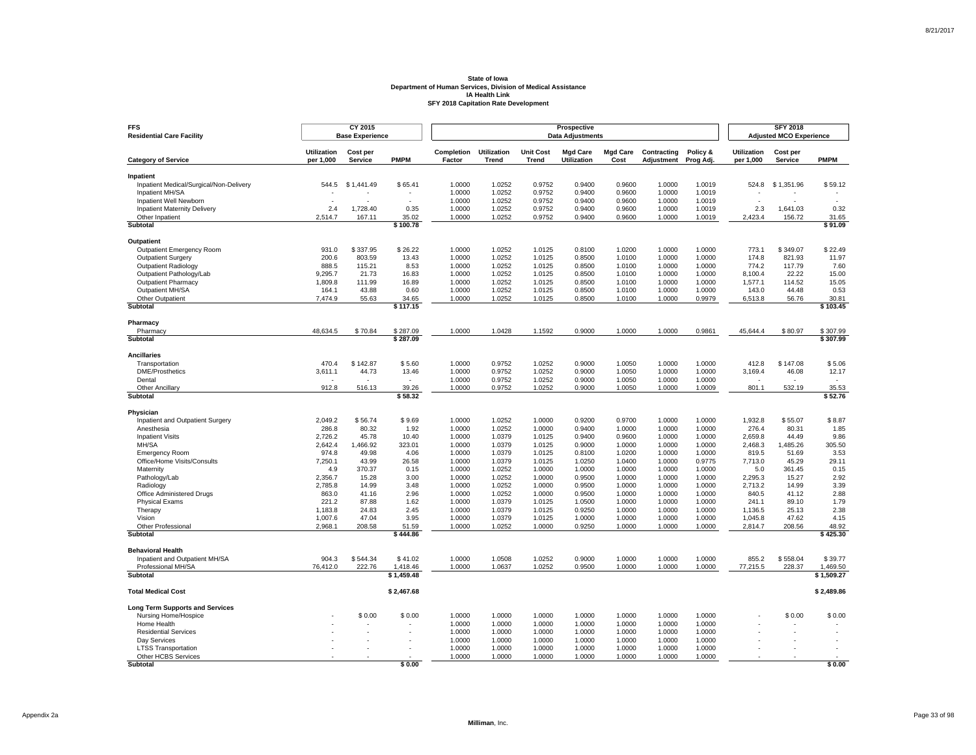| <b>FFS</b><br><b>Residential Care Facility</b>       |                                 | CY 2015<br><b>Base Experience</b> |                        |                      |                                    |                                  | Prospective<br><b>Data Adjustments</b> |                         |                           |                       |                                 | <b>SFY 2018</b><br><b>Adjusted MCO Experience</b> |                        |
|------------------------------------------------------|---------------------------------|-----------------------------------|------------------------|----------------------|------------------------------------|----------------------------------|----------------------------------------|-------------------------|---------------------------|-----------------------|---------------------------------|---------------------------------------------------|------------------------|
| <b>Category of Service</b>                           | <b>Utilization</b><br>per 1,000 | Cost per<br><b>Service</b>        | <b>PMPM</b>            | Completion<br>Factor | <b>Utilization</b><br><b>Trend</b> | <b>Unit Cost</b><br><b>Trend</b> | <b>Mgd Care</b><br><b>Utilization</b>  | <b>Mgd Care</b><br>Cost | Contracting<br>Adjustment | Policy &<br>Prog Adj. | <b>Utilization</b><br>per 1,000 | Cost per<br>Service                               | <b>PMPM</b>            |
|                                                      |                                 |                                   |                        |                      |                                    |                                  |                                        |                         |                           |                       |                                 |                                                   |                        |
| Inpatient<br>Inpatient Medical/Surgical/Non-Delivery | 544.5                           | \$1,441.49                        | \$65.41                | 1.0000               | 1.0252                             | 0.9752                           | 0.9400                                 | 0.9600                  | 1.0000                    | 1.0019                | 524.8                           | \$1,351.96                                        | \$59.12                |
| Inpatient MH/SA                                      |                                 |                                   |                        | 1.0000               | 1.0252                             | 0.9752                           | 0.9400                                 | 0.9600                  | 1.0000                    | 1.0019                |                                 |                                                   |                        |
| Inpatient Well Newborn                               | ÷,                              |                                   | J.                     | 1.0000               | 1.0252                             | 0.9752                           | 0.9400                                 | 0.9600                  | 1.0000                    | 1.0019                | ä,                              |                                                   | ÷,                     |
| <b>Inpatient Maternity Delivery</b>                  | 2.4                             | 1,728.40                          | 0.35                   | 1.0000               | 1.0252                             | 0.9752                           | 0.9400                                 | 0.9600                  | 1.0000                    | 1.0019                | 2.3                             | 1,641.03                                          | 0.32                   |
| Other Inpatient                                      | 2.514.7                         | 167.11                            | 35.02                  | 1.0000               | 1.0252                             | 0.9752                           | 0.9400                                 | 0.9600                  | 1.0000                    | 1.0019                | 2.423.4                         | 156.72                                            | 31.65                  |
| Subtotal                                             |                                 |                                   | \$100.78               |                      |                                    |                                  |                                        |                         |                           |                       |                                 |                                                   | \$91.09                |
| Outpatient                                           |                                 |                                   |                        |                      |                                    |                                  |                                        |                         |                           |                       |                                 |                                                   |                        |
| Outpatient Emergency Room                            | 931.0                           | \$337.95                          | \$26.22                | 1.0000               | 1.0252                             | 1.0125                           | 0.8100                                 | 1.0200                  | 1.0000                    | 1.0000                | 773.1                           | \$349.07                                          | \$22.49                |
| <b>Outpatient Surgery</b>                            | 200.6                           | 803.59                            | 13.43                  | 1.0000               | 1.0252                             | 1.0125                           | 0.8500                                 | 1.0100                  | 1.0000                    | 1.0000                | 174.8                           | 821.93                                            | 11.97                  |
| <b>Outpatient Radiology</b>                          | 888.5                           | 115.21                            | 8.53                   | 1.0000               | 1.0252                             | 1.0125                           | 0.8500                                 | 1.0100                  | 1.0000                    | 1.0000                | 774.2                           | 117.79                                            | 7.60                   |
| Outpatient Pathology/Lab                             | 9,295.7                         | 21.73                             | 16.83                  | 1.0000               | 1.0252                             | 1.0125                           | 0.8500                                 | 1.0100                  | 1.0000                    | 1.0000                | 8,100.4                         | 22.22                                             | 15.00                  |
| <b>Outpatient Pharmacy</b>                           | 1,809.8                         | 111.99                            | 16.89                  | 1.0000               | 1.0252                             | 1.0125                           | 0.8500                                 | 1.0100                  | 1.0000                    | 1.0000                | 1,577.1                         | 114.52                                            | 15.05                  |
| Outpatient MH/SA                                     | 164.1                           | 43.88                             | 0.60                   | 1.0000               | 1.0252                             | 1.0125                           | 0.8500                                 | 1.0100                  | 1.0000                    | 1.0000                | 143.0                           | 44.48                                             | 0.53                   |
| Other Outpatient                                     | 7,474.9                         | 55.63                             | 34.65                  | 1.0000               | 1.0252                             | 1.0125                           | 0.8500                                 | 1.0100                  | 1.0000                    | 0.9979                | 6,513.8                         | 56.76                                             | 30.81                  |
| <b>Subtotal</b>                                      |                                 |                                   | \$117.15               |                      |                                    |                                  |                                        |                         |                           |                       |                                 |                                                   | \$103.45               |
| Pharmacy                                             |                                 |                                   |                        |                      |                                    |                                  |                                        |                         |                           |                       |                                 |                                                   |                        |
| Pharmacy                                             | 48,634.5                        | \$70.84                           | \$287.09               | 1.0000               | 1.0428                             | 1.1592                           | 0.9000                                 | 1.0000                  | 1.0000                    | 0.9861                | 45,644.4                        | \$80.97                                           | \$307.99               |
| Subtotal                                             |                                 |                                   | \$287.09               |                      |                                    |                                  |                                        |                         |                           |                       |                                 |                                                   | \$307.99               |
| <b>Ancillaries</b>                                   |                                 |                                   |                        |                      |                                    |                                  |                                        |                         |                           |                       |                                 |                                                   |                        |
| Transportation                                       | 470.4                           | \$142.87                          | \$5.60                 | 1.0000               | 0.9752                             | 1.0252                           | 0.9000                                 | 1.0050                  | 1.0000                    | 1.0000                | 412.8                           | \$147.08                                          | \$5.06                 |
| <b>DME/Prosthetics</b>                               | 3,611.1                         | 44.73                             | 13.46                  | 1.0000               | 0.9752                             | 1.0252                           | 0.9000                                 | 1.0050                  | 1.0000                    | 1.0000                | 3,169.4                         | 46.08                                             | 12.17                  |
| Dental                                               |                                 |                                   | ÷.                     | 1.0000               | 0.9752                             | 1.0252                           | 0.9000                                 | 1.0050                  | 1.0000                    | 1.0000                |                                 |                                                   |                        |
| <b>Other Ancillary</b><br>Subtotal                   | 912.8                           | 516.13                            | 39.26<br>\$58.32       | 1.0000               | 0.9752                             | 1.0252                           | 0.9000                                 | 1.0050                  | 1.0000                    | 1.0009                | 801.1                           | 532.19                                            | 35.53<br>\$52.76       |
|                                                      |                                 |                                   |                        |                      |                                    |                                  |                                        |                         |                           |                       |                                 |                                                   |                        |
| Physician                                            |                                 |                                   |                        |                      |                                    |                                  |                                        |                         |                           |                       |                                 |                                                   |                        |
| Inpatient and Outpatient Surgery                     | 2,049.2                         | \$56.74                           | \$9.69                 | 1.0000               | 1.0252                             | 1.0000                           | 0.9200                                 | 0.9700                  | 1.0000                    | 1.0000                | 1,932.8                         | \$55.07                                           | \$8.87                 |
| Anesthesia                                           | 286.8                           | 80.32                             | 1.92                   | 1.0000               | 1.0252                             | 1.0000                           | 0.9400                                 | 1.0000                  | 1.0000                    | 1.0000                | 276.4                           | 80.31                                             | 1.85                   |
| <b>Inpatient Visits</b><br>MH/SA                     | 2,726.2                         | 45.78                             | 10.40                  | 1.0000               | 1.0379                             | 1.0125                           | 0.9400                                 | 0.9600                  | 1.0000                    | 1.0000                | 2,659.8                         | 44.49                                             | 9.86<br>305.50         |
|                                                      | 2,642.4<br>974.8                | 1,466.92<br>49.98                 | 323.01<br>4.06         | 1.0000<br>1.0000     | 1.0379<br>1.0379                   | 1.0125<br>1.0125                 | 0.9000<br>0.8100                       | 1.0000<br>1.0200        | 1.0000<br>1.0000          | 1.0000<br>1.0000      | 2,468.3<br>819.5                | 1,485.26<br>51.69                                 | 3.53                   |
| <b>Emergency Room</b><br>Office/Home Visits/Consults | 7,250.1                         | 43.99                             | 26.58                  | 1.0000               | 1.0379                             | 1.0125                           | 1.0250                                 | 1.0400                  | 1.0000                    | 0.9775                | 7,713.0                         | 45.29                                             | 29.11                  |
| Maternity                                            | 4.9                             | 370.37                            | 0.15                   | 1.0000               | 1.0252                             | 1.0000                           | 1.0000                                 | 1.0000                  | 1.0000                    | 1.0000                | 5.0                             | 361.45                                            | 0.15                   |
| Pathology/Lab                                        | 2,356.7                         | 15.28                             | 3.00                   | 1.0000               | 1.0252                             | 1.0000                           | 0.9500                                 | 1.0000                  | 1.0000                    | 1.0000                | 2.295.3                         | 15.27                                             | 2.92                   |
| Radiology                                            | 2,785.8                         | 14.99                             | 3.48                   | 1.0000               | 1.0252                             | 1.0000                           | 0.9500                                 | 1.0000                  | 1.0000                    | 1.0000                | 2.713.2                         | 14.99                                             | 3.39                   |
| Office Administered Drugs                            | 863.0                           | 41.16                             | 2.96                   | 1.0000               | 1.0252                             | 1.0000                           | 0.9500                                 | 1.0000                  | 1.0000                    | 1.0000                | 840.5                           | 41.12                                             | 2.88                   |
| <b>Physical Exams</b>                                | 221.2                           | 87.88                             | 1.62                   | 1.0000               | 1.0379                             | 1.0125                           | 1.0500                                 | 1.0000                  | 1.0000                    | 1.0000                | 241.1                           | 89.10                                             | 1.79                   |
| Therapy                                              | 1,183.8                         | 24.83                             | 2.45                   | 1.0000               | 1.0379                             | 1.0125                           | 0.9250                                 | 1.0000                  | 1.0000                    | 1.0000                | 1,136.5                         | 25.13                                             | 2.38                   |
| Vision                                               | 1,007.6                         | 47.04                             | 3.95                   | 1.0000               | 1.0379                             | 1.0125                           | 1.0000                                 | 1.0000                  | 1.0000                    | 1.0000                | 1.045.8                         | 47.62                                             | 4.15                   |
| Other Professional                                   | 2,968.1                         | 208.58                            | 51.59                  | 1.0000               | 1.0252                             | 1.0000                           | 0.9250                                 | 1.0000                  | 1.0000                    | 1.0000                | 2,814.7                         | 208.56                                            | 48.92                  |
| Subtotal                                             |                                 |                                   | \$444.86               |                      |                                    |                                  |                                        |                         |                           |                       |                                 |                                                   | \$425.30               |
| <b>Behavioral Health</b>                             |                                 |                                   |                        |                      |                                    |                                  |                                        |                         |                           |                       |                                 |                                                   |                        |
| Inpatient and Outpatient MH/SA                       | 904.3                           | \$544.34                          | \$41.02                | 1.0000               | 1.0508                             | 1.0252                           | 0.9000                                 | 1.0000                  | 1.0000                    | 1.0000                | 855.2                           | \$558.04                                          | \$39.77                |
| Professional MH/SA<br><b>Subtotal</b>                | 76,412.0                        | 222.76                            | 1,418.46<br>\$1,459.48 | 1.0000               | 1.0637                             | 1.0252                           | 0.9500                                 | 1.0000                  | 1.0000                    | 1.0000                | 77,215.5                        | 228.37                                            | 1,469.50<br>\$1,509.27 |
|                                                      |                                 |                                   |                        |                      |                                    |                                  |                                        |                         |                           |                       |                                 |                                                   |                        |
| <b>Total Medical Cost</b>                            |                                 |                                   | \$2,467.68             |                      |                                    |                                  |                                        |                         |                           |                       |                                 |                                                   | \$2,489.86             |
| <b>Long Term Supports and Services</b>               |                                 |                                   |                        |                      |                                    |                                  |                                        |                         |                           |                       |                                 |                                                   |                        |
| Nursing Home/Hospice                                 |                                 | \$0.00                            | \$0.00                 | 1.0000               | 1.0000                             | 1.0000                           | 1.0000                                 | 1.0000                  | 1.0000                    | 1.0000                |                                 | \$0.00                                            | \$0.00                 |
| Home Health                                          |                                 |                                   |                        | 1.0000               | 1.0000                             | 1.0000                           | 1.0000                                 | 1.0000                  | 1.0000                    | 1.0000                |                                 |                                                   |                        |
| <b>Residential Services</b>                          |                                 |                                   |                        | 1.0000               | 1.0000                             | 1.0000                           | 1.0000                                 | 1.0000                  | 1.0000                    | 1.0000                |                                 |                                                   |                        |
| Dav Services                                         |                                 |                                   |                        | 1.0000<br>1.0000     | 1.0000<br>1.0000                   | 1.0000<br>1.0000                 | 1.0000<br>1.0000                       | 1.0000<br>1.0000        | 1.0000<br>1.0000          | 1.0000<br>1.0000      |                                 |                                                   |                        |
| <b>LTSS Transportation</b><br>Other HCBS Services    |                                 |                                   |                        | 1.0000               | 1.0000                             | 1.0000                           | 1.0000                                 | 1.0000                  | 1.0000                    | 1.0000                |                                 |                                                   |                        |
| Subtotal                                             |                                 |                                   | \$0.00                 |                      |                                    |                                  |                                        |                         |                           |                       |                                 |                                                   | \$0.00                 |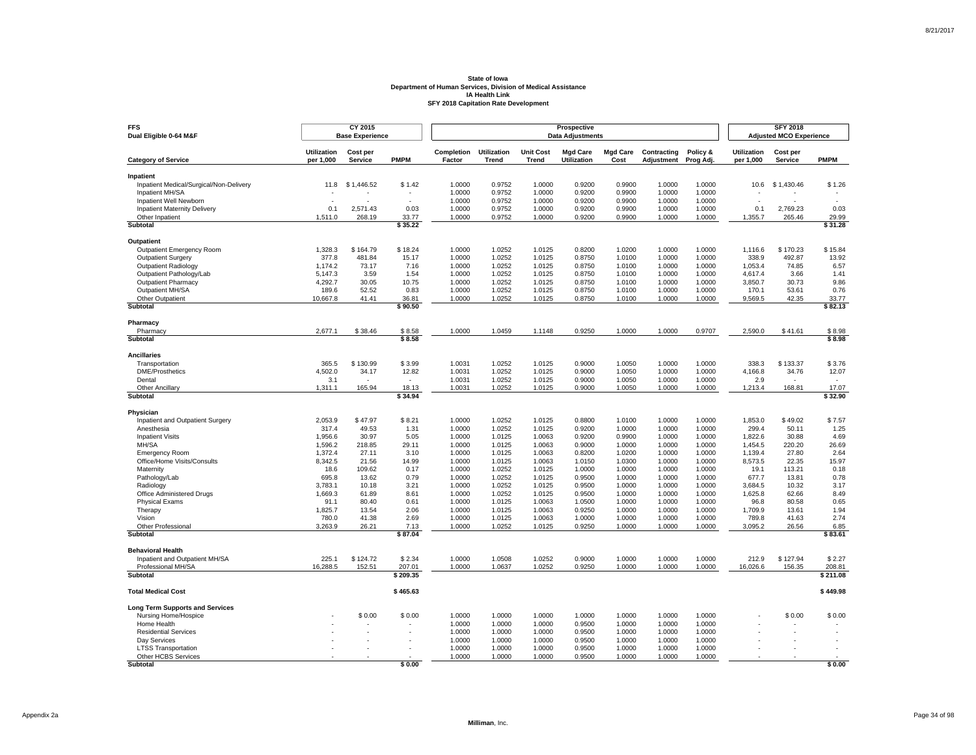| <b>FFS</b><br>Dual Eligible 0-64 M&F                 |                                 | CY 2015<br><b>Base Experience</b> |                    |                      |                                    |                                  | Prospective<br><b>Data Adjustments</b> |                         |                           |                       |                                 | <b>SFY 2018</b><br><b>Adjusted MCO Experience</b> |                    |
|------------------------------------------------------|---------------------------------|-----------------------------------|--------------------|----------------------|------------------------------------|----------------------------------|----------------------------------------|-------------------------|---------------------------|-----------------------|---------------------------------|---------------------------------------------------|--------------------|
| <b>Category of Service</b>                           | <b>Utilization</b><br>per 1,000 | Cost per<br><b>Service</b>        | <b>PMPM</b>        | Completion<br>Factor | <b>Utilization</b><br><b>Trend</b> | <b>Unit Cost</b><br><b>Trend</b> | <b>Mgd Care</b><br><b>Utilization</b>  | <b>Mgd Care</b><br>Cost | Contracting<br>Adjustment | Policy &<br>Prog Adj. | <b>Utilization</b><br>per 1,000 | Cost per<br>Service                               | <b>PMPM</b>        |
|                                                      |                                 |                                   |                    |                      |                                    |                                  |                                        |                         |                           |                       |                                 |                                                   |                    |
| Inpatient<br>Inpatient Medical/Surgical/Non-Delivery | 11.8                            | \$1.446.52                        | \$1.42             | 1.0000               | 0.9752                             | 1.0000                           | 0.9200                                 | 0.9900                  | 1.0000                    | 1.0000                | 10.6                            | \$1,430.46                                        | \$1.26             |
| Inpatient MH/SA                                      |                                 |                                   |                    | 1.0000               | 0.9752                             | 1.0000                           | 0.9200                                 | 0.9900                  | 1.0000                    | 1.0000                |                                 |                                                   |                    |
| Inpatient Well Newborn                               | $\overline{\phantom{a}}$        |                                   | J.                 | 1.0000               | 0.9752                             | 1.0000                           | 0.9200                                 | 0.9900                  | 1.0000                    | 1.0000                | ä,                              |                                                   |                    |
| <b>Inpatient Maternity Delivery</b>                  | 0.1                             | 2,571.43                          | 0.03               | 1.0000               | 0.9752                             | 1.0000                           | 0.9200                                 | 0.9900                  | 1.0000                    | 1.0000                | 0.1                             | 2,769.23                                          | 0.03               |
| Other Inpatient                                      | 1.511.0                         | 268.19                            | 33.77              | 1.0000               | 0.9752                             | 1.0000                           | 0.9200                                 | 0.9900                  | 1.0000                    | 1.0000                | 1.355.7                         | 265.46                                            | 29.99              |
| Subtotal                                             |                                 |                                   | \$35.22            |                      |                                    |                                  |                                        |                         |                           |                       |                                 |                                                   | \$31.28            |
| Outpatient                                           |                                 |                                   |                    |                      |                                    |                                  |                                        |                         |                           |                       |                                 |                                                   |                    |
| Outpatient Emergency Room                            | 1,328.3                         | \$164.79                          | \$18.24            | 1.0000               | 1.0252                             | 1.0125                           | 0.8200                                 | 1.0200                  | 1.0000                    | 1.0000                | 1,116.6                         | \$170.23                                          | \$15.84            |
| <b>Outpatient Surgery</b>                            | 377.8                           | 481.84                            | 15.17              | 1.0000               | 1.0252                             | 1.0125                           | 0.8750                                 | 1.0100                  | 1.0000                    | 1.0000                | 338.9                           | 492.87                                            | 13.92              |
| <b>Outpatient Radiology</b>                          | 1,174.2                         | 73.17                             | 7.16               | 1.0000               | 1.0252                             | 1.0125                           | 0.8750                                 | 1.0100                  | 1.0000                    | 1.0000                | 1,053.4                         | 74.85                                             | 6.57               |
| Outpatient Pathology/Lab                             | 5,147.3                         | 3.59                              | 1.54               | 1.0000               | 1.0252                             | 1.0125                           | 0.8750                                 | 1.0100                  | 1.0000                    | 1.0000                | 4,617.4                         | 3.66                                              | 1.41               |
| <b>Outpatient Pharmacy</b>                           | 4,292.7                         | 30.05                             | 10.75              | 1.0000               | 1.0252                             | 1.0125                           | 0.8750                                 | 1.0100                  | 1.0000                    | 1.0000                | 3,850.7                         | 30.73                                             | 9.86               |
| Outpatient MH/SA                                     | 189.6                           | 52.52                             | 0.83               | 1.0000               | 1.0252                             | 1.0125                           | 0.8750                                 | 1.0100                  | 1.0000                    | 1.0000                | 170.1                           | 53.61                                             | 0.76               |
| Other Outpatient                                     | 10,667.8                        | 41.41                             | 36.81              | 1.0000               | 1.0252                             | 1.0125                           | 0.8750                                 | 1.0100                  | 1.0000                    | 1.0000                | 9,569.5                         | 42.35                                             | 33.77              |
| <b>Subtotal</b>                                      |                                 |                                   | \$90.50            |                      |                                    |                                  |                                        |                         |                           |                       |                                 |                                                   | \$82.13            |
| Pharmacy                                             |                                 |                                   |                    |                      |                                    |                                  |                                        |                         |                           |                       |                                 |                                                   |                    |
| Pharmacy                                             | 2,677.1                         | \$38.46                           | \$8.58             | 1.0000               | 1.0459                             | 1.1148                           | 0.9250                                 | 1.0000                  | 1.0000                    | 0.9707                | 2,590.0                         | \$41.61                                           | \$8.98             |
| Subtotal                                             |                                 |                                   | \$8.58             |                      |                                    |                                  |                                        |                         |                           |                       |                                 |                                                   | \$8.98             |
| <b>Ancillaries</b>                                   |                                 |                                   |                    |                      |                                    |                                  |                                        |                         |                           |                       |                                 |                                                   |                    |
| Transportation                                       | 365.5                           | \$130.99                          | \$3.99             | 1.0031               | 1.0252                             | 1.0125                           | 0.9000                                 | 1.0050                  | 1.0000                    | 1.0000                | 338.3                           | \$133.37                                          | \$3.76             |
| <b>DME/Prosthetics</b>                               | 4,502.0                         | 34.17                             | 12.82              | 1.0031               | 1.0252                             | 1.0125                           | 0.9000                                 | 1.0050                  | 1.0000                    | 1.0000                | 4,166.8                         | 34.76                                             | 12.07              |
| Dental                                               | 3.1                             |                                   | ÷.                 | 1.0031               | 1.0252                             | 1.0125                           | 0.9000                                 | 1.0050                  | 1.0000                    | 1.0000                | 2.9                             |                                                   | $\sim$             |
| <b>Other Ancillary</b><br>Subtotal                   | 1,311.1                         | 165.94                            | 18.13<br>\$34.94   | 1.0031               | 1.0252                             | 1.0125                           | 0.9000                                 | 1.0050                  | 1.0000                    | 1.0000                | 1,213.4                         | 168.81                                            | 17.07<br>\$32.90   |
|                                                      |                                 |                                   |                    |                      |                                    |                                  |                                        |                         |                           |                       |                                 |                                                   |                    |
| Physician                                            |                                 |                                   |                    |                      |                                    |                                  |                                        |                         |                           |                       |                                 |                                                   |                    |
| Inpatient and Outpatient Surgery                     | 2,053.9                         | \$47.97                           | \$8.21             | 1.0000               | 1.0252                             | 1.0125                           | 0.8800                                 | 1.0100                  | 1.0000                    | 1.0000                | 1,853.0                         | \$49.02                                           | \$7.57             |
| Anesthesia                                           | 317.4                           | 49.53                             | 1.31               | 1.0000               | 1.0252                             | 1.0125                           | 0.9200                                 | 1.0000                  | 1.0000                    | 1.0000                | 299.4                           | 50.11                                             | 1.25               |
| <b>Inpatient Visits</b><br>MH/SA                     | 1,956.6<br>1,596.2              | 30.97<br>218.85                   | 5.05<br>29.11      | 1.0000<br>1.0000     | 1.0125<br>1.0125                   | 1.0063<br>1.0063                 | 0.9200<br>0.9000                       | 0.9900<br>1.0000        | 1.0000<br>1.0000          | 1.0000<br>1.0000      | 1,822.6<br>1,454.5              | 30.88<br>220.20                                   | 4.69<br>26.69      |
| <b>Emergency Room</b>                                | 1,372.4                         | 27.11                             | 3.10               | 1.0000               | 1.0125                             | 1.0063                           | 0.8200                                 | 1.0200                  | 1.0000                    | 1.0000                | 1,139.4                         | 27.80                                             | 2.64               |
| Office/Home Visits/Consults                          | 8,342.5                         | 21.56                             | 14.99              | 1.0000               | 1.0125                             | 1.0063                           | 1.0150                                 | 1.0300                  | 1.0000                    | 1.0000                | 8,573.5                         | 22.35                                             | 15.97              |
| Maternity                                            | 18.6                            | 109.62                            | 0.17               | 1.0000               | 1.0252                             | 1.0125                           | 1.0000                                 | 1.0000                  | 1.0000                    | 1.0000                | 19.1                            | 113.21                                            | 0.18               |
| Pathology/Lab                                        | 695.8                           | 13.62                             | 0.79               | 1.0000               | 1.0252                             | 1.0125                           | 0.9500                                 | 1.0000                  | 1.0000                    | 1.0000                | 677.7                           | 13.81                                             | 0.78               |
| Radiology                                            | 3,783.1                         | 10.18                             | 3.21               | 1.0000               | 1.0252                             | 1.0125                           | 0.9500                                 | 1.0000                  | 1.0000                    | 1.0000                | 3.684.5                         | 10.32                                             | 3.17               |
| Office Administered Drugs                            | 1,669.3                         | 61.89                             | 8.61               | 1.0000               | 1.0252                             | 1.0125                           | 0.9500                                 | 1.0000                  | 1.0000                    | 1.0000                | 1,625.8                         | 62.66                                             | 8.49               |
| <b>Physical Exams</b>                                | 91.1                            | 80.40                             | 0.61               | 1.0000               | 1.0125                             | 1.0063                           | 1.0500                                 | 1.0000                  | 1.0000                    | 1.0000                | 96.8                            | 80.58                                             | 0.65               |
| Therapy                                              | 1,825.7                         | 13.54                             | 2.06               | 1.0000               | 1.0125                             | 1.0063                           | 0.9250                                 | 1.0000                  | 1.0000                    | 1.0000                | 1,709.9                         | 13.61                                             | 1.94               |
| Vision                                               | 780.0                           | 41.38                             | 2.69               | 1.0000               | 1.0125                             | 1.0063                           | 1.0000                                 | 1.0000                  | 1.0000                    | 1.0000                | 789.8                           | 41.63                                             | 2.74               |
| Other Professional<br>Subtotal                       | 3,263.9                         | 26.21                             | 7.13<br>\$87.04    | 1.0000               | 1.0252                             | 1.0125                           | 0.9250                                 | 1.0000                  | 1.0000                    | 1.0000                | 3,095.2                         | 26.56                                             | 6.85<br>\$83.61    |
|                                                      |                                 |                                   |                    |                      |                                    |                                  |                                        |                         |                           |                       |                                 |                                                   |                    |
| <b>Behavioral Health</b>                             |                                 |                                   |                    |                      |                                    |                                  |                                        |                         |                           |                       |                                 |                                                   |                    |
| Inpatient and Outpatient MH/SA                       | 225.1                           | \$124.72                          | \$2.34             | 1.0000               | 1.0508                             | 1.0252                           | 0.9000                                 | 1.0000                  | 1.0000                    | 1.0000                | 212.9                           | \$127.94                                          | \$2.27             |
| Professional MH/SA<br><b>Subtotal</b>                | 16,288.5                        | 152.51                            | 207.01<br>\$209.35 | 1.0000               | 1.0637                             | 1.0252                           | 0.9250                                 | 1.0000                  | 1.0000                    | 1.0000                | 16,026.6                        | 156.35                                            | 208.81<br>\$211.08 |
|                                                      |                                 |                                   |                    |                      |                                    |                                  |                                        |                         |                           |                       |                                 |                                                   |                    |
| <b>Total Medical Cost</b>                            |                                 |                                   | \$465.63           |                      |                                    |                                  |                                        |                         |                           |                       |                                 |                                                   | \$449.98           |
| <b>Long Term Supports and Services</b>               |                                 |                                   |                    |                      |                                    |                                  |                                        |                         |                           |                       |                                 |                                                   |                    |
| Nursing Home/Hospice                                 |                                 | \$0.00                            | \$0.00             | 1.0000               | 1.0000                             | 1.0000                           | 1.0000                                 | 1.0000                  | 1.0000                    | 1.0000                |                                 | \$0.00                                            | \$0.00             |
| Home Health                                          |                                 |                                   |                    | 1.0000               | 1.0000                             | 1.0000                           | 0.9500                                 | 1.0000                  | 1.0000                    | 1.0000                |                                 |                                                   |                    |
| <b>Residential Services</b>                          |                                 |                                   |                    | 1.0000               | 1.0000                             | 1.0000                           | 0.9500                                 | 1.0000                  | 1.0000                    | 1.0000                |                                 |                                                   |                    |
| Dav Services                                         |                                 |                                   |                    | 1.0000<br>1.0000     | 1.0000<br>1.0000                   | 1.0000<br>1.0000                 | 0.9500<br>0.9500                       | 1.0000<br>1.0000        | 1.0000<br>1.0000          | 1.0000<br>1.0000      |                                 |                                                   |                    |
| <b>LTSS Transportation</b><br>Other HCBS Services    |                                 |                                   |                    | 1.0000               | 1.0000                             | 1.0000                           | 0.9500                                 | 1.0000                  | 1.0000                    | 1.0000                |                                 |                                                   |                    |
| Subtotal                                             |                                 |                                   | \$0.00             |                      |                                    |                                  |                                        |                         |                           |                       |                                 |                                                   | \$0.00             |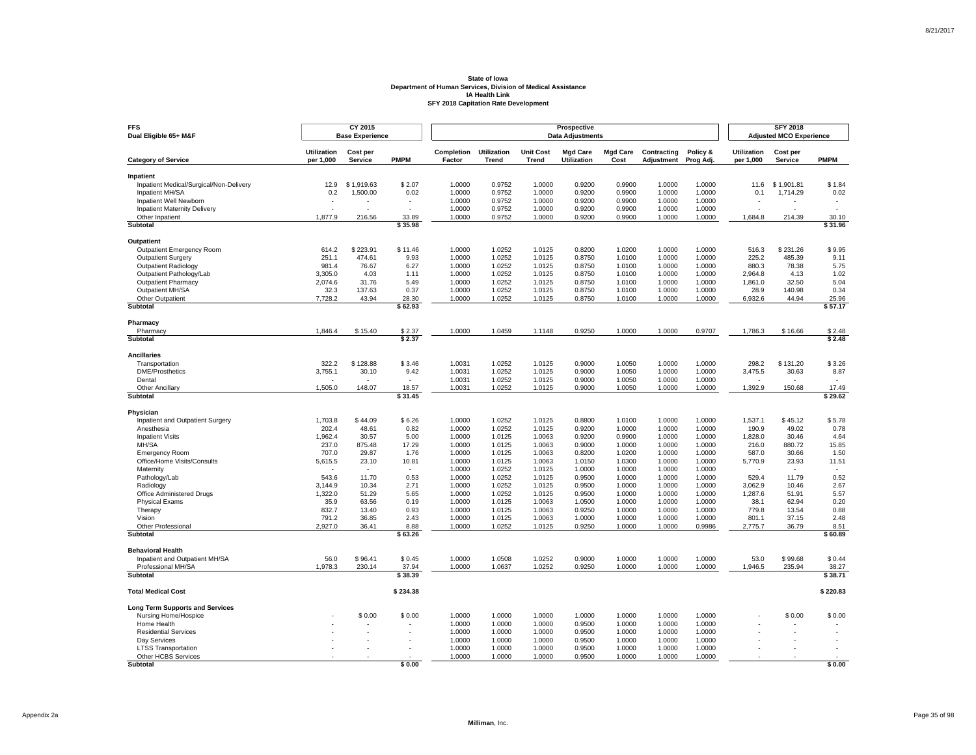| <b>FFS</b><br>Dual Eligible 65+ M&F                  |                                 | CY 2015<br><b>Base Experience</b> |                  |                      |                             |                                  | Prospective<br><b>Data Adjustments</b> |                         |                           |                       |                                 | <b>SFY 2018</b><br><b>Adjusted MCO Experience</b> |                          |
|------------------------------------------------------|---------------------------------|-----------------------------------|------------------|----------------------|-----------------------------|----------------------------------|----------------------------------------|-------------------------|---------------------------|-----------------------|---------------------------------|---------------------------------------------------|--------------------------|
| <b>Category of Service</b>                           | <b>Utilization</b><br>per 1,000 | Cost per<br><b>Service</b>        | <b>PMPM</b>      | Completion<br>Factor | <b>Utilization</b><br>Trend | <b>Unit Cost</b><br><b>Trend</b> | <b>Mgd Care</b><br>Utilization         | <b>Mgd Care</b><br>Cost | Contracting<br>Adjustment | Policy &<br>Prog Adj. | <b>Utilization</b><br>per 1,000 | Cost per<br>Service                               | <b>PMPM</b>              |
|                                                      |                                 |                                   |                  |                      |                             |                                  |                                        |                         |                           |                       |                                 |                                                   |                          |
| Inpatient<br>Inpatient Medical/Surgical/Non-Delivery | 12.9                            | \$1.919.63                        | \$2.07           | 1.0000               | 0.9752                      | 1.0000                           | 0.9200                                 | 0.9900                  | 1.0000                    | 1.0000                | 11.6                            | \$1.901.81                                        | \$1.84                   |
| Inpatient MH/SA                                      | 0.2                             | 1,500.00                          | 0.02             | 1.0000               | 0.9752                      | 1.0000                           | 0.9200                                 | 0.9900                  | 1.0000                    | 1.0000                | 0.1                             | 1,714.29                                          | 0.02                     |
| Inpatient Well Newborn                               |                                 |                                   |                  | 1.0000               | 0.9752                      | 1.0000                           | 0.9200                                 | 0.9900                  | 1.0000                    | 1.0000                |                                 |                                                   |                          |
| <b>Inpatient Maternity Delivery</b>                  | $\overline{a}$                  | ÷                                 | $\overline{a}$   | 1.0000               | 0.9752                      | 1.0000                           | 0.9200                                 | 0.9900                  | 1.0000                    | 1.0000                | ÷                               |                                                   | $\overline{\phantom{a}}$ |
| Other Inpatient                                      | 1.877.9                         | 216.56                            | 33.89            | 1.0000               | 0.9752                      | 1.0000                           | 0.9200                                 | 0.9900                  | 1.0000                    | 1.0000                | 1.684.8                         | 214.39                                            | 30.10                    |
| Subtotal                                             |                                 |                                   | \$35.98          |                      |                             |                                  |                                        |                         |                           |                       |                                 |                                                   | \$31.96                  |
| Outpatient                                           |                                 |                                   |                  |                      |                             |                                  |                                        |                         |                           |                       |                                 |                                                   |                          |
| Outpatient Emergency Room                            | 614.2                           | \$223.91                          | \$11.46          | 1.0000               | 1.0252                      | 1.0125                           | 0.8200                                 | 1.0200                  | 1.0000                    | 1.0000                | 516.3                           | \$231.26                                          | \$9.95                   |
| <b>Outpatient Surgery</b>                            | 251.1                           | 474.61                            | 9.93             | 1.0000               | 1.0252                      | 1.0125                           | 0.8750                                 | 1.0100                  | 1.0000                    | 1.0000                | 225.2                           | 485.39                                            | 9.11                     |
| <b>Outpatient Radiology</b>                          | 981.4                           | 76.67                             | 6.27             | 1.0000               | 1.0252                      | 1.0125                           | 0.8750                                 | 1.0100                  | 1.0000                    | 1.0000                | 880.3                           | 78.38                                             | 5.75                     |
| Outpatient Pathology/Lab                             | 3,305.0                         | 4.03                              | 1.11             | 1.0000               | 1.0252                      | 1.0125                           | 0.8750                                 | 1.0100                  | 1.0000                    | 1.0000                | 2,964.8                         | 4.13                                              | 1.02                     |
| <b>Outpatient Pharmacy</b>                           | 2,074.6                         | 31.76                             | 5.49             | 1.0000               | 1.0252                      | 1.0125                           | 0.8750                                 | 1.0100                  | 1.0000                    | 1.0000                | 1,861.0                         | 32.50                                             | 5.04                     |
| Outpatient MH/SA                                     | 32.3                            | 137.63                            | 0.37             | 1.0000               | 1.0252                      | 1.0125                           | 0.8750                                 | 1.0100                  | 1.0000                    | 1.0000                | 28.9                            | 140.98                                            | 0.34                     |
| Other Outpatient                                     | 7,728.2                         | 43.94                             | 28.30            | 1.0000               | 1.0252                      | 1.0125                           | 0.8750                                 | 1.0100                  | 1.0000                    | 1.0000                | 6,932.6                         | 44.94                                             | 25.96                    |
| <b>Subtotal</b>                                      |                                 |                                   | \$62.93          |                      |                             |                                  |                                        |                         |                           |                       |                                 |                                                   | \$57.17                  |
| Pharmacy                                             |                                 |                                   |                  |                      |                             |                                  |                                        |                         |                           |                       |                                 |                                                   |                          |
| Pharmacy                                             | 1,846.4                         | \$15.40                           | \$2.37           | 1.0000               | 1.0459                      | 1.1148                           | 0.9250                                 | 1.0000                  | 1.0000                    | 0.9707                | 1,786.3                         | \$16.66                                           | \$2.48                   |
| Subtotal                                             |                                 |                                   | \$2.37           |                      |                             |                                  |                                        |                         |                           |                       |                                 |                                                   | \$2.48                   |
| <b>Ancillaries</b>                                   |                                 |                                   |                  |                      |                             |                                  |                                        |                         |                           |                       |                                 |                                                   |                          |
| Transportation                                       | 322.2                           | \$128.88                          | \$3.46           | 1.0031               | 1.0252                      | 1.0125                           | 0.9000                                 | 1.0050                  | 1.0000                    | 1.0000                | 298.2                           | \$131.20                                          | \$3.26                   |
| <b>DME/Prosthetics</b>                               | 3,755.1                         | 30.10                             | 9.42             | 1.0031               | 1.0252                      | 1.0125                           | 0.9000                                 | 1.0050                  | 1.0000                    | 1.0000                | 3,475.5                         | 30.63                                             | 8.87                     |
| Dental                                               |                                 |                                   | $\sim$           | 1.0031               | 1.0252                      | 1.0125                           | 0.9000                                 | 1.0050                  | 1.0000                    | 1.0000                |                                 |                                                   | ÷.                       |
| <b>Other Ancillary</b><br>Subtotal                   | 1,505.0                         | 148.07                            | 18.57<br>\$31.45 | 1.0031               | 1.0252                      | 1.0125                           | 0.9000                                 | 1.0050                  | 1.0000                    | 1.0000                | 1,392.9                         | 150.68                                            | 17.49<br>\$29.62         |
|                                                      |                                 |                                   |                  |                      |                             |                                  |                                        |                         |                           |                       |                                 |                                                   |                          |
| Physician                                            |                                 |                                   |                  |                      |                             |                                  |                                        |                         |                           |                       |                                 |                                                   |                          |
| Inpatient and Outpatient Surgery                     | 1,703.8                         | \$44.09                           | \$6.26           | 1.0000               | 1.0252                      | 1.0125                           | 0.8800                                 | 1.0100                  | 1.0000                    | 1.0000                | 1,537.1                         | \$45.12                                           | \$5.78                   |
| Anesthesia                                           | 202.4                           | 48.61                             | 0.82             | 1.0000               | 1.0252                      | 1.0125                           | 0.9200                                 | 1.0000<br>0.9900        | 1.0000                    | 1.0000<br>1.0000      | 190.9                           | 49.02<br>30.46                                    | 0.78                     |
| <b>Inpatient Visits</b><br>MH/SA                     | 1,962.4<br>237.0                | 30.57<br>875.48                   | 5.00<br>17.29    | 1.0000<br>1.0000     | 1.0125<br>1.0125            | 1.0063<br>1.0063                 | 0.9200<br>0.9000                       | 1.0000                  | 1.0000<br>1.0000          | 1.0000                | 1,828.0<br>216.0                | 880.72                                            | 4.64<br>15.85            |
| <b>Emergency Room</b>                                | 707.0                           | 29.87                             | 1.76             | 1.0000               | 1.0125                      | 1.0063                           | 0.8200                                 | 1.0200                  | 1.0000                    | 1.0000                | 587.0                           | 30.66                                             | 1.50                     |
| Office/Home Visits/Consults                          | 5,615.5                         | 23.10                             | 10.81            | 1.0000               | 1.0125                      | 1.0063                           | 1.0150                                 | 1.0300                  | 1.0000                    | 1.0000                | 5,770.9                         | 23.93                                             | 11.51                    |
| Maternity                                            |                                 |                                   |                  | 1.0000               | 1.0252                      | 1.0125                           | 1.0000                                 | 1.0000                  | 1.0000                    | 1.0000                |                                 |                                                   |                          |
| Pathology/Lab                                        | 543.6                           | 11.70                             | 0.53             | 1.0000               | 1.0252                      | 1.0125                           | 0.9500                                 | 1.0000                  | 1.0000                    | 1.0000                | 529.4                           | 11.79                                             | 0.52                     |
| Radiology                                            | 3,144.9                         | 10.34                             | 2.71             | 1.0000               | 1.0252                      | 1.0125                           | 0.9500                                 | 1.0000                  | 1.0000                    | 1.0000                | 3,062.9                         | 10.46                                             | 2.67                     |
| Office Administered Drugs                            | 1,322.0                         | 51.29                             | 5.65             | 1.0000               | 1.0252                      | 1.0125                           | 0.9500                                 | 1.0000                  | 1.0000                    | 1.0000                | 1,287.6                         | 51.91                                             | 5.57                     |
| <b>Physical Exams</b>                                | 35.9                            | 63.56                             | 0.19             | 1.0000               | 1.0125                      | 1.0063                           | 1.0500                                 | 1.0000                  | 1.0000                    | 1.0000                | 38.1                            | 62.94                                             | 0.20                     |
| Therapy                                              | 832.7                           | 13.40                             | 0.93             | 1.0000               | 1.0125                      | 1.0063                           | 0.9250                                 | 1.0000                  | 1.0000                    | 1.0000                | 779.8                           | 13.54                                             | 0.88                     |
| Vision                                               | 791.2                           | 36.85                             | 2.43             | 1.0000               | 1.0125                      | 1.0063                           | 1.0000                                 | 1.0000                  | 1.0000                    | 1.0000                | 801.1                           | 37.15                                             | 2.48                     |
| Other Professional<br>Subtotal                       | 2,927.0                         | 36.41                             | 8.88<br>\$63.26  | 1.0000               | 1.0252                      | 1.0125                           | 0.9250                                 | 1.0000                  | 1.0000                    | 0.9986                | 2,775.7                         | 36.79                                             | 8.51<br>\$60.89          |
|                                                      |                                 |                                   |                  |                      |                             |                                  |                                        |                         |                           |                       |                                 |                                                   |                          |
| <b>Behavioral Health</b>                             |                                 |                                   |                  |                      |                             |                                  |                                        |                         |                           |                       |                                 |                                                   |                          |
| Inpatient and Outpatient MH/SA                       | 56.0                            | \$96.41                           | \$0.45           | 1.0000               | 1.0508                      | 1.0252                           | 0.9000                                 | 1.0000                  | 1.0000                    | 1.0000                | 53.0                            | \$99.68                                           | \$0.44                   |
| Professional MH/SA<br><b>Subtotal</b>                | 1,978.3                         | 230.14                            | 37.94<br>\$38.39 | 1.0000               | 1.0637                      | 1.0252                           | 0.9250                                 | 1.0000                  | 1.0000                    | 1.0000                | 1,946.5                         | 235.94                                            | 38.27<br>\$38.71         |
|                                                      |                                 |                                   |                  |                      |                             |                                  |                                        |                         |                           |                       |                                 |                                                   |                          |
| <b>Total Medical Cost</b>                            |                                 |                                   | \$234.38         |                      |                             |                                  |                                        |                         |                           |                       |                                 |                                                   | \$220.83                 |
| <b>Long Term Supports and Services</b>               |                                 |                                   |                  |                      |                             |                                  |                                        |                         |                           |                       |                                 |                                                   |                          |
| Nursing Home/Hospice                                 |                                 | \$0.00                            | \$0.00           | 1.0000               | 1.0000                      | 1.0000                           | 1.0000                                 | 1.0000                  | 1.0000                    | 1.0000                |                                 | \$0.00                                            | \$0.00                   |
| Home Health                                          |                                 |                                   |                  | 1.0000               | 1.0000                      | 1.0000                           | 0.9500                                 | 1.0000                  | 1.0000                    | 1.0000                |                                 |                                                   |                          |
| <b>Residential Services</b><br>Dav Services          |                                 |                                   |                  | 1.0000<br>1.0000     | 1.0000<br>1.0000            | 1.0000<br>1.0000                 | 0.9500<br>0.9500                       | 1.0000<br>1.0000        | 1.0000<br>1.0000          | 1.0000<br>1.0000      |                                 |                                                   |                          |
| <b>LTSS Transportation</b>                           |                                 |                                   |                  | 1.0000               | 1.0000                      | 1.0000                           | 0.9500                                 | 1.0000                  | 1.0000                    | 1.0000                |                                 |                                                   |                          |
| Other HCBS Services                                  |                                 |                                   |                  | 1.0000               | 1.0000                      | 1.0000                           | 0.9500                                 | 1.0000                  | 1.0000                    | 1.0000                |                                 |                                                   |                          |
| Subtotal                                             |                                 |                                   | \$0.00           |                      |                             |                                  |                                        |                         |                           |                       |                                 |                                                   | \$0.00                   |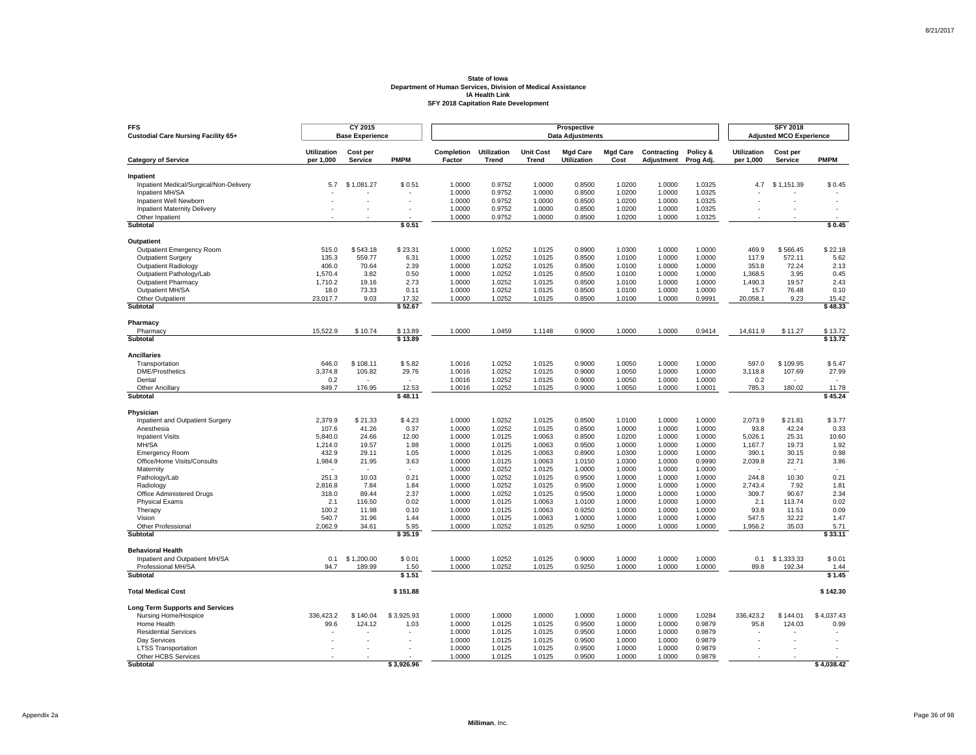| <b>FFS</b><br><b>Custodial Care Nursing Facility 65+</b>   |                                 | CY 2015<br><b>Base Experience</b> |                          |                      |                                    |                                  | <b>Prospective</b><br><b>Data Adjustments</b> |                         |                           |                       |                                 | <b>SFY 2018</b><br><b>Adjusted MCO Experience</b> |                          |
|------------------------------------------------------------|---------------------------------|-----------------------------------|--------------------------|----------------------|------------------------------------|----------------------------------|-----------------------------------------------|-------------------------|---------------------------|-----------------------|---------------------------------|---------------------------------------------------|--------------------------|
| <b>Category of Service</b>                                 | <b>Utilization</b><br>per 1,000 | Cost per<br><b>Service</b>        | <b>PMPM</b>              | Completion<br>Factor | <b>Utilization</b><br><b>Trend</b> | <b>Unit Cost</b><br><b>Trend</b> | <b>Mgd Care</b><br>Utilization                | <b>Mgd Care</b><br>Cost | Contracting<br>Adjustment | Policy &<br>Prog Adj. | <b>Utilization</b><br>per 1,000 | Cost per<br><b>Service</b>                        | <b>PMPM</b>              |
|                                                            |                                 |                                   |                          |                      |                                    |                                  |                                               |                         |                           |                       |                                 |                                                   |                          |
| Inpatient                                                  | 5.7                             | \$1,081.27                        | \$0.51                   | 1.0000               | 0.9752                             | 1.0000                           | 0.8500                                        | 1.0200                  | 1.0000                    | 1.0325                | 4.7                             | \$1,151.39                                        | \$0.45                   |
| Inpatient Medical/Surgical/Non-Delivery<br>Inpatient MH/SA |                                 |                                   |                          | 1.0000               | 0.9752                             | 1.0000                           | 0.8500                                        | 1.0200                  | 1.0000                    | 1.0325                |                                 |                                                   |                          |
| Inpatient Well Newborn                                     |                                 |                                   |                          | 1.0000               | 0.9752                             | 1.0000                           | 0.8500                                        | 1.0200                  | 1.0000                    | 1.0325                |                                 |                                                   |                          |
| Inpatient Maternity Delivery                               |                                 |                                   |                          | 1.0000               | 0.9752                             | 1.0000                           | 0.8500                                        | 1.0200                  | 1.0000                    | 1.0325                |                                 |                                                   | $\overline{\phantom{a}}$ |
| Other Inpatient                                            |                                 |                                   |                          | 1.0000               | 0.9752                             | 1.0000                           | 0.8500                                        | 1.0200                  | 1.0000                    | 1.0325                |                                 |                                                   |                          |
| <b>Subtotal</b>                                            |                                 |                                   | \$0.51                   |                      |                                    |                                  |                                               |                         |                           |                       |                                 |                                                   | \$0.45                   |
| Outpatient                                                 |                                 |                                   |                          |                      |                                    |                                  |                                               |                         |                           |                       |                                 |                                                   |                          |
| <b>Outpatient Emergency Room</b>                           | 515.0                           | \$543.18                          | \$23.31                  | 1.0000               | 1.0252                             | 1.0125                           | 0.8900                                        | 1.0300                  | 1.0000                    | 1.0000                | 469.9                           | \$566.45                                          | \$22.18                  |
| <b>Outpatient Surgery</b>                                  | 135.3                           | 559.77                            | 6.31                     | 1.0000               | 1.0252                             | 1.0125                           | 0.8500                                        | 1.0100                  | 1.0000                    | 1.0000                | 117.9                           | 572.11                                            | 5.62                     |
| Outpatient Radiology                                       | 406.0                           | 70.64                             | 2.39                     | 1.0000               | 1.0252                             | 1.0125                           | 0.8500                                        | 1.0100                  | 1.0000                    | 1.0000                | 353.8                           | 72.24                                             | 2.13                     |
| Outpatient Pathology/Lab                                   | 1,570.4                         | 3.82                              | 0.50                     | 1.0000               | 1.0252                             | 1.0125                           | 0.8500                                        | 1.0100                  | 1.0000                    | 1.0000                | 1,368.5                         | 3.95                                              | 0.45                     |
| <b>Outpatient Pharmacy</b>                                 | 1,710.2                         | 19.16                             | 2.73                     | 1.0000               | 1.0252                             | 1.0125                           | 0.8500                                        | 1.0100                  | 1.0000                    | 1.0000                | 1,490.3                         | 19.57                                             | 2.43                     |
| Outpatient MH/SA                                           | 18.0                            | 73.33                             | 0.11                     | 1.0000               | 1.0252                             | 1.0125                           | 0.8500                                        | 1.0100                  | 1.0000                    | 1.0000                | 15.7                            | 76.48                                             | 0.10                     |
| Other Outpatient                                           | 23,017.7                        | 9.03                              | 17.32                    | 1.0000               | 1.0252                             | 1.0125                           | 0.8500                                        | 1.0100                  | 1.0000                    | 0.9991                | 20,058.1                        | 9.23                                              | 15.42                    |
| <b>Subtotal</b>                                            |                                 |                                   | \$52.67                  |                      |                                    |                                  |                                               |                         |                           |                       |                                 |                                                   | \$48.33                  |
| Pharmacy                                                   |                                 |                                   |                          |                      |                                    |                                  |                                               |                         |                           |                       |                                 |                                                   |                          |
| Pharmacy                                                   | 15,522.9                        | \$10.74                           | \$13.89                  | 1.0000               | 1.0459                             | 1.1148                           | 0.9000                                        | 1.0000                  | 1.0000                    | 0.9414                | 14,611.9                        | \$11.27                                           | \$13.72                  |
| Subtotal                                                   |                                 |                                   | \$13.89                  |                      |                                    |                                  |                                               |                         |                           |                       |                                 |                                                   | \$13.72                  |
| <b>Ancillaries</b>                                         |                                 |                                   |                          |                      |                                    |                                  |                                               |                         |                           |                       |                                 |                                                   |                          |
| Transportation                                             | 646.0                           | \$108.11                          | \$5.82                   | 1.0016               | 1.0252                             | 1.0125                           | 0.9000                                        | 1.0050                  | 1.0000                    | 1.0000                | 597.0                           | \$109.95                                          | \$5.47                   |
| DME/Prosthetics                                            | 3,374.8                         | 105.82                            | 29.76                    | 1.0016               | 1.0252                             | 1.0125                           | 0.9000                                        | 1.0050                  | 1.0000                    | 1.0000                | 3,118.8                         | 107.69                                            | 27.99                    |
| Dental                                                     | 0.2                             | ٠                                 | $\overline{\phantom{a}}$ | 1.0016               | 1.0252                             | 1.0125                           | 0.9000                                        | 1.0050                  | 1.0000                    | 1.0000                | 0.2                             |                                                   |                          |
| <b>Other Ancillary</b><br>Subtotal                         | 849.7                           | 176.95                            | 12.53<br>\$48.11         | 1.0016               | 1.0252                             | 1.0125                           | 0.9000                                        | 1.0050                  | 1.0000                    | 1.0001                | 785.3                           | 180.02                                            | 11.78<br>\$45.24         |
|                                                            |                                 |                                   |                          |                      |                                    |                                  |                                               |                         |                           |                       |                                 |                                                   |                          |
| Physician                                                  |                                 |                                   |                          |                      |                                    |                                  |                                               |                         |                           |                       |                                 |                                                   |                          |
| Inpatient and Outpatient Surgery<br>Anesthesia             | 2,379.9<br>107.6                | \$21.33<br>41.26                  | \$4.23<br>0.37           | 1.0000<br>1.0000     | 1.0252<br>1.0252                   | 1.0125<br>1.0125                 | 0.8500<br>0.8500                              | 1.0100<br>1.0000        | 1.0000<br>1.0000          | 1.0000<br>1.0000      | 2,073.9<br>93.8                 | \$21.81<br>42.24                                  | \$3.77<br>0.33           |
| <b>Inpatient Visits</b>                                    | 5,840.0                         | 24.66                             | 12.00                    | 1.0000               | 1.0125                             | 1.0063                           | 0.8500                                        | 1.0200                  | 1.0000                    | 1.0000                | 5,026.1                         | 25.31                                             | 10.60                    |
| MH/SA                                                      | 1,214.0                         | 19.57                             | 1.98                     | 1.0000               | 1.0125                             | 1.0063                           | 0.9500                                        | 1.0000                  | 1.0000                    | 1.0000                | 1,167.7                         | 19.73                                             | 1.92                     |
| <b>Emergency Room</b>                                      | 432.9                           | 29.11                             | 1.05                     | 1.0000               | 1.0125                             | 1.0063                           | 0.8900                                        | 1.0300                  | 1.0000                    | 1.0000                | 390.1                           | 30.15                                             | 0.98                     |
| Office/Home Visits/Consults                                | 1,984.9                         | 21.95                             | 3.63                     | 1.0000               | 1.0125                             | 1.0063                           | 1.0150                                        | 1.0300                  | 1.0000                    | 0.9990                | 2,039.8                         | 22.71                                             | 3.86                     |
| Maternity                                                  |                                 |                                   |                          | 1.0000               | 1.0252                             | 1.0125                           | 1.0000                                        | 1.0000                  | 1.0000                    | 1.0000                |                                 |                                                   |                          |
| Pathology/Lab                                              | 251.3                           | 10.03                             | 0.21                     | 1.0000               | 1.0252                             | 1.0125                           | 0.9500                                        | 1.0000                  | 1.0000                    | 1.0000                | 244.8                           | 10.30                                             | 0.21                     |
| Radiology                                                  | 2.816.8                         | 7.84                              | 1.84                     | 1.0000               | 1.0252                             | 1.0125                           | 0.9500                                        | 1.0000                  | 1.0000                    | 1.0000                | 2.743.4                         | 7.92                                              | 1.81                     |
| Office Administered Drugs                                  | 318.0                           | 89.44                             | 2.37                     | 1.0000               | 1.0252                             | 1.0125                           | 0.9500                                        | 1.0000                  | 1.0000                    | 1.0000                | 309.7                           | 90.67                                             | 2.34                     |
| <b>Physical Exams</b>                                      | 2.1                             | 116.50                            | 0.02                     | 1.0000               | 1.0125                             | 1.0063                           | 1.0100                                        | 1.0000                  | 1.0000                    | 1.0000                | 2.1                             | 113.74                                            | 0.02                     |
| Therapy                                                    | 100.2                           | 11.98                             | 0.10                     | 1.0000               | 1.0125                             | 1.0063                           | 0.9250                                        | 1.0000                  | 1.0000                    | 1.0000                | 93.8                            | 11.51                                             | 0.09                     |
| Vision                                                     | 540.7                           | 31.96                             | 1.44                     | 1.0000               | 1.0125                             | 1.0063                           | 1.0000                                        | 1.0000                  | 1.0000                    | 1.0000                | 547.5                           | 32.22                                             | 1.47                     |
| Other Professional<br>Subtotal                             | 2,062.9                         | 34.61                             | 5.95<br>\$35.19          | 1.0000               | 1.0252                             | 1.0125                           | 0.9250                                        | 1.0000                  | 1.0000                    | 1.0000                | 1,956.2                         | 35.03                                             | 5.71<br>\$33.11          |
|                                                            |                                 |                                   |                          |                      |                                    |                                  |                                               |                         |                           |                       |                                 |                                                   |                          |
| <b>Behavioral Health</b>                                   |                                 |                                   |                          |                      |                                    |                                  |                                               |                         |                           |                       |                                 |                                                   |                          |
| Inpatient and Outpatient MH/SA                             | 0.1                             | \$1,200,00                        | \$0.01                   | 1.0000               | 1.0252                             | 1.0125                           | 0.9000                                        | 1.0000                  | 1.0000                    | 1.0000                | 0.1                             | \$1.333.33                                        | \$0.01                   |
| Professional MH/SA<br><b>Subtotal</b>                      | 94.7                            | 189.99                            | 1.50<br>\$1.51           | 1.0000               | 1.0252                             | 1.0125                           | 0.9250                                        | 1.0000                  | 1.0000                    | 1.0000                | 89.8                            | 192.34                                            | 1.44<br>\$1.45           |
|                                                            |                                 |                                   |                          |                      |                                    |                                  |                                               |                         |                           |                       |                                 |                                                   |                          |
| <b>Total Medical Cost</b>                                  |                                 |                                   | \$151.88                 |                      |                                    |                                  |                                               |                         |                           |                       |                                 |                                                   | \$142.30                 |
| <b>Long Term Supports and Services</b>                     |                                 |                                   |                          |                      |                                    |                                  |                                               |                         |                           |                       |                                 |                                                   |                          |
| Nursing Home/Hospice                                       | 336,423.2                       | \$140.04                          | \$3,925.93               | 1.0000               | 1.0000                             | 1.0000                           | 1.0000                                        | 1.0000                  | 1.0000                    | 1.0284                | 336,423.2                       | \$144.01                                          | \$4,037.43               |
| Home Health                                                | 99.6                            | 124.12                            | 1.03                     | 1.0000               | 1.0125                             | 1.0125                           | 0.9500                                        | 1.0000                  | 1.0000                    | 0.9879                | 95.8                            | 124.03                                            | 0.99                     |
| <b>Residential Services</b>                                |                                 |                                   |                          | 1.0000               | 1.0125                             | 1.0125                           | 0.9500                                        | 1.0000                  | 1.0000                    | 0.9879                |                                 |                                                   |                          |
| Day Services                                               |                                 | ÷.                                |                          | 1.0000               | 1.0125                             | 1.0125                           | 0.9500                                        | 1.0000                  | 1.0000                    | 0.9879                | J.                              |                                                   |                          |
| <b>LTSS Transportation</b><br>Other HCBS Services          |                                 |                                   |                          | 1.0000<br>1.0000     | 1.0125<br>1.0125                   | 1.0125<br>1.0125                 | 0.9500<br>0.9500                              | 1.0000<br>1.0000        | 1.0000<br>1.0000          | 0.9879<br>0.9879      |                                 |                                                   |                          |
| Subtotal                                                   |                                 |                                   | \$3.926.96               |                      |                                    |                                  |                                               |                         |                           |                       |                                 |                                                   | \$4,038.42               |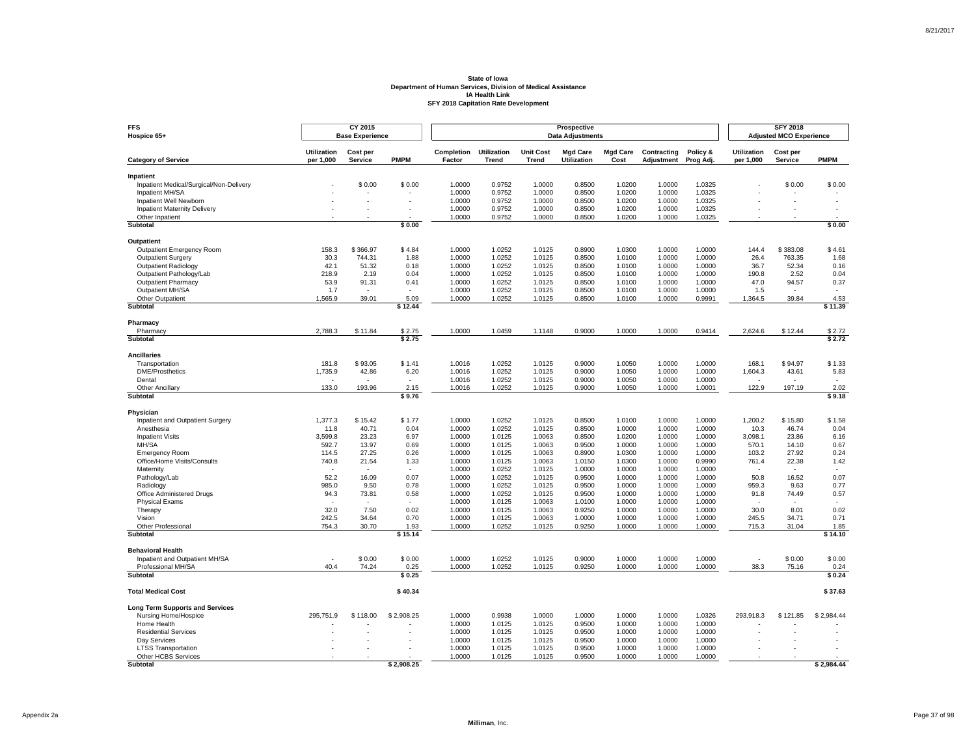| <b>FFS</b><br>Hospice 65+                                  |                                 | CY 2015<br><b>Base Experience</b> |                          |                      |                             |                                  | Prospective<br><b>Data Adjustments</b> |                         |                           |                       |                                 | <b>SFY 2018</b><br><b>Adjusted MCO Experience</b> |                 |
|------------------------------------------------------------|---------------------------------|-----------------------------------|--------------------------|----------------------|-----------------------------|----------------------------------|----------------------------------------|-------------------------|---------------------------|-----------------------|---------------------------------|---------------------------------------------------|-----------------|
| <b>Category of Service</b>                                 | <b>Utilization</b><br>per 1,000 | Cost per<br>Service               | <b>PMPM</b>              | Completion<br>Factor | <b>Utilization</b><br>Trend | <b>Unit Cost</b><br><b>Trend</b> | <b>Mgd Care</b><br>Utilization         | <b>Mgd Care</b><br>Cost | Contracting<br>Adjustment | Policy &<br>Prog Adj. | <b>Utilization</b><br>per 1,000 | Cost per<br>Service                               | <b>PMPM</b>     |
|                                                            |                                 |                                   |                          |                      |                             |                                  |                                        |                         |                           |                       |                                 |                                                   |                 |
| Inpatient                                                  |                                 | \$0.00                            |                          |                      |                             |                                  |                                        |                         |                           |                       |                                 |                                                   |                 |
| Inpatient Medical/Surgical/Non-Delivery<br>Inpatient MH/SA |                                 |                                   | \$0.00                   | 1.0000<br>1.0000     | 0.9752<br>0.9752            | 1.0000<br>1.0000                 | 0.8500<br>0.8500                       | 1.0200<br>1.0200        | 1.0000<br>1.0000          | 1.0325<br>1.0325      |                                 | \$0.00                                            | \$0.00          |
| Inpatient Well Newborn                                     |                                 | ä,                                |                          | 1.0000               | 0.9752                      | 1.0000                           | 0.8500                                 | 1.0200                  | 1.0000                    | 1.0325                |                                 |                                                   | ä,              |
| <b>Inpatient Maternity Delivery</b>                        |                                 | ٠                                 | $\overline{\phantom{a}}$ | 1.0000               | 0.9752                      | 1.0000                           | 0.8500                                 | 1.0200                  | 1.0000                    | 1.0325                |                                 |                                                   | ÷.              |
| Other Inpatient                                            |                                 |                                   |                          | 1.0000               | 0.9752                      | 1.0000                           | 0.8500                                 | 1.0200                  | 1.0000                    | 1.0325                |                                 |                                                   |                 |
| <b>Subtotal</b>                                            |                                 |                                   | \$0.00                   |                      |                             |                                  |                                        |                         |                           |                       |                                 |                                                   | \$0.00          |
| Outpatient                                                 |                                 |                                   |                          |                      |                             |                                  |                                        |                         |                           |                       |                                 |                                                   |                 |
| Outpatient Emergency Room                                  | 158.3                           | \$366.97                          | \$4.84                   | 1.0000               | 1.0252                      | 1.0125                           | 0.8900                                 | 1.0300                  | 1.0000                    | 1.0000                | 144.4                           | \$383.08                                          | \$4.61          |
| <b>Outpatient Surgery</b>                                  | 30.3                            | 744.31                            | 1.88                     | 1.0000               | 1.0252                      | 1.0125                           | 0.8500                                 | 1.0100                  | 1.0000                    | 1.0000                | 26.4                            | 763.35                                            | 1.68            |
| <b>Outpatient Radiology</b>                                | 42.1                            | 51.32                             | 0.18                     | 1.0000               | 1.0252                      | 1.0125                           | 0.8500                                 | 1.0100                  | 1.0000                    | 1.0000                | 36.7                            | 52.34                                             | 0.16            |
| Outpatient Pathology/Lab                                   | 218.9                           | 2.19                              | 0.04                     | 1.0000               | 1.0252                      | 1.0125                           | 0.8500                                 | 1.0100                  | 1.0000                    | 1.0000                | 190.8                           | 2.52                                              | 0.04            |
| <b>Outpatient Pharmacy</b>                                 | 53.9                            | 91.31                             | 0.41                     | 1.0000               | 1.0252                      | 1.0125                           | 0.8500                                 | 1.0100                  | 1.0000                    | 1.0000                | 47.0                            | 94.57                                             | 0.37            |
| Outpatient MH/SA                                           | 1.7                             |                                   |                          | 1.0000               | 1.0252                      | 1.0125                           | 0.8500                                 | 1.0100                  | 1.0000                    | 1.0000                | 1.5                             |                                                   |                 |
| Other Outpatient                                           | 1,565.9                         | 39.01                             | 5.09                     | 1.0000               | 1.0252                      | 1.0125                           | 0.8500                                 | 1.0100                  | 1.0000                    | 0.9991                | 1,364.5                         | 39.84                                             | 4.53            |
| Subtotal                                                   |                                 |                                   | \$12.44                  |                      |                             |                                  |                                        |                         |                           |                       |                                 |                                                   | \$11.39         |
| Pharmacy                                                   |                                 |                                   |                          |                      |                             |                                  |                                        |                         |                           |                       |                                 |                                                   |                 |
| Pharmacy                                                   | 2,788.3                         | \$11.84                           | \$2.75                   | 1.0000               | 1.0459                      | 1.1148                           | 0.9000                                 | 1.0000                  | 1.0000                    | 0.9414                | 2,624.6                         | \$12.44                                           | \$2.72          |
| Subtotal                                                   |                                 |                                   | \$2.75                   |                      |                             |                                  |                                        |                         |                           |                       |                                 |                                                   | \$2.72          |
| <b>Ancillaries</b>                                         |                                 |                                   |                          |                      |                             |                                  |                                        |                         |                           |                       |                                 |                                                   |                 |
| Transportation                                             | 181.8                           | \$93.05                           | \$1.41                   | 1.0016               | 1.0252                      | 1.0125                           | 0.9000                                 | 1.0050                  | 1.0000                    | 1.0000                | 168.1                           | \$94.97                                           | \$1.33          |
| <b>DME/Prosthetics</b>                                     | 1,735.9                         | 42.86                             | 6.20                     | 1.0016               | 1.0252                      | 1.0125                           | 0.9000                                 | 1.0050                  | 1.0000                    | 1.0000                | 1,604.3                         | 43.61                                             | 5.83            |
| Dental                                                     | $\overline{\phantom{a}}$        |                                   | $\sim$                   | 1.0016               | 1.0252                      | 1.0125                           | 0.9000                                 | 1.0050                  | 1.0000                    | 1.0000                |                                 |                                                   |                 |
| Other Ancillary<br>Subtotal                                | 133.0                           | 193.96                            | 2.15<br>\$9.76           | 1.0016               | 1.0252                      | 1.0125                           | 0.9000                                 | 1.0050                  | 1.0000                    | 1.0001                | 122.9                           | 197.19                                            | 2.02<br>\$9.18  |
|                                                            |                                 |                                   |                          |                      |                             |                                  |                                        |                         |                           |                       |                                 |                                                   |                 |
| Physician                                                  |                                 |                                   |                          |                      |                             |                                  |                                        |                         |                           |                       |                                 |                                                   |                 |
| Inpatient and Outpatient Surgery                           | 1,377.3                         | \$15.42                           | \$1.77                   | 1.0000               | 1.0252                      | 1.0125                           | 0.8500                                 | 1.0100                  | 1.0000                    | 1.0000                | 1,200.2                         | \$15.80                                           | \$1.58          |
| Anesthesia                                                 | 11.8                            | 40.71                             | 0.04                     | 1.0000               | 1.0252                      | 1.0125                           | 0.8500                                 | 1.0000                  | 1.0000                    | 1.0000                | 10.3                            | 46.74                                             | 0.04            |
| <b>Inpatient Visits</b><br>MH/SA                           | 3,599.8<br>592.7                | 23.23<br>13.97                    | 6.97<br>0.69             | 1.0000               | 1.0125                      | 1.0063<br>1.0063                 | 0.8500<br>0.9500                       | 1.0200<br>1.0000        | 1.0000                    | 1.0000                | 3,098.1<br>570.1                | 23.86                                             | 6.16<br>0.67    |
|                                                            | 114.5                           | 27.25                             | 0.26                     | 1.0000<br>1.0000     | 1.0125<br>1.0125            | 1.0063                           | 0.8900                                 | 1.0300                  | 1.0000<br>1.0000          | 1.0000<br>1.0000      | 103.2                           | 14.10<br>27.92                                    | 0.24            |
| <b>Emergency Room</b><br>Office/Home Visits/Consults       | 740.8                           | 21.54                             | 1.33                     | 1.0000               | 1.0125                      | 1.0063                           | 1.0150                                 | 1.0300                  | 1.0000                    | 0.9990                | 761.4                           | 22.38                                             | 1.42            |
| Maternity                                                  |                                 |                                   |                          | 1.0000               | 1.0252                      | 1.0125                           | 1.0000                                 | 1.0000                  | 1.0000                    | 1.0000                |                                 |                                                   |                 |
| Pathology/Lab                                              | 52.2                            | 16.09                             | 0.07                     | 1.0000               | 1.0252                      | 1.0125                           | 0.9500                                 | 1.0000                  | 1.0000                    | 1.0000                | 50.8                            | 16.52                                             | 0.07            |
| Radiology                                                  | 985.0                           | 9.50                              | 0.78                     | 1.0000               | 1.0252                      | 1.0125                           | 0.9500                                 | 1.0000                  | 1.0000                    | 1.0000                | 959.3                           | 9.63                                              | 0.77            |
| Office Administered Drugs                                  | 94.3                            | 73.81                             | 0.58                     | 1.0000               | 1.0252                      | 1.0125                           | 0.9500                                 | 1.0000                  | 1.0000                    | 1.0000                | 91.8                            | 74.49                                             | 0.57            |
| <b>Physical Exams</b>                                      |                                 |                                   |                          | 1.0000               | 1.0125                      | 1.0063                           | 1.0100                                 | 1.0000                  | 1.0000                    | 1.0000                |                                 |                                                   |                 |
| Therapy                                                    | 32.0                            | 7.50                              | 0.02                     | 1.0000               | 1.0125                      | 1.0063                           | 0.9250                                 | 1.0000                  | 1.0000                    | 1.0000                | 30.0                            | 8.01                                              | 0.02            |
| Vision                                                     | 242.5                           | 34.64                             | 0.70                     | 1.0000               | 1.0125                      | 1.0063                           | 1.0000                                 | 1.0000                  | 1.0000                    | 1.0000                | 245.5                           | 34.71                                             | 0.71            |
| Other Professional<br>Subtotal                             | 754.3                           | 30.70                             | 1.93<br>\$15.14          | 1.0000               | 1.0252                      | 1.0125                           | 0.9250                                 | 1.0000                  | 1.0000                    | 1.0000                | 715.3                           | 31.04                                             | 1.85<br>\$14.10 |
|                                                            |                                 |                                   |                          |                      |                             |                                  |                                        |                         |                           |                       |                                 |                                                   |                 |
| <b>Behavioral Health</b>                                   |                                 |                                   |                          |                      |                             |                                  |                                        |                         |                           |                       |                                 |                                                   |                 |
| Inpatient and Outpatient MH/SA                             |                                 | \$0.00                            | \$0.00                   | 1.0000               | 1.0252                      | 1.0125                           | 0.9000                                 | 1.0000                  | 1.0000                    | 1.0000                |                                 | \$0.00                                            | \$0.00          |
| Professional MH/SA<br>Subtotal                             | 40.4                            | 74.24                             | 0.25<br>\$0.25           | 1.0000               | 1.0252                      | 1.0125                           | 0.9250                                 | 1.0000                  | 1.0000                    | 1.0000                | 38.3                            | 75.16                                             | 0.24<br>\$0.24  |
|                                                            |                                 |                                   |                          |                      |                             |                                  |                                        |                         |                           |                       |                                 |                                                   |                 |
| <b>Total Medical Cost</b>                                  |                                 |                                   | \$40.34                  |                      |                             |                                  |                                        |                         |                           |                       |                                 |                                                   | \$37.63         |
| <b>Long Term Supports and Services</b>                     |                                 |                                   |                          |                      |                             |                                  |                                        |                         |                           |                       |                                 |                                                   |                 |
| Nursing Home/Hospice                                       | 295,751.9                       | \$118.00                          | \$2,908.25               | 1.0000               | 0.9938                      | 1.0000                           | 1.0000                                 | 1.0000                  | 1.0000                    | 1.0326                | 293,918.3                       | \$121.85                                          | \$2,984.44      |
| Home Health                                                |                                 |                                   |                          | 1.0000               | 1.0125                      | 1.0125                           | 0.9500                                 | 1.0000                  | 1.0000                    | 1.0000                |                                 |                                                   |                 |
| <b>Residential Services</b>                                |                                 |                                   |                          | 1.0000               | 1.0125                      | 1.0125                           | 0.9500                                 | 1.0000                  | 1.0000                    | 1.0000                |                                 |                                                   |                 |
| Day Services                                               |                                 |                                   |                          | 1.0000               | 1.0125                      | 1.0125                           | 0.9500                                 | 1.0000                  | 1.0000                    | 1.0000                |                                 |                                                   |                 |
| <b>LTSS Transportation</b>                                 |                                 |                                   |                          | 1.0000               | 1.0125                      | 1.0125                           | 0.9500                                 | 1.0000                  | 1.0000                    | 1.0000                |                                 |                                                   |                 |
| Other HCBS Services<br>Subtotal                            |                                 |                                   | \$2.908.25               | 1.0000               | 1.0125                      | 1.0125                           | 0.9500                                 | 1.0000                  | 1.0000                    | 1.0000                |                                 |                                                   | \$2.984.44      |
|                                                            |                                 |                                   |                          |                      |                             |                                  |                                        |                         |                           |                       |                                 |                                                   |                 |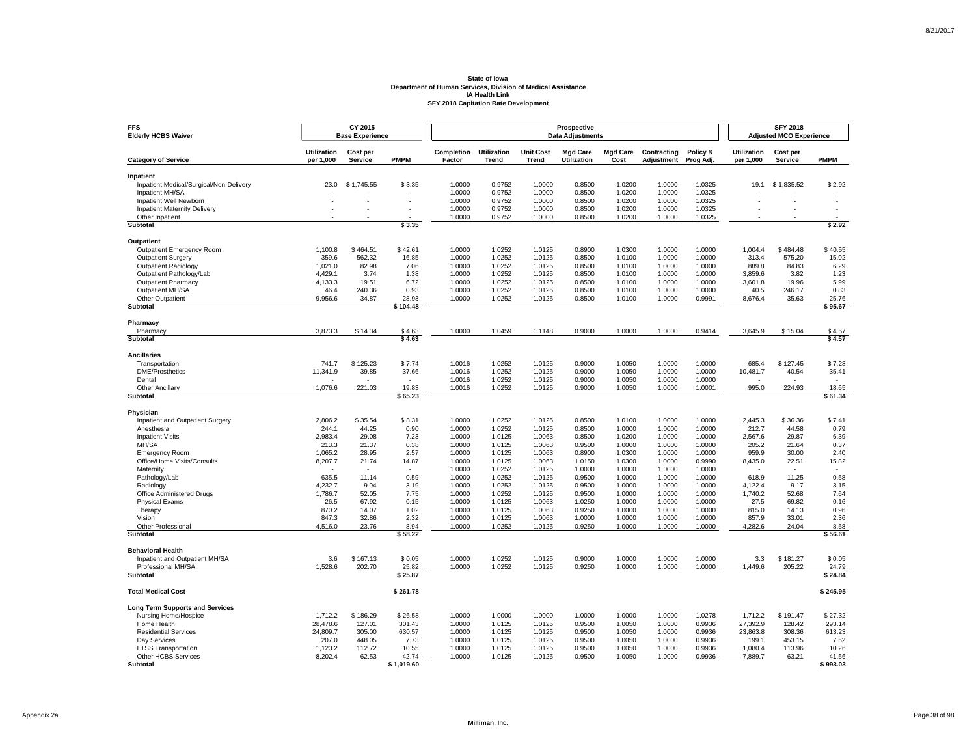| <b>FFS</b><br><b>Elderly HCBS Waiver</b>             |                                 | CY 2015<br><b>Base Experience</b> |                          |                      |                                    |                           | Prospective<br><b>Data Adjustments</b> |                         |                           |                       |                                 | <b>SFY 2018</b><br><b>Adjusted MCO Experience</b> |                  |
|------------------------------------------------------|---------------------------------|-----------------------------------|--------------------------|----------------------|------------------------------------|---------------------------|----------------------------------------|-------------------------|---------------------------|-----------------------|---------------------------------|---------------------------------------------------|------------------|
| <b>Category of Service</b>                           | <b>Utilization</b><br>per 1,000 | Cost per<br>Service               | <b>PMPM</b>              | Completion<br>Factor | <b>Utilization</b><br><b>Trend</b> | <b>Unit Cost</b><br>Trend | <b>Mgd Care</b><br><b>Utilization</b>  | <b>Mgd Care</b><br>Cost | Contracting<br>Adjustment | Policy &<br>Prog Adj. | <b>Utilization</b><br>per 1,000 | Cost per<br>Service                               | <b>PMPM</b>      |
|                                                      |                                 |                                   |                          |                      |                                    |                           |                                        |                         |                           |                       |                                 |                                                   |                  |
| Inpatient<br>Inpatient Medical/Surgical/Non-Delivery | 23.0                            | \$1,745.55                        | \$3.35                   | 1.0000               | 0.9752                             | 1.0000                    | 0.8500                                 | 1.0200                  | 1.0000                    | 1.0325                | 19.1                            | \$1,835.52                                        | \$2.92           |
| Inpatient MH/SA                                      |                                 |                                   |                          | 1.0000               | 0.9752                             | 1.0000                    | 0.8500                                 | 1.0200                  | 1.0000                    | 1.0325                |                                 |                                                   |                  |
| Inpatient Well Newborn                               |                                 | ÷.                                | ÷,                       | 1.0000               | 0.9752                             | 1.0000                    | 0.8500                                 | 1.0200                  | 1.0000                    | 1.0325                |                                 |                                                   | ä,               |
| <b>Inpatient Maternity Delivery</b>                  |                                 |                                   | ٠                        | 1.0000               | 0.9752                             | 1.0000                    | 0.8500                                 | 1.0200                  | 1.0000                    | 1.0325                |                                 |                                                   | ٠                |
| Other Inpatient                                      |                                 |                                   |                          | 1.0000               | 0.9752                             | 1.0000                    | 0.8500                                 | 1.0200                  | 1.0000                    | 1.0325                |                                 |                                                   |                  |
| <b>Subtotal</b>                                      |                                 |                                   | \$3.35                   |                      |                                    |                           |                                        |                         |                           |                       |                                 |                                                   | \$2.92           |
| Outpatient                                           |                                 |                                   |                          |                      |                                    |                           |                                        |                         |                           |                       |                                 |                                                   |                  |
| Outpatient Emergency Room                            | 1,100.8                         | \$464.51                          | \$42.61                  | 1.0000               | 1.0252                             | 1.0125                    | 0.8900                                 | 1.0300                  | 1.0000                    | 1.0000                | 1,004.4                         | \$484.48                                          | \$40.55          |
| <b>Outpatient Surgery</b>                            | 359.6                           | 562.32                            | 16.85                    | 1.0000               | 1.0252                             | 1.0125                    | 0.8500                                 | 1.0100                  | 1.0000                    | 1.0000                | 313.4                           | 575.20                                            | 15.02            |
| <b>Outpatient Radiology</b>                          | 1,021.0                         | 82.98                             | 7.06                     | 1.0000               | 1.0252                             | 1.0125                    | 0.8500                                 | 1.0100                  | 1.0000                    | 1.0000                | 889.8                           | 84.83                                             | 6.29             |
| Outpatient Pathology/Lab                             | 4,429.1                         | 3.74                              | 1.38                     | 1.0000               | 1.0252                             | 1.0125                    | 0.8500                                 | 1.0100                  | 1.0000                    | 1.0000                | 3.859.6                         | 3.82                                              | 1.23             |
| <b>Outpatient Pharmacy</b>                           | 4,133.3                         | 19.51                             | 6.72                     | 1.0000               | 1.0252                             | 1.0125                    | 0.8500                                 | 1.0100                  | 1.0000                    | 1.0000                | 3,601.8                         | 19.96                                             | 5.99             |
| Outpatient MH/SA                                     | 46.4                            | 240.36                            | 0.93                     | 1.0000               | 1.0252                             | 1.0125                    | 0.8500                                 | 1.0100                  | 1.0000                    | 1.0000                | 40.5                            | 246.17                                            | 0.83             |
| Other Outpatient                                     | 9,956.6                         | 34.87                             | 28.93                    | 1.0000               | 1.0252                             | 1.0125                    | 0.8500                                 | 1.0100                  | 1.0000                    | 0.9991                | 8,676.4                         | 35.63                                             | 25.76            |
| Subtotal                                             |                                 |                                   | \$104.48                 |                      |                                    |                           |                                        |                         |                           |                       |                                 |                                                   | \$95.67          |
| Pharmacy                                             |                                 |                                   |                          |                      |                                    |                           |                                        |                         |                           |                       |                                 |                                                   |                  |
| Pharmacy                                             | 3,873.3                         | \$14.34                           | \$4.63                   | 1.0000               | 1.0459                             | 1.1148                    | 0.9000                                 | 1.0000                  | 1.0000                    | 0.9414                | 3,645.9                         | \$15.04                                           | \$4.57           |
| Subtotal                                             |                                 |                                   | \$4.63                   |                      |                                    |                           |                                        |                         |                           |                       |                                 |                                                   | \$4.57           |
| <b>Ancillaries</b>                                   |                                 |                                   |                          |                      |                                    |                           |                                        |                         |                           |                       |                                 |                                                   |                  |
| Transportation                                       | 741.7                           | \$125.23                          | \$7.74                   | 1.0016               | 1.0252                             | 1.0125                    | 0.9000                                 | 1.0050                  | 1.0000                    | 1.0000                | 685.4                           | \$127.45                                          | \$7.28           |
| <b>DME/Prosthetics</b>                               | 11,341.9                        | 39.85                             | 37.66                    | 1.0016               | 1.0252                             | 1.0125                    | 0.9000                                 | 1.0050                  | 1.0000                    | 1.0000                | 10,481.7                        | 40.54                                             | 35.41            |
| Dental                                               |                                 | ٠                                 | $\overline{\phantom{a}}$ | 1.0016               | 1.0252                             | 1.0125                    | 0.9000                                 | 1.0050                  | 1.0000                    | 1.0000                |                                 |                                                   |                  |
| Other Ancillary<br>Subtotal                          | 1,076.6                         | 221.03                            | 19.83<br>\$65.23         | 1.0016               | 1.0252                             | 1.0125                    | 0.9000                                 | 1.0050                  | 1.0000                    | 1.0001                | 995.0                           | 224.93                                            | 18.65<br>\$61.34 |
|                                                      |                                 |                                   |                          |                      |                                    |                           |                                        |                         |                           |                       |                                 |                                                   |                  |
| Physician                                            |                                 |                                   |                          |                      |                                    |                           |                                        |                         |                           |                       |                                 |                                                   |                  |
| Inpatient and Outpatient Surgery<br>Anesthesia       | 2,806.2                         | \$35.54                           | \$8.31<br>0.90           | 1.0000               | 1.0252<br>1.0252                   | 1.0125                    | 0.8500<br>0.8500                       | 1.0100<br>1.0000        | 1.0000<br>1.0000          | 1.0000<br>1.0000      | 2,445.3                         | \$36.36<br>44.58                                  | \$7.41<br>0.79   |
| <b>Inpatient Visits</b>                              | 244.1<br>2,983.4                | 44.25<br>29.08                    | 7.23                     | 1.0000<br>1.0000     | 1.0125                             | 1.0125<br>1.0063          | 0.8500                                 | 1.0200                  | 1.0000                    | 1.0000                | 212.7<br>2,567.6                | 29.87                                             | 6.39             |
| MH/SA                                                | 213.3                           | 21.37                             | 0.38                     | 1.0000               | 1.0125                             | 1.0063                    | 0.9500                                 | 1.0000                  | 1.0000                    | 1.0000                | 205.2                           | 21.64                                             | 0.37             |
| <b>Emergency Room</b>                                | 1,065.2                         | 28.95                             | 2.57                     | 1.0000               | 1.0125                             | 1.0063                    | 0.8900                                 | 1.0300                  | 1.0000                    | 1.0000                | 959.9                           | 30.00                                             | 2.40             |
| Office/Home Visits/Consults                          | 8,207.7                         | 21.74                             | 14.87                    | 1.0000               | 1.0125                             | 1.0063                    | 1.0150                                 | 1.0300                  | 1.0000                    | 0.9990                | 8,435.0                         | 22.51                                             | 15.82            |
| Maternity                                            |                                 |                                   |                          | 1.0000               | 1.0252                             | 1.0125                    | 1.0000                                 | 1.0000                  | 1.0000                    | 1.0000                |                                 |                                                   |                  |
| Pathology/Lab                                        | 635.5                           | 11.14                             | 0.59                     | 1.0000               | 1.0252                             | 1.0125                    | 0.9500                                 | 1.0000                  | 1.0000                    | 1.0000                | 618.9                           | 11.25                                             | 0.58             |
| Radiology                                            | 4,232.7                         | 9.04                              | 3.19                     | 1.0000               | 1.0252                             | 1.0125                    | 0.9500                                 | 1.0000                  | 1.0000                    | 1.0000                | 4,122.4                         | 9.17                                              | 3.15             |
| Office Administered Drugs                            | 1,786.7                         | 52.05                             | 7.75                     | 1.0000               | 1.0252                             | 1.0125                    | 0.9500                                 | 1.0000                  | 1.0000                    | 1.0000                | 1,740.2                         | 52.68                                             | 7.64             |
| Physical Exams                                       | 26.5                            | 67.92                             | 0.15                     | 1.0000               | 1.0125                             | 1.0063                    | 1.0250                                 | 1.0000                  | 1.0000                    | 1.0000                | 27.5                            | 69.82                                             | 0.16             |
| Therapy                                              | 870.2                           | 14.07                             | 1.02                     | 1.0000               | 1.0125                             | 1.0063                    | 0.9250                                 | 1.0000                  | 1.0000                    | 1.0000                | 815.0                           | 14.13                                             | 0.96             |
| Vision                                               | 847.3                           | 32.86                             | 2.32                     | 1.0000               | 1.0125                             | 1.0063                    | 1.0000                                 | 1.0000                  | 1.0000                    | 1.0000                | 857.9                           | 33.01                                             | 2.36             |
| Other Professional<br>Subtotal                       | 4,516.0                         | 23.76                             | 8.94<br>\$58.22          | 1.0000               | 1.0252                             | 1.0125                    | 0.9250                                 | 1.0000                  | 1.0000                    | 1.0000                | 4,282.6                         | 24.04                                             | 8.58<br>\$56.61  |
|                                                      |                                 |                                   |                          |                      |                                    |                           |                                        |                         |                           |                       |                                 |                                                   |                  |
| <b>Behavioral Health</b>                             |                                 |                                   |                          |                      |                                    |                           |                                        |                         |                           |                       |                                 |                                                   |                  |
| Inpatient and Outpatient MH/SA                       | 3.6                             | \$167.13                          | \$0.05                   | 1.0000               | 1.0252                             | 1.0125                    | 0.9000                                 | 1.0000                  | 1.0000                    | 1.0000                | 3.3                             | \$181.27                                          | \$0.05           |
| Professional MH/SA<br><b>Subtotal</b>                | 1,528.6                         | 202.70                            | 25.82<br>\$25.87         | 1.0000               | 1.0252                             | 1.0125                    | 0.9250                                 | 1.0000                  | 1.0000                    | 1.0000                | 1,449.6                         | 205.22                                            | 24.79<br>\$24.84 |
|                                                      |                                 |                                   |                          |                      |                                    |                           |                                        |                         |                           |                       |                                 |                                                   |                  |
| <b>Total Medical Cost</b>                            |                                 |                                   | \$261.78                 |                      |                                    |                           |                                        |                         |                           |                       |                                 |                                                   | \$245.95         |
| <b>Long Term Supports and Services</b>               |                                 |                                   |                          |                      |                                    |                           |                                        |                         |                           |                       |                                 |                                                   |                  |
| Nursing Home/Hospice                                 | 1,712.2                         | \$186.29                          | \$26.58                  | 1.0000               | 1.0000                             | 1.0000                    | 1.0000                                 | 1.0000                  | 1.0000                    | 1.0278                | 1,712.2                         | \$191.47                                          | \$27.32          |
| Home Health                                          | 28,478.6                        | 127.01                            | 301.43                   | 1.0000               | 1.0125                             | 1.0125                    | 0.9500                                 | 1.0050                  | 1.0000                    | 0.9936                | 27,392.9                        | 128.42                                            | 293.14           |
| <b>Residential Services</b>                          | 24,809.7                        | 305.00                            | 630.57                   | 1.0000               | 1.0125                             | 1.0125                    | 0.9500                                 | 1.0050                  | 1.0000                    | 0.9936                | 23,863.8                        | 308.36                                            | 613.23           |
| Day Services                                         | 207.0                           | 448.05                            | 7.73                     | 1.0000               | 1.0125                             | 1.0125                    | 0.9500                                 | 1.0050                  | 1.0000                    | 0.9936                | 199.1                           | 453.15                                            | 7.52             |
| <b>LTSS Transportation</b><br>Other HCBS Services    | 1,123.2<br>8,202.4              | 112.72<br>62.53                   | 10.55<br>42.74           | 1.0000<br>1.0000     | 1.0125<br>1.0125                   | 1.0125<br>1.0125          | 0.9500<br>0.9500                       | 1.0050<br>1.0050        | 1.0000<br>1.0000          | 0.9936<br>0.9936      | 1,080.4<br>7,889.7              | 113.96<br>63.21                                   | 10.26<br>41.56   |
| Subtotal                                             |                                 |                                   | \$1,019.60               |                      |                                    |                           |                                        |                         |                           |                       |                                 |                                                   | \$993.03         |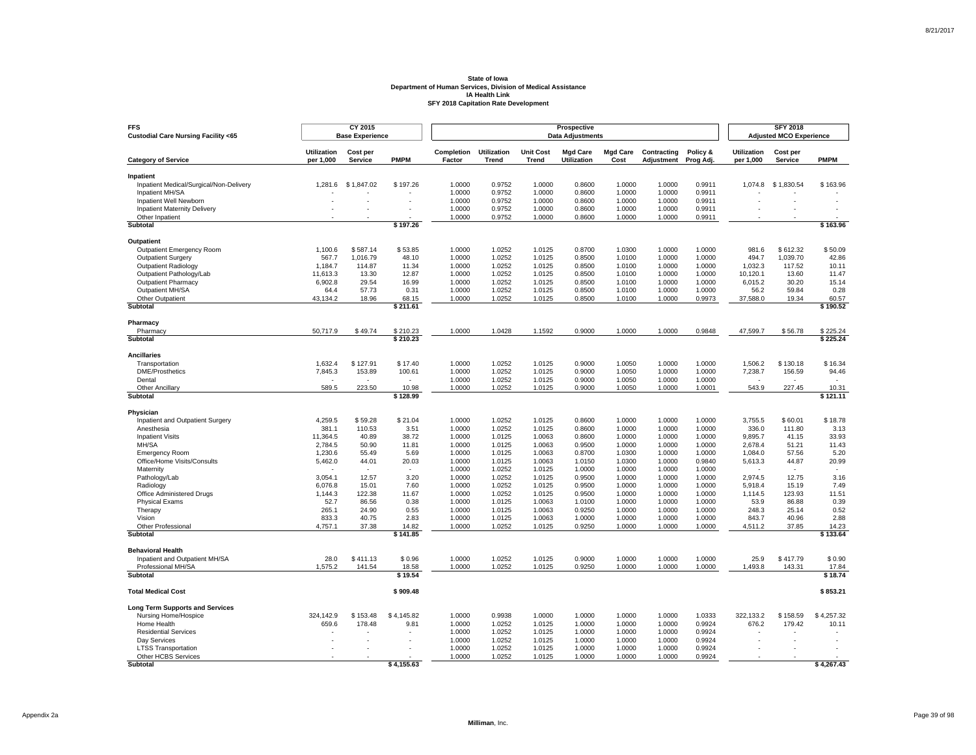| <b>FFS</b><br>Custodial Care Nursing Facility <65 |                                 | CY 2015<br><b>Base Experience</b> |                          |                      |                    |                           | Prospective<br><b>Data Adjustments</b> |                         |                  |                  |                                 | <b>SFY 2018</b><br><b>Adjusted MCO Experience</b> |                   |
|---------------------------------------------------|---------------------------------|-----------------------------------|--------------------------|----------------------|--------------------|---------------------------|----------------------------------------|-------------------------|------------------|------------------|---------------------------------|---------------------------------------------------|-------------------|
|                                                   | <b>Utilization</b><br>per 1,000 | Cost per<br>Service               | <b>PMPM</b>              | Completion<br>Factor | <b>Utilization</b> | <b>Unit Cost</b><br>Trend | <b>Mgd Care</b><br><b>Utilization</b>  | <b>Mgd Care</b><br>Cost | Contracting      | Policy &         | <b>Utilization</b><br>per 1,000 | Cost per<br>Service                               | <b>PMPM</b>       |
| <b>Category of Service</b>                        |                                 |                                   |                          |                      | <b>Trend</b>       |                           |                                        |                         | Adjustment       | Prog Adj.        |                                 |                                                   |                   |
| Inpatient                                         |                                 |                                   |                          |                      |                    |                           |                                        |                         |                  |                  |                                 |                                                   |                   |
| Inpatient Medical/Surgical/Non-Delivery           | 1,281.6                         | \$1,847.02                        | \$197.26                 | 1.0000               | 0.9752             | 1.0000                    | 0.8600                                 | 1.0000                  | 1.0000           | 0.9911           | 1,074.8                         | \$1,830.54                                        | \$163.96          |
| Inpatient MH/SA<br>Inpatient Well Newborn         |                                 | ÷.                                | J.                       | 1.0000<br>1.0000     | 0.9752<br>0.9752   | 1.0000<br>1.0000          | 0.8600<br>0.8600                       | 1.0000<br>1.0000        | 1.0000<br>1.0000 | 0.9911<br>0.9911 | ×.                              |                                                   | ÷.                |
| <b>Inpatient Maternity Delivery</b>               |                                 |                                   | ٠                        | 1.0000               | 0.9752             | 1.0000                    | 0.8600                                 | 1.0000                  | 1.0000           | 0.9911           |                                 |                                                   |                   |
| Other Inpatient                                   |                                 |                                   |                          | 1.0000               | 0.9752             | 1.0000                    | 0.8600                                 | 1.0000                  | 1.0000           | 0.9911           |                                 |                                                   |                   |
| <b>Subtotal</b>                                   |                                 |                                   | \$197.26                 |                      |                    |                           |                                        |                         |                  |                  |                                 |                                                   | \$163.96          |
| Outpatient                                        |                                 |                                   |                          |                      |                    |                           |                                        |                         |                  |                  |                                 |                                                   |                   |
| Outpatient Emergency Room                         | 1,100.6                         | \$587.14                          | \$53.85                  | 1.0000               | 1.0252             | 1.0125                    | 0.8700                                 | 1.0300                  | 1.0000           | 1.0000           | 981.6                           | \$612.32                                          | \$50.09           |
| <b>Outpatient Surgery</b>                         | 567.7                           | 1.016.79                          | 48.10                    | 1.0000               | 1.0252             | 1.0125                    | 0.8500                                 | 1.0100                  | 1.0000           | 1.0000           | 494.7                           | 1.039.70                                          | 42.86             |
| Outpatient Radiology                              | 1,184.7                         | 114.87                            | 11.34                    | 1.0000               | 1.0252             | 1.0125                    | 0.8500                                 | 1.0100                  | 1.0000           | 1.0000           | 1,032.3                         | 117.52                                            | 10.11             |
| Outpatient Pathology/Lab                          | 11,613.3                        | 13.30                             | 12.87                    | 1.0000               | 1.0252             | 1.0125                    | 0.8500                                 | 1.0100                  | 1.0000           | 1.0000           | 10.120.1                        | 13.60                                             | 11.47             |
| <b>Outpatient Pharmacy</b>                        | 6,902.8                         | 29.54                             | 16.99                    | 1.0000               | 1.0252             | 1.0125                    | 0.8500                                 | 1.0100                  | 1.0000           | 1.0000           | 6,015.2                         | 30.20                                             | 15.14             |
| Outpatient MH/SA                                  | 64.4                            | 57.73                             | 0.31                     | 1.0000               | 1.0252             | 1.0125                    | 0.8500                                 | 1.0100                  | 1.0000           | 1.0000           | 56.2                            | 59.84                                             | 0.28              |
| Other Outpatient                                  | 43,134.2                        | 18.96                             | 68.15                    | 1.0000               | 1.0252             | 1.0125                    | 0.8500                                 | 1.0100                  | 1.0000           | 0.9973           | 37,588.0                        | 19.34                                             | 60.57             |
| Subtotal                                          |                                 |                                   | \$211.61                 |                      |                    |                           |                                        |                         |                  |                  |                                 |                                                   | \$190.52          |
| Pharmacy                                          |                                 |                                   |                          |                      |                    |                           |                                        |                         |                  |                  |                                 |                                                   |                   |
| Pharmacy                                          | 50,717.9                        | \$49.74                           | \$210.23                 | 1.0000               | 1.0428             | 1.1592                    | 0.9000                                 | 1.0000                  | 1.0000           | 0.9848           | 47,599.7                        | \$56.78                                           | \$225.24          |
| Subtotal                                          |                                 |                                   | \$210.23                 |                      |                    |                           |                                        |                         |                  |                  |                                 |                                                   | \$225.24          |
| <b>Ancillaries</b>                                |                                 |                                   |                          |                      |                    |                           |                                        |                         |                  |                  |                                 |                                                   |                   |
| Transportation                                    | 1.632.4                         | \$127.91                          | \$17.40                  | 1.0000               | 1.0252             | 1.0125                    | 0.9000                                 | 1.0050                  | 1.0000           | 1.0000           | 1.506.2                         | \$130.18                                          | \$16.34           |
| <b>DME/Prosthetics</b>                            | 7,845.3                         | 153.89                            | 100.61                   | 1.0000               | 1.0252             | 1.0125                    | 0.9000                                 | 1.0050                  | 1.0000           | 1.0000           | 7,238.7                         | 156.59                                            | 94.46             |
| Dental                                            |                                 | ٠                                 | $\overline{\phantom{a}}$ | 1.0000               | 1.0252             | 1.0125                    | 0.9000                                 | 1.0050                  | 1.0000           | 1.0000           |                                 | $\sim$                                            |                   |
| Other Ancillary<br>Subtotal                       | 589.5                           | 223.50                            | 10.98<br>\$128.99        | 1.0000               | 1.0252             | 1.0125                    | 0.9000                                 | 1.0050                  | 1.0000           | 1.0001           | 543.9                           | 227.45                                            | 10.31<br>\$121.11 |
|                                                   |                                 |                                   |                          |                      |                    |                           |                                        |                         |                  |                  |                                 |                                                   |                   |
| Physician<br>Inpatient and Outpatient Surgery     | 4,259.5                         | \$59.28                           | \$21.04                  | 1.0000               | 1.0252             | 1.0125                    | 0.8600                                 | 1.0000                  | 1.0000           | 1.0000           | 3,755.5                         | \$60.01                                           | \$18.78           |
| Anesthesia                                        | 381.1                           | 110.53                            | 3.51                     | 1.0000               | 1.0252             | 1.0125                    | 0.8600                                 | 1.0000                  | 1.0000           | 1.0000           | 336.0                           | 111.80                                            | 3.13              |
| <b>Inpatient Visits</b>                           | 11,364.5                        | 40.89                             | 38.72                    | 1.0000               | 1.0125             | 1.0063                    | 0.8600                                 | 1.0000                  | 1.0000           | 1.0000           | 9,895.7                         | 41.15                                             | 33.93             |
| MH/SA                                             | 2,784.5                         | 50.90                             | 11.81                    | 1.0000               | 1.0125             | 1.0063                    | 0.9500                                 | 1.0000                  | 1.0000           | 1.0000           | 2,678.4                         | 51.21                                             | 11.43             |
| <b>Emergency Room</b>                             | 1,230.6                         | 55.49                             | 5.69                     | 1.0000               | 1.0125             | 1.0063                    | 0.8700                                 | 1.0300                  | 1.0000           | 1.0000           | 1,084.0                         | 57.56                                             | 5.20              |
| Office/Home Visits/Consults                       | 5,462.0                         | 44.01                             | 20.03                    | 1.0000               | 1.0125             | 1.0063                    | 1.0150                                 | 1.0300                  | 1.0000           | 0.9840           | 5,613.3                         | 44.87                                             | 20.99             |
| Maternity                                         |                                 |                                   |                          | 1.0000               | 1.0252             | 1.0125                    | 1.0000                                 | 1.0000                  | 1.0000           | 1.0000           |                                 |                                                   |                   |
| Pathology/Lab                                     | 3,054.1                         | 12.57                             | 3.20                     | 1.0000               | 1.0252             | 1.0125                    | 0.9500                                 | 1.0000                  | 1.0000           | 1.0000           | 2,974.5                         | 12.75                                             | 3.16              |
| Radiology                                         | 6,076.8                         | 15.01                             | 7.60                     | 1.0000               | 1.0252             | 1.0125                    | 0.9500                                 | 1.0000                  | 1.0000           | 1.0000           | 5,918.4                         | 15.19                                             | 7.49              |
| Office Administered Drugs                         | 1,144.3                         | 122.38                            | 11.67                    | 1.0000               | 1.0252             | 1.0125                    | 0.9500                                 | 1.0000                  | 1.0000           | 1.0000           | 1,114.5                         | 123.93                                            | 11.51             |
| <b>Physical Exams</b>                             | 52.7                            | 86.56                             | 0.38                     | 1.0000               | 1.0125             | 1.0063                    | 1.0100                                 | 1.0000                  | 1.0000           | 1.0000           | 53.9                            | 86.88                                             | 0.39              |
| Therapy                                           | 265.1                           | 24.90                             | 0.55                     | 1.0000               | 1.0125             | 1.0063                    | 0.9250                                 | 1.0000                  | 1.0000           | 1.0000           | 248.3                           | 25.14                                             | 0.52              |
| Vision                                            | 833.3                           | 40.75                             | 2.83                     | 1.0000               | 1.0125             | 1.0063                    | 1.0000                                 | 1.0000                  | 1.0000           | 1.0000           | 843.7                           | 40.96                                             | 2.88              |
| Other Professional<br>Subtotal                    | 4,757.1                         | 37.38                             | 14.82<br>\$141.85        | 1.0000               | 1.0252             | 1.0125                    | 0.9250                                 | 1.0000                  | 1.0000           | 1.0000           | 4,511.2                         | 37.85                                             | 14.23<br>\$133.64 |
| <b>Behavioral Health</b>                          |                                 |                                   |                          |                      |                    |                           |                                        |                         |                  |                  |                                 |                                                   |                   |
| Inpatient and Outpatient MH/SA                    | 28.0                            | \$411.13                          | \$0.96                   | 1.0000               | 1.0252             | 1.0125                    | 0.9000                                 | 1.0000                  | 1.0000           | 1.0000           | 25.9                            | \$417.79                                          | \$0.90            |
| Professional MH/SA                                | 1,575.2                         | 141.54                            | 18.58                    | 1.0000               | 1.0252             | 1.0125                    | 0.9250                                 | 1.0000                  | 1.0000           | 1.0000           | 1,493.8                         | 143.31                                            | 17.84             |
| <b>Subtotal</b>                                   |                                 |                                   | \$19.54                  |                      |                    |                           |                                        |                         |                  |                  |                                 |                                                   | \$18.74           |
| <b>Total Medical Cost</b>                         |                                 |                                   | \$909.48                 |                      |                    |                           |                                        |                         |                  |                  |                                 |                                                   | \$853.21          |
| <b>Long Term Supports and Services</b>            |                                 |                                   |                          |                      |                    |                           |                                        |                         |                  |                  |                                 |                                                   |                   |
| Nursing Home/Hospice                              | 324,142.9                       | \$153.48                          | \$4,145.82               | 1.0000               | 0.9938             | 1.0000                    | 1.0000                                 | 1.0000                  | 1.0000           | 1.0333           | 322,133.2                       | \$158.59                                          | \$4,257.32        |
| Home Health                                       | 659.6                           | 178.48                            | 9.81                     | 1.0000               | 1.0252             | 1.0125                    | 1.0000                                 | 1.0000                  | 1.0000           | 0.9924           | 676.2                           | 179.42                                            | 10.11             |
| <b>Residential Services</b>                       |                                 |                                   |                          | 1.0000               | 1.0252             | 1.0125                    | 1.0000                                 | 1.0000                  | 1.0000           | 0.9924           |                                 |                                                   |                   |
| Day Services                                      |                                 | ×.                                |                          | 1.0000               | 1.0252             | 1.0125                    | 1.0000                                 | 1.0000                  | 1.0000           | 0.9924           | ×.                              |                                                   |                   |
| <b>LTSS Transportation</b>                        |                                 |                                   |                          | 1.0000               | 1.0252             | 1.0125                    | 1.0000                                 | 1.0000                  | 1.0000           | 0.9924           |                                 |                                                   |                   |
| Other HCBS Services                               |                                 |                                   |                          | 1.0000               | 1.0252             | 1.0125                    | 1.0000                                 | 1.0000                  | 1.0000           | 0.9924           |                                 |                                                   |                   |
| Subtotal                                          |                                 |                                   | \$4,155.63               |                      |                    |                           |                                        |                         |                  |                  |                                 |                                                   | \$4,267.43        |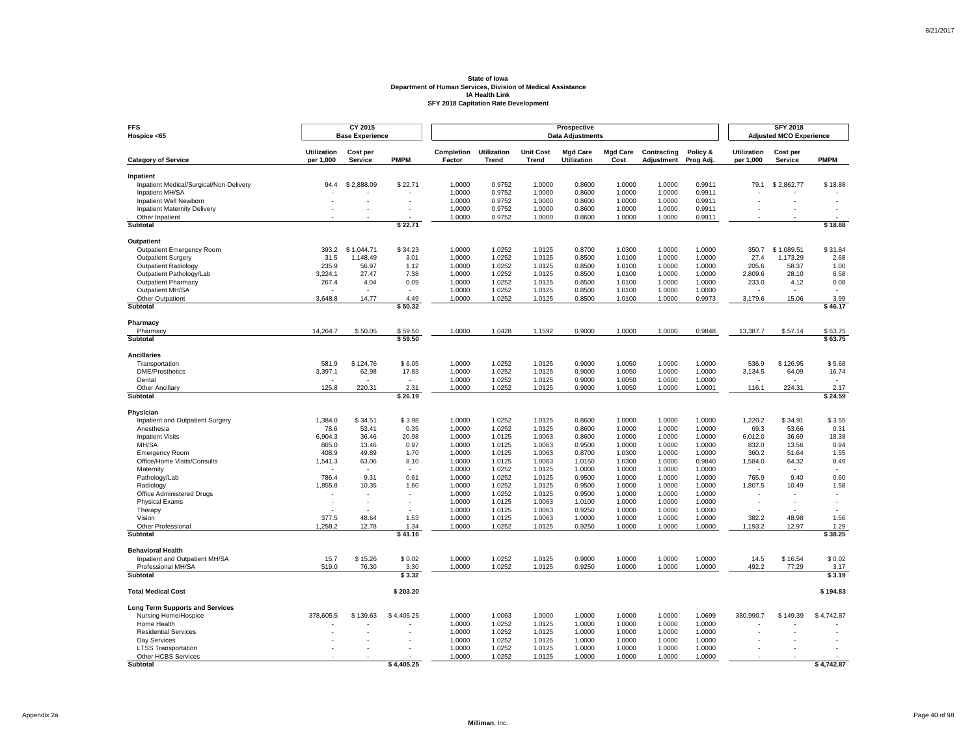| <b>FFS</b><br>Hospice <65                            |                                 | CY 2015<br><b>Base Experience</b> |                          |                             |                             |                           | Prospective<br><b>Data Adjustments</b> |                         |                           |                       |                                 | <b>SFY 2018</b><br><b>Adjusted MCO Experience</b> |                 |
|------------------------------------------------------|---------------------------------|-----------------------------------|--------------------------|-----------------------------|-----------------------------|---------------------------|----------------------------------------|-------------------------|---------------------------|-----------------------|---------------------------------|---------------------------------------------------|-----------------|
| <b>Category of Service</b>                           | <b>Utilization</b><br>per 1,000 | Cost per<br>Service               | <b>PMPM</b>              | <b>Completion</b><br>Factor | <b>Utilization</b><br>Trend | <b>Unit Cost</b><br>Trend | <b>Mad Care</b><br>Utilization         | <b>Mad Care</b><br>Cost | Contracting<br>Adjustment | Policy &<br>Prog Adj. | <b>Utilization</b><br>per 1,000 | Cost per<br>Service                               | <b>PMPM</b>     |
|                                                      |                                 |                                   |                          |                             |                             |                           |                                        |                         |                           |                       |                                 |                                                   |                 |
| Inpatient<br>Inpatient Medical/Surgical/Non-Delivery | 94.4                            | \$2,888.09                        | \$22.71                  | 1.0000                      | 0.9752                      | 1.0000                    | 0.8600                                 | 1.0000                  | 1.0000                    | 0.9911                | 79.1                            | \$2,862.77                                        | \$18.88         |
| Inpatient MH/SA                                      |                                 |                                   |                          | 1.0000                      | 0.9752                      | 1.0000                    | 0.8600                                 | 1.0000                  | 1.0000                    | 0.9911                |                                 |                                                   |                 |
| Inpatient Well Newborn                               |                                 | ٠                                 |                          | 1.0000                      | 0.9752                      | 1.0000                    | 0.8600                                 | 1.0000                  | 1.0000                    | 0.9911                |                                 |                                                   |                 |
| Inpatient Maternity Delivery                         |                                 |                                   |                          | 1.0000                      | 0.9752                      | 1.0000                    | 0.8600                                 | 1.0000                  | 1.0000                    | 0.9911                |                                 |                                                   |                 |
| Other Inpatient                                      |                                 |                                   |                          | 1.0000                      | 0.9752                      | 1.0000                    | 0.8600                                 | 1.0000                  | 1.0000                    | 0.9911                |                                 |                                                   |                 |
| Subtotal                                             |                                 |                                   | \$22.71                  |                             |                             |                           |                                        |                         |                           |                       |                                 |                                                   | \$18.88         |
| Outpatient                                           |                                 |                                   |                          |                             |                             |                           |                                        |                         |                           |                       |                                 |                                                   |                 |
| Outpatient Emergency Room                            |                                 | 393.2 \$1,044.71                  | \$34.23                  | 1.0000                      | 1.0252                      | 1.0125                    | 0.8700                                 | 1.0300                  | 1.0000                    | 1.0000                |                                 | 350.7 \$1,089.51                                  | \$31.84         |
| <b>Outpatient Surgery</b>                            | 31.5                            | 1.148.49                          | 3.01                     | 1.0000                      | 1.0252                      | 1.0125                    | 0.8500                                 | 1.0100                  | 1.0000                    | 1.0000                | 27.4                            | 1.173.29                                          | 2.68            |
| <b>Outpatient Radiology</b>                          | 235.9                           | 56.97                             | 1.12                     | 1.0000                      | 1.0252                      | 1.0125                    | 0.8500                                 | 1.0100                  | 1.0000                    | 1.0000                | 205.6                           | 58.37                                             | 1.00            |
| Outpatient Pathology/Lab                             | 3,224.1                         | 27.47                             | 7.38                     | 1.0000                      | 1.0252                      | 1.0125                    | 0.8500                                 | 1.0100                  | 1.0000                    | 1.0000                | 2,809.6                         | 28.10                                             | 6.58            |
| <b>Outpatient Pharmacy</b>                           | 267.4                           | 4.04                              | 0.09                     | 1.0000                      | 1.0252                      | 1.0125                    | 0.8500                                 | 1.0100                  | 1.0000                    | 1.0000                | 233.0                           | 4.12                                              | 0.08            |
| Outpatient MH/SA                                     |                                 |                                   | $\sim$                   | 1.0000                      | 1.0252                      | 1.0125                    | 0.8500                                 | 1.0100                  | 1.0000                    | 1.0000                |                                 |                                                   | ×.              |
| Other Outpatient<br>Subtotal                         | 3,648.8                         | 14.77                             | 4.49<br>\$50.32          | 1.0000                      | 1.0252                      | 1.0125                    | 0.8500                                 | 1.0100                  | 1.0000                    | 0.9973                | 3,179.6                         | 15.06                                             | 3.99<br>\$46.17 |
|                                                      |                                 |                                   |                          |                             |                             |                           |                                        |                         |                           |                       |                                 |                                                   |                 |
| Pharmacy                                             |                                 |                                   |                          |                             |                             |                           |                                        |                         |                           |                       |                                 |                                                   |                 |
| Pharmacy                                             | 14.264.7                        | \$50.05                           | \$59.50                  | 1.0000                      | 1.0428                      | 1.1592                    | 0.9000                                 | 1.0000                  | 1.0000                    | 0.9848                | 13,387.7                        | \$57.14                                           | \$63.75         |
| Subtotal                                             |                                 |                                   | \$59.50                  |                             |                             |                           |                                        |                         |                           |                       |                                 |                                                   | \$63.75         |
| <b>Ancillaries</b>                                   |                                 |                                   |                          |                             |                             |                           |                                        |                         |                           |                       |                                 |                                                   |                 |
| Transportation                                       | 581.9                           | \$124.76                          | \$6.05                   | 1.0000                      | 1.0252                      | 1.0125                    | 0.9000                                 | 1.0050                  | 1.0000                    | 1.0000                | 536.9                           | \$126.95                                          | \$5.68          |
| <b>DME/Prosthetics</b>                               | 3,397.1                         | 62.98                             | 17.83                    | 1.0000                      | 1.0252                      | 1.0125                    | 0.9000                                 | 1.0050                  | 1.0000                    | 1.0000                | 3,134.5                         | 64.09                                             | 16.74           |
| Dental                                               | $\overline{\phantom{a}}$        |                                   | $\overline{\phantom{a}}$ | 1.0000                      | 1.0252                      | 1.0125                    | 0.9000                                 | 1.0050                  | 1.0000                    | 1.0000                |                                 |                                                   |                 |
| Other Ancillary<br>Subtotal                          | 125.8                           | 220.31                            | 2.31<br>\$26.19          | 1.0000                      | 1.0252                      | 1.0125                    | 0.9000                                 | 1.0050                  | 1.0000                    | 1.0001                | 116.1                           | 224.31                                            | 2.17<br>\$24.59 |
|                                                      |                                 |                                   |                          |                             |                             |                           |                                        |                         |                           |                       |                                 |                                                   |                 |
| Physician                                            |                                 |                                   |                          |                             |                             |                           |                                        |                         |                           |                       |                                 |                                                   |                 |
| Inpatient and Outpatient Surgery                     | 1,384.0                         | \$34.51                           | \$3.98                   | 1.0000                      | 1.0252                      | 1.0125                    | 0.8600                                 | 1.0000                  | 1.0000                    | 1.0000                | 1,220.2                         | \$34.91                                           | \$3.55          |
| Anesthesia                                           | 78.6                            | 53.41                             | 0.35                     | 1.0000                      | 1.0252                      | 1.0125                    | 0.8600                                 | 1.0000                  | 1.0000                    | 1.0000                | 69.3                            | 53.66                                             | 0.31            |
| <b>Inpatient Visits</b><br>MH/SA                     | 6,904.3<br>865.0                | 36.46<br>13.46                    | 20.98<br>0.97            | 1.0000<br>1.0000            | 1.0125<br>1.0125            | 1.0063<br>1.0063          | 0.8600<br>0.9500                       | 1.0000<br>1.0000        | 1.0000<br>1.0000          | 1.0000<br>1.0000      | 6,012.0<br>832.0                | 36.69<br>13.56                                    | 18.38<br>0.94   |
| <b>Emergency Room</b>                                | 408.9                           | 49.89                             | 1.70                     | 1.0000                      | 1.0125                      | 1.0063                    | 0.8700                                 | 1.0300                  | 1.0000                    | 1.0000                | 360.2                           | 51.64                                             | 1.55            |
| Office/Home Visits/Consults                          | 1,541.3                         | 63.06                             | 8.10                     | 1.0000                      | 1.0125                      | 1.0063                    | 1.0150                                 | 1.0300                  | 1.0000                    | 0.9840                | 1,584.0                         | 64.32                                             | 8.49            |
| Maternity                                            |                                 |                                   | $\overline{\phantom{a}}$ | 1.0000                      | 1.0252                      | 1.0125                    | 1.0000                                 | 1.0000                  | 1.0000                    | 1.0000                |                                 |                                                   |                 |
| Pathology/Lab                                        | 786.4                           | 9.31                              | 0.61                     | 1.0000                      | 1.0252                      | 1.0125                    | 0.9500                                 | 1.0000                  | 1.0000                    | 1.0000                | 765.9                           | 9.40                                              | 0.60            |
| Radiology                                            | 1,855.8                         | 10.35                             | 1.60                     | 1.0000                      | 1.0252                      | 1.0125                    | 0.9500                                 | 1.0000                  | 1.0000                    | 1.0000                | 1,807.5                         | 10.49                                             | 1.58            |
| Office Administered Drugs                            |                                 |                                   | $\overline{\phantom{a}}$ | 1.0000                      | 1.0252                      | 1.0125                    | 0.9500                                 | 1.0000                  | 1.0000                    | 1.0000                |                                 |                                                   | ٠               |
| <b>Physical Exams</b>                                |                                 |                                   |                          | 1.0000                      | 1.0125                      | 1.0063                    | 1.0100                                 | 1.0000                  | 1.0000                    | 1.0000                |                                 |                                                   |                 |
| Therapy                                              |                                 |                                   |                          | 1.0000                      | 1.0125                      | 1.0063                    | 0.9250                                 | 1.0000                  | 1.0000                    | 1.0000                |                                 |                                                   |                 |
| Vision                                               | 377.5                           | 48.64                             | 1.53                     | 1.0000                      | 1.0125                      | 1.0063                    | 1.0000                                 | 1.0000                  | 1.0000                    | 1.0000                | 382.2                           | 48.98                                             | 1.56            |
| Other Professional<br><b>Subtotal</b>                | 1,258.2                         | 12.78                             | 1.34<br>\$41.16          | 1.0000                      | 1.0252                      | 1.0125                    | 0.9250                                 | 1.0000                  | 1.0000                    | 1.0000                | 1,193.2                         | 12.97                                             | 1.29<br>\$38.25 |
|                                                      |                                 |                                   |                          |                             |                             |                           |                                        |                         |                           |                       |                                 |                                                   |                 |
| <b>Behavioral Health</b>                             |                                 |                                   |                          |                             |                             |                           |                                        |                         |                           |                       |                                 |                                                   |                 |
| Inpatient and Outpatient MH/SA<br>Professional MH/SA | 15.7<br>519.0                   | \$15.26<br>76.30                  | \$0.02<br>3.30           | 1.0000<br>1.0000            | 1.0252<br>1.0252            | 1.0125<br>1.0125          | 0.9000<br>0.9250                       | 1.0000<br>1.0000        | 1.0000<br>1.0000          | 1.0000<br>1.0000      | 14.5<br>492.2                   | \$16.54<br>77.29                                  | \$0.02<br>3.17  |
| Subtotal                                             |                                 |                                   | \$3.32                   |                             |                             |                           |                                        |                         |                           |                       |                                 |                                                   | \$3.19          |
|                                                      |                                 |                                   |                          |                             |                             |                           |                                        |                         |                           |                       |                                 |                                                   |                 |
| <b>Total Medical Cost</b>                            |                                 |                                   | \$203.20                 |                             |                             |                           |                                        |                         |                           |                       |                                 |                                                   | \$194.83        |
| <b>Long Term Supports and Services</b>               |                                 |                                   |                          |                             |                             |                           |                                        |                         |                           |                       |                                 |                                                   |                 |
| Nursing Home/Hospice                                 | 378,605.5                       | \$139.63                          | \$4,405.25               | 1.0000                      | 1.0063                      | 1.0000                    | 1.0000                                 | 1.0000                  | 1.0000                    | 1.0699                | 380.990.7                       | \$149.39                                          | \$4,742.87      |
| Home Health                                          |                                 |                                   |                          | 1.0000                      | 1.0252                      | 1.0125                    | 1.0000                                 | 1.0000                  | 1.0000                    | 1.0000                |                                 |                                                   |                 |
| <b>Residential Services</b>                          |                                 |                                   |                          | 1.0000                      | 1.0252                      | 1.0125                    | 1.0000                                 | 1.0000                  | 1.0000                    | 1.0000                |                                 |                                                   |                 |
| Day Services                                         |                                 |                                   |                          | 1.0000                      | 1.0252                      | 1.0125                    | 1.0000                                 | 1.0000                  | 1.0000                    | 1.0000                |                                 |                                                   |                 |
| <b>LTSS Transportation</b><br>Other HCBS Services    |                                 |                                   |                          | 1.0000<br>1.0000            | 1.0252<br>1.0252            | 1.0125<br>1.0125          | 1.0000<br>1.0000                       | 1.0000<br>1.0000        | 1.0000<br>1.0000          | 1.0000<br>1.0000      |                                 |                                                   |                 |
| Subtotal                                             |                                 |                                   | \$4.405.25               |                             |                             |                           |                                        |                         |                           |                       |                                 |                                                   | \$4,742.87      |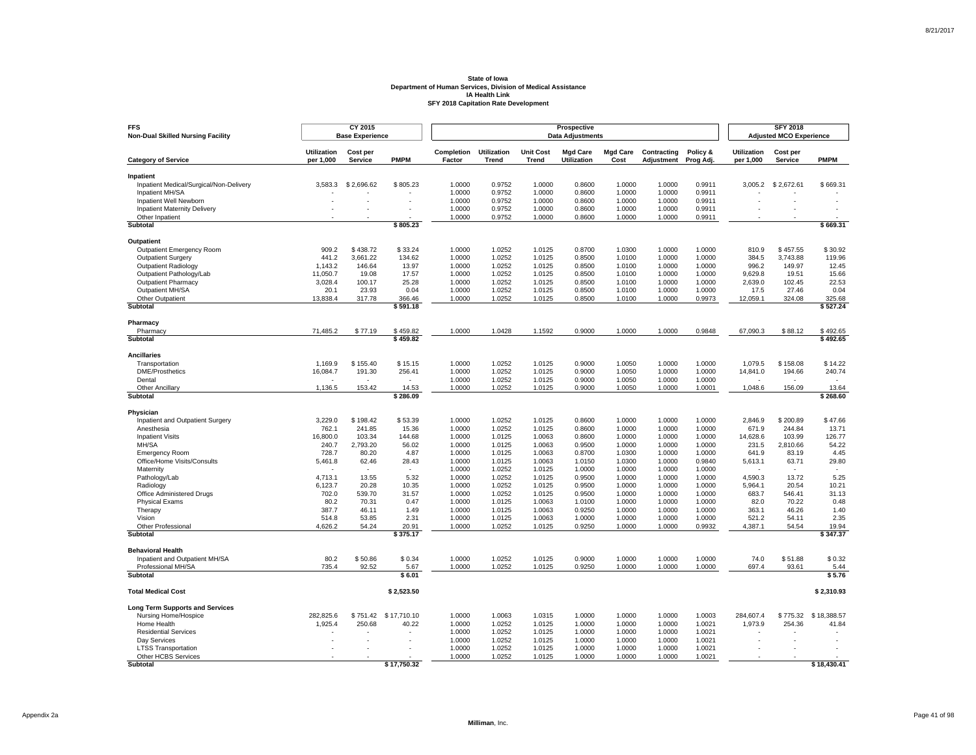| <b>FFS</b><br><b>Non-Dual Skilled Nursing Facility</b>     |                                 | CY 2015<br><b>Base Experience</b> |                          |                      |                             |                                  | Prospective<br><b>Data Adjustments</b> |                         |                           |                       |                                 | <b>SFY 2018</b><br><b>Adjusted MCO Experience</b> |                      |
|------------------------------------------------------------|---------------------------------|-----------------------------------|--------------------------|----------------------|-----------------------------|----------------------------------|----------------------------------------|-------------------------|---------------------------|-----------------------|---------------------------------|---------------------------------------------------|----------------------|
| <b>Category of Service</b>                                 | <b>Utilization</b><br>per 1,000 | Cost per<br>Service               | <b>PMPM</b>              | Completion<br>Factor | <b>Utilization</b><br>Trend | <b>Unit Cost</b><br><b>Trend</b> | <b>Mgd Care</b><br>Utilization         | <b>Mgd Care</b><br>Cost | Contracting<br>Adjustment | Policy &<br>Prog Adj. | <b>Utilization</b><br>per 1,000 | Cost per<br>Service                               | <b>PMPM</b>          |
|                                                            |                                 |                                   |                          |                      |                             |                                  |                                        |                         |                           |                       |                                 |                                                   |                      |
| Inpatient                                                  |                                 |                                   |                          |                      |                             |                                  |                                        |                         |                           |                       |                                 |                                                   |                      |
| Inpatient Medical/Surgical/Non-Delivery<br>Inpatient MH/SA | 3,583.3                         | \$2,696.62                        | \$805.23                 | 1.0000<br>1.0000     | 0.9752<br>0.9752            | 1.0000<br>1.0000                 | 0.8600<br>0.8600                       | 1.0000<br>1.0000        | 1.0000<br>1.0000          | 0.9911<br>0.9911      |                                 | 3,005.2 \$2,672.61                                | \$669.31             |
| Inpatient Well Newborn                                     |                                 | ä,                                |                          | 1.0000               | 0.9752                      | 1.0000                           | 0.8600                                 | 1.0000                  | 1.0000                    | 0.9911                |                                 |                                                   |                      |
| <b>Inpatient Maternity Delivery</b>                        |                                 | ÷                                 |                          | 1.0000               | 0.9752                      | 1.0000                           | 0.8600                                 | 1.0000                  | 1.0000                    | 0.9911                |                                 |                                                   | $\overline{a}$       |
| Other Inpatient                                            |                                 |                                   |                          | 1.0000               | 0.9752                      | 1.0000                           | 0.8600                                 | 1.0000                  | 1.0000                    | 0.9911                |                                 |                                                   |                      |
| <b>Subtotal</b>                                            |                                 |                                   | \$805.23                 |                      |                             |                                  |                                        |                         |                           |                       |                                 |                                                   | \$669.31             |
| Outpatient                                                 |                                 |                                   |                          |                      |                             |                                  |                                        |                         |                           |                       |                                 |                                                   |                      |
| Outpatient Emergency Room                                  | 909.2                           | \$438.72                          | \$33.24                  | 1.0000               | 1.0252                      | 1.0125                           | 0.8700                                 | 1.0300                  | 1.0000                    | 1.0000                | 810.9                           | \$457.55                                          | \$30.92              |
| <b>Outpatient Surgery</b>                                  | 441.2                           | 3.661.22                          | 134.62                   | 1.0000               | 1.0252                      | 1.0125                           | 0.8500                                 | 1.0100                  | 1.0000                    | 1.0000                | 384.5                           | 3.743.88                                          | 119.96               |
| <b>Outpatient Radiology</b>                                | 1,143.2                         | 146.64                            | 13.97                    | 1.0000               | 1.0252                      | 1.0125                           | 0.8500                                 | 1.0100                  | 1.0000                    | 1.0000                | 996.2                           | 149.97                                            | 12.45                |
| Outpatient Pathology/Lab                                   | 11.050.7                        | 19.08                             | 17.57                    | 1.0000               | 1.0252                      | 1.0125                           | 0.8500                                 | 1.0100                  | 1.0000                    | 1.0000                | 9.629.8                         | 19.51                                             | 15.66                |
| <b>Outpatient Pharmacy</b>                                 | 3,028.4                         | 100.17                            | 25.28                    | 1.0000               | 1.0252                      | 1.0125                           | 0.8500                                 | 1.0100                  | 1.0000                    | 1.0000                | 2,639.0                         | 102.45                                            | 22.53                |
| Outpatient MH/SA                                           | 20.1                            | 23.93                             | 0.04                     | 1.0000               | 1.0252                      | 1.0125                           | 0.8500                                 | 1.0100                  | 1.0000                    | 1.0000                | 17.5                            | 27.46                                             | 0.04                 |
| Other Outpatient                                           | 13,838.4                        | 317.78                            | 366.46                   | 1.0000               | 1.0252                      | 1.0125                           | 0.8500                                 | 1.0100                  | 1.0000                    | 0.9973                | 12,059.1                        | 324.08                                            | 325.68               |
| Subtotal                                                   |                                 |                                   | \$591.18                 |                      |                             |                                  |                                        |                         |                           |                       |                                 |                                                   | \$527.24             |
| Pharmacy                                                   |                                 |                                   |                          |                      |                             |                                  |                                        |                         |                           |                       |                                 |                                                   |                      |
| Pharmacy<br>Subtotal                                       | 71,485.2                        | \$77.19                           | \$459.82<br>\$459.82     | 1.0000               | 1.0428                      | 1.1592                           | 0.9000                                 | 1.0000                  | 1.0000                    | 0.9848                | 67,090.3                        | \$88.12                                           | \$492.65<br>\$492.65 |
|                                                            |                                 |                                   |                          |                      |                             |                                  |                                        |                         |                           |                       |                                 |                                                   |                      |
| <b>Ancillaries</b>                                         |                                 |                                   |                          |                      |                             |                                  |                                        |                         |                           |                       |                                 |                                                   |                      |
| Transportation                                             | 1.169.9                         | \$155.40                          | \$15.15                  | 1.0000               | 1.0252                      | 1.0125                           | 0.9000                                 | 1.0050                  | 1.0000                    | 1.0000                | 1.079.5                         | \$158.08                                          | \$14.22              |
| <b>DME/Prosthetics</b>                                     | 16,084.7                        | 191.30                            | 256.41                   | 1.0000               | 1.0252                      | 1.0125                           | 0.9000                                 | 1.0050                  | 1.0000                    | 1.0000                | 14,841.0                        | 194.66                                            | 240.74               |
| Dental                                                     |                                 |                                   | $\overline{\phantom{a}}$ | 1.0000               | 1.0252                      | 1.0125                           | 0.9000                                 | 1.0050                  | 1.0000                    | 1.0000                |                                 |                                                   |                      |
| Other Ancillary<br>Subtotal                                | 1,136.5                         | 153.42                            | 14.53<br>\$286.09        | 1.0000               | 1.0252                      | 1.0125                           | 0.9000                                 | 1.0050                  | 1.0000                    | 1.0001                | 1,048.6                         | 156.09                                            | 13.64<br>\$268.60    |
|                                                            |                                 |                                   |                          |                      |                             |                                  |                                        |                         |                           |                       |                                 |                                                   |                      |
| Physician                                                  |                                 |                                   |                          |                      |                             |                                  |                                        |                         |                           |                       |                                 |                                                   |                      |
| Inpatient and Outpatient Surgery<br>Anesthesia             | 3,229.0<br>762.1                | \$198.42<br>241.85                | \$53.39<br>15.36         | 1.0000<br>1.0000     | 1.0252<br>1.0252            | 1.0125<br>1.0125                 | 0.8600<br>0.8600                       | 1.0000<br>1.0000        | 1.0000<br>1.0000          | 1.0000<br>1.0000      | 2,846.9<br>671.9                | \$200.89<br>244.84                                | \$47.66<br>13.71     |
| <b>Inpatient Visits</b>                                    | 16.800.0                        | 103.34                            | 144.68                   | 1.0000               | 1.0125                      | 1.0063                           | 0.8600                                 | 1.0000                  | 1.0000                    | 1.0000                | 14,628.6                        | 103.99                                            | 126.77               |
| MH/SA                                                      | 240.7                           | 2,793.20                          | 56.02                    | 1.0000               | 1.0125                      | 1.0063                           | 0.9500                                 | 1.0000                  | 1.0000                    | 1.0000                | 231.5                           | 2,810.66                                          | 54.22                |
| <b>Emergency Room</b>                                      | 728.7                           | 80.20                             | 4.87                     | 1.0000               | 1.0125                      | 1.0063                           | 0.8700                                 | 1.0300                  | 1.0000                    | 1.0000                | 641.9                           | 83.19                                             | 4.45                 |
| Office/Home Visits/Consults                                | 5,461.8                         | 62.46                             | 28.43                    | 1.0000               | 1.0125                      | 1.0063                           | 1.0150                                 | 1.0300                  | 1.0000                    | 0.9840                | 5,613.1                         | 63.71                                             | 29.80                |
| Maternity                                                  |                                 |                                   |                          | 1.0000               | 1.0252                      | 1.0125                           | 1.0000                                 | 1.0000                  | 1.0000                    | 1.0000                |                                 |                                                   |                      |
| Pathology/Lab                                              | 4,713.1                         | 13.55                             | 5.32                     | 1.0000               | 1.0252                      | 1.0125                           | 0.9500                                 | 1.0000                  | 1.0000                    | 1.0000                | 4,590.3                         | 13.72                                             | 5.25                 |
| Radiology                                                  | 6,123.7                         | 20.28                             | 10.35                    | 1.0000               | 1.0252                      | 1.0125                           | 0.9500                                 | 1.0000                  | 1.0000                    | 1.0000                | 5,964.1                         | 20.54                                             | 10.21                |
| Office Administered Drugs                                  | 702.0                           | 539.70                            | 31.57                    | 1.0000               | 1.0252                      | 1.0125                           | 0.9500                                 | 1.0000                  | 1.0000                    | 1.0000                | 683.7                           | 546.41                                            | 31.13                |
| <b>Physical Exams</b>                                      | 80.2                            | 70.31                             | 0.47                     | 1.0000               | 1.0125                      | 1.0063                           | 1.0100                                 | 1.0000                  | 1.0000                    | 1.0000                | 82.0                            | 70.22                                             | 0.48                 |
| Therapy                                                    | 387.7                           | 46.11                             | 1.49                     | 1.0000               | 1.0125                      | 1.0063                           | 0.9250                                 | 1.0000                  | 1.0000                    | 1.0000                | 363.1                           | 46.26                                             | 1.40                 |
| Vision                                                     | 514.8                           | 53.85                             | 2.31                     | 1.0000               | 1.0125                      | 1.0063                           | 1.0000                                 | 1.0000                  | 1.0000                    | 1.0000                | 521.2                           | 54.11                                             | 2.35                 |
| Other Professional<br>Subtotal                             | 4,626.2                         | 54.24                             | 20.91<br>\$375.17        | 1.0000               | 1.0252                      | 1.0125                           | 0.9250                                 | 1.0000                  | 1.0000                    | 0.9932                | 4,387.1                         | 54.54                                             | 19.94<br>\$347.37    |
|                                                            |                                 |                                   |                          |                      |                             |                                  |                                        |                         |                           |                       |                                 |                                                   |                      |
| <b>Behavioral Health</b>                                   |                                 |                                   |                          |                      |                             |                                  |                                        |                         |                           |                       |                                 |                                                   |                      |
| Inpatient and Outpatient MH/SA<br>Professional MH/SA       | 80.2<br>735.4                   | \$50.86<br>92.52                  | \$0.34<br>5.67           | 1.0000<br>1.0000     | 1.0252<br>1.0252            | 1.0125<br>1.0125                 | 0.9000<br>0.9250                       | 1.0000<br>1.0000        | 1.0000<br>1.0000          | 1.0000<br>1.0000      | 74.0<br>697.4                   | \$51.88<br>93.61                                  | \$0.32<br>5.44       |
| <b>Subtotal</b>                                            |                                 |                                   | \$6.01                   |                      |                             |                                  |                                        |                         |                           |                       |                                 |                                                   | \$5.76               |
|                                                            |                                 |                                   |                          |                      |                             |                                  |                                        |                         |                           |                       |                                 |                                                   |                      |
| <b>Total Medical Cost</b>                                  |                                 |                                   | \$2,523.50               |                      |                             |                                  |                                        |                         |                           |                       |                                 |                                                   | \$2,310.93           |
| <b>Long Term Supports and Services</b>                     |                                 |                                   |                          |                      |                             |                                  |                                        |                         |                           |                       |                                 |                                                   |                      |
| Nursing Home/Hospice                                       | 282,825.6                       | \$751.42                          | \$17,710.10              | 1.0000               | 1.0063                      | 1.0315                           | 1.0000                                 | 1.0000                  | 1.0000                    | 1.0003                | 284,607.4                       | \$775.32                                          | \$18,388.57          |
| Home Health                                                | 1,925.4                         | 250.68                            | 40.22                    | 1.0000               | 1.0252                      | 1.0125                           | 1.0000                                 | 1.0000                  | 1.0000                    | 1.0021                | 1,973.9                         | 254.36                                            | 41.84                |
| <b>Residential Services</b>                                |                                 |                                   |                          | 1.0000               | 1.0252                      | 1.0125                           | 1.0000                                 | 1.0000                  | 1.0000                    | 1.0021                |                                 |                                                   |                      |
| Day Services                                               |                                 |                                   |                          | 1.0000<br>1.0000     | 1.0252<br>1.0252            | 1.0125                           | 1.0000                                 | 1.0000<br>1.0000        | 1.0000                    | 1.0021<br>1.0021      |                                 |                                                   |                      |
| <b>LTSS Transportation</b><br>Other HCBS Services          |                                 |                                   |                          | 1.0000               | 1.0252                      | 1.0125<br>1.0125                 | 1.0000<br>1.0000                       | 1.0000                  | 1.0000<br>1.0000          | 1.0021                |                                 |                                                   |                      |
| Subtotal                                                   |                                 |                                   | \$17,750.32              |                      |                             |                                  |                                        |                         |                           |                       |                                 |                                                   | \$18,430.41          |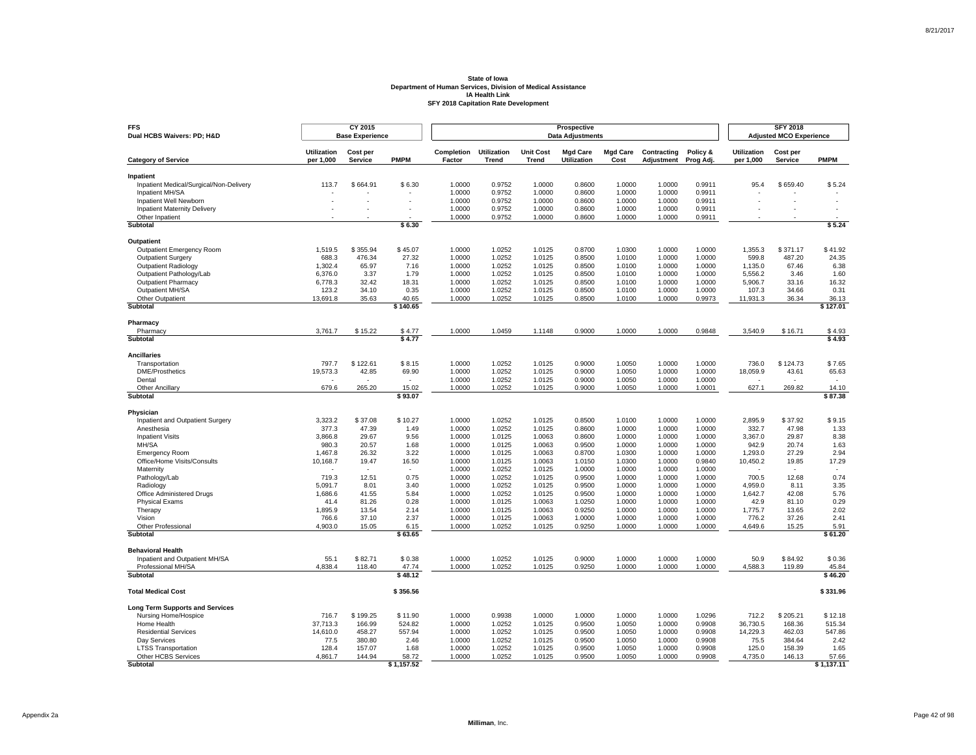| <b>Utilization</b><br>Cost per<br>Completion<br><b>Utilization</b><br><b>Unit Cost</b><br><b>Mgd Care</b><br><b>Mgd Care</b><br>Contracting<br>Policy &<br><b>Utilization</b><br>Cost per<br><b>PMPM</b><br><b>PMPM</b><br>per 1,000<br>Service<br>Factor<br><b>Trend</b><br>Trend<br><b>Utilization</b><br>Cost<br>per 1,000<br>Service<br><b>Category of Service</b><br>Adjustment<br>Prog Adj.<br>Inpatient<br>Inpatient Medical/Surgical/Non-Delivery<br>113.7<br>\$664.91<br>\$6.30<br>1.0000<br>0.9752<br>1.0000<br>0.8600<br>1.0000<br>1.0000<br>0.9911<br>95.4<br>\$659.40<br>\$5.24<br>1.0000<br>0.9752<br>1.0000<br>0.8600<br>1.0000<br>1.0000<br>0.9911<br>Inpatient MH/SA<br>1.0000<br>0.9911<br>Inpatient Well Newborn<br>1.0000<br>0.9752<br>1.0000<br>0.8600<br>1.0000<br>÷,<br>ä,<br>÷,<br>ä,<br>ä,<br><b>Inpatient Maternity Delivery</b><br>1.0000<br>0.9752<br>1.0000<br>0.8600<br>1.0000<br>1.0000<br>0.9911<br>÷<br>٠<br>٠<br>Other Inpatient<br>1.0000<br>0.9752<br>1.0000<br>0.8600<br>1.0000<br>1.0000<br>0.9911<br>\$5.24<br><b>Subtotal</b><br>\$6.30<br>Outpatient<br>\$45.07<br>1.0000<br>1.0252<br>0.8700<br>1.0300<br>1.0000<br>\$41.92<br>Outpatient Emergency Room<br>1,519.5<br>\$355.94<br>1.0125<br>1.0000<br>1,355.3<br>\$371.17<br>27.32<br>24.35<br><b>Outpatient Surgery</b><br>688.3<br>476.34<br>1.0000<br>1.0252<br>1.0125<br>0.8500<br>1.0100<br>1.0000<br>1.0000<br>599.8<br>487.20<br>6.38<br>65.97<br>7.16<br>1.0000<br>1.0252<br>1.0125<br>0.8500<br>1.0100<br>1.0000<br>1.0000<br><b>Outpatient Radiology</b><br>1,302.4<br>1,135.0<br>67.46<br>Outpatient Pathology/Lab<br>6,376.0<br>3.37<br>1.79<br>1.0000<br>1.0252<br>1.0125<br>0.8500<br>1.0100<br>1.0000<br>1.0000<br>5,556.2<br>1.60<br>3.46<br><b>Outpatient Pharmacy</b><br>32.42<br>18.31<br>1.0000<br>1.0252<br>1.0125<br>0.8500<br>1.0100<br>1.0000<br>1.0000<br>5,906.7<br>33.16<br>16.32<br>6,778.3<br>Outpatient MH/SA<br>123.2<br>34.10<br>0.35<br>1.0000<br>1.0252<br>1.0125<br>0.8500<br>1.0100<br>1.0000<br>1.0000<br>107.3<br>34.66<br>0.31<br>1.0000<br>1.0252<br>1.0125<br>0.8500<br>1.0100<br>1.0000<br>0.9973<br>11,931.3<br>Other Outpatient<br>13,691.8<br>35.63<br>40.65<br>36.34<br>36.13<br>Subtotal<br>\$140.65<br>\$127.01<br>Pharmacy<br>1.0000<br>1.0459<br>1.0000<br>0.9848<br>3,540.9<br>Pharmacy<br>3,761.7<br>\$15.22<br>\$4.77<br>1.1148<br>0.9000<br>1.0000<br>\$16.71<br>\$4.93<br>\$4.93<br>\$4.77<br>Subtotal<br><b>Ancillaries</b><br>797.7<br>\$122.61<br>\$8.15<br>1.0000<br>1.0252<br>1.0125<br>0.9000<br>1.0050<br>1.0000<br>1.0000<br>736.0<br>\$124.73<br>\$7.65<br>Transportation<br><b>DME/Prosthetics</b><br>19,573.3<br>42.85<br>69.90<br>1.0000<br>1.0252<br>1.0125<br>0.9000<br>1.0050<br>1.0000<br>1.0000<br>18,059.9<br>43.61<br>65.63<br>1.0000<br>1.0252<br>1.0125<br>0.9000<br>1.0050<br>1.0000<br>1.0000<br>Dental<br>$\overline{\phantom{a}}$<br>$\sim$<br>679.6<br>265.20<br>15.02<br>1.0000<br>1.0252<br>1.0125<br>0.9000<br>1.0050<br>1.0000<br>1.0001<br>627.1<br>269.82<br>Other Ancillary<br>14.10<br>Subtotal<br>\$93.07<br>\$87.38<br>Physician<br>Inpatient and Outpatient Surgery<br>3,323.2<br>\$37.08<br>\$10.27<br>1.0000<br>1.0252<br>1.0125<br>0.8500<br>1.0100<br>1.0000<br>1.0000<br>2,895.9<br>\$37.92<br>\$9.15<br>Anesthesia<br>377.3<br>47.39<br>1.49<br>1.0000<br>1.0252<br>1.0125<br>0.8600<br>1.0000<br>1.0000<br>1.0000<br>332.7<br>47.98<br>1.33<br><b>Inpatient Visits</b><br>3,866.8<br>29.67<br>9.56<br>1.0000<br>1.0125<br>1.0063<br>0.8600<br>1.0000<br>1.0000<br>1.0000<br>3,367.0<br>29.87<br>8.38<br>MH/SA<br>1.0000<br>942.9<br>1.63<br>980.3<br>20.57<br>1.68<br>1.0125<br>1.0063<br>0.9500<br>1.0000<br>1.0000<br>1.0000<br>20.74<br>3.22<br>1.0000<br>0.8700<br>1,293.0<br>2.94<br><b>Emergency Room</b><br>1,467.8<br>26.32<br>1.0125<br>1.0063<br>1.0300<br>1.0000<br>1.0000<br>27.29<br>16.50<br>17.29<br>Office/Home Visits/Consults<br>10,168.7<br>19.47<br>1.0000<br>1.0125<br>1.0063<br>1.0150<br>1.0300<br>1.0000<br>0.9840<br>10,450.2<br>19.85<br>1.0000<br>1.0252<br>1.0125<br>1.0000<br>1.0000<br>1.0000<br>1.0000<br>Maternity<br>$\overline{\phantom{a}}$<br>0.74<br>719.3<br>12.51<br>0.75<br>1.0000<br>1.0252<br>1.0125<br>0.9500<br>1.0000<br>1.0000<br>1.0000<br>700.5<br>12.68<br>Pathology/Lab<br>Radiology<br>5,091.7<br>8.01<br>3.40<br>1.0000<br>1.0252<br>1.0125<br>0.9500<br>1.0000<br>1.0000<br>1.0000<br>4,959.0<br>8.11<br>3.35<br>1,686.6<br>1.0000<br>1.0252<br>1.0125<br>0.9500<br>1.0000<br>1,642.7<br>42.08<br>5.76<br>Office Administered Drugs<br>41.55<br>5.84<br>1.0000<br>1.0000<br>Physical Exams<br>41.4<br>81.26<br>0.28<br>1.0000<br>1.0125<br>1.0063<br>1.0250<br>1.0000<br>1.0000<br>1.0000<br>42.9<br>81.10<br>0.29<br>1,895.9<br>13.54<br>2.14<br>1.0000<br>1.0125<br>1.0063<br>0.9250<br>1.0000<br>1.0000<br>1.0000<br>1,775.7<br>13.65<br>2.02<br>Therapy<br>2.37<br>2.41<br>Vision<br>766.6<br>37.10<br>1.0000<br>1.0125<br>1.0063<br>1.0000<br>1.0000<br>1.0000<br>1.0000<br>776.2<br>37.26<br>1.0252<br>0.9250<br>4,649.6<br>Other Professional<br>4,903.0<br>15.05<br>6.15<br>1.0000<br>1.0125<br>1.0000<br>1.0000<br>1.0000<br>15.25<br>5.91<br>\$61.20<br>\$63.65<br>Subtotal<br><b>Behavioral Health</b><br>\$82.71<br>\$0.38<br>1.0000<br>1.0252<br>0.9000<br>1.0000<br>1.0000<br>1.0000<br>50.9<br>\$84.92<br>\$0.36<br>Inpatient and Outpatient MH/SA<br>55.1<br>1.0125<br>1.0000<br>1.0252<br>0.9250<br>1.0000<br>1.0000<br>1.0000<br>Professional MH/SA<br>4,838.4<br>118.40<br>47.74<br>1.0125<br>4,588.3<br>119.89<br>45.84<br><b>Subtotal</b><br>\$48.12<br>\$46.20<br>\$356.56<br>\$331.96<br><b>Total Medical Cost</b><br><b>Long Term Supports and Services</b><br>Nursing Home/Hospice<br>716.7<br>\$199.25<br>\$11.90<br>1.0000<br>0.9938<br>1.0000<br>1.0000<br>1.0000<br>1.0000<br>1.0296<br>712.2<br>\$205.21<br>\$12.18<br>515.34<br>Home Health<br>37,713.3<br>166.99<br>524.82<br>1.0000<br>1.0252<br>1.0125<br>0.9500<br>1.0050<br>1.0000<br>0.9908<br>36,730.5<br>168.36<br><b>Residential Services</b><br>14,610.0<br>458.27<br>557.94<br>1.0000<br>1.0252<br>1.0125<br>0.9500<br>1.0050<br>1.0000<br>0.9908<br>14,229.3<br>462.03<br>547.86<br>2.46<br>1.0000<br>1.0252<br>0.9500<br>1.0050<br>1.0000<br>0.9908<br>75.5<br>384.64<br>2.42<br>Day Services<br>77.5<br>380.80<br>1.0125<br>128.4<br>157.07<br>1.68<br>1.0000<br>1.0252<br>1.0125<br>0.9500<br>1.0050<br>1.0000<br>0.9908<br>125.0<br>158.39<br>1.65<br><b>LTSS Transportation</b><br>Other HCBS Services<br>4,861.7<br>144.94<br>58.72<br>1.0000<br>1.0252<br>1.0125<br>0.9500<br>1.0050<br>1.0000<br>0.9908<br>4,735.0<br>146.13<br>57.66<br>Subtotal<br>\$1,157.52<br>\$1,137.11 | <b>FFS</b><br>Dual HCBS Waivers: PD; H&D | CY 2015<br><b>Base Experience</b> |  |  | Prospective<br><b>Data Adjustments</b> |  |  | <b>SFY 2018</b><br><b>Adjusted MCO Experience</b> |  |
|-------------------------------------------------------------------------------------------------------------------------------------------------------------------------------------------------------------------------------------------------------------------------------------------------------------------------------------------------------------------------------------------------------------------------------------------------------------------------------------------------------------------------------------------------------------------------------------------------------------------------------------------------------------------------------------------------------------------------------------------------------------------------------------------------------------------------------------------------------------------------------------------------------------------------------------------------------------------------------------------------------------------------------------------------------------------------------------------------------------------------------------------------------------------------------------------------------------------------------------------------------------------------------------------------------------------------------------------------------------------------------------------------------------------------------------------------------------------------------------------------------------------------------------------------------------------------------------------------------------------------------------------------------------------------------------------------------------------------------------------------------------------------------------------------------------------------------------------------------------------------------------------------------------------------------------------------------------------------------------------------------------------------------------------------------------------------------------------------------------------------------------------------------------------------------------------------------------------------------------------------------------------------------------------------------------------------------------------------------------------------------------------------------------------------------------------------------------------------------------------------------------------------------------------------------------------------------------------------------------------------------------------------------------------------------------------------------------------------------------------------------------------------------------------------------------------------------------------------------------------------------------------------------------------------------------------------------------------------------------------------------------------------------------------------------------------------------------------------------------------------------------------------------------------------------------------------------------------------------------------------------------------------------------------------------------------------------------------------------------------------------------------------------------------------------------------------------------------------------------------------------------------------------------------------------------------------------------------------------------------------------------------------------------------------------------------------------------------------------------------------------------------------------------------------------------------------------------------------------------------------------------------------------------------------------------------------------------------------------------------------------------------------------------------------------------------------------------------------------------------------------------------------------------------------------------------------------------------------------------------------------------------------------------------------------------------------------------------------------------------------------------------------------------------------------------------------------------------------------------------------------------------------------------------------------------------------------------------------------------------------------------------------------------------------------------------------------------------------------------------------------------------------------------------------------------------------------------------------------------------------------------------------------------------------------------------------------------------------------------------------------------------------------------------------------------------------------------------------------------------------------------------------------------------------------------------------------------------------------------------------------------------------------------------------------------------------------------------------------------------------------------------------------------------------------------------------------------------------------------------------------------------------------------------------------------------------------------------------------------------------------------------------------------------------------------------------------------------------------------------------------------------------------------------------------------------------------------------------------------------------------------------------------------------------------------------------------------------------------------------------------------------------------------------------------------------------------------------------------------------------------------------------------------------------------------------------------------------------------------------------------------------------------------------------------------------------------------------------------------------------------------------------------------------------------------------------------------------------------------------------------------------------------------------------------------------------------------------------------------------------------------------------------------------------------------------------------------------------------------|------------------------------------------|-----------------------------------|--|--|----------------------------------------|--|--|---------------------------------------------------|--|
|                                                                                                                                                                                                                                                                                                                                                                                                                                                                                                                                                                                                                                                                                                                                                                                                                                                                                                                                                                                                                                                                                                                                                                                                                                                                                                                                                                                                                                                                                                                                                                                                                                                                                                                                                                                                                                                                                                                                                                                                                                                                                                                                                                                                                                                                                                                                                                                                                                                                                                                                                                                                                                                                                                                                                                                                                                                                                                                                                                                                                                                                                                                                                                                                                                                                                                                                                                                                                                                                                                                                                                                                                                                                                                                                                                                                                                                                                                                                                                                                                                                                                                                                                                                                                                                                                                                                                                                                                                                                                                                                                                                                                                                                                                                                                                                                                                                                                                                                                                                                                                                                                                                                                                                                                                                                                                                                                                                                                                                                                                                                                                                                                                                                                                                                                                                                                                                                                                                                                                                                                                                                                                                                                                                                                                                                                                                                                                                                                                                                                                                                                                                                                                                                                                                                     |                                          |                                   |  |  |                                        |  |  |                                                   |  |
|                                                                                                                                                                                                                                                                                                                                                                                                                                                                                                                                                                                                                                                                                                                                                                                                                                                                                                                                                                                                                                                                                                                                                                                                                                                                                                                                                                                                                                                                                                                                                                                                                                                                                                                                                                                                                                                                                                                                                                                                                                                                                                                                                                                                                                                                                                                                                                                                                                                                                                                                                                                                                                                                                                                                                                                                                                                                                                                                                                                                                                                                                                                                                                                                                                                                                                                                                                                                                                                                                                                                                                                                                                                                                                                                                                                                                                                                                                                                                                                                                                                                                                                                                                                                                                                                                                                                                                                                                                                                                                                                                                                                                                                                                                                                                                                                                                                                                                                                                                                                                                                                                                                                                                                                                                                                                                                                                                                                                                                                                                                                                                                                                                                                                                                                                                                                                                                                                                                                                                                                                                                                                                                                                                                                                                                                                                                                                                                                                                                                                                                                                                                                                                                                                                                                     |                                          |                                   |  |  |                                        |  |  |                                                   |  |
|                                                                                                                                                                                                                                                                                                                                                                                                                                                                                                                                                                                                                                                                                                                                                                                                                                                                                                                                                                                                                                                                                                                                                                                                                                                                                                                                                                                                                                                                                                                                                                                                                                                                                                                                                                                                                                                                                                                                                                                                                                                                                                                                                                                                                                                                                                                                                                                                                                                                                                                                                                                                                                                                                                                                                                                                                                                                                                                                                                                                                                                                                                                                                                                                                                                                                                                                                                                                                                                                                                                                                                                                                                                                                                                                                                                                                                                                                                                                                                                                                                                                                                                                                                                                                                                                                                                                                                                                                                                                                                                                                                                                                                                                                                                                                                                                                                                                                                                                                                                                                                                                                                                                                                                                                                                                                                                                                                                                                                                                                                                                                                                                                                                                                                                                                                                                                                                                                                                                                                                                                                                                                                                                                                                                                                                                                                                                                                                                                                                                                                                                                                                                                                                                                                                                     |                                          |                                   |  |  |                                        |  |  |                                                   |  |
|                                                                                                                                                                                                                                                                                                                                                                                                                                                                                                                                                                                                                                                                                                                                                                                                                                                                                                                                                                                                                                                                                                                                                                                                                                                                                                                                                                                                                                                                                                                                                                                                                                                                                                                                                                                                                                                                                                                                                                                                                                                                                                                                                                                                                                                                                                                                                                                                                                                                                                                                                                                                                                                                                                                                                                                                                                                                                                                                                                                                                                                                                                                                                                                                                                                                                                                                                                                                                                                                                                                                                                                                                                                                                                                                                                                                                                                                                                                                                                                                                                                                                                                                                                                                                                                                                                                                                                                                                                                                                                                                                                                                                                                                                                                                                                                                                                                                                                                                                                                                                                                                                                                                                                                                                                                                                                                                                                                                                                                                                                                                                                                                                                                                                                                                                                                                                                                                                                                                                                                                                                                                                                                                                                                                                                                                                                                                                                                                                                                                                                                                                                                                                                                                                                                                     |                                          |                                   |  |  |                                        |  |  |                                                   |  |
|                                                                                                                                                                                                                                                                                                                                                                                                                                                                                                                                                                                                                                                                                                                                                                                                                                                                                                                                                                                                                                                                                                                                                                                                                                                                                                                                                                                                                                                                                                                                                                                                                                                                                                                                                                                                                                                                                                                                                                                                                                                                                                                                                                                                                                                                                                                                                                                                                                                                                                                                                                                                                                                                                                                                                                                                                                                                                                                                                                                                                                                                                                                                                                                                                                                                                                                                                                                                                                                                                                                                                                                                                                                                                                                                                                                                                                                                                                                                                                                                                                                                                                                                                                                                                                                                                                                                                                                                                                                                                                                                                                                                                                                                                                                                                                                                                                                                                                                                                                                                                                                                                                                                                                                                                                                                                                                                                                                                                                                                                                                                                                                                                                                                                                                                                                                                                                                                                                                                                                                                                                                                                                                                                                                                                                                                                                                                                                                                                                                                                                                                                                                                                                                                                                                                     |                                          |                                   |  |  |                                        |  |  |                                                   |  |
|                                                                                                                                                                                                                                                                                                                                                                                                                                                                                                                                                                                                                                                                                                                                                                                                                                                                                                                                                                                                                                                                                                                                                                                                                                                                                                                                                                                                                                                                                                                                                                                                                                                                                                                                                                                                                                                                                                                                                                                                                                                                                                                                                                                                                                                                                                                                                                                                                                                                                                                                                                                                                                                                                                                                                                                                                                                                                                                                                                                                                                                                                                                                                                                                                                                                                                                                                                                                                                                                                                                                                                                                                                                                                                                                                                                                                                                                                                                                                                                                                                                                                                                                                                                                                                                                                                                                                                                                                                                                                                                                                                                                                                                                                                                                                                                                                                                                                                                                                                                                                                                                                                                                                                                                                                                                                                                                                                                                                                                                                                                                                                                                                                                                                                                                                                                                                                                                                                                                                                                                                                                                                                                                                                                                                                                                                                                                                                                                                                                                                                                                                                                                                                                                                                                                     |                                          |                                   |  |  |                                        |  |  |                                                   |  |
|                                                                                                                                                                                                                                                                                                                                                                                                                                                                                                                                                                                                                                                                                                                                                                                                                                                                                                                                                                                                                                                                                                                                                                                                                                                                                                                                                                                                                                                                                                                                                                                                                                                                                                                                                                                                                                                                                                                                                                                                                                                                                                                                                                                                                                                                                                                                                                                                                                                                                                                                                                                                                                                                                                                                                                                                                                                                                                                                                                                                                                                                                                                                                                                                                                                                                                                                                                                                                                                                                                                                                                                                                                                                                                                                                                                                                                                                                                                                                                                                                                                                                                                                                                                                                                                                                                                                                                                                                                                                                                                                                                                                                                                                                                                                                                                                                                                                                                                                                                                                                                                                                                                                                                                                                                                                                                                                                                                                                                                                                                                                                                                                                                                                                                                                                                                                                                                                                                                                                                                                                                                                                                                                                                                                                                                                                                                                                                                                                                                                                                                                                                                                                                                                                                                                     |                                          |                                   |  |  |                                        |  |  |                                                   |  |
|                                                                                                                                                                                                                                                                                                                                                                                                                                                                                                                                                                                                                                                                                                                                                                                                                                                                                                                                                                                                                                                                                                                                                                                                                                                                                                                                                                                                                                                                                                                                                                                                                                                                                                                                                                                                                                                                                                                                                                                                                                                                                                                                                                                                                                                                                                                                                                                                                                                                                                                                                                                                                                                                                                                                                                                                                                                                                                                                                                                                                                                                                                                                                                                                                                                                                                                                                                                                                                                                                                                                                                                                                                                                                                                                                                                                                                                                                                                                                                                                                                                                                                                                                                                                                                                                                                                                                                                                                                                                                                                                                                                                                                                                                                                                                                                                                                                                                                                                                                                                                                                                                                                                                                                                                                                                                                                                                                                                                                                                                                                                                                                                                                                                                                                                                                                                                                                                                                                                                                                                                                                                                                                                                                                                                                                                                                                                                                                                                                                                                                                                                                                                                                                                                                                                     |                                          |                                   |  |  |                                        |  |  |                                                   |  |
|                                                                                                                                                                                                                                                                                                                                                                                                                                                                                                                                                                                                                                                                                                                                                                                                                                                                                                                                                                                                                                                                                                                                                                                                                                                                                                                                                                                                                                                                                                                                                                                                                                                                                                                                                                                                                                                                                                                                                                                                                                                                                                                                                                                                                                                                                                                                                                                                                                                                                                                                                                                                                                                                                                                                                                                                                                                                                                                                                                                                                                                                                                                                                                                                                                                                                                                                                                                                                                                                                                                                                                                                                                                                                                                                                                                                                                                                                                                                                                                                                                                                                                                                                                                                                                                                                                                                                                                                                                                                                                                                                                                                                                                                                                                                                                                                                                                                                                                                                                                                                                                                                                                                                                                                                                                                                                                                                                                                                                                                                                                                                                                                                                                                                                                                                                                                                                                                                                                                                                                                                                                                                                                                                                                                                                                                                                                                                                                                                                                                                                                                                                                                                                                                                                                                     |                                          |                                   |  |  |                                        |  |  |                                                   |  |
|                                                                                                                                                                                                                                                                                                                                                                                                                                                                                                                                                                                                                                                                                                                                                                                                                                                                                                                                                                                                                                                                                                                                                                                                                                                                                                                                                                                                                                                                                                                                                                                                                                                                                                                                                                                                                                                                                                                                                                                                                                                                                                                                                                                                                                                                                                                                                                                                                                                                                                                                                                                                                                                                                                                                                                                                                                                                                                                                                                                                                                                                                                                                                                                                                                                                                                                                                                                                                                                                                                                                                                                                                                                                                                                                                                                                                                                                                                                                                                                                                                                                                                                                                                                                                                                                                                                                                                                                                                                                                                                                                                                                                                                                                                                                                                                                                                                                                                                                                                                                                                                                                                                                                                                                                                                                                                                                                                                                                                                                                                                                                                                                                                                                                                                                                                                                                                                                                                                                                                                                                                                                                                                                                                                                                                                                                                                                                                                                                                                                                                                                                                                                                                                                                                                                     |                                          |                                   |  |  |                                        |  |  |                                                   |  |
|                                                                                                                                                                                                                                                                                                                                                                                                                                                                                                                                                                                                                                                                                                                                                                                                                                                                                                                                                                                                                                                                                                                                                                                                                                                                                                                                                                                                                                                                                                                                                                                                                                                                                                                                                                                                                                                                                                                                                                                                                                                                                                                                                                                                                                                                                                                                                                                                                                                                                                                                                                                                                                                                                                                                                                                                                                                                                                                                                                                                                                                                                                                                                                                                                                                                                                                                                                                                                                                                                                                                                                                                                                                                                                                                                                                                                                                                                                                                                                                                                                                                                                                                                                                                                                                                                                                                                                                                                                                                                                                                                                                                                                                                                                                                                                                                                                                                                                                                                                                                                                                                                                                                                                                                                                                                                                                                                                                                                                                                                                                                                                                                                                                                                                                                                                                                                                                                                                                                                                                                                                                                                                                                                                                                                                                                                                                                                                                                                                                                                                                                                                                                                                                                                                                                     |                                          |                                   |  |  |                                        |  |  |                                                   |  |
|                                                                                                                                                                                                                                                                                                                                                                                                                                                                                                                                                                                                                                                                                                                                                                                                                                                                                                                                                                                                                                                                                                                                                                                                                                                                                                                                                                                                                                                                                                                                                                                                                                                                                                                                                                                                                                                                                                                                                                                                                                                                                                                                                                                                                                                                                                                                                                                                                                                                                                                                                                                                                                                                                                                                                                                                                                                                                                                                                                                                                                                                                                                                                                                                                                                                                                                                                                                                                                                                                                                                                                                                                                                                                                                                                                                                                                                                                                                                                                                                                                                                                                                                                                                                                                                                                                                                                                                                                                                                                                                                                                                                                                                                                                                                                                                                                                                                                                                                                                                                                                                                                                                                                                                                                                                                                                                                                                                                                                                                                                                                                                                                                                                                                                                                                                                                                                                                                                                                                                                                                                                                                                                                                                                                                                                                                                                                                                                                                                                                                                                                                                                                                                                                                                                                     |                                          |                                   |  |  |                                        |  |  |                                                   |  |
|                                                                                                                                                                                                                                                                                                                                                                                                                                                                                                                                                                                                                                                                                                                                                                                                                                                                                                                                                                                                                                                                                                                                                                                                                                                                                                                                                                                                                                                                                                                                                                                                                                                                                                                                                                                                                                                                                                                                                                                                                                                                                                                                                                                                                                                                                                                                                                                                                                                                                                                                                                                                                                                                                                                                                                                                                                                                                                                                                                                                                                                                                                                                                                                                                                                                                                                                                                                                                                                                                                                                                                                                                                                                                                                                                                                                                                                                                                                                                                                                                                                                                                                                                                                                                                                                                                                                                                                                                                                                                                                                                                                                                                                                                                                                                                                                                                                                                                                                                                                                                                                                                                                                                                                                                                                                                                                                                                                                                                                                                                                                                                                                                                                                                                                                                                                                                                                                                                                                                                                                                                                                                                                                                                                                                                                                                                                                                                                                                                                                                                                                                                                                                                                                                                                                     |                                          |                                   |  |  |                                        |  |  |                                                   |  |
|                                                                                                                                                                                                                                                                                                                                                                                                                                                                                                                                                                                                                                                                                                                                                                                                                                                                                                                                                                                                                                                                                                                                                                                                                                                                                                                                                                                                                                                                                                                                                                                                                                                                                                                                                                                                                                                                                                                                                                                                                                                                                                                                                                                                                                                                                                                                                                                                                                                                                                                                                                                                                                                                                                                                                                                                                                                                                                                                                                                                                                                                                                                                                                                                                                                                                                                                                                                                                                                                                                                                                                                                                                                                                                                                                                                                                                                                                                                                                                                                                                                                                                                                                                                                                                                                                                                                                                                                                                                                                                                                                                                                                                                                                                                                                                                                                                                                                                                                                                                                                                                                                                                                                                                                                                                                                                                                                                                                                                                                                                                                                                                                                                                                                                                                                                                                                                                                                                                                                                                                                                                                                                                                                                                                                                                                                                                                                                                                                                                                                                                                                                                                                                                                                                                                     |                                          |                                   |  |  |                                        |  |  |                                                   |  |
|                                                                                                                                                                                                                                                                                                                                                                                                                                                                                                                                                                                                                                                                                                                                                                                                                                                                                                                                                                                                                                                                                                                                                                                                                                                                                                                                                                                                                                                                                                                                                                                                                                                                                                                                                                                                                                                                                                                                                                                                                                                                                                                                                                                                                                                                                                                                                                                                                                                                                                                                                                                                                                                                                                                                                                                                                                                                                                                                                                                                                                                                                                                                                                                                                                                                                                                                                                                                                                                                                                                                                                                                                                                                                                                                                                                                                                                                                                                                                                                                                                                                                                                                                                                                                                                                                                                                                                                                                                                                                                                                                                                                                                                                                                                                                                                                                                                                                                                                                                                                                                                                                                                                                                                                                                                                                                                                                                                                                                                                                                                                                                                                                                                                                                                                                                                                                                                                                                                                                                                                                                                                                                                                                                                                                                                                                                                                                                                                                                                                                                                                                                                                                                                                                                                                     |                                          |                                   |  |  |                                        |  |  |                                                   |  |
|                                                                                                                                                                                                                                                                                                                                                                                                                                                                                                                                                                                                                                                                                                                                                                                                                                                                                                                                                                                                                                                                                                                                                                                                                                                                                                                                                                                                                                                                                                                                                                                                                                                                                                                                                                                                                                                                                                                                                                                                                                                                                                                                                                                                                                                                                                                                                                                                                                                                                                                                                                                                                                                                                                                                                                                                                                                                                                                                                                                                                                                                                                                                                                                                                                                                                                                                                                                                                                                                                                                                                                                                                                                                                                                                                                                                                                                                                                                                                                                                                                                                                                                                                                                                                                                                                                                                                                                                                                                                                                                                                                                                                                                                                                                                                                                                                                                                                                                                                                                                                                                                                                                                                                                                                                                                                                                                                                                                                                                                                                                                                                                                                                                                                                                                                                                                                                                                                                                                                                                                                                                                                                                                                                                                                                                                                                                                                                                                                                                                                                                                                                                                                                                                                                                                     |                                          |                                   |  |  |                                        |  |  |                                                   |  |
|                                                                                                                                                                                                                                                                                                                                                                                                                                                                                                                                                                                                                                                                                                                                                                                                                                                                                                                                                                                                                                                                                                                                                                                                                                                                                                                                                                                                                                                                                                                                                                                                                                                                                                                                                                                                                                                                                                                                                                                                                                                                                                                                                                                                                                                                                                                                                                                                                                                                                                                                                                                                                                                                                                                                                                                                                                                                                                                                                                                                                                                                                                                                                                                                                                                                                                                                                                                                                                                                                                                                                                                                                                                                                                                                                                                                                                                                                                                                                                                                                                                                                                                                                                                                                                                                                                                                                                                                                                                                                                                                                                                                                                                                                                                                                                                                                                                                                                                                                                                                                                                                                                                                                                                                                                                                                                                                                                                                                                                                                                                                                                                                                                                                                                                                                                                                                                                                                                                                                                                                                                                                                                                                                                                                                                                                                                                                                                                                                                                                                                                                                                                                                                                                                                                                     |                                          |                                   |  |  |                                        |  |  |                                                   |  |
|                                                                                                                                                                                                                                                                                                                                                                                                                                                                                                                                                                                                                                                                                                                                                                                                                                                                                                                                                                                                                                                                                                                                                                                                                                                                                                                                                                                                                                                                                                                                                                                                                                                                                                                                                                                                                                                                                                                                                                                                                                                                                                                                                                                                                                                                                                                                                                                                                                                                                                                                                                                                                                                                                                                                                                                                                                                                                                                                                                                                                                                                                                                                                                                                                                                                                                                                                                                                                                                                                                                                                                                                                                                                                                                                                                                                                                                                                                                                                                                                                                                                                                                                                                                                                                                                                                                                                                                                                                                                                                                                                                                                                                                                                                                                                                                                                                                                                                                                                                                                                                                                                                                                                                                                                                                                                                                                                                                                                                                                                                                                                                                                                                                                                                                                                                                                                                                                                                                                                                                                                                                                                                                                                                                                                                                                                                                                                                                                                                                                                                                                                                                                                                                                                                                                     |                                          |                                   |  |  |                                        |  |  |                                                   |  |
|                                                                                                                                                                                                                                                                                                                                                                                                                                                                                                                                                                                                                                                                                                                                                                                                                                                                                                                                                                                                                                                                                                                                                                                                                                                                                                                                                                                                                                                                                                                                                                                                                                                                                                                                                                                                                                                                                                                                                                                                                                                                                                                                                                                                                                                                                                                                                                                                                                                                                                                                                                                                                                                                                                                                                                                                                                                                                                                                                                                                                                                                                                                                                                                                                                                                                                                                                                                                                                                                                                                                                                                                                                                                                                                                                                                                                                                                                                                                                                                                                                                                                                                                                                                                                                                                                                                                                                                                                                                                                                                                                                                                                                                                                                                                                                                                                                                                                                                                                                                                                                                                                                                                                                                                                                                                                                                                                                                                                                                                                                                                                                                                                                                                                                                                                                                                                                                                                                                                                                                                                                                                                                                                                                                                                                                                                                                                                                                                                                                                                                                                                                                                                                                                                                                                     |                                          |                                   |  |  |                                        |  |  |                                                   |  |
|                                                                                                                                                                                                                                                                                                                                                                                                                                                                                                                                                                                                                                                                                                                                                                                                                                                                                                                                                                                                                                                                                                                                                                                                                                                                                                                                                                                                                                                                                                                                                                                                                                                                                                                                                                                                                                                                                                                                                                                                                                                                                                                                                                                                                                                                                                                                                                                                                                                                                                                                                                                                                                                                                                                                                                                                                                                                                                                                                                                                                                                                                                                                                                                                                                                                                                                                                                                                                                                                                                                                                                                                                                                                                                                                                                                                                                                                                                                                                                                                                                                                                                                                                                                                                                                                                                                                                                                                                                                                                                                                                                                                                                                                                                                                                                                                                                                                                                                                                                                                                                                                                                                                                                                                                                                                                                                                                                                                                                                                                                                                                                                                                                                                                                                                                                                                                                                                                                                                                                                                                                                                                                                                                                                                                                                                                                                                                                                                                                                                                                                                                                                                                                                                                                                                     |                                          |                                   |  |  |                                        |  |  |                                                   |  |
|                                                                                                                                                                                                                                                                                                                                                                                                                                                                                                                                                                                                                                                                                                                                                                                                                                                                                                                                                                                                                                                                                                                                                                                                                                                                                                                                                                                                                                                                                                                                                                                                                                                                                                                                                                                                                                                                                                                                                                                                                                                                                                                                                                                                                                                                                                                                                                                                                                                                                                                                                                                                                                                                                                                                                                                                                                                                                                                                                                                                                                                                                                                                                                                                                                                                                                                                                                                                                                                                                                                                                                                                                                                                                                                                                                                                                                                                                                                                                                                                                                                                                                                                                                                                                                                                                                                                                                                                                                                                                                                                                                                                                                                                                                                                                                                                                                                                                                                                                                                                                                                                                                                                                                                                                                                                                                                                                                                                                                                                                                                                                                                                                                                                                                                                                                                                                                                                                                                                                                                                                                                                                                                                                                                                                                                                                                                                                                                                                                                                                                                                                                                                                                                                                                                                     |                                          |                                   |  |  |                                        |  |  |                                                   |  |
|                                                                                                                                                                                                                                                                                                                                                                                                                                                                                                                                                                                                                                                                                                                                                                                                                                                                                                                                                                                                                                                                                                                                                                                                                                                                                                                                                                                                                                                                                                                                                                                                                                                                                                                                                                                                                                                                                                                                                                                                                                                                                                                                                                                                                                                                                                                                                                                                                                                                                                                                                                                                                                                                                                                                                                                                                                                                                                                                                                                                                                                                                                                                                                                                                                                                                                                                                                                                                                                                                                                                                                                                                                                                                                                                                                                                                                                                                                                                                                                                                                                                                                                                                                                                                                                                                                                                                                                                                                                                                                                                                                                                                                                                                                                                                                                                                                                                                                                                                                                                                                                                                                                                                                                                                                                                                                                                                                                                                                                                                                                                                                                                                                                                                                                                                                                                                                                                                                                                                                                                                                                                                                                                                                                                                                                                                                                                                                                                                                                                                                                                                                                                                                                                                                                                     |                                          |                                   |  |  |                                        |  |  |                                                   |  |
|                                                                                                                                                                                                                                                                                                                                                                                                                                                                                                                                                                                                                                                                                                                                                                                                                                                                                                                                                                                                                                                                                                                                                                                                                                                                                                                                                                                                                                                                                                                                                                                                                                                                                                                                                                                                                                                                                                                                                                                                                                                                                                                                                                                                                                                                                                                                                                                                                                                                                                                                                                                                                                                                                                                                                                                                                                                                                                                                                                                                                                                                                                                                                                                                                                                                                                                                                                                                                                                                                                                                                                                                                                                                                                                                                                                                                                                                                                                                                                                                                                                                                                                                                                                                                                                                                                                                                                                                                                                                                                                                                                                                                                                                                                                                                                                                                                                                                                                                                                                                                                                                                                                                                                                                                                                                                                                                                                                                                                                                                                                                                                                                                                                                                                                                                                                                                                                                                                                                                                                                                                                                                                                                                                                                                                                                                                                                                                                                                                                                                                                                                                                                                                                                                                                                     |                                          |                                   |  |  |                                        |  |  |                                                   |  |
|                                                                                                                                                                                                                                                                                                                                                                                                                                                                                                                                                                                                                                                                                                                                                                                                                                                                                                                                                                                                                                                                                                                                                                                                                                                                                                                                                                                                                                                                                                                                                                                                                                                                                                                                                                                                                                                                                                                                                                                                                                                                                                                                                                                                                                                                                                                                                                                                                                                                                                                                                                                                                                                                                                                                                                                                                                                                                                                                                                                                                                                                                                                                                                                                                                                                                                                                                                                                                                                                                                                                                                                                                                                                                                                                                                                                                                                                                                                                                                                                                                                                                                                                                                                                                                                                                                                                                                                                                                                                                                                                                                                                                                                                                                                                                                                                                                                                                                                                                                                                                                                                                                                                                                                                                                                                                                                                                                                                                                                                                                                                                                                                                                                                                                                                                                                                                                                                                                                                                                                                                                                                                                                                                                                                                                                                                                                                                                                                                                                                                                                                                                                                                                                                                                                                     |                                          |                                   |  |  |                                        |  |  |                                                   |  |
|                                                                                                                                                                                                                                                                                                                                                                                                                                                                                                                                                                                                                                                                                                                                                                                                                                                                                                                                                                                                                                                                                                                                                                                                                                                                                                                                                                                                                                                                                                                                                                                                                                                                                                                                                                                                                                                                                                                                                                                                                                                                                                                                                                                                                                                                                                                                                                                                                                                                                                                                                                                                                                                                                                                                                                                                                                                                                                                                                                                                                                                                                                                                                                                                                                                                                                                                                                                                                                                                                                                                                                                                                                                                                                                                                                                                                                                                                                                                                                                                                                                                                                                                                                                                                                                                                                                                                                                                                                                                                                                                                                                                                                                                                                                                                                                                                                                                                                                                                                                                                                                                                                                                                                                                                                                                                                                                                                                                                                                                                                                                                                                                                                                                                                                                                                                                                                                                                                                                                                                                                                                                                                                                                                                                                                                                                                                                                                                                                                                                                                                                                                                                                                                                                                                                     |                                          |                                   |  |  |                                        |  |  |                                                   |  |
|                                                                                                                                                                                                                                                                                                                                                                                                                                                                                                                                                                                                                                                                                                                                                                                                                                                                                                                                                                                                                                                                                                                                                                                                                                                                                                                                                                                                                                                                                                                                                                                                                                                                                                                                                                                                                                                                                                                                                                                                                                                                                                                                                                                                                                                                                                                                                                                                                                                                                                                                                                                                                                                                                                                                                                                                                                                                                                                                                                                                                                                                                                                                                                                                                                                                                                                                                                                                                                                                                                                                                                                                                                                                                                                                                                                                                                                                                                                                                                                                                                                                                                                                                                                                                                                                                                                                                                                                                                                                                                                                                                                                                                                                                                                                                                                                                                                                                                                                                                                                                                                                                                                                                                                                                                                                                                                                                                                                                                                                                                                                                                                                                                                                                                                                                                                                                                                                                                                                                                                                                                                                                                                                                                                                                                                                                                                                                                                                                                                                                                                                                                                                                                                                                                                                     |                                          |                                   |  |  |                                        |  |  |                                                   |  |
|                                                                                                                                                                                                                                                                                                                                                                                                                                                                                                                                                                                                                                                                                                                                                                                                                                                                                                                                                                                                                                                                                                                                                                                                                                                                                                                                                                                                                                                                                                                                                                                                                                                                                                                                                                                                                                                                                                                                                                                                                                                                                                                                                                                                                                                                                                                                                                                                                                                                                                                                                                                                                                                                                                                                                                                                                                                                                                                                                                                                                                                                                                                                                                                                                                                                                                                                                                                                                                                                                                                                                                                                                                                                                                                                                                                                                                                                                                                                                                                                                                                                                                                                                                                                                                                                                                                                                                                                                                                                                                                                                                                                                                                                                                                                                                                                                                                                                                                                                                                                                                                                                                                                                                                                                                                                                                                                                                                                                                                                                                                                                                                                                                                                                                                                                                                                                                                                                                                                                                                                                                                                                                                                                                                                                                                                                                                                                                                                                                                                                                                                                                                                                                                                                                                                     |                                          |                                   |  |  |                                        |  |  |                                                   |  |
|                                                                                                                                                                                                                                                                                                                                                                                                                                                                                                                                                                                                                                                                                                                                                                                                                                                                                                                                                                                                                                                                                                                                                                                                                                                                                                                                                                                                                                                                                                                                                                                                                                                                                                                                                                                                                                                                                                                                                                                                                                                                                                                                                                                                                                                                                                                                                                                                                                                                                                                                                                                                                                                                                                                                                                                                                                                                                                                                                                                                                                                                                                                                                                                                                                                                                                                                                                                                                                                                                                                                                                                                                                                                                                                                                                                                                                                                                                                                                                                                                                                                                                                                                                                                                                                                                                                                                                                                                                                                                                                                                                                                                                                                                                                                                                                                                                                                                                                                                                                                                                                                                                                                                                                                                                                                                                                                                                                                                                                                                                                                                                                                                                                                                                                                                                                                                                                                                                                                                                                                                                                                                                                                                                                                                                                                                                                                                                                                                                                                                                                                                                                                                                                                                                                                     |                                          |                                   |  |  |                                        |  |  |                                                   |  |
|                                                                                                                                                                                                                                                                                                                                                                                                                                                                                                                                                                                                                                                                                                                                                                                                                                                                                                                                                                                                                                                                                                                                                                                                                                                                                                                                                                                                                                                                                                                                                                                                                                                                                                                                                                                                                                                                                                                                                                                                                                                                                                                                                                                                                                                                                                                                                                                                                                                                                                                                                                                                                                                                                                                                                                                                                                                                                                                                                                                                                                                                                                                                                                                                                                                                                                                                                                                                                                                                                                                                                                                                                                                                                                                                                                                                                                                                                                                                                                                                                                                                                                                                                                                                                                                                                                                                                                                                                                                                                                                                                                                                                                                                                                                                                                                                                                                                                                                                                                                                                                                                                                                                                                                                                                                                                                                                                                                                                                                                                                                                                                                                                                                                                                                                                                                                                                                                                                                                                                                                                                                                                                                                                                                                                                                                                                                                                                                                                                                                                                                                                                                                                                                                                                                                     |                                          |                                   |  |  |                                        |  |  |                                                   |  |
|                                                                                                                                                                                                                                                                                                                                                                                                                                                                                                                                                                                                                                                                                                                                                                                                                                                                                                                                                                                                                                                                                                                                                                                                                                                                                                                                                                                                                                                                                                                                                                                                                                                                                                                                                                                                                                                                                                                                                                                                                                                                                                                                                                                                                                                                                                                                                                                                                                                                                                                                                                                                                                                                                                                                                                                                                                                                                                                                                                                                                                                                                                                                                                                                                                                                                                                                                                                                                                                                                                                                                                                                                                                                                                                                                                                                                                                                                                                                                                                                                                                                                                                                                                                                                                                                                                                                                                                                                                                                                                                                                                                                                                                                                                                                                                                                                                                                                                                                                                                                                                                                                                                                                                                                                                                                                                                                                                                                                                                                                                                                                                                                                                                                                                                                                                                                                                                                                                                                                                                                                                                                                                                                                                                                                                                                                                                                                                                                                                                                                                                                                                                                                                                                                                                                     |                                          |                                   |  |  |                                        |  |  |                                                   |  |
|                                                                                                                                                                                                                                                                                                                                                                                                                                                                                                                                                                                                                                                                                                                                                                                                                                                                                                                                                                                                                                                                                                                                                                                                                                                                                                                                                                                                                                                                                                                                                                                                                                                                                                                                                                                                                                                                                                                                                                                                                                                                                                                                                                                                                                                                                                                                                                                                                                                                                                                                                                                                                                                                                                                                                                                                                                                                                                                                                                                                                                                                                                                                                                                                                                                                                                                                                                                                                                                                                                                                                                                                                                                                                                                                                                                                                                                                                                                                                                                                                                                                                                                                                                                                                                                                                                                                                                                                                                                                                                                                                                                                                                                                                                                                                                                                                                                                                                                                                                                                                                                                                                                                                                                                                                                                                                                                                                                                                                                                                                                                                                                                                                                                                                                                                                                                                                                                                                                                                                                                                                                                                                                                                                                                                                                                                                                                                                                                                                                                                                                                                                                                                                                                                                                                     |                                          |                                   |  |  |                                        |  |  |                                                   |  |
|                                                                                                                                                                                                                                                                                                                                                                                                                                                                                                                                                                                                                                                                                                                                                                                                                                                                                                                                                                                                                                                                                                                                                                                                                                                                                                                                                                                                                                                                                                                                                                                                                                                                                                                                                                                                                                                                                                                                                                                                                                                                                                                                                                                                                                                                                                                                                                                                                                                                                                                                                                                                                                                                                                                                                                                                                                                                                                                                                                                                                                                                                                                                                                                                                                                                                                                                                                                                                                                                                                                                                                                                                                                                                                                                                                                                                                                                                                                                                                                                                                                                                                                                                                                                                                                                                                                                                                                                                                                                                                                                                                                                                                                                                                                                                                                                                                                                                                                                                                                                                                                                                                                                                                                                                                                                                                                                                                                                                                                                                                                                                                                                                                                                                                                                                                                                                                                                                                                                                                                                                                                                                                                                                                                                                                                                                                                                                                                                                                                                                                                                                                                                                                                                                                                                     |                                          |                                   |  |  |                                        |  |  |                                                   |  |
|                                                                                                                                                                                                                                                                                                                                                                                                                                                                                                                                                                                                                                                                                                                                                                                                                                                                                                                                                                                                                                                                                                                                                                                                                                                                                                                                                                                                                                                                                                                                                                                                                                                                                                                                                                                                                                                                                                                                                                                                                                                                                                                                                                                                                                                                                                                                                                                                                                                                                                                                                                                                                                                                                                                                                                                                                                                                                                                                                                                                                                                                                                                                                                                                                                                                                                                                                                                                                                                                                                                                                                                                                                                                                                                                                                                                                                                                                                                                                                                                                                                                                                                                                                                                                                                                                                                                                                                                                                                                                                                                                                                                                                                                                                                                                                                                                                                                                                                                                                                                                                                                                                                                                                                                                                                                                                                                                                                                                                                                                                                                                                                                                                                                                                                                                                                                                                                                                                                                                                                                                                                                                                                                                                                                                                                                                                                                                                                                                                                                                                                                                                                                                                                                                                                                     |                                          |                                   |  |  |                                        |  |  |                                                   |  |
|                                                                                                                                                                                                                                                                                                                                                                                                                                                                                                                                                                                                                                                                                                                                                                                                                                                                                                                                                                                                                                                                                                                                                                                                                                                                                                                                                                                                                                                                                                                                                                                                                                                                                                                                                                                                                                                                                                                                                                                                                                                                                                                                                                                                                                                                                                                                                                                                                                                                                                                                                                                                                                                                                                                                                                                                                                                                                                                                                                                                                                                                                                                                                                                                                                                                                                                                                                                                                                                                                                                                                                                                                                                                                                                                                                                                                                                                                                                                                                                                                                                                                                                                                                                                                                                                                                                                                                                                                                                                                                                                                                                                                                                                                                                                                                                                                                                                                                                                                                                                                                                                                                                                                                                                                                                                                                                                                                                                                                                                                                                                                                                                                                                                                                                                                                                                                                                                                                                                                                                                                                                                                                                                                                                                                                                                                                                                                                                                                                                                                                                                                                                                                                                                                                                                     |                                          |                                   |  |  |                                        |  |  |                                                   |  |
|                                                                                                                                                                                                                                                                                                                                                                                                                                                                                                                                                                                                                                                                                                                                                                                                                                                                                                                                                                                                                                                                                                                                                                                                                                                                                                                                                                                                                                                                                                                                                                                                                                                                                                                                                                                                                                                                                                                                                                                                                                                                                                                                                                                                                                                                                                                                                                                                                                                                                                                                                                                                                                                                                                                                                                                                                                                                                                                                                                                                                                                                                                                                                                                                                                                                                                                                                                                                                                                                                                                                                                                                                                                                                                                                                                                                                                                                                                                                                                                                                                                                                                                                                                                                                                                                                                                                                                                                                                                                                                                                                                                                                                                                                                                                                                                                                                                                                                                                                                                                                                                                                                                                                                                                                                                                                                                                                                                                                                                                                                                                                                                                                                                                                                                                                                                                                                                                                                                                                                                                                                                                                                                                                                                                                                                                                                                                                                                                                                                                                                                                                                                                                                                                                                                                     |                                          |                                   |  |  |                                        |  |  |                                                   |  |
|                                                                                                                                                                                                                                                                                                                                                                                                                                                                                                                                                                                                                                                                                                                                                                                                                                                                                                                                                                                                                                                                                                                                                                                                                                                                                                                                                                                                                                                                                                                                                                                                                                                                                                                                                                                                                                                                                                                                                                                                                                                                                                                                                                                                                                                                                                                                                                                                                                                                                                                                                                                                                                                                                                                                                                                                                                                                                                                                                                                                                                                                                                                                                                                                                                                                                                                                                                                                                                                                                                                                                                                                                                                                                                                                                                                                                                                                                                                                                                                                                                                                                                                                                                                                                                                                                                                                                                                                                                                                                                                                                                                                                                                                                                                                                                                                                                                                                                                                                                                                                                                                                                                                                                                                                                                                                                                                                                                                                                                                                                                                                                                                                                                                                                                                                                                                                                                                                                                                                                                                                                                                                                                                                                                                                                                                                                                                                                                                                                                                                                                                                                                                                                                                                                                                     |                                          |                                   |  |  |                                        |  |  |                                                   |  |
|                                                                                                                                                                                                                                                                                                                                                                                                                                                                                                                                                                                                                                                                                                                                                                                                                                                                                                                                                                                                                                                                                                                                                                                                                                                                                                                                                                                                                                                                                                                                                                                                                                                                                                                                                                                                                                                                                                                                                                                                                                                                                                                                                                                                                                                                                                                                                                                                                                                                                                                                                                                                                                                                                                                                                                                                                                                                                                                                                                                                                                                                                                                                                                                                                                                                                                                                                                                                                                                                                                                                                                                                                                                                                                                                                                                                                                                                                                                                                                                                                                                                                                                                                                                                                                                                                                                                                                                                                                                                                                                                                                                                                                                                                                                                                                                                                                                                                                                                                                                                                                                                                                                                                                                                                                                                                                                                                                                                                                                                                                                                                                                                                                                                                                                                                                                                                                                                                                                                                                                                                                                                                                                                                                                                                                                                                                                                                                                                                                                                                                                                                                                                                                                                                                                                     |                                          |                                   |  |  |                                        |  |  |                                                   |  |
|                                                                                                                                                                                                                                                                                                                                                                                                                                                                                                                                                                                                                                                                                                                                                                                                                                                                                                                                                                                                                                                                                                                                                                                                                                                                                                                                                                                                                                                                                                                                                                                                                                                                                                                                                                                                                                                                                                                                                                                                                                                                                                                                                                                                                                                                                                                                                                                                                                                                                                                                                                                                                                                                                                                                                                                                                                                                                                                                                                                                                                                                                                                                                                                                                                                                                                                                                                                                                                                                                                                                                                                                                                                                                                                                                                                                                                                                                                                                                                                                                                                                                                                                                                                                                                                                                                                                                                                                                                                                                                                                                                                                                                                                                                                                                                                                                                                                                                                                                                                                                                                                                                                                                                                                                                                                                                                                                                                                                                                                                                                                                                                                                                                                                                                                                                                                                                                                                                                                                                                                                                                                                                                                                                                                                                                                                                                                                                                                                                                                                                                                                                                                                                                                                                                                     |                                          |                                   |  |  |                                        |  |  |                                                   |  |
|                                                                                                                                                                                                                                                                                                                                                                                                                                                                                                                                                                                                                                                                                                                                                                                                                                                                                                                                                                                                                                                                                                                                                                                                                                                                                                                                                                                                                                                                                                                                                                                                                                                                                                                                                                                                                                                                                                                                                                                                                                                                                                                                                                                                                                                                                                                                                                                                                                                                                                                                                                                                                                                                                                                                                                                                                                                                                                                                                                                                                                                                                                                                                                                                                                                                                                                                                                                                                                                                                                                                                                                                                                                                                                                                                                                                                                                                                                                                                                                                                                                                                                                                                                                                                                                                                                                                                                                                                                                                                                                                                                                                                                                                                                                                                                                                                                                                                                                                                                                                                                                                                                                                                                                                                                                                                                                                                                                                                                                                                                                                                                                                                                                                                                                                                                                                                                                                                                                                                                                                                                                                                                                                                                                                                                                                                                                                                                                                                                                                                                                                                                                                                                                                                                                                     |                                          |                                   |  |  |                                        |  |  |                                                   |  |
|                                                                                                                                                                                                                                                                                                                                                                                                                                                                                                                                                                                                                                                                                                                                                                                                                                                                                                                                                                                                                                                                                                                                                                                                                                                                                                                                                                                                                                                                                                                                                                                                                                                                                                                                                                                                                                                                                                                                                                                                                                                                                                                                                                                                                                                                                                                                                                                                                                                                                                                                                                                                                                                                                                                                                                                                                                                                                                                                                                                                                                                                                                                                                                                                                                                                                                                                                                                                                                                                                                                                                                                                                                                                                                                                                                                                                                                                                                                                                                                                                                                                                                                                                                                                                                                                                                                                                                                                                                                                                                                                                                                                                                                                                                                                                                                                                                                                                                                                                                                                                                                                                                                                                                                                                                                                                                                                                                                                                                                                                                                                                                                                                                                                                                                                                                                                                                                                                                                                                                                                                                                                                                                                                                                                                                                                                                                                                                                                                                                                                                                                                                                                                                                                                                                                     |                                          |                                   |  |  |                                        |  |  |                                                   |  |
|                                                                                                                                                                                                                                                                                                                                                                                                                                                                                                                                                                                                                                                                                                                                                                                                                                                                                                                                                                                                                                                                                                                                                                                                                                                                                                                                                                                                                                                                                                                                                                                                                                                                                                                                                                                                                                                                                                                                                                                                                                                                                                                                                                                                                                                                                                                                                                                                                                                                                                                                                                                                                                                                                                                                                                                                                                                                                                                                                                                                                                                                                                                                                                                                                                                                                                                                                                                                                                                                                                                                                                                                                                                                                                                                                                                                                                                                                                                                                                                                                                                                                                                                                                                                                                                                                                                                                                                                                                                                                                                                                                                                                                                                                                                                                                                                                                                                                                                                                                                                                                                                                                                                                                                                                                                                                                                                                                                                                                                                                                                                                                                                                                                                                                                                                                                                                                                                                                                                                                                                                                                                                                                                                                                                                                                                                                                                                                                                                                                                                                                                                                                                                                                                                                                                     |                                          |                                   |  |  |                                        |  |  |                                                   |  |
|                                                                                                                                                                                                                                                                                                                                                                                                                                                                                                                                                                                                                                                                                                                                                                                                                                                                                                                                                                                                                                                                                                                                                                                                                                                                                                                                                                                                                                                                                                                                                                                                                                                                                                                                                                                                                                                                                                                                                                                                                                                                                                                                                                                                                                                                                                                                                                                                                                                                                                                                                                                                                                                                                                                                                                                                                                                                                                                                                                                                                                                                                                                                                                                                                                                                                                                                                                                                                                                                                                                                                                                                                                                                                                                                                                                                                                                                                                                                                                                                                                                                                                                                                                                                                                                                                                                                                                                                                                                                                                                                                                                                                                                                                                                                                                                                                                                                                                                                                                                                                                                                                                                                                                                                                                                                                                                                                                                                                                                                                                                                                                                                                                                                                                                                                                                                                                                                                                                                                                                                                                                                                                                                                                                                                                                                                                                                                                                                                                                                                                                                                                                                                                                                                                                                     |                                          |                                   |  |  |                                        |  |  |                                                   |  |
|                                                                                                                                                                                                                                                                                                                                                                                                                                                                                                                                                                                                                                                                                                                                                                                                                                                                                                                                                                                                                                                                                                                                                                                                                                                                                                                                                                                                                                                                                                                                                                                                                                                                                                                                                                                                                                                                                                                                                                                                                                                                                                                                                                                                                                                                                                                                                                                                                                                                                                                                                                                                                                                                                                                                                                                                                                                                                                                                                                                                                                                                                                                                                                                                                                                                                                                                                                                                                                                                                                                                                                                                                                                                                                                                                                                                                                                                                                                                                                                                                                                                                                                                                                                                                                                                                                                                                                                                                                                                                                                                                                                                                                                                                                                                                                                                                                                                                                                                                                                                                                                                                                                                                                                                                                                                                                                                                                                                                                                                                                                                                                                                                                                                                                                                                                                                                                                                                                                                                                                                                                                                                                                                                                                                                                                                                                                                                                                                                                                                                                                                                                                                                                                                                                                                     |                                          |                                   |  |  |                                        |  |  |                                                   |  |
|                                                                                                                                                                                                                                                                                                                                                                                                                                                                                                                                                                                                                                                                                                                                                                                                                                                                                                                                                                                                                                                                                                                                                                                                                                                                                                                                                                                                                                                                                                                                                                                                                                                                                                                                                                                                                                                                                                                                                                                                                                                                                                                                                                                                                                                                                                                                                                                                                                                                                                                                                                                                                                                                                                                                                                                                                                                                                                                                                                                                                                                                                                                                                                                                                                                                                                                                                                                                                                                                                                                                                                                                                                                                                                                                                                                                                                                                                                                                                                                                                                                                                                                                                                                                                                                                                                                                                                                                                                                                                                                                                                                                                                                                                                                                                                                                                                                                                                                                                                                                                                                                                                                                                                                                                                                                                                                                                                                                                                                                                                                                                                                                                                                                                                                                                                                                                                                                                                                                                                                                                                                                                                                                                                                                                                                                                                                                                                                                                                                                                                                                                                                                                                                                                                                                     |                                          |                                   |  |  |                                        |  |  |                                                   |  |
|                                                                                                                                                                                                                                                                                                                                                                                                                                                                                                                                                                                                                                                                                                                                                                                                                                                                                                                                                                                                                                                                                                                                                                                                                                                                                                                                                                                                                                                                                                                                                                                                                                                                                                                                                                                                                                                                                                                                                                                                                                                                                                                                                                                                                                                                                                                                                                                                                                                                                                                                                                                                                                                                                                                                                                                                                                                                                                                                                                                                                                                                                                                                                                                                                                                                                                                                                                                                                                                                                                                                                                                                                                                                                                                                                                                                                                                                                                                                                                                                                                                                                                                                                                                                                                                                                                                                                                                                                                                                                                                                                                                                                                                                                                                                                                                                                                                                                                                                                                                                                                                                                                                                                                                                                                                                                                                                                                                                                                                                                                                                                                                                                                                                                                                                                                                                                                                                                                                                                                                                                                                                                                                                                                                                                                                                                                                                                                                                                                                                                                                                                                                                                                                                                                                                     |                                          |                                   |  |  |                                        |  |  |                                                   |  |
|                                                                                                                                                                                                                                                                                                                                                                                                                                                                                                                                                                                                                                                                                                                                                                                                                                                                                                                                                                                                                                                                                                                                                                                                                                                                                                                                                                                                                                                                                                                                                                                                                                                                                                                                                                                                                                                                                                                                                                                                                                                                                                                                                                                                                                                                                                                                                                                                                                                                                                                                                                                                                                                                                                                                                                                                                                                                                                                                                                                                                                                                                                                                                                                                                                                                                                                                                                                                                                                                                                                                                                                                                                                                                                                                                                                                                                                                                                                                                                                                                                                                                                                                                                                                                                                                                                                                                                                                                                                                                                                                                                                                                                                                                                                                                                                                                                                                                                                                                                                                                                                                                                                                                                                                                                                                                                                                                                                                                                                                                                                                                                                                                                                                                                                                                                                                                                                                                                                                                                                                                                                                                                                                                                                                                                                                                                                                                                                                                                                                                                                                                                                                                                                                                                                                     |                                          |                                   |  |  |                                        |  |  |                                                   |  |
|                                                                                                                                                                                                                                                                                                                                                                                                                                                                                                                                                                                                                                                                                                                                                                                                                                                                                                                                                                                                                                                                                                                                                                                                                                                                                                                                                                                                                                                                                                                                                                                                                                                                                                                                                                                                                                                                                                                                                                                                                                                                                                                                                                                                                                                                                                                                                                                                                                                                                                                                                                                                                                                                                                                                                                                                                                                                                                                                                                                                                                                                                                                                                                                                                                                                                                                                                                                                                                                                                                                                                                                                                                                                                                                                                                                                                                                                                                                                                                                                                                                                                                                                                                                                                                                                                                                                                                                                                                                                                                                                                                                                                                                                                                                                                                                                                                                                                                                                                                                                                                                                                                                                                                                                                                                                                                                                                                                                                                                                                                                                                                                                                                                                                                                                                                                                                                                                                                                                                                                                                                                                                                                                                                                                                                                                                                                                                                                                                                                                                                                                                                                                                                                                                                                                     |                                          |                                   |  |  |                                        |  |  |                                                   |  |
|                                                                                                                                                                                                                                                                                                                                                                                                                                                                                                                                                                                                                                                                                                                                                                                                                                                                                                                                                                                                                                                                                                                                                                                                                                                                                                                                                                                                                                                                                                                                                                                                                                                                                                                                                                                                                                                                                                                                                                                                                                                                                                                                                                                                                                                                                                                                                                                                                                                                                                                                                                                                                                                                                                                                                                                                                                                                                                                                                                                                                                                                                                                                                                                                                                                                                                                                                                                                                                                                                                                                                                                                                                                                                                                                                                                                                                                                                                                                                                                                                                                                                                                                                                                                                                                                                                                                                                                                                                                                                                                                                                                                                                                                                                                                                                                                                                                                                                                                                                                                                                                                                                                                                                                                                                                                                                                                                                                                                                                                                                                                                                                                                                                                                                                                                                                                                                                                                                                                                                                                                                                                                                                                                                                                                                                                                                                                                                                                                                                                                                                                                                                                                                                                                                                                     |                                          |                                   |  |  |                                        |  |  |                                                   |  |
|                                                                                                                                                                                                                                                                                                                                                                                                                                                                                                                                                                                                                                                                                                                                                                                                                                                                                                                                                                                                                                                                                                                                                                                                                                                                                                                                                                                                                                                                                                                                                                                                                                                                                                                                                                                                                                                                                                                                                                                                                                                                                                                                                                                                                                                                                                                                                                                                                                                                                                                                                                                                                                                                                                                                                                                                                                                                                                                                                                                                                                                                                                                                                                                                                                                                                                                                                                                                                                                                                                                                                                                                                                                                                                                                                                                                                                                                                                                                                                                                                                                                                                                                                                                                                                                                                                                                                                                                                                                                                                                                                                                                                                                                                                                                                                                                                                                                                                                                                                                                                                                                                                                                                                                                                                                                                                                                                                                                                                                                                                                                                                                                                                                                                                                                                                                                                                                                                                                                                                                                                                                                                                                                                                                                                                                                                                                                                                                                                                                                                                                                                                                                                                                                                                                                     |                                          |                                   |  |  |                                        |  |  |                                                   |  |
|                                                                                                                                                                                                                                                                                                                                                                                                                                                                                                                                                                                                                                                                                                                                                                                                                                                                                                                                                                                                                                                                                                                                                                                                                                                                                                                                                                                                                                                                                                                                                                                                                                                                                                                                                                                                                                                                                                                                                                                                                                                                                                                                                                                                                                                                                                                                                                                                                                                                                                                                                                                                                                                                                                                                                                                                                                                                                                                                                                                                                                                                                                                                                                                                                                                                                                                                                                                                                                                                                                                                                                                                                                                                                                                                                                                                                                                                                                                                                                                                                                                                                                                                                                                                                                                                                                                                                                                                                                                                                                                                                                                                                                                                                                                                                                                                                                                                                                                                                                                                                                                                                                                                                                                                                                                                                                                                                                                                                                                                                                                                                                                                                                                                                                                                                                                                                                                                                                                                                                                                                                                                                                                                                                                                                                                                                                                                                                                                                                                                                                                                                                                                                                                                                                                                     |                                          |                                   |  |  |                                        |  |  |                                                   |  |
|                                                                                                                                                                                                                                                                                                                                                                                                                                                                                                                                                                                                                                                                                                                                                                                                                                                                                                                                                                                                                                                                                                                                                                                                                                                                                                                                                                                                                                                                                                                                                                                                                                                                                                                                                                                                                                                                                                                                                                                                                                                                                                                                                                                                                                                                                                                                                                                                                                                                                                                                                                                                                                                                                                                                                                                                                                                                                                                                                                                                                                                                                                                                                                                                                                                                                                                                                                                                                                                                                                                                                                                                                                                                                                                                                                                                                                                                                                                                                                                                                                                                                                                                                                                                                                                                                                                                                                                                                                                                                                                                                                                                                                                                                                                                                                                                                                                                                                                                                                                                                                                                                                                                                                                                                                                                                                                                                                                                                                                                                                                                                                                                                                                                                                                                                                                                                                                                                                                                                                                                                                                                                                                                                                                                                                                                                                                                                                                                                                                                                                                                                                                                                                                                                                                                     |                                          |                                   |  |  |                                        |  |  |                                                   |  |
|                                                                                                                                                                                                                                                                                                                                                                                                                                                                                                                                                                                                                                                                                                                                                                                                                                                                                                                                                                                                                                                                                                                                                                                                                                                                                                                                                                                                                                                                                                                                                                                                                                                                                                                                                                                                                                                                                                                                                                                                                                                                                                                                                                                                                                                                                                                                                                                                                                                                                                                                                                                                                                                                                                                                                                                                                                                                                                                                                                                                                                                                                                                                                                                                                                                                                                                                                                                                                                                                                                                                                                                                                                                                                                                                                                                                                                                                                                                                                                                                                                                                                                                                                                                                                                                                                                                                                                                                                                                                                                                                                                                                                                                                                                                                                                                                                                                                                                                                                                                                                                                                                                                                                                                                                                                                                                                                                                                                                                                                                                                                                                                                                                                                                                                                                                                                                                                                                                                                                                                                                                                                                                                                                                                                                                                                                                                                                                                                                                                                                                                                                                                                                                                                                                                                     |                                          |                                   |  |  |                                        |  |  |                                                   |  |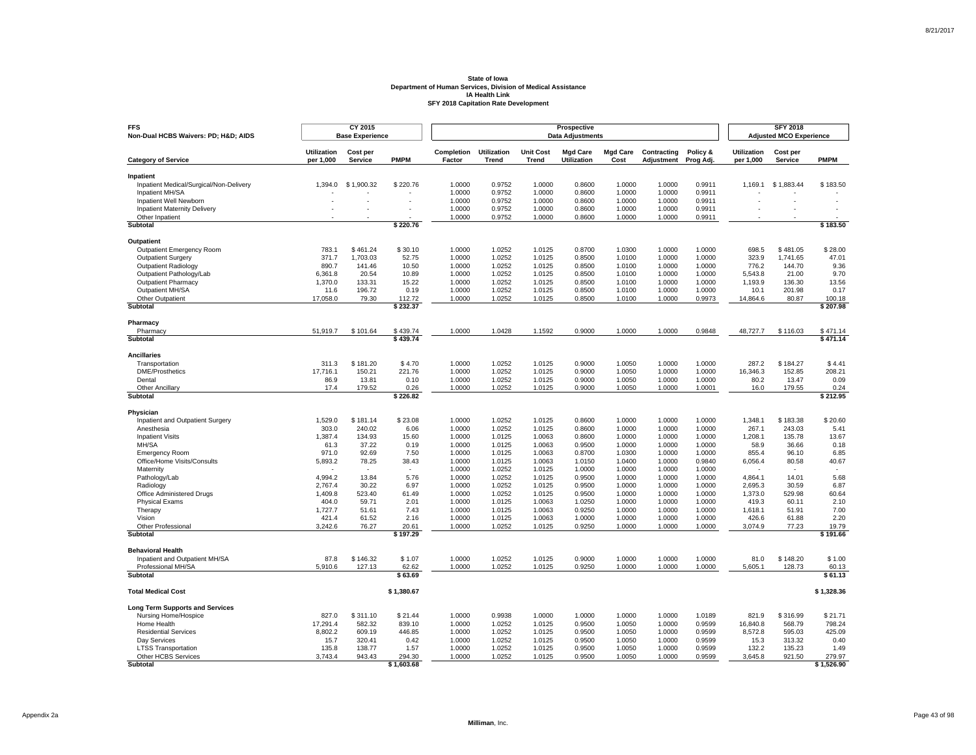| <b>FFS</b><br>Non-Dual HCBS Waivers: PD; H&D AIDS          |                                 | CY 2015<br><b>Base Experience</b> |                   |                      |                                    |                           | Prospective<br><b>Data Adjustments</b> |                         |                           |                       |                                 | <b>SFY 2018</b><br><b>Adjusted MCO Experience</b> |                   |
|------------------------------------------------------------|---------------------------------|-----------------------------------|-------------------|----------------------|------------------------------------|---------------------------|----------------------------------------|-------------------------|---------------------------|-----------------------|---------------------------------|---------------------------------------------------|-------------------|
| <b>Category of Service</b>                                 | <b>Utilization</b><br>per 1,000 | Cost per<br><b>Service</b>        | <b>PMPM</b>       | Completion<br>Factor | <b>Utilization</b><br><b>Trend</b> | <b>Unit Cost</b><br>Trend | <b>Mgd Care</b><br><b>Utilization</b>  | <b>Mgd Care</b><br>Cost | Contracting<br>Adjustment | Policy &<br>Prog Adj. | <b>Utilization</b><br>per 1,000 | Cost per<br><b>Service</b>                        | <b>PMPM</b>       |
|                                                            |                                 |                                   |                   |                      |                                    |                           |                                        |                         |                           |                       |                                 |                                                   |                   |
| Inpatient                                                  |                                 |                                   |                   |                      |                                    |                           |                                        |                         |                           |                       |                                 |                                                   |                   |
| Inpatient Medical/Surgical/Non-Delivery<br>Inpatient MH/SA | 1,394.0                         | \$1,900.32                        | \$220.76          | 1.0000<br>1.0000     | 0.9752<br>0.9752                   | 1.0000<br>1.0000          | 0.8600<br>0.8600                       | 1.0000<br>1.0000        | 1.0000<br>1.0000          | 0.9911<br>0.9911      | 1,169.1                         | \$1,883.44                                        | \$183.50          |
| Inpatient Well Newborn                                     |                                 |                                   | ÷,                | 1.0000               | 0.9752                             | 1.0000                    | 0.8600                                 | 1.0000                  | 1.0000                    | 0.9911                |                                 |                                                   |                   |
| Inpatient Maternity Delivery                               |                                 | ٠                                 |                   | 1.0000               | 0.9752                             | 1.0000                    | 0.8600                                 | 1.0000                  | 1.0000                    | 0.9911                |                                 |                                                   |                   |
| Other Inpatient                                            |                                 |                                   |                   | 1.0000               | 0.9752                             | 1.0000                    | 0.8600                                 | 1.0000                  | 1.0000                    | 0.9911                |                                 |                                                   |                   |
| Subtotal                                                   |                                 |                                   | \$220.76          |                      |                                    |                           |                                        |                         |                           |                       |                                 |                                                   | \$183.50          |
| Outpatient                                                 |                                 |                                   |                   |                      |                                    |                           |                                        |                         |                           |                       |                                 |                                                   |                   |
| Outpatient Emergency Room                                  | 783.1                           | \$461.24                          | \$30.10           | 1.0000               | 1.0252                             | 1.0125                    | 0.8700                                 | 1.0300                  | 1.0000                    | 1.0000                | 698.5                           | \$481.05                                          | \$28.00           |
| <b>Outpatient Surgery</b>                                  | 371.7                           | 1,703.03                          | 52.75             | 1.0000               | 1.0252                             | 1.0125                    | 0.8500                                 | 1.0100                  | 1.0000                    | 1.0000                | 323.9                           | 1,741.65                                          | 47.01             |
| Outpatient Radiology                                       | 890.7                           | 141.46                            | 10.50             | 1.0000               | 1.0252                             | 1.0125                    | 0.8500                                 | 1.0100                  | 1.0000                    | 1.0000                | 776.2                           | 144.70                                            | 9.36              |
| Outpatient Pathology/Lab                                   | 6.361.8                         | 20.54                             | 10.89             | 1.0000               | 1.0252                             | 1.0125                    | 0.8500                                 | 1.0100                  | 1.0000                    | 1.0000                | 5,543.8                         | 21.00                                             | 9.70              |
| <b>Outpatient Pharmacy</b>                                 | 1,370.0                         | 133.31                            | 15.22             | 1.0000               | 1.0252                             | 1.0125                    | 0.8500                                 | 1.0100                  | 1.0000                    | 1.0000                | 1,193.9                         | 136.30                                            | 13.56             |
| Outpatient MH/SA                                           | 11.6                            | 196.72                            | 0.19              | 1.0000               | 1.0252                             | 1.0125                    | 0.8500                                 | 1.0100                  | 1.0000                    | 1.0000                | 10.1                            | 201.98                                            | 0.17              |
| Other Outpatient                                           | 17,058.0                        | 79.30                             | 112.72            | 1.0000               | 1.0252                             | 1.0125                    | 0.8500                                 | 1.0100                  | 1.0000                    | 0.9973                | 14,864.6                        | 80.87                                             | 100.18            |
| Subtotal                                                   |                                 |                                   | \$232.37          |                      |                                    |                           |                                        |                         |                           |                       |                                 |                                                   | \$207.98          |
| Pharmacy                                                   |                                 |                                   |                   |                      |                                    |                           |                                        |                         |                           |                       |                                 |                                                   |                   |
| Pharmacy                                                   | 51,919.7                        | \$101.64                          | \$439.74          | 1.0000               | 1.0428                             | 1.1592                    | 0.9000                                 | 1.0000                  | 1.0000                    | 0.9848                | 48,727.7                        | \$116.03                                          | \$471.14          |
| Subtotal                                                   |                                 |                                   | \$439.74          |                      |                                    |                           |                                        |                         |                           |                       |                                 |                                                   | \$471.14          |
| <b>Ancillaries</b>                                         |                                 |                                   |                   |                      |                                    |                           |                                        |                         |                           |                       |                                 |                                                   |                   |
| Transportation                                             | 311.3                           | \$181.20                          | \$4.70            | 1.0000               | 1.0252                             | 1.0125                    | 0.9000                                 | 1.0050                  | 1.0000                    | 1.0000                | 287.2                           | \$184.27                                          | \$4.41            |
| <b>DME/Prosthetics</b>                                     | 17,716.1                        | 150.21                            | 221.76            | 1.0000               | 1.0252                             | 1.0125                    | 0.9000                                 | 1.0050                  | 1.0000                    | 1.0000                | 16,346.3                        | 152.85                                            | 208.21            |
| Dental                                                     | 86.9                            | 13.81                             | 0.10              | 1.0000               | 1.0252                             | 1.0125                    | 0.9000                                 | 1.0050                  | 1.0000                    | 1.0000                | 80.2                            | 13.47                                             | 0.09              |
| <b>Other Ancillary</b><br>Subtotal                         | 17.4                            | 179.52                            | 0.26<br>\$226.82  | 1.0000               | 1.0252                             | 1.0125                    | 0.9000                                 | 1.0050                  | 1.0000                    | 1.0001                | 16.0                            | 179.55                                            | 0.24<br>\$212.95  |
|                                                            |                                 |                                   |                   |                      |                                    |                           |                                        |                         |                           |                       |                                 |                                                   |                   |
| Physician                                                  |                                 |                                   |                   |                      |                                    |                           |                                        |                         |                           |                       |                                 |                                                   |                   |
| Inpatient and Outpatient Surgery                           | 1,529.0                         | \$181.14                          | \$23.08           | 1.0000               | 1.0252                             | 1.0125                    | 0.8600                                 | 1.0000                  | 1.0000                    | 1.0000                | 1,348.1                         | \$183.38                                          | \$20.60           |
| Anesthesia                                                 | 303.0<br>1,387.4                | 240.02<br>134.93                  | 6.06              | 1.0000<br>1.0000     | 1.0252<br>1.0125                   | 1.0125<br>1.0063          | 0.8600<br>0.8600                       | 1.0000<br>1.0000        | 1.0000<br>1.0000          | 1.0000<br>1.0000      | 267.1<br>1,208.1                | 243.03<br>135.78                                  | 5.41<br>13.67     |
| <b>Inpatient Visits</b><br>MH/SA                           | 61.3                            | 37.22                             | 15.60<br>0.19     | 1.0000               | 1.0125                             | 1.0063                    | 0.9500                                 | 1.0000                  | 1.0000                    | 1.0000                | 58.9                            | 36.66                                             | 0.18              |
| <b>Emergency Room</b>                                      | 971.0                           | 92.69                             | 7.50              | 1.0000               | 1.0125                             | 1.0063                    | 0.8700                                 | 1.0300                  | 1.0000                    | 1.0000                | 855.4                           | 96.10                                             | 6.85              |
| Office/Home Visits/Consults                                | 5,893.2                         | 78.25                             | 38.43             | 1.0000               | 1.0125                             | 1.0063                    | 1.0150                                 | 1.0400                  | 1.0000                    | 0.9840                | 6,056.4                         | 80.58                                             | 40.67             |
| Maternity                                                  |                                 |                                   |                   | 1.0000               | 1.0252                             | 1.0125                    | 1.0000                                 | 1.0000                  | 1.0000                    | 1.0000                |                                 |                                                   |                   |
| Pathology/Lab                                              | 4,994.2                         | 13.84                             | 5.76              | 1.0000               | 1.0252                             | 1.0125                    | 0.9500                                 | 1.0000                  | 1.0000                    | 1.0000                | 4,864.1                         | 14.01                                             | 5.68              |
| Radiology                                                  | 2.767.4                         | 30.22                             | 6.97              | 1.0000               | 1.0252                             | 1.0125                    | 0.9500                                 | 1.0000                  | 1.0000                    | 1.0000                | 2.695.3                         | 30.59                                             | 6.87              |
| Office Administered Drugs                                  | 1,409.8                         | 523.40                            | 61.49             | 1.0000               | 1.0252                             | 1.0125                    | 0.9500                                 | 1.0000                  | 1.0000                    | 1.0000                | 1,373.0                         | 529.98                                            | 60.64             |
| <b>Physical Exams</b>                                      | 404.0                           | 59.71                             | 2.01              | 1.0000               | 1.0125                             | 1.0063                    | 1.0250                                 | 1.0000                  | 1.0000                    | 1.0000                | 419.3                           | 60.11                                             | 2.10              |
| Therapy                                                    | 1,727.7                         | 51.61                             | 7.43              | 1.0000               | 1.0125                             | 1.0063                    | 0.9250                                 | 1.0000                  | 1.0000                    | 1.0000                | 1,618.1                         | 51.91                                             | 7.00              |
| Vision                                                     | 421.4                           | 61.52                             | 2.16              | 1.0000               | 1.0125                             | 1.0063                    | 1.0000                                 | 1.0000                  | 1.0000                    | 1.0000                | 426.6                           | 61.88                                             | 2.20              |
| Other Professional<br>Subtotal                             | 3,242.6                         | 76.27                             | 20.61<br>\$197.29 | 1.0000               | 1.0252                             | 1.0125                    | 0.9250                                 | 1.0000                  | 1.0000                    | 1.0000                | 3,074.9                         | 77.23                                             | 19.79<br>\$191.66 |
|                                                            |                                 |                                   |                   |                      |                                    |                           |                                        |                         |                           |                       |                                 |                                                   |                   |
| <b>Behavioral Health</b>                                   |                                 |                                   |                   |                      |                                    |                           |                                        |                         |                           |                       |                                 |                                                   |                   |
| Inpatient and Outpatient MH/SA<br>Professional MH/SA       | 87.8<br>5,910.6                 | \$146.32<br>127.13                | \$1.07<br>62.62   | 1.0000<br>1.0000     | 1.0252<br>1.0252                   | 1.0125<br>1.0125          | 0.9000<br>0.9250                       | 1.0000<br>1.0000        | 1.0000<br>1.0000          | 1.0000<br>1.0000      | 81.0<br>5,605.1                 | \$148.20<br>128.73                                | \$1.00<br>60.13   |
| <b>Subtotal</b>                                            |                                 |                                   | \$63.69           |                      |                                    |                           |                                        |                         |                           |                       |                                 |                                                   | \$61.13           |
| <b>Total Medical Cost</b>                                  |                                 |                                   | \$1,380.67        |                      |                                    |                           |                                        |                         |                           |                       |                                 |                                                   | \$1,328.36        |
|                                                            |                                 |                                   |                   |                      |                                    |                           |                                        |                         |                           |                       |                                 |                                                   |                   |
| <b>Long Term Supports and Services</b>                     |                                 |                                   |                   |                      |                                    |                           |                                        |                         |                           |                       |                                 |                                                   |                   |
| Nursing Home/Hospice                                       | 827.0                           | \$311.10                          | \$21.44           | 1.0000               | 0.9938                             | 1.0000                    | 1.0000                                 | 1.0000                  | 1.0000                    | 1.0189                | 821.9                           | \$316.99                                          | \$21.71           |
| Home Health<br><b>Residential Services</b>                 | 17,291.4<br>8,802.2             | 582.32<br>609.19                  | 839.10<br>446.85  | 1.0000<br>1.0000     | 1.0252<br>1.0252                   | 1.0125<br>1.0125          | 0.9500<br>0.9500                       | 1.0050<br>1.0050        | 1.0000<br>1.0000          | 0.9599<br>0.9599      | 16,840.8<br>8,572.8             | 568.79<br>595.03                                  | 798.24<br>425.09  |
| Day Services                                               | 15.7                            | 320.41                            | 0.42              | 1.0000               | 1.0252                             | 1.0125                    | 0.9500                                 | 1.0050                  | 1.0000                    | 0.9599                | 15.3                            | 313.32                                            | 0.40              |
| <b>LTSS Transportation</b>                                 | 135.8                           | 138.77                            | 1.57              | 1.0000               | 1.0252                             | 1.0125                    | 0.9500                                 | 1.0050                  | 1.0000                    | 0.9599                | 132.2                           | 135.23                                            | 1.49              |
| Other HCBS Services                                        | 3,743.4                         | 943.43                            | 294.30            | 1.0000               | 1.0252                             | 1.0125                    | 0.9500                                 | 1.0050                  | 1.0000                    | 0.9599                | 3,645.8                         | 921.50                                            | 279.97            |
| Subtotal                                                   |                                 |                                   | \$1,603.68        |                      |                                    |                           |                                        |                         |                           |                       |                                 |                                                   | \$1,526.90        |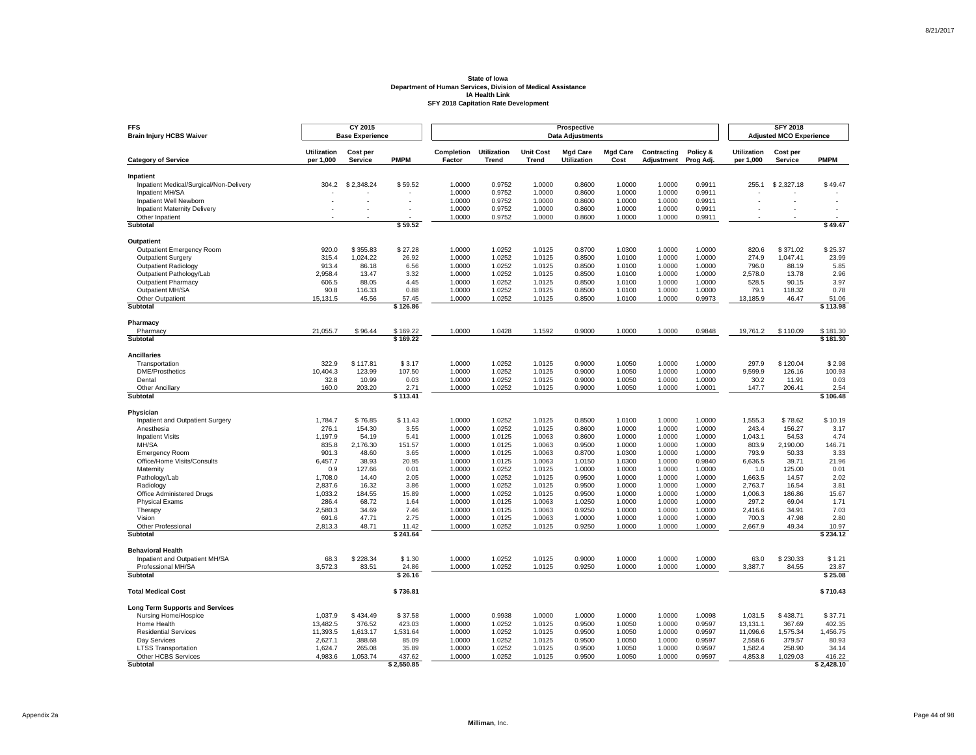| <b>FFS</b><br><b>Brain Injury HCBS Waiver</b>              |                                 | CY 2015<br><b>Base Experience</b> |                   |                      |                             |                                  | Prospective<br><b>Data Adjustments</b> |                         |                           |                       |                                 | <b>SFY 2018</b><br><b>Adjusted MCO Experience</b> |                          |
|------------------------------------------------------------|---------------------------------|-----------------------------------|-------------------|----------------------|-----------------------------|----------------------------------|----------------------------------------|-------------------------|---------------------------|-----------------------|---------------------------------|---------------------------------------------------|--------------------------|
| <b>Category of Service</b>                                 | <b>Utilization</b><br>per 1,000 | Cost per<br>Service               | <b>PMPM</b>       | Completion<br>Factor | <b>Utilization</b><br>Trend | <b>Unit Cost</b><br><b>Trend</b> | <b>Mgd Care</b><br>Utilization         | <b>Mgd Care</b><br>Cost | Contracting<br>Adjustment | Policy &<br>Prog Adj. | <b>Utilization</b><br>per 1,000 | Cost per<br>Service                               | <b>PMPM</b>              |
|                                                            |                                 |                                   |                   |                      |                             |                                  |                                        |                         |                           |                       |                                 |                                                   |                          |
| Inpatient                                                  |                                 |                                   |                   |                      |                             |                                  |                                        |                         |                           |                       |                                 |                                                   |                          |
| Inpatient Medical/Surgical/Non-Delivery<br>Inpatient MH/SA | 304.2                           | \$2,348.24                        | \$59.52           | 1.0000<br>1.0000     | 0.9752<br>0.9752            | 1.0000<br>1.0000                 | 0.8600<br>0.8600                       | 1.0000<br>1.0000        | 1.0000<br>1.0000          | 0.9911<br>0.9911      | 255.1                           | \$2,327.18                                        | \$49.47                  |
| Inpatient Well Newborn                                     |                                 | ä,                                |                   | 1.0000               | 0.9752                      | 1.0000                           | 0.8600                                 | 1.0000                  | 1.0000                    | 0.9911                |                                 |                                                   |                          |
| <b>Inpatient Maternity Delivery</b>                        |                                 |                                   |                   | 1.0000               | 0.9752                      | 1.0000                           | 0.8600                                 | 1.0000                  | 1.0000                    | 0.9911                |                                 |                                                   | $\overline{\phantom{a}}$ |
| Other Inpatient                                            |                                 |                                   |                   | 1.0000               | 0.9752                      | 1.0000                           | 0.8600                                 | 1.0000                  | 1.0000                    | 0.9911                |                                 |                                                   |                          |
| <b>Subtotal</b>                                            |                                 |                                   | \$59.52           |                      |                             |                                  |                                        |                         |                           |                       |                                 |                                                   | \$49.47                  |
| Outpatient                                                 |                                 |                                   |                   |                      |                             |                                  |                                        |                         |                           |                       |                                 |                                                   |                          |
| Outpatient Emergency Room                                  | 920.0                           | \$355.83                          | \$27.28           | 1.0000               | 1.0252                      | 1.0125                           | 0.8700                                 | 1.0300                  | 1.0000                    | 1.0000                | 820.6                           | \$371.02                                          | \$25.37                  |
| <b>Outpatient Surgery</b>                                  | 315.4                           | 1,024.22                          | 26.92             | 1.0000               | 1.0252                      | 1.0125                           | 0.8500                                 | 1.0100                  | 1.0000                    | 1.0000                | 274.9                           | 1.047.41                                          | 23.99                    |
| Outpatient Radiology                                       | 913.4                           | 86.18                             | 6.56              | 1.0000               | 1.0252                      | 1.0125                           | 0.8500                                 | 1.0100                  | 1.0000                    | 1.0000                | 796.0                           | 88.19                                             | 5.85                     |
| Outpatient Pathology/Lab                                   | 2.958.4                         | 13.47                             | 3.32              | 1.0000               | 1.0252                      | 1.0125                           | 0.8500                                 | 1.0100                  | 1.0000                    | 1.0000                | 2,578.0                         | 13.78                                             | 2.96                     |
| <b>Outpatient Pharmacy</b>                                 | 606.5                           | 88.05                             | 4.45              | 1.0000               | 1.0252                      | 1.0125                           | 0.8500                                 | 1.0100                  | 1.0000                    | 1.0000                | 528.5                           | 90.15                                             | 3.97                     |
| Outpatient MH/SA                                           | 90.8                            | 116.33                            | 0.88              | 1.0000               | 1.0252                      | 1.0125                           | 0.8500                                 | 1.0100                  | 1.0000                    | 1.0000                | 79.1                            | 118.32                                            | 0.78                     |
| Other Outpatient<br>Subtotal                               | 15,131.5                        | 45.56                             | 57.45<br>\$126.86 | 1.0000               | 1.0252                      | 1.0125                           | 0.8500                                 | 1.0100                  | 1.0000                    | 0.9973                | 13,185.9                        | 46.47                                             | 51.06<br>\$113.98        |
|                                                            |                                 |                                   |                   |                      |                             |                                  |                                        |                         |                           |                       |                                 |                                                   |                          |
| Pharmacy<br>Pharmacy                                       | 21,055.7                        | \$96.44                           | \$169.22          | 1.0000               | 1.0428                      | 1.1592                           | 0.9000                                 | 1.0000                  | 1.0000                    | 0.9848                | 19,761.2                        | \$110.09                                          | \$181.30                 |
| Subtotal                                                   |                                 |                                   | \$169.22          |                      |                             |                                  |                                        |                         |                           |                       |                                 |                                                   | \$181.30                 |
|                                                            |                                 |                                   |                   |                      |                             |                                  |                                        |                         |                           |                       |                                 |                                                   |                          |
| <b>Ancillaries</b>                                         |                                 |                                   |                   |                      |                             |                                  |                                        |                         |                           |                       |                                 |                                                   |                          |
| Transportation                                             | 322.9                           | \$117.81                          | \$3.17            | 1.0000               | 1.0252                      | 1.0125                           | 0.9000                                 | 1.0050                  | 1.0000                    | 1.0000                | 297.9                           | \$120.04                                          | \$2.98                   |
| <b>DME/Prosthetics</b>                                     | 10,404.3                        | 123.99                            | 107.50            | 1.0000               | 1.0252                      | 1.0125                           | 0.9000                                 | 1.0050                  | 1.0000                    | 1.0000                | 9,599.9                         | 126.16                                            | 100.93                   |
| Dental<br>Other Ancillary                                  | 32.8<br>160.0                   | 10.99<br>203.20                   | 0.03<br>2.71      | 1.0000<br>1.0000     | 1.0252<br>1.0252            | 1.0125<br>1.0125                 | 0.9000<br>0.9000                       | 1.0050<br>1.0050        | 1.0000<br>1.0000          | 1.0000<br>1.0001      | 30.2<br>147.7                   | 11.91<br>206.41                                   | 0.03<br>2.54             |
| Subtotal                                                   |                                 |                                   | \$113.41          |                      |                             |                                  |                                        |                         |                           |                       |                                 |                                                   | \$106.48                 |
|                                                            |                                 |                                   |                   |                      |                             |                                  |                                        |                         |                           |                       |                                 |                                                   |                          |
| Physician<br>Inpatient and Outpatient Surgery              | 1,784.7                         | \$76.85                           | \$11.43           | 1.0000               | 1.0252                      | 1.0125                           | 0.8500                                 | 1.0100                  | 1.0000                    | 1.0000                | 1,555.3                         | \$78.62                                           | \$10.19                  |
| Anesthesia                                                 | 276.1                           | 154.30                            | 3.55              | 1.0000               | 1.0252                      | 1.0125                           | 0.8600                                 | 1.0000                  | 1.0000                    | 1.0000                | 243.4                           | 156.27                                            | 3.17                     |
| <b>Inpatient Visits</b>                                    | 1,197.9                         | 54.19                             | 5.41              | 1.0000               | 1.0125                      | 1.0063                           | 0.8600                                 | 1.0000                  | 1.0000                    | 1.0000                | 1,043.1                         | 54.53                                             | 4.74                     |
| MH/SA                                                      | 835.8                           | 2,176.30                          | 151.57            | 1.0000               | 1.0125                      | 1.0063                           | 0.9500                                 | 1.0000                  | 1.0000                    | 1.0000                | 803.9                           | 2,190.00                                          | 146.71                   |
| <b>Emergency Room</b>                                      | 901.3                           | 48.60                             | 3.65              | 1.0000               | 1.0125                      | 1.0063                           | 0.8700                                 | 1.0300                  | 1.0000                    | 1.0000                | 793.9                           | 50.33                                             | 3.33                     |
| Office/Home Visits/Consults                                | 6,457.7                         | 38.93                             | 20.95             | 1.0000               | 1.0125                      | 1.0063                           | 1.0150                                 | 1.0300                  | 1.0000                    | 0.9840                | 6,636.5                         | 39.71                                             | 21.96                    |
| Maternity                                                  | 0.9                             | 127.66                            | 0.01              | 1.0000               | 1.0252                      | 1.0125                           | 1.0000                                 | 1.0000                  | 1.0000                    | 1.0000                | 1.0                             | 125.00                                            | 0.01                     |
| Pathology/Lab                                              | 1,708.0                         | 14.40                             | 2.05              | 1.0000               | 1.0252                      | 1.0125                           | 0.9500                                 | 1.0000                  | 1.0000                    | 1.0000                | 1,663.5                         | 14.57                                             | 2.02                     |
| Radiology                                                  | 2,837.6                         | 16.32                             | 3.86              | 1.0000               | 1.0252                      | 1.0125                           | 0.9500                                 | 1.0000                  | 1.0000                    | 1.0000                | 2,763.7                         | 16.54                                             | 3.81                     |
| Office Administered Drugs                                  | 1,033.2                         | 184.55                            | 15.89             | 1.0000               | 1.0252                      | 1.0125                           | 0.9500                                 | 1.0000                  | 1.0000                    | 1.0000                | 1,006.3                         | 186.86                                            | 15.67                    |
| <b>Physical Exams</b>                                      | 286.4                           | 68.72                             | 1.64              | 1.0000               | 1.0125                      | 1.0063                           | 1.0250                                 | 1.0000                  | 1.0000                    | 1.0000                | 297.2                           | 69.04                                             | 1.71                     |
| Therapy                                                    | 2,580.3                         | 34.69                             | 7.46              | 1.0000               | 1.0125                      | 1.0063                           | 0.9250                                 | 1.0000                  | 1.0000                    | 1.0000                | 2,416.6                         | 34.91                                             | 7.03                     |
| Vision<br>Other Professional                               | 691.6<br>2,813.3                | 47.71<br>48.71                    | 2.75<br>11.42     | 1.0000<br>1.0000     | 1.0125<br>1.0252            | 1.0063<br>1.0125                 | 1.0000<br>0.9250                       | 1.0000<br>1.0000        | 1.0000<br>1.0000          | 1.0000<br>1.0000      | 700.3<br>2,667.9                | 47.98<br>49.34                                    | 2.80<br>10.97            |
| Subtotal                                                   |                                 |                                   | \$241.64          |                      |                             |                                  |                                        |                         |                           |                       |                                 |                                                   | \$234.12                 |
| <b>Behavioral Health</b>                                   |                                 |                                   |                   |                      |                             |                                  |                                        |                         |                           |                       |                                 |                                                   |                          |
| Inpatient and Outpatient MH/SA                             | 68.3                            | \$228.34                          | \$1.30            | 1.0000               | 1.0252                      | 1.0125                           | 0.9000                                 | 1.0000                  | 1.0000                    | 1.0000                | 63.0                            | \$230.33                                          | \$1.21                   |
| Professional MH/SA                                         | 3,572.3                         | 83.51                             | 24.86             | 1.0000               | 1.0252                      | 1.0125                           | 0.9250                                 | 1.0000                  | 1.0000                    | 1.0000                | 3,387.7                         | 84.55                                             | 23.87                    |
| <b>Subtotal</b>                                            |                                 |                                   | \$26.16           |                      |                             |                                  |                                        |                         |                           |                       |                                 |                                                   | \$25.08                  |
| <b>Total Medical Cost</b>                                  |                                 |                                   |                   |                      |                             |                                  |                                        |                         |                           |                       |                                 |                                                   | \$710.43                 |
|                                                            |                                 |                                   | \$736.81          |                      |                             |                                  |                                        |                         |                           |                       |                                 |                                                   |                          |
| <b>Long Term Supports and Services</b>                     |                                 |                                   |                   |                      |                             |                                  |                                        |                         |                           |                       |                                 |                                                   |                          |
| Nursing Home/Hospice                                       | 1,037.9                         | \$434.49                          | \$37.58           | 1.0000               | 0.9938                      | 1.0000                           | 1.0000                                 | 1.0000                  | 1.0000                    | 1.0098                | 1,031.5                         | \$438.71                                          | \$37.71                  |
| Home Health                                                | 13,482.5                        | 376.52                            | 423.03            | 1.0000               | 1.0252                      | 1.0125                           | 0.9500                                 | 1.0050                  | 1.0000                    | 0.9597                | 13,131.1                        | 367.69                                            | 402.35                   |
| <b>Residential Services</b><br>Day Services                | 11,393.5<br>2,627.1             | 1,613.17<br>388.68                | 1,531.64<br>85.09 | 1.0000<br>1.0000     | 1.0252<br>1.0252            | 1.0125<br>1.0125                 | 0.9500<br>0.9500                       | 1.0050<br>1.0050        | 1.0000<br>1.0000          | 0.9597<br>0.9597      | 11,096.6<br>2,558.6             | 1,575.34<br>379.57                                | 1,456.75<br>80.93        |
| <b>LTSS Transportation</b>                                 | 1,624.7                         | 265.08                            | 35.89             | 1.0000               | 1.0252                      | 1.0125                           | 0.9500                                 | 1.0050                  | 1.0000                    | 0.9597                | 1,582.4                         | 258.90                                            | 34.14                    |
| Other HCBS Services                                        | 4,983.6                         | 1,053.74                          | 437.62            | 1.0000               | 1.0252                      | 1.0125                           | 0.9500                                 | 1.0050                  | 1.0000                    | 0.9597                | 4,853.8                         | 1,029.03                                          | 416.22                   |
| Subtotal                                                   |                                 |                                   | \$2,550.85        |                      |                             |                                  |                                        |                         |                           |                       |                                 |                                                   | \$2,428.10               |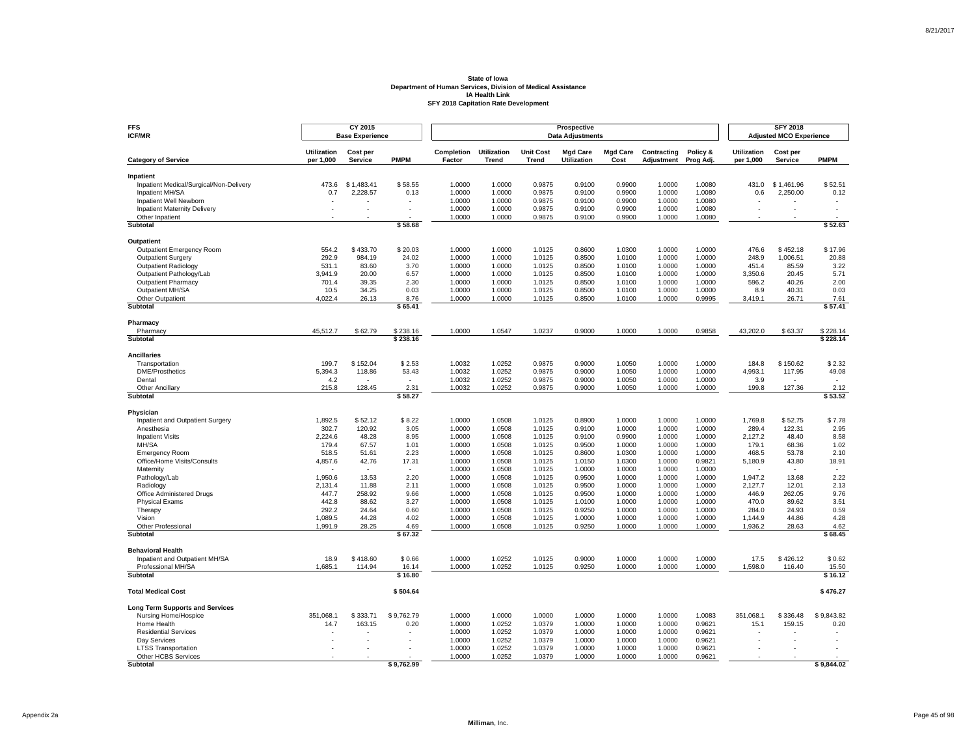| <b>FFS</b><br><b>ICF/MR</b>                              |                                 | CY 2015<br><b>Base Experience</b> |                          |                      |                                    |                                  | Prospective<br><b>Data Adjustments</b> |                         |                           |                       |                                 | <b>SFY 2018</b><br><b>Adjusted MCO Experience</b> |                  |
|----------------------------------------------------------|---------------------------------|-----------------------------------|--------------------------|----------------------|------------------------------------|----------------------------------|----------------------------------------|-------------------------|---------------------------|-----------------------|---------------------------------|---------------------------------------------------|------------------|
| <b>Category of Service</b>                               | <b>Utilization</b><br>per 1,000 | Cost per<br>Service               | <b>PMPM</b>              | Completion<br>Factor | <b>Utilization</b><br><b>Trend</b> | <b>Unit Cost</b><br><b>Trend</b> | <b>Mgd Care</b><br>Utilization         | <b>Mgd Care</b><br>Cost | Contracting<br>Adjustment | Policy &<br>Prog Adj. | <b>Utilization</b><br>per 1,000 | Cost per<br>Service                               | <b>PMPM</b>      |
|                                                          |                                 |                                   |                          |                      |                                    |                                  |                                        |                         |                           |                       |                                 |                                                   |                  |
| Inpatient                                                |                                 |                                   |                          |                      |                                    |                                  |                                        |                         |                           |                       |                                 |                                                   |                  |
| Inpatient Medical/Surgical/Non-Delivery                  | 473.6                           | \$1,483.41                        | \$58.55                  | 1.0000               | 1.0000                             | 0.9875                           | 0.9100                                 | 0.9900<br>0.9900        | 1.0000                    | 1.0080                | 431.0                           | \$1,461.96                                        | \$52.51          |
| Inpatient MH/SA<br>Inpatient Well Newborn                | 0.7                             | 2,228.57                          | 0.13                     | 1.0000<br>1.0000     | 1.0000<br>1.0000                   | 0.9875<br>0.9875                 | 0.9100<br>0.9100                       | 0.9900                  | 1.0000<br>1.0000          | 1.0080<br>1.0080      | 0.6                             | 2,250.00                                          | 0.12             |
| <b>Inpatient Maternity Delivery</b>                      | $\overline{\phantom{a}}$        | ÷.                                | $\overline{\phantom{a}}$ | 1.0000               | 1.0000                             | 0.9875                           | 0.9100                                 | 0.9900                  | 1.0000                    | 1.0080                |                                 |                                                   | ÷.               |
| Other Inpatient                                          |                                 |                                   |                          | 1.0000               | 1.0000                             | 0.9875                           | 0.9100                                 | 0.9900                  | 1.0000                    | 1.0080                |                                 |                                                   |                  |
| <b>Subtotal</b>                                          |                                 |                                   | \$58.68                  |                      |                                    |                                  |                                        |                         |                           |                       |                                 |                                                   | \$52.63          |
|                                                          |                                 |                                   |                          |                      |                                    |                                  |                                        |                         |                           |                       |                                 |                                                   |                  |
| Outpatient                                               |                                 |                                   |                          |                      |                                    |                                  |                                        |                         |                           |                       |                                 |                                                   |                  |
| Outpatient Emergency Room                                | 554.2                           | \$433.70                          | \$20.03<br>24.02         | 1.0000               | 1.0000                             | 1.0125                           | 0.8600<br>0.8500                       | 1.0300<br>1.0100        | 1.0000                    | 1.0000                | 476.6                           | \$452.18<br>1.006.51                              | \$17.96<br>20.88 |
| <b>Outpatient Surgery</b><br><b>Outpatient Radiology</b> | 292.9<br>531.1                  | 984.19<br>83.60                   | 3.70                     | 1.0000<br>1.0000     | 1.0000<br>1.0000                   | 1.0125<br>1.0125                 | 0.8500                                 | 1.0100                  | 1.0000<br>1.0000          | 1.0000<br>1.0000      | 248.9<br>451.4                  | 85.59                                             | 3.22             |
| Outpatient Pathology/Lab                                 | 3.941.9                         | 20.00                             | 6.57                     | 1.0000               | 1.0000                             | 1.0125                           | 0.8500                                 | 1.0100                  | 1.0000                    | 1.0000                |                                 | 20.45                                             | 5.71             |
| <b>Outpatient Pharmacy</b>                               | 701.4                           | 39.35                             | 2.30                     | 1.0000               | 1.0000                             | 1.0125                           | 0.8500                                 | 1.0100                  | 1.0000                    | 1.0000                | 3,350.6<br>596.2                | 40.26                                             | 2.00             |
| Outpatient MH/SA                                         | 10.5                            | 34.25                             | 0.03                     | 1.0000               | 1.0000                             | 1.0125                           | 0.8500                                 | 1.0100                  | 1.0000                    | 1.0000                | 8.9                             | 40.31                                             | 0.03             |
| Other Outpatient                                         | 4,022.4                         | 26.13                             | 8.76                     | 1.0000               | 1.0000                             | 1.0125                           | 0.8500                                 | 1.0100                  | 1.0000                    | 0.9995                | 3,419.1                         | 26.71                                             | 7.61             |
| Subtotal                                                 |                                 |                                   | \$65.41                  |                      |                                    |                                  |                                        |                         |                           |                       |                                 |                                                   | \$57.41          |
|                                                          |                                 |                                   |                          |                      |                                    |                                  |                                        |                         |                           |                       |                                 |                                                   |                  |
| Pharmacy<br>Pharmacy                                     | 45,512.7                        | \$62.79                           | \$238.16                 | 1.0000               | 1.0547                             | 1.0237                           | 0.9000                                 | 1.0000                  | 1.0000                    | 0.9858                | 43,202.0                        | \$63.37                                           | \$228.14         |
| Subtotal                                                 |                                 |                                   | \$238.16                 |                      |                                    |                                  |                                        |                         |                           |                       |                                 |                                                   | \$228.14         |
|                                                          |                                 |                                   |                          |                      |                                    |                                  |                                        |                         |                           |                       |                                 |                                                   |                  |
| <b>Ancillaries</b>                                       |                                 |                                   |                          |                      |                                    |                                  |                                        |                         |                           |                       |                                 |                                                   |                  |
| Transportation                                           | 199.7                           | \$152.04                          | \$2.53                   | 1.0032               | 1.0252                             | 0.9875                           | 0.9000                                 | 1.0050                  | 1.0000                    | 1.0000                | 184.8                           | \$150.62                                          | \$2.32           |
| <b>DME/Prosthetics</b>                                   | 5,394.3                         | 118.86                            | 53.43                    | 1.0032               | 1.0252                             | 0.9875                           | 0.9000                                 | 1.0050                  | 1.0000                    | 1.0000                | 4,993.1                         | 117.95                                            | 49.08            |
| Dental                                                   | 4.2                             | ٠                                 | $\sim$                   | 1.0032               | 1.0252                             | 0.9875                           | 0.9000                                 | 1.0050                  | 1.0000                    | 1.0000                | 3.9                             | $\sim$                                            |                  |
| Other Ancillary<br>Subtotal                              | 215.8                           | 128.45                            | 2.31<br>\$58.27          | 1.0032               | 1.0252                             | 0.9875                           | 0.9000                                 | 1.0050                  | 1.0000                    | 1.0000                | 199.8                           | 127.36                                            | 2.12<br>\$53.52  |
|                                                          |                                 |                                   |                          |                      |                                    |                                  |                                        |                         |                           |                       |                                 |                                                   |                  |
| Physician                                                |                                 |                                   |                          |                      |                                    |                                  |                                        |                         |                           |                       |                                 |                                                   |                  |
| Inpatient and Outpatient Surgery                         | 1,892.5                         | \$52.12                           | \$8.22                   | 1.0000               | 1.0508                             | 1.0125                           | 0.8900                                 | 1.0000                  | 1.0000                    | 1.0000                | 1,769.8                         | \$52.75                                           | \$7.78           |
| Anesthesia                                               | 302.7                           | 120.92                            | 3.05                     | 1.0000               | 1.0508                             | 1.0125                           | 0.9100                                 | 1.0000                  | 1.0000                    | 1.0000                | 289.4                           | 122.31                                            | 2.95             |
| <b>Inpatient Visits</b>                                  | 2,224.6                         | 48.28                             | 8.95                     | 1.0000               | 1.0508                             | 1.0125                           | 0.9100                                 | 0.9900                  | 1.0000                    | 1.0000                | 2,127.2                         | 48.40                                             | 8.58             |
| MH/SA                                                    | 179.4                           | 67.57                             | 1.01                     | 1.0000               | 1.0508                             | 1.0125                           | 0.9500                                 | 1.0000                  | 1.0000                    | 1.0000                | 179.1                           | 68.36                                             | 1.02             |
| <b>Emergency Room</b>                                    | 518.5                           | 51.61                             | 2.23                     | 1.0000               | 1.0508                             | 1.0125                           | 0.8600                                 | 1.0300                  | 1.0000                    | 1.0000                | 468.5                           | 53.78                                             | 2.10             |
| Office/Home Visits/Consults                              | 4,857.6                         | 42.76                             | 17.31                    | 1.0000<br>1.0000     | 1.0508<br>1.0508                   | 1.0125<br>1.0125                 | 1.0150<br>1.0000                       | 1.0300<br>1.0000        | 1.0000<br>1.0000          | 0.9821<br>1.0000      | 5,180.9                         | 43.80                                             | 18.91            |
| Maternity                                                | 1,950.6                         | 13.53                             | 2.20                     | 1.0000               | 1.0508                             | 1.0125                           | 0.9500                                 | 1.0000                  | 1.0000                    | 1.0000                | 1,947.2                         | 13.68                                             | 2.22             |
| Pathology/Lab<br>Radiology                               | 2,131.4                         | 11.88                             | 2.11                     | 1.0000               | 1.0508                             | 1.0125                           | 0.9500                                 | 1.0000                  | 1.0000                    | 1.0000                | 2,127.7                         | 12.01                                             | 2.13             |
| Office Administered Drugs                                | 447.7                           | 258.92                            | 9.66                     | 1.0000               | 1.0508                             | 1.0125                           | 0.9500                                 | 1.0000                  | 1.0000                    | 1.0000                | 446.9                           | 262.05                                            | 9.76             |
| Physical Exams                                           | 442.8                           | 88.62                             | 3.27                     | 1.0000               | 1.0508                             | 1.0125                           | 1.0100                                 | 1.0000                  | 1.0000                    | 1.0000                | 470.0                           | 89.62                                             | 3.51             |
| Therapy                                                  | 292.2                           | 24.64                             | 0.60                     | 1.0000               | 1.0508                             | 1.0125                           | 0.9250                                 | 1.0000                  | 1.0000                    | 1.0000                | 284.0                           | 24.93                                             | 0.59             |
| Vision                                                   | 1,089.5                         | 44.28                             | 4.02                     | 1.0000               | 1.0508                             | 1.0125                           | 1.0000                                 | 1.0000                  | 1.0000                    | 1.0000                | 1,144.9                         | 44.86                                             | 4.28             |
| Other Professional                                       | 1,991.9                         | 28.25                             | 4.69                     | 1.0000               | 1.0508                             | 1.0125                           | 0.9250                                 | 1.0000                  | 1.0000                    | 1.0000                | 1,936.2                         | 28.63                                             | 4.62             |
| Subtotal                                                 |                                 |                                   | \$67.32                  |                      |                                    |                                  |                                        |                         |                           |                       |                                 |                                                   | \$68.45          |
| <b>Behavioral Health</b>                                 |                                 |                                   |                          |                      |                                    |                                  |                                        |                         |                           |                       |                                 |                                                   |                  |
| Inpatient and Outpatient MH/SA                           | 18.9                            | \$418.60                          | \$0.66                   | 1.0000               | 1.0252                             | 1.0125                           | 0.9000                                 | 1.0000                  | 1.0000                    | 1.0000                | 17.5                            | \$426.12                                          | \$0.62           |
| Professional MH/SA                                       | 1,685.1                         | 114.94                            | 16.14                    | 1.0000               | 1.0252                             | 1.0125                           | 0.9250                                 | 1.0000                  | 1.0000                    | 1.0000                | 1,598.0                         | 116.40                                            | 15.50            |
| <b>Subtotal</b>                                          |                                 |                                   | \$16.80                  |                      |                                    |                                  |                                        |                         |                           |                       |                                 |                                                   | \$16.12          |
|                                                          |                                 |                                   |                          |                      |                                    |                                  |                                        |                         |                           |                       |                                 |                                                   |                  |
| <b>Total Medical Cost</b>                                |                                 |                                   | \$504.64                 |                      |                                    |                                  |                                        |                         |                           |                       |                                 |                                                   | \$476.27         |
| <b>Long Term Supports and Services</b>                   |                                 |                                   |                          |                      |                                    |                                  |                                        |                         |                           |                       |                                 |                                                   |                  |
| Nursing Home/Hospice                                     | 351,068.1                       | \$333.71                          | \$9,762.79               | 1.0000               | 1.0000                             | 1.0000                           | 1.0000                                 | 1.0000                  | 1.0000                    | 1.0083                | 351,068.1                       | \$336.48                                          | \$9,843.82       |
| Home Health                                              | 14.7                            | 163.15                            | 0.20                     | 1.0000               | 1.0252                             | 1.0379                           | 1.0000                                 | 1.0000                  | 1.0000                    | 0.9621                | 15.1                            | 159.15                                            | 0.20             |
| <b>Residential Services</b>                              |                                 |                                   |                          | 1.0000               | 1.0252                             | 1.0379                           | 1.0000                                 | 1.0000                  | 1.0000                    | 0.9621                |                                 |                                                   |                  |
| Day Services                                             |                                 | ÷                                 |                          | 1.0000               | 1.0252                             | 1.0379                           | 1.0000                                 | 1.0000                  | 1.0000                    | 0.9621                | J.                              |                                                   |                  |
| <b>LTSS Transportation</b>                               |                                 |                                   |                          | 1.0000               | 1.0252                             | 1.0379                           | 1.0000                                 | 1.0000                  | 1.0000                    | 0.9621                |                                 |                                                   |                  |
| Other HCBS Services                                      |                                 |                                   | \$9.762.99               | 1.0000               | 1.0252                             | 1.0379                           | 1.0000                                 | 1.0000                  | 1.0000                    | 0.9621                |                                 |                                                   | \$9.844.02       |
| Subtotal                                                 |                                 |                                   |                          |                      |                                    |                                  |                                        |                         |                           |                       |                                 |                                                   |                  |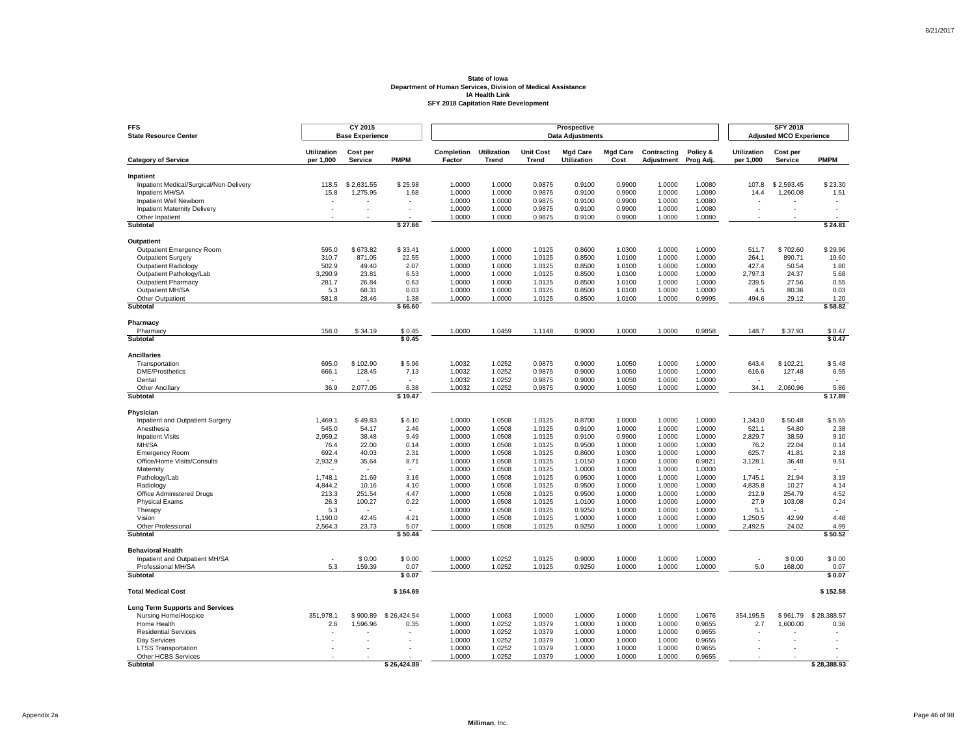| <b>FFS</b><br><b>State Resource Center</b>           |                                 | CY 2015<br><b>Base Experience</b> |                          |                      |                                    |                                  | Prospective<br><b>Data Adjustments</b> |                         |                                  |                       |                                 | <b>SFY 2018</b><br><b>Adjusted MCO Experience</b> |                          |
|------------------------------------------------------|---------------------------------|-----------------------------------|--------------------------|----------------------|------------------------------------|----------------------------------|----------------------------------------|-------------------------|----------------------------------|-----------------------|---------------------------------|---------------------------------------------------|--------------------------|
| <b>Category of Service</b>                           | <b>Utilization</b><br>per 1,000 | Cost per<br>Service               | <b>PMPM</b>              | Completion<br>Factor | <b>Utilization</b><br><b>Trend</b> | <b>Unit Cost</b><br><b>Trend</b> | <b>Mgd Care</b><br>Utilization         | <b>Mgd Care</b><br>Cost | Contracting<br><b>Adjustment</b> | Policy &<br>Prog Adj. | <b>Utilization</b><br>per 1,000 | Cost per<br>Service                               | <b>PMPM</b>              |
|                                                      |                                 |                                   |                          |                      |                                    |                                  |                                        |                         |                                  |                       |                                 |                                                   |                          |
| Inpatient<br>Inpatient Medical/Surgical/Non-Delivery | 118.5                           | \$2,631.55                        | \$25.98                  | 1.0000               | 1.0000                             | 0.9875                           | 0.9100                                 | 0.9900                  | 1.0000                           | 1.0080                | 107.8                           | \$2,593.45                                        | \$23.30                  |
| Inpatient MH/SA                                      | 15.8                            | 1,275.95                          | 1.68                     | 1.0000               | 1.0000                             | 0.9875                           | 0.9100                                 | 0.9900                  | 1.0000                           | 1.0080                | 14.4                            | 1,260.08                                          | 1.51                     |
| Inpatient Well Newborn                               |                                 |                                   |                          | 1.0000               | 1.0000                             | 0.9875                           | 0.9100                                 | 0.9900                  | 1.0000                           | 1.0080                |                                 |                                                   |                          |
| <b>Inpatient Maternity Delivery</b>                  |                                 |                                   |                          | 1.0000               | 1.0000                             | 0.9875                           | 0.9100                                 | 0.9900                  | 1.0000                           | 1.0080                | ÷.                              |                                                   | $\sim$                   |
| Other Inpatient                                      |                                 |                                   |                          | 1.0000               | 1.0000                             | 0.9875                           | 0.9100                                 | 0.9900                  | 1.0000                           | 1.0080                |                                 |                                                   |                          |
| <b>Subtotal</b>                                      |                                 |                                   | \$27.66                  |                      |                                    |                                  |                                        |                         |                                  |                       |                                 |                                                   | \$24.81                  |
| Outpatient                                           |                                 |                                   |                          |                      |                                    |                                  |                                        |                         |                                  |                       |                                 |                                                   |                          |
| Outpatient Emergency Room                            | 595.0                           | \$673.82                          | \$33.41                  | 1.0000               | 1.0000                             | 1.0125                           | 0.8600                                 | 1.0300                  | 1.0000                           | 1.0000                | 511.7                           | \$702.60                                          | \$29.96                  |
| <b>Outpatient Surgery</b>                            | 310.7                           | 871.05                            | 22.55                    | 1.0000               | 1.0000                             | 1.0125                           | 0.8500                                 | 1.0100                  | 1.0000                           | 1.0000                | 264.1                           | 890.71                                            | 19.60                    |
| <b>Outpatient Radiology</b>                          | 502.9                           | 49.40                             | 2.07                     | 1.0000               | 1.0000                             | 1.0125                           | 0.8500                                 | 1.0100                  | 1.0000                           | 1.0000                | 427.4                           | 50.54                                             | 1.80                     |
| Outpatient Pathology/Lab                             | 3.290.9                         | 23.81                             | 6.53                     | 1.0000               | 1.0000                             | 1.0125                           | 0.8500                                 | 1.0100                  | 1.0000                           | 1.0000                | 2.797.3                         | 24.37                                             | 5.68                     |
| <b>Outpatient Pharmacy</b>                           | 281.7                           | 26.84                             | 0.63                     | 1.0000               | 1.0000                             | 1.0125                           | 0.8500                                 | 1.0100                  | 1.0000                           | 1.0000                | 239.5                           | 27.56                                             | 0.55                     |
| Outpatient MH/SA                                     | 5.3                             | 68.31                             | 0.03                     | 1.0000               | 1.0000                             | 1.0125                           | 0.8500                                 | 1.0100                  | 1.0000                           | 1.0000                | 4.5                             | 80.36                                             | 0.03                     |
| Other Outpatient                                     | 581.8                           | 28.46                             | 1.38                     | 1.0000               | 1.0000                             | 1.0125                           | 0.8500                                 | 1.0100                  | 1.0000                           | 0.9995                | 494.6                           | 29.12                                             | 1.20                     |
| Subtotal                                             |                                 |                                   | \$66.60                  |                      |                                    |                                  |                                        |                         |                                  |                       |                                 |                                                   | \$58.82                  |
| Pharmacy                                             |                                 |                                   |                          |                      |                                    |                                  |                                        |                         |                                  |                       |                                 |                                                   |                          |
| Pharmacy                                             | 158.0                           | \$34.19                           | \$0.45                   | 1.0000               | 1.0459                             | 1.1148                           | 0.9000                                 | 1.0000                  | 1.0000                           | 0.9858                | 148.7                           | \$37.93                                           | \$0.47                   |
| Subtotal                                             |                                 |                                   | \$0.45                   |                      |                                    |                                  |                                        |                         |                                  |                       |                                 |                                                   | \$0.47                   |
| <b>Ancillaries</b>                                   |                                 |                                   |                          |                      |                                    |                                  |                                        |                         |                                  |                       |                                 |                                                   |                          |
| Transportation                                       | 695.0                           | \$102.90                          | \$5.96                   | 1.0032               | 1.0252                             | 0.9875                           | 0.9000                                 | 1.0050                  | 1.0000                           | 1.0000                | 643.4                           | \$102.21                                          | \$5.48                   |
| <b>DME/Prosthetics</b>                               | 666.1                           | 128.45                            | 7.13                     | 1.0032               | 1.0252                             | 0.9875                           | 0.9000                                 | 1.0050                  | 1.0000                           | 1.0000                | 616.6                           | 127.48                                            | 6.55                     |
| Dental                                               | $\overline{\phantom{a}}$        |                                   | $\epsilon$               | 1.0032               | 1.0252                             | 0.9875                           | 0.9000                                 | 1.0050                  | 1.0000                           | 1.0000                |                                 |                                                   |                          |
| Other Ancillary<br>Subtotal                          | 36.9                            | 2,077.05                          | 6.38<br>\$19.47          | 1.0032               | 1.0252                             | 0.9875                           | 0.9000                                 | 1.0050                  | 1.0000                           | 1.0000                | 34.1                            | 2,060.96                                          | 5.86<br>\$17.89          |
|                                                      |                                 |                                   |                          |                      |                                    |                                  |                                        |                         |                                  |                       |                                 |                                                   |                          |
| Physician                                            |                                 |                                   |                          |                      |                                    |                                  |                                        |                         |                                  |                       |                                 |                                                   |                          |
| Inpatient and Outpatient Surgery                     | 1,469.1                         | \$49.83                           | \$6.10                   | 1.0000               | 1.0508                             | 1.0125                           | 0.8700                                 | 1.0000                  | 1.0000                           | 1.0000                | 1,343.0                         | \$50.48                                           | \$5.65                   |
| Anesthesia                                           | 545.0                           | 54.17                             | 2.46                     | 1.0000               | 1.0508                             | 1.0125                           | 0.9100                                 | 1.0000                  | 1.0000                           | 1.0000                | 521.1                           | 54.80                                             | 2.38                     |
| <b>Inpatient Visits</b>                              | 2,959.2                         | 38.48                             | 9.49                     | 1.0000               | 1.0508                             | 1.0125                           | 0.9100                                 | 0.9900                  | 1.0000                           | 1.0000                | 2,829.7                         | 38.59                                             | 9.10                     |
| MH/SA                                                | 76.4                            | 22.00                             | 0.14                     | 1.0000               | 1.0508                             | 1.0125                           | 0.9500                                 | 1.0000                  | 1.0000                           | 1.0000                | 76.2                            | 22.04                                             | 0.14                     |
| <b>Emergency Room</b>                                | 692.4                           | 40.03                             | 2.31                     | 1.0000               | 1.0508                             | 1.0125                           | 0.8600                                 | 1.0300                  | 1.0000                           | 1.0000                | 625.7                           | 41.81                                             | 2.18                     |
| Office/Home Visits/Consults<br>Maternity             | 2,932.9                         | 35.64                             | 8.71                     | 1.0000<br>1.0000     | 1.0508<br>1.0508                   | 1.0125<br>1.0125                 | 1.0150<br>1.0000                       | 1.0300<br>1.0000        | 1.0000<br>1.0000                 | 0.9821<br>1.0000      | 3,128.1                         | 36.48                                             | 9.51                     |
| Pathology/Lab                                        | 1,748.1                         | 21.69                             | 3.16                     | 1.0000               | 1.0508                             | 1.0125                           | 0.9500                                 | 1.0000                  | 1.0000                           | 1.0000                | 1,745.1                         | 21.94                                             | 3.19                     |
| Radiology                                            | 4,844.2                         | 10.16                             | 4.10                     | 1.0000               | 1.0508                             | 1.0125                           | 0.9500                                 | 1.0000                  | 1.0000                           | 1.0000                | 4,835.8                         | 10.27                                             | 4.14                     |
| Office Administered Drugs                            | 213.3                           | 251.54                            | 4.47                     | 1.0000               | 1.0508                             | 1.0125                           | 0.9500                                 | 1.0000                  | 1.0000                           | 1.0000                | 212.9                           | 254.79                                            | 4.52                     |
| <b>Physical Exams</b>                                | 26.3                            | 100.27                            | 0.22                     | 1.0000               | 1.0508                             | 1.0125                           | 1.0100                                 | 1.0000                  | 1.0000                           | 1.0000                | 27.9                            | 103.08                                            | 0.24                     |
| Therapy                                              | 5.3                             | $\overline{\phantom{a}}$          | $\overline{\phantom{a}}$ | 1.0000               | 1.0508                             | 1.0125                           | 0.9250                                 | 1.0000                  | 1.0000                           | 1.0000                | 5.1                             |                                                   | $\overline{\phantom{a}}$ |
| Vision                                               | 1,190.0                         | 42.45                             | 4.21                     | 1.0000               | 1.0508                             | 1.0125                           | 1.0000                                 | 1.0000                  | 1.0000                           | 1.0000                | 1,250.5                         | 42.99                                             | 4.48                     |
| Other Professional                                   | 2,564.3                         | 23.73                             | 5.07                     | 1.0000               | 1.0508                             | 1.0125                           | 0.9250                                 | 1.0000                  | 1.0000                           | 1.0000                | 2,492.5                         | 24.02                                             | 4.99                     |
| Subtotal                                             |                                 |                                   | \$50.44                  |                      |                                    |                                  |                                        |                         |                                  |                       |                                 |                                                   | \$50.52                  |
| <b>Behavioral Health</b>                             |                                 |                                   |                          |                      |                                    |                                  |                                        |                         |                                  |                       |                                 |                                                   |                          |
| Inpatient and Outpatient MH/SA                       |                                 | \$0.00                            | \$0.00                   | 1.0000               | 1.0252                             | 1.0125                           | 0.9000                                 | 1.0000                  | 1.0000                           | 1.0000                | ٠                               | \$0.00                                            | \$0.00                   |
| Professional MH/SA<br><b>Subtotal</b>                | 5.3                             | 159.39                            | 0.07<br>\$0.07           | 1.0000               | 1.0252                             | 1.0125                           | 0.9250                                 | 1.0000                  | 1.0000                           | 1.0000                | 5.0                             | 168.00                                            | 0.07<br>\$0.07           |
|                                                      |                                 |                                   |                          |                      |                                    |                                  |                                        |                         |                                  |                       |                                 |                                                   |                          |
| <b>Total Medical Cost</b>                            |                                 |                                   | \$164.69                 |                      |                                    |                                  |                                        |                         |                                  |                       |                                 |                                                   | \$152.58                 |
| <b>Long Term Supports and Services</b>               |                                 |                                   |                          |                      |                                    |                                  |                                        |                         |                                  |                       |                                 |                                                   |                          |
| Nursing Home/Hospice                                 | 351,978.1                       | \$900.89                          | \$26,424.54              | 1.0000               | 1.0063                             | 1.0000                           | 1.0000                                 | 1.0000                  | 1.0000                           | 1.0676                | 354,195.5                       | \$961.79                                          | \$28,388.57              |
| Home Health                                          | 2.6                             | 1,596.96                          | 0.35                     | 1.0000               | 1.0252                             | 1.0379                           | 1.0000                                 | 1.0000                  | 1.0000                           | 0.9655                | 2.7                             | 1,600.00                                          | 0.36                     |
| <b>Residential Services</b>                          |                                 |                                   |                          | 1.0000               | 1.0252                             | 1.0379                           | 1.0000                                 | 1.0000                  | 1.0000                           | 0.9655                |                                 |                                                   |                          |
| Day Services                                         |                                 |                                   |                          | 1.0000               | 1.0252                             | 1.0379                           | 1.0000                                 | 1.0000                  | 1.0000                           | 0.9655                |                                 |                                                   |                          |
| <b>LTSS Transportation</b>                           |                                 |                                   |                          | 1.0000               | 1.0252                             | 1.0379                           | 1.0000                                 | 1.0000                  | 1.0000                           | 0.9655                |                                 |                                                   |                          |
| Other HCBS Services                                  |                                 |                                   | \$26.424.89              | 1.0000               | 1.0252                             | 1.0379                           | 1.0000                                 | 1.0000                  | 1.0000                           | 0.9655                |                                 |                                                   | \$28.388.93              |
| Subtotal                                             |                                 |                                   |                          |                      |                                    |                                  |                                        |                         |                                  |                       |                                 |                                                   |                          |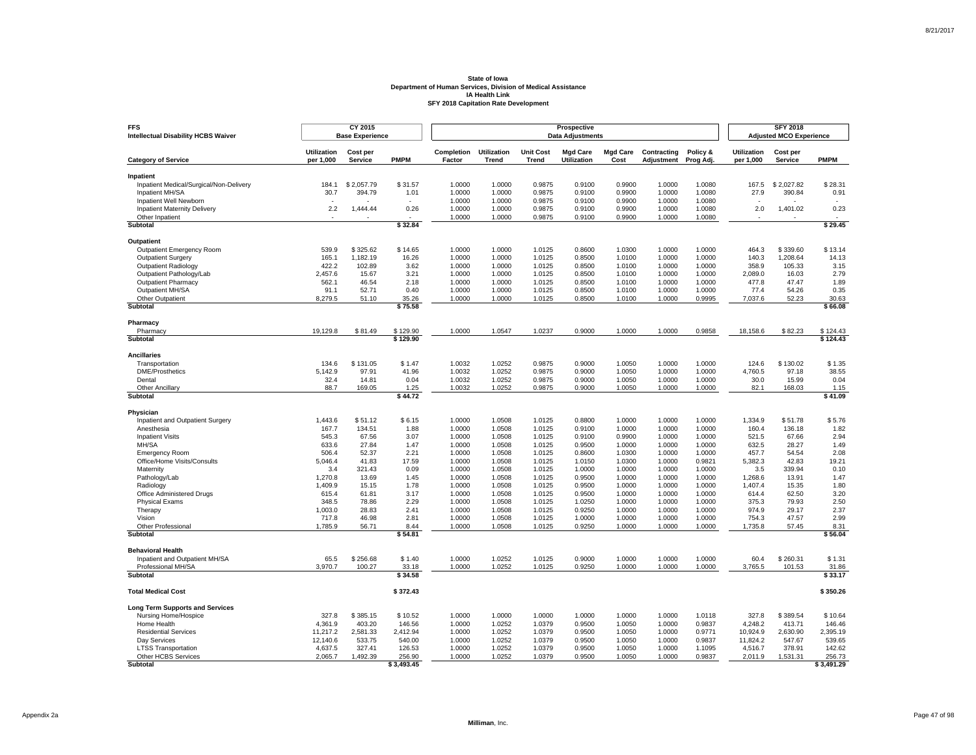| <b>FFS</b><br><b>Intellectual Disability HCBS Waiver</b> |                                 | CY 2015<br><b>Base Experience</b> |                    |                      |                             |                                  | Prospective<br><b>Data Adjustments</b> |                         |                           |                       |                                 | <b>SFY 2018</b><br><b>Adjusted MCO Experience</b> |                    |
|----------------------------------------------------------|---------------------------------|-----------------------------------|--------------------|----------------------|-----------------------------|----------------------------------|----------------------------------------|-------------------------|---------------------------|-----------------------|---------------------------------|---------------------------------------------------|--------------------|
| <b>Category of Service</b>                               | <b>Utilization</b><br>per 1,000 | Cost per<br>Service               | <b>PMPM</b>        | Completion<br>Factor | <b>Utilization</b><br>Trend | <b>Unit Cost</b><br><b>Trend</b> | <b>Mgd Care</b><br>Utilization         | <b>Mgd Care</b><br>Cost | Contracting<br>Adjustment | Policy &<br>Prog Adj. | <b>Utilization</b><br>per 1,000 | Cost per<br>Service                               | <b>PMPM</b>        |
|                                                          |                                 |                                   |                    |                      |                             |                                  |                                        |                         |                           |                       |                                 |                                                   |                    |
| Inpatient<br>Inpatient Medical/Surgical/Non-Delivery     | 184.1                           | \$2,057.79                        | \$31.57            | 1.0000               | 1.0000                      | 0.9875                           | 0.9100                                 | 0.9900                  | 1.0000                    | 1.0080                | 167.5                           | \$2,027.82                                        | \$28.31            |
| Inpatient MH/SA                                          | 30.7                            | 394.79                            | 1.01               | 1.0000               | 1.0000                      | 0.9875                           | 0.9100                                 | 0.9900                  | 1.0000                    | 1.0080                | 27.9                            | 390.84                                            | 0.91               |
| Inpatient Well Newborn                                   |                                 |                                   |                    | 1.0000               | 1.0000                      | 0.9875                           | 0.9100                                 | 0.9900                  | 1.0000                    | 1.0080                |                                 |                                                   |                    |
| <b>Inpatient Maternity Delivery</b>                      | 2.2                             | 1,444.44                          | 0.26               | 1.0000               | 1.0000                      | 0.9875                           | 0.9100                                 | 0.9900                  | 1.0000                    | 1.0080                | 2.0                             | 1,401.02                                          | 0.23               |
| Other Inpatient                                          |                                 |                                   |                    | 1.0000               | 1.0000                      | 0.9875                           | 0.9100                                 | 0.9900                  | 1.0000                    | 1.0080                |                                 |                                                   |                    |
| <b>Subtotal</b>                                          |                                 |                                   | \$32.84            |                      |                             |                                  |                                        |                         |                           |                       |                                 |                                                   | \$29.45            |
| Outpatient                                               |                                 |                                   |                    |                      |                             |                                  |                                        |                         |                           |                       |                                 |                                                   |                    |
| Outpatient Emergency Room                                | 539.9                           | \$325.62                          | \$14.65            | 1.0000               | 1.0000                      | 1.0125                           | 0.8600                                 | 1.0300                  | 1.0000                    | 1.0000                | 464.3                           | \$339.60                                          | \$13.14            |
| <b>Outpatient Surgery</b>                                | 165.1                           | 1.182.19                          | 16.26              | 1.0000               | 1.0000                      | 1.0125                           | 0.8500                                 | 1.0100                  | 1.0000                    | 1.0000                | 140.3                           | 1.208.64                                          | 14.13              |
| Outpatient Radiology                                     | 422.2                           | 102.89                            | 3.62               | 1.0000               | 1.0000                      | 1.0125                           | 0.8500                                 | 1.0100                  | 1.0000                    | 1.0000                | 358.9                           | 105.33                                            | 3.15               |
| Outpatient Pathology/Lab                                 | 2,457.6                         | 15.67                             | 3.21               | 1.0000               | 1.0000                      | 1.0125                           | 0.8500                                 | 1.0100                  | 1.0000                    | 1.0000                | 2,089.0                         | 16.03                                             | 2.79               |
| <b>Outpatient Pharmacy</b><br>Outpatient MH/SA           | 562.1<br>91.1                   | 46.54<br>52.71                    | 2.18<br>0.40       | 1.0000<br>1.0000     | 1.0000<br>1.0000            | 1.0125<br>1.0125                 | 0.8500<br>0.8500                       | 1.0100<br>1.0100        | 1.0000<br>1.0000          | 1.0000<br>1.0000      | 477.8<br>77.4                   | 47.47<br>54.26                                    | 1.89               |
| Other Outpatient                                         | 8,279.5                         | 51.10                             | 35.26              | 1.0000               | 1.0000                      | 1.0125                           | 0.8500                                 | 1.0100                  | 1.0000                    | 0.9995                | 7,037.6                         | 52.23                                             | 0.35<br>30.63      |
| Subtotal                                                 |                                 |                                   | \$75.58            |                      |                             |                                  |                                        |                         |                           |                       |                                 |                                                   | \$66.08            |
|                                                          |                                 |                                   |                    |                      |                             |                                  |                                        |                         |                           |                       |                                 |                                                   |                    |
| Pharmacy<br>Pharmacy                                     | 19,129.8                        | \$81.49                           | \$129.90           | 1.0000               | 1.0547                      | 1.0237                           | 0.9000                                 | 1.0000                  | 1.0000                    | 0.9858                | 18,158.6                        | \$82.23                                           | \$124.43           |
| Subtotal                                                 |                                 |                                   | \$129.90           |                      |                             |                                  |                                        |                         |                           |                       |                                 |                                                   | \$124.43           |
| <b>Ancillaries</b>                                       |                                 |                                   |                    |                      |                             |                                  |                                        |                         |                           |                       |                                 |                                                   |                    |
| Transportation                                           | 134.6                           | \$131.05                          | \$1.47             | 1.0032               | 1.0252                      | 0.9875                           | 0.9000                                 | 1.0050                  | 1.0000                    | 1.0000                | 124.6                           | \$130.02                                          | \$1.35             |
| <b>DME/Prosthetics</b>                                   | 5,142.9                         | 97.91                             | 41.96              | 1.0032               | 1.0252                      | 0.9875                           | 0.9000                                 | 1.0050                  | 1.0000                    | 1.0000                | 4,760.5                         | 97.18                                             | 38.55              |
| Dental                                                   | 32.4                            | 14.81                             | 0.04               | 1.0032               | 1.0252                      | 0.9875                           | 0.9000                                 | 1.0050                  | 1.0000                    | 1.0000                | 30.0                            | 15.99                                             | 0.04               |
| Other Ancillary                                          | 88.7                            | 169.05                            | 1.25               | 1.0032               | 1.0252                      | 0.9875                           | 0.9000                                 | 1.0050                  | 1.0000                    | 1.0000                | 82.1                            | 168.03                                            | 1.15               |
| Subtotal                                                 |                                 |                                   | \$44.72            |                      |                             |                                  |                                        |                         |                           |                       |                                 |                                                   | \$41.09            |
| Physician                                                |                                 |                                   |                    |                      |                             |                                  |                                        |                         |                           |                       |                                 |                                                   |                    |
| Inpatient and Outpatient Surgery                         | 1,443.6                         | \$51.12                           | \$6.15             | 1.0000               | 1.0508                      | 1.0125                           | 0.8800                                 | 1.0000                  | 1.0000                    | 1.0000                | 1,334.9                         | \$51.78                                           | \$5.76             |
| Anesthesia                                               | 167.7                           | 134.51                            | 1.88               | 1.0000               | 1.0508                      | 1.0125                           | 0.9100                                 | 1.0000                  | 1.0000                    | 1.0000                | 160.4                           | 136.18                                            | 1.82               |
| <b>Inpatient Visits</b>                                  | 545.3                           | 67.56                             | 3.07               | 1.0000               | 1.0508                      | 1.0125                           | 0.9100                                 | 0.9900                  | 1.0000                    | 1.0000                | 521.5                           | 67.66                                             | 2.94               |
| MH/SA                                                    | 633.6                           | 27.84                             | 1.47               | 1.0000               | 1.0508                      | 1.0125                           | 0.9500                                 | 1.0000                  | 1.0000                    | 1.0000                | 632.5                           | 28.27                                             | 1.49               |
| <b>Emergency Room</b><br>Office/Home Visits/Consults     | 506.4<br>5,046.4                | 52.37<br>41.83                    | 2.21<br>17.59      | 1.0000<br>1.0000     | 1.0508<br>1.0508            | 1.0125<br>1.0125                 | 0.8600<br>1.0150                       | 1.0300<br>1.0300        | 1.0000<br>1.0000          | 1.0000<br>0.9821      | 457.7<br>5,382.3                | 54.54<br>42.83                                    | 2.08<br>19.21      |
| Maternity                                                | 3.4                             | 321.43                            | 0.09               | 1.0000               | 1.0508                      | 1.0125                           | 1.0000                                 | 1.0000                  | 1.0000                    | 1.0000                | 3.5                             | 339.94                                            | 0.10               |
| Pathology/Lab                                            | 1,270.8                         | 13.69                             | 1.45               | 1.0000               | 1.0508                      | 1.0125                           | 0.9500                                 | 1.0000                  | 1.0000                    | 1.0000                | 1,268.6                         | 13.91                                             | 1.47               |
| Radiology                                                | 1,409.9                         | 15.15                             | 1.78               | 1.0000               | 1.0508                      | 1.0125                           | 0.9500                                 | 1.0000                  | 1.0000                    | 1.0000                | 1,407.4                         | 15.35                                             | 1.80               |
| Office Administered Drugs                                | 615.4                           | 61.81                             | 3.17               | 1.0000               | 1.0508                      | 1.0125                           | 0.9500                                 | 1.0000                  | 1.0000                    | 1.0000                | 614.4                           | 62.50                                             | 3.20               |
| <b>Physical Exams</b>                                    | 348.5                           | 78.86                             | 2.29               | 1.0000               | 1.0508                      | 1.0125                           | 1.0250                                 | 1.0000                  | 1.0000                    | 1.0000                | 375.3                           | 79.93                                             | 2.50               |
| Therapy                                                  | 1,003.0                         | 28.83                             | 2.41               | 1.0000               | 1.0508                      | 1.0125                           | 0.9250                                 | 1.0000                  | 1.0000                    | 1.0000                | 974.9                           | 29.17                                             | 2.37               |
| Vision                                                   | 717.8                           | 46.98                             | 2.81               | 1.0000               | 1.0508                      | 1.0125                           | 1.0000                                 | 1.0000                  | 1.0000                    | 1.0000                | 754.3                           | 47.57                                             | 2.99               |
| Other Professional<br>Subtotal                           | 1,785.9                         | 56.71                             | 8.44<br>\$54.81    | 1.0000               | 1.0508                      | 1.0125                           | 0.9250                                 | 1.0000                  | 1.0000                    | 1.0000                | 1,735.8                         | 57.45                                             | 8.31<br>\$56.04    |
|                                                          |                                 |                                   |                    |                      |                             |                                  |                                        |                         |                           |                       |                                 |                                                   |                    |
| <b>Behavioral Health</b>                                 | 65.5                            | \$256.68                          | \$1.40             | 1.0000               | 1.0252                      | 1.0125                           | 0.9000                                 | 1.0000                  | 1.0000                    | 1.0000                | 60.4                            | \$260.31                                          | \$1.31             |
| Inpatient and Outpatient MH/SA<br>Professional MH/SA     | 3,970.7                         | 100.27                            | 33.18              | 1.0000               | 1.0252                      | 1.0125                           | 0.9250                                 | 1.0000                  | 1.0000                    | 1.0000                | 3,765.5                         | 101.53                                            | 31.86              |
| <b>Subtotal</b>                                          |                                 |                                   | \$34.58            |                      |                             |                                  |                                        |                         |                           |                       |                                 |                                                   | \$33.17            |
|                                                          |                                 |                                   |                    |                      |                             |                                  |                                        |                         |                           |                       |                                 |                                                   |                    |
| <b>Total Medical Cost</b>                                |                                 |                                   | \$372.43           |                      |                             |                                  |                                        |                         |                           |                       |                                 |                                                   | \$350.26           |
| <b>Long Term Supports and Services</b>                   |                                 |                                   |                    |                      |                             |                                  |                                        |                         |                           |                       |                                 |                                                   |                    |
| Nursing Home/Hospice                                     | 327.8                           | \$385.15                          | \$10.52            | 1.0000               | 1.0000                      | 1.0000                           | 1.0000                                 | 1.0000                  | 1.0000                    | 1.0118                | 327.8                           | \$389.54                                          | \$10.64            |
| Home Health                                              | 4,361.9                         | 403.20                            | 146.56             | 1.0000               | 1.0252                      | 1.0379                           | 0.9500                                 | 1.0050                  | 1.0000                    | 0.9837                | 4,248.2                         | 413.71                                            | 146.46             |
| <b>Residential Services</b><br>Day Services              | 11,217.2                        | 2,581.33<br>533.75                | 2,412.94<br>540.00 | 1.0000               | 1.0252<br>1.0252            | 1.0379<br>1.0379                 | 0.9500<br>0.9500                       | 1.0050                  | 1.0000<br>1.0000          | 0.9771<br>0.9837      | 10,924.9<br>11,824.2            | 2,630.90                                          | 2,395.19<br>539.65 |
| <b>LTSS Transportation</b>                               | 12,140.6<br>4,637.5             | 327.41                            | 126.53             | 1.0000<br>1.0000     | 1.0252                      | 1.0379                           | 0.9500                                 | 1.0050<br>1.0050        | 1.0000                    | 1.1095                | 4,516.7                         | 547.67<br>378.91                                  | 142.62             |
| Other HCBS Services                                      | 2,065.7                         | 1,492.39                          | 256.90             | 1.0000               | 1.0252                      | 1.0379                           | 0.9500                                 | 1.0050                  | 1.0000                    | 0.9837                | 2,011.9                         | 1,531.31                                          | 256.73             |
| Subtotal                                                 |                                 |                                   | \$3,493.45         |                      |                             |                                  |                                        |                         |                           |                       |                                 |                                                   | \$3,491.29         |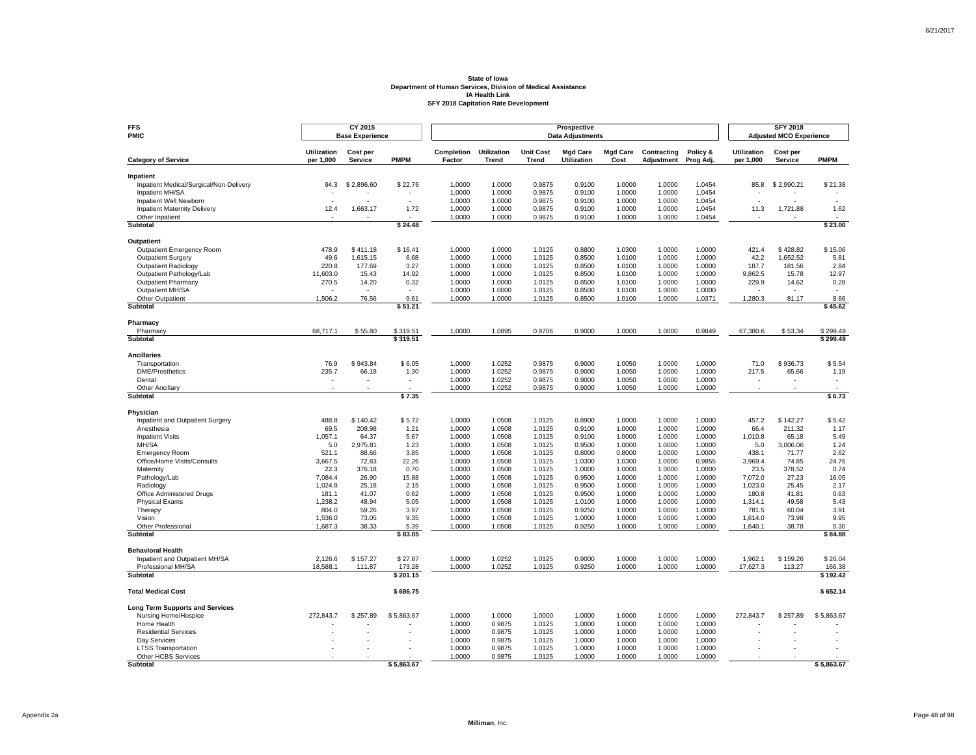| <b>FFS</b><br>PMIC                      |                                 | CY 2015<br><b>Base Experience</b> |                          |                             |                             |                                  | Prospective<br><b>Data Adjustments</b> |                         |                           |                       |                                 | <b>SFY 2018</b><br><b>Adjusted MCO Experience</b> |                    |
|-----------------------------------------|---------------------------------|-----------------------------------|--------------------------|-----------------------------|-----------------------------|----------------------------------|----------------------------------------|-------------------------|---------------------------|-----------------------|---------------------------------|---------------------------------------------------|--------------------|
| <b>Category of Service</b>              | <b>Utilization</b><br>per 1,000 | Cost per<br>Service               | <b>PMPM</b>              | <b>Completion</b><br>Factor | <b>Utilization</b><br>Trend | <b>Unit Cost</b><br><b>Trend</b> | <b>Mad Care</b><br>Utilization         | <b>Mad Care</b><br>Cost | Contracting<br>Adjustment | Policy &<br>Prog Adj. | <b>Utilization</b><br>per 1,000 | Cost per<br>Service                               | <b>PMPM</b>        |
| Inpatient                               |                                 |                                   |                          |                             |                             |                                  |                                        |                         |                           |                       |                                 |                                                   |                    |
| Inpatient Medical/Surgical/Non-Delivery | 94.3                            | \$2,896.60                        | \$22.76                  | 1.0000                      | 1.0000                      | 0.9875                           | 0.9100                                 | 1.0000                  | 1.0000                    | 1.0454                | 85.8                            | \$2,990.21                                        | \$21.38            |
| Inpatient MH/SA                         |                                 |                                   |                          | 1.0000                      | 1.0000                      | 0.9875                           | 0.9100                                 | 1.0000                  | 1.0000                    | 1.0454                |                                 |                                                   |                    |
| Inpatient Well Newborn                  |                                 |                                   |                          | 1.0000                      | 1.0000                      | 0.9875                           | 0.9100                                 | 1.0000                  | 1.0000                    | 1.0454                |                                 |                                                   |                    |
| Inpatient Maternity Delivery            | 12.4                            | 1,663.17                          | 1.72                     | 1.0000                      | 1.0000                      | 0.9875                           | 0.9100                                 | 1.0000                  | 1.0000                    | 1.0454                | 11.3                            | 1,721.88                                          | 1.62               |
| Other Inpatient                         |                                 |                                   |                          | 1.0000                      | 1.0000                      | 0.9875                           | 0.9100                                 | 1.0000                  | 1.0000                    | 1.0454                |                                 |                                                   | in 1919.           |
| Subtotal                                |                                 |                                   | \$24.48                  |                             |                             |                                  |                                        |                         |                           |                       |                                 |                                                   | \$23.00            |
| Outpatient                              |                                 |                                   |                          |                             |                             |                                  |                                        |                         |                           |                       |                                 |                                                   |                    |
| Outpatient Emergency Room               | 478.9                           | \$411.18                          | \$16.41                  | 1.0000                      | 1.0000                      | 1.0125                           | 0.8800                                 | 1.0300                  | 1.0000                    | 1.0000                | 421.4                           | \$428.82                                          | \$15.06            |
| <b>Outpatient Surgery</b>               | 49.6                            | 1.615.15                          | 6.68                     | 1.0000                      | 1.0000                      | 1.0125                           | 0.8500                                 | 1.0100                  | 1.0000                    | 1.0000                | 42.2                            | 1.652.52                                          | 5.81               |
| <b>Outpatient Radiology</b>             | 220.8                           | 177.69                            | 3.27                     | 1.0000                      | 1.0000                      | 1.0125                           | 0.8500                                 | 1.0100                  | 1.0000                    | 1.0000                | 187.7                           | 181.56                                            | 2.84               |
| Outpatient Pathology/Lab                | 11,603.0                        | 15.43                             | 14.92                    | 1.0000                      | 1.0000                      | 1.0125                           | 0.8500                                 | 1.0100                  | 1.0000                    | 1.0000                | 9,862.5                         | 15.78                                             | 12.97              |
| <b>Outpatient Pharmacy</b>              | 270.5                           | 14.20                             | 0.32                     | 1.0000                      | 1.0000                      | 1.0125                           | 0.8500                                 | 1.0100                  | 1.0000                    | 1.0000                | 229.9                           | 14.62                                             | 0.28               |
| Outpatient MH/SA                        |                                 |                                   | $\sim$                   | 1.0000                      | 1.0000                      | 1.0125                           | 0.8500                                 | 1.0100                  | 1.0000                    | 1.0000                | ×.                              |                                                   | $\sim$             |
| Other Outpatient                        | 1,506.2                         | 76.56                             | 9.61<br>\$51.21          | 1.0000                      | 1.0000                      | 1.0125                           | 0.8500                                 | 1.0100                  | 1.0000                    | 1.0371                | 1,280.3                         | 81.17                                             | 8.66<br>\$45.62    |
| Subtotal                                |                                 |                                   |                          |                             |                             |                                  |                                        |                         |                           |                       |                                 |                                                   |                    |
| Pharmacy                                |                                 |                                   |                          |                             |                             |                                  |                                        |                         |                           |                       |                                 |                                                   |                    |
| Pharmacy                                | 68,717.1                        | \$55.80                           | \$319.51                 | 1.0000                      | 1.0895                      | 0.9706                           | 0.9000                                 | 1.0000                  | 1.0000                    | 0.9849                | 67,380.6                        | \$53.34                                           | \$299.49           |
| Subtotal                                |                                 |                                   | \$319.51                 |                             |                             |                                  |                                        |                         |                           |                       |                                 |                                                   | \$299.49           |
| <b>Ancillaries</b>                      |                                 |                                   |                          |                             |                             |                                  |                                        |                         |                           |                       |                                 |                                                   |                    |
| Transportation                          | 76.9                            | \$943.84                          | \$6.05                   | 1.0000                      | 1.0252                      | 0.9875                           | 0.9000                                 | 1.0050                  | 1.0000                    | 1.0000                | 71.0                            | \$936.73                                          | \$5.54             |
| <b>DME/Prosthetics</b>                  | 235.7                           | 66.18                             | 1.30                     | 1.0000                      | 1.0252                      | 0.9875                           | 0.9000                                 | 1.0050                  | 1.0000                    | 1.0000                | 217.5                           | 65.66                                             | 1.19               |
| Dental                                  | $\overline{\phantom{a}}$        |                                   | $\overline{\phantom{a}}$ | 1.0000                      | 1.0252                      | 0.9875                           | 0.9000                                 | 1.0050                  | 1.0000                    | 1.0000                | ٠                               | ٠                                                 |                    |
| Other Ancillary<br>Subtotal             |                                 |                                   | \$7.35                   | 1.0000                      | 1.0252                      | 0.9875                           | 0.9000                                 | 1.0050                  | 1.0000                    | 1.0000                |                                 |                                                   | \$6.73             |
|                                         |                                 |                                   |                          |                             |                             |                                  |                                        |                         |                           |                       |                                 |                                                   |                    |
| Physician                               |                                 |                                   |                          |                             |                             |                                  |                                        |                         |                           |                       |                                 |                                                   |                    |
| Inpatient and Outpatient Surgery        | 488.8                           | \$140.42                          | \$5.72                   | 1.0000                      | 1.0508                      | 1.0125                           | 0.8900                                 | 1.0000                  | 1.0000                    | 1.0000                | 457.2                           | \$142.27                                          | \$5.42             |
| Anesthesia                              | 69.5                            | 208.98                            | 1.21                     | 1.0000                      | 1.0508                      | 1.0125                           | 0.9100<br>0.9100                       | 1.0000                  | 1.0000                    | 1.0000                | 66.4                            | 211.32                                            | 1.17               |
| <b>Inpatient Visits</b><br>MH/SA        | 1,057.1<br>5.0                  | 64.37<br>2,975.81                 | 5.67<br>1.23             | 1.0000<br>1.0000            | 1.0508<br>1.0508            | 1.0125<br>1.0125                 | 0.9500                                 | 1.0000<br>1.0000        | 1.0000<br>1.0000          | 1.0000<br>1.0000      | 1,010.8<br>5.0                  | 65.18<br>3,006.06                                 | 5.49<br>1.24       |
| <b>Emergency Room</b>                   | 521.1                           | 88.66                             | 3.85                     | 1.0000                      | 1.0508                      | 1.0125                           | 0.8000                                 | 0.8000                  | 1.0000                    | 1.0000                | 438.1                           | 71.77                                             | 2.62               |
| Office/Home Visits/Consults             | 3,667.5                         | 72.83                             | 22.26                    | 1.0000                      | 1.0508                      | 1.0125                           | 1.0300                                 | 1.0300                  | 1.0000                    | 0.9855                | 3,969.4                         | 74.85                                             | 24.76              |
| Maternity                               | 22.3                            | 376.18                            | 0.70                     | 1.0000                      | 1.0508                      | 1.0125                           | 1.0000                                 | 1.0000                  | 1.0000                    | 1.0000                | 23.5                            | 378.52                                            | 0.74               |
| Pathology/Lab                           | 7,084.4                         | 26.90                             | 15.88                    | 1.0000                      | 1.0508                      | 1.0125                           | 0.9500                                 | 1.0000                  | 1.0000                    | 1.0000                | 7,072.0                         | 27.23                                             | 16.05              |
| Radiology                               | 1,024.8                         | 25.18                             | 2.15                     | 1.0000                      | 1.0508                      | 1.0125                           | 0.9500                                 | 1.0000                  | 1.0000                    | 1.0000                | 1,023.0                         | 25.45                                             | 2.17               |
| Office Administered Drugs               | 181.1                           | 41.07                             | 0.62                     | 1.0000                      | 1.0508                      | 1.0125                           | 0.9500                                 | 1.0000                  | 1.0000                    | 1.0000                | 180.8                           | 41.81                                             | 0.63               |
| <b>Physical Exams</b>                   | 1,238.2                         | 48.94                             | 5.05                     | 1.0000                      | 1.0508                      | 1.0125                           | 1.0100                                 | 1.0000                  | 1.0000                    | 1.0000                | 1,314.1                         | 49.58                                             | 5.43               |
| Therapy                                 | 804.0                           | 59.26                             | 3.97                     | 1.0000                      | 1.0508                      | 1.0125                           | 0.9250                                 | 1.0000                  | 1.0000                    | 1.0000                | 781.5                           | 60.04                                             | 3.91               |
| Vision                                  | 1,536.0                         | 73.05                             | 9.35                     | 1.0000                      | 1.0508                      | 1.0125                           | 1.0000                                 | 1.0000                  | 1.0000                    | 1.0000                | 1,614.0                         | 73.98                                             | 9.95               |
| Other Professional<br><b>Subtotal</b>   | 1,687.3                         | 38.33                             | 5.39<br>\$83.05          | 1.0000                      | 1.0508                      | 1.0125                           | 0.9250                                 | 1.0000                  | 1.0000                    | 1.0000                | 1,640.1                         | 38.78                                             | 5.30<br>\$84.88    |
|                                         |                                 |                                   |                          |                             |                             |                                  |                                        |                         |                           |                       |                                 |                                                   |                    |
| <b>Behavioral Health</b>                |                                 |                                   |                          |                             |                             |                                  |                                        |                         |                           |                       |                                 |                                                   |                    |
| Inpatient and Outpatient MH/SA          | 2,126.6                         | \$157.27                          | \$27.87                  | 1.0000                      | 1.0252                      | 1.0125                           | 0.9000                                 | 1.0000                  | 1.0000                    | 1.0000                | 1,962.1                         | \$159.26                                          | \$26.04            |
| Professional MH/SA<br>Subtotal          | 18,588.1                        | 111.87                            | 173.28<br>\$201.15       | 1.0000                      | 1.0252                      | 1.0125                           | 0.9250                                 | 1.0000                  | 1.0000                    | 1.0000                | 17,627.3                        | 113.27                                            | 166.38<br>\$192.42 |
|                                         |                                 |                                   |                          |                             |                             |                                  |                                        |                         |                           |                       |                                 |                                                   |                    |
| <b>Total Medical Cost</b>               |                                 |                                   | \$686.75                 |                             |                             |                                  |                                        |                         |                           |                       |                                 |                                                   | \$652.14           |
| <b>Long Term Supports and Services</b>  |                                 |                                   |                          |                             |                             |                                  |                                        |                         |                           |                       |                                 |                                                   |                    |
| Nursing Home/Hospice                    | 272,843.7                       | \$257.89                          | \$5,863.67               | 1.0000                      | 1.0000                      | 1.0000                           | 1.0000                                 | 1.0000                  | 1.0000                    | 1.0000                | 272,843.7                       | \$257.89                                          | \$5,863.67         |
| Home Health                             |                                 |                                   |                          | 1.0000                      | 0.9875                      | 1.0125                           | 1.0000                                 | 1.0000                  | 1.0000                    | 1.0000                |                                 |                                                   |                    |
| <b>Residential Services</b>             |                                 |                                   |                          | 1.0000                      | 0.9875                      | 1.0125                           | 1.0000                                 | 1.0000                  | 1.0000                    | 1.0000                |                                 |                                                   |                    |
| Day Services                            |                                 |                                   |                          | 1.0000                      | 0.9875                      | 1.0125                           | 1.0000                                 | 1.0000                  | 1.0000                    | 1.0000                |                                 |                                                   |                    |
| <b>LTSS Transportation</b>              |                                 |                                   |                          | 1.0000                      | 0.9875                      | 1.0125                           | 1.0000                                 | 1.0000                  | 1.0000                    | 1.0000                |                                 |                                                   |                    |
| Other HCBS Services<br>Subtotal         |                                 |                                   | \$5.863.67               | 1.0000                      | 0.9875                      | 1.0125                           | 1.0000                                 | 1.0000                  | 1.0000                    | 1.0000                |                                 |                                                   | \$5,863.67         |
|                                         |                                 |                                   |                          |                             |                             |                                  |                                        |                         |                           |                       |                                 |                                                   |                    |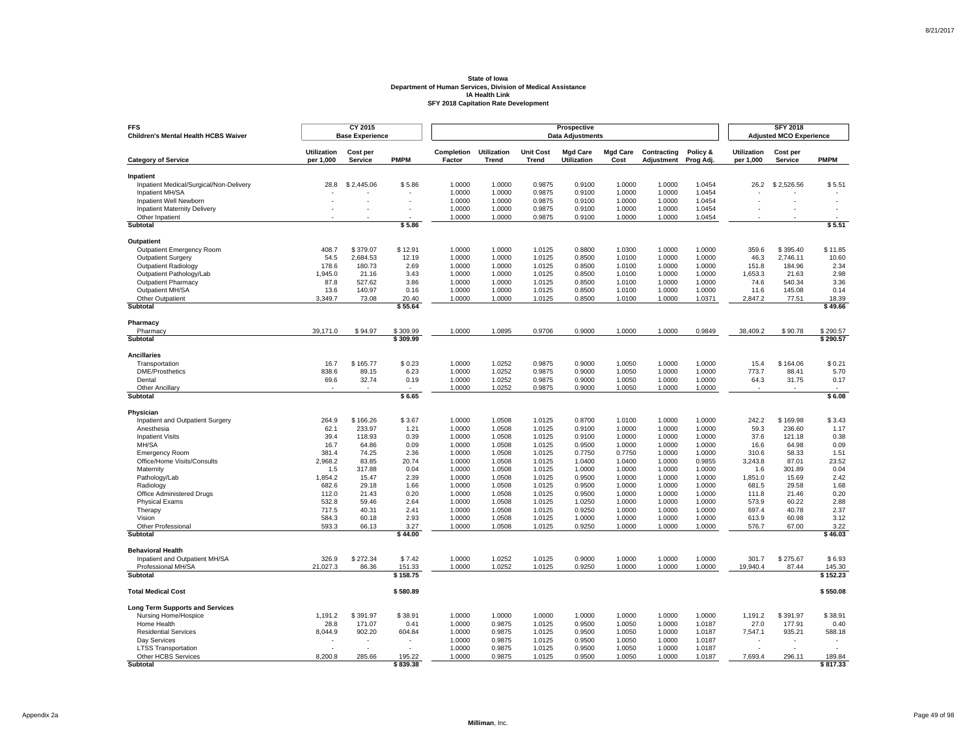| <b>FFS</b><br>Children's Mental Health HCBS Waiver   |                                 | CY 2015<br><b>Base Experience</b> |                        |                      |                             |                                  | Prospective<br><b>Data Adjustments</b> |                         |                           |                       |                                 | <b>SFY 2018</b><br><b>Adjusted MCO Experience</b> |                          |
|------------------------------------------------------|---------------------------------|-----------------------------------|------------------------|----------------------|-----------------------------|----------------------------------|----------------------------------------|-------------------------|---------------------------|-----------------------|---------------------------------|---------------------------------------------------|--------------------------|
| <b>Category of Service</b>                           | <b>Utilization</b><br>per 1,000 | Cost per<br><b>Service</b>        | <b>PMPM</b>            | Completion<br>Factor | <b>Utilization</b><br>Trend | <b>Unit Cost</b><br><b>Trend</b> | <b>Mgd Care</b><br><b>Utilization</b>  | <b>Mgd Care</b><br>Cost | Contracting<br>Adjustment | Policy &<br>Prog Adj. | <b>Utilization</b><br>per 1,000 | Cost per<br>Service                               | <b>PMPM</b>              |
|                                                      |                                 |                                   |                        |                      |                             |                                  |                                        |                         |                           |                       |                                 |                                                   |                          |
| Inpatient<br>Inpatient Medical/Surgical/Non-Delivery | 28.8                            | \$2,445.06                        | \$5.86                 | 1.0000               | 1.0000                      | 0.9875                           | 0.9100                                 | 1.0000                  | 1.0000                    | 1.0454                | 26.2                            | \$2,526.56                                        | \$5.51                   |
| Inpatient MH/SA                                      |                                 |                                   |                        | 1.0000               | 1.0000                      | 0.9875                           | 0.9100                                 | 1.0000                  | 1.0000                    | 1.0454                |                                 |                                                   |                          |
| Inpatient Well Newborn                               |                                 |                                   |                        | 1.0000               | 1.0000                      | 0.9875                           | 0.9100                                 | 1.0000                  | 1.0000                    | 1.0454                |                                 |                                                   | i,                       |
| <b>Inpatient Maternity Delivery</b>                  |                                 | ÷                                 | $\overline{a}$         | 1.0000               | 1.0000                      | 0.9875                           | 0.9100                                 | 1.0000                  | 1.0000                    | 1.0454                |                                 |                                                   | $\overline{\phantom{a}}$ |
| Other Inpatient                                      |                                 |                                   |                        | 1.0000               | 1.0000                      | 0.9875                           | 0.9100                                 | 1.0000                  | 1.0000                    | 1.0454                |                                 |                                                   |                          |
| <b>Subtotal</b>                                      |                                 |                                   | \$5.86                 |                      |                             |                                  |                                        |                         |                           |                       |                                 |                                                   | \$5.51                   |
| Outpatient                                           |                                 |                                   |                        |                      |                             |                                  |                                        |                         |                           |                       |                                 |                                                   |                          |
| <b>Outpatient Emergency Room</b>                     | 408.7                           | \$379.07                          | \$12.91                | 1.0000               | 1.0000                      | 1.0125                           | 0.8800                                 | 1.0300                  | 1.0000                    | 1.0000                | 359.6                           | \$395.40                                          | \$11.85                  |
| <b>Outpatient Surgery</b>                            | 54.5                            | 2,684.53                          | 12.19                  | 1.0000               | 1.0000                      | 1.0125                           | 0.8500                                 | 1.0100                  | 1.0000                    | 1.0000                | 46.3                            | 2,746.11                                          | 10.60                    |
| <b>Outpatient Radiology</b>                          | 178.6                           | 180.73                            | 2.69                   | 1.0000               | 1.0000                      | 1.0125                           | 0.8500                                 | 1.0100                  | 1.0000                    | 1.0000                | 151.8                           | 184.96                                            | 2.34                     |
| Outpatient Pathology/Lab                             | 1,945.0                         | 21.16                             | 3.43                   | 1.0000               | 1.0000                      | 1.0125                           | 0.8500                                 | 1.0100                  | 1.0000                    | 1.0000                | 1,653.3                         | 21.63                                             | 2.98                     |
| <b>Outpatient Pharmacy</b>                           | 87.8                            | 527.62                            | 3.86                   | 1.0000               | 1.0000                      | 1.0125                           | 0.8500                                 | 1.0100                  | 1.0000                    | 1.0000                | 74.6                            | 540.34                                            | 3.36                     |
| Outpatient MH/SA                                     | 13.6                            | 140.97                            | 0.16                   | 1.0000               | 1.0000                      | 1.0125                           | 0.8500                                 | 1.0100                  | 1.0000                    | 1.0000                | 11.6                            | 145.08                                            | 0.14                     |
| Other Outpatient                                     | 3,349.7                         | 73.08                             | 20.40                  | 1.0000               | 1.0000                      | 1.0125                           | 0.8500                                 | 1.0100                  | 1.0000                    | 1.0371                | 2,847.2                         | 77.51                                             | 18.39                    |
| Subtotal                                             |                                 |                                   | \$55.64                |                      |                             |                                  |                                        |                         |                           |                       |                                 |                                                   | \$49.66                  |
| Pharmacy                                             |                                 |                                   |                        |                      |                             |                                  |                                        |                         |                           |                       |                                 |                                                   |                          |
| Pharmacy                                             | 39,171.0                        | \$94.97                           | \$309.99               | 1.0000               | 1.0895                      | 0.9706                           | 0.9000                                 | 1.0000                  | 1.0000                    | 0.9849                | 38,409.2                        | \$90.78                                           | \$290.57                 |
| Subtotal                                             |                                 |                                   | \$309.99               |                      |                             |                                  |                                        |                         |                           |                       |                                 |                                                   | \$290.57                 |
| <b>Ancillaries</b>                                   |                                 |                                   |                        |                      |                             |                                  |                                        |                         |                           |                       |                                 |                                                   |                          |
| Transportation                                       | 16.7                            | \$165.77                          | \$0.23                 | 1.0000               | 1.0252                      | 0.9875                           | 0.9000                                 | 1.0050                  | 1.0000                    | 1.0000                | 15.4                            | \$164.06                                          | \$0.21                   |
| <b>DME/Prosthetics</b>                               | 838.6                           | 89.15                             | 6.23                   | 1.0000               | 1.0252                      | 0.9875                           | 0.9000                                 | 1.0050                  | 1.0000                    | 1.0000                | 773.7                           | 88.41                                             | 5.70                     |
| Dental                                               | 69.6                            | 32.74                             | 0.19                   | 1.0000               | 1.0252                      | 0.9875                           | 0.9000                                 | 1.0050                  | 1.0000                    | 1.0000                | 64.3                            | 31.75                                             | 0.17                     |
| <b>Other Ancillary</b><br>Subtotal                   | $\mathbf{r}$                    | ٠                                 | $\mathbf{r}$<br>\$6.65 | 1.0000               | 1.0252                      | 0.9875                           | 0.9000                                 | 1.0050                  | 1.0000                    | 1.0000                | $\sim$                          |                                                   | $\mathbf{r}$<br>\$6.08   |
|                                                      |                                 |                                   |                        |                      |                             |                                  |                                        |                         |                           |                       |                                 |                                                   |                          |
| Physician                                            |                                 |                                   |                        |                      |                             |                                  |                                        |                         |                           |                       |                                 |                                                   |                          |
| Inpatient and Outpatient Surgery<br>Anesthesia       | 264.9<br>62.1                   | \$166.26<br>233.97                | \$3.67<br>1.21         | 1.0000<br>1.0000     | 1.0508<br>1.0508            | 1.0125<br>1.0125                 | 0.8700<br>0.9100                       | 1.0100<br>1.0000        | 1.0000<br>1.0000          | 1.0000<br>1.0000      | 242.2<br>59.3                   | \$169.98<br>236.60                                | \$3.43<br>1.17           |
| <b>Inpatient Visits</b>                              | 39.4                            | 118.93                            | 0.39                   | 1.0000               | 1.0508                      | 1.0125                           | 0.9100                                 | 1.0000                  | 1.0000                    | 1.0000                | 37.6                            | 121.18                                            | 0.38                     |
| MH/SA                                                | 16.7                            | 64.86                             | 0.09                   | 1.0000               | 1.0508                      | 1.0125                           | 0.9500                                 | 1.0000                  | 1.0000                    | 1.0000                | 16.6                            | 64.98                                             | 0.09                     |
| <b>Emergency Room</b>                                | 381.4                           | 74.25                             | 2.36                   | 1.0000               | 1.0508                      | 1.0125                           | 0.7750                                 | 0.7750                  | 1.0000                    | 1.0000                | 310.6                           | 58.33                                             | 1.51                     |
| Office/Home Visits/Consults                          | 2,968.2                         | 83.85                             | 20.74                  | 1.0000               | 1.0508                      | 1.0125                           | 1.0400                                 | 1.0400                  | 1.0000                    | 0.9855                | 3,243.8                         | 87.01                                             | 23.52                    |
| Maternity                                            | 1.5                             | 317.88                            | 0.04                   | 1.0000               | 1.0508                      | 1.0125                           | 1.0000                                 | 1.0000                  | 1.0000                    | 1.0000                | 1.6                             | 301.89                                            | 0.04                     |
| Pathology/Lab                                        | 1,854.2                         | 15.47                             | 2.39                   | 1.0000               | 1.0508                      | 1.0125                           | 0.9500                                 | 1.0000                  | 1.0000                    | 1.0000                | 1,851.0                         | 15.69                                             | 2.42                     |
| Radiology                                            | 682.6                           | 29.18                             | 1.66                   | 1.0000               | 1.0508                      | 1.0125                           | 0.9500                                 | 1.0000                  | 1.0000                    | 1.0000                | 681.5                           | 29.58                                             | 1.68                     |
| Office Administered Drugs                            | 112.0                           | 21.43                             | 0.20                   | 1.0000               | 1.0508                      | 1.0125                           | 0.9500                                 | 1.0000                  | 1.0000                    | 1.0000                | 111.8                           | 21.46                                             | 0.20                     |
| <b>Physical Exams</b>                                | 532.8                           | 59.46                             | 2.64                   | 1.0000               | 1.0508                      | 1.0125                           | 1.0250                                 | 1.0000                  | 1.0000                    | 1.0000                | 573.9                           | 60.22                                             | 2.88                     |
| Therapy                                              | 717.5                           | 40.31                             | 2.41                   | 1.0000               | 1.0508                      | 1.0125                           | 0.9250                                 | 1.0000                  | 1.0000                    | 1.0000                | 697.4                           | 40.78                                             | 2.37                     |
| Vision                                               | 584.3                           | 60.18                             | 2.93                   | 1.0000               | 1.0508                      | 1.0125                           | 1.0000                                 | 1.0000                  | 1.0000                    | 1.0000                | 613.9                           | 60.98                                             | 3.12                     |
| Other Professional<br>Subtotal                       | 593.3                           | 66.13                             | 3.27<br>\$44.00        | 1.0000               | 1.0508                      | 1.0125                           | 0.9250                                 | 1.0000                  | 1.0000                    | 1.0000                | 576.7                           | 67.00                                             | 3.22<br>\$46.03          |
|                                                      |                                 |                                   |                        |                      |                             |                                  |                                        |                         |                           |                       |                                 |                                                   |                          |
| <b>Behavioral Health</b>                             |                                 |                                   |                        |                      |                             |                                  |                                        |                         |                           |                       |                                 |                                                   |                          |
| Inpatient and Outpatient MH/SA                       | 326.9                           | \$272.34                          | \$7.42                 | 1.0000               | 1.0252                      | 1.0125                           | 0.9000                                 | 1.0000                  | 1.0000                    | 1.0000                | 301.7                           | \$275.67                                          | \$6.93                   |
| Professional MH/SA<br><b>Subtotal</b>                | 21,027.3                        | 86.36                             | 151.33<br>\$158.75     | 1.0000               | 1.0252                      | 1.0125                           | 0.9250                                 | 1.0000                  | 1.0000                    | 1.0000                | 19,940.4                        | 87.44                                             | 145.30<br>\$152.23       |
|                                                      |                                 |                                   |                        |                      |                             |                                  |                                        |                         |                           |                       |                                 |                                                   |                          |
| <b>Total Medical Cost</b>                            |                                 |                                   | \$580.89               |                      |                             |                                  |                                        |                         |                           |                       |                                 |                                                   | \$550.08                 |
| <b>Long Term Supports and Services</b>               |                                 |                                   |                        |                      |                             |                                  |                                        |                         |                           |                       |                                 |                                                   |                          |
| Nursing Home/Hospice                                 | 1,191.2                         | \$391.97                          | \$38.91                | 1.0000               | 1.0000                      | 1.0000                           | 1.0000                                 | 1.0000                  | 1.0000                    | 1.0000                | 1,191.2                         | \$391.97                                          | \$38.91                  |
| Home Health                                          | 28.8                            | 171.07                            | 0.41                   | 1.0000               | 0.9875                      | 1.0125                           | 0.9500                                 | 1.0050                  | 1.0000                    | 1.0187                | 27.0                            | 177.91                                            | 0.40                     |
| <b>Residential Services</b>                          | 8,044.9                         | 902.20                            | 604.84                 | 1.0000               | 0.9875                      | 1.0125                           | 0.9500                                 | 1.0050                  | 1.0000                    | 1.0187                | 7,547.1                         | 935.21                                            | 588.18                   |
| Dav Services                                         |                                 |                                   |                        | 1.0000               | 0.9875                      | 1.0125                           | 0.9500                                 | 1.0050                  | 1.0000                    | 1.0187                |                                 |                                                   |                          |
| <b>LTSS Transportation</b>                           |                                 |                                   |                        | 1.0000               | 0.9875                      | 1.0125                           | 0.9500                                 | 1.0050                  | 1.0000                    | 1.0187                |                                 |                                                   |                          |
| Other HCBS Services<br>Subtotal                      | 8,200.8                         | 285.66                            | 195.22<br>\$839.38     | 1.0000               | 0.9875                      | 1.0125                           | 0.9500                                 | 1.0050                  | 1.0000                    | 1.0187                | 7,693.4                         | 296.11                                            | 189.84<br>\$817.33       |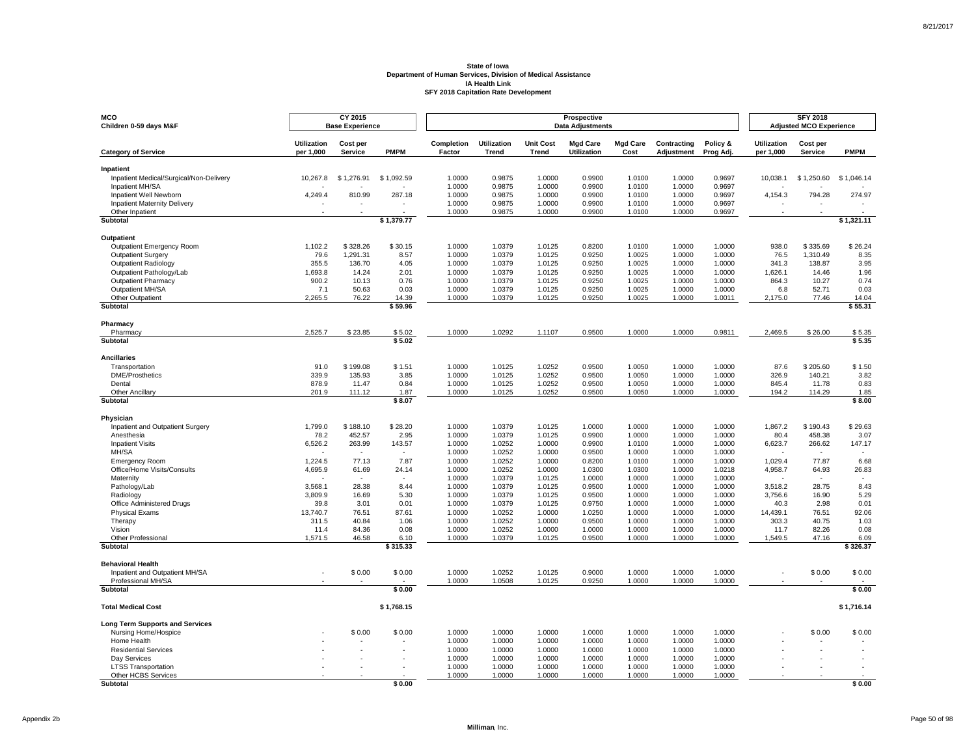| MCO<br>Children 0-59 days M&F                          |                                 | CY 2015<br><b>Base Experience</b> |                |                      |                             |                           | Prospective<br><b>Data Adjustments</b> |                         |                           |                       |                                 | <b>SFY 2018</b><br><b>Adjusted MCO Experience</b> |                                    |
|--------------------------------------------------------|---------------------------------|-----------------------------------|----------------|----------------------|-----------------------------|---------------------------|----------------------------------------|-------------------------|---------------------------|-----------------------|---------------------------------|---------------------------------------------------|------------------------------------|
| <b>Category of Service</b>                             | <b>Utilization</b><br>per 1,000 | Cost per<br><b>Service</b>        | <b>PMPM</b>    | Completion<br>Factor | <b>Utilization</b><br>Trend | <b>Unit Cost</b><br>Trend | <b>Mgd Care</b><br><b>Utilization</b>  | <b>Mgd Care</b><br>Cost | Contracting<br>Adjustment | Policy &<br>Prog Adj. | <b>Utilization</b><br>per 1,000 | Cost per<br>Service                               | <b>PMPM</b>                        |
| Inpatient                                              |                                 |                                   |                |                      |                             |                           |                                        |                         |                           |                       |                                 |                                                   |                                    |
| Inpatient Medical/Surgical/Non-Delivery                | 10,267.8                        | \$1,276.91                        | \$1,092.59     | 1.0000               | 0.9875                      | 1.0000                    | 0.9900                                 | 1.0100                  | 1.0000                    | 0.9697                | 10,038.1                        | \$1,250.60                                        | \$1,046.14                         |
| Inpatient MH/SA                                        |                                 |                                   | i al           | 1.0000               | 0.9875                      | 1.0000                    | 0.9900                                 | 1.0100                  | 1.0000                    | 0.9697                |                                 |                                                   |                                    |
| Inpatient Well Newborn                                 | 4,249.4                         | 810.99                            | 287.18         | 1.0000               | 0.9875                      | 1.0000                    | 0.9900                                 | 1.0100                  | 1.0000                    | 0.9697                | 4,154.3                         | 794.28                                            | 274.97                             |
| <b>Inpatient Maternity Delivery</b><br>Other Inpatient |                                 |                                   |                | 1.0000<br>1.0000     | 0.9875<br>0.9875            | 1.0000<br>1.0000          | 0.9900<br>0.9900                       | 1.0100<br>1.0100        | 1.0000<br>1.0000          | 0.9697<br>0.9697      |                                 |                                                   |                                    |
| <b>Subtotal</b>                                        |                                 |                                   | \$1,379.77     |                      |                             |                           |                                        |                         |                           |                       |                                 |                                                   | \$1,321.11                         |
|                                                        |                                 |                                   |                |                      |                             |                           |                                        |                         |                           |                       |                                 |                                                   |                                    |
| <b>Outpatient</b><br>Outpatient Emergency Room         | 1,102.2                         | \$328.26                          | \$30.15        | 1.0000               | 1.0379                      | 1.0125                    | 0.8200                                 | 1.0100                  | 1.0000                    | 1.0000                | 938.0                           | \$335.69                                          | \$26.24                            |
| <b>Outpatient Surgery</b>                              | 79.6                            | 1,291.31                          | 8.57           | 1.0000               | 1.0379                      | 1.0125                    | 0.9250                                 | 1.0025                  | 1.0000                    | 1.0000                | 76.5                            | 1,310.49                                          | 8.35                               |
| <b>Outpatient Radiology</b>                            | 355.5                           | 136.70                            | 4.05           | 1.0000               | 1.0379                      | 1.0125                    | 0.9250                                 | 1.0025                  | 1.0000                    | 1.0000                | 341.3                           | 138.87                                            | 3.95                               |
| Outpatient Pathology/Lab                               | 1,693.8                         | 14.24                             | 2.01           | 1.0000               | 1.0379                      | 1.0125                    | 0.9250                                 | 1.0025                  | 1.0000                    | 1.0000                | 1,626.1                         | 14.46                                             | 1.96                               |
| <b>Outpatient Pharmacy</b>                             | 900.2                           | 10.13                             | 0.76           | 1.0000               | 1.0379                      | 1.0125                    | 0.9250                                 | 1.0025                  | 1.0000                    | 1.0000                | 864.3                           | 10.27                                             | 0.74                               |
| Outpatient MH/SA<br>Other Outpatient                   | 7.1<br>2,265.5                  | 50.63<br>76.22                    | 0.03<br>14.39  | 1.0000<br>1.0000     | 1.0379<br>1.0379            | 1.0125<br>1.0125          | 0.9250<br>0.9250                       | 1.0025<br>1.0025        | 1.0000<br>1.0000          | 1.0000<br>1.0011      | 6.8<br>2,175.0                  | 52.71<br>77.46                                    | 0.03<br>14.04                      |
| Subtotal                                               |                                 |                                   | \$59.96        |                      |                             |                           |                                        |                         |                           |                       |                                 |                                                   | \$55.31                            |
|                                                        |                                 |                                   |                |                      |                             |                           |                                        |                         |                           |                       |                                 |                                                   |                                    |
| Pharmacy<br>Pharmacy                                   | 2,525.7                         | \$23.85                           | \$5.02         | 1.0000               | 1.0292                      | 1.1107                    | 0.9500                                 | 1.0000                  | 1.0000                    | 0.9811                | 2,469.5                         | \$26.00                                           | \$5.35                             |
| Subtotal                                               |                                 |                                   | \$5.02         |                      |                             |                           |                                        |                         |                           |                       |                                 |                                                   | \$5.35                             |
|                                                        |                                 |                                   |                |                      |                             |                           |                                        |                         |                           |                       |                                 |                                                   |                                    |
| <b>Ancillaries</b><br>Transportation                   | 91.0                            | \$199.08                          | \$1.51         | 1.0000               | 1.0125                      | 1.0252                    | 0.9500                                 | 1.0050                  | 1.0000                    | 1.0000                | 87.6                            | \$205.60                                          | \$1.50                             |
| <b>DME/Prosthetics</b>                                 | 339.9                           | 135.93                            | 3.85           | 1.0000               | 1.0125                      | 1.0252                    | 0.9500                                 | 1.0050                  | 1.0000                    | 1.0000                | 326.9                           | 140.21                                            | 3.82                               |
| Dental                                                 | 878.9                           | 11.47                             | 0.84           | 1.0000               | 1.0125                      | 1.0252                    | 0.9500                                 | 1.0050                  | 1.0000                    | 1.0000                | 845.4                           | 11.78                                             | 0.83                               |
| Other Ancillary                                        | 201.9                           | 111.12                            | 1.87           | 1.0000               | 1.0125                      | 1.0252                    | 0.9500                                 | 1.0050                  | 1.0000                    | 1.0000                | 194.2                           | 114.29                                            | 1.85                               |
| Subtotal                                               |                                 |                                   | \$8.07         |                      |                             |                           |                                        |                         |                           |                       |                                 |                                                   | \$8.00                             |
| Physician                                              |                                 |                                   |                |                      |                             |                           |                                        |                         |                           |                       |                                 |                                                   |                                    |
| Inpatient and Outpatient Surgery                       | 1,799.0                         | \$188.10                          | \$28.20        | 1.0000               | 1.0379                      | 1.0125                    | 1.0000                                 | 1.0000                  | 1.0000                    | 1.0000                | 1,867.2                         | \$190.43                                          | \$29.63                            |
| Anesthesia                                             | 78.2                            | 452.57                            | 2.95           | 1.0000               | 1.0379                      | 1.0125                    | 0.9900                                 | 1.0000                  | 1.0000                    | 1.0000                | 80.4                            | 458.38                                            | 3.07                               |
| <b>Inpatient Visits</b>                                | 6,526.2                         | 263.99                            | 143.57         | 1.0000               | 1.0252                      | 1.0000                    | 0.9900                                 | 1.0100                  | 1.0000                    | 1.0000                | 6,623.7<br>÷.                   | 266.62<br>$\overline{a}$                          | 147.17<br>$\overline{\phantom{a}}$ |
| MH/SA<br><b>Emergency Room</b>                         | 1,224.5                         | $\epsilon$<br>77.13               | $\sim$<br>7.87 | 1.0000<br>1.0000     | 1.0252<br>1.0252            | 1.0000<br>1.0000          | 0.9500<br>0.8200                       | 1.0000<br>1.0100        | 1.0000<br>1.0000          | 1.0000<br>1.0000      | 1,029.4                         | 77.87                                             | 6.68                               |
| Office/Home Visits/Consults                            | 4,695.9                         | 61.69                             | 24.14          | 1.0000               | 1.0252                      | 1.0000                    | 1.0300                                 | 1.0300                  | 1.0000                    | 1.0218                | 4,958.7                         | 64.93                                             | 26.83                              |
| Maternity                                              |                                 |                                   |                | 1.0000               | 1.0379                      | 1.0125                    | 1.0000                                 | 1.0000                  | 1.0000                    | 1.0000                |                                 |                                                   |                                    |
| Pathology/Lab                                          | 3,568.1                         | 28.38                             | 8.44           | 1.0000               | 1.0379                      | 1.0125                    | 0.9500                                 | 1.0000                  | 1.0000                    | 1.0000                | 3,518.2                         | 28.75                                             | 8.43                               |
| Radiology                                              | 3,809.9                         | 16.69                             | 5.30           | 1.0000               | 1.0379                      | 1.0125                    | 0.9500                                 | 1.0000                  | 1.0000                    | 1.0000                | 3,756.6                         | 16.90                                             | 5.29                               |
| Office Administered Drugs                              | 39.8                            | 3.01                              | 0.01           | 1.0000               | 1.0379                      | 1.0125                    | 0.9750                                 | 1.0000                  | 1.0000                    | 1.0000                | 40.3                            | 2.98                                              | 0.01                               |
| <b>Physical Exams</b><br>Therapy                       | 13,740.7<br>311.5               | 76.51<br>40.84                    | 87.61<br>1.06  | 1.0000<br>1.0000     | 1.0252<br>1.0252            | 1.0000<br>1.0000          | 1.0250<br>0.9500                       | 1.0000<br>1.0000        | 1.0000<br>1.0000          | 1.0000<br>1.0000      | 14,439.1<br>303.3               | 76.51<br>40.75                                    | 92.06<br>1.03                      |
| Vision                                                 | 11.4                            | 84.36                             | 0.08           | 1.0000               | 1.0252                      | 1.0000                    | 1.0000                                 | 1.0000                  | 1.0000                    | 1.0000                | 11.7                            | 82.26                                             | 0.08                               |
| Other Professional                                     | 1.571.5                         | 46.58                             | 6.10           | 1.0000               | 1.0379                      | 1.0125                    | 0.9500                                 | 1.0000                  | 1.0000                    | 1.0000                | 1.549.5                         | 47.16                                             | 6.09                               |
| Subtotal                                               |                                 |                                   | \$315.33       |                      |                             |                           |                                        |                         |                           |                       |                                 |                                                   | \$326.37                           |
| <b>Behavioral Health</b>                               |                                 |                                   |                |                      |                             |                           |                                        |                         |                           |                       |                                 |                                                   |                                    |
| Inpatient and Outpatient MH/SA                         |                                 | \$0.00                            | \$0.00         | 1.0000               | 1.0252                      | 1.0125                    | 0.9000                                 | 1.0000                  | 1.0000                    | 1.0000                |                                 | \$0.00                                            | \$0.00                             |
| Professional MH/SA                                     |                                 |                                   |                | 1.0000               | 1.0508                      | 1.0125                    | 0.9250                                 | 1.0000                  | 1.0000                    | 1.0000                |                                 |                                                   |                                    |
| Subtotal                                               |                                 |                                   | \$0.00         |                      |                             |                           |                                        |                         |                           |                       |                                 |                                                   | \$0.00                             |
| <b>Total Medical Cost</b>                              |                                 |                                   | \$1,768.15     |                      |                             |                           |                                        |                         |                           |                       |                                 |                                                   | \$1,716.14                         |
| <b>Long Term Supports and Services</b>                 |                                 |                                   |                |                      |                             |                           |                                        |                         |                           |                       |                                 |                                                   |                                    |
| Nursing Home/Hospice                                   |                                 | \$0.00                            | \$0.00         | 1.0000               | 1.0000                      | 1.0000                    | 1.0000                                 | 1.0000                  | 1.0000                    | 1.0000                |                                 | \$0.00                                            | \$0.00                             |
| Home Health                                            |                                 |                                   |                | 1.0000               | 1.0000                      | 1.0000                    | 1.0000                                 | 1.0000                  | 1.0000                    | 1.0000                |                                 |                                                   |                                    |
| <b>Residential Services</b><br>Day Services            |                                 |                                   |                | 1.0000<br>1.0000     | 1.0000<br>1.0000            | 1.0000<br>1.0000          | 1.0000<br>1.0000                       | 1.0000<br>1.0000        | 1.0000<br>1.0000          | 1.0000<br>1.0000      |                                 |                                                   |                                    |
| <b>LTSS Transportation</b>                             |                                 |                                   |                | 1.0000               | 1.0000                      | 1.0000                    | 1.0000                                 | 1.0000                  | 1.0000                    | 1.0000                |                                 |                                                   |                                    |
| Other HCBS Services                                    |                                 |                                   |                | 1.0000               | 1.0000                      | 1.0000                    | 1.0000                                 | 1.0000                  | 1.0000                    | 1.0000                |                                 |                                                   |                                    |
| <b>Subtotal</b>                                        |                                 |                                   | \$0.00         |                      |                             |                           |                                        |                         |                           |                       |                                 |                                                   | \$0.00                             |

Page 50 of 98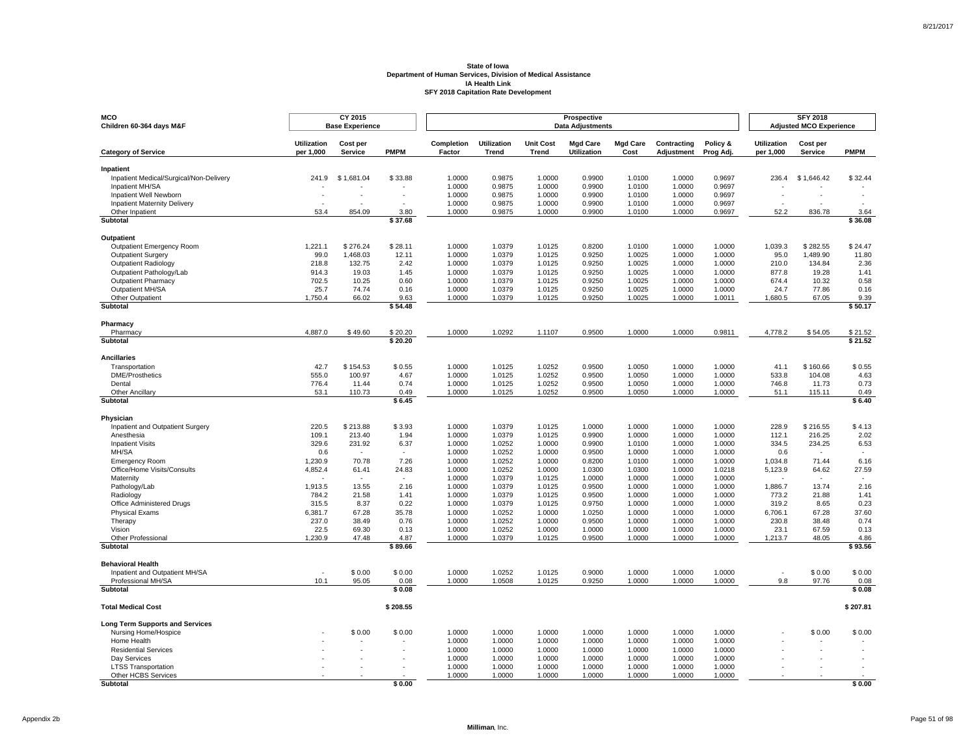| <b>MCO</b><br>Children 60-364 days M&F               |                                 | CY 2015<br><b>Base Experience</b> |                    |                      |                             |                           | Prospective<br><b>Data Adjustments</b> |                         |                           |                       |                                 | <b>SFY 2018</b><br><b>Adjusted MCO Experience</b> |                                  |
|------------------------------------------------------|---------------------------------|-----------------------------------|--------------------|----------------------|-----------------------------|---------------------------|----------------------------------------|-------------------------|---------------------------|-----------------------|---------------------------------|---------------------------------------------------|----------------------------------|
| <b>Category of Service</b>                           | <b>Utilization</b><br>per 1,000 | Cost per<br>Service               | <b>PMPM</b>        | Completion<br>Factor | <b>Utilization</b><br>Trend | <b>Unit Cost</b><br>Trend | <b>Mgd Care</b><br><b>Utilization</b>  | <b>Mgd Care</b><br>Cost | Contracting<br>Adjustment | Policy &<br>Prog Adj. | <b>Utilization</b><br>per 1,000 | Cost per<br><b>Service</b>                        | <b>PMPM</b>                      |
| Inpatient                                            |                                 |                                   |                    |                      |                             |                           |                                        |                         |                           |                       |                                 |                                                   |                                  |
| Inpatient Medical/Surgical/Non-Delivery              | 241.9                           | \$1,681.04                        | \$33.88            | 1.0000               | 0.9875                      | 1.0000                    | 0.9900                                 | 1.0100                  | 1.0000                    | 0.9697                | 236.4                           | \$1,646.42                                        | \$32.44                          |
| Inpatient MH/SA                                      |                                 |                                   |                    | 1.0000               | 0.9875                      | 1.0000                    | 0.9900                                 | 1.0100                  | 1.0000                    | 0.9697                |                                 |                                                   |                                  |
| Inpatient Well Newborn                               |                                 |                                   |                    | 1.0000               | 0.9875                      | 1.0000                    | 0.9900                                 | 1.0100                  | 1.0000                    | 0.9697                |                                 |                                                   |                                  |
| <b>Inpatient Maternity Delivery</b>                  |                                 |                                   |                    | 1.0000               | 0.9875                      | 1.0000                    | 0.9900                                 | 1.0100                  | 1.0000                    | 0.9697                |                                 |                                                   |                                  |
| Other Inpatient<br>Subtotal                          | 53.4                            | 854.09                            | 3.80<br>\$37.68    | 1.0000               | 0.9875                      | 1.0000                    | 0.9900                                 | 1.0100                  | 1.0000                    | 0.9697                | 52.2                            | 836.78                                            | 3.64<br>\$36.08                  |
|                                                      |                                 |                                   |                    |                      |                             |                           |                                        |                         |                           |                       |                                 |                                                   |                                  |
| Outpatient<br>Outpatient Emergency Room              | 1,221.1                         | \$276.24                          | \$28.11            | 1.0000               | 1.0379                      | 1.0125                    | 0.8200                                 | 1.0100                  | 1.0000                    | 1.0000                | 1,039.3                         | \$282.55                                          | \$24.47                          |
| <b>Outpatient Surgery</b>                            | 99.0                            | 1,468.03                          | 12.11              | 1.0000               | 1.0379                      | 1.0125                    | 0.9250                                 | 1.0025                  | 1.0000                    | 1.0000                | 95.0                            | 1,489.90                                          | 11.80                            |
| Outpatient Radiology                                 | 218.8                           | 132.75                            | 2.42               | 1.0000               | 1.0379                      | 1.0125                    | 0.9250                                 | 1.0025                  | 1.0000                    | 1.0000                | 210.0                           | 134.84                                            | 2.36                             |
| Outpatient Pathology/Lab                             | 914.3                           | 19.03                             | 1.45               | 1.0000               | 1.0379                      | 1.0125                    | 0.9250                                 | 1.0025                  | 1.0000                    | 1.0000                | 877.8                           | 19.28                                             | 1.41                             |
| <b>Outpatient Pharmacy</b>                           | 702.5                           | 10.25                             | 0.60               | 1.0000               | 1.0379                      | 1.0125                    | 0.9250                                 | 1.0025                  | 1.0000                    | 1.0000                | 674.4                           | 10.32                                             | 0.58                             |
| Outpatient MH/SA                                     | 25.7                            | 74.74                             | 0.16               | 1.0000               | 1.0379                      | 1.0125                    | 0.9250                                 | 1.0025                  | 1.0000                    | 1.0000                | 24.7                            | 77.86                                             | 0.16                             |
| Other Outpatient                                     | 1,750.4                         | 66.02                             | 9.63               | 1.0000               | 1.0379                      | 1.0125                    | 0.9250                                 | 1.0025                  | 1.0000                    | 1.0011                | 1,680.5                         | 67.05                                             | 9.39                             |
| Subtotal                                             |                                 |                                   | \$54.48            |                      |                             |                           |                                        |                         |                           |                       |                                 |                                                   | \$50.17                          |
| Pharmacy                                             |                                 |                                   |                    |                      |                             |                           |                                        |                         |                           |                       |                                 |                                                   |                                  |
| Pharmacy<br>Subtotal                                 | 4,887.0                         | \$49.60                           | \$20.20<br>\$20.20 | 1.0000               | 1.0292                      | 1.1107                    | 0.9500                                 | 1.0000                  | 1.0000                    | 0.9811                | 4,778.2                         | \$54.05                                           | \$21.52<br>\$21.52               |
|                                                      |                                 |                                   |                    |                      |                             |                           |                                        |                         |                           |                       |                                 |                                                   |                                  |
| <b>Ancillaries</b>                                   | 42.7                            | \$154.53                          | \$0.55             | 1.0000               | 1.0125                      | 1.0252                    | 0.9500                                 | 1.0050                  |                           | 1.0000                | 41.1                            | \$160.66                                          | \$0.55                           |
| Transportation<br><b>DME/Prosthetics</b>             | 555.0                           | 100.97                            | 4.67               | 1.0000               | 1.0125                      | 1.0252                    | 0.9500                                 | 1.0050                  | 1.0000<br>1.0000          | 1.0000                | 533.8                           | 104.08                                            | 4.63                             |
| Dental                                               | 776.4                           | 11.44                             | 0.74               | 1.0000               | 1.0125                      | 1.0252                    | 0.9500                                 | 1.0050                  | 1.0000                    | 1.0000                | 746.8                           | 11.73                                             | 0.73                             |
| Other Ancillary                                      | 53.1                            | 110.73                            | 0.49               | 1.0000               | 1.0125                      | 1.0252                    | 0.9500                                 | 1.0050                  | 1.0000                    | 1.0000                | 51.1                            | 115.11                                            | 0.49                             |
| Subtotal                                             |                                 |                                   | \$6.45             |                      |                             |                           |                                        |                         |                           |                       |                                 |                                                   | \$6.40                           |
| Physician                                            |                                 |                                   |                    |                      |                             |                           |                                        |                         |                           |                       |                                 |                                                   |                                  |
| Inpatient and Outpatient Surgery                     | 220.5                           | \$213.88                          | \$3.93             | 1.0000               | 1.0379                      | 1.0125                    | 1.0000                                 | 1.0000                  | 1.0000                    | 1.0000                | 228.9                           | \$216.55                                          | \$4.13                           |
| Anesthesia                                           | 109.1                           | 213.40                            | 1.94               | 1.0000               | 1.0379                      | 1.0125                    | 0.9900                                 | 1.0000                  | 1.0000                    | 1.0000                | 112.1                           | 216.25                                            | 2.02                             |
| <b>Inpatient Visits</b>                              | 329.6                           | 231.92                            | 6.37               | 1.0000               | 1.0252                      | 1.0000                    | 0.9900                                 | 1.0100                  | 1.0000                    | 1.0000                | 334.5                           | 234.25                                            | 6.53                             |
| MH/SA                                                | 0.6<br>1,230.9                  | $\sim$<br>70.78                   | $\sim$<br>7.26     | 1.0000<br>1.0000     | 1.0252<br>1.0252            | 1.0000<br>1.0000          | 0.9500<br>0.8200                       | 1.0000<br>1.0100        | 1.0000<br>1.0000          | 1.0000<br>1.0000      | 0.6<br>1,034.8                  | $\sim$<br>71.44                                   | $\overline{\phantom{a}}$<br>6.16 |
| <b>Emergency Room</b><br>Office/Home Visits/Consults | 4,852.4                         | 61.41                             | 24.83              | 1.0000               | 1.0252                      | 1.0000                    | 1.0300                                 | 1.0300                  | 1.0000                    | 1.0218                | 5,123.9                         | 64.62                                             | 27.59                            |
| Maternity                                            |                                 |                                   |                    | 1.0000               | 1.0379                      | 1.0125                    | 1.0000                                 | 1.0000                  | 1.0000                    | 1.0000                |                                 |                                                   |                                  |
| Pathology/Lab                                        | 1,913.5                         | 13.55                             | 2.16               | 1.0000               | 1.0379                      | 1.0125                    | 0.9500                                 | 1.0000                  | 1.0000                    | 1.0000                | 1,886.7                         | 13.74                                             | 2.16                             |
| Radiology                                            | 784.2                           | 21.58                             | 1.41               | 1.0000               | 1.0379                      | 1.0125                    | 0.9500                                 | 1.0000                  | 1.0000                    | 1.0000                | 773.2                           | 21.88                                             | 1.41                             |
| Office Administered Drugs                            | 315.5                           | 8.37                              | 0.22               | 1.0000               | 1.0379                      | 1.0125                    | 0.9750                                 | 1.0000                  | 1.0000                    | 1.0000                | 319.2                           | 8.65                                              | 0.23                             |
| <b>Physical Exams</b>                                | 6,381.7                         | 67.28                             | 35.78              | 1.0000               | 1.0252                      | 1.0000                    | 1.0250                                 | 1.0000                  | 1.0000                    | 1.0000                | 6,706.1                         | 67.28                                             | 37.60                            |
| Therapy                                              | 237.0                           | 38.49                             | 0.76<br>0.13       | 1.0000               | 1.0252                      | 1.0000                    | 0.9500                                 | 1.0000                  | 1.0000                    | 1.0000                | 230.8                           | 38.48                                             | 0.74                             |
| Vision<br><b>Other Professional</b>                  | 22.5<br>1,230.9                 | 69.30<br>47.48                    | 4.87               | 1.0000<br>1.0000     | 1.0252<br>1.0379            | 1.0000<br>1.0125          | 1.0000<br>0.9500                       | 1.0000<br>1.0000        | 1.0000<br>1.0000          | 1.0000<br>1.0000      | 23.1<br>1,213.7                 | 67.59<br>48.05                                    | 0.13<br>4.86                     |
| Subtotal                                             |                                 |                                   | \$89.66            |                      |                             |                           |                                        |                         |                           |                       |                                 |                                                   | \$93.56                          |
| <b>Behavioral Health</b>                             |                                 |                                   |                    |                      |                             |                           |                                        |                         |                           |                       |                                 |                                                   |                                  |
| Inpatient and Outpatient MH/SA                       |                                 | \$0.00                            | \$0.00             | 1.0000               | 1.0252                      | 1.0125                    | 0.9000                                 | 1.0000                  | 1.0000                    | 1.0000                | ×,                              | \$0.00                                            | \$0.00                           |
| Professional MH/SA                                   | 10.1                            | 95.05                             | 0.08               | 1.0000               | 1.0508                      | 1.0125                    | 0.9250                                 | 1.0000                  | 1.0000                    | 1.0000                | 9.8                             | 97.76                                             | 0.08                             |
| Subtotal                                             |                                 |                                   | \$0.08             |                      |                             |                           |                                        |                         |                           |                       |                                 |                                                   | \$0.08                           |
| <b>Total Medical Cost</b>                            |                                 |                                   | \$208.55           |                      |                             |                           |                                        |                         |                           |                       |                                 |                                                   | \$207.81                         |
| <b>Long Term Supports and Services</b>               |                                 |                                   |                    |                      |                             |                           |                                        |                         |                           |                       |                                 |                                                   |                                  |
| Nursing Home/Hospice                                 |                                 | \$0.00                            | \$0.00             | 1.0000               | 1.0000                      | 1.0000                    | 1.0000                                 | 1.0000                  | 1.0000                    | 1.0000                |                                 | \$0.00                                            | \$0.00                           |
| Home Health<br><b>Residential Services</b>           |                                 |                                   |                    | 1.0000<br>1.0000     | 1.0000<br>1.0000            | 1.0000<br>1.0000          | 1.0000<br>1.0000                       | 1.0000<br>1.0000        | 1.0000<br>1.0000          | 1.0000<br>1.0000      |                                 |                                                   |                                  |
| Day Services                                         |                                 |                                   |                    | 1.0000               | 1.0000                      | 1.0000                    | 1.0000                                 | 1.0000                  | 1.0000                    | 1.0000                |                                 |                                                   |                                  |
| <b>LTSS Transportation</b>                           |                                 |                                   |                    | 1.0000               | 1.0000                      | 1.0000                    | 1.0000                                 | 1.0000                  | 1.0000                    | 1.0000                |                                 |                                                   |                                  |
| Other HCBS Services                                  |                                 |                                   |                    | 1.0000               | 1.0000                      | 1.0000                    | 1.0000                                 | 1.0000                  | 1.0000                    | 1.0000                |                                 |                                                   |                                  |
| <b>Subtotal</b>                                      |                                 |                                   | \$0.00             |                      |                             |                           |                                        |                         |                           |                       |                                 |                                                   | \$0.00                           |

Page 51 of 98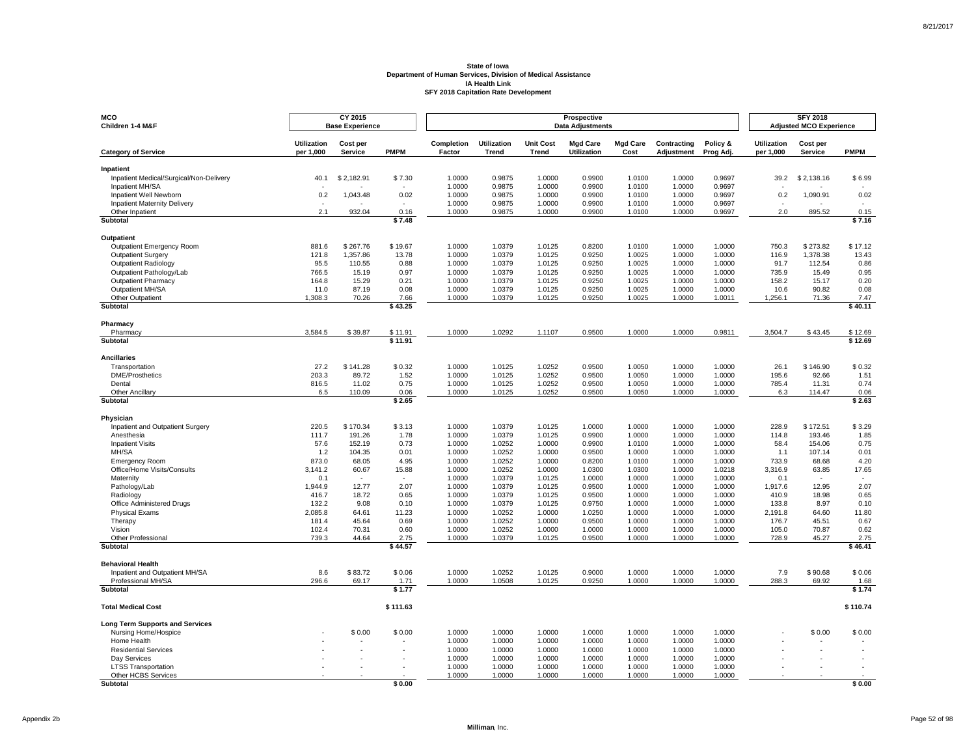| MCO<br>Children 1-4 M&F                                       |                                 | CY 2015<br><b>Base Experience</b> |                 |                      |                             |                           | Prospective<br><b>Data Adjustments</b> |                         |                           |                       |                                 | <b>SFY 2018</b><br><b>Adjusted MCO Experience</b> |                 |
|---------------------------------------------------------------|---------------------------------|-----------------------------------|-----------------|----------------------|-----------------------------|---------------------------|----------------------------------------|-------------------------|---------------------------|-----------------------|---------------------------------|---------------------------------------------------|-----------------|
| <b>Category of Service</b>                                    | <b>Utilization</b><br>per 1,000 | Cost per<br>Service               | <b>PMPM</b>     | Completion<br>Factor | <b>Utilization</b><br>Trend | <b>Unit Cost</b><br>Trend | <b>Mad Care</b><br><b>Utilization</b>  | <b>Mgd Care</b><br>Cost | Contracting<br>Adjustment | Policy &<br>Prog Adj. | <b>Utilization</b><br>per 1,000 | Cost per<br><b>Service</b>                        | <b>PMPM</b>     |
| Inpatient                                                     |                                 |                                   |                 |                      |                             |                           |                                        |                         |                           |                       |                                 |                                                   |                 |
| Inpatient Medical/Surgical/Non-Delivery                       | 40.1                            | \$2,182.91                        | \$7.30          | 1.0000               | 0.9875                      | 1.0000                    | 0.9900                                 | 1.0100                  | 1.0000                    | 0.9697                | 39.2                            | \$2,138.16                                        | \$6.99          |
| Inpatient MH/SA                                               |                                 |                                   |                 | 1.0000               | 0.9875                      | 1.0000                    | 0.9900                                 | 1.0100                  | 1.0000                    | 0.9697                |                                 |                                                   |                 |
| Inpatient Well Newborn<br><b>Inpatient Maternity Delivery</b> | 0.2                             | 1,043.48                          | 0.02<br>×.      | 1.0000<br>1.0000     | 0.9875<br>0.9875            | 1.0000<br>1.0000          | 0.9900<br>0.9900                       | 1.0100<br>1.0100        | 1.0000<br>1.0000          | 0.9697<br>0.9697      | 0.2<br>$\sim$                   | 1,090.91                                          | 0.02            |
| Other Inpatient                                               | 2.1                             | 932.04                            | 0.16            | 1.0000               | 0.9875                      | 1.0000                    | 0.9900                                 | 1.0100                  | 1.0000                    | 0.9697                | 2.0                             | 895.52                                            | 0.15            |
| Subtotal                                                      |                                 |                                   | \$7.48          |                      |                             |                           |                                        |                         |                           |                       |                                 |                                                   | \$7.16          |
| <b>Outpatient</b>                                             |                                 |                                   |                 |                      |                             |                           |                                        |                         |                           |                       |                                 |                                                   |                 |
| Outpatient Emergency Room                                     | 881.6                           | \$267.76                          | \$19.67         | 1.0000               | 1.0379                      | 1.0125                    | 0.8200                                 | 1.0100                  | 1.0000                    | 1.0000                | 750.3                           | \$273.82                                          | \$17.12         |
| <b>Outpatient Surgery</b>                                     | 121.8                           | 1,357.86                          | 13.78           | 1.0000               | 1.0379                      | 1.0125                    | 0.9250                                 | 1.0025                  | 1.0000                    | 1.0000                | 116.9                           | 1,378.38                                          | 13.43           |
| Outpatient Radiology                                          | 95.5                            | 110.55                            | 0.88            | 1.0000               | 1.0379                      | 1.0125                    | 0.9250                                 | 1.0025                  | 1.0000                    | 1.0000                | 91.7                            | 112.54                                            | 0.86            |
| Outpatient Pathology/Lab<br><b>Outpatient Pharmacy</b>        | 766.5<br>164.8                  | 15.19<br>15.29                    | 0.97<br>0.21    | 1.0000<br>1.0000     | 1.0379<br>1.0379            | 1.0125<br>1.0125          | 0.9250<br>0.9250                       | 1.0025<br>1.0025        | 1.0000<br>1.0000          | 1.0000<br>1.0000      | 735.9<br>158.2                  | 15.49<br>15.17                                    | 0.95<br>0.20    |
| Outpatient MH/SA                                              | 11.0                            | 87.19                             | 0.08            | 1.0000               | 1.0379                      | 1.0125                    | 0.9250                                 | 1.0025                  | 1.0000                    | 1.0000                | 10.6                            | 90.82                                             | 0.08            |
| Other Outpatient                                              | 1,308.3                         | 70.26                             | 7.66            | 1.0000               | 1.0379                      | 1.0125                    | 0.9250                                 | 1.0025                  | 1.0000                    | 1.0011                | 1,256.1                         | 71.36                                             | 7.47            |
| <b>Subtotal</b>                                               |                                 |                                   | \$43.25         |                      |                             |                           |                                        |                         |                           |                       |                                 |                                                   | \$40.11         |
| Pharmacy                                                      |                                 |                                   |                 |                      |                             |                           |                                        |                         |                           |                       |                                 |                                                   |                 |
| Pharmacy                                                      | 3,584.5                         | \$39.87                           | \$11.91         | 1.0000               | 1.0292                      | 1.1107                    | 0.9500                                 | 1.0000                  | 1.0000                    | 0.9811                | 3,504.7                         | \$43.45                                           | \$12.69         |
| Subtotal                                                      |                                 |                                   | \$11.91         |                      |                             |                           |                                        |                         |                           |                       |                                 |                                                   | \$12.69         |
| <b>Ancillaries</b>                                            |                                 |                                   |                 |                      |                             |                           |                                        |                         |                           |                       |                                 |                                                   |                 |
| Transportation                                                | 27.2                            | \$141.28                          | \$0.32          | 1.0000               | 1.0125                      | 1.0252                    | 0.9500                                 | 1.0050                  | 1.0000                    | 1.0000                | 26.1                            | \$146.90                                          | \$0.32          |
| <b>DME/Prosthetics</b>                                        | 203.3                           | 89.72                             | 1.52            | 1.0000               | 1.0125                      | 1.0252                    | 0.9500                                 | 1.0050                  | 1.0000                    | 1.0000                | 195.6                           | 92.66                                             | 1.51            |
| Dental                                                        | 816.5                           | 11.02                             | 0.75            | 1.0000               | 1.0125                      | 1.0252                    | 0.9500                                 | 1.0050                  | 1.0000                    | 1.0000                | 785.4                           | 11.31                                             | 0.74            |
| Other Ancillary<br>Subtotal                                   | 6.5                             | 110.09                            | 0.06<br>\$2.65  | 1.0000               | 1.0125                      | 1.0252                    | 0.9500                                 | 1.0050                  | 1.0000                    | 1.0000                | 6.3                             | 114.47                                            | 0.06<br>\$2.63  |
|                                                               |                                 |                                   |                 |                      |                             |                           |                                        |                         |                           |                       |                                 |                                                   |                 |
| Physician                                                     | 220.5                           | \$170.34                          | \$3.13          | 1.0000               | 1.0379                      | 1.0125                    | 1.0000                                 | 1.0000                  | 1.0000                    | 1.0000                | 228.9                           | \$172.51                                          | \$3.29          |
| Inpatient and Outpatient Surgery<br>Anesthesia                | 111.7                           | 191.26                            | 1.78            | 1.0000               | 1.0379                      | 1.0125                    | 0.9900                                 | 1.0000                  | 1.0000                    | 1.0000                | 114.8                           | 193.46                                            | 1.85            |
| <b>Inpatient Visits</b>                                       | 57.6                            | 152.19                            | 0.73            | 1.0000               | 1.0252                      | 1.0000                    | 0.9900                                 | 1.0100                  | 1.0000                    | 1.0000                | 58.4                            | 154.06                                            | 0.75            |
| MH/SA                                                         | 1.2                             | 104.35                            | 0.01            | 1.0000               | 1.0252                      | 1.0000                    | 0.9500                                 | 1.0000                  | 1.0000                    | 1.0000                | 1.1                             | 107.14                                            | 0.01            |
| <b>Emergency Room</b>                                         | 873.0                           | 68.05                             | 4.95            | 1.0000               | 1.0252                      | 1.0000                    | 0.8200                                 | 1.0100                  | 1.0000                    | 1.0000                | 733.9                           | 68.68                                             | 4.20            |
| Office/Home Visits/Consults                                   | 3,141.2                         | 60.67                             | 15.88           | 1.0000               | 1.0252                      | 1.0000                    | 1.0300                                 | 1.0300                  | 1.0000                    | 1.0218                | 3.316.9                         | 63.85                                             | 17.65           |
| Maternity                                                     | 0.1                             |                                   |                 | 1.0000               | 1.0379                      | 1.0125                    | 1.0000                                 | 1.0000                  | 1.0000                    | 1.0000                | 0.1                             |                                                   |                 |
| Pathology/Lab                                                 | 1,944.9                         | 12.77                             | 2.07            | 1.0000               | 1.0379<br>1.0379            | 1.0125<br>1.0125          | 0.9500                                 | 1.0000                  | 1.0000<br>1.0000          | 1.0000<br>1.0000      | 1.917.6<br>410.9                | 12.95<br>18.98                                    | 2.07<br>0.65    |
| Radiology<br>Office Administered Drugs                        | 416.7<br>132.2                  | 18.72<br>9.08                     | 0.65<br>0.10    | 1.0000<br>1.0000     | 1.0379                      | 1.0125                    | 0.9500<br>0.9750                       | 1.0000<br>1.0000        | 1.0000                    | 1.0000                | 133.8                           | 8.97                                              | 0.10            |
| <b>Physical Exams</b>                                         | 2,085.8                         | 64.61                             | 11.23           | 1.0000               | 1.0252                      | 1.0000                    | 1.0250                                 | 1.0000                  | 1.0000                    | 1.0000                | 2,191.8                         | 64.60                                             | 11.80           |
| Therapy                                                       | 181.4                           | 45.64                             | 0.69            | 1.0000               | 1.0252                      | 1.0000                    | 0.9500                                 | 1.0000                  | 1.0000                    | 1.0000                | 176.7                           | 45.51                                             | 0.67            |
| Vision                                                        | 102.4                           | 70.31                             | 0.60            | 1.0000               | 1.0252                      | 1.0000                    | 1.0000                                 | 1.0000                  | 1.0000                    | 1.0000                | 105.0                           | 70.87                                             | 0.62            |
| <b>Other Professional</b><br><b>Subtotal</b>                  | 739.3                           | 44.64                             | 2.75<br>\$44.57 | 1.0000               | 1.0379                      | 1.0125                    | 0.9500                                 | 1.0000                  | 1.0000                    | 1.0000                | 728.9                           | 45.27                                             | 2.75<br>\$46.41 |
|                                                               |                                 |                                   |                 |                      |                             |                           |                                        |                         |                           |                       |                                 |                                                   |                 |
| <b>Behavioral Health</b>                                      |                                 |                                   |                 |                      |                             |                           |                                        |                         |                           |                       |                                 |                                                   |                 |
| Inpatient and Outpatient MH/SA                                | 8.6                             | \$83.72                           | \$0.06          | 1.0000               | 1.0252                      | 1.0125                    | 0.9000                                 | 1.0000                  | 1.0000                    | 1.0000                | 7.9                             | \$90.68                                           | \$0.06          |
| Professional MH/SA<br>Subtotal                                | 296.6                           | 69.17                             | 1.71<br>\$1.77  | 1.0000               | 1.0508                      | 1.0125                    | 0.9250                                 | 1.0000                  | 1.0000                    | 1.0000                | 288.3                           | 69.92                                             | 1.68<br>\$1.74  |
|                                                               |                                 |                                   |                 |                      |                             |                           |                                        |                         |                           |                       |                                 |                                                   |                 |
| <b>Total Medical Cost</b>                                     |                                 |                                   | \$111.63        |                      |                             |                           |                                        |                         |                           |                       |                                 |                                                   | \$110.74        |
| <b>Long Term Supports and Services</b>                        |                                 |                                   |                 |                      |                             |                           |                                        |                         |                           |                       |                                 |                                                   |                 |
| Nursing Home/Hospice                                          |                                 | \$0.00                            | \$0.00          | 1.0000               | 1.0000                      | 1.0000                    | 1.0000                                 | 1.0000                  | 1.0000                    | 1.0000                |                                 | \$0.00                                            | \$0.00          |
| Home Health                                                   |                                 |                                   |                 | 1.0000               | 1.0000                      | 1.0000                    | 1.0000                                 | 1.0000                  | 1.0000                    | 1.0000                |                                 |                                                   |                 |
| <b>Residential Services</b>                                   |                                 |                                   |                 | 1.0000               | 1.0000                      | 1.0000                    | 1.0000                                 | 1.0000                  | 1.0000                    | 1.0000<br>1.0000      |                                 |                                                   |                 |
| Day Services<br><b>LTSS Transportation</b>                    |                                 |                                   |                 | 1.0000<br>1.0000     | 1.0000<br>1.0000            | 1.0000<br>1.0000          | 1.0000<br>1.0000                       | 1.0000<br>1.0000        | 1.0000<br>1.0000          | 1.0000                |                                 |                                                   |                 |
| Other HCBS Services                                           |                                 |                                   |                 | 1.0000               | 1.0000                      | 1.0000                    | 1.0000                                 | 1.0000                  | 1.0000                    | 1.0000                |                                 |                                                   |                 |
| <b>Subtotal</b>                                               |                                 |                                   | \$0.00          |                      |                             |                           |                                        |                         |                           |                       |                                 |                                                   | \$0.00          |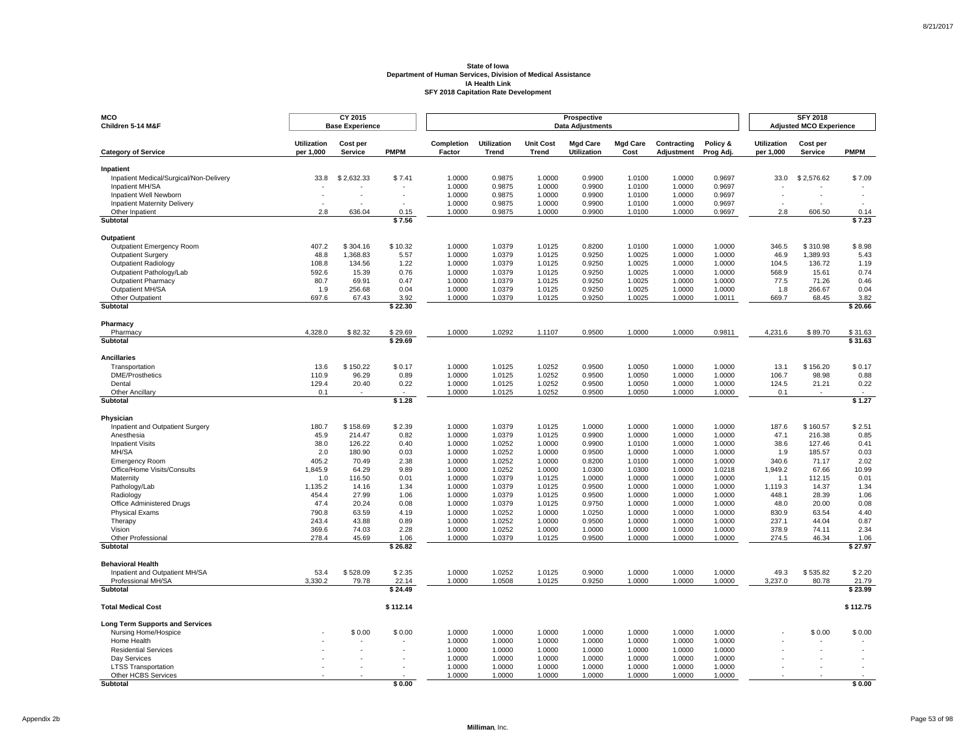| <b>MCO</b><br>Children 5-14 M&F                               |                                 | CY 2015<br><b>Base Experience</b> |              |                      |                      |                           | Prospective<br><b>Data Adjustments</b> |                         |                           |                       |                                 | <b>SFY 2018</b><br><b>Adjusted MCO Experience</b> |              |
|---------------------------------------------------------------|---------------------------------|-----------------------------------|--------------|----------------------|----------------------|---------------------------|----------------------------------------|-------------------------|---------------------------|-----------------------|---------------------------------|---------------------------------------------------|--------------|
| <b>Category of Service</b>                                    | <b>Utilization</b><br>per 1,000 | Cost per<br><b>Service</b>        | <b>PMPM</b>  | Completion<br>Factor | Utilization<br>Trend | <b>Unit Cost</b><br>Trend | <b>Mgd Care</b><br><b>Utilization</b>  | <b>Mgd Care</b><br>Cost | Contracting<br>Adjustment | Policy &<br>Prog Adj. | <b>Utilization</b><br>per 1,000 | Cost per<br>Service                               | <b>PMPM</b>  |
| Inpatient                                                     |                                 |                                   |              |                      |                      |                           |                                        |                         |                           |                       |                                 |                                                   |              |
| Inpatient Medical/Surgical/Non-Delivery                       | 33.8                            | \$2,632.33                        | \$7.41       | 1.0000               | 0.9875               | 1.0000                    | 0.9900                                 | 1.0100                  | 1.0000                    | 0.9697                | 33.0                            | \$2,576.62                                        | \$7.09       |
| Inpatient MH/SA                                               |                                 |                                   |              | 1.0000               | 0.9875               | 1.0000                    | 0.9900                                 | 1.0100                  | 1.0000                    | 0.9697                |                                 |                                                   |              |
| Inpatient Well Newborn<br><b>Inpatient Maternity Delivery</b> |                                 |                                   |              | 1.0000<br>1.0000     | 0.9875<br>0.9875     | 1.0000<br>1.0000          | 0.9900<br>0.9900                       | 1.0100<br>1.0100        | 1.0000<br>1.0000          | 0.9697<br>0.9697      |                                 |                                                   |              |
| Other Inpatient                                               | 2.8                             | 636.04                            | 0.15         | 1.0000               | 0.9875               | 1.0000                    | 0.9900                                 | 1.0100                  | 1.0000                    | 0.9697                | 2.8                             | 606.50                                            | 0.14         |
| Subtotal                                                      |                                 |                                   | \$7.56       |                      |                      |                           |                                        |                         |                           |                       |                                 |                                                   | \$7.23       |
| Outpatient                                                    |                                 |                                   |              |                      |                      |                           |                                        |                         |                           |                       |                                 |                                                   |              |
| Outpatient Emergency Room                                     | 407.2                           | \$304.16                          | \$10.32      | 1.0000               | 1.0379               | 1.0125                    | 0.8200                                 | 1.0100                  | 1.0000                    | 1.0000                | 346.5                           | \$310.98                                          | \$8.98       |
| <b>Outpatient Surgery</b>                                     | 48.8                            | 1,368.83                          | 5.57         | 1.0000               | 1.0379               | 1.0125                    | 0.9250                                 | 1.0025                  | 1.0000                    | 1.0000                | 46.9                            | 1,389.93                                          | 5.43         |
| Outpatient Radiology                                          | 108.8                           | 134.56                            | 1.22         | 1.0000               | 1.0379               | 1.0125                    | 0.9250                                 | 1.0025                  | 1.0000                    | 1.0000                | 104.5                           | 136.72                                            | 1.19         |
| Outpatient Pathology/Lab                                      | 592.6                           | 15.39                             | 0.76         | 1.0000               | 1.0379               | 1.0125                    | 0.9250                                 | 1.0025                  | 1.0000                    | 1.0000                | 568.9                           | 15.61                                             | 0.74         |
| <b>Outpatient Pharmacy</b><br>Outpatient MH/SA                | 80.7<br>1.9                     | 69.91<br>256.68                   | 0.47<br>0.04 | 1.0000<br>1.0000     | 1.0379<br>1.0379     | 1.0125<br>1.0125          | 0.9250<br>0.9250                       | 1.0025<br>1.0025        | 1.0000<br>1.0000          | 1.0000<br>1.0000      | 77.5<br>1.8                     | 71.26<br>266.67                                   | 0.46<br>0.04 |
| Other Outpatient                                              | 697.6                           | 67.43                             | 3.92         | 1.0000               | 1.0379               | 1.0125                    | 0.9250                                 | 1.0025                  | 1.0000                    | 1.0011                | 669.7                           | 68.45                                             | 3.82         |
| Subtotal                                                      |                                 |                                   | \$22.30      |                      |                      |                           |                                        |                         |                           |                       |                                 |                                                   | \$20.66      |
| Pharmacy                                                      |                                 |                                   |              |                      |                      |                           |                                        |                         |                           |                       |                                 |                                                   |              |
| Pharmacy                                                      | 4.328.0                         | \$82.32                           | \$29.69      | 1.0000               | 1.0292               | 1.1107                    | 0.9500                                 | 1.0000                  | 1.0000                    | 0.9811                | 4,231.6                         | \$89.70                                           | \$31.63      |
| Subtotal                                                      |                                 |                                   | \$29.69      |                      |                      |                           |                                        |                         |                           |                       |                                 |                                                   | \$31.63      |
| <b>Ancillaries</b>                                            |                                 |                                   |              |                      |                      |                           |                                        |                         |                           |                       |                                 |                                                   |              |
| Transportation                                                | 13.6                            | \$150.22                          | \$0.17       | 1.0000               | 1.0125               | 1.0252                    | 0.9500                                 | 1.0050                  | 1.0000                    | 1.0000                | 13.1                            | \$156.20                                          | \$0.17       |
| <b>DME/Prosthetics</b>                                        | 110.9                           | 96.29                             | 0.89         | 1.0000               | 1.0125               | 1.0252                    | 0.9500                                 | 1.0050                  | 1.0000                    | 1.0000                | 106.7                           | 98.98                                             | 0.88         |
| Dental                                                        | 129.4                           | 20.40                             | 0.22         | 1.0000               | 1.0125               | 1.0252                    | 0.9500                                 | 1.0050                  | 1.0000                    | 1.0000                | 124.5                           | 21.21                                             | 0.22         |
| <b>Other Ancillary</b>                                        | 0.1                             |                                   | \$1.28       | 1.0000               | 1.0125               | 1.0252                    | 0.9500                                 | 1.0050                  | 1.0000                    | 1.0000                | 0.1                             |                                                   | \$1.27       |
| Subtotal                                                      |                                 |                                   |              |                      |                      |                           |                                        |                         |                           |                       |                                 |                                                   |              |
| Physician                                                     |                                 |                                   |              |                      |                      |                           |                                        |                         |                           |                       |                                 |                                                   |              |
| Inpatient and Outpatient Surgery                              | 180.7                           | \$158.69                          | \$2.39       | 1.0000               | 1.0379               | 1.0125                    | 1.0000                                 | 1.0000                  | 1.0000                    | 1.0000                | 187.6                           | \$160.57                                          | \$2.51       |
| Anesthesia                                                    | 45.9<br>38.0                    | 214.47                            | 0.82         | 1.0000               | 1.0379               | 1.0125                    | 0.9900                                 | 1.0000                  | 1.0000                    | 1.0000                | 47.1                            | 216.38                                            | 0.85<br>0.41 |
| <b>Inpatient Visits</b><br>MH/SA                              | 2.0                             | 126.22<br>180.90                  | 0.40<br>0.03 | 1.0000<br>1.0000     | 1.0252<br>1.0252     | 1.0000<br>1.0000          | 0.9900<br>0.9500                       | 1.0100<br>1.0000        | 1.0000<br>1.0000          | 1.0000<br>1.0000      | 38.6<br>1.9                     | 127.46<br>185.57                                  | 0.03         |
| <b>Emergency Room</b>                                         | 405.2                           | 70.49                             | 2.38         | 1.0000               | 1.0252               | 1.0000                    | 0.8200                                 | 1.0100                  | 1.0000                    | 1.0000                | 340.6                           | 71.17                                             | 2.02         |
| Office/Home Visits/Consults                                   | 1,845.9                         | 64.29                             | 9.89         | 1.0000               | 1.0252               | 1.0000                    | 1.0300                                 | 1.0300                  | 1.0000                    | 1.0218                | 1,949.2                         | 67.66                                             | 10.99        |
| Maternity                                                     | 1.0                             | 116.50                            | 0.01         | 1.0000               | 1.0379               | 1.0125                    | 1.0000                                 | 1.0000                  | 1.0000                    | 1.0000                | 1.1                             | 112.15                                            | 0.01         |
| Pathology/Lab                                                 | 1,135.2                         | 14.16                             | 1.34         | 1.0000               | 1.0379               | 1.0125                    | 0.9500                                 | 1.0000                  | 1.0000                    | 1.0000                | 1.119.3                         | 14.37                                             | 1.34         |
| Radiology                                                     | 454.4                           | 27.99                             | 1.06         | 1.0000               | 1.0379               | 1.0125                    | 0.9500                                 | 1.0000                  | 1.0000                    | 1.0000                | 448.1                           | 28.39                                             | 1.06         |
| Office Administered Drugs                                     | 47.4<br>790.8                   | 20.24<br>63.59                    | 0.08<br>4.19 | 1.0000<br>1.0000     | 1.0379<br>1.0252     | 1.0125<br>1.0000          | 0.9750<br>1.0250                       | 1.0000<br>1.0000        | 1.0000<br>1.0000          | 1.0000<br>1.0000      | 48.0<br>830.9                   | 20.00<br>63.54                                    | 0.08<br>4.40 |
| <b>Physical Exams</b><br>Therapy                              | 243.4                           | 43.88                             | 0.89         | 1.0000               | 1.0252               | 1.0000                    | 0.9500                                 | 1.0000                  | 1.0000                    | 1.0000                | 237.1                           | 44.04                                             | 0.87         |
| Vision                                                        | 369.6                           | 74.03                             | 2.28         | 1.0000               | 1.0252               | 1.0000                    | 1.0000                                 | 1.0000                  | 1.0000                    | 1.0000                | 378.9                           | 74.11                                             | 2.34         |
| <b>Other Professional</b>                                     | 278.4                           | 45.69                             | 1.06         | 1.0000               | 1.0379               | 1.0125                    | 0.9500                                 | 1.0000                  | 1.0000                    | 1.0000                | 274.5                           | 46.34                                             | 1.06         |
| Subtotal                                                      |                                 |                                   | \$26.82      |                      |                      |                           |                                        |                         |                           |                       |                                 |                                                   | \$27.97      |
| <b>Behavioral Health</b>                                      |                                 |                                   |              |                      |                      |                           |                                        |                         |                           |                       |                                 |                                                   |              |
| Inpatient and Outpatient MH/SA                                | 53.4                            | \$528.09                          | \$2.35       | 1.0000               | 1.0252               | 1.0125                    | 0.9000                                 | 1.0000                  | 1.0000                    | 1.0000                | 49.3                            | \$535.82                                          | \$2.20       |
| Professional MH/SA                                            | 3.330.2                         | 79.78                             | 22.14        | 1.0000               | 1.0508               | 1.0125                    | 0.9250                                 | 1.0000                  | 1.0000                    | 1.0000                | 3,237.0                         | 80.78                                             | 21.79        |
| Subtotal                                                      |                                 |                                   | \$24.49      |                      |                      |                           |                                        |                         |                           |                       |                                 |                                                   | \$23.99      |
| <b>Total Medical Cost</b>                                     |                                 |                                   | \$112.14     |                      |                      |                           |                                        |                         |                           |                       |                                 |                                                   | \$112.75     |
| <b>Long Term Supports and Services</b>                        |                                 |                                   |              |                      |                      |                           |                                        |                         |                           |                       |                                 |                                                   |              |
| Nursing Home/Hospice                                          |                                 | \$0.00                            | \$0.00       | 1.0000               | 1.0000               | 1.0000                    | 1.0000                                 | 1.0000                  | 1.0000                    | 1.0000                |                                 | \$0.00                                            | \$0.00       |
| Home Health<br><b>Residential Services</b>                    |                                 |                                   |              | 1.0000<br>1.0000     | 1.0000<br>1.0000     | 1.0000<br>1.0000          | 1.0000<br>1.0000                       | 1.0000<br>1.0000        | 1.0000                    | 1.0000<br>1.0000      |                                 |                                                   |              |
| Day Services                                                  |                                 |                                   |              | 1.0000               | 1.0000               | 1.0000                    | 1.0000                                 | 1.0000                  | 1.0000<br>1.0000          | 1.0000                |                                 |                                                   |              |
| <b>LTSS Transportation</b>                                    |                                 |                                   |              | 1.0000               | 1.0000               | 1.0000                    | 1.0000                                 | 1.0000                  | 1.0000                    | 1.0000                |                                 |                                                   |              |
| Other HCBS Services                                           |                                 |                                   |              | 1.0000               | 1.0000               | 1.0000                    | 1.0000                                 | 1.0000                  | 1.0000                    | 1.0000                |                                 |                                                   |              |
| Subtotal                                                      |                                 |                                   | \$0.00       |                      |                      |                           |                                        |                         |                           |                       |                                 |                                                   | \$0.00       |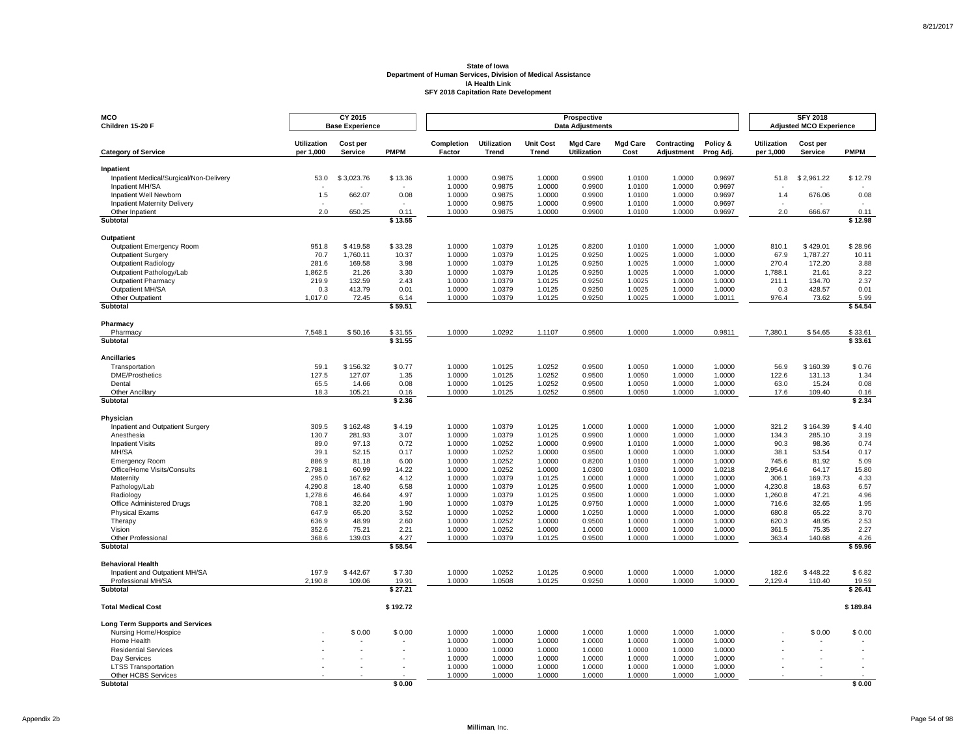| <b>MCO</b><br>Children 15-20 F                       |                                 | CY 2015<br><b>Base Experience</b> |                 |                      |                             |                                  | Prospective<br><b>Data Adjustments</b> |                         |                           |                       |                                 | <b>SFY 2018</b><br><b>Adjusted MCO Experience</b> |                          |
|------------------------------------------------------|---------------------------------|-----------------------------------|-----------------|----------------------|-----------------------------|----------------------------------|----------------------------------------|-------------------------|---------------------------|-----------------------|---------------------------------|---------------------------------------------------|--------------------------|
|                                                      |                                 |                                   |                 |                      |                             |                                  |                                        |                         |                           |                       |                                 |                                                   |                          |
| <b>Category of Service</b>                           | <b>Utilization</b><br>per 1,000 | Cost per<br>Service               | <b>PMPM</b>     | Completion<br>Factor | <b>Utilization</b><br>Trend | <b>Unit Cost</b><br><b>Trend</b> | <b>Mgd Care</b><br>Utilization         | <b>Mgd Care</b><br>Cost | Contracting<br>Adjustment | Policy &<br>Prog Adj. | <b>Utilization</b><br>per 1,000 | Cost per<br><b>Service</b>                        | <b>PMPM</b>              |
| Inpatient                                            |                                 |                                   |                 |                      |                             |                                  |                                        |                         |                           |                       |                                 |                                                   |                          |
| Inpatient Medical/Surgical/Non-Delivery              | 53.0                            | \$3,023.76                        | \$13.36         | 1.0000               | 0.9875                      | 1.0000                           | 0.9900                                 | 1.0100                  | 1.0000                    | 0.9697                | 51.8                            | \$2,961.22                                        | \$12.79                  |
| Inpatient MH/SA<br>Inpatient Well Newborn            | 1.5                             | 662.07                            | 0.08            | 1.0000<br>1.0000     | 0.9875<br>0.9875            | 1.0000<br>1.0000                 | 0.9900<br>0.9900                       | 1.0100                  | 1.0000<br>1.0000          | 0.9697<br>0.9697      |                                 | 676.06                                            | 0.08                     |
| <b>Inpatient Maternity Delivery</b>                  |                                 | $\sim$                            | $\sim$          | 1.0000               | 0.9875                      | 1.0000                           | 0.9900                                 | 1.0100<br>1.0100        | 1.0000                    | 0.9697                | 1.4                             | $\overline{\phantom{a}}$                          | $\overline{\phantom{a}}$ |
| Other Inpatient                                      | 2.0                             | 650.25                            | 0.11            | 1.0000               | 0.9875                      | 1.0000                           | 0.9900                                 | 1.0100                  | 1.0000                    | 0.9697                | 2.0                             | 666.67                                            | 0.11                     |
| Subtotal                                             |                                 |                                   | \$13.55         |                      |                             |                                  |                                        |                         |                           |                       |                                 |                                                   | \$12.98                  |
| Outpatient                                           |                                 |                                   |                 |                      |                             |                                  |                                        |                         |                           |                       |                                 |                                                   |                          |
| Outpatient Emergency Room                            | 951.8                           | \$419.58                          | \$33.28         | 1.0000               | 1.0379                      | 1.0125                           | 0.8200                                 | 1.0100                  | 1.0000                    | 1.0000                | 810.1                           | \$429.01                                          | \$28.96                  |
| <b>Outpatient Surgery</b>                            | 70.7                            | 1,760.11                          | 10.37           | 1.0000               | 1.0379                      | 1.0125                           | 0.9250                                 | 1.0025                  | 1.0000                    | 1.0000                | 67.9                            | 1,787.27                                          | 10.11                    |
| <b>Outpatient Radiology</b>                          | 281.6                           | 169.58                            | 3.98            | 1.0000               | 1.0379                      | 1.0125                           | 0.9250                                 | 1.0025                  | 1.0000                    | 1.0000                | 270.4                           | 172.20                                            | 3.88                     |
| Outpatient Pathology/Lab                             | 1,862.5                         | 21.26<br>132.59                   | 3.30<br>2.43    | 1.0000<br>1.0000     | 1.0379<br>1.0379            | 1.0125                           | 0.9250<br>0.9250                       | 1.0025<br>1.0025        | 1.0000<br>1.0000          | 1.0000<br>1.0000      | 1,788.1                         | 21.61<br>134.70                                   | 3.22<br>2.37             |
| <b>Outpatient Pharmacy</b><br>Outpatient MH/SA       | 219.9<br>0.3                    | 413.79                            | 0.01            | 1.0000               | 1.0379                      | 1.0125<br>1.0125                 | 0.9250                                 | 1.0025                  | 1.0000                    | 1.0000                | 211.1<br>0.3                    | 428.57                                            | 0.01                     |
| Other Outpatient                                     | 1,017.0                         | 72.45                             | 6.14            | 1.0000               | 1.0379                      | 1.0125                           | 0.9250                                 | 1.0025                  | 1.0000                    | 1.0011                | 976.4                           | 73.62                                             | 5.99                     |
| Subtotal                                             |                                 |                                   | \$59.51         |                      |                             |                                  |                                        |                         |                           |                       |                                 |                                                   | \$54.54                  |
| Pharmacy                                             |                                 |                                   |                 |                      |                             |                                  |                                        |                         |                           |                       |                                 |                                                   |                          |
| Pharmacy                                             | 7,548.1                         | \$50.16                           | \$31.55         | 1.0000               | 1.0292                      | 1.1107                           | 0.9500                                 | 1.0000                  | 1.0000                    | 0.9811                | 7,380.1                         | \$54.65                                           | \$33.61                  |
| Subtotal                                             |                                 |                                   | \$31.55         |                      |                             |                                  |                                        |                         |                           |                       |                                 |                                                   | \$33.61                  |
| <b>Ancillaries</b>                                   |                                 |                                   |                 |                      |                             |                                  |                                        |                         |                           |                       |                                 |                                                   |                          |
| Transportation                                       | 59.1                            | \$156.32                          | \$0.77          | 1.0000               | 1.0125                      | 1.0252                           | 0.9500                                 | 1.0050                  | 1.0000                    | 1.0000                | 56.9                            | \$160.39                                          | \$0.76                   |
| <b>DME/Prosthetics</b>                               | 127.5                           | 127.07                            | 1.35            | 1.0000               | 1.0125                      | 1.0252                           | 0.9500                                 | 1.0050                  | 1.0000                    | 1.0000                | 122.6                           | 131.13                                            | 1.34                     |
| Dental                                               | 65.5                            | 14.66                             | 0.08            | 1.0000               | 1.0125                      | 1.0252                           | 0.9500                                 | 1.0050                  | 1.0000                    | 1.0000                | 63.0                            | 15.24                                             | 0.08                     |
| Other Ancillary<br>Subtotal                          | 18.3                            | 105.21                            | 0.16<br>\$2.36  | 1.0000               | 1.0125                      | 1.0252                           | 0.9500                                 | 1.0050                  | 1.0000                    | 1.0000                | 17.6                            | 109.40                                            | 0.16<br>\$2.34           |
|                                                      |                                 |                                   |                 |                      |                             |                                  |                                        |                         |                           |                       |                                 |                                                   |                          |
| Physician                                            |                                 |                                   |                 |                      |                             |                                  |                                        |                         |                           |                       |                                 |                                                   |                          |
| Inpatient and Outpatient Surgery                     | 309.5                           | \$162.48                          | \$4.19          | 1.0000               | 1.0379                      | 1.0125                           | 1.0000                                 | 1.0000                  | 1.0000                    | 1.0000                | 321.2                           | \$164.39                                          | \$4.40                   |
| Anesthesia                                           | 130.7<br>89.0                   | 281.93                            | 3.07            | 1.0000               | 1.0379<br>1.0252            | 1.0125                           | 0.9900                                 | 1.0000<br>1.0100        | 1.0000<br>1.0000          | 1.0000<br>1.0000      | 134.3<br>90.3                   | 285.10                                            | 3.19<br>0.74             |
| <b>Inpatient Visits</b><br>MH/SA                     | 39.1                            | 97.13<br>52.15                    | 0.72<br>0.17    | 1.0000<br>1.0000     | 1.0252                      | 1.0000<br>1.0000                 | 0.9900<br>0.9500                       | 1.0000                  | 1.0000                    | 1.0000                | 38.1                            | 98.36<br>53.54                                    | 0.17                     |
| <b>Emergency Room</b>                                | 886.9                           | 81.18                             | 6.00            | 1.0000               | 1.0252                      | 1.0000                           | 0.8200                                 | 1.0100                  | 1.0000                    | 1.0000                | 745.6                           | 81.92                                             | 5.09                     |
| Office/Home Visits/Consults                          | 2,798.1                         | 60.99                             | 14.22           | 1.0000               | 1.0252                      | 1.0000                           | 1.0300                                 | 1.0300                  | 1.0000                    | 1.0218                | 2.954.6                         | 64.17                                             | 15.80                    |
| Maternity                                            | 295.0                           | 167.62                            | 4.12            | 1.0000               | 1.0379                      | 1.0125                           | 1.0000                                 | 1.0000                  | 1.0000                    | 1.0000                | 306.1                           | 169.73                                            | 4.33                     |
| Pathology/Lab                                        | 4,290.8                         | 18.40                             | 6.58            | 1.0000               | 1.0379                      | 1.0125                           | 0.9500                                 | 1.0000                  | 1.0000                    | 1.0000                | 4,230.8                         | 18.63                                             | 6.57                     |
| Radiology                                            | 1.278.6                         | 46.64                             | 4.97            | 1.0000               | 1.0379                      | 1.0125                           | 0.9500                                 | 1.0000                  | 1.0000                    | 1.0000                | 1,260.8                         | 47.21                                             | 4.96                     |
| Office Administered Drugs                            | 708.1                           | 32.20                             | 1.90            | 1.0000               | 1.0379                      | 1.0125                           | 0.9750                                 | 1.0000                  | 1.0000                    | 1.0000                | 716.6                           | 32.65                                             | 1.95                     |
| <b>Physical Exams</b>                                | 647.9                           | 65.20                             | 3.52            | 1.0000               | 1.0252                      | 1.0000                           | 1.0250                                 | 1.0000                  | 1.0000                    | 1.0000                | 680.8                           | 65.22                                             | 3.70                     |
| Therapy                                              | 636.9                           | 48.99                             | 2.60            | 1.0000               | 1.0252                      | 1.0000                           | 0.9500                                 | 1.0000                  | 1.0000                    | 1.0000                | 620.3                           | 48.95                                             | 2.53                     |
| Vision                                               | 352.6                           | 75.21                             | 2.21            | 1.0000               | 1.0252                      | 1.0000                           | 1.0000                                 | 1.0000                  | 1.0000                    | 1.0000                | 361.5                           | 75.35                                             | 2.27                     |
| Other Professional<br>Subtotal                       | 368.6                           | 139.03                            | 4.27<br>\$58.54 | 1.0000               | 1.0379                      | 1.0125                           | 0.9500                                 | 1.0000                  | 1.0000                    | 1.0000                | 363.4                           | 140.68                                            | 4.26<br>\$59.96          |
|                                                      |                                 |                                   |                 |                      |                             |                                  |                                        |                         |                           |                       |                                 |                                                   |                          |
| <b>Behavioral Health</b>                             | 197.9                           | \$442.67                          | \$7.30          | 1.0000               | 1.0252                      |                                  | 0.9000                                 | 1.0000                  | 1.0000                    | 1.0000                | 182.6                           | \$448.22                                          | \$6.82                   |
| Inpatient and Outpatient MH/SA<br>Professional MH/SA | 2.190.8                         | 109.06                            | 19.91           | 1.0000               | 1.0508                      | 1.0125<br>1.0125                 | 0.9250                                 | 1.0000                  | 1.0000                    | 1.0000                | 2,129.4                         | 110.40                                            | 19.59                    |
| Subtotal                                             |                                 |                                   | \$27.21         |                      |                             |                                  |                                        |                         |                           |                       |                                 |                                                   | \$26.41                  |
|                                                      |                                 |                                   |                 |                      |                             |                                  |                                        |                         |                           |                       |                                 |                                                   |                          |
| <b>Total Medical Cost</b>                            |                                 |                                   | \$192.72        |                      |                             |                                  |                                        |                         |                           |                       |                                 |                                                   | \$189.84                 |
| <b>Long Term Supports and Services</b>               |                                 |                                   |                 |                      |                             |                                  |                                        |                         |                           |                       |                                 |                                                   |                          |
| Nursing Home/Hospice                                 |                                 | \$0.00                            | \$0.00          | 1.0000               | 1.0000                      | 1.0000                           | 1.0000                                 | 1.0000                  | 1.0000                    | 1.0000                |                                 | \$0.00                                            | \$0.00                   |
| Home Health                                          |                                 |                                   |                 | 1.0000               | 1.0000                      | 1.0000                           | 1.0000                                 | 1.0000                  | 1.0000                    | 1.0000                |                                 |                                                   |                          |
| <b>Residential Services</b><br>Day Services          |                                 |                                   |                 | 1.0000<br>1.0000     | 1.0000<br>1.0000            | 1.0000<br>1.0000                 | 1.0000<br>1.0000                       | 1.0000<br>1.0000        | 1.0000<br>1.0000          | 1.0000<br>1.0000      |                                 |                                                   |                          |
| <b>LTSS Transportation</b>                           |                                 |                                   |                 | 1.0000               | 1.0000                      | 1.0000                           | 1.0000                                 | 1.0000                  | 1.0000                    | 1.0000                |                                 |                                                   |                          |
| Other HCBS Services                                  |                                 |                                   |                 | 1.0000               | 1.0000                      | 1.0000                           | 1.0000                                 | 1.0000                  | 1.0000                    | 1.0000                |                                 |                                                   |                          |
| Subtotal                                             |                                 |                                   | \$0.00          |                      |                             |                                  |                                        |                         |                           |                       |                                 |                                                   | \$0.00                   |

8/21/2017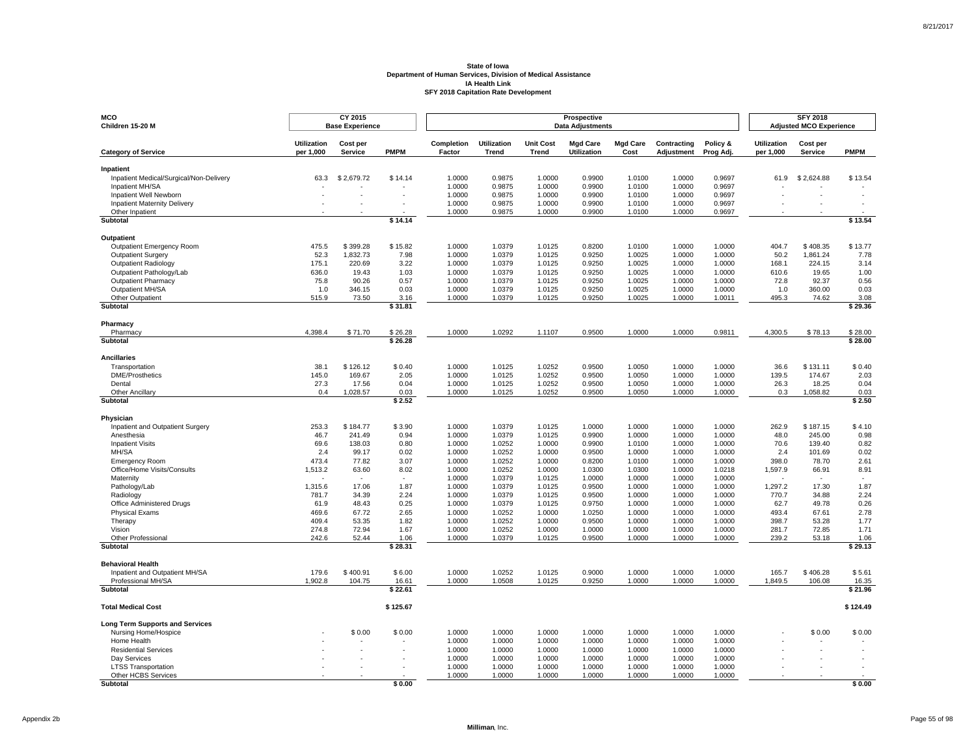| MCO<br>Children 15-20 M                              |                                 | CY 2015<br><b>Base Experience</b> |                  |                      |                             |                                  | Prospective<br><b>Data Adjustments</b> |                         |                           |                       |                                 | <b>SFY 2018</b><br><b>Adjusted MCO Experience</b> |                  |
|------------------------------------------------------|---------------------------------|-----------------------------------|------------------|----------------------|-----------------------------|----------------------------------|----------------------------------------|-------------------------|---------------------------|-----------------------|---------------------------------|---------------------------------------------------|------------------|
| <b>Category of Service</b>                           | <b>Utilization</b><br>per 1,000 | Cost per<br><b>Service</b>        | <b>PMPM</b>      | Completion<br>Factor | <b>Utilization</b><br>Trend | <b>Unit Cost</b><br><b>Trend</b> | <b>Mgd Care</b><br><b>Utilization</b>  | <b>Mgd Care</b><br>Cost | Contracting<br>Adjustment | Policy &<br>Prog Adj. | <b>Utilization</b><br>per 1,000 | Cost per<br>Service                               | <b>PMPM</b>      |
|                                                      |                                 |                                   |                  |                      |                             |                                  |                                        |                         |                           |                       |                                 |                                                   |                  |
| Inpatient<br>Inpatient Medical/Surgical/Non-Delivery | 63.3                            | \$2,679.72                        | \$14.14          | 1.0000               | 0.9875                      | 1.0000                           | 0.9900                                 | 1.0100                  | 1.0000                    | 0.9697                | 61.9                            | \$2,624.88                                        | \$13.54          |
| Inpatient MH/SA                                      |                                 |                                   |                  | 1.0000               | 0.9875                      | 1.0000                           | 0.9900                                 | 1.0100                  | 1.0000                    | 0.9697                |                                 |                                                   |                  |
| Inpatient Well Newborn                               |                                 |                                   |                  | 1.0000               | 0.9875                      | 1.0000                           | 0.9900                                 | 1.0100                  | 1.0000                    | 0.9697                |                                 |                                                   |                  |
| <b>Inpatient Maternity Delivery</b>                  |                                 |                                   |                  | 1.0000               | 0.9875                      | 1.0000                           | 0.9900                                 | 1.0100                  | 1.0000                    | 0.9697                |                                 |                                                   |                  |
| Other Inpatient<br><b>Subtotal</b>                   |                                 |                                   | \$14.14          | 1.0000               | 0.9875                      | 1.0000                           | 0.9900                                 | 1.0100                  | 1.0000                    | 0.9697                |                                 |                                                   | \$13.54          |
|                                                      |                                 |                                   |                  |                      |                             |                                  |                                        |                         |                           |                       |                                 |                                                   |                  |
| <b>Outpatient</b>                                    |                                 |                                   |                  |                      |                             |                                  |                                        |                         |                           |                       |                                 |                                                   |                  |
| Outpatient Emergency Room                            | 475.5                           | \$399.28                          | \$15.82          | 1.0000               | 1.0379                      | 1.0125                           | 0.8200                                 | 1.0100                  | 1.0000                    | 1.0000                | 404.7                           | \$408.35                                          | \$13.77          |
| <b>Outpatient Surgery</b><br>Outpatient Radiology    | 52.3<br>175.1                   | 1,832.73<br>220.69                | 7.98<br>3.22     | 1.0000<br>1.0000     | 1.0379<br>1.0379            | 1.0125<br>1.0125                 | 0.9250<br>0.9250                       | 1.0025<br>1.0025        | 1.0000<br>1.0000          | 1.0000<br>1.0000      | 50.2<br>168.1                   | 1,861.24<br>224.15                                | 7.78<br>3.14     |
| Outpatient Pathology/Lab                             | 636.0                           | 19.43                             | 1.03             | 1.0000               | 1.0379                      | 1.0125                           | 0.9250                                 | 1.0025                  | 1.0000                    | 1.0000                | 610.6                           | 19.65                                             | 1.00             |
| <b>Outpatient Pharmacy</b>                           | 75.8                            | 90.26                             | 0.57             | 1.0000               | 1.0379                      | 1.0125                           | 0.9250                                 | 1.0025                  | 1.0000                    | 1.0000                | 72.8                            | 92.37                                             | 0.56             |
| Outpatient MH/SA                                     | 1.0                             | 346.15                            | 0.03             | 1.0000               | 1.0379                      | 1.0125                           | 0.9250                                 | 1.0025                  | 1.0000                    | 1.0000                | 1.0                             | 360.00                                            | 0.03             |
| Other Outpatient                                     | 515.9                           | 73.50                             | 3.16             | 1.0000               | 1.0379                      | 1.0125                           | 0.9250                                 | 1.0025                  | 1.0000                    | 1.0011                | 495.3                           | 74.62                                             | 3.08             |
| Subtotal                                             |                                 |                                   | \$31.81          |                      |                             |                                  |                                        |                         |                           |                       |                                 |                                                   | \$29.36          |
| Pharmacy                                             |                                 |                                   |                  |                      |                             |                                  |                                        |                         |                           |                       |                                 |                                                   |                  |
| Pharmacy                                             | 4,398.4                         | \$71.70                           | \$26.28          | 1.0000               | 1.0292                      | 1.1107                           | 0.9500                                 | 1.0000                  | 1.0000                    | 0.9811                | 4,300.5                         | \$78.13                                           | \$28.00          |
| <b>Subtotal</b>                                      |                                 |                                   | \$26.28          |                      |                             |                                  |                                        |                         |                           |                       |                                 |                                                   | \$28.00          |
| <b>Ancillaries</b>                                   |                                 |                                   |                  |                      |                             |                                  |                                        |                         |                           |                       |                                 |                                                   |                  |
| Transportation                                       | 38.1                            | \$126.12                          | \$0.40           | 1.0000               | 1.0125                      | 1.0252                           | 0.9500                                 | 1.0050                  | 1.0000                    | 1.0000                | 36.6                            | \$131.11                                          | \$0.40           |
| <b>DME/Prosthetics</b>                               | 145.0                           | 169.67                            | 2.05             | 1.0000               | 1.0125                      | 1.0252                           | 0.9500                                 | 1.0050                  | 1.0000                    | 1.0000                | 139.5                           | 174.67                                            | 2.03             |
| Dental<br>Other Ancillary                            | 27.3<br>0.4                     | 17.56<br>1,028.57                 | 0.04<br>0.03     | 1.0000<br>1.0000     | 1.0125<br>1.0125            | 1.0252<br>1.0252                 | 0.9500<br>0.9500                       | 1.0050<br>1.0050        | 1.0000<br>1.0000          | 1.0000<br>1.0000      | 26.3<br>0.3                     | 18.25<br>1,058.82                                 | 0.04<br>0.03     |
| <b>Subtotal</b>                                      |                                 |                                   | \$2.52           |                      |                             |                                  |                                        |                         |                           |                       |                                 |                                                   | \$2.50           |
|                                                      |                                 |                                   |                  |                      |                             |                                  |                                        |                         |                           |                       |                                 |                                                   |                  |
| Physician<br>Inpatient and Outpatient Surgery        | 253.3                           | \$184.77                          | \$3.90           | 1.0000               | 1.0379                      | 1.0125                           | 1.0000                                 | 1.0000                  | 1.0000                    | 1.0000                | 262.9                           | \$187.15                                          | \$4.10           |
| Anesthesia                                           | 46.7                            | 241.49                            | 0.94             | 1.0000               | 1.0379                      | 1.0125                           | 0.9900                                 | 1.0000                  | 1.0000                    | 1.0000                | 48.0                            | 245.00                                            | 0.98             |
| <b>Inpatient Visits</b>                              | 69.6                            | 138.03                            | 0.80             | 1.0000               | 1.0252                      | 1.0000                           | 0.9900                                 | 1.0100                  | 1.0000                    | 1.0000                | 70.6                            | 139.40                                            | 0.82             |
| MH/SA                                                | 2.4                             | 99.17                             | 0.02             | 1.0000               | 1.0252                      | 1.0000                           | 0.9500                                 | 1.0000                  | 1.0000                    | 1.0000                | 2.4                             | 101.69                                            | 0.02             |
| <b>Emergency Room</b>                                | 473.4                           | 77.82                             | 3.07             | 1.0000               | 1.0252                      | 1.0000                           | 0.8200                                 | 1.0100                  | 1.0000                    | 1.0000                | 398.0                           | 78.70                                             | 2.61             |
| Office/Home Visits/Consults                          | 1,513.2                         | 63.60                             | 8.02             | 1.0000               | 1.0252                      | 1.0000                           | 1.0300                                 | 1.0300                  | 1.0000                    | 1.0218                | 1,597.9                         | 66.91                                             | 8.91             |
| Maternity                                            |                                 |                                   |                  | 1.0000               | 1.0379                      | 1.0125                           | 1.0000<br>0.9500                       | 1.0000                  | 1.0000                    | 1.0000                |                                 |                                                   |                  |
| Pathology/Lab<br>Radiology                           | 1,315.6<br>781.7                | 17.06<br>34.39                    | 1.87<br>2.24     | 1.0000<br>1.0000     | 1.0379<br>1.0379            | 1.0125<br>1.0125                 | 0.9500                                 | 1.0000<br>1.0000        | 1.0000<br>1.0000          | 1.0000<br>1.0000      | 1,297.2<br>770.7                | 17.30<br>34.88                                    | 1.87<br>2.24     |
| Office Administered Drugs                            | 61.9                            | 48.43                             | 0.25             | 1.0000               | 1.0379                      | 1.0125                           | 0.9750                                 | 1.0000                  | 1.0000                    | 1.0000                | 62.7                            | 49.78                                             | 0.26             |
| <b>Physical Exams</b>                                | 469.6                           | 67.72                             | 2.65             | 1.0000               | 1.0252                      | 1.0000                           | 1.0250                                 | 1.0000                  | 1.0000                    | 1.0000                | 493.4                           | 67.61                                             | 2.78             |
| Therapy                                              | 409.4                           | 53.35                             | 1.82             | 1.0000               | 1.0252                      | 1.0000                           | 0.9500                                 | 1.0000                  | 1.0000                    | 1.0000                | 398.7                           | 53.28                                             | 1.77             |
| Vision                                               | 274.8                           | 72.94                             | 1.67             | 1.0000               | 1.0252                      | 1.0000                           | 1.0000                                 | 1.0000                  | 1.0000                    | 1.0000                | 281.7                           | 72.85                                             | 1.71             |
| Other Professional<br>Subtotal                       | 242.6                           | 52.44                             | 1.06<br>\$28.31  | 1.0000               | 1.0379                      | 1.0125                           | 0.9500                                 | 1.0000                  | 1.0000                    | 1.0000                | 239.2                           | 53.18                                             | 1.06<br>\$29.13  |
|                                                      |                                 |                                   |                  |                      |                             |                                  |                                        |                         |                           |                       |                                 |                                                   |                  |
| <b>Behavioral Health</b>                             |                                 |                                   |                  |                      |                             |                                  |                                        |                         |                           |                       |                                 |                                                   |                  |
| Inpatient and Outpatient MH/SA                       | 179.6                           | \$400.91                          | \$6.00           | 1.0000               | 1.0252                      | 1.0125                           | 0.9000                                 | 1.0000                  | 1.0000                    | 1.0000                | 165.7                           | \$406.28                                          | \$5.61           |
| Professional MH/SA<br>Subtotal                       | 1,902.8                         | 104.75                            | 16.61<br>\$22.61 | 1.0000               | 1.0508                      | 1.0125                           | 0.9250                                 | 1.0000                  | 1.0000                    | 1.0000                | 1,849.5                         | 106.08                                            | 16.35<br>\$21.96 |
|                                                      |                                 |                                   |                  |                      |                             |                                  |                                        |                         |                           |                       |                                 |                                                   |                  |
| <b>Total Medical Cost</b>                            |                                 |                                   | \$125.67         |                      |                             |                                  |                                        |                         |                           |                       |                                 |                                                   | \$124.49         |
| <b>Long Term Supports and Services</b>               |                                 |                                   |                  |                      |                             |                                  |                                        |                         |                           |                       |                                 |                                                   |                  |
| Nursing Home/Hospice                                 |                                 | \$0.00                            | \$0.00           | 1.0000               | 1.0000                      | 1.0000                           | 1.0000                                 | 1.0000                  | 1.0000                    | 1.0000                |                                 | \$0.00                                            | \$0.00           |
| Home Health                                          |                                 |                                   |                  | 1.0000               | 1.0000                      | 1.0000                           | 1.0000                                 | 1.0000                  | 1.0000                    | 1.0000                |                                 |                                                   |                  |
| <b>Residential Services</b>                          |                                 |                                   |                  | 1.0000<br>1.0000     | 1.0000<br>1.0000            | 1.0000                           | 1.0000                                 | 1.0000<br>1.0000        | 1.0000                    | 1.0000<br>1.0000      |                                 |                                                   |                  |
| Day Services<br><b>LTSS Transportation</b>           |                                 |                                   |                  | 1.0000               | 1.0000                      | 1.0000<br>1.0000                 | 1.0000<br>1.0000                       | 1.0000                  | 1.0000<br>1.0000          | 1.0000                |                                 |                                                   |                  |
| Other HCBS Services                                  |                                 |                                   |                  | 1.0000               | 1.0000                      | 1.0000                           | 1.0000                                 | 1.0000                  | 1.0000                    | 1.0000                |                                 |                                                   |                  |
| <b>Subtotal</b>                                      |                                 |                                   | \$0.00           |                      |                             |                                  |                                        |                         |                           |                       |                                 |                                                   | \$0.00           |

Page 55 of 98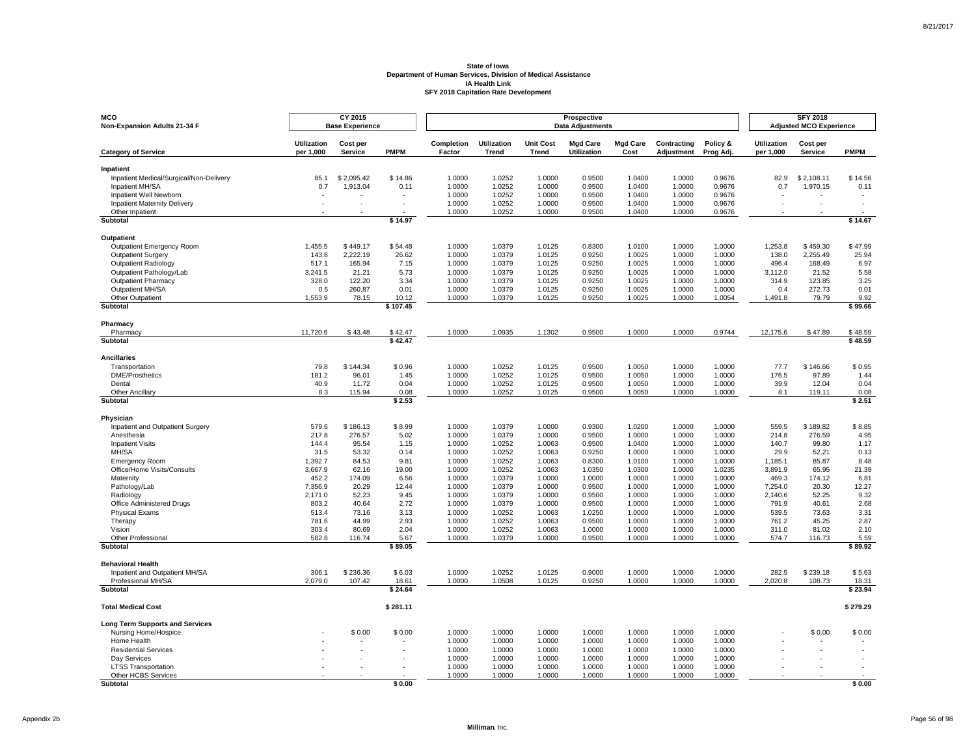| MCO<br>Non-Expansion Adults 21-34 F                    |                                 | CY 2015<br><b>Base Experience</b> |                |                      |                             |                                  | Prospective<br><b>Data Adjustments</b> |                         |                           |                       |                                 | <b>SFY 2018</b><br><b>Adjusted MCO Experience</b> |                |
|--------------------------------------------------------|---------------------------------|-----------------------------------|----------------|----------------------|-----------------------------|----------------------------------|----------------------------------------|-------------------------|---------------------------|-----------------------|---------------------------------|---------------------------------------------------|----------------|
| <b>Category of Service</b>                             | <b>Utilization</b><br>per 1,000 | Cost per<br><b>Service</b>        | <b>PMPM</b>    | Completion<br>Factor | <b>Utilization</b><br>Trend | <b>Unit Cost</b><br><b>Trend</b> | <b>Mgd Care</b><br><b>Utilization</b>  | <b>Mgd Care</b><br>Cost | Contracting<br>Adjustment | Policy &<br>Prog Adj. | <b>Utilization</b><br>per 1,000 | Cost per<br><b>Service</b>                        | <b>PMPM</b>    |
|                                                        |                                 |                                   |                |                      |                             |                                  |                                        |                         |                           |                       |                                 |                                                   |                |
| Inpatient<br>Inpatient Medical/Surgical/Non-Delivery   | 85.1                            | \$2,095.42                        | \$14.86        | 1.0000               | 1.0252                      | 1.0000                           | 0.9500                                 | 1.0400                  | 1.0000                    | 0.9676                | 82.9                            | \$2,108.11                                        | \$14.56        |
| Inpatient MH/SA                                        | 0.7                             | 1,913.04                          | 0.11           | 1.0000               | 1.0252                      | 1.0000                           | 0.9500                                 | 1.0400                  | 1.0000                    | 0.9676                | 0.7                             | 1,970.15                                          | 0.11           |
| Inpatient Well Newborn                                 |                                 |                                   |                | 1.0000               | 1.0252                      | 1.0000                           | 0.9500                                 | 1.0400                  | 1.0000                    | 0.9676                |                                 |                                                   |                |
| <b>Inpatient Maternity Delivery</b>                    |                                 |                                   | $\sim$         | 1.0000               | 1.0252                      | 1.0000                           | 0.9500                                 | 1.0400                  | 1.0000                    | 0.9676                |                                 |                                                   |                |
| Other Inpatient                                        |                                 |                                   | \$14.97        | 1.0000               | 1.0252                      | 1.0000                           | 0.9500                                 | 1.0400                  | 1.0000                    | 0.9676                |                                 |                                                   | \$14.67        |
| <b>Subtotal</b>                                        |                                 |                                   |                |                      |                             |                                  |                                        |                         |                           |                       |                                 |                                                   |                |
| <b>Outpatient</b>                                      |                                 |                                   |                |                      |                             |                                  |                                        |                         |                           |                       |                                 |                                                   |                |
| Outpatient Emergency Room                              | 1,455.5                         | \$449.17                          | \$54.48        | 1.0000               | 1.0379                      | 1.0125                           | 0.8300                                 | 1.0100                  | 1.0000                    | 1.0000                | 1,253.8                         | \$459.30                                          | \$47.99        |
| <b>Outpatient Surgery</b>                              | 143.8                           | 2,222.19                          | 26.62          | 1.0000               | 1.0379                      | 1.0125                           | 0.9250                                 | 1.0025                  | 1.0000                    | 1.0000                | 138.0                           | 2,255.49                                          | 25.94          |
| Outpatient Radiology                                   | 517.1                           | 165.94                            | 7.15           | 1.0000               | 1.0379                      | 1.0125                           | 0.9250                                 | 1.0025                  | 1.0000                    | 1.0000                | 496.4                           | 168.49                                            | 6.97           |
| Outpatient Pathology/Lab<br><b>Outpatient Pharmacy</b> | 3,241.5<br>328.0                | 21.21<br>122.20                   | 5.73<br>3.34   | 1.0000<br>1.0000     | 1.0379<br>1.0379            | 1.0125<br>1.0125                 | 0.9250<br>0.9250                       | 1.0025<br>1.0025        | 1.0000<br>1.0000          | 1.0000<br>1.0000      | 3,112.0<br>314.9                | 21.52<br>123.85                                   | 5.58<br>3.25   |
| Outpatient MH/SA                                       | 0.5                             | 260.87                            | 0.01           | 1.0000               | 1.0379                      | 1.0125                           | 0.9250                                 | 1.0025                  | 1.0000                    | 1.0000                | 0.4                             | 272.73                                            | 0.01           |
| Other Outpatient                                       | 1,553.9                         | 78.15                             | 10.12          | 1.0000               | 1.0379                      | 1.0125                           | 0.9250                                 | 1.0025                  | 1.0000                    | 1.0054                | 1,491.8                         | 79.79                                             | 9.92           |
| Subtotal                                               |                                 |                                   | \$107.45       |                      |                             |                                  |                                        |                         |                           |                       |                                 |                                                   | \$99.66        |
| Pharmacy                                               |                                 |                                   |                |                      |                             |                                  |                                        |                         |                           |                       |                                 |                                                   |                |
| Pharmacy                                               | 11,720.6                        | \$43.48                           | \$42.47        | 1.0000               | 1.0935                      | 1.1302                           | 0.9500                                 | 1.0000                  | 1.0000                    | 0.9744                | 12,175.6                        | \$47.89                                           | \$48.59        |
| <b>Subtotal</b>                                        |                                 |                                   | \$42.47        |                      |                             |                                  |                                        |                         |                           |                       |                                 |                                                   | \$48.59        |
| <b>Ancillaries</b>                                     |                                 |                                   |                |                      |                             |                                  |                                        |                         |                           |                       |                                 |                                                   |                |
| Transportation                                         | 79.8                            | \$144.34                          | \$0.96         | 1.0000               | 1.0252                      | 1.0125                           | 0.9500                                 | 1.0050                  | 1.0000                    | 1.0000                | 77.7                            | \$146.66                                          | \$0.95         |
| <b>DME/Prosthetics</b>                                 | 181.2                           | 96.01                             | 1.45           | 1.0000               | 1.0252                      | 1.0125                           | 0.9500                                 | 1.0050                  | 1.0000                    | 1.0000                | 176.5                           | 97.89                                             | 1.44           |
| Dental                                                 | 40.9                            | 11.72                             | 0.04           | 1.0000               | 1.0252                      | 1.0125                           | 0.9500                                 | 1.0050                  | 1.0000                    | 1.0000                | 39.9                            | 12.04                                             | 0.04           |
| Other Ancillary<br><b>Subtotal</b>                     | 8.3                             | 115.94                            | 0.08<br>\$2.53 | 1.0000               | 1.0252                      | 1.0125                           | 0.9500                                 | 1.0050                  | 1.0000                    | 1.0000                | 8.1                             | 119.11                                            | 0.08<br>\$2.51 |
|                                                        |                                 |                                   |                |                      |                             |                                  |                                        |                         |                           |                       |                                 |                                                   |                |
| Physician                                              |                                 |                                   |                |                      |                             |                                  |                                        |                         |                           |                       |                                 |                                                   |                |
| Inpatient and Outpatient Surgery                       | 579.6                           | \$186.13                          | \$8.99         | 1.0000               | 1.0379                      | 1.0000                           | 0.9300                                 | 1.0200                  | 1.0000                    | 1.0000                | 559.5                           | \$189.82                                          | \$8.85         |
| Anesthesia                                             | 217.8                           | 276.57                            | 5.02           | 1.0000               | 1.0379                      | 1.0000                           | 0.9500                                 | 1.0000                  | 1.0000                    | 1.0000                | 214.8                           | 276.59                                            | 4.95           |
| <b>Inpatient Visits</b><br>MH/SA                       | 144.4                           | 95.54<br>53.32                    | 1.15<br>0.14   | 1.0000<br>1.0000     | 1.0252<br>1.0252            | 1.0063<br>1.0063                 | 0.9500<br>0.9250                       | 1.0400<br>1.0000        | 1.0000<br>1.0000          | 1.0000<br>1.0000      | 140.7<br>29.9                   | 99.80<br>52.21                                    | 1.17<br>0.13   |
| <b>Emergency Room</b>                                  | 31.5<br>1,392.7                 | 84.53                             | 9.81           | 1.0000               | 1.0252                      | 1.0063                           | 0.8300                                 | 1.0100                  | 1.0000                    | 1.0000                | 1,185.1                         | 85.87                                             | 8.48           |
| Office/Home Visits/Consults                            | 3,667.9                         | 62.16                             | 19.00          | 1.0000               | 1.0252                      | 1.0063                           | 1.0350                                 | 1.0300                  | 1.0000                    | 1.0235                | 3,891.9                         | 65.95                                             | 21.39          |
| Maternity                                              | 452.2                           | 174.09                            | 6.56           | 1.0000               | 1.0379                      | 1.0000                           | 1.0000                                 | 1.0000                  | 1.0000                    | 1.0000                | 469.3                           | 174.12                                            | 6.81           |
| Pathology/Lab                                          | 7,356.9                         | 20.29                             | 12.44          | 1.0000               | 1.0379                      | 1.0000                           | 0.9500                                 | 1.0000                  | 1.0000                    | 1.0000                | 7,254.0                         | 20.30                                             | 12.27          |
| Radiology                                              | 2,171.0                         | 52.23                             | 9.45           | 1.0000               | 1.0379                      | 1.0000                           | 0.9500                                 | 1.0000                  | 1.0000                    | 1.0000                | 2,140.6                         | 52.25                                             | 9.32           |
| Office Administered Drugs                              | 803.2                           | 40.64                             | 2.72           | 1.0000               | 1.0379                      | 1.0000                           | 0.9500                                 | 1.0000                  | 1.0000                    | 1.0000                | 791.9                           | 40.61                                             | 2.68           |
| <b>Physical Exams</b>                                  | 513.4                           | 73.16                             | 3.13           | 1.0000               | 1.0252                      | 1.0063                           | 1.0250                                 | 1.0000                  | 1.0000                    | 1.0000                | 539.5                           | 73.63                                             | 3.31           |
| Therapy<br>Vision                                      | 781.6<br>303.4                  | 44.99<br>80.69                    | 2.93<br>2.04   | 1.0000<br>1.0000     | 1.0252<br>1.0252            | 1.0063<br>1.0063                 | 0.9500<br>1.0000                       | 1.0000<br>1.0000        | 1.0000<br>1.0000          | 1.0000<br>1.0000      | 761.2<br>311.0                  | 45.25<br>81.02                                    | 2.87<br>2.10   |
| Other Professional                                     | 582.8                           | 116.74                            | 5.67           | 1.0000               | 1.0379                      | 1.0000                           | 0.9500                                 | 1.0000                  | 1.0000                    | 1.0000                | 574.7                           | 116.73                                            | 5.59           |
| Subtotal                                               |                                 |                                   | \$89.05        |                      |                             |                                  |                                        |                         |                           |                       |                                 |                                                   | \$89.92        |
| <b>Behavioral Health</b>                               |                                 |                                   |                |                      |                             |                                  |                                        |                         |                           |                       |                                 |                                                   |                |
| Inpatient and Outpatient MH/SA                         | 306.1                           | \$236.36                          | \$6.03         | 1.0000               | 1.0252                      | 1.0125                           | 0.9000                                 | 1.0000                  | 1.0000                    | 1.0000                | 282.5                           | \$239.18                                          | \$5.63         |
| Professional MH/SA                                     | 2,079.0                         | 107.42                            | 18.61          | 1.0000               | 1.0508                      | 1.0125                           | 0.9250                                 | 1.0000                  | 1.0000                    | 1.0000                | 2,020.8                         | 108.73                                            | 18.31          |
| Subtotal                                               |                                 |                                   | \$24.64        |                      |                             |                                  |                                        |                         |                           |                       |                                 |                                                   | \$23.94        |
| <b>Total Medical Cost</b>                              |                                 |                                   | \$281.11       |                      |                             |                                  |                                        |                         |                           |                       |                                 |                                                   | \$279.29       |
| <b>Long Term Supports and Services</b>                 |                                 |                                   |                |                      |                             |                                  |                                        |                         |                           |                       |                                 |                                                   |                |
| Nursing Home/Hospice                                   |                                 | \$0.00                            | \$0.00         | 1.0000               | 1.0000                      | 1.0000                           | 1.0000                                 | 1.0000                  | 1.0000                    | 1.0000                |                                 | \$0.00                                            | \$0.00         |
| Home Health                                            |                                 |                                   |                | 1.0000               | 1.0000                      | 1.0000                           | 1.0000                                 | 1.0000                  | 1.0000                    | 1.0000                |                                 |                                                   |                |
| <b>Residential Services</b>                            |                                 |                                   |                | 1.0000               | 1.0000                      | 1.0000                           | 1.0000                                 | 1.0000                  | 1.0000                    | 1.0000                |                                 |                                                   |                |
| Day Services                                           |                                 |                                   |                | 1.0000               | 1.0000                      | 1.0000                           | 1.0000                                 | 1.0000                  | 1.0000                    | 1.0000<br>1.0000      |                                 |                                                   |                |
| <b>LTSS Transportation</b><br>Other HCBS Services      |                                 |                                   |                | 1.0000<br>1.0000     | 1.0000<br>1.0000            | 1.0000<br>1.0000                 | 1.0000<br>1.0000                       | 1.0000<br>1.0000        | 1.0000<br>1.0000          | 1.0000                |                                 |                                                   |                |
| <b>Subtotal</b>                                        |                                 |                                   | \$0.00         |                      |                             |                                  |                                        |                         |                           |                       |                                 |                                                   | \$0.00         |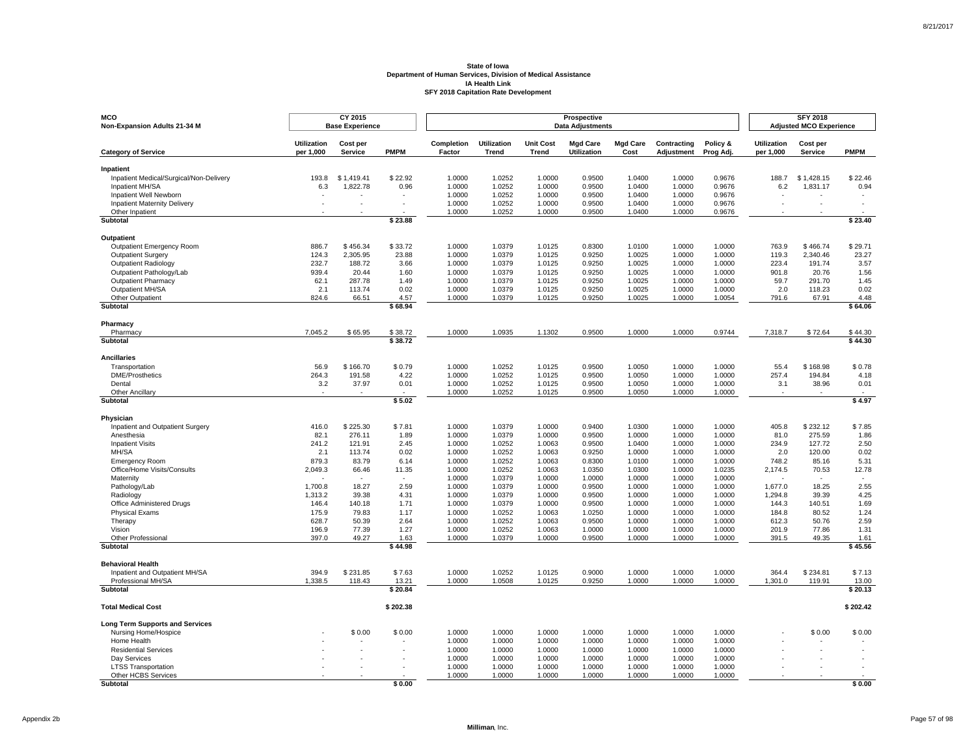| MCO<br>Non-Expansion Adults 21-34 M                           |                    | CY 2015<br><b>Base Experience</b> |                  |                  |                    |                  | Prospective<br><b>Data Adjustments</b> |                  |                  |                  |                    | <b>SFY 2018</b><br><b>Adjusted MCO Experience</b> |                  |
|---------------------------------------------------------------|--------------------|-----------------------------------|------------------|------------------|--------------------|------------------|----------------------------------------|------------------|------------------|------------------|--------------------|---------------------------------------------------|------------------|
|                                                               | <b>Utilization</b> | Cost per                          |                  | Completion       | <b>Utilization</b> | <b>Unit Cost</b> | <b>Mgd Care</b>                        | <b>Mgd Care</b>  | Contracting      | Policy &         | <b>Utilization</b> | Cost per                                          |                  |
| <b>Category of Service</b>                                    | per 1,000          | <b>Service</b>                    | <b>PMPM</b>      | Factor           | Trend              | <b>Trend</b>     | <b>Utilization</b>                     | Cost             | Adjustment       | Prog Adj.        | per 1,000          | Service                                           | <b>PMPM</b>      |
| Inpatient                                                     |                    |                                   |                  |                  |                    |                  |                                        |                  |                  |                  |                    |                                                   |                  |
| Inpatient Medical/Surgical/Non-Delivery                       | 193.8              | \$1,419.41                        | \$22.92          | 1.0000           | 1.0252             | 1.0000           | 0.9500                                 | 1.0400           | 1.0000           | 0.9676           | 188.7              | \$1,428.15                                        | \$22.46          |
| Inpatient MH/SA                                               | 6.3                | 1,822.78                          | 0.96             | 1.0000           | 1.0252             | 1.0000           | 0.9500                                 | 1.0400           | 1.0000           | 0.9676           | 6.2                | 1,831.17                                          | 0.94             |
| Inpatient Well Newborn<br><b>Inpatient Maternity Delivery</b> |                    |                                   | $\sim$           | 1.0000<br>1.0000 | 1.0252<br>1.0252   | 1.0000<br>1.0000 | 0.9500<br>0.9500                       | 1.0400<br>1.0400 | 1.0000<br>1.0000 | 0.9676<br>0.9676 |                    |                                                   |                  |
| Other Inpatient                                               |                    |                                   |                  | 1.0000           | 1.0252             | 1.0000           | 0.9500                                 | 1.0400           | 1.0000           | 0.9676           |                    |                                                   |                  |
| <b>Subtotal</b>                                               |                    |                                   | \$23.88          |                  |                    |                  |                                        |                  |                  |                  |                    |                                                   | \$23.40          |
| <b>Outpatient</b>                                             |                    |                                   |                  |                  |                    |                  |                                        |                  |                  |                  |                    |                                                   |                  |
| Outpatient Emergency Room                                     | 886.7              | \$456.34                          | \$33.72          | 1.0000           | 1.0379             | 1.0125           | 0.8300                                 | 1.0100           | 1.0000           | 1.0000           | 763.9              | \$466.74                                          | \$29.71          |
| <b>Outpatient Surgery</b>                                     | 124.3              | 2,305.95                          | 23.88            | 1.0000           | 1.0379             | 1.0125           | 0.9250                                 | 1.0025           | 1.0000           | 1.0000           | 119.3              | 2,340.46                                          | 23.27            |
| Outpatient Radiology                                          | 232.7              | 188.72                            | 3.66             | 1.0000           | 1.0379             | 1.0125           | 0.9250                                 | 1.0025           | 1.0000           | 1.0000           | 223.4              | 191.74                                            | 3.57             |
| Outpatient Pathology/Lab                                      | 939.4              | 20.44                             | 1.60             | 1.0000           | 1.0379             | 1.0125           | 0.9250                                 | 1.0025           | 1.0000           | 1.0000           | 901.8              | 20.76                                             | 1.56             |
| <b>Outpatient Pharmacy</b>                                    | 62.1               | 287.78                            | 1.49             | 1.0000           | 1.0379             | 1.0125           | 0.9250                                 | 1.0025           | 1.0000           | 1.0000           | 59.7               | 291.70                                            | 1.45             |
| Outpatient MH/SA                                              | 2.1                | 113.74                            | 0.02             | 1.0000           | 1.0379             | 1.0125           | 0.9250                                 | 1.0025           | 1.0000           | 1.0000           | 2.0                | 118.23                                            | 0.02             |
| Other Outpatient<br>Subtotal                                  | 824.6              | 66.51                             | 4.57<br>\$68.94  | 1.0000           | 1.0379             | 1.0125           | 0.9250                                 | 1.0025           | 1.0000           | 1.0054           | 791.6              | 67.91                                             | 4.48<br>\$64.06  |
|                                                               |                    |                                   |                  |                  |                    |                  |                                        |                  |                  |                  |                    |                                                   |                  |
| Pharmacy<br>Pharmacy                                          | 7,045.2            | \$65.95                           | \$38.72          | 1.0000           | 1.0935             | 1.1302           | 0.9500                                 | 1.0000           | 1.0000           | 0.9744           | 7,318.7            | \$72.64                                           | \$44.30          |
| <b>Subtotal</b>                                               |                    |                                   | \$38.72          |                  |                    |                  |                                        |                  |                  |                  |                    |                                                   | \$44.30          |
| <b>Ancillaries</b>                                            |                    |                                   |                  |                  |                    |                  |                                        |                  |                  |                  |                    |                                                   |                  |
| Transportation                                                | 56.9               | \$166.70                          | \$0.79           | 1.0000           | 1.0252             | 1.0125           | 0.9500                                 | 1.0050           | 1.0000           | 1.0000           | 55.4               | \$168.98                                          | \$0.78           |
| <b>DME/Prosthetics</b>                                        | 264.3              | 191.58                            | 4.22             | 1.0000           | 1.0252             | 1.0125           | 0.9500                                 | 1.0050           | 1.0000           | 1.0000           | 257.4              | 194.84                                            | 4.18             |
| Dental                                                        | 3.2                | 37.97                             | 0.01             | 1.0000           | 1.0252             | 1.0125           | 0.9500                                 | 1.0050           | 1.0000           | 1.0000           | 3.1                | 38.96                                             | 0.01             |
| Other Ancillary<br><b>Subtotal</b>                            |                    |                                   | \$5.02           | 1.0000           | 1.0252             | 1.0125           | 0.9500                                 | 1.0050           | 1.0000           | 1.0000           |                    |                                                   | \$4.97           |
|                                                               |                    |                                   |                  |                  |                    |                  |                                        |                  |                  |                  |                    |                                                   |                  |
| Physician                                                     |                    |                                   |                  |                  |                    |                  |                                        |                  |                  |                  |                    |                                                   |                  |
| Inpatient and Outpatient Surgery                              | 416.0<br>82.1      | \$225.30<br>276.11                | \$7.81<br>1.89   | 1.0000<br>1.0000 | 1.0379<br>1.0379   | 1.0000<br>1.0000 | 0.9400<br>0.9500                       | 1.0300<br>1.0000 | 1.0000<br>1.0000 | 1.0000<br>1.0000 | 405.8<br>81.0      | \$232.12<br>275.59                                | \$7.85<br>1.86   |
| Anesthesia<br><b>Inpatient Visits</b>                         | 241.2              | 121.91                            | 2.45             | 1.0000           | 1.0252             | 1.0063           | 0.9500                                 | 1.0400           | 1.0000           | 1.0000           | 234.9              | 127.72                                            | 2.50             |
| MH/SA                                                         | 2.1                | 113.74                            | 0.02             | 1.0000           | 1.0252             | 1.0063           | 0.9250                                 | 1.0000           | 1.0000           | 1.0000           | 2.0                | 120.00                                            | 0.02             |
| <b>Emergency Room</b>                                         | 879.3              | 83.79                             | 6.14             | 1.0000           | 1.0252             | 1.0063           | 0.8300                                 | 1.0100           | 1.0000           | 1.0000           | 748.2              | 85.16                                             | 5.31             |
| Office/Home Visits/Consults                                   | 2,049.3            | 66.46                             | 11.35            | 1.0000           | 1.0252             | 1.0063           | 1.0350                                 | 1.0300           | 1.0000           | 1.0235           | 2,174.5            | 70.53                                             | 12.78            |
| Maternity                                                     |                    |                                   |                  | 1.0000           | 1.0379             | 1.0000           | 1.0000                                 | 1.0000           | 1.0000           | 1.0000           |                    |                                                   |                  |
| Pathology/Lab                                                 | 1,700.8            | 18.27                             | 2.59             | 1.0000           | 1.0379             | 1.0000           | 0.9500                                 | 1.0000           | 1.0000           | 1.0000           | 1,677.0            | 18.25                                             | 2.55             |
| Radiology<br>Office Administered Drugs                        | 1,313.2<br>146.4   | 39.38<br>140.18                   | 4.31<br>1.71     | 1.0000<br>1.0000 | 1.0379<br>1.0379   | 1.0000<br>1.0000 | 0.9500<br>0.9500                       | 1.0000<br>1.0000 | 1.0000<br>1.0000 | 1.0000<br>1.0000 | 1,294.8<br>144.3   | 39.39<br>140.51                                   | 4.25<br>1.69     |
| <b>Physical Exams</b>                                         | 175.9              | 79.83                             | 1.17             | 1.0000           | 1.0252             | 1.0063           | 1.0250                                 | 1.0000           | 1.0000           | 1.0000           | 184.8              | 80.52                                             | 1.24             |
| Therapy                                                       | 628.7              | 50.39                             | 2.64             | 1.0000           | 1.0252             | 1.0063           | 0.9500                                 | 1.0000           | 1.0000           | 1.0000           | 612.3              | 50.76                                             | 2.59             |
| Vision                                                        | 196.9              | 77.39                             | 1.27             | 1.0000           | 1.0252             | 1.0063           | 1.0000                                 | 1.0000           | 1.0000           | 1.0000           | 201.9              | 77.86                                             | 1.31             |
| Other Professional                                            | 397.0              | 49.27                             | 1.63             | 1.0000           | 1.0379             | 1.0000           | 0.9500                                 | 1.0000           | 1.0000           | 1.0000           | 391.5              | 49.35                                             | 1.61             |
| Subtotal                                                      |                    |                                   | \$44.98          |                  |                    |                  |                                        |                  |                  |                  |                    |                                                   | \$45.56          |
| <b>Behavioral Health</b>                                      |                    |                                   |                  |                  |                    |                  |                                        |                  |                  |                  |                    |                                                   |                  |
| Inpatient and Outpatient MH/SA                                | 394.9              | \$231.85                          | \$7.63           | 1.0000           | 1.0252             | 1.0125           | 0.9000                                 | 1.0000           | 1.0000           | 1.0000           | 364.4              | \$234.81                                          | \$7.13           |
| Professional MH/SA<br>Subtotal                                | 1,338.5            | 118.43                            | 13.21<br>\$20.84 | 1.0000           | 1.0508             | 1.0125           | 0.9250                                 | 1.0000           | 1.0000           | 1.0000           | 1,301.0            | 119.91                                            | 13.00<br>\$20.13 |
|                                                               |                    |                                   |                  |                  |                    |                  |                                        |                  |                  |                  |                    |                                                   |                  |
| <b>Total Medical Cost</b>                                     |                    |                                   | \$202.38         |                  |                    |                  |                                        |                  |                  |                  |                    |                                                   | \$202.42         |
| <b>Long Term Supports and Services</b>                        |                    |                                   |                  |                  |                    |                  |                                        |                  |                  |                  |                    |                                                   |                  |
| Nursing Home/Hospice                                          |                    | \$0.00                            | \$0.00           | 1.0000           | 1.0000             | 1.0000           | 1.0000                                 | 1.0000           | 1.0000           | 1.0000           |                    | \$0.00                                            | \$0.00           |
| Home Health                                                   |                    |                                   |                  | 1.0000           | 1.0000             | 1.0000           | 1.0000                                 | 1.0000           | 1.0000           | 1.0000           |                    |                                                   |                  |
| <b>Residential Services</b><br>Day Services                   |                    |                                   |                  | 1.0000<br>1.0000 | 1.0000<br>1.0000   | 1.0000<br>1.0000 | 1.0000<br>1.0000                       | 1.0000<br>1.0000 | 1.0000<br>1.0000 | 1.0000<br>1.0000 |                    |                                                   |                  |
| <b>LTSS Transportation</b>                                    |                    |                                   |                  | 1.0000           | 1.0000             | 1.0000           | 1.0000                                 | 1.0000           | 1.0000           | 1.0000           |                    |                                                   |                  |
| Other HCBS Services                                           |                    |                                   |                  | 1.0000           | 1.0000             | 1.0000           | 1.0000                                 | 1.0000           | 1.0000           | 1.0000           |                    |                                                   |                  |
| <b>Subtotal</b>                                               |                    |                                   | \$0.00           |                  |                    |                  |                                        |                  |                  |                  |                    |                                                   | \$0.00           |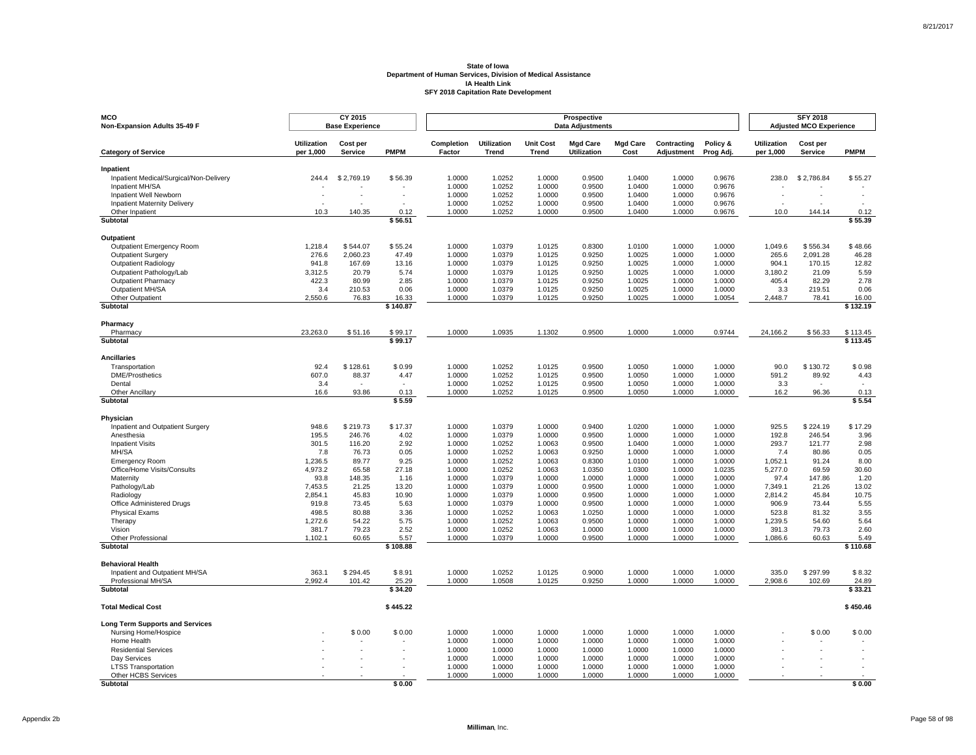| <b>MCO</b><br>Non-Expansion Adults 35-49 F                 |                                 | CY 2015<br><b>Base Experience</b> |                    |                      |                             |                           | Prospective<br><b>Data Adjustments</b> |                         |                           |                       |                                 | <b>SFY 2018</b><br><b>Adjusted MCO Experience</b> |                      |
|------------------------------------------------------------|---------------------------------|-----------------------------------|--------------------|----------------------|-----------------------------|---------------------------|----------------------------------------|-------------------------|---------------------------|-----------------------|---------------------------------|---------------------------------------------------|----------------------|
| <b>Category of Service</b>                                 | <b>Utilization</b><br>per 1,000 | Cost per<br>Service               | <b>PMPM</b>        | Completion<br>Factor | <b>Utilization</b><br>Trend | <b>Unit Cost</b><br>Trend | <b>Mgd Care</b><br><b>Utilization</b>  | <b>Mgd Care</b><br>Cost | Contracting<br>Adjustment | Policy &<br>Prog Adj. | <b>Utilization</b><br>per 1,000 | Cost per<br>Service                               | <b>PMPM</b>          |
| Inpatient                                                  |                                 |                                   |                    |                      |                             |                           |                                        |                         |                           |                       |                                 |                                                   |                      |
| Inpatient Medical/Surgical/Non-Delivery                    | 244.4                           | \$2,769.19                        | \$56.39            | 1.0000               | 1.0252                      | 1.0000                    | 0.9500                                 | 1.0400                  | 1.0000                    | 0.9676                | 238.0                           | \$2,786.84                                        | \$55.27              |
| Inpatient MH/SA                                            |                                 |                                   |                    | 1.0000               | 1.0252                      | 1.0000                    | 0.9500                                 | 1.0400                  | 1.0000                    | 0.9676                |                                 |                                                   |                      |
| Inpatient Well Newborn                                     |                                 |                                   |                    | 1.0000               | 1.0252                      | 1.0000                    | 0.9500                                 | 1.0400                  | 1.0000                    | 0.9676                |                                 |                                                   |                      |
| <b>Inpatient Maternity Delivery</b>                        |                                 |                                   |                    | 1.0000               | 1.0252                      | 1.0000                    | 0.9500                                 | 1.0400                  | 1.0000                    | 0.9676                |                                 |                                                   |                      |
| Other Inpatient<br>Subtotal                                | 10.3                            | 140.35                            | 0.12<br>\$56.51    | 1.0000               | 1.0252                      | 1.0000                    | 0.9500                                 | 1.0400                  | 1.0000                    | 0.9676                | 10.0                            | 144.14                                            | 0.12<br>\$55.39      |
|                                                            |                                 |                                   |                    |                      |                             |                           |                                        |                         |                           |                       |                                 |                                                   |                      |
| Outpatient<br>Outpatient Emergency Room                    | 1,218.4                         | \$544.07                          | \$55.24            | 1.0000               | 1.0379                      | 1.0125                    | 0.8300                                 | 1.0100                  | 1.0000                    | 1.0000                | 1,049.6                         | \$556.34                                          | \$48.66              |
| <b>Outpatient Surgery</b>                                  | 276.6                           | 2,060.23                          | 47.49              | 1.0000               | 1.0379                      | 1.0125                    | 0.9250                                 | 1.0025                  | 1.0000                    | 1.0000                | 265.6                           | 2,091.28                                          | 46.28                |
| <b>Outpatient Radiology</b>                                | 941.8                           | 167.69                            | 13.16              | 1.0000               | 1.0379                      | 1.0125                    | 0.9250                                 | 1.0025                  | 1.0000                    | 1.0000                | 904.1                           | 170.15                                            | 12.82                |
| Outpatient Pathology/Lab                                   | 3,312.5                         | 20.79                             | 5.74               | 1.0000               | 1.0379                      | 1.0125                    | 0.9250                                 | 1.0025                  | 1.0000                    | 1.0000                | 3,180.2                         | 21.09                                             | 5.59                 |
| <b>Outpatient Pharmacy</b>                                 | 422.3                           | 80.99                             | 2.85               | 1.0000               | 1.0379                      | 1.0125                    | 0.9250                                 | 1.0025                  | 1.0000                    | 1.0000                | 405.4                           | 82.29                                             | 2.78                 |
| Outpatient MH/SA                                           | 3.4                             | 210.53                            | 0.06               | 1.0000               | 1.0379                      | 1.0125                    | 0.9250                                 | 1.0025                  | 1.0000                    | 1.0000                | 3.3                             | 219.51                                            | 0.06                 |
| Other Outpatient                                           | 2,550.6                         | 76.83                             | 16.33              | 1.0000               | 1.0379                      | 1.0125                    | 0.9250                                 | 1.0025                  | 1.0000                    | 1.0054                | 2,448.7                         | 78.41                                             | 16.00                |
| Subtotal                                                   |                                 |                                   | \$140.87           |                      |                             |                           |                                        |                         |                           |                       |                                 |                                                   | \$132.19             |
| Pharmacy                                                   |                                 |                                   |                    |                      |                             |                           |                                        |                         |                           |                       |                                 |                                                   |                      |
| Pharmacy<br>Subtotal                                       | 23,263.0                        | \$51.16                           | \$99.17<br>\$99.17 | 1.0000               | 1.0935                      | 1.1302                    | 0.9500                                 | 1.0000                  | 1.0000                    | 0.9744                | 24,166.2                        | \$56.33                                           | \$113.45<br>\$113.45 |
|                                                            |                                 |                                   |                    |                      |                             |                           |                                        |                         |                           |                       |                                 |                                                   |                      |
| <b>Ancillaries</b>                                         | 92.4                            |                                   | \$0.99             |                      | 1.0252                      |                           | 0.9500                                 | 1.0050                  |                           | 1.0000                | 90.0                            | \$130.72                                          | \$0.98               |
| Transportation<br><b>DME/Prosthetics</b>                   | 607.0                           | \$128.61<br>88.37                 | 4.47               | 1.0000<br>1.0000     | 1.0252                      | 1.0125<br>1.0125          | 0.9500                                 | 1.0050                  | 1.0000<br>1.0000          | 1.0000                | 591.2                           | 89.92                                             | 4.43                 |
| Dental                                                     | 3.4                             |                                   |                    | 1.0000               | 1.0252                      | 1.0125                    | 0.9500                                 | 1.0050                  | 1.0000                    | 1.0000                | 3.3                             |                                                   |                      |
| Other Ancillary                                            | 16.6                            | 93.86                             | 0.13               | 1.0000               | 1.0252                      | 1.0125                    | 0.9500                                 | 1.0050                  | 1.0000                    | 1.0000                | 16.2                            | 96.36                                             | 0.13                 |
| Subtotal                                                   |                                 |                                   | \$5.59             |                      |                             |                           |                                        |                         |                           |                       |                                 |                                                   | \$5.54               |
| Physician                                                  |                                 |                                   |                    |                      |                             |                           |                                        |                         |                           |                       |                                 |                                                   |                      |
| Inpatient and Outpatient Surgery                           | 948.6                           | \$219.73                          | \$17.37            | 1.0000               | 1.0379                      | 1.0000                    | 0.9400                                 | 1.0200                  | 1.0000                    | 1.0000                | 925.5                           | \$224.19                                          | \$17.29              |
| Anesthesia                                                 | 195.5                           | 246.76                            | 4.02               | 1.0000               | 1.0379                      | 1.0000                    | 0.9500                                 | 1.0000                  | 1.0000                    | 1.0000                | 192.8                           | 246.54                                            | 3.96                 |
| <b>Inpatient Visits</b>                                    | 301.5                           | 116.20                            | 2.92               | 1.0000               | 1.0252                      | 1.0063                    | 0.9500                                 | 1.0400                  | 1.0000                    | 1.0000                | 293.7                           | 121.77                                            | 2.98                 |
| MH/SA                                                      | 7.8                             | 76.73                             | 0.05               | 1.0000               | 1.0252                      | 1.0063                    | 0.9250                                 | 1.0000                  | 1.0000                    | 1.0000                | 7.4                             | 80.86                                             | 0.05                 |
| <b>Emergency Room</b><br>Office/Home Visits/Consults       | 1,236.5<br>4,973.2              | 89.77<br>65.58                    | 9.25<br>27.18      | 1.0000<br>1.0000     | 1.0252<br>1.0252            | 1.0063<br>1.0063          | 0.8300<br>1.0350                       | 1.0100<br>1.0300        | 1.0000<br>1.0000          | 1.0000<br>1.0235      | 1,052.1<br>5,277.0              | 91.24<br>69.59                                    | 8.00<br>30.60        |
| Maternity                                                  | 93.8                            | 148.35                            | 1.16               | 1.0000               | 1.0379                      | 1.0000                    | 1.0000                                 | 1.0000                  | 1.0000                    | 1.0000                | 97.4                            | 147.86                                            | 1.20                 |
| Pathology/Lab                                              | 7,453.5                         | 21.25                             | 13.20              | 1.0000               | 1.0379                      | 1.0000                    | 0.9500                                 | 1.0000                  | 1.0000                    | 1.0000                | 7,349.1                         | 21.26                                             | 13.02                |
| Radiology                                                  | 2,854.1                         | 45.83                             | 10.90              | 1.0000               | 1.0379                      | 1.0000                    | 0.9500                                 | 1.0000                  | 1.0000                    | 1.0000                | 2,814.2                         | 45.84                                             | 10.75                |
| Office Administered Drugs                                  | 919.8                           | 73.45                             | 5.63               | 1.0000               | 1.0379                      | 1.0000                    | 0.9500                                 | 1.0000                  | 1.0000                    | 1.0000                | 906.9                           | 73.44                                             | 5.55                 |
| <b>Physical Exams</b>                                      | 498.5                           | 80.88                             | 3.36               | 1.0000               | 1.0252                      | 1.0063                    | 1.0250                                 | 1.0000                  | 1.0000                    | 1.0000                | 523.8                           | 81.32                                             | 3.55                 |
| Therapy                                                    | 1,272.6                         | 54.22                             | 5.75               | 1.0000               | 1.0252                      | 1.0063                    | 0.9500                                 | 1.0000                  | 1.0000                    | 1.0000                | 1,239.5                         | 54.60                                             | 5.64                 |
| Vision                                                     | 381.7                           | 79.23                             | 2.52               | 1.0000               | 1.0252                      | 1.0063                    | 1.0000                                 | 1.0000                  | 1.0000                    | 1.0000                | 391.3                           | 79.73                                             | 2.60                 |
| <b>Other Professional</b><br>Subtotal                      | 1,102.1                         | 60.65                             | 5.57<br>\$108.88   | 1.0000               | 1.0379                      | 1.0000                    | 0.9500                                 | 1.0000                  | 1.0000                    | 1.0000                | 1,086.6                         | 60.63                                             | 5.49<br>\$110.68     |
|                                                            |                                 |                                   |                    |                      |                             |                           |                                        |                         |                           |                       |                                 |                                                   |                      |
| <b>Behavioral Health</b><br>Inpatient and Outpatient MH/SA | 363.1                           | \$294.45                          | \$8.91             | 1.0000               | 1.0252                      | 1.0125                    | 0.9000                                 | 1.0000                  | 1.0000                    | 1.0000                | 335.0                           | \$297.99                                          | \$8.32               |
| Professional MH/SA                                         | 2.992.4                         | 101.42                            | 25.29              | 1.0000               | 1.0508                      | 1.0125                    | 0.9250                                 | 1.0000                  | 1.0000                    | 1.0000                | 2,908.6                         | 102.69                                            | 24.89                |
| Subtotal                                                   |                                 |                                   | \$34.20            |                      |                             |                           |                                        |                         |                           |                       |                                 |                                                   | \$33.21              |
| <b>Total Medical Cost</b>                                  |                                 |                                   | \$445.22           |                      |                             |                           |                                        |                         |                           |                       |                                 |                                                   | \$450.46             |
| <b>Long Term Supports and Services</b>                     |                                 |                                   |                    |                      |                             |                           |                                        |                         |                           |                       |                                 |                                                   |                      |
| Nursing Home/Hospice                                       |                                 | \$0.00                            | \$0.00             | 1.0000               | 1.0000                      | 1.0000                    | 1.0000                                 | 1.0000                  | 1.0000                    | 1.0000                |                                 | \$0.00                                            | \$0.00               |
| Home Health                                                |                                 |                                   |                    | 1.0000               | 1.0000                      | 1.0000                    | 1.0000                                 | 1.0000                  | 1.0000                    | 1.0000                |                                 |                                                   |                      |
| <b>Residential Services</b>                                |                                 |                                   |                    | 1.0000               | 1.0000                      | 1.0000                    | 1.0000                                 | 1.0000                  | 1.0000                    | 1.0000                |                                 |                                                   |                      |
| Day Services<br><b>LTSS Transportation</b>                 |                                 |                                   |                    | 1.0000<br>1.0000     | 1.0000<br>1.0000            | 1.0000<br>1.0000          | 1.0000<br>1.0000                       | 1.0000<br>1.0000        | 1.0000<br>1.0000          | 1.0000<br>1.0000      |                                 |                                                   |                      |
| Other HCBS Services                                        |                                 |                                   |                    | 1.0000               | 1.0000                      | 1.0000                    | 1.0000                                 | 1.0000                  | 1.0000                    | 1.0000                |                                 |                                                   |                      |
| <b>Subtotal</b>                                            |                                 |                                   | \$0.00             |                      |                             |                           |                                        |                         |                           |                       |                                 |                                                   | \$0.00               |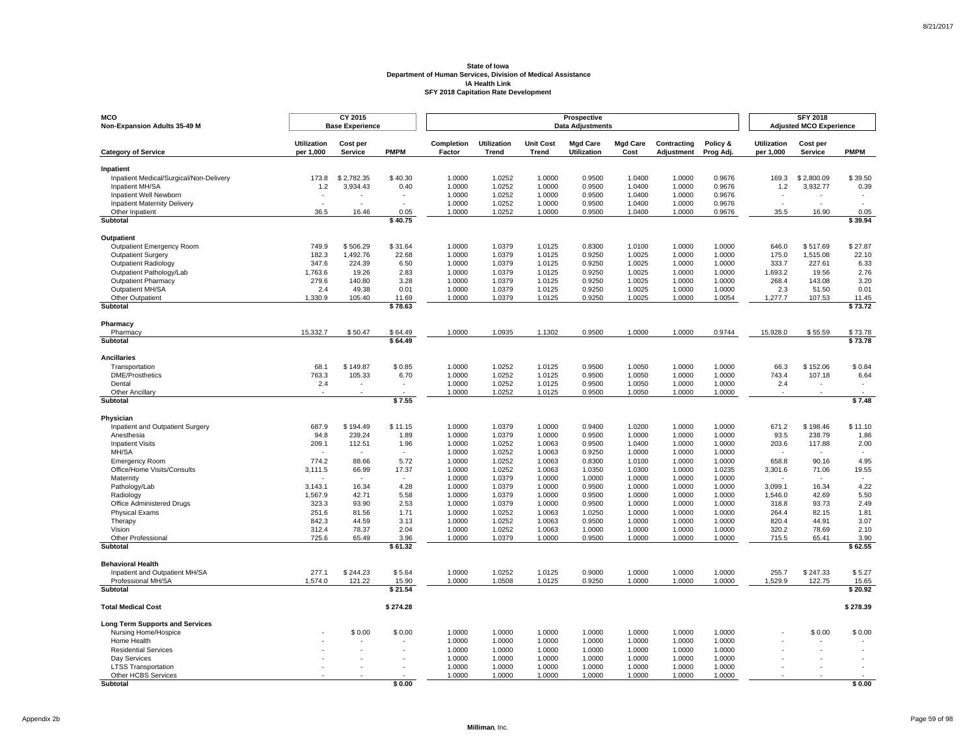| MCO<br>Non-Expansion Adults 35-49 M                    |                    | CY 2015<br><b>Base Experience</b> |                  |                  |                    |                  | Prospective<br><b>Data Adjustments</b> |                  |                  |                  |                    | <b>SFY 2018</b><br><b>Adjusted MCO Experience</b> |                  |
|--------------------------------------------------------|--------------------|-----------------------------------|------------------|------------------|--------------------|------------------|----------------------------------------|------------------|------------------|------------------|--------------------|---------------------------------------------------|------------------|
|                                                        | <b>Utilization</b> | Cost per                          |                  | Completion       | <b>Utilization</b> | <b>Unit Cost</b> | <b>Mgd Care</b>                        | <b>Mgd Care</b>  | Contracting      | Policy &         | <b>Utilization</b> | Cost per                                          |                  |
| <b>Category of Service</b>                             | per 1,000          | <b>Service</b>                    | <b>PMPM</b>      | Factor           | Trend              | <b>Trend</b>     | <b>Utilization</b>                     | Cost             | Adjustment       | Prog Adj.        | per 1,000          | <b>Service</b>                                    | <b>PMPM</b>      |
| Inpatient                                              |                    |                                   |                  |                  |                    |                  |                                        |                  |                  |                  |                    |                                                   |                  |
| Inpatient Medical/Surgical/Non-Delivery                | 173.8              | \$2,782.35                        | \$40.30          | 1.0000           | 1.0252             | 1.0000           | 0.9500                                 | 1.0400           | 1.0000           | 0.9676           | 169.3              | \$2,800.09                                        | \$39.50          |
| Inpatient MH/SA                                        | 1.2                | 3,934.43                          | 0.40             | 1.0000           | 1.0252             | 1.0000           | 0.9500                                 | 1.0400           | 1.0000           | 0.9676           | $1.2$              | 3,932.77                                          | 0.39             |
| Inpatient Well Newborn                                 |                    | $\sim$                            | $\sim$           | 1.0000           | 1.0252             | 1.0000           | 0.9500                                 | 1.0400           | 1.0000           | 0.9676           |                    |                                                   |                  |
| <b>Inpatient Maternity Delivery</b><br>Other Inpatient | 36.5               | 16.46                             | 0.05             | 1.0000<br>1.0000 | 1.0252<br>1.0252   | 1.0000<br>1.0000 | 0.9500<br>0.9500                       | 1.0400<br>1.0400 | 1.0000<br>1.0000 | 0.9676<br>0.9676 | 35.5               | 16.90                                             | 0.05             |
| <b>Subtotal</b>                                        |                    |                                   | \$40.75          |                  |                    |                  |                                        |                  |                  |                  |                    |                                                   | \$39.94          |
|                                                        |                    |                                   |                  |                  |                    |                  |                                        |                  |                  |                  |                    |                                                   |                  |
| <b>Outpatient</b>                                      |                    |                                   |                  |                  |                    |                  |                                        |                  |                  |                  |                    |                                                   |                  |
| Outpatient Emergency Room                              | 749.9              | \$506.29                          | \$31.64          | 1.0000           | 1.0379             | 1.0125           | 0.8300                                 | 1.0100           | 1.0000           | 1.0000           | 646.0              | \$517.69                                          | \$27.87          |
| <b>Outpatient Surgery</b><br>Outpatient Radiology      | 182.3<br>347.6     | 1,492.76<br>224.39                | 22.68<br>6.50    | 1.0000<br>1.0000 | 1.0379<br>1.0379   | 1.0125<br>1.0125 | 0.9250<br>0.9250                       | 1.0025<br>1.0025 | 1.0000<br>1.0000 | 1.0000<br>1.0000 | 175.0<br>333.7     | 1,515.08<br>227.61                                | 22.10            |
| Outpatient Pathology/Lab                               | 1,763.6            | 19.26                             | 2.83             | 1.0000           | 1.0379             | 1.0125           | 0.9250                                 | 1.0025           | 1.0000           | 1.0000           | 1,693.2            | 19.56                                             | 6.33<br>2.76     |
| <b>Outpatient Pharmacy</b>                             | 279.6              | 140.80                            | 3.28             | 1.0000           | 1.0379             | 1.0125           | 0.9250                                 | 1.0025           | 1.0000           | 1.0000           | 268.4              | 143.08                                            | 3.20             |
| Outpatient MH/SA                                       | 2.4                | 49.38                             | 0.01             | 1.0000           | 1.0379             | 1.0125           | 0.9250                                 | 1.0025           | 1.0000           | 1.0000           | 2.3                | 51.50                                             | 0.01             |
| Other Outpatient                                       | 1,330.9            | 105.40                            | 11.69            | 1.0000           | 1.0379             | 1.0125           | 0.9250                                 | 1.0025           | 1.0000           | 1.0054           | 1,277.7            | 107.53                                            | 11.45            |
| Subtotal                                               |                    |                                   | \$78.63          |                  |                    |                  |                                        |                  |                  |                  |                    |                                                   | \$73.72          |
| Pharmacy                                               |                    |                                   |                  |                  |                    |                  |                                        |                  |                  |                  |                    |                                                   |                  |
| Pharmacy                                               | 15,332.7           | \$50.47                           | \$64.49          | 1.0000           | 1.0935             | 1.1302           | 0.9500                                 | 1.0000           | 1.0000           | 0.9744           | 15,928.0           | \$55.59                                           | \$73.78          |
| <b>Subtotal</b>                                        |                    |                                   | \$64.49          |                  |                    |                  |                                        |                  |                  |                  |                    |                                                   | \$73.78          |
| <b>Ancillaries</b>                                     |                    |                                   |                  |                  |                    |                  |                                        |                  |                  |                  |                    |                                                   |                  |
| Transportation                                         | 68.1               | \$149.87                          | \$0.85           | 1.0000           | 1.0252             | 1.0125           | 0.9500                                 | 1.0050           | 1.0000           | 1.0000           | 66.3               | \$152.06                                          | \$0.84           |
| <b>DME/Prosthetics</b>                                 | 763.3              | 105.33                            | 6.70             | 1.0000           | 1.0252             | 1.0125           | 0.9500                                 | 1.0050           | 1.0000           | 1.0000           | 743.4              | 107.18                                            | 6.64             |
| Dental                                                 | 2.4                |                                   |                  | 1.0000           | 1.0252             | 1.0125           | 0.9500                                 | 1.0050           | 1.0000           | 1.0000           | 2.4                |                                                   |                  |
| Other Ancillary                                        |                    |                                   |                  | 1.0000           | 1.0252             | 1.0125           | 0.9500                                 | 1.0050           | 1.0000           | 1.0000           |                    |                                                   |                  |
| <b>Subtotal</b>                                        |                    |                                   | \$7.55           |                  |                    |                  |                                        |                  |                  |                  |                    |                                                   | \$7.48           |
| Physician                                              |                    |                                   |                  |                  |                    |                  |                                        |                  |                  |                  |                    |                                                   |                  |
| Inpatient and Outpatient Surgery                       | 687.9              | \$194.49                          | \$11.15          | 1.0000           | 1.0379             | 1.0000           | 0.9400                                 | 1.0200           | 1.0000           | 1.0000           | 671.2              | \$198.46                                          | \$11.10          |
| Anesthesia                                             | 94.8               | 239.24                            | 1.89             | 1.0000           | 1.0379             | 1.0000           | 0.9500                                 | 1.0000           | 1.0000           | 1.0000           | 93.5               | 238.79                                            | 1.86             |
| <b>Inpatient Visits</b>                                | 209.1              | 112.51                            | 1.96             | 1.0000           | 1.0252             | 1.0063           | 0.9500                                 | 1.0400           | 1.0000           | 1.0000           | 203.6              | 117.88                                            | 2.00             |
| MH/SA                                                  | $\sim$             | $\sim$                            | $\sim$           | 1.0000           | 1.0252             | 1.0063           | 0.9250                                 | 1.0000           | 1.0000           | 1.0000           | $\sim$             | $\sim$                                            | $\sim$           |
| <b>Emergency Room</b>                                  | 774.2              | 88.66                             | 5.72<br>17.37    | 1.0000<br>1.0000 | 1.0252<br>1.0252   | 1.0063           | 0.8300<br>1.0350                       | 1.0100<br>1.0300 | 1.0000<br>1.0000 | 1.0000<br>1.0235 | 658.8              | 90.16                                             | 4.95             |
| Office/Home Visits/Consults<br>Maternity               | 3,111.5            | 66.99                             |                  | 1.0000           | 1.0379             | 1.0063<br>1.0000 | 1.0000                                 | 1.0000           | 1.0000           | 1.0000           | 3,301.6            | 71.06                                             | 19.55            |
| Pathology/Lab                                          | 3,143.1            | 16.34                             | 4.28             | 1.0000           | 1.0379             | 1.0000           | 0.9500                                 | 1.0000           | 1.0000           | 1.0000           | 3,099.1            | 16.34                                             | 4.22             |
| Radiology                                              | 1,567.9            | 42.71                             | 5.58             | 1.0000           | 1.0379             | 1.0000           | 0.9500                                 | 1.0000           | 1.0000           | 1.0000           | 1,546.0            | 42.69                                             | 5.50             |
| Office Administered Drugs                              | 323.3              | 93.90                             | 2.53             | 1.0000           | 1.0379             | 1.0000           | 0.9500                                 | 1.0000           | 1.0000           | 1.0000           | 318.8              | 93.73                                             | 2.49             |
| <b>Physical Exams</b>                                  | 251.6              | 81.56                             | 1.71             | 1.0000           | 1.0252             | 1.0063           | 1.0250                                 | 1.0000           | 1.0000           | 1.0000           | 264.4              | 82.15                                             | 1.81             |
| Therapy                                                | 842.3              | 44.59                             | 3.13             | 1.0000           | 1.0252             | 1.0063           | 0.9500                                 | 1.0000           | 1.0000           | 1.0000           | 820.4              | 44.91                                             | 3.07             |
| Vision                                                 | 312.4              | 78.37                             | 2.04             | 1.0000           | 1.0252             | 1.0063           | 1.0000                                 | 1.0000           | 1.0000           | 1.0000           | 320.2              | 78.69                                             | 2.10             |
| Other Professional                                     | 725.6              | 65.49                             | 3.96             | 1.0000           | 1.0379             | 1.0000           | 0.9500                                 | 1.0000           | 1.0000           | 1.0000           | 715.5              | 65.41                                             | 3.90             |
| Subtotal                                               |                    |                                   | \$61.32          |                  |                    |                  |                                        |                  |                  |                  |                    |                                                   | \$62.55          |
| <b>Behavioral Health</b>                               |                    |                                   |                  |                  |                    |                  |                                        |                  |                  |                  |                    |                                                   |                  |
| Inpatient and Outpatient MH/SA                         | 277.1              | \$244.23                          | \$5.64           | 1.0000           | 1.0252             | 1.0125           | 0.9000                                 | 1.0000           | 1.0000           | 1.0000           | 255.7              | \$247.33                                          | \$5.27           |
| Professional MH/SA<br>Subtotal                         | 1,574.0            | 121.22                            | 15.90<br>\$21.54 | 1.0000           | 1.0508             | 1.0125           | 0.9250                                 | 1.0000           | 1.0000           | 1.0000           | 1,529.9            | 122.75                                            | 15.65<br>\$20.92 |
|                                                        |                    |                                   |                  |                  |                    |                  |                                        |                  |                  |                  |                    |                                                   |                  |
| <b>Total Medical Cost</b>                              |                    |                                   | \$274.28         |                  |                    |                  |                                        |                  |                  |                  |                    |                                                   | \$278.39         |
| <b>Long Term Supports and Services</b>                 |                    |                                   |                  |                  |                    |                  |                                        |                  |                  |                  |                    |                                                   |                  |
| Nursing Home/Hospice                                   |                    | \$0.00                            | \$0.00           | 1.0000           | 1.0000             | 1.0000           | 1.0000                                 | 1.0000           | 1.0000           | 1.0000           |                    | \$0.00                                            | \$0.00           |
| Home Health                                            |                    |                                   |                  | 1.0000           | 1.0000             | 1.0000           | 1.0000                                 | 1.0000           | 1.0000           | 1.0000           |                    |                                                   |                  |
| <b>Residential Services</b>                            |                    |                                   |                  | 1.0000<br>1.0000 | 1.0000<br>1.0000   | 1.0000           | 1.0000                                 | 1.0000<br>1.0000 | 1.0000           | 1.0000<br>1.0000 |                    |                                                   |                  |
| Day Services<br><b>LTSS Transportation</b>             |                    |                                   |                  | 1.0000           | 1.0000             | 1.0000<br>1.0000 | 1.0000<br>1.0000                       | 1.0000           | 1.0000<br>1.0000 | 1.0000           |                    |                                                   |                  |
| Other HCBS Services                                    |                    |                                   |                  | 1.0000           | 1.0000             | 1.0000           | 1.0000                                 | 1.0000           | 1.0000           | 1.0000           |                    |                                                   |                  |
| <b>Subtotal</b>                                        |                    |                                   | \$0.00           |                  |                    |                  |                                        |                  |                  |                  |                    |                                                   | \$0.00           |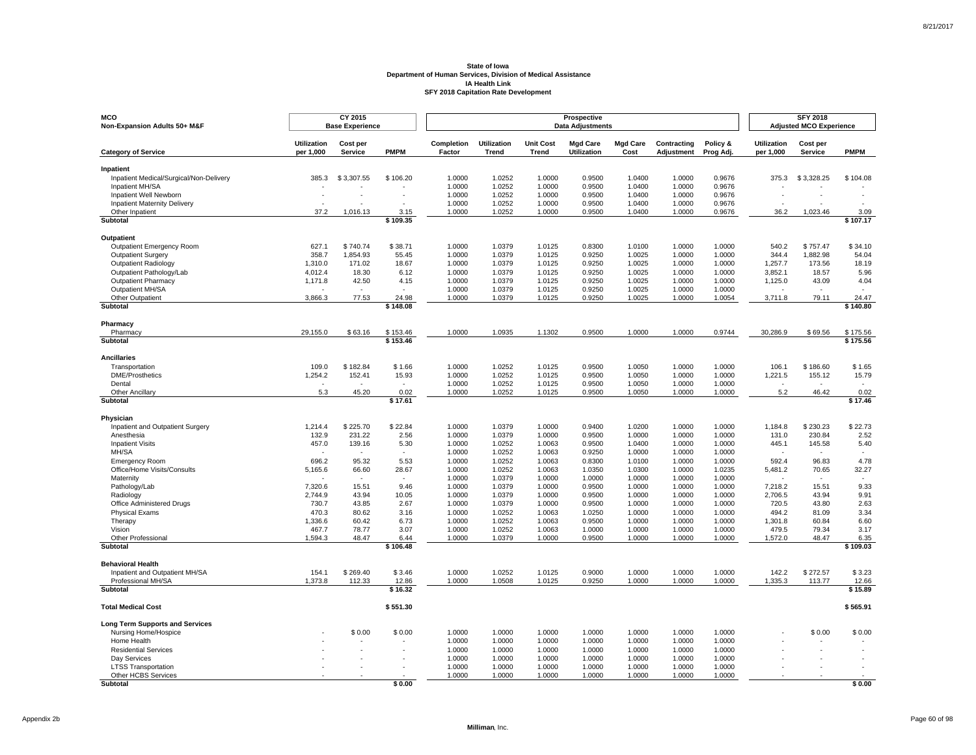| MCO<br>Non-Expansion Adults 50+ M&F                           |                                 | CY 2015<br><b>Base Experience</b> |                |                      |                             |                                  | Prospective<br><b>Data Adjustments</b> |                         |                           |                       |                                 | <b>SFY 2018</b><br><b>Adjusted MCO Experience</b> |                                  |
|---------------------------------------------------------------|---------------------------------|-----------------------------------|----------------|----------------------|-----------------------------|----------------------------------|----------------------------------------|-------------------------|---------------------------|-----------------------|---------------------------------|---------------------------------------------------|----------------------------------|
| <b>Category of Service</b>                                    | <b>Utilization</b><br>per 1,000 | Cost per<br>Service               | <b>PMPM</b>    | Completion<br>Factor | <b>Utilization</b><br>Trend | <b>Unit Cost</b><br><b>Trend</b> | <b>Mgd Care</b><br><b>Utilization</b>  | <b>Mgd Care</b><br>Cost | Contracting<br>Adjustment | Policy &<br>Prog Adj. | <b>Utilization</b><br>per 1,000 | Cost per<br><b>Service</b>                        | <b>PMPM</b>                      |
| Inpatient                                                     |                                 |                                   |                |                      |                             |                                  |                                        |                         |                           |                       |                                 |                                                   |                                  |
| Inpatient Medical/Surgical/Non-Delivery                       | 385.3                           | \$3,307.55                        | \$106.20       | 1.0000               | 1.0252                      | 1.0000                           | 0.9500                                 | 1.0400                  | 1.0000                    | 0.9676                | 375.3                           | \$3,328.25                                        | \$104.08                         |
| Inpatient MH/SA                                               |                                 |                                   |                | 1.0000               | 1.0252                      | 1.0000                           | 0.9500                                 | 1.0400                  | 1.0000                    | 0.9676                |                                 |                                                   |                                  |
| Inpatient Well Newborn<br><b>Inpatient Maternity Delivery</b> | $\sim$                          |                                   |                | 1.0000<br>1.0000     | 1.0252<br>1.0252            | 1.0000<br>1.0000                 | 0.9500<br>0.9500                       | 1.0400<br>1.0400        | 1.0000<br>1.0000          | 0.9676<br>0.9676      |                                 |                                                   |                                  |
| Other Inpatient                                               | 37.2                            | 1,016.13                          | 3.15           | 1.0000               | 1.0252                      | 1.0000                           | 0.9500                                 | 1.0400                  | 1.0000                    | 0.9676                | 36.2                            | 1,023.46                                          | 3.09                             |
| Subtotal                                                      |                                 |                                   | \$109.35       |                      |                             |                                  |                                        |                         |                           |                       |                                 |                                                   | \$107.17                         |
| Outpatient                                                    |                                 |                                   |                |                      |                             |                                  |                                        |                         |                           |                       |                                 |                                                   |                                  |
| Outpatient Emergency Room                                     | 627.1                           | \$740.74                          | \$38.71        | 1.0000               | 1.0379                      | 1.0125                           | 0.8300                                 | 1.0100                  | 1.0000                    | 1.0000                | 540.2                           | \$757.47                                          | \$34.10                          |
| Outpatient Surgery                                            | 358.7                           | 1,854.93                          | 55.45          | 1.0000               | 1.0379                      | 1.0125                           | 0.9250                                 | 1.0025                  | 1.0000                    | 1.0000                | 344.4                           | 1,882.98                                          | 54.04                            |
| <b>Outpatient Radiology</b>                                   | 1.310.0                         | 171.02                            | 18.67          | 1.0000               | 1.0379                      | 1.0125                           | 0.9250                                 | 1.0025                  | 1.0000                    | 1.0000                | 1.257.7                         | 173.56                                            | 18.19                            |
| Outpatient Pathology/Lab                                      | 4,012.4                         | 18.30                             | 6.12           | 1.0000               | 1.0379                      | 1.0125                           | 0.9250                                 | 1.0025                  | 1.0000                    | 1.0000                | 3,852.1                         | 18.57                                             | 5.96                             |
| <b>Outpatient Pharmacy</b>                                    | 1,171.8                         | 42.50                             | 4.15           | 1.0000               | 1.0379                      | 1.0125                           | 0.9250                                 | 1.0025                  | 1.0000                    | 1.0000                | 1,125.0                         | 43.09                                             | 4.04                             |
| Outpatient MH/SA<br>Other Outpatient                          | 3,866.3                         | 77.53                             | 24.98          | 1.0000<br>1.0000     | 1.0379<br>1.0379            | 1.0125<br>1.0125                 | 0.9250<br>0.9250                       | 1.0025<br>1.0025        | 1.0000<br>1.0000          | 1.0000<br>1.0054      | 3,711.8                         | 79.11                                             | 24.47                            |
| <b>Subtotal</b>                                               |                                 |                                   | \$148.08       |                      |                             |                                  |                                        |                         |                           |                       |                                 |                                                   | \$140.80                         |
|                                                               |                                 |                                   |                |                      |                             |                                  |                                        |                         |                           |                       |                                 |                                                   |                                  |
| Pharmacy<br>Pharmacy                                          | 29,155.0                        | \$63.16                           | \$153.46       | 1.0000               | 1.0935                      | 1.1302                           | 0.9500                                 | 1.0000                  | 1.0000                    | 0.9744                | 30,286.9                        | \$69.56                                           | \$175.56                         |
| Subtotal                                                      |                                 |                                   | \$153.46       |                      |                             |                                  |                                        |                         |                           |                       |                                 |                                                   | \$175.56                         |
| <b>Ancillaries</b>                                            |                                 |                                   |                |                      |                             |                                  |                                        |                         |                           |                       |                                 |                                                   |                                  |
| Transportation                                                | 109.0                           | \$182.84                          | \$1.66         | 1.0000               | 1.0252                      | 1.0125                           | 0.9500                                 | 1.0050                  | 1.0000                    | 1.0000                | 106.1                           | \$186.60                                          | \$1.65                           |
| <b>DME/Prosthetics</b>                                        | 1,254.2                         | 152.41                            | 15.93          | 1.0000               | 1.0252                      | 1.0125                           | 0.9500                                 | 1.0050                  | 1.0000                    | 1.0000                | 1,221.5                         | 155.12                                            | 15.79                            |
| Dental                                                        |                                 |                                   |                | 1.0000               | 1.0252                      | 1.0125                           | 0.9500                                 | 1.0050                  | 1.0000                    | 1.0000                |                                 |                                                   |                                  |
| Other Ancillary                                               | 5.3                             | 45.20                             | 0.02           | 1.0000               | 1.0252                      | 1.0125                           | 0.9500                                 | 1.0050                  | 1.0000                    | 1.0000                | 5.2                             | 46.42                                             | 0.02                             |
| <b>Subtotal</b>                                               |                                 |                                   | \$17.61        |                      |                             |                                  |                                        |                         |                           |                       |                                 |                                                   | \$17.46                          |
| Physician                                                     |                                 |                                   |                |                      |                             |                                  |                                        |                         |                           |                       |                                 |                                                   |                                  |
| Inpatient and Outpatient Surgery                              | 1,214.4                         | \$225.70                          | \$22.84        | 1.0000               | 1.0379                      | 1.0000                           | 0.9400                                 | 1.0200                  | 1.0000                    | 1.0000                | 1.184.8                         | \$230.23                                          | \$22.73                          |
| Anesthesia                                                    | 132.9                           | 231.22                            | 2.56           | 1.0000               | 1.0379                      | 1.0000                           | 0.9500                                 | 1.0000                  | 1.0000                    | 1.0000                | 131.0                           | 230.84                                            | 2.52                             |
| <b>Inpatient Visits</b>                                       | 457.0                           | 139.16                            | 5.30           | 1.0000               | 1.0252                      | 1.0063                           | 0.9500                                 | 1.0400                  | 1.0000                    | 1.0000                | 445.1                           | 145.58                                            | 5.40                             |
| MH/SA                                                         | $\sim$<br>696.2                 | $\epsilon$<br>95.32               | $\sim$<br>5.53 | 1.0000<br>1.0000     | 1.0252<br>1.0252            | 1.0063<br>1.0063                 | 0.9250<br>0.8300                       | 1.0000<br>1.0100        | 1.0000<br>1.0000          | 1.0000<br>1.0000      | $\sim$<br>592.4                 | $\sim$<br>96.83                                   | $\overline{\phantom{a}}$<br>4.78 |
| <b>Emergency Room</b><br>Office/Home Visits/Consults          | 5,165.6                         | 66.60                             | 28.67          | 1.0000               | 1.0252                      | 1.0063                           | 1.0350                                 | 1.0300                  | 1.0000                    | 1.0235                | 5,481.2                         | 70.65                                             | 32.27                            |
| Maternity                                                     |                                 |                                   | $\sim$         | 1.0000               | 1.0379                      | 1.0000                           | 1.0000                                 | 1.0000                  | 1.0000                    | 1.0000                |                                 |                                                   | $\sim$                           |
| Pathology/Lab                                                 | 7,320.6                         | 15.51                             | 9.46           | 1.0000               | 1.0379                      | 1.0000                           | 0.9500                                 | 1.0000                  | 1.0000                    | 1.0000                | 7,218.2                         | 15.51                                             | 9.33                             |
| Radiology                                                     | 2,744.9                         | 43.94                             | 10.05          | 1.0000               | 1.0379                      | 1.0000                           | 0.9500                                 | 1.0000                  | 1.0000                    | 1.0000                | 2,706.5                         | 43.94                                             | 9.91                             |
| Office Administered Drugs                                     | 730.7                           | 43.85                             | 2.67           | 1.0000               | 1.0379                      | 1.0000                           | 0.9500                                 | 1.0000                  | 1.0000                    | 1.0000                | 720.5                           | 43.80                                             | 2.63                             |
| <b>Physical Exams</b>                                         | 470.3                           | 80.62                             | 3.16           | 1.0000               | 1.0252                      | 1.0063                           | 1.0250                                 | 1.0000                  | 1.0000                    | 1.0000                | 494.2                           | 81.09                                             | 3.34                             |
| Therapy<br>Vision                                             | 1,336.6<br>467.7                | 60.42<br>78.77                    | 6.73<br>3.07   | 1.0000<br>1.0000     | 1.0252<br>1.0252            | 1.0063<br>1.0063                 | 0.9500<br>1.0000                       | 1.0000<br>1.0000        | 1.0000<br>1.0000          | 1.0000<br>1.0000      | 1,301.8<br>479.5                | 60.84<br>79.34                                    | 6.60<br>3.17                     |
| <b>Other Professional</b>                                     | 1,594.3                         | 48.47                             | 6.44           | 1.0000               | 1.0379                      | 1.0000                           | 0.9500                                 | 1.0000                  | 1.0000                    | 1.0000                | 1,572.0                         | 48.47                                             | 6.35                             |
| <b>Subtotal</b>                                               |                                 |                                   | \$106.48       |                      |                             |                                  |                                        |                         |                           |                       |                                 |                                                   | \$109.03                         |
| <b>Behavioral Health</b>                                      |                                 |                                   |                |                      |                             |                                  |                                        |                         |                           |                       |                                 |                                                   |                                  |
| Inpatient and Outpatient MH/SA                                | 154.1                           | \$269.40                          | \$3.46         | 1.0000               | 1.0252                      | 1.0125                           | 0.9000                                 | 1.0000                  | 1.0000                    | 1.0000                | 142.2                           | \$272.57                                          | \$3.23                           |
| Professional MH/SA                                            | 1,373.8                         | 112.33                            | 12.86          | 1.0000               | 1.0508                      | 1.0125                           | 0.9250                                 | 1.0000                  | 1.0000                    | 1.0000                | 1,335.3                         | 113.77                                            | 12.66                            |
| Subtotal                                                      |                                 |                                   | \$16.32        |                      |                             |                                  |                                        |                         |                           |                       |                                 |                                                   | \$15.89                          |
| <b>Total Medical Cost</b>                                     |                                 |                                   | \$551.30       |                      |                             |                                  |                                        |                         |                           |                       |                                 |                                                   | \$565.91                         |
| <b>Long Term Supports and Services</b>                        |                                 |                                   |                |                      |                             |                                  |                                        |                         |                           |                       |                                 |                                                   |                                  |
| Nursing Home/Hospice                                          |                                 | \$0.00                            | \$0.00         | 1.0000               | 1.0000                      | 1.0000                           | 1.0000                                 | 1.0000                  | 1.0000                    | 1.0000                |                                 | \$0.00                                            | \$0.00                           |
| Home Health                                                   |                                 |                                   |                | 1.0000               | 1.0000                      | 1.0000                           | 1.0000                                 | 1.0000                  | 1.0000                    | 1.0000                |                                 |                                                   |                                  |
| <b>Residential Services</b>                                   |                                 |                                   |                | 1.0000               | 1.0000                      | 1.0000                           | 1.0000                                 | 1.0000                  | 1.0000                    | 1.0000                |                                 |                                                   |                                  |
| Day Services<br><b>LTSS Transportation</b>                    |                                 |                                   |                | 1.0000<br>1.0000     | 1.0000<br>1.0000            | 1.0000<br>1.0000                 | 1.0000<br>1.0000                       | 1.0000<br>1.0000        | 1.0000<br>1.0000          | 1.0000<br>1.0000      |                                 |                                                   |                                  |
| Other HCBS Services                                           |                                 |                                   |                | 1.0000               | 1.0000                      | 1.0000                           | 1.0000                                 | 1.0000                  | 1.0000                    | 1.0000                |                                 |                                                   |                                  |
| <b>Subtotal</b>                                               |                                 |                                   | \$0.00         |                      |                             |                                  |                                        |                         |                           |                       |                                 |                                                   | \$0.00                           |

Page 60 of 98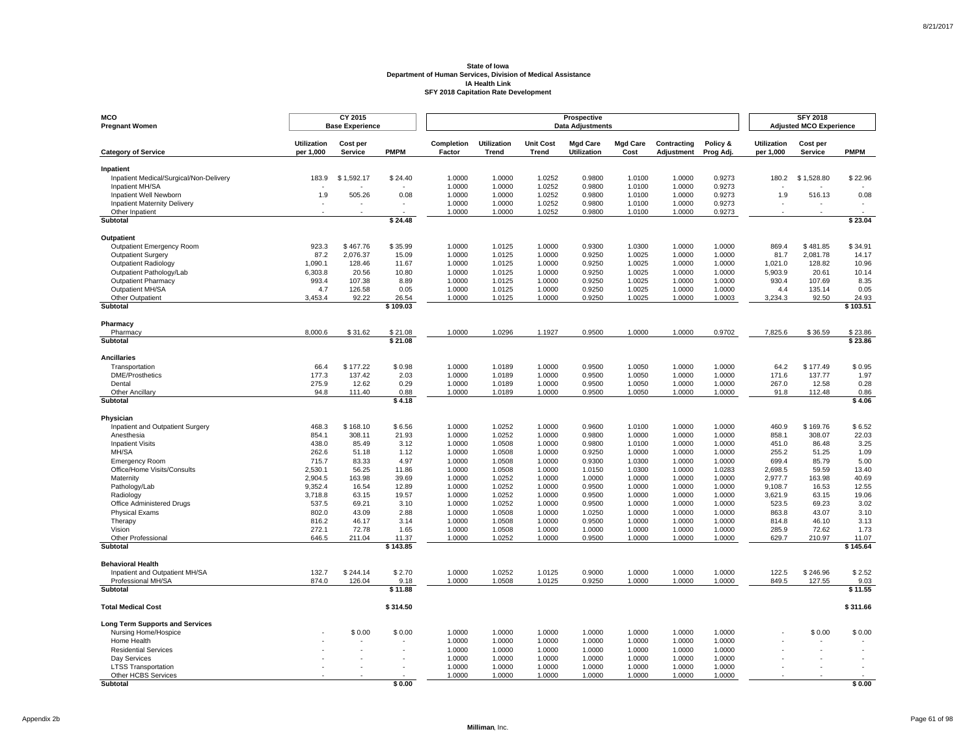| <b>MCO</b><br><b>Pregnant Women</b>                    |                                 | CY 2015<br><b>Base Experience</b> |                    |                      |                             |                                  | Prospective<br><b>Data Adjustments</b> |                         |                           |                       |                                 | <b>SFY 2018</b><br><b>Adjusted MCO Experience</b> |                          |
|--------------------------------------------------------|---------------------------------|-----------------------------------|--------------------|----------------------|-----------------------------|----------------------------------|----------------------------------------|-------------------------|---------------------------|-----------------------|---------------------------------|---------------------------------------------------|--------------------------|
| <b>Category of Service</b>                             | <b>Utilization</b><br>per 1,000 | Cost per<br>Service               | <b>PMPM</b>        | Completion<br>Factor | <b>Utilization</b><br>Trend | <b>Unit Cost</b><br><b>Trend</b> | <b>Mgd Care</b><br><b>Utilization</b>  | <b>Mgd Care</b><br>Cost | Contracting<br>Adjustment | Policy &<br>Prog Adj. | <b>Utilization</b><br>per 1,000 | Cost per<br><b>Service</b>                        | <b>PMPM</b>              |
| Inpatient                                              |                                 |                                   |                    |                      |                             |                                  |                                        |                         |                           |                       |                                 |                                                   |                          |
| Inpatient Medical/Surgical/Non-Delivery                | 183.9                           | \$1,592.17                        | \$24.40            | 1.0000               | 1.0000                      | 1.0252                           | 0.9800                                 | 1.0100                  | 1.0000                    | 0.9273                | 180.2                           | \$1,528.80                                        | \$22.96                  |
| Inpatient MH/SA                                        |                                 |                                   |                    | 1.0000               | 1.0000                      | 1.0252                           | 0.9800                                 | 1.0100                  | 1.0000                    | 0.9273                |                                 |                                                   |                          |
| Inpatient Well Newborn                                 | 1.9                             | 505.26<br>$\sim$                  | 0.08<br>$\sim$     | 1.0000<br>1.0000     | 1.0000<br>1.0000            | 1.0252                           | 0.9800<br>0.9800                       | 1.0100<br>1.0100        | 1.0000<br>1.0000          | 0.9273<br>0.9273      | 1.9<br>×,                       | 516.13<br>$\sim$                                  | 0.08                     |
| <b>Inpatient Maternity Delivery</b><br>Other Inpatient |                                 |                                   |                    | 1.0000               | 1.0000                      | 1.0252<br>1.0252                 | 0.9800                                 | 1.0100                  | 1.0000                    | 0.9273                |                                 |                                                   | $\overline{\phantom{a}}$ |
| Subtotal                                               |                                 |                                   | \$24.48            |                      |                             |                                  |                                        |                         |                           |                       |                                 |                                                   | \$23.04                  |
| Outpatient                                             |                                 |                                   |                    |                      |                             |                                  |                                        |                         |                           |                       |                                 |                                                   |                          |
| Outpatient Emergency Room                              | 923.3                           | \$467.76                          | \$35.99            | 1.0000               | 1.0125                      | 1.0000                           | 0.9300                                 | 1.0300                  | 1.0000                    | 1.0000                | 869.4                           | \$481.85                                          | \$34.91                  |
| Outpatient Surgery                                     | 87.2                            | 2,076.37                          | 15.09              | 1.0000               | 1.0125                      | 1.0000                           | 0.9250                                 | 1.0025                  | 1.0000                    | 1.0000                | 81.7                            | 2,081.78                                          | 14.17                    |
| Outpatient Radiology                                   | 1.090.1                         | 128.46                            | 11.67              | 1.0000               | 1.0125                      | 1.0000                           | 0.9250                                 | 1.0025                  | 1.0000                    | 1.0000                | 1.021.0                         | 128.82                                            | 10.96                    |
| Outpatient Pathology/Lab                               | 6,303.8                         | 20.56                             | 10.80              | 1.0000               | 1.0125                      | 1.0000                           | 0.9250                                 | 1.0025                  | 1.0000                    | 1.0000                | 5,903.9                         | 20.61                                             | 10.14                    |
| <b>Outpatient Pharmacy</b>                             | 993.4                           | 107.38                            | 8.89               | 1.0000               | 1.0125                      | 1.0000                           | 0.9250                                 | 1.0025                  | 1.0000                    | 1.0000                | 930.4                           | 107.69                                            | 8.35                     |
| Outpatient MH/SA                                       | 4.7                             | 126.58                            | 0.05               | 1.0000               | 1.0125                      | 1.0000                           | 0.9250                                 | 1.0025                  | 1.0000                    | 1.0000                | 4.4                             | 135.14                                            | 0.05                     |
| Other Outpatient                                       | 3,453.4                         | 92.22                             | 26.54              | 1.0000               | 1.0125                      | 1.0000                           | 0.9250                                 | 1.0025                  | 1.0000                    | 1.0003                | 3,234.3                         | 92.50                                             | 24.93                    |
| <b>Subtotal</b>                                        |                                 |                                   | \$109.03           |                      |                             |                                  |                                        |                         |                           |                       |                                 |                                                   | \$103.51                 |
| Pharmacy                                               |                                 |                                   |                    |                      |                             |                                  |                                        |                         |                           |                       |                                 |                                                   |                          |
| Pharmacy<br>Subtotal                                   | 8,000.6                         | \$31.62                           | \$21.08<br>\$21.08 | 1.0000               | 1.0296                      | 1.1927                           | 0.9500                                 | 1.0000                  | 1.0000                    | 0.9702                | 7,825.6                         | \$36.59                                           | \$23.86<br>\$23.86       |
|                                                        |                                 |                                   |                    |                      |                             |                                  |                                        |                         |                           |                       |                                 |                                                   |                          |
| <b>Ancillaries</b>                                     |                                 |                                   |                    |                      |                             |                                  |                                        |                         |                           |                       |                                 |                                                   |                          |
| Transportation                                         | 66.4                            | \$177.22                          | \$0.98             | 1.0000               | 1.0189                      | 1.0000                           | 0.9500                                 | 1.0050                  | 1.0000                    | 1.0000                | 64.2                            | \$177.49                                          | \$0.95                   |
| <b>DME/Prosthetics</b>                                 | 177.3                           | 137.42                            | 2.03               | 1.0000               | 1.0189                      | 1.0000                           | 0.9500                                 | 1.0050                  | 1.0000                    | 1.0000                | 171.6                           | 137.77                                            | 1.97                     |
| Dental<br>Other Ancillary                              | 275.9<br>94.8                   | 12.62<br>111.40                   | 0.29<br>0.88       | 1.0000<br>1.0000     | 1.0189<br>1.0189            | 1.0000<br>1.0000                 | 0.9500<br>0.9500                       | 1.0050<br>1.0050        | 1.0000<br>1.0000          | 1.0000<br>1.0000      | 267.0<br>91.8                   | 12.58<br>112.48                                   | 0.28<br>0.86             |
| Subtotal                                               |                                 |                                   | \$4.18             |                      |                             |                                  |                                        |                         |                           |                       |                                 |                                                   | \$4.06                   |
| Physician                                              |                                 |                                   |                    |                      |                             |                                  |                                        |                         |                           |                       |                                 |                                                   |                          |
| Inpatient and Outpatient Surgery                       | 468.3                           | \$168.10                          | \$6.56             | 1.0000               | 1.0252                      | 1.0000                           | 0.9600                                 | 1.0100                  | 1.0000                    | 1.0000                | 460.9                           | \$169.76                                          | \$6.52                   |
| Anesthesia                                             | 854.1                           | 308.11                            | 21.93              | 1.0000               | 1.0252                      | 1.0000                           | 0.9800                                 | 1.0000                  | 1.0000                    | 1.0000                | 858.1                           | 308.07                                            | 22.03                    |
| <b>Inpatient Visits</b>                                | 438.0                           | 85.49                             | 3.12               | 1.0000               | 1.0508                      | 1.0000                           | 0.9800                                 | 1.0100                  | 1.0000                    | 1.0000                | 451.0                           | 86.48                                             | 3.25                     |
| MH/SA                                                  | 262.6                           | 51.18                             | 1.12               | 1.0000               | 1.0508                      | 1.0000                           | 0.9250                                 | 1.0000                  | 1.0000                    | 1.0000                | 255.2                           | 51.25                                             | 1.09                     |
| <b>Emergency Room</b>                                  | 715.7                           | 83.33                             | 4.97               | 1.0000               | 1.0508                      | 1.0000                           | 0.9300                                 | 1.0300                  | 1.0000                    | 1.0000                | 699.4                           | 85.79                                             | 5.00                     |
| Office/Home Visits/Consults                            | 2,530.1                         | 56.25                             | 11.86              | 1.0000               | 1.0508                      | 1.0000                           | 1.0150                                 | 1.0300                  | 1.0000                    | 1.0283                | 2,698.5                         | 59.59                                             | 13.40                    |
| Maternity                                              | 2,904.5                         | 163.98                            | 39.69              | 1.0000               | 1.0252                      | 1.0000                           | 1.0000                                 | 1.0000                  | 1.0000                    | 1.0000                | 2,977.7                         | 163.98                                            | 40.69                    |
| Pathology/Lab                                          | 9,352.4                         | 16.54                             | 12.89              | 1.0000               | 1.0252                      | 1.0000                           | 0.9500                                 | 1.0000                  | 1.0000                    | 1.0000                | 9,108.7                         | 16.53                                             | 12.55                    |
| Radiology                                              | 3,718.8                         | 63.15                             | 19.57              | 1.0000               | 1.0252                      | 1.0000                           | 0.9500                                 | 1.0000                  | 1.0000                    | 1.0000                | 3,621.9                         | 63.15                                             | 19.06                    |
| Office Administered Drugs                              | 537.5                           | 69.21                             | 3.10               | 1.0000               | 1.0252                      | 1.0000                           | 0.9500                                 | 1.0000                  | 1.0000                    | 1.0000                | 523.5                           | 69.23                                             | 3.02                     |
| <b>Physical Exams</b><br>Therapy                       | 802.0<br>816.2                  | 43.09<br>46.17                    | 2.88<br>3.14       | 1.0000<br>1.0000     | 1.0508<br>1.0508            | 1.0000<br>1.0000                 | 1.0250<br>0.9500                       | 1.0000<br>1.0000        | 1.0000<br>1.0000          | 1.0000<br>1.0000      | 863.8<br>814.8                  | 43.07<br>46.10                                    | 3.10<br>3.13             |
| Vision                                                 | 272.1                           | 72.78                             | 1.65               | 1.0000               | 1.0508                      | 1.0000                           | 1.0000                                 | 1.0000                  | 1.0000                    | 1.0000                | 285.9                           | 72.62                                             | 1.73                     |
| Other Professional                                     | 646.5                           | 211.04                            | 11.37              | 1.0000               | 1.0252                      | 1.0000                           | 0.9500                                 | 1.0000                  | 1.0000                    | 1.0000                | 629.7                           | 210.97                                            | 11.07                    |
| Subtotal                                               |                                 |                                   | \$143.85           |                      |                             |                                  |                                        |                         |                           |                       |                                 |                                                   | \$145.64                 |
| <b>Behavioral Health</b>                               |                                 |                                   |                    |                      |                             |                                  |                                        |                         |                           |                       |                                 |                                                   |                          |
| Inpatient and Outpatient MH/SA                         | 132.7                           | \$244.14                          | \$2.70             | 1.0000               | 1.0252                      | 1.0125                           | 0.9000                                 | 1.0000                  | 1.0000                    | 1.0000                | 122.5                           | \$246.96                                          | \$2.52                   |
| Professional MH/SA                                     | 874.0                           | 126.04                            | 9.18               | 1.0000               | 1.0508                      | 1.0125                           | 0.9250                                 | 1.0000                  | 1.0000                    | 1.0000                | 849.5                           | 127.55                                            | 9.03                     |
| <b>Subtotal</b>                                        |                                 |                                   | \$11.88            |                      |                             |                                  |                                        |                         |                           |                       |                                 |                                                   | \$11.55                  |
| <b>Total Medical Cost</b>                              |                                 |                                   | \$314.50           |                      |                             |                                  |                                        |                         |                           |                       |                                 |                                                   | \$311.66                 |
| Long Term Supports and Services                        |                                 |                                   |                    |                      |                             |                                  |                                        |                         |                           |                       |                                 |                                                   |                          |
| Nursing Home/Hospice                                   |                                 | \$0.00                            | \$0.00             | 1.0000               | 1.0000                      | 1.0000                           | 1.0000                                 | 1.0000                  | 1.0000                    | 1.0000                |                                 | \$0.00                                            | \$0.00                   |
| Home Health                                            |                                 |                                   |                    | 1.0000               | 1.0000                      | 1.0000                           | 1.0000                                 | 1.0000                  | 1.0000                    | 1.0000                |                                 |                                                   |                          |
| <b>Residential Services</b>                            |                                 |                                   |                    | 1.0000               | 1.0000                      | 1.0000                           | 1.0000                                 | 1.0000                  | 1.0000                    | 1.0000                |                                 |                                                   |                          |
| Day Services                                           |                                 |                                   |                    | 1.0000               | 1.0000                      | 1.0000                           | 1.0000                                 | 1.0000                  | 1.0000                    | 1.0000                |                                 |                                                   |                          |
| <b>LTSS Transportation</b><br>Other HCBS Services      |                                 |                                   |                    | 1.0000<br>1.0000     | 1.0000<br>1.0000            | 1.0000                           | 1.0000<br>1.0000                       | 1.0000<br>1.0000        | 1.0000<br>1.0000          | 1.0000                |                                 |                                                   |                          |
| <b>Subtotal</b>                                        |                                 |                                   | \$0.00             |                      |                             | 1.0000                           |                                        |                         |                           | 1.0000                |                                 |                                                   | \$0.00                   |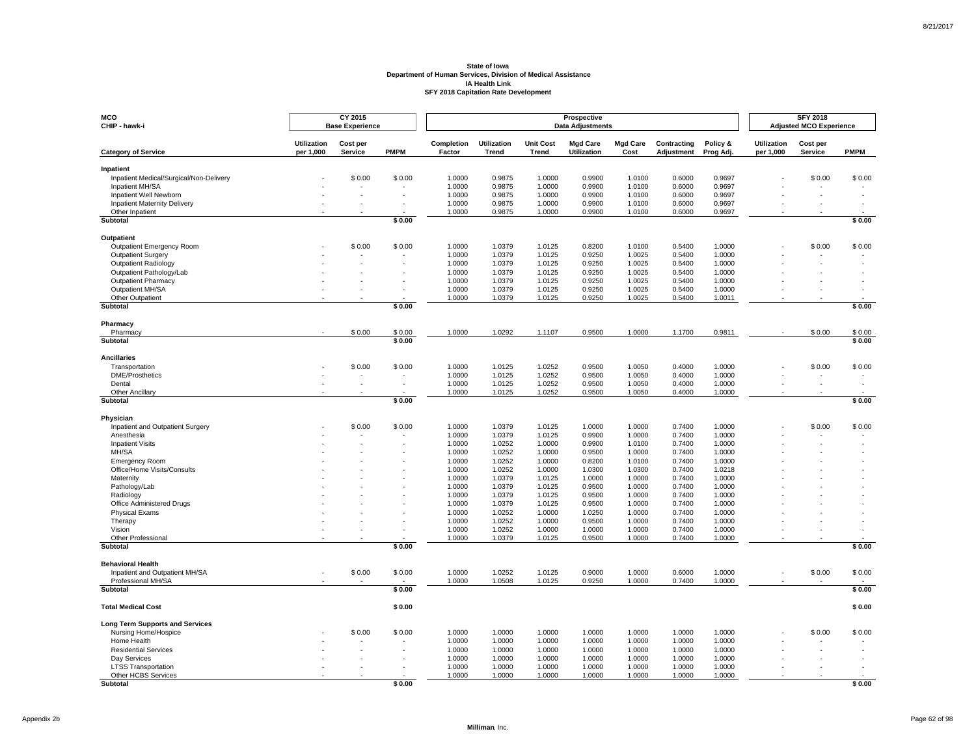| MCO<br>CHIP - hawk-i                                          |                                 | CY 2015<br><b>Base Experience</b> |             |                      |                             |                                  | Prospective<br><b>Data Adjustments</b> |                         |                           |                       |                                 | <b>SFY 2018</b><br><b>Adjusted MCO Experience</b> |             |
|---------------------------------------------------------------|---------------------------------|-----------------------------------|-------------|----------------------|-----------------------------|----------------------------------|----------------------------------------|-------------------------|---------------------------|-----------------------|---------------------------------|---------------------------------------------------|-------------|
| <b>Category of Service</b>                                    | <b>Utilization</b><br>per 1,000 | Cost per<br>Service               | <b>PMPM</b> | Completion<br>Factor | <b>Utilization</b><br>Trend | <b>Unit Cost</b><br><b>Trend</b> | <b>Mgd Care</b><br><b>Utilization</b>  | <b>Mgd Care</b><br>Cost | Contracting<br>Adjustment | Policy &<br>Prog Adj. | <b>Utilization</b><br>per 1,000 | Cost per<br>Service                               | <b>PMPM</b> |
| Inpatient                                                     |                                 |                                   |             |                      |                             |                                  |                                        |                         |                           |                       |                                 |                                                   |             |
| Inpatient Medical/Surgical/Non-Delivery                       |                                 | \$0.00                            | \$0.00      | 1.0000               | 0.9875                      | 1.0000                           | 0.9900                                 | 1.0100                  | 0.6000                    | 0.9697                |                                 | \$0.00                                            | \$0.00      |
| Inpatient MH/SA                                               |                                 |                                   |             | 1.0000               | 0.9875                      | 1.0000                           | 0.9900<br>0.9900                       | 1.0100                  | 0.6000<br>0.6000          | 0.9697                |                                 |                                                   |             |
| Inpatient Well Newborn<br><b>Inpatient Maternity Delivery</b> |                                 |                                   |             | 1.0000<br>1.0000     | 0.9875<br>0.9875            | 1.0000<br>1.0000                 | 0.9900                                 | 1.0100<br>1.0100        | 0.6000                    | 0.9697<br>0.9697      |                                 |                                                   |             |
| Other Inpatient                                               |                                 |                                   |             | 1.0000               | 0.9875                      | 1.0000                           | 0.9900                                 | 1.0100                  | 0.6000                    | 0.9697                |                                 |                                                   |             |
| Subtotal                                                      |                                 |                                   | \$0.00      |                      |                             |                                  |                                        |                         |                           |                       |                                 |                                                   | \$0.00      |
| Outpatient                                                    |                                 |                                   |             |                      |                             |                                  |                                        |                         |                           |                       |                                 |                                                   |             |
| Outpatient Emergency Room                                     |                                 | \$0.00                            | \$0.00      | 1.0000               | 1.0379                      | 1.0125                           | 0.8200                                 | 1.0100                  | 0.5400                    | 1.0000                |                                 | \$0.00                                            | \$0.00      |
| Outpatient Surgery                                            |                                 |                                   |             | 1.0000               | 1.0379                      | 1.0125                           | 0.9250                                 | 1.0025                  | 0.5400                    | 1.0000                |                                 |                                                   |             |
| <b>Outpatient Radiology</b>                                   |                                 |                                   |             | 1.0000               | 1.0379                      | 1.0125                           | 0.9250                                 | 1.0025                  | 0.5400                    | 1.0000                |                                 |                                                   |             |
| Outpatient Pathology/Lab                                      |                                 |                                   |             | 1.0000               | 1.0379                      | 1.0125                           | 0.9250                                 | 1.0025                  | 0.5400                    | 1.0000                |                                 |                                                   |             |
| <b>Outpatient Pharmacy</b><br>Outpatient MH/SA                |                                 |                                   |             | 1.0000<br>1.0000     | 1.0379                      | 1.0125                           | 0.9250<br>0.9250                       | 1.0025                  | 0.5400<br>0.5400          | 1.0000<br>1.0000      |                                 |                                                   |             |
| Other Outpatient                                              |                                 |                                   |             | 1.0000               | 1.0379<br>1.0379            | 1.0125<br>1.0125                 | 0.9250                                 | 1.0025<br>1.0025        | 0.5400                    | 1.0011                |                                 |                                                   |             |
| Subtotal                                                      |                                 |                                   | \$0.00      |                      |                             |                                  |                                        |                         |                           |                       |                                 |                                                   | \$0.00      |
|                                                               |                                 |                                   |             |                      |                             |                                  |                                        |                         |                           |                       |                                 |                                                   |             |
| Pharmacy<br>Pharmacy                                          |                                 | \$0.00                            | \$0.00      | 1.0000               | 1.0292                      | 1.1107                           | 0.9500                                 | 1.0000                  | 1.1700                    | 0.9811                |                                 | \$0.00                                            | \$0.00      |
| Subtotal                                                      |                                 |                                   | \$0.00      |                      |                             |                                  |                                        |                         |                           |                       |                                 |                                                   | \$0.00      |
| <b>Ancillaries</b>                                            |                                 |                                   |             |                      |                             |                                  |                                        |                         |                           |                       |                                 |                                                   |             |
| Transportation                                                |                                 | \$0.00                            | \$0.00      | 1.0000               | 1.0125                      | 1.0252                           | 0.9500                                 | 1.0050                  | 0.4000                    | 1.0000                |                                 | \$0.00                                            | \$0.00      |
| <b>DME/Prosthetics</b>                                        |                                 | $\overline{\phantom{a}}$          |             | 1.0000               | 1.0125                      | 1.0252                           | 0.9500                                 | 1.0050                  | 0.4000                    | 1.0000                |                                 |                                                   |             |
| Dental                                                        |                                 |                                   |             | 1.0000               | 1.0125                      | 1.0252                           | 0.9500                                 | 1.0050                  | 0.4000                    | 1.0000                |                                 |                                                   |             |
| Other Ancillary<br>Subtotal                                   |                                 |                                   | \$0.00      | 1.0000               | 1.0125                      | 1.0252                           | 0.9500                                 | 1.0050                  | 0.4000                    | 1.0000                |                                 |                                                   | \$0.00      |
|                                                               |                                 |                                   |             |                      |                             |                                  |                                        |                         |                           |                       |                                 |                                                   |             |
| Physician                                                     |                                 |                                   |             |                      |                             |                                  |                                        |                         |                           |                       |                                 |                                                   |             |
| Inpatient and Outpatient Surgery<br>Anesthesia                |                                 | \$0.00                            | \$0.00      | 1.0000<br>1.0000     | 1.0379<br>1.0379            | 1.0125<br>1.0125                 | 1.0000<br>0.9900                       | 1.0000<br>1.0000        | 0.7400<br>0.7400          | 1.0000<br>1.0000      |                                 | \$0.00                                            | \$0.00      |
| <b>Inpatient Visits</b>                                       |                                 |                                   |             | 1.0000               | 1.0252                      | 1.0000                           | 0.9900                                 | 1.0100                  | 0.7400                    | 1.0000                |                                 |                                                   |             |
| MH/SA                                                         |                                 |                                   |             | 1.0000               | 1.0252                      | 1.0000                           | 0.9500                                 | 1.0000                  | 0.7400                    | 1.0000                |                                 |                                                   |             |
| <b>Emergency Room</b>                                         |                                 |                                   |             | 1.0000               | 1.0252                      | 1.0000                           | 0.8200                                 | 1.0100                  | 0.7400                    | 1.0000                |                                 |                                                   |             |
| Office/Home Visits/Consults                                   |                                 |                                   |             | 1.0000               | 1.0252                      | 1.0000                           | 1.0300                                 | 1.0300                  | 0.7400                    | 1.0218                |                                 |                                                   |             |
| Maternity                                                     |                                 |                                   |             | 1.0000               | 1.0379                      | 1.0125                           | 1.0000                                 | 1.0000                  | 0.7400                    | 1.0000                |                                 |                                                   |             |
| Pathology/Lab                                                 |                                 |                                   |             | 1.0000               | 1.0379                      | 1.0125                           | 0.9500                                 | 1.0000                  | 0.7400                    | 1.0000                |                                 |                                                   |             |
| Radiology<br>Office Administered Drugs                        |                                 |                                   |             | 1.0000<br>1.0000     | 1.0379<br>1.0379            | 1.0125<br>1.0125                 | 0.9500<br>0.9500                       | 1.0000<br>1.0000        | 0.7400<br>0.7400          | 1.0000<br>1.0000      |                                 |                                                   |             |
| <b>Physical Exams</b>                                         |                                 |                                   |             | 1.0000               | 1.0252                      | 1.0000                           | 1.0250                                 | 1.0000                  | 0.7400                    | 1.0000                |                                 |                                                   |             |
| Therapy                                                       |                                 |                                   |             | 1.0000               | 1.0252                      | 1.0000                           | 0.9500                                 | 1.0000                  | 0.7400                    | 1.0000                |                                 |                                                   |             |
| Vision                                                        |                                 |                                   |             | 1.0000               | 1.0252                      | 1.0000                           | 1.0000                                 | 1.0000                  | 0.7400                    | 1.0000                |                                 |                                                   |             |
| <b>Other Professional</b>                                     |                                 |                                   |             | 1.0000               | 1.0379                      | 1.0125                           | 0.9500                                 | 1.0000                  | 0.7400                    | 1.0000                |                                 |                                                   |             |
| Subtotal                                                      |                                 |                                   | \$0.00      |                      |                             |                                  |                                        |                         |                           |                       |                                 |                                                   | \$0.00      |
| <b>Behavioral Health</b>                                      |                                 |                                   |             |                      |                             |                                  |                                        |                         |                           |                       |                                 |                                                   |             |
| Inpatient and Outpatient MH/SA                                |                                 | \$0.00                            | \$0.00      | 1.0000               | 1.0252                      | 1.0125                           | 0.9000                                 | 1.0000                  | 0.6000                    | 1.0000                |                                 | \$0.00                                            | \$0.00      |
| Professional MH/SA<br>Subtotal                                |                                 |                                   | \$0.00      | 1.0000               | 1.0508                      | 1.0125                           | 0.9250                                 | 1.0000                  | 0.7400                    | 1.0000                |                                 |                                                   | \$0.00      |
|                                                               |                                 |                                   |             |                      |                             |                                  |                                        |                         |                           |                       |                                 |                                                   |             |
| <b>Total Medical Cost</b>                                     |                                 |                                   | \$0.00      |                      |                             |                                  |                                        |                         |                           |                       |                                 |                                                   | \$0.00      |
| <b>Long Term Supports and Services</b>                        |                                 |                                   |             |                      |                             |                                  |                                        |                         |                           |                       |                                 |                                                   |             |
| Nursing Home/Hospice                                          |                                 | \$0.00                            | \$0.00      | 1.0000               | 1.0000                      | 1.0000                           | 1.0000                                 | 1.0000                  | 1.0000                    | 1.0000                |                                 | \$0.00                                            | \$0.00      |
| Home Health                                                   |                                 |                                   |             | 1.0000               | 1.0000                      | 1.0000                           | 1.0000                                 | 1.0000                  | 1.0000                    | 1.0000                |                                 |                                                   |             |
| <b>Residential Services</b>                                   |                                 |                                   |             | 1.0000               | 1.0000                      | 1.0000                           | 1.0000                                 | 1.0000                  | 1.0000                    | 1.0000                |                                 |                                                   |             |
| Day Services                                                  |                                 |                                   |             | 1.0000               | 1.0000                      | 1.0000                           | 1.0000                                 | 1.0000                  | 1.0000                    | 1.0000                |                                 |                                                   |             |
| <b>LTSS Transportation</b><br>Other HCBS Services             |                                 |                                   |             | 1.0000<br>1.0000     | 1.0000<br>1.0000            | 1.0000<br>1.0000                 | 1.0000<br>1.0000                       | 1.0000<br>1.0000        | 1.0000<br>1.0000          | 1.0000<br>1.0000      |                                 |                                                   |             |
| <b>Subtotal</b>                                               |                                 |                                   | \$0.00      |                      |                             |                                  |                                        |                         |                           |                       |                                 |                                                   | \$0.00      |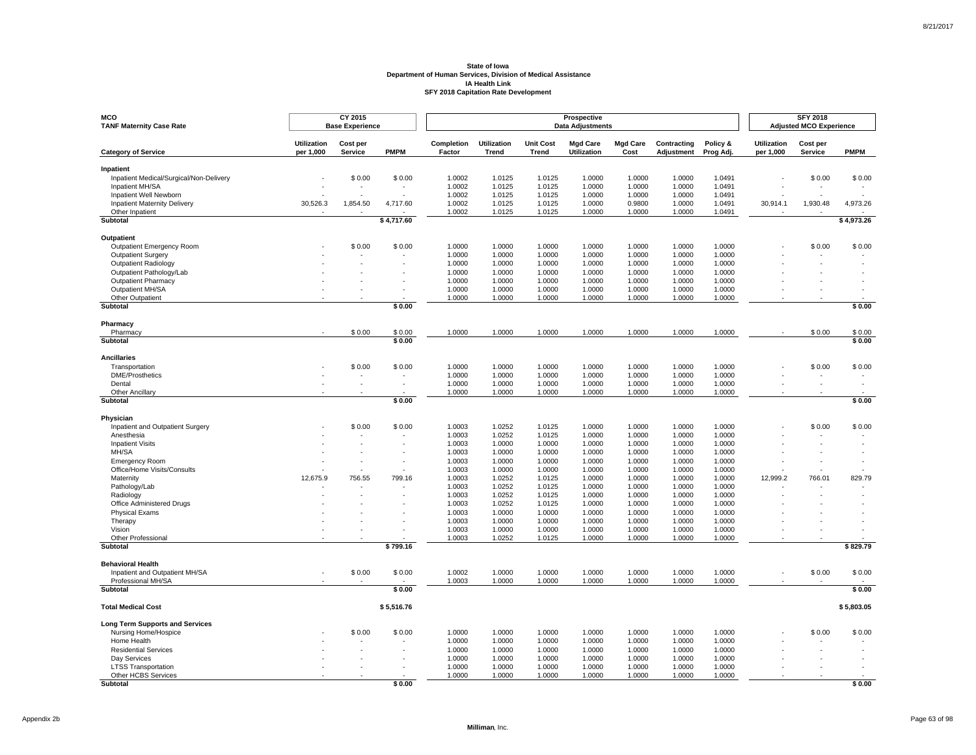| <b>MCO</b><br><b>TANF Maternity Case Rate</b>          |                                 | CY 2015<br><b>Base Experience</b> |             |                      |                             |                           | Prospective<br><b>Data Adjustments</b> |                         |                           |                       |                                 | <b>SFY 2018</b><br><b>Adjusted MCO Experience</b> |             |
|--------------------------------------------------------|---------------------------------|-----------------------------------|-------------|----------------------|-----------------------------|---------------------------|----------------------------------------|-------------------------|---------------------------|-----------------------|---------------------------------|---------------------------------------------------|-------------|
| <b>Category of Service</b>                             | <b>Utilization</b><br>per 1,000 | Cost per<br>Service               | <b>PMPM</b> | Completion<br>Factor | <b>Utilization</b><br>Trend | <b>Unit Cost</b><br>Trend | <b>Mgd Care</b><br><b>Utilization</b>  | <b>Mgd Care</b><br>Cost | Contracting<br>Adjustment | Policy &<br>Prog Adj. | <b>Utilization</b><br>per 1,000 | Cost per<br>Service                               | <b>PMPM</b> |
| Inpatient                                              |                                 |                                   |             |                      |                             |                           |                                        |                         |                           |                       |                                 |                                                   |             |
| Inpatient Medical/Surgical/Non-Delivery                |                                 | \$0.00                            | \$0.00      | 1.0002               | 1.0125                      | 1.0125                    | 1.0000                                 | 1.0000                  | 1.0000                    | 1.0491                |                                 | \$0.00                                            | \$0.00      |
| Inpatient MH/SA                                        |                                 |                                   |             | 1.0002               | 1.0125                      | 1.0125                    | 1.0000                                 | 1.0000                  | 1.0000                    | 1.0491                |                                 |                                                   |             |
| Inpatient Well Newborn                                 |                                 |                                   |             | 1.0002               | 1.0125                      | 1.0125                    | 1.0000                                 | 1.0000                  | 1.0000                    | 1.0491                |                                 |                                                   |             |
| <b>Inpatient Maternity Delivery</b><br>Other Inpatient | 30,526.3                        | 1,854.50                          | 4,717.60    | 1.0002<br>1.0002     | 1.0125<br>1.0125            | 1.0125<br>1.0125          | 1.0000<br>1.0000                       | 0.9800<br>1.0000        | 1.0000<br>1.0000          | 1.0491<br>1.0491      | 30,914.1                        | 1,930.48                                          | 4,973.26    |
| Subtotal                                               |                                 |                                   | \$4,717.60  |                      |                             |                           |                                        |                         |                           |                       |                                 |                                                   | \$4,973.26  |
| Outpatient                                             |                                 |                                   |             |                      |                             |                           |                                        |                         |                           |                       |                                 |                                                   |             |
| Outpatient Emergency Room                              |                                 | \$0.00                            | \$0.00      | 1.0000               | 1.0000                      | 1.0000                    | 1.0000                                 | 1.0000                  | 1.0000                    | 1.0000                |                                 | \$0.00                                            | \$0.00      |
| Outpatient Surgery                                     |                                 |                                   |             | 1.0000               | 1.0000                      | 1.0000                    | 1.0000                                 | 1.0000                  | 1.0000                    | 1.0000                |                                 |                                                   |             |
| Outpatient Radiology                                   |                                 |                                   |             | 1.0000               | 1.0000                      | 1.0000                    | 1.0000                                 | 1.0000                  | 1.0000                    | 1.0000                |                                 |                                                   |             |
| Outpatient Pathology/Lab                               |                                 |                                   |             | 1.0000               | 1.0000                      | 1.0000                    | 1.0000                                 | 1.0000                  | 1.0000                    | 1.0000                |                                 |                                                   |             |
| <b>Outpatient Pharmacy</b>                             |                                 |                                   |             | 1.0000               | 1.0000                      | 1.0000                    | 1.0000                                 | 1.0000                  | 1.0000                    | 1.0000                |                                 |                                                   |             |
| Outpatient MH/SA                                       |                                 |                                   |             | 1.0000               | 1.0000                      | 1.0000                    | 1.0000                                 | 1.0000                  | 1.0000                    | 1.0000                |                                 |                                                   |             |
| Other Outpatient<br>Subtotal                           |                                 |                                   | \$0.00      | 1.0000               | 1.0000                      | 1.0000                    | 1.0000                                 | 1.0000                  | 1.0000                    | 1.0000                |                                 |                                                   | \$0.00      |
|                                                        |                                 |                                   |             |                      |                             |                           |                                        |                         |                           |                       |                                 |                                                   |             |
| Pharmacy<br>Pharmacy                                   |                                 | \$0.00                            | \$0.00      | 1.0000               | 1.0000                      | 1.0000                    | 1.0000                                 | 1.0000                  | 1.0000                    | 1.0000                |                                 | \$0.00                                            | \$0.00      |
| Subtotal                                               |                                 |                                   | \$0.00      |                      |                             |                           |                                        |                         |                           |                       |                                 |                                                   | \$0.00      |
| <b>Ancillaries</b>                                     |                                 |                                   |             |                      |                             |                           |                                        |                         |                           |                       |                                 |                                                   |             |
| Transportation                                         |                                 | \$0.00                            | \$0.00      | 1.0000               | 1.0000                      | 1.0000                    | 1.0000                                 | 1.0000                  | 1.0000                    | 1.0000                |                                 | \$0.00                                            | \$0.00      |
| <b>DME/Prosthetics</b>                                 |                                 |                                   |             | 1.0000               | 1.0000                      | 1.0000                    | 1.0000                                 | 1.0000                  | 1.0000                    | 1.0000                |                                 |                                                   |             |
| Dental                                                 |                                 |                                   |             | 1.0000               | 1.0000                      | 1.0000                    | 1.0000                                 | 1.0000                  | 1.0000                    | 1.0000                |                                 |                                                   |             |
| Other Ancillary<br>Subtotal                            |                                 |                                   | \$0.00      | 1.0000               | 1.0000                      | 1.0000                    | 1.0000                                 | 1.0000                  | 1.0000                    | 1.0000                |                                 |                                                   | \$0.00      |
|                                                        |                                 |                                   |             |                      |                             |                           |                                        |                         |                           |                       |                                 |                                                   |             |
| Physician                                              |                                 |                                   |             |                      |                             |                           |                                        |                         |                           |                       |                                 |                                                   |             |
| Inpatient and Outpatient Surgery<br>Anesthesia         |                                 | \$0.00                            | \$0.00      | 1.0003<br>1.0003     | 1.0252<br>1.0252            | 1.0125<br>1.0125          | 1.0000<br>1.0000                       | 1.0000<br>1.0000        | 1.0000<br>1.0000          | 1.0000<br>1.0000      |                                 | \$0.00                                            | \$0.00      |
| <b>Inpatient Visits</b>                                |                                 |                                   |             | 1.0003               | 1.0000                      | 1.0000                    | 1.0000                                 | 1.0000                  | 1.0000                    | 1.0000                |                                 |                                                   |             |
| MH/SA                                                  |                                 |                                   |             | 1.0003               | 1.0000                      | 1.0000                    | 1.0000                                 | 1.0000                  | 1.0000                    | 1.0000                |                                 |                                                   |             |
| <b>Emergency Room</b>                                  |                                 |                                   |             | 1.0003               | 1.0000                      | 1.0000                    | 1.0000                                 | 1.0000                  | 1.0000                    | 1.0000                |                                 |                                                   |             |
| Office/Home Visits/Consults                            |                                 |                                   |             | 1.0003               | 1.0000                      | 1.0000                    | 1.0000                                 | 1.0000                  | 1.0000                    | 1.0000                |                                 |                                                   |             |
| Maternity                                              | 12,675.9                        | 756.55                            | 799.16      | 1.0003               | 1.0252                      | 1.0125                    | 1.0000                                 | 1.0000                  | 1.0000                    | 1.0000                | 12,999.2                        | 766.01                                            | 829.79      |
| Pathology/Lab                                          |                                 |                                   |             | 1.0003               | 1.0252                      | 1.0125                    | 1.0000                                 | 1.0000                  | 1.0000                    | 1.0000                |                                 |                                                   |             |
| Radiology<br>Office Administered Drugs                 |                                 |                                   |             | 1.0003<br>1.0003     | 1.0252<br>1.0252            | 1.0125<br>1.0125          | 1.0000<br>1.0000                       | 1.0000<br>1.0000        | 1.0000<br>1.0000          | 1.0000<br>1.0000      |                                 |                                                   |             |
| <b>Physical Exams</b>                                  |                                 |                                   |             | 1.0003               | 1.0000                      | 1.0000                    | 1.0000                                 | 1.0000                  | 1.0000                    | 1.0000                |                                 |                                                   |             |
| Therapy                                                |                                 |                                   |             | 1.0003               | 1.0000                      | 1.0000                    | 1.0000                                 | 1.0000                  | 1.0000                    | 1.0000                |                                 |                                                   |             |
| Vision                                                 |                                 |                                   |             | 1.0003               | 1.0000                      | 1.0000                    | 1.0000                                 | 1.0000                  | 1.0000                    | 1.0000                |                                 |                                                   |             |
| <b>Other Professional</b>                              |                                 |                                   |             | 1.0003               | 1.0252                      | 1.0125                    | 1.0000                                 | 1.0000                  | 1.0000                    | 1.0000                |                                 |                                                   |             |
| Subtotal                                               |                                 |                                   | \$799.16    |                      |                             |                           |                                        |                         |                           |                       |                                 |                                                   | \$829.79    |
| <b>Behavioral Health</b>                               |                                 |                                   |             |                      |                             |                           |                                        |                         |                           |                       |                                 |                                                   |             |
| Inpatient and Outpatient MH/SA                         |                                 | \$0.00                            | \$0.00      | 1.0002               | 1.0000                      | 1.0000                    | 1.0000                                 | 1.0000                  | 1.0000                    | 1.0000                |                                 | \$0.00                                            | \$0.00      |
| Professional MH/SA<br>Subtotal                         |                                 |                                   | \$0.00      | 1.0003               | 1.0000                      | 1.0000                    | 1.0000                                 | 1.0000                  | 1.0000                    | 1.0000                |                                 |                                                   | \$0.00      |
|                                                        |                                 |                                   |             |                      |                             |                           |                                        |                         |                           |                       |                                 |                                                   |             |
| <b>Total Medical Cost</b>                              |                                 |                                   | \$5,516.76  |                      |                             |                           |                                        |                         |                           |                       |                                 |                                                   | \$5,803.05  |
| <b>Long Term Supports and Services</b>                 |                                 |                                   |             |                      |                             |                           |                                        |                         |                           |                       |                                 |                                                   |             |
| Nursing Home/Hospice                                   |                                 | \$0.00                            | \$0.00      | 1.0000               | 1.0000                      | 1.0000                    | 1.0000                                 | 1.0000                  | 1.0000                    | 1.0000                |                                 | \$0.00                                            | \$0.00      |
| Home Health                                            |                                 |                                   |             | 1.0000               | 1.0000                      | 1.0000                    | 1.0000                                 | 1.0000                  | 1.0000                    | 1.0000                |                                 |                                                   |             |
| <b>Residential Services</b><br>Day Services            |                                 |                                   |             | 1.0000<br>1.0000     | 1.0000<br>1.0000            | 1.0000<br>1.0000          | 1.0000<br>1.0000                       | 1.0000<br>1.0000        | 1.0000<br>1.0000          | 1.0000<br>1.0000      |                                 |                                                   |             |
| <b>LTSS Transportation</b>                             |                                 |                                   |             | 1.0000               | 1.0000                      | 1.0000                    | 1.0000                                 | 1.0000                  | 1.0000                    | 1.0000                |                                 |                                                   |             |
| Other HCBS Services                                    |                                 |                                   |             | 1.0000               | 1.0000                      | 1.0000                    | 1.0000                                 | 1.0000                  | 1.0000                    | 1.0000                |                                 |                                                   |             |
| Subtotal                                               |                                 |                                   | \$0.00      |                      |                             |                           |                                        |                         |                           |                       |                                 |                                                   | \$0.00      |

Page 63 of 98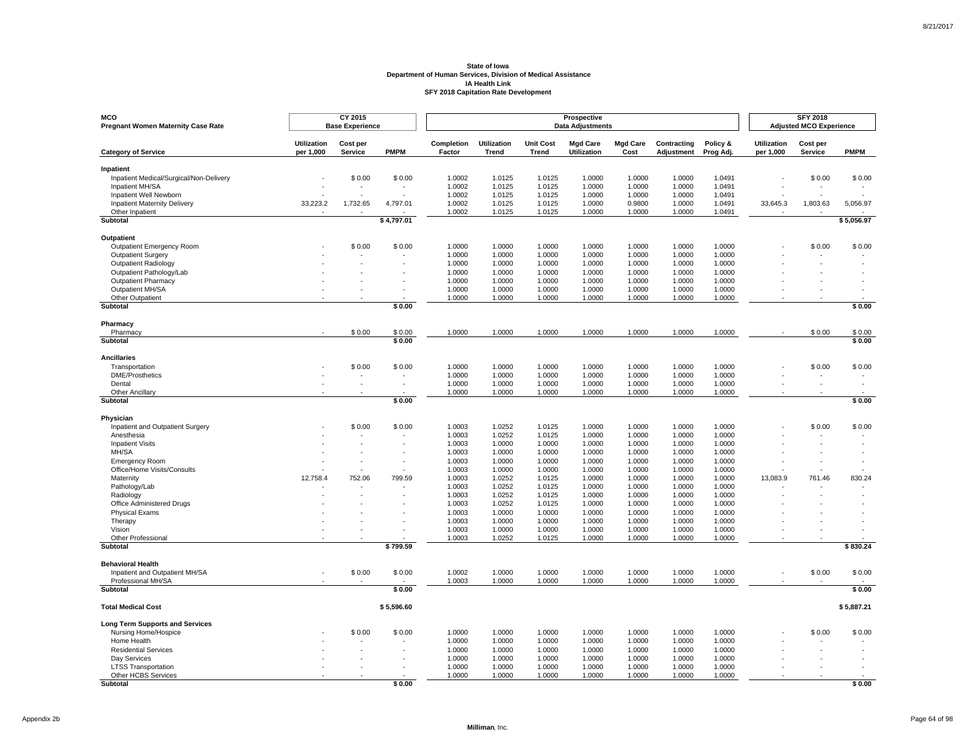| <b>MCO</b><br><b>Pregnant Women Maternity Case Rate</b> |                                 | <b>CY 2015</b><br><b>Base Experience</b> |             |                      |                             |                           | Prospective<br><b>Data Adjustments</b> |                         |                           |                       |                                 | <b>SFY 2018</b><br><b>Adjusted MCO Experience</b> |             |
|---------------------------------------------------------|---------------------------------|------------------------------------------|-------------|----------------------|-----------------------------|---------------------------|----------------------------------------|-------------------------|---------------------------|-----------------------|---------------------------------|---------------------------------------------------|-------------|
| <b>Category of Service</b>                              | <b>Utilization</b><br>per 1,000 | Cost per<br>Service                      | <b>PMPM</b> | Completion<br>Factor | <b>Utilization</b><br>Trend | <b>Unit Cost</b><br>Trend | <b>Mad Care</b><br><b>Utilization</b>  | <b>Mgd Care</b><br>Cost | Contracting<br>Adjustment | Policy &<br>Prog Adj. | <b>Utilization</b><br>per 1,000 | Cost per<br>Service                               | <b>PMPM</b> |
| Inpatient                                               |                                 |                                          |             |                      |                             |                           |                                        |                         |                           |                       |                                 |                                                   |             |
| Inpatient Medical/Surgical/Non-Delivery                 |                                 | \$0.00                                   | \$0.00      | 1.0002               | 1.0125                      | 1.0125                    | 1.0000                                 | 1.0000                  | 1.0000                    | 1.0491                |                                 | \$0.00                                            | \$0.00      |
| Inpatient MH/SA                                         |                                 |                                          |             | 1.0002               | 1.0125                      | 1.0125                    | 1.0000                                 | 1.0000                  | 1.0000                    | 1.0491                |                                 |                                                   |             |
| Inpatient Well Newborn                                  |                                 |                                          |             | 1.0002               | 1.0125                      | 1.0125                    | 1.0000                                 | 1.0000                  | 1.0000                    | 1.0491                |                                 |                                                   |             |
| <b>Inpatient Maternity Delivery</b><br>Other Inpatient  | 33,223.2                        | 1,732.65                                 | 4,797.01    | 1.0002<br>1.0002     | 1.0125<br>1.0125            | 1.0125<br>1.0125          | 1.0000<br>1.0000                       | 0.9800<br>1.0000        | 1.0000<br>1.0000          | 1.0491<br>1.0491      | 33,645.3                        | 1,803.63                                          | 5,056.97    |
| Subtotal                                                |                                 |                                          | \$4,797.01  |                      |                             |                           |                                        |                         |                           |                       |                                 |                                                   | \$5,056.97  |
| Outpatient                                              |                                 |                                          |             |                      |                             |                           |                                        |                         |                           |                       |                                 |                                                   |             |
| Outpatient Emergency Room                               |                                 | \$0.00                                   | \$0.00      | 1.0000               | 1.0000                      | 1.0000                    | 1.0000                                 | 1.0000                  | 1.0000                    | 1.0000                |                                 | \$0.00                                            | \$0.00      |
| Outpatient Surgery                                      |                                 |                                          |             | 1.0000               | 1.0000                      | 1.0000                    | 1.0000                                 | 1.0000                  | 1.0000                    | 1.0000                |                                 |                                                   |             |
| <b>Outpatient Radiology</b>                             |                                 |                                          |             | 1.0000               | 1.0000                      | 1.0000                    | 1.0000                                 | 1.0000                  | 1.0000                    | 1.0000                |                                 |                                                   |             |
| Outpatient Pathology/Lab                                |                                 |                                          |             | 1.0000               | 1.0000                      | 1.0000                    | 1.0000                                 | 1.0000                  | 1.0000                    | 1.0000                |                                 |                                                   |             |
| <b>Outpatient Pharmacy</b>                              |                                 |                                          |             | 1.0000               | 1.0000                      | 1.0000                    | 1.0000                                 | 1.0000                  | 1.0000                    | 1.0000                |                                 |                                                   |             |
| Outpatient MH/SA                                        |                                 |                                          |             | 1.0000               | 1.0000                      | 1.0000                    | 1.0000                                 | 1.0000                  | 1.0000                    | 1.0000                |                                 |                                                   |             |
| Other Outpatient<br>Subtotal                            |                                 |                                          | \$0.00      | 1.0000               | 1.0000                      | 1.0000                    | 1.0000                                 | 1.0000                  | 1.0000                    | 1.0000                |                                 |                                                   | \$0.00      |
|                                                         |                                 |                                          |             |                      |                             |                           |                                        |                         |                           |                       |                                 |                                                   |             |
| Pharmacy<br>Pharmacy                                    |                                 | \$0.00                                   | \$0.00      | 1.0000               | 1.0000                      | 1.0000                    | 1.0000                                 | 1.0000                  | 1.0000                    | 1.0000                |                                 | \$0.00                                            | \$0.00      |
| Subtotal                                                |                                 |                                          | \$0.00      |                      |                             |                           |                                        |                         |                           |                       |                                 |                                                   | \$0.00      |
| <b>Ancillaries</b>                                      |                                 |                                          |             |                      |                             |                           |                                        |                         |                           |                       |                                 |                                                   |             |
| Transportation                                          |                                 | \$0.00                                   | \$0.00      | 1.0000               | 1.0000                      | 1.0000                    | 1.0000                                 | 1.0000                  | 1.0000                    | 1.0000                |                                 | \$0.00                                            | \$0.00      |
| <b>DME/Prosthetics</b>                                  |                                 |                                          |             | 1.0000               | 1.0000                      | 1.0000                    | 1.0000                                 | 1.0000                  | 1.0000                    | 1.0000                |                                 |                                                   |             |
| Dental                                                  |                                 |                                          |             | 1.0000               | 1.0000                      | 1.0000                    | 1.0000                                 | 1.0000                  | 1.0000                    | 1.0000                |                                 |                                                   |             |
| Other Ancillary<br>Subtotal                             |                                 |                                          | \$0.00      | 1.0000               | 1.0000                      | 1.0000                    | 1.0000                                 | 1.0000                  | 1.0000                    | 1.0000                |                                 |                                                   | \$0.00      |
|                                                         |                                 |                                          |             |                      |                             |                           |                                        |                         |                           |                       |                                 |                                                   |             |
| Physician                                               |                                 |                                          |             |                      |                             |                           |                                        |                         |                           |                       |                                 |                                                   |             |
| Inpatient and Outpatient Surgery                        |                                 | \$0.00                                   | \$0.00      | 1.0003<br>1.0003     | 1.0252<br>1.0252            | 1.0125<br>1.0125          | 1.0000<br>1.0000                       | 1.0000<br>1.0000        | 1.0000<br>1.0000          | 1.0000<br>1.0000      |                                 | \$0.00                                            | \$0.00      |
| Anesthesia<br><b>Inpatient Visits</b>                   |                                 |                                          |             | 1.0003               | 1.0000                      | 1.0000                    | 1.0000                                 | 1.0000                  | 1.0000                    | 1.0000                |                                 |                                                   |             |
| MH/SA                                                   |                                 |                                          |             | 1.0003               | 1.0000                      | 1.0000                    | 1.0000                                 | 1.0000                  | 1.0000                    | 1.0000                |                                 |                                                   |             |
| <b>Emergency Room</b>                                   |                                 |                                          |             | 1.0003               | 1.0000                      | 1.0000                    | 1.0000                                 | 1.0000                  | 1.0000                    | 1.0000                |                                 |                                                   |             |
| Office/Home Visits/Consults                             |                                 |                                          |             | 1.0003               | 1.0000                      | 1.0000                    | 1.0000                                 | 1.0000                  | 1.0000                    | 1.0000                |                                 |                                                   |             |
| Maternity                                               | 12,758.4                        | 752.06                                   | 799.59      | 1.0003               | 1.0252                      | 1.0125                    | 1.0000                                 | 1.0000                  | 1.0000                    | 1.0000                | 13,083.9                        | 761.46                                            | 830.24      |
| Pathology/Lab                                           |                                 |                                          |             | 1.0003               | 1.0252                      | 1.0125                    | 1.0000                                 | 1.0000                  | 1.0000                    | 1.0000                |                                 |                                                   |             |
| Radiology                                               |                                 |                                          |             | 1.0003               | 1.0252                      | 1.0125                    | 1.0000                                 | 1.0000                  | 1.0000                    | 1.0000                |                                 |                                                   |             |
| Office Administered Drugs                               |                                 |                                          |             | 1.0003               | 1.0252                      | 1.0125                    | 1.0000                                 | 1.0000                  | 1.0000                    | 1.0000                |                                 |                                                   |             |
| <b>Physical Exams</b><br>Therapy                        |                                 |                                          |             | 1.0003<br>1.0003     | 1.0000<br>1.0000            | 1.0000<br>1.0000          | 1.0000<br>1.0000                       | 1.0000<br>1.0000        | 1.0000<br>1.0000          | 1.0000<br>1.0000      |                                 |                                                   |             |
| Vision                                                  |                                 |                                          |             | 1.0003               | 1.0000                      | 1.0000                    | 1.0000                                 | 1.0000                  | 1.0000                    | 1.0000                |                                 |                                                   |             |
| Other Professional                                      |                                 |                                          |             | 1.0003               | 1.0252                      | 1.0125                    | 1.0000                                 | 1.0000                  | 1.0000                    | 1.0000                |                                 |                                                   |             |
| Subtotal                                                |                                 |                                          | \$799.59    |                      |                             |                           |                                        |                         |                           |                       |                                 |                                                   | \$830.24    |
| <b>Behavioral Health</b>                                |                                 |                                          |             |                      |                             |                           |                                        |                         |                           |                       |                                 |                                                   |             |
| Inpatient and Outpatient MH/SA                          |                                 | \$0.00                                   | \$0.00      | 1.0002               | 1.0000                      | 1.0000                    | 1.0000                                 | 1.0000                  | 1.0000                    | 1.0000                |                                 | \$0.00                                            | \$0.00      |
| Professional MH/SA                                      |                                 |                                          |             | 1.0003               | 1.0000                      | 1.0000                    | 1.0000                                 | 1.0000                  | 1.0000                    | 1.0000                |                                 |                                                   |             |
| <b>Subtotal</b>                                         |                                 |                                          | \$0.00      |                      |                             |                           |                                        |                         |                           |                       |                                 |                                                   | \$0.00      |
| <b>Total Medical Cost</b>                               |                                 |                                          | \$5,596.60  |                      |                             |                           |                                        |                         |                           |                       |                                 |                                                   | \$5,887.21  |
| Long Term Supports and Services                         |                                 |                                          |             |                      |                             |                           |                                        |                         |                           |                       |                                 |                                                   |             |
| Nursing Home/Hospice                                    |                                 | \$0.00                                   | \$0.00      | 1.0000               | 1.0000                      | 1.0000                    | 1.0000                                 | 1.0000                  | 1.0000                    | 1.0000                |                                 | \$0.00                                            | \$0.00      |
| Home Health                                             |                                 |                                          |             | 1.0000               | 1.0000                      | 1.0000                    | 1.0000                                 | 1.0000                  | 1.0000                    | 1.0000                |                                 |                                                   |             |
| <b>Residential Services</b>                             |                                 |                                          |             | 1.0000               | 1.0000                      | 1.0000                    | 1.0000                                 | 1.0000                  | 1.0000                    | 1.0000                |                                 |                                                   |             |
| Day Services<br><b>LTSS Transportation</b>              |                                 |                                          |             | 1.0000<br>1.0000     | 1.0000<br>1.0000            | 1.0000<br>1.0000          | 1.0000<br>1.0000                       | 1.0000<br>1.0000        | 1.0000<br>1.0000          | 1.0000<br>1.0000      |                                 |                                                   |             |
| Other HCBS Services                                     |                                 |                                          |             | 1.0000               | 1.0000                      | 1.0000                    | 1.0000                                 | 1.0000                  | 1.0000                    | 1.0000                |                                 |                                                   |             |
| <b>Subtotal</b>                                         |                                 |                                          | \$0.00      |                      |                             |                           |                                        |                         |                           |                       |                                 |                                                   | \$0.00      |

Page 64 of 98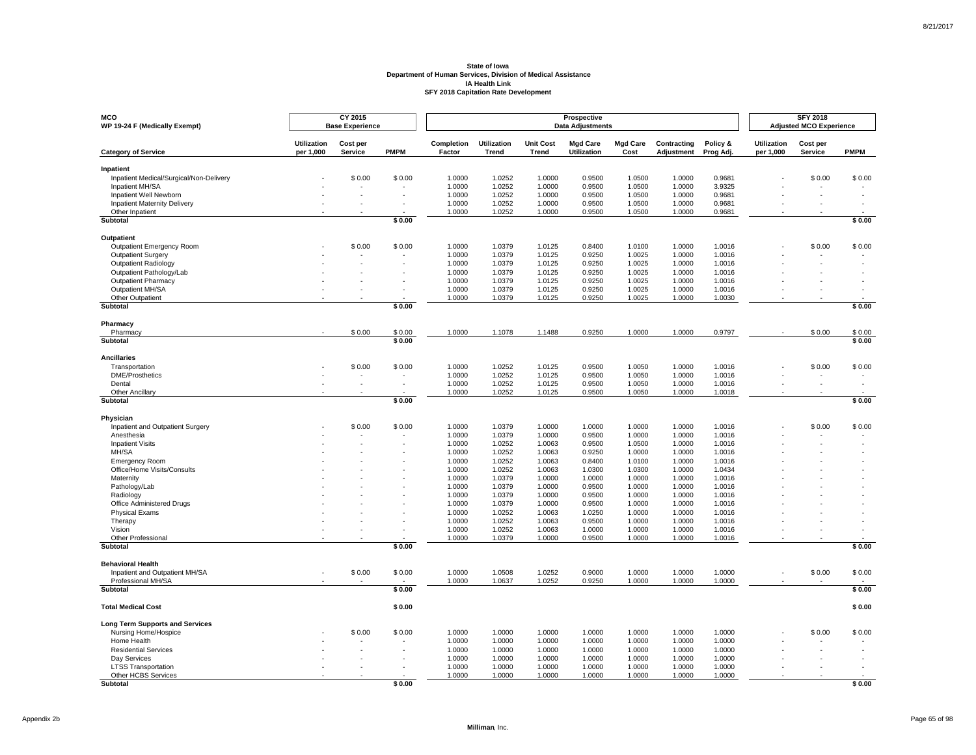| <b>MCO</b><br>WP 19-24 F (Medically Exempt)          |                                 | CY 2015<br><b>Base Experience</b> |                  |                      |                             |                           | Prospective<br><b>Data Adjustments</b> |                         |                           |                       |                                 | <b>SFY 2018</b><br><b>Adjusted MCO Experience</b> |                  |
|------------------------------------------------------|---------------------------------|-----------------------------------|------------------|----------------------|-----------------------------|---------------------------|----------------------------------------|-------------------------|---------------------------|-----------------------|---------------------------------|---------------------------------------------------|------------------|
| <b>Category of Service</b>                           | <b>Utilization</b><br>per 1,000 | Cost per<br>Service               | <b>PMPM</b>      | Completion<br>Factor | <b>Utilization</b><br>Trend | <b>Unit Cost</b><br>Trend | <b>Mgd Care</b><br><b>Utilization</b>  | <b>Mgd Care</b><br>Cost | Contracting<br>Adjustment | Policy &<br>Prog Adj. | <b>Utilization</b><br>per 1,000 | Cost per<br><b>Service</b>                        | <b>PMPM</b>      |
| Inpatient                                            |                                 |                                   |                  |                      |                             |                           |                                        |                         |                           |                       |                                 |                                                   |                  |
| Inpatient Medical/Surgical/Non-Delivery              |                                 | \$0.00                            | \$0.00           | 1.0000               | 1.0252                      | 1.0000                    | 0.9500                                 | 1.0500                  | 1.0000                    | 0.9681                |                                 | \$0.00                                            | \$0.00           |
| Inpatient MH/SA                                      |                                 |                                   |                  | 1.0000               | 1.0252                      | 1.0000                    | 0.9500                                 | 1.0500                  | 1.0000                    | 3.9325                |                                 |                                                   |                  |
| Inpatient Well Newborn                               |                                 |                                   |                  | 1.0000               | 1.0252                      | 1.0000                    | 0.9500                                 | 1.0500                  | 1.0000                    | 0.9681                |                                 |                                                   |                  |
| <b>Inpatient Maternity Delivery</b>                  |                                 |                                   |                  | 1.0000               | 1.0252                      | 1.0000                    | 0.9500                                 | 1.0500                  | 1.0000                    | 0.9681                |                                 |                                                   |                  |
| Other Inpatient                                      |                                 |                                   |                  | 1.0000               | 1.0252                      | 1.0000                    | 0.9500                                 | 1.0500                  | 1.0000                    | 0.9681                |                                 |                                                   |                  |
| <b>Subtotal</b>                                      |                                 |                                   | \$0.00           |                      |                             |                           |                                        |                         |                           |                       |                                 |                                                   | \$0.00           |
| Outpatient                                           |                                 |                                   |                  |                      |                             |                           |                                        |                         |                           |                       |                                 |                                                   |                  |
| <b>Outpatient Emergency Room</b>                     |                                 | \$0.00                            | \$0.00           | 1.0000               | 1.0379                      | 1.0125                    | 0.8400                                 | 1.0100                  | 1.0000                    | 1.0016                |                                 | \$0.00                                            | \$0.00           |
| Outpatient Surgery                                   |                                 |                                   |                  | 1.0000               | 1.0379                      | 1.0125                    | 0.9250                                 | 1.0025                  | 1.0000                    | 1.0016                |                                 |                                                   |                  |
| Outpatient Radiology                                 |                                 |                                   | ×.               | 1.0000               | 1.0379                      | 1.0125                    | 0.9250                                 | 1.0025                  | 1.0000                    | 1.0016                |                                 |                                                   |                  |
| Outpatient Pathology/Lab                             |                                 |                                   |                  | 1.0000               | 1.0379                      | 1.0125                    | 0.9250                                 | 1.0025                  | 1.0000                    | 1.0016                |                                 |                                                   |                  |
| Outpatient Pharmacy                                  |                                 |                                   |                  | 1.0000               | 1.0379                      | 1.0125                    | 0.9250                                 | 1.0025                  | 1.0000                    | 1.0016                |                                 |                                                   |                  |
| Outpatient MH/SA                                     |                                 |                                   |                  | 1.0000               | 1.0379                      | 1.0125                    | 0.9250                                 | 1.0025                  | 1.0000                    | 1.0016                |                                 |                                                   |                  |
| Other Outpatient                                     |                                 |                                   |                  | 1.0000               | 1.0379                      | 1.0125                    | 0.9250                                 | 1.0025                  | 1.0000                    | 1.0030                |                                 |                                                   |                  |
| <b>Subtotal</b>                                      |                                 |                                   | \$0.00           |                      |                             |                           |                                        |                         |                           |                       |                                 |                                                   | \$0.00           |
| Pharmacy                                             |                                 |                                   |                  |                      |                             |                           |                                        |                         |                           |                       |                                 |                                                   |                  |
| Pharmacy<br>Subtotal                                 |                                 | \$0.00                            | \$0.00<br>\$0.00 | 1.0000               | 1.1078                      | 1.1488                    | 0.9250                                 | 1.0000                  | 1.0000                    | 0.9797                |                                 | \$0.00                                            | \$0.00<br>\$0.00 |
|                                                      |                                 |                                   |                  |                      |                             |                           |                                        |                         |                           |                       |                                 |                                                   |                  |
| <b>Ancillaries</b>                                   |                                 |                                   |                  |                      |                             |                           |                                        |                         |                           |                       |                                 |                                                   |                  |
| Transportation                                       |                                 | \$0.00                            | \$0.00           | 1.0000               | 1.0252                      | 1.0125                    | 0.9500                                 | 1.0050                  | 1.0000                    | 1.0016                |                                 | \$0.00                                            | \$0.00           |
| <b>DME/Prosthetics</b>                               |                                 |                                   | $\sim$           | 1.0000               | 1.0252                      | 1.0125                    | 0.9500                                 | 1.0050                  | 1.0000                    | 1.0016                |                                 | ٠                                                 |                  |
| Dental                                               |                                 | $\sim$<br>$\overline{a}$          | $\sim$           | 1.0000               | 1.0252                      | 1.0125                    | 0.9500                                 | 1.0050                  | 1.0000                    | 1.0016                |                                 | ÷<br>$\sim$                                       |                  |
| Other Ancillary<br>Subtotal                          |                                 |                                   | \$0.00           | 1.0000               | 1.0252                      | 1.0125                    | 0.9500                                 | 1.0050                  | 1.0000                    | 1.0018                |                                 |                                                   | \$0.00           |
|                                                      |                                 |                                   |                  |                      |                             |                           |                                        |                         |                           |                       |                                 |                                                   |                  |
| Physician<br>Inpatient and Outpatient Surgery        |                                 | \$0.00                            | \$0.00           | 1.0000               | 1.0379                      | 1.0000                    | 1.0000                                 | 1.0000                  | 1.0000                    | 1.0016                |                                 | \$0.00                                            | \$0.00           |
| Anesthesia                                           |                                 |                                   |                  | 1.0000               | 1.0379                      | 1.0000                    | 0.9500                                 | 1.0000                  | 1.0000                    | 1.0016                |                                 |                                                   |                  |
| <b>Inpatient Visits</b>                              |                                 |                                   |                  | 1.0000               | 1.0252                      | 1.0063                    | 0.9500                                 | 1.0500                  | 1.0000                    | 1.0016                |                                 |                                                   |                  |
| MH/SA                                                |                                 |                                   |                  | 1.0000               | 1.0252                      | 1.0063                    | 0.9250                                 | 1.0000                  | 1.0000                    | 1.0016                |                                 |                                                   |                  |
| Emergency Room                                       |                                 |                                   |                  | 1.0000               | 1.0252                      | 1.0063                    | 0.8400                                 | 1.0100                  | 1.0000                    | 1.0016                |                                 |                                                   |                  |
| Office/Home Visits/Consults                          |                                 |                                   |                  | 1.0000               | 1.0252                      | 1.0063                    | 1.0300                                 | 1.0300                  | 1.0000                    | 1.0434                |                                 |                                                   |                  |
| Maternity                                            |                                 |                                   |                  | 1.0000               | 1.0379                      | 1.0000                    | 1.0000                                 | 1.0000                  | 1.0000                    | 1.0016                |                                 |                                                   |                  |
| Pathology/Lab                                        |                                 |                                   |                  | 1.0000               | 1.0379                      | 1.0000                    | 0.9500                                 | 1.0000                  | 1.0000                    | 1.0016                |                                 |                                                   |                  |
| Radiology                                            |                                 |                                   |                  | 1.0000               | 1.0379                      | 1.0000                    | 0.9500                                 | 1.0000                  | 1.0000                    | 1.0016                |                                 |                                                   |                  |
| Office Administered Drugs                            |                                 |                                   |                  | 1.0000               | 1.0379                      | 1.0000                    | 0.9500                                 | 1.0000                  | 1.0000                    | 1.0016                |                                 |                                                   |                  |
| <b>Physical Exams</b>                                |                                 |                                   |                  | 1.0000               | 1.0252                      | 1.0063                    | 1.0250                                 | 1.0000                  | 1.0000                    | 1.0016                |                                 |                                                   |                  |
| Therapy                                              |                                 |                                   |                  | 1.0000               | 1.0252                      | 1.0063                    | 0.9500                                 | 1.0000                  | 1.0000                    | 1.0016                |                                 |                                                   |                  |
| Vision                                               |                                 |                                   |                  | 1.0000               | 1.0252                      | 1.0063                    | 1.0000                                 | 1.0000                  | 1.0000                    | 1.0016                |                                 |                                                   |                  |
| Other Professional<br><b>Subtotal</b>                |                                 |                                   | \$0.00           | 1.0000               | 1.0379                      | 1.0000                    | 0.9500                                 | 1.0000                  | 1.0000                    | 1.0016                |                                 |                                                   | \$0.00           |
|                                                      |                                 |                                   |                  |                      |                             |                           |                                        |                         |                           |                       |                                 |                                                   |                  |
| <b>Behavioral Health</b>                             |                                 |                                   |                  |                      |                             |                           | 0.9000                                 |                         |                           |                       |                                 |                                                   |                  |
| Inpatient and Outpatient MH/SA<br>Professional MH/SA |                                 | \$0.00                            | \$0.00           | 1.0000<br>1.0000     | 1.0508<br>1.0637            | 1.0252<br>1.0252          | 0.9250                                 | 1.0000<br>1.0000        | 1.0000<br>1.0000          | 1.0000<br>1.0000      |                                 | \$0.00                                            | \$0.00           |
| <b>Subtotal</b>                                      |                                 |                                   | \$0.00           |                      |                             |                           |                                        |                         |                           |                       |                                 |                                                   | \$0.00           |
|                                                      |                                 |                                   |                  |                      |                             |                           |                                        |                         |                           |                       |                                 |                                                   |                  |
| <b>Total Medical Cost</b>                            |                                 |                                   | \$0.00           |                      |                             |                           |                                        |                         |                           |                       |                                 |                                                   | \$0.00           |
| <b>Long Term Supports and Services</b>               |                                 |                                   |                  |                      |                             |                           |                                        |                         |                           |                       |                                 |                                                   |                  |
| Nursing Home/Hospice                                 |                                 | \$0.00                            | \$0.00           | 1.0000               | 1.0000                      | 1.0000                    | 1.0000                                 | 1.0000                  | 1.0000                    | 1.0000                |                                 | \$0.00                                            | \$0.00           |
| Home Health                                          |                                 |                                   |                  | 1.0000               | 1.0000                      | 1.0000                    | 1.0000                                 | 1.0000                  | 1.0000                    | 1.0000                |                                 |                                                   |                  |
| <b>Residential Services</b>                          |                                 |                                   |                  | 1.0000               | 1.0000                      | 1.0000                    | 1.0000                                 | 1.0000                  | 1.0000                    | 1.0000                |                                 |                                                   |                  |
| Day Services                                         |                                 |                                   | ×,               | 1.0000               | 1.0000                      | 1.0000                    | 1.0000                                 | 1.0000                  | 1.0000                    | 1.0000                |                                 |                                                   |                  |
| <b>LTSS Transportation</b>                           |                                 |                                   |                  | 1.0000               | 1.0000                      | 1.0000                    | 1.0000                                 | 1.0000                  | 1.0000                    | 1.0000                |                                 |                                                   |                  |
| Other HCBS Services                                  |                                 |                                   |                  | 1.0000               | 1.0000                      | 1.0000                    | 1.0000                                 | 1.0000                  | 1.0000                    | 1.0000                |                                 |                                                   |                  |
| <b>Subtotal</b>                                      |                                 |                                   | \$0.00           |                      |                             |                           |                                        |                         |                           |                       |                                 |                                                   | \$0.00           |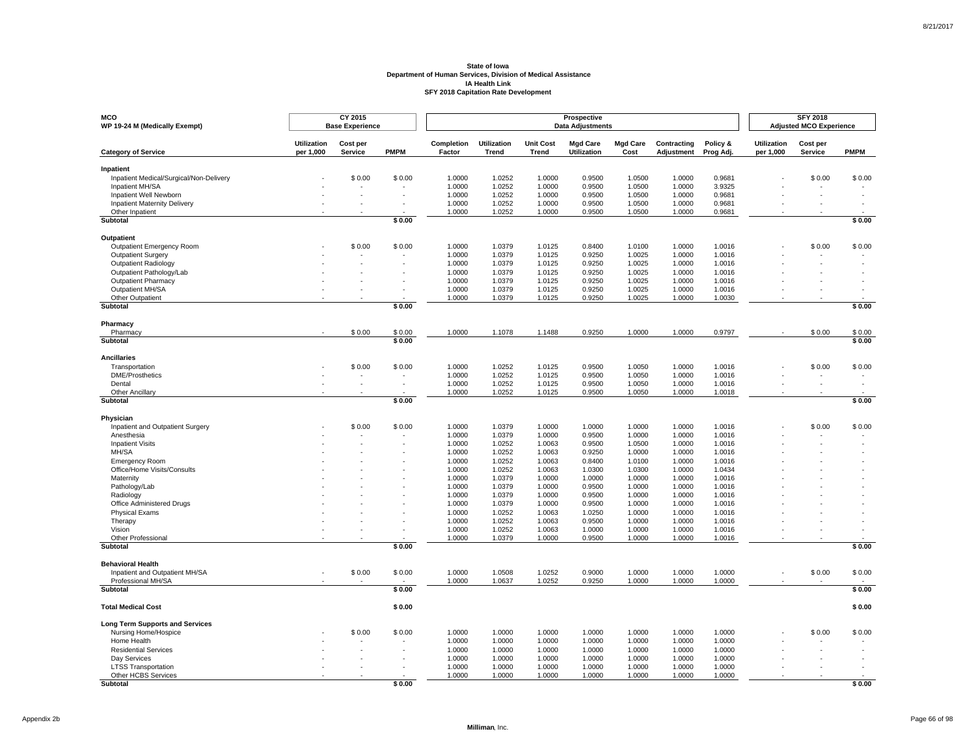| <b>MCO</b><br>WP 19-24 M (Medically Exempt)          |                                 | CY 2015<br><b>Base Experience</b> |                  |                      |                             |                           | Prospective<br><b>Data Adjustments</b> |                         |                           |                       |                          | <b>SFY 2018</b><br><b>Adjusted MCO Experience</b> |                          |
|------------------------------------------------------|---------------------------------|-----------------------------------|------------------|----------------------|-----------------------------|---------------------------|----------------------------------------|-------------------------|---------------------------|-----------------------|--------------------------|---------------------------------------------------|--------------------------|
| <b>Category of Service</b>                           | <b>Utilization</b><br>per 1,000 | Cost per<br>Service               | <b>PMPM</b>      | Completion<br>Factor | Utilization<br><b>Trend</b> | <b>Unit Cost</b><br>Trend | <b>Mgd Care</b><br><b>Utilization</b>  | <b>Mgd Care</b><br>Cost | Contracting<br>Adjustment | Policy &<br>Prog Adj. | Utilization<br>per 1,000 | Cost per<br>Service                               | <b>PMPM</b>              |
| Inpatient                                            |                                 |                                   |                  |                      |                             |                           |                                        |                         |                           |                       |                          |                                                   |                          |
| Inpatient Medical/Surgical/Non-Delivery              |                                 | \$0.00                            | \$0.00           | 1.0000               | 1.0252                      | 1.0000                    | 0.9500                                 | 1.0500                  | 1.0000                    | 0.9681                |                          | \$0.00                                            | \$0.00                   |
| Inpatient MH/SA                                      |                                 |                                   |                  | 1.0000               | 1.0252                      | 1.0000                    | 0.9500                                 | 1.0500                  | 1.0000                    | 3.9325                |                          |                                                   |                          |
| Inpatient Well Newborn                               |                                 |                                   |                  | 1.0000               | 1.0252                      | 1.0000                    | 0.9500                                 | 1.0500                  | 1.0000                    | 0.9681                |                          |                                                   |                          |
| <b>Inpatient Maternity Delivery</b>                  |                                 |                                   |                  | 1.0000               | 1.0252                      | 1.0000                    | 0.9500                                 | 1.0500                  | 1.0000                    | 0.9681                |                          |                                                   |                          |
| Other Inpatient                                      |                                 |                                   |                  | 1.0000               | 1.0252                      | 1.0000                    | 0.9500                                 | 1.0500                  | 1.0000                    | 0.9681                |                          |                                                   |                          |
| <b>Subtotal</b>                                      |                                 |                                   | \$0.00           |                      |                             |                           |                                        |                         |                           |                       |                          |                                                   | \$0.00                   |
| Outpatient                                           |                                 |                                   |                  |                      |                             |                           |                                        |                         |                           |                       |                          |                                                   |                          |
| <b>Outpatient Emergency Room</b>                     |                                 | \$0.00                            | \$0.00           | 1.0000               | 1.0379                      | 1.0125                    | 0.8400                                 | 1.0100                  | 1.0000                    | 1.0016                |                          | \$0.00                                            | \$0.00                   |
| <b>Outpatient Surgery</b>                            |                                 |                                   |                  | 1.0000               | 1.0379                      | 1.0125                    | 0.9250                                 | 1.0025                  | 1.0000                    | 1.0016                |                          |                                                   |                          |
| Outpatient Radiology                                 |                                 |                                   |                  | 1.0000               | 1.0379                      | 1.0125                    | 0.9250                                 | 1.0025                  | 1.0000                    | 1.0016                |                          |                                                   |                          |
| Outpatient Pathology/Lab                             |                                 |                                   |                  | 1.0000               | 1.0379                      | 1.0125                    | 0.9250                                 | 1.0025                  | 1.0000                    | 1.0016                |                          |                                                   |                          |
| Outpatient Pharmacy                                  |                                 |                                   |                  | 1.0000               | 1.0379                      | 1.0125                    | 0.9250                                 | 1.0025                  | 1.0000                    | 1.0016                |                          |                                                   |                          |
| Outpatient MH/SA                                     |                                 |                                   |                  | 1.0000               | 1.0379                      | 1.0125                    | 0.9250                                 | 1.0025                  | 1.0000                    | 1.0016                |                          |                                                   |                          |
| Other Outpatient<br><b>Subtotal</b>                  |                                 |                                   | \$0.00           | 1.0000               | 1.0379                      | 1.0125                    | 0.9250                                 | 1.0025                  | 1.0000                    | 1.0030                |                          |                                                   | \$0.00                   |
|                                                      |                                 |                                   |                  |                      |                             |                           |                                        |                         |                           |                       |                          |                                                   |                          |
| Pharmacy<br>Pharmacy                                 |                                 | \$0.00                            | \$0.00           | 1.0000               | 1.1078                      | 1.1488                    | 0.9250                                 | 1.0000                  | 1.0000                    | 0.9797                |                          | \$0.00                                            | \$0.00                   |
| Subtotal                                             |                                 |                                   | \$0.00           |                      |                             |                           |                                        |                         |                           |                       |                          |                                                   | \$0.00                   |
|                                                      |                                 |                                   |                  |                      |                             |                           |                                        |                         |                           |                       |                          |                                                   |                          |
| <b>Ancillaries</b>                                   |                                 |                                   |                  |                      |                             |                           |                                        |                         |                           |                       |                          |                                                   |                          |
| Transportation                                       |                                 | \$0.00                            | \$0.00           | 1.0000               | 1.0252                      | 1.0125                    | 0.9500                                 | 1.0050                  | 1.0000                    | 1.0016                |                          | \$0.00                                            | \$0.00                   |
| <b>DME/Prosthetics</b>                               |                                 |                                   | $\sim$<br>$\sim$ | 1.0000               | 1.0252                      | 1.0125                    | 0.9500                                 | 1.0050                  | 1.0000                    | 1.0016                |                          |                                                   | $\overline{\phantom{a}}$ |
| Dental<br>Other Ancillary                            |                                 |                                   |                  | 1.0000<br>1.0000     | 1.0252<br>1.0252            | 1.0125<br>1.0125          | 0.9500<br>0.9500                       | 1.0050<br>1.0050        | 1.0000<br>1.0000          | 1.0016<br>1.0018      |                          |                                                   |                          |
| Subtotal                                             |                                 |                                   | \$0.00           |                      |                             |                           |                                        |                         |                           |                       |                          |                                                   | \$0.00                   |
|                                                      |                                 |                                   |                  |                      |                             |                           |                                        |                         |                           |                       |                          |                                                   |                          |
| Physician<br>Inpatient and Outpatient Surgery        |                                 | \$0.00                            | \$0.00           | 1.0000               | 1.0379                      | 1.0000                    | 1.0000                                 | 1.0000                  | 1.0000                    | 1.0016                |                          | \$0.00                                            | \$0.00                   |
| Anesthesia                                           |                                 |                                   |                  | 1.0000               | 1.0379                      | 1.0000                    | 0.9500                                 | 1.0000                  | 1.0000                    | 1.0016                |                          |                                                   |                          |
| <b>Inpatient Visits</b>                              |                                 |                                   |                  | 1.0000               | 1.0252                      | 1.0063                    | 0.9500                                 | 1.0500                  | 1.0000                    | 1.0016                |                          |                                                   |                          |
| MH/SA                                                |                                 |                                   |                  | 1.0000               | 1.0252                      | 1.0063                    | 0.9250                                 | 1.0000                  | 1.0000                    | 1.0016                |                          |                                                   |                          |
| <b>Emergency Room</b>                                |                                 |                                   |                  | 1.0000               | 1.0252                      | 1.0063                    | 0.8400                                 | 1.0100                  | 1.0000                    | 1.0016                |                          |                                                   |                          |
| Office/Home Visits/Consults                          |                                 |                                   |                  | 1.0000               | 1.0252                      | 1.0063                    | 1.0300                                 | 1.0300                  | 1.0000                    | 1.0434                |                          |                                                   |                          |
| Maternity                                            |                                 |                                   |                  | 1.0000               | 1.0379                      | 1.0000                    | 1.0000                                 | 1.0000                  | 1.0000                    | 1.0016                |                          |                                                   |                          |
| Pathology/Lab                                        |                                 |                                   |                  | 1.0000               | 1.0379                      | 1.0000                    | 0.9500                                 | 1.0000                  | 1.0000                    | 1.0016                |                          |                                                   |                          |
| Radiology                                            |                                 |                                   |                  | 1.0000               | 1.0379                      | 1.0000                    | 0.9500                                 | 1.0000                  | 1.0000                    | 1.0016                |                          |                                                   |                          |
| Office Administered Drugs                            |                                 |                                   |                  | 1.0000               | 1.0379                      | 1.0000                    | 0.9500                                 | 1.0000                  | 1.0000                    | 1.0016                |                          |                                                   |                          |
| <b>Physical Exams</b>                                |                                 |                                   |                  | 1.0000               | 1.0252                      | 1.0063                    | 1.0250                                 | 1.0000                  | 1.0000                    | 1.0016                |                          |                                                   |                          |
| Therapy                                              |                                 |                                   |                  | 1.0000               | 1.0252                      | 1.0063                    | 0.9500                                 | 1.0000                  | 1.0000                    | 1.0016                |                          |                                                   |                          |
| Vision                                               |                                 |                                   |                  | 1.0000               | 1.0252                      | 1.0063                    | 1.0000                                 | 1.0000                  | 1.0000                    | 1.0016                |                          |                                                   |                          |
| Other Professional<br><b>Subtotal</b>                |                                 |                                   | \$0.00           | 1.0000               | 1.0379                      | 1.0000                    | 0.9500                                 | 1.0000                  | 1.0000                    | 1.0016                |                          |                                                   | \$0.00                   |
|                                                      |                                 |                                   |                  |                      |                             |                           |                                        |                         |                           |                       |                          |                                                   |                          |
| <b>Behavioral Health</b>                             |                                 |                                   |                  |                      |                             |                           |                                        |                         |                           |                       |                          |                                                   |                          |
| Inpatient and Outpatient MH/SA<br>Professional MH/SA |                                 | \$0.00                            | \$0.00           | 1.0000<br>1.0000     | 1.0508<br>1.0637            | 1.0252                    | 0.9000<br>0.9250                       | 1.0000<br>1.0000        | 1.0000<br>1.0000          | 1.0000                |                          | \$0.00                                            | \$0.00                   |
| Subtotal                                             |                                 |                                   | \$0.00           |                      |                             | 1.0252                    |                                        |                         |                           | 1.0000                |                          |                                                   | \$0.00                   |
|                                                      |                                 |                                   |                  |                      |                             |                           |                                        |                         |                           |                       |                          |                                                   |                          |
| <b>Total Medical Cost</b>                            |                                 |                                   | \$0.00           |                      |                             |                           |                                        |                         |                           |                       |                          |                                                   | \$0.00                   |
| <b>Long Term Supports and Services</b>               |                                 |                                   |                  |                      |                             |                           |                                        |                         |                           |                       |                          |                                                   |                          |
| Nursing Home/Hospice                                 |                                 | \$0.00                            | \$0.00           | 1.0000               | 1.0000                      | 1.0000                    | 1.0000                                 | 1.0000                  | 1.0000                    | 1.0000                |                          | \$0.00                                            | \$0.00                   |
| Home Health                                          |                                 |                                   |                  | 1.0000               | 1.0000                      | 1.0000                    | 1.0000                                 | 1.0000                  | 1.0000                    | 1.0000                |                          |                                                   |                          |
| <b>Residential Services</b>                          |                                 |                                   |                  | 1.0000               | 1.0000                      | 1.0000                    | 1.0000                                 | 1.0000                  | 1.0000                    | 1.0000                |                          |                                                   |                          |
| Day Services                                         |                                 |                                   | $\sim$           | 1.0000               | 1.0000                      | 1.0000                    | 1.0000                                 | 1.0000                  | 1.0000                    | 1.0000                |                          |                                                   |                          |
| <b>LTSS Transportation</b>                           |                                 |                                   |                  | 1.0000               | 1.0000                      | 1.0000                    | 1.0000                                 | 1.0000                  | 1.0000                    | 1.0000                |                          |                                                   |                          |
| Other HCBS Services                                  |                                 |                                   |                  | 1.0000               | 1.0000                      | 1.0000                    | 1.0000                                 | 1.0000                  | 1.0000                    | 1.0000                |                          |                                                   |                          |
| <b>Subtotal</b>                                      |                                 |                                   | \$0.00           |                      |                             |                           |                                        |                         |                           |                       |                          |                                                   | \$0.00                   |

8/21/2017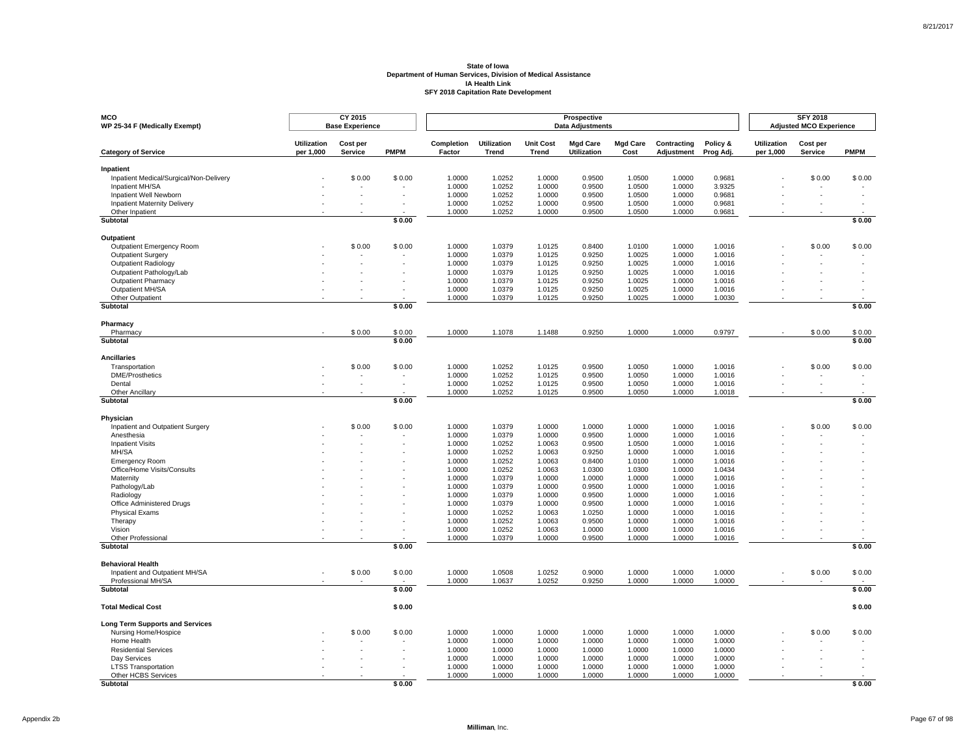| <b>MCO</b><br>WP 25-34 F (Medically Exempt)          |                                 | CY 2015<br><b>Base Experience</b> |             |                      |                             |                           | Prospective<br><b>Data Adjustments</b> |                         |                           |                       |                          | <b>SFY 2018</b><br><b>Adjusted MCO Experience</b> |                          |
|------------------------------------------------------|---------------------------------|-----------------------------------|-------------|----------------------|-----------------------------|---------------------------|----------------------------------------|-------------------------|---------------------------|-----------------------|--------------------------|---------------------------------------------------|--------------------------|
| <b>Category of Service</b>                           | <b>Utilization</b><br>per 1,000 | Cost per<br>Service               | <b>PMPM</b> | Completion<br>Factor | Utilization<br><b>Trend</b> | <b>Unit Cost</b><br>Trend | <b>Mgd Care</b><br><b>Utilization</b>  | <b>Mgd Care</b><br>Cost | Contracting<br>Adjustment | Policy &<br>Prog Adj. | Utilization<br>per 1,000 | Cost per<br>Service                               | <b>PMPM</b>              |
| Inpatient                                            |                                 |                                   |             |                      |                             |                           |                                        |                         |                           |                       |                          |                                                   |                          |
| Inpatient Medical/Surgical/Non-Delivery              |                                 | \$0.00                            | \$0.00      | 1.0000               | 1.0252                      | 1.0000                    | 0.9500                                 | 1.0500                  | 1.0000                    | 0.9681                |                          | \$0.00                                            | \$0.00                   |
| Inpatient MH/SA                                      |                                 |                                   |             | 1.0000               | 1.0252                      | 1.0000                    | 0.9500                                 | 1.0500                  | 1.0000                    | 3.9325                |                          |                                                   |                          |
| Inpatient Well Newborn                               |                                 |                                   |             | 1.0000               | 1.0252                      | 1.0000                    | 0.9500                                 | 1.0500                  | 1.0000                    | 0.9681                |                          |                                                   |                          |
| <b>Inpatient Maternity Delivery</b>                  |                                 |                                   |             | 1.0000               | 1.0252                      | 1.0000                    | 0.9500                                 | 1.0500                  | 1.0000                    | 0.9681                |                          |                                                   |                          |
| Other Inpatient                                      |                                 |                                   |             | 1.0000               | 1.0252                      | 1.0000                    | 0.9500                                 | 1.0500                  | 1.0000                    | 0.9681                |                          |                                                   |                          |
| <b>Subtotal</b>                                      |                                 |                                   | \$0.00      |                      |                             |                           |                                        |                         |                           |                       |                          |                                                   | \$0.00                   |
| Outpatient                                           |                                 |                                   |             |                      |                             |                           |                                        |                         |                           |                       |                          |                                                   |                          |
| <b>Outpatient Emergency Room</b>                     |                                 | \$0.00                            | \$0.00      | 1.0000               | 1.0379                      | 1.0125                    | 0.8400                                 | 1.0100                  | 1.0000                    | 1.0016                |                          | \$0.00                                            | \$0.00                   |
| <b>Outpatient Surgery</b>                            |                                 |                                   |             | 1.0000               | 1.0379                      | 1.0125                    | 0.9250                                 | 1.0025                  | 1.0000                    | 1.0016                |                          |                                                   |                          |
| Outpatient Radiology                                 |                                 |                                   |             | 1.0000               | 1.0379                      | 1.0125                    | 0.9250                                 | 1.0025                  | 1.0000                    | 1.0016                |                          |                                                   |                          |
| Outpatient Pathology/Lab                             |                                 |                                   |             | 1.0000               | 1.0379                      | 1.0125                    | 0.9250                                 | 1.0025                  | 1.0000                    | 1.0016                |                          |                                                   |                          |
| Outpatient Pharmacy                                  |                                 |                                   |             | 1.0000               | 1.0379                      | 1.0125                    | 0.9250                                 | 1.0025                  | 1.0000                    | 1.0016                |                          |                                                   |                          |
| Outpatient MH/SA                                     |                                 |                                   |             | 1.0000               | 1.0379                      | 1.0125                    | 0.9250                                 | 1.0025                  | 1.0000                    | 1.0016                |                          |                                                   |                          |
| Other Outpatient<br><b>Subtotal</b>                  |                                 |                                   | \$0.00      | 1.0000               | 1.0379                      | 1.0125                    | 0.9250                                 | 1.0025                  | 1.0000                    | 1.0030                |                          |                                                   | \$0.00                   |
|                                                      |                                 |                                   |             |                      |                             |                           |                                        |                         |                           |                       |                          |                                                   |                          |
| Pharmacy<br>Pharmacy                                 |                                 | \$0.00                            | \$0.00      | 1.0000               | 1.1078                      | 1.1488                    | 0.9250                                 | 1.0000                  | 1.0000                    | 0.9797                |                          | \$0.00                                            | \$0.00                   |
| Subtotal                                             |                                 |                                   | \$0.00      |                      |                             |                           |                                        |                         |                           |                       |                          |                                                   | \$0.00                   |
|                                                      |                                 |                                   |             |                      |                             |                           |                                        |                         |                           |                       |                          |                                                   |                          |
| <b>Ancillaries</b>                                   |                                 |                                   |             |                      |                             |                           |                                        |                         |                           |                       |                          |                                                   |                          |
| Transportation                                       |                                 | \$0.00                            | \$0.00      | 1.0000               | 1.0252                      | 1.0125                    | 0.9500                                 | 1.0050                  | 1.0000                    | 1.0016                |                          | \$0.00                                            | \$0.00                   |
| <b>DME/Prosthetics</b>                               |                                 |                                   | $\sim$      | 1.0000               | 1.0252                      | 1.0125                    | 0.9500                                 | 1.0050                  | 1.0000                    | 1.0016                |                          |                                                   | $\overline{\phantom{a}}$ |
| Dental                                               |                                 |                                   | $\sim$      | 1.0000               | 1.0252<br>1.0252            | 1.0125                    | 0.9500                                 | 1.0050                  | 1.0000                    | 1.0016                |                          |                                                   |                          |
| Other Ancillary<br>Subtotal                          |                                 |                                   | \$0.00      | 1.0000               |                             | 1.0125                    | 0.9500                                 | 1.0050                  | 1.0000                    | 1.0018                |                          |                                                   | \$0.00                   |
|                                                      |                                 |                                   |             |                      |                             |                           |                                        |                         |                           |                       |                          |                                                   |                          |
| Physician<br>Inpatient and Outpatient Surgery        |                                 | \$0.00                            | \$0.00      | 1.0000               | 1.0379                      | 1.0000                    | 1.0000                                 | 1.0000                  | 1.0000                    | 1.0016                |                          | \$0.00                                            | \$0.00                   |
| Anesthesia                                           |                                 |                                   |             | 1.0000               | 1.0379                      | 1.0000                    | 0.9500                                 | 1.0000                  | 1.0000                    | 1.0016                |                          |                                                   |                          |
| <b>Inpatient Visits</b>                              |                                 |                                   |             | 1.0000               | 1.0252                      | 1.0063                    | 0.9500                                 | 1.0500                  | 1.0000                    | 1.0016                |                          |                                                   |                          |
| MH/SA                                                |                                 |                                   |             | 1.0000               | 1.0252                      | 1.0063                    | 0.9250                                 | 1.0000                  | 1.0000                    | 1.0016                |                          |                                                   |                          |
| <b>Emergency Room</b>                                |                                 |                                   |             | 1.0000               | 1.0252                      | 1.0063                    | 0.8400                                 | 1.0100                  | 1.0000                    | 1.0016                |                          |                                                   |                          |
| Office/Home Visits/Consults                          |                                 |                                   |             | 1.0000               | 1.0252                      | 1.0063                    | 1.0300                                 | 1.0300                  | 1.0000                    | 1.0434                |                          |                                                   |                          |
| Maternity                                            |                                 |                                   |             | 1.0000               | 1.0379                      | 1.0000                    | 1.0000                                 | 1.0000                  | 1.0000                    | 1.0016                |                          |                                                   |                          |
| Pathology/Lab                                        |                                 |                                   |             | 1.0000               | 1.0379                      | 1.0000                    | 0.9500                                 | 1.0000                  | 1.0000                    | 1.0016                |                          |                                                   |                          |
| Radiology                                            |                                 |                                   |             | 1.0000               | 1.0379                      | 1.0000                    | 0.9500                                 | 1.0000                  | 1.0000                    | 1.0016                |                          |                                                   |                          |
| Office Administered Drugs                            |                                 |                                   |             | 1.0000               | 1.0379                      | 1.0000                    | 0.9500                                 | 1.0000                  | 1.0000                    | 1.0016                |                          |                                                   |                          |
| <b>Physical Exams</b>                                |                                 |                                   |             | 1.0000               | 1.0252                      | 1.0063                    | 1.0250                                 | 1.0000                  | 1.0000                    | 1.0016                |                          |                                                   |                          |
| Therapy                                              |                                 |                                   |             | 1.0000               | 1.0252                      | 1.0063                    | 0.9500                                 | 1.0000                  | 1.0000                    | 1.0016                |                          |                                                   |                          |
| Vision                                               |                                 |                                   |             | 1.0000               | 1.0252                      | 1.0063                    | 1.0000                                 | 1.0000                  | 1.0000                    | 1.0016                |                          |                                                   |                          |
| Other Professional<br><b>Subtotal</b>                |                                 |                                   | \$0.00      | 1.0000               | 1.0379                      | 1.0000                    | 0.9500                                 | 1.0000                  | 1.0000                    | 1.0016                |                          |                                                   | \$0.00                   |
|                                                      |                                 |                                   |             |                      |                             |                           |                                        |                         |                           |                       |                          |                                                   |                          |
| <b>Behavioral Health</b>                             |                                 |                                   |             |                      |                             |                           |                                        |                         |                           |                       |                          |                                                   |                          |
| Inpatient and Outpatient MH/SA<br>Professional MH/SA |                                 | \$0.00                            | \$0.00      | 1.0000<br>1.0000     | 1.0508<br>1.0637            | 1.0252                    | 0.9000<br>0.9250                       | 1.0000<br>1.0000        | 1.0000<br>1.0000          | 1.0000                |                          | \$0.00                                            | \$0.00                   |
| Subtotal                                             |                                 |                                   | \$0.00      |                      |                             | 1.0252                    |                                        |                         |                           | 1.0000                |                          |                                                   | \$0.00                   |
|                                                      |                                 |                                   |             |                      |                             |                           |                                        |                         |                           |                       |                          |                                                   |                          |
| <b>Total Medical Cost</b>                            |                                 |                                   | \$0.00      |                      |                             |                           |                                        |                         |                           |                       |                          |                                                   | \$0.00                   |
| <b>Long Term Supports and Services</b>               |                                 |                                   |             |                      |                             |                           |                                        |                         |                           |                       |                          |                                                   |                          |
| Nursing Home/Hospice                                 |                                 | \$0.00                            | \$0.00      | 1.0000               | 1.0000                      | 1.0000                    | 1.0000                                 | 1.0000                  | 1.0000                    | 1.0000                |                          | \$0.00                                            | \$0.00                   |
| Home Health                                          |                                 |                                   |             | 1.0000               | 1.0000                      | 1.0000                    | 1.0000                                 | 1.0000                  | 1.0000                    | 1.0000                |                          |                                                   |                          |
| <b>Residential Services</b>                          |                                 |                                   |             | 1.0000               | 1.0000                      | 1.0000                    | 1.0000                                 | 1.0000                  | 1.0000                    | 1.0000                |                          |                                                   |                          |
| Day Services                                         |                                 |                                   | $\sim$      | 1.0000               | 1.0000                      | 1.0000                    | 1.0000                                 | 1.0000                  | 1.0000                    | 1.0000                |                          |                                                   |                          |
| <b>LTSS Transportation</b>                           |                                 |                                   |             | 1.0000               | 1.0000                      | 1.0000                    | 1.0000                                 | 1.0000                  | 1.0000                    | 1.0000                |                          |                                                   |                          |
| Other HCBS Services                                  |                                 |                                   |             | 1.0000               | 1.0000                      | 1.0000                    | 1.0000                                 | 1.0000                  | 1.0000                    | 1.0000                |                          |                                                   |                          |
| <b>Subtotal</b>                                      |                                 |                                   | \$0.00      |                      |                             |                           |                                        |                         |                           |                       |                          |                                                   | \$0.00                   |

8/21/2017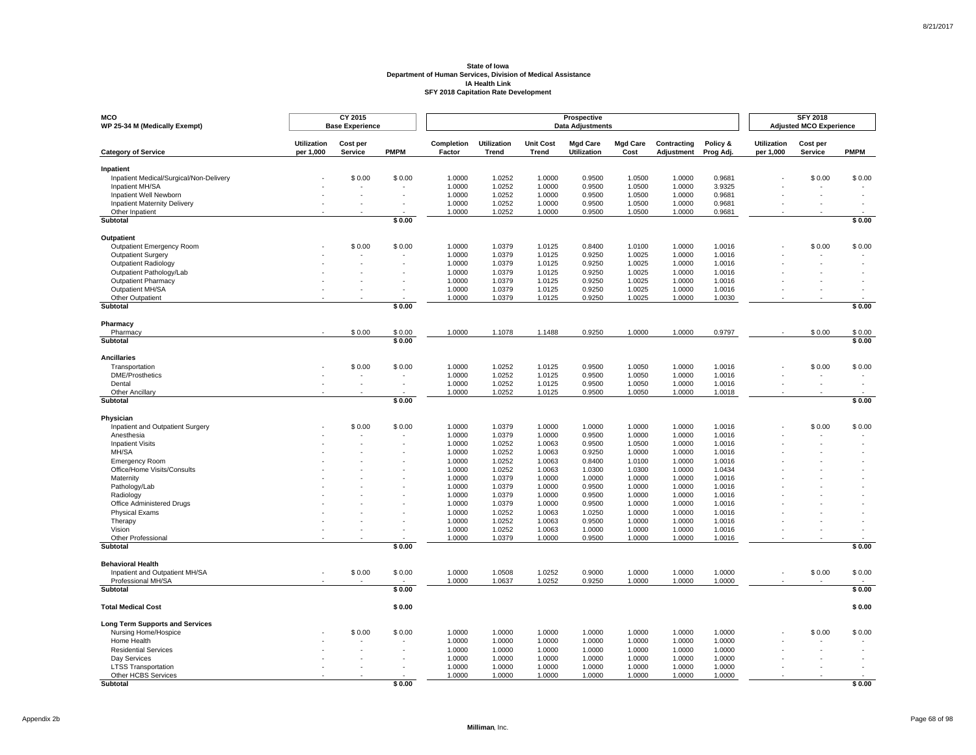| <b>MCO</b><br>WP 25-34 M (Medically Exempt)          |                                 | CY 2015<br><b>Base Experience</b> |             |                      |                      |                           | Prospective<br><b>Data Adjustments</b> |                         |                           |                       |                          | <b>SFY 2018</b><br><b>Adjusted MCO Experience</b> |                          |
|------------------------------------------------------|---------------------------------|-----------------------------------|-------------|----------------------|----------------------|---------------------------|----------------------------------------|-------------------------|---------------------------|-----------------------|--------------------------|---------------------------------------------------|--------------------------|
| <b>Category of Service</b>                           | <b>Utilization</b><br>per 1,000 | Cost per<br>Service               | <b>PMPM</b> | Completion<br>Factor | Utilization<br>Trend | <b>Unit Cost</b><br>Trend | <b>Mgd Care</b><br><b>Utilization</b>  | <b>Mgd Care</b><br>Cost | Contracting<br>Adjustment | Policy &<br>Prog Adj. | Utilization<br>per 1,000 | Cost per<br>Service                               | <b>PMPM</b>              |
| Inpatient                                            |                                 |                                   |             |                      |                      |                           |                                        |                         |                           |                       |                          |                                                   |                          |
| Inpatient Medical/Surgical/Non-Delivery              |                                 | \$0.00                            | \$0.00      | 1.0000               | 1.0252               | 1.0000                    | 0.9500                                 | 1.0500                  | 1.0000                    | 0.9681                |                          | \$0.00                                            | \$0.00                   |
| Inpatient MH/SA                                      |                                 |                                   |             | 1.0000               | 1.0252               | 1.0000                    | 0.9500                                 | 1.0500                  | 1.0000                    | 3.9325                |                          |                                                   |                          |
| Inpatient Well Newborn                               |                                 |                                   |             | 1.0000               | 1.0252               | 1.0000                    | 0.9500                                 | 1.0500                  | 1.0000                    | 0.9681                |                          |                                                   |                          |
| <b>Inpatient Maternity Delivery</b>                  |                                 |                                   |             | 1.0000               | 1.0252               | 1.0000                    | 0.9500                                 | 1.0500                  | 1.0000                    | 0.9681                |                          |                                                   |                          |
| Other Inpatient                                      |                                 |                                   |             | 1.0000               | 1.0252               | 1.0000                    | 0.9500                                 | 1.0500                  | 1.0000                    | 0.9681                |                          |                                                   |                          |
| <b>Subtotal</b>                                      |                                 |                                   | \$0.00      |                      |                      |                           |                                        |                         |                           |                       |                          |                                                   | \$0.00                   |
| Outpatient                                           |                                 |                                   |             |                      |                      |                           |                                        |                         |                           |                       |                          |                                                   |                          |
| <b>Outpatient Emergency Room</b>                     |                                 | \$0.00                            | \$0.00      | 1.0000               | 1.0379               | 1.0125                    | 0.8400                                 | 1.0100                  | 1.0000                    | 1.0016                |                          | \$0.00                                            | \$0.00                   |
| <b>Outpatient Surgery</b>                            |                                 |                                   |             | 1.0000               | 1.0379               | 1.0125                    | 0.9250                                 | 1.0025                  | 1.0000                    | 1.0016                |                          |                                                   |                          |
| Outpatient Radiology                                 |                                 |                                   |             | 1.0000               | 1.0379               | 1.0125                    | 0.9250                                 | 1.0025                  | 1.0000                    | 1.0016                |                          |                                                   |                          |
| Outpatient Pathology/Lab                             |                                 |                                   |             | 1.0000               | 1.0379               | 1.0125                    | 0.9250                                 | 1.0025                  | 1.0000                    | 1.0016                |                          |                                                   |                          |
| Outpatient Pharmacy                                  |                                 |                                   |             | 1.0000               | 1.0379               | 1.0125                    | 0.9250                                 | 1.0025                  | 1.0000                    | 1.0016                |                          |                                                   |                          |
| Outpatient MH/SA                                     |                                 |                                   |             | 1.0000               | 1.0379               | 1.0125                    | 0.9250                                 | 1.0025                  | 1.0000                    | 1.0016                |                          |                                                   |                          |
| Other Outpatient<br><b>Subtotal</b>                  |                                 |                                   | \$0.00      | 1.0000               | 1.0379               | 1.0125                    | 0.9250                                 | 1.0025                  | 1.0000                    | 1.0030                |                          |                                                   | \$0.00                   |
|                                                      |                                 |                                   |             |                      |                      |                           |                                        |                         |                           |                       |                          |                                                   |                          |
| Pharmacy<br>Pharmacy                                 |                                 | \$0.00                            | \$0.00      | 1.0000               | 1.1078               | 1.1488                    | 0.9250                                 | 1.0000                  | 1.0000                    | 0.9797                |                          | \$0.00                                            | \$0.00                   |
| Subtotal                                             |                                 |                                   | \$0.00      |                      |                      |                           |                                        |                         |                           |                       |                          |                                                   | \$0.00                   |
|                                                      |                                 |                                   |             |                      |                      |                           |                                        |                         |                           |                       |                          |                                                   |                          |
| <b>Ancillaries</b>                                   |                                 |                                   |             |                      |                      |                           |                                        |                         |                           |                       |                          |                                                   |                          |
| Transportation                                       |                                 | \$0.00                            | \$0.00      | 1.0000               | 1.0252               | 1.0125                    | 0.9500                                 | 1.0050                  | 1.0000                    | 1.0016                |                          | \$0.00                                            | \$0.00                   |
| <b>DME/Prosthetics</b>                               |                                 |                                   | $\sim$      | 1.0000               | 1.0252               | 1.0125                    | 0.9500                                 | 1.0050                  | 1.0000                    | 1.0016                |                          |                                                   | $\overline{\phantom{a}}$ |
| Dental                                               |                                 |                                   | $\sim$      | 1.0000               | 1.0252<br>1.0252     | 1.0125                    | 0.9500                                 | 1.0050                  | 1.0000                    | 1.0016                |                          |                                                   |                          |
| Other Ancillary<br>Subtotal                          |                                 |                                   | \$0.00      | 1.0000               |                      | 1.0125                    | 0.9500                                 | 1.0050                  | 1.0000                    | 1.0018                |                          |                                                   | \$0.00                   |
|                                                      |                                 |                                   |             |                      |                      |                           |                                        |                         |                           |                       |                          |                                                   |                          |
| Physician<br>Inpatient and Outpatient Surgery        |                                 | \$0.00                            | \$0.00      | 1.0000               | 1.0379               | 1.0000                    | 1.0000                                 | 1.0000                  | 1.0000                    | 1.0016                |                          | \$0.00                                            | \$0.00                   |
| Anesthesia                                           |                                 |                                   |             | 1.0000               | 1.0379               | 1.0000                    | 0.9500                                 | 1.0000                  | 1.0000                    | 1.0016                |                          |                                                   |                          |
| <b>Inpatient Visits</b>                              |                                 |                                   |             | 1.0000               | 1.0252               | 1.0063                    | 0.9500                                 | 1.0500                  | 1.0000                    | 1.0016                |                          |                                                   |                          |
| MH/SA                                                |                                 |                                   |             | 1.0000               | 1.0252               | 1.0063                    | 0.9250                                 | 1.0000                  | 1.0000                    | 1.0016                |                          |                                                   |                          |
| <b>Emergency Room</b>                                |                                 |                                   |             | 1.0000               | 1.0252               | 1.0063                    | 0.8400                                 | 1.0100                  | 1.0000                    | 1.0016                |                          |                                                   |                          |
| Office/Home Visits/Consults                          |                                 |                                   |             | 1.0000               | 1.0252               | 1.0063                    | 1.0300                                 | 1.0300                  | 1.0000                    | 1.0434                |                          |                                                   |                          |
| Maternity                                            |                                 |                                   |             | 1.0000               | 1.0379               | 1.0000                    | 1.0000                                 | 1.0000                  | 1.0000                    | 1.0016                |                          |                                                   |                          |
| Pathology/Lab                                        |                                 |                                   |             | 1.0000               | 1.0379               | 1.0000                    | 0.9500                                 | 1.0000                  | 1.0000                    | 1.0016                |                          |                                                   |                          |
| Radiology                                            |                                 |                                   |             | 1.0000               | 1.0379               | 1.0000                    | 0.9500                                 | 1.0000                  | 1.0000                    | 1.0016                |                          |                                                   |                          |
| Office Administered Drugs                            |                                 |                                   |             | 1.0000               | 1.0379               | 1.0000                    | 0.9500                                 | 1.0000                  | 1.0000                    | 1.0016                |                          |                                                   |                          |
| <b>Physical Exams</b>                                |                                 |                                   |             | 1.0000               | 1.0252               | 1.0063                    | 1.0250                                 | 1.0000                  | 1.0000                    | 1.0016                |                          |                                                   |                          |
| Therapy                                              |                                 |                                   |             | 1.0000               | 1.0252               | 1.0063                    | 0.9500                                 | 1.0000                  | 1.0000                    | 1.0016                |                          |                                                   |                          |
| Vision                                               |                                 |                                   |             | 1.0000               | 1.0252               | 1.0063                    | 1.0000                                 | 1.0000                  | 1.0000                    | 1.0016                |                          |                                                   |                          |
| Other Professional<br><b>Subtotal</b>                |                                 |                                   | \$0.00      | 1.0000               | 1.0379               | 1.0000                    | 0.9500                                 | 1.0000                  | 1.0000                    | 1.0016                |                          |                                                   | \$0.00                   |
|                                                      |                                 |                                   |             |                      |                      |                           |                                        |                         |                           |                       |                          |                                                   |                          |
| <b>Behavioral Health</b>                             |                                 |                                   |             |                      |                      |                           |                                        |                         |                           |                       |                          |                                                   |                          |
| Inpatient and Outpatient MH/SA<br>Professional MH/SA |                                 | \$0.00                            | \$0.00      | 1.0000<br>1.0000     | 1.0508<br>1.0637     | 1.0252                    | 0.9000<br>0.9250                       | 1.0000<br>1.0000        | 1.0000<br>1.0000          | 1.0000                |                          | \$0.00                                            | \$0.00                   |
| Subtotal                                             |                                 |                                   | \$0.00      |                      |                      | 1.0252                    |                                        |                         |                           | 1.0000                |                          |                                                   | \$0.00                   |
|                                                      |                                 |                                   |             |                      |                      |                           |                                        |                         |                           |                       |                          |                                                   |                          |
| <b>Total Medical Cost</b>                            |                                 |                                   | \$0.00      |                      |                      |                           |                                        |                         |                           |                       |                          |                                                   | \$0.00                   |
| <b>Long Term Supports and Services</b>               |                                 |                                   |             |                      |                      |                           |                                        |                         |                           |                       |                          |                                                   |                          |
| Nursing Home/Hospice                                 |                                 | \$0.00                            | \$0.00      | 1.0000               | 1.0000               | 1.0000                    | 1.0000                                 | 1.0000                  | 1.0000                    | 1.0000                |                          | \$0.00                                            | \$0.00                   |
| Home Health                                          |                                 |                                   |             | 1.0000               | 1.0000               | 1.0000                    | 1.0000                                 | 1.0000                  | 1.0000                    | 1.0000                |                          |                                                   |                          |
| <b>Residential Services</b>                          |                                 |                                   |             | 1.0000               | 1.0000               | 1.0000                    | 1.0000                                 | 1.0000                  | 1.0000                    | 1.0000                |                          |                                                   |                          |
| Day Services                                         |                                 |                                   | $\sim$      | 1.0000               | 1.0000               | 1.0000                    | 1.0000                                 | 1.0000                  | 1.0000                    | 1.0000                |                          |                                                   |                          |
| <b>LTSS Transportation</b>                           |                                 |                                   |             | 1.0000               | 1.0000               | 1.0000                    | 1.0000                                 | 1.0000                  | 1.0000                    | 1.0000                |                          |                                                   |                          |
| Other HCBS Services                                  |                                 |                                   |             | 1.0000               | 1.0000               | 1.0000                    | 1.0000                                 | 1.0000                  | 1.0000                    | 1.0000                |                          |                                                   |                          |
| <b>Subtotal</b>                                      |                                 |                                   | \$0.00      |                      |                      |                           |                                        |                         |                           |                       |                          |                                                   | \$0.00                   |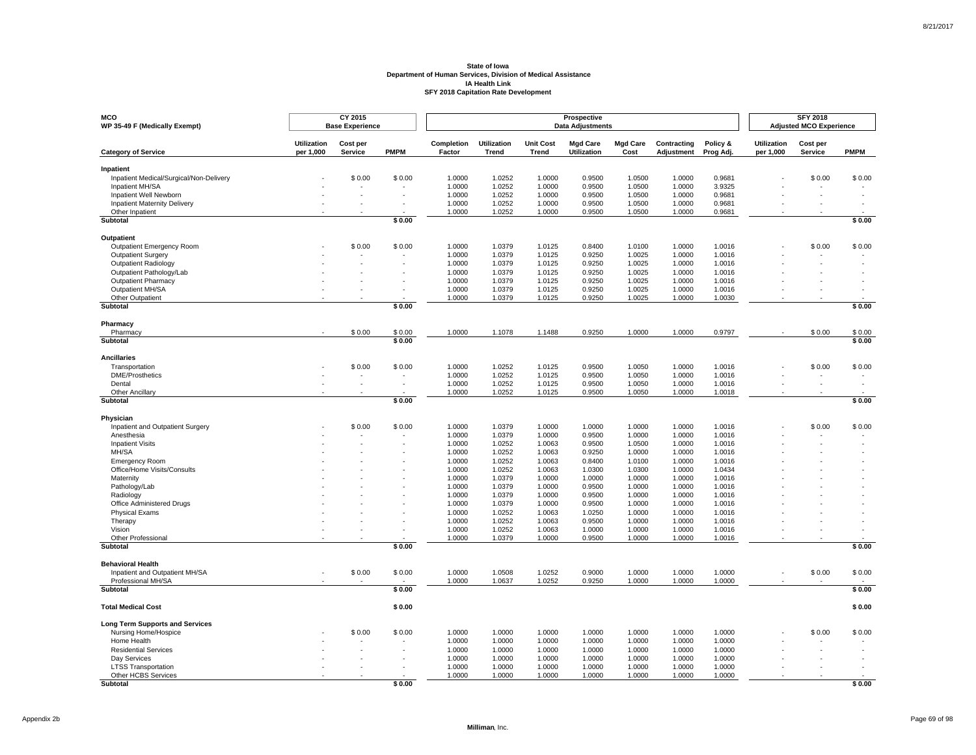| <b>MCO</b><br>WP 35-49 F (Medically Exempt)   |                                 | CY 2015<br><b>Base Experience</b> |             |                      |                      |                           | Prospective<br><b>Data Adjustments</b> |                         |                           |                       |                          | <b>SFY 2018</b><br><b>Adjusted MCO Experience</b> |                          |
|-----------------------------------------------|---------------------------------|-----------------------------------|-------------|----------------------|----------------------|---------------------------|----------------------------------------|-------------------------|---------------------------|-----------------------|--------------------------|---------------------------------------------------|--------------------------|
| <b>Category of Service</b>                    | <b>Utilization</b><br>per 1,000 | Cost per<br>Service               | <b>PMPM</b> | Completion<br>Factor | Utilization<br>Trend | <b>Unit Cost</b><br>Trend | <b>Mgd Care</b><br><b>Utilization</b>  | <b>Mgd Care</b><br>Cost | Contracting<br>Adjustment | Policy &<br>Prog Adj. | Utilization<br>per 1,000 | Cost per<br>Service                               | <b>PMPM</b>              |
| Inpatient                                     |                                 |                                   |             |                      |                      |                           |                                        |                         |                           |                       |                          |                                                   |                          |
| Inpatient Medical/Surgical/Non-Delivery       |                                 | \$0.00                            | \$0.00      | 1.0000               | 1.0252               | 1.0000                    | 0.9500                                 | 1.0500                  | 1.0000                    | 0.9681                |                          | \$0.00                                            | \$0.00                   |
| Inpatient MH/SA                               |                                 |                                   |             | 1.0000               | 1.0252               | 1.0000                    | 0.9500                                 | 1.0500                  | 1.0000                    | 3.9325                |                          |                                                   |                          |
| Inpatient Well Newborn                        |                                 |                                   |             | 1.0000               | 1.0252               | 1.0000                    | 0.9500                                 | 1.0500                  | 1.0000                    | 0.9681                |                          |                                                   |                          |
| <b>Inpatient Maternity Delivery</b>           |                                 |                                   |             | 1.0000               | 1.0252               | 1.0000                    | 0.9500                                 | 1.0500                  | 1.0000                    | 0.9681                |                          |                                                   |                          |
| Other Inpatient                               |                                 |                                   |             | 1.0000               | 1.0252               | 1.0000                    | 0.9500                                 | 1.0500                  | 1.0000                    | 0.9681                |                          |                                                   |                          |
| <b>Subtotal</b>                               |                                 |                                   | \$0.00      |                      |                      |                           |                                        |                         |                           |                       |                          |                                                   | \$0.00                   |
| Outpatient                                    |                                 |                                   |             |                      |                      |                           |                                        |                         |                           |                       |                          |                                                   |                          |
| <b>Outpatient Emergency Room</b>              |                                 | \$0.00                            | \$0.00      | 1.0000               | 1.0379               | 1.0125                    | 0.8400                                 | 1.0100                  | 1.0000                    | 1.0016                |                          | \$0.00                                            | \$0.00                   |
| <b>Outpatient Surgery</b>                     |                                 |                                   |             | 1.0000               | 1.0379               | 1.0125                    | 0.9250                                 | 1.0025                  | 1.0000                    | 1.0016                |                          |                                                   |                          |
| Outpatient Radiology                          |                                 |                                   |             | 1.0000               | 1.0379               | 1.0125                    | 0.9250                                 | 1.0025                  | 1.0000                    | 1.0016                |                          |                                                   |                          |
| Outpatient Pathology/Lab                      |                                 |                                   |             | 1.0000               | 1.0379               | 1.0125                    | 0.9250                                 | 1.0025                  | 1.0000                    | 1.0016                |                          |                                                   |                          |
| Outpatient Pharmacy                           |                                 |                                   |             | 1.0000               | 1.0379               | 1.0125                    | 0.9250                                 | 1.0025                  | 1.0000                    | 1.0016                |                          |                                                   |                          |
| Outpatient MH/SA                              |                                 |                                   |             | 1.0000               | 1.0379               | 1.0125                    | 0.9250                                 | 1.0025                  | 1.0000                    | 1.0016                |                          |                                                   |                          |
| Other Outpatient<br><b>Subtotal</b>           |                                 |                                   | \$0.00      | 1.0000               | 1.0379               | 1.0125                    | 0.9250                                 | 1.0025                  | 1.0000                    | 1.0030                |                          |                                                   | \$0.00                   |
|                                               |                                 |                                   |             |                      |                      |                           |                                        |                         |                           |                       |                          |                                                   |                          |
| Pharmacy<br>Pharmacy                          |                                 | \$0.00                            | \$0.00      | 1.0000               | 1.1078               | 1.1488                    | 0.9250                                 | 1.0000                  | 1.0000                    | 0.9797                |                          | \$0.00                                            | \$0.00                   |
| Subtotal                                      |                                 |                                   | \$0.00      |                      |                      |                           |                                        |                         |                           |                       |                          |                                                   | \$0.00                   |
|                                               |                                 |                                   |             |                      |                      |                           |                                        |                         |                           |                       |                          |                                                   |                          |
| <b>Ancillaries</b>                            |                                 |                                   |             |                      |                      |                           |                                        |                         |                           |                       |                          |                                                   |                          |
| Transportation                                |                                 | \$0.00                            | \$0.00      | 1.0000               | 1.0252               | 1.0125                    | 0.9500                                 | 1.0050                  | 1.0000                    | 1.0016                |                          | \$0.00                                            | \$0.00                   |
| <b>DME/Prosthetics</b>                        |                                 |                                   | $\sim$      | 1.0000               | 1.0252               | 1.0125                    | 0.9500                                 | 1.0050                  | 1.0000                    | 1.0016                |                          |                                                   | $\overline{\phantom{a}}$ |
| Dental                                        |                                 |                                   | $\sim$      | 1.0000               | 1.0252<br>1.0252     | 1.0125                    | 0.9500                                 | 1.0050                  | 1.0000                    | 1.0016                |                          |                                                   |                          |
| Other Ancillary<br>Subtotal                   |                                 |                                   | \$0.00      | 1.0000               |                      | 1.0125                    | 0.9500                                 | 1.0050                  | 1.0000                    | 1.0018                |                          |                                                   | \$0.00                   |
|                                               |                                 |                                   |             |                      |                      |                           |                                        |                         |                           |                       |                          |                                                   |                          |
| Physician<br>Inpatient and Outpatient Surgery |                                 | \$0.00                            | \$0.00      | 1.0000               | 1.0379               | 1.0000                    | 1.0000                                 | 1.0000                  | 1.0000                    | 1.0016                |                          | \$0.00                                            | \$0.00                   |
| Anesthesia                                    |                                 |                                   |             | 1.0000               | 1.0379               | 1.0000                    | 0.9500                                 | 1.0000                  | 1.0000                    | 1.0016                |                          |                                                   |                          |
| <b>Inpatient Visits</b>                       |                                 |                                   |             | 1.0000               | 1.0252               | 1.0063                    | 0.9500                                 | 1.0500                  | 1.0000                    | 1.0016                |                          |                                                   |                          |
| MH/SA                                         |                                 |                                   |             | 1.0000               | 1.0252               | 1.0063                    | 0.9250                                 | 1.0000                  | 1.0000                    | 1.0016                |                          |                                                   |                          |
| <b>Emergency Room</b>                         |                                 |                                   |             | 1.0000               | 1.0252               | 1.0063                    | 0.8400                                 | 1.0100                  | 1.0000                    | 1.0016                |                          |                                                   |                          |
| Office/Home Visits/Consults                   |                                 |                                   |             | 1.0000               | 1.0252               | 1.0063                    | 1.0300                                 | 1.0300                  | 1.0000                    | 1.0434                |                          |                                                   |                          |
| Maternity                                     |                                 |                                   |             | 1.0000               | 1.0379               | 1.0000                    | 1.0000                                 | 1.0000                  | 1.0000                    | 1.0016                |                          |                                                   |                          |
| Pathology/Lab                                 |                                 |                                   |             | 1.0000               | 1.0379               | 1.0000                    | 0.9500                                 | 1.0000                  | 1.0000                    | 1.0016                |                          |                                                   |                          |
| Radiology                                     |                                 |                                   |             | 1.0000               | 1.0379               | 1.0000                    | 0.9500                                 | 1.0000                  | 1.0000                    | 1.0016                |                          |                                                   |                          |
| Office Administered Drugs                     |                                 |                                   |             | 1.0000               | 1.0379               | 1.0000                    | 0.9500                                 | 1.0000                  | 1.0000                    | 1.0016                |                          |                                                   |                          |
| <b>Physical Exams</b>                         |                                 |                                   |             | 1.0000               | 1.0252               | 1.0063                    | 1.0250                                 | 1.0000                  | 1.0000                    | 1.0016                |                          |                                                   |                          |
| Therapy                                       |                                 |                                   |             | 1.0000               | 1.0252               | 1.0063                    | 0.9500                                 | 1.0000                  | 1.0000                    | 1.0016                |                          |                                                   |                          |
| Vision                                        |                                 |                                   |             | 1.0000               | 1.0252               | 1.0063                    | 1.0000                                 | 1.0000                  | 1.0000                    | 1.0016                |                          |                                                   |                          |
| Other Professional<br><b>Subtotal</b>         |                                 |                                   | \$0.00      | 1.0000               | 1.0379               | 1.0000                    | 0.9500                                 | 1.0000                  | 1.0000                    | 1.0016                |                          |                                                   | \$0.00                   |
|                                               |                                 |                                   |             |                      |                      |                           |                                        |                         |                           |                       |                          |                                                   |                          |
| <b>Behavioral Health</b>                      |                                 |                                   |             |                      |                      |                           |                                        |                         |                           |                       |                          |                                                   |                          |
| Inpatient and Outpatient MH/SA                |                                 | \$0.00                            | \$0.00      | 1.0000               | 1.0508               | 1.0252                    | 0.9000                                 | 1.0000                  | 1.0000                    | 1.0000                |                          | \$0.00                                            | \$0.00                   |
| Professional MH/SA<br>Subtotal                |                                 |                                   | \$0.00      | 1.0000               | 1.0637               | 1.0252                    | 0.9250                                 | 1.0000                  | 1.0000                    | 1.0000                |                          |                                                   | \$0.00                   |
|                                               |                                 |                                   |             |                      |                      |                           |                                        |                         |                           |                       |                          |                                                   |                          |
| <b>Total Medical Cost</b>                     |                                 |                                   | \$0.00      |                      |                      |                           |                                        |                         |                           |                       |                          |                                                   | \$0.00                   |
| <b>Long Term Supports and Services</b>        |                                 |                                   |             |                      |                      |                           |                                        |                         |                           |                       |                          |                                                   |                          |
| Nursing Home/Hospice                          |                                 | \$0.00                            | \$0.00      | 1.0000               | 1.0000               | 1.0000                    | 1.0000                                 | 1.0000                  | 1.0000                    | 1.0000                |                          | \$0.00                                            | \$0.00                   |
| Home Health                                   |                                 |                                   |             | 1.0000               | 1.0000               | 1.0000                    | 1.0000                                 | 1.0000                  | 1.0000                    | 1.0000                |                          |                                                   |                          |
| <b>Residential Services</b>                   |                                 |                                   |             | 1.0000               | 1.0000               | 1.0000                    | 1.0000                                 | 1.0000                  | 1.0000                    | 1.0000                |                          |                                                   |                          |
| Day Services                                  |                                 |                                   | $\sim$      | 1.0000               | 1.0000               | 1.0000                    | 1.0000                                 | 1.0000                  | 1.0000                    | 1.0000                |                          |                                                   |                          |
| <b>LTSS Transportation</b>                    |                                 |                                   |             | 1.0000               | 1.0000               | 1.0000                    | 1.0000                                 | 1.0000                  | 1.0000                    | 1.0000                |                          |                                                   |                          |
| Other HCBS Services                           |                                 |                                   |             | 1.0000               | 1.0000               | 1.0000                    | 1.0000                                 | 1.0000                  | 1.0000                    | 1.0000                |                          |                                                   |                          |
| <b>Subtotal</b>                               |                                 |                                   | \$0.00      |                      |                      |                           |                                        |                         |                           |                       |                          |                                                   | \$0.00                   |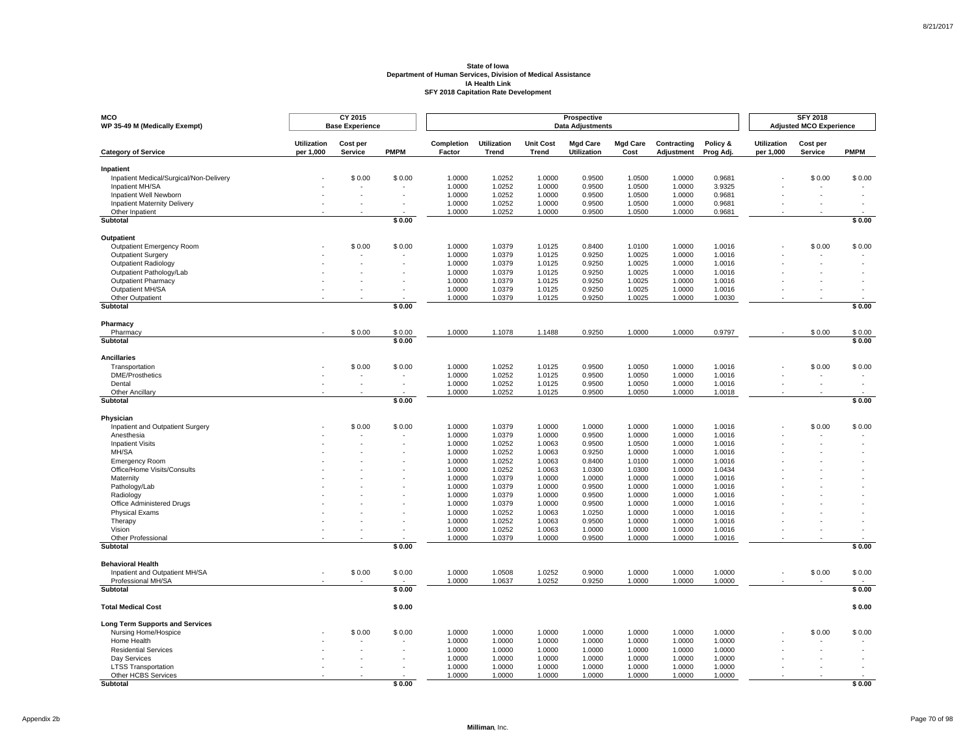| <b>MCO</b><br>WP 35-49 M (Medically Exempt)   |                                 | CY 2015<br><b>Base Experience</b> |             |                      |                             |                           | Prospective<br><b>Data Adjustments</b> |                         |                           |                       |                          | <b>SFY 2018</b><br><b>Adjusted MCO Experience</b> |                          |
|-----------------------------------------------|---------------------------------|-----------------------------------|-------------|----------------------|-----------------------------|---------------------------|----------------------------------------|-------------------------|---------------------------|-----------------------|--------------------------|---------------------------------------------------|--------------------------|
| <b>Category of Service</b>                    | <b>Utilization</b><br>per 1,000 | Cost per<br>Service               | <b>PMPM</b> | Completion<br>Factor | Utilization<br><b>Trend</b> | <b>Unit Cost</b><br>Trend | <b>Mgd Care</b><br><b>Utilization</b>  | <b>Mgd Care</b><br>Cost | Contracting<br>Adjustment | Policy &<br>Prog Adj. | Utilization<br>per 1,000 | Cost per<br>Service                               | <b>PMPM</b>              |
| Inpatient                                     |                                 |                                   |             |                      |                             |                           |                                        |                         |                           |                       |                          |                                                   |                          |
| Inpatient Medical/Surgical/Non-Delivery       |                                 | \$0.00                            | \$0.00      | 1.0000               | 1.0252                      | 1.0000                    | 0.9500                                 | 1.0500                  | 1.0000                    | 0.9681                |                          | \$0.00                                            | \$0.00                   |
| Inpatient MH/SA                               |                                 |                                   |             | 1.0000               | 1.0252                      | 1.0000                    | 0.9500                                 | 1.0500                  | 1.0000                    | 3.9325                |                          |                                                   |                          |
| Inpatient Well Newborn                        |                                 |                                   |             | 1.0000               | 1.0252                      | 1.0000                    | 0.9500                                 | 1.0500                  | 1.0000                    | 0.9681                |                          |                                                   |                          |
| <b>Inpatient Maternity Delivery</b>           |                                 |                                   |             | 1.0000               | 1.0252                      | 1.0000                    | 0.9500                                 | 1.0500                  | 1.0000                    | 0.9681                |                          |                                                   |                          |
| Other Inpatient                               |                                 |                                   |             | 1.0000               | 1.0252                      | 1.0000                    | 0.9500                                 | 1.0500                  | 1.0000                    | 0.9681                |                          |                                                   |                          |
| <b>Subtotal</b>                               |                                 |                                   | \$0.00      |                      |                             |                           |                                        |                         |                           |                       |                          |                                                   | \$0.00                   |
| Outpatient                                    |                                 |                                   |             |                      |                             |                           |                                        |                         |                           |                       |                          |                                                   |                          |
| <b>Outpatient Emergency Room</b>              |                                 | \$0.00                            | \$0.00      | 1.0000               | 1.0379                      | 1.0125                    | 0.8400                                 | 1.0100                  | 1.0000                    | 1.0016                |                          | \$0.00                                            | \$0.00                   |
| <b>Outpatient Surgery</b>                     |                                 |                                   |             | 1.0000               | 1.0379                      | 1.0125                    | 0.9250                                 | 1.0025                  | 1.0000                    | 1.0016                |                          |                                                   |                          |
| Outpatient Radiology                          |                                 |                                   |             | 1.0000               | 1.0379                      | 1.0125                    | 0.9250                                 | 1.0025                  | 1.0000                    | 1.0016                |                          |                                                   |                          |
| Outpatient Pathology/Lab                      |                                 |                                   |             | 1.0000               | 1.0379                      | 1.0125                    | 0.9250                                 | 1.0025                  | 1.0000                    | 1.0016                |                          |                                                   |                          |
| Outpatient Pharmacy                           |                                 |                                   |             | 1.0000               | 1.0379                      | 1.0125                    | 0.9250                                 | 1.0025                  | 1.0000                    | 1.0016                |                          |                                                   |                          |
| Outpatient MH/SA                              |                                 |                                   |             | 1.0000               | 1.0379                      | 1.0125                    | 0.9250                                 | 1.0025                  | 1.0000                    | 1.0016                |                          |                                                   |                          |
| Other Outpatient<br><b>Subtotal</b>           |                                 |                                   | \$0.00      | 1.0000               | 1.0379                      | 1.0125                    | 0.9250                                 | 1.0025                  | 1.0000                    | 1.0030                |                          |                                                   | \$0.00                   |
|                                               |                                 |                                   |             |                      |                             |                           |                                        |                         |                           |                       |                          |                                                   |                          |
| Pharmacy<br>Pharmacy                          |                                 | \$0.00                            | \$0.00      | 1.0000               | 1.1078                      | 1.1488                    | 0.9250                                 | 1.0000                  | 1.0000                    | 0.9797                |                          | \$0.00                                            | \$0.00                   |
| Subtotal                                      |                                 |                                   | \$0.00      |                      |                             |                           |                                        |                         |                           |                       |                          |                                                   | \$0.00                   |
|                                               |                                 |                                   |             |                      |                             |                           |                                        |                         |                           |                       |                          |                                                   |                          |
| <b>Ancillaries</b>                            |                                 |                                   |             |                      |                             |                           |                                        |                         |                           |                       |                          |                                                   |                          |
| Transportation                                |                                 | \$0.00                            | \$0.00      | 1.0000               | 1.0252                      | 1.0125                    | 0.9500                                 | 1.0050                  | 1.0000                    | 1.0016                |                          | \$0.00                                            | \$0.00                   |
| <b>DME/Prosthetics</b>                        |                                 |                                   | $\sim$      | 1.0000               | 1.0252                      | 1.0125                    | 0.9500                                 | 1.0050                  | 1.0000                    | 1.0016                |                          |                                                   | $\overline{\phantom{a}}$ |
| Dental<br>Other Ancillary                     |                                 |                                   | $\sim$      | 1.0000<br>1.0000     | 1.0252<br>1.0252            | 1.0125<br>1.0125          | 0.9500<br>0.9500                       | 1.0050<br>1.0050        | 1.0000<br>1.0000          | 1.0016<br>1.0018      |                          |                                                   |                          |
| Subtotal                                      |                                 |                                   | \$0.00      |                      |                             |                           |                                        |                         |                           |                       |                          |                                                   | \$0.00                   |
|                                               |                                 |                                   |             |                      |                             |                           |                                        |                         |                           |                       |                          |                                                   |                          |
| Physician<br>Inpatient and Outpatient Surgery |                                 | \$0.00                            | \$0.00      | 1.0000               | 1.0379                      | 1.0000                    | 1.0000                                 | 1.0000                  | 1.0000                    | 1.0016                |                          | \$0.00                                            | \$0.00                   |
| Anesthesia                                    |                                 |                                   |             | 1.0000               | 1.0379                      | 1.0000                    | 0.9500                                 | 1.0000                  | 1.0000                    | 1.0016                |                          |                                                   |                          |
| <b>Inpatient Visits</b>                       |                                 |                                   |             | 1.0000               | 1.0252                      | 1.0063                    | 0.9500                                 | 1.0500                  | 1.0000                    | 1.0016                |                          |                                                   |                          |
| MH/SA                                         |                                 |                                   |             | 1.0000               | 1.0252                      | 1.0063                    | 0.9250                                 | 1.0000                  | 1.0000                    | 1.0016                |                          |                                                   |                          |
| <b>Emergency Room</b>                         |                                 |                                   |             | 1.0000               | 1.0252                      | 1.0063                    | 0.8400                                 | 1.0100                  | 1.0000                    | 1.0016                |                          |                                                   |                          |
| Office/Home Visits/Consults                   |                                 |                                   |             | 1.0000               | 1.0252                      | 1.0063                    | 1.0300                                 | 1.0300                  | 1.0000                    | 1.0434                |                          |                                                   |                          |
| Maternity                                     |                                 |                                   |             | 1.0000               | 1.0379                      | 1.0000                    | 1.0000                                 | 1.0000                  | 1.0000                    | 1.0016                |                          |                                                   |                          |
| Pathology/Lab                                 |                                 |                                   |             | 1.0000               | 1.0379                      | 1.0000                    | 0.9500                                 | 1.0000                  | 1.0000                    | 1.0016                |                          |                                                   |                          |
| Radiology                                     |                                 |                                   |             | 1.0000               | 1.0379                      | 1.0000                    | 0.9500                                 | 1.0000                  | 1.0000                    | 1.0016                |                          |                                                   |                          |
| Office Administered Drugs                     |                                 |                                   |             | 1.0000               | 1.0379                      | 1.0000                    | 0.9500                                 | 1.0000                  | 1.0000                    | 1.0016                |                          |                                                   |                          |
| <b>Physical Exams</b>                         |                                 |                                   |             | 1.0000               | 1.0252                      | 1.0063                    | 1.0250                                 | 1.0000                  | 1.0000                    | 1.0016                |                          |                                                   |                          |
| Therapy                                       |                                 |                                   |             | 1.0000               | 1.0252                      | 1.0063                    | 0.9500                                 | 1.0000                  | 1.0000                    | 1.0016                |                          |                                                   |                          |
| Vision                                        |                                 |                                   |             | 1.0000               | 1.0252                      | 1.0063                    | 1.0000                                 | 1.0000                  | 1.0000                    | 1.0016                |                          |                                                   |                          |
| Other Professional<br><b>Subtotal</b>         |                                 |                                   | \$0.00      | 1.0000               | 1.0379                      | 1.0000                    | 0.9500                                 | 1.0000                  | 1.0000                    | 1.0016                |                          |                                                   | \$0.00                   |
|                                               |                                 |                                   |             |                      |                             |                           |                                        |                         |                           |                       |                          |                                                   |                          |
| <b>Behavioral Health</b>                      |                                 |                                   |             |                      |                             |                           |                                        |                         |                           |                       |                          |                                                   |                          |
| Inpatient and Outpatient MH/SA                |                                 | \$0.00                            | \$0.00      | 1.0000               | 1.0508                      | 1.0252                    | 0.9000                                 | 1.0000                  | 1.0000                    | 1.0000                |                          | \$0.00                                            | \$0.00                   |
| Professional MH/SA<br>Subtotal                |                                 |                                   | \$0.00      | 1.0000               | 1.0637                      | 1.0252                    | 0.9250                                 | 1.0000                  | 1.0000                    | 1.0000                |                          |                                                   | \$0.00                   |
|                                               |                                 |                                   |             |                      |                             |                           |                                        |                         |                           |                       |                          |                                                   |                          |
| <b>Total Medical Cost</b>                     |                                 |                                   | \$0.00      |                      |                             |                           |                                        |                         |                           |                       |                          |                                                   | \$0.00                   |
| <b>Long Term Supports and Services</b>        |                                 |                                   |             |                      |                             |                           |                                        |                         |                           |                       |                          |                                                   |                          |
| Nursing Home/Hospice                          |                                 | \$0.00                            | \$0.00      | 1.0000               | 1.0000                      | 1.0000                    | 1.0000                                 | 1.0000                  | 1.0000                    | 1.0000                |                          | \$0.00                                            | \$0.00                   |
| Home Health                                   |                                 |                                   |             | 1.0000               | 1.0000                      | 1.0000                    | 1.0000                                 | 1.0000                  | 1.0000                    | 1.0000                |                          |                                                   |                          |
| <b>Residential Services</b>                   |                                 |                                   |             | 1.0000               | 1.0000                      | 1.0000                    | 1.0000                                 | 1.0000                  | 1.0000                    | 1.0000                |                          |                                                   |                          |
| Day Services                                  |                                 |                                   | $\sim$      | 1.0000               | 1.0000                      | 1.0000                    | 1.0000                                 | 1.0000                  | 1.0000                    | 1.0000                |                          |                                                   |                          |
| <b>LTSS Transportation</b>                    |                                 |                                   |             | 1.0000               | 1.0000                      | 1.0000                    | 1.0000                                 | 1.0000                  | 1.0000                    | 1.0000                |                          |                                                   |                          |
| Other HCBS Services                           |                                 |                                   |             | 1.0000               | 1.0000                      | 1.0000                    | 1.0000                                 | 1.0000                  | 1.0000                    | 1.0000                |                          |                                                   |                          |
| <b>Subtotal</b>                               |                                 |                                   | \$0.00      |                      |                             |                           |                                        |                         |                           |                       |                          |                                                   | \$0.00                   |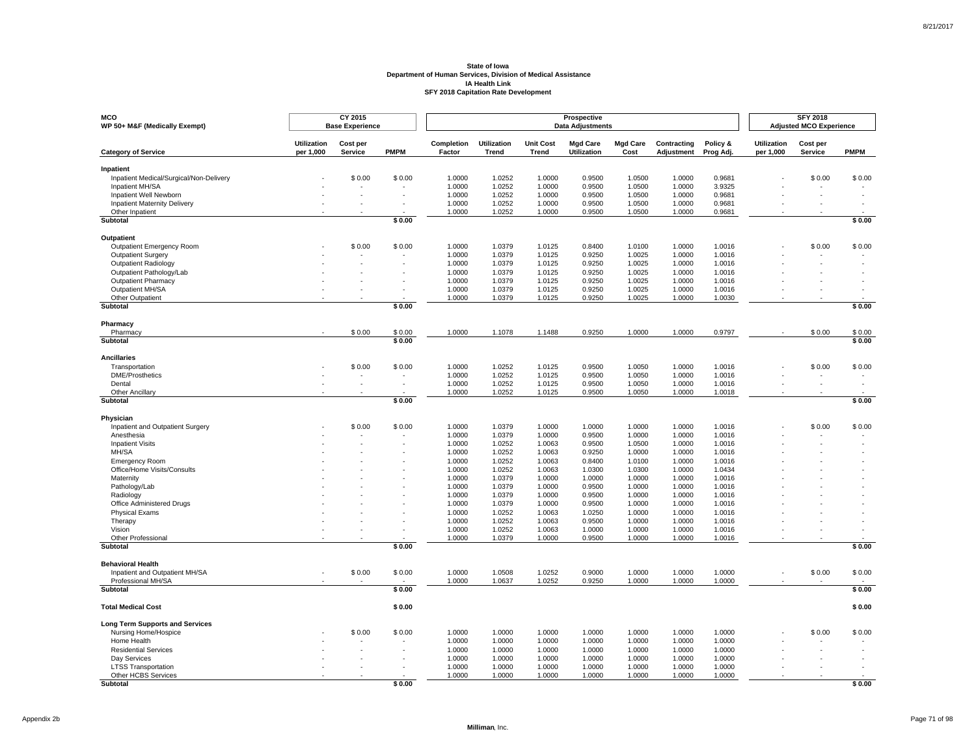| <b>MCO</b><br>WP 50+ M&F (Medically Exempt)          |                                 | CY 2015<br><b>Base Experience</b> |             |                      |                                    |                           | Prospective<br><b>Data Adjustments</b> |                         |                           |                       |                                 | <b>SFY 2018</b><br><b>Adjusted MCO Experience</b> |                          |
|------------------------------------------------------|---------------------------------|-----------------------------------|-------------|----------------------|------------------------------------|---------------------------|----------------------------------------|-------------------------|---------------------------|-----------------------|---------------------------------|---------------------------------------------------|--------------------------|
| <b>Category of Service</b>                           | <b>Utilization</b><br>per 1,000 | Cost per<br>Service               | <b>PMPM</b> | Completion<br>Factor | <b>Utilization</b><br><b>Trend</b> | <b>Unit Cost</b><br>Trend | <b>Mgd Care</b><br><b>Utilization</b>  | <b>Mgd Care</b><br>Cost | Contracting<br>Adjustment | Policy &<br>Prog Adj. | <b>Utilization</b><br>per 1,000 | Cost per<br>Service                               | <b>PMPM</b>              |
| Inpatient                                            |                                 |                                   |             |                      |                                    |                           |                                        |                         |                           |                       |                                 |                                                   |                          |
| Inpatient Medical/Surgical/Non-Delivery              |                                 | \$0.00                            | \$0.00      | 1.0000               | 1.0252                             | 1.0000                    | 0.9500                                 | 1.0500                  | 1.0000                    | 0.9681                |                                 | \$0.00                                            | \$0.00                   |
| Inpatient MH/SA                                      |                                 |                                   |             | 1.0000               | 1.0252                             | 1.0000                    | 0.9500                                 | 1.0500                  | 1.0000                    | 3.9325                |                                 |                                                   |                          |
| Inpatient Well Newborn                               |                                 |                                   | $\sim$      | 1.0000               | 1.0252                             | 1.0000                    | 0.9500                                 | 1.0500                  | 1.0000                    | 0.9681                |                                 |                                                   |                          |
| <b>Inpatient Maternity Delivery</b>                  |                                 |                                   |             | 1.0000               | 1.0252                             | 1.0000                    | 0.9500                                 | 1.0500                  | 1.0000                    | 0.9681                |                                 |                                                   |                          |
| Other Inpatient                                      |                                 |                                   |             | 1.0000               | 1.0252                             | 1.0000                    | 0.9500                                 | 1.0500                  | 1.0000                    | 0.9681                |                                 |                                                   |                          |
| Subtotal                                             |                                 |                                   | \$0.00      |                      |                                    |                           |                                        |                         |                           |                       |                                 |                                                   | \$0.00                   |
| Outpatient                                           |                                 |                                   |             |                      |                                    |                           |                                        |                         |                           |                       |                                 |                                                   |                          |
| Outpatient Emergency Room                            |                                 | \$0.00                            | \$0.00      | 1.0000               | 1.0379                             | 1.0125                    | 0.8400                                 | 1.0100                  | 1.0000                    | 1.0016                |                                 | \$0.00                                            | \$0.00                   |
| Outpatient Surgery                                   |                                 |                                   |             | 1.0000               | 1.0379                             | 1.0125                    | 0.9250                                 | 1.0025                  | 1.0000                    | 1.0016                |                                 |                                                   |                          |
| Outpatient Radiology                                 |                                 |                                   |             | 1.0000               | 1.0379                             | 1.0125                    | 0.9250                                 | 1.0025                  | 1.0000                    | 1.0016                |                                 |                                                   |                          |
| Outpatient Pathology/Lab                             |                                 |                                   |             | 1.0000               | 1.0379                             | 1.0125                    | 0.9250                                 | 1.0025                  | 1.0000                    | 1.0016                |                                 |                                                   |                          |
| <b>Outpatient Pharmacy</b>                           |                                 |                                   |             | 1.0000               | 1.0379                             | 1.0125                    | 0.9250                                 | 1.0025                  | 1.0000                    | 1.0016                |                                 |                                                   |                          |
| Outpatient MH/SA                                     |                                 |                                   |             | 1.0000               | 1.0379                             | 1.0125                    | 0.9250                                 | 1.0025                  | 1.0000                    | 1.0016                |                                 |                                                   |                          |
| Other Outpatient                                     |                                 |                                   |             | 1.0000               | 1.0379                             | 1.0125                    | 0.9250                                 | 1.0025                  | 1.0000                    | 1.0030                |                                 |                                                   |                          |
| Subtotal                                             |                                 |                                   | \$0.00      |                      |                                    |                           |                                        |                         |                           |                       |                                 |                                                   | \$0.00                   |
| Pharmacy                                             |                                 |                                   |             |                      |                                    |                           |                                        |                         |                           |                       |                                 |                                                   |                          |
| Pharmacy                                             |                                 | \$0.00                            | \$0.00      | 1.0000               | 1.1078                             | 1.1488                    | 0.9250                                 | 1.0000                  | 1.0000                    | 0.9797                |                                 | \$0.00                                            | \$0.00                   |
| <b>Subtotal</b>                                      |                                 |                                   | \$0.00      |                      |                                    |                           |                                        |                         |                           |                       |                                 |                                                   | \$0.00                   |
| <b>Ancillaries</b>                                   |                                 |                                   |             |                      |                                    |                           |                                        |                         |                           |                       |                                 |                                                   |                          |
| Transportation                                       |                                 | \$0.00                            | \$0.00      | 1.0000               | 1.0252                             | 1.0125                    | 0.9500                                 | 1.0050                  | 1.0000                    | 1.0016                |                                 | \$0.00                                            | \$0.00                   |
| DME/Prosthetics                                      |                                 |                                   | $\sim$      | 1.0000               | 1.0252                             | 1.0125                    | 0.9500                                 | 1.0050                  | 1.0000                    | 1.0016                |                                 |                                                   | $\overline{\phantom{a}}$ |
| Dental                                               |                                 |                                   | $\sim$      | 1.0000               | 1.0252                             | 1.0125                    | 0.9500                                 | 1.0050                  | 1.0000                    | 1.0016                |                                 |                                                   |                          |
| Other Ancillary                                      |                                 |                                   |             | 1.0000               | 1.0252                             | 1.0125                    | 0.9500                                 | 1.0050                  | 1.0000                    | 1.0018                |                                 |                                                   |                          |
| Subtotal                                             |                                 |                                   | \$0.00      |                      |                                    |                           |                                        |                         |                           |                       |                                 |                                                   | \$0.00                   |
| Physician                                            |                                 |                                   |             |                      |                                    |                           |                                        |                         |                           |                       |                                 |                                                   |                          |
| Inpatient and Outpatient Surgery                     |                                 | \$0.00                            | \$0.00      | 1.0000               | 1.0379                             | 1.0000                    | 1.0000                                 | 1.0000                  | 1.0000                    | 1.0016                |                                 | \$0.00                                            | \$0.00                   |
| Anesthesia                                           |                                 |                                   |             | 1.0000               | 1.0379                             | 1.0000                    | 0.9500                                 | 1.0000                  | 1.0000                    | 1.0016                |                                 |                                                   |                          |
| <b>Inpatient Visits</b>                              |                                 |                                   |             | 1.0000               | 1.0252                             | 1.0063                    | 0.9500                                 | 1.0500                  | 1.0000                    | 1.0016                |                                 |                                                   |                          |
| MH/SA                                                |                                 |                                   |             | 1.0000               | 1.0252                             | 1.0063                    | 0.9250                                 | 1.0000                  | 1.0000                    | 1.0016                |                                 |                                                   |                          |
| <b>Emergency Room</b>                                |                                 |                                   |             | 1.0000               | 1.0252                             | 1.0063                    | 0.8400                                 | 1.0100                  | 1.0000                    | 1.0016                |                                 |                                                   |                          |
| Office/Home Visits/Consults                          |                                 |                                   |             | 1.0000               | 1.0252                             | 1.0063                    | 1.0300                                 | 1.0300                  | 1.0000                    | 1.0434                |                                 |                                                   |                          |
| Maternity                                            |                                 |                                   |             | 1.0000               | 1.0379                             | 1.0000                    | 1.0000                                 | 1.0000                  | 1.0000                    | 1.0016                |                                 |                                                   |                          |
| Pathology/Lab                                        |                                 |                                   |             | 1.0000               | 1.0379                             | 1.0000                    | 0.9500                                 | 1.0000                  | 1.0000                    | 1.0016                |                                 |                                                   |                          |
| Radiology                                            |                                 |                                   |             | 1.0000               | 1.0379                             | 1.0000                    | 0.9500                                 | 1.0000                  | 1.0000                    | 1.0016                |                                 |                                                   |                          |
| Office Administered Drugs                            |                                 |                                   |             | 1.0000               | 1.0379                             | 1.0000                    | 0.9500                                 | 1.0000                  | 1.0000                    | 1.0016                |                                 |                                                   |                          |
| <b>Physical Exams</b>                                |                                 |                                   |             | 1.0000               | 1.0252                             | 1.0063                    | 1.0250                                 | 1.0000                  | 1.0000                    | 1.0016                |                                 |                                                   |                          |
| Therapy                                              |                                 |                                   |             | 1.0000               | 1.0252                             | 1.0063                    | 0.9500                                 | 1.0000                  | 1.0000                    | 1.0016                |                                 |                                                   |                          |
| Vision                                               |                                 |                                   |             | 1.0000               | 1.0252                             | 1.0063                    | 1.0000                                 | 1.0000                  | 1.0000                    | 1.0016                |                                 |                                                   |                          |
| Other Professional<br><b>Subtotal</b>                |                                 |                                   | \$0.00      | 1.0000               | 1.0379                             | 1.0000                    | 0.9500                                 | 1.0000                  | 1.0000                    | 1.0016                |                                 |                                                   | \$0.00                   |
|                                                      |                                 |                                   |             |                      |                                    |                           |                                        |                         |                           |                       |                                 |                                                   |                          |
| <b>Behavioral Health</b>                             |                                 |                                   |             |                      |                                    |                           |                                        |                         |                           |                       |                                 |                                                   |                          |
| Inpatient and Outpatient MH/SA<br>Professional MH/SA |                                 | \$0.00                            | \$0.00      | 1.0000<br>1.0000     | 1.0508                             | 1.0252                    | 0.9000                                 | 1.0000<br>1.0000        | 1.0000<br>1.0000          | 1.0000                |                                 | \$0.00                                            | \$0.00                   |
| Subtotal                                             |                                 |                                   | \$0.00      |                      | 1.0637                             | 1.0252                    | 0.9250                                 |                         |                           | 1.0000                |                                 |                                                   | \$0.00                   |
|                                                      |                                 |                                   |             |                      |                                    |                           |                                        |                         |                           |                       |                                 |                                                   |                          |
| <b>Total Medical Cost</b>                            |                                 |                                   | \$0.00      |                      |                                    |                           |                                        |                         |                           |                       |                                 |                                                   | \$0.00                   |
| <b>Long Term Supports and Services</b>               |                                 |                                   |             |                      |                                    |                           |                                        |                         |                           |                       |                                 |                                                   |                          |
| Nursing Home/Hospice                                 |                                 | \$0.00                            | \$0.00      | 1.0000               | 1.0000                             | 1.0000                    | 1.0000                                 | 1.0000                  | 1.0000                    | 1.0000                |                                 | \$0.00                                            | \$0.00                   |
| Home Health                                          |                                 |                                   |             | 1.0000               | 1.0000                             | 1.0000                    | 1.0000                                 | 1.0000                  | 1.0000                    | 1.0000                |                                 |                                                   |                          |
| <b>Residential Services</b>                          |                                 |                                   | $\sim$      | 1.0000               | 1.0000                             | 1.0000                    | 1.0000                                 | 1.0000                  | 1.0000                    | 1.0000                |                                 |                                                   |                          |
| Day Services                                         |                                 |                                   | $\sim$      | 1.0000               | 1.0000                             | 1.0000                    | 1.0000                                 | 1.0000                  | 1.0000                    | 1.0000                |                                 |                                                   |                          |
| <b>LTSS Transportation</b>                           |                                 |                                   |             | 1.0000               | 1.0000                             | 1.0000                    | 1.0000                                 | 1.0000                  | 1.0000                    | 1.0000                |                                 |                                                   |                          |
| Other HCBS Services                                  |                                 |                                   |             | 1.0000               | 1.0000                             | 1.0000                    | 1.0000                                 | 1.0000                  | 1.0000                    | 1.0000                |                                 |                                                   |                          |
| Subtotal                                             |                                 |                                   | \$0.00      |                      |                                    |                           |                                        |                         |                           |                       |                                 |                                                   | \$0.00                   |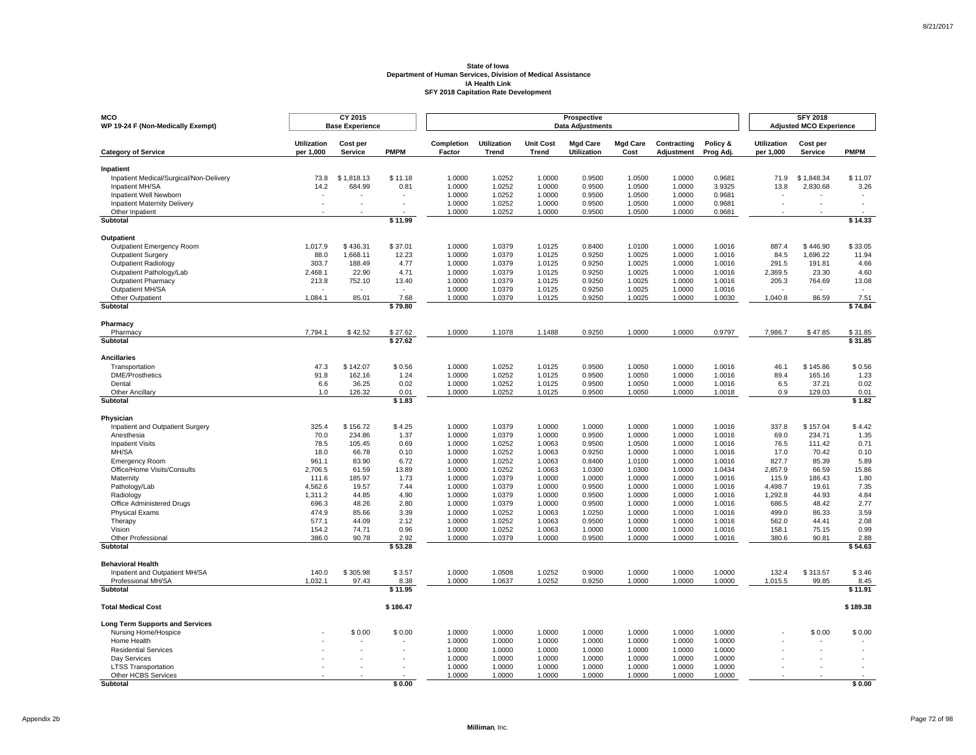| <b>MCO</b>                                                 |                                 | CY 2015                  |                |                      |                                    |                           | Prospective                           |                         |                           |                       |                                 | <b>SFY 2018</b>                |              |
|------------------------------------------------------------|---------------------------------|--------------------------|----------------|----------------------|------------------------------------|---------------------------|---------------------------------------|-------------------------|---------------------------|-----------------------|---------------------------------|--------------------------------|--------------|
| WP 19-24 F (Non-Medically Exempt)                          |                                 | <b>Base Experience</b>   |                |                      |                                    |                           | <b>Data Adjustments</b>               |                         |                           |                       |                                 | <b>Adjusted MCO Experience</b> |              |
| <b>Category of Service</b>                                 | <b>Utilization</b><br>per 1,000 | Cost per<br>Service      | <b>PMPM</b>    | Completion<br>Factor | <b>Utilization</b><br><b>Trend</b> | <b>Unit Cost</b><br>Trend | <b>Mgd Care</b><br><b>Utilization</b> | <b>Mgd Care</b><br>Cost | Contracting<br>Adjustment | Policy &<br>Prog Adj. | <b>Utilization</b><br>per 1,000 | Cost per<br>Service            | <b>PMPM</b>  |
| Inpatient                                                  |                                 |                          |                |                      |                                    |                           |                                       |                         |                           |                       |                                 |                                |              |
| Inpatient Medical/Surgical/Non-Delivery                    | 73.8                            | \$1.818.13               | \$11.18        | 1.0000               | 1.0252                             | 1.0000                    | 0.9500                                | 1.0500                  | 1.0000                    | 0.9681                | 71.9                            | \$1,848.34                     | \$11.07      |
| Inpatient MH/SA                                            | 14.2                            | 684.99                   | 0.81           | 1.0000               | 1.0252                             | 1.0000                    | 0.9500                                | 1.0500                  | 1.0000                    | 3.9325                | 13.8                            | 2,830.68                       | 3.26         |
| Inpatient Well Newborn                                     |                                 |                          |                | 1.0000               | 1.0252                             | 1.0000                    | 0.9500                                | 1.0500                  | 1.0000                    | 0.9681                |                                 |                                |              |
| <b>Inpatient Maternity Delivery</b><br>Other Inpatient     |                                 |                          |                | 1.0000<br>1.0000     | 1.0252<br>1.0252                   | 1.0000<br>1.0000          | 0.9500<br>0.9500                      | 1.0500<br>1.0500        | 1.0000<br>1.0000          | 0.9681<br>0.9681      |                                 |                                |              |
| Subtotal                                                   |                                 |                          | \$11.99        |                      |                                    |                           |                                       |                         |                           |                       |                                 |                                | \$14.33      |
|                                                            |                                 |                          |                |                      |                                    |                           |                                       |                         |                           |                       |                                 |                                |              |
| Outpatient<br>Outpatient Emergency Room                    | 1,017.9                         | \$436.31                 | \$37.01        | 1.0000               | 1.0379                             | 1.0125                    | 0.8400                                | 1.0100                  | 1.0000                    | 1.0016                | 887.4                           | \$446.90                       | \$33.05      |
| <b>Outpatient Surgery</b>                                  | 88.0                            | 1,668.11                 | 12.23          | 1.0000               | 1.0379                             | 1.0125                    | 0.9250                                | 1.0025                  | 1.0000                    | 1.0016                | 84.5                            | 1,696.22                       | 11.94        |
| <b>Outpatient Radiology</b>                                | 303.7                           | 188.49                   | 4.77           | 1.0000               | 1.0379                             | 1.0125                    | 0.9250                                | 1.0025                  | 1.0000                    | 1.0016                | 291.5                           | 191.81                         | 4.66         |
| Outpatient Pathology/Lab                                   | 2.468.1                         | 22.90                    | 4.71           | 1.0000               | 1.0379                             | 1.0125                    | 0.9250                                | 1.0025                  | 1.0000                    | 1.0016                | 2.369.5                         | 23.30                          | 4.60         |
| <b>Outpatient Pharmacy</b>                                 | 213.8                           | 752.10                   | 13.40          | 1.0000               | 1.0379                             | 1.0125                    | 0.9250                                | 1.0025                  | 1.0000                    | 1.0016                | 205.3                           | 764.69                         | 13.08        |
| Outpatient MH/SA                                           |                                 | $\overline{\phantom{a}}$ |                | 1.0000               | 1.0379                             | 1.0125                    | 0.9250                                | 1.0025                  | 1.0000                    | 1.0016                |                                 |                                |              |
| Other Outpatient                                           | 1,084.1                         | 85.01                    | 7.68           | 1.0000               | 1.0379                             | 1.0125                    | 0.9250                                | 1.0025                  | 1.0000                    | 1.0030                | 1,040.8                         | 86.59                          | 7.51         |
| Subtotal                                                   |                                 |                          | \$79.80        |                      |                                    |                           |                                       |                         |                           |                       |                                 |                                | \$74.84      |
| Pharmacy                                                   |                                 |                          |                |                      |                                    |                           |                                       |                         |                           |                       |                                 |                                |              |
| Pharmacy                                                   | 7.794.1                         | \$42.52                  | \$27.62        | 1.0000               | 1.1078                             | 1.1488                    | 0.9250                                | 1.0000                  | 1.0000                    | 0.9797                | 7,986.7                         | \$47.85                        | \$31.85      |
| Subtotal                                                   |                                 |                          | \$27.62        |                      |                                    |                           |                                       |                         |                           |                       |                                 |                                | \$31.85      |
| <b>Ancillaries</b>                                         |                                 |                          |                |                      |                                    |                           |                                       |                         |                           |                       |                                 |                                |              |
| Transportation                                             | 47.3                            | \$142.07                 | \$0.56         | 1.0000               | 1.0252                             | 1.0125                    | 0.9500                                | 1.0050                  | 1.0000                    | 1.0016                | 46.1                            | \$145.86                       | \$0.56       |
| <b>DME/Prosthetics</b>                                     | 91.8                            | 162.16                   | 1.24           | 1.0000               | 1.0252                             | 1.0125                    | 0.9500                                | 1.0050                  | 1.0000                    | 1.0016                | 89.4                            | 165.16                         | 1.23         |
| Dental<br><b>Other Ancillary</b>                           | 6.6<br>1.0                      | 36.25<br>126.32          | 0.02           | 1.0000<br>1.0000     | 1.0252<br>1.0252                   | 1.0125<br>1.0125          | 0.9500<br>0.9500                      | 1.0050<br>1.0050        | 1.0000<br>1.0000          | 1.0016<br>1.0018      | 6.5<br>0.9                      | 37.21<br>129.03                | 0.02<br>0.01 |
| Subtotal                                                   |                                 |                          | 0.01<br>\$1.83 |                      |                                    |                           |                                       |                         |                           |                       |                                 |                                | \$1.82       |
|                                                            |                                 |                          |                |                      |                                    |                           |                                       |                         |                           |                       |                                 |                                |              |
| Physician<br>Inpatient and Outpatient Surgery              | 325.4                           | \$156.72                 | \$4.25         | 1.0000               | 1.0379                             | 1.0000                    | 1.0000                                | 1.0000                  | 1.0000                    | 1.0016                | 337.8                           | \$157.04                       | \$4.42       |
| Anesthesia                                                 | 70.0                            | 234.86                   | 1.37           | 1.0000               | 1.0379                             | 1.0000                    | 0.9500                                | 1.0000                  | 1.0000                    | 1.0016                | 69.0                            | 234.71                         | 1.35         |
| <b>Inpatient Visits</b>                                    | 78.5                            | 105.45                   | 0.69           | 1.0000               | 1.0252                             | 1.0063                    | 0.9500                                | 1.0500                  | 1.0000                    | 1.0016                | 76.5                            | 111.42                         | 0.71         |
| MH/SA                                                      | 18.0                            | 66.78                    | 0.10           | 1.0000               | 1.0252                             | 1.0063                    | 0.9250                                | 1.0000                  | 1.0000                    | 1.0016                | 17.0                            | 70.42                          | 0.10         |
| <b>Emergency Room</b>                                      | 961.1                           | 83.90                    | 6.72           | 1.0000               | 1.0252                             | 1.0063                    | 0.8400                                | 1.0100                  | 1.0000                    | 1.0016                | 827.7                           | 85.39                          | 5.89         |
| Office/Home Visits/Consults                                | 2,706.5                         | 61.59                    | 13.89          | 1.0000               | 1.0252                             | 1.0063                    | 1.0300                                | 1.0300                  | 1.0000                    | 1.0434                | 2.857.9                         | 66.59                          | 15.86        |
| Maternity                                                  | 111.6                           | 185.97                   | 1.73           | 1.0000               | 1.0379                             | 1.0000                    | 1.0000                                | 1.0000                  | 1.0000                    | 1.0016                | 115.9                           | 186.43                         | 1.80         |
| Pathology/Lab                                              | 4,562.6                         | 19.57                    | 7.44           | 1.0000               | 1.0379                             | 1.0000                    | 0.9500                                | 1.0000                  | 1.0000                    | 1.0016                | 4,498.7                         | 19.61                          | 7.35         |
| Radiology                                                  | 1,311.2                         | 44.85                    | 4.90           | 1.0000               | 1.0379                             | 1.0000                    | 0.9500                                | 1.0000                  | 1.0000                    | 1.0016                | 1,292.8                         | 44.93                          | 4.84         |
| Office Administered Drugs                                  | 696.3                           | 48.26                    | 2.80           | 1.0000               | 1.0379                             | 1.0000                    | 0.9500                                | 1.0000                  | 1.0000                    | 1.0016                | 686.5                           | 48.42                          | 2.77         |
| <b>Physical Exams</b>                                      | 474.9                           | 85.66                    | 3.39           | 1.0000               | 1.0252                             | 1.0063                    | 1.0250                                | 1.0000                  | 1.0000                    | 1.0016                | 499.0                           | 86.33                          | 3.59         |
| Therapy<br>Vision                                          | 577.1<br>154.2                  | 44.09<br>74.71           | 2.12<br>0.96   | 1.0000<br>1.0000     | 1.0252<br>1.0252                   | 1.0063<br>1.0063          | 0.9500<br>1.0000                      | 1.0000<br>1.0000        | 1.0000<br>1.0000          | 1.0016<br>1.0016      | 562.0<br>158.1                  | 44.41<br>75.15                 | 2.08<br>0.99 |
| <b>Other Professional</b>                                  | 386.0                           | 90.78                    | 2.92           | 1.0000               | 1.0379                             | 1.0000                    | 0.9500                                | 1.0000                  | 1.0000                    | 1.0016                | 380.6                           | 90.81                          | 2.88         |
| Subtotal                                                   |                                 |                          | \$53.28        |                      |                                    |                           |                                       |                         |                           |                       |                                 |                                | \$54.63      |
|                                                            |                                 |                          |                |                      |                                    |                           |                                       |                         |                           |                       |                                 |                                |              |
| <b>Behavioral Health</b><br>Inpatient and Outpatient MH/SA | 140.0                           | \$305.98                 | \$3.57         | 1.0000               | 1.0508                             | 1.0252                    | 0.9000                                | 1.0000                  | 1.0000                    | 1.0000                | 132.4                           | \$313.57                       | \$3.46       |
| Professional MH/SA                                         | 1,032.1                         | 97.43                    | 8.38           | 1.0000               | 1.0637                             | 1.0252                    | 0.9250                                | 1.0000                  | 1.0000                    | 1.0000                | 1,015.5                         | 99.85                          | 8.45         |
| Subtotal                                                   |                                 |                          | \$11.95        |                      |                                    |                           |                                       |                         |                           |                       |                                 |                                | \$11.91      |
| <b>Total Medical Cost</b>                                  |                                 |                          | \$186.47       |                      |                                    |                           |                                       |                         |                           |                       |                                 |                                | \$189.38     |
| <b>Long Term Supports and Services</b>                     |                                 |                          |                |                      |                                    |                           |                                       |                         |                           |                       |                                 |                                |              |
| Nursing Home/Hospice                                       |                                 | \$0.00                   | \$0.00         | 1.0000               | 1.0000                             | 1.0000                    | 1.0000                                | 1.0000                  | 1.0000                    | 1.0000                |                                 | \$0.00                         | \$0.00       |
| Home Health                                                |                                 |                          |                | 1.0000               | 1.0000                             | 1.0000                    | 1.0000                                | 1.0000                  | 1.0000                    | 1.0000                |                                 |                                |              |
| <b>Residential Services</b>                                |                                 |                          |                | 1.0000               | 1.0000                             | 1.0000                    | 1.0000                                | 1.0000                  | 1.0000                    | 1.0000                |                                 |                                |              |
| Day Services                                               |                                 |                          |                | 1.0000               | 1.0000                             | 1.0000                    | 1.0000                                | 1.0000                  | 1.0000                    | 1.0000                |                                 |                                |              |
| <b>LTSS Transportation</b>                                 |                                 |                          |                | 1.0000<br>1.0000     | 1.0000                             | 1.0000                    | 1.0000                                | 1.0000                  | 1.0000                    | 1.0000                |                                 |                                |              |
| Other HCBS Services<br>Subtotal                            |                                 |                          | \$0.00         |                      | 1.0000                             | 1.0000                    | 1.0000                                | 1.0000                  | 1.0000                    | 1.0000                |                                 |                                | \$0.00       |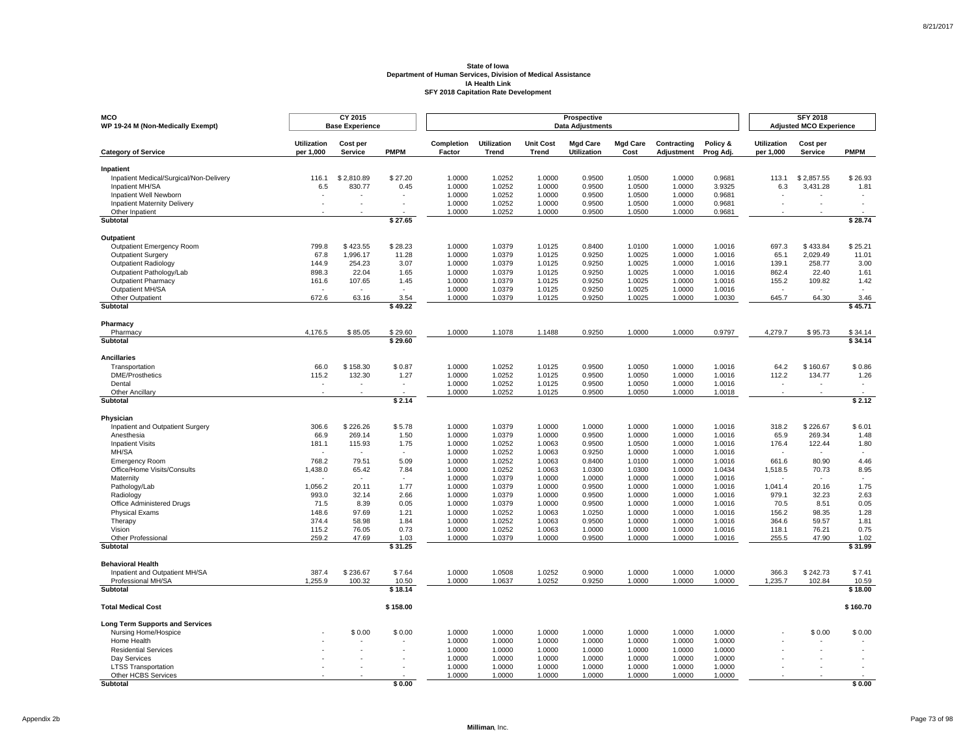| <b>MCO</b><br>WP 19-24 M (Non-Medically Exempt)         |                                 | CY 2015<br><b>Base Experience</b> |                |                      |                             |                                  | Prospective<br><b>Data Adjustments</b> |                         |                           |                       |                                 | <b>SFY 2018</b><br><b>Adjusted MCO Experience</b> |              |
|---------------------------------------------------------|---------------------------------|-----------------------------------|----------------|----------------------|-----------------------------|----------------------------------|----------------------------------------|-------------------------|---------------------------|-----------------------|---------------------------------|---------------------------------------------------|--------------|
| <b>Category of Service</b>                              | <b>Utilization</b><br>per 1,000 | Cost per<br><b>Service</b>        | <b>PMPM</b>    | Completion<br>Factor | Utilization<br><b>Trend</b> | <b>Unit Cost</b><br><b>Trend</b> | <b>Mgd Care</b><br><b>Utilization</b>  | <b>Mgd Care</b><br>Cost | Contracting<br>Adjustment | Policy &<br>Prog Adj. | <b>Utilization</b><br>per 1,000 | Cost per<br><b>Service</b>                        | <b>PMPM</b>  |
| Inpatient                                               |                                 |                                   |                |                      |                             |                                  |                                        |                         |                           |                       |                                 |                                                   |              |
| Inpatient Medical/Surgical/Non-Delivery                 | 116.1                           | \$2,810.89                        | \$27.20        | 1.0000               | 1.0252                      | 1.0000                           | 0.9500                                 | 1.0500                  | 1.0000                    | 0.9681                | 113.1                           | \$2,857.55                                        | \$26.93      |
| Inpatient MH/SA<br>Inpatient Well Newborn               | 6.5                             | 830.77                            | 0.45<br>$\sim$ | 1.0000<br>1.0000     | 1.0252<br>1.0252            | 1.0000<br>1.0000                 | 0.9500<br>0.9500                       | 1.0500<br>1.0500        | 1.0000<br>1.0000          | 3.9325<br>0.9681      | 6.3                             | 3.431.28                                          | 1.81         |
| <b>Inpatient Maternity Delivery</b>                     |                                 |                                   |                | 1.0000               | 1.0252                      | 1.0000                           | 0.9500                                 | 1.0500                  | 1.0000                    | 0.9681                |                                 |                                                   |              |
| Other Inpatient                                         |                                 |                                   |                | 1.0000               | 1.0252                      | 1.0000                           | 0.9500                                 | 1.0500                  | 1.0000                    | 0.9681                |                                 |                                                   |              |
| Subtotal                                                |                                 |                                   | \$27.65        |                      |                             |                                  |                                        |                         |                           |                       |                                 |                                                   | \$28.74      |
| Outpatient                                              |                                 |                                   |                |                      |                             |                                  |                                        |                         |                           |                       |                                 |                                                   |              |
| <b>Outpatient Emergency Room</b>                        | 799.8                           | \$423.55                          | \$28.23        | 1.0000               | 1.0379                      | 1.0125                           | 0.8400                                 | 1.0100                  | 1.0000                    | 1.0016                | 697.3                           | \$433.84                                          | \$25.21      |
| <b>Outpatient Surgery</b>                               | 67.8                            | 1,996.17                          | 11.28          | 1.0000               | 1.0379                      | 1.0125                           | 0.9250                                 | 1.0025                  | 1.0000                    | 1.0016                | 65.1                            | 2,029.49                                          | 11.01        |
| <b>Outpatient Radiology</b><br>Outpatient Pathology/Lab | 144.9<br>898.3                  | 254.23<br>22.04                   | 3.07<br>1.65   | 1.0000<br>1.0000     | 1.0379<br>1.0379            | 1.0125<br>1.0125                 | 0.9250<br>0.9250                       | 1.0025<br>1.0025        | 1.0000<br>1.0000          | 1.0016<br>1.0016      | 139.1<br>862.4                  | 258.77<br>22.40                                   | 3.00<br>1.61 |
| <b>Outpatient Pharmacy</b>                              | 161.6                           | 107.65                            | 1.45           | 1.0000               | 1.0379                      | 1.0125                           | 0.9250                                 | 1.0025                  | 1.0000                    | 1.0016                | 155.2                           | 109.82                                            | 1.42         |
| Outpatient MH/SA                                        |                                 | $\overline{\phantom{a}}$          | $\sim$         | 1.0000               | 1.0379                      | 1.0125                           | 0.9250                                 | 1.0025                  | 1.0000                    | 1.0016                | $\sim$                          | $\overline{\phantom{a}}$                          |              |
| Other Outpatient                                        | 672.6                           | 63.16                             | 3.54           | 1.0000               | 1.0379                      | 1.0125                           | 0.9250                                 | 1.0025                  | 1.0000                    | 1.0030                | 645.7                           | 64.30                                             | 3.46         |
| Subtotal                                                |                                 |                                   | \$49.22        |                      |                             |                                  |                                        |                         |                           |                       |                                 |                                                   | \$45.71      |
| Pharmacy                                                |                                 |                                   |                |                      |                             |                                  |                                        |                         |                           |                       |                                 |                                                   |              |
| Pharmacy                                                | 4.176.5                         | \$85.05                           | \$29.60        | 1.0000               | 1.1078                      | 1.1488                           | 0.9250                                 | 1.0000                  | 1.0000                    | 0.9797                | 4,279.7                         | \$95.73                                           | \$34.14      |
| Subtotal                                                |                                 |                                   | \$29.60        |                      |                             |                                  |                                        |                         |                           |                       |                                 |                                                   | \$34.14      |
| <b>Ancillaries</b>                                      |                                 |                                   |                |                      |                             |                                  |                                        |                         |                           |                       |                                 |                                                   |              |
| Transportation                                          | 66.0                            | \$158.30                          | \$0.87         | 1.0000               | 1.0252                      | 1.0125                           | 0.9500                                 | 1.0050                  | 1.0000                    | 1.0016                | 64.2                            | \$160.67                                          | \$0.86       |
| <b>DME/Prosthetics</b>                                  | 115.2                           | 132.30                            | 1.27           | 1.0000               | 1.0252                      | 1.0125                           | 0.9500                                 | 1.0050                  | 1.0000                    | 1.0016                | 112.2                           | 134.77                                            | 1.26         |
| Dental<br>Other Ancillary                               |                                 |                                   |                | 1.0000<br>1.0000     | 1.0252<br>1.0252            | 1.0125<br>1.0125                 | 0.9500<br>0.9500                       | 1.0050<br>1.0050        | 1.0000<br>1.0000          | 1.0016<br>1.0018      |                                 |                                                   |              |
| Subtotal                                                |                                 |                                   | \$2.14         |                      |                             |                                  |                                        |                         |                           |                       |                                 |                                                   | \$2.12       |
| Physician                                               |                                 |                                   |                |                      |                             |                                  |                                        |                         |                           |                       |                                 |                                                   |              |
| Inpatient and Outpatient Surgery                        | 306.6                           | \$226.26                          | \$5.78         | 1.0000               | 1.0379                      | 1.0000                           | 1.0000                                 | 1.0000                  | 1.0000                    | 1.0016                | 318.2                           | \$226.67                                          | \$6.01       |
| Anesthesia                                              | 66.9                            | 269.14                            | 1.50           | 1.0000               | 1.0379                      | 1.0000                           | 0.9500                                 | 1.0000                  | 1.0000                    | 1.0016                | 65.9                            | 269.34                                            | 1.48         |
| <b>Inpatient Visits</b>                                 | 181.1                           | 115.93                            | 1.75           | 1.0000               | 1.0252                      | 1.0063                           | 0.9500                                 | 1.0500                  | 1.0000                    | 1.0016                | 176.4                           | 122.44                                            | 1.80         |
| MH/SA                                                   | $\sim$                          | $\overline{\phantom{a}}$          | $\sim$         | 1.0000               | 1.0252                      | 1.0063                           | 0.9250                                 | 1.0000                  | 1.0000                    | 1.0016                | $\sim$                          | $\overline{\phantom{a}}$                          | $\sim$       |
| <b>Emergency Room</b><br>Office/Home Visits/Consults    | 768.2<br>1,438.0                | 79.51<br>65.42                    | 5.09<br>7.84   | 1.0000<br>1.0000     | 1.0252<br>1.0252            | 1.0063<br>1.0063                 | 0.8400<br>1.0300                       | 1.0100<br>1.0300        | 1.0000<br>1.0000          | 1.0016<br>1.0434      | 661.6<br>1,518.5                | 80.90<br>70.73                                    | 4.46<br>8.95 |
| Maternity                                               |                                 |                                   |                | 1.0000               | 1.0379                      | 1.0000                           | 1.0000                                 | 1.0000                  | 1.0000                    | 1.0016                |                                 |                                                   |              |
| Pathology/Lab                                           | 1.056.2                         | 20.11                             | 1.77           | 1.0000               | 1.0379                      | 1.0000                           | 0.9500                                 | 1.0000                  | 1.0000                    | 1.0016                | 1.041.4                         | 20.16                                             | 1.75         |
| Radiology                                               | 993.0                           | 32.14                             | 2.66           | 1.0000               | 1.0379                      | 1.0000                           | 0.9500                                 | 1.0000                  | 1.0000                    | 1.0016                | 979.1                           | 32.23                                             | 2.63         |
| Office Administered Drugs                               | 71.5                            | 8.39                              | 0.05           | 1.0000               | 1.0379                      | 1.0000                           | 0.9500                                 | 1.0000                  | 1.0000                    | 1.0016                | 70.5                            | 8.51                                              | 0.05         |
| <b>Physical Exams</b><br>Therapy                        | 148.6<br>374.4                  | 97.69<br>58.98                    | 1.21<br>1.84   | 1.0000<br>1.0000     | 1.0252<br>1.0252            | 1.0063<br>1.0063                 | 1.0250<br>0.9500                       | 1.0000<br>1.0000        | 1.0000<br>1.0000          | 1.0016<br>1.0016      | 156.2<br>364.6                  | 98.35<br>59.57                                    | 1.28<br>1.81 |
| Vision                                                  | 115.2                           | 76.05                             | 0.73           | 1.0000               | 1.0252                      | 1.0063                           | 1.0000                                 | 1.0000                  | 1.0000                    | 1.0016                | 118.1                           | 76.21                                             | 0.75         |
| <b>Other Professional</b>                               | 259.2                           | 47.69                             | 1.03           | 1.0000               | 1.0379                      | 1.0000                           | 0.9500                                 | 1.0000                  | 1.0000                    | 1.0016                | 255.5                           | 47.90                                             | 1.02         |
| <b>Subtotal</b>                                         |                                 |                                   | \$31.25        |                      |                             |                                  |                                        |                         |                           |                       |                                 |                                                   | \$31.99      |
| <b>Behavioral Health</b>                                |                                 |                                   |                |                      |                             |                                  |                                        |                         |                           |                       |                                 |                                                   |              |
| Inpatient and Outpatient MH/SA                          | 387.4                           | \$236.67                          | \$7.64         | 1.0000               | 1.0508                      | 1.0252                           | 0.9000                                 | 1.0000                  | 1.0000                    | 1.0000                | 366.3                           | \$242.73                                          | \$7.41       |
| Professional MH/SA                                      | 1.255.9                         | 100.32                            | 10.50          | 1.0000               | 1.0637                      | 1.0252                           | 0.9250                                 | 1.0000                  | 1.0000                    | 1.0000                | 1.235.7                         | 102.84                                            | 10.59        |
| Subtotal                                                |                                 |                                   | \$18.14        |                      |                             |                                  |                                        |                         |                           |                       |                                 |                                                   | \$18.00      |
| <b>Total Medical Cost</b>                               |                                 |                                   | \$158.00       |                      |                             |                                  |                                        |                         |                           |                       |                                 |                                                   | \$160.70     |
| <b>Long Term Supports and Services</b>                  |                                 |                                   |                |                      |                             |                                  |                                        |                         |                           |                       |                                 |                                                   |              |
| Nursing Home/Hospice<br>Home Health                     |                                 | \$0.00                            | \$0.00         | 1.0000<br>1.0000     | 1.0000<br>1.0000            | 1.0000<br>1.0000                 | 1.0000<br>1.0000                       | 1.0000<br>1.0000        | 1.0000<br>1.0000          | 1.0000<br>1.0000      |                                 | \$0.00                                            | \$0.00       |
| <b>Residential Services</b>                             |                                 |                                   |                | 1.0000               | 1.0000                      | 1.0000                           | 1.0000                                 | 1.0000                  | 1.0000                    | 1.0000                |                                 |                                                   |              |
| Day Services                                            |                                 |                                   |                | 1.0000               | 1.0000                      | 1.0000                           | 1.0000                                 | 1.0000                  | 1.0000                    | 1.0000                |                                 |                                                   |              |
| <b>LTSS Transportation</b>                              |                                 |                                   |                | 1.0000               | 1.0000                      | 1.0000                           | 1.0000                                 | 1.0000                  | 1.0000                    | 1.0000                |                                 |                                                   |              |
| Other HCBS Services                                     |                                 |                                   |                | 1.0000               | 1.0000                      | 1.0000                           | 1.0000                                 | 1.0000                  | 1.0000                    | 1.0000                |                                 |                                                   |              |
| <b>Subtotal</b>                                         |                                 |                                   | \$0.00         |                      |                             |                                  |                                        |                         |                           |                       |                                 |                                                   | \$0.00       |

Page 73 of 98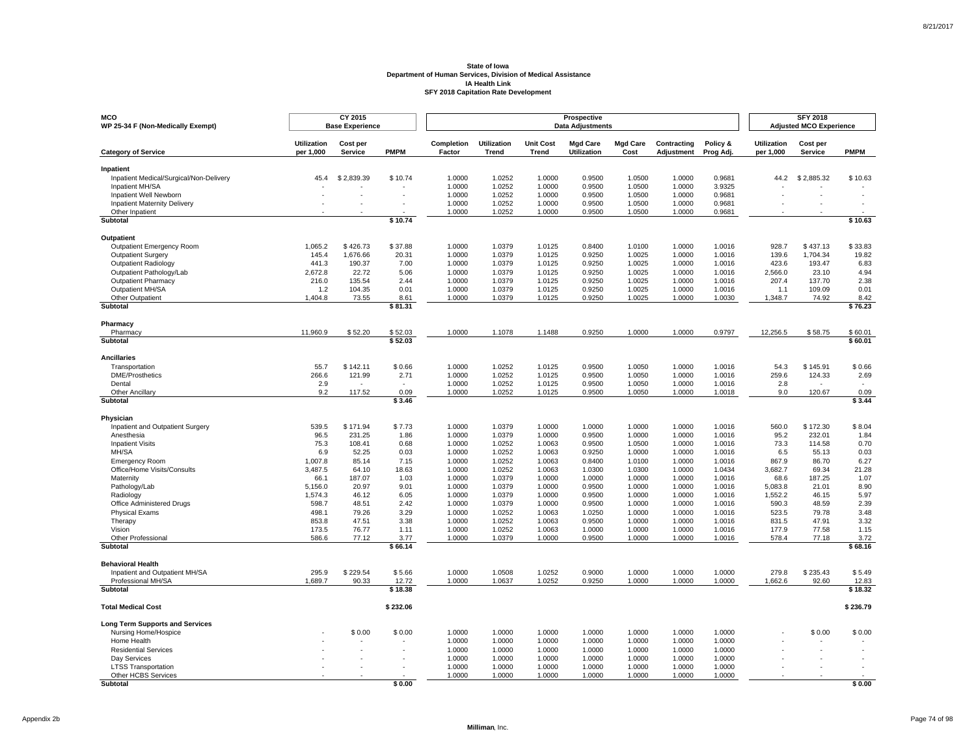| <b>MCO</b><br>WP 25-34 F (Non-Medically Exempt)                |                                 | CY 2015<br><b>Base Experience</b> |                    |                      |                             |                                  | Prospective<br><b>Data Adjustments</b> |                         |                           |                       |                                 | <b>SFY 2018</b><br><b>Adjusted MCO Experience</b> |                    |
|----------------------------------------------------------------|---------------------------------|-----------------------------------|--------------------|----------------------|-----------------------------|----------------------------------|----------------------------------------|-------------------------|---------------------------|-----------------------|---------------------------------|---------------------------------------------------|--------------------|
| <b>Category of Service</b>                                     | <b>Utilization</b><br>per 1.000 | Cost per<br><b>Service</b>        | <b>PMPM</b>        | Completion<br>Factor | Utilization<br><b>Trend</b> | <b>Unit Cost</b><br><b>Trend</b> | <b>Mgd Care</b><br><b>Utilization</b>  | <b>Mgd Care</b><br>Cost | Contracting<br>Adjustment | Policy &<br>Prog Adj. | <b>Utilization</b><br>per 1,000 | Cost per<br><b>Service</b>                        | <b>PMPM</b>        |
| Inpatient                                                      |                                 |                                   |                    |                      |                             |                                  |                                        |                         |                           |                       |                                 |                                                   |                    |
| Inpatient Medical/Surgical/Non-Delivery                        | 45.4                            | \$2,839.39                        | \$10.74            | 1.0000               | 1.0252                      | 1.0000                           | 0.9500                                 | 1.0500                  | 1.0000                    | 0.9681                | 44.2                            | \$2,885.32                                        | \$10.63            |
| Inpatient MH/SA<br>Inpatient Well Newborn                      |                                 |                                   |                    | 1.0000<br>1.0000     | 1.0252<br>1.0252            | 1.0000<br>1.0000                 | 0.9500<br>0.9500                       | 1.0500<br>1.0500        | 1.0000<br>1.0000          | 3.9325<br>0.9681      |                                 |                                                   |                    |
| <b>Inpatient Maternity Delivery</b>                            |                                 |                                   |                    | 1.0000               | 1.0252                      | 1.0000                           | 0.9500                                 | 1.0500                  | 1.0000                    | 0.9681                |                                 |                                                   |                    |
| Other Inpatient                                                |                                 |                                   |                    | 1.0000               | 1.0252                      | 1.0000                           | 0.9500                                 | 1.0500                  | 1.0000                    | 0.9681                |                                 |                                                   |                    |
| Subtotal                                                       |                                 |                                   | \$10.74            |                      |                             |                                  |                                        |                         |                           |                       |                                 |                                                   | \$10.63            |
| Outpatient                                                     |                                 |                                   |                    |                      |                             |                                  |                                        |                         |                           |                       |                                 |                                                   |                    |
| Outpatient Emergency Room                                      | 1.065.2                         | \$426.73                          | \$37.88            | 1.0000               | 1.0379                      | 1.0125                           | 0.8400                                 | 1.0100                  | 1.0000                    | 1.0016                | 928.7                           | \$437.13                                          | \$33.83            |
| Outpatient Surgery                                             | 145.4                           | 1,676.66                          | 20.31              | 1.0000               | 1.0379                      | 1.0125                           | 0.9250                                 | 1.0025                  | 1.0000                    | 1.0016                | 139.6                           | 1,704.34                                          | 19.82              |
| Outpatient Radiology<br>Outpatient Pathology/Lab               | 441.3<br>2,672.8                | 190.37<br>22.72                   | 7.00<br>5.06       | 1.0000<br>1.0000     | 1.0379<br>1.0379            | 1.0125<br>1.0125                 | 0.9250<br>0.9250                       | 1.0025<br>1.0025        | 1.0000<br>1.0000          | 1.0016<br>1.0016      | 423.6<br>2,566.0                | 193.47<br>23.10                                   | 6.83<br>4.94       |
| <b>Outpatient Pharmacy</b>                                     | 216.0                           | 135.54                            | 2.44               | 1.0000               | 1.0379                      | 1.0125                           | 0.9250                                 | 1.0025                  | 1.0000                    | 1.0016                | 207.4                           | 137.70                                            | 2.38               |
| Outpatient MH/SA                                               | 1.2                             | 104.35                            | 0.01               | 1.0000               | 1.0379                      | 1.0125                           | 0.9250                                 | 1.0025                  | 1.0000                    | 1.0016                | 1.1                             | 109.09                                            | 0.01               |
| Other Outpatient                                               | 1,404.8                         | 73.55                             | 8.61               | 1.0000               | 1.0379                      | 1.0125                           | 0.9250                                 | 1.0025                  | 1.0000                    | 1.0030                | 1,348.7                         | 74.92                                             | 8.42               |
| Subtotal                                                       |                                 |                                   | \$81.31            |                      |                             |                                  |                                        |                         |                           |                       |                                 |                                                   | \$76.23            |
| Pharmacy                                                       |                                 |                                   |                    |                      |                             |                                  |                                        |                         |                           |                       |                                 |                                                   |                    |
| Pharmacy<br>Subtotal                                           | 11,960.9                        | \$52.20                           | \$52.03<br>\$52.03 | 1.0000               | 1.1078                      | 1.1488                           | 0.9250                                 | 1.0000                  | 1.0000                    | 0.9797                | 12,256.5                        | \$58.75                                           | \$60.01<br>\$60.01 |
|                                                                |                                 |                                   |                    |                      |                             |                                  |                                        |                         |                           |                       |                                 |                                                   |                    |
| <b>Ancillaries</b>                                             |                                 |                                   |                    |                      |                             |                                  |                                        |                         |                           |                       |                                 |                                                   |                    |
| Transportation<br><b>DME/Prosthetics</b>                       | 55.7<br>266.6                   | \$142.11<br>121.99                | \$0.66<br>2.71     | 1.0000               | 1.0252<br>1.0252            | 1.0125<br>1.0125                 | 0.9500<br>0.9500                       | 1.0050<br>1.0050        | 1.0000<br>1.0000          | 1.0016<br>1.0016      | 54.3<br>259.6                   | \$145.91                                          | \$0.66<br>2.69     |
| Dental                                                         | 2.9                             |                                   |                    | 1.0000<br>1.0000     | 1.0252                      | 1.0125                           | 0.9500                                 | 1.0050                  | 1.0000                    | 1.0016                | 2.8                             | 124.33                                            |                    |
| <b>Other Ancillary</b>                                         | 9.2                             | 117.52                            | 0.09               | 1.0000               | 1.0252                      | 1.0125                           | 0.9500                                 | 1.0050                  | 1.0000                    | 1.0018                | 9.0                             | 120.67                                            | 0.09               |
| Subtotal                                                       |                                 |                                   | \$3.46             |                      |                             |                                  |                                        |                         |                           |                       |                                 |                                                   | \$3.44             |
| Physician                                                      |                                 |                                   |                    |                      |                             |                                  |                                        |                         |                           |                       |                                 |                                                   |                    |
| Inpatient and Outpatient Surgery                               | 539.5                           | \$171.94                          | \$7.73             | 1.0000               | 1.0379                      | 1.0000                           | 1.0000                                 | 1.0000                  | 1.0000                    | 1.0016                | 560.0                           | \$172.30                                          | \$8.04             |
| Anesthesia                                                     | 96.5                            | 231.25                            | 1.86               | 1.0000               | 1.0379                      | 1.0000                           | 0.9500                                 | 1.0000                  | 1.0000                    | 1.0016                | 95.2                            | 232.01                                            | 1.84               |
| <b>Inpatient Visits</b><br>MH/SA                               | 75.3<br>6.9                     | 108.41<br>52.25                   | 0.68<br>0.03       | 1.0000<br>1.0000     | 1.0252<br>1.0252            | 1.0063                           | 0.9500<br>0.9250                       | 1.0500<br>1.0000        | 1.0000<br>1.0000          | 1.0016<br>1.0016      | 73.3<br>6.5                     | 114.58<br>55.13                                   | 0.70<br>0.03       |
| <b>Emergency Room</b>                                          | 1,007.8                         | 85.14                             | 7.15               | 1.0000               | 1.0252                      | 1.0063<br>1.0063                 | 0.8400                                 | 1.0100                  | 1.0000                    | 1.0016                | 867.9                           | 86.70                                             | 6.27               |
| Office/Home Visits/Consults                                    | 3,487.5                         | 64.10                             | 18.63              | 1.0000               | 1.0252                      | 1.0063                           | 1.0300                                 | 1.0300                  | 1.0000                    | 1.0434                | 3,682.7                         | 69.34                                             | 21.28              |
| Maternity                                                      | 66.1                            | 187.07                            | 1.03               | 1.0000               | 1.0379                      | 1.0000                           | 1.0000                                 | 1.0000                  | 1.0000                    | 1.0016                | 68.6                            | 187.25                                            | 1.07               |
| Pathology/Lab                                                  | 5.156.0                         | 20.97                             | 9.01               | 1.0000               | 1.0379                      | 1.0000                           | 0.9500                                 | 1.0000                  | 1.0000                    | 1.0016                | 5.083.8                         | 21.01                                             | 8.90               |
| Radiology<br>Office Administered Drugs                         | 1,574.3<br>598.7                | 46.12<br>48.51                    | 6.05<br>2.42       | 1.0000<br>1.0000     | 1.0379<br>1.0379            | 1.0000<br>1.0000                 | 0.9500<br>0.9500                       | 1.0000<br>1.0000        | 1.0000<br>1.0000          | 1.0016<br>1.0016      | 1,552.2<br>590.3                | 46.15<br>48.59                                    | 5.97<br>2.39       |
| <b>Physical Exams</b>                                          | 498.1                           | 79.26                             | 3.29               | 1.0000               | 1.0252                      | 1.0063                           | 1.0250                                 | 1.0000                  | 1.0000                    | 1.0016                | 523.5                           | 79.78                                             | 3.48               |
| Therapy                                                        | 853.8                           | 47.51                             | 3.38               | 1.0000               | 1.0252                      | 1.0063                           | 0.9500                                 | 1.0000                  | 1.0000                    | 1.0016                | 831.5                           | 47.91                                             | 3.32               |
| Vision                                                         | 173.5                           | 76.77                             | 1.11               | 1.0000               | 1.0252                      | 1.0063                           | 1.0000                                 | 1.0000                  | 1.0000                    | 1.0016                | 177.9                           | 77.58                                             | 1.15               |
| Other Professional<br>Subtotal                                 | 586.6                           | 77.12                             | 3.77<br>\$66.14    | 1.0000               | 1.0379                      | 1.0000                           | 0.9500                                 | 1.0000                  | 1.0000                    | 1.0016                | 578.4                           | 77.18                                             | 3.72<br>\$68.16    |
|                                                                |                                 |                                   |                    |                      |                             |                                  |                                        |                         |                           |                       |                                 |                                                   |                    |
| <b>Behavioral Health</b>                                       |                                 |                                   |                    |                      |                             |                                  |                                        |                         |                           |                       |                                 |                                                   |                    |
| Inpatient and Outpatient MH/SA<br>Professional MH/SA           | 295.9<br>1.689.7                | \$229.54<br>90.33                 | \$5.66<br>12.72    | 1.0000<br>1.0000     | 1.0508<br>1.0637            | 1.0252<br>1.0252                 | 0.9000<br>0.9250                       | 1.0000<br>1.0000        | 1.0000<br>1.0000          | 1.0000<br>1.0000      | 279.8<br>1,662.6                | \$235.43<br>92.60                                 | \$5.49<br>12.83    |
| Subtotal                                                       |                                 |                                   | \$18.38            |                      |                             |                                  |                                        |                         |                           |                       |                                 |                                                   | \$18.32            |
| <b>Total Medical Cost</b>                                      |                                 |                                   | \$232.06           |                      |                             |                                  |                                        |                         |                           |                       |                                 |                                                   | \$236.79           |
|                                                                |                                 |                                   |                    |                      |                             |                                  |                                        |                         |                           |                       |                                 |                                                   |                    |
| <b>Long Term Supports and Services</b><br>Nursing Home/Hospice |                                 | \$0.00                            | \$0.00             | 1.0000               | 1.0000                      | 1.0000                           | 1.0000                                 | 1.0000                  | 1.0000                    | 1.0000                |                                 | \$0.00                                            | \$0.00             |
| Home Health                                                    |                                 |                                   |                    | 1.0000               | 1.0000                      | 1.0000                           | 1.0000                                 | 1.0000                  | 1.0000                    | 1.0000                |                                 |                                                   |                    |
| <b>Residential Services</b>                                    |                                 |                                   |                    | 1.0000               | 1.0000                      | 1.0000                           | 1.0000                                 | 1.0000                  | 1.0000                    | 1.0000                |                                 |                                                   |                    |
| Day Services                                                   |                                 |                                   |                    | 1.0000               | 1.0000                      | 1.0000                           | 1.0000                                 | 1.0000                  | 1.0000                    | 1.0000                |                                 |                                                   |                    |
| <b>LTSS Transportation</b><br>Other HCBS Services              |                                 |                                   |                    | 1.0000<br>1.0000     | 1.0000<br>1.0000            | 1.0000<br>1.0000                 | 1.0000<br>1.0000                       | 1.0000<br>1.0000        | 1.0000<br>1.0000          | 1.0000<br>1.0000      |                                 |                                                   |                    |
| Subtotal                                                       |                                 |                                   | \$0.00             |                      |                             |                                  |                                        |                         |                           |                       |                                 |                                                   | \$0.00             |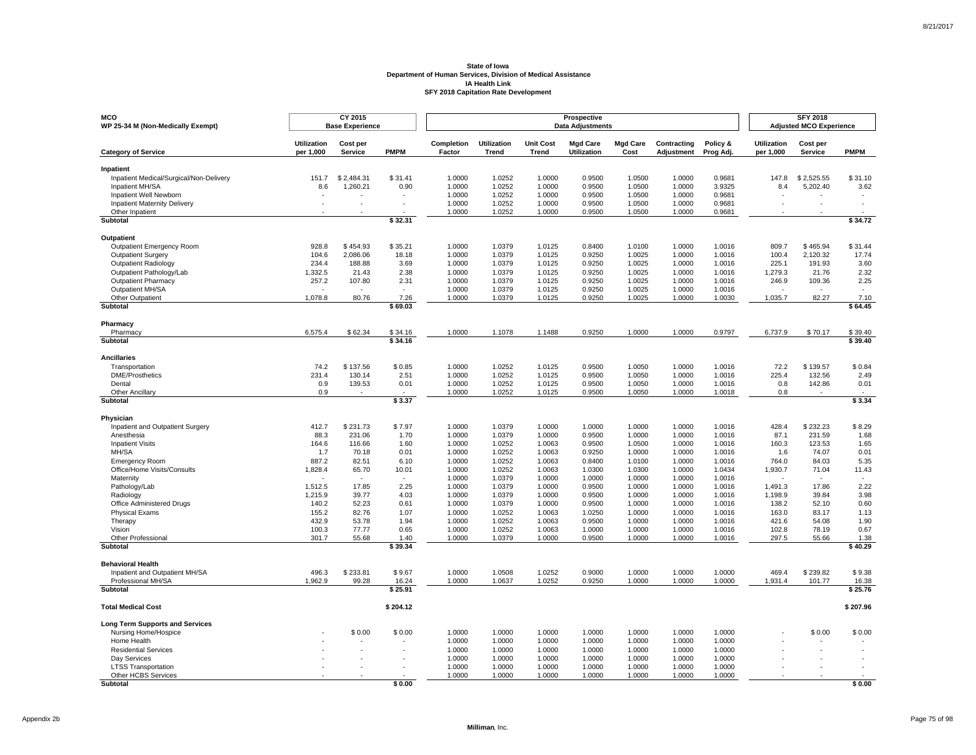| <b>MCO</b><br>WP 25-34 M (Non-Medically Exempt)        |                                 | CY 2015<br><b>Base Experience</b> |              |                      |                             |                                  | Prospective<br><b>Data Adjustments</b> |                         |                           |                       |                                 | <b>SFY 2018</b><br><b>Adjusted MCO Experience</b> |                          |
|--------------------------------------------------------|---------------------------------|-----------------------------------|--------------|----------------------|-----------------------------|----------------------------------|----------------------------------------|-------------------------|---------------------------|-----------------------|---------------------------------|---------------------------------------------------|--------------------------|
| <b>Category of Service</b>                             | <b>Utilization</b><br>per 1.000 | Cost per<br><b>Service</b>        | <b>PMPM</b>  | Completion<br>Factor | Utilization<br><b>Trend</b> | <b>Unit Cost</b><br><b>Trend</b> | <b>Mgd Care</b><br><b>Utilization</b>  | <b>Mgd Care</b><br>Cost | Contracting<br>Adjustment | Policy &<br>Prog Adj. | <b>Utilization</b><br>per 1,000 | Cost per<br><b>Service</b>                        | <b>PMPM</b>              |
| Inpatient                                              |                                 |                                   |              |                      |                             |                                  |                                        |                         |                           |                       |                                 |                                                   |                          |
| Inpatient Medical/Surgical/Non-Delivery                | 151.7                           | \$2,484.31                        | \$31.41      | 1.0000               | 1.0252                      | 1.0000                           | 0.9500                                 | 1.0500                  | 1.0000                    | 0.9681                | 147.8                           | \$2,525.55                                        | \$31.10                  |
| Inpatient MH/SA<br>Inpatient Well Newborn              | 8.6                             | 1.260.21                          | 0.90         | 1.0000<br>1.0000     | 1.0252<br>1.0252            | 1.0000<br>1.0000                 | 0.9500<br>0.9500                       | 1.0500<br>1.0500        | 1.0000<br>1.0000          | 3.9325<br>0.9681      | 8.4                             | 5.202.40                                          | 3.62                     |
| <b>Inpatient Maternity Delivery</b>                    |                                 |                                   |              | 1.0000               | 1.0252                      | 1.0000                           | 0.9500                                 | 1.0500                  | 1.0000                    | 0.9681                |                                 |                                                   |                          |
| Other Inpatient                                        |                                 |                                   |              | 1.0000               | 1.0252                      | 1.0000                           | 0.9500                                 | 1.0500                  | 1.0000                    | 0.9681                |                                 |                                                   |                          |
| Subtotal                                               |                                 |                                   | \$32.31      |                      |                             |                                  |                                        |                         |                           |                       |                                 |                                                   | \$34.72                  |
| Outpatient                                             |                                 |                                   |              |                      |                             |                                  |                                        |                         |                           |                       |                                 |                                                   |                          |
| <b>Outpatient Emergency Room</b>                       | 928.8                           | \$454.93                          | \$35.21      | 1.0000               | 1.0379                      | 1.0125                           | 0.8400                                 | 1.0100                  | 1.0000                    | 1.0016                | 809.7                           | \$465.94                                          | \$31.44                  |
| <b>Outpatient Surgery</b>                              | 104.6                           | 2,086.06                          | 18.18        | 1.0000               | 1.0379                      | 1.0125                           | 0.9250                                 | 1.0025                  | 1.0000                    | 1.0016                | 100.4                           | 2,120.32                                          | 17.74                    |
| <b>Outpatient Radiology</b>                            | 234.4                           | 188.88                            | 3.69         | 1.0000               | 1.0379                      | 1.0125                           | 0.9250                                 | 1.0025                  | 1.0000                    | 1.0016                | 225.1                           | 191.93                                            | 3.60                     |
| Outpatient Pathology/Lab<br><b>Outpatient Pharmacy</b> | 1,332.5<br>257.2                | 21.43<br>107.80                   | 2.38<br>2.31 | 1.0000<br>1.0000     | 1.0379<br>1.0379            | 1.0125<br>1.0125                 | 0.9250<br>0.9250                       | 1.0025<br>1.0025        | 1.0000<br>1.0000          | 1.0016<br>1.0016      | 1,279.3<br>246.9                | 21.76<br>109.36                                   | 2.32<br>2.25             |
| Outpatient MH/SA                                       |                                 | $\overline{\phantom{a}}$          | $\sim$       | 1.0000               | 1.0379                      | 1.0125                           | 0.9250                                 | 1.0025                  | 1.0000                    | 1.0016                |                                 | $\overline{\phantom{a}}$                          | $\overline{\phantom{a}}$ |
| Other Outpatient                                       | 1,078.8                         | 80.76                             | 7.26         | 1.0000               | 1.0379                      | 1.0125                           | 0.9250                                 | 1.0025                  | 1.0000                    | 1.0030                | 1,035.7                         | 82.27                                             | 7.10                     |
| Subtotal                                               |                                 |                                   | \$69.03      |                      |                             |                                  |                                        |                         |                           |                       |                                 |                                                   | \$64.45                  |
| Pharmacy                                               |                                 |                                   |              |                      |                             |                                  |                                        |                         |                           |                       |                                 |                                                   |                          |
| Pharmacy                                               | 6,575.4                         | \$62.34                           | \$34.16      | 1.0000               | 1.1078                      | 1.1488                           | 0.9250                                 | 1.0000                  | 1.0000                    | 0.9797                | 6.737.9                         | \$70.17                                           | \$39.40                  |
| Subtotal                                               |                                 |                                   | \$34.16      |                      |                             |                                  |                                        |                         |                           |                       |                                 |                                                   | \$39.40                  |
| <b>Ancillaries</b>                                     |                                 |                                   |              |                      |                             |                                  |                                        |                         |                           |                       |                                 |                                                   |                          |
| Transportation                                         | 74.2                            | \$137.56                          | \$0.85       | 1.0000               | 1.0252                      | 1.0125                           | 0.9500                                 | 1.0050                  | 1.0000                    | 1.0016                | 72.2                            | \$139.57                                          | \$0.84                   |
| <b>DME/Prosthetics</b>                                 | 231.4                           | 130.14                            | 2.51         | 1.0000               | 1.0252                      | 1.0125                           | 0.9500                                 | 1.0050                  | 1.0000                    | 1.0016                | 225.4                           | 132.56                                            | 2.49                     |
| Dental                                                 | 0.9                             | 139.53                            | 0.01         | 1.0000               | 1.0252                      | 1.0125                           | 0.9500                                 | 1.0050                  | 1.0000                    | 1.0016                | 0.8                             | 142.86                                            | 0.01                     |
| Other Ancillary                                        | 0.9                             |                                   | \$3.37       | 1.0000               | 1.0252                      | 1.0125                           | 0.9500                                 | 1.0050                  | 1.0000                    | 1.0018                | 0.8                             |                                                   | \$3.34                   |
| Subtotal                                               |                                 |                                   |              |                      |                             |                                  |                                        |                         |                           |                       |                                 |                                                   |                          |
| Physician                                              |                                 |                                   |              |                      |                             |                                  |                                        |                         |                           |                       |                                 |                                                   |                          |
| Inpatient and Outpatient Surgery                       | 412.7                           | \$231.73                          | \$7.97       | 1.0000               | 1.0379                      | 1.0000                           | 1.0000                                 | 1.0000                  | 1.0000                    | 1.0016                | 428.4                           | \$232.23                                          | \$8.29                   |
| Anesthesia                                             | 88.3                            | 231.06                            | 1.70         | 1.0000               | 1.0379                      | 1.0000                           | 0.9500                                 | 1.0000                  | 1.0000                    | 1.0016                | 87.1                            | 231.59                                            | 1.68                     |
| <b>Inpatient Visits</b><br>MH/SA                       | 164.6<br>1.7                    | 116.66<br>70.18                   | 1.60<br>0.01 | 1.0000<br>1.0000     | 1.0252<br>1.0252            | 1.0063<br>1.0063                 | 0.9500<br>0.9250                       | 1.0500<br>1.0000        | 1.0000<br>1.0000          | 1.0016<br>1.0016      | 160.3<br>1.6                    | 123.53<br>74.07                                   | 1.65<br>0.01             |
| <b>Emergency Room</b>                                  | 887.2                           | 82.51                             | 6.10         | 1.0000               | 1.0252                      | 1.0063                           | 0.8400                                 | 1.0100                  | 1.0000                    | 1.0016                | 764.0                           | 84.03                                             | 5.35                     |
| Office/Home Visits/Consults                            | 1,828.4                         | 65.70                             | 10.01        | 1.0000               | 1.0252                      | 1.0063                           | 1.0300                                 | 1.0300                  | 1.0000                    | 1.0434                | 1,930.7                         | 71.04                                             | 11.43                    |
| Maternity                                              |                                 |                                   |              | 1.0000               | 1.0379                      | 1.0000                           | 1.0000                                 | 1.0000                  | 1.0000                    | 1.0016                |                                 |                                                   |                          |
| Pathology/Lab                                          | 1.512.5                         | 17.85                             | 2.25         | 1.0000               | 1.0379                      | 1.0000                           | 0.9500                                 | 1.0000                  | 1.0000                    | 1.0016                | 1.491.3                         | 17.86                                             | 2.22                     |
| Radiology                                              | 1,215.9                         | 39.77                             | 4.03         | 1.0000               | 1.0379                      | 1.0000                           | 0.9500                                 | 1.0000                  | 1.0000                    | 1.0016                | 1,198.9                         | 39.84                                             | 3.98                     |
| Office Administered Drugs                              | 140.2<br>155.2                  | 52.23<br>82.76                    | 0.61<br>1.07 | 1.0000<br>1.0000     | 1.0379<br>1.0252            | 1.0000<br>1.0063                 | 0.9500<br>1.0250                       | 1.0000<br>1.0000        | 1.0000<br>1.0000          | 1.0016<br>1.0016      | 138.2<br>163.0                  | 52.10<br>83.17                                    | 0.60<br>1.13             |
| <b>Physical Exams</b><br>Therapy                       | 432.9                           | 53.78                             | 1.94         | 1.0000               | 1.0252                      | 1.0063                           | 0.9500                                 | 1.0000                  | 1.0000                    | 1.0016                | 421.6                           | 54.08                                             | 1.90                     |
| Vision                                                 | 100.3                           | 77.77                             | 0.65         | 1.0000               | 1.0252                      | 1.0063                           | 1.0000                                 | 1.0000                  | 1.0000                    | 1.0016                | 102.8                           | 78.19                                             | 0.67                     |
| <b>Other Professional</b>                              | 301.7                           | 55.68                             | 1.40         | 1.0000               | 1.0379                      | 1.0000                           | 0.9500                                 | 1.0000                  | 1.0000                    | 1.0016                | 297.5                           | 55.66                                             | 1.38                     |
| <b>Subtotal</b>                                        |                                 |                                   | \$39.34      |                      |                             |                                  |                                        |                         |                           |                       |                                 |                                                   | \$40.29                  |
| <b>Behavioral Health</b>                               |                                 |                                   |              |                      |                             |                                  |                                        |                         |                           |                       |                                 |                                                   |                          |
| Inpatient and Outpatient MH/SA                         | 496.3                           | \$233.81                          | \$9.67       | 1.0000               | 1.0508                      | 1.0252                           | 0.9000                                 | 1.0000                  | 1.0000                    | 1.0000                | 469.4                           | \$239.82                                          | \$9.38                   |
| Professional MH/SA                                     | 1.962.9                         | 99.28                             | 16.24        | 1.0000               | 1.0637                      | 1.0252                           | 0.9250                                 | 1.0000                  | 1.0000                    | 1.0000                | 1,931.4                         | 101.77                                            | 16.38                    |
| Subtotal                                               |                                 |                                   | \$25.91      |                      |                             |                                  |                                        |                         |                           |                       |                                 |                                                   | \$25.76                  |
| <b>Total Medical Cost</b>                              |                                 |                                   | \$204.12     |                      |                             |                                  |                                        |                         |                           |                       |                                 |                                                   | \$207.96                 |
| <b>Long Term Supports and Services</b>                 |                                 |                                   |              |                      |                             |                                  |                                        |                         |                           |                       |                                 |                                                   |                          |
| Nursing Home/Hospice                                   |                                 | \$0.00                            | \$0.00       | 1.0000               | 1.0000                      | 1.0000                           | 1.0000                                 | 1.0000                  | 1.0000                    | 1.0000                |                                 | \$0.00                                            | \$0.00                   |
| Home Health                                            |                                 |                                   |              | 1.0000               | 1.0000                      | 1.0000                           | 1.0000                                 | 1.0000                  | 1.0000                    | 1.0000                |                                 |                                                   |                          |
| <b>Residential Services</b><br>Day Services            |                                 |                                   |              | 1.0000<br>1.0000     | 1.0000<br>1.0000            | 1.0000<br>1.0000                 | 1.0000<br>1.0000                       | 1.0000<br>1.0000        | 1.0000<br>1.0000          | 1.0000<br>1.0000      |                                 |                                                   |                          |
| <b>LTSS Transportation</b>                             |                                 |                                   |              | 1.0000               | 1.0000                      | 1.0000                           | 1.0000                                 | 1.0000                  | 1.0000                    | 1.0000                |                                 |                                                   |                          |
| Other HCBS Services                                    |                                 |                                   |              | 1.0000               | 1.0000                      | 1.0000                           | 1.0000                                 | 1.0000                  | 1.0000                    | 1.0000                |                                 |                                                   |                          |
| <b>Subtotal</b>                                        |                                 |                                   | \$0.00       |                      |                             |                                  |                                        |                         |                           |                       |                                 |                                                   | \$0.00                   |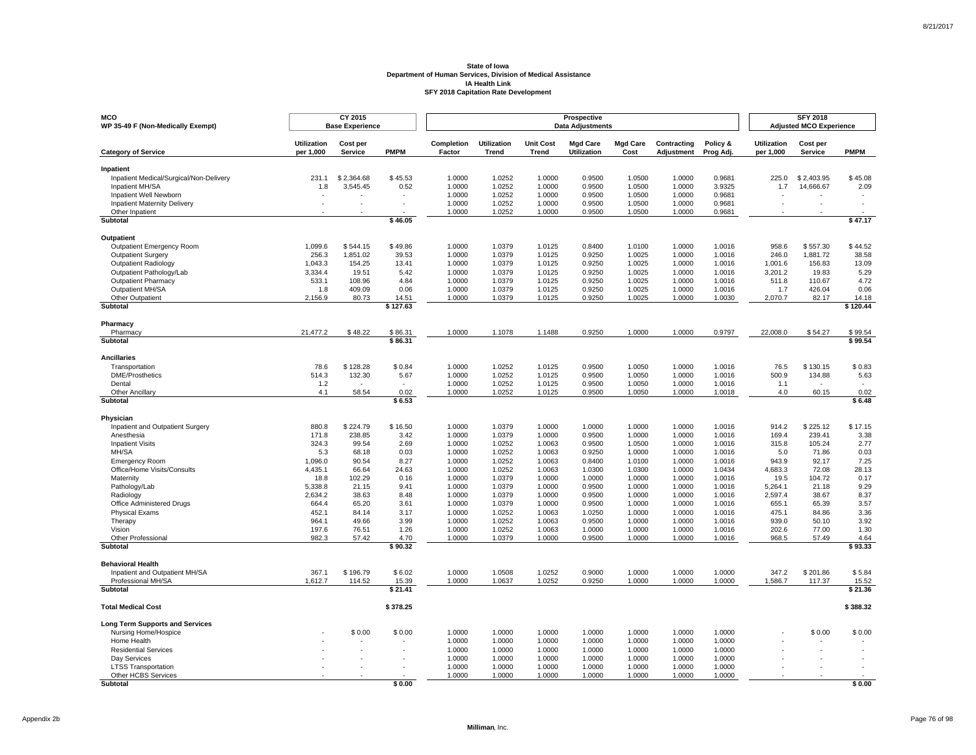| <b>MCO</b><br>WP 35-49 F (Non-Medically Exempt)         |                                 | CY 2015<br><b>Base Experience</b> |                  |                      |                             |                                  | Prospective<br><b>Data Adjustments</b> |                         |                           |                       |                                 | <b>SFY 2018</b><br><b>Adjusted MCO Experience</b> |                  |
|---------------------------------------------------------|---------------------------------|-----------------------------------|------------------|----------------------|-----------------------------|----------------------------------|----------------------------------------|-------------------------|---------------------------|-----------------------|---------------------------------|---------------------------------------------------|------------------|
| <b>Category of Service</b>                              | <b>Utilization</b><br>per 1.000 | Cost per<br><b>Service</b>        | <b>PMPM</b>      | Completion<br>Factor | Utilization<br><b>Trend</b> | <b>Unit Cost</b><br><b>Trend</b> | <b>Mgd Care</b><br><b>Utilization</b>  | <b>Mgd Care</b><br>Cost | Contracting<br>Adjustment | Policy &<br>Prog Adj. | <b>Utilization</b><br>per 1,000 | Cost per<br><b>Service</b>                        | <b>PMPM</b>      |
| Inpatient                                               |                                 |                                   |                  |                      |                             |                                  |                                        |                         |                           |                       |                                 |                                                   |                  |
| Inpatient Medical/Surgical/Non-Delivery                 | 231.1                           | \$2,364.68                        | \$45.53          | 1.0000               | 1.0252                      | 1.0000                           | 0.9500                                 | 1.0500                  | 1.0000                    | 0.9681                | 225.0                           | \$2,403.95                                        | \$45.08          |
| Inpatient MH/SA<br>Inpatient Well Newborn               | 1.8                             | 3,545.45                          | 0.52             | 1.0000<br>1.0000     | 1.0252<br>1.0252            | 1.0000<br>1.0000                 | 0.9500<br>0.9500                       | 1.0500<br>1.0500        | 1.0000<br>1.0000          | 3.9325<br>0.9681      | 1.7                             | 14,666.67                                         | 2.09             |
| <b>Inpatient Maternity Delivery</b>                     |                                 |                                   |                  | 1.0000               | 1.0252                      | 1.0000                           | 0.9500                                 | 1.0500                  | 1.0000                    | 0.9681                |                                 |                                                   |                  |
| Other Inpatient                                         |                                 |                                   |                  | 1.0000               | 1.0252                      | 1.0000                           | 0.9500                                 | 1.0500                  | 1.0000                    | 0.9681                |                                 |                                                   |                  |
| Subtotal                                                |                                 |                                   | \$46.05          |                      |                             |                                  |                                        |                         |                           |                       |                                 |                                                   | \$47.17          |
| Outpatient                                              |                                 |                                   |                  |                      |                             |                                  |                                        |                         |                           |                       |                                 |                                                   |                  |
| <b>Outpatient Emergency Room</b>                        | 1,099.6                         | \$544.15                          | \$49.86          | 1.0000               | 1.0379                      | 1.0125                           | 0.8400                                 | 1.0100                  | 1.0000                    | 1.0016                | 958.6                           | \$557.30                                          | \$44.52          |
| <b>Outpatient Surgery</b>                               | 256.3                           | 1,851.02                          | 39.53            | 1.0000               | 1.0379                      | 1.0125                           | 0.9250                                 | 1.0025                  | 1.0000                    | 1.0016                | 246.0                           | 1,881.72                                          | 38.58            |
| <b>Outpatient Radiology</b><br>Outpatient Pathology/Lab | 1,043.3<br>3,334.4              | 154.25<br>19.51                   | 13.41<br>5.42    | 1.0000<br>1.0000     | 1.0379<br>1.0379            | 1.0125<br>1.0125                 | 0.9250<br>0.9250                       | 1.0025<br>1.0025        | 1.0000<br>1.0000          | 1.0016<br>1.0016      | 1,001.6<br>3,201.2              | 156.83<br>19.83                                   | 13.09<br>5.29    |
| <b>Outpatient Pharmacy</b>                              | 533.1                           | 108.96                            | 4.84             | 1.0000               | 1.0379                      | 1.0125                           | 0.9250                                 | 1.0025                  | 1.0000                    | 1.0016                | 511.8                           | 110.67                                            | 4.72             |
| Outpatient MH/SA                                        | 1.8                             | 409.09                            | 0.06             | 1.0000               | 1.0379                      | 1.0125                           | 0.9250                                 | 1.0025                  | 1.0000                    | 1.0016                | 1.7                             | 426.04                                            | 0.06             |
| Other Outpatient                                        | 2,156.9                         | 80.73                             | 14.51            | 1.0000               | 1.0379                      | 1.0125                           | 0.9250                                 | 1.0025                  | 1.0000                    | 1.0030                | 2,070.7                         | 82.17                                             | 14.18            |
| Subtotal                                                |                                 |                                   | \$127.63         |                      |                             |                                  |                                        |                         |                           |                       |                                 |                                                   | \$120.44         |
| Pharmacy                                                |                                 |                                   |                  |                      |                             |                                  |                                        |                         |                           |                       |                                 |                                                   |                  |
| Pharmacy                                                | 21,477.2                        | \$48.22                           | \$86.31          | 1.0000               | 1.1078                      | 1.1488                           | 0.9250                                 | 1.0000                  | 1.0000                    | 0.9797                | 22,008.0                        | \$54.27                                           | \$99.54          |
| Subtotal                                                |                                 |                                   | \$86.31          |                      |                             |                                  |                                        |                         |                           |                       |                                 |                                                   | \$99.54          |
| <b>Ancillaries</b>                                      |                                 |                                   |                  |                      |                             |                                  |                                        |                         |                           |                       |                                 |                                                   |                  |
| Transportation                                          | 78.6                            | \$128.28                          | \$0.84           | 1.0000               | 1.0252                      | 1.0125                           | 0.9500                                 | 1.0050                  | 1.0000                    | 1.0016                | 76.5                            | \$130.15                                          | \$0.83           |
| <b>DME/Prosthetics</b>                                  | 514.3                           | 132.30                            | 5.67             | 1.0000               | 1.0252                      | 1.0125                           | 0.9500                                 | 1.0050                  | 1.0000                    | 1.0016                | 500.9                           | 134.88                                            | 5.63             |
| Dental<br>Other Ancillary                               | 1.2<br>4.1                      | 58.54                             | 0.02             | 1.0000<br>1.0000     | 1.0252<br>1.0252            | 1.0125<br>1.0125                 | 0.9500<br>0.9500                       | 1.0050<br>1.0050        | 1.0000<br>1.0000          | 1.0016<br>1.0018      | 1.1<br>4.0                      | 60.15                                             | 0.02             |
| Subtotal                                                |                                 |                                   | \$6.53           |                      |                             |                                  |                                        |                         |                           |                       |                                 |                                                   | \$6.48           |
| Physician                                               |                                 |                                   |                  |                      |                             |                                  |                                        |                         |                           |                       |                                 |                                                   |                  |
| Inpatient and Outpatient Surgery                        | 880.8                           | \$224.79                          | \$16.50          | 1.0000               | 1.0379                      | 1.0000                           | 1.0000                                 | 1.0000                  | 1.0000                    | 1.0016                | 914.2                           | \$225.12                                          | \$17.15          |
| Anesthesia                                              | 171.8                           | 238.85                            | 3.42             | 1.0000               | 1.0379                      | 1.0000                           | 0.9500                                 | 1.0000                  | 1.0000                    | 1.0016                | 169.4                           | 239.41                                            | 3.38             |
| <b>Inpatient Visits</b>                                 | 324.3                           | 99.54                             | 2.69             | 1.0000               | 1.0252                      | 1.0063                           | 0.9500                                 | 1.0500                  | 1.0000                    | 1.0016                | 315.8                           | 105.24                                            | 2.77             |
| MH/SA                                                   | 5.3                             | 68.18                             | 0.03             | 1.0000               | 1.0252                      | 1.0063                           | 0.9250                                 | 1.0000                  | 1.0000                    | 1.0016                | 5.0                             | 71.86                                             | 0.03<br>7.25     |
| <b>Emergency Room</b><br>Office/Home Visits/Consults    | 1,096.0<br>4,435.1              | 90.54<br>66.64                    | 8.27<br>24.63    | 1.0000<br>1.0000     | 1.0252<br>1.0252            | 1.0063<br>1.0063                 | 0.8400<br>1.0300                       | 1.0100<br>1.0300        | 1.0000<br>1.0000          | 1.0016<br>1.0434      | 943.9<br>4,683.3                | 92.17<br>72.08                                    | 28.13            |
| Maternity                                               | 18.8                            | 102.29                            | 0.16             | 1.0000               | 1.0379                      | 1.0000                           | 1.0000                                 | 1.0000                  | 1.0000                    | 1.0016                | 19.5                            | 104.72                                            | 0.17             |
| Pathology/Lab                                           | 5.338.8                         | 21.15                             | 9.41             | 1.0000               | 1.0379                      | 1.0000                           | 0.9500                                 | 1.0000                  | 1.0000                    | 1.0016                | 5.264.1                         | 21.18                                             | 9.29             |
| Radiology                                               | 2,634.2                         | 38.63                             | 8.48             | 1.0000               | 1.0379                      | 1.0000                           | 0.9500                                 | 1.0000                  | 1.0000                    | 1.0016                | 2,597.4                         | 38.67                                             | 8.37             |
| Office Administered Drugs                               | 664.4                           | 65.20                             | 3.61             | 1.0000               | 1.0379                      | 1.0000                           | 0.9500                                 | 1.0000                  | 1.0000                    | 1.0016                | 655.1                           | 65.39                                             | 3.57             |
| <b>Physical Exams</b><br>Therapy                        | 452.1<br>964.1                  | 84.14<br>49.66                    | 3.17<br>3.99     | 1.0000<br>1.0000     | 1.0252<br>1.0252            | 1.0063<br>1.0063                 | 1.0250<br>0.9500                       | 1.0000<br>1.0000        | 1.0000<br>1.0000          | 1.0016<br>1.0016      | 475.1<br>939.0                  | 84.86<br>50.10                                    | 3.36<br>3.92     |
| Vision                                                  | 197.6                           | 76.51                             | 1.26             | 1.0000               | 1.0252                      | 1.0063                           | 1.0000                                 | 1.0000                  | 1.0000                    | 1.0016                | 202.6                           | 77.00                                             | 1.30             |
| <b>Other Professional</b>                               | 982.3                           | 57.42                             | 4.70             | 1.0000               | 1.0379                      | 1.0000                           | 0.9500                                 | 1.0000                  | 1.0000                    | 1.0016                | 968.5                           | 57.49                                             | 4.64             |
| <b>Subtotal</b>                                         |                                 |                                   | \$90.32          |                      |                             |                                  |                                        |                         |                           |                       |                                 |                                                   | \$93.33          |
| <b>Behavioral Health</b>                                |                                 |                                   |                  |                      |                             |                                  |                                        |                         |                           |                       |                                 |                                                   |                  |
| Inpatient and Outpatient MH/SA                          | 367.1                           | \$196.79                          | \$6.02           | 1.0000               | 1.0508                      | 1.0252                           | 0.9000                                 | 1.0000                  | 1.0000                    | 1.0000                | 347.2                           | \$201.86                                          | \$5.84           |
| Professional MH/SA<br>Subtotal                          | 1,612.7                         | 114.52                            | 15.39<br>\$21.41 | 1.0000               | 1.0637                      | 1.0252                           | 0.9250                                 | 1.0000                  | 1.0000                    | 1.0000                | 1,586.7                         | 117.37                                            | 15.52<br>\$21.36 |
|                                                         |                                 |                                   |                  |                      |                             |                                  |                                        |                         |                           |                       |                                 |                                                   |                  |
| <b>Total Medical Cost</b>                               |                                 |                                   | \$378.25         |                      |                             |                                  |                                        |                         |                           |                       |                                 |                                                   | \$388.32         |
| <b>Long Term Supports and Services</b>                  |                                 |                                   |                  |                      |                             |                                  |                                        |                         |                           |                       |                                 |                                                   |                  |
| Nursing Home/Hospice                                    |                                 | \$0.00                            | \$0.00           | 1.0000               | 1.0000                      | 1.0000                           | 1.0000                                 | 1.0000                  | 1.0000                    | 1.0000                |                                 | \$0.00                                            | \$0.00           |
| Home Health<br><b>Residential Services</b>              |                                 |                                   |                  | 1.0000<br>1.0000     | 1.0000<br>1.0000            | 1.0000<br>1.0000                 | 1.0000<br>1.0000                       | 1.0000<br>1.0000        | 1.0000<br>1.0000          | 1.0000<br>1.0000      |                                 |                                                   |                  |
| Day Services                                            |                                 |                                   |                  | 1.0000               | 1.0000                      | 1.0000                           | 1.0000                                 | 1.0000                  | 1.0000                    | 1.0000                |                                 |                                                   |                  |
| <b>LTSS Transportation</b>                              |                                 |                                   |                  | 1.0000               | 1.0000                      | 1.0000                           | 1.0000                                 | 1.0000                  | 1.0000                    | 1.0000                |                                 |                                                   |                  |
| Other HCBS Services                                     |                                 |                                   |                  | 1.0000               | 1.0000                      | 1.0000                           | 1.0000                                 | 1.0000                  | 1.0000                    | 1.0000                |                                 |                                                   |                  |
| <b>Subtotal</b>                                         |                                 |                                   | \$0.00           |                      |                             |                                  |                                        |                         |                           |                       |                                 |                                                   | \$0.00           |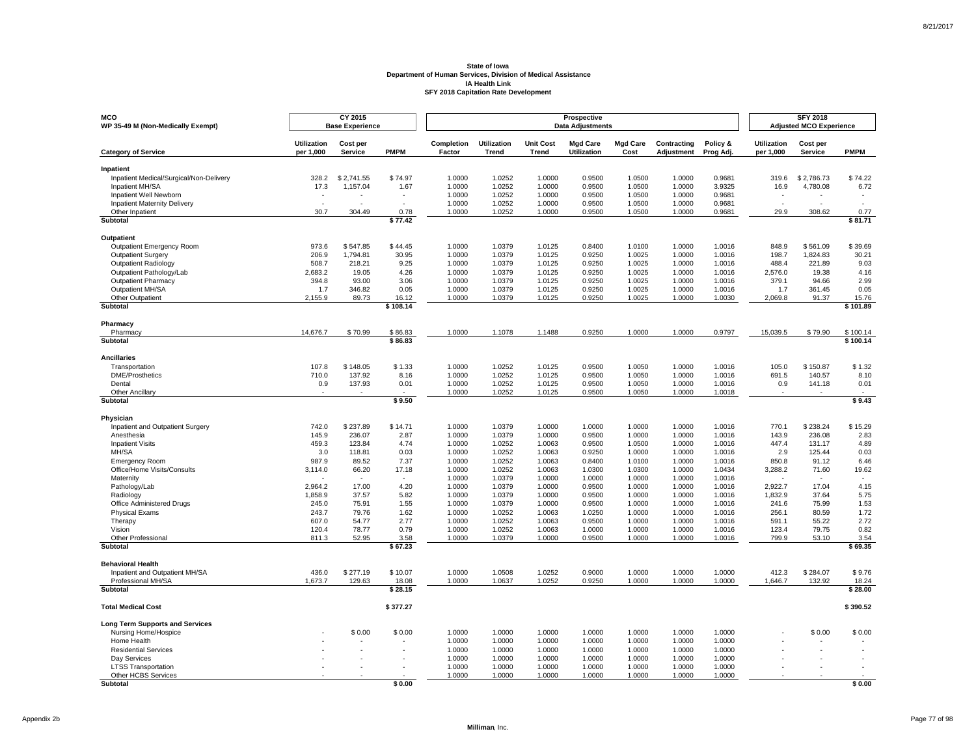| <b>MCO</b><br>WP 35-49 M (Non-Medically Exempt)      |                                 | CY 2015<br><b>Base Experience</b> |                    |                      |                             |                                  | Prospective<br><b>Data Adjustments</b> |                         |                           |                       |                                 | <b>SFY 2018</b><br><b>Adjusted MCO Experience</b> |                      |
|------------------------------------------------------|---------------------------------|-----------------------------------|--------------------|----------------------|-----------------------------|----------------------------------|----------------------------------------|-------------------------|---------------------------|-----------------------|---------------------------------|---------------------------------------------------|----------------------|
| <b>Category of Service</b>                           | <b>Utilization</b><br>per 1,000 | Cost per<br>Service               | <b>PMPM</b>        | Completion<br>Factor | <b>Utilization</b><br>Trend | <b>Unit Cost</b><br><b>Trend</b> | <b>Mgd Care</b><br><b>Utilization</b>  | <b>Mgd Care</b><br>Cost | Contracting<br>Adjustment | Policy &<br>Prog Adj. | <b>Utilization</b><br>per 1,000 | Cost per<br>Service                               | <b>PMPM</b>          |
| Inpatient                                            |                                 |                                   |                    |                      |                             |                                  |                                        |                         |                           |                       |                                 |                                                   |                      |
| Inpatient Medical/Surgical/Non-Delivery              | 328.2                           | \$2,741.55                        | \$74.97            | 1.0000               | 1.0252                      | 1.0000                           | 0.9500                                 | 1.0500                  | 1.0000                    | 0.9681                | 319.6                           | \$2,786.73                                        | \$74.22              |
| Inpatient MH/SA                                      | 17.3                            | 1,157.04                          | 1.67               | 1.0000               | 1.0252                      | 1.0000                           | 0.9500                                 | 1.0500                  | 1.0000                    | 3.9325                | 16.9                            | 4,780.08                                          | 6.72                 |
| Inpatient Well Newborn                               |                                 |                                   | $\sim$             | 1.0000               | 1.0252                      | 1.0000                           | 0.9500                                 | 1.0500                  | 1.0000                    | 0.9681                | $\sim$                          |                                                   |                      |
| <b>Inpatient Maternity Delivery</b>                  |                                 |                                   |                    | 1.0000               | 1.0252                      | 1.0000                           | 0.9500                                 | 1.0500                  | 1.0000                    | 0.9681                |                                 |                                                   |                      |
| Other Inpatient                                      | 30.7                            | 304.49                            | 0.78               | 1.0000               | 1.0252                      | 1.0000                           | 0.9500                                 | 1.0500                  | 1.0000                    | 0.9681                | 29.9                            | 308.62                                            | 0.77                 |
| Subtotal                                             |                                 |                                   | \$77.42            |                      |                             |                                  |                                        |                         |                           |                       |                                 |                                                   | \$81.71              |
| Outpatient                                           |                                 |                                   |                    |                      |                             |                                  |                                        |                         |                           |                       |                                 |                                                   |                      |
| Outpatient Emergency Room                            | 973.6                           | \$547.85                          | \$44.45            | 1.0000               | 1.0379                      | 1.0125                           | 0.8400                                 | 1.0100                  | 1.0000                    | 1.0016                | 848.9                           | \$561.09                                          | \$39.69              |
| Outpatient Surgery                                   | 206.9                           | 1,794.81                          | 30.95              | 1.0000               | 1.0379                      | 1.0125                           | 0.9250                                 | 1.0025                  | 1.0000                    | 1.0016                | 198.7                           | 1,824.83                                          | 30.21                |
| Outpatient Radiology                                 | 508.7                           | 218.21                            | 9.25               | 1.0000               | 1.0379                      | 1.0125                           | 0.9250                                 | 1.0025                  | 1.0000                    | 1.0016                | 488.4                           | 221.89                                            | 9.03                 |
| Outpatient Pathology/Lab                             | 2,683.2                         | 19.05                             | 4.26               | 1.0000               | 1.0379                      | 1.0125                           | 0.9250                                 | 1.0025                  | 1.0000                    | 1.0016                | 2,576.0                         | 19.38                                             | 4.16                 |
| <b>Outpatient Pharmacy</b>                           | 394.8                           | 93.00                             | 3.06               | 1.0000               | 1.0379                      | 1.0125                           | 0.9250                                 | 1.0025                  | 1.0000                    | 1.0016                | 379.1                           | 94.66                                             | 2.99                 |
| Outpatient MH/SA                                     | 1.7                             | 346.82                            | 0.05               | 1.0000               | 1.0379                      | 1.0125                           | 0.9250                                 | 1.0025                  | 1.0000                    | 1.0016                | 1.7                             | 361.45                                            | 0.05                 |
| Other Outpatient                                     | 2,155.9                         | 89.73                             | 16.12<br>\$108.14  | 1.0000               | 1.0379                      | 1.0125                           | 0.9250                                 | 1.0025                  | 1.0000                    | 1.0030                | 2,069.8                         | 91.37                                             | 15.76<br>\$101.89    |
| Subtotal                                             |                                 |                                   |                    |                      |                             |                                  |                                        |                         |                           |                       |                                 |                                                   |                      |
| Pharmacy                                             |                                 |                                   |                    |                      |                             |                                  |                                        |                         |                           |                       |                                 |                                                   |                      |
| Pharmacy<br><b>Subtotal</b>                          | 14.676.7                        | \$70.99                           | \$86.83<br>\$86.83 | 1.0000               | 1.1078                      | 1.1488                           | 0.9250                                 | 1.0000                  | 1.0000                    | 0.9797                | 15.039.5                        | \$79.90                                           | \$100.14<br>\$100.14 |
|                                                      |                                 |                                   |                    |                      |                             |                                  |                                        |                         |                           |                       |                                 |                                                   |                      |
| <b>Ancillaries</b>                                   |                                 |                                   |                    |                      |                             |                                  |                                        |                         |                           |                       |                                 |                                                   |                      |
| Transportation                                       | 107.8                           | \$148.05                          | \$1.33             | 1.0000               | 1.0252                      | 1.0125                           | 0.9500                                 | 1.0050                  | 1.0000                    | 1.0016                | 105.0                           | \$150.87                                          | \$1.32               |
| <b>DME/Prosthetics</b>                               | 710.0                           | 137.92                            | 8.16               | 1.0000               | 1.0252                      | 1.0125                           | 0.9500                                 | 1.0050                  | 1.0000                    | 1.0016                | 691.5                           | 140.57                                            | 8.10                 |
| Dental                                               | 0.9                             | 137.93                            | 0.01               | 1.0000               | 1.0252                      | 1.0125                           | 0.9500                                 | 1.0050                  | 1.0000                    | 1.0016                | 0.9                             | 141.18                                            | 0.01                 |
| Other Ancillary<br>Subtotal                          |                                 |                                   | \$9.50             | 1.0000               | 1.0252                      | 1.0125                           | 0.9500                                 | 1.0050                  | 1.0000                    | 1.0018                |                                 |                                                   | \$9.43               |
|                                                      |                                 |                                   |                    |                      |                             |                                  |                                        |                         |                           |                       |                                 |                                                   |                      |
| Physician<br>Inpatient and Outpatient Surgery        | 742.0                           | \$237.89                          | \$14.71            | 1.0000               | 1.0379                      | 1.0000                           | 1.0000                                 | 1.0000                  | 1.0000                    | 1.0016                | 770.1                           | \$238.24                                          | \$15.29              |
| Anesthesia                                           | 145.9                           | 236.07                            | 2.87               | 1.0000               | 1.0379                      | 1.0000                           | 0.9500                                 | 1.0000                  | 1.0000                    | 1.0016                | 143.9                           | 236.08                                            | 2.83                 |
| <b>Inpatient Visits</b>                              | 459.3                           | 123.84                            | 4.74               | 1.0000               | 1.0252                      | 1.0063                           | 0.9500                                 | 1.0500                  | 1.0000                    | 1.0016                | 447.4                           | 131.17                                            | 4.89                 |
| MH/SA                                                | 3.0                             | 118.81                            | 0.03               | 1.0000               | 1.0252                      | 1.0063                           | 0.9250                                 | 1.0000                  | 1.0000                    | 1.0016                | 2.9                             | 125.44                                            | 0.03                 |
| <b>Emergency Room</b>                                | 987.9                           | 89.52                             | 7.37               | 1.0000               | 1.0252                      | 1.0063                           | 0.8400                                 | 1.0100                  | 1.0000                    | 1.0016                | 850.8                           | 91.12                                             | 6.46                 |
| Office/Home Visits/Consults                          | 3,114.0                         | 66.20                             | 17.18              | 1.0000               | 1.0252                      | 1.0063                           | 1.0300                                 | 1.0300                  | 1.0000                    | 1.0434                | 3,288.2                         | 71.60                                             | 19.62                |
| Maternity                                            |                                 |                                   |                    | 1.0000               | 1.0379                      | 1.0000                           | 1.0000                                 | 1.0000                  | 1.0000                    | 1.0016                |                                 |                                                   |                      |
| Pathology/Lab                                        | 2,964.2                         | 17.00                             | 4.20               | 1.0000               | 1.0379                      | 1.0000                           | 0.9500                                 | 1.0000                  | 1.0000                    | 1.0016                | 2,922.7                         | 17.04                                             | 4.15                 |
| Radiology                                            | 1.858.9                         | 37.57                             | 5.82               | 1.0000               | 1.0379                      | 1.0000                           | 0.9500                                 | 1.0000                  | 1.0000                    | 1.0016                | 1.832.9                         | 37.64                                             | 5.75                 |
| Office Administered Drugs                            | 245.0                           | 75.91                             | 1.55               | 1.0000               | 1.0379                      | 1.0000                           | 0.9500                                 | 1.0000                  | 1.0000                    | 1.0016                | 241.6                           | 75.99                                             | 1.53                 |
| <b>Physical Exams</b>                                | 243.7                           | 79.76                             | 1.62               | 1.0000               | 1.0252                      | 1.0063                           | 1.0250                                 | 1.0000                  | 1.0000                    | 1.0016                | 256.1                           | 80.59                                             | 1.72                 |
| Therapy                                              | 607.0                           | 54.77                             | 2.77               | 1.0000               | 1.0252                      | 1.0063                           | 0.9500                                 | 1.0000                  | 1.0000                    | 1.0016                | 591.1                           | 55.22                                             | 2.72                 |
| Vision                                               | 120.4                           | 78.77                             | 0.79               | 1.0000               | 1.0252                      | 1.0063                           | 1.0000                                 | 1.0000                  | 1.0000                    | 1.0016                | 123.4                           | 79.75                                             | 0.82                 |
| Other Professional<br><b>Subtotal</b>                | 811.3                           | 52.95                             | 3.58<br>\$67.23    | 1.0000               | 1.0379                      | 1.0000                           | 0.9500                                 | 1.0000                  | 1.0000                    | 1.0016                | 799.9                           | 53.10                                             | 3.54<br>\$69.35      |
|                                                      |                                 |                                   |                    |                      |                             |                                  |                                        |                         |                           |                       |                                 |                                                   |                      |
| <b>Behavioral Health</b>                             |                                 |                                   |                    |                      |                             |                                  |                                        |                         |                           |                       |                                 |                                                   |                      |
| Inpatient and Outpatient MH/SA<br>Professional MH/SA | 436.0                           | \$277.19                          | \$10.07<br>18.08   | 1.0000<br>1.0000     | 1.0508<br>1.0637            | 1.0252                           | 0.9000<br>0.9250                       | 1.0000<br>1.0000        | 1.0000<br>1.0000          | 1.0000                | 412.3                           | \$284.07<br>132.92                                | \$9.76<br>18.24      |
| <b>Subtotal</b>                                      | 1,673.7                         | 129.63                            | \$28.15            |                      |                             | 1.0252                           |                                        |                         |                           | 1.0000                | 1,646.7                         |                                                   | \$28.00              |
|                                                      |                                 |                                   |                    |                      |                             |                                  |                                        |                         |                           |                       |                                 |                                                   |                      |
| <b>Total Medical Cost</b>                            |                                 |                                   | \$377.27           |                      |                             |                                  |                                        |                         |                           |                       |                                 |                                                   | \$390.52             |
| <b>Long Term Supports and Services</b>               |                                 |                                   |                    |                      |                             |                                  |                                        |                         |                           |                       |                                 |                                                   |                      |
| Nursing Home/Hospice                                 |                                 | \$0.00                            | \$0.00             | 1.0000               | 1.0000                      | 1.0000                           | 1.0000                                 | 1.0000                  | 1.0000                    | 1.0000                |                                 | \$0.00                                            | \$0.00               |
| Home Health                                          |                                 |                                   |                    | 1.0000               | 1.0000                      | 1.0000                           | 1.0000                                 | 1.0000                  | 1.0000                    | 1.0000                |                                 |                                                   |                      |
| <b>Residential Services</b>                          |                                 |                                   |                    | 1.0000               | 1.0000                      | 1.0000                           | 1.0000                                 | 1.0000                  | 1.0000                    | 1.0000                |                                 |                                                   |                      |
| Day Services                                         |                                 |                                   |                    | 1.0000               | 1.0000                      | 1.0000                           | 1.0000                                 | 1.0000                  | 1.0000                    | 1.0000                |                                 |                                                   |                      |
| <b>LTSS Transportation</b>                           |                                 |                                   |                    | 1.0000               | 1.0000                      | 1.0000                           | 1.0000                                 | 1.0000                  | 1.0000                    | 1.0000                |                                 |                                                   |                      |
| Other HCBS Services                                  |                                 |                                   |                    | 1.0000               | 1.0000                      | 1.0000                           | 1.0000                                 | 1.0000                  | 1.0000                    | 1.0000                |                                 |                                                   |                      |
| <b>Subtotal</b>                                      |                                 |                                   | \$0.00             |                      |                             |                                  |                                        |                         |                           |                       |                                 |                                                   | \$0.00               |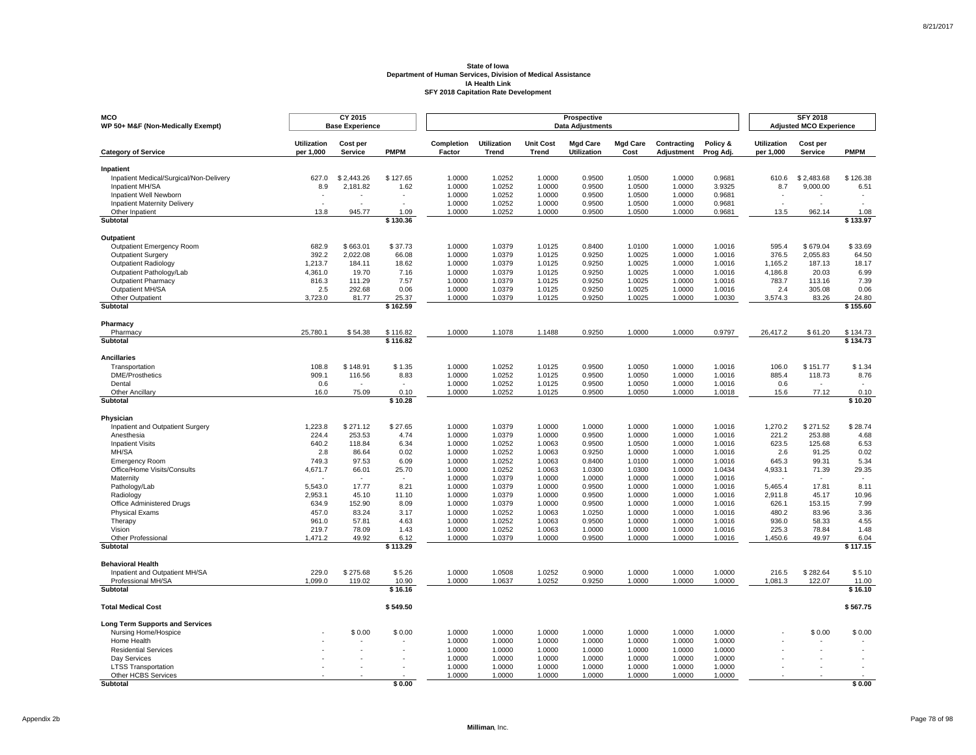| <b>MCO</b><br>WP 50+ M&F (Non-Medically Exempt)               |                    | CY 2015<br><b>Base Experience</b> |                      |                  |                    |                  | Prospective<br><b>Data Adjustments</b> |                  |                  |                  |                    | <b>SFY 2018</b><br><b>Adjusted MCO Experience</b> |                      |
|---------------------------------------------------------------|--------------------|-----------------------------------|----------------------|------------------|--------------------|------------------|----------------------------------------|------------------|------------------|------------------|--------------------|---------------------------------------------------|----------------------|
|                                                               | <b>Utilization</b> | Cost per                          |                      | Completion       | <b>Utilization</b> | <b>Unit Cost</b> | <b>Mgd Care</b>                        | <b>Mgd Care</b>  | Contracting      | Policy &         | <b>Utilization</b> | Cost per                                          |                      |
| <b>Category of Service</b>                                    | per 1,000          | Service                           | <b>PMPM</b>          | Factor           | <b>Trend</b>       | Trend            | Utilization                            | Cost             | Adjustment       | Prog Adj.        | per 1,000          | Service                                           | <b>PMPM</b>          |
| Inpatient                                                     |                    |                                   |                      |                  |                    |                  |                                        |                  |                  |                  |                    |                                                   |                      |
| Inpatient Medical/Surgical/Non-Delivery                       | 627.0              | \$2,443.26                        | \$127.65             | 1.0000           | 1.0252             | 1.0000           | 0.9500                                 | 1.0500           | 1.0000           | 0.9681           | 610.6              | \$2,483.68                                        | \$126.38             |
| Inpatient MH/SA                                               | 8.9                | 2,181.82                          | 1.62                 | 1.0000           | 1.0252             | 1.0000           | 0.9500                                 | 1.0500           | 1.0000           | 3.9325           | 8.7                | 9,000.00                                          | 6.51                 |
| Inpatient Well Newborn<br><b>Inpatient Maternity Delivery</b> |                    |                                   |                      | 1.0000<br>1.0000 | 1.0252<br>1.0252   | 1.0000<br>1.0000 | 0.9500<br>0.9500                       | 1.0500<br>1.0500 | 1.0000<br>1.0000 | 0.9681<br>0.9681 |                    |                                                   |                      |
| Other Inpatient                                               | 13.8               | 945.77                            | 1.09                 | 1.0000           | 1.0252             | 1.0000           | 0.9500                                 | 1.0500           | 1.0000           | 0.9681           | 13.5               | 962.14                                            | 1.08                 |
| <b>Subtotal</b>                                               |                    |                                   | \$130.36             |                  |                    |                  |                                        |                  |                  |                  |                    |                                                   | \$133.97             |
| <b>Outpatient</b>                                             |                    |                                   |                      |                  |                    |                  |                                        |                  |                  |                  |                    |                                                   |                      |
| Outpatient Emergency Room                                     | 682.9              | \$663.01                          | \$37.73              | 1.0000           | 1.0379             | 1.0125           | 0.8400                                 | 1.0100           | 1.0000           | 1.0016           | 595.4              | \$679.04                                          | \$33.69              |
| <b>Outpatient Surgery</b>                                     | 392.2              | 2,022.08                          | 66.08                | 1.0000           | 1.0379             | 1.0125           | 0.9250                                 | 1.0025           | 1.0000           | 1.0016           | 376.5              | 2,055.83                                          | 64.50                |
| <b>Outpatient Radiology</b>                                   | 1,213.7            | 184.11                            | 18.62                | 1.0000           | 1.0379             | 1.0125           | 0.9250                                 | 1.0025           | 1.0000           | 1.0016           | 1,165.2            | 187.13                                            | 18.17                |
| Outpatient Pathology/Lab                                      | 4,361.0            | 19.70                             | 7.16                 | 1.0000           | 1.0379             | 1.0125           | 0.9250                                 | 1.0025           | 1.0000           | 1.0016           | 4,186.8            | 20.03                                             | 6.99                 |
| <b>Outpatient Pharmacy</b>                                    | 816.3              | 111.29                            | 7.57                 | 1.0000           | 1.0379             | 1.0125           | 0.9250                                 | 1.0025           | 1.0000           | 1.0016           | 783.7              | 113.16                                            | 7.39                 |
| Outpatient MH/SA                                              | 2.5                | 292.68                            | 0.06                 | 1.0000           | 1.0379             | 1.0125           | 0.9250                                 | 1.0025           | 1.0000           | 1.0016           | 2.4                | 305.08                                            | 0.06                 |
| Other Outpatient                                              | 3,723.0            | 81.77                             | 25.37                | 1.0000           | 1.0379             | 1.0125           | 0.9250                                 | 1.0025           | 1.0000           | 1.0030           | 3,574.3            | 83.26                                             | 24.80                |
| <b>Subtotal</b>                                               |                    |                                   | \$162.59             |                  |                    |                  |                                        |                  |                  |                  |                    |                                                   | \$155.60             |
| Pharmacy                                                      |                    |                                   |                      |                  |                    |                  |                                        |                  |                  |                  |                    |                                                   |                      |
| Pharmac<br><b>Subtotal</b>                                    | 25,780.1           | \$54.38                           | \$116.82<br>\$116.82 | 1.0000           | 1.1078             | 1.1488           | 0.9250                                 | 1.0000           | 1.0000           | 0.9797           | 26,417.2           | \$61.20                                           | \$134.73<br>\$134.73 |
|                                                               |                    |                                   |                      |                  |                    |                  |                                        |                  |                  |                  |                    |                                                   |                      |
| <b>Ancillaries</b>                                            |                    |                                   |                      |                  |                    |                  |                                        |                  |                  |                  |                    |                                                   |                      |
| Transportation                                                | 108.8              | \$148.91                          | \$1.35               | 1.0000           | 1.0252             | 1.0125           | 0.9500                                 | 1.0050           | 1.0000           | 1.0016           | 106.0              | \$151.77                                          | \$1.34               |
| <b>DME/Prosthetics</b><br>Dental                              | 909.1<br>0.6       | 116.56                            | 8.83<br>$\sim$       | 1.0000           | 1.0252<br>1.0252   | 1.0125<br>1.0125 | 0.9500                                 | 1.0050<br>1.0050 | 1.0000<br>1.0000 | 1.0016<br>1.0016 | 885.4<br>0.6       | 118.73                                            | 8.76                 |
| Other Ancillary                                               | 16.0               | 75.09                             | 0.10                 | 1.0000<br>1.0000 | 1.0252             | 1.0125           | 0.9500<br>0.9500                       | 1.0050           | 1.0000           | 1.0018           | 15.6               | 77.12                                             | 0.10                 |
| <b>Subtotal</b>                                               |                    |                                   | \$10.28              |                  |                    |                  |                                        |                  |                  |                  |                    |                                                   | \$10.20              |
| Physician                                                     |                    |                                   |                      |                  |                    |                  |                                        |                  |                  |                  |                    |                                                   |                      |
| Inpatient and Outpatient Surgery                              | 1,223.8            | \$271.12                          | \$27.65              | 1.0000           | 1.0379             | 1.0000           | 1.0000                                 | 1.0000           | 1.0000           | 1.0016           | 1,270.2            | \$271.52                                          | \$28.74              |
| Anesthesia                                                    | 224.4              | 253.53                            | 4.74                 | 1.0000           | 1.0379             | 1.0000           | 0.9500                                 | 1.0000           | 1.0000           | 1.0016           | 221.2              | 253.88                                            | 4.68                 |
| <b>Inpatient Visits</b>                                       | 640.2              | 118.84                            | 6.34                 | 1.0000           | 1.0252             | 1.0063           | 0.9500                                 | 1.0500           | 1.0000           | 1.0016           | 623.5              | 125.68                                            | 6.53                 |
| MH/SA                                                         | 2.8                | 86.64                             | 0.02                 | 1.0000           | 1.0252             | 1.0063           | 0.9250                                 | 1.0000           | 1.0000           | 1.0016           | 2.6                | 91.25                                             | 0.02                 |
| <b>Emergency Room</b>                                         | 749.3              | 97.53                             | 6.09                 | 1.0000           | 1.0252             | 1.0063           | 0.8400                                 | 1.0100           | 1.0000           | 1.0016           | 645.3              | 99.31                                             | 5.34                 |
| Office/Home Visits/Consults                                   | 4,671.7            | 66.01                             | 25.70                | 1.0000           | 1.0252             | 1.0063           | 1.0300                                 | 1.0300           | 1.0000           | 1.0434           | 4,933.1            | 71.39                                             | 29.35                |
| Maternity                                                     |                    |                                   |                      | 1.0000           | 1.0379             | 1.0000           | 1.0000                                 | 1.0000           | 1.0000           | 1.0016           |                    |                                                   |                      |
| Pathology/Lab                                                 | 5,543.0            | 17.77                             | 8.21                 | 1.0000           | 1.0379             | 1.0000           | 0.9500                                 | 1.0000           | 1.0000           | 1.0016           | 5,465.4            | 17.81                                             | 8.11                 |
| Radiology                                                     | 2,953.1            | 45.10                             | 11.10                | 1.0000           | 1.0379             | 1.0000           | 0.9500                                 | 1.0000           | 1.0000           | 1.0016           | 2,911.8            | 45.17                                             | 10.96                |
| Office Administered Drugs                                     | 634.9              | 152.90                            | 8.09                 | 1.0000           | 1.0379             | 1.0000           | 0.9500                                 | 1.0000           | 1.0000           | 1.0016           | 626.1              | 153.15                                            | 7.99                 |
| <b>Physical Exams</b>                                         | 457.0              | 83.24                             | 3.17                 | 1.0000           | 1.0252             | 1.0063           | 1.0250                                 | 1.0000           | 1.0000           | 1.0016           | 480.2              | 83.96                                             | 3.36                 |
| Therapy<br>Vision                                             | 961.0<br>219.7     | 57.81<br>78.09                    | 4.63<br>1.43         | 1.0000<br>1.0000 | 1.0252<br>1.0252   | 1.0063<br>1.0063 | 0.9500<br>1.0000                       | 1.0000<br>1.0000 | 1.0000<br>1.0000 | 1.0016<br>1.0016 | 936.0<br>225.3     | 58.33<br>78.84                                    | 4.55<br>1.48         |
| Other Professional                                            | 1.471.2            | 49.92                             | 6.12                 | 1.0000           | 1.0379             | 1.0000           | 0.9500                                 | 1.0000           | 1.0000           | 1.0016           | 1.450.6            | 49.97                                             | 6.04                 |
| <b>Subtotal</b>                                               |                    |                                   | \$113.29             |                  |                    |                  |                                        |                  |                  |                  |                    |                                                   | \$117.15             |
| <b>Behavioral Health</b>                                      |                    |                                   |                      |                  |                    |                  |                                        |                  |                  |                  |                    |                                                   |                      |
| Inpatient and Outpatient MH/SA                                | 229.0              | \$275.68                          | \$5.26               | 1.0000           | 1.0508             | 1.0252           | 0.9000                                 | 1.0000           | 1.0000           | 1.0000           | 216.5              | \$282.64                                          | \$5.10               |
| Professional MH/SA                                            | 1,099.0            | 119.02                            | 10.90                | 1.0000           | 1.0637             | 1.0252           | 0.9250                                 | 1.0000           | 1.0000           | 1.0000           | 1,081.3            | 122.07                                            | 11.00                |
| <b>Subtotal</b>                                               |                    |                                   | \$16.16              |                  |                    |                  |                                        |                  |                  |                  |                    |                                                   | \$16.10              |
| <b>Total Medical Cost</b>                                     |                    |                                   | \$549.50             |                  |                    |                  |                                        |                  |                  |                  |                    |                                                   | \$567.75             |
| <b>Long Term Supports and Services</b>                        |                    |                                   |                      |                  |                    |                  |                                        |                  |                  |                  |                    |                                                   |                      |
| Nursing Home/Hospice                                          |                    | \$0.00                            | \$0.00               | 1.0000           | 1.0000             | 1.0000           | 1.0000                                 | 1.0000           | 1.0000           | 1.0000           |                    | \$0.00                                            | \$0.00               |
| Home Health                                                   |                    |                                   |                      | 1.0000           | 1.0000             | 1.0000           | 1.0000                                 | 1.0000           | 1.0000           | 1.0000           |                    |                                                   |                      |
| <b>Residential Services</b>                                   |                    |                                   |                      | 1.0000           | 1.0000             | 1.0000           | 1.0000                                 | 1.0000           | 1.0000           | 1.0000           |                    |                                                   |                      |
| Day Services                                                  |                    |                                   |                      | 1.0000           | 1.0000             | 1.0000           | 1.0000                                 | 1.0000           | 1.0000           | 1.0000           |                    |                                                   |                      |
| <b>LTSS Transportation</b>                                    |                    |                                   |                      | 1.0000           | 1.0000             | 1.0000           | 1.0000                                 | 1.0000           | 1.0000           | 1.0000           |                    |                                                   |                      |
| Other HCBS Services                                           |                    |                                   |                      | 1.0000           | 1.0000             | 1.0000           | 1.0000                                 | 1.0000           | 1.0000           | 1.0000           |                    |                                                   |                      |
| <b>Subtotal</b>                                               |                    |                                   | \$0.00               |                  |                    |                  |                                        |                  |                  |                  |                    |                                                   | \$0.00               |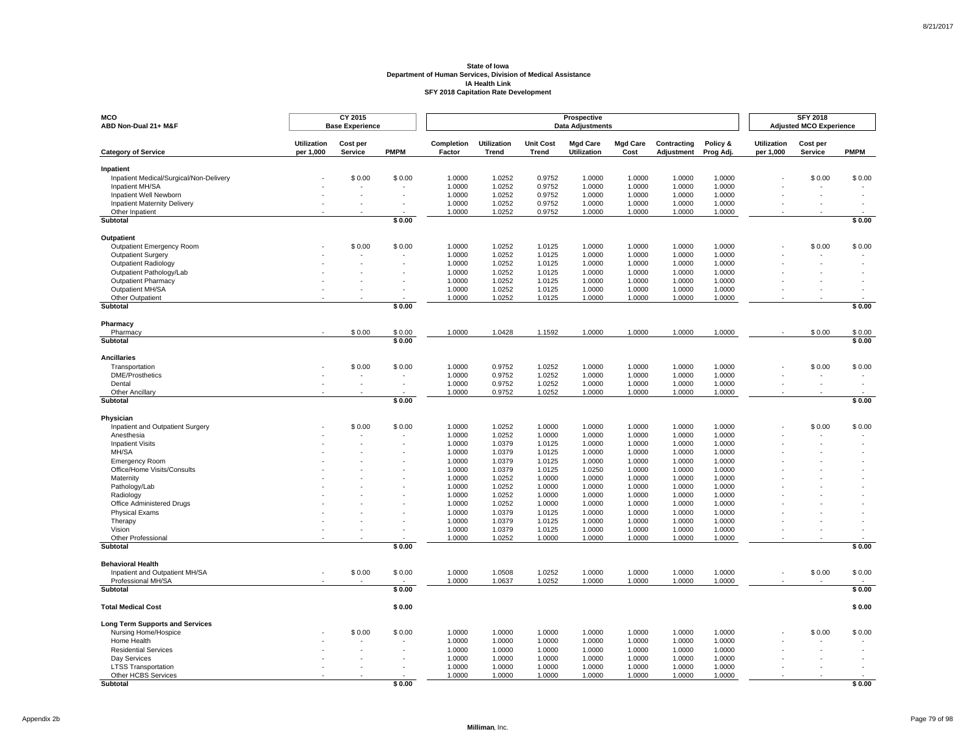| MCO<br>ABD Non-Dual 21+ M&F                            |                                 | <b>CY 2015</b><br><b>Base Experience</b> |             |                      |                      |                                  | Prospective<br><b>Data Adjustments</b> |                         |                           |                       |                                 | <b>SFY 2018</b><br><b>Adjusted MCO Experience</b> |             |
|--------------------------------------------------------|---------------------------------|------------------------------------------|-------------|----------------------|----------------------|----------------------------------|----------------------------------------|-------------------------|---------------------------|-----------------------|---------------------------------|---------------------------------------------------|-------------|
| <b>Category of Service</b>                             | <b>Utilization</b><br>per 1,000 | Cost per<br>Service                      | <b>PMPM</b> | Completion<br>Factor | Utilization<br>Trend | <b>Unit Cost</b><br><b>Trend</b> | <b>Mgd Care</b><br><b>Utilization</b>  | <b>Mgd Care</b><br>Cost | Contracting<br>Adjustment | Policy &<br>Prog Adj. | <b>Utilization</b><br>per 1,000 | Cost per<br><b>Service</b>                        | <b>PMPM</b> |
| Inpatient                                              |                                 |                                          |             |                      |                      |                                  |                                        |                         |                           |                       |                                 |                                                   |             |
| Inpatient Medical/Surgical/Non-Delivery                |                                 | \$0.00                                   | \$0.00      | 1.0000               | 1.0252               | 0.9752                           | 1.0000                                 | 1.0000                  | 1.0000                    | 1.0000                |                                 | \$0.00                                            | \$0.00      |
| Inpatient MH/SA                                        |                                 |                                          |             | 1.0000               | 1.0252               | 0.9752                           | 1.0000                                 | 1.0000                  | 1.0000                    | 1.0000                |                                 |                                                   |             |
| Inpatient Well Newborn                                 |                                 |                                          |             | 1.0000               | 1.0252               | 0.9752                           | 1.0000                                 | 1.0000                  | 1.0000                    | 1.0000                |                                 |                                                   |             |
| <b>Inpatient Maternity Delivery</b><br>Other Inpatient |                                 |                                          | $\sim$      | 1.0000<br>1.0000     | 1.0252<br>1.0252     | 0.9752<br>0.9752                 | 1.0000<br>1.0000                       | 1.0000<br>1.0000        | 1.0000<br>1.0000          | 1.0000<br>1.0000      |                                 |                                                   |             |
| Subtotal                                               |                                 |                                          | \$0.00      |                      |                      |                                  |                                        |                         |                           |                       |                                 |                                                   | \$0.00      |
|                                                        |                                 |                                          |             |                      |                      |                                  |                                        |                         |                           |                       |                                 |                                                   |             |
| <b>Outpatient</b><br>Outpatient Emergency Room         |                                 | \$0.00                                   | \$0.00      | 1.0000               | 1.0252               | 1.0125                           | 1.0000                                 | 1.0000                  | 1.0000                    | 1.0000                |                                 | \$0.00                                            | \$0.00      |
| <b>Outpatient Surgery</b>                              |                                 |                                          |             | 1.0000               | 1.0252               | 1.0125                           | 1.0000                                 | 1.0000                  | 1.0000                    | 1.0000                |                                 |                                                   |             |
| Outpatient Radiology                                   |                                 |                                          |             | 1.0000               | 1.0252               | 1.0125                           | 1.0000                                 | 1.0000                  | 1.0000                    | 1.0000                |                                 |                                                   |             |
| Outpatient Pathology/Lab                               |                                 |                                          |             | 1.0000               | 1.0252               | 1.0125                           | 1.0000                                 | 1.0000                  | 1.0000                    | 1.0000                |                                 |                                                   |             |
| <b>Outpatient Pharmacy</b>                             |                                 |                                          |             | 1.0000               | 1.0252               | 1.0125                           | 1.0000                                 | 1.0000                  | 1.0000                    | 1.0000                |                                 |                                                   |             |
| Outpatient MH/SA                                       |                                 |                                          |             | 1.0000               | 1.0252               | 1.0125                           | 1.0000                                 | 1.0000                  | 1.0000                    | 1.0000                |                                 |                                                   |             |
| Other Outpatient<br>Subtotal                           |                                 |                                          | \$0.00      | 1.0000               | 1.0252               | 1.0125                           | 1.0000                                 | 1.0000                  | 1.0000                    | 1.0000                |                                 |                                                   | \$0.00      |
|                                                        |                                 |                                          |             |                      |                      |                                  |                                        |                         |                           |                       |                                 |                                                   |             |
| Pharmacy<br>Pharmacy                                   |                                 | \$0.00                                   | \$0.00      | 1.0000               | 1.0428               | 1.1592                           | 1.0000                                 | 1.0000                  | 1.0000                    | 1.0000                |                                 | \$0.00                                            | \$0.00      |
| Subtotal                                               |                                 |                                          | \$0.00      |                      |                      |                                  |                                        |                         |                           |                       |                                 |                                                   | \$0.00      |
|                                                        |                                 |                                          |             |                      |                      |                                  |                                        |                         |                           |                       |                                 |                                                   |             |
| <b>Ancillaries</b>                                     |                                 | \$0.00                                   | \$0.00      | 1.0000               | 0.9752               |                                  | 1.0000                                 | 1.0000                  | 1.0000                    | 1.0000                |                                 | \$0.00                                            | \$0.00      |
| Transportation<br><b>DME/Prosthetics</b>               |                                 |                                          |             | 1.0000               | 0.9752               | 1.0252<br>1.0252                 | 1.0000                                 | 1.0000                  | 1.0000                    | 1.0000                |                                 |                                                   |             |
| Dental                                                 |                                 |                                          | $\sim$      | 1.0000               | 0.9752               | 1.0252                           | 1.0000                                 | 1.0000                  | 1.0000                    | 1.0000                |                                 |                                                   |             |
| Other Ancillary                                        |                                 |                                          |             | 1.0000               | 0.9752               | 1.0252                           | 1.0000                                 | 1.0000                  | 1.0000                    | 1.0000                |                                 |                                                   |             |
| Subtotal                                               |                                 |                                          | \$0.00      |                      |                      |                                  |                                        |                         |                           |                       |                                 |                                                   | \$0.00      |
| Physician                                              |                                 |                                          |             |                      |                      |                                  |                                        |                         |                           |                       |                                 |                                                   |             |
| Inpatient and Outpatient Surgery                       |                                 | \$0.00                                   | \$0.00      | 1.0000               | 1.0252               | 1.0000                           | 1.0000                                 | 1.0000                  | 1.0000                    | 1.0000                |                                 | \$0.00                                            | \$0.00      |
| Anesthesia                                             |                                 |                                          |             | 1.0000               | 1.0252               | 1.0000                           | 1.0000                                 | 1.0000                  | 1.0000                    | 1.0000                |                                 |                                                   |             |
| <b>Inpatient Visits</b>                                |                                 |                                          |             | 1.0000               | 1.0379               | 1.0125                           | 1.0000                                 | 1.0000                  | 1.0000                    | 1.0000                |                                 |                                                   |             |
| MH/SA                                                  |                                 |                                          |             | 1.0000               | 1.0379               | 1.0125                           | 1.0000                                 | 1.0000                  | 1.0000                    | 1.0000                |                                 |                                                   |             |
| <b>Emergency Room</b>                                  |                                 |                                          |             | 1.0000               | 1.0379               | 1.0125                           | 1.0000                                 | 1.0000                  | 1.0000                    | 1.0000                |                                 |                                                   |             |
| Office/Home Visits/Consults<br>Maternity               |                                 |                                          |             | 1.0000<br>1.0000     | 1.0379<br>1.0252     | 1.0125<br>1.0000                 | 1.0250<br>1.0000                       | 1.0000<br>1.0000        | 1.0000<br>1.0000          | 1.0000<br>1.0000      |                                 |                                                   |             |
| Pathology/Lab                                          |                                 |                                          |             | 1.0000               | 1.0252               | 1.0000                           | 1.0000                                 | 1.0000                  | 1.0000                    | 1.0000                |                                 |                                                   |             |
| Radiology                                              |                                 |                                          |             | 1.0000               | 1.0252               | 1.0000                           | 1.0000                                 | 1.0000                  | 1.0000                    | 1.0000                |                                 |                                                   |             |
| <b>Office Administered Drugs</b>                       |                                 |                                          |             | 1.0000               | 1.0252               | 1.0000                           | 1.0000                                 | 1.0000                  | 1.0000                    | 1.0000                |                                 |                                                   |             |
| <b>Physical Exams</b>                                  |                                 |                                          |             | 1.0000               | 1.0379               | 1.0125                           | 1.0000                                 | 1.0000                  | 1.0000                    | 1.0000                |                                 |                                                   |             |
| Therapy                                                |                                 |                                          |             | 1.0000               | 1.0379               | 1.0125                           | 1.0000                                 | 1.0000                  | 1.0000                    | 1.0000                |                                 |                                                   |             |
| Vision                                                 |                                 |                                          |             | 1.0000               | 1.0379               | 1.0125                           | 1.0000                                 | 1.0000                  | 1.0000                    | 1.0000                |                                 |                                                   |             |
| Other Professional<br>Subtotal                         |                                 |                                          | \$0.00      | 1.0000               | 1.0252               | 1.0000                           | 1.0000                                 | 1.0000                  | 1.0000                    | 1.0000                |                                 |                                                   | \$0.00      |
|                                                        |                                 |                                          |             |                      |                      |                                  |                                        |                         |                           |                       |                                 |                                                   |             |
| <b>Behavioral Health</b>                               |                                 |                                          |             |                      |                      |                                  |                                        |                         |                           |                       |                                 |                                                   |             |
| Inpatient and Outpatient MH/SA<br>Professional MH/SA   |                                 | \$0.00                                   | \$0.00      | 1.0000               | 1.0508               | 1.0252<br>1.0252                 | 1.0000                                 | 1.0000                  | 1.0000                    | 1.0000                |                                 | \$0.00                                            | \$0.00      |
| Subtotal                                               |                                 |                                          | \$0.00      | 1.0000               | 1.0637               |                                  | 1.0000                                 | 1.0000                  | 1.0000                    | 1.0000                |                                 |                                                   | \$0.00      |
|                                                        |                                 |                                          |             |                      |                      |                                  |                                        |                         |                           |                       |                                 |                                                   |             |
| <b>Total Medical Cost</b>                              |                                 |                                          | \$0.00      |                      |                      |                                  |                                        |                         |                           |                       |                                 |                                                   | \$0.00      |
| <b>Long Term Supports and Services</b>                 |                                 |                                          |             |                      |                      |                                  |                                        |                         |                           |                       |                                 |                                                   |             |
| Nursing Home/Hospice                                   |                                 | \$0.00                                   | \$0.00      | 1.0000               | 1.0000               | 1.0000                           | 1.0000                                 | 1.0000                  | 1.0000                    | 1.0000                |                                 | \$0.00                                            | \$0.00      |
| Home Health                                            |                                 |                                          |             | 1.0000               | 1.0000               | 1.0000                           | 1.0000                                 | 1.0000                  | 1.0000                    | 1.0000                |                                 |                                                   |             |
| <b>Residential Services</b>                            |                                 |                                          |             | 1.0000<br>1.0000     | 1.0000               | 1.0000                           | 1.0000                                 | 1.0000                  | 1.0000                    | 1.0000<br>1.0000      |                                 |                                                   |             |
| Day Services<br><b>LTSS Transportation</b>             |                                 |                                          |             | 1.0000               | 1.0000<br>1.0000     | 1.0000<br>1.0000                 | 1.0000<br>1.0000                       | 1.0000<br>1.0000        | 1.0000<br>1.0000          | 1.0000                |                                 |                                                   |             |
| Other HCBS Services                                    |                                 |                                          |             | 1.0000               | 1.0000               | 1.0000                           | 1.0000                                 | 1.0000                  | 1.0000                    | 1.0000                |                                 |                                                   |             |
| <b>Subtotal</b>                                        |                                 |                                          | \$0.00      |                      |                      |                                  |                                        |                         |                           |                       |                                 |                                                   | \$0.00      |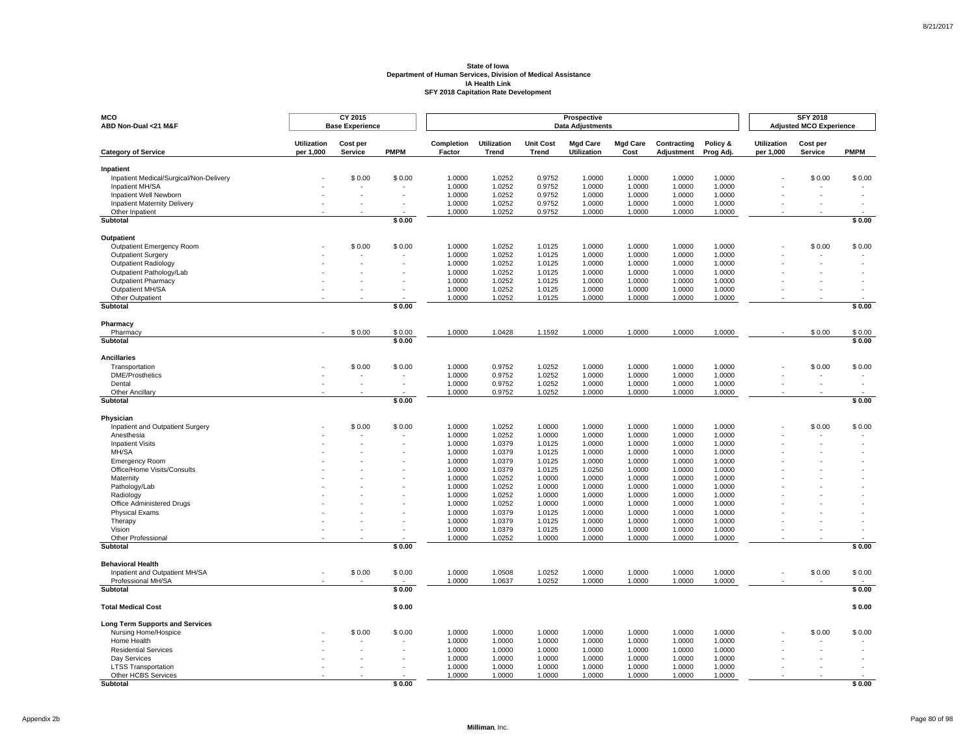| MCO<br>ABD Non-Dual <21 M&F                       |                                 | CY 2015<br><b>Base Experience</b> |             |                      |                             |                           | Prospective<br><b>Data Adjustments</b> |                         |                           |                       |                                 | <b>SFY 2018</b><br><b>Adjusted MCO Experience</b> |             |
|---------------------------------------------------|---------------------------------|-----------------------------------|-------------|----------------------|-----------------------------|---------------------------|----------------------------------------|-------------------------|---------------------------|-----------------------|---------------------------------|---------------------------------------------------|-------------|
| <b>Category of Service</b>                        | <b>Utilization</b><br>per 1,000 | Cost per<br>Service               | <b>PMPM</b> | Completion<br>Factor | <b>Utilization</b><br>Trend | <b>Unit Cost</b><br>Trend | <b>Mgd Care</b><br><b>Utilization</b>  | <b>Mgd Care</b><br>Cost | Contracting<br>Adjustment | Policy &<br>Prog Adj. | <b>Utilization</b><br>per 1,000 | Cost per<br>Service                               | <b>PMPM</b> |
| Inpatient                                         |                                 |                                   |             |                      |                             |                           |                                        |                         |                           |                       |                                 |                                                   |             |
| Inpatient Medical/Surgical/Non-Delivery           |                                 | \$0.00                            | \$0.00      | 1.0000               | 1.0252                      | 0.9752                    | 1.0000                                 | 1.0000                  | 1.0000                    | 1.0000                |                                 | \$0.00                                            | \$0.00      |
| Inpatient MH/SA                                   |                                 |                                   |             | 1.0000               | 1.0252                      | 0.9752                    | 1.0000                                 | 1.0000                  | 1.0000                    | 1.0000                |                                 |                                                   |             |
| Inpatient Well Newborn                            |                                 |                                   |             | 1.0000               | 1.0252                      | 0.9752                    | 1.0000                                 | 1.0000                  | 1.0000                    | 1.0000                |                                 |                                                   |             |
| <b>Inpatient Maternity Delivery</b>               |                                 |                                   |             | 1.0000               | 1.0252                      | 0.9752                    | 1.0000                                 | 1.0000                  | 1.0000                    | 1.0000                |                                 |                                                   |             |
| Other Inpatient<br><b>Subtotal</b>                |                                 |                                   | \$0.00      | 1.0000               | 1.0252                      | 0.9752                    | 1.0000                                 | 1.0000                  | 1.0000                    | 1.0000                |                                 |                                                   | \$0.00      |
|                                                   |                                 |                                   |             |                      |                             |                           |                                        |                         |                           |                       |                                 |                                                   |             |
| <b>Outpatient</b>                                 |                                 |                                   |             |                      |                             |                           |                                        |                         |                           |                       |                                 |                                                   |             |
| Outpatient Emergency Room                         |                                 | \$0.00                            | \$0.00      | 1.0000               | 1.0252                      | 1.0125                    | 1.0000                                 | 1.0000                  | 1.0000                    | 1.0000                |                                 | \$0.00                                            | \$0.00      |
| <b>Outpatient Surgery</b>                         |                                 |                                   |             | 1.0000               | 1.0252                      | 1.0125                    | 1.0000                                 | 1.0000                  | 1.0000                    | 1.0000                |                                 |                                                   |             |
| Outpatient Radiology<br>Outpatient Pathology/Lab  |                                 |                                   |             | 1.0000<br>1.0000     | 1.0252<br>1.0252            | 1.0125<br>1.0125          | 1.0000<br>1.0000                       | 1.0000<br>1.0000        | 1.0000<br>1.0000          | 1.0000<br>1.0000      |                                 |                                                   |             |
| <b>Outpatient Pharmacy</b>                        |                                 |                                   |             | 1.0000               | 1.0252                      | 1.0125                    | 1.0000                                 | 1.0000                  | 1.0000                    | 1.0000                |                                 |                                                   |             |
| Outpatient MH/SA                                  |                                 |                                   |             | 1.0000               | 1.0252                      | 1.0125                    | 1.0000                                 | 1.0000                  | 1.0000                    | 1.0000                |                                 |                                                   |             |
| Other Outpatient                                  |                                 |                                   |             | 1.0000               | 1.0252                      | 1.0125                    | 1.0000                                 | 1.0000                  | 1.0000                    | 1.0000                |                                 |                                                   |             |
| Subtotal                                          |                                 |                                   | \$0.00      |                      |                             |                           |                                        |                         |                           |                       |                                 |                                                   | \$0.00      |
|                                                   |                                 |                                   |             |                      |                             |                           |                                        |                         |                           |                       |                                 |                                                   |             |
| Pharmacy<br>Pharmacy                              |                                 | \$0.00                            | \$0.00      | 1.0000               | 1.0428                      | 1.1592                    | 1.0000                                 | 1.0000                  | 1.0000                    | 1.0000                |                                 | \$0.00                                            | \$0.00      |
| <b>Subtotal</b>                                   |                                 |                                   | \$0.00      |                      |                             |                           |                                        |                         |                           |                       |                                 |                                                   | \$0.00      |
|                                                   |                                 |                                   |             |                      |                             |                           |                                        |                         |                           |                       |                                 |                                                   |             |
| <b>Ancillaries</b>                                |                                 | \$0.00                            |             |                      | 0.9752                      |                           | 1.0000                                 |                         |                           | 1.0000                |                                 | \$0.00                                            | \$0.00      |
| Transportation<br><b>DME/Prosthetics</b>          |                                 |                                   | \$0.00      | 1.0000<br>1.0000     | 0.9752                      | 1.0252<br>1.0252          | 1.0000                                 | 1.0000<br>1.0000        | 1.0000<br>1.0000          | 1.0000                |                                 |                                                   |             |
| Dental                                            |                                 |                                   |             | 1.0000               | 0.9752                      | 1.0252                    | 1.0000                                 | 1.0000                  | 1.0000                    | 1.0000                |                                 |                                                   |             |
| Other Ancillary                                   |                                 |                                   |             | 1.0000               | 0.9752                      | 1.0252                    | 1.0000                                 | 1.0000                  | 1.0000                    | 1.0000                |                                 |                                                   |             |
| <b>Subtotal</b>                                   |                                 |                                   | \$0.00      |                      |                             |                           |                                        |                         |                           |                       |                                 |                                                   | \$0.00      |
|                                                   |                                 |                                   |             |                      |                             |                           |                                        |                         |                           |                       |                                 |                                                   |             |
| Physician<br>Inpatient and Outpatient Surgery     |                                 | \$0.00                            | \$0.00      | 1.0000               | 1.0252                      | 1.0000                    | 1.0000                                 | 1.0000                  | 1.0000                    | 1.0000                |                                 | \$0.00                                            | \$0.00      |
| Anesthesia                                        |                                 |                                   |             | 1.0000               | 1.0252                      | 1.0000                    | 1.0000                                 | 1.0000                  | 1.0000                    | 1.0000                |                                 |                                                   |             |
| <b>Inpatient Visits</b>                           |                                 |                                   |             | 1.0000               | 1.0379                      | 1.0125                    | 1.0000                                 | 1.0000                  | 1.0000                    | 1.0000                |                                 |                                                   |             |
| MH/SA                                             |                                 |                                   |             | 1.0000               | 1.0379                      | 1.0125                    | 1.0000                                 | 1.0000                  | 1.0000                    | 1.0000                |                                 |                                                   |             |
| <b>Emergency Room</b>                             |                                 |                                   |             | 1.0000               | 1.0379                      | 1.0125                    | 1.0000                                 | 1.0000                  | 1.0000                    | 1.0000                |                                 |                                                   |             |
| Office/Home Visits/Consults                       |                                 |                                   |             | 1.0000               | 1.0379                      | 1.0125                    | 1.0250                                 | 1.0000                  | 1.0000                    | 1.0000                |                                 |                                                   |             |
| Maternity                                         |                                 |                                   |             | 1.0000               | 1.0252                      | 1.0000                    | 1.0000                                 | 1.0000                  | 1.0000                    | 1.0000                |                                 |                                                   |             |
| Pathology/Lab                                     |                                 |                                   |             | 1.0000               | 1.0252                      | 1.0000                    | 1.0000                                 | 1.0000                  | 1.0000                    | 1.0000                |                                 |                                                   |             |
| Radiology                                         |                                 |                                   |             | 1.0000               | 1.0252                      | 1.0000                    | 1.0000                                 | 1.0000                  | 1.0000                    | 1.0000                |                                 |                                                   |             |
| Office Administered Drugs                         |                                 |                                   |             | 1.0000               | 1.0252                      | 1.0000                    | 1.0000                                 | 1.0000                  | 1.0000                    | 1.0000                |                                 |                                                   |             |
| <b>Physical Exams</b>                             |                                 |                                   |             | 1.0000               | 1.0379                      | 1.0125                    | 1.0000                                 | 1.0000                  | 1.0000                    | 1.0000                |                                 |                                                   |             |
| Therapy<br>Vision                                 |                                 |                                   |             | 1.0000<br>1.0000     | 1.0379                      | 1.0125                    | 1.0000                                 | 1.0000                  | 1.0000                    | 1.0000                |                                 |                                                   |             |
| Other Professional                                |                                 |                                   |             | 1.0000               | 1.0379<br>1.0252            | 1.0125<br>1.0000          | 1.0000<br>1.0000                       | 1.0000<br>1.0000        | 1.0000<br>1.0000          | 1.0000<br>1.0000      |                                 |                                                   |             |
| Subtotal                                          |                                 |                                   | \$0.00      |                      |                             |                           |                                        |                         |                           |                       |                                 |                                                   | \$0.00      |
|                                                   |                                 |                                   |             |                      |                             |                           |                                        |                         |                           |                       |                                 |                                                   |             |
| <b>Behavioral Health</b>                          |                                 |                                   |             |                      |                             |                           |                                        |                         |                           |                       |                                 |                                                   |             |
| Inpatient and Outpatient MH/SA                    |                                 | \$0.00                            | \$0.00      | 1.0000               | 1.0508                      | 1.0252                    | 1.0000                                 | 1.0000                  | 1.0000                    | 1.0000                |                                 | \$0.00                                            | \$0.00      |
| Professional MH/SA<br>Subtotal                    |                                 |                                   | \$0.00      | 1.0000               | 1.0637                      | 1.0252                    | 1.0000                                 | 1.0000                  | 1.0000                    | 1.0000                |                                 |                                                   | \$0.00      |
|                                                   |                                 |                                   |             |                      |                             |                           |                                        |                         |                           |                       |                                 |                                                   |             |
| <b>Total Medical Cost</b>                         |                                 |                                   | \$0.00      |                      |                             |                           |                                        |                         |                           |                       |                                 |                                                   | \$0.00      |
| <b>Long Term Supports and Services</b>            |                                 |                                   |             |                      |                             |                           |                                        |                         |                           |                       |                                 |                                                   |             |
| Nursing Home/Hospice                              |                                 | \$0.00                            | \$0.00      | 1.0000               | 1.0000                      | 1.0000                    | 1.0000                                 | 1.0000                  | 1.0000                    | 1.0000                |                                 | \$0.00                                            | \$0.00      |
| Home Health                                       |                                 |                                   |             | 1.0000               | 1.0000                      | 1.0000                    | 1.0000                                 | 1.0000                  | 1.0000                    | 1.0000                |                                 |                                                   |             |
| <b>Residential Services</b>                       |                                 |                                   |             | 1.0000               | 1.0000                      | 1.0000                    | 1.0000                                 | 1.0000                  | 1.0000                    | 1.0000                |                                 |                                                   |             |
| Day Services                                      |                                 |                                   |             | 1.0000               | 1.0000                      | 1.0000                    | 1.0000                                 | 1.0000                  | 1.0000                    | 1.0000                |                                 |                                                   |             |
| <b>LTSS Transportation</b><br>Other HCBS Services |                                 |                                   |             | 1.0000<br>1.0000     | 1.0000<br>1.0000            | 1.0000<br>1.0000          | 1.0000<br>1.0000                       | 1.0000<br>1.0000        | 1.0000<br>1.0000          | 1.0000<br>1.0000      |                                 |                                                   |             |
| <b>Subtotal</b>                                   |                                 |                                   | \$0.00      |                      |                             |                           |                                        |                         |                           |                       |                                 |                                                   | \$0.00      |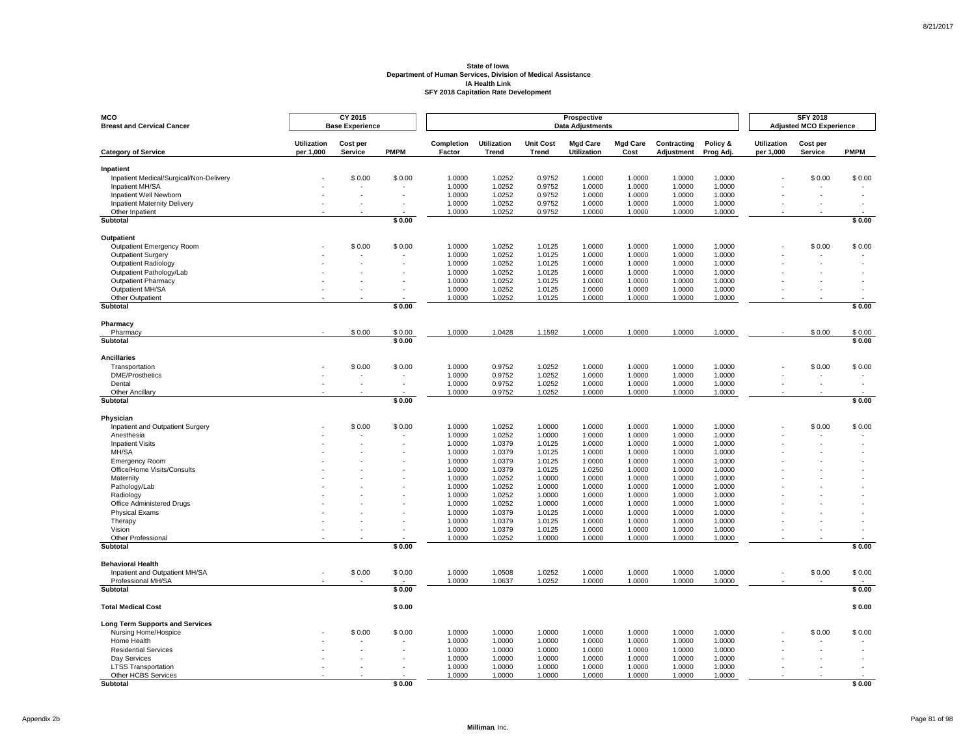| <b>MCO</b><br><b>Breast and Cervical Cancer</b> |                                 | CY 2015<br><b>Base Experience</b> |                  |                      |                             |                           | Prospective<br><b>Data Adjustments</b> |                         |                           |                       |                                 | <b>SFY 2018</b><br><b>Adjusted MCO Experience</b> |                          |
|-------------------------------------------------|---------------------------------|-----------------------------------|------------------|----------------------|-----------------------------|---------------------------|----------------------------------------|-------------------------|---------------------------|-----------------------|---------------------------------|---------------------------------------------------|--------------------------|
| <b>Category of Service</b>                      | <b>Utilization</b><br>per 1,000 | Cost per<br>Service               | <b>PMPM</b>      | Completion<br>Factor | <b>Utilization</b><br>Trend | <b>Unit Cost</b><br>Trend | <b>Mgd Care</b><br><b>Utilization</b>  | <b>Mgd Care</b><br>Cost | Contracting<br>Adjustment | Policy &<br>Prog Adj. | <b>Utilization</b><br>per 1,000 | Cost per<br>Service                               | <b>PMPM</b>              |
| Inpatient                                       |                                 |                                   |                  |                      |                             |                           |                                        |                         |                           |                       |                                 |                                                   |                          |
| Inpatient Medical/Surgical/Non-Delivery         |                                 | \$0.00                            | \$0.00           | 1.0000               | 1.0252                      | 0.9752                    | 1.0000                                 | 1.0000                  | 1.0000                    | 1.0000                |                                 | \$0.00                                            | \$0.00                   |
| Inpatient MH/SA                                 |                                 |                                   |                  | 1.0000               | 1.0252                      | 0.9752                    | 1.0000                                 | 1.0000                  | 1.0000                    | 1.0000                |                                 |                                                   |                          |
| Inpatient Well Newborn                          |                                 |                                   | $\sim$           | 1.0000               | 1.0252                      | 0.9752                    | 1.0000                                 | 1.0000                  | 1.0000                    | 1.0000                |                                 |                                                   |                          |
| <b>Inpatient Maternity Delivery</b>             |                                 |                                   |                  | 1.0000               | 1.0252                      | 0.9752                    | 1.0000                                 | 1.0000                  | 1.0000                    | 1.0000                |                                 |                                                   |                          |
| Other Inpatient<br>Subtotal                     |                                 |                                   | \$0.00           | 1.0000               | 1.0252                      | 0.9752                    | 1.0000                                 | 1.0000                  | 1.0000                    | 1.0000                |                                 |                                                   | \$0.00                   |
| Outpatient                                      |                                 |                                   |                  |                      |                             |                           |                                        |                         |                           |                       |                                 |                                                   |                          |
| Outpatient Emergency Room                       |                                 | \$0.00                            | \$0.00           | 1.0000               | 1.0252                      | 1.0125                    | 1.0000                                 | 1.0000                  | 1.0000                    | 1.0000                |                                 | \$0.00                                            | \$0.00                   |
| Outpatient Surgery                              |                                 |                                   |                  | 1.0000               | 1.0252                      | 1.0125                    | 1.0000                                 | 1.0000                  | 1.0000                    | 1.0000                |                                 |                                                   |                          |
| Outpatient Radiology                            |                                 |                                   |                  | 1.0000               | 1.0252                      | 1.0125                    | 1.0000                                 | 1.0000                  | 1.0000                    | 1.0000                |                                 |                                                   |                          |
| Outpatient Pathology/Lab                        |                                 |                                   |                  | 1.0000               | 1.0252                      | 1.0125                    | 1.0000                                 | 1.0000                  | 1.0000                    | 1.0000                |                                 |                                                   |                          |
| <b>Outpatient Pharmacy</b>                      |                                 |                                   |                  | 1.0000               | 1.0252                      | 1.0125                    | 1.0000                                 | 1.0000                  | 1.0000                    | 1.0000                |                                 |                                                   |                          |
| Outpatient MH/SA                                |                                 |                                   |                  | 1.0000               | 1.0252                      | 1.0125                    | 1.0000                                 | 1.0000                  | 1.0000                    | 1.0000                |                                 |                                                   |                          |
| Other Outpatient                                |                                 |                                   |                  | 1.0000               | 1.0252                      | 1.0125                    | 1.0000                                 | 1.0000                  | 1.0000                    | 1.0000                |                                 |                                                   |                          |
| Subtotal                                        |                                 |                                   | \$0.00           |                      |                             |                           |                                        |                         |                           |                       |                                 |                                                   | \$0.00                   |
| Pharmacy                                        |                                 |                                   |                  |                      |                             |                           |                                        |                         |                           |                       |                                 |                                                   |                          |
| Pharmacy<br>Subtotal                            |                                 | \$0.00                            | \$0.00<br>\$0.00 | 1.0000               | 1.0428                      | 1.1592                    | 1.0000                                 | 1.0000                  | 1.0000                    | 1.0000                |                                 | \$0.00                                            | \$0.00<br>\$0.00         |
|                                                 |                                 |                                   |                  |                      |                             |                           |                                        |                         |                           |                       |                                 |                                                   |                          |
| <b>Ancillaries</b>                              |                                 |                                   |                  |                      |                             |                           |                                        |                         |                           |                       |                                 |                                                   |                          |
| Transportation<br><b>DME/Prosthetics</b>        |                                 | \$0.00                            | \$0.00<br>$\sim$ | 1.0000               | 0.9752                      | 1.0252                    | 1.0000                                 | 1.0000                  | 1.0000                    | 1.0000                |                                 | \$0.00                                            | \$0.00                   |
|                                                 |                                 |                                   |                  | 1.0000               | 0.9752<br>0.9752            | 1.0252<br>1.0252          | 1.0000                                 | 1.0000                  | 1.0000<br>1.0000          | 1.0000<br>1.0000      |                                 |                                                   | $\overline{\phantom{a}}$ |
| Dental<br>Other Ancillarv                       |                                 |                                   |                  | 1.0000<br>1.0000     | 0.9752                      | 1.0252                    | 1.0000<br>1.0000                       | 1.0000<br>1.0000        | 1.0000                    | 1.0000                |                                 |                                                   |                          |
| Subtotal                                        |                                 |                                   | \$0.00           |                      |                             |                           |                                        |                         |                           |                       |                                 |                                                   | \$0.00                   |
| Physician                                       |                                 |                                   |                  |                      |                             |                           |                                        |                         |                           |                       |                                 |                                                   |                          |
| Inpatient and Outpatient Surgery                |                                 | \$0.00                            | \$0.00           | 1.0000               | 1.0252                      | 1.0000                    | 1.0000                                 | 1.0000                  | 1.0000                    | 1.0000                |                                 | \$0.00                                            | \$0.00                   |
| Anesthesia                                      |                                 |                                   |                  | 1.0000               | 1.0252                      | 1.0000                    | 1.0000                                 | 1.0000                  | 1.0000                    | 1.0000                |                                 |                                                   |                          |
| <b>Inpatient Visits</b>                         |                                 |                                   |                  | 1.0000               | 1.0379                      | 1.0125                    | 1.0000                                 | 1.0000                  | 1.0000                    | 1.0000                |                                 |                                                   |                          |
| MH/SA                                           |                                 |                                   |                  | 1.0000               | 1.0379                      | 1.0125                    | 1.0000                                 | 1.0000                  | 1.0000                    | 1.0000                |                                 |                                                   |                          |
| <b>Emergency Room</b>                           |                                 |                                   |                  | 1.0000               | 1.0379                      | 1.0125                    | 1.0000                                 | 1.0000                  | 1.0000                    | 1.0000                |                                 |                                                   |                          |
| Office/Home Visits/Consults                     |                                 |                                   |                  | 1.0000               | 1.0379                      | 1.0125                    | 1.0250                                 | 1.0000                  | 1.0000                    | 1.0000                |                                 |                                                   |                          |
| Maternity                                       |                                 |                                   |                  | 1.0000               | 1.0252                      | 1.0000                    | 1.0000                                 | 1.0000                  | 1.0000                    | 1.0000                |                                 |                                                   |                          |
| Pathology/Lab                                   |                                 |                                   |                  | 1.0000               | 1.0252                      | 1.0000                    | 1.0000                                 | 1.0000                  | 1.0000                    | 1.0000                |                                 |                                                   |                          |
| Radiology                                       |                                 |                                   |                  | 1.0000               | 1.0252                      | 1.0000                    | 1.0000                                 | 1.0000                  | 1.0000                    | 1.0000                |                                 |                                                   |                          |
| Office Administered Drugs                       |                                 |                                   |                  | 1.0000               | 1.0252                      | 1.0000                    | 1.0000                                 | 1.0000                  | 1.0000                    | 1.0000                |                                 |                                                   |                          |
| <b>Physical Exams</b>                           |                                 |                                   |                  | 1.0000               | 1.0379                      | 1.0125                    | 1.0000                                 | 1.0000                  | 1.0000                    | 1.0000                |                                 |                                                   |                          |
| Therapy                                         |                                 |                                   |                  | 1.0000               | 1.0379                      | 1.0125                    | 1.0000                                 | 1.0000                  | 1.0000                    | 1.0000                |                                 |                                                   |                          |
| Vision<br>Other Professional                    |                                 |                                   |                  | 1.0000<br>1.0000     | 1.0379<br>1.0252            | 1.0125<br>1.0000          | 1.0000<br>1.0000                       | 1.0000<br>1.0000        | 1.0000<br>1.0000          | 1.0000<br>1.0000      |                                 |                                                   |                          |
| <b>Subtotal</b>                                 |                                 |                                   | \$0.00           |                      |                             |                           |                                        |                         |                           |                       |                                 |                                                   | \$0.00                   |
| <b>Behavioral Health</b>                        |                                 |                                   |                  |                      |                             |                           |                                        |                         |                           |                       |                                 |                                                   |                          |
| Inpatient and Outpatient MH/SA                  |                                 | \$0.00                            | \$0.00           | 1.0000               | 1.0508                      | 1.0252                    | 1.0000                                 | 1.0000                  | 1.0000                    | 1.0000                |                                 | \$0.00                                            | \$0.00                   |
| Professional MH/SA                              |                                 |                                   |                  | 1.0000               | 1.0637                      | 1.0252                    | 1.0000                                 | 1.0000                  | 1.0000                    | 1.0000                |                                 |                                                   |                          |
| Subtotal                                        |                                 |                                   | \$0.00           |                      |                             |                           |                                        |                         |                           |                       |                                 |                                                   | \$0.00                   |
| <b>Total Medical Cost</b>                       |                                 |                                   | \$0.00           |                      |                             |                           |                                        |                         |                           |                       |                                 |                                                   | \$0.00                   |
| <b>Long Term Supports and Services</b>          |                                 |                                   |                  |                      |                             |                           |                                        |                         |                           |                       |                                 |                                                   |                          |
| Nursing Home/Hospice                            |                                 | \$0.00                            | \$0.00           | 1.0000               | 1.0000                      | 1.0000                    | 1.0000                                 | 1.0000                  | 1.0000                    | 1.0000                |                                 | \$0.00                                            | \$0.00                   |
| Home Health                                     |                                 |                                   |                  | 1.0000               | 1.0000                      | 1.0000                    | 1.0000                                 | 1.0000                  | 1.0000                    | 1.0000                |                                 |                                                   |                          |
| <b>Residential Services</b>                     |                                 |                                   | $\sim$           | 1.0000               | 1.0000                      | 1.0000                    | 1.0000                                 | 1.0000                  | 1.0000                    | 1.0000                |                                 |                                                   |                          |
| Day Services                                    |                                 |                                   |                  | 1.0000               | 1.0000                      | 1.0000                    | 1.0000                                 | 1.0000                  | 1.0000                    | 1.0000                |                                 |                                                   |                          |
| <b>LTSS Transportation</b>                      |                                 |                                   |                  | 1.0000               | 1.0000                      | 1.0000                    | 1.0000                                 | 1.0000                  | 1.0000                    | 1.0000                |                                 |                                                   |                          |
| Other HCBS Services                             |                                 |                                   |                  | 1.0000               | 1.0000                      | 1.0000                    | 1.0000                                 | 1.0000                  | 1.0000                    | 1.0000                |                                 |                                                   |                          |
| Subtotal                                        |                                 |                                   | \$0.00           |                      |                             |                           |                                        |                         |                           |                       |                                 |                                                   | \$0.00                   |

Page 81 of 98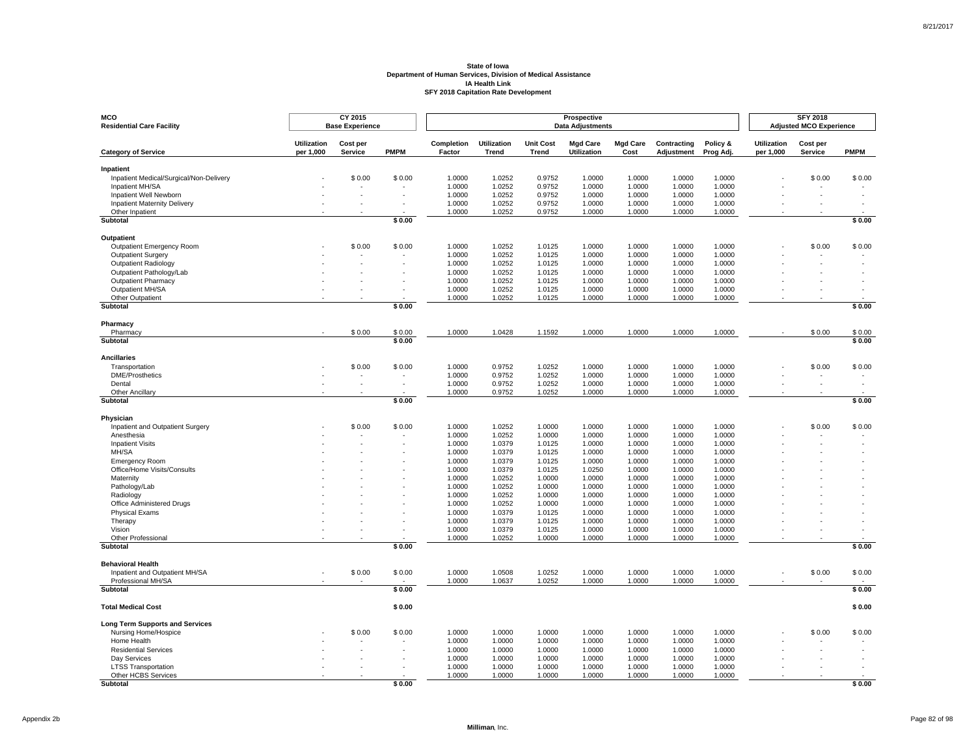| MCO<br><b>Residential Care Facility</b>              |                                 | CY 2015<br><b>Base Experience</b> |             |                      |                             |                                  | Prospective<br><b>Data Adjustments</b> |                         |                           |                       |                                 | <b>SFY 2018</b><br><b>Adjusted MCO Experience</b> |             |
|------------------------------------------------------|---------------------------------|-----------------------------------|-------------|----------------------|-----------------------------|----------------------------------|----------------------------------------|-------------------------|---------------------------|-----------------------|---------------------------------|---------------------------------------------------|-------------|
| <b>Category of Service</b>                           | <b>Utilization</b><br>per 1,000 | Cost per<br>Service               | <b>PMPM</b> | Completion<br>Factor | <b>Utilization</b><br>Trend | <b>Unit Cost</b><br><b>Trend</b> | <b>Mgd Care</b><br><b>Utilization</b>  | <b>Mgd Care</b><br>Cost | Contracting<br>Adjustment | Policy &<br>Prog Adj. | <b>Utilization</b><br>per 1,000 | Cost per<br>Service                               | <b>PMPM</b> |
|                                                      |                                 |                                   |             |                      |                             |                                  |                                        |                         |                           |                       |                                 |                                                   |             |
| Inpatient<br>Inpatient Medical/Surgical/Non-Delivery |                                 | \$0.00                            | \$0.00      | 1.0000               | 1.0252                      | 0.9752                           | 1.0000                                 | 1.0000                  | 1.0000                    | 1.0000                |                                 | \$0.00                                            | \$0.00      |
| Inpatient MH/SA                                      |                                 |                                   |             | 1.0000               | 1.0252                      | 0.9752                           | 1.0000                                 | 1.0000                  | 1.0000                    | 1.0000                |                                 |                                                   |             |
| Inpatient Well Newborn                               |                                 |                                   |             | 1.0000               | 1.0252                      | 0.9752                           | 1.0000                                 | 1.0000                  | 1.0000                    | 1.0000                |                                 |                                                   |             |
| <b>Inpatient Maternity Delivery</b>                  |                                 |                                   |             | 1.0000               | 1.0252                      | 0.9752                           | 1.0000                                 | 1.0000                  | 1.0000                    | 1.0000                |                                 |                                                   |             |
| Other Inpatient<br><b>Subtotal</b>                   |                                 |                                   | \$0.00      | 1.0000               | 1.0252                      | 0.9752                           | 1.0000                                 | 1.0000                  | 1.0000                    | 1.0000                |                                 |                                                   | \$0.00      |
|                                                      |                                 |                                   |             |                      |                             |                                  |                                        |                         |                           |                       |                                 |                                                   |             |
| <b>Outpatient</b>                                    |                                 |                                   |             |                      |                             |                                  |                                        |                         |                           |                       |                                 |                                                   |             |
| Outpatient Emergency Room                            |                                 | \$0.00                            | \$0.00      | 1.0000               | 1.0252                      | 1.0125                           | 1.0000                                 | 1.0000                  | 1.0000                    | 1.0000                |                                 | \$0.00                                            | \$0.00      |
| <b>Outpatient Surgery</b>                            |                                 |                                   |             | 1.0000               | 1.0252                      | 1.0125                           | 1.0000                                 | 1.0000                  | 1.0000                    | 1.0000                |                                 |                                                   |             |
| Outpatient Radiology<br>Outpatient Pathology/Lab     |                                 |                                   |             | 1.0000<br>1.0000     | 1.0252<br>1.0252            | 1.0125<br>1.0125                 | 1.0000<br>1.0000                       | 1.0000<br>1.0000        | 1.0000<br>1.0000          | 1.0000<br>1.0000      |                                 |                                                   |             |
| <b>Outpatient Pharmacy</b>                           |                                 |                                   |             | 1.0000               | 1.0252                      | 1.0125                           | 1.0000                                 | 1.0000                  | 1.0000                    | 1.0000                |                                 |                                                   |             |
| Outpatient MH/SA                                     |                                 |                                   |             | 1.0000               | 1.0252                      | 1.0125                           | 1.0000                                 | 1.0000                  | 1.0000                    | 1.0000                |                                 |                                                   |             |
| Other Outpatient                                     |                                 |                                   |             | 1.0000               | 1.0252                      | 1.0125                           | 1.0000                                 | 1.0000                  | 1.0000                    | 1.0000                |                                 |                                                   |             |
| Subtotal                                             |                                 |                                   | \$0.00      |                      |                             |                                  |                                        |                         |                           |                       |                                 |                                                   | \$0.00      |
| Pharmacy                                             |                                 |                                   |             |                      |                             |                                  |                                        |                         |                           |                       |                                 |                                                   |             |
| Pharmacy                                             |                                 | \$0.00                            | \$0.00      | 1.0000               | 1.0428                      | 1.1592                           | 1.0000                                 | 1.0000                  | 1.0000                    | 1.0000                |                                 | \$0.00                                            | \$0.00      |
| <b>Subtotal</b>                                      |                                 |                                   | \$0.00      |                      |                             |                                  |                                        |                         |                           |                       |                                 |                                                   | \$0.00      |
| <b>Ancillaries</b>                                   |                                 |                                   |             |                      |                             |                                  |                                        |                         |                           |                       |                                 |                                                   |             |
| Transportation                                       |                                 | \$0.00                            | \$0.00      | 1.0000               | 0.9752                      | 1.0252                           | 1.0000                                 | 1.0000                  | 1.0000                    | 1.0000                |                                 | \$0.00                                            | \$0.00      |
| <b>DME/Prosthetics</b>                               |                                 |                                   |             | 1.0000               | 0.9752                      | 1.0252                           | 1.0000                                 | 1.0000                  | 1.0000                    | 1.0000                |                                 |                                                   |             |
| Dental                                               |                                 |                                   |             | 1.0000               | 0.9752                      | 1.0252                           | 1.0000                                 | 1.0000                  | 1.0000                    | 1.0000                |                                 |                                                   |             |
| Other Ancillary                                      |                                 |                                   |             | 1.0000               | 0.9752                      | 1.0252                           | 1.0000                                 | 1.0000                  | 1.0000                    | 1.0000                |                                 |                                                   |             |
| <b>Subtotal</b>                                      |                                 |                                   | \$0.00      |                      |                             |                                  |                                        |                         |                           |                       |                                 |                                                   | \$0.00      |
| Physician                                            |                                 |                                   |             |                      |                             |                                  |                                        |                         |                           |                       |                                 |                                                   |             |
| Inpatient and Outpatient Surgery                     |                                 | \$0.00                            | \$0.00      | 1.0000               | 1.0252                      | 1.0000                           | 1.0000                                 | 1.0000                  | 1.0000                    | 1.0000                |                                 | \$0.00                                            | \$0.00      |
| Anesthesia                                           |                                 |                                   |             | 1.0000               | 1.0252                      | 1.0000                           | 1.0000                                 | 1.0000                  | 1.0000                    | 1.0000                |                                 |                                                   |             |
| <b>Inpatient Visits</b>                              |                                 |                                   |             | 1.0000               | 1.0379                      | 1.0125                           | 1.0000                                 | 1.0000                  | 1.0000                    | 1.0000                |                                 |                                                   |             |
| MH/SA                                                |                                 |                                   |             | 1.0000               | 1.0379                      | 1.0125                           | 1.0000                                 | 1.0000                  | 1.0000                    | 1.0000                |                                 |                                                   |             |
| <b>Emergency Room</b>                                |                                 |                                   |             | 1.0000               | 1.0379                      | 1.0125                           | 1.0000                                 | 1.0000                  | 1.0000                    | 1.0000                |                                 |                                                   |             |
| Office/Home Visits/Consults<br>Maternity             |                                 |                                   |             | 1.0000<br>1.0000     | 1.0379<br>1.0252            | 1.0125<br>1.0000                 | 1.0250<br>1.0000                       | 1.0000<br>1.0000        | 1.0000<br>1.0000          | 1.0000<br>1.0000      |                                 |                                                   |             |
| Pathology/Lab                                        |                                 |                                   |             | 1.0000               | 1.0252                      | 1.0000                           | 1.0000                                 | 1.0000                  | 1.0000                    | 1.0000                |                                 |                                                   |             |
| Radiology                                            |                                 |                                   |             | 1.0000               | 1.0252                      | 1.0000                           | 1.0000                                 | 1.0000                  | 1.0000                    | 1.0000                |                                 |                                                   |             |
| Office Administered Drugs                            |                                 |                                   |             | 1.0000               | 1.0252                      | 1.0000                           | 1.0000                                 | 1.0000                  | 1.0000                    | 1.0000                |                                 |                                                   |             |
| <b>Physical Exams</b>                                |                                 |                                   |             | 1.0000               | 1.0379                      | 1.0125                           | 1.0000                                 | 1.0000                  | 1.0000                    | 1.0000                |                                 |                                                   |             |
| Therapy                                              |                                 |                                   |             | 1.0000               | 1.0379                      | 1.0125                           | 1.0000                                 | 1.0000                  | 1.0000                    | 1.0000                |                                 |                                                   |             |
| Vision                                               |                                 |                                   |             | 1.0000               | 1.0379                      | 1.0125                           | 1.0000                                 | 1.0000                  | 1.0000                    | 1.0000                |                                 |                                                   |             |
| Other Professional                                   |                                 |                                   |             | 1.0000               | 1.0252                      | 1.0000                           | 1.0000                                 | 1.0000                  | 1.0000                    | 1.0000                |                                 |                                                   |             |
| Subtotal                                             |                                 |                                   | \$0.00      |                      |                             |                                  |                                        |                         |                           |                       |                                 |                                                   | \$0.00      |
| <b>Behavioral Health</b>                             |                                 |                                   |             |                      |                             |                                  |                                        |                         |                           |                       |                                 |                                                   |             |
| Inpatient and Outpatient MH/SA                       |                                 | \$0.00                            | \$0.00      | 1.0000               | 1.0508                      | 1.0252                           | 1.0000                                 | 1.0000                  | 1.0000                    | 1.0000                |                                 | \$0.00                                            | \$0.00      |
| Professional MH/SA<br>Subtotal                       |                                 |                                   |             | 1.0000               | 1.0637                      | 1.0252                           | 1.0000                                 | 1.0000                  | 1.0000                    | 1.0000                |                                 |                                                   | \$0.00      |
|                                                      |                                 |                                   | \$0.00      |                      |                             |                                  |                                        |                         |                           |                       |                                 |                                                   |             |
| <b>Total Medical Cost</b>                            |                                 |                                   | \$0.00      |                      |                             |                                  |                                        |                         |                           |                       |                                 |                                                   | \$0.00      |
| <b>Long Term Supports and Services</b>               |                                 |                                   |             |                      |                             |                                  |                                        |                         |                           |                       |                                 |                                                   |             |
| Nursing Home/Hospice                                 |                                 | \$0.00                            | \$0.00      | 1.0000               | 1.0000                      | 1.0000                           | 1.0000                                 | 1.0000                  | 1.0000                    | 1.0000                |                                 | \$0.00                                            | \$0.00      |
| Home Health                                          |                                 |                                   |             | 1.0000               | 1.0000                      | 1.0000                           | 1.0000                                 | 1.0000                  | 1.0000                    | 1.0000                |                                 |                                                   |             |
| <b>Residential Services</b>                          |                                 |                                   |             | 1.0000               | 1.0000                      | 1.0000                           | 1.0000                                 | 1.0000                  | 1.0000                    | 1.0000                |                                 |                                                   |             |
| Day Services<br><b>LTSS Transportation</b>           |                                 |                                   |             | 1.0000<br>1.0000     | 1.0000<br>1.0000            | 1.0000<br>1.0000                 | 1.0000<br>1.0000                       | 1.0000<br>1.0000        | 1.0000<br>1.0000          | 1.0000<br>1.0000      |                                 |                                                   |             |
| Other HCBS Services                                  |                                 |                                   |             | 1.0000               | 1.0000                      | 1.0000                           | 1.0000                                 | 1.0000                  | 1.0000                    | 1.0000                |                                 |                                                   |             |
| <b>Subtotal</b>                                      |                                 |                                   | \$0.00      |                      |                             |                                  |                                        |                         |                           |                       |                                 |                                                   | \$0.00      |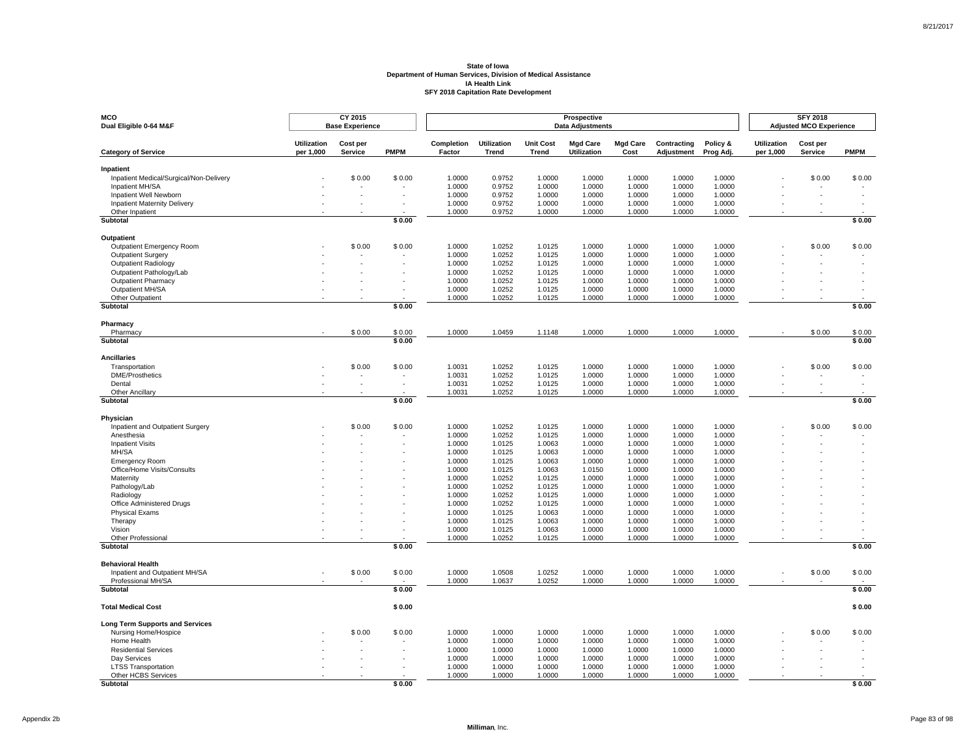| MCO<br>Dual Eligible 0-64 M&F                          |                                 | CY 2015<br><b>Base Experience</b> |             |                      |                             |                                  | Prospective<br><b>Data Adjustments</b> |                         |                           |                       |                                 | <b>SFY 2018</b><br><b>Adjusted MCO Experience</b> |             |
|--------------------------------------------------------|---------------------------------|-----------------------------------|-------------|----------------------|-----------------------------|----------------------------------|----------------------------------------|-------------------------|---------------------------|-----------------------|---------------------------------|---------------------------------------------------|-------------|
| <b>Category of Service</b>                             | <b>Utilization</b><br>per 1,000 | Cost per<br>Service               | <b>PMPM</b> | Completion<br>Factor | <b>Utilization</b><br>Trend | <b>Unit Cost</b><br><b>Trend</b> | <b>Mgd Care</b><br><b>Utilization</b>  | <b>Mgd Care</b><br>Cost | Contracting<br>Adjustment | Policy &<br>Prog Adj. | <b>Utilization</b><br>per 1,000 | Cost per<br>Service                               | <b>PMPM</b> |
| Inpatient                                              |                                 |                                   |             |                      |                             |                                  |                                        |                         |                           |                       |                                 |                                                   |             |
| Inpatient Medical/Surgical/Non-Delivery                |                                 | \$0.00                            | \$0.00      | 1.0000               | 0.9752                      | 1.0000                           | 1.0000                                 | 1.0000                  | 1.0000                    | 1.0000                |                                 | \$0.00                                            | \$0.00      |
| Inpatient MH/SA                                        |                                 |                                   |             | 1.0000               | 0.9752                      | 1.0000                           | 1.0000                                 | 1.0000                  | 1.0000                    | 1.0000                |                                 |                                                   |             |
| Inpatient Well Newborn                                 |                                 |                                   |             | 1.0000               | 0.9752                      | 1.0000                           | 1.0000                                 | 1.0000                  | 1.0000                    | 1.0000<br>1.0000      |                                 |                                                   |             |
| <b>Inpatient Maternity Delivery</b><br>Other Inpatient |                                 |                                   |             | 1.0000<br>1.0000     | 0.9752<br>0.9752            | 1.0000<br>1.0000                 | 1.0000<br>1.0000                       | 1.0000<br>1.0000        | 1.0000<br>1.0000          | 1.0000                |                                 |                                                   |             |
| <b>Subtotal</b>                                        |                                 |                                   | \$0.00      |                      |                             |                                  |                                        |                         |                           |                       |                                 |                                                   | \$0.00      |
| <b>Outpatient</b>                                      |                                 |                                   |             |                      |                             |                                  |                                        |                         |                           |                       |                                 |                                                   |             |
| Outpatient Emergency Room                              |                                 | \$0.00                            | \$0.00      | 1.0000               | 1.0252                      | 1.0125                           | 1.0000                                 | 1.0000                  | 1.0000                    | 1.0000                |                                 | \$0.00                                            | \$0.00      |
| <b>Outpatient Surgery</b>                              |                                 |                                   |             | 1.0000               | 1.0252                      | 1.0125                           | 1.0000                                 | 1.0000                  | 1.0000                    | 1.0000                |                                 |                                                   |             |
| Outpatient Radiology                                   |                                 |                                   |             | 1.0000               | 1.0252                      | 1.0125                           | 1.0000                                 | 1.0000                  | 1.0000                    | 1.0000                |                                 |                                                   |             |
| Outpatient Pathology/Lab                               |                                 |                                   |             | 1.0000               | 1.0252                      | 1.0125                           | 1.0000                                 | 1.0000                  | 1.0000                    | 1.0000                |                                 |                                                   |             |
| <b>Outpatient Pharmacy</b>                             |                                 |                                   |             | 1.0000               | 1.0252                      | 1.0125                           | 1.0000                                 | 1.0000                  | 1.0000                    | 1.0000                |                                 |                                                   |             |
| Outpatient MH/SA<br>Other Outpatient                   |                                 |                                   |             | 1.0000<br>1.0000     | 1.0252<br>1.0252            | 1.0125<br>1.0125                 | 1.0000<br>1.0000                       | 1.0000<br>1.0000        | 1.0000<br>1.0000          | 1.0000<br>1.0000      |                                 |                                                   |             |
| Subtotal                                               |                                 |                                   | \$0.00      |                      |                             |                                  |                                        |                         |                           |                       |                                 |                                                   | \$0.00      |
|                                                        |                                 |                                   |             |                      |                             |                                  |                                        |                         |                           |                       |                                 |                                                   |             |
| Pharmacy<br>Pharmacy                                   |                                 | \$0.00                            | \$0.00      | 1.0000               | 1.0459                      | 1.1148                           | 1.0000                                 | 1.0000                  | 1.0000                    | 1.0000                |                                 | \$0.00                                            | \$0.00      |
| <b>Subtotal</b>                                        |                                 |                                   | \$0.00      |                      |                             |                                  |                                        |                         |                           |                       |                                 |                                                   | \$0.00      |
| <b>Ancillaries</b>                                     |                                 |                                   |             |                      |                             |                                  |                                        |                         |                           |                       |                                 |                                                   |             |
| Transportation                                         |                                 | \$0.00                            | \$0.00      | 1.0031               | 1.0252                      | 1.0125                           | 1.0000                                 | 1.0000                  | 1.0000                    | 1.0000                |                                 | \$0.00                                            | \$0.00      |
| <b>DME/Prosthetics</b>                                 |                                 |                                   |             | 1.0031               | 1.0252                      | 1.0125                           | 1.0000                                 | 1.0000                  | 1.0000                    | 1.0000                |                                 |                                                   |             |
| Dental                                                 |                                 |                                   |             | 1.0031               | 1.0252                      | 1.0125                           | 1.0000                                 | 1.0000                  | 1.0000                    | 1.0000                |                                 |                                                   |             |
| Other Ancillary                                        |                                 |                                   |             | 1.0031               | 1.0252                      | 1.0125                           | 1.0000                                 | 1.0000                  | 1.0000                    | 1.0000                |                                 |                                                   |             |
| <b>Subtotal</b>                                        |                                 |                                   | \$0.00      |                      |                             |                                  |                                        |                         |                           |                       |                                 |                                                   | \$0.00      |
| Physician                                              |                                 |                                   |             |                      |                             |                                  |                                        |                         |                           |                       |                                 |                                                   |             |
| Inpatient and Outpatient Surgery                       |                                 | \$0.00                            | \$0.00      | 1.0000               | 1.0252                      | 1.0125                           | 1.0000                                 | 1.0000                  | 1.0000                    | 1.0000                |                                 | \$0.00                                            | \$0.00      |
| Anesthesia<br><b>Inpatient Visits</b>                  |                                 |                                   |             | 1.0000<br>1.0000     | 1.0252                      | 1.0125                           | 1.0000<br>1.0000                       | 1.0000<br>1.0000        | 1.0000<br>1.0000          | 1.0000<br>1.0000      |                                 |                                                   |             |
| MH/SA                                                  |                                 |                                   |             | 1.0000               | 1.0125<br>1.0125            | 1.0063<br>1.0063                 | 1.0000                                 | 1.0000                  | 1.0000                    | 1.0000                |                                 |                                                   |             |
| <b>Emergency Room</b>                                  |                                 |                                   |             | 1.0000               | 1.0125                      | 1.0063                           | 1.0000                                 | 1.0000                  | 1.0000                    | 1.0000                |                                 |                                                   |             |
| Office/Home Visits/Consults                            |                                 |                                   |             | 1.0000               | 1.0125                      | 1.0063                           | 1.0150                                 | 1.0000                  | 1.0000                    | 1.0000                |                                 |                                                   |             |
| Maternity                                              |                                 |                                   |             | 1.0000               | 1.0252                      | 1.0125                           | 1.0000                                 | 1.0000                  | 1.0000                    | 1.0000                |                                 |                                                   |             |
| Pathology/Lab                                          |                                 |                                   |             | 1.0000               | 1.0252                      | 1.0125                           | 1.0000                                 | 1.0000                  | 1.0000                    | 1.0000                |                                 |                                                   |             |
| Radiology                                              |                                 |                                   |             | 1.0000               | 1.0252                      | 1.0125                           | 1.0000                                 | 1.0000                  | 1.0000                    | 1.0000                |                                 |                                                   |             |
| Office Administered Drugs                              |                                 |                                   |             | 1.0000               | 1.0252                      | 1.0125                           | 1.0000                                 | 1.0000                  | 1.0000                    | 1.0000                |                                 |                                                   |             |
| <b>Physical Exams</b><br>Therapy                       |                                 |                                   |             | 1.0000<br>1.0000     | 1.0125<br>1.0125            | 1.0063<br>1.0063                 | 1.0000<br>1.0000                       | 1.0000<br>1.0000        | 1.0000<br>1.0000          | 1.0000<br>1.0000      |                                 |                                                   |             |
| Vision                                                 |                                 |                                   |             | 1.0000               | 1.0125                      | 1.0063                           | 1.0000                                 | 1.0000                  | 1.0000                    | 1.0000                |                                 |                                                   |             |
| Other Professional                                     |                                 |                                   |             | 1.0000               | 1.0252                      | 1.0125                           | 1.0000                                 | 1.0000                  | 1.0000                    | 1.0000                |                                 |                                                   |             |
| Subtotal                                               |                                 |                                   | \$0.00      |                      |                             |                                  |                                        |                         |                           |                       |                                 |                                                   | \$0.00      |
| <b>Behavioral Health</b>                               |                                 |                                   |             |                      |                             |                                  |                                        |                         |                           |                       |                                 |                                                   |             |
| Inpatient and Outpatient MH/SA                         |                                 | \$0.00                            | \$0.00      | 1.0000               | 1.0508                      | 1.0252                           | 1.0000                                 | 1.0000                  | 1.0000                    | 1.0000                |                                 | \$0.00                                            | \$0.00      |
| Professional MH/SA                                     |                                 |                                   |             | 1.0000               | 1.0637                      | 1.0252                           | 1.0000                                 | 1.0000                  | 1.0000                    | 1.0000                |                                 |                                                   |             |
| Subtotal                                               |                                 |                                   | \$0.00      |                      |                             |                                  |                                        |                         |                           |                       |                                 |                                                   | \$0.00      |
| <b>Total Medical Cost</b>                              |                                 |                                   | \$0.00      |                      |                             |                                  |                                        |                         |                           |                       |                                 |                                                   | \$0.00      |
| <b>Long Term Supports and Services</b>                 |                                 |                                   |             |                      |                             |                                  |                                        |                         |                           |                       |                                 |                                                   |             |
| Nursing Home/Hospice                                   |                                 | \$0.00                            | \$0.00      | 1.0000               | 1.0000                      | 1.0000                           | 1.0000                                 | 1.0000                  | 1.0000                    | 1.0000                |                                 | \$0.00                                            | \$0.00      |
| Home Health                                            |                                 |                                   |             | 1.0000               | 1.0000                      | 1.0000                           | 1.0000                                 | 1.0000                  | 1.0000                    | 1.0000                |                                 |                                                   |             |
| <b>Residential Services</b><br>Day Services            |                                 |                                   |             | 1.0000<br>1.0000     | 1.0000<br>1.0000            | 1.0000<br>1.0000                 | 1.0000<br>1.0000                       | 1.0000<br>1.0000        | 1.0000<br>1.0000          | 1.0000<br>1.0000      |                                 |                                                   |             |
| <b>LTSS Transportation</b>                             |                                 |                                   |             | 1.0000               | 1.0000                      | 1.0000                           | 1.0000                                 | 1.0000                  | 1.0000                    | 1.0000                |                                 |                                                   |             |
| Other HCBS Services                                    |                                 |                                   |             | 1.0000               | 1.0000                      | 1.0000                           | 1.0000                                 | 1.0000                  | 1.0000                    | 1.0000                |                                 |                                                   |             |
| <b>Subtotal</b>                                        |                                 |                                   | \$0.00      |                      |                             |                                  |                                        |                         |                           |                       |                                 |                                                   | \$0.00      |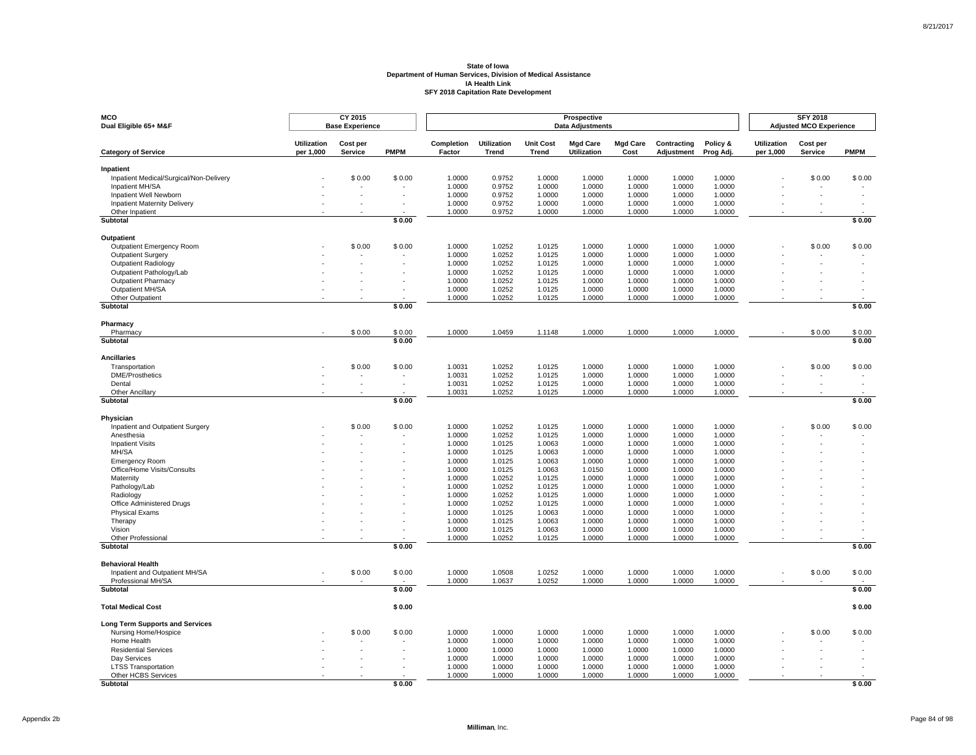| MCO<br>Dual Eligible 65+ M&F                                  |                                 | CY 2015<br><b>Base Experience</b> |             |                      |                             |                                  | Prospective<br><b>Data Adjustments</b> |                         |                           |                       |                                 | <b>SFY 2018</b><br><b>Adjusted MCO Experience</b> |             |
|---------------------------------------------------------------|---------------------------------|-----------------------------------|-------------|----------------------|-----------------------------|----------------------------------|----------------------------------------|-------------------------|---------------------------|-----------------------|---------------------------------|---------------------------------------------------|-------------|
| <b>Category of Service</b>                                    | <b>Utilization</b><br>per 1,000 | Cost per<br>Service               | <b>PMPM</b> | Completion<br>Factor | <b>Utilization</b><br>Trend | <b>Unit Cost</b><br><b>Trend</b> | <b>Mgd Care</b><br><b>Utilization</b>  | <b>Mgd Care</b><br>Cost | Contracting<br>Adjustment | Policy &<br>Prog Adj. | <b>Utilization</b><br>per 1,000 | Cost per<br>Service                               | <b>PMPM</b> |
| Inpatient                                                     |                                 |                                   |             |                      |                             |                                  |                                        |                         |                           |                       |                                 |                                                   |             |
| Inpatient Medical/Surgical/Non-Delivery                       |                                 | \$0.00                            | \$0.00      | 1.0000               | 0.9752                      | 1.0000                           | 1.0000                                 | 1.0000                  | 1.0000                    | 1.0000                |                                 | \$0.00                                            | \$0.00      |
| Inpatient MH/SA                                               |                                 |                                   |             | 1.0000               | 0.9752                      | 1.0000                           | 1.0000                                 | 1.0000                  | 1.0000                    | 1.0000                |                                 |                                                   |             |
| Inpatient Well Newborn<br><b>Inpatient Maternity Delivery</b> |                                 |                                   |             | 1.0000<br>1.0000     | 0.9752<br>0.9752            | 1.0000<br>1.0000                 | 1.0000<br>1.0000                       | 1.0000<br>1.0000        | 1.0000<br>1.0000          | 1.0000<br>1.0000      |                                 |                                                   |             |
| Other Inpatient                                               |                                 |                                   |             | 1.0000               | 0.9752                      | 1.0000                           | 1.0000                                 | 1.0000                  | 1.0000                    | 1.0000                |                                 |                                                   |             |
| Subtotal                                                      |                                 |                                   | \$0.00      |                      |                             |                                  |                                        |                         |                           |                       |                                 |                                                   | \$0.00      |
| Outpatient                                                    |                                 |                                   |             |                      |                             |                                  |                                        |                         |                           |                       |                                 |                                                   |             |
| Outpatient Emergency Room                                     |                                 | \$0.00                            | \$0.00      | 1.0000               | 1.0252                      | 1.0125                           | 1.0000                                 | 1.0000                  | 1.0000                    | 1.0000                |                                 | \$0.00                                            | \$0.00      |
| Outpatient Surgery                                            |                                 |                                   |             | 1.0000               | 1.0252                      | 1.0125                           | 1.0000                                 | 1.0000                  | 1.0000                    | 1.0000                |                                 |                                                   |             |
| <b>Outpatient Radiology</b>                                   |                                 |                                   |             | 1.0000               | 1.0252                      | 1.0125                           | 1.0000                                 | 1.0000                  | 1.0000                    | 1.0000                |                                 |                                                   |             |
| Outpatient Pathology/Lab                                      |                                 |                                   |             | 1.0000               | 1.0252                      | 1.0125                           | 1.0000                                 | 1.0000                  | 1.0000                    | 1.0000                |                                 |                                                   |             |
| <b>Outpatient Pharmacy</b>                                    |                                 |                                   |             | 1.0000               | 1.0252                      | 1.0125                           | 1.0000                                 | 1.0000                  | 1.0000                    | 1.0000                |                                 |                                                   |             |
| Outpatient MH/SA<br>Other Outpatient                          |                                 |                                   |             | 1.0000<br>1.0000     | 1.0252<br>1.0252            | 1.0125<br>1.0125                 | 1.0000<br>1.0000                       | 1.0000<br>1.0000        | 1.0000<br>1.0000          | 1.0000<br>1.0000      |                                 |                                                   |             |
| Subtotal                                                      |                                 |                                   | \$0.00      |                      |                             |                                  |                                        |                         |                           |                       |                                 |                                                   | \$0.00      |
|                                                               |                                 |                                   |             |                      |                             |                                  |                                        |                         |                           |                       |                                 |                                                   |             |
| Pharmacy<br>Pharmacy                                          |                                 | \$0.00                            | \$0.00      | 1.0000               | 1.0459                      | 1.1148                           | 1.0000                                 | 1.0000                  | 1.0000                    | 1.0000                |                                 | \$0.00                                            | \$0.00      |
| Subtotal                                                      |                                 |                                   | \$0.00      |                      |                             |                                  |                                        |                         |                           |                       |                                 |                                                   | \$0.00      |
| <b>Ancillaries</b>                                            |                                 |                                   |             |                      |                             |                                  |                                        |                         |                           |                       |                                 |                                                   |             |
| Transportation                                                |                                 | \$0.00                            | \$0.00      | 1.0031               | 1.0252                      | 1.0125                           | 1.0000                                 | 1.0000                  | 1.0000                    | 1.0000                |                                 | \$0.00                                            | \$0.00      |
| <b>DME/Prosthetics</b>                                        |                                 | $\overline{\phantom{a}}$          |             | 1.0031               | 1.0252                      | 1.0125                           | 1.0000                                 | 1.0000                  | 1.0000                    | 1.0000                |                                 |                                                   |             |
| Dental                                                        |                                 |                                   |             | 1.0031               | 1.0252                      | 1.0125                           | 1.0000                                 | 1.0000                  | 1.0000                    | 1.0000                |                                 |                                                   |             |
| Other Ancillary<br>Subtotal                                   |                                 |                                   | \$0.00      | 1.0031               | 1.0252                      | 1.0125                           | 1.0000                                 | 1.0000                  | 1.0000                    | 1.0000                |                                 |                                                   | \$0.00      |
|                                                               |                                 |                                   |             |                      |                             |                                  |                                        |                         |                           |                       |                                 |                                                   |             |
| Physician                                                     |                                 |                                   |             |                      |                             |                                  |                                        |                         |                           |                       |                                 |                                                   |             |
| Inpatient and Outpatient Surgery                              |                                 | \$0.00                            | \$0.00      | 1.0000<br>1.0000     | 1.0252<br>1.0252            | 1.0125<br>1.0125                 | 1.0000<br>1.0000                       | 1.0000<br>1.0000        | 1.0000<br>1.0000          | 1.0000<br>1.0000      |                                 | \$0.00                                            | \$0.00      |
| Anesthesia<br><b>Inpatient Visits</b>                         |                                 |                                   |             | 1.0000               | 1.0125                      | 1.0063                           | 1.0000                                 | 1.0000                  | 1.0000                    | 1.0000                |                                 |                                                   |             |
| MH/SA                                                         |                                 |                                   |             | 1.0000               | 1.0125                      | 1.0063                           | 1.0000                                 | 1.0000                  | 1.0000                    | 1.0000                |                                 |                                                   |             |
| <b>Emergency Room</b>                                         |                                 |                                   |             | 1.0000               | 1.0125                      | 1.0063                           | 1.0000                                 | 1.0000                  | 1.0000                    | 1.0000                |                                 |                                                   |             |
| Office/Home Visits/Consults                                   |                                 |                                   |             | 1.0000               | 1.0125                      | 1.0063                           | 1.0150                                 | 1.0000                  | 1.0000                    | 1.0000                |                                 |                                                   |             |
| Maternity                                                     |                                 |                                   |             | 1.0000               | 1.0252                      | 1.0125                           | 1.0000                                 | 1.0000                  | 1.0000                    | 1.0000                |                                 |                                                   |             |
| Pathology/Lab                                                 |                                 |                                   |             | 1.0000               | 1.0252                      | 1.0125                           | 1.0000                                 | 1.0000                  | 1.0000                    | 1.0000                |                                 |                                                   |             |
| Radiology                                                     |                                 |                                   |             | 1.0000               | 1.0252                      | 1.0125                           | 1.0000                                 | 1.0000                  | 1.0000                    | 1.0000                |                                 |                                                   |             |
| Office Administered Drugs                                     |                                 |                                   |             | 1.0000               | 1.0252                      | 1.0125                           | 1.0000                                 | 1.0000                  | 1.0000                    | 1.0000                |                                 |                                                   |             |
| <b>Physical Exams</b><br>Therapy                              |                                 |                                   |             | 1.0000<br>1.0000     | 1.0125<br>1.0125            | 1.0063<br>1.0063                 | 1.0000<br>1.0000                       | 1.0000<br>1.0000        | 1.0000<br>1.0000          | 1.0000<br>1.0000      |                                 |                                                   |             |
| Vision                                                        |                                 |                                   |             | 1.0000               | 1.0125                      | 1.0063                           | 1.0000                                 | 1.0000                  | 1.0000                    | 1.0000                |                                 |                                                   |             |
| <b>Other Professional</b>                                     |                                 |                                   |             | 1.0000               | 1.0252                      | 1.0125                           | 1.0000                                 | 1.0000                  | 1.0000                    | 1.0000                |                                 |                                                   |             |
| Subtotal                                                      |                                 |                                   | \$0.00      |                      |                             |                                  |                                        |                         |                           |                       |                                 |                                                   | \$0.00      |
| <b>Behavioral Health</b>                                      |                                 |                                   |             |                      |                             |                                  |                                        |                         |                           |                       |                                 |                                                   |             |
| Inpatient and Outpatient MH/SA                                |                                 | \$0.00                            | \$0.00      | 1.0000               | 1.0508                      | 1.0252                           | 1.0000                                 | 1.0000                  | 1.0000                    | 1.0000                |                                 | \$0.00                                            | \$0.00      |
| Professional MH/SA                                            |                                 |                                   |             | 1.0000               | 1.0637                      | 1.0252                           | 1.0000                                 | 1.0000                  | 1.0000                    | 1.0000                |                                 |                                                   |             |
| Subtotal                                                      |                                 |                                   | \$0.00      |                      |                             |                                  |                                        |                         |                           |                       |                                 |                                                   | \$0.00      |
| <b>Total Medical Cost</b>                                     |                                 |                                   | \$0.00      |                      |                             |                                  |                                        |                         |                           |                       |                                 |                                                   | \$0.00      |
| <b>Long Term Supports and Services</b>                        |                                 |                                   |             |                      |                             |                                  |                                        |                         |                           |                       |                                 |                                                   |             |
| Nursing Home/Hospice                                          |                                 | \$0.00                            | \$0.00      | 1.0000               | 1.0000                      | 1.0000                           | 1.0000                                 | 1.0000                  | 1.0000                    | 1.0000                |                                 | \$0.00                                            | \$0.00      |
| Home Health                                                   |                                 |                                   |             | 1.0000               | 1.0000                      | 1.0000                           | 1.0000                                 | 1.0000                  | 1.0000                    | 1.0000                |                                 |                                                   |             |
| <b>Residential Services</b><br>Day Services                   |                                 |                                   |             | 1.0000<br>1.0000     | 1.0000<br>1.0000            | 1.0000<br>1.0000                 | 1.0000<br>1.0000                       | 1.0000<br>1.0000        | 1.0000<br>1.0000          | 1.0000<br>1.0000      |                                 |                                                   |             |
| <b>LTSS Transportation</b>                                    |                                 |                                   |             | 1.0000               | 1.0000                      | 1.0000                           | 1.0000                                 | 1.0000                  | 1.0000                    | 1.0000                |                                 |                                                   |             |
| Other HCBS Services                                           |                                 |                                   |             | 1.0000               | 1.0000                      | 1.0000                           | 1.0000                                 | 1.0000                  | 1.0000                    | 1.0000                |                                 |                                                   |             |
| <b>Subtotal</b>                                               |                                 |                                   | \$0.00      |                      |                             |                                  |                                        |                         |                           |                       |                                 |                                                   | \$0.00      |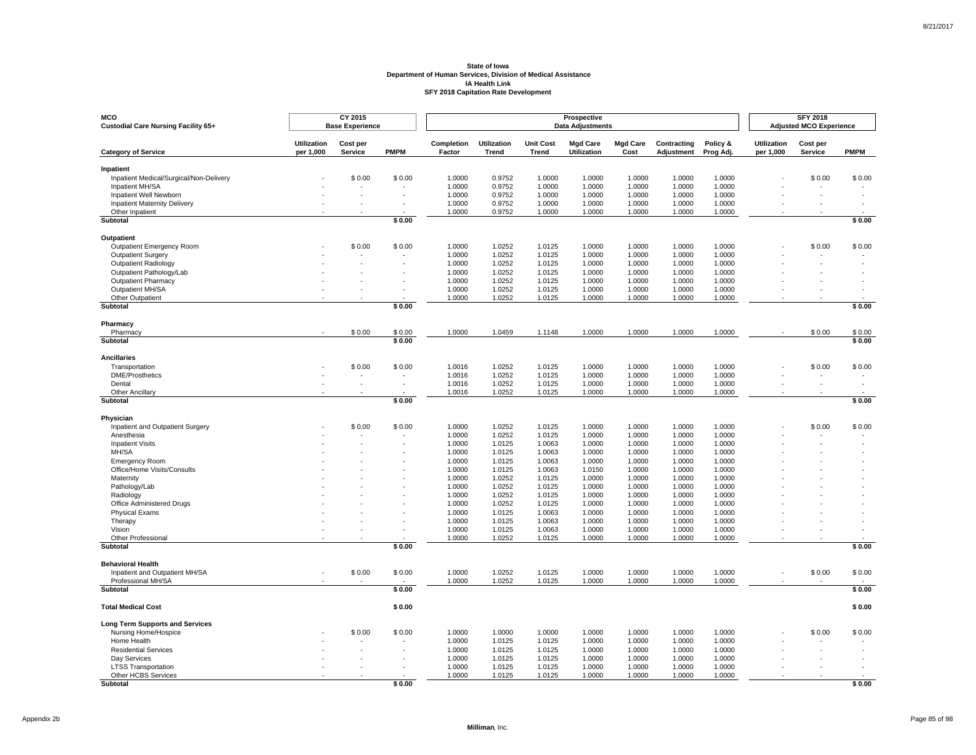| MCO<br>Custodial Care Nursing Facility 65+                    |                                 | CY 2015<br><b>Base Experience</b> |             |                      |                             |                           | Prospective<br><b>Data Adjustments</b> |                         |                           |                       |                                 | <b>SFY 2018</b><br><b>Adjusted MCO Experience</b> |             |
|---------------------------------------------------------------|---------------------------------|-----------------------------------|-------------|----------------------|-----------------------------|---------------------------|----------------------------------------|-------------------------|---------------------------|-----------------------|---------------------------------|---------------------------------------------------|-------------|
| <b>Category of Service</b>                                    | <b>Utilization</b><br>per 1,000 | Cost per<br>Service               | <b>PMPM</b> | Completion<br>Factor | <b>Utilization</b><br>Trend | <b>Unit Cost</b><br>Trend | <b>Mgd Care</b><br><b>Utilization</b>  | <b>Mgd Care</b><br>Cost | Contracting<br>Adjustment | Policy &<br>Prog Adj. | <b>Utilization</b><br>per 1,000 | Cost per<br>Service                               | <b>PMPM</b> |
| Inpatient                                                     |                                 |                                   |             |                      |                             |                           |                                        |                         |                           |                       |                                 |                                                   |             |
| Inpatient Medical/Surgical/Non-Delivery                       |                                 | \$0.00                            | \$0.00      | 1.0000               | 0.9752                      | 1.0000                    | 1.0000                                 | 1.0000                  | 1.0000                    | 1.0000                |                                 | \$0.00                                            | \$0.00      |
| Inpatient MH/SA                                               |                                 |                                   |             | 1.0000               | 0.9752                      | 1.0000                    | 1.0000                                 | 1.0000                  | 1.0000                    | 1.0000<br>1.0000      |                                 |                                                   |             |
| Inpatient Well Newborn<br><b>Inpatient Maternity Delivery</b> |                                 |                                   |             | 1.0000<br>1.0000     | 0.9752<br>0.9752            | 1.0000<br>1.0000          | 1.0000<br>1.0000                       | 1.0000<br>1.0000        | 1.0000<br>1.0000          | 1.0000                |                                 |                                                   |             |
| Other Inpatient                                               |                                 |                                   |             | 1.0000               | 0.9752                      | 1.0000                    | 1.0000                                 | 1.0000                  | 1.0000                    | 1.0000                |                                 |                                                   |             |
| Subtotal                                                      |                                 |                                   | \$0.00      |                      |                             |                           |                                        |                         |                           |                       |                                 |                                                   | \$0.00      |
| Outpatient                                                    |                                 |                                   |             |                      |                             |                           |                                        |                         |                           |                       |                                 |                                                   |             |
| Outpatient Emergency Room                                     |                                 | \$0.00                            | \$0.00      | 1.0000               | 1.0252                      | 1.0125                    | 1.0000                                 | 1.0000                  | 1.0000                    | 1.0000                |                                 | \$0.00                                            | \$0.00      |
| Outpatient Surgery                                            |                                 |                                   |             | 1.0000               | 1.0252                      | 1.0125                    | 1.0000                                 | 1.0000                  | 1.0000                    | 1.0000                |                                 |                                                   |             |
| <b>Outpatient Radiology</b>                                   |                                 |                                   |             | 1.0000               | 1.0252                      | 1.0125                    | 1.0000                                 | 1.0000                  | 1.0000                    | 1.0000                |                                 |                                                   |             |
| Outpatient Pathology/Lab                                      |                                 |                                   |             | 1.0000               | 1.0252                      | 1.0125                    | 1.0000                                 | 1.0000                  | 1.0000                    | 1.0000                |                                 |                                                   |             |
| <b>Outpatient Pharmacy</b><br>Outpatient MH/SA                |                                 |                                   |             | 1.0000<br>1.0000     | 1.0252<br>1.0252            | 1.0125<br>1.0125          | 1.0000<br>1.0000                       | 1.0000<br>1.0000        | 1.0000<br>1.0000          | 1.0000<br>1.0000      |                                 |                                                   |             |
| Other Outpatient                                              |                                 |                                   |             | 1.0000               | 1.0252                      | 1.0125                    | 1.0000                                 | 1.0000                  | 1.0000                    | 1.0000                |                                 |                                                   |             |
| Subtotal                                                      |                                 |                                   | \$0.00      |                      |                             |                           |                                        |                         |                           |                       |                                 |                                                   | \$0.00      |
| Pharmacy                                                      |                                 |                                   |             |                      |                             |                           |                                        |                         |                           |                       |                                 |                                                   |             |
| Pharmacy                                                      |                                 | \$0.00                            | \$0.00      | 1.0000               | 1.0459                      | 1.1148                    | 1.0000                                 | 1.0000                  | 1.0000                    | 1.0000                |                                 | \$0.00                                            | \$0.00      |
| Subtotal                                                      |                                 |                                   | \$0.00      |                      |                             |                           |                                        |                         |                           |                       |                                 |                                                   | \$0.00      |
| <b>Ancillaries</b>                                            |                                 |                                   |             |                      |                             |                           |                                        |                         |                           |                       |                                 |                                                   |             |
| Transportation                                                |                                 | \$0.00                            | \$0.00      | 1.0016               | 1.0252                      | 1.0125                    | 1.0000                                 | 1.0000                  | 1.0000                    | 1.0000                |                                 | \$0.00                                            | \$0.00      |
| <b>DME/Prosthetics</b>                                        |                                 | $\overline{\phantom{a}}$          |             | 1.0016               | 1.0252                      | 1.0125                    | 1.0000                                 | 1.0000                  | 1.0000                    | 1.0000                |                                 |                                                   |             |
| Dental                                                        |                                 |                                   |             | 1.0016               | 1.0252                      | 1.0125                    | 1.0000                                 | 1.0000                  | 1.0000                    | 1.0000                |                                 |                                                   |             |
| Other Ancillary<br>Subtotal                                   |                                 |                                   | \$0.00      | 1.0016               | 1.0252                      | 1.0125                    | 1.0000                                 | 1.0000                  | 1.0000                    | 1.0000                |                                 |                                                   | \$0.00      |
|                                                               |                                 |                                   |             |                      |                             |                           |                                        |                         |                           |                       |                                 |                                                   |             |
| Physician<br>Inpatient and Outpatient Surgery                 |                                 | \$0.00                            | \$0.00      | 1.0000               | 1.0252                      | 1.0125                    | 1.0000                                 | 1.0000                  | 1.0000                    | 1.0000                |                                 | \$0.00                                            | \$0.00      |
| Anesthesia                                                    |                                 |                                   |             | 1.0000               | 1.0252                      | 1.0125                    | 1.0000                                 | 1.0000                  | 1.0000                    | 1.0000                |                                 |                                                   |             |
| <b>Inpatient Visits</b>                                       |                                 |                                   |             | 1.0000               | 1.0125                      | 1.0063                    | 1.0000                                 | 1.0000                  | 1.0000                    | 1.0000                |                                 |                                                   |             |
| MH/SA                                                         |                                 |                                   |             | 1.0000               | 1.0125                      | 1.0063                    | 1.0000                                 | 1.0000                  | 1.0000                    | 1.0000                |                                 |                                                   |             |
| <b>Emergency Room</b>                                         |                                 |                                   |             | 1.0000               | 1.0125                      | 1.0063                    | 1.0000                                 | 1.0000                  | 1.0000                    | 1.0000                |                                 |                                                   |             |
| Office/Home Visits/Consults                                   |                                 |                                   |             | 1.0000               | 1.0125                      | 1.0063                    | 1.0150                                 | 1.0000                  | 1.0000                    | 1.0000                |                                 |                                                   |             |
| Maternity                                                     |                                 |                                   |             | 1.0000               | 1.0252                      | 1.0125                    | 1.0000                                 | 1.0000                  | 1.0000                    | 1.0000                |                                 |                                                   |             |
| Pathology/Lab<br>Radiology                                    |                                 |                                   |             | 1.0000<br>1.0000     | 1.0252<br>1.0252            | 1.0125<br>1.0125          | 1.0000<br>1.0000                       | 1.0000<br>1.0000        | 1.0000<br>1.0000          | 1.0000<br>1.0000      |                                 |                                                   |             |
| Office Administered Drugs                                     |                                 |                                   |             | 1.0000               | 1.0252                      | 1.0125                    | 1.0000                                 | 1.0000                  | 1.0000                    | 1.0000                |                                 |                                                   |             |
| <b>Physical Exams</b>                                         |                                 |                                   |             | 1.0000               | 1.0125                      | 1.0063                    | 1.0000                                 | 1.0000                  | 1.0000                    | 1.0000                |                                 |                                                   |             |
| Therapy                                                       |                                 |                                   |             | 1.0000               | 1.0125                      | 1.0063                    | 1.0000                                 | 1.0000                  | 1.0000                    | 1.0000                |                                 |                                                   |             |
| Vision                                                        |                                 |                                   |             | 1.0000               | 1.0125                      | 1.0063                    | 1.0000                                 | 1.0000                  | 1.0000                    | 1.0000                |                                 |                                                   |             |
| <b>Other Professional</b><br>Subtotal                         |                                 |                                   | \$0.00      | 1.0000               | 1.0252                      | 1.0125                    | 1.0000                                 | 1.0000                  | 1.0000                    | 1.0000                |                                 |                                                   | \$0.00      |
|                                                               |                                 |                                   |             |                      |                             |                           |                                        |                         |                           |                       |                                 |                                                   |             |
| <b>Behavioral Health</b>                                      |                                 |                                   |             |                      |                             |                           |                                        |                         |                           |                       |                                 |                                                   |             |
| Inpatient and Outpatient MH/SA                                |                                 | \$0.00                            | \$0.00      | 1.0000               | 1.0252                      | 1.0125                    | 1.0000                                 | 1.0000                  | 1.0000                    | 1.0000                |                                 | \$0.00                                            | \$0.00      |
| Professional MH/SA<br>Subtotal                                |                                 |                                   | \$0.00      | 1.0000               | 1.0252                      | 1.0125                    | 1.0000                                 | 1.0000                  | 1.0000                    | 1.0000                |                                 |                                                   | \$0.00      |
|                                                               |                                 |                                   |             |                      |                             |                           |                                        |                         |                           |                       |                                 |                                                   |             |
| <b>Total Medical Cost</b>                                     |                                 |                                   | \$0.00      |                      |                             |                           |                                        |                         |                           |                       |                                 |                                                   | \$0.00      |
| <b>Long Term Supports and Services</b>                        |                                 |                                   |             |                      |                             |                           |                                        |                         |                           |                       |                                 |                                                   |             |
| Nursing Home/Hospice                                          |                                 | \$0.00                            | \$0.00      | 1.0000               | 1.0000                      | 1.0000                    | 1.0000                                 | 1.0000                  | 1.0000                    | 1.0000                |                                 | \$0.00                                            | \$0.00      |
| Home Health                                                   |                                 |                                   |             | 1.0000               | 1.0125                      | 1.0125                    | 1.0000                                 | 1.0000                  | 1.0000                    | 1.0000                |                                 |                                                   |             |
| <b>Residential Services</b><br>Day Services                   |                                 |                                   |             | 1.0000<br>1.0000     | 1.0125<br>1.0125            | 1.0125<br>1.0125          | 1.0000<br>1.0000                       | 1.0000<br>1.0000        | 1.0000<br>1.0000          | 1.0000<br>1.0000      |                                 |                                                   |             |
| <b>LTSS Transportation</b>                                    |                                 |                                   |             | 1.0000               | 1.0125                      | 1.0125                    | 1.0000                                 | 1.0000                  | 1.0000                    | 1.0000                |                                 |                                                   |             |
| Other HCBS Services                                           |                                 |                                   |             | 1.0000               | 1.0125                      | 1.0125                    | 1.0000                                 | 1.0000                  | 1.0000                    | 1.0000                |                                 |                                                   |             |
| <b>Subtotal</b>                                               |                                 |                                   | \$0.00      |                      |                             |                           |                                        |                         |                           |                       |                                 |                                                   | \$0.00      |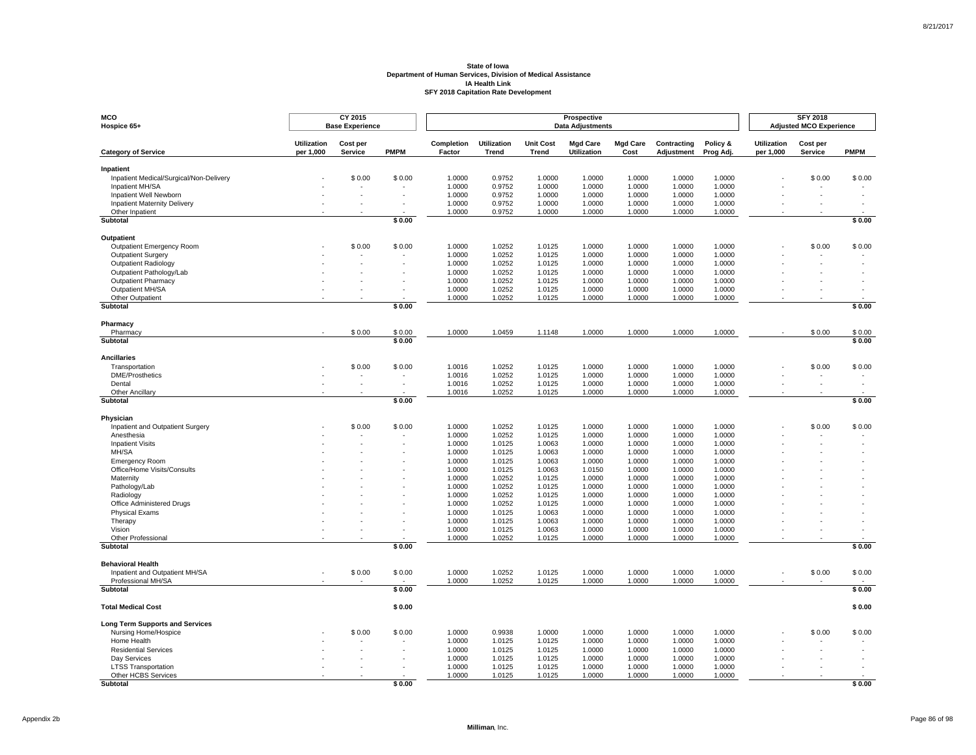| <b>MCO</b><br>Hospice 65+                              |                                 | CY 2015<br><b>Base Experience</b> |             |                      |                             |                           | Prospective<br><b>Data Adjustments</b> |                         |                           |                       |                                 | <b>SFY 2018</b><br><b>Adjusted MCO Experience</b> |             |
|--------------------------------------------------------|---------------------------------|-----------------------------------|-------------|----------------------|-----------------------------|---------------------------|----------------------------------------|-------------------------|---------------------------|-----------------------|---------------------------------|---------------------------------------------------|-------------|
| <b>Category of Service</b>                             | <b>Utilization</b><br>per 1,000 | Cost per<br>Service               | <b>PMPM</b> | Completion<br>Factor | <b>Utilization</b><br>Trend | <b>Unit Cost</b><br>Trend | <b>Mgd Care</b><br><b>Utilization</b>  | <b>Mgd Care</b><br>Cost | Contracting<br>Adjustment | Policy &<br>Prog Adj. | <b>Utilization</b><br>per 1,000 | Cost per<br>Service                               | <b>PMPM</b> |
| Inpatient                                              |                                 |                                   |             |                      |                             |                           |                                        |                         |                           |                       |                                 |                                                   |             |
| Inpatient Medical/Surgical/Non-Delivery                |                                 | \$0.00                            | \$0.00      | 1.0000               | 0.9752                      | 1.0000                    | 1.0000                                 | 1.0000                  | 1.0000                    | 1.0000                |                                 | \$0.00                                            | \$0.00      |
| Inpatient MH/SA                                        |                                 |                                   |             | 1.0000               | 0.9752                      | 1.0000                    | 1.0000                                 | 1.0000                  | 1.0000                    | 1.0000                |                                 |                                                   |             |
| Inpatient Well Newborn                                 |                                 |                                   |             | 1.0000               | 0.9752                      | 1.0000                    | 1.0000                                 | 1.0000                  | 1.0000                    | 1.0000                |                                 |                                                   |             |
| <b>Inpatient Maternity Delivery</b><br>Other Inpatient |                                 |                                   |             | 1.0000<br>1.0000     | 0.9752<br>0.9752            | 1.0000<br>1.0000          | 1.0000<br>1.0000                       | 1.0000<br>1.0000        | 1.0000<br>1.0000          | 1.0000<br>1.0000      |                                 |                                                   |             |
| Subtotal                                               |                                 |                                   | \$0.00      |                      |                             |                           |                                        |                         |                           |                       |                                 |                                                   | \$0.00      |
| Outpatient                                             |                                 |                                   |             |                      |                             |                           |                                        |                         |                           |                       |                                 |                                                   |             |
| Outpatient Emergency Room                              |                                 | \$0.00                            | \$0.00      | 1.0000               | 1.0252                      | 1.0125                    | 1.0000                                 | 1.0000                  | 1.0000                    | 1.0000                |                                 | \$0.00                                            | \$0.00      |
| Outpatient Surgery                                     |                                 |                                   |             | 1.0000               | 1.0252                      | 1.0125                    | 1.0000                                 | 1.0000                  | 1.0000                    | 1.0000                |                                 |                                                   |             |
| <b>Outpatient Radiology</b>                            |                                 |                                   |             | 1.0000               | 1.0252                      | 1.0125                    | 1.0000                                 | 1.0000                  | 1.0000                    | 1.0000                |                                 |                                                   |             |
| Outpatient Pathology/Lab                               |                                 |                                   |             | 1.0000               | 1.0252                      | 1.0125                    | 1.0000                                 | 1.0000                  | 1.0000                    | 1.0000                |                                 |                                                   |             |
| <b>Outpatient Pharmacy</b>                             |                                 |                                   |             | 1.0000               | 1.0252                      | 1.0125                    | 1.0000                                 | 1.0000                  | 1.0000                    | 1.0000                |                                 |                                                   |             |
| Outpatient MH/SA                                       |                                 |                                   |             | 1.0000               | 1.0252                      | 1.0125                    | 1.0000                                 | 1.0000                  | 1.0000                    | 1.0000                |                                 |                                                   |             |
| Other Outpatient<br>Subtotal                           |                                 |                                   | \$0.00      | 1.0000               | 1.0252                      | 1.0125                    | 1.0000                                 | 1.0000                  | 1.0000                    | 1.0000                |                                 |                                                   | \$0.00      |
|                                                        |                                 |                                   |             |                      |                             |                           |                                        |                         |                           |                       |                                 |                                                   |             |
| Pharmacy<br>Pharmacy                                   |                                 | \$0.00                            | \$0.00      | 1.0000               | 1.0459                      | 1.1148                    | 1.0000                                 | 1.0000                  | 1.0000                    | 1.0000                |                                 | \$0.00                                            | \$0.00      |
| Subtotal                                               |                                 |                                   | \$0.00      |                      |                             |                           |                                        |                         |                           |                       |                                 |                                                   | \$0.00      |
| <b>Ancillaries</b>                                     |                                 |                                   |             |                      |                             |                           |                                        |                         |                           |                       |                                 |                                                   |             |
| Transportation                                         |                                 | \$0.00                            | \$0.00      | 1.0016               | 1.0252                      | 1.0125                    | 1.0000                                 | 1.0000                  | 1.0000                    | 1.0000                |                                 | \$0.00                                            | \$0.00      |
| <b>DME/Prosthetics</b>                                 |                                 | $\overline{\phantom{a}}$          |             | 1.0016               | 1.0252                      | 1.0125                    | 1.0000                                 | 1.0000                  | 1.0000                    | 1.0000                |                                 |                                                   |             |
| Dental                                                 |                                 |                                   |             | 1.0016               | 1.0252                      | 1.0125                    | 1.0000                                 | 1.0000                  | 1.0000                    | 1.0000                |                                 |                                                   |             |
| Other Ancillary<br>Subtotal                            |                                 |                                   | \$0.00      | 1.0016               | 1.0252                      | 1.0125                    | 1.0000                                 | 1.0000                  | 1.0000                    | 1.0000                |                                 |                                                   | \$0.00      |
|                                                        |                                 |                                   |             |                      |                             |                           |                                        |                         |                           |                       |                                 |                                                   |             |
| Physician<br>Inpatient and Outpatient Surgery          |                                 | \$0.00                            | \$0.00      | 1.0000               | 1.0252                      | 1.0125                    | 1.0000                                 | 1.0000                  | 1.0000                    | 1.0000                |                                 | \$0.00                                            | \$0.00      |
| Anesthesia                                             |                                 |                                   |             | 1.0000               | 1.0252                      | 1.0125                    | 1.0000                                 | 1.0000                  | 1.0000                    | 1.0000                |                                 |                                                   |             |
| <b>Inpatient Visits</b>                                |                                 |                                   |             | 1.0000               | 1.0125                      | 1.0063                    | 1.0000                                 | 1.0000                  | 1.0000                    | 1.0000                |                                 |                                                   |             |
| MH/SA                                                  |                                 |                                   |             | 1.0000               | 1.0125                      | 1.0063                    | 1.0000                                 | 1.0000                  | 1.0000                    | 1.0000                |                                 |                                                   |             |
| <b>Emergency Room</b>                                  |                                 |                                   |             | 1.0000               | 1.0125                      | 1.0063                    | 1.0000                                 | 1.0000                  | 1.0000                    | 1.0000                |                                 |                                                   |             |
| Office/Home Visits/Consults                            |                                 |                                   |             | 1.0000               | 1.0125                      | 1.0063                    | 1.0150                                 | 1.0000                  | 1.0000                    | 1.0000                |                                 |                                                   |             |
| Maternity                                              |                                 |                                   |             | 1.0000               | 1.0252                      | 1.0125                    | 1.0000                                 | 1.0000                  | 1.0000                    | 1.0000                |                                 |                                                   |             |
| Pathology/Lab<br>Radiology                             |                                 |                                   |             | 1.0000<br>1.0000     | 1.0252<br>1.0252            | 1.0125<br>1.0125          | 1.0000<br>1.0000                       | 1.0000<br>1.0000        | 1.0000<br>1.0000          | 1.0000<br>1.0000      |                                 |                                                   |             |
| Office Administered Drugs                              |                                 |                                   |             | 1.0000               | 1.0252                      | 1.0125                    | 1.0000                                 | 1.0000                  | 1.0000                    | 1.0000                |                                 |                                                   |             |
| <b>Physical Exams</b>                                  |                                 |                                   |             | 1.0000               | 1.0125                      | 1.0063                    | 1.0000                                 | 1.0000                  | 1.0000                    | 1.0000                |                                 |                                                   |             |
| Therapy                                                |                                 |                                   |             | 1.0000               | 1.0125                      | 1.0063                    | 1.0000                                 | 1.0000                  | 1.0000                    | 1.0000                |                                 |                                                   |             |
| Vision                                                 |                                 |                                   |             | 1.0000               | 1.0125                      | 1.0063                    | 1.0000                                 | 1.0000                  | 1.0000                    | 1.0000                |                                 |                                                   |             |
| <b>Other Professional</b><br>Subtotal                  |                                 |                                   | \$0.00      | 1.0000               | 1.0252                      | 1.0125                    | 1.0000                                 | 1.0000                  | 1.0000                    | 1.0000                |                                 |                                                   | \$0.00      |
|                                                        |                                 |                                   |             |                      |                             |                           |                                        |                         |                           |                       |                                 |                                                   |             |
| <b>Behavioral Health</b>                               |                                 |                                   |             |                      |                             |                           |                                        |                         |                           |                       |                                 |                                                   |             |
| Inpatient and Outpatient MH/SA                         |                                 | \$0.00                            | \$0.00      | 1.0000               | 1.0252                      | 1.0125                    | 1.0000                                 | 1.0000                  | 1.0000                    | 1.0000                |                                 | \$0.00                                            | \$0.00      |
| Professional MH/SA<br>Subtotal                         |                                 |                                   | \$0.00      | 1.0000               | 1.0252                      | 1.0125                    | 1.0000                                 | 1.0000                  | 1.0000                    | 1.0000                |                                 |                                                   | \$0.00      |
|                                                        |                                 |                                   |             |                      |                             |                           |                                        |                         |                           |                       |                                 |                                                   |             |
| <b>Total Medical Cost</b>                              |                                 |                                   | \$0.00      |                      |                             |                           |                                        |                         |                           |                       |                                 |                                                   | \$0.00      |
| <b>Long Term Supports and Services</b>                 |                                 |                                   |             |                      |                             |                           |                                        |                         |                           |                       |                                 |                                                   |             |
| Nursing Home/Hospice<br>Home Health                    |                                 | \$0.00                            | \$0.00      | 1.0000<br>1.0000     | 0.9938<br>1.0125            | 1.0000<br>1.0125          | 1.0000<br>1.0000                       | 1.0000<br>1.0000        | 1.0000<br>1.0000          | 1.0000<br>1.0000      |                                 | \$0.00                                            | \$0.00      |
| <b>Residential Services</b>                            |                                 |                                   |             | 1.0000               | 1.0125                      | 1.0125                    | 1.0000                                 | 1.0000                  | 1.0000                    | 1.0000                |                                 |                                                   |             |
| Day Services                                           |                                 |                                   |             | 1.0000               | 1.0125                      | 1.0125                    | 1.0000                                 | 1.0000                  | 1.0000                    | 1.0000                |                                 |                                                   |             |
| <b>LTSS Transportation</b>                             |                                 |                                   |             | 1.0000               | 1.0125                      | 1.0125                    | 1.0000                                 | 1.0000                  | 1.0000                    | 1.0000                |                                 |                                                   |             |
| Other HCBS Services                                    |                                 |                                   |             | 1.0000               | 1.0125                      | 1.0125                    | 1.0000                                 | 1.0000                  | 1.0000                    | 1.0000                |                                 |                                                   |             |
| <b>Subtotal</b>                                        |                                 |                                   | \$0.00      |                      |                             |                           |                                        |                         |                           |                       |                                 |                                                   | \$0.00      |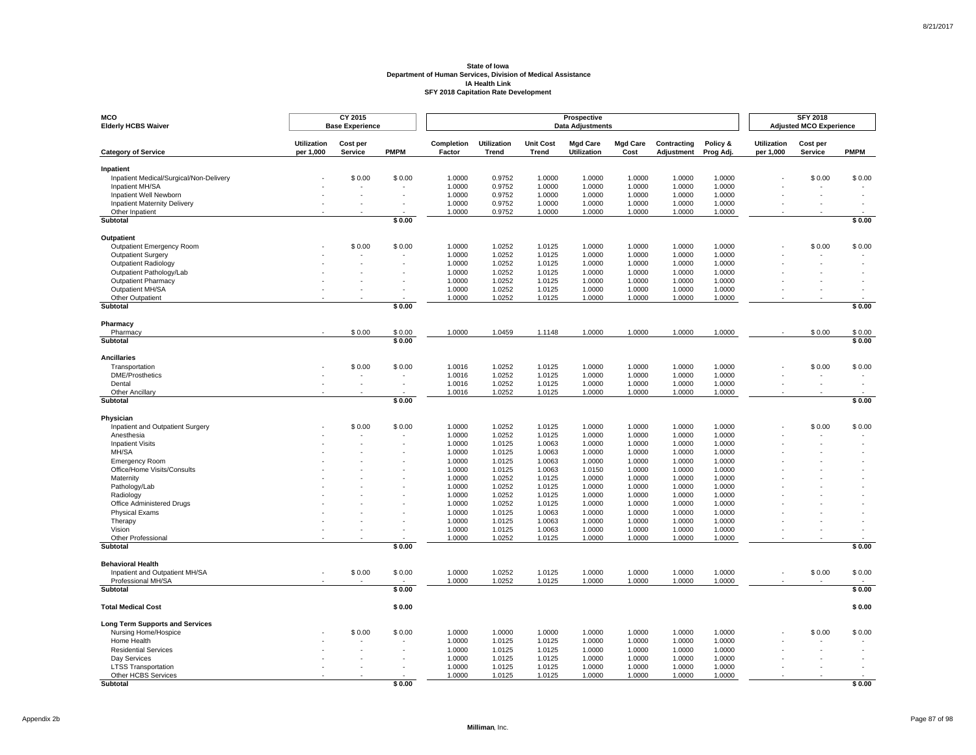| MCO<br><b>Elderly HCBS Waiver</b>                      |                                 | CY 2015<br><b>Base Experience</b> |                  |                      |                             |                                  | Prospective<br><b>Data Adjustments</b> |                         |                           |                       |                                 | <b>SFY 2018</b><br><b>Adjusted MCO Experience</b> |                  |
|--------------------------------------------------------|---------------------------------|-----------------------------------|------------------|----------------------|-----------------------------|----------------------------------|----------------------------------------|-------------------------|---------------------------|-----------------------|---------------------------------|---------------------------------------------------|------------------|
| <b>Category of Service</b>                             | <b>Utilization</b><br>per 1,000 | Cost per<br>Service               | <b>PMPM</b>      | Completion<br>Factor | <b>Utilization</b><br>Trend | <b>Unit Cost</b><br><b>Trend</b> | <b>Mgd Care</b><br><b>Utilization</b>  | <b>Mgd Care</b><br>Cost | Contracting<br>Adjustment | Policy &<br>Prog Adj. | <b>Utilization</b><br>per 1,000 | Cost per<br>Service                               | <b>PMPM</b>      |
| Inpatient                                              |                                 |                                   |                  |                      |                             |                                  |                                        |                         |                           |                       |                                 |                                                   |                  |
| Inpatient Medical/Surgical/Non-Delivery                |                                 | \$0.00                            | \$0.00           | 1.0000               | 0.9752                      | 1.0000                           | 1.0000                                 | 1.0000                  | 1.0000                    | 1.0000                |                                 | \$0.00                                            | \$0.00           |
| Inpatient MH/SA                                        |                                 |                                   |                  | 1.0000               | 0.9752                      | 1.0000                           | 1.0000                                 | 1.0000                  | 1.0000                    | 1.0000                |                                 |                                                   |                  |
| Inpatient Well Newborn                                 |                                 |                                   |                  | 1.0000               | 0.9752                      | 1.0000                           | 1.0000                                 | 1.0000                  | 1.0000                    | 1.0000                |                                 |                                                   |                  |
| <b>Inpatient Maternity Delivery</b><br>Other Inpatient |                                 |                                   |                  | 1.0000<br>1.0000     | 0.9752<br>0.9752            | 1.0000<br>1.0000                 | 1.0000<br>1.0000                       | 1.0000<br>1.0000        | 1.0000<br>1.0000          | 1.0000<br>1.0000      |                                 |                                                   |                  |
| <b>Subtotal</b>                                        |                                 |                                   | \$0.00           |                      |                             |                                  |                                        |                         |                           |                       |                                 |                                                   | \$0.00           |
|                                                        |                                 |                                   |                  |                      |                             |                                  |                                        |                         |                           |                       |                                 |                                                   |                  |
| <b>Outpatient</b>                                      |                                 | \$0.00                            | \$0.00           | 1.0000               |                             |                                  | 1.0000                                 | 1.0000                  | 1.0000                    | 1.0000                |                                 |                                                   | \$0.00           |
| Outpatient Emergency Room<br><b>Outpatient Surgery</b> |                                 |                                   |                  | 1.0000               | 1.0252<br>1.0252            | 1.0125<br>1.0125                 | 1.0000                                 | 1.0000                  | 1.0000                    | 1.0000                |                                 | \$0.00                                            |                  |
| Outpatient Radiology                                   |                                 |                                   |                  | 1.0000               | 1.0252                      | 1.0125                           | 1.0000                                 | 1.0000                  | 1.0000                    | 1.0000                |                                 |                                                   |                  |
| Outpatient Pathology/Lab                               |                                 |                                   |                  | 1.0000               | 1.0252                      | 1.0125                           | 1.0000                                 | 1.0000                  | 1.0000                    | 1.0000                |                                 |                                                   |                  |
| <b>Outpatient Pharmacy</b>                             |                                 |                                   |                  | 1.0000               | 1.0252                      | 1.0125                           | 1.0000                                 | 1.0000                  | 1.0000                    | 1.0000                |                                 |                                                   |                  |
| Outpatient MH/SA                                       |                                 |                                   |                  | 1.0000               | 1.0252                      | 1.0125                           | 1.0000                                 | 1.0000                  | 1.0000                    | 1.0000                |                                 |                                                   |                  |
| Other Outpatient                                       |                                 |                                   |                  | 1.0000               | 1.0252                      | 1.0125                           | 1.0000                                 | 1.0000                  | 1.0000                    | 1.0000                |                                 |                                                   |                  |
| Subtotal                                               |                                 |                                   | \$0.00           |                      |                             |                                  |                                        |                         |                           |                       |                                 |                                                   | \$0.00           |
| Pharmacy                                               |                                 |                                   |                  |                      |                             |                                  |                                        |                         |                           |                       |                                 |                                                   |                  |
| Pharmacy<br><b>Subtotal</b>                            |                                 | \$0.00                            | \$0.00<br>\$0.00 | 1.0000               | 1.0459                      | 1.1148                           | 1.0000                                 | 1.0000                  | 1.0000                    | 1.0000                |                                 | \$0.00                                            | \$0.00<br>\$0.00 |
|                                                        |                                 |                                   |                  |                      |                             |                                  |                                        |                         |                           |                       |                                 |                                                   |                  |
| <b>Ancillaries</b>                                     |                                 |                                   |                  |                      |                             |                                  |                                        |                         |                           |                       |                                 |                                                   |                  |
| Transportation                                         |                                 | \$0.00                            | \$0.00           | 1.0016               | 1.0252                      | 1.0125                           | 1.0000                                 | 1.0000                  | 1.0000                    | 1.0000                |                                 | \$0.00                                            | \$0.00           |
| <b>DME/Prosthetics</b><br>Dental                       |                                 |                                   |                  | 1.0016<br>1.0016     | 1.0252<br>1.0252            | 1.0125<br>1.0125                 | 1.0000<br>1.0000                       | 1.0000<br>1.0000        | 1.0000<br>1.0000          | 1.0000<br>1.0000      |                                 |                                                   |                  |
| Other Ancillary                                        |                                 |                                   |                  | 1.0016               | 1.0252                      | 1.0125                           | 1.0000                                 | 1.0000                  | 1.0000                    | 1.0000                |                                 |                                                   |                  |
| <b>Subtotal</b>                                        |                                 |                                   | \$0.00           |                      |                             |                                  |                                        |                         |                           |                       |                                 |                                                   | \$0.00           |
|                                                        |                                 |                                   |                  |                      |                             |                                  |                                        |                         |                           |                       |                                 |                                                   |                  |
| Physician<br>Inpatient and Outpatient Surgery          |                                 | \$0.00                            | \$0.00           | 1.0000               | 1.0252                      | 1.0125                           | 1.0000                                 | 1.0000                  | 1.0000                    | 1.0000                |                                 | \$0.00                                            | \$0.00           |
| Anesthesia                                             |                                 |                                   |                  | 1.0000               | 1.0252                      | 1.0125                           | 1.0000                                 | 1.0000                  | 1.0000                    | 1.0000                |                                 |                                                   |                  |
| <b>Inpatient Visits</b>                                |                                 |                                   |                  | 1.0000               | 1.0125                      | 1.0063                           | 1.0000                                 | 1.0000                  | 1.0000                    | 1.0000                |                                 |                                                   |                  |
| MH/SA                                                  |                                 |                                   |                  | 1.0000               | 1.0125                      | 1.0063                           | 1.0000                                 | 1.0000                  | 1.0000                    | 1.0000                |                                 |                                                   |                  |
| <b>Emergency Room</b>                                  |                                 |                                   |                  | 1.0000               | 1.0125                      | 1.0063                           | 1.0000                                 | 1.0000                  | 1.0000                    | 1.0000                |                                 |                                                   |                  |
| Office/Home Visits/Consults                            |                                 |                                   |                  | 1.0000               | 1.0125                      | 1.0063                           | 1.0150                                 | 1.0000                  | 1.0000                    | 1.0000                |                                 |                                                   |                  |
| Maternity<br>Pathology/Lab                             |                                 |                                   |                  | 1.0000<br>1.0000     | 1.0252<br>1.0252            | 1.0125<br>1.0125                 | 1.0000<br>1.0000                       | 1.0000<br>1.0000        | 1.0000<br>1.0000          | 1.0000<br>1.0000      |                                 |                                                   |                  |
| Radiology                                              |                                 |                                   |                  | 1.0000               | 1.0252                      | 1.0125                           | 1.0000                                 | 1.0000                  | 1.0000                    | 1.0000                |                                 |                                                   |                  |
| Office Administered Drugs                              |                                 |                                   |                  | 1.0000               | 1.0252                      | 1.0125                           | 1.0000                                 | 1.0000                  | 1.0000                    | 1.0000                |                                 |                                                   |                  |
| <b>Physical Exams</b>                                  |                                 |                                   |                  | 1.0000               | 1.0125                      | 1.0063                           | 1.0000                                 | 1.0000                  | 1.0000                    | 1.0000                |                                 |                                                   |                  |
| Therapy                                                |                                 |                                   |                  | 1.0000               | 1.0125                      | 1.0063                           | 1.0000                                 | 1.0000                  | 1.0000                    | 1.0000                |                                 |                                                   |                  |
| Vision                                                 |                                 |                                   |                  | 1.0000               | 1.0125                      | 1.0063                           | 1.0000                                 | 1.0000                  | 1.0000                    | 1.0000                |                                 |                                                   |                  |
| Other Professional<br>Subtotal                         |                                 |                                   | \$0.00           | 1.0000               | 1.0252                      | 1.0125                           | 1.0000                                 | 1.0000                  | 1.0000                    | 1.0000                |                                 |                                                   | \$0.00           |
|                                                        |                                 |                                   |                  |                      |                             |                                  |                                        |                         |                           |                       |                                 |                                                   |                  |
| <b>Behavioral Health</b>                               |                                 |                                   |                  |                      |                             |                                  |                                        |                         |                           |                       |                                 |                                                   |                  |
| Inpatient and Outpatient MH/SA                         |                                 | \$0.00                            | \$0.00           | 1.0000               | 1.0252                      | 1.0125                           | 1.0000                                 | 1.0000                  | 1.0000                    | 1.0000                |                                 | \$0.00                                            | \$0.00           |
| Professional MH/SA<br>Subtotal                         |                                 |                                   | \$0.00           | 1.0000               | 1.0252                      | 1.0125                           | 1.0000                                 | 1.0000                  | 1.0000                    | 1.0000                |                                 |                                                   | \$0.00           |
|                                                        |                                 |                                   |                  |                      |                             |                                  |                                        |                         |                           |                       |                                 |                                                   |                  |
| <b>Total Medical Cost</b>                              |                                 |                                   | \$0.00           |                      |                             |                                  |                                        |                         |                           |                       |                                 |                                                   | \$0.00           |
| <b>Long Term Supports and Services</b>                 |                                 |                                   |                  |                      |                             |                                  |                                        |                         |                           |                       |                                 |                                                   |                  |
| Nursing Home/Hospice                                   |                                 | \$0.00                            | \$0.00           | 1.0000               | 1.0000                      | 1.0000                           | 1.0000                                 | 1.0000                  | 1.0000                    | 1.0000                |                                 | \$0.00                                            | \$0.00           |
| Home Health                                            |                                 |                                   |                  | 1.0000               | 1.0125                      | 1.0125                           | 1.0000                                 | 1.0000                  | 1.0000                    | 1.0000                |                                 |                                                   |                  |
| <b>Residential Services</b>                            |                                 |                                   |                  | 1.0000               | 1.0125                      | 1.0125                           | 1.0000                                 | 1.0000                  | 1.0000                    | 1.0000                |                                 |                                                   |                  |
| Day Services<br><b>LTSS Transportation</b>             |                                 |                                   |                  | 1.0000<br>1.0000     | 1.0125<br>1.0125            | 1.0125<br>1.0125                 | 1.0000<br>1.0000                       | 1.0000<br>1.0000        | 1.0000<br>1.0000          | 1.0000<br>1.0000      |                                 |                                                   |                  |
| Other HCBS Services                                    |                                 |                                   |                  | 1.0000               | 1.0125                      | 1.0125                           | 1.0000                                 | 1.0000                  | 1.0000                    | 1.0000                |                                 |                                                   |                  |
| <b>Subtotal</b>                                        |                                 |                                   | \$0.00           |                      |                             |                                  |                                        |                         |                           |                       |                                 |                                                   | \$0.00           |

Appendix 2b

Page 87 of 98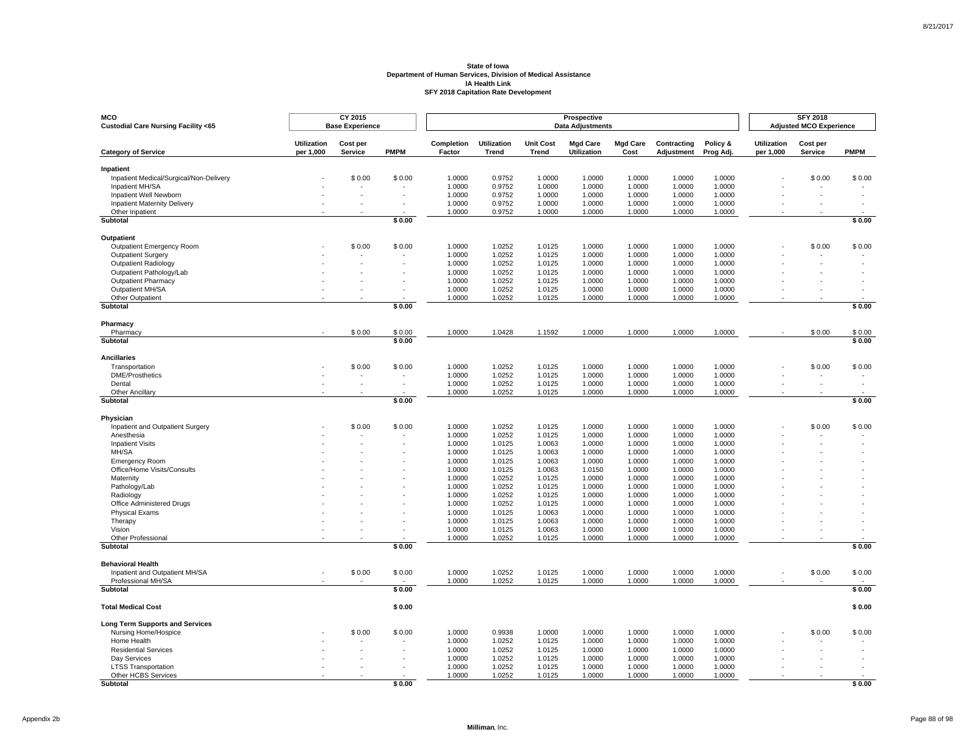| MCO<br>Custodial Care Nursing Facility <65                    |                                 | CY 2015<br><b>Base Experience</b> |             |                      |                             |                                  | Prospective<br><b>Data Adjustments</b> |                         |                           |                       |                                 | <b>SFY 2018</b><br><b>Adjusted MCO Experience</b> |             |
|---------------------------------------------------------------|---------------------------------|-----------------------------------|-------------|----------------------|-----------------------------|----------------------------------|----------------------------------------|-------------------------|---------------------------|-----------------------|---------------------------------|---------------------------------------------------|-------------|
| <b>Category of Service</b>                                    | <b>Utilization</b><br>per 1,000 | Cost per<br>Service               | <b>PMPM</b> | Completion<br>Factor | <b>Utilization</b><br>Trend | <b>Unit Cost</b><br><b>Trend</b> | <b>Mgd Care</b><br><b>Utilization</b>  | <b>Mgd Care</b><br>Cost | Contracting<br>Adjustment | Policy &<br>Prog Adj. | <b>Utilization</b><br>per 1,000 | Cost per<br>Service                               | <b>PMPM</b> |
| Inpatient                                                     |                                 |                                   |             |                      |                             |                                  |                                        |                         |                           |                       |                                 |                                                   |             |
| Inpatient Medical/Surgical/Non-Delivery                       |                                 | \$0.00                            | \$0.00      | 1.0000               | 0.9752                      | 1.0000                           | 1.0000                                 | 1.0000                  | 1.0000                    | 1.0000                |                                 | \$0.00                                            | \$0.00      |
| Inpatient MH/SA                                               |                                 |                                   |             | 1.0000               | 0.9752                      | 1.0000                           | 1.0000                                 | 1.0000                  | 1.0000                    | 1.0000<br>1.0000      |                                 |                                                   |             |
| Inpatient Well Newborn<br><b>Inpatient Maternity Delivery</b> |                                 |                                   |             | 1.0000<br>1.0000     | 0.9752<br>0.9752            | 1.0000<br>1.0000                 | 1.0000<br>1.0000                       | 1.0000<br>1.0000        | 1.0000<br>1.0000          | 1.0000                |                                 |                                                   |             |
| Other Inpatient                                               |                                 |                                   |             | 1.0000               | 0.9752                      | 1.0000                           | 1.0000                                 | 1.0000                  | 1.0000                    | 1.0000                |                                 |                                                   |             |
| Subtotal                                                      |                                 |                                   | \$0.00      |                      |                             |                                  |                                        |                         |                           |                       |                                 |                                                   | \$0.00      |
| Outpatient                                                    |                                 |                                   |             |                      |                             |                                  |                                        |                         |                           |                       |                                 |                                                   |             |
| Outpatient Emergency Room                                     |                                 | \$0.00                            | \$0.00      | 1.0000               | 1.0252                      | 1.0125                           | 1.0000                                 | 1.0000                  | 1.0000                    | 1.0000                |                                 | \$0.00                                            | \$0.00      |
| Outpatient Surgery                                            |                                 |                                   |             | 1.0000               | 1.0252                      | 1.0125                           | 1.0000                                 | 1.0000                  | 1.0000                    | 1.0000                |                                 |                                                   |             |
| <b>Outpatient Radiology</b>                                   |                                 |                                   |             | 1.0000               | 1.0252                      | 1.0125                           | 1.0000                                 | 1.0000                  | 1.0000                    | 1.0000                |                                 |                                                   |             |
| Outpatient Pathology/Lab                                      |                                 |                                   |             | 1.0000               | 1.0252                      | 1.0125                           | 1.0000                                 | 1.0000                  | 1.0000                    | 1.0000                |                                 |                                                   |             |
| <b>Outpatient Pharmacy</b><br>Outpatient MH/SA                |                                 |                                   |             | 1.0000<br>1.0000     | 1.0252                      | 1.0125                           | 1.0000<br>1.0000                       | 1.0000                  | 1.0000                    | 1.0000<br>1.0000      |                                 |                                                   |             |
| Other Outpatient                                              |                                 |                                   |             | 1.0000               | 1.0252<br>1.0252            | 1.0125<br>1.0125                 | 1.0000                                 | 1.0000<br>1.0000        | 1.0000<br>1.0000          | 1.0000                |                                 |                                                   |             |
| Subtotal                                                      |                                 |                                   | \$0.00      |                      |                             |                                  |                                        |                         |                           |                       |                                 |                                                   | \$0.00      |
|                                                               |                                 |                                   |             |                      |                             |                                  |                                        |                         |                           |                       |                                 |                                                   |             |
| Pharmacy<br>Pharmacy                                          |                                 | \$0.00                            | \$0.00      | 1.0000               | 1.0428                      | 1.1592                           | 1.0000                                 | 1.0000                  | 1.0000                    | 1.0000                |                                 | \$0.00                                            | \$0.00      |
| Subtotal                                                      |                                 |                                   | \$0.00      |                      |                             |                                  |                                        |                         |                           |                       |                                 |                                                   | \$0.00      |
| <b>Ancillaries</b>                                            |                                 |                                   |             |                      |                             |                                  |                                        |                         |                           |                       |                                 |                                                   |             |
| Transportation                                                |                                 | \$0.00                            | \$0.00      | 1.0000               | 1.0252                      | 1.0125                           | 1.0000                                 | 1.0000                  | 1.0000                    | 1.0000                |                                 | \$0.00                                            | \$0.00      |
| <b>DME/Prosthetics</b>                                        |                                 | $\overline{\phantom{a}}$          |             | 1.0000               | 1.0252                      | 1.0125                           | 1.0000                                 | 1.0000                  | 1.0000                    | 1.0000                |                                 |                                                   |             |
| Dental                                                        |                                 |                                   |             | 1.0000               | 1.0252                      | 1.0125                           | 1.0000                                 | 1.0000                  | 1.0000                    | 1.0000                |                                 |                                                   |             |
| Other Ancillary<br>Subtotal                                   |                                 |                                   | \$0.00      | 1.0000               | 1.0252                      | 1.0125                           | 1.0000                                 | 1.0000                  | 1.0000                    | 1.0000                |                                 |                                                   | \$0.00      |
|                                                               |                                 |                                   |             |                      |                             |                                  |                                        |                         |                           |                       |                                 |                                                   |             |
| Physician                                                     |                                 |                                   |             |                      |                             |                                  |                                        |                         |                           |                       |                                 |                                                   |             |
| Inpatient and Outpatient Surgery<br>Anesthesia                |                                 | \$0.00                            | \$0.00      | 1.0000<br>1.0000     | 1.0252<br>1.0252            | 1.0125<br>1.0125                 | 1.0000<br>1.0000                       | 1.0000<br>1.0000        | 1.0000<br>1.0000          | 1.0000<br>1.0000      |                                 | \$0.00                                            | \$0.00      |
| <b>Inpatient Visits</b>                                       |                                 |                                   |             | 1.0000               | 1.0125                      | 1.0063                           | 1.0000                                 | 1.0000                  | 1.0000                    | 1.0000                |                                 |                                                   |             |
| MH/SA                                                         |                                 |                                   |             | 1.0000               | 1.0125                      | 1.0063                           | 1.0000                                 | 1.0000                  | 1.0000                    | 1.0000                |                                 |                                                   |             |
| <b>Emergency Room</b>                                         |                                 |                                   |             | 1.0000               | 1.0125                      | 1.0063                           | 1.0000                                 | 1.0000                  | 1.0000                    | 1.0000                |                                 |                                                   |             |
| Office/Home Visits/Consults                                   |                                 |                                   |             | 1.0000               | 1.0125                      | 1.0063                           | 1.0150                                 | 1.0000                  | 1.0000                    | 1.0000                |                                 |                                                   |             |
| Maternity                                                     |                                 |                                   |             | 1.0000               | 1.0252                      | 1.0125                           | 1.0000                                 | 1.0000                  | 1.0000                    | 1.0000                |                                 |                                                   |             |
| Pathology/Lab                                                 |                                 |                                   |             | 1.0000               | 1.0252                      | 1.0125                           | 1.0000                                 | 1.0000                  | 1.0000                    | 1.0000                |                                 |                                                   |             |
| Radiology<br>Office Administered Drugs                        |                                 |                                   |             | 1.0000<br>1.0000     | 1.0252<br>1.0252            | 1.0125<br>1.0125                 | 1.0000<br>1.0000                       | 1.0000<br>1.0000        | 1.0000<br>1.0000          | 1.0000<br>1.0000      |                                 |                                                   |             |
| <b>Physical Exams</b>                                         |                                 |                                   |             | 1.0000               | 1.0125                      | 1.0063                           | 1.0000                                 | 1.0000                  | 1.0000                    | 1.0000                |                                 |                                                   |             |
| Therapy                                                       |                                 |                                   |             | 1.0000               | 1.0125                      | 1.0063                           | 1.0000                                 | 1.0000                  | 1.0000                    | 1.0000                |                                 |                                                   |             |
| Vision                                                        |                                 |                                   |             | 1.0000               | 1.0125                      | 1.0063                           | 1.0000                                 | 1.0000                  | 1.0000                    | 1.0000                |                                 |                                                   |             |
| <b>Other Professional</b>                                     |                                 |                                   |             | 1.0000               | 1.0252                      | 1.0125                           | 1.0000                                 | 1.0000                  | 1.0000                    | 1.0000                |                                 |                                                   |             |
| Subtotal                                                      |                                 |                                   | \$0.00      |                      |                             |                                  |                                        |                         |                           |                       |                                 |                                                   | \$0.00      |
| <b>Behavioral Health</b>                                      |                                 |                                   |             |                      |                             |                                  |                                        |                         |                           |                       |                                 |                                                   |             |
| Inpatient and Outpatient MH/SA                                |                                 | \$0.00                            | \$0.00      | 1.0000               | 1.0252                      | 1.0125                           | 1.0000                                 | 1.0000                  | 1.0000                    | 1.0000                |                                 | \$0.00                                            | \$0.00      |
| Professional MH/SA<br>Subtotal                                |                                 |                                   | \$0.00      | 1.0000               | 1.0252                      | 1.0125                           | 1.0000                                 | 1.0000                  | 1.0000                    | 1.0000                |                                 |                                                   | \$0.00      |
|                                                               |                                 |                                   |             |                      |                             |                                  |                                        |                         |                           |                       |                                 |                                                   |             |
| <b>Total Medical Cost</b>                                     |                                 |                                   | \$0.00      |                      |                             |                                  |                                        |                         |                           |                       |                                 |                                                   | \$0.00      |
| <b>Long Term Supports and Services</b>                        |                                 |                                   |             |                      |                             |                                  |                                        |                         |                           |                       |                                 |                                                   |             |
| Nursing Home/Hospice                                          |                                 | \$0.00                            | \$0.00      | 1.0000               | 0.9938                      | 1.0000                           | 1.0000                                 | 1.0000                  | 1.0000                    | 1.0000                |                                 | \$0.00                                            | \$0.00      |
| Home Health                                                   |                                 |                                   |             | 1.0000               | 1.0252                      | 1.0125                           | 1.0000                                 | 1.0000                  | 1.0000                    | 1.0000                |                                 |                                                   |             |
| <b>Residential Services</b>                                   |                                 |                                   |             | 1.0000               | 1.0252                      | 1.0125                           | 1.0000                                 | 1.0000                  | 1.0000                    | 1.0000                |                                 |                                                   |             |
| Day Services                                                  |                                 |                                   |             | 1.0000               | 1.0252                      | 1.0125                           | 1.0000                                 | 1.0000                  | 1.0000                    | 1.0000                |                                 |                                                   |             |
| <b>LTSS Transportation</b><br>Other HCBS Services             |                                 |                                   |             | 1.0000<br>1.0000     | 1.0252<br>1.0252            | 1.0125<br>1.0125                 | 1.0000<br>1.0000                       | 1.0000<br>1.0000        | 1.0000<br>1.0000          | 1.0000<br>1.0000      |                                 |                                                   |             |
| <b>Subtotal</b>                                               |                                 |                                   | \$0.00      |                      |                             |                                  |                                        |                         |                           |                       |                                 |                                                   | \$0.00      |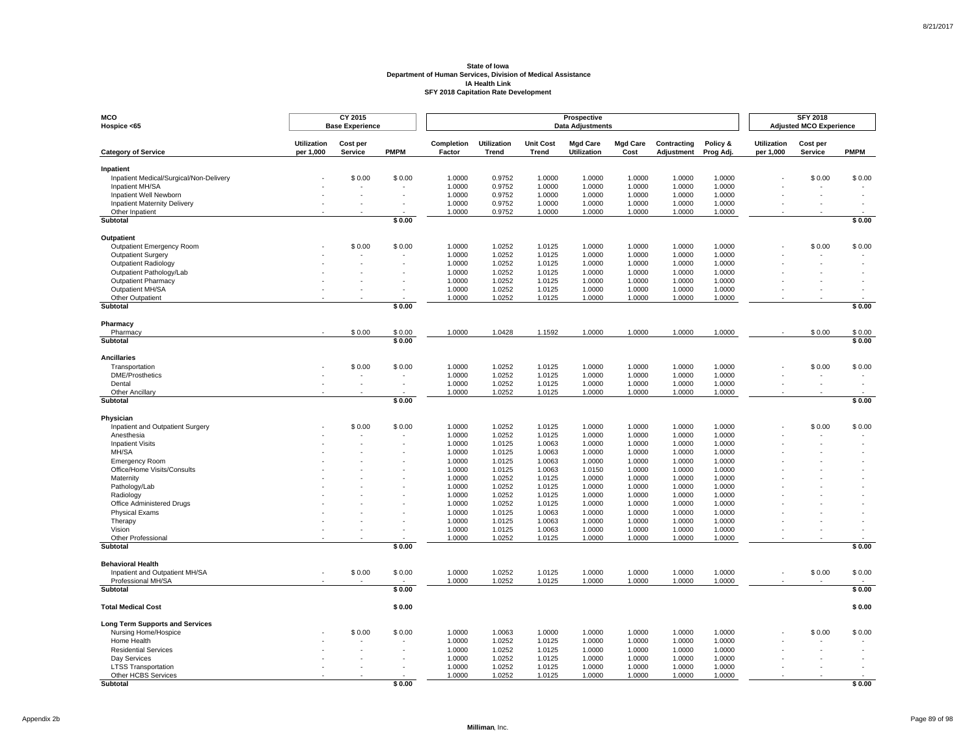| <b>MCO</b><br>Hospice <65                              |                                 | CY 2015<br><b>Base Experience</b> |             |                      |                             |                                  | Prospective<br><b>Data Adjustments</b> |                         |                           |                       |                                 | <b>SFY 2018</b><br><b>Adjusted MCO Experience</b> |             |
|--------------------------------------------------------|---------------------------------|-----------------------------------|-------------|----------------------|-----------------------------|----------------------------------|----------------------------------------|-------------------------|---------------------------|-----------------------|---------------------------------|---------------------------------------------------|-------------|
| <b>Category of Service</b>                             | <b>Utilization</b><br>per 1,000 | Cost per<br>Service               | <b>PMPM</b> | Completion<br>Factor | <b>Utilization</b><br>Trend | <b>Unit Cost</b><br><b>Trend</b> | <b>Mgd Care</b><br><b>Utilization</b>  | <b>Mgd Care</b><br>Cost | Contracting<br>Adjustment | Policy &<br>Prog Adj. | <b>Utilization</b><br>per 1,000 | Cost per<br>Service                               | <b>PMPM</b> |
| Inpatient                                              |                                 |                                   |             |                      |                             |                                  |                                        |                         |                           |                       |                                 |                                                   |             |
| Inpatient Medical/Surgical/Non-Delivery                |                                 | \$0.00                            | \$0.00      | 1.0000               | 0.9752                      | 1.0000                           | 1.0000                                 | 1.0000                  | 1.0000                    | 1.0000                |                                 | \$0.00                                            | \$0.00      |
| Inpatient MH/SA                                        |                                 |                                   |             | 1.0000               | 0.9752                      | 1.0000                           | 1.0000                                 | 1.0000                  | 1.0000                    | 1.0000                |                                 |                                                   |             |
| Inpatient Well Newborn                                 |                                 |                                   |             | 1.0000               | 0.9752                      | 1.0000                           | 1.0000                                 | 1.0000                  | 1.0000                    | 1.0000                |                                 |                                                   |             |
| <b>Inpatient Maternity Delivery</b><br>Other Inpatient |                                 |                                   |             | 1.0000<br>1.0000     | 0.9752<br>0.9752            | 1.0000<br>1.0000                 | 1.0000<br>1.0000                       | 1.0000<br>1.0000        | 1.0000<br>1.0000          | 1.0000<br>1.0000      |                                 |                                                   |             |
| Subtotal                                               |                                 |                                   | \$0.00      |                      |                             |                                  |                                        |                         |                           |                       |                                 |                                                   | \$0.00      |
| Outpatient                                             |                                 |                                   |             |                      |                             |                                  |                                        |                         |                           |                       |                                 |                                                   |             |
| Outpatient Emergency Room                              |                                 | \$0.00                            | \$0.00      | 1.0000               | 1.0252                      | 1.0125                           | 1.0000                                 | 1.0000                  | 1.0000                    | 1.0000                |                                 | \$0.00                                            | \$0.00      |
| Outpatient Surgery                                     |                                 |                                   |             | 1.0000               | 1.0252                      | 1.0125                           | 1.0000                                 | 1.0000                  | 1.0000                    | 1.0000                |                                 |                                                   |             |
| <b>Outpatient Radiology</b>                            |                                 |                                   |             | 1.0000               | 1.0252                      | 1.0125                           | 1.0000                                 | 1.0000                  | 1.0000                    | 1.0000                |                                 |                                                   |             |
| Outpatient Pathology/Lab                               |                                 |                                   |             | 1.0000               | 1.0252                      | 1.0125                           | 1.0000                                 | 1.0000                  | 1.0000                    | 1.0000                |                                 |                                                   |             |
| <b>Outpatient Pharmacy</b>                             |                                 |                                   |             | 1.0000               | 1.0252                      | 1.0125                           | 1.0000                                 | 1.0000                  | 1.0000                    | 1.0000                |                                 |                                                   |             |
| Outpatient MH/SA                                       |                                 |                                   |             | 1.0000               | 1.0252                      | 1.0125                           | 1.0000                                 | 1.0000                  | 1.0000                    | 1.0000                |                                 |                                                   |             |
| Other Outpatient<br>Subtotal                           |                                 |                                   | \$0.00      | 1.0000               | 1.0252                      | 1.0125                           | 1.0000                                 | 1.0000                  | 1.0000                    | 1.0000                |                                 |                                                   | \$0.00      |
|                                                        |                                 |                                   |             |                      |                             |                                  |                                        |                         |                           |                       |                                 |                                                   |             |
| Pharmacy<br>Pharmacy                                   |                                 | \$0.00                            | \$0.00      | 1.0000               | 1.0428                      | 1.1592                           | 1.0000                                 | 1.0000                  | 1.0000                    | 1.0000                |                                 | \$0.00                                            | \$0.00      |
| Subtotal                                               |                                 |                                   | \$0.00      |                      |                             |                                  |                                        |                         |                           |                       |                                 |                                                   | \$0.00      |
| <b>Ancillaries</b>                                     |                                 |                                   |             |                      |                             |                                  |                                        |                         |                           |                       |                                 |                                                   |             |
| Transportation                                         |                                 | \$0.00                            | \$0.00      | 1.0000               | 1.0252                      | 1.0125                           | 1.0000                                 | 1.0000                  | 1.0000                    | 1.0000                |                                 | \$0.00                                            | \$0.00      |
| <b>DME/Prosthetics</b>                                 |                                 | $\overline{\phantom{a}}$          |             | 1.0000               | 1.0252                      | 1.0125                           | 1.0000                                 | 1.0000                  | 1.0000                    | 1.0000                |                                 |                                                   |             |
| Dental                                                 |                                 |                                   |             | 1.0000               | 1.0252                      | 1.0125                           | 1.0000                                 | 1.0000                  | 1.0000                    | 1.0000                |                                 |                                                   |             |
| Other Ancillary<br>Subtotal                            |                                 |                                   | \$0.00      | 1.0000               | 1.0252                      | 1.0125                           | 1.0000                                 | 1.0000                  | 1.0000                    | 1.0000                |                                 |                                                   | \$0.00      |
|                                                        |                                 |                                   |             |                      |                             |                                  |                                        |                         |                           |                       |                                 |                                                   |             |
| Physician                                              |                                 |                                   |             |                      |                             |                                  |                                        |                         |                           |                       |                                 |                                                   |             |
| Inpatient and Outpatient Surgery                       |                                 | \$0.00                            | \$0.00      | 1.0000<br>1.0000     | 1.0252<br>1.0252            | 1.0125<br>1.0125                 | 1.0000<br>1.0000                       | 1.0000<br>1.0000        | 1.0000<br>1.0000          | 1.0000<br>1.0000      |                                 | \$0.00                                            | \$0.00      |
| Anesthesia<br><b>Inpatient Visits</b>                  |                                 |                                   |             | 1.0000               | 1.0125                      | 1.0063                           | 1.0000                                 | 1.0000                  | 1.0000                    | 1.0000                |                                 |                                                   |             |
| MH/SA                                                  |                                 |                                   |             | 1.0000               | 1.0125                      | 1.0063                           | 1.0000                                 | 1.0000                  | 1.0000                    | 1.0000                |                                 |                                                   |             |
| <b>Emergency Room</b>                                  |                                 |                                   |             | 1.0000               | 1.0125                      | 1.0063                           | 1.0000                                 | 1.0000                  | 1.0000                    | 1.0000                |                                 |                                                   |             |
| Office/Home Visits/Consults                            |                                 |                                   |             | 1.0000               | 1.0125                      | 1.0063                           | 1.0150                                 | 1.0000                  | 1.0000                    | 1.0000                |                                 |                                                   |             |
| Maternity                                              |                                 |                                   |             | 1.0000               | 1.0252                      | 1.0125                           | 1.0000                                 | 1.0000                  | 1.0000                    | 1.0000                |                                 |                                                   |             |
| Pathology/Lab                                          |                                 |                                   |             | 1.0000               | 1.0252                      | 1.0125                           | 1.0000                                 | 1.0000                  | 1.0000                    | 1.0000                |                                 |                                                   |             |
| Radiology                                              |                                 |                                   |             | 1.0000               | 1.0252                      | 1.0125                           | 1.0000                                 | 1.0000                  | 1.0000                    | 1.0000                |                                 |                                                   |             |
| Office Administered Drugs<br><b>Physical Exams</b>     |                                 |                                   |             | 1.0000<br>1.0000     | 1.0252<br>1.0125            | 1.0125<br>1.0063                 | 1.0000<br>1.0000                       | 1.0000<br>1.0000        | 1.0000<br>1.0000          | 1.0000<br>1.0000      |                                 |                                                   |             |
| Therapy                                                |                                 |                                   |             | 1.0000               | 1.0125                      | 1.0063                           | 1.0000                                 | 1.0000                  | 1.0000                    | 1.0000                |                                 |                                                   |             |
| Vision                                                 |                                 |                                   |             | 1.0000               | 1.0125                      | 1.0063                           | 1.0000                                 | 1.0000                  | 1.0000                    | 1.0000                |                                 |                                                   |             |
| <b>Other Professional</b>                              |                                 |                                   |             | 1.0000               | 1.0252                      | 1.0125                           | 1.0000                                 | 1.0000                  | 1.0000                    | 1.0000                |                                 |                                                   |             |
| Subtotal                                               |                                 |                                   | \$0.00      |                      |                             |                                  |                                        |                         |                           |                       |                                 |                                                   | \$0.00      |
| <b>Behavioral Health</b>                               |                                 |                                   |             |                      |                             |                                  |                                        |                         |                           |                       |                                 |                                                   |             |
| Inpatient and Outpatient MH/SA                         |                                 | \$0.00                            | \$0.00      | 1.0000               | 1.0252                      | 1.0125                           | 1.0000                                 | 1.0000                  | 1.0000                    | 1.0000                |                                 | \$0.00                                            | \$0.00      |
| Professional MH/SA<br>Subtotal                         |                                 |                                   | \$0.00      | 1.0000               | 1.0252                      | 1.0125                           | 1.0000                                 | 1.0000                  | 1.0000                    | 1.0000                |                                 |                                                   | \$0.00      |
|                                                        |                                 |                                   |             |                      |                             |                                  |                                        |                         |                           |                       |                                 |                                                   |             |
| <b>Total Medical Cost</b>                              |                                 |                                   | \$0.00      |                      |                             |                                  |                                        |                         |                           |                       |                                 |                                                   | \$0.00      |
| <b>Long Term Supports and Services</b>                 |                                 |                                   |             |                      |                             |                                  |                                        |                         |                           |                       |                                 |                                                   |             |
| Nursing Home/Hospice                                   |                                 | \$0.00                            | \$0.00      | 1.0000               | 1.0063                      | 1.0000                           | 1.0000                                 | 1.0000                  | 1.0000                    | 1.0000                |                                 | \$0.00                                            | \$0.00      |
| Home Health                                            |                                 |                                   |             | 1.0000               | 1.0252                      | 1.0125                           | 1.0000                                 | 1.0000                  | 1.0000                    | 1.0000                |                                 |                                                   |             |
| <b>Residential Services</b>                            |                                 |                                   |             | 1.0000               | 1.0252                      | 1.0125                           | 1.0000                                 | 1.0000                  | 1.0000                    | 1.0000                |                                 |                                                   |             |
| Day Services                                           |                                 |                                   |             | 1.0000               | 1.0252                      | 1.0125                           | 1.0000                                 | 1.0000                  | 1.0000                    | 1.0000                |                                 |                                                   |             |
| <b>LTSS Transportation</b><br>Other HCBS Services      |                                 |                                   |             | 1.0000<br>1.0000     | 1.0252<br>1.0252            | 1.0125<br>1.0125                 | 1.0000<br>1.0000                       | 1.0000<br>1.0000        | 1.0000<br>1.0000          | 1.0000<br>1.0000      |                                 |                                                   |             |
| <b>Subtotal</b>                                        |                                 |                                   | \$0.00      |                      |                             |                                  |                                        |                         |                           |                       |                                 |                                                   | \$0.00      |

8/21/2017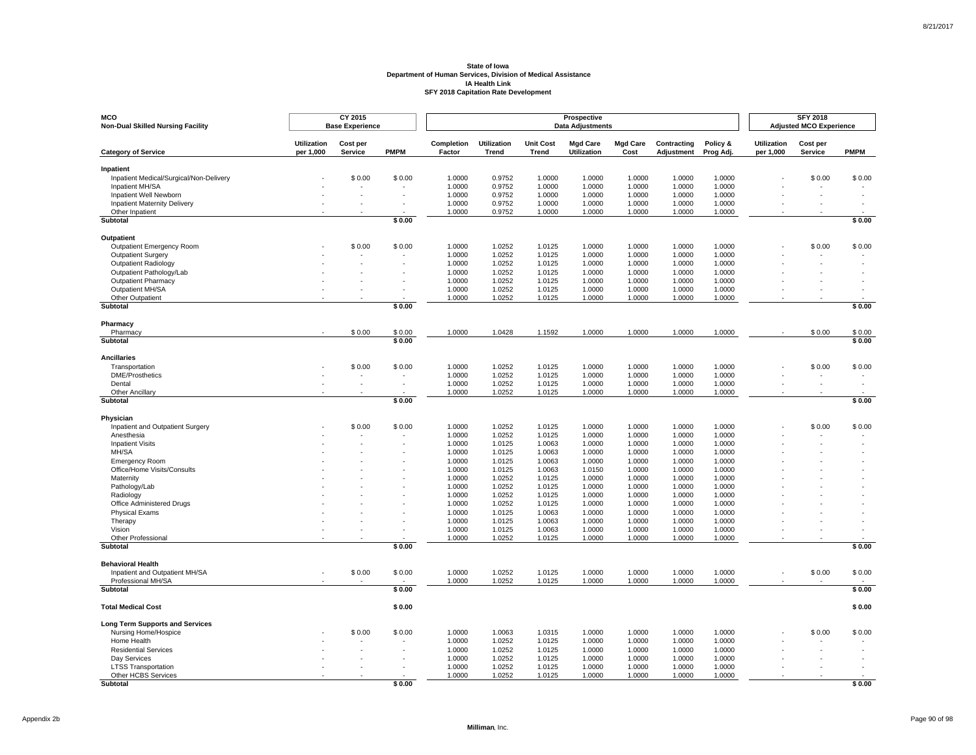| MCO<br><b>Non-Dual Skilled Nursing Facility</b>               |                                 | CY 2015<br><b>Base Experience</b> |             |                      |                             |                           | Prospective<br><b>Data Adjustments</b> |                         |                           |                       |                                 | <b>SFY 2018</b><br><b>Adjusted MCO Experience</b> |             |
|---------------------------------------------------------------|---------------------------------|-----------------------------------|-------------|----------------------|-----------------------------|---------------------------|----------------------------------------|-------------------------|---------------------------|-----------------------|---------------------------------|---------------------------------------------------|-------------|
| <b>Category of Service</b>                                    | <b>Utilization</b><br>per 1,000 | Cost per<br>Service               | <b>PMPM</b> | Completion<br>Factor | <b>Utilization</b><br>Trend | <b>Unit Cost</b><br>Trend | <b>Mgd Care</b><br><b>Utilization</b>  | <b>Mgd Care</b><br>Cost | Contracting<br>Adjustment | Policy &<br>Prog Adj. | <b>Utilization</b><br>per 1,000 | Cost per<br>Service                               | <b>PMPM</b> |
| Inpatient                                                     |                                 |                                   |             |                      |                             |                           |                                        |                         |                           |                       |                                 |                                                   |             |
| Inpatient Medical/Surgical/Non-Delivery                       |                                 | \$0.00                            | \$0.00      | 1.0000               | 0.9752                      | 1.0000                    | 1.0000                                 | 1.0000                  | 1.0000                    | 1.0000                |                                 | \$0.00                                            | \$0.00      |
| Inpatient MH/SA                                               |                                 |                                   |             | 1.0000               | 0.9752                      | 1.0000                    | 1.0000                                 | 1.0000                  | 1.0000                    | 1.0000<br>1.0000      |                                 |                                                   |             |
| Inpatient Well Newborn<br><b>Inpatient Maternity Delivery</b> |                                 |                                   |             | 1.0000<br>1.0000     | 0.9752<br>0.9752            | 1.0000<br>1.0000          | 1.0000<br>1.0000                       | 1.0000<br>1.0000        | 1.0000<br>1.0000          | 1.0000                |                                 |                                                   |             |
| Other Inpatient                                               |                                 |                                   |             | 1.0000               | 0.9752                      | 1.0000                    | 1.0000                                 | 1.0000                  | 1.0000                    | 1.0000                |                                 |                                                   |             |
| Subtotal                                                      |                                 |                                   | \$0.00      |                      |                             |                           |                                        |                         |                           |                       |                                 |                                                   | \$0.00      |
| Outpatient                                                    |                                 |                                   |             |                      |                             |                           |                                        |                         |                           |                       |                                 |                                                   |             |
| Outpatient Emergency Room                                     |                                 | \$0.00                            | \$0.00      | 1.0000               | 1.0252                      | 1.0125                    | 1.0000                                 | 1.0000                  | 1.0000                    | 1.0000                |                                 | \$0.00                                            | \$0.00      |
| Outpatient Surgery                                            |                                 |                                   |             | 1.0000               | 1.0252                      | 1.0125                    | 1.0000                                 | 1.0000                  | 1.0000                    | 1.0000                |                                 |                                                   |             |
| <b>Outpatient Radiology</b>                                   |                                 |                                   |             | 1.0000               | 1.0252                      | 1.0125                    | 1.0000                                 | 1.0000                  | 1.0000                    | 1.0000                |                                 |                                                   |             |
| Outpatient Pathology/Lab                                      |                                 |                                   |             | 1.0000               | 1.0252                      | 1.0125                    | 1.0000                                 | 1.0000                  | 1.0000                    | 1.0000                |                                 |                                                   |             |
| <b>Outpatient Pharmacy</b><br>Outpatient MH/SA                |                                 |                                   |             | 1.0000<br>1.0000     | 1.0252<br>1.0252            | 1.0125<br>1.0125          | 1.0000<br>1.0000                       | 1.0000<br>1.0000        | 1.0000<br>1.0000          | 1.0000<br>1.0000      |                                 |                                                   |             |
| Other Outpatient                                              |                                 |                                   |             | 1.0000               | 1.0252                      | 1.0125                    | 1.0000                                 | 1.0000                  | 1.0000                    | 1.0000                |                                 |                                                   |             |
| Subtotal                                                      |                                 |                                   | \$0.00      |                      |                             |                           |                                        |                         |                           |                       |                                 |                                                   | \$0.00      |
| Pharmacy                                                      |                                 |                                   |             |                      |                             |                           |                                        |                         |                           |                       |                                 |                                                   |             |
| Pharmacy                                                      |                                 | \$0.00                            | \$0.00      | 1.0000               | 1.0428                      | 1.1592                    | 1.0000                                 | 1.0000                  | 1.0000                    | 1.0000                |                                 | \$0.00                                            | \$0.00      |
| Subtotal                                                      |                                 |                                   | \$0.00      |                      |                             |                           |                                        |                         |                           |                       |                                 |                                                   | \$0.00      |
| <b>Ancillaries</b>                                            |                                 |                                   |             |                      |                             |                           |                                        |                         |                           |                       |                                 |                                                   |             |
| Transportation                                                |                                 | \$0.00                            | \$0.00      | 1.0000               | 1.0252                      | 1.0125                    | 1.0000                                 | 1.0000                  | 1.0000                    | 1.0000                |                                 | \$0.00                                            | \$0.00      |
| <b>DME/Prosthetics</b>                                        |                                 | $\overline{\phantom{a}}$          |             | 1.0000               | 1.0252                      | 1.0125                    | 1.0000                                 | 1.0000                  | 1.0000                    | 1.0000                |                                 |                                                   |             |
| Dental                                                        |                                 |                                   |             | 1.0000               | 1.0252                      | 1.0125                    | 1.0000                                 | 1.0000                  | 1.0000                    | 1.0000                |                                 |                                                   |             |
| Other Ancillary<br>Subtotal                                   |                                 |                                   | \$0.00      | 1.0000               | 1.0252                      | 1.0125                    | 1.0000                                 | 1.0000                  | 1.0000                    | 1.0000                |                                 |                                                   | \$0.00      |
|                                                               |                                 |                                   |             |                      |                             |                           |                                        |                         |                           |                       |                                 |                                                   |             |
| Physician                                                     |                                 |                                   |             |                      |                             |                           |                                        |                         |                           |                       |                                 |                                                   |             |
| Inpatient and Outpatient Surgery<br>Anesthesia                |                                 | \$0.00                            | \$0.00      | 1.0000<br>1.0000     | 1.0252<br>1.0252            | 1.0125<br>1.0125          | 1.0000<br>1.0000                       | 1.0000<br>1.0000        | 1.0000<br>1.0000          | 1.0000<br>1.0000      |                                 | \$0.00                                            | \$0.00      |
| <b>Inpatient Visits</b>                                       |                                 |                                   |             | 1.0000               | 1.0125                      | 1.0063                    | 1.0000                                 | 1.0000                  | 1.0000                    | 1.0000                |                                 |                                                   |             |
| MH/SA                                                         |                                 |                                   |             | 1.0000               | 1.0125                      | 1.0063                    | 1.0000                                 | 1.0000                  | 1.0000                    | 1.0000                |                                 |                                                   |             |
| <b>Emergency Room</b>                                         |                                 |                                   |             | 1.0000               | 1.0125                      | 1.0063                    | 1.0000                                 | 1.0000                  | 1.0000                    | 1.0000                |                                 |                                                   |             |
| Office/Home Visits/Consults                                   |                                 |                                   |             | 1.0000               | 1.0125                      | 1.0063                    | 1.0150                                 | 1.0000                  | 1.0000                    | 1.0000                |                                 |                                                   |             |
| Maternity                                                     |                                 |                                   |             | 1.0000               | 1.0252                      | 1.0125                    | 1.0000                                 | 1.0000                  | 1.0000                    | 1.0000                |                                 |                                                   |             |
| Pathology/Lab<br>Radiology                                    |                                 |                                   |             | 1.0000<br>1.0000     | 1.0252<br>1.0252            | 1.0125<br>1.0125          | 1.0000<br>1.0000                       | 1.0000<br>1.0000        | 1.0000<br>1.0000          | 1.0000<br>1.0000      |                                 |                                                   |             |
| Office Administered Drugs                                     |                                 |                                   |             | 1.0000               | 1.0252                      | 1.0125                    | 1.0000                                 | 1.0000                  | 1.0000                    | 1.0000                |                                 |                                                   |             |
| <b>Physical Exams</b>                                         |                                 |                                   |             | 1.0000               | 1.0125                      | 1.0063                    | 1.0000                                 | 1.0000                  | 1.0000                    | 1.0000                |                                 |                                                   |             |
| Therapy                                                       |                                 |                                   |             | 1.0000               | 1.0125                      | 1.0063                    | 1.0000                                 | 1.0000                  | 1.0000                    | 1.0000                |                                 |                                                   |             |
| Vision                                                        |                                 |                                   |             | 1.0000               | 1.0125                      | 1.0063                    | 1.0000                                 | 1.0000                  | 1.0000                    | 1.0000                |                                 |                                                   |             |
| <b>Other Professional</b><br>Subtotal                         |                                 |                                   | \$0.00      | 1.0000               | 1.0252                      | 1.0125                    | 1.0000                                 | 1.0000                  | 1.0000                    | 1.0000                |                                 |                                                   | \$0.00      |
|                                                               |                                 |                                   |             |                      |                             |                           |                                        |                         |                           |                       |                                 |                                                   |             |
| <b>Behavioral Health</b>                                      |                                 |                                   |             |                      |                             |                           |                                        |                         |                           |                       |                                 |                                                   |             |
| Inpatient and Outpatient MH/SA                                |                                 | \$0.00                            | \$0.00      | 1.0000               | 1.0252                      | 1.0125                    | 1.0000                                 | 1.0000                  | 1.0000                    | 1.0000                |                                 | \$0.00                                            | \$0.00      |
| Professional MH/SA<br>Subtotal                                |                                 |                                   | \$0.00      | 1.0000               | 1.0252                      | 1.0125                    | 1.0000                                 | 1.0000                  | 1.0000                    | 1.0000                |                                 |                                                   | \$0.00      |
|                                                               |                                 |                                   |             |                      |                             |                           |                                        |                         |                           |                       |                                 |                                                   |             |
| <b>Total Medical Cost</b>                                     |                                 |                                   | \$0.00      |                      |                             |                           |                                        |                         |                           |                       |                                 |                                                   | \$0.00      |
| <b>Long Term Supports and Services</b>                        |                                 |                                   |             |                      |                             |                           |                                        |                         |                           |                       |                                 |                                                   |             |
| Nursing Home/Hospice                                          |                                 | \$0.00                            | \$0.00      | 1.0000               | 1.0063                      | 1.0315                    | 1.0000                                 | 1.0000                  | 1.0000                    | 1.0000                |                                 | \$0.00                                            | \$0.00      |
| Home Health                                                   |                                 |                                   |             | 1.0000               | 1.0252                      | 1.0125                    | 1.0000                                 | 1.0000                  | 1.0000                    | 1.0000                |                                 |                                                   |             |
| <b>Residential Services</b>                                   |                                 |                                   |             | 1.0000<br>1.0000     | 1.0252<br>1.0252            | 1.0125                    | 1.0000                                 | 1.0000                  | 1.0000                    | 1.0000<br>1.0000      |                                 |                                                   |             |
| Day Services<br><b>LTSS Transportation</b>                    |                                 |                                   |             | 1.0000               | 1.0252                      | 1.0125<br>1.0125          | 1.0000<br>1.0000                       | 1.0000<br>1.0000        | 1.0000<br>1.0000          | 1.0000                |                                 |                                                   |             |
| Other HCBS Services                                           |                                 |                                   |             | 1.0000               | 1.0252                      | 1.0125                    | 1.0000                                 | 1.0000                  | 1.0000                    | 1.0000                |                                 |                                                   |             |
| <b>Subtotal</b>                                               |                                 |                                   | \$0.00      |                      |                             |                           |                                        |                         |                           |                       |                                 |                                                   | \$0.00      |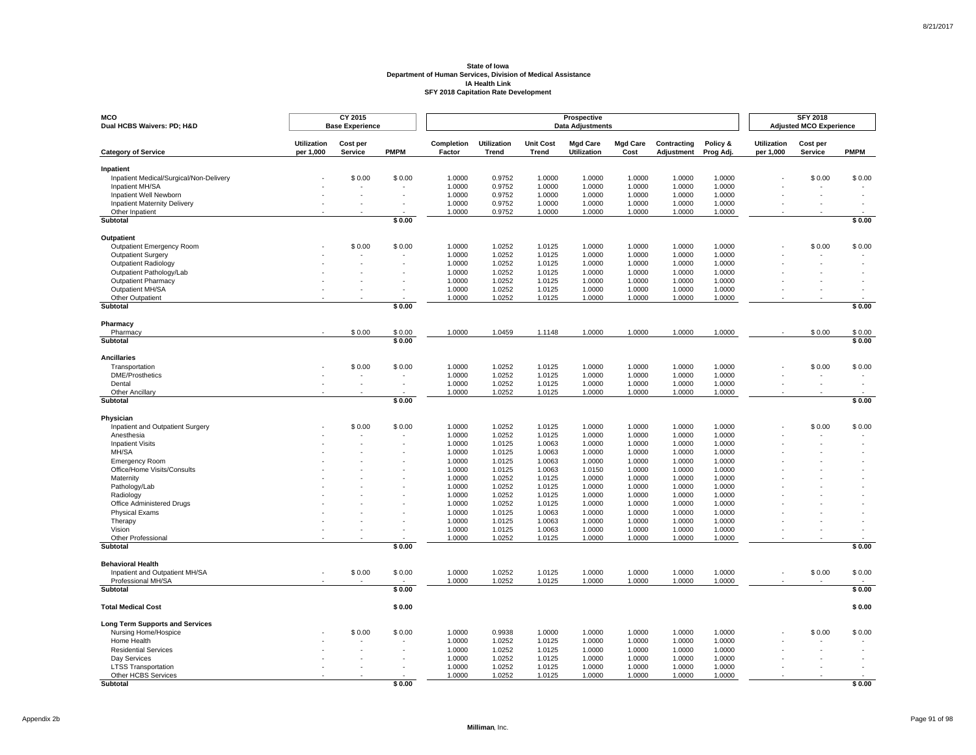| MCO<br>Dual HCBS Waivers: PD; H&D                             |                                 | CY 2015<br><b>Base Experience</b> |             |                      |                             |                           | Prospective<br><b>Data Adjustments</b> |                         |                           |                       |                                 | <b>SFY 2018</b><br><b>Adjusted MCO Experience</b> |             |
|---------------------------------------------------------------|---------------------------------|-----------------------------------|-------------|----------------------|-----------------------------|---------------------------|----------------------------------------|-------------------------|---------------------------|-----------------------|---------------------------------|---------------------------------------------------|-------------|
| <b>Category of Service</b>                                    | <b>Utilization</b><br>per 1,000 | Cost per<br>Service               | <b>PMPM</b> | Completion<br>Factor | <b>Utilization</b><br>Trend | <b>Unit Cost</b><br>Trend | <b>Mgd Care</b><br><b>Utilization</b>  | <b>Mgd Care</b><br>Cost | Contracting<br>Adjustment | Policy &<br>Prog Adj. | <b>Utilization</b><br>per 1,000 | Cost per<br>Service                               | <b>PMPM</b> |
| Inpatient                                                     |                                 |                                   |             |                      |                             |                           |                                        |                         |                           |                       |                                 |                                                   |             |
| Inpatient Medical/Surgical/Non-Delivery                       |                                 | \$0.00                            | \$0.00      | 1.0000               | 0.9752                      | 1.0000                    | 1.0000                                 | 1.0000                  | 1.0000                    | 1.0000                |                                 | \$0.00                                            | \$0.00      |
| Inpatient MH/SA                                               |                                 |                                   |             | 1.0000               | 0.9752                      | 1.0000                    | 1.0000                                 | 1.0000                  | 1.0000                    | 1.0000<br>1.0000      |                                 |                                                   |             |
| Inpatient Well Newborn<br><b>Inpatient Maternity Delivery</b> |                                 |                                   |             | 1.0000<br>1.0000     | 0.9752<br>0.9752            | 1.0000<br>1.0000          | 1.0000<br>1.0000                       | 1.0000<br>1.0000        | 1.0000<br>1.0000          | 1.0000                |                                 |                                                   |             |
| Other Inpatient                                               |                                 |                                   |             | 1.0000               | 0.9752                      | 1.0000                    | 1.0000                                 | 1.0000                  | 1.0000                    | 1.0000                |                                 |                                                   |             |
| Subtotal                                                      |                                 |                                   | \$0.00      |                      |                             |                           |                                        |                         |                           |                       |                                 |                                                   | \$0.00      |
| Outpatient                                                    |                                 |                                   |             |                      |                             |                           |                                        |                         |                           |                       |                                 |                                                   |             |
| Outpatient Emergency Room                                     |                                 | \$0.00                            | \$0.00      | 1.0000               | 1.0252                      | 1.0125                    | 1.0000                                 | 1.0000                  | 1.0000                    | 1.0000                |                                 | \$0.00                                            | \$0.00      |
| Outpatient Surgery                                            |                                 |                                   |             | 1.0000               | 1.0252                      | 1.0125                    | 1.0000                                 | 1.0000                  | 1.0000                    | 1.0000                |                                 |                                                   |             |
| <b>Outpatient Radiology</b>                                   |                                 |                                   |             | 1.0000               | 1.0252                      | 1.0125                    | 1.0000                                 | 1.0000                  | 1.0000                    | 1.0000                |                                 |                                                   |             |
| Outpatient Pathology/Lab                                      |                                 |                                   |             | 1.0000               | 1.0252                      | 1.0125                    | 1.0000                                 | 1.0000                  | 1.0000                    | 1.0000                |                                 |                                                   |             |
| <b>Outpatient Pharmacy</b><br>Outpatient MH/SA                |                                 |                                   |             | 1.0000<br>1.0000     | 1.0252<br>1.0252            | 1.0125<br>1.0125          | 1.0000<br>1.0000                       | 1.0000<br>1.0000        | 1.0000<br>1.0000          | 1.0000<br>1.0000      |                                 |                                                   |             |
| Other Outpatient                                              |                                 |                                   |             | 1.0000               | 1.0252                      | 1.0125                    | 1.0000                                 | 1.0000                  | 1.0000                    | 1.0000                |                                 |                                                   |             |
| Subtotal                                                      |                                 |                                   | \$0.00      |                      |                             |                           |                                        |                         |                           |                       |                                 |                                                   | \$0.00      |
| Pharmacy                                                      |                                 |                                   |             |                      |                             |                           |                                        |                         |                           |                       |                                 |                                                   |             |
| Pharmacy                                                      |                                 | \$0.00                            | \$0.00      | 1.0000               | 1.0459                      | 1.1148                    | 1.0000                                 | 1.0000                  | 1.0000                    | 1.0000                |                                 | \$0.00                                            | \$0.00      |
| Subtotal                                                      |                                 |                                   | \$0.00      |                      |                             |                           |                                        |                         |                           |                       |                                 |                                                   | \$0.00      |
| <b>Ancillaries</b>                                            |                                 |                                   |             |                      |                             |                           |                                        |                         |                           |                       |                                 |                                                   |             |
| Transportation                                                |                                 | \$0.00                            | \$0.00      | 1.0000               | 1.0252                      | 1.0125                    | 1.0000                                 | 1.0000                  | 1.0000                    | 1.0000                |                                 | \$0.00                                            | \$0.00      |
| <b>DME/Prosthetics</b>                                        |                                 | $\overline{\phantom{a}}$          |             | 1.0000               | 1.0252                      | 1.0125                    | 1.0000                                 | 1.0000                  | 1.0000                    | 1.0000                |                                 |                                                   |             |
| Dental                                                        |                                 |                                   |             | 1.0000               | 1.0252                      | 1.0125                    | 1.0000                                 | 1.0000                  | 1.0000                    | 1.0000                |                                 |                                                   |             |
| Other Ancillary<br>Subtotal                                   |                                 |                                   | \$0.00      | 1.0000               | 1.0252                      | 1.0125                    | 1.0000                                 | 1.0000                  | 1.0000                    | 1.0000                |                                 |                                                   | \$0.00      |
|                                                               |                                 |                                   |             |                      |                             |                           |                                        |                         |                           |                       |                                 |                                                   |             |
| Physician                                                     |                                 |                                   |             |                      |                             |                           |                                        |                         |                           |                       |                                 |                                                   |             |
| Inpatient and Outpatient Surgery<br>Anesthesia                |                                 | \$0.00                            | \$0.00      | 1.0000<br>1.0000     | 1.0252<br>1.0252            | 1.0125<br>1.0125          | 1.0000<br>1.0000                       | 1.0000<br>1.0000        | 1.0000<br>1.0000          | 1.0000<br>1.0000      |                                 | \$0.00                                            | \$0.00      |
| <b>Inpatient Visits</b>                                       |                                 |                                   |             | 1.0000               | 1.0125                      | 1.0063                    | 1.0000                                 | 1.0000                  | 1.0000                    | 1.0000                |                                 |                                                   |             |
| MH/SA                                                         |                                 |                                   |             | 1.0000               | 1.0125                      | 1.0063                    | 1.0000                                 | 1.0000                  | 1.0000                    | 1.0000                |                                 |                                                   |             |
| <b>Emergency Room</b>                                         |                                 |                                   |             | 1.0000               | 1.0125                      | 1.0063                    | 1.0000                                 | 1.0000                  | 1.0000                    | 1.0000                |                                 |                                                   |             |
| Office/Home Visits/Consults                                   |                                 |                                   |             | 1.0000               | 1.0125                      | 1.0063                    | 1.0150                                 | 1.0000                  | 1.0000                    | 1.0000                |                                 |                                                   |             |
| Maternity                                                     |                                 |                                   |             | 1.0000               | 1.0252                      | 1.0125                    | 1.0000                                 | 1.0000                  | 1.0000                    | 1.0000                |                                 |                                                   |             |
| Pathology/Lab<br>Radiology                                    |                                 |                                   |             | 1.0000<br>1.0000     | 1.0252<br>1.0252            | 1.0125<br>1.0125          | 1.0000<br>1.0000                       | 1.0000<br>1.0000        | 1.0000<br>1.0000          | 1.0000<br>1.0000      |                                 |                                                   |             |
| Office Administered Drugs                                     |                                 |                                   |             | 1.0000               | 1.0252                      | 1.0125                    | 1.0000                                 | 1.0000                  | 1.0000                    | 1.0000                |                                 |                                                   |             |
| <b>Physical Exams</b>                                         |                                 |                                   |             | 1.0000               | 1.0125                      | 1.0063                    | 1.0000                                 | 1.0000                  | 1.0000                    | 1.0000                |                                 |                                                   |             |
| Therapy                                                       |                                 |                                   |             | 1.0000               | 1.0125                      | 1.0063                    | 1.0000                                 | 1.0000                  | 1.0000                    | 1.0000                |                                 |                                                   |             |
| Vision                                                        |                                 |                                   |             | 1.0000               | 1.0125                      | 1.0063                    | 1.0000                                 | 1.0000                  | 1.0000                    | 1.0000                |                                 |                                                   |             |
| <b>Other Professional</b><br>Subtotal                         |                                 |                                   | \$0.00      | 1.0000               | 1.0252                      | 1.0125                    | 1.0000                                 | 1.0000                  | 1.0000                    | 1.0000                |                                 |                                                   | \$0.00      |
|                                                               |                                 |                                   |             |                      |                             |                           |                                        |                         |                           |                       |                                 |                                                   |             |
| <b>Behavioral Health</b>                                      |                                 |                                   |             |                      |                             |                           |                                        |                         |                           |                       |                                 |                                                   |             |
| Inpatient and Outpatient MH/SA                                |                                 | \$0.00                            | \$0.00      | 1.0000               | 1.0252                      | 1.0125                    | 1.0000                                 | 1.0000                  | 1.0000                    | 1.0000                |                                 | \$0.00                                            | \$0.00      |
| Professional MH/SA<br>Subtotal                                |                                 |                                   | \$0.00      | 1.0000               | 1.0252                      | 1.0125                    | 1.0000                                 | 1.0000                  | 1.0000                    | 1.0000                |                                 |                                                   | \$0.00      |
|                                                               |                                 |                                   |             |                      |                             |                           |                                        |                         |                           |                       |                                 |                                                   |             |
| <b>Total Medical Cost</b>                                     |                                 |                                   | \$0.00      |                      |                             |                           |                                        |                         |                           |                       |                                 |                                                   | \$0.00      |
| <b>Long Term Supports and Services</b>                        |                                 |                                   |             |                      |                             |                           |                                        |                         |                           |                       |                                 |                                                   |             |
| Nursing Home/Hospice                                          |                                 | \$0.00                            | \$0.00      | 1.0000               | 0.9938                      | 1.0000                    | 1.0000                                 | 1.0000                  | 1.0000                    | 1.0000                |                                 | \$0.00                                            | \$0.00      |
| Home Health                                                   |                                 |                                   |             | 1.0000               | 1.0252                      | 1.0125                    | 1.0000                                 | 1.0000                  | 1.0000                    | 1.0000                |                                 |                                                   |             |
| <b>Residential Services</b>                                   |                                 |                                   |             | 1.0000<br>1.0000     | 1.0252<br>1.0252            | 1.0125                    | 1.0000                                 | 1.0000<br>1.0000        | 1.0000                    | 1.0000<br>1.0000      |                                 |                                                   |             |
| Day Services<br><b>LTSS Transportation</b>                    |                                 |                                   |             | 1.0000               | 1.0252                      | 1.0125<br>1.0125          | 1.0000<br>1.0000                       | 1.0000                  | 1.0000<br>1.0000          | 1.0000                |                                 |                                                   |             |
| Other HCBS Services                                           |                                 |                                   |             | 1.0000               | 1.0252                      | 1.0125                    | 1.0000                                 | 1.0000                  | 1.0000                    | 1.0000                |                                 |                                                   |             |
| <b>Subtotal</b>                                               |                                 |                                   | \$0.00      |                      |                             |                           |                                        |                         |                           |                       |                                 |                                                   | \$0.00      |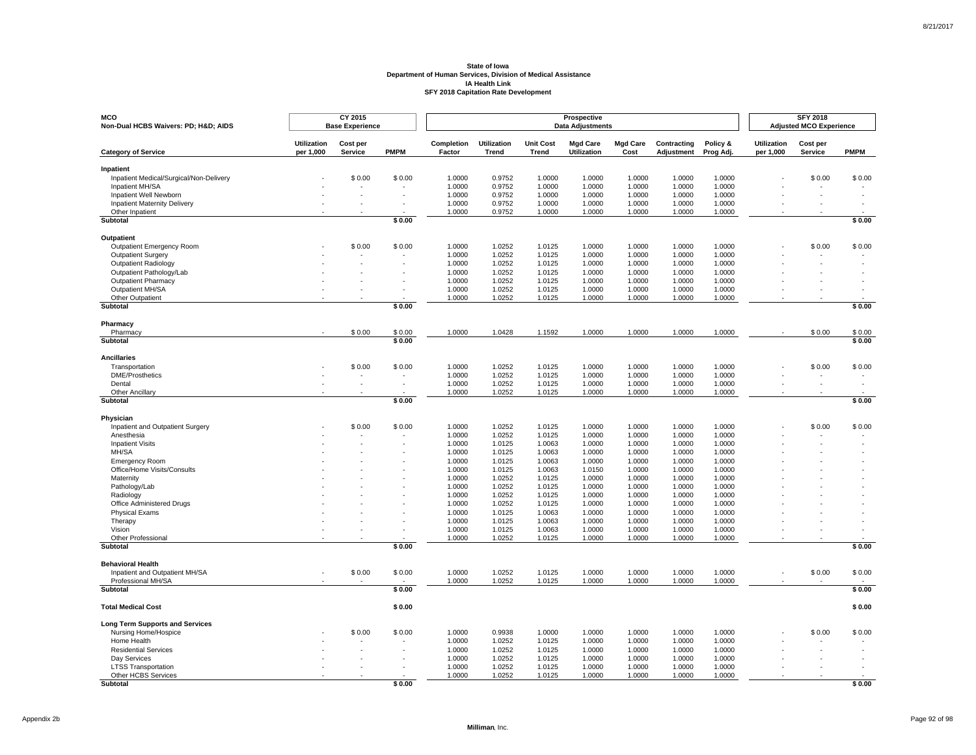| <b>MCO</b><br>Non-Dual HCBS Waivers: PD; H&D AIDS      |                    | CY 2015<br><b>Base Experience</b> |             |                  |                    |                  | Prospective<br><b>Data Adjustments</b> |                  |                  |                  |                    | <b>SFY 2018</b><br><b>Adjusted MCO Experience</b> |             |
|--------------------------------------------------------|--------------------|-----------------------------------|-------------|------------------|--------------------|------------------|----------------------------------------|------------------|------------------|------------------|--------------------|---------------------------------------------------|-------------|
|                                                        | <b>Utilization</b> | Cost per                          |             | Completion       | <b>Utilization</b> | <b>Unit Cost</b> | <b>Mgd Care</b>                        | <b>Mgd Care</b>  | Contracting      | Policy &         | <b>Utilization</b> | Cost per                                          |             |
| <b>Category of Service</b>                             | per 1,000          | Service                           | <b>PMPM</b> | Factor           | Trend              | Trend            | Utilization                            | Cost             | Adjustment       | Prog Adj.        | per 1,000          | <b>Service</b>                                    | <b>PMPM</b> |
| Inpatient                                              |                    |                                   |             |                  |                    |                  |                                        |                  |                  |                  |                    |                                                   |             |
| Inpatient Medical/Surgical/Non-Delivery                |                    | \$0.00                            | \$0.00      | 1.0000           | 0.9752             | 1.0000           | 1.0000                                 | 1.0000           | 1.0000           | 1.0000           |                    | \$0.00                                            | \$0.00      |
| Inpatient MH/SA                                        |                    |                                   |             | 1.0000           | 0.9752             | 1.0000           | 1.0000                                 | 1.0000           | 1.0000           | 1.0000           |                    |                                                   |             |
| Inpatient Well Newborn                                 |                    |                                   |             | 1.0000           | 0.9752             | 1.0000           | 1.0000                                 | 1.0000           | 1.0000           | 1.0000           |                    |                                                   |             |
| <b>Inpatient Maternity Delivery</b><br>Other Inpatient |                    |                                   |             | 1.0000<br>1.0000 | 0.9752<br>0.9752   | 1.0000<br>1.0000 | 1.0000<br>1.0000                       | 1.0000<br>1.0000 | 1.0000<br>1.0000 | 1.0000<br>1.0000 |                    |                                                   |             |
| Subtotal                                               |                    |                                   | \$0.00      |                  |                    |                  |                                        |                  |                  |                  |                    |                                                   | \$0.00      |
| Outpatient                                             |                    |                                   |             |                  |                    |                  |                                        |                  |                  |                  |                    |                                                   |             |
| Outpatient Emergency Room                              |                    | \$0.00                            | \$0.00      | 1.0000           | 1.0252             | 1.0125           | 1.0000                                 | 1.0000           | 1.0000           | 1.0000           |                    | \$0.00                                            | \$0.00      |
| <b>Outpatient Surgery</b>                              |                    |                                   |             | 1.0000           | 1.0252             | 1.0125           | 1.0000                                 | 1.0000           | 1.0000           | 1.0000           |                    |                                                   |             |
| Outpatient Radiology                                   |                    |                                   |             | 1.0000           | 1.0252             | 1.0125           | 1.0000                                 | 1.0000           | 1.0000           | 1.0000           |                    |                                                   |             |
| Outpatient Pathology/Lab                               |                    |                                   |             | 1.0000           | 1.0252             | 1.0125           | 1.0000                                 | 1.0000           | 1.0000           | 1.0000           |                    |                                                   |             |
| <b>Outpatient Pharmacy</b>                             |                    |                                   |             | 1.0000           | 1.0252             | 1.0125           | 1.0000                                 | 1.0000           | 1.0000           | 1.0000           |                    |                                                   |             |
| Outpatient MH/SA                                       |                    |                                   |             | 1.0000           | 1.0252             | 1.0125           | 1.0000                                 | 1.0000           | 1.0000           | 1.0000           |                    |                                                   |             |
| Other Outpatient                                       |                    |                                   |             | 1.0000           | 1.0252             | 1.0125           | 1.0000                                 | 1.0000           | 1.0000           | 1.0000           |                    |                                                   |             |
| Subtotal                                               |                    |                                   | \$0.00      |                  |                    |                  |                                        |                  |                  |                  |                    |                                                   | \$0.00      |
| Pharmacy                                               |                    |                                   |             |                  |                    |                  |                                        |                  |                  |                  |                    |                                                   |             |
| Pharmacy                                               |                    | \$0.00                            | \$0.00      | 1.0000           | 1.0428             | 1.1592           | 1.0000                                 | 1.0000           | 1.0000           | 1.0000           |                    | \$0.00                                            | \$0.00      |
| Subtotal                                               |                    |                                   | \$0.00      |                  |                    |                  |                                        |                  |                  |                  |                    |                                                   | \$0.00      |
| <b>Ancillaries</b>                                     |                    |                                   |             |                  |                    |                  |                                        |                  |                  |                  |                    |                                                   |             |
| Transportation                                         |                    | \$0.00                            | \$0.00      | 1.0000           | 1.0252             | 1.0125           | 1.0000                                 | 1.0000           | 1.0000           | 1.0000           |                    | \$0.00                                            | \$0.00      |
| <b>DME/Prosthetics</b>                                 |                    |                                   |             | 1.0000           | 1.0252             | 1.0125           | 1.0000                                 | 1.0000           | 1.0000           | 1.0000           |                    |                                                   |             |
| Dental<br>Other Ancillary                              |                    | $\overline{a}$                    |             | 1.0000<br>1.0000 | 1.0252<br>1.0252   | 1.0125<br>1.0125 | 1.0000<br>1.0000                       | 1.0000<br>1.0000 | 1.0000<br>1.0000 | 1.0000<br>1.0000 |                    |                                                   |             |
| Subtotal                                               |                    |                                   | \$0.00      |                  |                    |                  |                                        |                  |                  |                  |                    |                                                   | \$0.00      |
|                                                        |                    |                                   |             |                  |                    |                  |                                        |                  |                  |                  |                    |                                                   |             |
| Physician<br>Inpatient and Outpatient Surgery          |                    | \$0.00                            | \$0.00      | 1.0000           | 1.0252             | 1.0125           | 1.0000                                 | 1.0000           | 1.0000           | 1.0000           |                    | \$0.00                                            | \$0.00      |
| Anesthesia                                             |                    |                                   |             | 1.0000           | 1.0252             | 1.0125           | 1.0000                                 | 1.0000           | 1.0000           | 1.0000           |                    |                                                   |             |
| <b>Inpatient Visits</b>                                |                    |                                   |             | 1.0000           | 1.0125             | 1.0063           | 1.0000                                 | 1.0000           | 1.0000           | 1.0000           |                    |                                                   |             |
| MH/SA                                                  |                    |                                   |             | 1.0000           | 1.0125             | 1.0063           | 1.0000                                 | 1.0000           | 1.0000           | 1.0000           |                    |                                                   |             |
| <b>Emergency Room</b>                                  |                    |                                   |             | 1.0000           | 1.0125             | 1.0063           | 1.0000                                 | 1.0000           | 1.0000           | 1.0000           |                    |                                                   |             |
| Office/Home Visits/Consults                            |                    |                                   |             | 1.0000           | 1.0125             | 1.0063           | 1.0150                                 | 1.0000           | 1.0000           | 1.0000           |                    |                                                   |             |
| Maternity                                              |                    |                                   |             | 1.0000           | 1.0252             | 1.0125           | 1.0000                                 | 1.0000           | 1.0000           | 1.0000           |                    |                                                   |             |
| Pathology/Lab                                          |                    |                                   |             | 1.0000           | 1.0252             | 1.0125           | 1.0000                                 | 1.0000           | 1.0000           | 1.0000           |                    |                                                   |             |
| Radiology                                              |                    |                                   |             | 1.0000           | 1.0252             | 1.0125           | 1.0000                                 | 1.0000           | 1.0000           | 1.0000           |                    |                                                   |             |
| Office Administered Drugs                              |                    |                                   |             | 1.0000           | 1.0252             | 1.0125           | 1.0000                                 | 1.0000           | 1.0000           | 1.0000           |                    |                                                   |             |
| <b>Physical Exams</b>                                  |                    |                                   |             | 1.0000           | 1.0125             | 1.0063           | 1.0000                                 | 1.0000           | 1.0000           | 1.0000           |                    |                                                   |             |
| Therapy                                                |                    |                                   |             | 1.0000           | 1.0125             | 1.0063           | 1.0000                                 | 1.0000           | 1.0000           | 1.0000           |                    |                                                   |             |
| Vision                                                 |                    |                                   |             | 1.0000           | 1.0125             | 1.0063           | 1.0000                                 | 1.0000           | 1.0000           | 1.0000           |                    |                                                   |             |
| Other Professional<br>Subtotal                         |                    |                                   | \$0.00      | 1.0000           | 1.0252             | 1.0125           | 1.0000                                 | 1.0000           | 1.0000           | 1.0000           |                    |                                                   | \$0.00      |
|                                                        |                    |                                   |             |                  |                    |                  |                                        |                  |                  |                  |                    |                                                   |             |
| <b>Behavioral Health</b>                               |                    |                                   |             |                  |                    |                  |                                        |                  |                  |                  |                    |                                                   |             |
| Inpatient and Outpatient MH/SA<br>Professional MH/SA   |                    | \$0.00                            | \$0.00      | 1.0000<br>1.0000 | 1.0252<br>1.0252   | 1.0125<br>1.0125 | 1.0000<br>1.0000                       | 1.0000<br>1.0000 | 1.0000<br>1.0000 | 1.0000<br>1.0000 |                    | \$0.00                                            | \$0.00      |
| Subtotal                                               |                    |                                   | \$0.00      |                  |                    |                  |                                        |                  |                  |                  |                    |                                                   | \$0.00      |
|                                                        |                    |                                   |             |                  |                    |                  |                                        |                  |                  |                  |                    |                                                   |             |
| <b>Total Medical Cost</b>                              |                    |                                   | \$0.00      |                  |                    |                  |                                        |                  |                  |                  |                    |                                                   | \$0.00      |
| <b>Long Term Supports and Services</b>                 |                    |                                   |             |                  |                    |                  |                                        |                  |                  |                  |                    |                                                   |             |
| Nursing Home/Hospice                                   |                    | \$0.00                            | \$0.00      | 1.0000           | 0.9938             | 1.0000           | 1.0000                                 | 1.0000           | 1.0000           | 1.0000           |                    | \$0.00                                            | \$0.00      |
| Home Health<br><b>Residential Services</b>             |                    |                                   |             | 1.0000<br>1.0000 | 1.0252<br>1.0252   | 1.0125<br>1.0125 | 1.0000<br>1.0000                       | 1.0000<br>1.0000 | 1.0000<br>1.0000 | 1.0000<br>1.0000 |                    |                                                   |             |
| Day Services                                           |                    |                                   |             | 1.0000           | 1.0252             | 1.0125           | 1.0000                                 | 1.0000           | 1.0000           | 1.0000           |                    |                                                   |             |
| <b>LTSS Transportation</b>                             |                    |                                   |             | 1.0000           | 1.0252             | 1.0125           | 1.0000                                 | 1.0000           | 1.0000           | 1.0000           |                    |                                                   |             |
| Other HCBS Services                                    |                    |                                   |             | 1.0000           | 1.0252             | 1.0125           | 1.0000                                 | 1.0000           | 1.0000           | 1.0000           |                    |                                                   |             |
| Subtotal                                               |                    |                                   | \$0.00      |                  |                    |                  |                                        |                  |                  |                  |                    |                                                   | \$0.00      |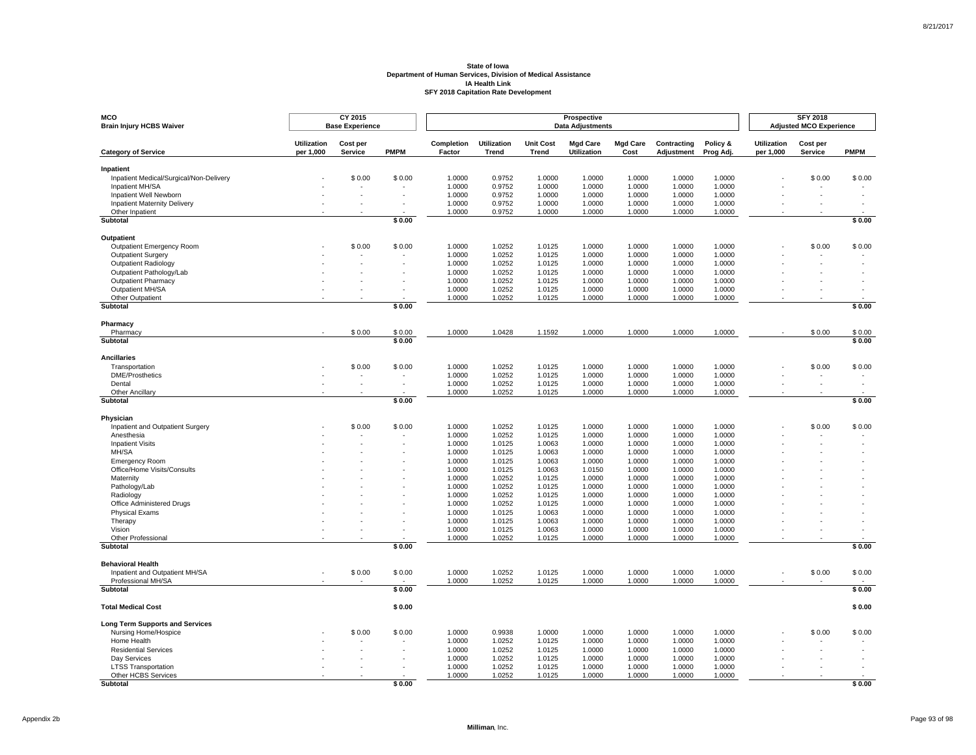| MCO<br><b>Brain Injury HCBS Waiver</b>                        |                                 | CY 2015<br><b>Base Experience</b> |             |                      |                             |                                  | Prospective<br><b>Data Adjustments</b> |                         |                           |                       |                                 | <b>SFY 2018</b><br><b>Adjusted MCO Experience</b> |             |
|---------------------------------------------------------------|---------------------------------|-----------------------------------|-------------|----------------------|-----------------------------|----------------------------------|----------------------------------------|-------------------------|---------------------------|-----------------------|---------------------------------|---------------------------------------------------|-------------|
| <b>Category of Service</b>                                    | <b>Utilization</b><br>per 1,000 | Cost per<br>Service               | <b>PMPM</b> | Completion<br>Factor | <b>Utilization</b><br>Trend | <b>Unit Cost</b><br><b>Trend</b> | <b>Mgd Care</b><br><b>Utilization</b>  | <b>Mgd Care</b><br>Cost | Contracting<br>Adjustment | Policy &<br>Prog Adj. | <b>Utilization</b><br>per 1,000 | Cost per<br>Service                               | <b>PMPM</b> |
| Inpatient                                                     |                                 |                                   |             |                      |                             |                                  |                                        |                         |                           |                       |                                 |                                                   |             |
| Inpatient Medical/Surgical/Non-Delivery                       |                                 | \$0.00                            | \$0.00      | 1.0000               | 0.9752                      | 1.0000                           | 1.0000                                 | 1.0000                  | 1.0000                    | 1.0000                |                                 | \$0.00                                            | \$0.00      |
| Inpatient MH/SA                                               |                                 |                                   |             | 1.0000               | 0.9752                      | 1.0000                           | 1.0000                                 | 1.0000                  | 1.0000                    | 1.0000                |                                 |                                                   |             |
| Inpatient Well Newborn<br><b>Inpatient Maternity Delivery</b> |                                 |                                   |             | 1.0000<br>1.0000     | 0.9752<br>0.9752            | 1.0000<br>1.0000                 | 1.0000<br>1.0000                       | 1.0000<br>1.0000        | 1.0000<br>1.0000          | 1.0000<br>1.0000      |                                 |                                                   |             |
| Other Inpatient                                               |                                 |                                   |             | 1.0000               | 0.9752                      | 1.0000                           | 1.0000                                 | 1.0000                  | 1.0000                    | 1.0000                |                                 |                                                   |             |
| Subtotal                                                      |                                 |                                   | \$0.00      |                      |                             |                                  |                                        |                         |                           |                       |                                 |                                                   | \$0.00      |
| Outpatient                                                    |                                 |                                   |             |                      |                             |                                  |                                        |                         |                           |                       |                                 |                                                   |             |
| Outpatient Emergency Room                                     |                                 | \$0.00                            | \$0.00      | 1.0000               | 1.0252                      | 1.0125                           | 1.0000                                 | 1.0000                  | 1.0000                    | 1.0000                |                                 | \$0.00                                            | \$0.00      |
| Outpatient Surgery                                            |                                 |                                   |             | 1.0000               | 1.0252                      | 1.0125                           | 1.0000                                 | 1.0000                  | 1.0000                    | 1.0000                |                                 |                                                   |             |
| <b>Outpatient Radiology</b>                                   |                                 |                                   |             | 1.0000               | 1.0252                      | 1.0125                           | 1.0000                                 | 1.0000                  | 1.0000                    | 1.0000                |                                 |                                                   |             |
| Outpatient Pathology/Lab                                      |                                 |                                   |             | 1.0000               | 1.0252                      | 1.0125                           | 1.0000                                 | 1.0000                  | 1.0000                    | 1.0000                |                                 |                                                   |             |
| <b>Outpatient Pharmacy</b>                                    |                                 |                                   |             | 1.0000               | 1.0252                      | 1.0125                           | 1.0000                                 | 1.0000                  | 1.0000                    | 1.0000                |                                 |                                                   |             |
| Outpatient MH/SA                                              |                                 |                                   |             | 1.0000               | 1.0252                      | 1.0125                           | 1.0000                                 | 1.0000                  | 1.0000                    | 1.0000                |                                 |                                                   |             |
| Other Outpatient<br>Subtotal                                  |                                 |                                   | \$0.00      | 1.0000               | 1.0252                      | 1.0125                           | 1.0000                                 | 1.0000                  | 1.0000                    | 1.0000                |                                 |                                                   | \$0.00      |
|                                                               |                                 |                                   |             |                      |                             |                                  |                                        |                         |                           |                       |                                 |                                                   |             |
| Pharmacy<br>Pharmacy                                          |                                 | \$0.00                            | \$0.00      | 1.0000               | 1.0428                      | 1.1592                           | 1.0000                                 | 1.0000                  | 1.0000                    | 1.0000                |                                 | \$0.00                                            | \$0.00      |
| Subtotal                                                      |                                 |                                   | \$0.00      |                      |                             |                                  |                                        |                         |                           |                       |                                 |                                                   | \$0.00      |
| <b>Ancillaries</b>                                            |                                 |                                   |             |                      |                             |                                  |                                        |                         |                           |                       |                                 |                                                   |             |
| Transportation                                                |                                 | \$0.00                            | \$0.00      | 1.0000               | 1.0252                      | 1.0125                           | 1.0000                                 | 1.0000                  | 1.0000                    | 1.0000                |                                 | \$0.00                                            | \$0.00      |
| <b>DME/Prosthetics</b>                                        |                                 | $\overline{\phantom{a}}$          |             | 1.0000               | 1.0252                      | 1.0125                           | 1.0000                                 | 1.0000                  | 1.0000                    | 1.0000                |                                 |                                                   |             |
| Dental                                                        |                                 |                                   |             | 1.0000               | 1.0252                      | 1.0125                           | 1.0000                                 | 1.0000                  | 1.0000                    | 1.0000                |                                 |                                                   |             |
| Other Ancillary<br>Subtotal                                   |                                 |                                   | \$0.00      | 1.0000               | 1.0252                      | 1.0125                           | 1.0000                                 | 1.0000                  | 1.0000                    | 1.0000                |                                 |                                                   | \$0.00      |
|                                                               |                                 |                                   |             |                      |                             |                                  |                                        |                         |                           |                       |                                 |                                                   |             |
| Physician                                                     |                                 |                                   |             |                      |                             |                                  |                                        |                         |                           |                       |                                 |                                                   |             |
| Inpatient and Outpatient Surgery                              |                                 | \$0.00                            | \$0.00      | 1.0000               | 1.0252                      | 1.0125                           | 1.0000                                 | 1.0000                  | 1.0000                    | 1.0000                |                                 | \$0.00                                            | \$0.00      |
| Anesthesia<br><b>Inpatient Visits</b>                         |                                 |                                   |             | 1.0000<br>1.0000     | 1.0252<br>1.0125            | 1.0125<br>1.0063                 | 1.0000<br>1.0000                       | 1.0000<br>1.0000        | 1.0000<br>1.0000          | 1.0000<br>1.0000      |                                 |                                                   |             |
| MH/SA                                                         |                                 |                                   |             | 1.0000               | 1.0125                      | 1.0063                           | 1.0000                                 | 1.0000                  | 1.0000                    | 1.0000                |                                 |                                                   |             |
| <b>Emergency Room</b>                                         |                                 |                                   |             | 1.0000               | 1.0125                      | 1.0063                           | 1.0000                                 | 1.0000                  | 1.0000                    | 1.0000                |                                 |                                                   |             |
| Office/Home Visits/Consults                                   |                                 |                                   |             | 1.0000               | 1.0125                      | 1.0063                           | 1.0150                                 | 1.0000                  | 1.0000                    | 1.0000                |                                 |                                                   |             |
| Maternity                                                     |                                 |                                   |             | 1.0000               | 1.0252                      | 1.0125                           | 1.0000                                 | 1.0000                  | 1.0000                    | 1.0000                |                                 |                                                   |             |
| Pathology/Lab                                                 |                                 |                                   |             | 1.0000               | 1.0252                      | 1.0125                           | 1.0000                                 | 1.0000                  | 1.0000                    | 1.0000                |                                 |                                                   |             |
| Radiology                                                     |                                 |                                   |             | 1.0000               | 1.0252                      | 1.0125                           | 1.0000                                 | 1.0000                  | 1.0000                    | 1.0000                |                                 |                                                   |             |
| Office Administered Drugs                                     |                                 |                                   |             | 1.0000               | 1.0252                      | 1.0125                           | 1.0000                                 | 1.0000                  | 1.0000                    | 1.0000                |                                 |                                                   |             |
| <b>Physical Exams</b><br>Therapy                              |                                 |                                   |             | 1.0000<br>1.0000     | 1.0125<br>1.0125            | 1.0063<br>1.0063                 | 1.0000<br>1.0000                       | 1.0000<br>1.0000        | 1.0000<br>1.0000          | 1.0000<br>1.0000      |                                 |                                                   |             |
| Vision                                                        |                                 |                                   |             | 1.0000               | 1.0125                      | 1.0063                           | 1.0000                                 | 1.0000                  | 1.0000                    | 1.0000                |                                 |                                                   |             |
| <b>Other Professional</b>                                     |                                 |                                   |             | 1.0000               | 1.0252                      | 1.0125                           | 1.0000                                 | 1.0000                  | 1.0000                    | 1.0000                |                                 |                                                   |             |
| Subtotal                                                      |                                 |                                   | \$0.00      |                      |                             |                                  |                                        |                         |                           |                       |                                 |                                                   | \$0.00      |
| <b>Behavioral Health</b>                                      |                                 |                                   |             |                      |                             |                                  |                                        |                         |                           |                       |                                 |                                                   |             |
| Inpatient and Outpatient MH/SA                                |                                 | \$0.00                            | \$0.00      | 1.0000               | 1.0252                      | 1.0125                           | 1.0000                                 | 1.0000                  | 1.0000                    | 1.0000                |                                 | \$0.00                                            | \$0.00      |
| Professional MH/SA                                            |                                 |                                   |             | 1.0000               | 1.0252                      | 1.0125                           | 1.0000                                 | 1.0000                  | 1.0000                    | 1.0000                |                                 |                                                   |             |
| Subtotal                                                      |                                 |                                   | \$0.00      |                      |                             |                                  |                                        |                         |                           |                       |                                 |                                                   | \$0.00      |
| <b>Total Medical Cost</b>                                     |                                 |                                   | \$0.00      |                      |                             |                                  |                                        |                         |                           |                       |                                 |                                                   | \$0.00      |
| <b>Long Term Supports and Services</b>                        |                                 |                                   |             |                      |                             |                                  |                                        |                         |                           |                       |                                 |                                                   |             |
| Nursing Home/Hospice                                          |                                 | \$0.00                            | \$0.00      | 1.0000               | 0.9938                      | 1.0000                           | 1.0000                                 | 1.0000                  | 1.0000                    | 1.0000                |                                 | \$0.00                                            | \$0.00      |
| Home Health                                                   |                                 |                                   |             | 1.0000               | 1.0252                      | 1.0125                           | 1.0000                                 | 1.0000                  | 1.0000                    | 1.0000                |                                 |                                                   |             |
| <b>Residential Services</b><br>Day Services                   |                                 |                                   |             | 1.0000<br>1.0000     | 1.0252<br>1.0252            | 1.0125<br>1.0125                 | 1.0000<br>1.0000                       | 1.0000<br>1.0000        | 1.0000<br>1.0000          | 1.0000<br>1.0000      |                                 |                                                   |             |
| <b>LTSS Transportation</b>                                    |                                 |                                   |             | 1.0000               | 1.0252                      | 1.0125                           | 1.0000                                 | 1.0000                  | 1.0000                    | 1.0000                |                                 |                                                   |             |
| Other HCBS Services                                           |                                 |                                   |             | 1.0000               | 1.0252                      | 1.0125                           | 1.0000                                 | 1.0000                  | 1.0000                    | 1.0000                |                                 |                                                   |             |
| <b>Subtotal</b>                                               |                                 |                                   | \$0.00      |                      |                             |                                  |                                        |                         |                           |                       |                                 |                                                   | \$0.00      |

8/21/2017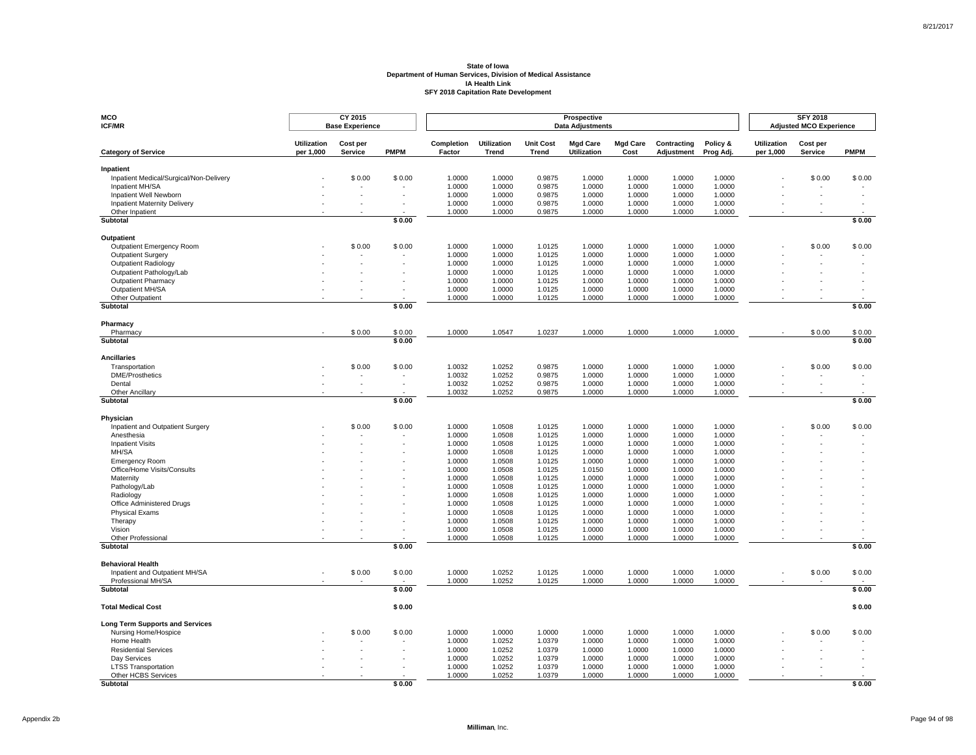| MCO<br><b>ICF/MR</b>                                 |                                 | CY 2015<br><b>Base Experience</b> |             |                      |                             |                                  | Prospective<br><b>Data Adjustments</b> |                         |                           |                       |                                 | <b>SFY 2018</b><br><b>Adjusted MCO Experience</b> |             |
|------------------------------------------------------|---------------------------------|-----------------------------------|-------------|----------------------|-----------------------------|----------------------------------|----------------------------------------|-------------------------|---------------------------|-----------------------|---------------------------------|---------------------------------------------------|-------------|
| <b>Category of Service</b>                           | <b>Utilization</b><br>per 1,000 | Cost per<br>Service               | <b>PMPM</b> | Completion<br>Factor | <b>Utilization</b><br>Trend | <b>Unit Cost</b><br><b>Trend</b> | <b>Mgd Care</b><br><b>Utilization</b>  | <b>Mgd Care</b><br>Cost | Contracting<br>Adjustment | Policy &<br>Prog Adj. | <b>Utilization</b><br>per 1,000 | Cost per<br>Service                               | <b>PMPM</b> |
| Inpatient                                            |                                 |                                   |             |                      |                             |                                  |                                        |                         |                           |                       |                                 |                                                   |             |
| Inpatient Medical/Surgical/Non-Delivery              |                                 | \$0.00                            | \$0.00      | 1.0000               | 1.0000                      | 0.9875                           | 1.0000                                 | 1.0000                  | 1.0000                    | 1.0000                |                                 | \$0.00                                            | \$0.00      |
| Inpatient MH/SA                                      |                                 |                                   |             | 1.0000               | 1.0000                      | 0.9875                           | 1.0000                                 | 1.0000                  | 1.0000                    | 1.0000                |                                 |                                                   |             |
| Inpatient Well Newborn                               |                                 |                                   |             | 1.0000               | 1.0000                      | 0.9875                           | 1.0000                                 | 1.0000                  | 1.0000                    | 1.0000                |                                 |                                                   |             |
| Inpatient Maternity Delivery                         |                                 |                                   |             | 1.0000               | 1.0000                      | 0.9875                           | 1.0000                                 | 1.0000                  | 1.0000                    | 1.0000                |                                 |                                                   |             |
| Other Inpatient<br>Subtotal                          |                                 |                                   | \$0.00      | 1.0000               | 1.0000                      | 0.9875                           | 1.0000                                 | 1.0000                  | 1.0000                    | 1.0000                |                                 |                                                   | \$0.00      |
|                                                      |                                 |                                   |             |                      |                             |                                  |                                        |                         |                           |                       |                                 |                                                   |             |
| Outpatient                                           |                                 |                                   |             |                      |                             |                                  | 1.0000                                 |                         |                           |                       |                                 |                                                   |             |
| Outpatient Emergency Room<br>Outpatient Surgery      |                                 | \$0.00                            | \$0.00      | 1.0000<br>1.0000     | 1.0000<br>1.0000            | 1.0125<br>1.0125                 | 1.0000                                 | 1.0000<br>1.0000        | 1.0000<br>1.0000          | 1.0000<br>1.0000      |                                 | \$0.00                                            | \$0.00      |
| <b>Outpatient Radiology</b>                          |                                 |                                   |             | 1.0000               | 1.0000                      | 1.0125                           | 1.0000                                 | 1.0000                  | 1.0000                    | 1.0000                |                                 |                                                   |             |
| Outpatient Pathology/Lab                             |                                 |                                   |             | 1.0000               | 1.0000                      | 1.0125                           | 1.0000                                 | 1.0000                  | 1.0000                    | 1.0000                |                                 |                                                   |             |
| <b>Outpatient Pharmacy</b>                           |                                 |                                   |             | 1.0000               | 1.0000                      | 1.0125                           | 1.0000                                 | 1.0000                  | 1.0000                    | 1.0000                |                                 |                                                   |             |
| Outpatient MH/SA                                     |                                 |                                   |             | 1.0000               | 1.0000                      | 1.0125                           | 1.0000                                 | 1.0000                  | 1.0000                    | 1.0000                |                                 |                                                   |             |
| Other Outpatient                                     |                                 |                                   |             | 1.0000               | 1.0000                      | 1.0125                           | 1.0000                                 | 1.0000                  | 1.0000                    | 1.0000                |                                 |                                                   |             |
| <b>Subtotal</b>                                      |                                 |                                   | \$0.00      |                      |                             |                                  |                                        |                         |                           |                       |                                 |                                                   | \$0.00      |
| Pharmacy                                             |                                 |                                   |             |                      |                             |                                  |                                        |                         |                           |                       |                                 |                                                   |             |
| Pharmacy                                             |                                 | \$0.00                            | \$0.00      | 1.0000               | 1.0547                      | 1.0237                           | 1.0000                                 | 1.0000                  | 1.0000                    | 1.0000                |                                 | \$0.00                                            | \$0.00      |
| Subtotal                                             |                                 |                                   | \$0.00      |                      |                             |                                  |                                        |                         |                           |                       |                                 |                                                   | \$0.00      |
| <b>Ancillaries</b>                                   |                                 |                                   |             |                      |                             |                                  |                                        |                         |                           |                       |                                 |                                                   |             |
| Transportation                                       |                                 | \$0.00                            | \$0.00      | 1.0032               | 1.0252                      | 0.9875                           | 1.0000                                 | 1.0000                  | 1.0000                    | 1.0000                |                                 | \$0.00                                            | \$0.00      |
| <b>DME/Prosthetics</b>                               |                                 |                                   |             | 1.0032               | 1.0252                      | 0.9875                           | 1.0000                                 | 1.0000                  | 1.0000                    | 1.0000                |                                 |                                                   |             |
| Dental                                               |                                 |                                   |             | 1.0032               | 1.0252                      | 0.9875                           | 1.0000                                 | 1.0000                  | 1.0000                    | 1.0000                |                                 |                                                   |             |
| Other Ancillary<br>Subtotal                          |                                 |                                   | \$0.00      | 1.0032               | 1.0252                      | 0.9875                           | 1.0000                                 | 1.0000                  | 1.0000                    | 1.0000                |                                 |                                                   | \$0.00      |
|                                                      |                                 |                                   |             |                      |                             |                                  |                                        |                         |                           |                       |                                 |                                                   |             |
| Physician                                            |                                 |                                   |             |                      |                             |                                  |                                        |                         |                           |                       |                                 |                                                   |             |
| Inpatient and Outpatient Surgery                     |                                 | \$0.00                            | \$0.00      | 1.0000               | 1.0508                      | 1.0125                           | 1.0000                                 | 1.0000                  | 1.0000                    | 1.0000                |                                 | \$0.00                                            | \$0.00      |
| Anesthesia<br><b>Inpatient Visits</b>                |                                 |                                   |             | 1.0000<br>1.0000     | 1.0508<br>1.0508            | 1.0125<br>1.0125                 | 1.0000<br>1.0000                       | 1.0000<br>1.0000        | 1.0000<br>1.0000          | 1.0000<br>1.0000      |                                 |                                                   |             |
| MH/SA                                                |                                 |                                   |             | 1.0000               | 1.0508                      | 1.0125                           | 1.0000                                 | 1.0000                  | 1.0000                    | 1.0000                |                                 |                                                   |             |
| <b>Emergency Room</b>                                |                                 |                                   |             | 1.0000               | 1.0508                      | 1.0125                           | 1.0000                                 | 1.0000                  | 1.0000                    | 1.0000                |                                 |                                                   |             |
| Office/Home Visits/Consults                          |                                 |                                   |             | 1.0000               | 1.0508                      | 1.0125                           | 1.0150                                 | 1.0000                  | 1.0000                    | 1.0000                |                                 |                                                   |             |
| Maternity                                            |                                 |                                   |             | 1.0000               | 1.0508                      | 1.0125                           | 1.0000                                 | 1.0000                  | 1.0000                    | 1.0000                |                                 |                                                   |             |
| Pathology/Lab                                        |                                 |                                   |             | 1.0000               | 1.0508                      | 1.0125                           | 1.0000                                 | 1.0000                  | 1.0000                    | 1.0000                |                                 |                                                   |             |
| Radiology                                            |                                 |                                   |             | 1.0000               | 1.0508                      | 1.0125                           | 1.0000                                 | 1.0000                  | 1.0000                    | 1.0000                |                                 |                                                   |             |
| Office Administered Drugs                            |                                 |                                   |             | 1.0000               | 1.0508                      | 1.0125                           | 1.0000                                 | 1.0000                  | 1.0000                    | 1.0000                |                                 |                                                   |             |
| <b>Physical Exams</b>                                |                                 |                                   |             | 1.0000               | 1.0508                      | 1.0125                           | 1.0000                                 | 1.0000                  | 1.0000                    | 1.0000                |                                 |                                                   |             |
| Therapy                                              |                                 |                                   |             | 1.0000               | 1.0508                      | 1.0125                           | 1.0000                                 | 1.0000                  | 1.0000                    | 1.0000                |                                 |                                                   |             |
| Vision                                               |                                 |                                   |             | 1.0000<br>1.0000     | 1.0508                      | 1.0125                           | 1.0000                                 | 1.0000                  | 1.0000                    | 1.0000<br>1.0000      |                                 |                                                   |             |
| Other Professional<br>Subtotal                       |                                 |                                   | \$0.00      |                      | 1.0508                      | 1.0125                           | 1.0000                                 | 1.0000                  | 1.0000                    |                       |                                 |                                                   | \$0.00      |
|                                                      |                                 |                                   |             |                      |                             |                                  |                                        |                         |                           |                       |                                 |                                                   |             |
| <b>Behavioral Health</b>                             |                                 |                                   |             |                      |                             |                                  |                                        |                         |                           |                       |                                 |                                                   |             |
| Inpatient and Outpatient MH/SA<br>Professional MH/SA |                                 | \$0.00                            | \$0.00      | 1.0000<br>1.0000     | 1.0252<br>1.0252            | 1.0125<br>1.0125                 | 1.0000<br>1.0000                       | 1.0000<br>1.0000        | 1.0000<br>1.0000          | 1.0000<br>1.0000      |                                 | \$0.00                                            | \$0.00      |
| <b>Subtotal</b>                                      |                                 |                                   | \$0.00      |                      |                             |                                  |                                        |                         |                           |                       |                                 |                                                   | \$0.00      |
| <b>Total Medical Cost</b>                            |                                 |                                   | \$0.00      |                      |                             |                                  |                                        |                         |                           |                       |                                 |                                                   | \$0.00      |
| <b>Long Term Supports and Services</b>               |                                 |                                   |             |                      |                             |                                  |                                        |                         |                           |                       |                                 |                                                   |             |
| Nursing Home/Hospice                                 |                                 | \$0.00                            | \$0.00      | 1.0000               | 1.0000                      | 1.0000                           | 1.0000                                 | 1.0000                  | 1.0000                    | 1.0000                |                                 | \$0.00                                            | \$0.00      |
| Home Health                                          |                                 |                                   |             | 1.0000               | 1.0252                      | 1.0379                           | 1.0000                                 | 1.0000                  | 1.0000                    | 1.0000                |                                 |                                                   |             |
| <b>Residential Services</b>                          |                                 |                                   |             | 1.0000               | 1.0252                      | 1.0379                           | 1.0000                                 | 1.0000                  | 1.0000                    | 1.0000                |                                 |                                                   |             |
| Day Services                                         |                                 |                                   |             | 1.0000               | 1.0252                      | 1.0379                           | 1.0000                                 | 1.0000                  | 1.0000                    | 1.0000                |                                 |                                                   |             |
| <b>LTSS Transportation</b>                           |                                 |                                   |             | 1.0000               | 1.0252                      | 1.0379                           | 1.0000                                 | 1.0000                  | 1.0000                    | 1.0000                |                                 |                                                   |             |
| Other HCBS Services                                  |                                 |                                   |             | 1.0000               | 1.0252                      | 1.0379                           | 1.0000                                 | 1.0000                  | 1.0000                    | 1.0000                |                                 |                                                   |             |
| <b>Subtotal</b>                                      |                                 |                                   | \$0.00      |                      |                             |                                  |                                        |                         |                           |                       |                                 |                                                   | \$0.00      |

Appendix 2b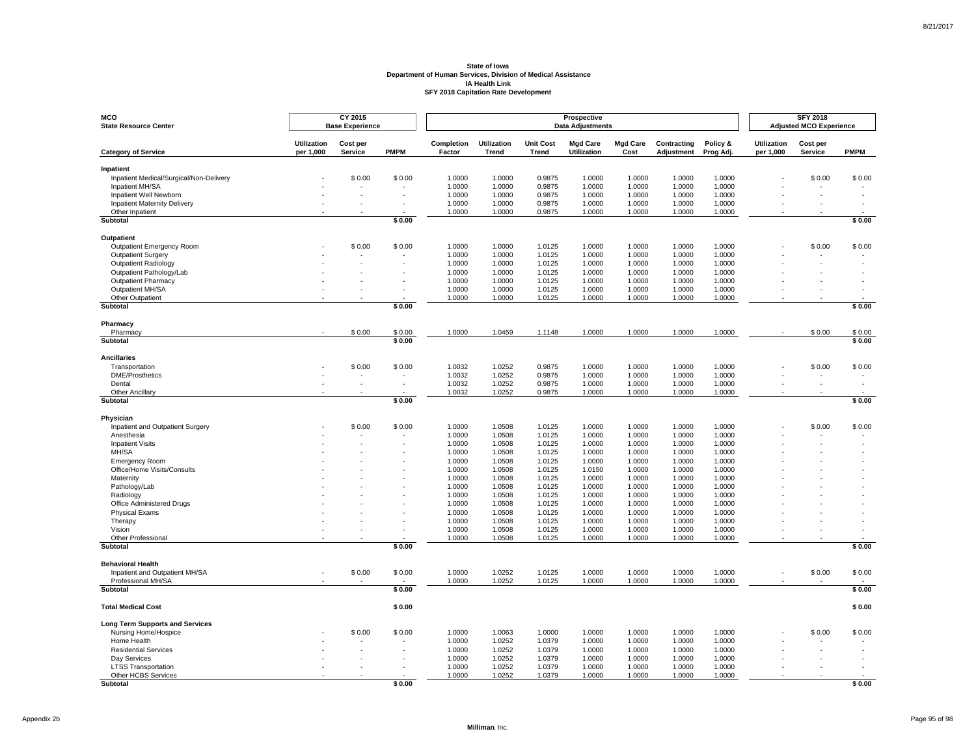| <b>Utilization</b><br><b>Mgd Care</b><br><b>Utilization</b><br>Cost per<br>Completion<br><b>Unit Cost</b><br><b>Mgd Care</b><br>Contracting<br>Policy &<br><b>Utilization</b><br>Cost per<br>per 1,000<br><b>PMPM</b><br><b>Utilization</b><br><b>PMPM</b><br><b>Category of Service</b><br>Service<br>Factor<br>Trend<br><b>Trend</b><br>Cost<br>Adjustment<br>Prog Adj.<br>per 1,000<br>Service<br>Inpatient<br>Inpatient Medical/Surgical/Non-Delivery<br>\$0.00<br>1.0000<br>0.9875<br>1.0000<br>1.0000<br>1.0000<br>1.0000<br>\$0.00<br>\$0.00<br>1.0000<br>\$0.00<br>Inpatient MH/SA<br>1.0000<br>1.0000<br>0.9875<br>1.0000<br>1.0000<br>1.0000<br>1.0000<br>Inpatient Well Newborn<br>1.0000<br>0.9875<br>1.0000<br>1.0000<br>1.0000<br>1.0000<br>1.0000<br><b>Inpatient Maternity Delivery</b><br>1.0000<br>1.0000<br>0.9875<br>1.0000<br>1.0000<br>1.0000<br>1.0000<br>Other Inpatient<br>1.0000<br>1.0000<br>0.9875<br>1.0000<br>1.0000<br>1.0000<br>1.0000<br>\$0.00<br>\$0.00<br>Subtotal<br>Outpatient<br>1.0000<br>1.0125<br>1.0000<br>1.0000<br>1.0000<br>Outpatient Emergency Room<br>\$0.00<br>\$0.00<br>1.0000<br>1.0000<br>\$0.00<br>\$0.00<br>1.0000<br>1.0000<br>1.0000<br>1.0000<br>1.0000<br><b>Outpatient Surgery</b><br>1.0000<br>1.0125<br><b>Outpatient Radiology</b><br>1.0000<br>1.0000<br>1.0125<br>1.0000<br>1.0000<br>1.0000<br>1.0000<br>Outpatient Pathology/Lab<br>1.0000<br>1.0000<br>1.0125<br>1.0000<br>1.0000<br>1.0000<br>1.0000<br><b>Outpatient Pharmacy</b><br>1.0000<br>1.0125<br>1.0000<br>1.0000<br>1.0000<br>1.0000<br>1.0000<br>Outpatient MH/SA<br>1.0000<br>1.0000<br>1.0125<br>1.0000<br>1.0000<br>1.0000<br>1.0000<br>Other Outpatient<br>1.0125<br>1.0000<br>1.0000<br>1.0000<br>1.0000<br>1.0000<br>1.0000<br>\$0.00<br>\$0.00<br>Subtotal<br>Pharmacy<br>\$0.00<br>\$0.00<br>1.0000<br>1.0459<br>1.0000<br>1.0000<br>1.0000<br>1.0000<br>\$0.00<br>\$0.00<br>Pharmacy<br>1.1148<br>Subtotal<br>\$0.00<br>\$0.00<br><b>Ancillaries</b><br>\$0.00<br>\$0.00<br>1.0032<br>1.0252<br>0.9875<br>1.0000<br>1.0000<br>1.0000<br>1.0000<br>\$0.00<br>\$0.00<br>Transportation<br><b>DME/Prosthetics</b><br>1.0032<br>1.0252<br>0.9875<br>1.0000<br>1.0000<br>1.0000<br>1.0000<br>1.0252<br>0.9875<br>1.0000<br>1.0000<br>Dental<br>1.0032<br>1.0000<br>1.0000<br>Other Ancillary<br>1.0032<br>1.0252<br>0.9875<br>1.0000<br>1.0000<br>1.0000<br>1.0000<br>Subtotal<br>\$0.00<br>\$0.00<br>Physician<br>1.0508<br>1.0125<br>1.0000<br>Inpatient and Outpatient Surgery<br>\$0.00<br>\$0.00<br>1.0000<br>1.0000<br>1.0000<br>1.0000<br>\$0.00<br>\$0.00<br>1.0508<br>1.0125<br>1.0000<br>Anesthesia<br>1.0000<br>1.0000<br>1.0000<br>1.0000<br>1.0508<br>1.0000<br>1.0000<br><b>Inpatient Visits</b><br>1.0000<br>1.0125<br>1.0000<br>1.0000<br>MH/SA<br>1.0000<br>1.0508<br>1.0125<br>1.0000<br>1.0000<br>1.0000<br>1.0000<br>1.0508<br>1.0000<br>1.0000<br>1.0125<br>1.0000<br>1.0000<br>1.0000<br><b>Emergency Room</b><br>Office/Home Visits/Consults<br>1.0000<br>1.0508<br>1.0125<br>1.0150<br>1.0000<br>1.0000<br>1.0000<br>1.0000<br>1.0508<br>1.0125<br>1.0000<br>1.0000<br>1.0000<br>1.0000<br>Maternity<br>1.0000<br>1.0508<br>1.0125<br>1.0000<br>1.0000<br>1.0000<br>Pathology/Lab<br>1.0000<br>Radiology<br>1.0000<br>1.0508<br>1.0125<br>1.0000<br>1.0000<br>1.0000<br>1.0000<br>1.0000<br>1.0508<br>1.0125<br>1.0000<br>1.0000<br>1.0000<br>1.0000<br>Office Administered Drugs<br>1.0508<br><b>Physical Exams</b><br>1.0000<br>1.0125<br>1.0000<br>1.0000<br>1.0000<br>1.0000<br>1.0508<br>1.0000<br>1.0000<br>Therapy<br>1.0000<br>1.0125<br>1.0000<br>1.0000<br>1.0000<br>1.0000<br>Vision<br>1.0000<br>1.0508<br>1.0125<br>1.0000<br>1.0000<br>Other Professional<br>1.0000<br>1.0508<br>1.0125<br>1.0000<br>1.0000<br>1.0000<br>1.0000<br>\$0.00<br>Subtotal<br>\$0.00<br><b>Behavioral Health</b><br>Inpatient and Outpatient MH/SA<br>\$0.00<br>\$0.00<br>1.0252<br>1.0125<br>1.0000<br>1.0000<br>\$0.00<br>\$0.00<br>1.0000<br>1.0000<br>1.0000<br>Professional MH/SA<br>1.0000<br>1.0252<br>1.0125<br>1.0000<br>1.0000<br>1.0000<br>1.0000<br>\$0.00<br>\$0.00<br>Subtotal<br><b>Total Medical Cost</b><br>\$0.00<br>\$0.00<br><b>Long Term Supports and Services</b><br>\$0.00<br>Nursing Home/Hospice<br>\$0.00<br>1.0000<br>1.0063<br>1.0000<br>1.0000<br>1.0000<br>1.0000<br>1.0000<br>\$0.00<br>\$0.00<br>Home Health<br>1.0000<br>1.0252<br>1.0379<br>1.0000<br>1.0000<br>1.0000<br>1.0000<br>1.0000<br>1.0252<br>1.0379<br>1.0000<br>1.0000<br><b>Residential Services</b><br>1.0000<br>1.0000<br>1.0252<br>1.0379<br>Day Services<br>1.0000<br>1.0000<br>1.0000<br>1.0000<br>1.0000<br><b>LTSS Transportation</b><br>1.0000<br>1.0252<br>1.0379<br>1.0000<br>1.0000<br>1.0000<br>1.0000<br>Other HCBS Services<br>1.0000<br>1.0252<br>1.0379<br>1.0000<br>1.0000<br>1.0000<br>1.0000<br>Subtotal<br>\$0.00<br>\$0.00 | <b>MCO</b><br><b>State Resource Center</b> | CY 2015<br><b>Base Experience</b> |  |  | Prospective<br><b>Data Adjustments</b> |  |  | <b>SFY 2018</b><br><b>Adjusted MCO Experience</b> |  |
|-----------------------------------------------------------------------------------------------------------------------------------------------------------------------------------------------------------------------------------------------------------------------------------------------------------------------------------------------------------------------------------------------------------------------------------------------------------------------------------------------------------------------------------------------------------------------------------------------------------------------------------------------------------------------------------------------------------------------------------------------------------------------------------------------------------------------------------------------------------------------------------------------------------------------------------------------------------------------------------------------------------------------------------------------------------------------------------------------------------------------------------------------------------------------------------------------------------------------------------------------------------------------------------------------------------------------------------------------------------------------------------------------------------------------------------------------------------------------------------------------------------------------------------------------------------------------------------------------------------------------------------------------------------------------------------------------------------------------------------------------------------------------------------------------------------------------------------------------------------------------------------------------------------------------------------------------------------------------------------------------------------------------------------------------------------------------------------------------------------------------------------------------------------------------------------------------------------------------------------------------------------------------------------------------------------------------------------------------------------------------------------------------------------------------------------------------------------------------------------------------------------------------------------------------------------------------------------------------------------------------------------------------------------------------------------------------------------------------------------------------------------------------------------------------------------------------------------------------------------------------------------------------------------------------------------------------------------------------------------------------------------------------------------------------------------------------------------------------------------------------------------------------------------------------------------------------------------------------------------------------------------------------------------------------------------------------------------------------------------------------------------------------------------------------------------------------------------------------------------------------------------------------------------------------------------------------------------------------------------------------------------------------------------------------------------------------------------------------------------------------------------------------------------------------------------------------------------------------------------------------------------------------------------------------------------------------------------------------------------------------------------------------------------------------------------------------------------------------------------------------------------------------------------------------------------------------------------------------------------------------------------------------------------------------------------------------------------------------------------------------------------------------------------------------------------------------------------------------------------------------------------------------------------------------------------------------------------------------------------------------------------------------------------------------------------------------------------------------------------------------------------------------------------------------------------------------------------------------------------------------------------------------------|--------------------------------------------|-----------------------------------|--|--|----------------------------------------|--|--|---------------------------------------------------|--|
|                                                                                                                                                                                                                                                                                                                                                                                                                                                                                                                                                                                                                                                                                                                                                                                                                                                                                                                                                                                                                                                                                                                                                                                                                                                                                                                                                                                                                                                                                                                                                                                                                                                                                                                                                                                                                                                                                                                                                                                                                                                                                                                                                                                                                                                                                                                                                                                                                                                                                                                                                                                                                                                                                                                                                                                                                                                                                                                                                                                                                                                                                                                                                                                                                                                                                                                                                                                                                                                                                                                                                                                                                                                                                                                                                                                                                                                                                                                                                                                                                                                                                                                                                                                                                                                                                                                                                                                                                                                                                                                                                                                                                                                                                                                                                                                                                                                                                                     |                                            |                                   |  |  |                                        |  |  |                                                   |  |
|                                                                                                                                                                                                                                                                                                                                                                                                                                                                                                                                                                                                                                                                                                                                                                                                                                                                                                                                                                                                                                                                                                                                                                                                                                                                                                                                                                                                                                                                                                                                                                                                                                                                                                                                                                                                                                                                                                                                                                                                                                                                                                                                                                                                                                                                                                                                                                                                                                                                                                                                                                                                                                                                                                                                                                                                                                                                                                                                                                                                                                                                                                                                                                                                                                                                                                                                                                                                                                                                                                                                                                                                                                                                                                                                                                                                                                                                                                                                                                                                                                                                                                                                                                                                                                                                                                                                                                                                                                                                                                                                                                                                                                                                                                                                                                                                                                                                                                     |                                            |                                   |  |  |                                        |  |  |                                                   |  |
|                                                                                                                                                                                                                                                                                                                                                                                                                                                                                                                                                                                                                                                                                                                                                                                                                                                                                                                                                                                                                                                                                                                                                                                                                                                                                                                                                                                                                                                                                                                                                                                                                                                                                                                                                                                                                                                                                                                                                                                                                                                                                                                                                                                                                                                                                                                                                                                                                                                                                                                                                                                                                                                                                                                                                                                                                                                                                                                                                                                                                                                                                                                                                                                                                                                                                                                                                                                                                                                                                                                                                                                                                                                                                                                                                                                                                                                                                                                                                                                                                                                                                                                                                                                                                                                                                                                                                                                                                                                                                                                                                                                                                                                                                                                                                                                                                                                                                                     |                                            |                                   |  |  |                                        |  |  |                                                   |  |
|                                                                                                                                                                                                                                                                                                                                                                                                                                                                                                                                                                                                                                                                                                                                                                                                                                                                                                                                                                                                                                                                                                                                                                                                                                                                                                                                                                                                                                                                                                                                                                                                                                                                                                                                                                                                                                                                                                                                                                                                                                                                                                                                                                                                                                                                                                                                                                                                                                                                                                                                                                                                                                                                                                                                                                                                                                                                                                                                                                                                                                                                                                                                                                                                                                                                                                                                                                                                                                                                                                                                                                                                                                                                                                                                                                                                                                                                                                                                                                                                                                                                                                                                                                                                                                                                                                                                                                                                                                                                                                                                                                                                                                                                                                                                                                                                                                                                                                     |                                            |                                   |  |  |                                        |  |  |                                                   |  |
|                                                                                                                                                                                                                                                                                                                                                                                                                                                                                                                                                                                                                                                                                                                                                                                                                                                                                                                                                                                                                                                                                                                                                                                                                                                                                                                                                                                                                                                                                                                                                                                                                                                                                                                                                                                                                                                                                                                                                                                                                                                                                                                                                                                                                                                                                                                                                                                                                                                                                                                                                                                                                                                                                                                                                                                                                                                                                                                                                                                                                                                                                                                                                                                                                                                                                                                                                                                                                                                                                                                                                                                                                                                                                                                                                                                                                                                                                                                                                                                                                                                                                                                                                                                                                                                                                                                                                                                                                                                                                                                                                                                                                                                                                                                                                                                                                                                                                                     |                                            |                                   |  |  |                                        |  |  |                                                   |  |
|                                                                                                                                                                                                                                                                                                                                                                                                                                                                                                                                                                                                                                                                                                                                                                                                                                                                                                                                                                                                                                                                                                                                                                                                                                                                                                                                                                                                                                                                                                                                                                                                                                                                                                                                                                                                                                                                                                                                                                                                                                                                                                                                                                                                                                                                                                                                                                                                                                                                                                                                                                                                                                                                                                                                                                                                                                                                                                                                                                                                                                                                                                                                                                                                                                                                                                                                                                                                                                                                                                                                                                                                                                                                                                                                                                                                                                                                                                                                                                                                                                                                                                                                                                                                                                                                                                                                                                                                                                                                                                                                                                                                                                                                                                                                                                                                                                                                                                     |                                            |                                   |  |  |                                        |  |  |                                                   |  |
|                                                                                                                                                                                                                                                                                                                                                                                                                                                                                                                                                                                                                                                                                                                                                                                                                                                                                                                                                                                                                                                                                                                                                                                                                                                                                                                                                                                                                                                                                                                                                                                                                                                                                                                                                                                                                                                                                                                                                                                                                                                                                                                                                                                                                                                                                                                                                                                                                                                                                                                                                                                                                                                                                                                                                                                                                                                                                                                                                                                                                                                                                                                                                                                                                                                                                                                                                                                                                                                                                                                                                                                                                                                                                                                                                                                                                                                                                                                                                                                                                                                                                                                                                                                                                                                                                                                                                                                                                                                                                                                                                                                                                                                                                                                                                                                                                                                                                                     |                                            |                                   |  |  |                                        |  |  |                                                   |  |
|                                                                                                                                                                                                                                                                                                                                                                                                                                                                                                                                                                                                                                                                                                                                                                                                                                                                                                                                                                                                                                                                                                                                                                                                                                                                                                                                                                                                                                                                                                                                                                                                                                                                                                                                                                                                                                                                                                                                                                                                                                                                                                                                                                                                                                                                                                                                                                                                                                                                                                                                                                                                                                                                                                                                                                                                                                                                                                                                                                                                                                                                                                                                                                                                                                                                                                                                                                                                                                                                                                                                                                                                                                                                                                                                                                                                                                                                                                                                                                                                                                                                                                                                                                                                                                                                                                                                                                                                                                                                                                                                                                                                                                                                                                                                                                                                                                                                                                     |                                            |                                   |  |  |                                        |  |  |                                                   |  |
|                                                                                                                                                                                                                                                                                                                                                                                                                                                                                                                                                                                                                                                                                                                                                                                                                                                                                                                                                                                                                                                                                                                                                                                                                                                                                                                                                                                                                                                                                                                                                                                                                                                                                                                                                                                                                                                                                                                                                                                                                                                                                                                                                                                                                                                                                                                                                                                                                                                                                                                                                                                                                                                                                                                                                                                                                                                                                                                                                                                                                                                                                                                                                                                                                                                                                                                                                                                                                                                                                                                                                                                                                                                                                                                                                                                                                                                                                                                                                                                                                                                                                                                                                                                                                                                                                                                                                                                                                                                                                                                                                                                                                                                                                                                                                                                                                                                                                                     |                                            |                                   |  |  |                                        |  |  |                                                   |  |
|                                                                                                                                                                                                                                                                                                                                                                                                                                                                                                                                                                                                                                                                                                                                                                                                                                                                                                                                                                                                                                                                                                                                                                                                                                                                                                                                                                                                                                                                                                                                                                                                                                                                                                                                                                                                                                                                                                                                                                                                                                                                                                                                                                                                                                                                                                                                                                                                                                                                                                                                                                                                                                                                                                                                                                                                                                                                                                                                                                                                                                                                                                                                                                                                                                                                                                                                                                                                                                                                                                                                                                                                                                                                                                                                                                                                                                                                                                                                                                                                                                                                                                                                                                                                                                                                                                                                                                                                                                                                                                                                                                                                                                                                                                                                                                                                                                                                                                     |                                            |                                   |  |  |                                        |  |  |                                                   |  |
|                                                                                                                                                                                                                                                                                                                                                                                                                                                                                                                                                                                                                                                                                                                                                                                                                                                                                                                                                                                                                                                                                                                                                                                                                                                                                                                                                                                                                                                                                                                                                                                                                                                                                                                                                                                                                                                                                                                                                                                                                                                                                                                                                                                                                                                                                                                                                                                                                                                                                                                                                                                                                                                                                                                                                                                                                                                                                                                                                                                                                                                                                                                                                                                                                                                                                                                                                                                                                                                                                                                                                                                                                                                                                                                                                                                                                                                                                                                                                                                                                                                                                                                                                                                                                                                                                                                                                                                                                                                                                                                                                                                                                                                                                                                                                                                                                                                                                                     |                                            |                                   |  |  |                                        |  |  |                                                   |  |
|                                                                                                                                                                                                                                                                                                                                                                                                                                                                                                                                                                                                                                                                                                                                                                                                                                                                                                                                                                                                                                                                                                                                                                                                                                                                                                                                                                                                                                                                                                                                                                                                                                                                                                                                                                                                                                                                                                                                                                                                                                                                                                                                                                                                                                                                                                                                                                                                                                                                                                                                                                                                                                                                                                                                                                                                                                                                                                                                                                                                                                                                                                                                                                                                                                                                                                                                                                                                                                                                                                                                                                                                                                                                                                                                                                                                                                                                                                                                                                                                                                                                                                                                                                                                                                                                                                                                                                                                                                                                                                                                                                                                                                                                                                                                                                                                                                                                                                     |                                            |                                   |  |  |                                        |  |  |                                                   |  |
|                                                                                                                                                                                                                                                                                                                                                                                                                                                                                                                                                                                                                                                                                                                                                                                                                                                                                                                                                                                                                                                                                                                                                                                                                                                                                                                                                                                                                                                                                                                                                                                                                                                                                                                                                                                                                                                                                                                                                                                                                                                                                                                                                                                                                                                                                                                                                                                                                                                                                                                                                                                                                                                                                                                                                                                                                                                                                                                                                                                                                                                                                                                                                                                                                                                                                                                                                                                                                                                                                                                                                                                                                                                                                                                                                                                                                                                                                                                                                                                                                                                                                                                                                                                                                                                                                                                                                                                                                                                                                                                                                                                                                                                                                                                                                                                                                                                                                                     |                                            |                                   |  |  |                                        |  |  |                                                   |  |
|                                                                                                                                                                                                                                                                                                                                                                                                                                                                                                                                                                                                                                                                                                                                                                                                                                                                                                                                                                                                                                                                                                                                                                                                                                                                                                                                                                                                                                                                                                                                                                                                                                                                                                                                                                                                                                                                                                                                                                                                                                                                                                                                                                                                                                                                                                                                                                                                                                                                                                                                                                                                                                                                                                                                                                                                                                                                                                                                                                                                                                                                                                                                                                                                                                                                                                                                                                                                                                                                                                                                                                                                                                                                                                                                                                                                                                                                                                                                                                                                                                                                                                                                                                                                                                                                                                                                                                                                                                                                                                                                                                                                                                                                                                                                                                                                                                                                                                     |                                            |                                   |  |  |                                        |  |  |                                                   |  |
|                                                                                                                                                                                                                                                                                                                                                                                                                                                                                                                                                                                                                                                                                                                                                                                                                                                                                                                                                                                                                                                                                                                                                                                                                                                                                                                                                                                                                                                                                                                                                                                                                                                                                                                                                                                                                                                                                                                                                                                                                                                                                                                                                                                                                                                                                                                                                                                                                                                                                                                                                                                                                                                                                                                                                                                                                                                                                                                                                                                                                                                                                                                                                                                                                                                                                                                                                                                                                                                                                                                                                                                                                                                                                                                                                                                                                                                                                                                                                                                                                                                                                                                                                                                                                                                                                                                                                                                                                                                                                                                                                                                                                                                                                                                                                                                                                                                                                                     |                                            |                                   |  |  |                                        |  |  |                                                   |  |
|                                                                                                                                                                                                                                                                                                                                                                                                                                                                                                                                                                                                                                                                                                                                                                                                                                                                                                                                                                                                                                                                                                                                                                                                                                                                                                                                                                                                                                                                                                                                                                                                                                                                                                                                                                                                                                                                                                                                                                                                                                                                                                                                                                                                                                                                                                                                                                                                                                                                                                                                                                                                                                                                                                                                                                                                                                                                                                                                                                                                                                                                                                                                                                                                                                                                                                                                                                                                                                                                                                                                                                                                                                                                                                                                                                                                                                                                                                                                                                                                                                                                                                                                                                                                                                                                                                                                                                                                                                                                                                                                                                                                                                                                                                                                                                                                                                                                                                     |                                            |                                   |  |  |                                        |  |  |                                                   |  |
|                                                                                                                                                                                                                                                                                                                                                                                                                                                                                                                                                                                                                                                                                                                                                                                                                                                                                                                                                                                                                                                                                                                                                                                                                                                                                                                                                                                                                                                                                                                                                                                                                                                                                                                                                                                                                                                                                                                                                                                                                                                                                                                                                                                                                                                                                                                                                                                                                                                                                                                                                                                                                                                                                                                                                                                                                                                                                                                                                                                                                                                                                                                                                                                                                                                                                                                                                                                                                                                                                                                                                                                                                                                                                                                                                                                                                                                                                                                                                                                                                                                                                                                                                                                                                                                                                                                                                                                                                                                                                                                                                                                                                                                                                                                                                                                                                                                                                                     |                                            |                                   |  |  |                                        |  |  |                                                   |  |
|                                                                                                                                                                                                                                                                                                                                                                                                                                                                                                                                                                                                                                                                                                                                                                                                                                                                                                                                                                                                                                                                                                                                                                                                                                                                                                                                                                                                                                                                                                                                                                                                                                                                                                                                                                                                                                                                                                                                                                                                                                                                                                                                                                                                                                                                                                                                                                                                                                                                                                                                                                                                                                                                                                                                                                                                                                                                                                                                                                                                                                                                                                                                                                                                                                                                                                                                                                                                                                                                                                                                                                                                                                                                                                                                                                                                                                                                                                                                                                                                                                                                                                                                                                                                                                                                                                                                                                                                                                                                                                                                                                                                                                                                                                                                                                                                                                                                                                     |                                            |                                   |  |  |                                        |  |  |                                                   |  |
|                                                                                                                                                                                                                                                                                                                                                                                                                                                                                                                                                                                                                                                                                                                                                                                                                                                                                                                                                                                                                                                                                                                                                                                                                                                                                                                                                                                                                                                                                                                                                                                                                                                                                                                                                                                                                                                                                                                                                                                                                                                                                                                                                                                                                                                                                                                                                                                                                                                                                                                                                                                                                                                                                                                                                                                                                                                                                                                                                                                                                                                                                                                                                                                                                                                                                                                                                                                                                                                                                                                                                                                                                                                                                                                                                                                                                                                                                                                                                                                                                                                                                                                                                                                                                                                                                                                                                                                                                                                                                                                                                                                                                                                                                                                                                                                                                                                                                                     |                                            |                                   |  |  |                                        |  |  |                                                   |  |
|                                                                                                                                                                                                                                                                                                                                                                                                                                                                                                                                                                                                                                                                                                                                                                                                                                                                                                                                                                                                                                                                                                                                                                                                                                                                                                                                                                                                                                                                                                                                                                                                                                                                                                                                                                                                                                                                                                                                                                                                                                                                                                                                                                                                                                                                                                                                                                                                                                                                                                                                                                                                                                                                                                                                                                                                                                                                                                                                                                                                                                                                                                                                                                                                                                                                                                                                                                                                                                                                                                                                                                                                                                                                                                                                                                                                                                                                                                                                                                                                                                                                                                                                                                                                                                                                                                                                                                                                                                                                                                                                                                                                                                                                                                                                                                                                                                                                                                     |                                            |                                   |  |  |                                        |  |  |                                                   |  |
|                                                                                                                                                                                                                                                                                                                                                                                                                                                                                                                                                                                                                                                                                                                                                                                                                                                                                                                                                                                                                                                                                                                                                                                                                                                                                                                                                                                                                                                                                                                                                                                                                                                                                                                                                                                                                                                                                                                                                                                                                                                                                                                                                                                                                                                                                                                                                                                                                                                                                                                                                                                                                                                                                                                                                                                                                                                                                                                                                                                                                                                                                                                                                                                                                                                                                                                                                                                                                                                                                                                                                                                                                                                                                                                                                                                                                                                                                                                                                                                                                                                                                                                                                                                                                                                                                                                                                                                                                                                                                                                                                                                                                                                                                                                                                                                                                                                                                                     |                                            |                                   |  |  |                                        |  |  |                                                   |  |
|                                                                                                                                                                                                                                                                                                                                                                                                                                                                                                                                                                                                                                                                                                                                                                                                                                                                                                                                                                                                                                                                                                                                                                                                                                                                                                                                                                                                                                                                                                                                                                                                                                                                                                                                                                                                                                                                                                                                                                                                                                                                                                                                                                                                                                                                                                                                                                                                                                                                                                                                                                                                                                                                                                                                                                                                                                                                                                                                                                                                                                                                                                                                                                                                                                                                                                                                                                                                                                                                                                                                                                                                                                                                                                                                                                                                                                                                                                                                                                                                                                                                                                                                                                                                                                                                                                                                                                                                                                                                                                                                                                                                                                                                                                                                                                                                                                                                                                     |                                            |                                   |  |  |                                        |  |  |                                                   |  |
|                                                                                                                                                                                                                                                                                                                                                                                                                                                                                                                                                                                                                                                                                                                                                                                                                                                                                                                                                                                                                                                                                                                                                                                                                                                                                                                                                                                                                                                                                                                                                                                                                                                                                                                                                                                                                                                                                                                                                                                                                                                                                                                                                                                                                                                                                                                                                                                                                                                                                                                                                                                                                                                                                                                                                                                                                                                                                                                                                                                                                                                                                                                                                                                                                                                                                                                                                                                                                                                                                                                                                                                                                                                                                                                                                                                                                                                                                                                                                                                                                                                                                                                                                                                                                                                                                                                                                                                                                                                                                                                                                                                                                                                                                                                                                                                                                                                                                                     |                                            |                                   |  |  |                                        |  |  |                                                   |  |
|                                                                                                                                                                                                                                                                                                                                                                                                                                                                                                                                                                                                                                                                                                                                                                                                                                                                                                                                                                                                                                                                                                                                                                                                                                                                                                                                                                                                                                                                                                                                                                                                                                                                                                                                                                                                                                                                                                                                                                                                                                                                                                                                                                                                                                                                                                                                                                                                                                                                                                                                                                                                                                                                                                                                                                                                                                                                                                                                                                                                                                                                                                                                                                                                                                                                                                                                                                                                                                                                                                                                                                                                                                                                                                                                                                                                                                                                                                                                                                                                                                                                                                                                                                                                                                                                                                                                                                                                                                                                                                                                                                                                                                                                                                                                                                                                                                                                                                     |                                            |                                   |  |  |                                        |  |  |                                                   |  |
|                                                                                                                                                                                                                                                                                                                                                                                                                                                                                                                                                                                                                                                                                                                                                                                                                                                                                                                                                                                                                                                                                                                                                                                                                                                                                                                                                                                                                                                                                                                                                                                                                                                                                                                                                                                                                                                                                                                                                                                                                                                                                                                                                                                                                                                                                                                                                                                                                                                                                                                                                                                                                                                                                                                                                                                                                                                                                                                                                                                                                                                                                                                                                                                                                                                                                                                                                                                                                                                                                                                                                                                                                                                                                                                                                                                                                                                                                                                                                                                                                                                                                                                                                                                                                                                                                                                                                                                                                                                                                                                                                                                                                                                                                                                                                                                                                                                                                                     |                                            |                                   |  |  |                                        |  |  |                                                   |  |
|                                                                                                                                                                                                                                                                                                                                                                                                                                                                                                                                                                                                                                                                                                                                                                                                                                                                                                                                                                                                                                                                                                                                                                                                                                                                                                                                                                                                                                                                                                                                                                                                                                                                                                                                                                                                                                                                                                                                                                                                                                                                                                                                                                                                                                                                                                                                                                                                                                                                                                                                                                                                                                                                                                                                                                                                                                                                                                                                                                                                                                                                                                                                                                                                                                                                                                                                                                                                                                                                                                                                                                                                                                                                                                                                                                                                                                                                                                                                                                                                                                                                                                                                                                                                                                                                                                                                                                                                                                                                                                                                                                                                                                                                                                                                                                                                                                                                                                     |                                            |                                   |  |  |                                        |  |  |                                                   |  |
|                                                                                                                                                                                                                                                                                                                                                                                                                                                                                                                                                                                                                                                                                                                                                                                                                                                                                                                                                                                                                                                                                                                                                                                                                                                                                                                                                                                                                                                                                                                                                                                                                                                                                                                                                                                                                                                                                                                                                                                                                                                                                                                                                                                                                                                                                                                                                                                                                                                                                                                                                                                                                                                                                                                                                                                                                                                                                                                                                                                                                                                                                                                                                                                                                                                                                                                                                                                                                                                                                                                                                                                                                                                                                                                                                                                                                                                                                                                                                                                                                                                                                                                                                                                                                                                                                                                                                                                                                                                                                                                                                                                                                                                                                                                                                                                                                                                                                                     |                                            |                                   |  |  |                                        |  |  |                                                   |  |
|                                                                                                                                                                                                                                                                                                                                                                                                                                                                                                                                                                                                                                                                                                                                                                                                                                                                                                                                                                                                                                                                                                                                                                                                                                                                                                                                                                                                                                                                                                                                                                                                                                                                                                                                                                                                                                                                                                                                                                                                                                                                                                                                                                                                                                                                                                                                                                                                                                                                                                                                                                                                                                                                                                                                                                                                                                                                                                                                                                                                                                                                                                                                                                                                                                                                                                                                                                                                                                                                                                                                                                                                                                                                                                                                                                                                                                                                                                                                                                                                                                                                                                                                                                                                                                                                                                                                                                                                                                                                                                                                                                                                                                                                                                                                                                                                                                                                                                     |                                            |                                   |  |  |                                        |  |  |                                                   |  |
|                                                                                                                                                                                                                                                                                                                                                                                                                                                                                                                                                                                                                                                                                                                                                                                                                                                                                                                                                                                                                                                                                                                                                                                                                                                                                                                                                                                                                                                                                                                                                                                                                                                                                                                                                                                                                                                                                                                                                                                                                                                                                                                                                                                                                                                                                                                                                                                                                                                                                                                                                                                                                                                                                                                                                                                                                                                                                                                                                                                                                                                                                                                                                                                                                                                                                                                                                                                                                                                                                                                                                                                                                                                                                                                                                                                                                                                                                                                                                                                                                                                                                                                                                                                                                                                                                                                                                                                                                                                                                                                                                                                                                                                                                                                                                                                                                                                                                                     |                                            |                                   |  |  |                                        |  |  |                                                   |  |
|                                                                                                                                                                                                                                                                                                                                                                                                                                                                                                                                                                                                                                                                                                                                                                                                                                                                                                                                                                                                                                                                                                                                                                                                                                                                                                                                                                                                                                                                                                                                                                                                                                                                                                                                                                                                                                                                                                                                                                                                                                                                                                                                                                                                                                                                                                                                                                                                                                                                                                                                                                                                                                                                                                                                                                                                                                                                                                                                                                                                                                                                                                                                                                                                                                                                                                                                                                                                                                                                                                                                                                                                                                                                                                                                                                                                                                                                                                                                                                                                                                                                                                                                                                                                                                                                                                                                                                                                                                                                                                                                                                                                                                                                                                                                                                                                                                                                                                     |                                            |                                   |  |  |                                        |  |  |                                                   |  |
|                                                                                                                                                                                                                                                                                                                                                                                                                                                                                                                                                                                                                                                                                                                                                                                                                                                                                                                                                                                                                                                                                                                                                                                                                                                                                                                                                                                                                                                                                                                                                                                                                                                                                                                                                                                                                                                                                                                                                                                                                                                                                                                                                                                                                                                                                                                                                                                                                                                                                                                                                                                                                                                                                                                                                                                                                                                                                                                                                                                                                                                                                                                                                                                                                                                                                                                                                                                                                                                                                                                                                                                                                                                                                                                                                                                                                                                                                                                                                                                                                                                                                                                                                                                                                                                                                                                                                                                                                                                                                                                                                                                                                                                                                                                                                                                                                                                                                                     |                                            |                                   |  |  |                                        |  |  |                                                   |  |
|                                                                                                                                                                                                                                                                                                                                                                                                                                                                                                                                                                                                                                                                                                                                                                                                                                                                                                                                                                                                                                                                                                                                                                                                                                                                                                                                                                                                                                                                                                                                                                                                                                                                                                                                                                                                                                                                                                                                                                                                                                                                                                                                                                                                                                                                                                                                                                                                                                                                                                                                                                                                                                                                                                                                                                                                                                                                                                                                                                                                                                                                                                                                                                                                                                                                                                                                                                                                                                                                                                                                                                                                                                                                                                                                                                                                                                                                                                                                                                                                                                                                                                                                                                                                                                                                                                                                                                                                                                                                                                                                                                                                                                                                                                                                                                                                                                                                                                     |                                            |                                   |  |  |                                        |  |  |                                                   |  |
|                                                                                                                                                                                                                                                                                                                                                                                                                                                                                                                                                                                                                                                                                                                                                                                                                                                                                                                                                                                                                                                                                                                                                                                                                                                                                                                                                                                                                                                                                                                                                                                                                                                                                                                                                                                                                                                                                                                                                                                                                                                                                                                                                                                                                                                                                                                                                                                                                                                                                                                                                                                                                                                                                                                                                                                                                                                                                                                                                                                                                                                                                                                                                                                                                                                                                                                                                                                                                                                                                                                                                                                                                                                                                                                                                                                                                                                                                                                                                                                                                                                                                                                                                                                                                                                                                                                                                                                                                                                                                                                                                                                                                                                                                                                                                                                                                                                                                                     |                                            |                                   |  |  |                                        |  |  |                                                   |  |
|                                                                                                                                                                                                                                                                                                                                                                                                                                                                                                                                                                                                                                                                                                                                                                                                                                                                                                                                                                                                                                                                                                                                                                                                                                                                                                                                                                                                                                                                                                                                                                                                                                                                                                                                                                                                                                                                                                                                                                                                                                                                                                                                                                                                                                                                                                                                                                                                                                                                                                                                                                                                                                                                                                                                                                                                                                                                                                                                                                                                                                                                                                                                                                                                                                                                                                                                                                                                                                                                                                                                                                                                                                                                                                                                                                                                                                                                                                                                                                                                                                                                                                                                                                                                                                                                                                                                                                                                                                                                                                                                                                                                                                                                                                                                                                                                                                                                                                     |                                            |                                   |  |  |                                        |  |  |                                                   |  |
|                                                                                                                                                                                                                                                                                                                                                                                                                                                                                                                                                                                                                                                                                                                                                                                                                                                                                                                                                                                                                                                                                                                                                                                                                                                                                                                                                                                                                                                                                                                                                                                                                                                                                                                                                                                                                                                                                                                                                                                                                                                                                                                                                                                                                                                                                                                                                                                                                                                                                                                                                                                                                                                                                                                                                                                                                                                                                                                                                                                                                                                                                                                                                                                                                                                                                                                                                                                                                                                                                                                                                                                                                                                                                                                                                                                                                                                                                                                                                                                                                                                                                                                                                                                                                                                                                                                                                                                                                                                                                                                                                                                                                                                                                                                                                                                                                                                                                                     |                                            |                                   |  |  |                                        |  |  |                                                   |  |
|                                                                                                                                                                                                                                                                                                                                                                                                                                                                                                                                                                                                                                                                                                                                                                                                                                                                                                                                                                                                                                                                                                                                                                                                                                                                                                                                                                                                                                                                                                                                                                                                                                                                                                                                                                                                                                                                                                                                                                                                                                                                                                                                                                                                                                                                                                                                                                                                                                                                                                                                                                                                                                                                                                                                                                                                                                                                                                                                                                                                                                                                                                                                                                                                                                                                                                                                                                                                                                                                                                                                                                                                                                                                                                                                                                                                                                                                                                                                                                                                                                                                                                                                                                                                                                                                                                                                                                                                                                                                                                                                                                                                                                                                                                                                                                                                                                                                                                     |                                            |                                   |  |  |                                        |  |  |                                                   |  |
|                                                                                                                                                                                                                                                                                                                                                                                                                                                                                                                                                                                                                                                                                                                                                                                                                                                                                                                                                                                                                                                                                                                                                                                                                                                                                                                                                                                                                                                                                                                                                                                                                                                                                                                                                                                                                                                                                                                                                                                                                                                                                                                                                                                                                                                                                                                                                                                                                                                                                                                                                                                                                                                                                                                                                                                                                                                                                                                                                                                                                                                                                                                                                                                                                                                                                                                                                                                                                                                                                                                                                                                                                                                                                                                                                                                                                                                                                                                                                                                                                                                                                                                                                                                                                                                                                                                                                                                                                                                                                                                                                                                                                                                                                                                                                                                                                                                                                                     |                                            |                                   |  |  |                                        |  |  |                                                   |  |
|                                                                                                                                                                                                                                                                                                                                                                                                                                                                                                                                                                                                                                                                                                                                                                                                                                                                                                                                                                                                                                                                                                                                                                                                                                                                                                                                                                                                                                                                                                                                                                                                                                                                                                                                                                                                                                                                                                                                                                                                                                                                                                                                                                                                                                                                                                                                                                                                                                                                                                                                                                                                                                                                                                                                                                                                                                                                                                                                                                                                                                                                                                                                                                                                                                                                                                                                                                                                                                                                                                                                                                                                                                                                                                                                                                                                                                                                                                                                                                                                                                                                                                                                                                                                                                                                                                                                                                                                                                                                                                                                                                                                                                                                                                                                                                                                                                                                                                     |                                            |                                   |  |  |                                        |  |  |                                                   |  |
|                                                                                                                                                                                                                                                                                                                                                                                                                                                                                                                                                                                                                                                                                                                                                                                                                                                                                                                                                                                                                                                                                                                                                                                                                                                                                                                                                                                                                                                                                                                                                                                                                                                                                                                                                                                                                                                                                                                                                                                                                                                                                                                                                                                                                                                                                                                                                                                                                                                                                                                                                                                                                                                                                                                                                                                                                                                                                                                                                                                                                                                                                                                                                                                                                                                                                                                                                                                                                                                                                                                                                                                                                                                                                                                                                                                                                                                                                                                                                                                                                                                                                                                                                                                                                                                                                                                                                                                                                                                                                                                                                                                                                                                                                                                                                                                                                                                                                                     |                                            |                                   |  |  |                                        |  |  |                                                   |  |
|                                                                                                                                                                                                                                                                                                                                                                                                                                                                                                                                                                                                                                                                                                                                                                                                                                                                                                                                                                                                                                                                                                                                                                                                                                                                                                                                                                                                                                                                                                                                                                                                                                                                                                                                                                                                                                                                                                                                                                                                                                                                                                                                                                                                                                                                                                                                                                                                                                                                                                                                                                                                                                                                                                                                                                                                                                                                                                                                                                                                                                                                                                                                                                                                                                                                                                                                                                                                                                                                                                                                                                                                                                                                                                                                                                                                                                                                                                                                                                                                                                                                                                                                                                                                                                                                                                                                                                                                                                                                                                                                                                                                                                                                                                                                                                                                                                                                                                     |                                            |                                   |  |  |                                        |  |  |                                                   |  |
|                                                                                                                                                                                                                                                                                                                                                                                                                                                                                                                                                                                                                                                                                                                                                                                                                                                                                                                                                                                                                                                                                                                                                                                                                                                                                                                                                                                                                                                                                                                                                                                                                                                                                                                                                                                                                                                                                                                                                                                                                                                                                                                                                                                                                                                                                                                                                                                                                                                                                                                                                                                                                                                                                                                                                                                                                                                                                                                                                                                                                                                                                                                                                                                                                                                                                                                                                                                                                                                                                                                                                                                                                                                                                                                                                                                                                                                                                                                                                                                                                                                                                                                                                                                                                                                                                                                                                                                                                                                                                                                                                                                                                                                                                                                                                                                                                                                                                                     |                                            |                                   |  |  |                                        |  |  |                                                   |  |
|                                                                                                                                                                                                                                                                                                                                                                                                                                                                                                                                                                                                                                                                                                                                                                                                                                                                                                                                                                                                                                                                                                                                                                                                                                                                                                                                                                                                                                                                                                                                                                                                                                                                                                                                                                                                                                                                                                                                                                                                                                                                                                                                                                                                                                                                                                                                                                                                                                                                                                                                                                                                                                                                                                                                                                                                                                                                                                                                                                                                                                                                                                                                                                                                                                                                                                                                                                                                                                                                                                                                                                                                                                                                                                                                                                                                                                                                                                                                                                                                                                                                                                                                                                                                                                                                                                                                                                                                                                                                                                                                                                                                                                                                                                                                                                                                                                                                                                     |                                            |                                   |  |  |                                        |  |  |                                                   |  |
|                                                                                                                                                                                                                                                                                                                                                                                                                                                                                                                                                                                                                                                                                                                                                                                                                                                                                                                                                                                                                                                                                                                                                                                                                                                                                                                                                                                                                                                                                                                                                                                                                                                                                                                                                                                                                                                                                                                                                                                                                                                                                                                                                                                                                                                                                                                                                                                                                                                                                                                                                                                                                                                                                                                                                                                                                                                                                                                                                                                                                                                                                                                                                                                                                                                                                                                                                                                                                                                                                                                                                                                                                                                                                                                                                                                                                                                                                                                                                                                                                                                                                                                                                                                                                                                                                                                                                                                                                                                                                                                                                                                                                                                                                                                                                                                                                                                                                                     |                                            |                                   |  |  |                                        |  |  |                                                   |  |
|                                                                                                                                                                                                                                                                                                                                                                                                                                                                                                                                                                                                                                                                                                                                                                                                                                                                                                                                                                                                                                                                                                                                                                                                                                                                                                                                                                                                                                                                                                                                                                                                                                                                                                                                                                                                                                                                                                                                                                                                                                                                                                                                                                                                                                                                                                                                                                                                                                                                                                                                                                                                                                                                                                                                                                                                                                                                                                                                                                                                                                                                                                                                                                                                                                                                                                                                                                                                                                                                                                                                                                                                                                                                                                                                                                                                                                                                                                                                                                                                                                                                                                                                                                                                                                                                                                                                                                                                                                                                                                                                                                                                                                                                                                                                                                                                                                                                                                     |                                            |                                   |  |  |                                        |  |  |                                                   |  |
|                                                                                                                                                                                                                                                                                                                                                                                                                                                                                                                                                                                                                                                                                                                                                                                                                                                                                                                                                                                                                                                                                                                                                                                                                                                                                                                                                                                                                                                                                                                                                                                                                                                                                                                                                                                                                                                                                                                                                                                                                                                                                                                                                                                                                                                                                                                                                                                                                                                                                                                                                                                                                                                                                                                                                                                                                                                                                                                                                                                                                                                                                                                                                                                                                                                                                                                                                                                                                                                                                                                                                                                                                                                                                                                                                                                                                                                                                                                                                                                                                                                                                                                                                                                                                                                                                                                                                                                                                                                                                                                                                                                                                                                                                                                                                                                                                                                                                                     |                                            |                                   |  |  |                                        |  |  |                                                   |  |
|                                                                                                                                                                                                                                                                                                                                                                                                                                                                                                                                                                                                                                                                                                                                                                                                                                                                                                                                                                                                                                                                                                                                                                                                                                                                                                                                                                                                                                                                                                                                                                                                                                                                                                                                                                                                                                                                                                                                                                                                                                                                                                                                                                                                                                                                                                                                                                                                                                                                                                                                                                                                                                                                                                                                                                                                                                                                                                                                                                                                                                                                                                                                                                                                                                                                                                                                                                                                                                                                                                                                                                                                                                                                                                                                                                                                                                                                                                                                                                                                                                                                                                                                                                                                                                                                                                                                                                                                                                                                                                                                                                                                                                                                                                                                                                                                                                                                                                     |                                            |                                   |  |  |                                        |  |  |                                                   |  |
|                                                                                                                                                                                                                                                                                                                                                                                                                                                                                                                                                                                                                                                                                                                                                                                                                                                                                                                                                                                                                                                                                                                                                                                                                                                                                                                                                                                                                                                                                                                                                                                                                                                                                                                                                                                                                                                                                                                                                                                                                                                                                                                                                                                                                                                                                                                                                                                                                                                                                                                                                                                                                                                                                                                                                                                                                                                                                                                                                                                                                                                                                                                                                                                                                                                                                                                                                                                                                                                                                                                                                                                                                                                                                                                                                                                                                                                                                                                                                                                                                                                                                                                                                                                                                                                                                                                                                                                                                                                                                                                                                                                                                                                                                                                                                                                                                                                                                                     |                                            |                                   |  |  |                                        |  |  |                                                   |  |
|                                                                                                                                                                                                                                                                                                                                                                                                                                                                                                                                                                                                                                                                                                                                                                                                                                                                                                                                                                                                                                                                                                                                                                                                                                                                                                                                                                                                                                                                                                                                                                                                                                                                                                                                                                                                                                                                                                                                                                                                                                                                                                                                                                                                                                                                                                                                                                                                                                                                                                                                                                                                                                                                                                                                                                                                                                                                                                                                                                                                                                                                                                                                                                                                                                                                                                                                                                                                                                                                                                                                                                                                                                                                                                                                                                                                                                                                                                                                                                                                                                                                                                                                                                                                                                                                                                                                                                                                                                                                                                                                                                                                                                                                                                                                                                                                                                                                                                     |                                            |                                   |  |  |                                        |  |  |                                                   |  |
|                                                                                                                                                                                                                                                                                                                                                                                                                                                                                                                                                                                                                                                                                                                                                                                                                                                                                                                                                                                                                                                                                                                                                                                                                                                                                                                                                                                                                                                                                                                                                                                                                                                                                                                                                                                                                                                                                                                                                                                                                                                                                                                                                                                                                                                                                                                                                                                                                                                                                                                                                                                                                                                                                                                                                                                                                                                                                                                                                                                                                                                                                                                                                                                                                                                                                                                                                                                                                                                                                                                                                                                                                                                                                                                                                                                                                                                                                                                                                                                                                                                                                                                                                                                                                                                                                                                                                                                                                                                                                                                                                                                                                                                                                                                                                                                                                                                                                                     |                                            |                                   |  |  |                                        |  |  |                                                   |  |
|                                                                                                                                                                                                                                                                                                                                                                                                                                                                                                                                                                                                                                                                                                                                                                                                                                                                                                                                                                                                                                                                                                                                                                                                                                                                                                                                                                                                                                                                                                                                                                                                                                                                                                                                                                                                                                                                                                                                                                                                                                                                                                                                                                                                                                                                                                                                                                                                                                                                                                                                                                                                                                                                                                                                                                                                                                                                                                                                                                                                                                                                                                                                                                                                                                                                                                                                                                                                                                                                                                                                                                                                                                                                                                                                                                                                                                                                                                                                                                                                                                                                                                                                                                                                                                                                                                                                                                                                                                                                                                                                                                                                                                                                                                                                                                                                                                                                                                     |                                            |                                   |  |  |                                        |  |  |                                                   |  |
|                                                                                                                                                                                                                                                                                                                                                                                                                                                                                                                                                                                                                                                                                                                                                                                                                                                                                                                                                                                                                                                                                                                                                                                                                                                                                                                                                                                                                                                                                                                                                                                                                                                                                                                                                                                                                                                                                                                                                                                                                                                                                                                                                                                                                                                                                                                                                                                                                                                                                                                                                                                                                                                                                                                                                                                                                                                                                                                                                                                                                                                                                                                                                                                                                                                                                                                                                                                                                                                                                                                                                                                                                                                                                                                                                                                                                                                                                                                                                                                                                                                                                                                                                                                                                                                                                                                                                                                                                                                                                                                                                                                                                                                                                                                                                                                                                                                                                                     |                                            |                                   |  |  |                                        |  |  |                                                   |  |
|                                                                                                                                                                                                                                                                                                                                                                                                                                                                                                                                                                                                                                                                                                                                                                                                                                                                                                                                                                                                                                                                                                                                                                                                                                                                                                                                                                                                                                                                                                                                                                                                                                                                                                                                                                                                                                                                                                                                                                                                                                                                                                                                                                                                                                                                                                                                                                                                                                                                                                                                                                                                                                                                                                                                                                                                                                                                                                                                                                                                                                                                                                                                                                                                                                                                                                                                                                                                                                                                                                                                                                                                                                                                                                                                                                                                                                                                                                                                                                                                                                                                                                                                                                                                                                                                                                                                                                                                                                                                                                                                                                                                                                                                                                                                                                                                                                                                                                     |                                            |                                   |  |  |                                        |  |  |                                                   |  |

Page 95 of 98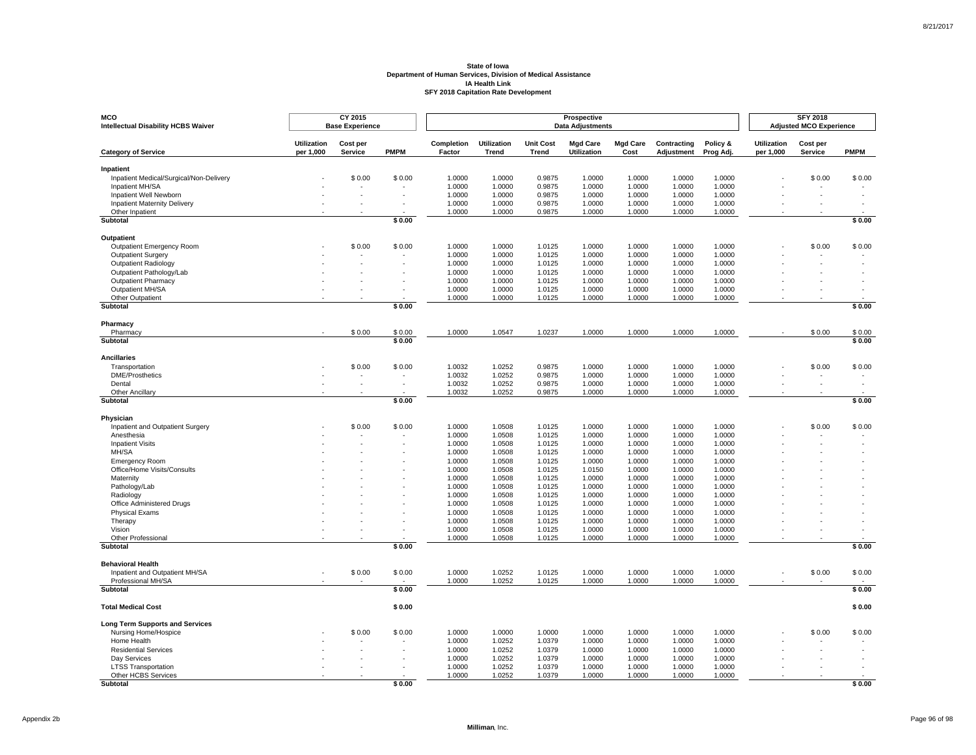| <b>MCO</b><br><b>Intellectual Disability HCBS Waiver</b> |                                 | CY 2015<br><b>Base Experience</b> |             |                      |                             |                                  | Prospective<br><b>Data Adjustments</b> |                         |                           |                       |                                 | <b>SFY 2018</b><br><b>Adjusted MCO Experience</b> |                          |
|----------------------------------------------------------|---------------------------------|-----------------------------------|-------------|----------------------|-----------------------------|----------------------------------|----------------------------------------|-------------------------|---------------------------|-----------------------|---------------------------------|---------------------------------------------------|--------------------------|
| <b>Category of Service</b>                               | <b>Utilization</b><br>per 1,000 | Cost per<br>Service               | <b>PMPM</b> | Completion<br>Factor | <b>Utilization</b><br>Trend | <b>Unit Cost</b><br><b>Trend</b> | <b>Mgd Care</b><br><b>Utilization</b>  | <b>Mgd Care</b><br>Cost | Contracting<br>Adjustment | Policy &<br>Prog Adj. | <b>Utilization</b><br>per 1,000 | Cost per<br>Service                               | <b>PMPM</b>              |
| Inpatient                                                |                                 |                                   |             |                      |                             |                                  |                                        |                         |                           |                       |                                 |                                                   |                          |
| Inpatient Medical/Surgical/Non-Delivery                  |                                 | \$0.00                            | \$0.00      | 1.0000               | 1.0000                      | 0.9875                           | 1.0000                                 | 1.0000                  | 1.0000                    | 1.0000                |                                 | \$0.00                                            | \$0.00                   |
| Inpatient MH/SA                                          |                                 |                                   |             | 1.0000               | 1.0000                      | 0.9875                           | 1.0000                                 | 1.0000                  | 1.0000                    | 1.0000                |                                 |                                                   |                          |
| Inpatient Well Newborn                                   |                                 |                                   | $\sim$      | 1.0000               | 1.0000                      | 0.9875                           | 1.0000                                 | 1.0000                  | 1.0000                    | 1.0000                |                                 |                                                   |                          |
| <b>Inpatient Maternity Delivery</b>                      |                                 |                                   |             | 1.0000               | 1.0000                      | 0.9875                           | 1.0000                                 | 1.0000                  | 1.0000                    | 1.0000                |                                 |                                                   |                          |
| Other Inpatient<br>Subtotal                              |                                 |                                   | \$0.00      | 1.0000               | 1.0000                      | 0.9875                           | 1.0000                                 | 1.0000                  | 1.0000                    | 1.0000                |                                 |                                                   | \$0.00                   |
|                                                          |                                 |                                   |             |                      |                             |                                  |                                        |                         |                           |                       |                                 |                                                   |                          |
| <b>Outpatient</b>                                        |                                 |                                   |             |                      |                             |                                  |                                        |                         |                           |                       |                                 |                                                   |                          |
| Outpatient Emergency Room                                |                                 | \$0.00                            | \$0.00      | 1.0000               | 1.0000                      | 1.0125                           | 1.0000                                 | 1.0000                  | 1.0000                    | 1.0000                |                                 | \$0.00                                            | \$0.00                   |
| Outpatient Surgery                                       |                                 |                                   |             | 1.0000               | 1.0000                      | 1.0125                           | 1.0000                                 | 1.0000                  | 1.0000                    | 1.0000                |                                 |                                                   |                          |
| Outpatient Radiology                                     |                                 |                                   |             | 1.0000               | 1.0000                      | 1.0125                           | 1.0000                                 | 1.0000                  | 1.0000                    | 1.0000                |                                 |                                                   |                          |
| Outpatient Pathology/Lab                                 |                                 |                                   |             | 1.0000               | 1.0000                      | 1.0125                           | 1.0000                                 | 1.0000                  | 1.0000                    | 1.0000                |                                 |                                                   |                          |
| <b>Outpatient Pharmacy</b>                               |                                 |                                   |             | 1.0000               | 1.0000                      | 1.0125                           | 1.0000                                 | 1.0000                  | 1.0000                    | 1.0000                |                                 |                                                   |                          |
| Outpatient MH/SA                                         |                                 |                                   |             | 1.0000               | 1.0000                      | 1.0125                           | 1.0000                                 | 1.0000                  | 1.0000                    | 1.0000                |                                 |                                                   |                          |
| Other Outpatient<br>Subtotal                             |                                 |                                   | \$0.00      | 1.0000               | 1.0000                      | 1.0125                           | 1.0000                                 | 1.0000                  | 1.0000                    | 1.0000                |                                 |                                                   | \$0.00                   |
|                                                          |                                 |                                   |             |                      |                             |                                  |                                        |                         |                           |                       |                                 |                                                   |                          |
| Pharmacy<br>Pharmacy                                     |                                 | \$0.00                            | \$0.00      | 1.0000               | 1.0547                      | 1.0237                           | 1.0000                                 | 1.0000                  | 1.0000                    | 1.0000                |                                 | \$0.00                                            | \$0.00                   |
| Subtotal                                                 |                                 |                                   | \$0.00      |                      |                             |                                  |                                        |                         |                           |                       |                                 |                                                   | \$0.00                   |
|                                                          |                                 |                                   |             |                      |                             |                                  |                                        |                         |                           |                       |                                 |                                                   |                          |
| <b>Ancillaries</b>                                       |                                 |                                   |             |                      |                             |                                  |                                        |                         |                           |                       |                                 |                                                   |                          |
| Transportation                                           |                                 | \$0.00                            | \$0.00      | 1.0032               | 1.0252                      | 0.9875                           | 1.0000                                 | 1.0000                  | 1.0000                    | 1.0000                |                                 | \$0.00                                            | \$0.00                   |
| <b>DME/Prosthetics</b>                                   |                                 |                                   | $\sim$      | 1.0032               | 1.0252                      | 0.9875                           | 1.0000                                 | 1.0000                  | 1.0000                    | 1.0000                |                                 |                                                   | $\overline{\phantom{a}}$ |
| Dental<br>Other Ancillarv                                |                                 |                                   |             | 1.0032<br>1.0032     | 1.0252<br>1.0252            | 0.9875<br>0.9875                 | 1.0000<br>1.0000                       | 1.0000<br>1.0000        | 1.0000<br>1.0000          | 1.0000<br>1.0000      |                                 |                                                   |                          |
| Subtotal                                                 |                                 |                                   | \$0.00      |                      |                             |                                  |                                        |                         |                           |                       |                                 |                                                   | \$0.00                   |
|                                                          |                                 |                                   |             |                      |                             |                                  |                                        |                         |                           |                       |                                 |                                                   |                          |
| Physician<br>Inpatient and Outpatient Surgery            |                                 | \$0.00                            | \$0.00      | 1.0000               | 1.0508                      | 1.0125                           | 1.0000                                 | 1.0000                  | 1.0000                    | 1.0000                |                                 | \$0.00                                            | \$0.00                   |
| Anesthesia                                               |                                 |                                   |             | 1.0000               | 1.0508                      | 1.0125                           | 1.0000                                 | 1.0000                  | 1.0000                    | 1.0000                |                                 |                                                   |                          |
| <b>Inpatient Visits</b>                                  |                                 |                                   |             | 1.0000               | 1.0508                      | 1.0125                           | 1.0000                                 | 1.0000                  | 1.0000                    | 1.0000                |                                 |                                                   |                          |
| MH/SA                                                    |                                 |                                   |             | 1.0000               | 1.0508                      | 1.0125                           | 1.0000                                 | 1.0000                  | 1.0000                    | 1.0000                |                                 |                                                   |                          |
| <b>Emergency Room</b>                                    |                                 |                                   |             | 1.0000               | 1.0508                      | 1.0125                           | 1.0000                                 | 1.0000                  | 1.0000                    | 1.0000                |                                 |                                                   |                          |
| Office/Home Visits/Consults                              |                                 |                                   |             | 1.0000               | 1.0508                      | 1.0125                           | 1.0150                                 | 1.0000                  | 1.0000                    | 1.0000                |                                 |                                                   |                          |
| Maternity                                                |                                 |                                   |             | 1.0000               | 1.0508                      | 1.0125                           | 1.0000                                 | 1.0000                  | 1.0000                    | 1.0000                |                                 |                                                   |                          |
| Pathology/Lab                                            |                                 |                                   |             | 1.0000               | 1.0508                      | 1.0125                           | 1.0000                                 | 1.0000                  | 1.0000                    | 1.0000                |                                 |                                                   |                          |
| Radiology                                                |                                 |                                   |             | 1.0000               | 1.0508                      | 1.0125                           | 1.0000                                 | 1.0000                  | 1.0000                    | 1.0000                |                                 |                                                   |                          |
| Office Administered Drugs                                |                                 |                                   |             | 1.0000               | 1.0508                      | 1.0125                           | 1.0000                                 | 1.0000                  | 1.0000                    | 1.0000                |                                 |                                                   |                          |
| <b>Physical Exams</b>                                    |                                 |                                   |             | 1.0000               | 1.0508                      | 1.0125                           | 1.0000                                 | 1.0000                  | 1.0000                    | 1.0000                |                                 |                                                   |                          |
| Therapy                                                  |                                 |                                   |             | 1.0000               | 1.0508                      | 1.0125                           | 1.0000                                 | 1.0000                  | 1.0000                    | 1.0000                |                                 |                                                   |                          |
| Vision                                                   |                                 |                                   |             | 1.0000               | 1.0508                      | 1.0125                           | 1.0000                                 | 1.0000                  | 1.0000                    | 1.0000                |                                 |                                                   |                          |
| Other Professional                                       |                                 |                                   |             | 1.0000               | 1.0508                      | 1.0125                           | 1.0000                                 | 1.0000                  | 1.0000                    | 1.0000                |                                 |                                                   |                          |
| <b>Subtotal</b>                                          |                                 |                                   | \$0.00      |                      |                             |                                  |                                        |                         |                           |                       |                                 |                                                   | \$0.00                   |
| <b>Behavioral Health</b>                                 |                                 |                                   |             |                      |                             |                                  |                                        |                         |                           |                       |                                 |                                                   |                          |
| Inpatient and Outpatient MH/SA                           |                                 | \$0.00                            | \$0.00      | 1.0000               | 1.0252                      | 1.0125                           | 1.0000                                 | 1.0000                  | 1.0000                    | 1.0000                |                                 | \$0.00                                            | \$0.00                   |
| Professional MH/SA                                       |                                 |                                   |             | 1.0000               | 1.0252                      | 1.0125                           | 1.0000                                 | 1.0000                  | 1.0000                    | 1.0000                |                                 |                                                   |                          |
| Subtotal                                                 |                                 |                                   | \$0.00      |                      |                             |                                  |                                        |                         |                           |                       |                                 |                                                   | \$0.00                   |
| <b>Total Medical Cost</b>                                |                                 |                                   | \$0.00      |                      |                             |                                  |                                        |                         |                           |                       |                                 |                                                   | \$0.00                   |
| <b>Long Term Supports and Services</b>                   |                                 |                                   |             |                      |                             |                                  |                                        |                         |                           |                       |                                 |                                                   |                          |
| Nursing Home/Hospice                                     |                                 | \$0.00                            | \$0.00      | 1.0000               | 1.0000                      | 1.0000                           | 1.0000                                 | 1.0000                  | 1.0000                    | 1.0000                |                                 | \$0.00                                            | \$0.00                   |
| Home Health                                              |                                 |                                   |             | 1.0000               | 1.0252                      | 1.0379                           | 1.0000                                 | 1.0000                  | 1.0000                    | 1.0000                |                                 |                                                   |                          |
| <b>Residential Services</b>                              |                                 |                                   | $\sim$      | 1.0000               | 1.0252                      | 1.0379                           | 1.0000                                 | 1.0000                  | 1.0000                    | 1.0000                |                                 |                                                   |                          |
| Day Services                                             |                                 |                                   |             | 1.0000               | 1.0252                      | 1.0379                           | 1.0000                                 | 1.0000                  | 1.0000                    | 1.0000                |                                 |                                                   |                          |
| <b>LTSS Transportation</b>                               |                                 |                                   |             | 1.0000               | 1.0252                      | 1.0379                           | 1.0000                                 | 1.0000                  | 1.0000                    | 1.0000                |                                 |                                                   |                          |
| Other HCBS Services                                      |                                 |                                   |             | 1.0000               | 1.0252                      | 1.0379                           | 1.0000                                 | 1.0000                  | 1.0000                    | 1.0000                |                                 |                                                   |                          |
| Subtotal                                                 |                                 |                                   | \$0.00      |                      |                             |                                  |                                        |                         |                           |                       |                                 |                                                   | \$0.00                   |

Page 96 of 98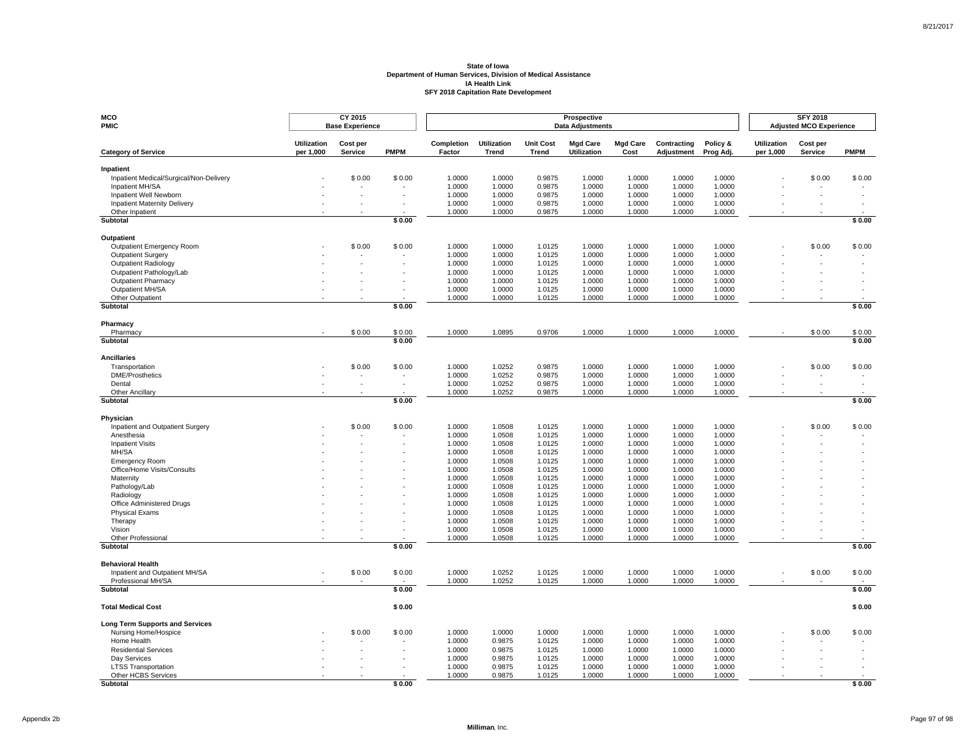| <b>MCO</b><br><b>PMIC</b>                            |                                 | CY 2015<br><b>Base Experience</b> |             |                      |                             | Prospective<br><b>Data Adjustments</b> |                                       | <b>SFY 2018</b><br><b>Adjusted MCO Experience</b> |                           |                       |                                 |                     |             |
|------------------------------------------------------|---------------------------------|-----------------------------------|-------------|----------------------|-----------------------------|----------------------------------------|---------------------------------------|---------------------------------------------------|---------------------------|-----------------------|---------------------------------|---------------------|-------------|
| <b>Category of Service</b>                           | <b>Utilization</b><br>per 1,000 | Cost per<br>Service               | <b>PMPM</b> | Completion<br>Factor | <b>Utilization</b><br>Trend | <b>Unit Cost</b><br><b>Trend</b>       | <b>Mgd Care</b><br><b>Utilization</b> | <b>Mgd Care</b><br>Cost                           | Contracting<br>Adjustment | Policy &<br>Prog Adj. | <b>Utilization</b><br>per 1,000 | Cost per<br>Service | <b>PMPM</b> |
| Inpatient                                            |                                 |                                   |             |                      |                             |                                        |                                       |                                                   |                           |                       |                                 |                     |             |
| Inpatient Medical/Surgical/Non-Delivery              |                                 | \$0.00                            | \$0.00      | 1.0000               | 1.0000                      | 0.9875                                 | 1.0000                                | 1.0000                                            | 1.0000                    | 1.0000                |                                 | \$0.00              | \$0.00      |
| Inpatient MH/SA                                      |                                 |                                   |             | 1.0000               | 1.0000                      | 0.9875                                 | 1.0000                                | 1.0000                                            | 1.0000                    | 1.0000                |                                 |                     |             |
| Inpatient Well Newborn                               |                                 |                                   |             | 1.0000               | 1.0000                      | 0.9875                                 | 1.0000                                | 1.0000                                            | 1.0000                    | 1.0000                |                                 |                     |             |
| Inpatient Maternity Delivery                         |                                 |                                   |             | 1.0000               | 1.0000                      | 0.9875                                 | 1.0000                                | 1.0000                                            | 1.0000                    | 1.0000                |                                 |                     |             |
| Other Inpatient<br>Subtotal                          |                                 |                                   | \$0.00      | 1.0000               | 1.0000                      | 0.9875                                 | 1.0000                                | 1.0000                                            | 1.0000                    | 1.0000                |                                 |                     | \$0.00      |
|                                                      |                                 |                                   |             |                      |                             |                                        |                                       |                                                   |                           |                       |                                 |                     |             |
| Outpatient                                           |                                 |                                   |             |                      |                             | 1.0125                                 | 1.0000                                |                                                   |                           |                       |                                 |                     |             |
| Outpatient Emergency Room<br>Outpatient Surgery      |                                 | \$0.00                            | \$0.00      | 1.0000<br>1.0000     | 1.0000<br>1.0000            | 1.0125                                 | 1.0000                                | 1.0000<br>1.0000                                  | 1.0000<br>1.0000          | 1.0000<br>1.0000      |                                 | \$0.00              | \$0.00      |
| <b>Outpatient Radiology</b>                          |                                 |                                   |             | 1.0000               | 1.0000                      | 1.0125                                 | 1.0000                                | 1.0000                                            | 1.0000                    | 1.0000                |                                 |                     |             |
| Outpatient Pathology/Lab                             |                                 |                                   |             | 1.0000               | 1.0000                      | 1.0125                                 | 1.0000                                | 1.0000                                            | 1.0000                    | 1.0000                |                                 |                     |             |
| <b>Outpatient Pharmacy</b>                           |                                 |                                   |             | 1.0000               | 1.0000                      | 1.0125                                 | 1.0000                                | 1.0000                                            | 1.0000                    | 1.0000                |                                 |                     |             |
| Outpatient MH/SA                                     |                                 |                                   |             | 1.0000               | 1.0000                      | 1.0125                                 | 1.0000                                | 1.0000                                            | 1.0000                    | 1.0000                |                                 |                     |             |
| Other Outpatient                                     |                                 |                                   |             | 1.0000               | 1.0000                      | 1.0125                                 | 1.0000                                | 1.0000                                            | 1.0000                    | 1.0000                |                                 |                     |             |
| <b>Subtotal</b>                                      |                                 |                                   | \$0.00      |                      |                             |                                        |                                       |                                                   |                           |                       |                                 |                     | \$0.00      |
| Pharmacy                                             |                                 |                                   |             |                      |                             |                                        |                                       |                                                   |                           |                       |                                 |                     |             |
| Pharmacy                                             |                                 | \$0.00                            | \$0.00      | 1.0000               | 1.0895                      | 0.9706                                 | 1.0000                                | 1.0000                                            | 1.0000                    | 1.0000                |                                 | \$0.00              | \$0.00      |
| Subtotal                                             |                                 |                                   | \$0.00      |                      |                             |                                        |                                       |                                                   |                           |                       |                                 |                     | \$0.00      |
| <b>Ancillaries</b>                                   |                                 |                                   |             |                      |                             |                                        |                                       |                                                   |                           |                       |                                 |                     |             |
| Transportation                                       |                                 | \$0.00                            | \$0.00      | 1.0000               | 1.0252                      | 0.9875                                 | 1.0000                                | 1.0000                                            | 1.0000                    | 1.0000                |                                 | \$0.00              | \$0.00      |
| <b>DME/Prosthetics</b>                               |                                 |                                   |             | 1.0000               | 1.0252                      | 0.9875                                 | 1.0000                                | 1.0000                                            | 1.0000                    | 1.0000                |                                 |                     |             |
| Dental                                               |                                 |                                   |             | 1.0000               | 1.0252                      | 0.9875                                 | 1.0000                                | 1.0000                                            | 1.0000                    | 1.0000                |                                 |                     |             |
| Other Ancillary<br>Subtotal                          |                                 |                                   | \$0.00      | 1.0000               | 1.0252                      | 0.9875                                 | 1.0000                                | 1.0000                                            | 1.0000                    | 1.0000                |                                 |                     | \$0.00      |
|                                                      |                                 |                                   |             |                      |                             |                                        |                                       |                                                   |                           |                       |                                 |                     |             |
| Physician                                            |                                 |                                   |             |                      |                             |                                        |                                       |                                                   |                           |                       |                                 |                     |             |
| Inpatient and Outpatient Surgery                     |                                 | \$0.00                            | \$0.00      | 1.0000               | 1.0508                      | 1.0125                                 | 1.0000                                | 1.0000                                            | 1.0000                    | 1.0000                |                                 | \$0.00              | \$0.00      |
| Anesthesia<br><b>Inpatient Visits</b>                |                                 |                                   |             | 1.0000<br>1.0000     | 1.0508<br>1.0508            | 1.0125<br>1.0125                       | 1.0000<br>1.0000                      | 1.0000<br>1.0000                                  | 1.0000<br>1.0000          | 1.0000<br>1.0000      |                                 |                     |             |
| MH/SA                                                |                                 |                                   |             | 1.0000               | 1.0508                      | 1.0125                                 | 1.0000                                | 1.0000                                            | 1.0000                    | 1.0000                |                                 |                     |             |
| <b>Emergency Room</b>                                |                                 |                                   |             | 1.0000               | 1.0508                      | 1.0125                                 | 1.0000                                | 1.0000                                            | 1.0000                    | 1.0000                |                                 |                     |             |
| Office/Home Visits/Consults                          |                                 |                                   |             | 1.0000               | 1.0508                      | 1.0125                                 | 1.0000                                | 1.0000                                            | 1.0000                    | 1.0000                |                                 |                     |             |
| Maternity                                            |                                 |                                   |             | 1.0000               | 1.0508                      | 1.0125                                 | 1.0000                                | 1.0000                                            | 1.0000                    | 1.0000                |                                 |                     |             |
| Pathology/Lab                                        |                                 |                                   |             | 1.0000               | 1.0508                      | 1.0125                                 | 1.0000                                | 1.0000                                            | 1.0000                    | 1.0000                |                                 |                     |             |
| Radiology                                            |                                 |                                   |             | 1.0000               | 1.0508                      | 1.0125                                 | 1.0000                                | 1.0000                                            | 1.0000                    | 1.0000                |                                 |                     |             |
| Office Administered Drugs                            |                                 |                                   |             | 1.0000               | 1.0508                      | 1.0125                                 | 1.0000                                | 1.0000                                            | 1.0000                    | 1.0000                |                                 |                     |             |
| <b>Physical Exams</b>                                |                                 |                                   |             | 1.0000               | 1.0508                      | 1.0125                                 | 1.0000                                | 1.0000                                            | 1.0000                    | 1.0000                |                                 |                     |             |
| Therapy                                              |                                 |                                   |             | 1.0000               | 1.0508                      | 1.0125                                 | 1.0000                                | 1.0000                                            | 1.0000                    | 1.0000                |                                 |                     |             |
| Vision                                               |                                 |                                   |             | 1.0000<br>1.0000     | 1.0508                      | 1.0125                                 | 1.0000                                | 1.0000                                            | 1.0000                    | 1.0000<br>1.0000      |                                 |                     |             |
| Other Professional<br>Subtotal                       |                                 |                                   | \$0.00      |                      | 1.0508                      | 1.0125                                 | 1.0000                                | 1.0000                                            | 1.0000                    |                       |                                 |                     | \$0.00      |
|                                                      |                                 |                                   |             |                      |                             |                                        |                                       |                                                   |                           |                       |                                 |                     |             |
| <b>Behavioral Health</b>                             |                                 |                                   |             |                      |                             |                                        |                                       |                                                   |                           |                       |                                 |                     |             |
| Inpatient and Outpatient MH/SA<br>Professional MH/SA |                                 | \$0.00                            | \$0.00      | 1.0000<br>1.0000     | 1.0252<br>1.0252            | 1.0125<br>1.0125                       | 1.0000<br>1.0000                      | 1.0000<br>1.0000                                  | 1.0000<br>1.0000          | 1.0000<br>1.0000      |                                 | \$0.00              | \$0.00      |
| <b>Subtotal</b>                                      |                                 |                                   | \$0.00      |                      |                             |                                        |                                       |                                                   |                           |                       |                                 |                     | \$0.00      |
| <b>Total Medical Cost</b>                            |                                 |                                   | \$0.00      |                      |                             |                                        |                                       |                                                   |                           |                       |                                 |                     | \$0.00      |
| <b>Long Term Supports and Services</b>               |                                 |                                   |             |                      |                             |                                        |                                       |                                                   |                           |                       |                                 |                     |             |
| Nursing Home/Hospice                                 |                                 | \$0.00                            | \$0.00      | 1.0000               | 1.0000                      | 1.0000                                 | 1.0000                                | 1.0000                                            | 1.0000                    | 1.0000                |                                 | \$0.00              | \$0.00      |
| Home Health                                          |                                 |                                   |             | 1.0000               | 0.9875                      | 1.0125                                 | 1.0000                                | 1.0000                                            | 1.0000                    | 1.0000                |                                 |                     |             |
| <b>Residential Services</b>                          |                                 |                                   |             | 1.0000               | 0.9875                      | 1.0125                                 | 1.0000                                | 1.0000                                            | 1.0000                    | 1.0000                |                                 |                     |             |
| Day Services                                         |                                 |                                   |             | 1.0000               | 0.9875                      | 1.0125                                 | 1.0000                                | 1.0000                                            | 1.0000                    | 1.0000                |                                 |                     |             |
| <b>LTSS Transportation</b>                           |                                 |                                   |             | 1.0000               | 0.9875                      | 1.0125                                 | 1.0000                                | 1.0000                                            | 1.0000                    | 1.0000                |                                 |                     |             |
| Other HCBS Services                                  |                                 |                                   |             | 1.0000               | 0.9875                      | 1.0125                                 | 1.0000                                | 1.0000                                            | 1.0000                    | 1.0000                |                                 |                     |             |
| <b>Subtotal</b>                                      |                                 |                                   | \$0.00      |                      |                             |                                        |                                       |                                                   |                           |                       |                                 |                     | \$0.00      |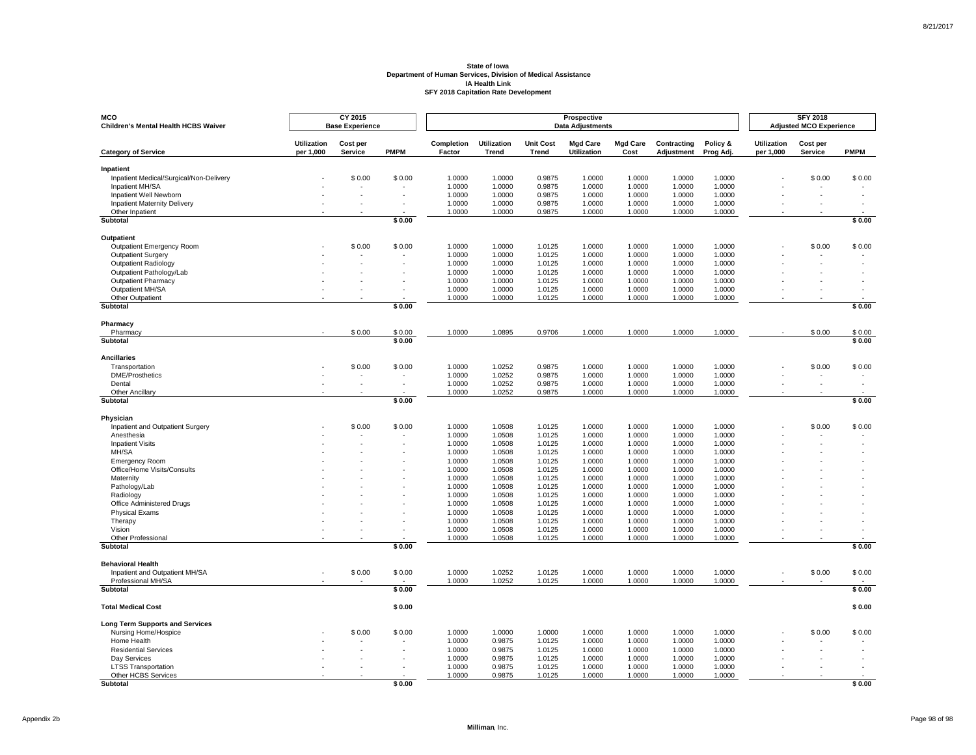| <b>MCO</b><br>Children's Mental Health HCBS Waiver         |                                 | CY 2015<br><b>Base Experience</b> |             | Prospective<br><b>Data Adjustments</b> |                             |                           |                                       |                         |                           |                       |                                 | <b>SFY 2018</b><br><b>Adjusted MCO Experience</b> |             |
|------------------------------------------------------------|---------------------------------|-----------------------------------|-------------|----------------------------------------|-----------------------------|---------------------------|---------------------------------------|-------------------------|---------------------------|-----------------------|---------------------------------|---------------------------------------------------|-------------|
| <b>Category of Service</b>                                 | <b>Utilization</b><br>per 1,000 | Cost per<br>Service               | <b>PMPM</b> | Completion<br>Factor                   | <b>Utilization</b><br>Trend | <b>Unit Cost</b><br>Trend | <b>Mgd Care</b><br><b>Utilization</b> | <b>Mgd Care</b><br>Cost | Contracting<br>Adjustment | Policy &<br>Prog Adj. | <b>Utilization</b><br>per 1,000 | Cost per<br>Service                               | <b>PMPM</b> |
|                                                            |                                 |                                   |             |                                        |                             |                           |                                       |                         |                           |                       |                                 |                                                   |             |
| Inpatient                                                  |                                 | \$0.00                            | \$0.00      | 1.0000                                 | 1.0000                      | 0.9875                    | 1.0000                                | 1.0000                  | 1.0000                    | 1.0000                |                                 | \$0.00                                            | \$0.00      |
| Inpatient Medical/Surgical/Non-Delivery<br>Inpatient MH/SA |                                 |                                   |             | 1.0000                                 | 1.0000                      | 0.9875                    | 1.0000                                | 1.0000                  | 1.0000                    | 1.0000                |                                 |                                                   |             |
| Inpatient Well Newborn                                     |                                 |                                   |             | 1.0000                                 | 1.0000                      | 0.9875                    | 1.0000                                | 1.0000                  | 1.0000                    | 1.0000                |                                 |                                                   |             |
| <b>Inpatient Maternity Delivery</b>                        |                                 |                                   |             | 1.0000                                 | 1.0000                      | 0.9875                    | 1.0000                                | 1.0000                  | 1.0000                    | 1.0000                |                                 |                                                   |             |
| Other Inpatient                                            |                                 |                                   |             | 1.0000                                 | 1.0000                      | 0.9875                    | 1.0000                                | 1.0000                  | 1.0000                    | 1.0000                |                                 |                                                   |             |
| Subtotal                                                   |                                 |                                   | \$0.00      |                                        |                             |                           |                                       |                         |                           |                       |                                 |                                                   | \$0.00      |
| Outpatient                                                 |                                 |                                   |             |                                        |                             |                           |                                       |                         |                           |                       |                                 |                                                   |             |
| Outpatient Emergency Room                                  |                                 | \$0.00                            | \$0.00      | 1.0000                                 | 1.0000                      | 1.0125                    | 1.0000                                | 1.0000                  | 1.0000                    | 1.0000                |                                 | \$0.00                                            | \$0.00      |
| <b>Outpatient Surgery</b>                                  |                                 |                                   |             | 1.0000                                 | 1.0000                      | 1.0125                    | 1.0000                                | 1.0000                  | 1.0000                    | 1.0000                |                                 |                                                   |             |
| <b>Outpatient Radiology</b>                                |                                 |                                   |             | 1.0000                                 | 1.0000                      | 1.0125                    | 1.0000                                | 1.0000                  | 1.0000                    | 1.0000                |                                 |                                                   |             |
| Outpatient Pathology/Lab<br><b>Outpatient Pharmacy</b>     |                                 |                                   |             | 1.0000<br>1.0000                       | 1.0000<br>1.0000            | 1.0125<br>1.0125          | 1.0000<br>1.0000                      | 1.0000<br>1.0000        | 1.0000<br>1.0000          | 1.0000<br>1.0000      |                                 |                                                   |             |
| Outpatient MH/SA                                           |                                 |                                   |             | 1.0000                                 | 1.0000                      | 1.0125                    | 1.0000                                | 1.0000                  | 1.0000                    | 1.0000                |                                 |                                                   |             |
| Other Outpatient                                           |                                 |                                   |             | 1.0000                                 | 1.0000                      | 1.0125                    | 1.0000                                | 1.0000                  | 1.0000                    | 1.0000                |                                 |                                                   |             |
| Subtotal                                                   |                                 |                                   | \$0.00      |                                        |                             |                           |                                       |                         |                           |                       |                                 |                                                   | \$0.00      |
|                                                            |                                 |                                   |             |                                        |                             |                           |                                       |                         |                           |                       |                                 |                                                   |             |
| Pharmacy<br>Pharmacy                                       |                                 | \$0.00                            | \$0.00      | 1.0000                                 | 1.0895                      | 0.9706                    | 1.0000                                | 1.0000                  | 1.0000                    | 1.0000                |                                 | \$0.00                                            | \$0.00      |
| Subtotal                                                   |                                 |                                   | \$0.00      |                                        |                             |                           |                                       |                         |                           |                       |                                 |                                                   | \$0.00      |
|                                                            |                                 |                                   |             |                                        |                             |                           |                                       |                         |                           |                       |                                 |                                                   |             |
| <b>Ancillaries</b>                                         |                                 |                                   |             |                                        |                             |                           |                                       |                         |                           |                       |                                 |                                                   |             |
| Transportation<br><b>DME/Prosthetics</b>                   |                                 | \$0.00                            | \$0.00      | 1.0000<br>1.0000                       | 1.0252<br>1.0252            | 0.9875<br>0.9875          | 1.0000<br>1.0000                      | 1.0000<br>1.0000        | 1.0000<br>1.0000          | 1.0000<br>1.0000      |                                 | \$0.00<br>$\overline{\phantom{a}}$                | \$0.00      |
| Dental                                                     |                                 |                                   |             | 1.0000                                 | 1.0252                      | 0.9875                    | 1.0000                                | 1.0000                  | 1.0000                    | 1.0000                |                                 |                                                   |             |
| Other Ancillary                                            |                                 |                                   |             | 1.0000                                 | 1.0252                      | 0.9875                    | 1.0000                                | 1.0000                  | 1.0000                    | 1.0000                |                                 |                                                   |             |
| Subtotal                                                   |                                 |                                   | \$0.00      |                                        |                             |                           |                                       |                         |                           |                       |                                 |                                                   | \$0.00      |
| Physician                                                  |                                 |                                   |             |                                        |                             |                           |                                       |                         |                           |                       |                                 |                                                   |             |
| Inpatient and Outpatient Surgery                           |                                 | \$0.00                            | \$0.00      | 1.0000                                 | 1.0508                      | 1.0125                    | 1.0000                                | 1.0000                  | 1.0000                    | 1.0000                |                                 | \$0.00                                            | \$0.00      |
| Anesthesia                                                 |                                 |                                   |             | 1.0000                                 | 1.0508                      | 1.0125                    | 1.0000                                | 1.0000                  | 1.0000                    | 1.0000                |                                 |                                                   |             |
| <b>Inpatient Visits</b>                                    |                                 |                                   |             | 1.0000                                 | 1.0508                      | 1.0125                    | 1.0000                                | 1.0000                  | 1.0000                    | 1.0000                |                                 |                                                   |             |
| MH/SA                                                      |                                 |                                   |             | 1.0000                                 | 1.0508                      | 1.0125                    | 1.0000                                | 1.0000                  | 1.0000                    | 1.0000                |                                 |                                                   |             |
| <b>Emergency Room</b>                                      |                                 |                                   |             | 1.0000                                 | 1.0508                      | 1.0125                    | 1.0000                                | 1.0000                  | 1.0000                    | 1.0000                |                                 |                                                   |             |
| Office/Home Visits/Consults<br>Maternity                   |                                 |                                   |             | 1.0000<br>1.0000                       | 1.0508<br>1.0508            | 1.0125<br>1.0125          | 1.0000<br>1.0000                      | 1.0000<br>1.0000        | 1.0000<br>1.0000          | 1.0000<br>1.0000      |                                 |                                                   |             |
| Pathology/Lab                                              |                                 |                                   |             | 1.0000                                 | 1.0508                      | 1.0125                    | 1.0000                                | 1.0000                  | 1.0000                    | 1.0000                |                                 |                                                   |             |
| Radiology                                                  |                                 |                                   |             | 1.0000                                 | 1.0508                      | 1.0125                    | 1.0000                                | 1.0000                  | 1.0000                    | 1.0000                |                                 |                                                   |             |
| <b>Office Administered Drugs</b>                           |                                 |                                   |             | 1.0000                                 | 1.0508                      | 1.0125                    | 1.0000                                | 1.0000                  | 1.0000                    | 1.0000                |                                 |                                                   |             |
| <b>Physical Exams</b>                                      |                                 |                                   |             | 1.0000                                 | 1.0508                      | 1.0125                    | 1.0000                                | 1.0000                  | 1.0000                    | 1.0000                |                                 |                                                   |             |
| Therapy                                                    |                                 |                                   |             | 1.0000                                 | 1.0508                      | 1.0125                    | 1.0000                                | 1.0000                  | 1.0000                    | 1.0000                |                                 |                                                   |             |
| Vision                                                     |                                 |                                   |             | 1.0000                                 | 1.0508                      | 1.0125                    | 1.0000                                | 1.0000                  | 1.0000                    | 1.0000                |                                 |                                                   |             |
| Other Professional<br><b>Subtotal</b>                      |                                 |                                   | \$0.00      | 1.0000                                 | 1.0508                      | 1.0125                    | 1.0000                                | 1.0000                  | 1.0000                    | 1.0000                |                                 |                                                   | \$0.00      |
|                                                            |                                 |                                   |             |                                        |                             |                           |                                       |                         |                           |                       |                                 |                                                   |             |
| <b>Behavioral Health</b>                                   |                                 |                                   |             |                                        |                             |                           |                                       |                         |                           |                       |                                 |                                                   |             |
| Inpatient and Outpatient MH/SA                             |                                 | \$0.00                            | \$0.00      | 1.0000                                 | 1.0252                      | 1.0125                    | 1.0000                                | 1.0000                  | 1.0000                    | 1.0000                |                                 | \$0.00                                            | \$0.00      |
| Professional MH/SA<br>Subtotal                             |                                 |                                   | \$0.00      | 1.0000                                 | 1.0252                      | 1.0125                    | 1.0000                                | 1.0000                  | 1.0000                    | 1.0000                |                                 |                                                   | \$0.00      |
|                                                            |                                 |                                   |             |                                        |                             |                           |                                       |                         |                           |                       |                                 |                                                   |             |
| <b>Total Medical Cost</b>                                  |                                 |                                   | \$0.00      |                                        |                             |                           |                                       |                         |                           |                       |                                 |                                                   | \$0.00      |
| <b>Long Term Supports and Services</b>                     |                                 |                                   |             |                                        |                             |                           |                                       |                         |                           |                       |                                 |                                                   |             |
| Nursing Home/Hospice                                       |                                 | \$0.00                            | \$0.00      | 1.0000                                 | 1.0000                      | 1.0000                    | 1.0000                                | 1.0000                  | 1.0000                    | 1.0000                |                                 | \$0.00                                            | \$0.00      |
| Home Health                                                |                                 |                                   |             | 1.0000                                 | 0.9875                      | 1.0125                    | 1.0000                                | 1.0000                  | 1.0000                    | 1.0000                |                                 |                                                   |             |
| <b>Residential Services</b><br>Day Services                |                                 |                                   |             | 1.0000<br>1.0000                       | 0.9875<br>0.9875            | 1.0125<br>1.0125          | 1.0000<br>1.0000                      | 1.0000<br>1.0000        | 1.0000<br>1.0000          | 1.0000<br>1.0000      |                                 |                                                   |             |
| <b>LTSS Transportation</b>                                 |                                 |                                   |             | 1.0000                                 | 0.9875                      | 1.0125                    | 1.0000                                | 1.0000                  | 1.0000                    | 1.0000                |                                 |                                                   |             |
| Other HCBS Services                                        |                                 |                                   |             | 1.0000                                 | 0.9875                      | 1.0125                    | 1.0000                                | 1.0000                  | 1.0000                    | 1.0000                |                                 |                                                   |             |
| <b>Subtotal</b>                                            |                                 |                                   | \$0.00      |                                        |                             |                           |                                       |                         |                           |                       |                                 |                                                   | \$0.00      |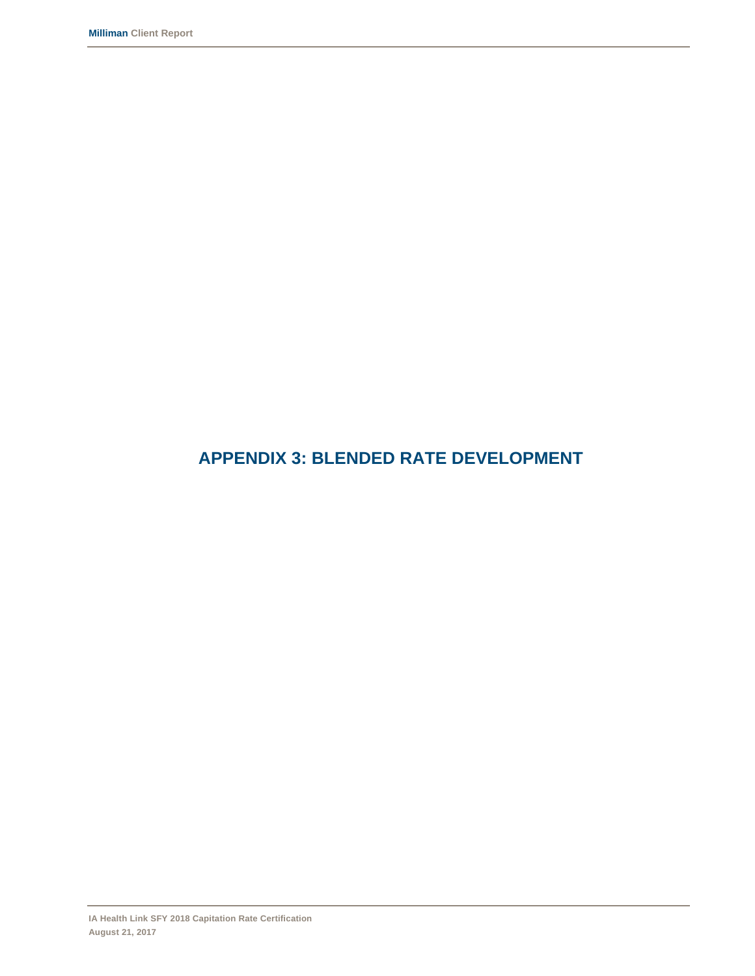### **APPENDIX 3: BLENDED RATE DEVELOPMENT**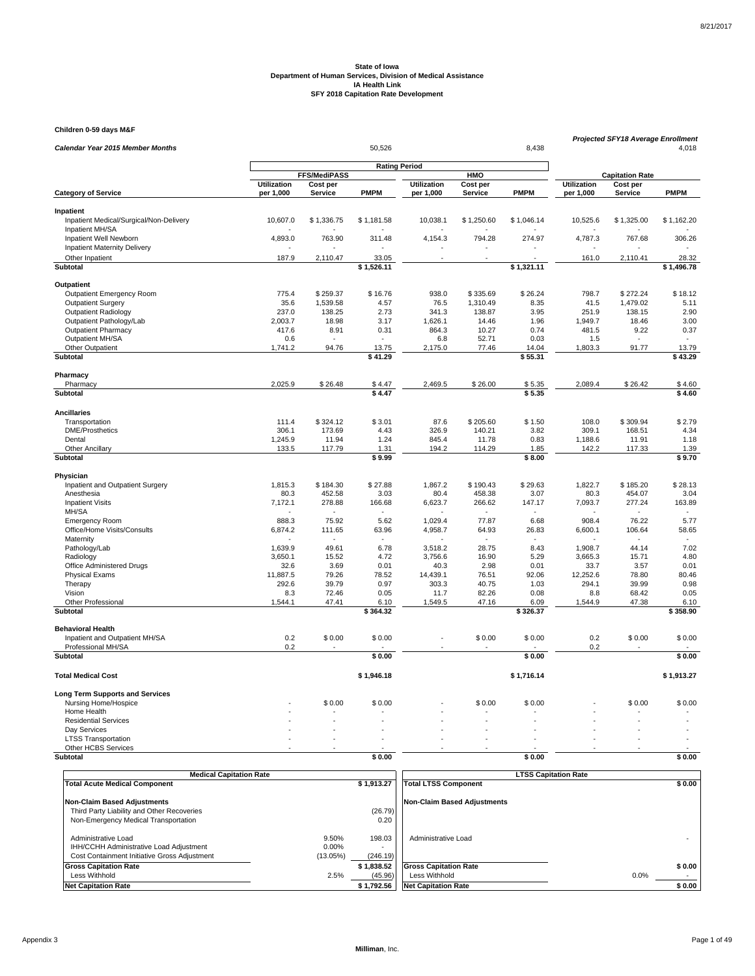**Children 0-59 days M&F**

| Calendar Year 2015 Member Months            |                    |                     | 50,526               |                    |            | 8,438       | Projected SFY18 Average Enrollment<br>4,018 |                        |             |  |
|---------------------------------------------|--------------------|---------------------|----------------------|--------------------|------------|-------------|---------------------------------------------|------------------------|-------------|--|
|                                             |                    |                     |                      |                    |            |             |                                             |                        |             |  |
|                                             |                    | <b>FFS/MediPASS</b> | <b>Rating Period</b> |                    | HMO        |             |                                             | <b>Capitation Rate</b> |             |  |
|                                             | <b>Utilization</b> | Cost per            |                      | <b>Utilization</b> | Cost per   |             | <b>Utilization</b>                          | Cost per               |             |  |
| <b>Category of Service</b>                  | per 1,000          | <b>Service</b>      | PMPM                 | per 1,000          | Service    | <b>PMPM</b> | per 1,000                                   | <b>Service</b>         | <b>PMPM</b> |  |
| Inpatient                                   |                    |                     |                      |                    |            |             |                                             |                        |             |  |
| Inpatient Medical/Surgical/Non-Delivery     | 10,607.0           | \$1,336.75          | \$1,181.58           | 10,038.1           | \$1,250.60 | \$1,046.14  | 10,525.6                                    | \$1,325.00             | \$1,162.20  |  |
| Inpatient MH/SA<br>Inpatient Well Newborn   | 4,893.0            | 763.90              | 311.48               | 4,154.3            | 794.28     | 274.97      | 4,787.3                                     | 767.68                 | 306.26      |  |
| Inpatient Maternity Delivery                |                    |                     |                      |                    |            |             |                                             |                        | ٠           |  |
| Other Inpatient                             | 187.9              | 2,110.47            | 33.05                |                    |            |             | 161.0                                       | 2,110.41               | 28.32       |  |
| Subtotal                                    |                    |                     | \$1,526.11           |                    |            | \$1,321.11  |                                             |                        | \$1,496.78  |  |
|                                             |                    |                     |                      |                    |            |             |                                             |                        |             |  |
| Outpatient<br>Outpatient Emergency Room     | 775.4              | \$259.37            | \$16.76              | 938.0              | \$335.69   | \$26.24     | 798.7                                       | \$272.24               | \$18.12     |  |
| <b>Outpatient Surgery</b>                   | 35.6               | 1,539.58            | 4.57                 | 76.5               | 1,310.49   | 8.35        | 41.5                                        | 1,479.02               | 5.11        |  |
| <b>Outpatient Radiology</b>                 | 237.0              | 138.25              | 2.73                 | 341.3              | 138.87     | 3.95        | 251.9                                       | 138.15                 | 2.90        |  |
| Outpatient Pathology/Lab                    | 2,003.7            | 18.98               | 3.17                 | 1,626.1            | 14.46      | 1.96        | 1,949.7                                     | 18.46                  | 3.00        |  |
| <b>Outpatient Pharmacy</b>                  | 417.6              | 8.91                | 0.31                 | 864.3              | 10.27      | 0.74        | 481.5                                       | 9.22                   | 0.37        |  |
| Outpatient MH/SA                            | 0.6                |                     |                      | 6.8                | 52.71      | 0.03        | 1.5                                         |                        | $\sim$      |  |
| Other Outpatient                            | 1,741.2            | 94.76               | 13.75                | 2,175.0            | 77.46      | 14.04       | 1,803.3                                     | 91.77                  | 13.79       |  |
| Subtotal                                    |                    |                     | \$41.29              |                    |            | \$55.31     |                                             |                        | \$43.29     |  |
| Pharmacy                                    |                    |                     |                      |                    |            |             |                                             |                        |             |  |
| Pharmacy                                    | 2,025.9            | \$26.48             | \$4.47               | 2,469.5            | \$26.00    | \$5.35      | 2,089.4                                     | \$26.42                | \$4.60      |  |
| Subtotal                                    |                    |                     | \$4.47               |                    |            | \$5.35      |                                             |                        | \$4.60      |  |
| <b>Ancillaries</b>                          |                    |                     |                      |                    |            |             |                                             |                        |             |  |
| Transportation                              | 111.4              | \$324.12            | \$3.01               | 87.6               | \$205.60   | \$1.50      | 108.0                                       | \$309.94               | \$2.79      |  |
| <b>DME/Prosthetics</b>                      | 306.1              | 173.69              | 4.43                 | 326.9              | 140.21     | 3.82        | 309.1                                       | 168.51                 | 4.34        |  |
| Dental                                      | 1,245.9            | 11.94               | 1.24                 | 845.4              | 11.78      | 0.83        | 1,188.6                                     | 11.91                  | 1.18        |  |
| Other Ancillary                             | 133.5              | 117.79              | 1.31                 | 194.2              | 114.29     | 1.85        | 142.2                                       | 117.33                 | 1.39        |  |
| Subtotal                                    |                    |                     | \$9.99               |                    |            | \$8.00      |                                             |                        | \$9.70      |  |
| Physician                                   |                    |                     |                      |                    |            |             |                                             |                        |             |  |
| Inpatient and Outpatient Surgery            | 1,815.3            | \$184.30            | \$27.88              | 1,867.2            | \$190.43   | \$29.63     | 1,822.7                                     | \$185.20               | \$28.13     |  |
| Anesthesia                                  | 80.3               | 452.58              | 3.03                 | 80.4               | 458.38     | 3.07        | 80.3                                        | 454.07                 | 3.04        |  |
| <b>Inpatient Visits</b>                     | 7,172.1            | 278.88              | 166.68               | 6,623.7            | 266.62     | 147.17      | 7,093.7                                     | 277.24                 | 163.89      |  |
| MH/SA                                       |                    |                     |                      |                    |            |             |                                             |                        | $\sim$      |  |
| <b>Emergency Room</b>                       | 888.3              | 75.92               | 5.62                 | 1,029.4            | 77.87      | 6.68        | 908.4                                       | 76.22                  | 5.77        |  |
| Office/Home Visits/Consults                 | 6,874.2            | 111.65              | 63.96                | 4,958.7            | 64.93      | 26.83       | 6,600.1                                     | 106.64                 | 58.65       |  |
| Maternity<br>Pathology/Lab                  | 1.639.9            | 49.61               | 6.78                 | 3.518.2            | 28.75      | 8.43        | 1.908.7                                     | 44.14                  | 7.02        |  |
| Radiology                                   | 3,650.1            | 15.52               | 4.72                 | 3,756.6            | 16.90      | 5.29        | 3,665.3                                     | 15.71                  | 4.80        |  |
| Office Administered Drugs                   | 32.6               | 3.69                | 0.01                 | 40.3               | 2.98       | 0.01        | 33.7                                        | 3.57                   | 0.01        |  |
| <b>Physical Exams</b>                       | 11,887.5           | 79.26               | 78.52                | 14,439.1           | 76.51      | 92.06       | 12,252.6                                    | 78.80                  | 80.46       |  |
| Therapy                                     | 292.6              | 39.79               | 0.97                 | 303.3              | 40.75      | 1.03        | 294.1                                       | 39.99                  | 0.98        |  |
| Vision                                      | 8.3                | 72.46               | 0.05                 | 11.7               | 82.26      | 0.08        | 8.8                                         | 68.42                  | 0.05        |  |
| Other Professional                          | 1,544.1            | 47.41               | 6.10                 | 1,549.5            | 47.16      | 6.09        | 1,544.9                                     | 47.38                  | 6.10        |  |
| Subtotal                                    |                    |                     | \$364.32             |                    |            | \$326.37    |                                             |                        | \$358.90    |  |
| <b>Behavioral Health</b>                    |                    |                     |                      |                    |            |             |                                             |                        |             |  |
| Inpatient and Outpatient MH/SA              | 0.2                | \$0.00              | \$0.00               |                    | \$0.00     | \$0.00      | 0.2                                         | \$0.00                 | \$0.00      |  |
| Professional MH/SA                          | 0.2                |                     |                      |                    |            |             | 0.2                                         |                        |             |  |
| <b>Subtotal</b>                             |                    |                     | \$0.00               |                    |            | \$0.00      |                                             |                        | \$0.00      |  |
| <b>Total Medical Cost</b>                   |                    |                     | \$1,946.18           |                    |            | \$1,716.14  |                                             |                        | \$1,913.27  |  |
|                                             |                    |                     |                      |                    |            |             |                                             |                        |             |  |
| <b>Long Term Supports and Services</b>      |                    |                     |                      |                    |            |             |                                             |                        |             |  |
| Nursing Home/Hospice                        |                    | \$0.00              | \$0.00               |                    | \$0.00     | \$0.00      |                                             | \$0.00                 | \$0.00      |  |
| Home Health                                 |                    |                     |                      |                    |            |             |                                             |                        |             |  |
| <b>Residential Services</b><br>Day Services |                    |                     |                      |                    |            |             |                                             |                        |             |  |
| <b>LTSS Transportation</b>                  |                    |                     |                      |                    |            |             |                                             |                        |             |  |
| Other HCBS Services                         |                    |                     |                      |                    |            |             |                                             |                        |             |  |
| Subtotal                                    |                    |                     | \$0.00               |                    |            | \$0.00      |                                             |                        | \$0.00      |  |
|                                             |                    |                     |                      |                    |            |             |                                             |                        |             |  |

| <b>Medical Capitation Rate</b>                                                                                 |                            |                    | <b>LTSS Capitation Rate</b>  |        |  |  |  |
|----------------------------------------------------------------------------------------------------------------|----------------------------|--------------------|------------------------------|--------|--|--|--|
| <b>Total Acute Medical Component</b>                                                                           |                            | \$1,913.27         | <b>Total LTSS Component</b>  | \$0.00 |  |  |  |
| <b>Non-Claim Based Adjustments</b>                                                                             |                            |                    | Non-Claim Based Adiustments  |        |  |  |  |
| Third Party Liability and Other Recoveries                                                                     |                            | (26.79)            |                              |        |  |  |  |
| Non-Emergency Medical Transportation                                                                           |                            | 0.20               |                              |        |  |  |  |
| Administrative Load<br>IHH/CCHH Administrative Load Adjustment<br>Cost Containment Initiative Gross Adjustment | 9.50%<br>0.00%<br>(13.05%) | 198.03<br>(246.19) | Administrative Load          |        |  |  |  |
| <b>Gross Capitation Rate</b>                                                                                   |                            | \$1.838.52         | <b>Gross Capitation Rate</b> | \$0.00 |  |  |  |
| Less Withhold                                                                                                  | 2.5%                       | (45.96)            | Less Withhold                | 0.0%   |  |  |  |
| <b>Net Capitation Rate</b>                                                                                     |                            | \$1.792.56         | <b>Net Capitation Rate</b>   | \$0.00 |  |  |  |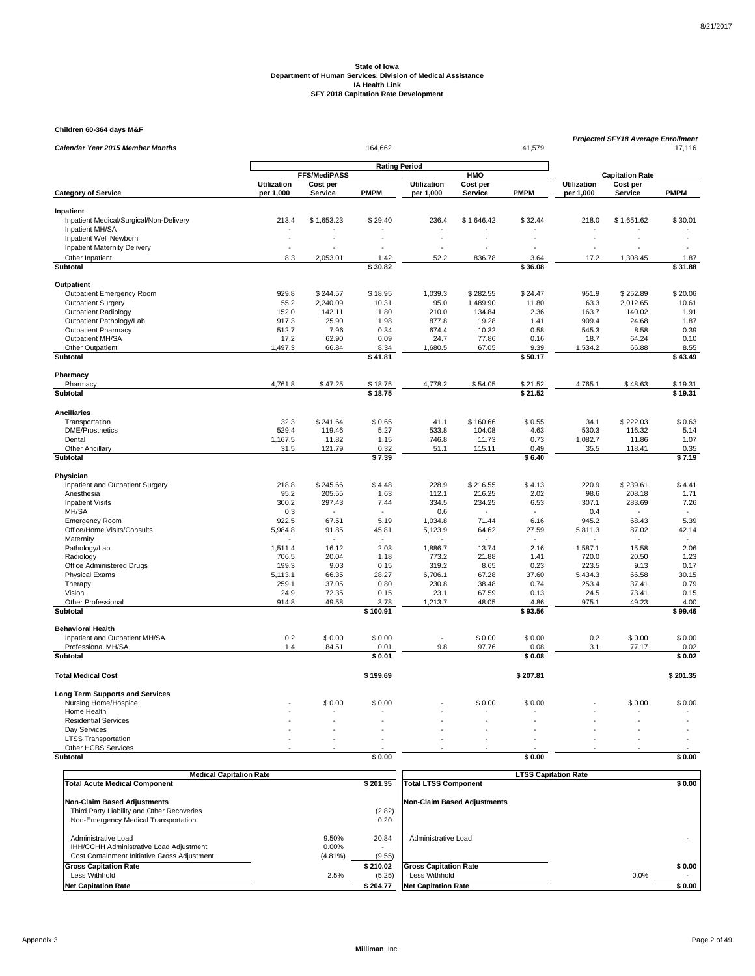**Children 60-364 days M&F**

| Calendar Year 2015 Member Months        |                    |                     | 164,662              |                    |                | 41,579         | <b>Projected SFY18 Average Enrollment</b><br>17,116 |                        |                |
|-----------------------------------------|--------------------|---------------------|----------------------|--------------------|----------------|----------------|-----------------------------------------------------|------------------------|----------------|
|                                         |                    |                     |                      |                    |                |                |                                                     |                        |                |
|                                         |                    | <b>FFS/MediPASS</b> | <b>Rating Period</b> |                    | <b>HMO</b>     |                |                                                     | <b>Capitation Rate</b> |                |
|                                         | <b>Utilization</b> | Cost per            |                      | <b>Utilization</b> | Cost per       |                | <b>Utilization</b>                                  | Cost per               |                |
| <b>Category of Service</b>              | per 1,000          | <b>Service</b>      | <b>PMPM</b>          | per 1,000          | Service        | <b>PMPM</b>    | per 1,000                                           | <b>Service</b>         | <b>PMPM</b>    |
| Inpatient                               |                    |                     |                      |                    |                |                |                                                     |                        |                |
| Inpatient Medical/Surgical/Non-Delivery | 213.4              | \$1,653.23          | \$29.40              | 236.4              | \$1,646.42     | \$32.44        | 218.0                                               | \$1,651.62             | \$30.01        |
| Inpatient MH/SA                         |                    |                     |                      |                    |                |                |                                                     |                        |                |
| Inpatient Well Newborn                  | L.                 |                     |                      |                    |                | $\overline{a}$ | L.                                                  |                        |                |
| <b>Inpatient Maternity Delivery</b>     |                    |                     |                      |                    |                |                |                                                     |                        |                |
| Other Inpatient                         | 8.3                | 2,053.01            | 1.42                 | 52.2               | 836.78         | 3.64           | 17.2                                                | 1,308.45               | 1.87           |
| <b>Subtotal</b>                         |                    |                     | \$30.82              |                    |                | \$36.08        |                                                     |                        | \$31.88        |
| Outpatient                              |                    |                     |                      |                    |                |                |                                                     |                        |                |
| Outpatient Emergency Room               | 929.8              | \$244.57            | \$18.95              | 1.039.3            | \$282.55       | \$24.47        | 951.9                                               | \$252.89               | \$20.06        |
| <b>Outpatient Surgery</b>               | 55.2               | 2,240.09            | 10.31                | 95.0               | 1,489.90       | 11.80          | 63.3                                                | 2,012.65               | 10.61          |
| <b>Outpatient Radiology</b>             | 152.0              | 142.11              | 1.80                 | 210.0              | 134.84         | 2.36           | 163.7                                               | 140.02                 | 1.91           |
| Outpatient Pathology/Lab                | 917.3              | 25.90               | 1.98                 | 877.8              | 19.28          | 1.41           | 909.4                                               | 24.68                  | 1.87           |
| <b>Outpatient Pharmacy</b>              | 512.7              | 7.96                | 0.34                 | 674.4              | 10.32          | 0.58           | 545.3                                               | 8.58                   | 0.39           |
| Outpatient MH/SA                        | 17.2               | 62.90               | 0.09                 | 24.7               | 77.86          | 0.16           | 18.7                                                | 64.24                  | 0.10           |
| Other Outpatient                        | 1,497.3            | 66.84               | 8.34                 | 1,680.5            | 67.05          | 9.39           | 1,534.2                                             | 66.88                  | 8.55           |
| Subtotal                                |                    |                     | $\sqrt{3}$ 41.81     |                    |                | \$50.17        |                                                     |                        | \$43.49        |
| Pharmacy                                |                    |                     |                      |                    |                |                |                                                     |                        |                |
| Pharmacy                                | 4,761.8            | \$47.25             | \$18.75              | 4,778.2            | \$54.05        | \$21.52        | 4,765.1                                             | \$48.63                | \$19.31        |
| Subtotal                                |                    |                     | \$18.75              |                    |                | \$21.52        |                                                     |                        | \$19.31        |
|                                         |                    |                     |                      |                    |                |                |                                                     |                        |                |
| <b>Ancillaries</b>                      |                    |                     |                      |                    |                |                |                                                     |                        |                |
| Transportation                          | 32.3               | \$241.64            | \$0.65               | 41.1               | \$160.66       | \$0.55         | 34.1                                                | \$222.03               | \$0.63         |
| <b>DME/Prosthetics</b>                  | 529.4              | 119.46              | 5.27                 | 533.8              | 104.08         | 4.63           | 530.3                                               | 116.32                 | 5.14           |
| Dental                                  | 1,167.5            | 11.82               | 1.15                 | 746.8              | 11.73          | 0.73           | 1,082.7                                             | 11.86                  | 1.07           |
| <b>Other Ancillary</b><br>Subtotal      | 31.5               | 121.79              | 0.32<br>\$7.39       | 51.1               | 115.11         | 0.49<br>\$6.40 | 35.5                                                | 118.41                 | 0.35<br>\$7.19 |
|                                         |                    |                     |                      |                    |                |                |                                                     |                        |                |
| Physician                               |                    |                     |                      |                    |                |                |                                                     |                        |                |
| Inpatient and Outpatient Surgery        | 218.8              | \$245.66            | \$4.48               | 228.9              | \$216.55       | \$4.13         | 220.9                                               | \$239.61               | \$4.41         |
| Anesthesia                              | 95.2               | 205.55              | 1.63                 | 112.1              | 216.25         | 2.02           | 98.6                                                | 208.18                 | 1.71           |
| <b>Inpatient Visits</b>                 | 300.2              | 297.43              | 7.44                 | 334.5              | 234.25         | 6.53           | 307.1                                               | 283.69                 | 7.26           |
| MH/SA                                   | 0.3                |                     |                      | 0.6                |                | $\sim$         | 0.4                                                 | $\sim$                 | $\sim$         |
| <b>Emergency Room</b>                   | 922.5              | 67.51               | 5.19                 | 1,034.8            | 71.44          | 6.16           | 945.2                                               | 68.43                  | 5.39           |
| Office/Home Visits/Consults             | 5,984.8            | 91.85               | 45.81                | 5,123.9            | 64.62          | 27.59          | 5,811.3                                             | 87.02                  | 42.14          |
| Maternity                               |                    |                     |                      |                    |                |                |                                                     |                        | $\sim$         |
| Pathology/Lab                           | 1,511.4            | 16.12               | 2.03                 | 1,886.7            | 13.74          | 2.16           | 1,587.1                                             | 15.58                  | 2.06           |
| Radiology                               | 706.5              | 20.04               | 1.18                 | 773.2              | 21.88          | 1.41           | 720.0                                               | 20.50                  | 1.23           |
| Office Administered Drugs               | 199.3              | 9.03                | 0.15                 | 319.2              | 8.65           | 0.23           | 223.5                                               | 9.13                   | 0.17           |
| <b>Physical Exams</b>                   | 5,113.1            | 66.35               | 28.27                | 6,706.1            | 67.28          | 37.60          | 5,434.3                                             | 66.58                  | 30.15          |
| Therapy                                 | 259.1              | 37.05               | 0.80                 | 230.8              | 38.48          | 0.74           | 253.4                                               | 37.41                  | 0.79           |
| Vision<br>Other Professional            | 24.9<br>914.8      | 72.35<br>49.58      | 0.15<br>3.78         | 23.1<br>1,213.7    | 67.59<br>48.05 | 0.13<br>4.86   | 24.5<br>975.1                                       | 73.41<br>49.23         | 0.15<br>4.00   |
| Subtotal                                |                    |                     | \$100.91             |                    |                | \$93.56        |                                                     |                        | \$99.46        |
| <b>Behavioral Health</b>                |                    |                     |                      |                    |                |                |                                                     |                        |                |
| Inpatient and Outpatient MH/SA          | 0.2                | \$0.00              | \$0.00               |                    | \$0.00         | \$0.00         | 0.2                                                 | \$0.00                 | \$0.00         |
| Professional MH/SA                      | 1.4                | 84.51               | 0.01                 | 9.8                | 97.76          | 0.08           | 3.1                                                 | 77.17                  | 0.02           |
| Subtotal                                |                    |                     | \$0.01               |                    |                | \$0.08         |                                                     |                        | \$0.02         |
|                                         |                    |                     |                      |                    |                |                |                                                     |                        |                |
| <b>Total Medical Cost</b>               |                    |                     | \$199.69             |                    |                | \$207.81       |                                                     |                        | \$201.35       |
| <b>Long Term Supports and Services</b>  |                    |                     |                      |                    |                |                |                                                     |                        |                |
| Nursing Home/Hospice                    |                    | \$0.00              | \$0.00               |                    | \$0.00         | \$0.00         |                                                     | \$0.00                 | \$0.00         |
| Home Health                             |                    |                     |                      |                    |                |                |                                                     |                        |                |
| <b>Residential Services</b>             |                    |                     |                      |                    |                |                |                                                     |                        |                |
| Day Services                            |                    |                     |                      |                    |                |                |                                                     |                        |                |
| <b>LTSS Transportation</b>              |                    |                     |                      |                    |                |                |                                                     |                        |                |
| Other HCBS Services                     |                    |                     |                      |                    |                |                |                                                     |                        |                |
| Subtotal                                |                    |                     | \$0.00               |                    |                | \$0.00         |                                                     |                        | \$0.00         |

| <b>Medical Capitation Rate</b>                                                                                 |                                 |                 | <b>LTSS Capitation Rate</b>  |        |  |  |  |  |
|----------------------------------------------------------------------------------------------------------------|---------------------------------|-----------------|------------------------------|--------|--|--|--|--|
| <b>Total Acute Medical Component</b>                                                                           |                                 | \$201.35        | <b>Total LTSS Component</b>  | \$0.00 |  |  |  |  |
| <b>Non-Claim Based Adjustments</b>                                                                             |                                 |                 | Non-Claim Based Adiustments  |        |  |  |  |  |
| Third Party Liability and Other Recoveries                                                                     |                                 | (2.82)          |                              |        |  |  |  |  |
| Non-Emergency Medical Transportation                                                                           |                                 | 0.20            |                              |        |  |  |  |  |
| Administrative Load<br>IHH/CCHH Administrative Load Adjustment<br>Cost Containment Initiative Gross Adjustment | 9.50%<br>$0.00\%$<br>$(4.81\%)$ | 20.84<br>(9.55) | Administrative Load          |        |  |  |  |  |
| <b>Gross Capitation Rate</b>                                                                                   |                                 | \$210.02        | <b>Gross Capitation Rate</b> | \$0.00 |  |  |  |  |
| Less Withhold                                                                                                  | 2.5%                            | (5.25)          | Less Withhold                | 0.0%   |  |  |  |  |
| <b>Net Capitation Rate</b>                                                                                     |                                 | \$204.77        | <b>Net Capitation Rate</b>   | \$0.00 |  |  |  |  |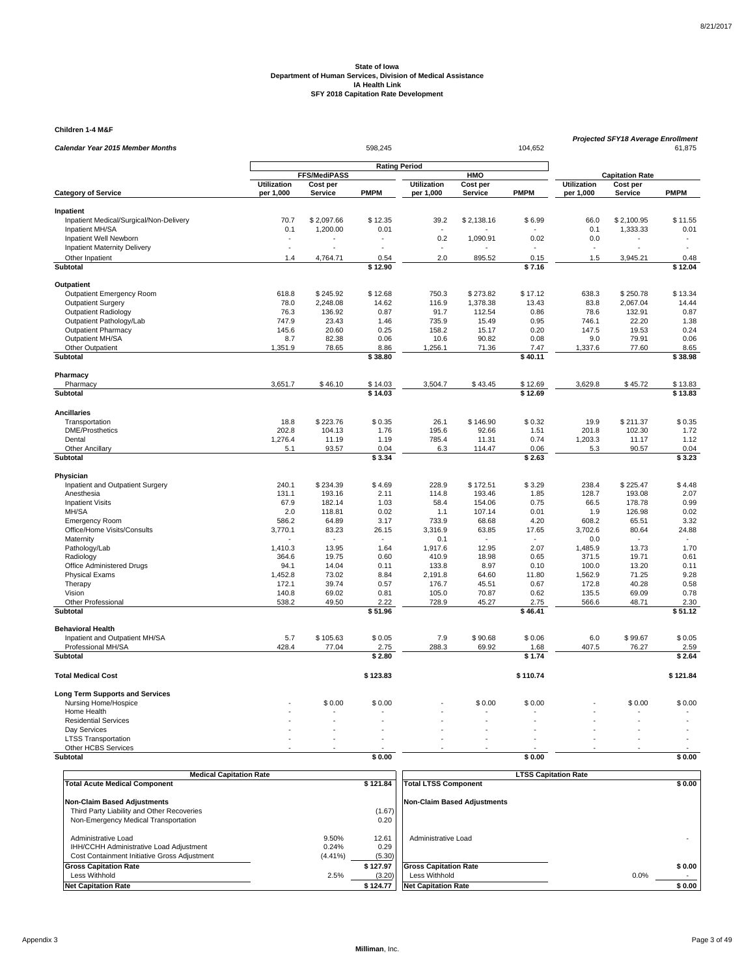**Children 1-4 M&F**

| Calendar Year 2015 Member Months                               |                      |              | 598,245     |                      |            | 104,652     | <b>Projected SFY18 Average Enrollment</b><br>61,875 |                        |             |  |
|----------------------------------------------------------------|----------------------|--------------|-------------|----------------------|------------|-------------|-----------------------------------------------------|------------------------|-------------|--|
|                                                                |                      |              |             | <b>Rating Period</b> |            |             |                                                     |                        |             |  |
|                                                                |                      | FFS/MediPASS |             |                      | HMO        |             |                                                     | <b>Capitation Rate</b> |             |  |
|                                                                | <b>Utilization</b>   | Cost per     |             | <b>Utilization</b>   | Cost per   |             | <b>Utilization</b>                                  | Cost per               |             |  |
| <b>Category of Service</b>                                     | per 1,000            | Service      | <b>PMPM</b> | per 1,000            | Service    | <b>PMPM</b> | per 1,000                                           | Service                | <b>PMPM</b> |  |
| Inpatient                                                      |                      |              |             |                      |            |             |                                                     |                        |             |  |
| Inpatient Medical/Surgical/Non-Delivery                        | 70.7                 | \$2,097.66   | \$12.35     | 39.2                 | \$2,138.16 | \$6.99      | 66.0                                                | \$2,100.95             | \$11.55     |  |
| Inpatient MH/SA                                                | 0.1                  | 1,200.00     | 0.01        |                      |            |             | 0.1                                                 | 1,333.33               | 0.01        |  |
| Inpatient Well Newborn                                         | $\ddot{\phantom{1}}$ |              |             | 0.2                  | 1,090.91   | 0.02        | 0.0                                                 | ÷.                     | $\sim$      |  |
| Inpatient Maternity Delivery                                   |                      |              |             |                      |            |             |                                                     |                        |             |  |
| Other Inpatient                                                | 1.4                  | 4,764.71     | 0.54        | 2.0                  | 895.52     | 0.15        | 1.5                                                 | 3,945.21               | 0.48        |  |
| <b>Subtotal</b>                                                |                      |              | \$12.90     |                      |            | \$7.16      |                                                     |                        | \$12.04     |  |
| Outpatient                                                     |                      |              |             |                      |            |             |                                                     |                        |             |  |
| Outpatient Emergency Room                                      | 618.8                | \$245.92     | \$12.68     | 750.3                | \$273.82   | \$17.12     | 638.3                                               | \$250.78               | \$13.34     |  |
| <b>Outpatient Surgery</b>                                      | 78.0                 | 2,248.08     | 14.62       | 116.9                | 1,378.38   | 13.43       | 83.8                                                | 2,067.04               | 14.44       |  |
| <b>Outpatient Radiology</b>                                    | 76.3                 | 136.92       | 0.87        | 91.7                 | 112.54     | 0.86        | 78.6                                                | 132.91                 | 0.87        |  |
| Outpatient Pathology/Lab                                       | 747.9                | 23.43        | 1.46        | 735.9                | 15.49      | 0.95        | 746.1                                               | 22.20                  | 1.38        |  |
| <b>Outpatient Pharmacy</b>                                     | 145.6                | 20.60        | 0.25        | 158.2                | 15.17      | 0.20        | 147.5                                               | 19.53                  | 0.24        |  |
| Outpatient MH/SA                                               | 8.7                  | 82.38        | 0.06        | 10.6                 | 90.82      | 0.08        | 9.0                                                 | 79.91                  | 0.06        |  |
| Other Outpatient                                               | 1,351.9              | 78.65        | 8.86        | 1,256.1              | 71.36      | 7.47        | 1,337.6                                             | 77.60                  | 8.65        |  |
| Subtotal                                                       |                      |              | \$38.80     |                      |            | \$40.11     |                                                     |                        | \$38.98     |  |
| Pharmacy                                                       |                      |              |             |                      |            |             |                                                     |                        |             |  |
| Pharmacy                                                       | 3,651.7              | \$46.10      | \$14.03     | 3,504.7              | \$43.45    | \$12.69     | 3,629.8                                             | \$45.72                | \$13.83     |  |
| <b>Subtotal</b>                                                |                      |              | \$14.03     |                      |            | \$12.69     |                                                     |                        | \$13.83     |  |
| <b>Ancillaries</b>                                             |                      |              |             |                      |            |             |                                                     |                        |             |  |
| Transportation                                                 | 18.8                 | \$223.76     | \$0.35      | 26.1                 | \$146.90   | \$0.32      | 19.9                                                | \$211.37               | \$0.35      |  |
| <b>DME/Prosthetics</b>                                         | 202.8                | 104.13       | 1.76        | 195.6                | 92.66      | 1.51        | 201.8                                               | 102.30                 | 1.72        |  |
| Dental                                                         | 1,276.4              | 11.19        | 1.19        | 785.4                | 11.31      | 0.74        | 1,203.3                                             | 11.17                  | 1.12        |  |
| <b>Other Ancillary</b>                                         | 5.1                  | 93.57        | 0.04        | 6.3                  | 114.47     | 0.06        | 5.3                                                 | 90.57                  | 0.04        |  |
| Subtotal                                                       |                      |              | \$3.34      |                      |            | \$2.63      |                                                     |                        | \$3.23      |  |
| Physician                                                      |                      |              |             |                      |            |             |                                                     |                        |             |  |
| Inpatient and Outpatient Surgery                               | 240.1                | \$234.39     | \$4.69      | 228.9                | \$172.51   | \$3.29      | 238.4                                               | \$225.47               | \$4.48      |  |
| Anesthesia                                                     | 131.1                | 193.16       | 2.11        | 114.8                | 193.46     | 1.85        | 128.7                                               | 193.08                 | 2.07        |  |
| <b>Inpatient Visits</b>                                        | 67.9                 | 182.14       | 1.03        | 58.4                 | 154.06     | 0.75        | 66.5                                                | 178.78                 | 0.99        |  |
| MH/SA                                                          | 2.0                  | 118.81       | 0.02        | 1.1                  | 107.14     | 0.01        | 1.9                                                 | 126.98                 | 0.02        |  |
| <b>Emergency Room</b>                                          | 586.2                | 64.89        | 3.17        | 733.9                | 68.68      | 4.20        | 608.2                                               | 65.51                  | 3.32        |  |
| Office/Home Visits/Consults                                    | 3,770.1              | 83.23        | 26.15       | 3,316.9              | 63.85      | 17.65       | 3,702.6                                             | 80.64                  | 24.88       |  |
| Maternity<br>Pathology/Lab                                     | 1,410.3              | 13.95        | 1.64        | 0.1<br>1,917.6       | 12.95      | 2.07        | 0.0<br>1,485.9                                      | 13.73                  | 1.70        |  |
| Radiology                                                      | 364.6                | 19.75        | 0.60        | 410.9                | 18.98      | 0.65        | 371.5                                               | 19.71                  | 0.61        |  |
| Office Administered Drugs                                      | 94.1                 | 14.04        | 0.11        | 133.8                | 8.97       | 0.10        | 100.0                                               | 13.20                  | 0.11        |  |
| <b>Physical Exams</b>                                          | 1,452.8              | 73.02        | 8.84        | 2,191.8              | 64.60      | 11.80       | 1,562.9                                             | 71.25                  | 9.28        |  |
| Therapy                                                        | 172.1                | 39.74        | 0.57        | 176.7                | 45.51      | 0.67        | 172.8                                               | 40.28                  | 0.58        |  |
| Vision                                                         | 140.8                | 69.02        | 0.81        | 105.0                | 70.87      | 0.62        | 135.5                                               | 69.09                  | 0.78        |  |
| Other Professional                                             | 538.2                | 49.50        | 2.22        | 728.9                | 45.27      | 2.75        | 566.6                                               | 48.71                  | 2.30        |  |
| Subtotal                                                       |                      |              | \$51.96     |                      |            | \$46.41     |                                                     |                        | \$51.12     |  |
| <b>Behavioral Health</b>                                       |                      |              |             |                      |            |             |                                                     |                        |             |  |
| Inpatient and Outpatient MH/SA                                 | 5.7                  | \$105.63     | \$0.05      | 7.9                  | \$90.68    | \$0.06      | 6.0                                                 | \$99.67                | \$0.05      |  |
| Professional MH/SA                                             | 428.4                | 77.04        | 2.75        | 288.3                | 69.92      | 1.68        | 407.5                                               | 76.27                  | 2.59        |  |
| <b>Subtotal</b>                                                |                      |              | \$2.80      |                      |            | \$1.74      |                                                     |                        | \$2.64      |  |
| <b>Total Medical Cost</b>                                      |                      |              | \$123.83    |                      |            | \$110.74    |                                                     |                        | \$121.84    |  |
|                                                                |                      |              |             |                      |            |             |                                                     |                        |             |  |
| <b>Long Term Supports and Services</b><br>Nursing Home/Hospice |                      | \$0.00       | \$0.00      |                      | \$0.00     | \$0.00      |                                                     | \$0.00                 | \$0.00      |  |
| Home Health                                                    |                      |              |             |                      |            |             |                                                     |                        |             |  |
| <b>Residential Services</b>                                    |                      |              |             |                      |            |             |                                                     |                        |             |  |
| Day Services                                                   |                      |              |             |                      |            |             |                                                     |                        |             |  |
| <b>LTSS Transportation</b>                                     |                      |              |             |                      |            |             |                                                     |                        |             |  |
| Other HCBS Services                                            |                      |              |             |                      |            |             |                                                     |                        |             |  |
| Subtotal                                                       |                      |              | \$0.00      |                      |            | \$0.00      |                                                     |                        | \$0.00      |  |
|                                                                |                      |              |             |                      |            |             |                                                     |                        |             |  |

|               | <b>Medical Capitation Rate</b>               |            |          | <b>LTSS Capitation Rate</b>        |        |  |  |  |  |
|---------------|----------------------------------------------|------------|----------|------------------------------------|--------|--|--|--|--|
|               | <b>Total Acute Medical Component</b>         |            | \$121.84 | <b>Total LTSS Component</b>        | \$0.00 |  |  |  |  |
|               | <b>Non-Claim Based Adjustments</b>           |            |          | <b>Non-Claim Based Adjustments</b> |        |  |  |  |  |
|               | Third Party Liability and Other Recoveries   |            | (1.67)   |                                    |        |  |  |  |  |
|               | Non-Emergency Medical Transportation         |            | 0.20     |                                    |        |  |  |  |  |
|               |                                              |            |          |                                    |        |  |  |  |  |
|               | Administrative Load                          | 9.50%      | 12.61    | Administrative Load                |        |  |  |  |  |
|               | IHH/CCHH Administrative Load Adjustment      | 0.24%      | 0.29     |                                    |        |  |  |  |  |
|               | Cost Containment Initiative Gross Adjustment | $(4.41\%)$ | (5.30)   |                                    |        |  |  |  |  |
|               | <b>Gross Capitation Rate</b>                 |            | \$127.97 | <b>Gross Capitation Rate</b>       | \$0.00 |  |  |  |  |
| Less Withhold |                                              | 2.5%       | (3.20)   | Less Withhold                      | 0.0%   |  |  |  |  |
|               | <b>Net Capitation Rate</b>                   |            | \$124.77 | <b>Net Capitation Rate</b>         | \$0.00 |  |  |  |  |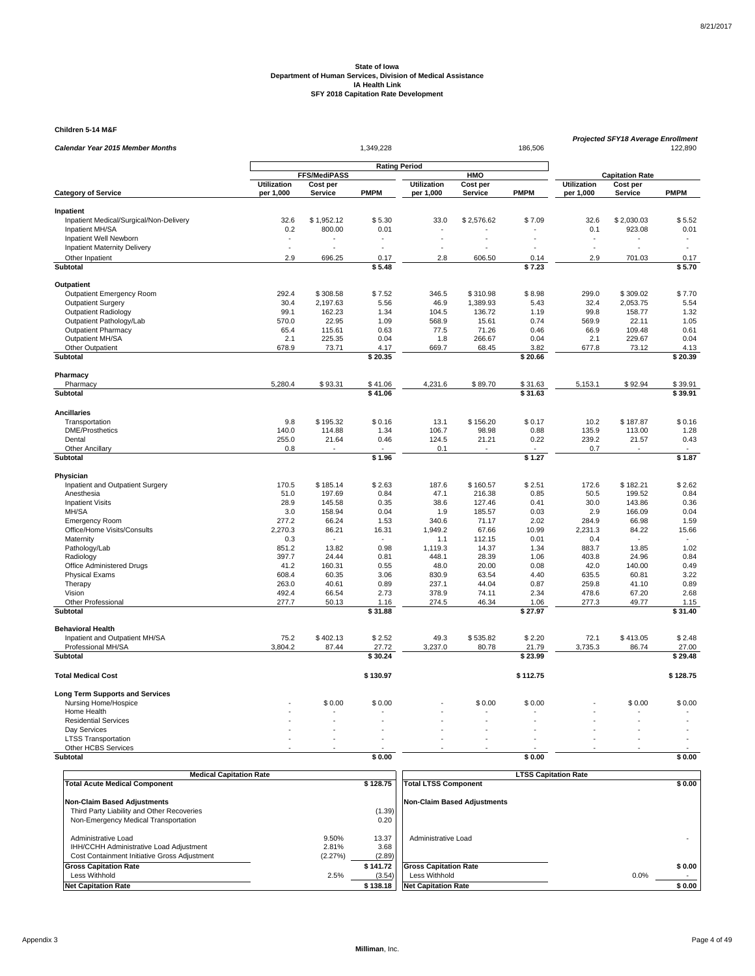**Children 5-14 M&F**

| Calendar Year 2015 Member Months                     |                          |                     | 1,349,228            |                    |                   | 186,506         |                          | Projected SFY18 Average Enrollment | 122,890         |
|------------------------------------------------------|--------------------------|---------------------|----------------------|--------------------|-------------------|-----------------|--------------------------|------------------------------------|-----------------|
|                                                      |                          |                     |                      |                    |                   |                 |                          |                                    |                 |
|                                                      |                          | <b>FFS/MediPASS</b> | <b>Rating Period</b> |                    | HMO               |                 |                          | <b>Capitation Rate</b>             |                 |
|                                                      | <b>Utilization</b>       | Cost per            |                      | <b>Utilization</b> | Cost per          |                 | <b>Utilization</b>       | Cost per                           |                 |
| <b>Category of Service</b>                           | per 1,000                | <b>Service</b>      | <b>PMPM</b>          | per 1,000          | <b>Service</b>    | <b>PMPM</b>     | per 1,000                | <b>Service</b>                     | <b>PMPM</b>     |
| Inpatient                                            |                          |                     |                      |                    |                   |                 |                          |                                    |                 |
| Inpatient Medical/Surgical/Non-Delivery              | 32.6                     | \$1,952.12          | \$5.30               | 33.0               | \$2,576.62        | \$7.09          | 32.6                     | \$2,030.03                         | \$5.52          |
| Inpatient MH/SA                                      | 0.2                      | 800.00              | 0.01                 |                    |                   |                 | 0.1                      | 923.08                             | 0.01            |
| Inpatient Well Newborn                               |                          |                     |                      |                    |                   |                 | $\overline{\phantom{a}}$ |                                    | ٠               |
| Inpatient Maternity Delivery                         | $\overline{\phantom{a}}$ | ÷,                  |                      |                    |                   |                 | ÷.                       | ÷.                                 | $\sim$          |
| Other Inpatient                                      | 2.9                      | 696.25              | 0.17                 | 2.8                | 606.50            | 0.14            | 2.9                      | 701.03                             | 0.17            |
| Subtotal                                             |                          |                     | \$5.48               |                    |                   | \$7.23          |                          |                                    | \$5.70          |
| Outpatient                                           |                          |                     |                      |                    |                   |                 |                          |                                    |                 |
| Outpatient Emergency Room                            | 292.4                    | \$308.58            | \$7.52               | 346.5              | \$310.98          | \$8.98          | 299.0                    | \$309.02                           | \$7.70          |
| <b>Outpatient Surgery</b>                            | 30.4                     | 2,197.63            | 5.56                 | 46.9               | 1,389.93          | 5.43            | 32.4                     | 2,053.75                           | 5.54            |
| <b>Outpatient Radiology</b>                          | 99.1                     | 162.23              | 1.34                 | 104.5              | 136.72            | 1.19            | 99.8                     | 158.77                             | 1.32            |
| Outpatient Pathology/Lab                             | 570.0                    | 22.95               | 1.09                 | 568.9              | 15.61             | 0.74            | 569.9                    | 22.11                              | 1.05            |
| <b>Outpatient Pharmacy</b>                           | 65.4                     | 115.61              | 0.63                 | 77.5               | 71.26             | 0.46            | 66.9                     | 109.48                             | 0.61            |
| Outpatient MH/SA                                     | 2.1                      | 225.35              | 0.04                 | 1.8                | 266.67            | 0.04            | 2.1                      | 229.67                             | 0.04            |
| Other Outpatient                                     | 678.9                    | 73.71               | 4.17                 | 669.7              | 68.45             | 3.82            | 677.8                    | 73.12                              | 4.13            |
| Subtotal                                             |                          |                     | \$20.35              |                    |                   | \$20.66         |                          |                                    | \$20.39         |
| Pharmacy                                             |                          |                     |                      |                    |                   |                 |                          |                                    |                 |
| Pharmacy                                             | 5,280.4                  | \$93.31             | \$41.06              | 4,231.6            | \$89.70           | \$31.63         | 5,153.1                  | \$92.94                            | \$39.91         |
| Subtotal                                             |                          |                     | \$41.06              |                    |                   | \$31.63         |                          |                                    | \$39.91         |
| <b>Ancillaries</b>                                   |                          |                     |                      |                    |                   |                 |                          |                                    |                 |
| Transportation                                       | 9.8                      | \$195.32            | \$0.16               | 13.1               | \$156.20          | \$0.17          | 10.2                     | \$187.87                           | \$0.16          |
| <b>DME/Prosthetics</b>                               | 140.0                    | 114.88              | 1.34                 | 106.7              | 98.98             | 0.88            | 135.9                    | 113.00                             | 1.28            |
| Dental                                               | 255.0                    | 21.64               | 0.46                 | 124.5              | 21.21             | 0.22            | 239.2                    | 21.57                              | 0.43            |
| <b>Other Ancillary</b>                               | 0.8                      |                     |                      | 0.1                |                   |                 | 0.7                      |                                    |                 |
| Subtotal                                             |                          |                     | \$1.96               |                    |                   | \$1.27          |                          |                                    | \$1.87          |
| Physician                                            |                          |                     |                      |                    |                   |                 |                          |                                    |                 |
| Inpatient and Outpatient Surgery                     | 170.5                    | \$185.14            | \$2.63               | 187.6              | \$160.57          | \$2.51          | 172.6                    | \$182.21                           | \$2.62          |
| Anesthesia                                           | 51.0                     | 197.69              | 0.84                 | 47.1               | 216.38            | 0.85            | 50.5                     | 199.52                             | 0.84            |
| <b>Inpatient Visits</b>                              | 28.9                     | 145.58              | 0.35                 | 38.6               | 127.46            | 0.41            | 30.0                     | 143.86                             | 0.36            |
| MH/SA                                                | 3.0                      | 158.94              | 0.04                 | 1.9                | 185.57            | 0.03            | 2.9                      | 166.09                             | 0.04            |
| <b>Emergency Room</b>                                | 277.2                    | 66.24               | 1.53                 | 340.6              | 71.17             | 2.02            | 284.9                    | 66.98                              | 1.59            |
| Office/Home Visits/Consults                          | 2,270.3                  | 86.21               | 16.31                | 1,949.2            | 67.66             | 10.99           | 2,231.3                  | 84.22                              | 15.66           |
| Maternity                                            | 0.3                      |                     |                      | 1.1                | 112.15            | 0.01            | 0.4                      |                                    |                 |
| Pathology/Lab                                        | 851.2                    | 13.82               | 0.98                 | 1.119.3            | 14.37             | 1.34            | 883.7                    | 13.85                              | 1.02            |
| Radiology                                            | 397.7                    | 24.44               | 0.81                 | 448.1              | 28.39             | 1.06            | 403.8                    | 24.96                              | 0.84            |
| Office Administered Drugs                            | 41.2                     | 160.31              | 0.55                 | 48.0               | 20.00             | 0.08            | 42.0                     | 140.00                             | 0.49            |
| <b>Physical Exams</b>                                | 608.4<br>263.0           | 60.35<br>40.61      | 3.06<br>0.89         | 830.9<br>237.1     | 63.54<br>44.04    | 4.40<br>0.87    | 635.5<br>259.8           | 60.81<br>41.10                     | 3.22<br>0.89    |
| Therapy<br>Vision                                    | 492.4                    | 66.54               | 2.73                 | 378.9              | 74.11             | 2.34            | 478.6                    | 67.20                              | 2.68            |
| <b>Other Professional</b>                            | 277.7                    | 50.13               | 1.16                 | 274.5              | 46.34             | 1.06            | 277.3                    | 49.77                              | 1.15            |
| Subtotal                                             |                          |                     | \$31.88              |                    |                   | \$27.97         |                          |                                    | \$31.40         |
| <b>Behavioral Health</b>                             |                          |                     |                      |                    |                   |                 |                          |                                    |                 |
|                                                      |                          | \$402.13            |                      | 49.3               |                   |                 |                          |                                    |                 |
| Inpatient and Outpatient MH/SA<br>Professional MH/SA | 75.2<br>3,804.2          | 87.44               | \$2.52<br>27.72      | 3,237.0            | \$535.82<br>80.78 | \$2.20<br>21.79 | 72.1<br>3,735.3          | \$413.05<br>86.74                  | \$2.48<br>27.00 |
| <b>Subtotal</b>                                      |                          |                     | \$30.24              |                    |                   | \$23.99         |                          |                                    | \$29.48         |
|                                                      |                          |                     |                      |                    |                   |                 |                          |                                    |                 |
| <b>Total Medical Cost</b>                            |                          |                     | \$130.97             |                    |                   | \$112.75        |                          |                                    | \$128.75        |
| <b>Long Term Supports and Services</b>               |                          |                     |                      |                    |                   |                 |                          |                                    |                 |
| Nursing Home/Hospice                                 |                          | \$0.00              | \$0.00               |                    | \$0.00            | \$0.00          |                          | \$0.00                             | \$0.00          |
| Home Health                                          |                          |                     |                      |                    |                   |                 |                          |                                    |                 |
| <b>Residential Services</b>                          |                          |                     |                      |                    |                   |                 |                          |                                    |                 |
| Day Services                                         |                          |                     |                      |                    |                   |                 |                          |                                    |                 |
| <b>LTSS Transportation</b>                           |                          |                     |                      |                    |                   |                 |                          |                                    |                 |
| Other HCBS Services<br>Subtotal                      |                          |                     | \$0.00               |                    |                   | \$0.00          |                          |                                    | \$0.00          |
|                                                      |                          |                     |                      |                    |                   |                 |                          |                                    |                 |

| <b>Medical Capitation Rate</b>                                                                                 |                           |                         | <b>LTSS Capitation Rate</b>  |        |  |  |  |
|----------------------------------------------------------------------------------------------------------------|---------------------------|-------------------------|------------------------------|--------|--|--|--|
| <b>Total Acute Medical Component</b>                                                                           |                           | \$128.75                | <b>Total LTSS Component</b>  | \$0.00 |  |  |  |
| <b>Non-Claim Based Adjustments</b>                                                                             |                           |                         | Non-Claim Based Adiustments  |        |  |  |  |
| Third Party Liability and Other Recoveries                                                                     |                           | (1.39)                  |                              |        |  |  |  |
| Non-Emergency Medical Transportation                                                                           |                           | 0.20                    |                              |        |  |  |  |
| Administrative Load<br>IHH/CCHH Administrative Load Adjustment<br>Cost Containment Initiative Gross Adjustment | 9.50%<br>2.81%<br>(2.27%) | 13.37<br>3.68<br>(2.89) | Administrative Load          |        |  |  |  |
| <b>Gross Capitation Rate</b>                                                                                   |                           | \$141.72                | <b>Gross Capitation Rate</b> | \$0.00 |  |  |  |
| Less Withhold                                                                                                  | 2.5%                      | (3.54)                  | Less Withhold                | 0.0%   |  |  |  |
| <b>Net Capitation Rate</b>                                                                                     |                           | \$138.18                | <b>Net Capitation Rate</b>   | \$0.00 |  |  |  |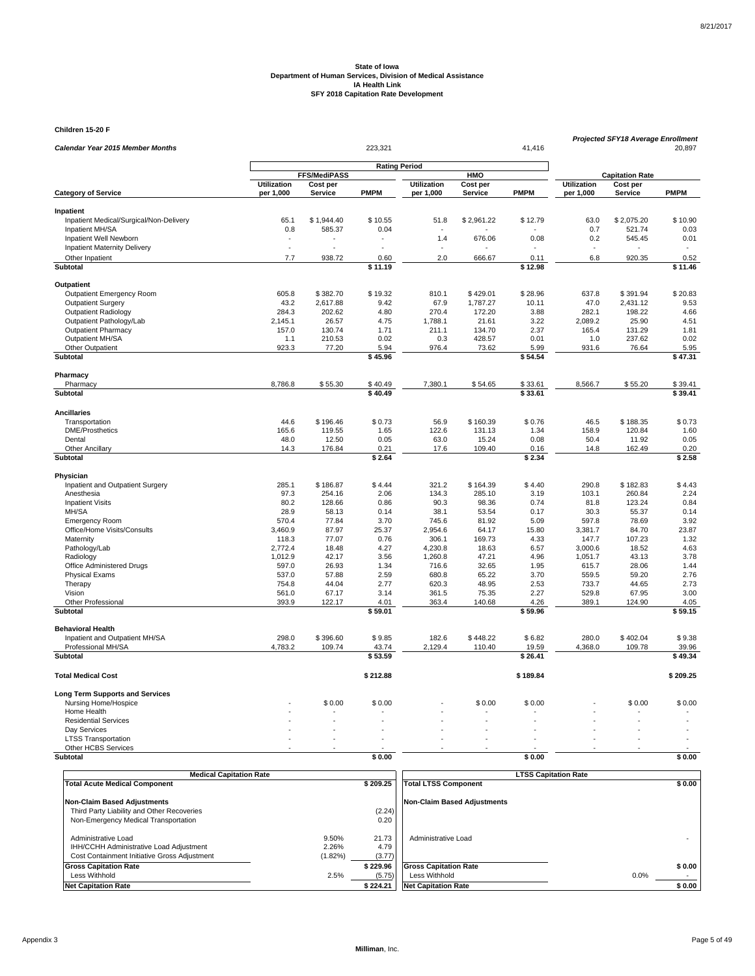**Children 15-20 F**

| <u>umuran 1970 i</u><br>Calendar Year 2015 Member Months |                                 |                     | 223,321             |                                 |                     | 41,416           |                                 | <b>Projected SFY18 Average Enrollment</b> | 20,897           |
|----------------------------------------------------------|---------------------------------|---------------------|---------------------|---------------------------------|---------------------|------------------|---------------------------------|-------------------------------------------|------------------|
|                                                          |                                 |                     |                     | <b>Rating Period</b>            |                     |                  |                                 |                                           |                  |
|                                                          |                                 | <b>FFS/MediPASS</b> |                     |                                 | HMO                 |                  |                                 | <b>Capitation Rate</b>                    |                  |
| <b>Category of Service</b>                               | <b>Utilization</b><br>per 1,000 | Cost per<br>Service | <b>PMPM</b>         | <b>Utilization</b><br>per 1,000 | Cost per<br>Service | <b>PMPM</b>      | <b>Utilization</b><br>per 1,000 | Cost per<br>Service                       | <b>PMPM</b>      |
| Inpatient                                                |                                 |                     |                     |                                 |                     |                  |                                 |                                           |                  |
| Inpatient Medical/Surgical/Non-Delivery                  | 65.1                            | \$1,944.40          | \$10.55             | 51.8                            | \$2,961.22          | \$12.79          | 63.0                            | \$2,075.20                                | \$10.90          |
| Inpatient MH/SA                                          | 0.8                             | 585.37              | 0.04                |                                 |                     |                  | 0.7                             | 521.74                                    | 0.03             |
| Inpatient Well Newborn                                   | $\overline{\phantom{a}}$        |                     |                     | 1.4                             | 676.06              | 0.08             | 0.2                             | 545.45                                    | 0.01             |
| <b>Inpatient Maternity Delivery</b>                      | ÷.                              |                     | L.                  |                                 |                     |                  |                                 |                                           | $\sim$           |
| Other Inpatient                                          | 7.7                             | 938.72              | 0.60                | 2.0                             | 666.67              | 0.11             | 6.8                             | 920.35                                    | 0.52             |
| Subtotal                                                 |                                 |                     | $\frac{1}{1}$ 11.19 |                                 |                     | \$12.98          |                                 |                                           | \$11.46          |
| Outpatient                                               |                                 |                     |                     |                                 |                     |                  |                                 |                                           |                  |
| Outpatient Emergency Room                                | 605.8                           | \$382.70            | \$19.32             | 810.1                           | \$429.01            | \$28.96          | 637.8                           | \$391.94                                  | \$20.83          |
| Outpatient Surgery                                       | 43.2                            | 2,617.88            | 9.42                | 67.9                            | 1,787.27            | 10.11            | 47.0                            | 2,431.12                                  | 9.53             |
| <b>Outpatient Radiology</b>                              | 284.3                           | 202.62              | 4.80                | 270.4                           | 172.20              | 3.88             | 282.1                           | 198.22                                    | 4.66             |
| Outpatient Pathology/Lab                                 | 2,145.1                         | 26.57               | 4.75                | 1,788.1                         | 21.61               | 3.22             | 2,089.2                         | 25.90                                     | 4.51             |
| <b>Outpatient Pharmacy</b>                               | 157.0                           | 130.74              | 1.71                | 211.1                           | 134.70              | 2.37             | 165.4                           | 131.29                                    | 1.81             |
| Outpatient MH/SA                                         | 1.1                             | 210.53              | 0.02                | 0.3                             | 428.57              | 0.01             | 1.0                             | 237.62                                    | 0.02             |
| Other Outpatient                                         | 923.3                           | 77.20               | 5.94                | 976.4                           | 73.62               | 5.99             | 931.6                           | 76.64                                     | 5.95             |
| <b>Subtotal</b>                                          |                                 |                     | \$45.96             |                                 |                     | \$54.54          |                                 |                                           | \$47.31          |
| Pharmacy                                                 |                                 |                     |                     |                                 |                     |                  |                                 |                                           |                  |
| Pharmacy                                                 | 8,786.8                         | \$55.30             | \$40.49             | 7,380.1                         | \$54.65             | \$33.61          | 8,566.7                         | \$55.20                                   | \$39.41          |
| Subtotal                                                 |                                 |                     | \$40.49             |                                 |                     | \$33.61          |                                 |                                           | \$39.41          |
| <b>Ancillaries</b>                                       |                                 |                     |                     |                                 |                     |                  |                                 |                                           |                  |
| Transportation                                           | 44.6                            | \$196.46            | \$0.73              | 56.9                            | \$160.39            | \$0.76           | 46.5                            | \$188.35                                  | \$0.73           |
| <b>DME/Prosthetics</b>                                   | 165.6                           | 119.55              | 1.65                | 122.6                           | 131.13              | 1.34             | 158.9                           | 120.84                                    | 1.60             |
| Dental                                                   | 48.0                            | 12.50               | 0.05                | 63.0                            | 15.24               | 0.08             | 50.4                            | 11.92                                     | 0.05             |
| <b>Other Ancillary</b><br>Subtotal                       | 14.3                            | 176.84              | 0.21<br>\$2.64      | 17.6                            | 109.40              | 0.16<br>\$2.34   | 14.8                            | 162.49                                    | 0.20<br>\$2.58   |
|                                                          |                                 |                     |                     |                                 |                     |                  |                                 |                                           |                  |
| Physician                                                |                                 |                     |                     |                                 |                     |                  |                                 |                                           |                  |
| Inpatient and Outpatient Surgery                         | 285.1                           | \$186.87            | \$4.44              | 321.2                           | \$164.39            | \$4.40           | 290.8                           | \$182.83                                  | \$4.43           |
| Anesthesia<br><b>Inpatient Visits</b>                    | 97.3<br>80.2                    | 254.16<br>128.66    | 2.06<br>0.86        | 134.3<br>90.3                   | 285.10<br>98.36     | 3.19<br>0.74     | 103.1<br>81.8                   | 260.84<br>123.24                          | 2.24<br>0.84     |
| MH/SA                                                    | 28.9                            | 58.13               | 0.14                | 38.1                            | 53.54               | 0.17             | 30.3                            | 55.37                                     | 0.14             |
| <b>Emergency Room</b>                                    | 570.4                           | 77.84               | 3.70                | 745.6                           | 81.92               | 5.09             | 597.8                           | 78.69                                     | 3.92             |
| Office/Home Visits/Consults                              | 3,460.9                         | 87.97               | 25.37               | 2,954.6                         | 64.17               | 15.80            | 3,381.7                         | 84.70                                     | 23.87            |
| Maternity                                                | 118.3                           | 77.07               | 0.76                | 306.1                           | 169.73              | 4.33             | 147.7                           | 107.23                                    | 1.32             |
| Pathology/Lab                                            | 2,772.4                         | 18.48               | 4.27                | 4,230.8                         | 18.63               | 6.57             | 3,000.6                         | 18.52                                     | 4.63             |
| Radiology                                                | 1,012.9                         | 42.17               | 3.56                | 1,260.8                         | 47.21               | 4.96             | 1,051.7                         | 43.13                                     | 3.78             |
| Office Administered Drugs                                | 597.0                           | 26.93               | 1.34                | 716.6                           | 32.65               | 1.95             | 615.7                           | 28.06                                     | 1.44             |
| <b>Physical Exams</b>                                    | 537.0                           | 57.88               | 2.59                | 680.8                           | 65.22               | 3.70             | 559.5                           | 59.20                                     | 2.76             |
| Therapy                                                  | 754.8                           | 44.04               | 2.77                | 620.3                           | 48.95               | 2.53             | 733.7                           | 44.65                                     | 2.73             |
| Vision                                                   | 561.0                           | 67.17               | 3.14                | 361.5                           | 75.35               | 2.27             | 529.8                           | 67.95                                     | 3.00             |
| Other Professional<br><b>Subtotal</b>                    | 393.9                           | 122.17              | 4.01<br>\$59.01     | 363.4                           | 140.68              | 4.26<br>\$59.96  | 389.1                           | 124.90                                    | 4.05<br>\$59.15  |
|                                                          |                                 |                     |                     |                                 |                     |                  |                                 |                                           |                  |
| <b>Behavioral Health</b>                                 |                                 |                     |                     |                                 |                     |                  |                                 |                                           |                  |
| Inpatient and Outpatient MH/SA                           | 298.0                           | \$396.60            | \$9.85              | 182.6                           | \$448.22            | \$6.82           | 280.0                           | \$402.04                                  | \$9.38           |
| Professional MH/SA<br><b>Subtotal</b>                    | 4,783.2                         | 109.74              | 43.74<br>\$53.59    | 2,129.4                         | 110.40              | 19.59<br>\$26.41 | 4,368.0                         | 109.78                                    | 39.96<br>\$49.34 |
|                                                          |                                 |                     |                     |                                 |                     |                  |                                 |                                           |                  |
| <b>Total Medical Cost</b>                                |                                 |                     | \$212.88            |                                 |                     | \$189.84         |                                 |                                           | \$209.25         |
| <b>Long Term Supports and Services</b>                   |                                 |                     |                     |                                 |                     |                  |                                 |                                           |                  |
| Nursing Home/Hospice                                     |                                 | \$0.00              | \$0.00              |                                 | \$0.00              | \$0.00           |                                 | \$0.00                                    | \$0.00           |
| Home Health                                              |                                 |                     |                     |                                 |                     |                  |                                 |                                           |                  |
| <b>Residential Services</b>                              |                                 |                     |                     |                                 |                     |                  |                                 |                                           |                  |
| Day Services<br><b>LTSS Transportation</b>               |                                 |                     |                     |                                 |                     |                  |                                 |                                           |                  |
| Other HCBS Services                                      |                                 |                     |                     |                                 |                     |                  |                                 |                                           |                  |
| Subtotal                                                 |                                 |                     | \$0.00              |                                 |                     | \$0.00           |                                 |                                           | \$0.00           |
|                                                          |                                 |                     |                     |                                 |                     |                  |                                 |                                           |                  |

| <b>Medical Capitation Rate</b>                                                                                           |                              |                                | <b>LTSS Capitation Rate</b>                                                 |                          |  |  |  |
|--------------------------------------------------------------------------------------------------------------------------|------------------------------|--------------------------------|-----------------------------------------------------------------------------|--------------------------|--|--|--|
| <b>Total Acute Medical Component</b>                                                                                     |                              | \$209.25                       | <b>Total LTSS Component</b>                                                 | \$0.00                   |  |  |  |
| <b>Non-Claim Based Adjustments</b><br>Third Party Liability and Other Recoveries<br>Non-Emergency Medical Transportation |                              | (2.24)<br>0.20                 | <b>Non-Claim Based Adjustments</b>                                          |                          |  |  |  |
| Administrative Load<br>IHH/CCHH Administrative Load Adjustment<br>Cost Containment Initiative Gross Adjustment           | 9.50%<br>2.26%<br>$(1.82\%)$ | 21.73<br>4.79<br>(3.77)        | Administrative Load                                                         |                          |  |  |  |
| <b>Gross Capitation Rate</b><br>Less Withhold<br><b>Net Capitation Rate</b>                                              | 2.5%                         | \$229.96<br>(5.75)<br>\$224.21 | <b>Gross Capitation Rate</b><br>Less Withhold<br><b>Net Capitation Rate</b> | \$0.00<br>0.0%<br>\$0.00 |  |  |  |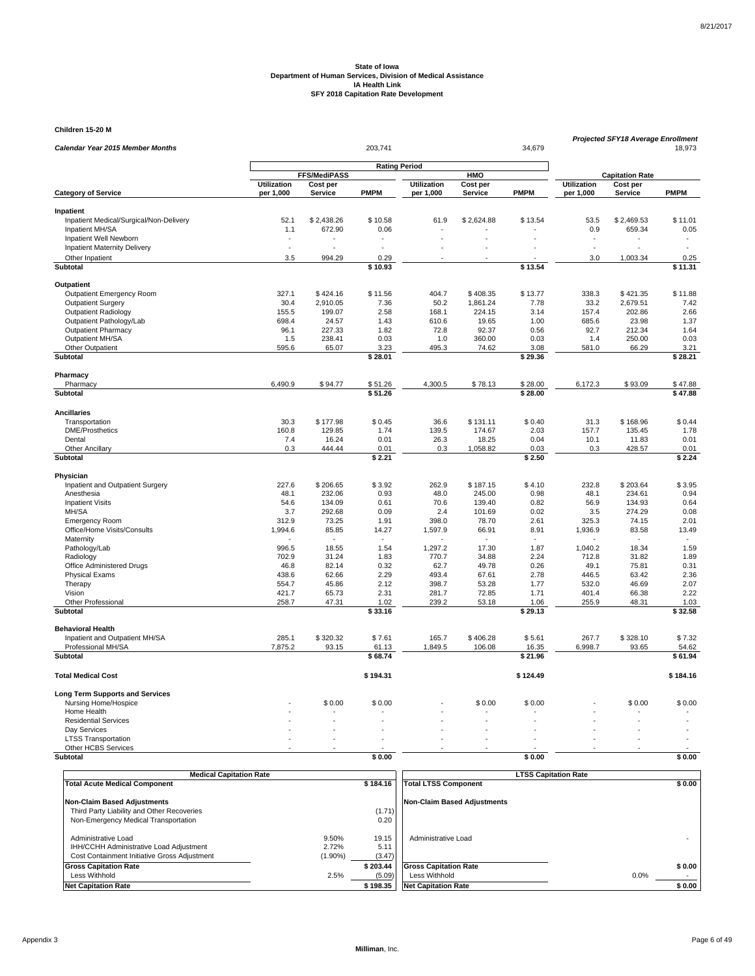**Children 15-20 M**

| Calendar Year 2015 Member Months                     |                          |                            | 34,679               | <b>Projected SFY18 Average Enrollment</b><br>18,973 |                            |                 |                                 |                            |                 |
|------------------------------------------------------|--------------------------|----------------------------|----------------------|-----------------------------------------------------|----------------------------|-----------------|---------------------------------|----------------------------|-----------------|
|                                                      |                          |                            | <b>Rating Period</b> |                                                     |                            |                 |                                 |                            |                 |
|                                                      |                          | FFS/MediPASS               |                      |                                                     | HMO                        |                 |                                 | <b>Capitation Rate</b>     |                 |
| <b>Category of Service</b>                           | Utilization<br>per 1,000 | Cost per<br><b>Service</b> | <b>PMPM</b>          | <b>Utilization</b><br>per 1,000                     | Cost per<br><b>Service</b> | <b>PMPM</b>     | <b>Utilization</b><br>per 1,000 | Cost per<br><b>Service</b> | <b>PMPM</b>     |
|                                                      |                          |                            |                      |                                                     |                            |                 |                                 |                            |                 |
| Inpatient<br>Inpatient Medical/Surgical/Non-Delivery | 52.1                     | \$2,438.26                 | \$10.58              | 61.9                                                | \$2,624.88                 | \$13.54         | 53.5                            | \$2,469.53                 | \$11.01         |
| Inpatient MH/SA                                      | 1.1                      | 672.90                     | 0.06                 |                                                     |                            |                 | 0.9                             | 659.34                     | 0.05            |
| Inpatient Well Newborn                               |                          |                            |                      |                                                     |                            |                 | $\overline{a}$                  |                            | ٠               |
| <b>Inpatient Maternity Delivery</b>                  | ÷.                       | L.                         |                      |                                                     |                            |                 | $\overline{a}$                  |                            | $\overline{a}$  |
| Other Inpatient                                      | 3.5                      | 994.29                     | 0.29                 |                                                     |                            |                 | 3.0                             | 1,003.34                   | 0.25            |
| Subtotal                                             |                          |                            | \$10.93              |                                                     |                            | \$13.54         |                                 |                            | \$11.31         |
| Outpatient                                           |                          |                            |                      |                                                     |                            |                 |                                 |                            |                 |
| Outpatient Emergency Room                            | 327.1                    | \$424.16                   | \$11.56              | 404.7                                               | \$408.35                   | \$13.77         | 338.3                           | \$421.35                   | \$11.88         |
| <b>Outpatient Surgery</b>                            | 30.4                     | 2,910.05                   | 7.36                 | 50.2                                                | 1,861.24                   | 7.78            | 33.2                            | 2,679.51                   | 7.42            |
| <b>Outpatient Radiology</b>                          | 155.5                    | 199.07                     | 2.58                 | 168.1                                               | 224.15                     | 3.14            | 157.4                           | 202.86                     | 2.66            |
| Outpatient Pathology/Lab                             | 698.4                    | 24.57                      | 1.43                 | 610.6                                               | 19.65                      | 1.00            | 685.6                           | 23.98                      | 1.37            |
| <b>Outpatient Pharmacy</b>                           | 96.1                     | 227.33                     | 1.82                 | 72.8                                                | 92.37                      | 0.56            | 92.7                            | 212.34                     | 1.64            |
| Outpatient MH/SA                                     | 1.5                      | 238.41                     | 0.03                 | 1.0                                                 | 360.00                     | 0.03            | 1.4                             | 250.00                     | 0.03            |
| Other Outpatient                                     | 595.6                    | 65.07                      | 3.23                 | 495.3                                               | 74.62                      | 3.08            | 581.0                           | 66.29                      | 3.21            |
| <b>Subtotal</b>                                      |                          |                            | $\sqrt{28.01}$       |                                                     |                            | $\sqrt{29.36}$  |                                 |                            | \$28.21         |
| Pharmacy                                             |                          |                            |                      |                                                     |                            |                 |                                 |                            |                 |
| Pharmacy                                             | 6,490.9                  | \$94.77                    | \$51.26              | 4,300.5                                             | \$78.13                    | \$28.00         | 6,172.3                         | \$93.09                    | \$47.88         |
| Subtotal                                             |                          |                            | \$51.26              |                                                     |                            | \$28.00         |                                 |                            | \$47.88         |
| <b>Ancillaries</b>                                   |                          |                            |                      |                                                     |                            |                 |                                 |                            |                 |
| Transportation                                       | 30.3                     | \$177.98                   | \$0.45               | 36.6                                                | \$131.11                   | \$0.40          | 31.3                            | \$168.96                   | \$0.44          |
| <b>DME/Prosthetics</b>                               | 160.8                    | 129.85                     | 1.74                 | 139.5                                               | 174.67                     | 2.03            | 157.7                           | 135.45                     | 1.78            |
| Dental                                               | 7.4                      | 16.24                      | 0.01                 | 26.3                                                | 18.25                      | 0.04            | 10.1                            | 11.83                      | 0.01            |
| <b>Other Ancillary</b><br><b>Subtotal</b>            | 0.3                      | 444.44                     | 0.01<br>\$2.21       | 0.3                                                 | 1,058.82                   | 0.03<br>\$2.50  | 0.3                             | 428.57                     | 0.01<br>\$2.24  |
|                                                      |                          |                            |                      |                                                     |                            |                 |                                 |                            |                 |
| Physician                                            |                          |                            |                      |                                                     |                            |                 |                                 |                            |                 |
| Inpatient and Outpatient Surgery                     | 227.6                    | \$206.65                   | \$3.92               | 262.9                                               | \$187.15                   | \$4.10          | 232.8                           | \$203.64                   | \$3.95          |
| Anesthesia                                           | 48.1                     | 232.06                     | 0.93                 | 48.0                                                | 245.00                     | 0.98            | 48.1                            | 234.61                     | 0.94            |
| <b>Inpatient Visits</b>                              | 54.6                     | 134.09<br>292.68           | 0.61<br>0.09         | 70.6                                                | 139.40<br>101.69           | 0.82<br>0.02    | 56.9                            | 134.93<br>274.29           | 0.64<br>0.08    |
| MH/SA                                                | 3.7                      | 73.25                      |                      | 2.4                                                 |                            | 2.61            | 3.5                             | 74.15                      | 2.01            |
| <b>Emergency Room</b><br>Office/Home Visits/Consults | 312.9<br>1,994.6         | 85.85                      | 1.91<br>14.27        | 398.0<br>1,597.9                                    | 78.70<br>66.91             | 8.91            | 325.3<br>1,936.9                | 83.58                      | 13.49           |
| Maternity                                            |                          |                            |                      |                                                     |                            |                 |                                 |                            |                 |
| Pathology/Lab                                        | 996.5                    | 18.55                      | 1.54                 | 1,297.2                                             | 17.30                      | 1.87            | 1,040.2                         | 18.34                      | 1.59            |
| Radiology                                            | 702.9                    | 31.24                      | 1.83                 | 770.7                                               | 34.88                      | 2.24            | 712.8                           | 31.82                      | 1.89            |
| Office Administered Drugs                            | 46.8                     | 82.14                      | 0.32                 | 62.7                                                | 49.78                      | 0.26            | 49.1                            | 75.81                      | 0.31            |
| Physical Exams                                       | 438.6                    | 62.66                      | 2.29                 | 493.4                                               | 67.61                      | 2.78            | 446.5                           | 63.42                      | 2.36            |
| Therapy                                              | 554.7                    | 45.86                      | 2.12                 | 398.7                                               | 53.28                      | 1.77            | 532.0                           | 46.69                      | 2.07            |
| Vision                                               | 421.7                    | 65.73                      | 2.31                 | 281.7                                               | 72.85                      | 1.71            | 401.4                           | 66.38                      | 2.22            |
| Other Professional<br><b>Subtotal</b>                | 258.7                    | 47.31                      | 1.02<br>\$33.16      | 239.2                                               | 53.18                      | 1.06<br>\$29.13 | 255.9                           | 48.31                      | 1.03<br>\$32.58 |
|                                                      |                          |                            |                      |                                                     |                            |                 |                                 |                            |                 |
| <b>Behavioral Health</b>                             |                          |                            |                      |                                                     |                            |                 |                                 |                            |                 |
| Inpatient and Outpatient MH/SA                       | 285.1                    | \$320.32                   | \$7.61               | 165.7                                               | \$406.28                   | \$5.61          | 267.7                           | \$328.10                   | \$7.32          |
| Professional MH/SA                                   | 7,875.2                  | 93.15                      | 61.13                | 1,849.5                                             | 106.08                     | 16.35           | 6,998.7                         | 93.65                      | 54.62           |
| <b>Subtotal</b>                                      |                          |                            | \$68.74              |                                                     |                            | \$21.96         |                                 |                            | \$61.94         |
| <b>Total Medical Cost</b>                            |                          |                            | \$194.31             |                                                     |                            | \$124.49        |                                 |                            | \$184.16        |
| <b>Long Term Supports and Services</b>               |                          |                            |                      |                                                     |                            |                 |                                 |                            |                 |
| Nursing Home/Hospice                                 |                          | \$0.00                     | \$0.00               |                                                     | \$0.00                     | \$0.00          |                                 | \$0.00                     | \$0.00          |
| Home Health                                          |                          |                            |                      |                                                     |                            |                 |                                 |                            |                 |
| <b>Residential Services</b>                          |                          |                            |                      |                                                     |                            |                 |                                 |                            |                 |
| Day Services                                         |                          |                            |                      |                                                     |                            |                 |                                 |                            |                 |
| <b>LTSS Transportation</b>                           |                          |                            |                      |                                                     |                            |                 |                                 |                            |                 |
| Other HCBS Services<br>Subtotal                      |                          |                            | \$0.00               |                                                     |                            | \$0.00          |                                 |                            | \$0.00          |
|                                                      |                          |                            |                      |                                                     |                            |                 |                                 |                            |                 |

| <b>Medical Capitation Rate</b>                                                                                 |                              |                         | <b>LTSS Capitation Rate</b>        |        |  |  |  |
|----------------------------------------------------------------------------------------------------------------|------------------------------|-------------------------|------------------------------------|--------|--|--|--|
| <b>Total Acute Medical Component</b>                                                                           |                              | \$184.16                | <b>Total LTSS Component</b>        | \$0.00 |  |  |  |
| <b>Non-Claim Based Adjustments</b>                                                                             |                              |                         | <b>Non-Claim Based Adjustments</b> |        |  |  |  |
| Third Party Liability and Other Recoveries                                                                     |                              | (1.71)                  |                                    |        |  |  |  |
| Non-Emergency Medical Transportation                                                                           |                              | 0.20                    |                                    |        |  |  |  |
| Administrative Load<br>IHH/CCHH Administrative Load Adjustment<br>Cost Containment Initiative Gross Adjustment | 9.50%<br>2.72%<br>$(1.90\%)$ | 19.15<br>5.11<br>(3.47) | Administrative Load                |        |  |  |  |
| <b>Gross Capitation Rate</b>                                                                                   |                              | \$203.44                | <b>Gross Capitation Rate</b>       | \$0.00 |  |  |  |
| Less Withhold                                                                                                  | 2.5%                         | (5.09)                  | Less Withhold                      | 0.0%   |  |  |  |
| <b>Net Capitation Rate</b>                                                                                     |                              | \$198.35                | <b>Net Capitation Rate</b>         | \$0.00 |  |  |  |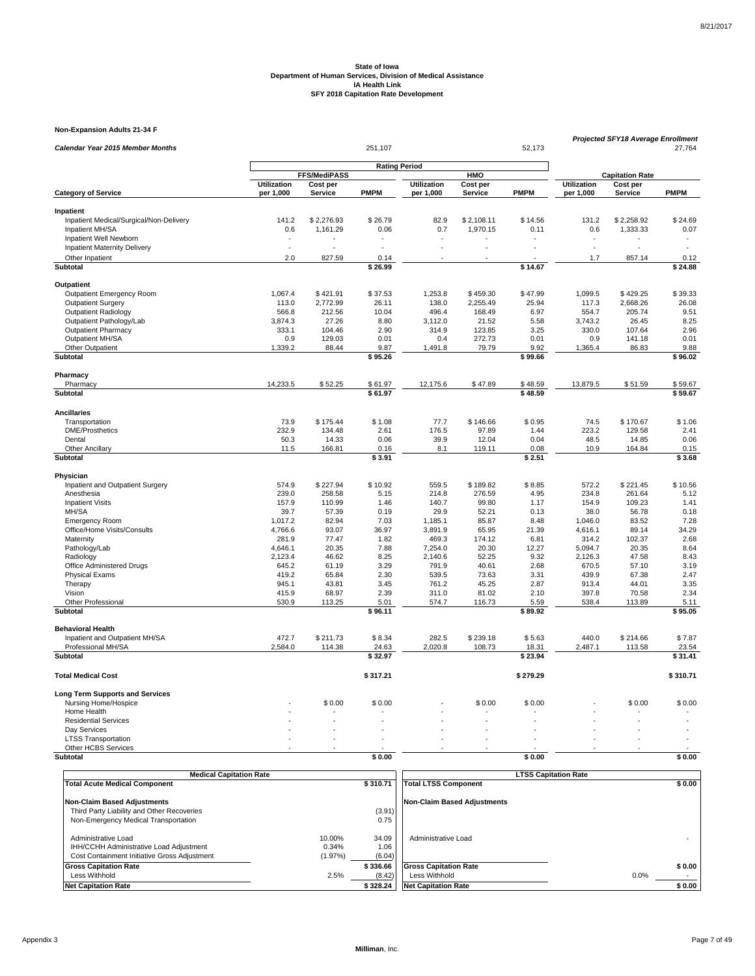**Non-Expansion Adults 21-34 F**

| Calendar Year 2015 Member Months                               |                          |                     | 251,107              |                                 |                     | 52,173          | <b>Projected SFY18 Average Enrollment</b><br>27,764 |                        |                 |
|----------------------------------------------------------------|--------------------------|---------------------|----------------------|---------------------------------|---------------------|-----------------|-----------------------------------------------------|------------------------|-----------------|
|                                                                |                          |                     | <b>Rating Period</b> |                                 |                     |                 |                                                     |                        |                 |
|                                                                |                          | FFS/MediPASS        |                      |                                 | HMO                 |                 |                                                     | <b>Capitation Rate</b> |                 |
| <b>Category of Service</b>                                     | Utilization<br>per 1,000 | Cost per<br>Service | <b>PMPM</b>          | <b>Utilization</b><br>per 1,000 | Cost per<br>Service | <b>PMPM</b>     | <b>Utilization</b><br>per 1,000                     | Cost per<br>Service    | <b>PMPM</b>     |
| Inpatient                                                      |                          |                     |                      |                                 |                     |                 |                                                     |                        |                 |
| Inpatient Medical/Surgical/Non-Delivery                        | 141.2                    | \$2,276.93          | \$26.79              | 82.9                            | \$2,108.11          | \$14.56         | 131.2                                               | \$2,258.92             | \$24.69         |
| Inpatient MH/SA                                                | 0.6                      | 1,161.29            | 0.06                 | 0.7                             | 1,970.15            | 0.11            | 0.6                                                 | 1,333.33               | 0.07            |
| Inpatient Well Newborn                                         |                          |                     |                      |                                 |                     |                 |                                                     |                        | ٠               |
| <b>Inpatient Maternity Delivery</b>                            |                          |                     |                      |                                 |                     |                 | $\overline{\phantom{a}}$                            |                        |                 |
| Other Inpatient                                                | 2.0                      | 827.59              | 0.14                 |                                 |                     |                 | 1.7                                                 | 857.14                 | 0.12            |
| Subtotal                                                       |                          |                     | \$26.99              |                                 |                     | \$14.67         |                                                     |                        | \$24.88         |
| Outpatient                                                     |                          |                     |                      |                                 |                     |                 |                                                     |                        |                 |
| Outpatient Emergency Room                                      | 1,067.4                  | \$421.91            | \$37.53              | 1,253.8                         | \$459.30            | \$47.99         | 1,099.5                                             | \$429.25               | \$39.33         |
| <b>Outpatient Surgery</b>                                      | 113.0                    | 2,772.99            | 26.11                | 138.0                           | 2,255.49            | 25.94           | 117.3                                               | 2,668.26               | 26.08           |
| <b>Outpatient Radiology</b>                                    | 566.8                    | 212.56              | 10.04                | 496.4                           | 168.49              | 6.97            | 554.7                                               | 205.74                 | 9.51            |
| Outpatient Pathology/Lab                                       | 3,874.3                  | 27.26               | 8.80                 | 3,112.0                         | 21.52               | 5.58            | 3,743.2                                             | 26.45                  | 8.25            |
| <b>Outpatient Pharmacy</b>                                     | 333.1                    | 104.46              | 2.90                 | 314.9                           | 123.85              | 3.25            | 330.0                                               | 107.64                 | 2.96            |
| Outpatient MH/SA                                               | 0.9                      | 129.03              | 0.01                 | 0.4                             | 272.73              | 0.01            | 0.9                                                 | 141.18                 | 0.01            |
| Other Outpatient                                               | 1,339.2                  | 88.44               | 9.87                 | 1,491.8                         | 79.79               | 9.92            | 1,365.4                                             | 86.83                  | 9.88            |
| <b>Subtotal</b>                                                |                          |                     | \$95.26              |                                 |                     | \$99.66         |                                                     |                        | \$96.02         |
| Pharmacy                                                       |                          |                     |                      |                                 |                     |                 |                                                     |                        |                 |
| Pharmacy                                                       | 14,233.5                 | \$52.25             | \$61.97              | 12,175.6                        | \$47.89             | \$48.59         | 13,879.5                                            | \$51.59                | \$59.67         |
| Subtotal                                                       |                          |                     | \$61.97              |                                 |                     | \$48.59         |                                                     |                        | \$59.67         |
| <b>Ancillaries</b>                                             |                          |                     |                      |                                 |                     |                 |                                                     |                        |                 |
| Transportation                                                 | 73.9                     | \$175.44            | \$1.08               | 77.7                            | \$146.66            | \$0.95          | 74.5                                                | \$170.67               | \$1.06          |
| <b>DME/Prosthetics</b><br>Dental                               | 232.9<br>50.3            | 134.48<br>14.33     | 2.61<br>0.06         | 176.5<br>39.9                   | 97.89<br>12.04      | 1.44<br>0.04    | 223.2<br>48.5                                       | 129.58<br>14.85        | 2.41<br>0.06    |
| <b>Other Ancillary</b>                                         | 11.5                     | 166.81              | 0.16                 | 8.1                             | 119.11              | 0.08            | 10.9                                                | 164.84                 | 0.15            |
| Subtotal                                                       |                          |                     | \$3.91               |                                 |                     | \$2.51          |                                                     |                        | \$3.68          |
| Physician                                                      |                          |                     |                      |                                 |                     |                 |                                                     |                        |                 |
| Inpatient and Outpatient Surgery                               | 574.9                    | \$227.94            | \$10.92              | 559.5                           | \$189.82            | \$8.85          | 572.2                                               | \$221.45               | \$10.56         |
| Anesthesia                                                     | 239.0                    | 258.58              | 5.15                 | 214.8                           | 276.59              | 4.95            | 234.8                                               | 261.64                 | 5.12            |
| <b>Inpatient Visits</b>                                        | 157.9                    | 110.99              | 1.46                 | 140.7                           | 99.80               | 1.17            | 154.9                                               | 109.23                 | 1.41            |
| MH/SA                                                          | 39.7                     | 57.39               | 0.19                 | 29.9                            | 52.21               | 0.13            | 38.0                                                | 56.78                  | 0.18            |
| <b>Emergency Room</b>                                          | 1,017.2                  | 82.94               | 7.03                 | 1,185.1                         | 85.87               | 8.48            | 1,046.0                                             | 83.52                  | 7.28            |
| Office/Home Visits/Consults                                    | 4,766.6                  | 93.07               | 36.97                | 3,891.9                         | 65.95               | 21.39           | 4,616.1                                             | 89.14                  | 34.29           |
| Maternity                                                      | 281.9                    | 77.47               | 1.82                 | 469.3                           | 174.12              | 6.81            | 314.2                                               | 102.37                 | 2.68            |
| Pathology/Lab                                                  | 4,646.1                  | 20.35               | 7.88                 | 7,254.0                         | 20.30               | 12.27           | 5,094.7                                             | 20.35                  | 8.64            |
| Radiology                                                      | 2,123.4                  | 46.62               | 8.25                 | 2,140.6                         | 52.25               | 9.32            | 2,126.3                                             | 47.58                  | 8.43            |
| Office Administered Drugs                                      | 645.2                    | 61.19               | 3.29                 | 791.9                           | 40.61               | 2.68            | 670.5                                               | 57.10                  | 3.19            |
| <b>Physical Exams</b>                                          | 419.2                    | 65.84               | 2.30                 | 539.5                           | 73.63               | 3.31            | 439.9                                               | 67.38                  | 2.47            |
| Therapy                                                        | 945.1                    | 43.81               | 3.45                 | 761.2                           | 45.25               | 2.87            | 913.4                                               | 44.01                  | 3.35            |
| Vision                                                         | 415.9                    | 68.97               | 2.39                 | 311.0                           | 81.02               | 2.10            | 397.8                                               | 70.58                  | 2.34            |
| Other Professional<br>Subtotal                                 | 530.9                    | 113.25              | 5.01<br>\$96.11      | 574.7                           | 116.73              | 5.59<br>\$89.92 | 538.4                                               | 113.89                 | 5.11<br>\$95.05 |
| <b>Behavioral Health</b>                                       |                          |                     |                      |                                 |                     |                 |                                                     |                        |                 |
| Inpatient and Outpatient MH/SA                                 | 472.7                    | \$211.73            | \$8.34               | 282.5                           | \$239.18            | \$5.63          | 440.0                                               | \$214.66               | \$7.87          |
| Professional MH/SA                                             | 2,584.0                  | 114.38              | 24.63                | 2,020.8                         | 108.73              | 18.31           | 2,487.1                                             | 113.58                 | 23.54           |
| <b>Subtotal</b>                                                |                          |                     | \$32.97              |                                 |                     | \$23.94         |                                                     |                        | \$31.41         |
| <b>Total Medical Cost</b>                                      |                          |                     |                      |                                 |                     |                 |                                                     |                        | \$310.71        |
|                                                                |                          |                     | \$317.21             |                                 |                     | \$279.29        |                                                     |                        |                 |
| <b>Long Term Supports and Services</b><br>Nursing Home/Hospice |                          | \$0.00              | \$0.00               |                                 | \$0.00              | \$0.00          |                                                     | \$0.00                 | \$0.00          |
| Home Health                                                    |                          |                     |                      |                                 |                     |                 |                                                     |                        |                 |
| <b>Residential Services</b>                                    |                          |                     |                      |                                 |                     |                 |                                                     |                        |                 |
| Day Services                                                   |                          |                     |                      |                                 |                     |                 |                                                     |                        |                 |
| <b>LTSS Transportation</b>                                     |                          |                     |                      |                                 |                     |                 |                                                     |                        |                 |
| Other HCBS Services                                            |                          |                     |                      |                                 |                     |                 |                                                     |                        |                 |
| Subtotal                                                       |                          |                     | \$0.00               |                                 |                     | \$0.00          |                                                     |                        | \$0.00          |
|                                                                |                          |                     |                      |                                 |                     |                 |                                                     |                        |                 |

| <b>Medical Capitation Rate</b>                                                                                 |                            |                         | <b>LTSS Capitation Rate</b>  |        |  |  |  |
|----------------------------------------------------------------------------------------------------------------|----------------------------|-------------------------|------------------------------|--------|--|--|--|
| <b>Total Acute Medical Component</b>                                                                           |                            | \$310.71                | <b>Total LTSS Component</b>  | \$0.00 |  |  |  |
| Non-Claim Based Adjustments                                                                                    |                            |                         | Non-Claim Based Adiustments  |        |  |  |  |
| Third Party Liability and Other Recoveries                                                                     |                            | (3.91)                  |                              |        |  |  |  |
| Non-Emergency Medical Transportation                                                                           |                            | 0.75                    |                              |        |  |  |  |
| Administrative Load<br>IHH/CCHH Administrative Load Adjustment<br>Cost Containment Initiative Gross Adjustment | 10.00%<br>0.34%<br>(1.97%) | 34.09<br>1.06<br>(6.04) | Administrative Load          |        |  |  |  |
| <b>Gross Capitation Rate</b>                                                                                   |                            | \$336.66                | <b>Gross Capitation Rate</b> | \$0.00 |  |  |  |
| Less Withhold                                                                                                  | 2.5%                       | (8.42)                  | Less Withhold                | 0.0%   |  |  |  |
| <b>Net Capitation Rate</b>                                                                                     |                            | \$328.24                | <b>Net Capitation Rate</b>   | \$0.00 |  |  |  |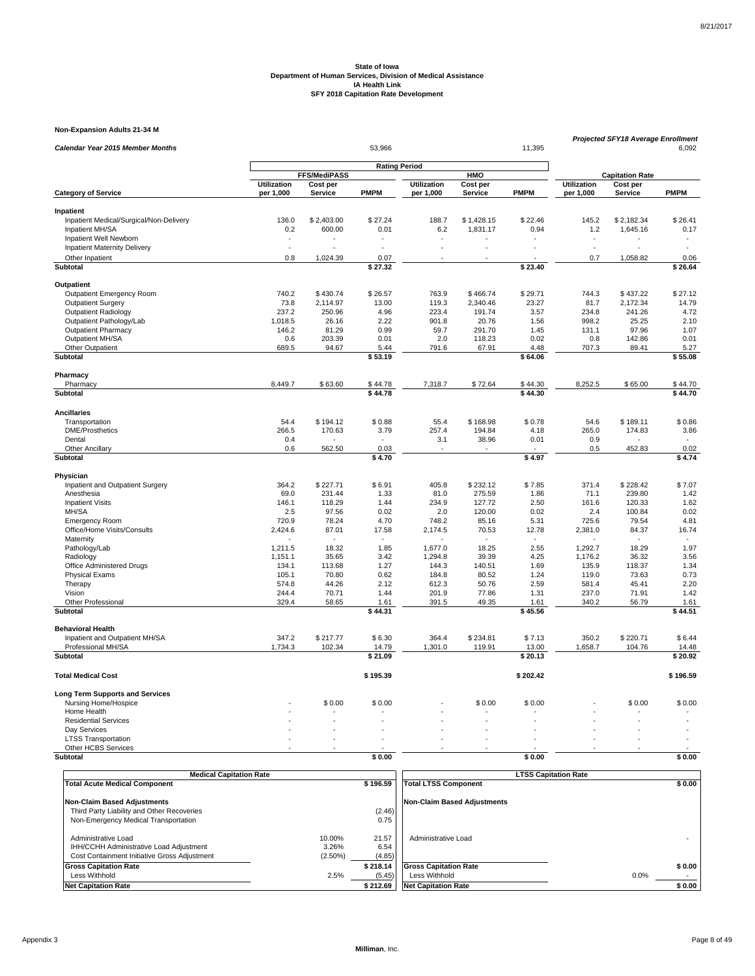**Non-Expansion Adults 21-34 M**

| Calendar Year 2015 Member Months                     |                          |                     | 11,395               | <b>Projected SFY18 Average Enrollment</b><br>6,092 |                     |                 |                                 |                        |                 |
|------------------------------------------------------|--------------------------|---------------------|----------------------|----------------------------------------------------|---------------------|-----------------|---------------------------------|------------------------|-----------------|
|                                                      |                          |                     | <b>Rating Period</b> |                                                    |                     |                 |                                 |                        |                 |
|                                                      |                          | FFS/MediPASS        |                      |                                                    | HMO                 |                 |                                 | <b>Capitation Rate</b> |                 |
| <b>Category of Service</b>                           | Utilization<br>per 1,000 | Cost per<br>Service | <b>PMPM</b>          | <b>Utilization</b><br>per 1,000                    | Cost per<br>Service | <b>PMPM</b>     | <b>Utilization</b><br>per 1,000 | Cost per<br>Service    | <b>PMPM</b>     |
| Inpatient                                            |                          |                     |                      |                                                    |                     |                 |                                 |                        |                 |
| Inpatient Medical/Surgical/Non-Delivery              | 136.0                    | \$2,403.00          | \$27.24              | 188.7                                              | \$1,428.15          | \$22.46         | 145.2                           | \$2,182.34             | \$26.41         |
| Inpatient MH/SA                                      | 0.2                      | 600.00              | 0.01                 | 6.2                                                | 1,831.17            | 0.94            | 1.2                             | 1,645.16               | 0.17            |
| Inpatient Well Newborn                               | $\overline{\phantom{a}}$ |                     |                      |                                                    |                     |                 | $\overline{\phantom{a}}$        |                        | ٠               |
| <b>Inpatient Maternity Delivery</b>                  | $\overline{\phantom{a}}$ |                     |                      |                                                    |                     |                 | $\overline{a}$                  |                        |                 |
| Other Inpatient                                      | 0.8                      | 1,024.39            | 0.07                 |                                                    |                     |                 | 0.7                             | 1,058.82               | 0.06            |
| Subtotal                                             |                          |                     | $\sqrt{27.32}$       |                                                    |                     | \$23.40         |                                 |                        | \$26.64         |
| Outpatient                                           |                          |                     |                      |                                                    |                     |                 |                                 |                        |                 |
| Outpatient Emergency Room                            | 740.2                    | \$430.74            | \$26.57              | 763.9                                              | \$466.74            | \$29.71         | 744.3                           | \$437.22               | \$27.12         |
| <b>Outpatient Surgery</b>                            | 73.8                     | 2,114.97            | 13.00                | 119.3                                              | 2,340.46            | 23.27           | 81.7                            | 2,172.34               | 14.79           |
| <b>Outpatient Radiology</b>                          | 237.2                    | 250.96              | 4.96                 | 223.4                                              | 191.74              | 3.57            | 234.8                           | 241.26                 | 4.72            |
| Outpatient Pathology/Lab                             | 1,018.5                  | 26.16               | 2.22                 | 901.8                                              | 20.76               | 1.56            | 998.2                           | 25.25                  | 2.10            |
| <b>Outpatient Pharmacy</b>                           | 146.2                    | 81.29               | 0.99                 | 59.7                                               | 291.70              | 1.45            | 131.1                           | 97.96                  | 1.07            |
| Outpatient MH/SA                                     | 0.6                      | 203.39              | 0.01                 | 2.0                                                | 118.23              | 0.02            | 0.8                             | 142.86                 | 0.01            |
| Other Outpatient                                     | 689.5                    | 94.67               | 5.44                 | 791.6                                              | 67.91               | 4.48            | 707.3                           | 89.41                  | 5.27            |
| <b>Subtotal</b>                                      |                          |                     | \$53.19              |                                                    |                     | \$64.06         |                                 |                        | \$55.08         |
| Pharmacy                                             |                          |                     |                      |                                                    |                     |                 |                                 |                        |                 |
| Pharmacy                                             | 8,449.7                  | \$63.60             | \$44.78              | 7,318.7                                            | \$72.64             | \$44.30         | 8,252.5                         | \$65.00                | \$44.70         |
| Subtotal                                             |                          |                     | \$44.78              |                                                    |                     | \$44.30         |                                 |                        | \$44.70         |
|                                                      |                          |                     |                      |                                                    |                     |                 |                                 |                        |                 |
| <b>Ancillaries</b>                                   |                          |                     |                      |                                                    |                     | \$0.78          |                                 |                        |                 |
| Transportation                                       | 54.4                     | \$194.12            | \$0.88               | 55.4                                               | \$168.98            |                 | 54.6                            | \$189.11               | \$0.86          |
| <b>DME/Prosthetics</b><br>Dental                     | 266.5                    | 170.63              | 3.79                 | 257.4                                              | 194.84<br>38.96     | 4.18            | 265.0<br>0.9                    | 174.83                 | 3.86            |
| <b>Other Ancillary</b>                               | 0.4<br>0.6               | 562.50              | 0.03                 | 3.1                                                |                     | 0.01            | 0.5                             | 452.83                 | 0.02            |
| Subtotal                                             |                          |                     | \$4.70               |                                                    |                     | \$4.97          |                                 |                        | \$4.74          |
|                                                      |                          |                     |                      |                                                    |                     |                 |                                 |                        |                 |
| Physician                                            | 364.2                    | \$227.71            | \$6.91               | 405.8                                              | \$232.12            | \$7.85          | 371.4                           | \$228.42               | \$7.07          |
| Inpatient and Outpatient Surgery                     |                          |                     |                      |                                                    |                     |                 |                                 |                        |                 |
| Anesthesia                                           | 69.0                     | 231.44              | 1.33                 | 81.0                                               | 275.59              | 1.86            | 71.1                            | 239.80                 | 1.42            |
| <b>Inpatient Visits</b><br>MH/SA                     | 146.1<br>2.5             | 118.29<br>97.56     | 1.44<br>0.02         | 234.9<br>2.0                                       | 127.72<br>120.00    | 2.50<br>0.02    | 161.6<br>2.4                    | 120.33<br>100.84       | 1.62<br>0.02    |
|                                                      | 720.9                    | 78.24               | 4.70                 | 748.2                                              | 85.16               | 5.31            | 725.6                           | 79.54                  | 4.81            |
| <b>Emergency Room</b>                                |                          | 87.01               |                      |                                                    |                     |                 | 2,381.0                         |                        | 16.74           |
| Office/Home Visits/Consults                          | 2,424.6                  |                     | 17.58                | 2,174.5                                            | 70.53               | 12.78           |                                 | 84.37                  |                 |
| Maternity<br>Pathology/Lab                           | 1,211.5                  | 18.32               | 1.85                 | 1,677.0                                            | 18.25               | 2.55            | 1,292.7                         | 18.29                  | 1.97            |
| Radiology                                            | 1,151.1                  | 35.65               | 3.42                 | 1,294.8                                            | 39.39               | 4.25            | 1,176.2                         | 36.32                  | 3.56            |
| Office Administered Drugs                            | 134.1                    | 113.68              | 1.27                 | 144.3                                              | 140.51              | 1.69            | 135.9                           | 118.37                 | 1.34            |
| <b>Physical Exams</b>                                | 105.1                    | 70.80               | 0.62                 | 184.8                                              | 80.52               | 1.24            | 119.0                           | 73.63                  | 0.73            |
| Therapy                                              | 574.8                    | 44.26               | 2.12                 | 612.3                                              | 50.76               | 2.59            | 581.4                           | 45.41                  | 2.20            |
| Vision                                               | 244.4                    | 70.71               | 1.44                 | 201.9                                              | 77.86               | 1.31            | 237.0                           | 71.91                  | 1.42            |
| Other Professional                                   | 329.4                    | 58.65               | 1.61                 | 391.5                                              | 49.35               | 1.61            | 340.2                           | 56.79                  | 1.61            |
| Subtotal                                             |                          |                     | \$44.31              |                                                    |                     | \$45.56         |                                 |                        | \$44.51         |
| <b>Behavioral Health</b>                             |                          |                     |                      |                                                    |                     |                 |                                 |                        |                 |
|                                                      | 347.2                    |                     | \$6.30               | 364.4                                              | \$234.81            |                 | 350.2                           | \$220.71               |                 |
| Inpatient and Outpatient MH/SA<br>Professional MH/SA | 1,734.3                  | \$217.77<br>102.34  | 14.79                | 1,301.0                                            | 119.91              | \$7.13<br>13.00 | 1,658.7                         | 104.76                 | \$6.44<br>14.48 |
| Subtotal                                             |                          |                     | \$21.09              |                                                    |                     | \$20.13         |                                 |                        | \$20.92         |
|                                                      |                          |                     |                      |                                                    |                     |                 |                                 |                        |                 |
| <b>Total Medical Cost</b>                            |                          |                     | \$195.39             |                                                    |                     | \$202.42        |                                 |                        | \$196.59        |
| <b>Long Term Supports and Services</b>               |                          |                     |                      |                                                    |                     |                 |                                 |                        |                 |
| Nursing Home/Hospice                                 |                          | \$0.00              | \$0.00               |                                                    | \$0.00              | \$0.00          |                                 | \$0.00                 | \$0.00          |
| Home Health                                          |                          |                     |                      |                                                    |                     |                 |                                 |                        |                 |
| <b>Residential Services</b>                          |                          |                     |                      |                                                    |                     |                 |                                 |                        |                 |
| Day Services                                         |                          |                     |                      |                                                    |                     |                 |                                 |                        |                 |
| <b>LTSS Transportation</b>                           |                          |                     |                      |                                                    |                     |                 |                                 |                        |                 |
| Other HCBS Services                                  |                          |                     |                      |                                                    |                     |                 |                                 |                        |                 |
| Subtotal                                             |                          |                     | \$0.00               |                                                    |                     | \$0.00          |                                 |                        | \$0.00          |

| <b>Medical Capitation Rate</b>                                                                                 |                               |                         |                              | <b>LTSS Capitation Rate</b> |  |  |  |
|----------------------------------------------------------------------------------------------------------------|-------------------------------|-------------------------|------------------------------|-----------------------------|--|--|--|
| <b>Total Acute Medical Component</b>                                                                           |                               | \$196.59                | <b>Total LTSS Component</b>  | \$0.00                      |  |  |  |
| <b>Non-Claim Based Adjustments</b>                                                                             |                               |                         | Non-Claim Based Adiustments  |                             |  |  |  |
| Third Party Liability and Other Recoveries                                                                     |                               | (2.46)                  |                              |                             |  |  |  |
| Non-Emergency Medical Transportation                                                                           |                               | 0.75                    |                              |                             |  |  |  |
| Administrative Load<br>IHH/CCHH Administrative Load Adjustment<br>Cost Containment Initiative Gross Adjustment | 10.00%<br>3.26%<br>$(2.50\%)$ | 21.57<br>6.54<br>(4.85) | Administrative Load          |                             |  |  |  |
| <b>Gross Capitation Rate</b>                                                                                   |                               | \$218.14                | <b>Gross Capitation Rate</b> | \$0.00                      |  |  |  |
| Less Withhold                                                                                                  | 2.5%                          | (5.45)                  | Less Withhold                | 0.0%                        |  |  |  |
| <b>Net Capitation Rate</b>                                                                                     |                               | \$212.69                | <b>Net Capitation Rate</b>   | \$0.00                      |  |  |  |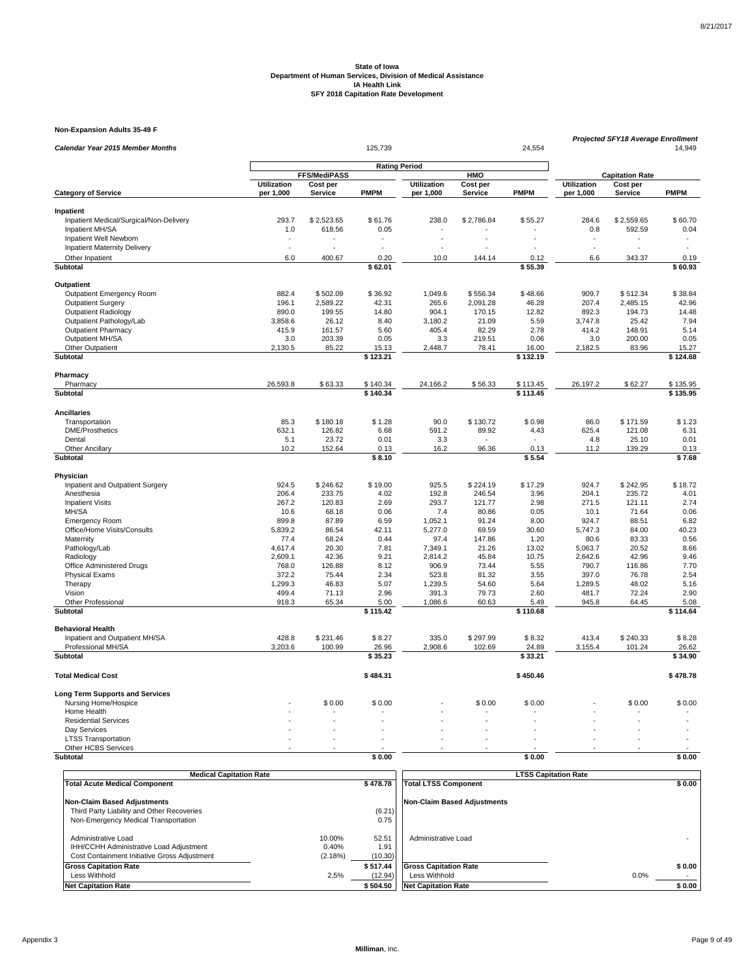**Non-Expansion Adults 35-49 F**

| Calendar Year 2015 Member Months         |                 |                     | 125,739              |                    |                | 24,554            | Projected SFY18 Average Enrollment<br>14,949 |                        |                       |
|------------------------------------------|-----------------|---------------------|----------------------|--------------------|----------------|-------------------|----------------------------------------------|------------------------|-----------------------|
|                                          |                 |                     |                      |                    |                |                   |                                              |                        |                       |
|                                          |                 | <b>FFS/MediPASS</b> | <b>Rating Period</b> |                    | HMO            |                   |                                              | <b>Capitation Rate</b> |                       |
|                                          | Utilization     | Cost per            |                      | <b>Utilization</b> | Cost per       |                   | <b>Utilization</b>                           | Cost per               |                       |
| <b>Category of Service</b>               | per 1,000       | <b>Service</b>      | PMPM                 | per 1,000          | Service        | <b>PMPM</b>       | per 1,000                                    | <b>Service</b>         | <b>PMPM</b>           |
| Inpatient                                |                 |                     |                      |                    |                |                   |                                              |                        |                       |
| Inpatient Medical/Surgical/Non-Delivery  | 293.7           | \$2,523.65          | \$61.76              | 238.0              | \$2,786.84     | \$55.27           | 284.6                                        | \$2,559.65             | \$60.70               |
| Inpatient MH/SA                          | 1.0             | 618.56              | 0.05                 |                    |                |                   | 0.8                                          | 592.59                 | 0.04                  |
| Inpatient Well Newborn                   |                 |                     |                      |                    |                |                   |                                              |                        | ٠                     |
| <b>Inpatient Maternity Delivery</b>      | $\sim$          |                     |                      |                    |                |                   | J.                                           | ÷,                     | $\tilde{\phantom{a}}$ |
| Other Inpatient                          | 6.0             | 400.67              | 0.20                 | 10.0               | 144.14         | 0.12              | 6.6                                          | 343.37                 | 0.19                  |
| Subtotal                                 |                 |                     | \$62.01              |                    |                | \$55.39           |                                              |                        | \$60.93               |
| <b>Outpatient</b>                        |                 |                     |                      |                    |                |                   |                                              |                        |                       |
| Outpatient Emergency Room                | 882.4           | \$502.09            | \$36.92              | 1,049.6            | \$556.34       | \$48.66           | 909.7                                        | \$512.34               | \$38.84               |
| <b>Outpatient Surgery</b>                | 196.1           | 2,589.22            | 42.31                | 265.6              | 2,091.28       | 46.28             | 207.4                                        | 2,485.15               | 42.96                 |
| <b>Outpatient Radiology</b>              | 890.0           | 199.55              | 14.80                | 904.1              | 170.15         | 12.82             | 892.3                                        | 194.73                 | 14.48                 |
| Outpatient Pathology/Lab                 | 3,858.6         | 26.12               | 8.40                 | 3,180.2            | 21.09          | 5.59              | 3,747.8                                      | 25.42                  | 7.94                  |
| <b>Outpatient Pharmacy</b>               | 415.9           | 161.57              | 5.60                 | 405.4              | 82.29          | 2.78              | 414.2                                        | 148.91                 | 5.14                  |
| Outpatient MH/SA                         | 3.0             | 203.39              | 0.05                 | 3.3                | 219.51         | 0.06              | 3.0                                          | 200.00                 | 0.05                  |
| Other Outpatient<br><b>Subtotal</b>      | 2,130.5         | 85.22               | 15.13<br>\$123.21    | 2,448.7            | 78.41          | 16.00<br>\$132.19 | 2,182.5                                      | 83.96                  | 15.27<br>\$124.68     |
|                                          |                 |                     |                      |                    |                |                   |                                              |                        |                       |
| Pharmacy                                 |                 |                     |                      |                    |                |                   |                                              |                        |                       |
| Pharmacy                                 | 26,593.8        | \$63.33             | \$140.34             | 24,166.2           | \$56.33        | \$113.45          | 26,197.2                                     | \$62.27                | \$135.95              |
| Subtotal                                 |                 |                     | \$140.34             |                    |                | \$113.45          |                                              |                        | \$135.95              |
| <b>Ancillaries</b>                       |                 |                     |                      |                    |                |                   |                                              |                        |                       |
| Transportation                           | 85.3            | \$180.18            | \$1.28               | 90.0               | \$130.72       | \$0.98            | 86.0                                         | \$171.59               | \$1.23                |
| <b>DME/Prosthetics</b>                   | 632.1           | 126.82              | 6.68                 | 591.2              | 89.92          | 4.43              | 625.4                                        | 121.08                 | 6.31                  |
| Dental                                   | 5.1             | 23.72               | 0.01                 | 3.3                |                |                   | 4.8                                          | 25.10                  | 0.01                  |
| Other Ancillary                          | 10.2            | 152.64              | 0.13                 | 16.2               | 96.36          | 0.13              | 11.2                                         | 139.29                 | 0.13                  |
| Subtotal                                 |                 |                     | \$8.10               |                    |                | \$5.54            |                                              |                        | \$7.68                |
| Physician                                |                 |                     |                      |                    |                |                   |                                              |                        |                       |
| Inpatient and Outpatient Surgery         | 924.5           | \$246.62            | \$19.00              | 925.5              | \$224.19       | \$17.29           | 924.7                                        | \$242.95               | \$18.72               |
| Anesthesia                               | 206.4           | 233.75              | 4.02                 | 192.8              | 246.54         | 3.96              | 204.1                                        | 235.72                 | 4.01                  |
| <b>Inpatient Visits</b>                  | 267.2           | 120.83              | 2.69                 | 293.7              | 121.77         | 2.98              | 271.5                                        | 121.11                 | 2.74                  |
| MH/SA                                    | 10.6            | 68.18               | 0.06                 | 7.4                | 80.86          | 0.05              | 10.1                                         | 71.64                  | 0.06                  |
| Emergency Room                           | 899.8           | 87.89<br>86.54      | 6.59                 | 1,052.1            | 91.24<br>69.59 | 8.00<br>30.60     | 924.7<br>5,747.3                             | 88.51<br>84.00         | 6.82<br>40.23         |
| Office/Home Visits/Consults<br>Maternity | 5,839.2<br>77.4 | 68.24               | 42.11<br>0.44        | 5,277.0<br>97.4    | 147.86         | 1.20              | 80.6                                         | 83.33                  | 0.56                  |
| Pathology/Lab                            | 4,617.4         | 20.30               | 7.81                 | 7,349.1            | 21.26          | 13.02             | 5,063.7                                      | 20.52                  | 8.66                  |
| Radiology                                | 2,609.1         | 42.36               | 9.21                 | 2,814.2            | 45.84          | 10.75             | 2,642.6                                      | 42.96                  | 9.46                  |
| Office Administered Drugs                | 768.0           | 126.88              | 8.12                 | 906.9              | 73.44          | 5.55              | 790.7                                        | 116.86                 | 7.70                  |
| <b>Physical Exams</b>                    | 372.2           | 75.44               | 2.34                 | 523.8              | 81.32          | 3.55              | 397.0                                        | 76.78                  | 2.54                  |
| Therapy                                  | 1,299.3         | 46.83               | 5.07                 | 1,239.5            | 54.60          | 5.64              | 1,289.5                                      | 48.02                  | 5.16                  |
| Vision                                   | 499.4           | 71.13               | 2.96                 | 391.3              | 79.73          | 2.60              | 481.7                                        | 72.24                  | 2.90                  |
| Other Professional                       | 918.3           | 65.34               | 5.00                 | 1,086.6            | 60.63          | 5.49              | 945.8                                        | 64.45                  | 5.08                  |
| Subtotal                                 |                 |                     | \$115.42             |                    |                | \$110.68          |                                              |                        | \$114.64              |
| <b>Behavioral Health</b>                 |                 |                     |                      |                    |                |                   |                                              |                        |                       |
| Inpatient and Outpatient MH/SA           | 428.8           | \$231.46            | \$8.27               | 335.0              | \$297.99       | \$8.32            | 413.4                                        | \$240.33               | \$8.28                |
| Professional MH/SA                       | 3.203.6         | 100.99              | 26.96                | 2.908.6            | 102.69         | 24.89             | 3,155.4                                      | 101.24                 | 26.62                 |
| Subtotal                                 |                 |                     | \$35.23              |                    |                | \$33.21           |                                              |                        | \$34.90               |
| <b>Total Medical Cost</b>                |                 |                     | \$484.31             |                    |                | \$450.46          |                                              |                        | \$478.78              |
| <b>Long Term Supports and Services</b>   |                 |                     |                      |                    |                |                   |                                              |                        |                       |
| Nursing Home/Hospice                     |                 | \$0.00              | \$0.00               |                    | \$0.00         | \$0.00            |                                              | \$0.00                 | \$0.00                |
| Home Health                              |                 |                     |                      |                    |                |                   |                                              |                        |                       |
| <b>Residential Services</b>              |                 |                     |                      |                    |                |                   |                                              |                        |                       |
| Day Services                             |                 |                     |                      |                    |                |                   |                                              |                        |                       |
| <b>LTSS Transportation</b>               |                 |                     |                      |                    |                |                   |                                              |                        |                       |
| Other HCBS Services                      |                 |                     |                      |                    |                |                   |                                              |                        |                       |
| Subtotal                                 |                 |                     | \$0.00               |                    |                | \$0.00            |                                              |                        | \$0.00                |
|                                          |                 |                     |                      |                    |                |                   |                                              |                        |                       |

| <b>Medical Capitation Rate</b>                                                                                 |                            |                          | <b>LTSS Capitation Rate</b>  |        |  |  |  |
|----------------------------------------------------------------------------------------------------------------|----------------------------|--------------------------|------------------------------|--------|--|--|--|
| <b>Total Acute Medical Component</b>                                                                           |                            | \$478.78                 | <b>Total LTSS Component</b>  | \$0.00 |  |  |  |
| Non-Claim Based Adjustments                                                                                    |                            |                          | Non-Claim Based Adiustments  |        |  |  |  |
| Third Party Liability and Other Recoveries                                                                     |                            | (6.21)                   |                              |        |  |  |  |
| Non-Emergency Medical Transportation                                                                           |                            | 0.75                     |                              |        |  |  |  |
| Administrative Load<br>IHH/CCHH Administrative Load Adjustment<br>Cost Containment Initiative Gross Adjustment | 10.00%<br>0.40%<br>(2.18%) | 52.51<br>1.91<br>(10.30) | Administrative Load          |        |  |  |  |
| <b>Gross Capitation Rate</b>                                                                                   |                            | \$517.44                 | <b>Gross Capitation Rate</b> | \$0.00 |  |  |  |
| Less Withhold                                                                                                  | 2.5%                       | (12.94)                  | Less Withhold                | 0.0%   |  |  |  |
| <b>Net Capitation Rate</b>                                                                                     |                            | \$504.50                 | <b>Net Capitation Rate</b>   | \$0.00 |  |  |  |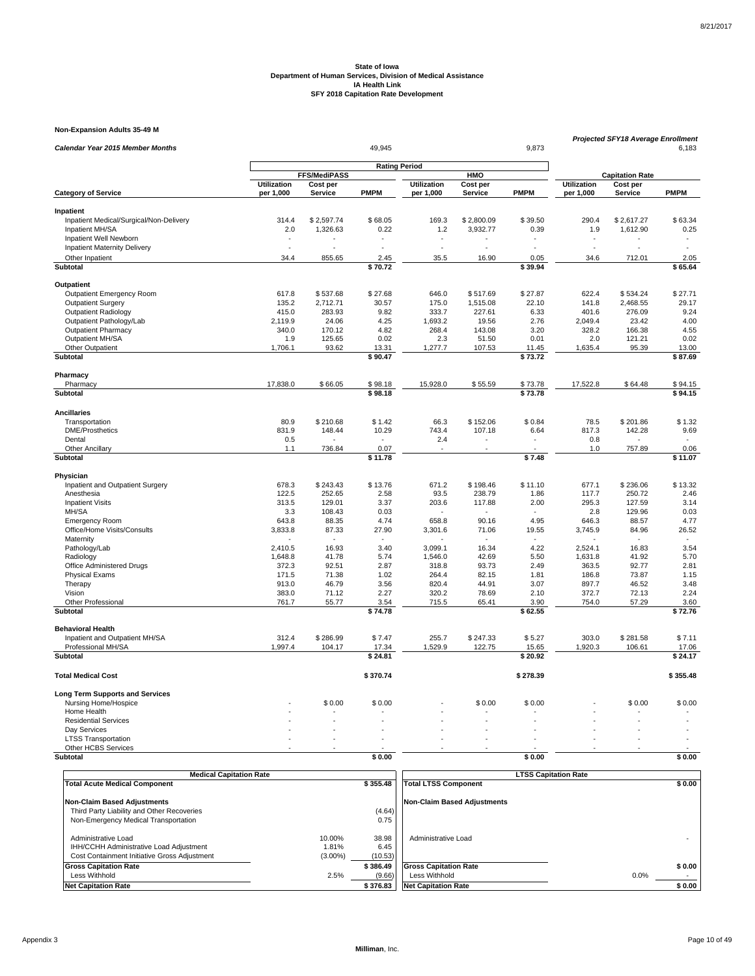**Non-Expansion Adults 35-49 M**

| Calendar Year 2015 Member Months                     |                          |                            | 49,945               |                                 |                     | 9,873                    | Projected SFY18 Average Enrollment<br>6,183 |                            |                          |
|------------------------------------------------------|--------------------------|----------------------------|----------------------|---------------------------------|---------------------|--------------------------|---------------------------------------------|----------------------------|--------------------------|
|                                                      |                          |                            | <b>Rating Period</b> |                                 |                     |                          |                                             |                            |                          |
|                                                      |                          | FFS/MediPASS               |                      |                                 | HMO                 |                          |                                             | <b>Capitation Rate</b>     |                          |
| <b>Category of Service</b>                           | Utilization<br>per 1,000 | Cost per<br><b>Service</b> | <b>PMPM</b>          | <b>Utilization</b><br>per 1,000 | Cost per<br>Service | <b>PMPM</b>              | <b>Utilization</b><br>per 1,000             | Cost per<br><b>Service</b> | <b>PMPM</b>              |
|                                                      |                          |                            |                      |                                 |                     |                          |                                             |                            |                          |
| Inpatient<br>Inpatient Medical/Surgical/Non-Delivery | 314.4                    | \$2,597.74                 | \$68.05              | 169.3                           | \$2,800.09          | \$39.50                  | 290.4                                       | \$2,617.27                 | \$63.34                  |
| Inpatient MH/SA                                      | 2.0                      | 1,326.63                   | 0.22                 | 1.2                             | 3,932.77            | 0.39                     | 1.9                                         | 1,612.90                   | 0.25                     |
| Inpatient Well Newborn                               | $\overline{\phantom{a}}$ |                            |                      | ٠                               |                     | ٠                        | $\blacksquare$                              |                            | ٠                        |
| Inpatient Maternity Delivery                         | $\overline{a}$           |                            |                      | $\overline{a}$                  |                     |                          | $\overline{a}$                              | L.                         | $\overline{a}$           |
| Other Inpatient                                      | 34.4                     | 855.65                     | 2.45                 | 35.5                            | 16.90               | 0.05                     | 34.6                                        | 712.01                     | 2.05                     |
| Subtotal                                             |                          |                            | $\sqrt{570.72}$      |                                 |                     | \$39.94                  |                                             |                            | \$65.64                  |
| Outpatient                                           |                          |                            |                      |                                 |                     |                          |                                             |                            |                          |
| Outpatient Emergency Room                            | 617.8                    | \$537.68                   | \$27.68              | 646.0                           | \$517.69            | \$27.87                  | 622.4                                       | \$534.24                   | \$27.71                  |
| <b>Outpatient Surgery</b>                            | 135.2                    | 2,712.71                   | 30.57                | 175.0                           | 1,515.08            | 22.10                    | 141.8                                       | 2,468.55                   | 29.17                    |
| <b>Outpatient Radiology</b>                          | 415.0                    | 283.93                     | 9.82                 | 333.7                           | 227.61              | 6.33                     | 401.6                                       | 276.09                     | 9.24                     |
| Outpatient Pathology/Lab                             | 2,119.9                  | 24.06                      | 4.25                 | 1,693.2                         | 19.56               | 2.76                     | 2,049.4                                     | 23.42                      | 4.00                     |
| <b>Outpatient Pharmacy</b>                           | 340.0                    | 170.12                     | 4.82                 | 268.4                           | 143.08              | 3.20                     | 328.2                                       | 166.38                     | 4.55                     |
| Outpatient MH/SA                                     | 1.9                      | 125.65                     | 0.02                 | 2.3                             | 51.50               | 0.01                     | 2.0                                         | 121.21                     | 0.02                     |
| Other Outpatient                                     | 1,706.1                  | 93.62                      | 13.31                | 1,277.7                         | 107.53              | 11.45                    | 1,635.4                                     | 95.39                      | 13.00                    |
| Subtotal                                             |                          |                            | \$90.47              |                                 |                     | \$73.72                  |                                             |                            | \$87.69                  |
| Pharmacy                                             |                          |                            |                      |                                 |                     |                          |                                             |                            |                          |
| Pharmacy                                             | 17,838.0                 | \$66.05                    | \$98.18              | 15,928.0                        | \$55.59             | \$73.78                  | 17,522.8                                    | \$64.48                    | \$94.15                  |
| Subtotal                                             |                          |                            | \$98.18              |                                 |                     | \$73.78                  |                                             |                            | \$94.15                  |
| <b>Ancillaries</b>                                   |                          |                            |                      |                                 |                     |                          |                                             |                            |                          |
| Transportation                                       | 80.9                     | \$210.68                   | \$1.42               | 66.3                            | \$152.06            | \$0.84                   | 78.5                                        | \$201.86                   | \$1.32                   |
| <b>DME/Prosthetics</b>                               | 831.9                    | 148.44                     | 10.29                | 743.4                           | 107.18              | 6.64                     | 817.3                                       | 142.28                     | 9.69                     |
| Dental                                               | 0.5                      |                            |                      | 2.4                             |                     | $\overline{\phantom{a}}$ | 0.8                                         |                            | $\ddot{\phantom{1}}$     |
| <b>Other Ancillary</b>                               | 1.1                      | 736.84                     | 0.07                 |                                 |                     |                          | 1.0                                         | 757.89                     | 0.06                     |
| Subtotal                                             |                          |                            | $\sqrt{5}$ 11.78     |                                 |                     | \$7.48                   |                                             |                            | \$11.07                  |
| Physician                                            |                          |                            |                      |                                 |                     |                          |                                             |                            |                          |
| Inpatient and Outpatient Surgery                     | 678.3                    | \$243.43                   | \$13.76              | 671.2                           | \$198.46            | \$11.10                  | 677.1                                       | \$236.06                   | \$13.32                  |
| Anesthesia                                           | 122.5                    | 252.65                     | 2.58                 | 93.5                            | 238.79              | 1.86                     | 117.7                                       | 250.72                     | 2.46                     |
| <b>Inpatient Visits</b>                              | 313.5                    | 129.01                     | 3.37                 | 203.6                           | 117.88              | 2.00                     | 295.3                                       | 127.59                     | 3.14                     |
| MH/SA                                                | 3.3                      | 108.43                     | 0.03                 |                                 |                     |                          | 2.8                                         | 129.96                     | 0.03                     |
| <b>Emergency Room</b>                                | 643.8                    | 88.35                      | 4.74                 | 658.8                           | 90.16               | 4.95                     | 646.3                                       | 88.57                      | 4.77                     |
| Office/Home Visits/Consults                          | 3,833.8                  | 87.33                      | 27.90                | 3,301.6                         | 71.06               | 19.55                    | 3,745.9                                     | 84.96                      | 26.52                    |
| Maternity                                            |                          |                            |                      |                                 |                     |                          |                                             |                            | $\overline{\phantom{a}}$ |
| Pathology/Lab                                        | 2,410.5                  | 16.93                      | 3.40                 | 3,099.1                         | 16.34               | 4.22                     | 2,524.1                                     | 16.83                      | 3.54                     |
| Radiology                                            | 1,648.8                  | 41.78                      | 5.74                 | 1,546.0                         | 42.69               | 5.50                     | 1,631.8                                     | 41.92                      | 5.70                     |
| Office Administered Drugs                            | 372.3                    | 92.51                      | 2.87                 | 318.8                           | 93.73               | 2.49                     | 363.5                                       | 92.77                      | 2.81                     |
| <b>Physical Exams</b>                                | 171.5                    | 71.38                      | 1.02                 | 264.4                           | 82.15               | 1.81                     | 186.8                                       | 73.87                      | 1.15                     |
| Therapy                                              | 913.0                    | 46.79                      | 3.56                 | 820.4                           | 44.91               | 3.07                     | 897.7                                       | 46.52                      | 3.48                     |
| Vision                                               | 383.0                    | 71.12                      | 2.27                 | 320.2                           | 78.69               | 2.10                     | 372.7                                       | 72.13                      | 2.24                     |
| Other Professional<br>Subtotal                       | 761.7                    | 55.77                      | 3.54<br>\$74.78      | 715.5                           | 65.41               | 3.90<br>\$62.55          | 754.0                                       | 57.29                      | 3.60<br>\$72.76          |
| <b>Behavioral Health</b>                             |                          |                            |                      |                                 |                     |                          |                                             |                            |                          |
|                                                      | 312.4                    |                            |                      |                                 |                     |                          |                                             |                            |                          |
| Inpatient and Outpatient MH/SA<br>Professional MH/SA | 1,997.4                  | \$286.99<br>104.17         | \$7.47<br>17.34      | 255.7<br>1,529.9                | \$247.33<br>122.75  | \$5.27<br>15.65          | 303.0<br>1,920.3                            | \$281.58<br>106.61         | \$7.11<br>17.06          |
| <b>Subtotal</b>                                      |                          |                            | \$24.81              |                                 |                     | \$20.92                  |                                             |                            | \$24.17                  |
|                                                      |                          |                            |                      |                                 |                     |                          |                                             |                            |                          |
| <b>Total Medical Cost</b>                            |                          |                            | \$370.74             |                                 |                     | \$278.39                 |                                             |                            | \$355.48                 |
| <b>Long Term Supports and Services</b>               |                          |                            |                      |                                 |                     |                          |                                             |                            |                          |
| Nursing Home/Hospice                                 |                          | \$0.00                     | \$0.00               |                                 | \$0.00              | \$0.00                   |                                             | \$0.00                     | \$0.00                   |
| Home Health                                          |                          |                            |                      |                                 |                     |                          |                                             |                            |                          |
| <b>Residential Services</b>                          |                          |                            |                      |                                 |                     |                          |                                             |                            |                          |
| Day Services                                         |                          |                            |                      |                                 |                     |                          |                                             |                            |                          |
| <b>LTSS Transportation</b><br>Other HCBS Services    |                          |                            |                      |                                 |                     |                          |                                             |                            |                          |
| Subtotal                                             |                          |                            | \$0.00               |                                 |                     | \$0.00                   |                                             |                            | \$0.00                   |
|                                                      |                          |                            |                      |                                 |                     |                          |                                             |                            |                          |

|                                                                                                                | <b>Medical Capitation Rate</b> |                          |                              | <b>LTSS Capitation Rate</b> |  |  |  |  |
|----------------------------------------------------------------------------------------------------------------|--------------------------------|--------------------------|------------------------------|-----------------------------|--|--|--|--|
| <b>Total Acute Medical Component</b>                                                                           |                                | \$355.48                 | <b>Total LTSS Component</b>  | \$0.00                      |  |  |  |  |
| Non-Claim Based Adjustments                                                                                    |                                |                          | Non-Claim Based Adiustments  |                             |  |  |  |  |
| Third Party Liability and Other Recoveries                                                                     |                                | (4.64)                   |                              |                             |  |  |  |  |
| Non-Emergency Medical Transportation                                                                           |                                | 0.75                     |                              |                             |  |  |  |  |
| Administrative Load<br>IHH/CCHH Administrative Load Adjustment<br>Cost Containment Initiative Gross Adjustment | 10.00%<br>1.81%<br>$(3.00\%)$  | 38.98<br>6.45<br>(10.53) | Administrative Load          |                             |  |  |  |  |
| <b>Gross Capitation Rate</b>                                                                                   |                                | \$386.49                 | <b>Gross Capitation Rate</b> | \$0.00                      |  |  |  |  |
| Less Withhold                                                                                                  | 2.5%                           | (9.66)                   | Less Withhold                | 0.0%                        |  |  |  |  |
| <b>Net Capitation Rate</b>                                                                                     |                                | \$376.83                 | <b>Net Capitation Rate</b>   | \$0.00                      |  |  |  |  |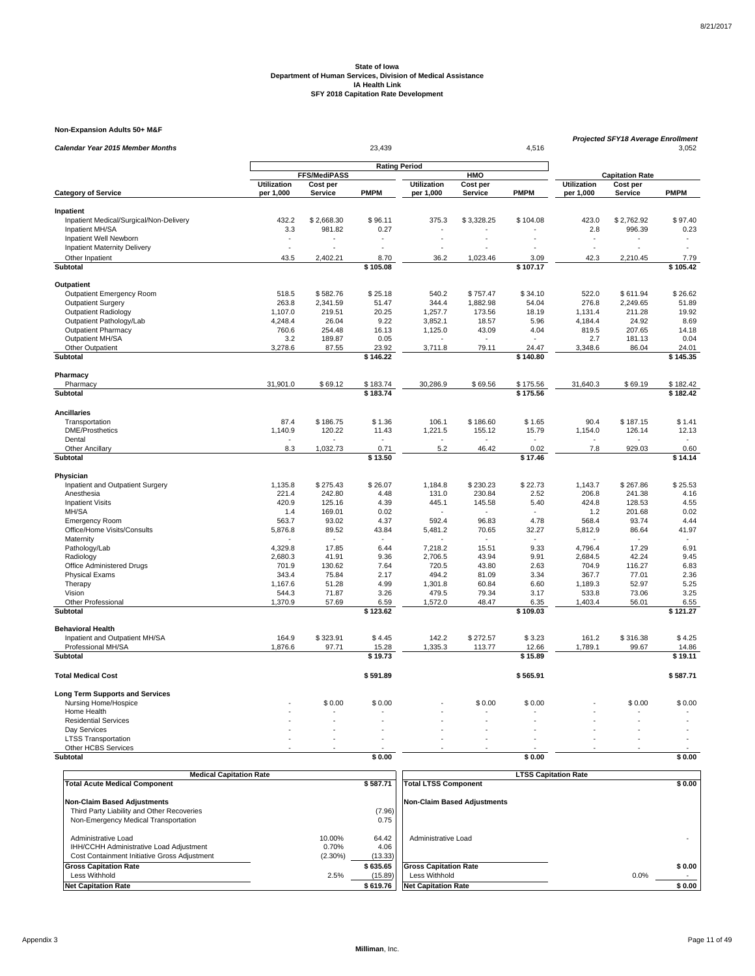**Non-Expansion Adults 50+ M&F**

| Calendar Year 2015 Member Months          |                          |                      |                      | <b>Projected SFY18 Average Enrollment</b> | 3,052                |                          |                                 |                     |                          |
|-------------------------------------------|--------------------------|----------------------|----------------------|-------------------------------------------|----------------------|--------------------------|---------------------------------|---------------------|--------------------------|
|                                           |                          |                      | <b>Rating Period</b> |                                           |                      |                          |                                 |                     |                          |
|                                           |                          | FFS/MediPASS         |                      |                                           | HMO                  |                          | <b>Capitation Rate</b>          |                     |                          |
| <b>Category of Service</b>                | Utilization<br>per 1,000 | Cost per<br>Service  | <b>PMPM</b>          | <b>Utilization</b><br>per 1,000           | Cost per<br>Service  | <b>PMPM</b>              | <b>Utilization</b><br>per 1,000 | Cost per<br>Service | <b>PMPM</b>              |
| Inpatient                                 |                          |                      |                      |                                           |                      |                          |                                 |                     |                          |
| Inpatient Medical/Surgical/Non-Delivery   | 432.2                    | \$2,668.30           | \$96.11              | 375.3                                     | \$3,328.25           | \$104.08                 | 423.0                           | \$2,762.92          | \$97.40                  |
| Inpatient MH/SA                           | 3.3                      | 981.82               | 0.27                 |                                           |                      |                          | 2.8                             | 996.39              | 0.23                     |
| Inpatient Well Newborn                    | $\overline{a}$           |                      |                      |                                           |                      |                          | $\overline{\phantom{a}}$        |                     | $\overline{\phantom{a}}$ |
| Inpatient Maternity Delivery              |                          |                      |                      |                                           |                      |                          | $\overline{\phantom{a}}$        |                     | $\ddot{\phantom{1}}$     |
| Other Inpatient                           | 43.5                     | 2,402.21             | 8.70                 | 36.2                                      | 1,023.46             | 3.09                     | 42.3                            | 2,210.45            | 7.79                     |
| <b>Subtotal</b>                           |                          |                      | \$105.08             |                                           |                      | \$107.17                 |                                 |                     | \$105.42                 |
| Outpatient                                |                          |                      |                      |                                           |                      |                          |                                 |                     |                          |
| Outpatient Emergency Room                 | 518.5                    |                      | \$25.18              | 540.2                                     |                      |                          | 522.0                           | \$611.94            | \$26.62                  |
| <b>Outpatient Surgery</b>                 | 263.8                    | \$582.76<br>2,341.59 | 51.47                | 344.4                                     | \$757.47<br>1,882.98 | \$34.10<br>54.04         | 276.8                           | 2,249.65            | 51.89                    |
| <b>Outpatient Radiology</b>               | 1,107.0                  | 219.51               | 20.25                | 1,257.7                                   | 173.56               | 18.19                    | 1,131.4                         | 211.28              | 19.92                    |
| Outpatient Pathology/Lab                  | 4.248.4                  | 26.04                | 9.22                 | 3.852.1                                   | 18.57                | 5.96                     | 4.184.4                         | 24.92               | 8.69                     |
| <b>Outpatient Pharmacy</b>                | 760.6                    | 254.48               | 16.13                | 1,125.0                                   | 43.09                | 4.04                     | 819.5                           | 207.65              | 14.18                    |
| Outpatient MH/SA                          | 3.2                      | 189.87               | 0.05                 |                                           |                      | $\overline{\phantom{a}}$ | 2.7                             | 181.13              | 0.04                     |
| Other Outpatient                          | 3,278.6                  | 87.55                | 23.92                | 3,711.8                                   | 79.11                | 24.47                    | 3,348.6                         | 86.04               | 24.01                    |
| Subtotal                                  |                          |                      | \$146.22             |                                           |                      | \$140.80                 |                                 |                     | \$145.35                 |
|                                           |                          |                      |                      |                                           |                      |                          |                                 |                     |                          |
| Pharmacy<br>Pharmacy                      | 31,901.0                 | \$69.12              | \$183.74             | 30,286.9                                  | \$69.56              | \$175.56                 | 31,640.3                        | \$69.19             | \$182.42                 |
| Subtotal                                  |                          |                      | \$183.74             |                                           |                      | \$175.56                 |                                 |                     | \$182.42                 |
|                                           |                          |                      |                      |                                           |                      |                          |                                 |                     |                          |
| <b>Ancillaries</b>                        |                          |                      |                      |                                           |                      |                          |                                 |                     |                          |
| Transportation                            | 87.4                     | \$186.75             | \$1.36               | 106.1                                     | \$186.60             | \$1.65                   | 90.4                            | \$187.15            | \$1.41                   |
| <b>DME/Prosthetics</b>                    | 1,140.9                  | 120.22               | 11.43                | 1,221.5                                   | 155.12               | 15.79                    | 1,154.0                         | 126.14              | 12.13                    |
| Dental                                    |                          |                      |                      |                                           |                      |                          |                                 |                     |                          |
| <b>Other Ancillary</b><br><b>Subtotal</b> | 8.3                      | 1,032.73             | 0.71<br>\$13.50      | 5.2                                       | 46.42                | 0.02<br>\$17.46          | 7.8                             | 929.03              | 0.60<br>\$14.14          |
|                                           |                          |                      |                      |                                           |                      |                          |                                 |                     |                          |
| Physician                                 |                          |                      |                      |                                           |                      |                          |                                 |                     |                          |
| Inpatient and Outpatient Surgery          | 1.135.8                  | \$275.43             | \$26.07              | 1.184.8                                   | \$230.23             | \$22.73                  | 1,143.7                         | \$267.86            | \$25.53                  |
| Anesthesia                                | 221.4                    | 242.80               | 4.48                 | 131.0                                     | 230.84               | 2.52                     | 206.8                           | 241.38              | 4.16                     |
| <b>Inpatient Visits</b>                   | 420.9                    | 125.16               | 4.39                 | 445.1                                     | 145.58               | 5.40                     | 424.8                           | 128.53              | 4.55                     |
| MH/SA                                     | 1.4                      | 169.01               | 0.02                 |                                           |                      |                          | 1.2                             | 201.68              | 0.02                     |
| <b>Emergency Room</b>                     | 563.7                    | 93.02                | 4.37                 | 592.4                                     | 96.83                | 4.78                     | 568.4                           | 93.74               | 4.44                     |
| Office/Home Visits/Consults               | 5,876.8                  | 89.52                | 43.84                | 5,481.2                                   | 70.65                | 32.27                    | 5,812.9                         | 86.64               | 41.97                    |
| Maternity                                 |                          |                      |                      |                                           |                      |                          |                                 |                     |                          |
| Pathology/Lab                             | 4,329.8                  | 17.85                | 6.44                 | 7,218.2                                   | 15.51                | 9.33                     | 4,796.4                         | 17.29               | 6.91                     |
| Radiology                                 | 2,680.3                  | 41.91                | 9.36                 | 2,706.5                                   | 43.94                | 9.91                     | 2,684.5                         | 42.24               | 9.45                     |
| Office Administered Drugs                 | 701.9                    | 130.62               | 7.64                 | 720.5                                     | 43.80                | 2.63                     | 704.9                           | 116.27              | 6.83                     |
| <b>Physical Exams</b>                     | 343.4<br>1,167.6         | 75.84<br>51.28       | 2.17                 | 494.2<br>1,301.8                          | 81.09<br>60.84       | 3.34<br>6.60             | 367.7<br>1,189.3                | 77.01<br>52.97      | 2.36<br>5.25             |
| Therapy<br>Vision                         | 544.3                    | 71.87                | 4.99<br>3.26         | 479.5                                     | 79.34                | 3.17                     | 533.8                           | 73.06               | 3.25                     |
| Other Professional                        | 1,370.9                  | 57.69                | 6.59                 | 1,572.0                                   | 48.47                | 6.35                     | 1,403.4                         | 56.01               | 6.55                     |
| Subtotal                                  |                          |                      | \$123.62             |                                           |                      | \$109.03                 |                                 |                     | \$121.27                 |
| <b>Behavioral Health</b>                  |                          |                      |                      |                                           |                      |                          |                                 |                     |                          |
| Inpatient and Outpatient MH/SA            | 164.9                    | \$323.91             | \$4.45               | 142.2                                     | \$272.57             | \$3.23                   | 161.2                           | \$316.38            | \$4.25                   |
| Professional MH/SA                        | 1,876.6                  | 97.71                | 15.28                | 1,335.3                                   | 113.77               | 12.66                    | 1,789.1                         | 99.67               | 14.86                    |
| Subtotal                                  |                          |                      | \$19.73              |                                           |                      | \$15.89                  |                                 |                     | \$19.11                  |
|                                           |                          |                      |                      |                                           |                      |                          |                                 |                     |                          |
| <b>Total Medical Cost</b>                 |                          |                      | \$591.89             |                                           |                      | \$565.91                 |                                 |                     | \$587.71                 |
| <b>Long Term Supports and Services</b>    |                          |                      |                      |                                           |                      |                          |                                 |                     |                          |
| Nursing Home/Hospice                      |                          | \$0.00               | \$0.00               |                                           | \$0.00               | \$0.00                   |                                 | \$0.00              | \$0.00                   |
| Home Health                               |                          |                      |                      |                                           |                      |                          |                                 |                     |                          |
| <b>Residential Services</b>               |                          |                      |                      |                                           |                      |                          |                                 |                     |                          |
| Day Services                              |                          |                      |                      |                                           |                      |                          |                                 |                     |                          |
| <b>LTSS Transportation</b>                |                          |                      |                      |                                           |                      |                          |                                 |                     |                          |
| Other HCBS Services                       |                          |                      |                      |                                           |                      |                          |                                 |                     |                          |
| Subtotal                                  |                          |                      | \$0.00               |                                           |                      | \$0.00                   |                                 |                     | \$0.00                   |

| <b>Medical Capitation Rate</b>               |            |          | <b>LTSS Capitation Rate</b>        |        |  |  |  |
|----------------------------------------------|------------|----------|------------------------------------|--------|--|--|--|
| <b>Total Acute Medical Component</b>         |            | \$587.71 | <b>Total LTSS Component</b>        | \$0.00 |  |  |  |
|                                              |            |          |                                    |        |  |  |  |
| <b>Non-Claim Based Adjustments</b>           |            |          | <b>Non-Claim Based Adjustments</b> |        |  |  |  |
| Third Party Liability and Other Recoveries   |            | (7.96)   |                                    |        |  |  |  |
| Non-Emergency Medical Transportation         |            | 0.75     |                                    |        |  |  |  |
|                                              |            |          |                                    |        |  |  |  |
| Administrative Load                          | 10.00%     | 64.42    | Administrative Load                |        |  |  |  |
| IHH/CCHH Administrative Load Adjustment      | 0.70%      | 4.06     |                                    |        |  |  |  |
| Cost Containment Initiative Gross Adjustment | $(2.30\%)$ | (13.33)  |                                    |        |  |  |  |
| <b>Gross Capitation Rate</b>                 |            | \$635.65 | <b>Gross Capitation Rate</b>       | \$0.00 |  |  |  |
| Less Withhold                                | 2.5%       | (15.89)  | Less Withhold                      | 0.0%   |  |  |  |
| <b>Net Capitation Rate</b>                   |            | \$619.76 | <b>Net Capitation Rate</b>         | \$0.00 |  |  |  |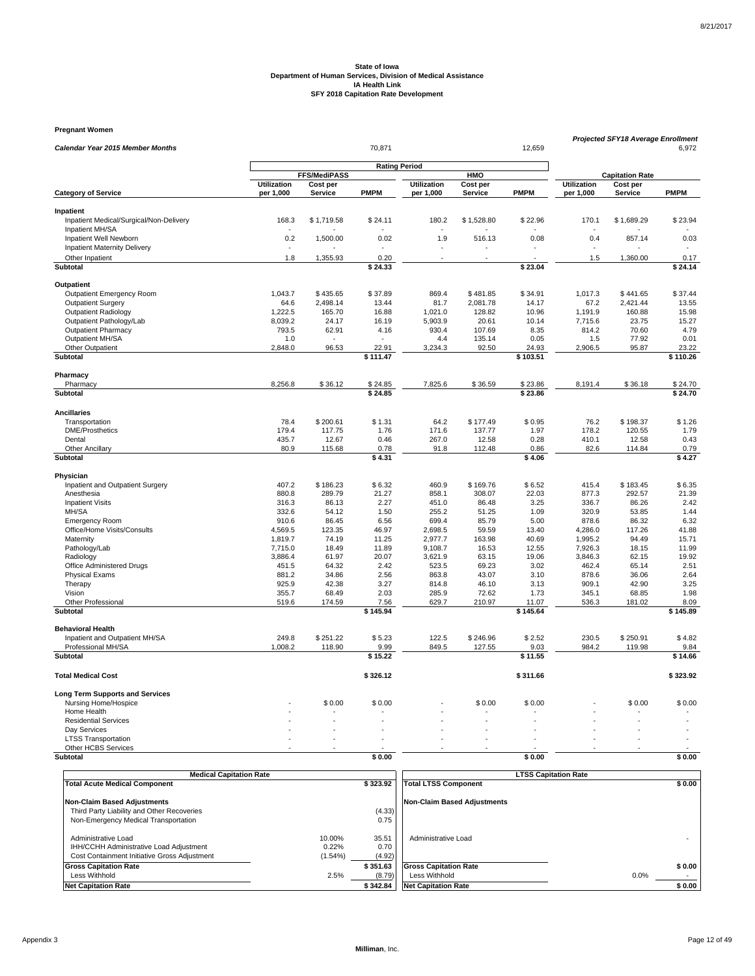**Pregnant Women**

| Calendar Year 2015 Member Months           |                          | 70,871<br>12,659     |                         |                                 |                     |                        |                                 |                        | <b>Projected SFY18 Average Enrollment</b><br>6,972 |
|--------------------------------------------|--------------------------|----------------------|-------------------------|---------------------------------|---------------------|------------------------|---------------------------------|------------------------|----------------------------------------------------|
|                                            |                          | <b>Rating Period</b> |                         |                                 |                     |                        |                                 |                        |                                                    |
|                                            |                          | FFS/MediPASS         |                         |                                 | HMO                 |                        |                                 | <b>Capitation Rate</b> |                                                    |
| <b>Category of Service</b>                 | Utilization<br>per 1,000 | Cost per<br>Service  | <b>PMPM</b>             | <b>Utilization</b><br>per 1,000 | Cost per<br>Service | <b>PMPM</b>            | <b>Utilization</b><br>per 1,000 | Cost per<br>Service    | <b>PMPM</b>                                        |
| Inpatient                                  |                          |                      |                         |                                 |                     |                        |                                 |                        |                                                    |
| Inpatient Medical/Surgical/Non-Delivery    | 168.3                    | \$1,719.58           | \$24.11                 | 180.2                           | \$1,528.80          | \$22.96                | 170.1                           | \$1,689.29             | \$23.94                                            |
| Inpatient MH/SA<br>Inpatient Well Newborn  | 0.2                      | 1,500.00             | 0.02                    | 1.9                             |                     | 0.08                   | 0.4                             | 857.14                 | 0.03                                               |
| <b>Inpatient Maternity Delivery</b>        |                          |                      |                         |                                 | 516.13              |                        |                                 |                        |                                                    |
| Other Inpatient                            | 1.8                      | 1,355.93             | 0.20                    |                                 |                     |                        | 1.5                             | 1,360.00               | 0.17                                               |
| Subtotal                                   |                          |                      | \$24.33                 |                                 |                     | \$23.04                |                                 |                        | \$24.14                                            |
| Outpatient                                 |                          |                      |                         |                                 |                     |                        |                                 |                        |                                                    |
| Outpatient Emergency Room                  | 1,043.7                  | \$435.65             | \$37.89                 | 869.4                           | \$481.85            | \$34.91                | 1,017.3                         | \$441.65               | \$37.44                                            |
| <b>Outpatient Surgery</b>                  | 64.6                     | 2,498.14             | 13.44                   | 81.7                            | 2,081.78            | 14.17                  | 67.2                            | 2,421.44               | 13.55                                              |
| <b>Outpatient Radiology</b>                | 1,222.5                  | 165.70               | 16.88                   | 1,021.0                         | 128.82              | 10.96                  | 1,191.9                         | 160.88                 | 15.98                                              |
| Outpatient Pathology/Lab                   | 8,039.2                  | 24.17                | 16.19                   | 5,903.9                         | 20.61               | 10.14                  | 7,715.6                         | 23.75                  | 15.27                                              |
| <b>Outpatient Pharmacy</b>                 | 793.5                    | 62.91                | 4.16                    | 930.4                           | 107.69              | 8.35                   | 814.2                           | 70.60                  | 4.79                                               |
| Outpatient MH/SA                           | 1.0                      |                      |                         | 4.4                             | 135.14              | 0.05                   | 1.5                             | 77.92                  | 0.01                                               |
| Other Outpatient                           | 2,848.0                  | 96.53                | 22.91                   | 3,234.3                         | 92.50               | 24.93                  | 2,906.5                         | 95.87                  | 23.22                                              |
| Subtotal                                   |                          |                      | \$111.47                |                                 |                     | \$103.51               |                                 |                        | \$110.26                                           |
| Pharmacy                                   |                          |                      |                         |                                 |                     |                        |                                 |                        |                                                    |
| Pharmacy                                   | 8,256.8                  | \$36.12              | \$24.85                 | 7,825.6                         | \$36.59             | \$23.86                | 8,191.4                         | \$36.18                | \$24.70                                            |
| <b>Subtotal</b>                            |                          |                      | \$24.85                 |                                 |                     | \$23.86                |                                 |                        | \$24.70                                            |
| <b>Ancillaries</b>                         |                          |                      |                         |                                 |                     |                        |                                 |                        |                                                    |
| Transportation                             | 78.4                     | \$200.61             | \$1.31                  | 64.2                            | \$177.49            | \$0.95                 | 76.2                            | \$198.37               | \$1.26                                             |
| <b>DME/Prosthetics</b>                     | 179.4                    | 117.75               | 1.76                    | 171.6                           | 137.77              | 1.97                   | 178.2                           | 120.55                 | 1.79                                               |
| Dental                                     | 435.7                    | 12.67                | 0.46                    | 267.0                           | 12.58               | 0.28                   | 410.1                           | 12.58                  | 0.43                                               |
| <b>Other Ancillary</b><br>Subtotal         | 80.9                     | 115.68               | 0.78<br>\$4.31          | 91.8                            | 112.48              | 0.86<br>$\sqrt{54.06}$ | 82.6                            | 114.84                 | 0.79<br>\$4.27                                     |
|                                            |                          |                      |                         |                                 |                     |                        |                                 |                        |                                                    |
| Physician                                  |                          |                      |                         |                                 |                     |                        |                                 |                        |                                                    |
| Inpatient and Outpatient Surgery           | 407.2                    | \$186.23             | \$6.32                  | 460.9                           | \$169.76            | \$6.52                 | 415.4                           | \$183.45               | \$6.35                                             |
| Anesthesia<br><b>Inpatient Visits</b>      | 880.8<br>316.3           | 289.79<br>86.13      | 21.27<br>2.27           | 858.1<br>451.0                  | 308.07<br>86.48     | 22.03<br>3.25          | 877.3<br>336.7                  | 292.57<br>86.26        | 21.39<br>2.42                                      |
| MH/SA                                      | 332.6                    | 54.12                | 1.50                    | 255.2                           | 51.25               | 1.09                   | 320.9                           | 53.85                  | 1.44                                               |
| <b>Emergency Room</b>                      | 910.6                    | 86.45                | 6.56                    | 699.4                           | 85.79               | 5.00                   | 878.6                           | 86.32                  | 6.32                                               |
| Office/Home Visits/Consults                | 4,569.5                  | 123.35               | 46.97                   | 2,698.5                         | 59.59               | 13.40                  | 4,286.0                         | 117.26                 | 41.88                                              |
| Maternity                                  | 1.819.7                  | 74.19                | 11.25                   | 2.977.7                         | 163.98              | 40.69                  | 1,995.2                         | 94.49                  | 15.71                                              |
| Pathology/Lab                              | 7,715.0                  | 18.49                | 11.89                   | 9,108.7                         | 16.53               | 12.55                  | 7,926.3                         | 18.15                  | 11.99                                              |
| Radiology                                  | 3,886.4                  | 61.97                | 20.07                   | 3,621.9                         | 63.15               | 19.06                  | 3,846.3                         | 62.15                  | 19.92                                              |
| Office Administered Drugs                  | 451.5                    | 64.32                | 2.42                    | 523.5                           | 69.23               | 3.02                   | 462.4                           | 65.14                  | 2.51                                               |
| <b>Physical Exams</b>                      | 881.2                    | 34.86                | 2.56                    | 863.8                           | 43.07               | 3.10                   | 878.6                           | 36.06                  | 2.64                                               |
| Therapy                                    | 925.9                    | 42.38                | 3.27                    | 814.8                           | 46.10               | 3.13                   | 909.1                           | 42.90                  | 3.25                                               |
| Vision                                     | 355.7                    | 68.49                | 2.03                    | 285.9                           | 72.62               | 1.73                   | 345.1                           | 68.85                  | 1.98                                               |
| Other Professional<br><b>Subtotal</b>      | 519.6                    | 174.59               | 7.56<br>\$145.94        | 629.7                           | 210.97              | 11.07<br>\$145.64      | 536.3                           | 181.02                 | 8.09<br>\$145.89                                   |
|                                            |                          |                      |                         |                                 |                     |                        |                                 |                        |                                                    |
| <b>Behavioral Health</b>                   |                          |                      |                         |                                 |                     |                        |                                 |                        |                                                    |
| Inpatient and Outpatient MH/SA             | 249.8                    | \$251.22             | \$5.23                  | 122.5                           | \$246.96            | \$2.52                 | 230.5                           | \$250.91               | \$4.82                                             |
| Professional MH/SA<br>Subtotal             | 1,008.2                  | 118.90               | 9.99<br>$\sqrt{515.22}$ | 849.5                           | 127.55              | 9.03<br>\$11.55        | 984.2                           | 119.98                 | 9.84<br>\$14.66                                    |
|                                            |                          |                      |                         |                                 |                     |                        |                                 |                        |                                                    |
| <b>Total Medical Cost</b>                  |                          |                      | \$326.12                |                                 |                     | \$311.66               |                                 |                        | \$323.92                                           |
| <b>Long Term Supports and Services</b>     |                          |                      |                         |                                 |                     |                        |                                 |                        |                                                    |
| Nursing Home/Hospice                       |                          | \$0.00               | \$0.00                  |                                 | \$0.00              | \$0.00                 |                                 | \$0.00                 | \$0.00                                             |
| Home Health                                |                          |                      |                         |                                 |                     |                        |                                 |                        |                                                    |
| <b>Residential Services</b>                |                          |                      |                         |                                 |                     |                        |                                 |                        |                                                    |
| Day Services<br><b>LTSS Transportation</b> |                          |                      |                         |                                 |                     |                        |                                 |                        |                                                    |
| Other HCBS Services                        |                          |                      |                         |                                 |                     |                        |                                 |                        |                                                    |
| Subtotal                                   |                          |                      | \$0.00                  |                                 |                     | \$0.00                 |                                 |                        | \$0.00                                             |
|                                            |                          |                      |                         |                                 |                     |                        |                                 |                        |                                                    |

| <b>Medical Capitation Rate</b>                                                                                 |                            |                         | <b>LTSS Capitation Rate</b>        |        |
|----------------------------------------------------------------------------------------------------------------|----------------------------|-------------------------|------------------------------------|--------|
| <b>Total Acute Medical Component</b>                                                                           |                            | \$323.92                | <b>Total LTSS Component</b>        | \$0.00 |
| <b>Non-Claim Based Adjustments</b>                                                                             |                            |                         | <b>Non-Claim Based Adjustments</b> |        |
| Third Party Liability and Other Recoveries                                                                     |                            | (4.33)                  |                                    |        |
| Non-Emergency Medical Transportation                                                                           |                            | 0.75                    |                                    |        |
| Administrative Load<br>IHH/CCHH Administrative Load Adjustment<br>Cost Containment Initiative Gross Adjustment | 10.00%<br>0.22%<br>(1.54%) | 35.51<br>0.70<br>(4.92) | Administrative Load                |        |
| <b>Gross Capitation Rate</b>                                                                                   |                            | \$351.63                | <b>Gross Capitation Rate</b>       | \$0.00 |
| Less Withhold                                                                                                  | 2.5%                       | (8.79)                  | Less Withhold                      | 0.0%   |
| <b>Net Capitation Rate</b>                                                                                     |                            | \$342.84                | <b>Net Capitation Rate</b>         | \$0.00 |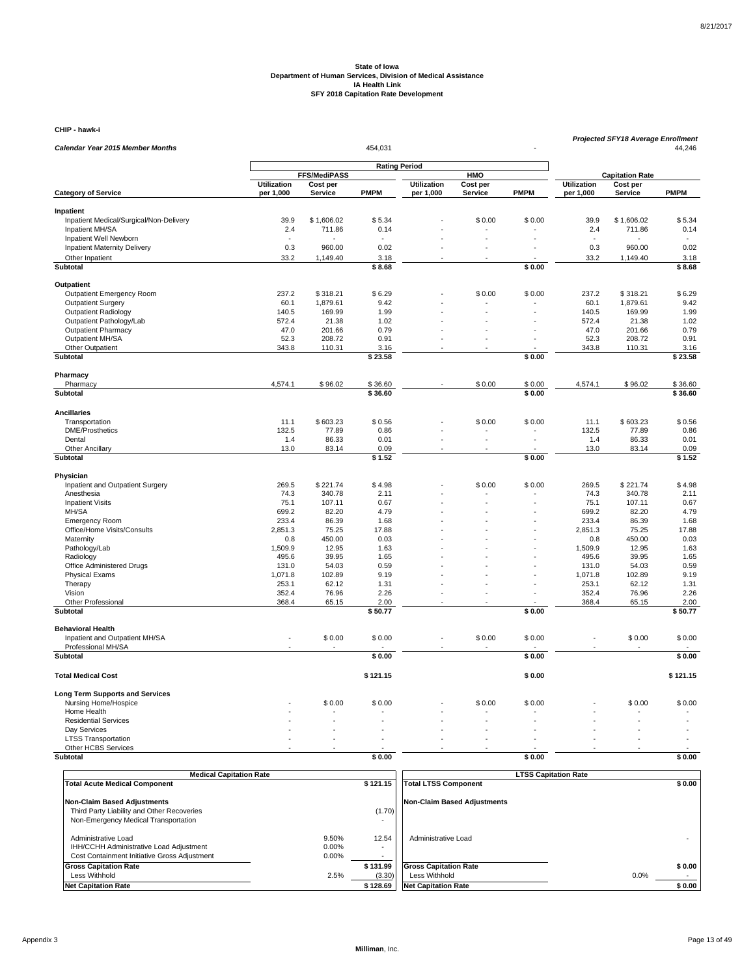**CHIP - hawk-i**

|                                                      |                    |                                 | 454,031              |                    |                        |             |                    | <b>Projected SFY18 Average Enrollment</b> | 44,246       |
|------------------------------------------------------|--------------------|---------------------------------|----------------------|--------------------|------------------------|-------------|--------------------|-------------------------------------------|--------------|
| <b>Calendar Year 2015 Member Months</b>              |                    |                                 |                      |                    |                        |             |                    |                                           |              |
|                                                      |                    |                                 | <b>Rating Period</b> |                    |                        |             |                    |                                           |              |
|                                                      | <b>Utilization</b> | <b>FFS/MediPASS</b><br>Cost per |                      | <b>Utilization</b> | <b>HMO</b><br>Cost per |             | <b>Utilization</b> | <b>Capitation Rate</b><br>Cost per        |              |
| <b>Category of Service</b>                           | per 1,000          | <b>Service</b>                  | <b>PMPM</b>          | per 1,000          | Service                | <b>PMPM</b> | per 1,000          | <b>Service</b>                            | <b>PMPM</b>  |
|                                                      |                    |                                 |                      |                    |                        |             |                    |                                           |              |
| Inpatient<br>Inpatient Medical/Surgical/Non-Delivery | 39.9               | \$1,606.02                      | \$5.34               |                    | \$0.00                 | \$0.00      | 39.9               | \$1,606.02                                | \$5.34       |
| Inpatient MH/SA                                      | 2.4                | 711.86                          | 0.14                 |                    |                        |             | 2.4                | 711.86                                    | 0.14         |
| Inpatient Well Newborn                               |                    |                                 |                      |                    |                        |             |                    |                                           |              |
| Inpatient Maternity Delivery                         | 0.3                | 960.00                          | 0.02                 |                    |                        |             | 0.3                | 960.00                                    | 0.02         |
| Other Inpatient                                      | 33.2               | 1,149.40                        | 3.18                 |                    |                        |             | 33.2               | 1,149.40                                  | 3.18         |
| Subtotal                                             |                    |                                 | \$8.68               |                    |                        | \$0.00      |                    |                                           | \$8.68       |
| Outpatient                                           |                    |                                 |                      |                    |                        |             |                    |                                           |              |
| Outpatient Emergency Room                            | 237.2              | \$318.21                        | \$6.29               |                    | \$0.00                 | \$0.00      | 237.2              | \$318.21                                  | \$6.29       |
| <b>Outpatient Surgery</b>                            | 60.1               | 1,879.61                        | 9.42                 |                    |                        |             | 60.1               | 1,879.61                                  | 9.42         |
| <b>Outpatient Radiology</b>                          | 140.5              | 169.99                          | 1.99                 |                    | L.                     |             | 140.5              | 169.99                                    | 1.99         |
| Outpatient Pathology/Lab                             | 572.4              | 21.38                           | 1.02                 |                    |                        |             | 572.4              | 21.38                                     | 1.02         |
| <b>Outpatient Pharmacy</b>                           | 47.0               | 201.66                          | 0.79                 |                    |                        |             | 47.0               | 201.66                                    | 0.79         |
| Outpatient MH/SA                                     | 52.3               | 208.72                          | 0.91                 |                    |                        |             | 52.3               | 208.72                                    | 0.91         |
| Other Outpatient                                     | 343.8              | 110.31                          | 3.16                 |                    |                        |             | 343.8              | 110.31                                    | 3.16         |
| Subtotal                                             |                    |                                 | \$23.58              |                    |                        | \$0.00      |                    |                                           | \$23.58      |
| Pharmacy                                             |                    |                                 |                      |                    |                        |             |                    |                                           |              |
| Pharmacy                                             | 4,574.1            | \$96.02                         | \$36.60              |                    | \$0.00                 | \$0.00      | 4,574.1            | \$96.02                                   | \$36.60      |
| Subtotal                                             |                    |                                 | \$36.60              |                    |                        | \$0.00      |                    |                                           | \$36.60      |
|                                                      |                    |                                 |                      |                    |                        |             |                    |                                           |              |
| <b>Ancillaries</b>                                   |                    |                                 |                      |                    |                        |             |                    |                                           |              |
| Transportation                                       | 11.1               | \$603.23                        | \$0.56               |                    | \$0.00                 | \$0.00      | 11.1               | \$603.23                                  | \$0.56       |
| <b>DME/Prosthetics</b><br>Dental                     | 132.5<br>1.4       | 77.89<br>86.33                  | 0.86<br>0.01         |                    | L.                     | ÷,          | 132.5<br>1.4       | 77.89<br>86.33                            | 0.86<br>0.01 |
| <b>Other Ancillary</b>                               | 13.0               | 83.14                           | 0.09                 |                    |                        |             | 13.0               | 83.14                                     | 0.09         |
| <b>Subtotal</b>                                      |                    |                                 | \$1.52               |                    |                        | \$0.00      |                    |                                           | \$1.52       |
|                                                      |                    |                                 |                      |                    |                        |             |                    |                                           |              |
| Physician                                            |                    |                                 |                      |                    |                        |             |                    |                                           |              |
| Inpatient and Outpatient Surgery                     | 269.5              | \$221.74                        | \$4.98               |                    | \$0.00                 | \$0.00      | 269.5              | \$221.74                                  | \$4.98       |
| Anesthesia<br><b>Inpatient Visits</b>                | 74.3<br>75.1       | 340.78<br>107.11                | 2.11<br>0.67         |                    |                        |             | 74.3<br>75.1       | 340.78<br>107.11                          | 2.11<br>0.67 |
| MH/SA                                                | 699.2              | 82.20                           | 4.79                 |                    |                        |             | 699.2              | 82.20                                     | 4.79         |
| <b>Emergency Room</b>                                | 233.4              | 86.39                           | 1.68                 |                    |                        |             | 233.4              | 86.39                                     | 1.68         |
| Office/Home Visits/Consults                          | 2,851.3            | 75.25                           | 17.88                |                    |                        |             | 2,851.3            | 75.25                                     | 17.88        |
| Maternity                                            | 0.8                | 450.00                          | 0.03                 |                    |                        |             | 0.8                | 450.00                                    | 0.03         |
| Pathology/Lab                                        | 1,509.9            | 12.95                           | 1.63                 |                    |                        |             | 1,509.9            | 12.95                                     | 1.63         |
| Radiology                                            | 495.6              | 39.95                           | 1.65                 |                    |                        |             | 495.6              | 39.95                                     | 1.65         |
| Office Administered Drugs                            | 131.0              | 54.03                           | 0.59                 |                    |                        |             | 131.0              | 54.03                                     | 0.59         |
| <b>Physical Exams</b>                                | 1.071.8            | 102.89                          | 9.19                 |                    |                        |             | 1,071.8            | 102.89                                    | 9.19         |
| Therapy                                              | 253.1              | 62.12                           | 1.31                 |                    |                        |             | 253.1              | 62.12                                     | 1.31         |
| Vision                                               | 352.4              | 76.96                           | 2.26                 |                    |                        |             | 352.4              | 76.96                                     | 2.26         |
| Other Professional                                   | 368.4              | 65.15                           | 2.00                 |                    |                        |             | 368.4              | 65.15                                     | 2.00         |
| Subtotal                                             |                    |                                 | \$50.77              |                    |                        | \$0.00      |                    |                                           | \$50.77      |
| <b>Behavioral Health</b>                             |                    |                                 |                      |                    |                        |             |                    |                                           |              |
| Inpatient and Outpatient MH/SA                       |                    | \$0.00                          | \$0.00               |                    | \$0.00                 | \$0.00      |                    | \$0.00                                    | \$0.00       |
| Professional MH/SA                                   |                    |                                 |                      |                    |                        |             |                    |                                           |              |
| <b>Subtotal</b>                                      |                    |                                 | \$0.00               |                    |                        | \$0.00      |                    |                                           | \$0.00       |
| <b>Total Medical Cost</b>                            |                    |                                 | \$121.15             |                    |                        | \$0.00      |                    |                                           | \$121.15     |
| <b>Long Term Supports and Services</b>               |                    |                                 |                      |                    |                        |             |                    |                                           |              |
| Nursing Home/Hospice                                 |                    | \$0.00                          | \$0.00               |                    | \$0.00                 | \$0.00      |                    | \$0.00                                    | \$0.00       |
| Home Health                                          |                    |                                 |                      |                    |                        |             |                    |                                           |              |
| <b>Residential Services</b>                          |                    |                                 |                      |                    |                        |             |                    |                                           |              |
| Day Services                                         |                    |                                 |                      |                    |                        |             |                    |                                           |              |
| <b>LTSS Transportation</b>                           |                    |                                 |                      |                    |                        |             |                    |                                           |              |
| Other HCBS Services                                  |                    |                                 |                      |                    |                        |             |                    |                                           |              |
| Subtotal                                             |                    |                                 | \$0.00               |                    |                        | \$0.00      |                    |                                           | \$0.00       |
|                                                      |                    |                                 |                      |                    |                        |             |                    |                                           |              |

| <b>Medical Capitation Rate</b>                                                   |          |          | <b>LTSS Capitation Rate</b>        |        |
|----------------------------------------------------------------------------------|----------|----------|------------------------------------|--------|
| <b>Total Acute Medical Component</b>                                             |          | \$121.15 | <b>Total LTSS Component</b>        | \$0.00 |
| <b>Non-Claim Based Adjustments</b><br>Third Party Liability and Other Recoveries |          | (1.70)   | <b>Non-Claim Based Adjustments</b> |        |
| Non-Emergency Medical Transportation                                             |          |          |                                    |        |
| Administrative Load                                                              | 9.50%    | 12.54    | Administrative Load                |        |
| IHH/CCHH Administrative Load Adjustment                                          | $0.00\%$ |          |                                    |        |
| Cost Containment Initiative Gross Adjustment                                     | 0.00%    |          |                                    |        |
| <b>Gross Capitation Rate</b>                                                     |          | \$131.99 | <b>Gross Capitation Rate</b>       | \$0.00 |
| Less Withhold                                                                    | 2.5%     | (3.30)   | Less Withhold                      | 0.0%   |
| <b>Net Capitation Rate</b>                                                       |          | \$128.69 | <b>Net Capitation Rate</b>         | \$0.00 |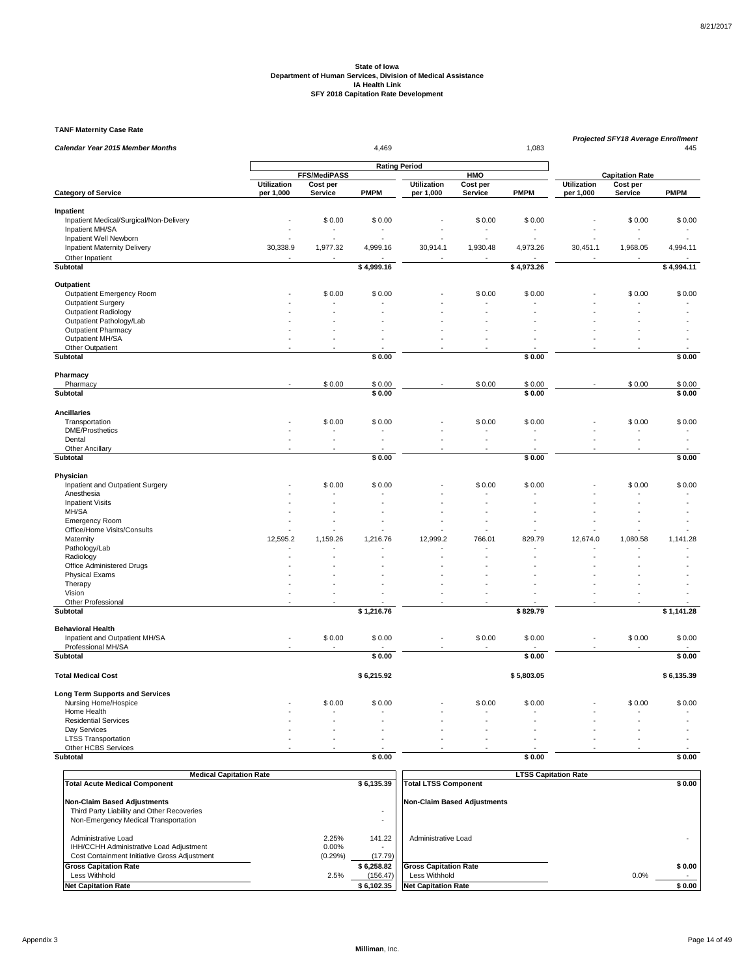**TANF Maternity Case Rate**

| <b>Rating Period</b><br>FFS/MediPASS<br>HMO<br><b>Capitation Rate</b><br><b>Utilization</b><br><b>Utilization</b><br><b>Utilization</b><br>Cost per<br>Cost per<br>Cost per<br>Service<br><b>PMPM</b><br><b>Service</b><br><b>PMPM</b><br><b>Category of Service</b><br>per 1,000<br><b>PMPM</b><br>per 1,000<br>Service<br>per 1,000<br>Inpatient<br>Inpatient Medical/Surgical/Non-Delivery<br>\$0.00<br>\$0.00<br>\$0.00<br>\$0.00<br>\$0.00<br>\$0.00<br>Inpatient MH/SA<br>Inpatient Well Newborn<br>30,338.9<br><b>Inpatient Maternity Delivery</b><br>1,977.32<br>4,999.16<br>30,914.1<br>1,930.48<br>4,973.26<br>30,451.1<br>1,968.05<br>4,994.11<br>Other Inpatient<br><b>Subtotal</b><br>\$4,999.16<br>\$4,973.26<br>\$4,994.11<br>Outpatient<br>Outpatient Emergency Room<br>\$0.00<br>\$0.00<br>\$0.00<br>\$0.00<br>\$0.00<br>\$0.00<br><b>Outpatient Surgery</b><br><b>Outpatient Radiology</b><br>Outpatient Pathology/Lab<br>Outpatient Pharmacy<br>Outpatient MH/SA<br>Other Outpatient<br>Subtotal<br>\$0.00<br>\$0.00<br>\$0.00<br>Pharmacy<br>\$0.00<br>\$0.00<br>\$0.00<br>\$0.00<br>\$0.00<br>Pharmacy<br>\$0.00<br>\$0.00<br>\$0.00<br>\$0.00<br>Subtotal<br><b>Ancillaries</b><br>Transportation<br>\$0.00<br>\$0.00<br>\$0.00<br>\$0.00<br>\$0.00<br>\$0.00<br><b>DME/Prosthetics</b><br>Dental<br>$\overline{a}$<br>ä,<br>÷.<br>L.<br>÷,<br>÷.<br>$\sim$<br>Other Ancillary<br>Subtotal<br>\$0.00<br>\$0.00<br>\$0.00<br>Physician<br>Inpatient and Outpatient Surgery<br>\$0.00<br>\$0.00<br>\$0.00<br>\$0.00<br>\$0.00<br>\$0.00<br>Anesthesia<br><b>Inpatient Visits</b><br>MH/SA<br><b>Emergency Room</b><br>Office/Home Visits/Consults<br>1,080.58<br>Maternity<br>12,595.2<br>1,159.26<br>1,216.76<br>12,999.2<br>766.01<br>829.79<br>12,674.0<br>1,141.28<br>Pathology/Lab<br>Radiology<br>Office Administered Drugs<br><b>Physical Exams</b><br>Therapy<br>Vision<br>Other Professional<br>$\sim$<br>÷.<br>$\sim$<br>Subtotal<br>\$1,216.76<br>\$829.79<br>\$1,141.28<br><b>Behavioral Health</b><br>Inpatient and Outpatient MH/SA<br>\$0.00<br>\$0.00<br>\$0.00<br>\$0.00<br>\$0.00<br>\$0.00<br>÷.<br>Professional MH/SA<br>\$0.00<br>Subtotal<br>\$0.00<br>\$0.00<br>\$6,215.92<br>\$5,803.05<br>\$6,135.39<br><b>Total Medical Cost</b><br><b>Long Term Supports and Services</b><br>\$0.00<br>\$0.00<br>Nursing Home/Hospice<br>\$0.00<br>\$0.00<br>\$0.00<br>\$0.00<br>Home Health<br><b>Residential Services</b><br>Day Services<br><b>LTSS Transportation</b><br>Other HCBS Services<br>Subtotal<br>\$0.00<br>\$0.00<br>\$0.00 |                                         |                |  |  |  |  |  |  | <b>Projected SFY18 Average Enrollment</b> |     |
|---------------------------------------------------------------------------------------------------------------------------------------------------------------------------------------------------------------------------------------------------------------------------------------------------------------------------------------------------------------------------------------------------------------------------------------------------------------------------------------------------------------------------------------------------------------------------------------------------------------------------------------------------------------------------------------------------------------------------------------------------------------------------------------------------------------------------------------------------------------------------------------------------------------------------------------------------------------------------------------------------------------------------------------------------------------------------------------------------------------------------------------------------------------------------------------------------------------------------------------------------------------------------------------------------------------------------------------------------------------------------------------------------------------------------------------------------------------------------------------------------------------------------------------------------------------------------------------------------------------------------------------------------------------------------------------------------------------------------------------------------------------------------------------------------------------------------------------------------------------------------------------------------------------------------------------------------------------------------------------------------------------------------------------------------------------------------------------------------------------------------------------------------------------------------------------------------------------------------------------------------------------------------------------------------------------------------------------------------------------------------------------------------------------------------------------------------------------------------------------------------------------------------------------------------------------------------|-----------------------------------------|----------------|--|--|--|--|--|--|-------------------------------------------|-----|
|                                                                                                                                                                                                                                                                                                                                                                                                                                                                                                                                                                                                                                                                                                                                                                                                                                                                                                                                                                                                                                                                                                                                                                                                                                                                                                                                                                                                                                                                                                                                                                                                                                                                                                                                                                                                                                                                                                                                                                                                                                                                                                                                                                                                                                                                                                                                                                                                                                                                                                                                                                           | <b>Calendar Year 2015 Member Months</b> | 4.469<br>1,083 |  |  |  |  |  |  |                                           | 445 |
|                                                                                                                                                                                                                                                                                                                                                                                                                                                                                                                                                                                                                                                                                                                                                                                                                                                                                                                                                                                                                                                                                                                                                                                                                                                                                                                                                                                                                                                                                                                                                                                                                                                                                                                                                                                                                                                                                                                                                                                                                                                                                                                                                                                                                                                                                                                                                                                                                                                                                                                                                                           |                                         |                |  |  |  |  |  |  |                                           |     |
|                                                                                                                                                                                                                                                                                                                                                                                                                                                                                                                                                                                                                                                                                                                                                                                                                                                                                                                                                                                                                                                                                                                                                                                                                                                                                                                                                                                                                                                                                                                                                                                                                                                                                                                                                                                                                                                                                                                                                                                                                                                                                                                                                                                                                                                                                                                                                                                                                                                                                                                                                                           |                                         |                |  |  |  |  |  |  |                                           |     |
|                                                                                                                                                                                                                                                                                                                                                                                                                                                                                                                                                                                                                                                                                                                                                                                                                                                                                                                                                                                                                                                                                                                                                                                                                                                                                                                                                                                                                                                                                                                                                                                                                                                                                                                                                                                                                                                                                                                                                                                                                                                                                                                                                                                                                                                                                                                                                                                                                                                                                                                                                                           |                                         |                |  |  |  |  |  |  |                                           |     |
|                                                                                                                                                                                                                                                                                                                                                                                                                                                                                                                                                                                                                                                                                                                                                                                                                                                                                                                                                                                                                                                                                                                                                                                                                                                                                                                                                                                                                                                                                                                                                                                                                                                                                                                                                                                                                                                                                                                                                                                                                                                                                                                                                                                                                                                                                                                                                                                                                                                                                                                                                                           |                                         |                |  |  |  |  |  |  |                                           |     |
|                                                                                                                                                                                                                                                                                                                                                                                                                                                                                                                                                                                                                                                                                                                                                                                                                                                                                                                                                                                                                                                                                                                                                                                                                                                                                                                                                                                                                                                                                                                                                                                                                                                                                                                                                                                                                                                                                                                                                                                                                                                                                                                                                                                                                                                                                                                                                                                                                                                                                                                                                                           |                                         |                |  |  |  |  |  |  |                                           |     |
|                                                                                                                                                                                                                                                                                                                                                                                                                                                                                                                                                                                                                                                                                                                                                                                                                                                                                                                                                                                                                                                                                                                                                                                                                                                                                                                                                                                                                                                                                                                                                                                                                                                                                                                                                                                                                                                                                                                                                                                                                                                                                                                                                                                                                                                                                                                                                                                                                                                                                                                                                                           |                                         |                |  |  |  |  |  |  |                                           |     |
|                                                                                                                                                                                                                                                                                                                                                                                                                                                                                                                                                                                                                                                                                                                                                                                                                                                                                                                                                                                                                                                                                                                                                                                                                                                                                                                                                                                                                                                                                                                                                                                                                                                                                                                                                                                                                                                                                                                                                                                                                                                                                                                                                                                                                                                                                                                                                                                                                                                                                                                                                                           |                                         |                |  |  |  |  |  |  |                                           |     |
|                                                                                                                                                                                                                                                                                                                                                                                                                                                                                                                                                                                                                                                                                                                                                                                                                                                                                                                                                                                                                                                                                                                                                                                                                                                                                                                                                                                                                                                                                                                                                                                                                                                                                                                                                                                                                                                                                                                                                                                                                                                                                                                                                                                                                                                                                                                                                                                                                                                                                                                                                                           |                                         |                |  |  |  |  |  |  |                                           |     |
|                                                                                                                                                                                                                                                                                                                                                                                                                                                                                                                                                                                                                                                                                                                                                                                                                                                                                                                                                                                                                                                                                                                                                                                                                                                                                                                                                                                                                                                                                                                                                                                                                                                                                                                                                                                                                                                                                                                                                                                                                                                                                                                                                                                                                                                                                                                                                                                                                                                                                                                                                                           |                                         |                |  |  |  |  |  |  |                                           |     |
|                                                                                                                                                                                                                                                                                                                                                                                                                                                                                                                                                                                                                                                                                                                                                                                                                                                                                                                                                                                                                                                                                                                                                                                                                                                                                                                                                                                                                                                                                                                                                                                                                                                                                                                                                                                                                                                                                                                                                                                                                                                                                                                                                                                                                                                                                                                                                                                                                                                                                                                                                                           |                                         |                |  |  |  |  |  |  |                                           |     |
|                                                                                                                                                                                                                                                                                                                                                                                                                                                                                                                                                                                                                                                                                                                                                                                                                                                                                                                                                                                                                                                                                                                                                                                                                                                                                                                                                                                                                                                                                                                                                                                                                                                                                                                                                                                                                                                                                                                                                                                                                                                                                                                                                                                                                                                                                                                                                                                                                                                                                                                                                                           |                                         |                |  |  |  |  |  |  |                                           |     |
|                                                                                                                                                                                                                                                                                                                                                                                                                                                                                                                                                                                                                                                                                                                                                                                                                                                                                                                                                                                                                                                                                                                                                                                                                                                                                                                                                                                                                                                                                                                                                                                                                                                                                                                                                                                                                                                                                                                                                                                                                                                                                                                                                                                                                                                                                                                                                                                                                                                                                                                                                                           |                                         |                |  |  |  |  |  |  |                                           |     |
|                                                                                                                                                                                                                                                                                                                                                                                                                                                                                                                                                                                                                                                                                                                                                                                                                                                                                                                                                                                                                                                                                                                                                                                                                                                                                                                                                                                                                                                                                                                                                                                                                                                                                                                                                                                                                                                                                                                                                                                                                                                                                                                                                                                                                                                                                                                                                                                                                                                                                                                                                                           |                                         |                |  |  |  |  |  |  |                                           |     |
|                                                                                                                                                                                                                                                                                                                                                                                                                                                                                                                                                                                                                                                                                                                                                                                                                                                                                                                                                                                                                                                                                                                                                                                                                                                                                                                                                                                                                                                                                                                                                                                                                                                                                                                                                                                                                                                                                                                                                                                                                                                                                                                                                                                                                                                                                                                                                                                                                                                                                                                                                                           |                                         |                |  |  |  |  |  |  |                                           |     |
|                                                                                                                                                                                                                                                                                                                                                                                                                                                                                                                                                                                                                                                                                                                                                                                                                                                                                                                                                                                                                                                                                                                                                                                                                                                                                                                                                                                                                                                                                                                                                                                                                                                                                                                                                                                                                                                                                                                                                                                                                                                                                                                                                                                                                                                                                                                                                                                                                                                                                                                                                                           |                                         |                |  |  |  |  |  |  |                                           |     |
|                                                                                                                                                                                                                                                                                                                                                                                                                                                                                                                                                                                                                                                                                                                                                                                                                                                                                                                                                                                                                                                                                                                                                                                                                                                                                                                                                                                                                                                                                                                                                                                                                                                                                                                                                                                                                                                                                                                                                                                                                                                                                                                                                                                                                                                                                                                                                                                                                                                                                                                                                                           |                                         |                |  |  |  |  |  |  |                                           |     |
|                                                                                                                                                                                                                                                                                                                                                                                                                                                                                                                                                                                                                                                                                                                                                                                                                                                                                                                                                                                                                                                                                                                                                                                                                                                                                                                                                                                                                                                                                                                                                                                                                                                                                                                                                                                                                                                                                                                                                                                                                                                                                                                                                                                                                                                                                                                                                                                                                                                                                                                                                                           |                                         |                |  |  |  |  |  |  |                                           |     |
|                                                                                                                                                                                                                                                                                                                                                                                                                                                                                                                                                                                                                                                                                                                                                                                                                                                                                                                                                                                                                                                                                                                                                                                                                                                                                                                                                                                                                                                                                                                                                                                                                                                                                                                                                                                                                                                                                                                                                                                                                                                                                                                                                                                                                                                                                                                                                                                                                                                                                                                                                                           |                                         |                |  |  |  |  |  |  |                                           |     |
|                                                                                                                                                                                                                                                                                                                                                                                                                                                                                                                                                                                                                                                                                                                                                                                                                                                                                                                                                                                                                                                                                                                                                                                                                                                                                                                                                                                                                                                                                                                                                                                                                                                                                                                                                                                                                                                                                                                                                                                                                                                                                                                                                                                                                                                                                                                                                                                                                                                                                                                                                                           |                                         |                |  |  |  |  |  |  |                                           |     |
|                                                                                                                                                                                                                                                                                                                                                                                                                                                                                                                                                                                                                                                                                                                                                                                                                                                                                                                                                                                                                                                                                                                                                                                                                                                                                                                                                                                                                                                                                                                                                                                                                                                                                                                                                                                                                                                                                                                                                                                                                                                                                                                                                                                                                                                                                                                                                                                                                                                                                                                                                                           |                                         |                |  |  |  |  |  |  |                                           |     |
|                                                                                                                                                                                                                                                                                                                                                                                                                                                                                                                                                                                                                                                                                                                                                                                                                                                                                                                                                                                                                                                                                                                                                                                                                                                                                                                                                                                                                                                                                                                                                                                                                                                                                                                                                                                                                                                                                                                                                                                                                                                                                                                                                                                                                                                                                                                                                                                                                                                                                                                                                                           |                                         |                |  |  |  |  |  |  |                                           |     |
|                                                                                                                                                                                                                                                                                                                                                                                                                                                                                                                                                                                                                                                                                                                                                                                                                                                                                                                                                                                                                                                                                                                                                                                                                                                                                                                                                                                                                                                                                                                                                                                                                                                                                                                                                                                                                                                                                                                                                                                                                                                                                                                                                                                                                                                                                                                                                                                                                                                                                                                                                                           |                                         |                |  |  |  |  |  |  |                                           |     |
|                                                                                                                                                                                                                                                                                                                                                                                                                                                                                                                                                                                                                                                                                                                                                                                                                                                                                                                                                                                                                                                                                                                                                                                                                                                                                                                                                                                                                                                                                                                                                                                                                                                                                                                                                                                                                                                                                                                                                                                                                                                                                                                                                                                                                                                                                                                                                                                                                                                                                                                                                                           |                                         |                |  |  |  |  |  |  |                                           |     |
|                                                                                                                                                                                                                                                                                                                                                                                                                                                                                                                                                                                                                                                                                                                                                                                                                                                                                                                                                                                                                                                                                                                                                                                                                                                                                                                                                                                                                                                                                                                                                                                                                                                                                                                                                                                                                                                                                                                                                                                                                                                                                                                                                                                                                                                                                                                                                                                                                                                                                                                                                                           |                                         |                |  |  |  |  |  |  |                                           |     |
|                                                                                                                                                                                                                                                                                                                                                                                                                                                                                                                                                                                                                                                                                                                                                                                                                                                                                                                                                                                                                                                                                                                                                                                                                                                                                                                                                                                                                                                                                                                                                                                                                                                                                                                                                                                                                                                                                                                                                                                                                                                                                                                                                                                                                                                                                                                                                                                                                                                                                                                                                                           |                                         |                |  |  |  |  |  |  |                                           |     |
|                                                                                                                                                                                                                                                                                                                                                                                                                                                                                                                                                                                                                                                                                                                                                                                                                                                                                                                                                                                                                                                                                                                                                                                                                                                                                                                                                                                                                                                                                                                                                                                                                                                                                                                                                                                                                                                                                                                                                                                                                                                                                                                                                                                                                                                                                                                                                                                                                                                                                                                                                                           |                                         |                |  |  |  |  |  |  |                                           |     |
|                                                                                                                                                                                                                                                                                                                                                                                                                                                                                                                                                                                                                                                                                                                                                                                                                                                                                                                                                                                                                                                                                                                                                                                                                                                                                                                                                                                                                                                                                                                                                                                                                                                                                                                                                                                                                                                                                                                                                                                                                                                                                                                                                                                                                                                                                                                                                                                                                                                                                                                                                                           |                                         |                |  |  |  |  |  |  |                                           |     |
|                                                                                                                                                                                                                                                                                                                                                                                                                                                                                                                                                                                                                                                                                                                                                                                                                                                                                                                                                                                                                                                                                                                                                                                                                                                                                                                                                                                                                                                                                                                                                                                                                                                                                                                                                                                                                                                                                                                                                                                                                                                                                                                                                                                                                                                                                                                                                                                                                                                                                                                                                                           |                                         |                |  |  |  |  |  |  |                                           |     |
|                                                                                                                                                                                                                                                                                                                                                                                                                                                                                                                                                                                                                                                                                                                                                                                                                                                                                                                                                                                                                                                                                                                                                                                                                                                                                                                                                                                                                                                                                                                                                                                                                                                                                                                                                                                                                                                                                                                                                                                                                                                                                                                                                                                                                                                                                                                                                                                                                                                                                                                                                                           |                                         |                |  |  |  |  |  |  |                                           |     |
|                                                                                                                                                                                                                                                                                                                                                                                                                                                                                                                                                                                                                                                                                                                                                                                                                                                                                                                                                                                                                                                                                                                                                                                                                                                                                                                                                                                                                                                                                                                                                                                                                                                                                                                                                                                                                                                                                                                                                                                                                                                                                                                                                                                                                                                                                                                                                                                                                                                                                                                                                                           |                                         |                |  |  |  |  |  |  |                                           |     |
|                                                                                                                                                                                                                                                                                                                                                                                                                                                                                                                                                                                                                                                                                                                                                                                                                                                                                                                                                                                                                                                                                                                                                                                                                                                                                                                                                                                                                                                                                                                                                                                                                                                                                                                                                                                                                                                                                                                                                                                                                                                                                                                                                                                                                                                                                                                                                                                                                                                                                                                                                                           |                                         |                |  |  |  |  |  |  |                                           |     |
|                                                                                                                                                                                                                                                                                                                                                                                                                                                                                                                                                                                                                                                                                                                                                                                                                                                                                                                                                                                                                                                                                                                                                                                                                                                                                                                                                                                                                                                                                                                                                                                                                                                                                                                                                                                                                                                                                                                                                                                                                                                                                                                                                                                                                                                                                                                                                                                                                                                                                                                                                                           |                                         |                |  |  |  |  |  |  |                                           |     |
|                                                                                                                                                                                                                                                                                                                                                                                                                                                                                                                                                                                                                                                                                                                                                                                                                                                                                                                                                                                                                                                                                                                                                                                                                                                                                                                                                                                                                                                                                                                                                                                                                                                                                                                                                                                                                                                                                                                                                                                                                                                                                                                                                                                                                                                                                                                                                                                                                                                                                                                                                                           |                                         |                |  |  |  |  |  |  |                                           |     |
|                                                                                                                                                                                                                                                                                                                                                                                                                                                                                                                                                                                                                                                                                                                                                                                                                                                                                                                                                                                                                                                                                                                                                                                                                                                                                                                                                                                                                                                                                                                                                                                                                                                                                                                                                                                                                                                                                                                                                                                                                                                                                                                                                                                                                                                                                                                                                                                                                                                                                                                                                                           |                                         |                |  |  |  |  |  |  |                                           |     |
|                                                                                                                                                                                                                                                                                                                                                                                                                                                                                                                                                                                                                                                                                                                                                                                                                                                                                                                                                                                                                                                                                                                                                                                                                                                                                                                                                                                                                                                                                                                                                                                                                                                                                                                                                                                                                                                                                                                                                                                                                                                                                                                                                                                                                                                                                                                                                                                                                                                                                                                                                                           |                                         |                |  |  |  |  |  |  |                                           |     |
|                                                                                                                                                                                                                                                                                                                                                                                                                                                                                                                                                                                                                                                                                                                                                                                                                                                                                                                                                                                                                                                                                                                                                                                                                                                                                                                                                                                                                                                                                                                                                                                                                                                                                                                                                                                                                                                                                                                                                                                                                                                                                                                                                                                                                                                                                                                                                                                                                                                                                                                                                                           |                                         |                |  |  |  |  |  |  |                                           |     |
|                                                                                                                                                                                                                                                                                                                                                                                                                                                                                                                                                                                                                                                                                                                                                                                                                                                                                                                                                                                                                                                                                                                                                                                                                                                                                                                                                                                                                                                                                                                                                                                                                                                                                                                                                                                                                                                                                                                                                                                                                                                                                                                                                                                                                                                                                                                                                                                                                                                                                                                                                                           |                                         |                |  |  |  |  |  |  |                                           |     |
|                                                                                                                                                                                                                                                                                                                                                                                                                                                                                                                                                                                                                                                                                                                                                                                                                                                                                                                                                                                                                                                                                                                                                                                                                                                                                                                                                                                                                                                                                                                                                                                                                                                                                                                                                                                                                                                                                                                                                                                                                                                                                                                                                                                                                                                                                                                                                                                                                                                                                                                                                                           |                                         |                |  |  |  |  |  |  |                                           |     |
|                                                                                                                                                                                                                                                                                                                                                                                                                                                                                                                                                                                                                                                                                                                                                                                                                                                                                                                                                                                                                                                                                                                                                                                                                                                                                                                                                                                                                                                                                                                                                                                                                                                                                                                                                                                                                                                                                                                                                                                                                                                                                                                                                                                                                                                                                                                                                                                                                                                                                                                                                                           |                                         |                |  |  |  |  |  |  |                                           |     |
|                                                                                                                                                                                                                                                                                                                                                                                                                                                                                                                                                                                                                                                                                                                                                                                                                                                                                                                                                                                                                                                                                                                                                                                                                                                                                                                                                                                                                                                                                                                                                                                                                                                                                                                                                                                                                                                                                                                                                                                                                                                                                                                                                                                                                                                                                                                                                                                                                                                                                                                                                                           |                                         |                |  |  |  |  |  |  |                                           |     |
|                                                                                                                                                                                                                                                                                                                                                                                                                                                                                                                                                                                                                                                                                                                                                                                                                                                                                                                                                                                                                                                                                                                                                                                                                                                                                                                                                                                                                                                                                                                                                                                                                                                                                                                                                                                                                                                                                                                                                                                                                                                                                                                                                                                                                                                                                                                                                                                                                                                                                                                                                                           |                                         |                |  |  |  |  |  |  |                                           |     |
|                                                                                                                                                                                                                                                                                                                                                                                                                                                                                                                                                                                                                                                                                                                                                                                                                                                                                                                                                                                                                                                                                                                                                                                                                                                                                                                                                                                                                                                                                                                                                                                                                                                                                                                                                                                                                                                                                                                                                                                                                                                                                                                                                                                                                                                                                                                                                                                                                                                                                                                                                                           |                                         |                |  |  |  |  |  |  |                                           |     |
|                                                                                                                                                                                                                                                                                                                                                                                                                                                                                                                                                                                                                                                                                                                                                                                                                                                                                                                                                                                                                                                                                                                                                                                                                                                                                                                                                                                                                                                                                                                                                                                                                                                                                                                                                                                                                                                                                                                                                                                                                                                                                                                                                                                                                                                                                                                                                                                                                                                                                                                                                                           |                                         |                |  |  |  |  |  |  |                                           |     |
|                                                                                                                                                                                                                                                                                                                                                                                                                                                                                                                                                                                                                                                                                                                                                                                                                                                                                                                                                                                                                                                                                                                                                                                                                                                                                                                                                                                                                                                                                                                                                                                                                                                                                                                                                                                                                                                                                                                                                                                                                                                                                                                                                                                                                                                                                                                                                                                                                                                                                                                                                                           |                                         |                |  |  |  |  |  |  |                                           |     |
|                                                                                                                                                                                                                                                                                                                                                                                                                                                                                                                                                                                                                                                                                                                                                                                                                                                                                                                                                                                                                                                                                                                                                                                                                                                                                                                                                                                                                                                                                                                                                                                                                                                                                                                                                                                                                                                                                                                                                                                                                                                                                                                                                                                                                                                                                                                                                                                                                                                                                                                                                                           |                                         |                |  |  |  |  |  |  |                                           |     |
|                                                                                                                                                                                                                                                                                                                                                                                                                                                                                                                                                                                                                                                                                                                                                                                                                                                                                                                                                                                                                                                                                                                                                                                                                                                                                                                                                                                                                                                                                                                                                                                                                                                                                                                                                                                                                                                                                                                                                                                                                                                                                                                                                                                                                                                                                                                                                                                                                                                                                                                                                                           |                                         |                |  |  |  |  |  |  |                                           |     |
|                                                                                                                                                                                                                                                                                                                                                                                                                                                                                                                                                                                                                                                                                                                                                                                                                                                                                                                                                                                                                                                                                                                                                                                                                                                                                                                                                                                                                                                                                                                                                                                                                                                                                                                                                                                                                                                                                                                                                                                                                                                                                                                                                                                                                                                                                                                                                                                                                                                                                                                                                                           |                                         |                |  |  |  |  |  |  |                                           |     |
|                                                                                                                                                                                                                                                                                                                                                                                                                                                                                                                                                                                                                                                                                                                                                                                                                                                                                                                                                                                                                                                                                                                                                                                                                                                                                                                                                                                                                                                                                                                                                                                                                                                                                                                                                                                                                                                                                                                                                                                                                                                                                                                                                                                                                                                                                                                                                                                                                                                                                                                                                                           |                                         |                |  |  |  |  |  |  |                                           |     |
|                                                                                                                                                                                                                                                                                                                                                                                                                                                                                                                                                                                                                                                                                                                                                                                                                                                                                                                                                                                                                                                                                                                                                                                                                                                                                                                                                                                                                                                                                                                                                                                                                                                                                                                                                                                                                                                                                                                                                                                                                                                                                                                                                                                                                                                                                                                                                                                                                                                                                                                                                                           |                                         |                |  |  |  |  |  |  |                                           |     |
|                                                                                                                                                                                                                                                                                                                                                                                                                                                                                                                                                                                                                                                                                                                                                                                                                                                                                                                                                                                                                                                                                                                                                                                                                                                                                                                                                                                                                                                                                                                                                                                                                                                                                                                                                                                                                                                                                                                                                                                                                                                                                                                                                                                                                                                                                                                                                                                                                                                                                                                                                                           |                                         |                |  |  |  |  |  |  |                                           |     |
|                                                                                                                                                                                                                                                                                                                                                                                                                                                                                                                                                                                                                                                                                                                                                                                                                                                                                                                                                                                                                                                                                                                                                                                                                                                                                                                                                                                                                                                                                                                                                                                                                                                                                                                                                                                                                                                                                                                                                                                                                                                                                                                                                                                                                                                                                                                                                                                                                                                                                                                                                                           |                                         |                |  |  |  |  |  |  |                                           |     |
|                                                                                                                                                                                                                                                                                                                                                                                                                                                                                                                                                                                                                                                                                                                                                                                                                                                                                                                                                                                                                                                                                                                                                                                                                                                                                                                                                                                                                                                                                                                                                                                                                                                                                                                                                                                                                                                                                                                                                                                                                                                                                                                                                                                                                                                                                                                                                                                                                                                                                                                                                                           |                                         |                |  |  |  |  |  |  |                                           |     |
|                                                                                                                                                                                                                                                                                                                                                                                                                                                                                                                                                                                                                                                                                                                                                                                                                                                                                                                                                                                                                                                                                                                                                                                                                                                                                                                                                                                                                                                                                                                                                                                                                                                                                                                                                                                                                                                                                                                                                                                                                                                                                                                                                                                                                                                                                                                                                                                                                                                                                                                                                                           |                                         |                |  |  |  |  |  |  |                                           |     |
|                                                                                                                                                                                                                                                                                                                                                                                                                                                                                                                                                                                                                                                                                                                                                                                                                                                                                                                                                                                                                                                                                                                                                                                                                                                                                                                                                                                                                                                                                                                                                                                                                                                                                                                                                                                                                                                                                                                                                                                                                                                                                                                                                                                                                                                                                                                                                                                                                                                                                                                                                                           |                                         |                |  |  |  |  |  |  |                                           |     |

| <b>Medical Capitation Rate</b>                                                                                           |                           |                                      | <b>LTSS Capitation Rate</b>                                                 |      |                  |
|--------------------------------------------------------------------------------------------------------------------------|---------------------------|--------------------------------------|-----------------------------------------------------------------------------|------|------------------|
| <b>Total Acute Medical Component</b>                                                                                     |                           | \$6,135.39                           | <b>Total LTSS Component</b>                                                 |      | \$0.00           |
| <b>Non-Claim Based Adjustments</b><br>Third Party Liability and Other Recoveries<br>Non-Emergency Medical Transportation |                           | $\overline{\phantom{a}}$<br>-        | <b>Non-Claim Based Adiustments</b>                                          |      |                  |
| Administrative Load<br>IHH/CCHH Administrative Load Adjustment<br>Cost Containment Initiative Gross Adjustment           | 2.25%<br>0.00%<br>(0.29%) | 141.22<br>(17.79)                    | Administrative Load                                                         |      |                  |
| <b>Gross Capitation Rate</b><br>Less Withhold<br><b>Net Capitation Rate</b>                                              | 2.5%                      | \$6.258.82<br>(156.47)<br>\$6.102.35 | <b>Gross Capitation Rate</b><br>Less Withhold<br><b>Net Capitation Rate</b> | 0.0% | \$0.00<br>\$0.00 |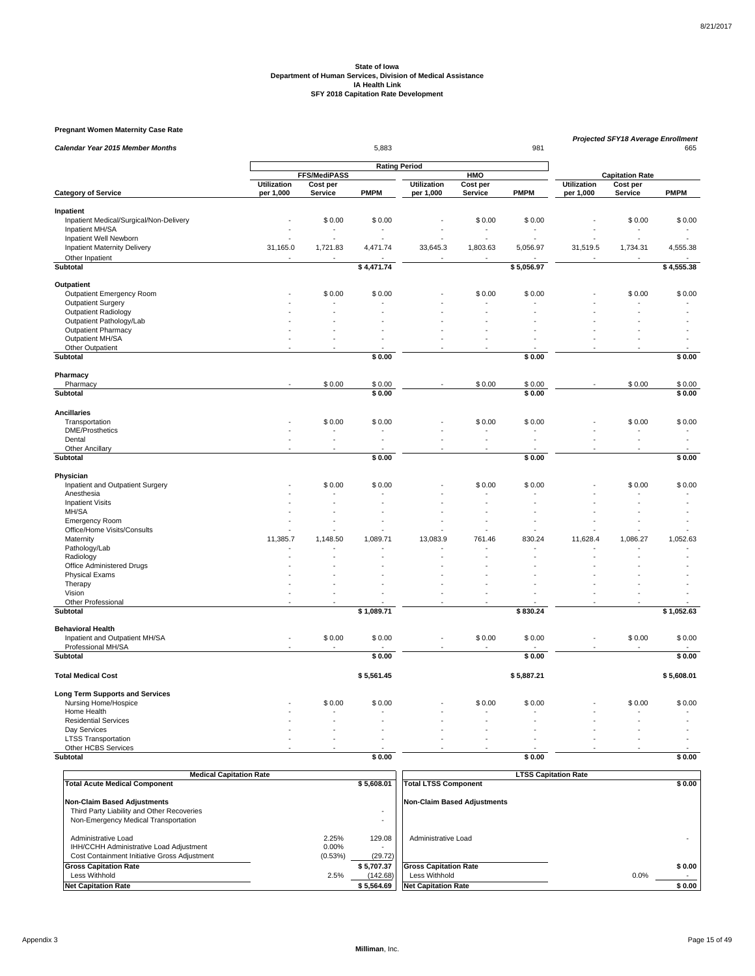#### **Pregnant Women Maternity Case Rate**

| Calendar Year 2015 Member Months        |                    |                     | 5,883                |                    |            | 981         |                    | Projected SFY18 Average Enrollment | 665         |
|-----------------------------------------|--------------------|---------------------|----------------------|--------------------|------------|-------------|--------------------|------------------------------------|-------------|
|                                         |                    |                     |                      |                    |            |             |                    |                                    |             |
|                                         |                    | <b>FFS/MediPASS</b> | <b>Rating Period</b> |                    | <b>HMO</b> |             |                    | <b>Capitation Rate</b>             |             |
|                                         | <b>Utilization</b> | Cost per            |                      | <b>Utilization</b> | Cost per   |             | <b>Utilization</b> | Cost per                           |             |
| <b>Category of Service</b>              | per 1,000          | Service             | <b>PMPM</b>          | per 1,000          | Service    | <b>PMPM</b> | per 1,000          | Service                            | <b>PMPM</b> |
| Inpatient                               |                    |                     |                      |                    |            |             |                    |                                    |             |
| Inpatient Medical/Surgical/Non-Delivery |                    | \$0.00              | \$0.00               |                    | \$0.00     | \$0.00      |                    | \$0.00                             | \$0.00      |
| Inpatient MH/SA                         |                    |                     |                      |                    |            |             |                    |                                    |             |
| Inpatient Well Newborn                  |                    |                     |                      |                    |            |             |                    |                                    |             |
| <b>Inpatient Maternity Delivery</b>     | 31,165.0           | 1,721.83            | 4,471.74             | 33,645.3           | 1,803.63   | 5,056.97    | 31,519.5           | 1,734.31                           | 4,555.38    |
| Other Inpatient                         | ÷,                 |                     |                      |                    |            |             |                    |                                    |             |
| Subtotal                                |                    |                     | \$4,471.74           |                    |            | \$5,056.97  |                    |                                    | \$4,555.38  |
| Outpatient                              |                    |                     |                      |                    |            |             |                    |                                    |             |
| Outpatient Emergency Room               |                    | \$0.00              | \$0.00               |                    | \$0.00     | \$0.00      |                    | \$0.00                             | \$0.00      |
| <b>Outpatient Surgery</b>               |                    |                     |                      |                    |            |             |                    |                                    |             |
| <b>Outpatient Radiology</b>             |                    |                     |                      |                    |            |             |                    |                                    |             |
| Outpatient Pathology/Lab                |                    |                     |                      |                    |            |             |                    |                                    |             |
| <b>Outpatient Pharmacy</b>              |                    |                     |                      |                    |            |             |                    |                                    |             |
| Outpatient MH/SA                        |                    |                     |                      |                    |            |             |                    |                                    |             |
| Other Outpatient                        |                    |                     |                      |                    |            |             |                    |                                    |             |
| Subtotal                                |                    |                     | \$0.00               |                    |            | \$0.00      |                    |                                    | \$0.00      |
| Pharmacy                                |                    |                     |                      |                    |            |             |                    |                                    |             |
| Pharmacy                                |                    | \$0.00              | \$0.00               |                    | \$0.00     | \$0.00      |                    | \$0.00                             | \$0.00      |
| <b>Subtotal</b>                         |                    |                     | \$0.00               |                    |            | \$0.00      |                    |                                    | \$0.00      |
| <b>Ancillaries</b>                      |                    |                     |                      |                    |            |             |                    |                                    |             |
| Transportation                          |                    | \$0.00              | \$0.00               |                    | \$0.00     | \$0.00      |                    | \$0.00                             | \$0.00      |
| <b>DME/Prosthetics</b>                  |                    |                     |                      |                    |            |             |                    |                                    |             |
| Dental                                  |                    |                     |                      |                    |            |             |                    |                                    |             |
| Other Ancillary                         |                    |                     |                      |                    |            |             |                    |                                    |             |
| Subtotal                                |                    |                     | \$0.00               |                    |            | \$0.00      |                    |                                    | \$0.00      |
| Physician                               |                    |                     |                      |                    |            |             |                    |                                    |             |
| Inpatient and Outpatient Surgery        |                    | \$0.00              | \$0.00               |                    | \$0.00     | \$0.00      |                    | \$0.00                             | \$0.00      |
| Anesthesia                              |                    |                     |                      |                    |            |             |                    |                                    |             |
| <b>Inpatient Visits</b>                 |                    |                     |                      |                    |            |             |                    |                                    |             |
| MH/SA                                   |                    |                     |                      |                    |            |             |                    |                                    |             |
| <b>Emergency Room</b>                   |                    |                     |                      |                    |            |             |                    |                                    |             |
| Office/Home Visits/Consults             |                    |                     |                      |                    |            |             |                    |                                    |             |
| Maternity                               | 11,385.7           | 1,148.50            | 1,089.71             | 13,083.9           | 761.46     | 830.24      | 11,628.4           | 1,086.27                           | 1,052.63    |
| Pathology/Lab                           |                    |                     |                      |                    |            |             |                    |                                    |             |
| Radiology                               |                    |                     |                      |                    |            |             |                    |                                    |             |
| Office Administered Drugs               |                    |                     |                      |                    |            |             |                    |                                    |             |
| <b>Physical Exams</b>                   |                    |                     |                      |                    |            |             |                    |                                    |             |
| Therapy                                 |                    |                     |                      |                    |            |             |                    |                                    |             |
| Vision                                  | ä,                 |                     |                      |                    |            |             |                    |                                    |             |
| Other Professional                      | ÷,                 |                     |                      |                    |            |             |                    |                                    |             |
| Subtotal                                |                    |                     | \$1,089.71           |                    |            | \$830.24    |                    |                                    | \$1,052.63  |
| <b>Behavioral Health</b>                |                    |                     |                      |                    |            |             |                    |                                    |             |
| Inpatient and Outpatient MH/SA          |                    | \$0.00              | \$0.00               |                    | \$0.00     | \$0.00      |                    | \$0.00                             | \$0.00      |
| Professional MH/SA<br><b>Subtotal</b>   |                    |                     | \$0.00               |                    |            | \$0.00      |                    |                                    | \$0.00      |
|                                         |                    |                     |                      |                    |            |             |                    |                                    |             |
| <b>Total Medical Cost</b>               |                    |                     | \$5,561.45           |                    |            | \$5,887.21  |                    |                                    | \$5,608.01  |
| <b>Long Term Supports and Services</b>  |                    |                     |                      |                    |            |             |                    |                                    |             |
| Nursing Home/Hospice                    |                    | \$0.00              | \$0.00               |                    | \$0.00     | \$0.00      |                    | \$0.00                             | \$0.00      |
| Home Health                             |                    |                     |                      |                    |            |             |                    |                                    |             |
| <b>Residential Services</b>             |                    |                     |                      |                    |            |             |                    |                                    |             |
| Day Services                            |                    |                     |                      |                    |            |             |                    |                                    |             |
| <b>LTSS Transportation</b>              |                    |                     |                      |                    |            |             |                    |                                    |             |
| Other HCBS Services                     |                    |                     |                      |                    |            |             |                    |                                    |             |
| Subtotal                                |                    |                     | \$0.00               |                    |            | \$0.00      |                    |                                    | \$0.00      |

| <b>Medical Capitation Rate</b>                                                                                           |                           |                        | <b>LTSS Capitation Rate</b>                   |                |
|--------------------------------------------------------------------------------------------------------------------------|---------------------------|------------------------|-----------------------------------------------|----------------|
| <b>Total Acute Medical Component</b>                                                                                     |                           | \$5.608.01             | <b>Total LTSS Component</b>                   | \$0.00         |
| <b>Non-Claim Based Adjustments</b><br>Third Party Liability and Other Recoveries<br>Non-Emergency Medical Transportation |                           |                        | <b>Non-Claim Based Adjustments</b>            |                |
| Administrative Load<br>IHH/CCHH Administrative Load Adjustment<br>Cost Containment Initiative Gross Adjustment           | 2.25%<br>0.00%<br>(0.53%) | 129.08<br>(29.72)      | Administrative Load                           |                |
| <b>Gross Capitation Rate</b><br>Less Withhold                                                                            | 2.5%                      | \$5.707.37<br>(142.68) | <b>Gross Capitation Rate</b><br>Less Withhold | \$0.00<br>0.0% |
| <b>Net Capitation Rate</b>                                                                                               |                           | \$5.564.69             | <b>Net Capitation Rate</b>                    | \$0.00         |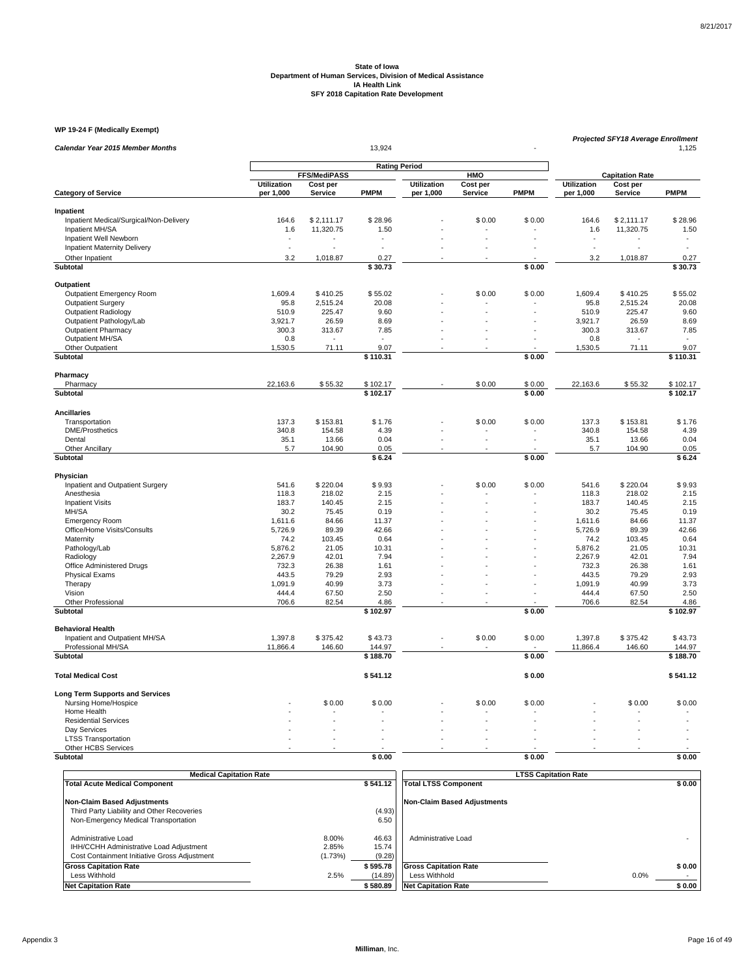#### **WP 19-24 F (Medically Exempt)**

| <b>Calendar Year 2015 Member Months</b>       | 13,924             |                     |                      |                    |                |                      |             | <b>Projected SFY18 Average Enrollment</b><br>1,125 |             |  |  |
|-----------------------------------------------|--------------------|---------------------|----------------------|--------------------|----------------|----------------------|-------------|----------------------------------------------------|-------------|--|--|
|                                               |                    |                     | <b>Rating Period</b> |                    |                |                      |             |                                                    |             |  |  |
|                                               |                    | <b>FFS/MediPASS</b> |                      |                    | HMO            |                      |             | <b>Capitation Rate</b>                             |             |  |  |
|                                               | <b>Utilization</b> | Cost per<br>Service | <b>PMPM</b>          | <b>Utilization</b> | Cost per       | <b>PMPM</b>          | Utilization | Cost per                                           | <b>PMPM</b> |  |  |
| <b>Category of Service</b>                    | per 1,000          |                     |                      | per 1,000          | Service        |                      | per 1,000   | Service                                            |             |  |  |
| Inpatient                                     |                    |                     |                      |                    |                |                      |             |                                                    |             |  |  |
| Inpatient Medical/Surgical/Non-Delivery       | 164.6              | \$2,111.17          | \$28.96              |                    | \$0.00         | \$0.00               | 164.6       | \$2,111.17                                         | \$28.96     |  |  |
| Inpatient MH/SA                               | 1.6                | 11,320.75           | 1.50                 |                    |                |                      | 1.6         | 11,320.75                                          | 1.50        |  |  |
| Inpatient Well Newborn                        | ÷,                 |                     |                      |                    |                |                      |             |                                                    | ÷.          |  |  |
| <b>Inpatient Maternity Delivery</b>           | ÷,                 |                     |                      |                    |                |                      |             |                                                    |             |  |  |
| Other Inpatient                               | 3.2                | 1,018.87            | 0.27                 |                    |                |                      | 3.2         | 1,018.87                                           | 0.27        |  |  |
| <b>Subtotal</b>                               |                    |                     | \$30.73              |                    |                | \$0.00               |             |                                                    | \$30.73     |  |  |
| Outpatient                                    |                    |                     |                      |                    |                |                      |             |                                                    |             |  |  |
| Outpatient Emergency Room                     | 1,609.4            | \$410.25            | \$55.02              |                    | \$0.00         | \$0.00               | 1,609.4     | \$410.25                                           | \$55.02     |  |  |
| <b>Outpatient Surgery</b>                     | 95.8               | 2,515.24            | 20.08                |                    |                |                      | 95.8        | 2,515.24                                           | 20.08       |  |  |
| Outpatient Radiology                          | 510.9              | 225.47              | 9.60                 |                    |                |                      | 510.9       | 225.47                                             | 9.60        |  |  |
| Outpatient Pathology/Lab                      | 3,921.7            | 26.59               | 8.69                 |                    |                |                      | 3,921.7     | 26.59                                              | 8.69        |  |  |
| <b>Outpatient Pharmacy</b>                    | 300.3              | 313.67              | 7.85                 |                    |                |                      | 300.3       | 313.67                                             | 7.85        |  |  |
| Outpatient MH/SA                              | 0.8                |                     |                      |                    | $\overline{a}$ |                      | 0.8         |                                                    |             |  |  |
| Other Outpatient                              | 1,530.5            | 71.11               | 9.07                 |                    |                |                      | 1,530.5     | 71.11                                              | 9.07        |  |  |
| Subtotal                                      |                    |                     | \$110.31             |                    |                | \$0.00               |             |                                                    | \$110.31    |  |  |
|                                               |                    |                     |                      |                    |                |                      |             |                                                    |             |  |  |
| Pharmacy                                      |                    |                     |                      |                    |                |                      |             |                                                    |             |  |  |
| Pharmacy                                      | 22,163.6           | \$55.32             | \$102.17             |                    | \$0.00         | \$0.00               | 22,163.6    | \$55.32                                            | \$102.17    |  |  |
| Subtotal                                      |                    |                     | \$102.17             |                    |                | \$0.00               |             |                                                    | \$102.17    |  |  |
| <b>Ancillaries</b>                            |                    |                     |                      |                    |                |                      |             |                                                    |             |  |  |
| Transportation                                | 137.3              | \$153.81            | \$1.76               |                    | \$0.00         | \$0.00               | 137.3       | \$153.81                                           | \$1.76      |  |  |
| <b>DME/Prosthetics</b>                        | 340.8              | 154.58              | 4.39                 |                    |                |                      | 340.8       | 154.58                                             | 4.39        |  |  |
| Dental                                        | 35.1               | 13.66               | 0.04                 |                    | $\overline{a}$ | ÷.                   | 35.1        | 13.66                                              | 0.04        |  |  |
| Other Ancillary                               | 5.7                | 104.90              | 0.05                 |                    |                |                      | 5.7         | 104.90                                             | 0.05        |  |  |
| <b>Subtotal</b>                               |                    |                     | \$6.24               |                    |                | \$0.00               |             |                                                    | \$6.24      |  |  |
|                                               |                    |                     |                      |                    |                |                      |             |                                                    |             |  |  |
| Physician<br>Inpatient and Outpatient Surgery |                    | \$220.04            | \$9.93               |                    | \$0.00         | \$0.00               | 541.6       | \$220.04                                           | \$9.93      |  |  |
| Anesthesia                                    | 541.6<br>118.3     | 218.02              | 2.15                 |                    |                |                      | 118.3       | 218.02                                             | 2.15        |  |  |
| <b>Inpatient Visits</b>                       | 183.7              | 140.45              | 2.15                 |                    |                |                      | 183.7       | 140.45                                             | 2.15        |  |  |
| MH/SA                                         | 30.2               | 75.45               | 0.19                 |                    |                |                      | 30.2        | 75.45                                              | 0.19        |  |  |
| Emergency Room                                | 1,611.6            | 84.66               | 11.37                |                    | L.             |                      | 1,611.6     | 84.66                                              | 11.37       |  |  |
| Office/Home Visits/Consults                   | 5,726.9            | 89.39               | 42.66                |                    |                |                      | 5,726.9     | 89.39                                              | 42.66       |  |  |
| Maternity                                     | 74.2               | 103.45              | 0.64                 |                    |                |                      | 74.2        | 103.45                                             | 0.64        |  |  |
| Pathology/Lab                                 | 5,876.2            | 21.05               | 10.31                |                    |                |                      | 5,876.2     | 21.05                                              | 10.31       |  |  |
| Radiology                                     | 2,267.9            | 42.01               | 7.94                 |                    |                |                      | 2,267.9     | 42.01                                              | 7.94        |  |  |
| Office Administered Drugs                     | 732.3              | 26.38               | 1.61                 |                    |                |                      | 732.3       | 26.38                                              | 1.61        |  |  |
| <b>Physical Exams</b>                         | 443.5              | 79.29               | 2.93                 |                    |                |                      | 443.5       | 79.29                                              | 2.93        |  |  |
| Therapy                                       | 1,091.9            | 40.99               | 3.73                 |                    |                | $\ddot{\phantom{1}}$ | 1,091.9     | 40.99                                              | 3.73        |  |  |
| Vision                                        | 444.4              | 67.50               | 2.50                 |                    |                |                      | 444.4       | 67.50                                              | 2.50        |  |  |
| <b>Other Professional</b>                     | 706.6              | 82.54               | 4.86                 |                    |                |                      | 706.6       | 82.54                                              | 4.86        |  |  |
| Subtotal                                      |                    |                     | \$102.97             |                    |                | \$0.00               |             |                                                    | \$102.97    |  |  |
| <b>Behavioral Health</b>                      |                    |                     |                      |                    |                |                      |             |                                                    |             |  |  |
| Inpatient and Outpatient MH/SA                | 1,397.8            | \$375.42            | \$43.73              |                    | \$0.00         | \$0.00               | 1,397.8     | \$375.42                                           | \$43.73     |  |  |
| Professional MH/SA                            | 11,866.4           | 146.60              | 144.97               |                    |                |                      | 11,866.4    | 146.60                                             | 144.97      |  |  |
| Subtotal                                      |                    |                     | \$188.70             |                    |                | \$0.00               |             |                                                    | \$188.70    |  |  |
|                                               |                    |                     |                      |                    |                |                      |             |                                                    |             |  |  |
| <b>Total Medical Cost</b>                     |                    |                     | \$541.12             |                    |                | \$0.00               |             |                                                    | \$541.12    |  |  |
| <b>Long Term Supports and Services</b>        |                    |                     |                      |                    |                |                      |             |                                                    |             |  |  |
| Nursing Home/Hospice                          |                    | \$0.00              | \$0.00               |                    | \$0.00         | \$0.00               |             | \$0.00                                             | \$0.00      |  |  |
| Home Health                                   |                    |                     |                      |                    |                |                      |             |                                                    |             |  |  |
| <b>Residential Services</b>                   |                    |                     |                      |                    |                |                      |             |                                                    |             |  |  |
| Day Services                                  |                    |                     |                      |                    |                |                      |             |                                                    |             |  |  |
| <b>LTSS Transportation</b>                    |                    |                     |                      |                    |                |                      |             |                                                    |             |  |  |
| Other HCBS Services                           |                    |                     |                      |                    |                |                      |             |                                                    |             |  |  |
| Subtotal                                      |                    |                     | \$0.00               |                    |                | \$0.00               |             |                                                    | \$0.00      |  |  |

| <b>Medical Capitation Rate</b>                                                                                 |                           |                          | <b>LTSS Capitation Rate</b>  |        |
|----------------------------------------------------------------------------------------------------------------|---------------------------|--------------------------|------------------------------|--------|
| <b>Total Acute Medical Component</b>                                                                           |                           | \$541.12                 | <b>Total LTSS Component</b>  | \$0.00 |
| Non-Claim Based Adjustments                                                                                    |                           |                          | Non-Claim Based Adiustments  |        |
| Third Party Liability and Other Recoveries                                                                     |                           | (4.93)                   |                              |        |
| Non-Emergency Medical Transportation                                                                           |                           | 6.50                     |                              |        |
| Administrative Load<br>IHH/CCHH Administrative Load Adjustment<br>Cost Containment Initiative Gross Adjustment | 8.00%<br>2.85%<br>(1.73%) | 46.63<br>15.74<br>(9.28) | Administrative Load          |        |
| <b>Gross Capitation Rate</b>                                                                                   |                           | \$595.78                 | <b>Gross Capitation Rate</b> | \$0.00 |
| Less Withhold                                                                                                  | 2.5%                      | (14.89)                  | Less Withhold                | 0.0%   |
| <b>Net Capitation Rate</b>                                                                                     |                           | \$580.89                 | <b>Net Capitation Rate</b>   | \$0.00 |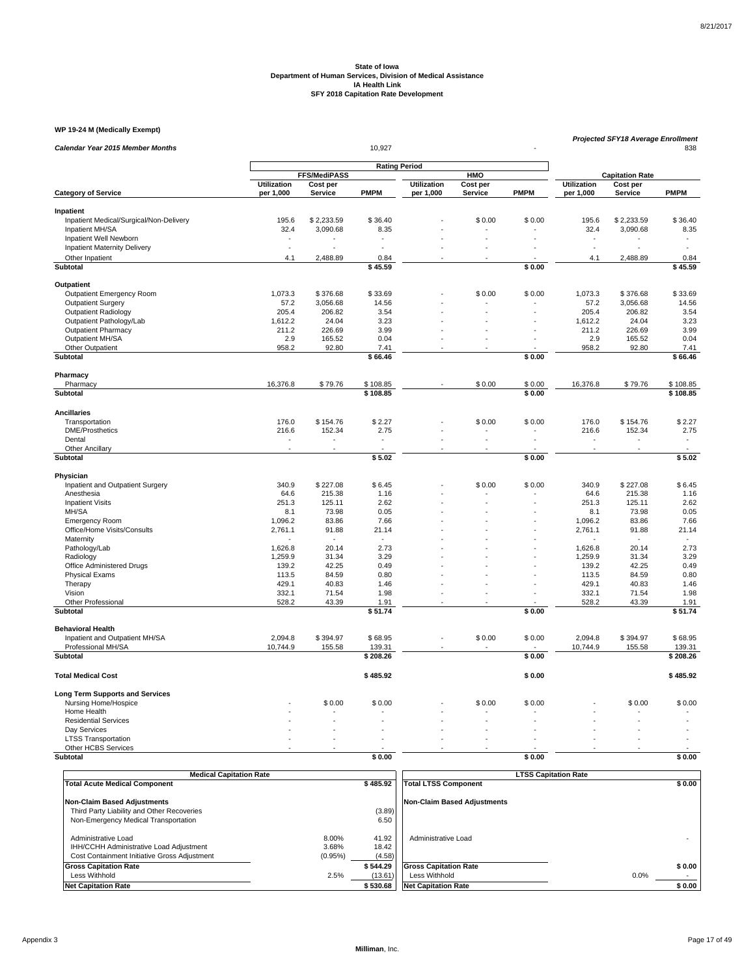#### **WP 19-24 M (Medically Exempt)**

| Calendar Year 2015 Member Months        |                    |                          | 10,927                   |                    |          |             |                    | <b>Projected SFY18 Average Enrollment</b><br>838 |             |
|-----------------------------------------|--------------------|--------------------------|--------------------------|--------------------|----------|-------------|--------------------|--------------------------------------------------|-------------|
|                                         |                    |                          |                          |                    |          |             |                    |                                                  |             |
|                                         |                    | <b>FFS/MediPASS</b>      | <b>Rating Period</b>     |                    | HMO      |             |                    | <b>Capitation Rate</b>                           |             |
|                                         | <b>Utilization</b> | Cost per                 |                          | <b>Utilization</b> | Cost per |             | <b>Utilization</b> | Cost per                                         |             |
| <b>Category of Service</b>              | per 1,000          | Service                  | <b>PMPM</b>              | per 1,000          | Service  | <b>PMPM</b> | per 1,000          | Service                                          | <b>PMPM</b> |
| Inpatient                               |                    |                          |                          |                    |          |             |                    |                                                  |             |
| Inpatient Medical/Surgical/Non-Delivery | 195.6              | \$2,233.59               | \$36.40                  |                    | \$0.00   | \$0.00      | 195.6              | \$2,233.59                                       | \$36.40     |
| Inpatient MH/SA                         | 32.4               | 3,090.68                 | 8.35                     |                    |          |             | 32.4               | 3,090.68                                         | 8.35        |
| Inpatient Well Newborn                  |                    |                          |                          |                    |          |             |                    |                                                  |             |
| <b>Inpatient Maternity Delivery</b>     | ÷.                 |                          | ä,                       |                    |          |             | ÷,                 |                                                  |             |
| Other Inpatient                         | 4.1                | 2,488.89                 | 0.84                     |                    |          |             | 4.1                | 2,488.89                                         | 0.84        |
| <b>Subtotal</b>                         |                    |                          | \$45.59                  |                    |          | \$0.00      |                    |                                                  | \$45.59     |
|                                         |                    |                          |                          |                    |          |             |                    |                                                  |             |
| Outpatient                              |                    |                          |                          |                    |          |             |                    |                                                  |             |
| <b>Outpatient Emergency Room</b>        | 1,073.3            | \$376.68                 | \$33.69                  |                    | \$0.00   | \$0.00      | 1,073.3            | \$376.68                                         | \$33.69     |
| <b>Outpatient Surgery</b>               | 57.2               | 3,056.68                 | 14.56                    |                    |          |             | 57.2               | 3,056.68                                         | 14.56       |
| <b>Outpatient Radiology</b>             | 205.4              | 206.82                   | 3.54                     |                    |          |             | 205.4              | 206.82                                           | 3.54        |
| Outpatient Pathology/Lab                | 1,612.2            | 24.04                    | 3.23                     |                    |          |             | 1,612.2            | 24.04                                            | 3.23        |
| <b>Outpatient Pharmacy</b>              | 211.2              | 226.69                   | 3.99                     |                    |          |             | 211.2              | 226.69                                           | 3.99        |
| Outpatient MH/SA                        | 2.9                | 165.52                   | 0.04                     |                    |          |             | 2.9                | 165.52                                           | 0.04        |
| Other Outpatient                        | 958.2              | 92.80                    | 7.41                     |                    |          |             | 958.2              | 92.80                                            | 7.41        |
| Subtotal                                |                    |                          | \$66.46                  |                    |          | \$0.00      |                    |                                                  | \$66.46     |
| Pharmacy                                |                    |                          |                          |                    |          |             |                    |                                                  |             |
| Pharmacy                                | 16,376.8           | \$79.76                  | \$108.85                 |                    | \$0.00   | \$0.00      | 16,376.8           | \$79.76                                          | \$108.85    |
| <b>Subtotal</b>                         |                    |                          | \$108.85                 |                    |          | \$0.00      |                    |                                                  | \$108.85    |
| <b>Ancillaries</b>                      |                    |                          |                          |                    |          |             |                    |                                                  |             |
| Transportation                          | 176.0              | \$154.76                 | \$2.27                   |                    | \$0.00   | \$0.00      | 176.0              | \$154.76                                         | \$2.27      |
| <b>DME/Prosthetics</b>                  | 216.6              | 152.34                   | 2.75                     |                    |          |             | 216.6              | 152.34                                           | 2.75        |
| Dental                                  | $\blacksquare$     | $\overline{\phantom{a}}$ | $\overline{\phantom{a}}$ |                    | ÷.       |             | ٠                  |                                                  | $\sim$      |
| <b>Other Ancillary</b>                  |                    |                          |                          |                    |          |             |                    |                                                  |             |
| Subtotal                                |                    |                          | \$5.02                   |                    |          | \$0.00      |                    |                                                  | \$5.02      |
| Physician                               |                    |                          |                          |                    |          |             |                    |                                                  |             |
| Inpatient and Outpatient Surgery        | 340.9              | \$227.08                 | \$6.45                   |                    | \$0.00   | \$0.00      | 340.9              | \$227.08                                         | \$6.45      |
| Anesthesia                              | 64.6               | 215.38                   | 1.16                     |                    |          |             | 64.6               | 215.38                                           | 1.16        |
| <b>Inpatient Visits</b>                 | 251.3              | 125.11                   | 2.62                     |                    |          |             | 251.3              | 125.11                                           | 2.62        |
| MH/SA                                   | 8.1                | 73.98                    | 0.05                     |                    |          |             | 8.1                | 73.98                                            | 0.05        |
| <b>Emergency Room</b>                   | 1,096.2            | 83.86                    | 7.66                     |                    |          |             | 1,096.2            | 83.86                                            | 7.66        |
| Office/Home Visits/Consults             | 2,761.1            | 91.88                    | 21.14                    |                    |          |             | 2,761.1            | 91.88                                            | 21.14       |
| Maternity                               |                    |                          |                          |                    |          |             |                    |                                                  |             |
| Pathology/Lab                           | 1,626.8            | 20.14                    | 2.73                     |                    |          |             | 1,626.8            | 20.14                                            | 2.73        |
| Radiology                               | 1,259.9            | 31.34                    | 3.29                     |                    |          |             | 1,259.9            | 31.34                                            | 3.29        |
| Office Administered Drugs               | 139.2              | 42.25                    | 0.49                     |                    |          |             | 139.2              | 42.25                                            | 0.49        |
| <b>Physical Exams</b>                   | 113.5              | 84.59                    | 0.80                     |                    |          |             | 113.5              | 84.59                                            | 0.80        |
| Therapy                                 | 429.1              | 40.83                    | 1.46                     |                    |          |             | 429.1              | 40.83                                            | 1.46        |
| Vision                                  | 332.1              | 71.54                    | 1.98                     |                    |          |             | 332.1              | 71.54                                            | 1.98        |
| <b>Other Professional</b>               | 528.2              | 43.39                    | 1.91                     |                    |          |             | 528.2              | 43.39                                            | 1.91        |
| Subtotal                                |                    |                          | \$51.74                  |                    |          | \$0.00      |                    |                                                  | \$51.74     |
|                                         |                    |                          |                          |                    |          |             |                    |                                                  |             |
| <b>Behavioral Health</b>                |                    |                          |                          |                    |          |             |                    |                                                  |             |
| Inpatient and Outpatient MH/SA          | 2,094.8            | \$394.97                 | \$68.95                  |                    | \$0.00   | \$0.00      | 2,094.8            | \$394.97                                         | \$68.95     |
| Professional MH/SA                      | 10,744.9           | 155.58                   | 139.31                   |                    |          |             | 10,744.9           | 155.58                                           | 139.31      |
| Subtotal                                |                    |                          | \$208.26                 |                    |          | \$0.00      |                    |                                                  | \$208.26    |
| <b>Total Medical Cost</b>               |                    |                          | \$485.92                 |                    |          | \$0.00      |                    |                                                  | \$485.92    |
| <b>Long Term Supports and Services</b>  |                    |                          |                          |                    |          |             |                    |                                                  |             |
| Nursing Home/Hospice                    |                    | \$0.00                   | \$0.00                   |                    | \$0.00   | \$0.00      |                    | \$0.00                                           | \$0.00      |
| Home Health                             |                    |                          |                          |                    |          |             |                    |                                                  |             |
| <b>Residential Services</b>             |                    |                          |                          |                    |          |             |                    |                                                  |             |
| Day Services                            |                    |                          |                          |                    |          |             |                    |                                                  |             |
| <b>LTSS Transportation</b>              |                    |                          |                          |                    |          |             |                    |                                                  |             |
| Other HCBS Services                     |                    |                          |                          |                    |          |             |                    |                                                  |             |
| Subtotal                                |                    |                          | \$0.00                   |                    |          | \$0.00      |                    |                                                  | \$0.00      |

| <b>Medical Capitation Rate</b>                                                     |         |                | <b>LTSS Capitation Rate</b>        |      |        |
|------------------------------------------------------------------------------------|---------|----------------|------------------------------------|------|--------|
| <b>Total Acute Medical Component</b>                                               |         | \$485.92       | <b>Total LTSS Component</b>        |      | \$0.00 |
| <b>Non-Claim Based Adjustments</b>                                                 |         |                | <b>Non-Claim Based Adjustments</b> |      |        |
| Third Party Liability and Other Recoveries<br>Non-Emergency Medical Transportation |         | (3.89)<br>6.50 |                                    |      |        |
|                                                                                    |         |                |                                    |      |        |
| Administrative Load                                                                | 8.00%   | 41.92          | Administrative Load                |      |        |
| IHH/CCHH Administrative Load Adjustment                                            | 3.68%   | 18.42          |                                    |      |        |
| Cost Containment Initiative Gross Adjustment                                       | (0.95%) | (4.58)         |                                    |      |        |
| <b>Gross Capitation Rate</b>                                                       |         | \$544.29       | <b>Gross Capitation Rate</b>       |      | \$0.00 |
| Less Withhold                                                                      | 2.5%    | (13.61)        | Less Withhold                      | 0.0% |        |
| <b>Net Capitation Rate</b>                                                         |         | \$530.68       | <b>Net Capitation Rate</b>         |      | \$0.00 |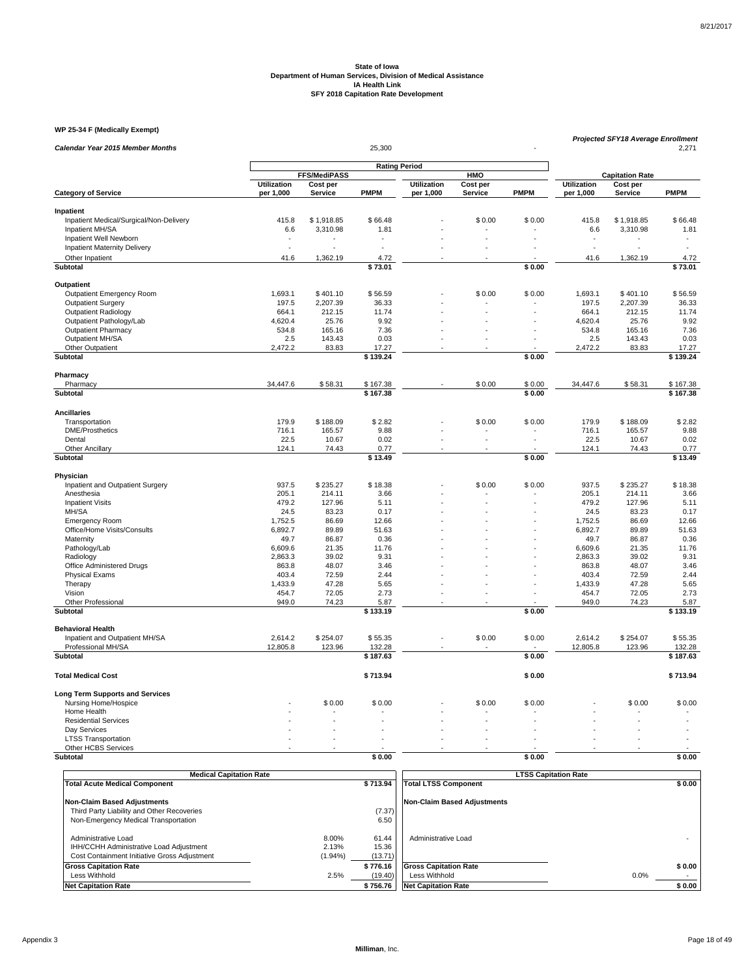#### **WP 25-34 F (Medically Exempt)**

| Calendar Year 2015 Member Months                     |                     | <b>Projected SFY18 Average Enrollment</b><br>25,300 |                   |                    |                |             |                        |                    | 2,271             |
|------------------------------------------------------|---------------------|-----------------------------------------------------|-------------------|--------------------|----------------|-------------|------------------------|--------------------|-------------------|
|                                                      |                     |                                                     |                   |                    |                |             |                        |                    |                   |
|                                                      |                     | <b>FFS/MediPASS</b>                                 |                   |                    | <b>HMO</b>     |             | <b>Capitation Rate</b> |                    |                   |
|                                                      | <b>Utilization</b>  | Cost per                                            |                   | <b>Utilization</b> | Cost per       |             | <b>Utilization</b>     | Cost per           |                   |
| <b>Category of Service</b>                           | per 1,000           | Service                                             | <b>PMPM</b>       | per 1,000          | Service        | <b>PMPM</b> | per 1,000              | Service            | <b>PMPM</b>       |
| Inpatient                                            |                     |                                                     |                   |                    |                |             |                        |                    |                   |
| Inpatient Medical/Surgical/Non-Delivery              | 415.8               | \$1,918.85                                          | \$66.48           |                    | \$0.00         | \$0.00      | 415.8                  | \$1,918.85         | \$66.48           |
| Inpatient MH/SA                                      | 6.6                 | 3,310.98                                            | 1.81              |                    |                |             | 6.6                    | 3,310.98           | 1.81              |
| Inpatient Well Newborn                               |                     |                                                     |                   |                    |                |             |                        |                    |                   |
| Inpatient Maternity Delivery                         | L.                  |                                                     |                   |                    |                |             | ÷,                     |                    |                   |
| Other Inpatient                                      | 41.6                | 1,362.19                                            | 4.72              |                    |                |             | 41.6                   | 1,362.19           | 4.72              |
| Subtotal                                             |                     |                                                     | \$73.01           |                    |                | \$0.00      |                        |                    | \$73.01           |
|                                                      |                     |                                                     |                   |                    |                |             |                        |                    |                   |
| Outpatient                                           |                     |                                                     |                   |                    |                |             |                        |                    |                   |
| Outpatient Emergency Room                            | 1,693.1             | \$401.10                                            | \$56.59           |                    | \$0.00         | \$0.00      | 1,693.1                | \$401.10           | \$56.59           |
| <b>Outpatient Surgery</b>                            | 197.5               | 2,207.39                                            | 36.33             |                    |                |             | 197.5                  | 2,207.39           | 36.33             |
| Outpatient Radiology                                 | 664.1               | 212.15                                              | 11.74             |                    |                |             | 664.1                  | 212.15             | 11.74             |
| Outpatient Pathology/Lab                             | 4,620.4             | 25.76                                               | 9.92              |                    |                |             | 4,620.4                | 25.76              | 9.92              |
| <b>Outpatient Pharmacy</b>                           | 534.8               | 165.16                                              | 7.36              |                    |                |             | 534.8                  | 165.16             | 7.36              |
| Outpatient MH/SA                                     | 2.5                 | 143.43                                              | 0.03              |                    |                |             | 2.5                    | 143.43             | 0.03              |
| Other Outpatient                                     | 2,472.2             | 83.83                                               | 17.27             |                    |                |             | 2,472.2                | 83.83              | 17.27             |
| <b>Subtotal</b>                                      |                     |                                                     | \$139.24          |                    |                | \$0.00      |                        |                    | \$139.24          |
| Pharmacy                                             |                     |                                                     |                   |                    |                |             |                        |                    |                   |
| Pharmacy                                             | 34,447.6            | \$58.31                                             | \$167.38          |                    | \$0.00         | \$0.00      | 34,447.6               | \$58.31            | \$167.38          |
| Subtotal                                             |                     |                                                     | \$167.38          |                    |                | \$0.00      |                        |                    | \$167.38          |
|                                                      |                     |                                                     |                   |                    |                |             |                        |                    |                   |
| <b>Ancillaries</b>                                   |                     |                                                     |                   |                    |                |             |                        |                    |                   |
| Transportation                                       | 179.9               | \$188.09                                            | \$2.82            |                    | \$0.00         | \$0.00      | 179.9                  | \$188.09           | \$2.82            |
| <b>DME/Prosthetics</b>                               | 716.1               | 165.57                                              | 9.88              |                    |                |             | 716.1                  | 165.57             | 9.88              |
| Dental                                               | 22.5                | 10.67                                               | 0.02              |                    |                |             | 22.5                   | 10.67              | 0.02              |
| Other Ancillary                                      | 124.1               | 74.43                                               | 0.77              |                    |                |             | 124.1                  | 74.43              | 0.77              |
| Subtotal                                             |                     |                                                     | \$13.49           |                    |                | \$0.00      |                        |                    | $\sqrt{5}$ 13.49  |
| Physician                                            |                     |                                                     |                   |                    |                |             |                        |                    |                   |
| Inpatient and Outpatient Surgery                     | 937.5               | \$235.27                                            | \$18.38           |                    | \$0.00         | \$0.00      | 937.5                  | \$235.27           | \$18.38           |
| Anesthesia                                           | 205.1               | 214.11                                              | 3.66              |                    |                |             | 205.1                  | 214.11             | 3.66              |
| <b>Inpatient Visits</b>                              | 479.2               | 127.96                                              | 5.11              |                    | $\overline{a}$ |             | 479.2                  | 127.96             | 5.11              |
| MH/SA                                                | 24.5                | 83.23                                               | 0.17              |                    |                |             | 24.5                   | 83.23              | 0.17              |
| <b>Emergency Room</b>                                | 1.752.5             | 86.69                                               | 12.66             |                    |                |             | 1.752.5                | 86.69              | 12.66             |
| Office/Home Visits/Consults                          | 6,892.7             | 89.89                                               | 51.63             |                    |                |             | 6,892.7                | 89.89              | 51.63             |
| Maternity                                            | 49.7                | 86.87                                               | 0.36              |                    |                |             | 49.7                   | 86.87              | 0.36              |
| Pathology/Lab                                        | 6,609.6             | 21.35                                               | 11.76             |                    |                |             | 6,609.6                | 21.35              | 11.76             |
| Radiology                                            | 2,863.3             | 39.02                                               | 9.31              |                    |                |             | 2,863.3                | 39.02              | 9.31              |
| Office Administered Drugs                            | 863.8               | 48.07                                               | 3.46              |                    |                |             | 863.8                  | 48.07              | 3.46              |
| <b>Physical Exams</b>                                | 403.4               | 72.59                                               | 2.44              |                    |                |             | 403.4                  | 72.59              | 2.44              |
| Therapy                                              | 1,433.9             | 47.28                                               | 5.65              |                    |                |             | 1,433.9                | 47.28              | 5.65              |
| Vision                                               | 454.7               | 72.05                                               | 2.73              |                    |                |             | 454.7                  | 72.05              | 2.73              |
| Other Professional                                   | 949.0               | 74.23                                               | 5.87              |                    | $\overline{a}$ |             | 949.0                  | 74.23              | 5.87              |
| Subtotal                                             |                     |                                                     | \$133.19          |                    |                | \$0.00      |                        |                    | \$133.19          |
|                                                      |                     |                                                     |                   |                    |                |             |                        |                    |                   |
| <b>Behavioral Health</b>                             |                     |                                                     |                   |                    |                |             |                        |                    |                   |
| Inpatient and Outpatient MH/SA<br>Professional MH/SA | 2,614.2<br>12,805.8 | \$254.07<br>123.96                                  | \$55.35<br>132.28 |                    | \$0.00         | \$0.00      | 2,614.2<br>12,805.8    | \$254.07<br>123.96 | \$55.35<br>132.28 |
| Subtotal                                             |                     |                                                     | \$187.63          |                    |                | \$0.00      |                        |                    | \$187.63          |
|                                                      |                     |                                                     |                   |                    |                |             |                        |                    |                   |
| <b>Total Medical Cost</b>                            |                     |                                                     | \$713.94          |                    |                | \$0.00      |                        |                    | \$713.94          |
| <b>Long Term Supports and Services</b>               |                     |                                                     |                   |                    |                |             |                        |                    |                   |
| Nursing Home/Hospice                                 |                     | \$0.00                                              | \$0.00            |                    | \$0.00         | \$0.00      |                        | \$0.00             | \$0.00            |
| Home Health                                          |                     |                                                     |                   |                    |                |             |                        |                    |                   |
| <b>Residential Services</b>                          |                     |                                                     |                   |                    |                |             |                        |                    |                   |
| Day Services                                         |                     |                                                     |                   |                    |                |             |                        |                    |                   |
| <b>LTSS Transportation</b>                           |                     |                                                     |                   |                    |                |             |                        |                    |                   |
| Other HCBS Services                                  |                     |                                                     |                   |                    |                |             |                        |                    |                   |
| Subtotal                                             |                     |                                                     | \$0.00            |                    |                | \$0.00      |                        |                    | \$0.00            |

| <b>Medical Capitation Rate</b>                                                                                 |                              |                           | <b>LTSS Capitation Rate</b>  |        |
|----------------------------------------------------------------------------------------------------------------|------------------------------|---------------------------|------------------------------|--------|
| <b>Total Acute Medical Component</b>                                                                           |                              | \$713.94                  | <b>Total LTSS Component</b>  | \$0.00 |
| Non-Claim Based Adjustments                                                                                    |                              |                           | Non-Claim Based Adiustments  |        |
| Third Party Liability and Other Recoveries                                                                     |                              | (7.37)                    |                              |        |
| Non-Emergency Medical Transportation                                                                           |                              | 6.50                      |                              |        |
| Administrative Load<br>IHH/CCHH Administrative Load Adjustment<br>Cost Containment Initiative Gross Adjustment | 8.00%<br>2.13%<br>$(1.94\%)$ | 61.44<br>15.36<br>(13.71) | Administrative Load          |        |
| <b>Gross Capitation Rate</b>                                                                                   |                              | \$776.16                  | <b>Gross Capitation Rate</b> | \$0.00 |
| Less Withhold                                                                                                  | 2.5%                         | (19.40)                   | Less Withhold                | 0.0%   |
| <b>Net Capitation Rate</b>                                                                                     |                              | \$756.76                  | <b>Net Capitation Rate</b>   | \$0.00 |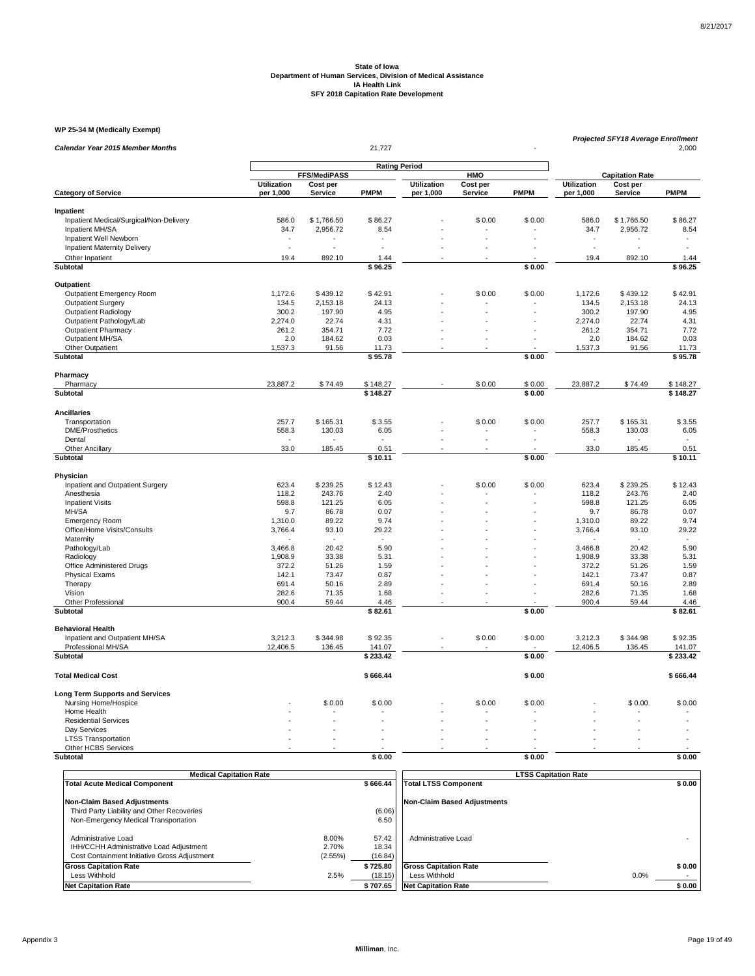#### **WP 25-34 M (Medically Exempt)**

| WP 25-34 M (Medically Exempt)           |                                 |                            |                    |                          |                     |             |                          |                            | Projected SFY18 Average Enrollment |  |  |  |
|-----------------------------------------|---------------------------------|----------------------------|--------------------|--------------------------|---------------------|-------------|--------------------------|----------------------------|------------------------------------|--|--|--|
| <b>Calendar Year 2015 Member Months</b> |                                 |                            | 21,727             |                          |                     |             |                          |                            | 2,000                              |  |  |  |
|                                         |                                 |                            |                    |                          |                     |             |                          |                            |                                    |  |  |  |
|                                         |                                 | <b>FFS/MediPASS</b>        |                    |                          | HMO                 |             |                          | <b>Capitation Rate</b>     |                                    |  |  |  |
| <b>Category of Service</b>              | <b>Utilization</b><br>per 1,000 | Cost per<br><b>Service</b> | <b>PMPM</b>        | Utilization<br>per 1,000 | Cost per<br>Service | <b>PMPM</b> | Utilization<br>per 1,000 | Cost per<br><b>Service</b> | <b>PMPM</b>                        |  |  |  |
|                                         |                                 |                            |                    |                          |                     |             |                          |                            |                                    |  |  |  |
| Inpatient                               |                                 |                            |                    |                          |                     |             |                          |                            |                                    |  |  |  |
| Inpatient Medical/Surgical/Non-Delivery | 586.0                           | \$1,766.50                 | \$86.27            |                          | \$0.00              | \$0.00      | 586.0                    | \$1,766.50                 | \$86.27                            |  |  |  |
| Inpatient MH/SA                         | 34.7                            | 2,956.72                   | 8.54               |                          | ä,                  |             | 34.7                     | 2,956.72                   | 8.54                               |  |  |  |
| Inpatient Well Newborn                  | $\overline{\phantom{a}}$<br>L.  |                            |                    |                          | L.                  |             | L.                       |                            |                                    |  |  |  |
| Inpatient Maternity Delivery            |                                 |                            |                    |                          |                     |             |                          |                            |                                    |  |  |  |
| Other Inpatient<br><b>Subtotal</b>      | 19.4                            | 892.10                     | 1.44<br>\$96.25    |                          |                     | \$0.00      | 19.4                     | 892.10                     | 1.44<br>\$96.25                    |  |  |  |
|                                         |                                 |                            |                    |                          |                     |             |                          |                            |                                    |  |  |  |
| Outpatient                              |                                 |                            |                    |                          |                     |             |                          |                            |                                    |  |  |  |
| Outpatient Emergency Room               | 1,172.6                         | \$439.12                   | \$42.91            |                          | \$0.00              | \$0.00      | 1,172.6                  | \$439.12                   | \$42.91                            |  |  |  |
| <b>Outpatient Surgery</b>               | 134.5                           | 2,153.18                   | 24.13              |                          |                     |             | 134.5                    | 2,153.18                   | 24.13                              |  |  |  |
| <b>Outpatient Radiology</b>             | 300.2                           | 197.90                     | 4.95               |                          |                     |             | 300.2                    | 197.90                     | 4.95                               |  |  |  |
| Outpatient Pathology/Lab                | 2,274.0                         | 22.74                      | 4.31               |                          |                     |             | 2,274.0                  | 22.74                      | 4.31                               |  |  |  |
| <b>Outpatient Pharmacy</b>              | 261.2                           | 354.71                     | 7.72               |                          |                     |             | 261.2                    | 354.71                     | 7.72                               |  |  |  |
| Outpatient MH/SA                        | 2.0                             | 184.62                     | 0.03               |                          |                     |             | 2.0                      | 184.62                     | 0.03                               |  |  |  |
| Other Outpatient<br>Subtotal            | 1,537.3                         | 91.56                      | 11.73<br>\$95.78   |                          |                     | \$0.00      | 1,537.3                  | 91.56                      | 11.73<br>\$95.78                   |  |  |  |
|                                         |                                 |                            |                    |                          |                     |             |                          |                            |                                    |  |  |  |
| Pharmacy                                |                                 |                            |                    |                          |                     |             |                          |                            |                                    |  |  |  |
| Pharmacy                                | 23,887.2                        | \$74.49                    | \$148.27           |                          | \$0.00              | \$0.00      | 23,887.2                 | \$74.49                    | \$148.27                           |  |  |  |
| Subtotal                                |                                 |                            | \$148.27           |                          |                     | \$0.00      |                          |                            | \$148.27                           |  |  |  |
| <b>Ancillaries</b>                      |                                 |                            |                    |                          |                     |             |                          |                            |                                    |  |  |  |
| Transportation                          | 257.7                           | \$165.31                   | \$3.55             |                          | \$0.00              | \$0.00      | 257.7                    | \$165.31                   | \$3.55                             |  |  |  |
| <b>DME/Prosthetics</b>                  | 558.3                           | 130.03                     | 6.05               |                          |                     |             | 558.3                    | 130.03                     | 6.05                               |  |  |  |
| Dental                                  |                                 |                            |                    |                          | ÷,                  | ÷,          |                          |                            |                                    |  |  |  |
| Other Ancillary                         | 33.0                            | 185.45                     | 0.51               |                          |                     |             | 33.0                     | 185.45                     | 0.51                               |  |  |  |
| <b>Subtotal</b>                         |                                 |                            | \$10.11            |                          |                     | \$0.00      |                          |                            | \$10.11                            |  |  |  |
| Physician                               |                                 |                            |                    |                          |                     |             |                          |                            |                                    |  |  |  |
| Inpatient and Outpatient Surgery        | 623.4                           | \$239.25                   | \$12.43            |                          | \$0.00              | \$0.00      | 623.4                    | \$239.25                   | \$12.43                            |  |  |  |
| Anesthesia                              | 118.2                           | 243.76                     | 2.40               |                          |                     |             | 118.2                    | 243.76                     | 2.40                               |  |  |  |
| <b>Inpatient Visits</b>                 | 598.8                           | 121.25                     | 6.05               |                          |                     |             | 598.8                    | 121.25                     | 6.05                               |  |  |  |
| MH/SA                                   | 9.7                             | 86.78                      | 0.07               |                          |                     |             | 9.7                      | 86.78                      | 0.07                               |  |  |  |
| <b>Emergency Room</b>                   | 1,310.0                         | 89.22                      | 9.74               |                          |                     |             | 1,310.0                  | 89.22                      | 9.74                               |  |  |  |
| Office/Home Visits/Consults             | 3,766.4                         | 93.10                      | 29.22              |                          |                     |             | 3,766.4                  | 93.10                      | 29.22                              |  |  |  |
| Maternity<br>Pathology/Lab              | 3,466.8                         | 20.42                      | 5.90               |                          |                     |             | 3,466.8                  | 20.42                      | 5.90                               |  |  |  |
| Radiology                               | 1,908.9                         | 33.38                      | 5.31               |                          |                     |             | 1,908.9                  | 33.38                      | 5.31                               |  |  |  |
| Office Administered Drugs               | 372.2                           | 51.26                      | 1.59               |                          |                     |             | 372.2                    | 51.26                      | 1.59                               |  |  |  |
| <b>Physical Exams</b>                   | 142.1                           | 73.47                      | 0.87               |                          |                     |             | 142.1                    | 73.47                      | 0.87                               |  |  |  |
| Therapy                                 | 691.4                           | 50.16                      | 2.89               |                          |                     |             | 691.4                    | 50.16                      | 2.89                               |  |  |  |
| Vision                                  | 282.6                           | 71.35                      | 1.68               |                          |                     |             | 282.6                    | 71.35                      | 1.68                               |  |  |  |
| Other Professional                      | 900.4                           | 59.44                      | 4.46               |                          | L.                  |             | 900.4                    | 59.44                      | 4.46                               |  |  |  |
| <b>Subtotal</b>                         |                                 |                            | \$82.61            |                          |                     | \$0.00      |                          |                            | \$82.61                            |  |  |  |
| <b>Behavioral Health</b>                |                                 |                            |                    |                          |                     |             |                          |                            |                                    |  |  |  |
| Inpatient and Outpatient MH/SA          | 3.212.3                         | \$344.98                   | \$92.35            |                          | \$0.00              | \$0.00      | 3.212.3                  | \$344.98                   | \$92.35                            |  |  |  |
| Professional MH/SA<br>Subtotal          | 12,406.5                        | 136.45                     | 141.07<br>\$233.42 |                          |                     | \$0.00      | 12,406.5                 | 136.45                     | 141.07<br>\$233.42                 |  |  |  |
|                                         |                                 |                            |                    |                          |                     |             |                          |                            |                                    |  |  |  |
| <b>Total Medical Cost</b>               |                                 |                            | \$666.44           |                          |                     | \$0.00      |                          |                            | \$666.44                           |  |  |  |
| <b>Long Term Supports and Services</b>  |                                 |                            |                    |                          |                     |             |                          |                            |                                    |  |  |  |
| Nursing Home/Hospice                    |                                 | \$0.00                     | \$0.00             |                          | \$0.00              | \$0.00      |                          | \$0.00                     | \$0.00                             |  |  |  |
| Home Health                             |                                 |                            |                    |                          |                     |             |                          |                            |                                    |  |  |  |
| <b>Residential Services</b>             |                                 |                            |                    |                          |                     |             |                          |                            |                                    |  |  |  |
| Day Services                            |                                 |                            |                    |                          |                     |             |                          |                            |                                    |  |  |  |
| <b>LTSS Transportation</b>              |                                 |                            |                    |                          |                     |             |                          |                            |                                    |  |  |  |
| Other HCBS Services<br><b>Subtotal</b>  |                                 |                            | \$0.00             |                          |                     | \$0.00      |                          |                            | \$0.00                             |  |  |  |
|                                         |                                 |                            |                    |                          |                     |             |                          |                            |                                    |  |  |  |

| <b>Medical Capitation Rate</b>               |         |          | <b>LTSS Capitation Rate</b>  |        |
|----------------------------------------------|---------|----------|------------------------------|--------|
| <b>Total Acute Medical Component</b>         |         | \$666.44 | <b>Total LTSS Component</b>  | \$0.00 |
|                                              |         |          |                              |        |
| <b>Non-Claim Based Adjustments</b>           |         |          | Non-Claim Based Adiustments  |        |
| Third Party Liability and Other Recoveries   |         | (6.06)   |                              |        |
| Non-Emergency Medical Transportation         |         | 6.50     |                              |        |
|                                              |         |          |                              |        |
| Administrative Load                          | 8.00%   | 57.42    | Administrative Load          |        |
| IHH/CCHH Administrative Load Adiustment      | 2.70%   | 18.34    |                              |        |
| Cost Containment Initiative Gross Adjustment | (2.55%) | (16.84)  |                              |        |
| <b>Gross Capitation Rate</b>                 |         | \$725.80 | <b>Gross Capitation Rate</b> | \$0.00 |
| Less Withhold                                | 2.5%    | (18.15)  | Less Withhold                | 0.0%   |
| <b>Net Capitation Rate</b>                   |         | \$707.65 | <b>Net Capitation Rate</b>   | \$0.00 |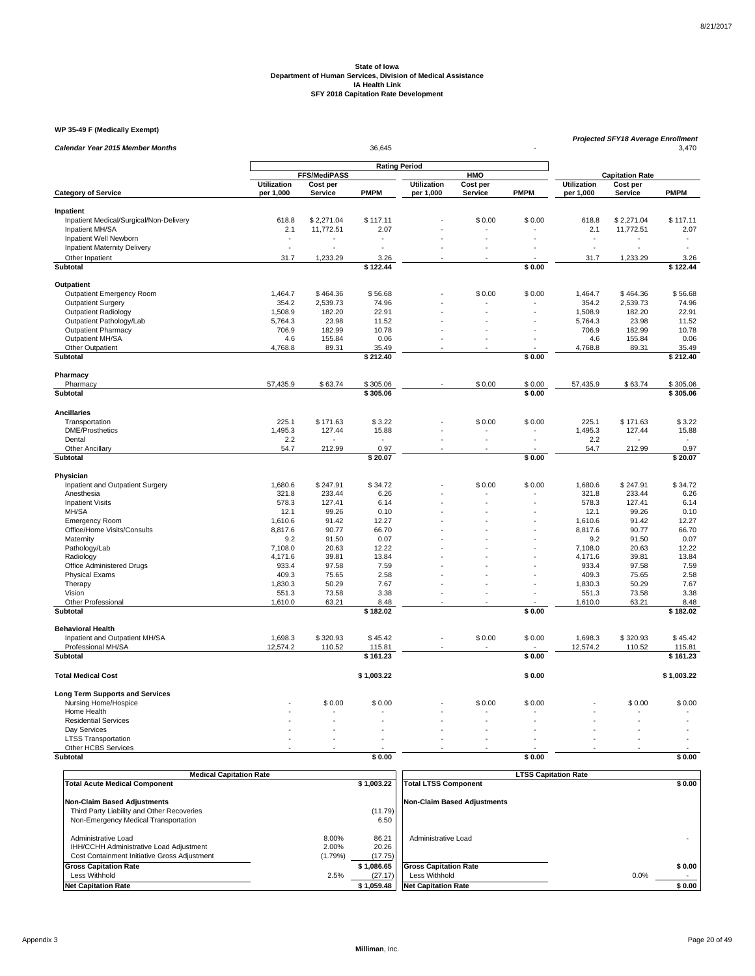#### **WP 35-49 F (Medically Exempt)**

| <b>Calendar Year 2015 Member Months</b> |                                 | 36,645              |                  |                                 |                     |                      |                          |                     | <b>Projected SFY18 Average Enrollment</b><br>3,470 |  |  |  |
|-----------------------------------------|---------------------------------|---------------------|------------------|---------------------------------|---------------------|----------------------|--------------------------|---------------------|----------------------------------------------------|--|--|--|
|                                         |                                 |                     |                  |                                 |                     |                      |                          |                     |                                                    |  |  |  |
|                                         |                                 | <b>FFS/MediPASS</b> |                  |                                 | HMO                 |                      | <b>Capitation Rate</b>   |                     |                                                    |  |  |  |
| <b>Category of Service</b>              | <b>Utilization</b><br>per 1,000 | Cost per<br>Service | <b>PMPM</b>      | <b>Utilization</b><br>per 1,000 | Cost per<br>Service | <b>PMPM</b>          | Utilization<br>per 1,000 | Cost per<br>Service | <b>PMPM</b>                                        |  |  |  |
|                                         |                                 |                     |                  |                                 |                     |                      |                          |                     |                                                    |  |  |  |
| Inpatient                               |                                 |                     |                  |                                 |                     |                      |                          |                     |                                                    |  |  |  |
| Inpatient Medical/Surgical/Non-Delivery | 618.8                           | \$2,271.04          | \$117.11         |                                 | \$0.00              | \$0.00               | 618.8                    | \$2,271.04          | \$117.11                                           |  |  |  |
| Inpatient MH/SA                         | 2.1                             | 11,772.51           | 2.07             |                                 |                     |                      | 2.1                      | 11,772.51           | 2.07                                               |  |  |  |
| Inpatient Well Newborn                  |                                 |                     |                  |                                 |                     |                      |                          |                     |                                                    |  |  |  |
| <b>Inpatient Maternity Delivery</b>     | ÷,                              |                     |                  |                                 |                     |                      |                          |                     |                                                    |  |  |  |
| Other Inpatient                         | 31.7                            | 1,233.29            | 3.26             |                                 |                     |                      | 31.7                     | 1,233.29            | 3.26                                               |  |  |  |
| <b>Subtotal</b>                         |                                 |                     | \$122.44         |                                 |                     | \$0.00               |                          |                     | \$122.44                                           |  |  |  |
| Outpatient                              |                                 |                     |                  |                                 |                     |                      |                          |                     |                                                    |  |  |  |
| Outpatient Emergency Room               | 1,464.7                         | \$464.36            | \$56.68          |                                 | \$0.00              | \$0.00               | 1,464.7                  | \$464.36            | \$56.68                                            |  |  |  |
| <b>Outpatient Surgery</b>               | 354.2                           | 2,539.73            | 74.96            |                                 |                     |                      | 354.2                    | 2,539.73            | 74.96                                              |  |  |  |
| Outpatient Radiology                    | 1,508.9                         | 182.20              | 22.91            |                                 |                     |                      | 1,508.9                  | 182.20              | 22.91                                              |  |  |  |
| Outpatient Pathology/Lab                | 5,764.3                         | 23.98               | 11.52            |                                 |                     |                      | 5,764.3                  | 23.98               | 11.52                                              |  |  |  |
| <b>Outpatient Pharmacy</b>              | 706.9                           | 182.99              | 10.78            |                                 |                     |                      | 706.9                    | 182.99              | 10.78                                              |  |  |  |
| Outpatient MH/SA                        | 4.6                             | 155.84              | 0.06             |                                 | $\overline{a}$      |                      | 4.6                      | 155.84              | 0.06                                               |  |  |  |
| Other Outpatient                        | 4,768.8                         | 89.31               | 35.49            |                                 |                     |                      | 4,768.8                  | 89.31               | 35.49                                              |  |  |  |
| Subtotal                                |                                 |                     | \$212.40         |                                 |                     | \$0.00               |                          |                     | \$212.40                                           |  |  |  |
| Pharmacy                                |                                 |                     |                  |                                 |                     |                      |                          |                     |                                                    |  |  |  |
| Pharmacy                                | 57,435.9                        | \$63.74             | \$305.06         |                                 | \$0.00              | \$0.00               | 57,435.9                 | \$63.74             | \$305.06                                           |  |  |  |
| Subtotal                                |                                 |                     | \$305.06         |                                 |                     | \$0.00               |                          |                     | \$305.06                                           |  |  |  |
| <b>Ancillaries</b>                      |                                 |                     |                  |                                 |                     |                      |                          |                     |                                                    |  |  |  |
| Transportation                          | 225.1                           | \$171.63            | \$3.22           |                                 | \$0.00              | \$0.00               | 225.1                    | \$171.63            | \$3.22                                             |  |  |  |
| <b>DME/Prosthetics</b>                  | 1,495.3                         | 127.44              | 15.88            |                                 |                     |                      | 1,495.3                  | 127.44              | 15.88                                              |  |  |  |
| Dental                                  | 2.2                             |                     |                  |                                 | L.                  | $\overline{a}$       | 2.2                      |                     |                                                    |  |  |  |
| Other Ancillary                         | 54.7                            | 212.99              | 0.97             |                                 |                     |                      | 54.7                     | 212.99              | 0.97                                               |  |  |  |
| <b>Subtotal</b>                         |                                 |                     | \$20.07          |                                 |                     | \$0.00               |                          |                     | \$20.07                                            |  |  |  |
| Physician                               |                                 |                     |                  |                                 |                     |                      |                          |                     |                                                    |  |  |  |
| Inpatient and Outpatient Surgery        | 1,680.6                         | \$247.91            | \$34.72          |                                 | \$0.00              | \$0.00               | 1,680.6                  | \$247.91            | \$34.72                                            |  |  |  |
| Anesthesia                              | 321.8                           | 233.44              | 6.26             |                                 |                     |                      | 321.8                    | 233.44              | 6.26                                               |  |  |  |
| <b>Inpatient Visits</b>                 | 578.3                           | 127.41              | 6.14             |                                 |                     |                      | 578.3                    | 127.41              | 6.14                                               |  |  |  |
| MH/SA                                   | 12.1                            | 99.26               | 0.10             |                                 |                     |                      | 12.1                     | 99.26               | 0.10                                               |  |  |  |
| Emergency Room                          | 1,610.6                         | 91.42               | 12.27            |                                 | L.                  |                      | 1,610.6                  | 91.42               | 12.27                                              |  |  |  |
| Office/Home Visits/Consults             | 8,817.6                         | 90.77               | 66.70            |                                 |                     |                      | 8,817.6                  | 90.77               | 66.70                                              |  |  |  |
| Maternity                               | 9.2                             | 91.50               | 0.07             |                                 |                     |                      | 9.2                      | 91.50               | 0.07                                               |  |  |  |
| Pathology/Lab                           | 7,108.0                         | 20.63               | 12.22            |                                 |                     |                      | 7,108.0                  | 20.63               | 12.22                                              |  |  |  |
| Radiology                               | 4,171.6                         | 39.81               | 13.84            |                                 |                     |                      | 4,171.6                  | 39.81               | 13.84                                              |  |  |  |
| Office Administered Drugs               | 933.4                           | 97.58               | 7.59             |                                 |                     |                      | 933.4                    | 97.58               | 7.59                                               |  |  |  |
| <b>Physical Exams</b>                   | 409.3                           | 75.65               | 2.58             |                                 |                     |                      | 409.3                    | 75.65               | 2.58                                               |  |  |  |
| Therapy                                 | 1,830.3                         | 50.29               | 7.67             |                                 |                     | $\ddot{\phantom{1}}$ | 1,830.3                  | 50.29               | 7.67                                               |  |  |  |
| Vision                                  | 551.3                           | 73.58               | 3.38             |                                 |                     |                      | 551.3                    | 73.58               | 3.38                                               |  |  |  |
| <b>Other Professional</b><br>Subtotal   | 1,610.0                         | 63.21               | 8.48<br>\$182.02 |                                 |                     | \$0.00               | 1,610.0                  | 63.21               | 8.48<br>\$182.02                                   |  |  |  |
|                                         |                                 |                     |                  |                                 |                     |                      |                          |                     |                                                    |  |  |  |
| <b>Behavioral Health</b>                |                                 |                     |                  |                                 |                     |                      |                          |                     |                                                    |  |  |  |
| Inpatient and Outpatient MH/SA          | 1,698.3                         | \$320.93            | \$45.42          |                                 | \$0.00              | \$0.00               | 1,698.3                  | \$320.93            | \$45.42                                            |  |  |  |
| Professional MH/SA                      | 12,574.2                        | 110.52              | 115.81           |                                 |                     |                      | 12,574.2                 | 110.52              | 115.81                                             |  |  |  |
| Subtotal                                |                                 |                     | \$161.23         |                                 |                     | \$0.00               |                          |                     | \$161.23                                           |  |  |  |
| <b>Total Medical Cost</b>               |                                 |                     | \$1,003.22       |                                 |                     | \$0.00               |                          |                     | \$1,003.22                                         |  |  |  |
| <b>Long Term Supports and Services</b>  |                                 |                     |                  |                                 |                     |                      |                          |                     |                                                    |  |  |  |
| Nursing Home/Hospice                    |                                 | \$0.00              | \$0.00           |                                 | \$0.00              | \$0.00               |                          | \$0.00              | \$0.00                                             |  |  |  |
| Home Health                             |                                 |                     |                  |                                 |                     |                      |                          |                     |                                                    |  |  |  |
| <b>Residential Services</b>             |                                 |                     |                  |                                 |                     |                      |                          |                     |                                                    |  |  |  |
| Day Services                            |                                 |                     |                  |                                 |                     |                      |                          |                     |                                                    |  |  |  |
| <b>LTSS Transportation</b>              |                                 |                     |                  |                                 |                     |                      |                          |                     |                                                    |  |  |  |
| Other HCBS Services                     |                                 |                     |                  |                                 |                     |                      |                          |                     |                                                    |  |  |  |
| Subtotal                                |                                 |                     | \$0.00           |                                 |                     | \$0.00               |                          |                     | \$0.00                                             |  |  |  |

| <b>Medical Capitation Rate</b>               |         | <b>LTSS Capitation Rate</b> |                              |        |  |  |
|----------------------------------------------|---------|-----------------------------|------------------------------|--------|--|--|
| <b>Total Acute Medical Component</b>         |         | \$1.003.22                  | <b>Total LTSS Component</b>  | \$0.00 |  |  |
|                                              |         |                             |                              |        |  |  |
| <b>Non-Claim Based Adjustments</b>           |         |                             | Non-Claim Based Adiustments  |        |  |  |
| Third Party Liability and Other Recoveries   |         | (11.79)                     |                              |        |  |  |
| Non-Emergency Medical Transportation         |         | 6.50                        |                              |        |  |  |
|                                              |         |                             |                              |        |  |  |
| Administrative Load                          | 8.00%   | 86.21                       | Administrative Load          |        |  |  |
| IHH/CCHH Administrative Load Adjustment      | 2.00%   | 20.26                       |                              |        |  |  |
| Cost Containment Initiative Gross Adjustment | (1.79%) | (17.75)                     |                              |        |  |  |
| <b>Gross Capitation Rate</b>                 |         | \$1.086.65                  | <b>Gross Capitation Rate</b> | \$0.00 |  |  |
| Less Withhold                                | 2.5%    | (27.17)                     | Less Withhold                | 0.0%   |  |  |
| <b>Net Capitation Rate</b>                   |         | \$1,059.48                  | <b>Net Capitation Rate</b>   | \$0.00 |  |  |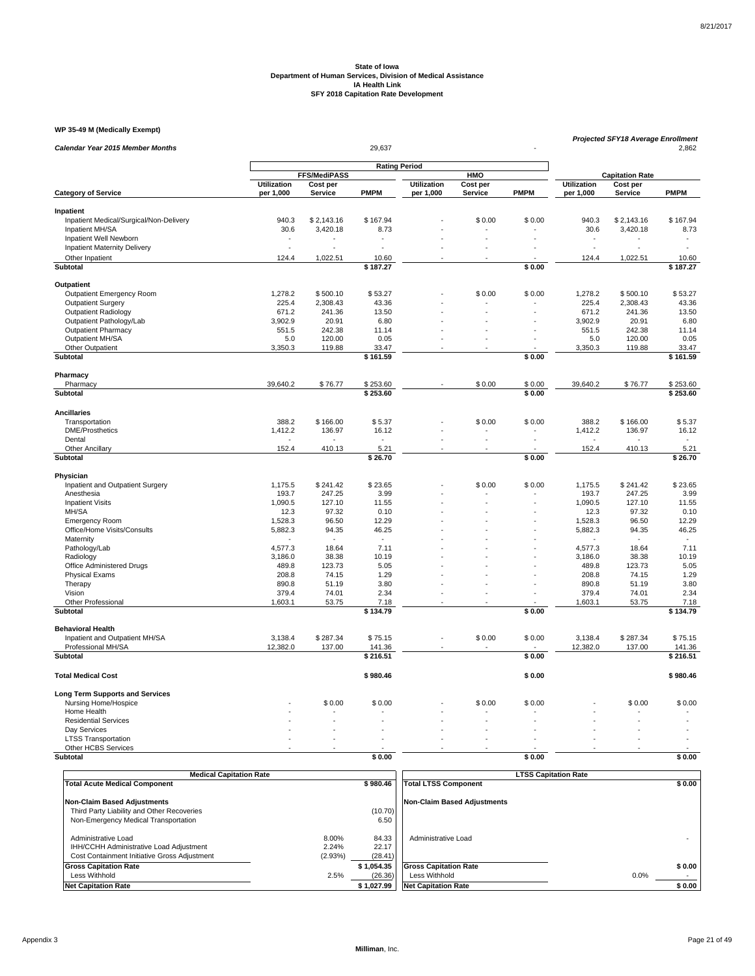#### **WP 35-49 M (Medically Exempt)**

| Calendar Year 2015 Member Months        |                    |                                             | 29,637          |             |                |             | <b>Projected SFY18 Average Enrollment</b><br>2,862 |                 |                 |  |  |  |
|-----------------------------------------|--------------------|---------------------------------------------|-----------------|-------------|----------------|-------------|----------------------------------------------------|-----------------|-----------------|--|--|--|
|                                         |                    |                                             |                 |             |                |             |                                                    |                 |                 |  |  |  |
|                                         |                    | <b>Rating Period</b><br><b>FFS/MediPASS</b> |                 |             |                |             | <b>Capitation Rate</b>                             |                 |                 |  |  |  |
|                                         | <b>Utilization</b> | Cost per                                    |                 | Utilization | Cost per       |             | <b>Utilization</b>                                 | Cost per        |                 |  |  |  |
| <b>Category of Service</b>              | per 1,000          | <b>Service</b>                              | <b>PMPM</b>     | per 1,000   | Service        | <b>PMPM</b> | per 1,000                                          | <b>Service</b>  | <b>PMPM</b>     |  |  |  |
| Inpatient                               |                    |                                             |                 |             |                |             |                                                    |                 |                 |  |  |  |
| Inpatient Medical/Surgical/Non-Delivery | 940.3              | \$2,143.16                                  | \$167.94        |             | \$0.00         | \$0.00      | 940.3                                              | \$2,143.16      | \$167.94        |  |  |  |
| Inpatient MH/SA                         | 30.6               | 3,420.18                                    | 8.73            |             |                |             | 30.6                                               | 3,420.18        | 8.73            |  |  |  |
| Inpatient Well Newborn                  |                    |                                             |                 |             |                |             |                                                    |                 |                 |  |  |  |
| Inpatient Maternity Delivery            | ÷.                 |                                             |                 |             |                |             | L.                                                 |                 |                 |  |  |  |
| Other Inpatient                         | 124.4              | 1,022.51                                    | 10.60           |             |                |             | 124.4                                              | 1,022.51        | 10.60           |  |  |  |
| <b>Subtotal</b>                         |                    |                                             | \$187.27        |             |                | \$0.00      |                                                    |                 | \$187.27        |  |  |  |
| Outpatient                              |                    |                                             |                 |             |                |             |                                                    |                 |                 |  |  |  |
| <b>Outpatient Emergency Room</b>        | 1,278.2            | \$500.10                                    | \$53.27         |             | \$0.00         | \$0.00      | 1,278.2                                            | \$500.10        | \$53.27         |  |  |  |
| <b>Outpatient Surgery</b>               | 225.4              | 2,308.43                                    | 43.36           |             |                |             | 225.4                                              | 2,308.43        | 43.36           |  |  |  |
| <b>Outpatient Radiology</b>             | 671.2              | 241.36                                      | 13.50           |             |                |             | 671.2                                              | 241.36          | 13.50           |  |  |  |
| Outpatient Pathology/Lab                | 3,902.9            | 20.91                                       | 6.80            |             |                |             | 3,902.9                                            | 20.91           | 6.80            |  |  |  |
| <b>Outpatient Pharmacy</b>              | 551.5              | 242.38                                      | 11.14           |             |                |             | 551.5                                              | 242.38          | 11.14           |  |  |  |
| Outpatient MH/SA                        | 5.0                | 120.00                                      | 0.05            |             | ÷.             |             | 5.0                                                | 120.00          | 0.05            |  |  |  |
| Other Outpatient                        | 3,350.3            | 119.88                                      | 33.47           |             |                |             | 3,350.3                                            | 119.88          | 33.47           |  |  |  |
| <b>Subtotal</b>                         |                    |                                             | \$161.59        |             |                | \$0.00      |                                                    |                 | \$161.59        |  |  |  |
| Pharmacy                                |                    |                                             |                 |             |                |             |                                                    |                 |                 |  |  |  |
| Pharmacy                                | 39,640.2           | \$76.77                                     | \$253.60        |             | \$0.00         | \$0.00      | 39,640.2                                           | \$76.77         | \$253.60        |  |  |  |
| Subtotal                                |                    |                                             | \$253.60        |             |                | \$0.00      |                                                    |                 | \$253.60        |  |  |  |
|                                         |                    |                                             |                 |             |                |             |                                                    |                 |                 |  |  |  |
| <b>Ancillaries</b>                      |                    |                                             |                 |             |                |             |                                                    |                 |                 |  |  |  |
| Transportation                          | 388.2              | \$166.00                                    | \$5.37          |             | \$0.00         | \$0.00      | 388.2                                              | \$166.00        | \$5.37          |  |  |  |
| <b>DME/Prosthetics</b>                  | 1,412.2            | 136.97                                      | 16.12           |             |                |             | 1,412.2                                            | 136.97          | 16.12           |  |  |  |
| Dental                                  | 152.4              |                                             |                 |             |                |             | 152.4                                              | 410.13          |                 |  |  |  |
| Other Ancillary<br>Subtotal             |                    | 410.13                                      | 5.21<br>\$26.70 |             |                | \$0.00      |                                                    |                 | 5.21<br>\$26.70 |  |  |  |
|                                         |                    |                                             |                 |             |                |             |                                                    |                 |                 |  |  |  |
| Physician                               |                    |                                             |                 |             |                |             |                                                    |                 |                 |  |  |  |
| Inpatient and Outpatient Surgery        | 1,175.5            | \$241.42                                    | \$23.65         |             | \$0.00         | \$0.00      | 1,175.5                                            | \$241.42        | \$23.65         |  |  |  |
| Anesthesia                              | 193.7              | 247.25                                      | 3.99            |             |                |             | 193.7                                              | 247.25          | 3.99            |  |  |  |
| <b>Inpatient Visits</b><br>MH/SA        | 1,090.5<br>12.3    | 127.10<br>97.32                             | 11.55<br>0.10   |             |                |             | 1,090.5<br>12.3                                    | 127.10<br>97.32 | 11.55<br>0.10   |  |  |  |
| <b>Emergency Room</b>                   | 1,528.3            | 96.50                                       | 12.29           |             |                |             | 1,528.3                                            | 96.50           | 12.29           |  |  |  |
| Office/Home Visits/Consults             | 5,882.3            | 94.35                                       | 46.25           |             |                |             | 5,882.3                                            | 94.35           | 46.25           |  |  |  |
| Maternity                               |                    | $\sim$                                      | $\sim$          |             |                |             |                                                    | $\sim$          | $\sim$          |  |  |  |
| Pathology/Lab                           | 4,577.3            | 18.64                                       | 7.11            |             |                |             | 4,577.3                                            | 18.64           | 7.11            |  |  |  |
| Radiology                               | 3,186.0            | 38.38                                       | 10.19           |             |                |             | 3,186.0                                            | 38.38           | 10.19           |  |  |  |
| Office Administered Drugs               | 489.8              | 123.73                                      | 5.05            |             |                |             | 489.8                                              | 123.73          | 5.05            |  |  |  |
| <b>Physical Exams</b>                   | 208.8              | 74.15                                       | 1.29            |             |                |             | 208.8                                              | 74.15           | 1.29            |  |  |  |
| Therapy                                 | 890.8              | 51.19                                       | 3.80            |             |                |             | 890.8                                              | 51.19           | 3.80            |  |  |  |
| Vision                                  | 379.4              | 74.01                                       | 2.34            |             | $\overline{a}$ |             | 379.4                                              | 74.01           | 2.34            |  |  |  |
| Other Professional                      | 1,603.1            | 53.75                                       | 7.18            |             |                |             | 1,603.1                                            | 53.75           | 7.18            |  |  |  |
| Subtotal                                |                    |                                             | \$134.79        |             |                | \$0.00      |                                                    |                 | \$134.79        |  |  |  |
| <b>Behavioral Health</b>                |                    |                                             |                 |             |                |             |                                                    |                 |                 |  |  |  |
| Inpatient and Outpatient MH/SA          | 3,138.4            | \$287.34                                    | \$75.15         |             | \$0.00         | \$0.00      | 3,138.4                                            | \$287.34        | \$75.15         |  |  |  |
| Professional MH/SA                      | 12,382.0           | 137.00                                      | 141.36          |             |                |             | 12,382.0                                           | 137.00          | 141.36          |  |  |  |
| Subtotal                                |                    |                                             | \$216.51        |             |                | \$0.00      |                                                    |                 | \$216.51        |  |  |  |
| <b>Total Medical Cost</b>               |                    |                                             | \$980.46        |             |                | \$0.00      |                                                    |                 | \$980.46        |  |  |  |
| <b>Long Term Supports and Services</b>  |                    |                                             |                 |             |                |             |                                                    |                 |                 |  |  |  |
| Nursing Home/Hospice                    |                    | \$0.00                                      | \$0.00          |             | \$0.00         | \$0.00      |                                                    | \$0.00          | \$0.00          |  |  |  |
| Home Health                             |                    |                                             |                 |             |                |             |                                                    |                 |                 |  |  |  |
| <b>Residential Services</b>             |                    |                                             |                 |             |                |             |                                                    |                 |                 |  |  |  |
| Day Services                            |                    |                                             |                 |             |                |             |                                                    |                 |                 |  |  |  |
| <b>LTSS Transportation</b>              | ÷.                 |                                             |                 |             |                |             |                                                    |                 |                 |  |  |  |
| Other HCBS Services                     |                    |                                             |                 |             |                |             |                                                    |                 |                 |  |  |  |
| <b>Subtotal</b>                         |                    |                                             | \$0.00          |             |                | \$0.00      |                                                    |                 | \$0.00          |  |  |  |

| <b>Medical Capitation Rate</b>                                                                                 |                           |                                                  | <b>LTSS Capitation Rate</b> |  |  |  |  |
|----------------------------------------------------------------------------------------------------------------|---------------------------|--------------------------------------------------|-----------------------------|--|--|--|--|
| <b>Total Acute Medical Component</b>                                                                           |                           | \$980.46<br><b>Total LTSS Component</b>          | \$0.00                      |  |  |  |  |
| <b>Non-Claim Based Adjustments</b>                                                                             |                           | <b>Non-Claim Based Adjustments</b>               |                             |  |  |  |  |
| Third Party Liability and Other Recoveries                                                                     |                           | (10.70)                                          |                             |  |  |  |  |
| Non-Emergency Medical Transportation                                                                           |                           | 6.50                                             |                             |  |  |  |  |
| Administrative Load<br>IHH/CCHH Administrative Load Adjustment<br>Cost Containment Initiative Gross Adjustment | 8.00%<br>2.24%<br>(2.93%) | 84.33<br>Administrative Load<br>22.17<br>(28.41) |                             |  |  |  |  |
| <b>Gross Capitation Rate</b>                                                                                   |                           | <b>Gross Capitation Rate</b><br>\$1.054.35       | \$0.00                      |  |  |  |  |
| Less Withhold                                                                                                  | 2.5%                      | (26.36)<br>Less Withhold                         | 0.0%                        |  |  |  |  |
| <b>Net Capitation Rate</b>                                                                                     |                           | \$1.027.99<br><b>Net Capitation Rate</b>         | \$0.00                      |  |  |  |  |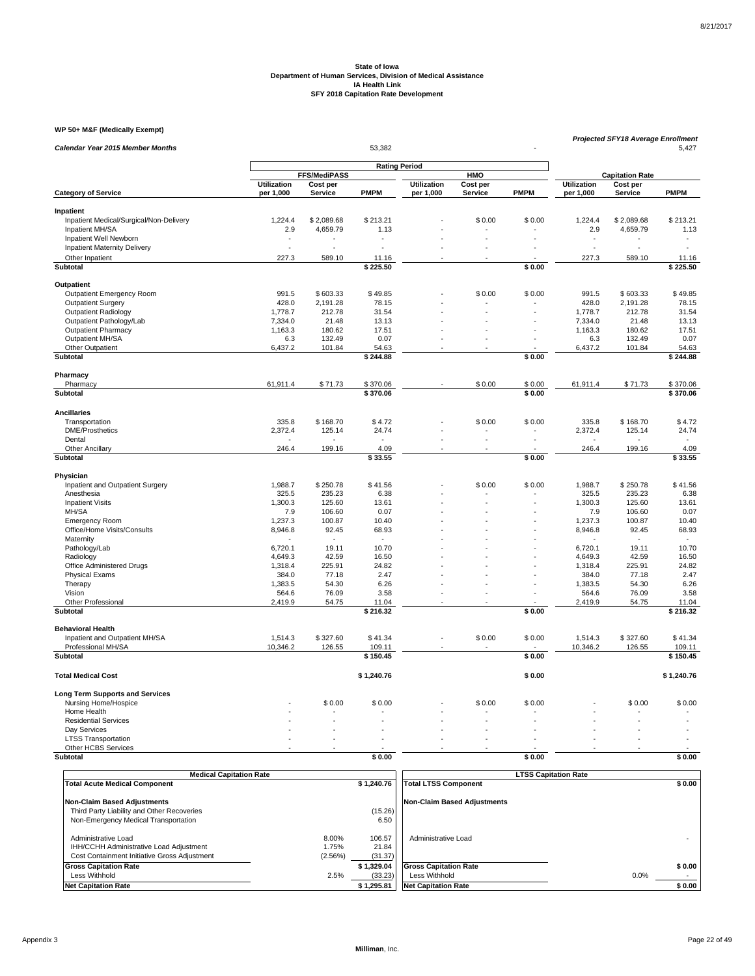#### **WP 50+ M&F (Medically Exempt)**

| WP 50+ M&F (Medically Exempt)                        |                          |                            |                      |                                 |                            |             |                          | Projected SFY18 Average Enrollment |                   |  |  |
|------------------------------------------------------|--------------------------|----------------------------|----------------------|---------------------------------|----------------------------|-------------|--------------------------|------------------------------------|-------------------|--|--|
| Calendar Year 2015 Member Months                     |                          |                            |                      |                                 | 5,427                      |             |                          |                                    |                   |  |  |
|                                                      |                          |                            | <b>Rating Period</b> |                                 |                            |             |                          |                                    |                   |  |  |
|                                                      |                          | FFS/MediPASS               |                      |                                 | HMO                        |             |                          | <b>Capitation Rate</b>             |                   |  |  |
| <b>Category of Service</b>                           | Utilization<br>per 1,000 | Cost per<br><b>Service</b> | <b>PMPM</b>          | <b>Utilization</b><br>per 1,000 | Cost per<br><b>Service</b> | <b>PMPM</b> | Utilization<br>per 1,000 | Cost per<br><b>Service</b>         | <b>PMPM</b>       |  |  |
|                                                      |                          |                            |                      |                                 |                            |             |                          |                                    |                   |  |  |
| Inpatient                                            |                          |                            |                      |                                 |                            |             |                          |                                    |                   |  |  |
| Inpatient Medical/Surgical/Non-Delivery              | 1,224.4                  | \$2,089.68                 | \$213.21             |                                 | \$0.00                     | \$0.00      | 1,224.4                  | \$2,089.68                         | \$213.21          |  |  |
| Inpatient MH/SA                                      | 2.9                      | 4,659.79                   | 1.13                 |                                 |                            |             | 2.9                      | 4,659.79                           | 1.13              |  |  |
| Inpatient Well Newborn                               | $\overline{a}$<br>ä,     |                            |                      |                                 |                            |             | $\overline{a}$           |                                    |                   |  |  |
| <b>Inpatient Maternity Delivery</b>                  |                          |                            |                      |                                 |                            |             |                          |                                    |                   |  |  |
| Other Inpatient                                      | 227.3                    | 589.10                     | 11.16                |                                 |                            |             | 227.3                    | 589.10                             | 11.16             |  |  |
| <b>Subtotal</b>                                      |                          |                            | \$225.50             |                                 |                            | \$0.00      |                          |                                    | \$225.50          |  |  |
| Outpatient                                           |                          |                            |                      |                                 |                            |             |                          |                                    |                   |  |  |
| Outpatient Emergency Room                            | 991.5                    | \$603.33                   | \$49.85              |                                 | \$0.00                     | \$0.00      | 991.5                    | \$603.33                           | \$49.85           |  |  |
| <b>Outpatient Surgery</b>                            | 428.0                    | 2,191.28                   | 78.15                |                                 |                            |             | 428.0                    | 2,191.28                           | 78.15             |  |  |
| Outpatient Radiology                                 | 1,778.7                  | 212.78                     | 31.54                |                                 |                            |             | 1,778.7                  | 212.78                             | 31.54             |  |  |
| Outpatient Pathology/Lab                             | 7,334.0                  | 21.48                      | 13.13                |                                 |                            |             | 7,334.0                  | 21.48                              | 13.13             |  |  |
| <b>Outpatient Pharmacy</b>                           | 1,163.3                  | 180.62                     | 17.51                |                                 |                            |             | 1,163.3                  | 180.62                             | 17.51             |  |  |
| Outpatient MH/SA                                     | 6.3                      | 132.49                     | 0.07                 |                                 |                            |             | 6.3                      | 132.49                             | 0.07              |  |  |
| Other Outpatient                                     | 6,437.2                  | 101.84                     | 54.63                |                                 |                            |             | 6,437.2                  | 101.84                             | 54.63             |  |  |
| <b>Subtotal</b>                                      |                          |                            | \$244.88             |                                 |                            | \$0.00      |                          |                                    | \$244.88          |  |  |
| Pharmacy                                             |                          |                            |                      |                                 |                            |             |                          |                                    |                   |  |  |
| Pharmacy                                             | 61,911.4                 | \$71.73                    | \$370.06             |                                 | \$0.00                     | \$0.00      | 61,911.4                 | \$71.73                            | \$370.06          |  |  |
| Subtotal                                             |                          |                            | \$370.06             |                                 |                            | \$0.00      |                          |                                    | \$370.06          |  |  |
|                                                      |                          |                            |                      |                                 |                            |             |                          |                                    |                   |  |  |
| <b>Ancillaries</b>                                   | 335.8                    | \$168.70                   | \$4.72               |                                 | \$0.00                     | \$0.00      | 335.8                    | \$168.70                           | \$4.72            |  |  |
| Transportation                                       |                          |                            |                      |                                 |                            |             |                          |                                    |                   |  |  |
| <b>DME/Prosthetics</b><br>Dental                     | 2,372.4                  | 125.14                     | 24.74                |                                 | L.                         | ÷.          | 2,372.4                  | 125.14                             | 24.74             |  |  |
| Other Ancillary                                      | 246.4                    | 199.16                     | 4.09                 |                                 |                            |             | 246.4                    | 199.16                             | 4.09              |  |  |
| <b>Subtotal</b>                                      |                          |                            | \$33.55              |                                 |                            | \$0.00      |                          |                                    | \$33.55           |  |  |
|                                                      |                          |                            |                      |                                 |                            |             |                          |                                    |                   |  |  |
| Physician                                            |                          |                            |                      |                                 |                            |             |                          |                                    |                   |  |  |
| Inpatient and Outpatient Surgery                     | 1,988.7                  | \$250.78                   | \$41.56              |                                 | \$0.00                     | \$0.00      | 1,988.7                  | \$250.78                           | \$41.56           |  |  |
| Anesthesia                                           | 325.5                    | 235.23                     | 6.38                 |                                 |                            |             | 325.5                    | 235.23                             | 6.38              |  |  |
| <b>Inpatient Visits</b>                              | 1,300.3                  | 125.60                     | 13.61                |                                 |                            |             | 1,300.3                  | 125.60                             | 13.61             |  |  |
| MH/SA                                                | 7.9                      | 106.60                     | 0.07                 |                                 |                            |             | 7.9                      | 106.60                             | 0.07              |  |  |
| <b>Emergency Room</b>                                | 1,237.3                  | 100.87                     | 10.40                |                                 |                            |             | 1,237.3                  | 100.87                             | 10.40             |  |  |
| Office/Home Visits/Consults                          | 8,946.8                  | 92.45                      | 68.93                |                                 |                            |             | 8,946.8                  | 92.45                              | 68.93             |  |  |
| Maternity                                            |                          |                            |                      |                                 |                            |             |                          |                                    | $\sim$            |  |  |
| Pathology/Lab                                        | 6,720.1                  | 19.11                      | 10.70                |                                 |                            |             | 6,720.1                  | 19.11                              | 10.70             |  |  |
| Radiology                                            | 4,649.3                  | 42.59                      | 16.50                |                                 |                            |             | 4,649.3                  | 42.59                              | 16.50             |  |  |
| Office Administered Drugs                            | 1,318.4                  | 225.91                     | 24.82                |                                 |                            |             | 1,318.4                  | 225.91                             | 24.82             |  |  |
| <b>Physical Exams</b>                                | 384.0                    | 77.18                      | 2.47                 |                                 |                            |             | 384.0                    | 77.18                              | 2.47              |  |  |
| Therapy                                              | 1,383.5                  | 54.30                      | 6.26                 |                                 |                            |             | 1,383.5                  | 54.30                              | 6.26              |  |  |
| Vision                                               | 564.6                    | 76.09                      | 3.58                 |                                 |                            |             | 564.6                    | 76.09                              | 3.58              |  |  |
| <b>Other Professional</b>                            | 2,419.9                  | 54.75                      | 11.04                |                                 |                            |             | 2,419.9                  | 54.75                              | 11.04             |  |  |
| <b>Subtotal</b>                                      |                          |                            | \$216.32             |                                 |                            | \$0.00      |                          |                                    | \$216.32          |  |  |
| <b>Behavioral Health</b>                             |                          |                            |                      |                                 |                            |             |                          |                                    |                   |  |  |
| Inpatient and Outpatient MH/SA<br>Professional MH/SA | 1,514.3<br>10,346.2      | \$327.60<br>126.55         | \$41.34<br>109.11    |                                 | \$0.00                     | \$0.00      | 1,514.3<br>10,346.2      | \$327.60<br>126.55                 | \$41.34<br>109.11 |  |  |
| <b>Subtotal</b>                                      |                          |                            | \$150.45             |                                 |                            | \$0.00      |                          |                                    | \$150.45          |  |  |
|                                                      |                          |                            |                      |                                 |                            |             |                          |                                    |                   |  |  |
| <b>Total Medical Cost</b>                            |                          |                            | \$1,240.76           |                                 |                            | \$0.00      |                          |                                    | \$1,240.76        |  |  |
| <b>Long Term Supports and Services</b>               |                          |                            |                      |                                 |                            |             |                          |                                    |                   |  |  |
| Nursing Home/Hospice                                 |                          | \$0.00                     | \$0.00               |                                 | \$0.00                     | \$0.00      |                          | \$0.00                             | \$0.00            |  |  |
| Home Health                                          |                          |                            |                      |                                 |                            |             |                          |                                    |                   |  |  |
| <b>Residential Services</b>                          |                          |                            |                      |                                 |                            |             |                          |                                    |                   |  |  |
| Day Services                                         |                          |                            |                      |                                 |                            |             |                          |                                    |                   |  |  |
| <b>LTSS Transportation</b>                           | L.                       |                            |                      |                                 |                            |             |                          |                                    |                   |  |  |
| Other HCBS Services                                  |                          |                            |                      |                                 |                            |             |                          |                                    |                   |  |  |
| <b>Subtotal</b>                                      |                          |                            | \$0.00               |                                 |                            | \$0.00      |                          |                                    | \$0.00            |  |  |

| <b>Medical Capitation Rate</b>                                                                                 |                           |                            | <b>LTSS Capitation Rate</b>  |        |
|----------------------------------------------------------------------------------------------------------------|---------------------------|----------------------------|------------------------------|--------|
| <b>Total Acute Medical Component</b>                                                                           |                           | \$1.240.76                 | <b>Total LTSS Component</b>  | \$0.00 |
| Non-Claim Based Adjustments                                                                                    |                           |                            | Non-Claim Based Adiustments  |        |
| Third Party Liability and Other Recoveries                                                                     |                           | (15.26)                    |                              |        |
| Non-Emergency Medical Transportation                                                                           |                           | 6.50                       |                              |        |
| Administrative Load<br>IHH/CCHH Administrative Load Adjustment<br>Cost Containment Initiative Gross Adjustment | 8.00%<br>1.75%<br>(2.56%) | 106.57<br>21.84<br>(31.37) | Administrative Load          |        |
| <b>Gross Capitation Rate</b>                                                                                   |                           | \$1.329.04                 | <b>Gross Capitation Rate</b> | \$0.00 |
| Less Withhold                                                                                                  | 2.5%                      | (33.23)                    | Less Withhold                | 0.0%   |
| <b>Net Capitation Rate</b>                                                                                     |                           | \$1,295.81                 | <b>Net Capitation Rate</b>   | \$0.00 |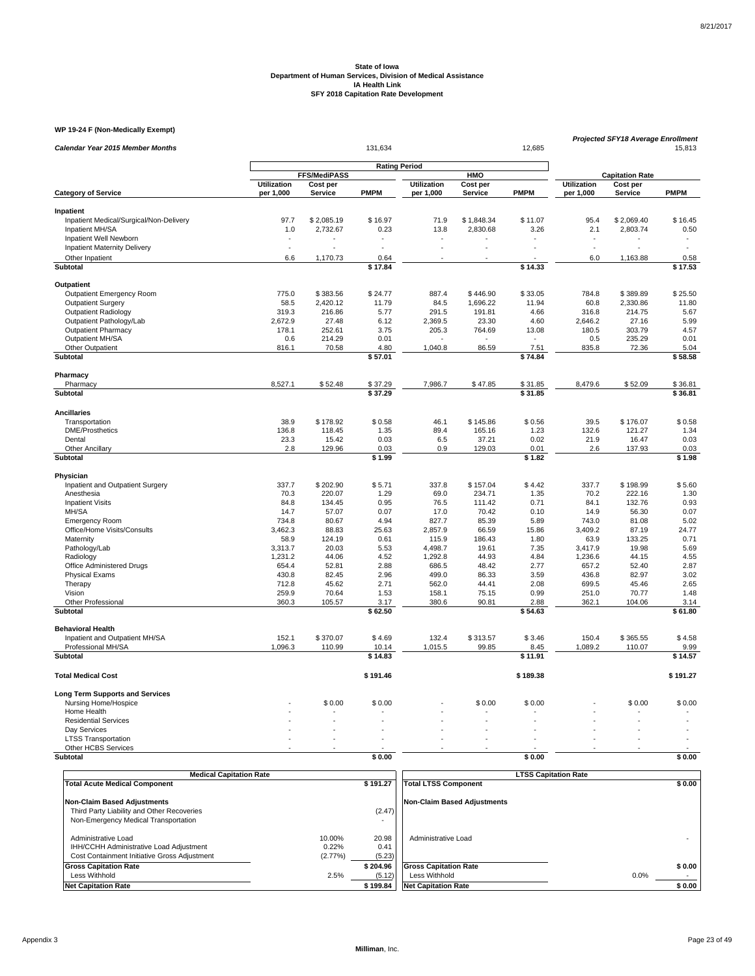### **WP 19-24 F (Non-Medically Exempt)**

| Calendar Year 2015 Member Months        |                    | 131,634<br>12,685   |                      |                    |            |                |                    |                        | Projected SFY18 Average Enrollment<br>15,813 |  |  |
|-----------------------------------------|--------------------|---------------------|----------------------|--------------------|------------|----------------|--------------------|------------------------|----------------------------------------------|--|--|
|                                         |                    |                     | <b>Rating Period</b> |                    |            |                |                    |                        |                                              |  |  |
|                                         |                    | FFS/MediPASS        |                      |                    | HMO        |                |                    | <b>Capitation Rate</b> |                                              |  |  |
|                                         | <b>Utilization</b> | Cost per<br>Service | <b>PMPM</b>          | <b>Utilization</b> | Cost per   | <b>PMPM</b>    | <b>Utilization</b> | Cost per<br>Service    | <b>PMPM</b>                                  |  |  |
| <b>Category of Service</b>              | per 1,000          |                     |                      | per 1,000          | Service    |                | per 1,000          |                        |                                              |  |  |
| Inpatient                               |                    |                     |                      |                    |            |                |                    |                        |                                              |  |  |
| Inpatient Medical/Surgical/Non-Delivery | 97.7               | \$2,085.19          | \$16.97              | 71.9               | \$1,848.34 | \$11.07        | 95.4               | \$2,069.40             | \$16.45                                      |  |  |
| Inpatient MH/SA                         | 1.0                | 2,732.67            | 0.23                 | 13.8               | 2,830.68   | 3.26           | 2.1                | 2,803.74               | 0.50                                         |  |  |
| Inpatient Well Newborn                  |                    |                     |                      |                    |            |                |                    |                        |                                              |  |  |
| <b>Inpatient Maternity Delivery</b>     | L.                 |                     |                      |                    |            |                | L.                 |                        |                                              |  |  |
| Other Inpatient                         | 6.6                | 1,170.73            | 0.64                 |                    |            |                | 6.0                | 1,163.88               | 0.58                                         |  |  |
| Subtotal                                |                    |                     | \$17.84              |                    |            | \$14.33        |                    |                        | \$17.53                                      |  |  |
| Outpatient                              |                    |                     |                      |                    |            |                |                    |                        |                                              |  |  |
| <b>Outpatient Emergency Room</b>        | 775.0              | \$383.56            | \$24.77              | 887.4              | \$446.90   | \$33.05        | 784.8              | \$389.89               | \$25.50                                      |  |  |
| <b>Outpatient Surgery</b>               | 58.5               | 2,420.12            | 11.79                | 84.5               | 1,696.22   | 11.94          | 60.8               | 2,330.86               | 11.80                                        |  |  |
| <b>Outpatient Radiology</b>             | 319.3              | 216.86              | 5.77                 | 291.5              | 191.81     | 4.66           | 316.8              | 214.75                 | 5.67                                         |  |  |
| Outpatient Pathology/Lab                | 2,672.9            | 27.48               | 6.12                 | 2,369.5            | 23.30      | 4.60           | 2,646.2            | 27.16                  | 5.99                                         |  |  |
| <b>Outpatient Pharmacy</b>              | 178.1              | 252.61              | 3.75                 | 205.3              | 764.69     | 13.08          | 180.5              | 303.79                 | 4.57                                         |  |  |
| Outpatient MH/SA                        | 0.6                | 214.29              | 0.01                 |                    |            | $\blacksquare$ | 0.5                | 235.29                 | 0.01                                         |  |  |
| Other Outpatient                        | 816.1              | 70.58               | 4.80                 | 1,040.8            | 86.59      | 7.51           | 835.8              | 72.36                  | 5.04                                         |  |  |
| Subtotal                                |                    |                     | \$57.01              |                    |            | \$74.84        |                    |                        | \$58.58                                      |  |  |
|                                         |                    |                     |                      |                    |            |                |                    |                        |                                              |  |  |
| Pharmacy<br>Pharmacy                    | 8,527.1            | \$52.48             | \$37.29              | 7,986.7            | \$47.85    | \$31.85        | 8,479.6            | \$52.09                | \$36.81                                      |  |  |
| Subtotal                                |                    |                     | \$37.29              |                    |            | \$31.85        |                    |                        | \$36.81                                      |  |  |
|                                         |                    |                     |                      |                    |            |                |                    |                        |                                              |  |  |
| <b>Ancillaries</b>                      |                    |                     |                      |                    |            |                |                    |                        |                                              |  |  |
| Transportation                          | 38.9               | \$178.92            | \$0.58               | 46.1               | \$145.86   | \$0.56         | 39.5               | \$176.07               | \$0.58                                       |  |  |
| <b>DME/Prosthetics</b>                  | 136.8              | 118.45              | 1.35                 | 89.4               | 165.16     | 1.23           | 132.6              | 121.27                 | 1.34                                         |  |  |
| Dental                                  | 23.3               | 15.42               | 0.03                 | 6.5                | 37.21      | 0.02           | 21.9               | 16.47                  | 0.03                                         |  |  |
| Other Ancillary                         | 2.8                | 129.96              | 0.03                 | 0.9                | 129.03     | 0.01           | 2.6                | 137.93                 | 0.03                                         |  |  |
| Subtotal                                |                    |                     | \$1.99               |                    |            | \$1.82         |                    |                        | \$1.98                                       |  |  |
| Physician                               |                    |                     |                      |                    |            |                |                    |                        |                                              |  |  |
| Inpatient and Outpatient Surgery        | 337.7              | \$202.90            | \$5.71               | 337.8              | \$157.04   | \$4.42         | 337.7              | \$198.99               | \$5.60                                       |  |  |
| Anesthesia                              | 70.3               | 220.07              | 1.29                 | 69.0               | 234.71     | 1.35           | 70.2               | 222.16                 | 1.30                                         |  |  |
| <b>Inpatient Visits</b>                 | 84.8               | 134.45              | 0.95                 | 76.5               | 111.42     | 0.71           | 84.1               | 132.76                 | 0.93                                         |  |  |
| MH/SA                                   | 14.7               | 57.07               | 0.07                 | 17.0               | 70.42      | 0.10           | 14.9               | 56.30                  | 0.07                                         |  |  |
| <b>Emergency Room</b>                   | 734.8              | 80.67               | 4.94                 | 827.7              | 85.39      | 5.89           | 743.0              | 81.08                  | 5.02                                         |  |  |
| Office/Home Visits/Consults             | 3,462.3            | 88.83               | 25.63                | 2,857.9            | 66.59      | 15.86          | 3,409.2            | 87.19                  | 24.77                                        |  |  |
| Maternity                               | 58.9               | 124.19              | 0.61                 | 115.9              | 186.43     | 1.80           | 63.9               | 133.25                 | 0.71                                         |  |  |
| Pathology/Lab                           | 3,313.7            | 20.03               | 5.53                 | 4,498.7            | 19.61      | 7.35           | 3,417.9            | 19.98                  | 5.69                                         |  |  |
| Radiology                               | 1,231.2            | 44.06               | 4.52                 | 1,292.8            | 44.93      | 4.84           | 1,236.6            | 44.15                  | 4.55                                         |  |  |
| Office Administered Drugs               | 654.4              | 52.81               | 2.88                 | 686.5              | 48.42      | 2.77           | 657.2              | 52.40                  | 2.87                                         |  |  |
| <b>Physical Exams</b>                   | 430.8              | 82.45               | 2.96                 | 499.0              | 86.33      | 3.59           | 436.8              | 82.97                  | 3.02                                         |  |  |
| Therapy                                 | 712.8              | 45.62               | 2.71                 | 562.0              | 44.41      | 2.08           | 699.5              | 45.46                  | 2.65                                         |  |  |
| Vision                                  | 259.9              | 70.64               | 1.53                 | 158.1              | 75.15      | 0.99           | 251.0              | 70.77                  | 1.48                                         |  |  |
| Other Professional                      | 360.3              | 105.57              | 3.17                 | 380.6              | 90.81      | 2.88           | 362.1              | 104.06                 | 3.14                                         |  |  |
| <b>Subtotal</b>                         |                    |                     | \$62.50              |                    |            | \$54.63        |                    |                        | \$61.80                                      |  |  |
| <b>Behavioral Health</b>                |                    |                     |                      |                    |            |                |                    |                        |                                              |  |  |
| Inpatient and Outpatient MH/SA          | 152.1              | \$370.07            | \$4.69               | 132.4              | \$313.57   | \$3.46         | 150.4              | \$365.55               | \$4.58                                       |  |  |
| Professional MH/SA                      | 1,096.3            | 110.99              | 10.14                | 1,015.5            | 99.85      | 8.45           | 1,089.2            | 110.07                 | 9.99                                         |  |  |
| Subtotal                                |                    |                     | \$14.83              |                    |            | \$11.91        |                    |                        | \$14.57                                      |  |  |
| <b>Total Medical Cost</b>               |                    |                     | \$191.46             |                    |            | \$189.38       |                    |                        | \$191.27                                     |  |  |
| <b>Long Term Supports and Services</b>  |                    |                     |                      |                    |            |                |                    |                        |                                              |  |  |
| Nursing Home/Hospice                    |                    | \$0.00              | \$0.00               |                    | \$0.00     | \$0.00         |                    | \$0.00                 | \$0.00                                       |  |  |
| Home Health                             |                    |                     |                      |                    |            |                |                    |                        |                                              |  |  |
| <b>Residential Services</b>             |                    |                     |                      |                    |            |                |                    |                        |                                              |  |  |
| Day Services                            |                    |                     |                      |                    |            |                |                    |                        |                                              |  |  |
| <b>LTSS Transportation</b>              |                    |                     |                      |                    |            |                |                    |                        |                                              |  |  |
| Other HCBS Services                     |                    |                     |                      |                    |            |                |                    |                        |                                              |  |  |
| <b>Subtotal</b>                         |                    |                     | \$0.00               |                    |            | \$0.00         |                    |                        | \$0.00                                       |  |  |

| <b>Medical Capitation Rate</b>                                                     |            |               | <b>LTSS Capitation Rate</b>        |        |
|------------------------------------------------------------------------------------|------------|---------------|------------------------------------|--------|
| <b>Total Acute Medical Component</b>                                               |            | \$191.27      | <b>Total LTSS Component</b>        | \$0.00 |
| Non-Claim Based Adjustments                                                        |            |               | <b>Non-Claim Based Adjustments</b> |        |
| Third Party Liability and Other Recoveries<br>Non-Emergency Medical Transportation |            | (2.47)<br>-   |                                    |        |
| Administrative Load                                                                | 10.00%     | 20.98         | Administrative Load                |        |
| IHH/CCHH Administrative Load Adjustment                                            | 0.22%      | $0.4^{\circ}$ |                                    |        |
| Cost Containment Initiative Gross Adjustment                                       | $(2.77\%)$ | (5.23)        |                                    |        |
| <b>Gross Capitation Rate</b>                                                       |            | \$204.96      | <b>Gross Capitation Rate</b>       | \$0.00 |
| Less Withhold                                                                      | 2.5%       | (5.12)        | Less Withhold                      | 0.0%   |
| <b>Net Capitation Rate</b>                                                         |            | \$199.84      | <b>Net Capitation Rate</b>         | \$0.00 |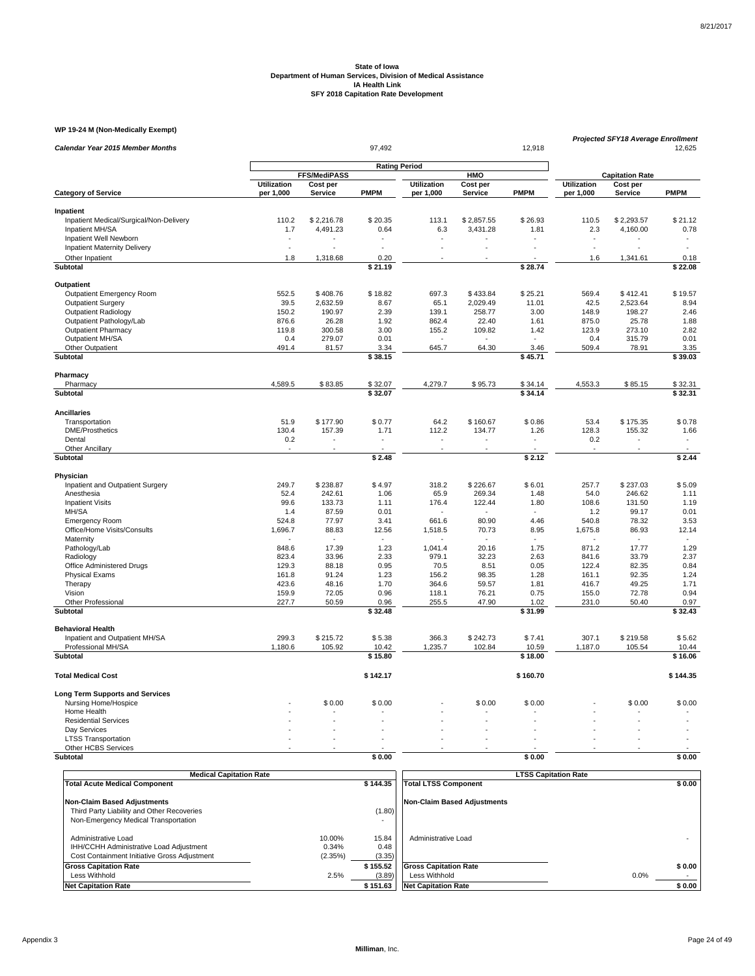### **WP 19-24 M (Non-Medically Exempt)**

| Calendar Year 2015 Member Months                           |                    |                      | 97,492       |                    |                | 12,918                   |                    | Projected SFY18 Average Enrollment |                          |
|------------------------------------------------------------|--------------------|----------------------|--------------|--------------------|----------------|--------------------------|--------------------|------------------------------------|--------------------------|
|                                                            |                    | <b>Rating Period</b> |              |                    |                |                          |                    |                                    | 12,625                   |
|                                                            |                    | FFS/MediPASS         |              |                    | HMO            |                          |                    | <b>Capitation Rate</b>             |                          |
|                                                            | <b>Utilization</b> | Cost per             |              | <b>Utilization</b> | Cost per       |                          | <b>Utilization</b> | Cost per                           |                          |
| <b>Category of Service</b>                                 | per 1,000          | Service              | <b>PMPM</b>  | per 1,000          | Service        | <b>PMPM</b>              | per 1,000          | Service                            | <b>PMPM</b>              |
| Inpatient                                                  |                    |                      |              |                    |                |                          |                    |                                    |                          |
| Inpatient Medical/Surgical/Non-Delivery                    | 110.2              | \$2,216.78           | \$20.35      | 113.1              | \$2,857.55     | \$26.93                  | 110.5              | \$2,293.57                         | \$21.12                  |
| Inpatient MH/SA                                            | 1.7                | 4,491.23             | 0.64         | 6.3                | 3,431.28       | 1.81                     | 2.3                | 4,160.00                           | 0.78                     |
| Inpatient Well Newborn                                     |                    |                      |              |                    |                |                          |                    |                                    |                          |
| <b>Inpatient Maternity Delivery</b>                        | ÷.                 |                      |              |                    |                |                          | ÷.                 |                                    | $\ddot{\phantom{1}}$     |
| Other Inpatient                                            | 1.8                | 1,318.68             | 0.20         |                    |                |                          | 1.6                | 1,341.61                           | 0.18                     |
| Subtotal                                                   |                    |                      | \$21.19      |                    |                | \$28.74                  |                    |                                    | \$22.08                  |
| Outpatient                                                 |                    |                      |              |                    |                |                          |                    |                                    |                          |
| Outpatient Emergency Room                                  | 552.5              | \$408.76             | \$18.82      | 697.3              | \$433.84       | \$25.21                  | 569.4              | \$412.41                           | \$19.57                  |
| <b>Outpatient Surgery</b>                                  | 39.5               | 2,632.59             | 8.67         | 65.1               | 2,029.49       | 11.01                    | 42.5               | 2,523.64                           | 8.94                     |
| <b>Outpatient Radiology</b>                                | 150.2              | 190.97               | 2.39         | 139.1              | 258.77         | 3.00                     | 148.9              | 198.27                             | 2.46                     |
| Outpatient Pathology/Lab                                   | 876.6              | 26.28                | 1.92         | 862.4              | 22.40          | 1.61                     | 875.0              | 25.78                              | 1.88                     |
| <b>Outpatient Pharmacy</b>                                 | 119.8              | 300.58               | 3.00         | 155.2              | 109.82         | 1.42                     | 123.9              | 273.10                             | 2.82                     |
| Outpatient MH/SA                                           | 0.4                | 279.07               | 0.01         |                    |                | $\overline{\phantom{a}}$ | 0.4                | 315.79                             | 0.01                     |
| Other Outpatient                                           | 491.4              | 81.57                | 3.34         | 645.7              | 64.30          | 3.46                     | 509.4              | 78.91                              | 3.35                     |
| Subtotal                                                   |                    |                      | \$38.15      |                    |                | \$45.71                  |                    |                                    | \$39.03                  |
| Pharmacy                                                   |                    |                      |              |                    |                |                          |                    |                                    |                          |
| Pharmacy                                                   | 4,589.5            | \$83.85              | \$32.07      | 4,279.7            | \$95.73        | \$34.14                  | 4,553.3            | \$85.15                            | \$32.31                  |
| Subtotal                                                   |                    |                      | \$32.07      |                    |                | \$34.14                  |                    |                                    | \$32.31                  |
| <b>Ancillaries</b>                                         |                    |                      |              |                    |                |                          |                    |                                    |                          |
| Transportation                                             | 51.9               | \$177.90             | \$0.77       | 64.2               | \$160.67       | \$0.86                   | 53.4               | \$175.35                           | \$0.78                   |
| <b>DME/Prosthetics</b>                                     | 130.4              | 157.39               | 1.71         | 112.2              | 134.77         | 1.26                     | 128.3              | 155.32                             | 1.66                     |
| Dental                                                     | 0.2                |                      | $\sim$       | ٠                  |                | $\sim$                   | 0.2                |                                    | ٠                        |
| <b>Other Ancillary</b>                                     | $\sim$             | $\overline{a}$       |              | $\overline{a}$     | $\overline{a}$ |                          | ÷.                 |                                    |                          |
| Subtotal                                                   |                    |                      | \$2.48       |                    |                | \$2.12                   |                    |                                    | \$2.44                   |
| Physician                                                  |                    |                      |              |                    |                |                          |                    |                                    |                          |
| Inpatient and Outpatient Surgery                           | 249.7              | \$238.87             | \$4.97       | 318.2              | \$226.67       | \$6.01                   | 257.7              | \$237.03                           | \$5.09                   |
| Anesthesia                                                 | 52.4               | 242.61               | 1.06         | 65.9               | 269.34         | 1.48                     | 54.0               | 246.62                             | 1.11                     |
| <b>Inpatient Visits</b>                                    | 99.6               | 133.73               | 1.11         | 176.4              | 122.44         | 1.80                     | 108.6              | 131.50                             | 1.19                     |
| MH/SA                                                      | 1.4                | 87.59                | 0.01         |                    |                |                          | 1.2                | 99.17                              | 0.01                     |
| <b>Emergency Room</b>                                      | 524.8              | 77.97                | 3.41         | 661.6              | 80.90          | 4.46                     | 540.8              | 78.32                              | 3.53                     |
| Office/Home Visits/Consults                                | 1,696.7            | 88.83                | 12.56        | 1,518.5            | 70.73          | 8.95                     | 1,675.8            | 86.93                              | 12.14                    |
| Maternity                                                  |                    |                      |              |                    |                |                          |                    |                                    | $\overline{\phantom{a}}$ |
| Pathology/Lab                                              | 848.6              | 17.39                | 1.23         | 1.041.4            | 20.16          | 1.75                     | 871.2              | 17.77                              | 1.29                     |
| Radiology                                                  | 823.4              | 33.96                | 2.33         | 979.1              | 32.23          | 2.63                     | 841.6              | 33.79                              | 2.37                     |
| Office Administered Drugs                                  | 129.3              | 88.18                | 0.95         | 70.5               | 8.51           | 0.05                     | 122.4              | 82.35<br>92.35                     | 0.84                     |
| <b>Physical Exams</b>                                      | 161.8<br>423.6     | 91.24<br>48.16       | 1.23<br>1.70 | 156.2<br>364.6     | 98.35<br>59.57 | 1.28<br>1.81             | 161.1<br>416.7     | 49.25                              | 1.24<br>1.71             |
| Therapy                                                    |                    | 72.05                | 0.96         |                    |                |                          |                    |                                    | 0.94                     |
| Vision<br>Other Professional                               | 159.9<br>227.7     | 50.59                | 0.96         | 118.1<br>255.5     | 76.21<br>47.90 | 0.75<br>1.02             | 155.0<br>231.0     | 72.78<br>50.40                     | 0.97                     |
| Subtotal                                                   |                    |                      | \$32.48      |                    |                | \$31.99                  |                    |                                    | \$32.43                  |
|                                                            |                    |                      |              |                    |                |                          |                    |                                    |                          |
| <b>Behavioral Health</b><br>Inpatient and Outpatient MH/SA | 299.3              | \$215.72             | \$5.38       | 366.3              | \$242.73       | \$7.41                   | 307.1              | \$219.58                           | \$5.62                   |
| Professional MH/SA                                         | 1,180.6            | 105.92               | 10.42        | 1,235.7            | 102.84         | 10.59                    | 1,187.0            | 105.54                             | 10.44                    |
| <b>Subtotal</b>                                            |                    |                      | \$15.80      |                    |                | \$18.00                  |                    |                                    | \$16.06                  |
| <b>Total Medical Cost</b>                                  |                    |                      | \$142.17     |                    |                | \$160.70                 |                    |                                    | \$144.35                 |
| <b>Long Term Supports and Services</b>                     |                    |                      |              |                    |                |                          |                    |                                    |                          |
| Nursing Home/Hospice                                       |                    | \$0.00               | \$0.00       |                    | \$0.00         | \$0.00                   |                    | \$0.00                             | \$0.00                   |
| Home Health                                                |                    |                      |              |                    |                |                          |                    |                                    |                          |
| <b>Residential Services</b>                                |                    |                      |              |                    |                |                          |                    |                                    |                          |
| Day Services                                               |                    |                      |              |                    |                |                          |                    |                                    |                          |
| <b>LTSS Transportation</b>                                 | ÷.                 |                      |              |                    |                |                          |                    |                                    |                          |
| Other HCBS Services                                        |                    |                      |              |                    |                |                          |                    |                                    |                          |
| <b>Subtotal</b>                                            |                    |                      | \$0.00       |                    |                | \$0.00                   |                    |                                    | \$0.00                   |

| <b>Medical Capitation Rate</b>                                                                                           |                            |                         | <b>LTSS Capitation Rate</b>                   |                |
|--------------------------------------------------------------------------------------------------------------------------|----------------------------|-------------------------|-----------------------------------------------|----------------|
| <b>Total Acute Medical Component</b>                                                                                     |                            | \$144.35                | <b>Total LTSS Component</b>                   | \$0.00         |
| <b>Non-Claim Based Adjustments</b><br>Third Party Liability and Other Recoveries<br>Non-Emergency Medical Transportation |                            | (1.80)                  | <b>Non-Claim Based Adjustments</b>            |                |
| Administrative Load<br>IHH/CCHH Administrative Load Adjustment<br>Cost Containment Initiative Gross Adjustment           | 10.00%<br>0.34%<br>(2.35%) | 15.84<br>0.48<br>(3.35) | Administrative Load                           |                |
| <b>Gross Capitation Rate</b><br>Less Withhold                                                                            | 2.5%                       | \$155.52<br>(3.89)      | <b>Gross Capitation Rate</b><br>Less Withhold | \$0.00<br>0.0% |
| <b>Net Capitation Rate</b>                                                                                               |                            | \$151.63                | <b>Net Capitation Rate</b>                    | \$0.00         |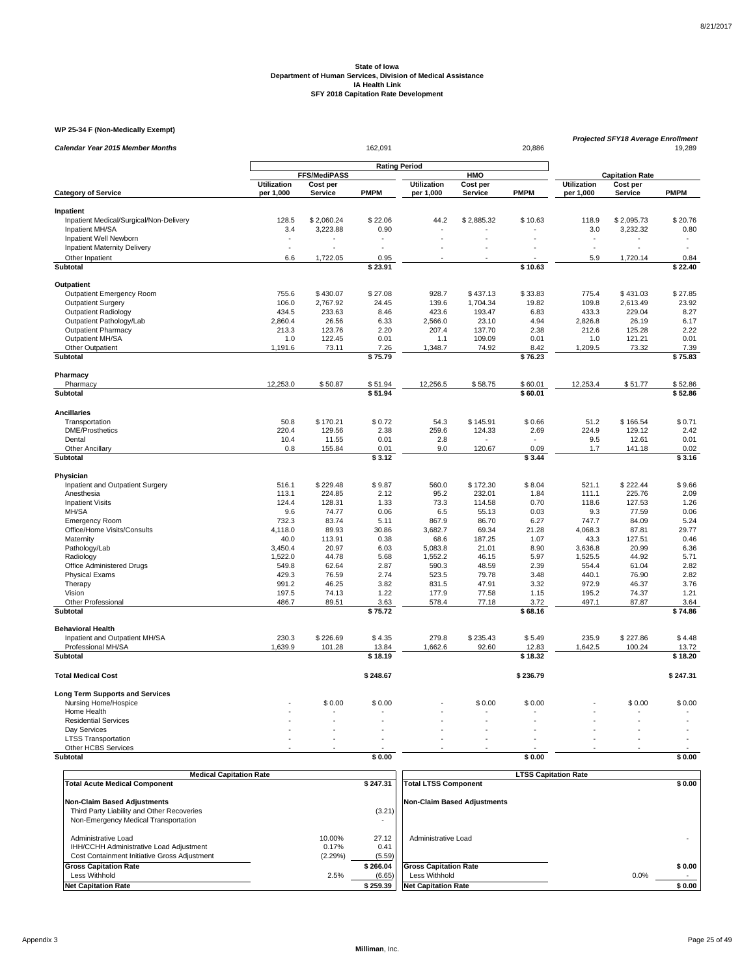### **WP 25-34 F (Non-Medically Exempt)**

|                                                      |                                 |                            |                      |                                 |                     |                  |                                 | <b>Projected SFY18 Average Enrollment</b> |                  |
|------------------------------------------------------|---------------------------------|----------------------------|----------------------|---------------------------------|---------------------|------------------|---------------------------------|-------------------------------------------|------------------|
| Calendar Year 2015 Member Months                     |                                 |                            | 162,091              |                                 |                     | 20,886           |                                 |                                           | 19,289           |
|                                                      |                                 |                            | <b>Rating Period</b> |                                 |                     |                  |                                 |                                           |                  |
|                                                      |                                 | FFS/MediPASS               |                      |                                 | HMO                 |                  |                                 | <b>Capitation Rate</b>                    |                  |
| <b>Category of Service</b>                           | <b>Utilization</b><br>per 1,000 | Cost per<br><b>Service</b> | PMPM                 | <b>Utilization</b><br>per 1,000 | Cost per<br>Service | <b>PMPM</b>      | <b>Utilization</b><br>per 1,000 | Cost per<br><b>Service</b>                | <b>PMPM</b>      |
|                                                      |                                 |                            |                      |                                 |                     |                  |                                 |                                           |                  |
| Inpatient<br>Inpatient Medical/Surgical/Non-Delivery | 128.5                           | \$2,060.24                 | \$22.06              | 44.2                            | \$2,885.32          | \$10.63          | 118.9                           | \$2,095.73                                | \$20.76          |
| Inpatient MH/SA                                      | 3.4                             | 3,223.88                   | 0.90                 |                                 |                     |                  | 3.0                             | 3,232.32                                  | 0.80             |
| Inpatient Well Newborn                               |                                 |                            |                      |                                 |                     |                  |                                 |                                           | ٠                |
| <b>Inpatient Maternity Delivery</b>                  | ÷.                              |                            |                      |                                 |                     |                  | $\overline{a}$                  |                                           | ÷.               |
| Other Inpatient                                      | 6.6                             | 1,722.05                   | 0.95                 |                                 |                     |                  | 5.9                             | 1,720.14                                  | 0.84             |
| Subtotal                                             |                                 |                            | $\sqrt{23.91}$       |                                 |                     | \$10.63          |                                 |                                           | \$22.40          |
| Outpatient                                           |                                 |                            |                      |                                 |                     |                  |                                 |                                           |                  |
| Outpatient Emergency Room                            | 755.6                           | \$430.07                   | \$27.08              | 928.7                           | \$437.13            | \$33.83          | 775.4                           | \$431.03                                  | \$27.85          |
| <b>Outpatient Surgery</b>                            | 106.0                           | 2,767.92                   | 24.45                | 139.6                           | 1,704.34            | 19.82            | 109.8                           | 2,613.49                                  | 23.92            |
| Outpatient Radiology                                 | 434.5                           | 233.63                     | 8.46                 | 423.6                           | 193.47              | 6.83             | 433.3                           | 229.04                                    | 8.27             |
| Outpatient Pathology/Lab                             | 2,860.4                         | 26.56                      | 6.33                 | 2,566.0                         | 23.10               | 4.94             | 2,826.8                         | 26.19                                     | 6.17             |
| <b>Outpatient Pharmacy</b>                           | 213.3                           | 123.76                     | 2.20                 | 207.4                           | 137.70              | 2.38             | 212.6                           | 125.28                                    | 2.22             |
| Outpatient MH/SA                                     | 1.0                             | 122.45                     | 0.01                 | 1.1                             | 109.09              | 0.01             | 1.0                             | 121.21                                    | 0.01             |
| Other Outpatient                                     | 1,191.6                         | 73.11                      | 7.26                 | 1,348.7                         | 74.92               | 8.42             | 1,209.5                         | 73.32                                     | 7.39             |
| Subtotal                                             |                                 |                            | \$75.79              |                                 |                     | \$76.23          |                                 |                                           | \$75.83          |
| Pharmacy                                             |                                 |                            |                      |                                 |                     |                  |                                 |                                           |                  |
| Pharmacy                                             | 12,253.0                        | \$50.87                    | \$51.94              | 12,256.5                        | \$58.75             | \$60.01          | 12,253.4                        | \$51.77                                   | \$52.86          |
| Subtotal                                             |                                 |                            | \$51.94              |                                 |                     | \$60.01          |                                 |                                           | \$52.86          |
| <b>Ancillaries</b>                                   |                                 |                            |                      |                                 |                     |                  |                                 |                                           |                  |
| Transportation                                       | 50.8                            | \$170.21                   | \$0.72               | 54.3                            | \$145.91            | \$0.66           | 51.2                            | \$166.54                                  | \$0.71           |
| <b>DME/Prosthetics</b>                               | 220.4                           | 129.56                     | 2.38                 | 259.6                           | 124.33              | 2.69             | 224.9                           | 129.12                                    | 2.42             |
| Dental                                               | 10.4                            | 11.55                      | 0.01                 | 2.8                             |                     |                  | 9.5                             | 12.61                                     | 0.01             |
| Other Ancillary<br>Subtotal                          | 0.8                             | 155.84                     | 0.01<br>\$3.12       | 9.0                             | 120.67              | 0.09<br>\$3.44   | 1.7                             | 141.18                                    | 0.02<br>\$3.16   |
| Physician                                            |                                 |                            |                      |                                 |                     |                  |                                 |                                           |                  |
| Inpatient and Outpatient Surgery                     | 516.1                           | \$229.48                   | \$9.87               | 560.0                           | \$172.30            | \$8.04           | 521.1                           | \$222.44                                  | \$9.66           |
| Anesthesia                                           | 113.1                           | 224.85                     | 2.12                 | 95.2                            | 232.01              | 1.84             | 111.1                           | 225.76                                    | 2.09             |
| <b>Inpatient Visits</b>                              | 124.4                           | 128.31                     | 1.33                 | 73.3                            | 114.58              | 0.70             | 118.6                           | 127.53                                    | 1.26             |
| MH/SA                                                | 9.6                             | 74.77                      | 0.06                 | 6.5                             | 55.13               | 0.03             | 9.3                             | 77.59                                     | 0.06             |
| <b>Emergency Room</b>                                | 732.3                           | 83.74                      | 5.11                 | 867.9                           | 86.70               | 6.27             | 747.7                           | 84.09                                     | 5.24             |
| Office/Home Visits/Consults                          | 4,118.0                         | 89.93                      | 30.86                | 3,682.7                         | 69.34               | 21.28            | 4,068.3                         | 87.81                                     | 29.77            |
| Maternity                                            | 40.0                            | 113.91                     | 0.38                 | 68.6                            | 187.25              | 1.07             | 43.3                            | 127.51                                    | 0.46             |
| Pathology/Lab                                        | 3,450.4                         | 20.97                      | 6.03                 | 5,083.8                         | 21.01               | 8.90             | 3,636.8                         | 20.99                                     | 6.36             |
| Radiology                                            | 1,522.0                         | 44.78                      | 5.68                 | 1,552.2                         | 46.15               | 5.97             | 1,525.5                         | 44.92                                     | 5.71             |
| Office Administered Drugs                            | 549.8<br>429.3                  | 62.64<br>76.59             | 2.87<br>2.74         | 590.3<br>523.5                  | 48.59<br>79.78      | 2.39<br>3.48     | 554.4<br>440.1                  | 61.04<br>76.90                            | 2.82<br>2.82     |
| <b>Physical Exams</b><br>Therapy                     | 991.2                           | 46.25                      | 3.82                 | 831.5                           | 47.91               | 3.32             | 972.9                           | 46.37                                     | 3.76             |
| Vision                                               | 197.5                           | 74.13                      | 1.22                 | 177.9                           | 77.58               | 1.15             | 195.2                           | 74.37                                     | 1.21             |
| Other Professional                                   | 486.7                           | 89.51                      | 3.63                 | 578.4                           | 77.18               | 3.72             | 497.1                           | 87.87                                     | 3.64             |
| Subtotal                                             |                                 |                            | \$75.72              |                                 |                     | \$68.16          |                                 |                                           | \$74.86          |
| <b>Behavioral Health</b>                             |                                 |                            |                      |                                 |                     |                  |                                 |                                           |                  |
| Inpatient and Outpatient MH/SA                       | 230.3                           | \$226.69                   | \$4.35               | 279.8                           | \$235.43            | \$5.49           | 235.9                           | \$227.86                                  | \$4.48           |
| Professional MH/SA<br>Subtotal                       | 1,639.9                         | 101.28                     | 13.84<br>\$18.19     | 1,662.6                         | 92.60               | 12.83<br>\$18.32 | 1,642.5                         | 100.24                                    | 13.72<br>\$18.20 |
|                                                      |                                 |                            |                      |                                 |                     |                  |                                 |                                           |                  |
| <b>Total Medical Cost</b>                            |                                 |                            | \$248.67             |                                 |                     | \$236.79         |                                 |                                           | \$247.31         |
| <b>Long Term Supports and Services</b>               |                                 |                            |                      |                                 |                     |                  |                                 |                                           |                  |
| Nursing Home/Hospice                                 |                                 | \$0.00                     | \$0.00               |                                 | \$0.00              | \$0.00           |                                 | \$0.00                                    | \$0.00           |
| Home Health                                          |                                 |                            |                      |                                 |                     |                  |                                 |                                           |                  |
| <b>Residential Services</b>                          |                                 |                            |                      |                                 |                     |                  |                                 |                                           |                  |
| Day Services                                         |                                 |                            |                      |                                 |                     |                  |                                 |                                           |                  |
| <b>LTSS Transportation</b><br>Other HCBS Services    |                                 |                            |                      |                                 |                     |                  |                                 |                                           |                  |
| <b>Subtotal</b>                                      |                                 |                            | \$0.00               |                                 |                     | \$0.00           |                                 |                                           | \$0.00           |

| <b>Medical Capitation Rate</b>                                                                                           |                            |                                | <b>LTSS Capitation Rate</b>                                                 |      |                  |
|--------------------------------------------------------------------------------------------------------------------------|----------------------------|--------------------------------|-----------------------------------------------------------------------------|------|------------------|
| <b>Total Acute Medical Component</b>                                                                                     |                            | \$247.31                       | <b>Total LTSS Component</b>                                                 |      | \$0.00           |
| <b>Non-Claim Based Adjustments</b><br>Third Party Liability and Other Recoveries<br>Non-Emergency Medical Transportation |                            | (3.21)                         | <b>Non-Claim Based Adjustments</b>                                          |      |                  |
| Administrative Load<br>IHH/CCHH Administrative Load Adjustment<br>Cost Containment Initiative Gross Adjustment           | 10.00%<br>0.17%<br>(2.29%) | 27.12<br>0.41<br>(5.59)        | Administrative Load                                                         |      |                  |
| <b>Gross Capitation Rate</b><br>Less Withhold<br><b>Net Capitation Rate</b>                                              | 2.5%                       | \$266.04<br>(6.65)<br>\$259.39 | <b>Gross Capitation Rate</b><br>Less Withhold<br><b>Net Capitation Rate</b> | 0.0% | \$0.00<br>\$0.00 |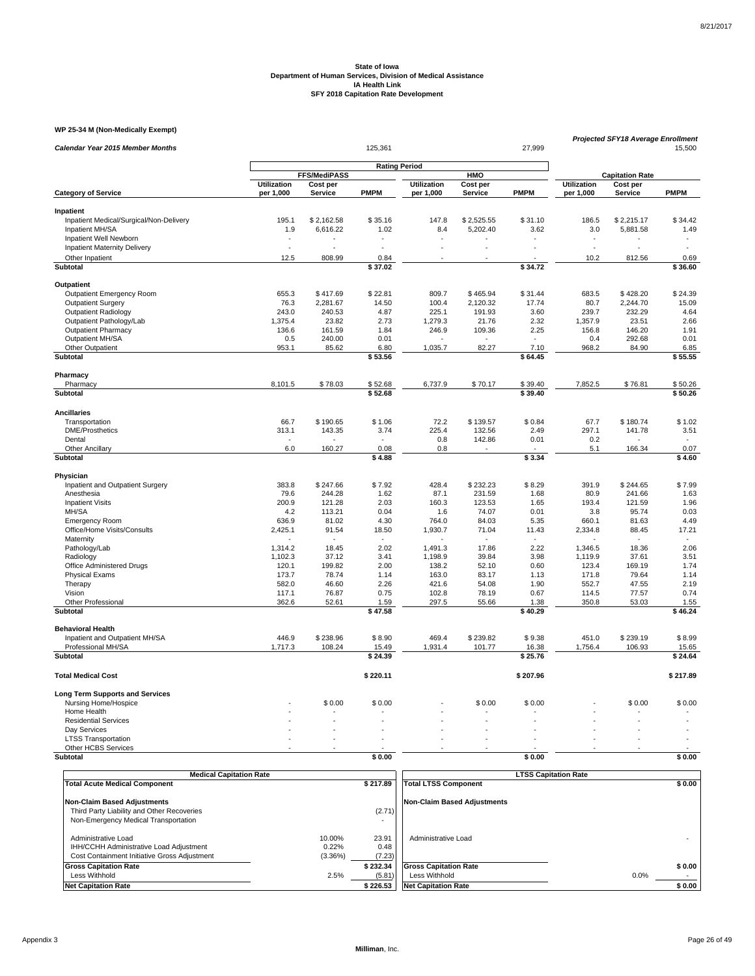### **WP 25-34 M (Non-Medically Exempt)**

| Calendar Year 2015 Member Months        |                          |                     | 125,361              |                    |            | 27,999      | <b>Projected SFY18 Average Enrollment</b> |                                    | 15,500               |
|-----------------------------------------|--------------------------|---------------------|----------------------|--------------------|------------|-------------|-------------------------------------------|------------------------------------|----------------------|
|                                         |                          |                     |                      |                    |            |             |                                           |                                    |                      |
|                                         |                          | <b>FFS/MediPASS</b> | <b>Rating Period</b> |                    | HMO        |             |                                           |                                    |                      |
|                                         | <b>Utilization</b>       | Cost per            |                      | <b>Utilization</b> | Cost per   |             | <b>Utilization</b>                        | <b>Capitation Rate</b><br>Cost per |                      |
| <b>Category of Service</b>              | per 1,000                | Service             | <b>PMPM</b>          | per 1,000          | Service    | <b>PMPM</b> | per 1,000                                 | Service                            | <b>PMPM</b>          |
| Inpatient                               |                          |                     |                      |                    |            |             |                                           |                                    |                      |
| Inpatient Medical/Surgical/Non-Delivery | 195.1                    | \$2,162.58          | \$35.16              | 147.8              | \$2,525.55 | \$31.10     | 186.5                                     | \$2,215.17                         | \$34.42              |
| Inpatient MH/SA                         | 1.9                      | 6,616.22            | 1.02                 | 8.4                | 5,202.40   | 3.62        | 3.0                                       | 5,881.58                           | 1.49                 |
| Inpatient Well Newborn                  | $\overline{\phantom{a}}$ |                     |                      |                    |            |             | $\overline{\phantom{a}}$                  |                                    |                      |
| <b>Inpatient Maternity Delivery</b>     | ÷,                       |                     |                      |                    |            |             | ÷.                                        |                                    | $\ddot{\phantom{1}}$ |
| Other Inpatient                         | 12.5                     | 808.99              | 0.84                 |                    |            |             | 10.2                                      | 812.56                             | 0.69                 |
| <b>Subtotal</b>                         |                          |                     | \$37.02              |                    |            | \$34.72     |                                           |                                    | \$36.60              |
| Outpatient                              |                          |                     |                      |                    |            |             |                                           |                                    |                      |
| <b>Outpatient Emergency Room</b>        | 655.3                    | \$417.69            | \$22.81              | 809.7              | \$465.94   | \$31.44     | 683.5                                     | \$428.20                           | \$24.39              |
| <b>Outpatient Surgery</b>               | 76.3                     | 2,281.67            | 14.50                | 100.4              | 2,120.32   | 17.74       | 80.7                                      | 2,244.70                           | 15.09                |
| <b>Outpatient Radiology</b>             | 243.0                    | 240.53              | 4.87                 | 225.1              | 191.93     | 3.60        | 239.7                                     | 232.29                             | 4.64                 |
| Outpatient Pathology/Lab                | 1,375.4                  | 23.82               | 2.73                 | 1,279.3            | 21.76      | 2.32        | 1,357.9                                   | 23.51                              | 2.66                 |
| <b>Outpatient Pharmacy</b>              | 136.6                    | 161.59              | 1.84                 | 246.9              | 109.36     | 2.25        | 156.8                                     | 146.20                             | 1.91                 |
| Outpatient MH/SA                        | 0.5                      | 240.00              | 0.01                 |                    |            | $\sim$      | 0.4                                       | 292.68                             | 0.01                 |
| Other Outpatient                        | 953.1                    | 85.62               | 6.80                 | 1,035.7            | 82.27      | 7.10        | 968.2                                     | 84.90                              | 6.85                 |
| Subtotal                                |                          |                     | \$53.56              |                    |            | \$64.45     |                                           |                                    | \$55.55              |
| Pharmacy                                |                          |                     |                      |                    |            |             |                                           |                                    |                      |
| Pharmacy                                | 8,101.5                  | \$78.03             | \$52.68              | 6,737.9            | \$70.17    | \$39.40     | 7,852.5                                   | \$76.81                            | \$50.26              |
| Subtotal                                |                          |                     | \$52.68              |                    |            | \$39.40     |                                           |                                    | \$50.26              |
| <b>Ancillaries</b>                      |                          |                     |                      |                    |            |             |                                           |                                    |                      |
| Transportation                          | 66.7                     | \$190.65            | \$1.06               | 72.2               | \$139.57   | \$0.84      | 67.7                                      | \$180.74                           | \$1.02               |
| <b>DME/Prosthetics</b>                  | 313.1                    | 143.35              | 3.74                 | 225.4              | 132.56     | 2.49        | 297.1                                     | 141.78                             | 3.51                 |
| Dental                                  |                          |                     |                      | 0.8                | 142.86     | 0.01        | 0.2                                       |                                    |                      |
| <b>Other Ancillary</b>                  | 6.0                      | 160.27              | 0.08                 | 0.8                |            |             | 5.1                                       | 166.34                             | 0.07                 |
| Subtotal                                |                          |                     | \$4.88               |                    |            | \$3.34      |                                           |                                    | \$4.60               |
| Physician                               |                          |                     |                      |                    |            |             |                                           |                                    |                      |
| Inpatient and Outpatient Surgery        | 383.8                    | \$247.66            | \$7.92               | 428.4              | \$232.23   | \$8.29      | 391.9                                     | \$244.65                           | \$7.99               |
| Anesthesia                              | 79.6                     | 244.28              | 1.62                 | 87.1               | 231.59     | 1.68        | 80.9                                      | 241.66                             | 1.63                 |
| <b>Inpatient Visits</b>                 | 200.9                    | 121.28              | 2.03                 | 160.3              | 123.53     | 1.65        | 193.4                                     | 121.59                             | 1.96                 |
| MH/SA                                   | 4.2                      | 113.21              | 0.04                 | 1.6                | 74.07      | 0.01        | 3.8                                       | 95.74                              | 0.03                 |
| <b>Emergency Room</b>                   | 636.9                    | 81.02               | 4.30                 | 764.0              | 84.03      | 5.35        | 660.1                                     | 81.63                              | 4.49                 |
| Office/Home Visits/Consults             | 2,425.1                  | 91.54               | 18.50                | 1,930.7            | 71.04      | 11.43       | 2,334.8                                   | 88.45                              | 17.21                |
| Maternity                               |                          |                     |                      |                    |            |             |                                           | $\sim$                             | $\sim$               |
| Pathology/Lab                           | 1,314.2                  | 18.45               | 2.02                 | 1,491.3            | 17.86      | 2.22        | 1,346.5                                   | 18.36                              | 2.06                 |
| Radiology                               | 1.102.3                  | 37.12               | 3.41                 | 1,198.9            | 39.84      | 3.98        | 1.119.9                                   | 37.61                              | 3.51                 |
| Office Administered Drugs               | 120.1                    | 199.82              | 2.00                 | 138.2              | 52.10      | 0.60        | 123.4                                     | 169.19                             | 1.74                 |
| <b>Physical Exams</b>                   | 173.7                    | 78.74               | 1.14                 | 163.0              | 83.17      | 1.13        | 171.8                                     | 79.64                              | 1.14                 |
| Therapy                                 | 582.0                    | 46.60               | 2.26                 | 421.6              | 54.08      | 1.90        | 552.7                                     | 47.55                              | 2.19                 |
| Vision                                  | 117.1                    | 76.87               | 0.75                 | 102.8              | 78.19      | 0.67        | 114.5                                     | 77.57                              | 0.74                 |
| Other Professional                      | 362.6                    | 52.61               | 1.59                 | 297.5              | 55.66      | 1.38        | 350.8                                     | 53.03                              | 1.55                 |
| <b>Subtotal</b>                         |                          |                     | \$47.58              |                    |            | \$40.29     |                                           |                                    | \$46.24              |
| <b>Behavioral Health</b>                |                          |                     |                      |                    |            |             |                                           |                                    |                      |
| Inpatient and Outpatient MH/SA          | 446.9                    | \$238.96            | \$8.90               | 469.4              | \$239.82   | \$9.38      | 451.0                                     | \$239.19                           | \$8.99               |
| Professional MH/SA                      | 1,717.3                  | 108.24              | 15.49                | 1,931.4            | 101.77     | 16.38       | 1,756.4                                   | 106.93                             | 15.65                |
| Subtotal                                |                          |                     | \$24.39              |                    |            | \$25.76     |                                           |                                    | \$24.64              |
| <b>Total Medical Cost</b>               |                          |                     | \$220.11             |                    |            | \$207.96    |                                           |                                    | \$217.89             |
| <b>Long Term Supports and Services</b>  |                          |                     |                      |                    |            |             |                                           |                                    |                      |
| Nursing Home/Hospice                    |                          | \$0.00              | \$0.00               |                    | \$0.00     | \$0.00      |                                           | \$0.00                             | \$0.00               |
| Home Health                             |                          |                     |                      |                    |            |             |                                           |                                    |                      |
| <b>Residential Services</b>             |                          |                     |                      |                    |            |             |                                           |                                    |                      |
| Day Services                            |                          |                     |                      |                    |            |             |                                           |                                    |                      |
| <b>LTSS Transportation</b>              |                          |                     |                      |                    |            |             |                                           |                                    |                      |
| Other HCBS Services                     |                          |                     |                      |                    |            | \$0.00      |                                           |                                    |                      |
| <b>Subtotal</b>                         |                          |                     | \$0.00               |                    |            |             |                                           |                                    | \$0.00               |

| <b>Medical Capitation Rate</b>                                                                                           |                            |                                | <b>LTSS Capitation Rate</b>                                                 |                          |
|--------------------------------------------------------------------------------------------------------------------------|----------------------------|--------------------------------|-----------------------------------------------------------------------------|--------------------------|
| <b>Total Acute Medical Component</b>                                                                                     |                            | \$217.89                       | <b>Total LTSS Component</b>                                                 | \$0.00                   |
| <b>Non-Claim Based Adjustments</b><br>Third Party Liability and Other Recoveries<br>Non-Emergency Medical Transportation |                            | (2.71)<br>-                    | <b>Non-Claim Based Adjustments</b>                                          |                          |
| Administrative Load<br>IHH/CCHH Administrative Load Adjustment<br>Cost Containment Initiative Gross Adjustment           | 10.00%<br>0.22%<br>(3.36%) | 23.91<br>0.48<br>(7.23)        | Administrative Load                                                         |                          |
| <b>Gross Capitation Rate</b><br>Less Withhold<br><b>Net Capitation Rate</b>                                              | 2.5%                       | \$232.34<br>(5.81)<br>\$226.53 | <b>Gross Capitation Rate</b><br>Less Withhold<br><b>Net Capitation Rate</b> | \$0.00<br>0.0%<br>\$0.00 |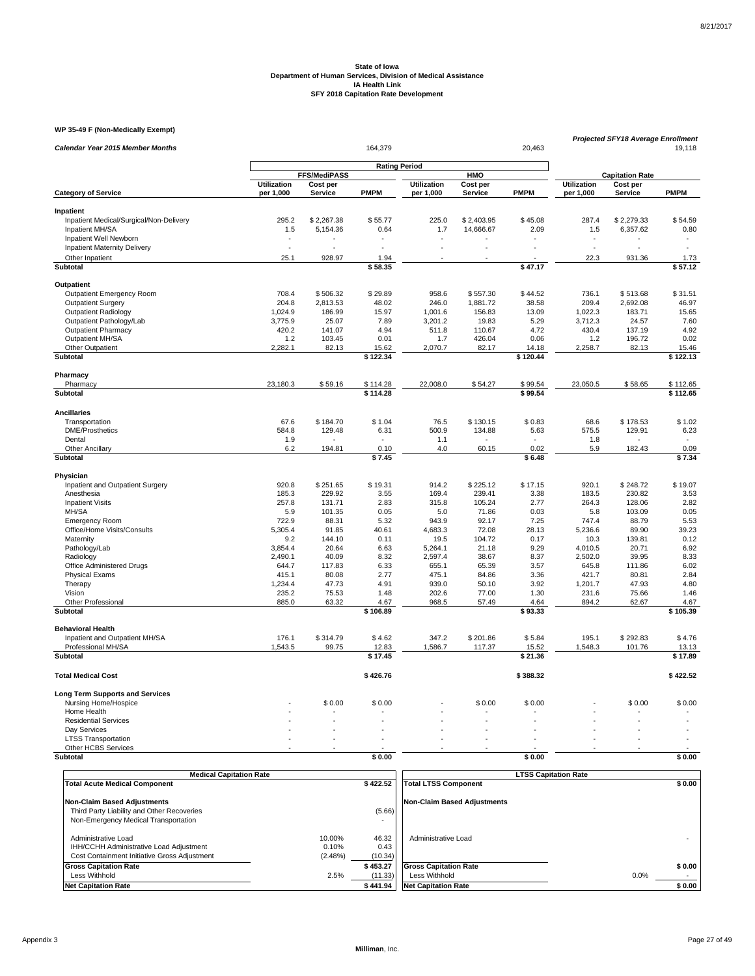### **WP 35-49 F (Non-Medically Exempt)**

| Calendar Year 2015 Member Months        |                    | 164,379<br>20,463 |                      |                    |                |                   |                    |                        | Projected SFY18 Average Enrollment<br>19,118 |
|-----------------------------------------|--------------------|-------------------|----------------------|--------------------|----------------|-------------------|--------------------|------------------------|----------------------------------------------|
|                                         |                    |                   | <b>Rating Period</b> |                    |                |                   |                    |                        |                                              |
|                                         |                    | FFS/MediPASS      |                      |                    | HMO            |                   |                    | <b>Capitation Rate</b> |                                              |
|                                         | <b>Utilization</b> | Cost per          |                      | <b>Utilization</b> | Cost per       |                   | <b>Utilization</b> | Cost per               |                                              |
| <b>Category of Service</b>              | per 1,000          | Service           | <b>PMPM</b>          | per 1,000          | Service        | <b>PMPM</b>       | per 1,000          | Service                | <b>PMPM</b>                                  |
| Inpatient                               |                    |                   |                      |                    |                |                   |                    |                        |                                              |
| Inpatient Medical/Surgical/Non-Delivery | 295.2              | \$2,267.38        | \$55.77              | 225.0              | \$2,403.95     | \$45.08           | 287.4              | \$2,279.33             | \$54.59                                      |
| Inpatient MH/SA                         | 1.5                | 5,154.36          | 0.64                 | 1.7                | 14,666.67      | 2.09              | 1.5                | 6,357.62               | 0.80                                         |
| Inpatient Well Newborn                  |                    |                   |                      |                    |                |                   |                    |                        |                                              |
| <b>Inpatient Maternity Delivery</b>     | L.                 |                   |                      |                    |                |                   |                    | L.                     | $\ddot{\phantom{1}}$                         |
| Other Inpatient                         | 25.1               | 928.97            | 1.94                 |                    |                |                   | 22.3               | 931.36                 | 1.73                                         |
| Subtotal                                |                    |                   | \$58.35              |                    |                | \$47.17           |                    |                        | \$57.12                                      |
| Outpatient                              |                    |                   |                      |                    |                |                   |                    |                        |                                              |
| Outpatient Emergency Room               | 708.4              | \$506.32          | \$29.89              | 958.6              | \$557.30       | \$44.52           | 736.1              | \$513.68               | \$31.51                                      |
| <b>Outpatient Surgery</b>               | 204.8              | 2,813.53          | 48.02                | 246.0              | 1,881.72       | 38.58             | 209.4              | 2,692.08               | 46.97                                        |
| <b>Outpatient Radiology</b>             | 1,024.9            | 186.99            | 15.97                | 1,001.6            | 156.83         | 13.09             | 1,022.3            | 183.71                 | 15.65                                        |
| Outpatient Pathology/Lab                | 3,775.9            | 25.07             | 7.89                 | 3,201.2            | 19.83          | 5.29              | 3,712.3            | 24.57                  | 7.60                                         |
| <b>Outpatient Pharmacy</b>              | 420.2              | 141.07            | 4.94                 | 511.8              | 110.67         | 4.72              | 430.4              | 137.19                 | 4.92                                         |
| Outpatient MH/SA                        | 1.2                | 103.45            | 0.01                 | 1.7                | 426.04         | 0.06              | 1.2                | 196.72                 | 0.02                                         |
|                                         |                    |                   |                      |                    |                |                   |                    |                        |                                              |
| Other Outpatient<br>Subtotal            | 2,282.1            | 82.13             | 15.62<br>\$122.34    | 2,070.7            | 82.17          | 14.18<br>\$120.44 | 2,258.7            | 82.13                  | 15.46<br>\$122.13                            |
|                                         |                    |                   |                      |                    |                |                   |                    |                        |                                              |
| Pharmacy                                |                    |                   |                      |                    |                |                   |                    |                        |                                              |
| Pharmacy                                | 23,180.3           | \$59.16           | \$114.28             | 22,008.0           | \$54.27        | \$99.54           | 23,050.5           | \$58.65                | \$112.65                                     |
| Subtotal                                |                    |                   | \$114.28             |                    |                | \$99.54           |                    |                        | \$112.65                                     |
| <b>Ancillaries</b>                      |                    |                   |                      |                    |                |                   |                    |                        |                                              |
| Transportation                          | 67.6               | \$184.70          | \$1.04               | 76.5               | \$130.15       | \$0.83            | 68.6               | \$178.53               | \$1.02                                       |
| <b>DME/Prosthetics</b>                  | 584.8              | 129.48            | 6.31                 | 500.9              | 134.88         | 5.63              | 575.5              | 129.91                 | 6.23                                         |
| Dental                                  | 1.9                |                   |                      | 1.1                |                |                   | 1.8                |                        | ٠                                            |
| Other Ancillary                         | 6.2                | 194.81            | 0.10                 | 4.0                | 60.15          | 0.02              | 5.9                | 182.43                 | 0.09                                         |
| Subtotal                                |                    |                   | \$7.45               |                    |                | \$6.48            |                    |                        | \$7.34                                       |
| Physician                               |                    |                   |                      |                    |                |                   |                    |                        |                                              |
| Inpatient and Outpatient Surgery        | 920.8              | \$251.65          | \$19.31              | 914.2              | \$225.12       | \$17.15           | 920.1              | \$248.72               | \$19.07                                      |
| Anesthesia                              | 185.3              | 229.92            | 3.55                 | 169.4              | 239.41         | 3.38              | 183.5              | 230.82                 | 3.53                                         |
| <b>Inpatient Visits</b>                 | 257.8              | 131.71            | 2.83                 | 315.8              | 105.24         | 2.77              | 264.3              | 128.06                 | 2.82                                         |
| MH/SA                                   | 5.9                | 101.35            | 0.05                 | 5.0                | 71.86          | 0.03              | 5.8                | 103.09                 | 0.05                                         |
| <b>Emergency Room</b>                   | 722.9              | 88.31             | 5.32                 | 943.9              | 92.17          | 7.25              | 747.4              | 88.79                  | 5.53                                         |
| Office/Home Visits/Consults             | 5,305.4            | 91.85             | 40.61                | 4,683.3            | 72.08          | 28.13             | 5,236.6            | 89.90                  | 39.23                                        |
| Maternity                               | 9.2                | 144.10            | 0.11                 | 19.5               | 104.72         | 0.17              | 10.3               | 139.81                 | 0.12                                         |
| Pathology/Lab                           | 3,854.4            | 20.64             | 6.63                 | 5,264.1            | 21.18          | 9.29              | 4,010.5            | 20.71                  | 6.92                                         |
| Radiology                               | 2,490.1            | 40.09             | 8.32                 | 2,597.4            | 38.67          | 8.37              | 2,502.0            | 39.95                  | 8.33                                         |
| Office Administered Drugs               | 644.7              | 117.83            | 6.33                 | 655.1              | 65.39          | 3.57              | 645.8              | 111.86                 | 6.02                                         |
| <b>Physical Exams</b>                   | 415.1              | 80.08             | 2.77                 | 475.1              | 84.86          | 3.36              | 421.7              | 80.81                  | 2.84                                         |
| Therapy                                 | 1,234.4            | 47.73             | 4.91                 | 939.0              | 50.10          | 3.92              | 1,201.7            | 47.93                  | 4.80                                         |
|                                         |                    |                   |                      |                    |                |                   |                    |                        |                                              |
| Vision<br>Other Professional            | 235.2<br>885.0     | 75.53<br>63.32    | 1.48<br>4.67         | 202.6<br>968.5     | 77.00<br>57.49 | 1.30<br>4.64      | 231.6<br>894.2     | 75.66<br>62.67         | 1.46<br>4.67                                 |
| Subtotal                                |                    |                   | \$106.89             |                    |                | \$93.33           |                    |                        | \$105.39                                     |
|                                         |                    |                   |                      |                    |                |                   |                    |                        |                                              |
| <b>Behavioral Health</b>                |                    |                   |                      |                    |                |                   |                    |                        |                                              |
| Inpatient and Outpatient MH/SA          | 176.1              | \$314.79<br>99.75 | \$4.62               | 347.2<br>1,586.7   | \$201.86       | \$5.84            | 195.1              | \$292.83               | \$4.76                                       |
| Professional MH/SA<br><b>Subtotal</b>   | 1,543.5            |                   | 12.83<br>\$17.45     |                    | 117.37         | 15.52<br>\$21.36  | 1,548.3            | 101.76                 | 13.13<br>\$17.89                             |
|                                         |                    |                   |                      |                    |                |                   |                    |                        |                                              |
| <b>Total Medical Cost</b>               |                    |                   | \$426.76             |                    |                | \$388.32          |                    |                        | \$422.52                                     |
| <b>Long Term Supports and Services</b>  |                    |                   |                      |                    |                |                   |                    |                        |                                              |
| Nursing Home/Hospice                    |                    | \$0.00            | \$0.00               |                    | \$0.00         | \$0.00            |                    | \$0.00                 | \$0.00                                       |
| Home Health                             |                    |                   |                      |                    |                |                   |                    |                        |                                              |
| <b>Residential Services</b>             |                    |                   |                      |                    |                |                   |                    |                        |                                              |
| Day Services                            |                    |                   |                      |                    |                |                   |                    |                        |                                              |
| <b>LTSS Transportation</b>              | ÷.                 |                   |                      |                    |                |                   |                    |                        |                                              |
| Other HCBS Services                     |                    |                   |                      |                    |                |                   |                    |                        |                                              |
| <b>Subtotal</b>                         |                    |                   | \$0.00               |                    |                | \$0.00            |                    |                        | \$0.00                                       |

| <b>Medical Capitation Rate</b>                                                                                           |                            |                                 | <b>LTSS Capitation Rate</b>                                                 |      |                  |
|--------------------------------------------------------------------------------------------------------------------------|----------------------------|---------------------------------|-----------------------------------------------------------------------------|------|------------------|
| <b>Total Acute Medical Component</b>                                                                                     |                            | \$422.52                        | <b>Total LTSS Component</b>                                                 |      | \$0.00           |
| <b>Non-Claim Based Adjustments</b><br>Third Party Liability and Other Recoveries<br>Non-Emergency Medical Transportation |                            | (5.66)                          | <b>Non-Claim Based Adjustments</b>                                          |      |                  |
| Administrative Load<br>IHH/CCHH Administrative Load Adjustment<br>Cost Containment Initiative Gross Adjustment           | 10.00%<br>0.10%<br>(2.48%) | 46.32<br>0.43<br>(10.34)        | Administrative Load                                                         |      |                  |
| <b>Gross Capitation Rate</b><br>Less Withhold<br><b>Net Capitation Rate</b>                                              | 2.5%                       | \$453.27<br>(11.33)<br>\$441.94 | <b>Gross Capitation Rate</b><br>Less Withhold<br><b>Net Capitation Rate</b> | 0.0% | \$0.00<br>\$0.00 |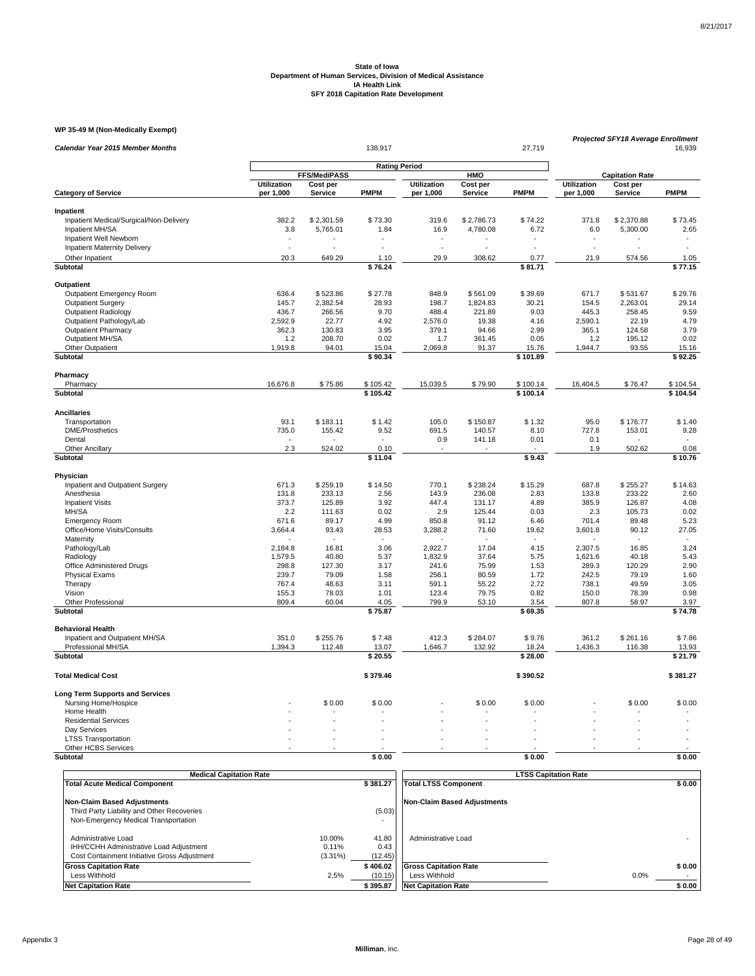### **WP 35-49 M (Non-Medically Exempt)**

|                                         |                                                    |                     | 138,917     |                                 |                      | 27,719               | <b>Projected SFY18 Average Enrollment</b> |                        |                          |
|-----------------------------------------|----------------------------------------------------|---------------------|-------------|---------------------------------|----------------------|----------------------|-------------------------------------------|------------------------|--------------------------|
| Calendar Year 2015 Member Months        |                                                    |                     |             |                                 | 16,939               |                      |                                           |                        |                          |
|                                         | <b>Rating Period</b><br><b>FFS/MediPASS</b><br>HMO |                     |             |                                 |                      |                      |                                           |                        |                          |
|                                         | <b>Utilization</b>                                 |                     |             |                                 |                      |                      |                                           | <b>Capitation Rate</b> |                          |
| <b>Category of Service</b>              | per 1,000                                          | Cost per<br>Service | <b>PMPM</b> | <b>Utilization</b><br>per 1,000 | Cost per<br>Service  | <b>PMPM</b>          | <b>Utilization</b><br>per 1,000           | Cost per<br>Service    | <b>PMPM</b>              |
| Inpatient                               |                                                    |                     |             |                                 |                      |                      |                                           |                        |                          |
| Inpatient Medical/Surgical/Non-Delivery | 382.2                                              | \$2,301.59          | \$73.30     | 319.6                           | \$2,786.73           | \$74.22              | 371.8                                     | \$2,370.88             | \$73.45                  |
| Inpatient MH/SA                         | 3.8                                                | 5,765.01            | 1.84        | 16.9                            | 4,780.08             | 6.72                 | 6.0                                       | 5,300.00               | 2.65                     |
| Inpatient Well Newborn                  | $\overline{\phantom{a}}$                           |                     |             |                                 |                      |                      | $\overline{\phantom{a}}$                  |                        | $\overline{\phantom{a}}$ |
| <b>Inpatient Maternity Delivery</b>     | ÷,                                                 |                     |             | $\ddot{\phantom{1}}$            | $\ddot{\phantom{1}}$ | $\ddot{\phantom{1}}$ | ÷.                                        |                        | $\ddot{\phantom{1}}$     |
| Other Inpatient                         | 20.3                                               | 649.29              | 1.10        | 29.9                            | 308.62               | 0.77                 | 21.9                                      | 574.56                 | 1.05                     |
| <b>Subtotal</b>                         |                                                    |                     | \$76.24     |                                 |                      | \$81.71              |                                           |                        | \$77.15                  |
| Outpatient                              |                                                    |                     |             |                                 |                      |                      |                                           |                        |                          |
| <b>Outpatient Emergency Room</b>        | 636.4                                              | \$523.86            | \$27.78     | 848.9                           | \$561.09             | \$39.69              | 671.7                                     | \$531.67               | \$29.76                  |
| <b>Outpatient Surgery</b>               | 145.7                                              | 2,382.54            | 28.93       | 198.7                           | 1,824.83             | 30.21                | 154.5                                     | 2,263.01               | 29.14                    |
| <b>Outpatient Radiology</b>             | 436.7                                              | 266.56              | 9.70        | 488.4                           | 221.89               | 9.03                 | 445.3                                     | 258.45                 | 9.59                     |
| Outpatient Pathology/Lab                | 2,592.9                                            | 22.77               | 4.92        | 2,576.0                         | 19.38                | 4.16                 | 2,590.1                                   | 22.19                  | 4.79                     |
| <b>Outpatient Pharmacy</b>              | 362.3                                              | 130.83              | 3.95        | 379.1                           | 94.66                | 2.99                 | 365.1                                     | 124.58                 | 3.79                     |
| Outpatient MH/SA                        | 1.2                                                | 208.70              | 0.02        | 1.7                             | 361.45               | 0.05                 | 1.2                                       | 195.12                 | 0.02                     |
| Other Outpatient                        | 1,919.8                                            | 94.01               | 15.04       | 2,069.8                         | 91.37                | 15.76                | 1,944.7                                   | 93.55                  | 15.16                    |
| Subtotal                                |                                                    |                     | \$90.34     |                                 |                      | \$101.89             |                                           |                        | \$92.25                  |
| Pharmacy                                |                                                    |                     |             |                                 |                      |                      |                                           |                        |                          |
| Pharmacy                                | 16,676.8                                           | \$75.86             | \$105.42    | 15,039.5                        | \$79.90              | \$100.14             | 16,404.5                                  | \$76.47                | \$104.54                 |
| Subtotal                                |                                                    |                     | \$105.42    |                                 |                      | \$100.14             |                                           |                        | \$104.54                 |
| <b>Ancillaries</b>                      |                                                    |                     |             |                                 |                      |                      |                                           |                        |                          |
| Transportation                          | 93.1                                               | \$183.11            | \$1.42      | 105.0                           | \$150.87             | \$1.32               | 95.0                                      | \$176.77               | \$1.40                   |
| <b>DME/Prosthetics</b>                  | 735.0                                              | 155.42              | 9.52        | 691.5                           | 140.57               | 8.10                 | 727.8                                     | 153.01                 | 9.28                     |
| Dental                                  |                                                    |                     |             | 0.9                             | 141.18               | 0.01                 | 0.1                                       |                        |                          |
| <b>Other Ancillary</b>                  | 2.3                                                | 524.02              | 0.10        |                                 |                      |                      | 1.9                                       | 502.62                 | 0.08                     |
| Subtotal                                |                                                    |                     | \$11.04     |                                 |                      | \$9.43               |                                           |                        | \$10.76                  |
| Physician                               |                                                    |                     |             |                                 |                      |                      |                                           |                        |                          |
| Inpatient and Outpatient Surgery        | 671.3                                              | \$259.19            | \$14.50     | 770.1                           | \$238.24             | \$15.29              | 687.8                                     | \$255.27               | \$14.63                  |
| Anesthesia                              | 131.8                                              | 233.13              | 2.56        | 143.9                           | 236.08               | 2.83                 | 133.8                                     | 233.22                 | 2.60                     |
| <b>Inpatient Visits</b>                 | 373.7                                              | 125.89              | 3.92        | 447.4                           | 131.17               | 4.89                 | 385.9                                     | 126.87                 | 4.08                     |
| MH/SA                                   | 2.2                                                | 111.63              | 0.02        | 2.9                             | 125.44               | 0.03                 | 2.3                                       | 105.73                 | 0.02                     |
| <b>Emergency Room</b>                   | 671.6                                              | 89.17               | 4.99        | 850.8                           | 91.12                | 6.46                 | 701.4                                     | 89.48                  | 5.23                     |
| Office/Home Visits/Consults             | 3,664.4                                            | 93.43               | 28.53       | 3,288.2                         | 71.60                | 19.62                | 3,601.8                                   | 90.12                  | 27.05                    |
| Maternity                               |                                                    |                     |             |                                 |                      | $\sim$               |                                           | $\sim$                 | $\sim$                   |
| Pathology/Lab                           | 2,184.8                                            | 16.81               | 3.06        | 2,922.7                         | 17.04                | 4.15                 | 2,307.5                                   | 16.85                  | 3.24                     |
| Radiology                               | 1.579.5                                            | 40.80               | 5.37        | 1,832.9                         | 37.64                | 5.75                 | 1,621.6                                   | 40.18                  | 5.43                     |
| Office Administered Drugs               | 298.8                                              | 127.30              | 3.17        | 241.6                           | 75.99                | 1.53                 | 289.3                                     | 120.29                 | 2.90                     |
| <b>Physical Exams</b>                   | 239.7                                              | 79.09               | 1.58        | 256.1                           | 80.59                | 1.72                 | 242.5                                     | 79.19                  | 1.60                     |
| Therapy                                 | 767.4                                              | 48.63               | 3.11        | 591.1                           | 55.22                | 2.72                 | 738.1                                     | 49.59                  | 3.05                     |
| Vision                                  | 155.3                                              | 78.03               | 1.01        | 123.4                           | 79.75                | 0.82                 | 150.0                                     | 78.39                  | 0.98                     |
| Other Professional                      | 809.4                                              | 60.04               | 4.05        | 799.9                           | 53.10                | 3.54                 | 807.8                                     | 58.97                  | 3.97                     |
| <b>Subtotal</b>                         |                                                    |                     | \$75.87     |                                 |                      | \$69.35              |                                           |                        | \$74.78                  |
| <b>Behavioral Health</b>                |                                                    |                     |             |                                 |                      |                      |                                           |                        |                          |
| Inpatient and Outpatient MH/SA          | 351.0                                              | \$255.76            | \$7.48      | 412.3                           | \$284.07             | \$9.76               | 361.2                                     | \$261.16               | \$7.86                   |
| Professional MH/SA                      | 1,394.3                                            | 112.48              | 13.07       | 1,646.7                         | 132.92               | 18.24                | 1,436.3                                   | 116.38                 | 13.93                    |
| Subtotal                                |                                                    |                     | \$20.55     |                                 |                      | \$28.00              |                                           |                        | \$21.79                  |
| <b>Total Medical Cost</b>               |                                                    |                     | \$379.46    |                                 |                      | \$390.52             |                                           |                        | \$381.27                 |
| <b>Long Term Supports and Services</b>  |                                                    |                     |             |                                 |                      |                      |                                           |                        |                          |
| Nursing Home/Hospice                    |                                                    | \$0.00              | \$0.00      |                                 | \$0.00               | \$0.00               |                                           | \$0.00                 | \$0.00                   |
| Home Health                             |                                                    |                     |             |                                 |                      |                      |                                           |                        |                          |
| <b>Residential Services</b>             |                                                    |                     |             |                                 |                      |                      |                                           |                        |                          |
| Day Services                            |                                                    |                     |             |                                 |                      |                      |                                           |                        |                          |
| <b>LTSS Transportation</b>              |                                                    |                     |             |                                 |                      |                      |                                           |                        |                          |
| Other HCBS Services                     |                                                    |                     |             |                                 |                      |                      |                                           |                        |                          |
| <b>Subtotal</b>                         |                                                    |                     | \$0.00      |                                 |                      | \$0.00               |                                           |                        | \$0.00                   |

| <b>Medical Capitation Rate</b>                                                     |            |             | <b>LTSS Capitation Rate</b>        |        |
|------------------------------------------------------------------------------------|------------|-------------|------------------------------------|--------|
| <b>Total Acute Medical Component</b>                                               |            | \$381.27    | <b>Total LTSS Component</b>        | \$0.00 |
| <b>Non-Claim Based Adjustments</b>                                                 |            |             | <b>Non-Claim Based Adjustments</b> |        |
| Third Party Liability and Other Recoveries<br>Non-Emergency Medical Transportation |            | (5.03)<br>۰ |                                    |        |
| Administrative Load                                                                | 10.00%     | 41.80       | Administrative Load                |        |
| IHH/CCHH Administrative Load Adjustment                                            | 0.11%      | 0.43        |                                    |        |
| Cost Containment Initiative Gross Adjustment                                       | $(3.31\%)$ | (12.45)     |                                    |        |
| <b>Gross Capitation Rate</b>                                                       |            | \$406.02    | <b>Gross Capitation Rate</b>       | \$0.00 |
| Less Withhold                                                                      | 2.5%       | (10.15)     | Less Withhold                      | 0.0%   |
| <b>Net Capitation Rate</b>                                                         |            | \$395.87    | <b>Net Capitation Rate</b>         | \$0.00 |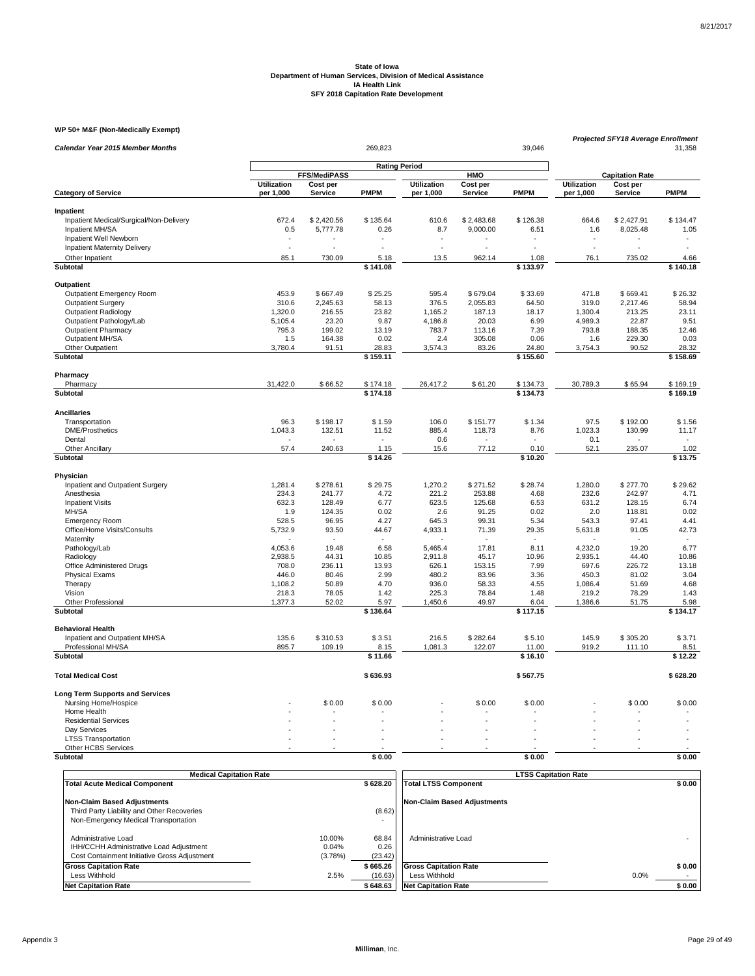### **WP 50+ M&F (Non-Medically Exempt)**

| Calendar Year 2015 Member Months                     |                    |                 | Projected SFY18 Average Enrollment<br>31,358 |                    |                |                 |                    |                        |                          |
|------------------------------------------------------|--------------------|-----------------|----------------------------------------------|--------------------|----------------|-----------------|--------------------|------------------------|--------------------------|
|                                                      |                    |                 |                                              |                    |                |                 |                    |                        |                          |
|                                                      |                    | FFS/MediPASS    |                                              |                    | HMO            |                 |                    | <b>Capitation Rate</b> |                          |
|                                                      | <b>Utilization</b> | Cost per        |                                              | <b>Utilization</b> | Cost per       |                 | <b>Utilization</b> | Cost per               |                          |
| <b>Category of Service</b>                           | per 1,000          | Service         | <b>PMPM</b>                                  | per 1,000          | Service        | <b>PMPM</b>     | per 1,000          | Service                | <b>PMPM</b>              |
| Inpatient                                            |                    |                 |                                              |                    |                |                 |                    |                        |                          |
| Inpatient Medical/Surgical/Non-Delivery              | 672.4              | \$2,420.56      | \$135.64                                     | 610.6              | \$2,483.68     | \$126.38        | 664.6              | \$2,427.91             | \$134.47                 |
| Inpatient MH/SA                                      | 0.5                | 5,777.78        | 0.26                                         | 8.7                | 9,000.00       | 6.51            | 1.6                | 8,025.48               | 1.05                     |
| Inpatient Well Newborn                               |                    |                 |                                              |                    |                |                 |                    |                        |                          |
| <b>Inpatient Maternity Delivery</b>                  | ÷,                 |                 |                                              |                    |                |                 | ÷,                 |                        |                          |
| Other Inpatient                                      | 85.1               | 730.09          | 5.18                                         | 13.5               | 962.14         | 1.08            | 76.1               | 735.02                 | 4.66                     |
| <b>Subtotal</b>                                      |                    |                 | \$141.08                                     |                    |                | \$133.97        |                    |                        | \$140.18                 |
| Outpatient                                           |                    |                 |                                              |                    |                |                 |                    |                        |                          |
| Outpatient Emergency Room                            | 453.9              | \$667.49        | \$25.25                                      | 595.4              | \$679.04       | \$33.69         | 471.8              | \$669.41               | \$26.32                  |
| <b>Outpatient Surgery</b>                            | 310.6              | 2,245.63        | 58.13                                        | 376.5              | 2,055.83       | 64.50           | 319.0              | 2,217.46               | 58.94                    |
| <b>Outpatient Radiology</b>                          | 1,320.0            | 216.55          | 23.82                                        | 1,165.2            | 187.13         | 18.17           | 1,300.4            | 213.25                 | 23.11                    |
| Outpatient Pathology/Lab                             | 5,105.4            | 23.20           | 9.87                                         | 4,186.8            | 20.03          | 6.99            | 4,989.3            | 22.87                  | 9.51                     |
| <b>Outpatient Pharmacy</b>                           | 795.3              | 199.02          | 13.19                                        | 783.7              | 113.16         | 7.39            | 793.8              | 188.35                 | 12.46                    |
| Outpatient MH/SA                                     | 1.5                | 164.38          | 0.02                                         | 2.4                | 305.08         | 0.06            | 1.6                | 229.30                 | 0.03                     |
| Other Outpatient                                     | 3,780.4            | 91.51           | 28.83                                        | 3,574.3            | 83.26          | 24.80           | 3,754.3            | 90.52                  | 28.32                    |
| Subtotal                                             |                    |                 | \$159.11                                     |                    |                | \$155.60        |                    |                        | \$158.69                 |
| Pharmacy                                             |                    |                 |                                              |                    |                |                 |                    |                        |                          |
| Pharmacy                                             | 31,422.0           | \$66.52         | \$174.18                                     | 26,417.2           | \$61.20        | \$134.73        | 30,789.3           | \$65.94                | \$169.19                 |
| <b>Subtotal</b>                                      |                    |                 | \$174.18                                     |                    |                | \$134.73        |                    |                        | \$169.19                 |
|                                                      |                    |                 |                                              |                    |                |                 |                    |                        |                          |
| <b>Ancillaries</b>                                   |                    |                 |                                              |                    |                |                 |                    |                        |                          |
| Transportation                                       | 96.3               | \$198.17        | \$1.59                                       | 106.0              | \$151.77       | \$1.34          | 97.5               | \$192.00               | \$1.56                   |
| <b>DME/Prosthetics</b>                               | 1,043.3            | 132.51          | 11.52                                        | 885.4              | 118.73         | 8.76            | 1,023.3            | 130.99                 | 11.17                    |
| Dental                                               |                    |                 |                                              | $0.6\,$            |                |                 | 0.1                |                        |                          |
| <b>Other Ancillary</b><br><b>Subtotal</b>            | 57.4               | 240.63          | 1.15<br>\$14.26                              | 15.6               | 77.12          | 0.10<br>\$10.20 | 52.1               | 235.07                 | 1.02<br>\$13.75          |
|                                                      |                    |                 |                                              |                    |                |                 |                    |                        |                          |
| Physician                                            |                    |                 |                                              |                    |                |                 |                    |                        |                          |
| Inpatient and Outpatient Surgery                     | 1,281.4            | \$278.61        | \$29.75                                      | 1,270.2            | \$271.52       | \$28.74         | 1,280.0            | \$277.70               | \$29.62                  |
| Anesthesia                                           | 234.3              | 241.77          | 4.72                                         | 221.2              | 253.88         | 4.68            | 232.6              | 242.97                 | 4.71                     |
| <b>Inpatient Visits</b>                              | 632.3              | 128.49          | 6.77                                         | 623.5              | 125.68         | 6.53            | 631.2              | 128.15                 | 6.74                     |
| MH/SA                                                | 1.9<br>528.5       | 124.35<br>96.95 | 0.02<br>4.27                                 | 2.6<br>645.3       | 91.25<br>99.31 | 0.02<br>5.34    | 2.0<br>543.3       | 118.81<br>97.41        | 0.02                     |
| <b>Emergency Room</b><br>Office/Home Visits/Consults | 5,732.9            | 93.50           | 44.67                                        | 4,933.1            | 71.39          | 29.35           | 5,631.8            | 91.05                  | 4.41<br>42.73            |
| Maternity                                            |                    |                 |                                              |                    |                |                 |                    |                        | $\overline{\phantom{a}}$ |
| Pathology/Lab                                        | 4,053.6            | 19.48           | 6.58                                         | 5,465.4            | 17.81          | 8.11            | 4,232.0            | 19.20                  | 6.77                     |
| Radiology                                            | 2,938.5            | 44.31           | 10.85                                        | 2,911.8            | 45.17          | 10.96           | 2,935.1            | 44.40                  | 10.86                    |
| Office Administered Drugs                            | 708.0              | 236.11          | 13.93                                        | 626.1              | 153.15         | 7.99            | 697.6              | 226.72                 | 13.18                    |
| <b>Physical Exams</b>                                | 446.0              | 80.46           | 2.99                                         | 480.2              | 83.96          | 3.36            | 450.3              | 81.02                  | 3.04                     |
| Therapy                                              | 1,108.2            | 50.89           | 4.70                                         | 936.0              | 58.33          | 4.55            | 1,086.4            | 51.69                  | 4.68                     |
| Vision                                               | 218.3              | 78.05           | 1.42                                         | 225.3              | 78.84          | 1.48            | 219.2              | 78.29                  | 1.43                     |
| Other Professional                                   | 1,377.3            | 52.02           | 5.97                                         | 1,450.6            | 49.97          | 6.04            | 1,386.6            | 51.75                  | 5.98                     |
| <b>Subtotal</b>                                      |                    |                 | \$136.64                                     |                    |                | \$117.15        |                    |                        | \$134.17                 |
| <b>Behavioral Health</b>                             |                    |                 |                                              |                    |                |                 |                    |                        |                          |
| Inpatient and Outpatient MH/SA                       | 135.6              | \$310.53        | \$3.51                                       | 216.5              | \$282.64       | \$5.10          | 145.9              | \$305.20               | \$3.71                   |
| Professional MH/SA                                   | 895.7              | 109.19          | 8.15                                         | 1,081.3            | 122.07         | 11.00           | 919.2              | 111.10                 | 8.51                     |
| <b>Subtotal</b>                                      |                    |                 | \$11.66                                      |                    |                | \$16.10         |                    |                        | \$12.22                  |
| <b>Total Medical Cost</b>                            |                    |                 | \$636.93                                     |                    |                | \$567.75        |                    |                        | \$628.20                 |
| <b>Long Term Supports and Services</b>               |                    |                 |                                              |                    |                |                 |                    |                        |                          |
| Nursing Home/Hospice                                 |                    | \$0.00          | \$0.00                                       |                    | \$0.00         | \$0.00          |                    | \$0.00                 | \$0.00                   |
| Home Health                                          |                    |                 |                                              |                    |                |                 |                    |                        |                          |
| <b>Residential Services</b>                          |                    |                 |                                              |                    |                |                 |                    |                        |                          |
| Day Services                                         |                    |                 |                                              |                    |                |                 |                    |                        |                          |
| <b>LTSS Transportation</b>                           | ÷.                 |                 |                                              |                    |                |                 |                    |                        |                          |
| Other HCBS Services                                  |                    |                 |                                              |                    |                |                 |                    |                        |                          |
| <b>Subtotal</b>                                      |                    |                 | \$0.00                                       |                    |                | \$0.00          |                    |                        | \$0.00                   |

| <b>Medical Capitation Rate</b>                                                                                           |                            |                                 | <b>LTSS Capitation Rate</b>                                                 |      |                  |
|--------------------------------------------------------------------------------------------------------------------------|----------------------------|---------------------------------|-----------------------------------------------------------------------------|------|------------------|
| <b>Total Acute Medical Component</b>                                                                                     |                            | \$628.20                        | <b>Total LTSS Component</b>                                                 |      | \$0.00           |
| <b>Non-Claim Based Adjustments</b><br>Third Party Liability and Other Recoveries<br>Non-Emergency Medical Transportation |                            | (8.62)                          | <b>Non-Claim Based Adjustments</b>                                          |      |                  |
| Administrative Load<br>IHH/CCHH Administrative Load Adjustment<br>Cost Containment Initiative Gross Adjustment           | 10.00%<br>0.04%<br>(3.78%) | 68.84<br>0.26<br>(23.42)        | Administrative Load                                                         |      |                  |
| <b>Gross Capitation Rate</b><br>Less Withhold<br><b>Net Capitation Rate</b>                                              | 2.5%                       | \$665.26<br>(16.63)<br>\$648.63 | <b>Gross Capitation Rate</b><br>Less Withhold<br><b>Net Capitation Rate</b> | 0.0% | \$0.00<br>\$0.00 |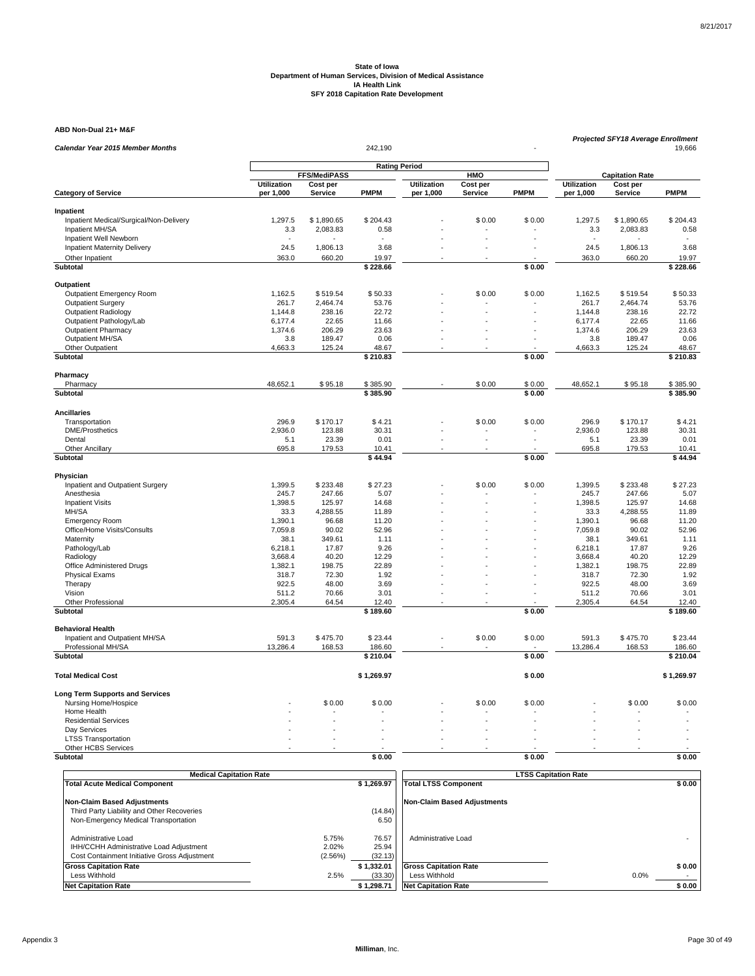**ABD Non-Dual 21+ M&F**

| <b>Calendar Year 2015 Member Months</b>                | Projected SFY18 Average Enrollment<br>242,190<br>19,666 |                      |                      |                    |            |                            |                    |                        |                   |  |
|--------------------------------------------------------|---------------------------------------------------------|----------------------|----------------------|--------------------|------------|----------------------------|--------------------|------------------------|-------------------|--|
|                                                        |                                                         |                      |                      |                    |            |                            |                    |                        |                   |  |
|                                                        |                                                         | <b>FFS/MediPASS</b>  | <b>Rating Period</b> |                    | <b>HMO</b> |                            |                    | <b>Capitation Rate</b> |                   |  |
|                                                        | <b>Utilization</b>                                      | Cost per             |                      | <b>Utilization</b> | Cost per   |                            | <b>Utilization</b> | Cost per               |                   |  |
| <b>Category of Service</b>                             | per 1,000                                               | Service              | <b>PMPM</b>          | per 1,000          | Service    | <b>PMPM</b>                | per 1,000          | Service                | <b>PMPM</b>       |  |
| Inpatient                                              |                                                         |                      |                      |                    |            |                            |                    |                        |                   |  |
| Inpatient Medical/Surgical/Non-Delivery                | 1,297.5                                                 | \$1,890.65           | \$204.43             |                    | \$0.00     | \$0.00                     | 1,297.5            | \$1,890.65             | \$204.43          |  |
| Inpatient MH/SA                                        | 3.3                                                     | 2,083.83             | 0.58                 |                    |            |                            | 3.3                | 2,083.83               | 0.58              |  |
| Inpatient Well Newborn                                 |                                                         |                      |                      |                    |            |                            |                    |                        |                   |  |
| <b>Inpatient Maternity Delivery</b>                    | 24.5                                                    | 1,806.13             | 3.68                 |                    |            |                            | 24.5               | 1,806.13               | 3.68              |  |
| Other Inpatient<br>Subtotal                            | 363.0                                                   | 660.20               | 19.97<br>\$228.66    |                    |            | \$0.00                     | 363.0              | 660.20                 | 19.97<br>\$228.66 |  |
|                                                        |                                                         |                      |                      |                    |            |                            |                    |                        |                   |  |
| Outpatient                                             |                                                         |                      |                      |                    |            |                            |                    |                        |                   |  |
| Outpatient Emergency Room<br><b>Outpatient Surgery</b> | 1,162.5<br>261.7                                        | \$519.54<br>2,464.74 | \$50.33<br>53.76     |                    | \$0.00     | \$0.00                     | 1,162.5<br>261.7   | \$519.54<br>2,464.74   | \$50.33<br>53.76  |  |
| <b>Outpatient Radiology</b>                            | 1,144.8                                                 | 238.16               | 22.72                |                    |            |                            | 1,144.8            | 238.16                 | 22.72             |  |
| Outpatient Pathology/Lab                               | 6,177.4                                                 | 22.65                | 11.66                |                    |            |                            | 6,177.4            | 22.65                  | 11.66             |  |
| <b>Outpatient Pharmacy</b>                             | 1,374.6                                                 | 206.29               | 23.63                |                    |            |                            | 1,374.6            | 206.29                 | 23.63             |  |
| Outpatient MH/SA                                       | 3.8                                                     | 189.47               | 0.06                 |                    | L.         |                            | 3.8                | 189.47                 | 0.06              |  |
| Other Outpatient                                       | 4,663.3                                                 | 125.24               | 48.67                |                    |            |                            | 4,663.3            | 125.24                 | 48.67             |  |
| Subtotal                                               |                                                         |                      | \$210.83             |                    |            | \$0.00                     |                    |                        | \$210.83          |  |
| Pharmacy                                               |                                                         |                      |                      |                    |            |                            |                    |                        |                   |  |
| Pharmacy                                               | 48,652.1                                                | \$95.18              | \$385.90             |                    | \$0.00     | \$0.00                     | 48,652.1           | \$95.18                | \$385.90          |  |
| Subtotal                                               |                                                         |                      | \$385.90             |                    |            | \$0.00                     |                    |                        | \$385.90          |  |
| <b>Ancillaries</b>                                     |                                                         |                      |                      |                    |            |                            |                    |                        |                   |  |
| Transportation                                         | 296.9                                                   | \$170.17             | \$4.21               |                    | \$0.00     | \$0.00                     | 296.9              | \$170.17               | \$4.21            |  |
| <b>DME/Prosthetics</b>                                 | 2,936.0                                                 | 123.88               | 30.31                |                    |            |                            | 2,936.0            | 123.88                 | 30.31             |  |
| Dental                                                 | 5.1                                                     | 23.39                | 0.01                 |                    | ÷.         |                            | 5.1                | 23.39                  | 0.01              |  |
| <b>Other Ancillary</b><br>Subtotal                     | 695.8                                                   | 179.53               | 10.41<br>\$44.94     |                    |            | \$0.00                     | 695.8              | 179.53                 | 10.41<br>\$44.94  |  |
|                                                        |                                                         |                      |                      |                    |            |                            |                    |                        |                   |  |
| Physician                                              |                                                         |                      |                      |                    |            |                            |                    |                        |                   |  |
| Inpatient and Outpatient Surgery<br>Anesthesia         | 1,399.5<br>245.7                                        | \$233.48<br>247.66   | \$27.23<br>5.07      |                    | \$0.00     | \$0.00                     | 1,399.5<br>245.7   | \$233.48<br>247.66     | \$27.23<br>5.07   |  |
| <b>Inpatient Visits</b>                                | 1,398.5                                                 | 125.97               | 14.68                |                    |            |                            | 1,398.5            | 125.97                 | 14.68             |  |
| MH/SA                                                  | 33.3                                                    | 4,288.55             | 11.89                |                    |            |                            | 33.3               | 4,288.55               | 11.89             |  |
| <b>Emergency Room</b>                                  | 1,390.1                                                 | 96.68                | 11.20                |                    |            |                            | 1,390.1            | 96.68                  | 11.20             |  |
| Office/Home Visits/Consults                            | 7,059.8                                                 | 90.02                | 52.96                |                    |            |                            | 7,059.8            | 90.02                  | 52.96             |  |
| Maternity                                              | 38.1                                                    | 349.61               | 1.11                 |                    |            |                            | 38.1               | 349.61                 | 1.11              |  |
| Pathology/Lab                                          | 6,218.1                                                 | 17.87                | 9.26                 |                    |            |                            | 6,218.1            | 17.87                  | 9.26              |  |
| Radiology                                              | 3,668.4                                                 | 40.20                | 12.29                |                    |            |                            | 3,668.4            | 40.20                  | 12.29             |  |
| Office Administered Drugs                              | 1,382.1                                                 | 198.75               | 22.89                |                    |            |                            | 1,382.1            | 198.75                 | 22.89             |  |
| <b>Physical Exams</b>                                  | 318.7                                                   | 72.30                | 1.92                 |                    |            |                            | 318.7              | 72.30                  | 1.92              |  |
| Therapy                                                | 922.5                                                   | 48.00                | 3.69                 |                    |            |                            | 922.5              | 48.00                  | 3.69              |  |
| Vision<br>Other Professional                           | 511.2<br>2,305.4                                        | 70.66<br>64.54       | 3.01<br>12.40        |                    |            |                            | 511.2<br>2,305.4   | 70.66<br>64.54         | 3.01<br>12.40     |  |
| Subtotal                                               |                                                         |                      | \$189.60             |                    |            | \$0.00                     |                    |                        | \$189.60          |  |
|                                                        |                                                         |                      |                      |                    |            |                            |                    |                        |                   |  |
| <b>Behavioral Health</b>                               |                                                         |                      |                      |                    |            |                            |                    |                        |                   |  |
| Inpatient and Outpatient MH/SA<br>Professional MH/SA   | 591.3<br>13,286.4                                       | \$475.70<br>168.53   | \$23.44<br>186.60    |                    | \$0.00     | \$0.00                     | 591.3<br>13,286.4  | \$475.70<br>168.53     | \$23.44<br>186.60 |  |
| Subtotal                                               |                                                         |                      | \$210.04             |                    |            | \$0.00                     |                    |                        | \$210.04          |  |
| <b>Total Medical Cost</b>                              |                                                         |                      | \$1,269.97           |                    |            | \$0.00                     |                    |                        | \$1,269.97        |  |
| <b>Long Term Supports and Services</b>                 |                                                         |                      |                      |                    |            |                            |                    |                        |                   |  |
| Nursing Home/Hospice                                   |                                                         | \$0.00               | \$0.00               |                    | \$0.00     | \$0.00                     |                    | \$0.00                 | \$0.00            |  |
| Home Health                                            |                                                         |                      |                      |                    |            |                            |                    |                        |                   |  |
| <b>Residential Services</b>                            |                                                         |                      |                      |                    |            |                            |                    |                        |                   |  |
| Day Services                                           |                                                         |                      |                      |                    |            |                            |                    |                        |                   |  |
| <b>LTSS Transportation</b>                             |                                                         |                      |                      |                    |            |                            |                    |                        |                   |  |
| Other HCBS Services                                    |                                                         |                      |                      |                    |            |                            |                    |                        |                   |  |
| Subtotal                                               |                                                         |                      | \$0.00               |                    |            | \$0.00                     |                    |                        | \$0.00            |  |
|                                                        | Modical Capitation Rate                                 |                      |                      |                    |            | <b>TCC Conitation Pate</b> |                    |                        |                   |  |

| <b>Medical Capitation Rate</b>                                                                                 |                           |                           | <b>LTSS Capitation Rate</b>        |        |
|----------------------------------------------------------------------------------------------------------------|---------------------------|---------------------------|------------------------------------|--------|
| <b>Total Acute Medical Component</b>                                                                           |                           | \$1,269.97                | <b>Total LTSS Component</b>        | \$0.00 |
| Non-Claim Based Adjustments                                                                                    |                           |                           | <b>Non-Claim Based Adiustments</b> |        |
| Third Party Liability and Other Recoveries                                                                     |                           | (14.84)                   |                                    |        |
| Non-Emergency Medical Transportation                                                                           |                           | 6.50                      |                                    |        |
| Administrative Load<br>IHH/CCHH Administrative Load Adjustment<br>Cost Containment Initiative Gross Adjustment | 5.75%<br>2.02%<br>(2.56%) | 76.57<br>25.94<br>(32.13) | Administrative Load                |        |
| <b>Gross Capitation Rate</b>                                                                                   |                           | \$1.332.01                | <b>Gross Capitation Rate</b>       | \$0.00 |
| Less Withhold                                                                                                  | 2.5%                      | (33.30)                   | Less Withhold                      | 0.0%   |
| <b>Net Capitation Rate</b>                                                                                     |                           | \$1,298.71                | <b>Net Capitation Rate</b>         | \$0.00 |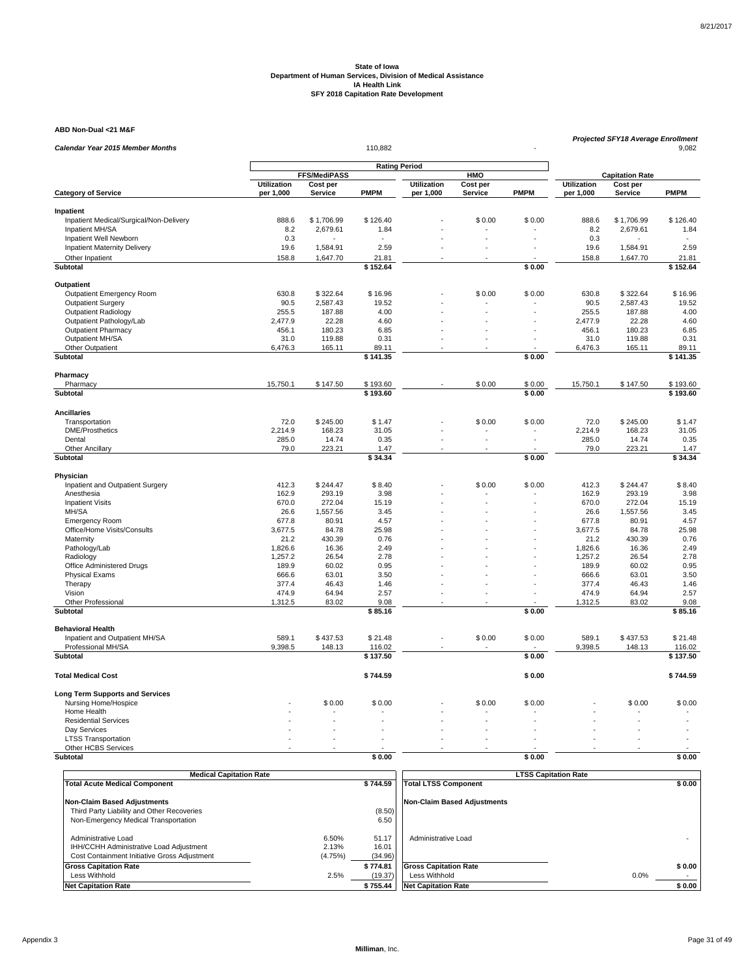**ABD Non-Dual <21 M&F**

| Calendar Year 2015 Member Months                  | Projected SFY18 Average Enrollment<br>110,882<br>9,082 |                |                      |                    |          |             |                    |                        |              |  |
|---------------------------------------------------|--------------------------------------------------------|----------------|----------------------|--------------------|----------|-------------|--------------------|------------------------|--------------|--|
|                                                   |                                                        |                |                      |                    |          |             |                    |                        |              |  |
|                                                   |                                                        | FFS/MediPASS   | <b>Rating Period</b> |                    | HMO      |             |                    | <b>Capitation Rate</b> |              |  |
|                                                   | Utilization                                            | Cost per       |                      | <b>Utilization</b> | Cost per |             | <b>Utilization</b> | Cost per               |              |  |
| <b>Category of Service</b>                        | per 1,000                                              | Service        | <b>PMPM</b>          | per 1,000          | Service  | <b>PMPM</b> | per 1,000          | Service                | <b>PMPM</b>  |  |
| Inpatient                                         |                                                        |                |                      |                    |          |             |                    |                        |              |  |
| Inpatient Medical/Surgical/Non-Delivery           | 888.6                                                  | \$1,706.99     | \$126.40             |                    | \$0.00   | \$0.00      | 888.6              | \$1,706.99             | \$126.40     |  |
| Inpatient MH/SA                                   | 8.2                                                    | 2,679.61       | 1.84                 |                    |          |             | 8.2                | 2,679.61               | 1.84         |  |
| Inpatient Well Newborn                            | 0.3                                                    |                |                      |                    |          |             | 0.3                |                        |              |  |
| Inpatient Maternity Delivery                      | 19.6                                                   | 1,584.91       | 2.59                 |                    |          |             | 19.6               | 1,584.91               | 2.59         |  |
| Other Inpatient                                   | 158.8                                                  | 1,647.70       | 21.81                |                    |          |             | 158.8              | 1,647.70               | 21.81        |  |
| Subtotal                                          |                                                        |                | \$152.64             |                    |          | \$0.00      |                    |                        | \$152.64     |  |
| Outpatient                                        |                                                        |                |                      |                    |          |             |                    |                        |              |  |
| Outpatient Emergency Room                         | 630.8                                                  | \$322.64       | \$16.96              |                    | \$0.00   | \$0.00      | 630.8              | \$322.64               | \$16.96      |  |
| <b>Outpatient Surgery</b>                         | 90.5                                                   | 2,587.43       | 19.52                |                    |          |             | 90.5               | 2,587.43               | 19.52        |  |
| <b>Outpatient Radiology</b>                       | 255.5                                                  | 187.88         | 4.00                 |                    |          |             | 255.5              | 187.88                 | 4.00         |  |
| Outpatient Pathology/Lab                          | 2,477.9                                                | 22.28          | 4.60                 |                    |          |             | 2,477.9            | 22.28                  | 4.60         |  |
| <b>Outpatient Pharmacy</b>                        | 456.1                                                  | 180.23         | 6.85                 |                    |          |             | 456.1              | 180.23                 | 6.85         |  |
| Outpatient MH/SA                                  | 31.0                                                   | 119.88         | 0.31                 |                    | ÷.       |             | 31.0               | 119.88                 | 0.31         |  |
| Other Outpatient                                  | 6,476.3                                                | 165.11         | 89.11                |                    |          |             | 6,476.3            | 165.11                 | 89.11        |  |
| Subtotal                                          |                                                        |                | \$141.35             |                    |          | \$0.00      |                    |                        | \$141.35     |  |
| Pharmacy                                          |                                                        |                |                      |                    |          |             |                    |                        |              |  |
| Pharmacy                                          | 15,750.1                                               | \$147.50       | \$193.60             |                    | \$0.00   | \$0.00      | 15,750.1           | \$147.50               | \$193.60     |  |
| Subtotal                                          |                                                        |                | \$193.60             |                    |          | \$0.00      |                    |                        | \$193.60     |  |
| <b>Ancillaries</b>                                |                                                        |                |                      |                    |          |             |                    |                        |              |  |
| Transportation                                    | 72.0                                                   | \$245.00       | \$1.47               |                    | \$0.00   | \$0.00      | 72.0               | \$245.00               | \$1.47       |  |
| <b>DME/Prosthetics</b>                            | 2,214.9                                                | 168.23         | 31.05                |                    |          |             | 2,214.9            | 168.23                 | 31.05        |  |
| Dental                                            | 285.0                                                  | 14.74          | 0.35                 |                    |          |             | 285.0              | 14.74                  | 0.35         |  |
| <b>Other Ancillary</b>                            | 79.0                                                   | 223.21         | 1.47                 |                    |          |             | 79.0               | 223.21                 | 1.47         |  |
| Subtotal                                          |                                                        |                | \$34.34              |                    |          | \$0.00      |                    |                        | \$34.34      |  |
| Physician                                         |                                                        |                |                      |                    |          |             |                    |                        |              |  |
| Inpatient and Outpatient Surgery                  | 412.3                                                  | \$244.47       | \$8.40               |                    | \$0.00   | \$0.00      | 412.3              | \$244.47               | \$8.40       |  |
| Anesthesia                                        | 162.9                                                  | 293.19         | 3.98                 |                    |          |             | 162.9              | 293.19                 | 3.98         |  |
| <b>Inpatient Visits</b>                           | 670.0                                                  | 272.04         | 15.19                |                    |          |             | 670.0              | 272.04                 | 15.19        |  |
| MH/SA                                             | 26.6                                                   | 1,557.56       | 3.45                 |                    |          |             | 26.6               | 1,557.56               | 3.45         |  |
| <b>Emergency Room</b>                             | 677.8                                                  | 80.91          | 4.57                 |                    |          |             | 677.8              | 80.91                  | 4.57         |  |
| Office/Home Visits/Consults                       | 3,677.5                                                | 84.78          | 25.98                |                    |          |             | 3,677.5            | 84.78                  | 25.98        |  |
| Maternity                                         | 21.2                                                   | 430.39         | 0.76                 |                    |          |             | 21.2               | 430.39                 | 0.76         |  |
| Pathology/Lab                                     | 1,826.6                                                | 16.36          | 2.49                 |                    |          |             | 1,826.6            | 16.36                  | 2.49         |  |
| Radiology                                         | 1,257.2                                                | 26.54          | 2.78                 |                    |          |             | 1,257.2            | 26.54                  | 2.78         |  |
| Office Administered Drugs                         | 189.9                                                  | 60.02          | 0.95                 |                    |          |             | 189.9              | 60.02                  | 0.95         |  |
| <b>Physical Exams</b><br>Therapy                  | 666.6<br>377.4                                         | 63.01<br>46.43 | 3.50<br>1.46         |                    |          |             | 666.6<br>377.4     | 63.01<br>46.43         | 3.50<br>1.46 |  |
|                                                   | 474.9                                                  | 64.94          | 2.57                 |                    | ÷.       |             | 474.9              | 64.94                  | 2.57         |  |
| Vision<br>Other Professional                      | 1,312.5                                                | 83.02          | 9.08                 |                    | ä,       |             | 1,312.5            | 83.02                  | 9.08         |  |
| Subtotal                                          |                                                        |                | \$85.16              |                    |          | \$0.00      |                    |                        | \$85.16      |  |
| <b>Behavioral Health</b>                          |                                                        |                |                      |                    |          |             |                    |                        |              |  |
| Inpatient and Outpatient MH/SA                    | 589.1                                                  | \$437.53       | \$21.48              |                    | \$0.00   | \$0.00      | 589.1              | \$437.53               | \$21.48      |  |
| Professional MH/SA                                | 9,398.5                                                | 148.13         | 116.02               |                    |          |             | 9,398.5            | 148.13                 | 116.02       |  |
| Subtotal                                          |                                                        |                | \$137.50             |                    |          | \$0.00      |                    |                        | \$137.50     |  |
|                                                   |                                                        |                |                      |                    |          |             |                    |                        |              |  |
| <b>Total Medical Cost</b>                         |                                                        |                | \$744.59             |                    |          | \$0.00      |                    |                        | \$744.59     |  |
| <b>Long Term Supports and Services</b>            |                                                        |                |                      |                    |          |             |                    |                        |              |  |
| Nursing Home/Hospice                              |                                                        | \$0.00         | \$0.00               |                    | \$0.00   | \$0.00      |                    | \$0.00                 | \$0.00       |  |
| Home Health                                       |                                                        |                |                      |                    |          |             |                    |                        |              |  |
| <b>Residential Services</b>                       |                                                        |                |                      |                    |          |             |                    |                        |              |  |
| Day Services                                      |                                                        |                |                      |                    |          |             |                    |                        |              |  |
| <b>LTSS Transportation</b><br>Other HCBS Services |                                                        |                |                      |                    |          |             |                    |                        |              |  |
| Subtotal                                          |                                                        |                | \$0.00               |                    |          | \$0.00      |                    |                        | \$0.00       |  |
|                                                   |                                                        |                |                      |                    |          |             |                    |                        |              |  |

| <b>Medical Capitation Rate</b>               |         |          | <b>LTSS Capitation Rate</b>        |        |
|----------------------------------------------|---------|----------|------------------------------------|--------|
| <b>Total Acute Medical Component</b>         |         | \$744.59 | <b>Total LTSS Component</b>        | \$0.00 |
|                                              |         |          |                                    |        |
| <b>Non-Claim Based Adjustments</b>           |         |          | <b>Non-Claim Based Adjustments</b> |        |
| Third Party Liability and Other Recoveries   |         | (8.50)   |                                    |        |
| Non-Emergency Medical Transportation         |         | 6.50     |                                    |        |
|                                              |         |          |                                    |        |
| Administrative Load                          | 6.50%   | 51.17    | Administrative Load                |        |
| IHH/CCHH Administrative Load Adjustment      | 2.13%   | 16.01    |                                    |        |
| Cost Containment Initiative Gross Adjustment | (4.75%) | (34.96)  |                                    |        |
| <b>Gross Capitation Rate</b>                 |         | \$774.81 | <b>Gross Capitation Rate</b>       | \$0.00 |
| Less Withhold                                | 2.5%    | (19.37)  | Less Withhold                      | 0.0%   |
| <b>Net Capitation Rate</b>                   |         | \$755.44 | <b>Net Capitation Rate</b>         | \$0.00 |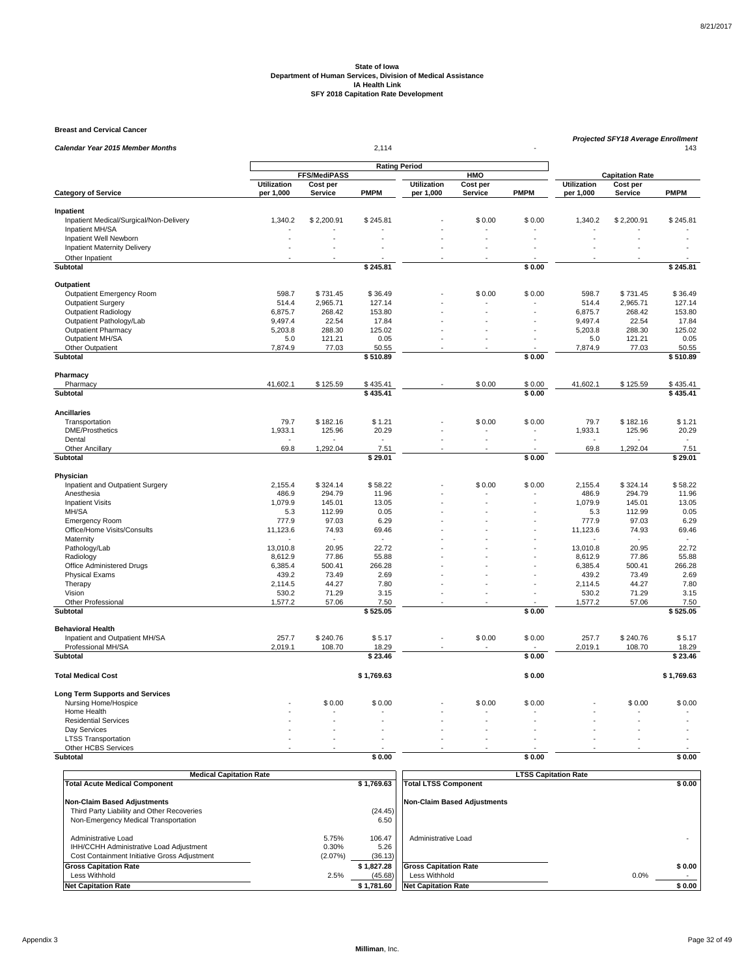**Breast and Cervical Cancer**

|                                                      | Projected SFY18 Average Enrollment<br>2,114 |                     |                      |                    |                 |             |                    |                         |                 |  |
|------------------------------------------------------|---------------------------------------------|---------------------|----------------------|--------------------|-----------------|-------------|--------------------|-------------------------|-----------------|--|
| Calendar Year 2015 Member Months                     |                                             |                     |                      |                    | 143             |             |                    |                         |                 |  |
|                                                      |                                             |                     | <b>Rating Period</b> |                    |                 |             |                    |                         |                 |  |
|                                                      | <b>Utilization</b>                          | <b>FFS/MediPASS</b> |                      | <b>Utilization</b> | HMO<br>Cost per |             | <b>Utilization</b> | <b>Capitation Rate</b>  |                 |  |
| <b>Category of Service</b>                           | per 1,000                                   | Cost per<br>Service | <b>PMPM</b>          | per 1,000          | Service         | <b>PMPM</b> | per 1,000          | Cost per<br>Service     | <b>PMPM</b>     |  |
|                                                      |                                             |                     |                      |                    |                 |             |                    |                         |                 |  |
| Inpatient<br>Inpatient Medical/Surgical/Non-Delivery | 1,340.2                                     | \$2,200.91          | \$245.81             |                    | \$0.00          | \$0.00      | 1,340.2            | \$2,200.91              | \$245.81        |  |
| Inpatient MH/SA                                      |                                             |                     |                      |                    |                 |             |                    |                         |                 |  |
| Inpatient Well Newborn                               |                                             |                     |                      |                    |                 |             |                    |                         |                 |  |
| <b>Inpatient Maternity Delivery</b>                  |                                             |                     |                      |                    |                 |             |                    |                         |                 |  |
| Other Inpatient                                      |                                             |                     |                      |                    |                 |             |                    |                         |                 |  |
| <b>Subtotal</b>                                      |                                             |                     | \$245.81             |                    |                 | \$0.00      |                    |                         | \$245.81        |  |
| Outpatient                                           |                                             |                     |                      |                    |                 |             |                    |                         |                 |  |
| Outpatient Emergency Room                            | 598.7                                       | \$731.45            | \$36.49              |                    | \$0.00          | \$0.00      | 598.7              | \$731.45                | \$36.49         |  |
| <b>Outpatient Surgery</b>                            | 514.4                                       | 2,965.71            | 127.14               |                    |                 |             | 514.4              | 2,965.71                | 127.14          |  |
| <b>Outpatient Radiology</b>                          | 6,875.7                                     | 268.42              | 153.80               |                    |                 |             | 6,875.7            | 268.42                  | 153.80          |  |
| Outpatient Pathology/Lab                             | 9,497.4                                     | 22.54               | 17.84                |                    |                 |             | 9,497.4            | 22.54                   | 17.84           |  |
| <b>Outpatient Pharmacy</b>                           | 5,203.8                                     | 288.30              | 125.02               |                    |                 |             | 5,203.8            | 288.30                  | 125.02          |  |
| Outpatient MH/SA                                     | 5.0                                         | 121.21              | 0.05                 |                    | ÷,              |             | 5.0                | 121.21                  | 0.05            |  |
| Other Outpatient                                     | 7,874.9                                     | 77.03               | 50.55                |                    |                 |             | 7.874.9            | 77.03                   | 50.55           |  |
| <b>Subtotal</b>                                      |                                             |                     | \$510.89             |                    |                 | \$0.00      |                    |                         | \$510.89        |  |
| Pharmacy                                             |                                             |                     |                      |                    |                 |             |                    |                         |                 |  |
| Pharmacy                                             | 41,602.1                                    | \$125.59            | \$435.41             |                    | \$0.00          | \$0.00      | 41,602.1           | \$125.59                | \$435.41        |  |
| <b>Subtotal</b>                                      |                                             |                     | \$435.41             |                    |                 | \$0.00      |                    |                         | \$435.41        |  |
| <b>Ancillaries</b>                                   |                                             |                     |                      |                    |                 |             |                    |                         |                 |  |
| Transportation                                       | 79.7                                        | \$182.16            | \$1.21               |                    | \$0.00          | \$0.00      | 79.7               | \$182.16                | \$1.21          |  |
| <b>DME/Prosthetics</b>                               | 1,933.1                                     | 125.96              | 20.29                |                    |                 |             | 1,933.1            | 125.96                  | 20.29           |  |
| Dental                                               |                                             |                     |                      |                    |                 |             |                    |                         |                 |  |
| Other Ancillary                                      | 69.8                                        | 1,292.04            | 7.51                 |                    |                 |             | 69.8               | 1,292.04                | 7.51            |  |
| Subtotal                                             |                                             |                     | \$29.01              |                    |                 | \$0.00      |                    |                         | \$29.01         |  |
| Physician                                            |                                             |                     |                      |                    |                 |             |                    |                         |                 |  |
| Inpatient and Outpatient Surgery                     | 2,155.4                                     | \$324.14            | \$58.22              |                    | \$0.00          | \$0.00      | 2,155.4            | \$324.14                | \$58.22         |  |
| Anesthesia                                           | 486.9                                       | 294.79              | 11.96                |                    |                 |             | 486.9              | 294.79                  | 11.96           |  |
| <b>Inpatient Visits</b>                              | 1,079.9                                     | 145.01              | 13.05                |                    |                 |             | 1,079.9            | 145.01                  | 13.05           |  |
| MH/SA                                                | 5.3                                         | 112.99              | 0.05                 |                    |                 |             | 5.3                | 112.99                  | 0.05            |  |
| <b>Emergency Room</b>                                | 777.9                                       | 97.03               | 6.29                 |                    |                 |             | 777.9              | 97.03                   | 6.29            |  |
| Office/Home Visits/Consults                          | 11,123.6                                    | 74.93               | 69.46<br>$\sim$      |                    |                 |             | 11,123.6           | 74.93<br>$\overline{a}$ | 69.46<br>$\sim$ |  |
| Maternity<br>Pathology/Lab                           | 13,010.8                                    | 20.95               | 22.72                |                    |                 |             | 13,010.8           | 20.95                   | 22.72           |  |
| Radiology                                            | 8,612.9                                     | 77.86               | 55.88                |                    |                 |             | 8,612.9            | 77.86                   | 55.88           |  |
| Office Administered Drugs                            | 6,385.4                                     | 500.41              | 266.28               |                    |                 |             | 6,385.4            | 500.41                  | 266.28          |  |
| <b>Physical Exams</b>                                | 439.2                                       | 73.49               | 2.69                 |                    |                 |             | 439.2              | 73.49                   | 2.69            |  |
| Therapy                                              | 2,114.5                                     | 44.27               | 7.80                 |                    |                 |             | 2,114.5            | 44.27                   | 7.80            |  |
| Vision                                               | 530.2                                       | 71.29               | 3.15                 |                    |                 |             | 530.2              | 71.29                   | 3.15            |  |
| Other Professional                                   | 1,577.2                                     | 57.06               | 7.50                 |                    |                 |             | 1,577.2            | 57.06                   | 7.50            |  |
| <b>Subtotal</b>                                      |                                             |                     | \$525.05             |                    |                 | \$0.00      |                    |                         | \$525.05        |  |
| <b>Behavioral Health</b>                             |                                             |                     |                      |                    |                 |             |                    |                         |                 |  |
| Inpatient and Outpatient MH/SA                       | 257.7                                       | \$240.76            | \$5.17               |                    | \$0.00          | \$0.00      | 257.7              | \$240.76                | \$5.17          |  |
| Professional MH/SA                                   | 2,019.1                                     | 108.70              | 18.29                |                    |                 |             | 2,019.1            | 108.70                  | 18.29           |  |
| <b>Subtotal</b>                                      |                                             |                     | \$23.46              |                    |                 | \$0.00      |                    |                         | \$23.46         |  |
| <b>Total Medical Cost</b>                            |                                             |                     | \$1,769.63           |                    |                 | \$0.00      |                    |                         | \$1,769.63      |  |
| <b>Long Term Supports and Services</b>               |                                             |                     |                      |                    |                 |             |                    |                         |                 |  |
| Nursing Home/Hospice                                 |                                             | \$0.00              | \$0.00               |                    | \$0.00          | \$0.00      |                    | \$0.00                  | \$0.00          |  |
| Home Health                                          |                                             |                     |                      |                    |                 |             |                    |                         |                 |  |
| <b>Residential Services</b>                          |                                             |                     |                      |                    |                 |             |                    |                         |                 |  |
| Dav Services                                         |                                             |                     |                      |                    |                 |             |                    |                         |                 |  |
| <b>LTSS Transportation</b>                           |                                             |                     |                      |                    |                 |             |                    |                         |                 |  |
| Other HCBS Services                                  |                                             |                     |                      |                    |                 |             |                    |                         |                 |  |
| Subtotal                                             |                                             |                     | \$0.00               |                    |                 | \$0.00      |                    |                         | \$0.00          |  |
|                                                      |                                             |                     |                      |                    |                 |             |                    |                         |                 |  |

|                                                                                                                | <b>Medical Capitation Rate</b> |                           |                           |                                    | <b>LTSS Capitation Rate</b> |        |
|----------------------------------------------------------------------------------------------------------------|--------------------------------|---------------------------|---------------------------|------------------------------------|-----------------------------|--------|
| <b>Total Acute Medical Component</b>                                                                           |                                |                           | \$1,769.63                | <b>Total LTSS Component</b>        |                             | \$0.00 |
| <b>Non-Claim Based Adjustments</b>                                                                             |                                |                           |                           | <b>Non-Claim Based Adjustments</b> |                             |        |
| Third Party Liability and Other Recoveries<br>Non-Emergency Medical Transportation                             |                                |                           | (24.45)<br>6.50           |                                    |                             |        |
| Administrative Load<br>IHH/CCHH Administrative Load Adjustment<br>Cost Containment Initiative Gross Adjustment |                                | 5.75%<br>0.30%<br>(2.07%) | 106.47<br>5.26<br>(36.13) | Administrative Load                |                             |        |
| <b>Gross Capitation Rate</b>                                                                                   |                                |                           | \$1.827.28                | <b>Gross Capitation Rate</b>       |                             | \$0.00 |
| Less Withhold                                                                                                  |                                | 2.5%                      | (45.68)                   | Less Withhold                      | 0.0%                        |        |
| <b>Net Capitation Rate</b>                                                                                     |                                |                           | \$1,781.60                | <b>Net Capitation Rate</b>         |                             | \$0.00 |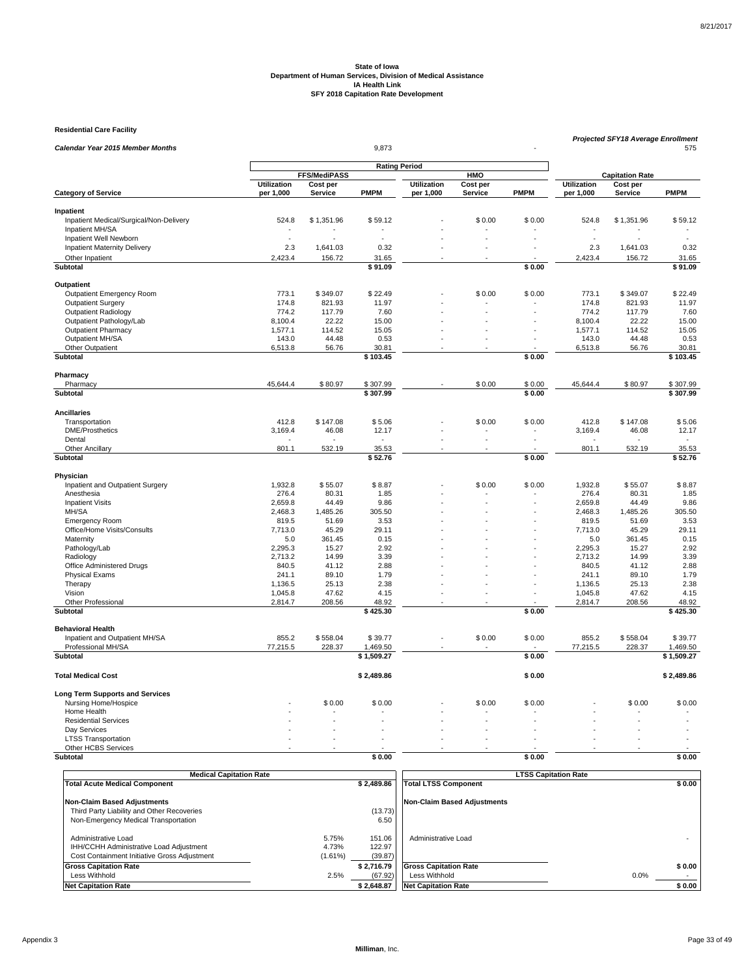**Residential Care Facility**

| Calendar Year 2015 Member Months<br>9,873                      |                          |                                 |                      |             | Projected SFY18 Average Enrollment<br>575 |                     |                  |                                    |                   |
|----------------------------------------------------------------|--------------------------|---------------------------------|----------------------|-------------|-------------------------------------------|---------------------|------------------|------------------------------------|-------------------|
|                                                                |                          |                                 |                      |             |                                           |                     |                  |                                    |                   |
|                                                                |                          |                                 | <b>Rating Period</b> |             |                                           |                     |                  |                                    |                   |
|                                                                | <b>Utilization</b>       | <b>FFS/MediPASS</b><br>Cost per |                      | Utilization | HMO<br>Cost per                           |                     | Utilization      | <b>Capitation Rate</b><br>Cost per |                   |
| <b>Category of Service</b>                                     | per 1,000                | Service                         | <b>PMPM</b>          | per 1,000   | Service                                   | <b>PMPM</b>         | per 1,000        | <b>Service</b>                     | <b>PMPM</b>       |
|                                                                |                          |                                 |                      |             |                                           |                     |                  |                                    |                   |
| Inpatient<br>Inpatient Medical/Surgical/Non-Delivery           | 524.8                    | \$1,351.96                      | \$59.12              |             | \$0.00                                    | \$0.00              | 524.8            | \$1,351.96                         | \$59.12           |
| Inpatient MH/SA                                                | $\overline{\phantom{a}}$ |                                 |                      |             |                                           |                     |                  |                                    |                   |
| Inpatient Well Newborn                                         |                          |                                 |                      |             |                                           |                     |                  |                                    |                   |
| <b>Inpatient Maternity Delivery</b>                            | 2.3                      | 1,641.03                        | 0.32                 |             |                                           |                     | 2.3              | 1,641.03                           | 0.32              |
| Other Inpatient                                                | 2,423.4                  | 156.72                          | 31.65                |             |                                           |                     | 2,423.4          | 156.72                             | 31.65             |
| Subtotal                                                       |                          |                                 | \$91.09              |             |                                           | \$0.00              |                  |                                    | \$91.09           |
| Outpatient                                                     |                          |                                 |                      |             |                                           |                     |                  |                                    |                   |
| Outpatient Emergency Room                                      | 773.1                    | \$349.07                        | \$22.49              |             | \$0.00                                    | \$0.00              | 773.1            | \$349.07                           | \$22.49           |
| <b>Outpatient Surgery</b>                                      | 174.8                    | 821.93                          | 11.97                |             |                                           |                     | 174.8            | 821.93                             | 11.97             |
| <b>Outpatient Radiology</b>                                    | 774.2                    | 117.79                          | 7.60                 |             |                                           |                     | 774.2            | 117.79                             | 7.60              |
| Outpatient Pathology/Lab                                       | 8,100.4                  | 22.22                           | 15.00                |             |                                           |                     | 8,100.4          | 22.22                              | 15.00             |
| Outpatient Pharmacy                                            | 1,577.1                  | 114.52                          | 15.05                |             |                                           |                     | 1,577.1          | 114.52                             | 15.05             |
| Outpatient MH/SA                                               | 143.0                    | 44.48                           | 0.53                 |             |                                           |                     | 143.0            | 44.48                              | 0.53              |
| Other Outpatient<br><b>Subtotal</b>                            | 6,513.8                  | 56.76                           | 30.81<br>\$103.45    |             |                                           | \$0.00              | 6,513.8          | 56.76                              | 30.81<br>\$103.45 |
|                                                                |                          |                                 |                      |             |                                           |                     |                  |                                    |                   |
| Pharmacy<br>Pharmacy                                           | 45,644.4                 | \$80.97                         | \$307.99             |             | \$0.00                                    | \$0.00              | 45,644.4         | \$80.97                            | \$307.99          |
| Subtotal                                                       |                          |                                 | \$307.99             |             |                                           | \$0.00              |                  |                                    | \$307.99          |
|                                                                |                          |                                 |                      |             |                                           |                     |                  |                                    |                   |
| <b>Ancillaries</b><br>Transportation                           | 412.8                    | \$147.08                        | \$5.06               |             | \$0.00                                    | \$0.00              | 412.8            | \$147.08                           | \$5.06            |
| <b>DME/Prosthetics</b>                                         | 3,169.4                  | 46.08                           | 12.17                |             |                                           |                     | 3,169.4          | 46.08                              | 12.17             |
| Dental                                                         |                          |                                 |                      |             | L.                                        |                     |                  |                                    |                   |
| <b>Other Ancillary</b>                                         | 801.1                    | 532.19                          | 35.53                |             |                                           |                     | 801.1            | 532.19                             | 35.53             |
| Subtotal                                                       |                          |                                 | \$52.76              |             |                                           | \$0.00              |                  |                                    | \$52.76           |
| Physician                                                      |                          |                                 |                      |             |                                           |                     |                  |                                    |                   |
| Inpatient and Outpatient Surgery                               | 1,932.8                  | \$55.07                         | \$8.87               |             | \$0.00                                    | \$0.00              | 1,932.8          | \$55.07                            | \$8.87            |
| Anesthesia                                                     | 276.4                    | 80.31                           | 1.85                 |             |                                           |                     | 276.4            | 80.31                              | 1.85              |
| <b>Inpatient Visits</b>                                        | 2.659.8                  | 44.49                           | 9.86                 |             |                                           |                     | 2.659.8          | 44.49                              | 9.86              |
| MH/SA                                                          | 2,468.3                  | 1,485.26                        | 305.50               |             |                                           |                     | 2,468.3          | 1,485.26                           | 305.50            |
| <b>Emergency Room</b>                                          | 819.5                    | 51.69                           | 3.53                 |             |                                           |                     | 819.5            | 51.69                              | 3.53              |
| Office/Home Visits/Consults                                    | 7,713.0                  | 45.29                           | 29.11                |             |                                           |                     | 7,713.0          | 45.29                              | 29.11             |
| Maternity                                                      | 5.0                      | 361.45                          | 0.15                 |             |                                           |                     | 5.0              | 361.45                             | 0.15              |
| Pathology/Lab                                                  | 2,295.3                  | 15.27                           | 2.92                 |             |                                           |                     | 2,295.3          | 15.27                              | 2.92              |
| Radiology                                                      | 2,713.2                  | 14.99                           | 3.39                 |             |                                           |                     | 2,713.2          | 14.99                              | 3.39              |
| Office Administered Drugs                                      | 840.5                    | 41.12                           | 2.88                 |             |                                           |                     | 840.5            | 41.12                              | 2.88              |
| <b>Physical Exams</b>                                          | 241.1<br>1,136.5         | 89.10<br>25.13                  | 1.79<br>2.38         |             |                                           |                     | 241.1<br>1,136.5 | 89.10<br>25.13                     | 1.79<br>2.38      |
| Therapy<br>Vision                                              | 1,045.8                  | 47.62                           | 4.15                 |             |                                           |                     | 1,045.8          | 47.62                              | 4.15              |
| Other Professional                                             | 2,814.7                  | 208.56                          | 48.92                |             | ٠                                         |                     | 2,814.7          | 208.56                             | 48.92             |
| Subtotal                                                       |                          |                                 | \$425.30             |             |                                           | \$0.00              |                  |                                    | \$425.30          |
| <b>Behavioral Health</b>                                       |                          |                                 |                      |             |                                           |                     |                  |                                    |                   |
| Inpatient and Outpatient MH/SA                                 | 855.2                    | \$558.04                        | \$39.77              |             | \$0.00                                    | \$0.00              | 855.2            | \$558.04                           | \$39.77           |
| Professional MH/SA                                             | 77,215.5                 | 228.37                          | 1,469.50             |             |                                           |                     | 77,215.5         | 228.37                             | 1,469.50          |
| Subtotal                                                       |                          |                                 | \$1,509.27           |             |                                           | \$0.00              |                  |                                    | \$1,509.27        |
| <b>Total Medical Cost</b>                                      |                          |                                 | \$2,489.86           |             |                                           | \$0.00              |                  |                                    | \$2,489.86        |
|                                                                |                          |                                 |                      |             |                                           |                     |                  |                                    |                   |
| <b>Long Term Supports and Services</b><br>Nursing Home/Hospice |                          | \$0.00                          | \$0.00               |             | \$0.00                                    | \$0.00              |                  | \$0.00                             | \$0.00            |
| Home Health                                                    |                          |                                 |                      |             |                                           |                     |                  |                                    |                   |
| <b>Residential Services</b>                                    |                          |                                 |                      |             |                                           |                     |                  |                                    |                   |
| Day Services                                                   |                          |                                 |                      |             |                                           |                     |                  |                                    |                   |
| <b>LTSS Transportation</b>                                     |                          |                                 |                      |             |                                           |                     |                  |                                    |                   |
| Other HCBS Services                                            |                          |                                 |                      |             |                                           |                     |                  |                                    |                   |
| <b>Subtotal</b>                                                |                          |                                 | \$0.00               |             |                                           | \$0.00              |                  |                                    | \$0.00            |
| Modioal                                                        | Conitation Dot           |                                 |                      |             |                                           | TCC Conitation Doll |                  |                                    |                   |

| <b>Medical Capitation Rate</b>                                                                                 |                           |                             | <b>LTSS Capitation Rate</b>                   |                |
|----------------------------------------------------------------------------------------------------------------|---------------------------|-----------------------------|-----------------------------------------------|----------------|
| <b>Total Acute Medical Component</b>                                                                           |                           | \$2.489.86                  | <b>Total LTSS Component</b>                   | \$0.00         |
| <b>Non-Claim Based Adjustments</b><br>Third Party Liability and Other Recoveries                               |                           | (13.73)                     | Non-Claim Based Adiustments                   |                |
| Non-Emergency Medical Transportation                                                                           |                           | 6.50                        |                                               |                |
| Administrative Load<br>IHH/CCHH Administrative Load Adjustment<br>Cost Containment Initiative Gross Adjustment | 5.75%<br>4.73%<br>(1.61%) | 151.06<br>122.97<br>(39.87) | Administrative Load                           |                |
| <b>Gross Capitation Rate</b><br>Less Withhold                                                                  | 2.5%                      | \$2.716.79<br>(67.92)       | <b>Gross Capitation Rate</b><br>Less Withhold | \$0.00<br>0.0% |
| <b>Net Capitation Rate</b>                                                                                     |                           | \$2,648.87                  | <b>Net Capitation Rate</b>                    | \$0.00         |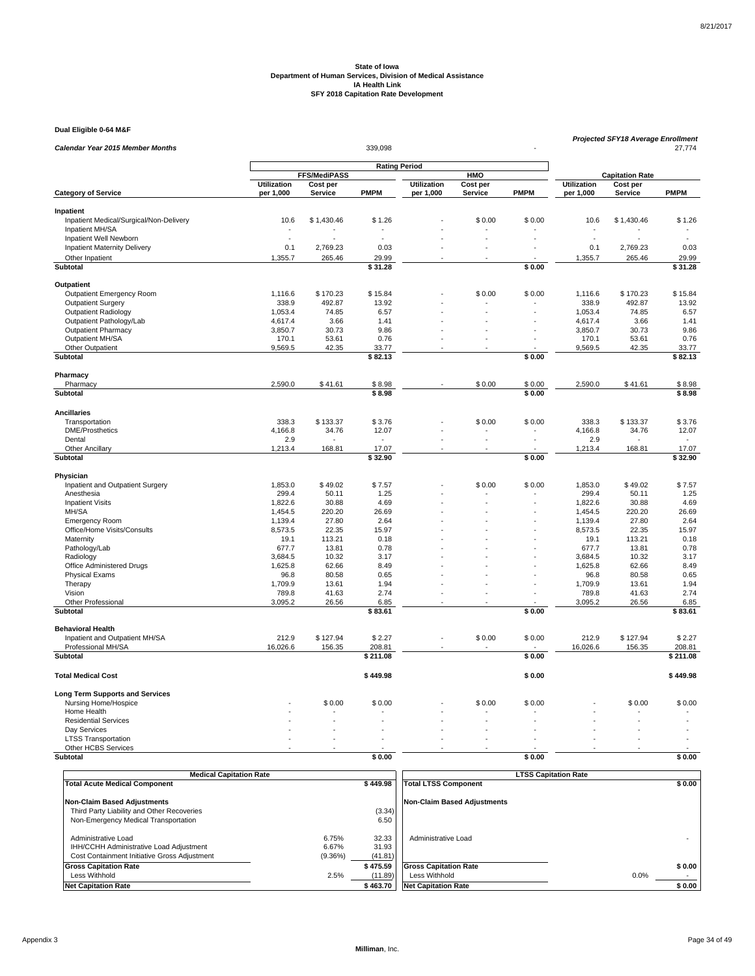#### **Dual Eligible 0-64 M&F**

| Calendar Year 2015 Member Months                  |             |                     | 339,098              |                    |          |             | <b>Projected SFY18 Average Enrollment</b><br>27,774 |                        |                 |  |
|---------------------------------------------------|-------------|---------------------|----------------------|--------------------|----------|-------------|-----------------------------------------------------|------------------------|-----------------|--|
|                                                   |             |                     |                      |                    |          |             |                                                     |                        |                 |  |
|                                                   |             | <b>FFS/MediPASS</b> | <b>Rating Period</b> |                    | HMO      |             |                                                     | <b>Capitation Rate</b> |                 |  |
|                                                   | Utilization | Cost per            |                      | <b>Utilization</b> | Cost per |             | <b>Utilization</b>                                  | Cost per               |                 |  |
| <b>Category of Service</b>                        | per 1,000   | Service             | <b>PMPM</b>          | per 1,000          | Service  | <b>PMPM</b> | per 1,000                                           | Service                | <b>PMPM</b>     |  |
| Inpatient                                         |             |                     |                      |                    |          |             |                                                     |                        |                 |  |
| Inpatient Medical/Surgical/Non-Delivery           | 10.6        | \$1,430.46          | \$1.26               |                    | \$0.00   | \$0.00      | 10.6                                                | \$1,430.46             | \$1.26          |  |
| Inpatient MH/SA                                   |             |                     |                      |                    |          |             |                                                     |                        |                 |  |
| Inpatient Well Newborn                            |             |                     |                      |                    |          |             |                                                     |                        |                 |  |
| <b>Inpatient Maternity Delivery</b>               | 0.1         | 2,769.23            | 0.03                 |                    |          |             | 0.1                                                 | 2,769.23               | 0.03            |  |
| Other Inpatient                                   | 1,355.7     | 265.46              | 29.99                |                    |          |             | 1,355.7                                             | 265.46                 | 29.99           |  |
| Subtotal                                          |             |                     | \$31.28              |                    |          | \$0.00      |                                                     |                        | \$31.28         |  |
| Outpatient                                        |             |                     |                      |                    |          |             |                                                     |                        |                 |  |
| Outpatient Emergency Room                         | 1,116.6     | \$170.23            | \$15.84              |                    | \$0.00   | \$0.00      | 1,116.6                                             | \$170.23               | \$15.84         |  |
| <b>Outpatient Surgery</b>                         | 338.9       | 492.87              | 13.92                |                    |          |             | 338.9                                               | 492.87                 | 13.92           |  |
| Outpatient Radiology                              | 1,053.4     | 74.85               | 6.57                 |                    |          |             | 1,053.4                                             | 74.85                  | 6.57            |  |
| Outpatient Pathology/Lab                          | 4,617.4     | 3.66                | 1.41                 |                    |          |             | 4,617.4                                             | 3.66                   | 1.41            |  |
| <b>Outpatient Pharmacy</b>                        | 3.850.7     | 30.73               | 9.86                 |                    |          |             | 3,850.7                                             | 30.73                  | 9.86            |  |
| Outpatient MH/SA                                  | 170.1       | 53.61               | 0.76                 |                    |          |             | 170.1                                               | 53.61                  | 0.76            |  |
| Other Outpatient                                  | 9,569.5     | 42.35               | 33.77                |                    |          |             | 9,569.5                                             | 42.35                  | 33.77           |  |
| <b>Subtotal</b>                                   |             |                     | \$82.13              |                    |          | \$0.00      |                                                     |                        | \$82.13         |  |
| Pharmacy                                          |             |                     |                      |                    |          |             |                                                     |                        |                 |  |
| Pharmacy                                          | 2,590.0     | \$41.61             | \$8.98               |                    | \$0.00   | \$0.00      | 2,590.0                                             | \$41.61                | \$8.98          |  |
| Subtotal                                          |             |                     | \$8.98               |                    |          | \$0.00      |                                                     |                        | \$8.98          |  |
| <b>Ancillaries</b>                                |             |                     |                      |                    |          |             |                                                     |                        |                 |  |
| Transportation                                    | 338.3       | \$133.37            | \$3.76               |                    | \$0.00   | \$0.00      | 338.3                                               | \$133.37               | \$3.76          |  |
| <b>DME/Prosthetics</b>                            | 4,166.8     | 34.76               | 12.07                |                    |          |             | 4,166.8                                             | 34.76                  | 12.07           |  |
| Dental                                            | 2.9         |                     |                      |                    | L.       |             | 2.9                                                 |                        | $\sim$          |  |
| <b>Other Ancillary</b>                            | 1,213.4     | 168.81              | 17.07                |                    |          |             | 1,213.4                                             | 168.81                 | 17.07           |  |
| Subtotal                                          |             |                     | \$32.90              |                    |          | \$0.00      |                                                     |                        | \$32.90         |  |
| Physician                                         |             |                     |                      |                    |          |             |                                                     |                        |                 |  |
| Inpatient and Outpatient Surgery                  | 1,853.0     | \$49.02             | \$7.57               |                    | \$0.00   | \$0.00      | 1,853.0                                             | \$49.02                | \$7.57          |  |
| Anesthesia                                        | 299.4       | 50.11               | 1.25                 |                    |          |             | 299.4                                               | 50.11                  | 1.25            |  |
| <b>Inpatient Visits</b>                           | 1,822.6     | 30.88               | 4.69                 |                    |          |             | 1,822.6                                             | 30.88                  | 4.69            |  |
| MH/SA                                             | 1,454.5     | 220.20              | 26.69                |                    |          |             | 1.454.5                                             | 220.20                 | 26.69           |  |
| <b>Emergency Room</b>                             | 1,139.4     | 27.80               | 2.64                 |                    |          |             | 1,139.4                                             | 27.80                  | 2.64            |  |
| Office/Home Visits/Consults                       | 8,573.5     | 22.35               | 15.97                |                    |          |             | 8,573.5                                             | 22.35                  | 15.97           |  |
| Maternity                                         | 19.1        | 113.21              | 0.18                 |                    |          |             | 19.1                                                | 113.21                 | 0.18            |  |
| Pathology/Lab                                     | 677.7       | 13.81               | 0.78                 |                    |          |             | 677.7                                               | 13.81                  | 0.78            |  |
| Radiology                                         | 3,684.5     | 10.32               | 3.17                 |                    |          |             | 3,684.5                                             | 10.32                  | 3.17            |  |
| Office Administered Drugs                         | 1,625.8     | 62.66               | 8.49                 |                    |          |             | 1,625.8                                             | 62.66                  | 8.49            |  |
| <b>Physical Exams</b>                             | 96.8        | 80.58               | 0.65                 |                    |          |             | 96.8                                                | 80.58                  | 0.65            |  |
| Therapy                                           | 1,709.9     | 13.61               | 1.94                 |                    |          |             | 1,709.9                                             | 13.61                  | 1.94            |  |
| Vision                                            | 789.8       | 41.63               | 2.74                 |                    |          |             | 789.8                                               | 41.63                  | 2.74            |  |
| Other Professional<br>Subtotal                    | 3,095.2     | 26.56               | 6.85<br>\$83.61      |                    |          | \$0.00      | 3,095.2                                             | 26.56                  | 6.85<br>\$83.61 |  |
|                                                   |             |                     |                      |                    |          |             |                                                     |                        |                 |  |
| <b>Behavioral Health</b>                          |             |                     |                      |                    |          |             |                                                     |                        |                 |  |
| Inpatient and Outpatient MH/SA                    | 212.9       | \$127.94            | \$2.27               |                    | \$0.00   | \$0.00      | 212.9                                               | \$127.94               | \$2.27          |  |
| Professional MH/SA                                | 16,026.6    | 156.35              | 208.81               |                    |          |             | 16,026.6                                            | 156.35                 | 208.81          |  |
| Subtotal                                          |             |                     | \$211.08             |                    |          | \$0.00      |                                                     |                        | \$211.08        |  |
| <b>Total Medical Cost</b>                         |             |                     | \$449.98             |                    |          | \$0.00      |                                                     |                        | \$449.98        |  |
| <b>Long Term Supports and Services</b>            |             |                     |                      |                    |          |             |                                                     |                        |                 |  |
| Nursing Home/Hospice                              |             | \$0.00              | \$0.00               |                    | \$0.00   | \$0.00      |                                                     | \$0.00                 | \$0.00          |  |
| Home Health                                       |             |                     |                      |                    |          |             |                                                     |                        |                 |  |
| <b>Residential Services</b>                       |             |                     |                      |                    |          |             |                                                     |                        |                 |  |
| Day Services                                      | ÷,          |                     |                      |                    |          |             |                                                     |                        |                 |  |
| <b>LTSS Transportation</b><br>Other HCBS Services |             |                     |                      |                    |          |             |                                                     |                        |                 |  |
| <b>Subtotal</b>                                   |             |                     | \$0.00               |                    |          | \$0.00      |                                                     |                        | \$0.00          |  |
|                                                   |             |                     |                      |                    |          |             |                                                     |                        |                 |  |

| <b>Medical Capitation Rate</b>                                                                                 |                           |                           | <b>LTSS Capitation Rate</b>                   |                |  |  |  |
|----------------------------------------------------------------------------------------------------------------|---------------------------|---------------------------|-----------------------------------------------|----------------|--|--|--|
| <b>Total Acute Medical Component</b>                                                                           |                           | \$449.98                  | <b>Total LTSS Component</b>                   | \$0.00         |  |  |  |
| <b>Non-Claim Based Adjustments</b>                                                                             |                           |                           | Non-Claim Based Adiustments                   |                |  |  |  |
| Third Party Liability and Other Recoveries<br>Non-Emergency Medical Transportation                             |                           | (3.34)<br>6.50            |                                               |                |  |  |  |
| Administrative Load<br>IHH/CCHH Administrative Load Adjustment<br>Cost Containment Initiative Gross Adjustment | 6.75%<br>6.67%<br>(9.36%) | 32.33<br>31.93<br>(41.81) | Administrative Load                           |                |  |  |  |
| <b>Gross Capitation Rate</b><br>Less Withhold                                                                  | 2.5%                      | \$475.59<br>(11.89)       | <b>Gross Capitation Rate</b><br>Less Withhold | \$0.00<br>0.0% |  |  |  |
| <b>Net Capitation Rate</b>                                                                                     |                           | \$463.70                  | <b>Net Capitation Rate</b>                    | \$0.00         |  |  |  |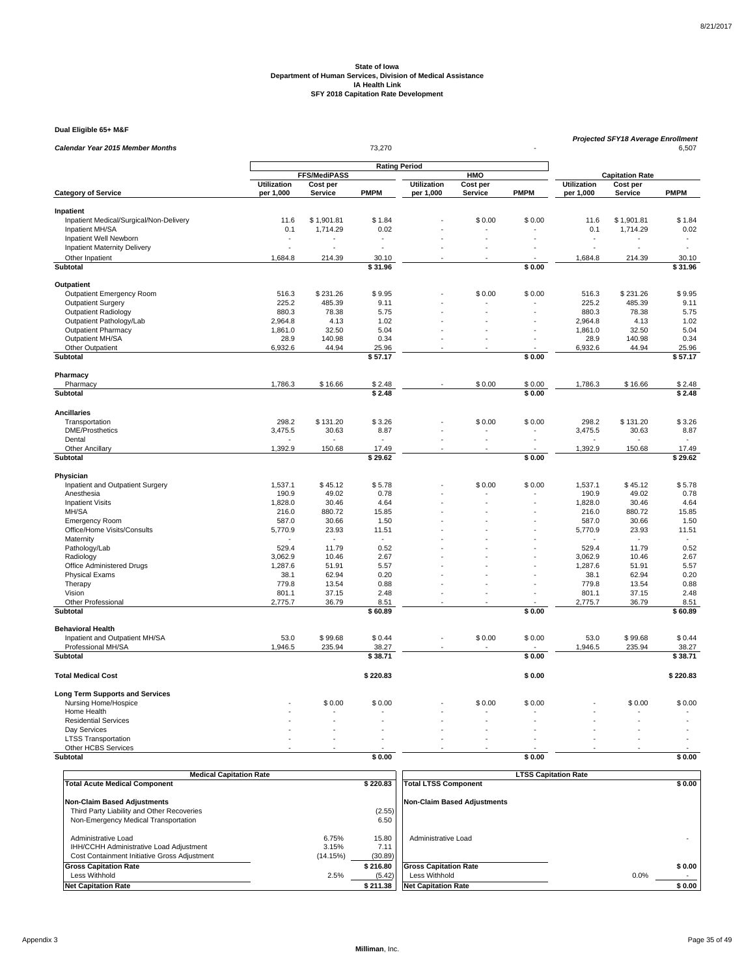#### **Dual Eligible 65+ M&F**

| Dual Eligible 65+ M&F                   |                                 |                            |                      |                                 |                     |             |                                 | Projected SFY18 Average Enrollment |             |  |
|-----------------------------------------|---------------------------------|----------------------------|----------------------|---------------------------------|---------------------|-------------|---------------------------------|------------------------------------|-------------|--|
| Calendar Year 2015 Member Months        |                                 |                            |                      |                                 | 6,507               |             |                                 |                                    |             |  |
|                                         |                                 |                            | <b>Rating Period</b> |                                 |                     |             |                                 |                                    |             |  |
|                                         |                                 | FFS/MediPASS               |                      |                                 | HMO                 |             |                                 | <b>Capitation Rate</b>             |             |  |
| <b>Category of Service</b>              | <b>Utilization</b><br>per 1,000 | Cost per<br><b>Service</b> | <b>PMPM</b>          | <b>Utilization</b><br>per 1,000 | Cost per<br>Service | <b>PMPM</b> | <b>Utilization</b><br>per 1,000 | Cost per<br><b>Service</b>         | <b>PMPM</b> |  |
|                                         |                                 |                            |                      |                                 |                     |             |                                 |                                    |             |  |
| Inpatient                               |                                 |                            |                      |                                 |                     |             |                                 |                                    |             |  |
| Inpatient Medical/Surgical/Non-Delivery | 11.6                            | \$1,901.81                 | \$1.84               |                                 | \$0.00              | \$0.00      | 11.6                            | \$1,901.81                         | \$1.84      |  |
| Inpatient MH/SA                         | 0.1                             | 1,714.29                   | 0.02                 |                                 |                     |             | 0.1                             | 1,714.29                           | 0.02        |  |
| Inpatient Well Newborn                  |                                 |                            |                      |                                 |                     |             |                                 |                                    |             |  |
| <b>Inpatient Maternity Delivery</b>     | ä,                              |                            |                      |                                 |                     |             |                                 |                                    |             |  |
| Other Inpatient                         | 1,684.8                         | 214.39                     | 30.10                |                                 |                     |             | 1,684.8                         | 214.39                             | 30.10       |  |
| Subtotal                                |                                 |                            | \$31.96              |                                 |                     | \$0.00      |                                 |                                    | \$31.96     |  |
| Outpatient                              |                                 |                            |                      |                                 |                     |             |                                 |                                    |             |  |
| Outpatient Emergency Room               | 516.3                           | \$231.26                   | \$9.95               |                                 | \$0.00              | \$0.00      | 516.3                           | \$231.26                           | \$9.95      |  |
| <b>Outpatient Surgery</b>               | 225.2                           | 485.39                     | 9.11                 |                                 |                     |             | 225.2                           | 485.39                             | 9.11        |  |
| <b>Outpatient Radiology</b>             | 880.3                           | 78.38                      | 5.75                 |                                 |                     |             | 880.3                           | 78.38                              | 5.75        |  |
| Outpatient Pathology/Lab                | 2,964.8                         | 4.13                       | 1.02                 |                                 |                     |             | 2,964.8                         | 4.13                               | 1.02        |  |
| <b>Outpatient Pharmacy</b>              | 1,861.0                         | 32.50                      | 5.04                 |                                 |                     |             | 1,861.0                         | 32.50                              | 5.04        |  |
| Outpatient MH/SA                        | 28.9                            | 140.98                     | 0.34                 |                                 |                     | ÷.          | 28.9                            | 140.98                             | 0.34        |  |
| Other Outpatient                        | 6,932.6                         | 44.94                      | 25.96                |                                 |                     |             | 6,932.6                         | 44.94                              | 25.96       |  |
| Subtotal                                |                                 |                            | \$57.17              |                                 |                     | \$0.00      |                                 |                                    | \$57.17     |  |
|                                         |                                 |                            |                      |                                 |                     |             |                                 |                                    |             |  |
| Pharmacy<br>Pharmacy                    | 1,786.3                         | \$16.66                    | \$2.48               |                                 | \$0.00              | \$0.00      | 1,786.3                         | \$16.66                            | \$2.48      |  |
| Subtotal                                |                                 |                            | \$2.48               |                                 |                     | \$0.00      |                                 |                                    | \$2.48      |  |
|                                         |                                 |                            |                      |                                 |                     |             |                                 |                                    |             |  |
| <b>Ancillaries</b>                      |                                 |                            |                      |                                 |                     |             |                                 |                                    |             |  |
| Transportation                          | 298.2                           | \$131.20                   | \$3.26               |                                 | \$0.00              | \$0.00      | 298.2                           | \$131.20                           | \$3.26      |  |
| <b>DME/Prosthetics</b>                  | 3,475.5                         | 30.63                      | 8.87                 |                                 |                     |             | 3,475.5                         | 30.63                              | 8.87        |  |
| Dental                                  |                                 |                            |                      |                                 |                     |             |                                 |                                    |             |  |
| Other Ancillary                         | 1,392.9                         | 150.68                     | 17.49                |                                 |                     |             | 1,392.9                         | 150.68                             | 17.49       |  |
| Subtotal                                |                                 |                            | \$29.62              |                                 |                     | \$0.00      |                                 |                                    | \$29.62     |  |
| Physician                               |                                 |                            |                      |                                 |                     |             |                                 |                                    |             |  |
| Inpatient and Outpatient Surgery        | 1,537.1                         | \$45.12                    | \$5.78               |                                 | \$0.00              | \$0.00      | 1,537.1                         | \$45.12                            | \$5.78      |  |
| Anesthesia                              | 190.9                           | 49.02                      | 0.78                 |                                 |                     |             | 190.9                           | 49.02                              | 0.78        |  |
| <b>Inpatient Visits</b>                 | 1,828.0                         | 30.46                      | 4.64                 |                                 |                     |             | 1,828.0                         | 30.46                              | 4.64        |  |
| MH/SA                                   | 216.0                           | 880.72                     | 15.85                |                                 |                     |             | 216.0                           | 880.72                             | 15.85       |  |
| <b>Emergency Room</b>                   | 587.0                           | 30.66                      | 1.50                 |                                 |                     |             | 587.0                           | 30.66                              | 1.50        |  |
| Office/Home Visits/Consults             | 5,770.9                         | 23.93                      | 11.51                |                                 |                     |             | 5,770.9                         | 23.93                              | 11.51       |  |
| Maternity                               |                                 | $\overline{a}$             | $\sim$               |                                 |                     |             |                                 | $\sim$                             | $\sim$      |  |
| Pathology/Lab                           | 529.4                           | 11.79                      | 0.52                 |                                 |                     |             | 529.4                           | 11.79                              | 0.52        |  |
| Radiology                               | 3,062.9                         | 10.46                      | 2.67                 |                                 |                     |             | 3,062.9                         | 10.46                              | 2.67        |  |
| Office Administered Drugs               | 1,287.6                         | 51.91                      | 5.57                 |                                 |                     |             | 1,287.6                         | 51.91                              | 5.57        |  |
| <b>Physical Exams</b>                   | 38.1                            | 62.94                      | 0.20                 |                                 |                     |             | 38.1                            | 62.94                              | 0.20        |  |
| Therapy                                 | 779.8                           | 13.54                      | 0.88                 |                                 |                     |             | 779.8                           | 13.54                              | 0.88        |  |
| Vision                                  | 801.1                           | 37.15                      | 2.48                 |                                 |                     |             | 801.1                           | 37.15                              | 2.48        |  |
| <b>Other Professional</b>               | 2,775.7                         | 36.79                      | 8.51                 |                                 |                     |             | 2,775.7                         | 36.79                              | 8.51        |  |
| Subtotal                                |                                 |                            | \$60.89              |                                 |                     | \$0.00      |                                 |                                    | \$60.89     |  |
| <b>Behavioral Health</b>                |                                 |                            |                      |                                 |                     |             |                                 |                                    |             |  |
| Inpatient and Outpatient MH/SA          | 53.0                            | \$99.68                    | \$0.44               |                                 | \$0.00              | \$0.00      | 53.0                            | \$99.68                            | \$0.44      |  |
| Professional MH/SA                      | 1,946.5                         | 235.94                     | 38.27                |                                 |                     |             | 1,946.5                         | 235.94                             | 38.27       |  |
| Subtotal                                |                                 |                            | \$38.71              |                                 |                     | \$0.00      |                                 |                                    | \$38.71     |  |
| <b>Total Medical Cost</b>               |                                 |                            | \$220.83             |                                 |                     | \$0.00      |                                 |                                    | \$220.83    |  |
| <b>Long Term Supports and Services</b>  |                                 |                            |                      |                                 |                     |             |                                 |                                    |             |  |
| Nursing Home/Hospice                    |                                 | \$0.00                     | \$0.00               |                                 | \$0.00              | \$0.00      |                                 | \$0.00                             | \$0.00      |  |
| Home Health                             |                                 |                            |                      |                                 |                     |             |                                 |                                    |             |  |
| <b>Residential Services</b>             |                                 |                            |                      |                                 |                     |             |                                 |                                    |             |  |
| Day Services                            |                                 |                            |                      |                                 |                     |             |                                 |                                    |             |  |
| <b>LTSS Transportation</b>              | L.                              |                            |                      |                                 |                     |             |                                 | L.                                 |             |  |
| Other HCBS Services                     |                                 |                            |                      |                                 |                     |             |                                 |                                    |             |  |
| Subtotal                                |                                 |                            | \$0.00               |                                 |                     | \$0.00      |                                 |                                    | \$0.00      |  |

| <b>Medical Capitation Rate</b>               |          |          | <b>LTSS Capitation Rate</b>  |        |  |  |  |
|----------------------------------------------|----------|----------|------------------------------|--------|--|--|--|
| <b>Total Acute Medical Component</b>         |          | \$220.83 | <b>Total LTSS Component</b>  | \$0.00 |  |  |  |
|                                              |          |          |                              |        |  |  |  |
| <b>Non-Claim Based Adjustments</b>           |          |          | Non-Claim Based Adiustments  |        |  |  |  |
| Third Party Liability and Other Recoveries   |          | (2.55)   |                              |        |  |  |  |
| Non-Emergency Medical Transportation         |          | 6.50     |                              |        |  |  |  |
|                                              |          |          |                              |        |  |  |  |
| Administrative Load                          | 6.75%    | 15.80    | Administrative Load          |        |  |  |  |
| IHH/CCHH Administrative Load Adjustment      | 3.15%    | 7.11     |                              |        |  |  |  |
| Cost Containment Initiative Gross Adjustment | (14.15%) | (30.89)  |                              |        |  |  |  |
| <b>Gross Capitation Rate</b>                 |          | \$216.80 | <b>Gross Capitation Rate</b> | \$0.00 |  |  |  |
| Less Withhold                                | 2.5%     | (5.42)   | Less Withhold                | 0.0%   |  |  |  |
| <b>Net Capitation Rate</b>                   |          | \$211.38 | <b>Net Capitation Rate</b>   | \$0.00 |  |  |  |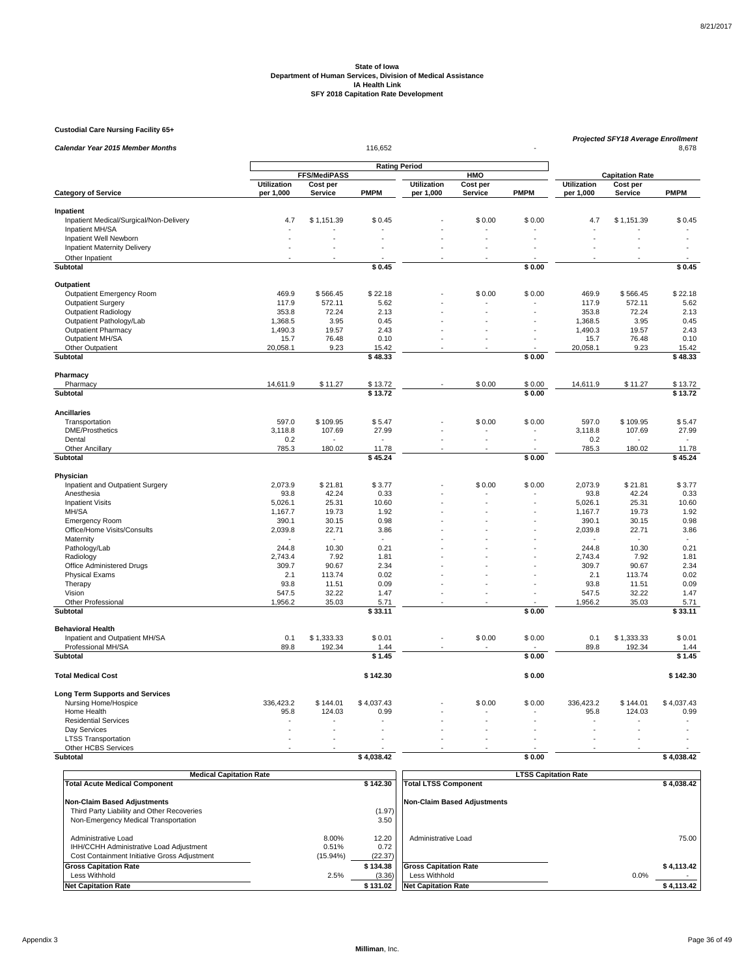**Custodial Care Nursing Facility 65+**

| <b>Calendar Year 2015 Member Months</b>              |                      |              |                        |                    | Projected SFY18 Average Enrollment | 8,678          |                    |                            |                 |
|------------------------------------------------------|----------------------|--------------|------------------------|--------------------|------------------------------------|----------------|--------------------|----------------------------|-----------------|
|                                                      |                      |              |                        |                    |                                    |                |                    |                            |                 |
|                                                      |                      | FFS/MediPASS |                        |                    | HMO                                |                |                    | <b>Capitation Rate</b>     |                 |
|                                                      | <b>Utilization</b>   | Cost per     | <b>PMPM</b>            | <b>Utilization</b> | Cost per                           | <b>PMPM</b>    | <b>Utilization</b> | Cost per<br><b>Service</b> | <b>PMPM</b>     |
| <b>Category of Service</b>                           | per 1,000            | Service      |                        | per 1,000          | Service                            |                | per 1,000          |                            |                 |
| Inpatient                                            |                      |              |                        |                    |                                    |                |                    |                            |                 |
| Inpatient Medical/Surgical/Non-Delivery              | 4.7                  | \$1,151.39   | \$0.45                 |                    | \$0.00                             | \$0.00         | 4.7                | \$1,151.39                 | \$0.45          |
| Inpatient MH/SA                                      |                      |              |                        |                    |                                    |                |                    |                            |                 |
| Inpatient Well Newborn                               |                      |              |                        |                    |                                    |                |                    |                            |                 |
| Inpatient Maternity Delivery                         |                      |              |                        |                    |                                    |                |                    |                            |                 |
| Other Inpatient                                      | $\ddot{\phantom{1}}$ |              |                        |                    |                                    |                |                    |                            |                 |
| Subtotal                                             |                      |              | \$0.45                 |                    |                                    | \$0.00         |                    |                            | \$0.45          |
| Outpatient                                           |                      |              |                        |                    |                                    |                |                    |                            |                 |
| Outpatient Emergency Room                            | 469.9                | \$566.45     | \$22.18                |                    | \$0.00                             | \$0.00         | 469.9              | \$566.45                   | \$22.18         |
| <b>Outpatient Surgery</b>                            | 117.9                | 572.11       | 5.62                   |                    |                                    |                | 117.9              | 572.11                     | 5.62            |
| <b>Outpatient Radiology</b>                          | 353.8                | 72.24        | 2.13                   |                    |                                    |                | 353.8              | 72.24                      | 2.13            |
| Outpatient Pathology/Lab                             | 1,368.5              | 3.95         | 0.45                   |                    |                                    |                | 1,368.5            | 3.95                       | 0.45            |
| <b>Outpatient Pharmacy</b>                           | 1,490.3              | 19.57        | 2.43                   |                    |                                    |                | 1,490.3            | 19.57                      | 2.43            |
| Outpatient MH/SA                                     | 15.7                 | 76.48        | 0.10                   |                    |                                    |                | 15.7               | 76.48                      | 0.10            |
| Other Outpatient                                     | 20,058.1             | 9.23         | 15.42                  |                    |                                    |                | 20,058.1           | 9.23                       | 15.42           |
| <b>Subtotal</b>                                      |                      |              | \$48.33                |                    |                                    | \$0.00         |                    |                            | \$48.33         |
| Pharmacy                                             |                      |              |                        |                    |                                    |                |                    |                            |                 |
| Pharmacy                                             | 14,611.9             | \$11.27      | \$13.72                |                    | \$0.00                             | \$0.00         | 14,611.9           | \$11.27                    | \$13.72         |
| Subtotal                                             |                      |              | \$13.72                |                    |                                    | \$0.00         |                    |                            | \$13.72         |
| <b>Ancillaries</b>                                   |                      |              |                        |                    |                                    |                |                    |                            |                 |
| Transportation                                       | 597.0                | \$109.95     | \$5.47                 |                    | \$0.00                             | \$0.00         | 597.0              | \$109.95                   | \$5.47          |
| <b>DME/Prosthetics</b>                               | 3,118.8              | 107.69       | 27.99                  |                    |                                    |                | 3,118.8            | 107.69                     | 27.99           |
| Dental                                               | 0.2                  |              |                        |                    | L.                                 | $\overline{a}$ | 0.2                |                            | $\sim$          |
| Other Ancillary                                      | 785.3                | 180.02       | 11.78                  |                    |                                    |                | 785.3              | 180.02                     | 11.78           |
| Subtotal                                             |                      |              | \$45.24                |                    |                                    | \$0.00         |                    |                            | \$45.24         |
| Physician                                            |                      |              |                        |                    |                                    |                |                    |                            |                 |
| Inpatient and Outpatient Surgery                     | 2,073.9              | \$21.81      | \$3.77                 |                    | \$0.00                             | \$0.00         | 2,073.9            | \$21.81                    | \$3.77          |
| Anesthesia                                           | 93.8                 | 42.24        | 0.33                   |                    |                                    |                | 93.8               | 42.24                      | 0.33            |
| <b>Inpatient Visits</b>                              | 5,026.1              | 25.31        | 10.60                  |                    |                                    |                | 5,026.1            | 25.31                      | 10.60           |
| MH/SA                                                | 1,167.7              | 19.73        | 1.92                   |                    |                                    |                | 1,167.7            | 19.73                      | 1.92            |
| <b>Emergency Room</b>                                | 390.1                | 30.15        | 0.98                   |                    |                                    |                | 390.1              | 30.15                      | 0.98            |
| Office/Home Visits/Consults                          | 2,039.8              | 22.71        | 3.86                   |                    |                                    |                | 2,039.8            | 22.71                      | 3.86            |
| Maternity                                            |                      |              |                        |                    |                                    |                |                    |                            | $\sim$          |
| Pathology/Lab                                        | 244.8                | 10.30        | 0.21                   |                    |                                    |                | 244.8              | 10.30                      | 0.21            |
| Radiology                                            | 2,743.4              | 7.92         | 1.81                   |                    |                                    |                | 2,743.4            | 7.92                       | 1.81            |
| Office Administered Drugs                            | 309.7                | 90.67        | 2.34                   |                    |                                    |                | 309.7              | 90.67                      | 2.34            |
| <b>Physical Exams</b>                                | 2.1                  | 113.74       | 0.02                   |                    |                                    |                | 2.1                | 113.74                     | 0.02            |
| Therapy                                              | 93.8                 | 11.51        | 0.09                   |                    |                                    |                | 93.8               | 11.51                      | 0.09            |
| Vision                                               | 547.5                | 32.22        | 1.47                   |                    |                                    |                | 547.5              | 32.22                      | 1.47            |
| Other Professional<br>Subtotal                       | 1,956.2              | 35.03        | 5.71<br>$\sqrt{33.11}$ |                    |                                    | \$0.00         | 1,956.2            | 35.03                      | 5.71<br>\$33.11 |
|                                                      |                      |              |                        |                    |                                    |                |                    |                            |                 |
| <b>Behavioral Health</b>                             |                      |              |                        |                    |                                    |                |                    |                            |                 |
| Inpatient and Outpatient MH/SA<br>Professional MH/SA | 0.1                  | \$1,333.33   | \$0.01                 |                    | \$0.00                             | \$0.00         | 0.1                | \$1,333.33<br>192.34       | \$0.01          |
| Subtotal                                             | 89.8                 | 192.34       | 1.44<br>\$1.45         |                    |                                    | \$0.00         | 89.8               |                            | 1.44<br>\$1.45  |
|                                                      |                      |              |                        |                    |                                    |                |                    |                            |                 |
| <b>Total Medical Cost</b>                            |                      |              | \$142.30               |                    |                                    | \$0.00         |                    |                            | \$142.30        |
| <b>Long Term Supports and Services</b>               |                      |              |                        |                    |                                    |                |                    |                            |                 |
| Nursing Home/Hospice                                 | 336,423.2            | \$144.01     | \$4,037.43             |                    | \$0.00                             | \$0.00         | 336,423.2          | \$144.01                   | \$4,037.43      |
| Home Health                                          | 95.8                 | 124.03       | 0.99                   |                    |                                    |                | 95.8               | 124.03                     | 0.99            |
| <b>Residential Services</b>                          |                      |              |                        |                    |                                    |                |                    |                            |                 |
| Day Services                                         |                      |              |                        |                    |                                    |                |                    |                            |                 |
| <b>LTSS Transportation</b><br>Other HCBS Services    |                      |              |                        |                    |                                    |                |                    |                            |                 |
| Subtotal                                             |                      |              | \$4,038.42             |                    |                                    | \$0.00         |                    |                            | \$4,038.42      |
|                                                      |                      |              |                        |                    |                                    |                |                    |                            |                 |

| <b>Medical Capitation Rate</b>                                                                                 |                            | <b>LTSS Capitation Rate</b> |                              |            |  |
|----------------------------------------------------------------------------------------------------------------|----------------------------|-----------------------------|------------------------------|------------|--|
| <b>Total Acute Medical Component</b>                                                                           |                            | \$142.30                    | <b>Total LTSS Component</b>  | \$4.038.42 |  |
| <b>Non-Claim Based Adjustments</b>                                                                             |                            |                             | Non-Claim Based Adiustments  |            |  |
| Third Party Liability and Other Recoveries                                                                     |                            | (1.97)                      |                              |            |  |
| Non-Emergency Medical Transportation                                                                           |                            | 3.50                        |                              |            |  |
| Administrative Load<br>IHH/CCHH Administrative Load Adjustment<br>Cost Containment Initiative Gross Adjustment | 8.00%<br>0.51%<br>(15.94%) | 12.20<br>0.72<br>(22.37)    | Administrative Load          | 75.00      |  |
| <b>Gross Capitation Rate</b>                                                                                   |                            | \$134.38                    | <b>Gross Capitation Rate</b> | \$4,113.42 |  |
| Less Withhold                                                                                                  | 2.5%                       | (3.36)                      | Less Withhold                | 0.0%       |  |
| <b>Net Capitation Rate</b>                                                                                     |                            | \$131.02                    | <b>Net Capitation Rate</b>   | \$4,113.42 |  |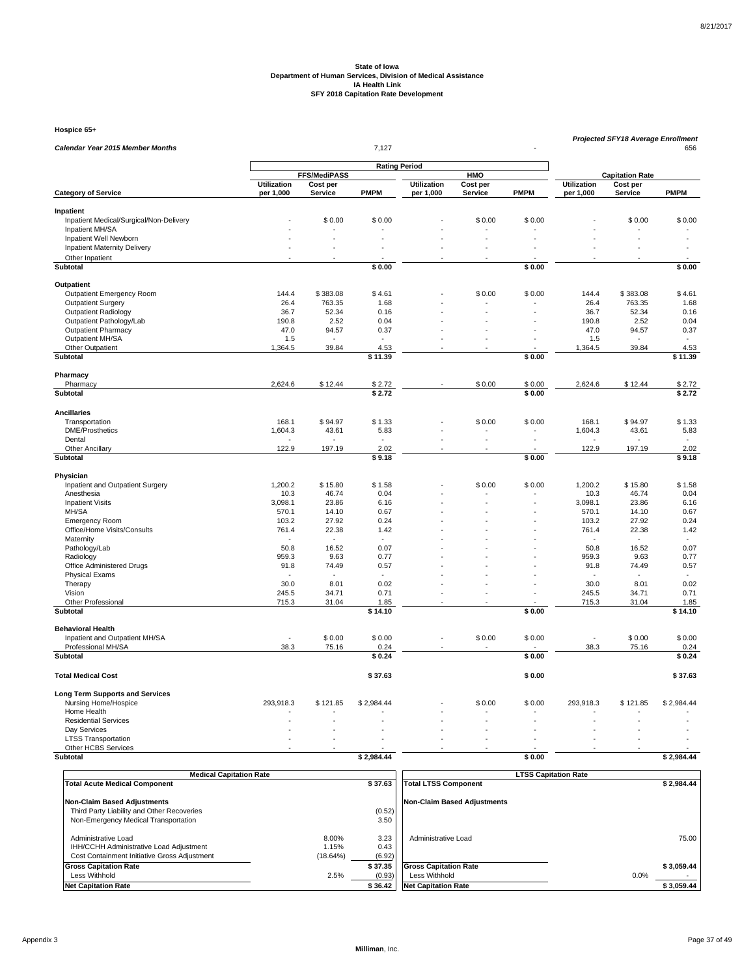**Hospice 65+**

| Calendar Year 2015 Member Months            |                    |              | 7,127                |                    |          |             | <b>Projected SFY18 Average Enrollment</b><br>656 |                        |                |  |
|---------------------------------------------|--------------------|--------------|----------------------|--------------------|----------|-------------|--------------------------------------------------|------------------------|----------------|--|
|                                             |                    |              |                      |                    |          |             |                                                  |                        |                |  |
|                                             |                    | FFS/MediPASS | <b>Rating Period</b> |                    | HMO      |             |                                                  | <b>Capitation Rate</b> |                |  |
|                                             | <b>Utilization</b> | Cost per     |                      | <b>Utilization</b> | Cost per |             | <b>Utilization</b>                               | Cost per               |                |  |
| <b>Category of Service</b>                  | per 1,000          | Service      | <b>PMPM</b>          | per 1,000          | Service  | <b>PMPM</b> | per 1,000                                        | <b>Service</b>         | <b>PMPM</b>    |  |
| Inpatient                                   |                    |              |                      |                    |          |             |                                                  |                        |                |  |
| Inpatient Medical/Surgical/Non-Delivery     |                    | \$0.00       | \$0.00               |                    | \$0.00   | \$0.00      |                                                  | \$0.00                 | \$0.00         |  |
| Inpatient MH/SA                             |                    |              |                      |                    |          |             |                                                  |                        |                |  |
| Inpatient Well Newborn                      |                    |              |                      |                    |          |             |                                                  |                        |                |  |
| <b>Inpatient Maternity Delivery</b>         |                    |              |                      |                    |          |             |                                                  |                        | $\overline{a}$ |  |
| Other Inpatient                             |                    |              |                      |                    |          |             |                                                  |                        |                |  |
| Subtotal                                    |                    |              | \$0.00               |                    |          | \$0.00      |                                                  |                        | \$0.00         |  |
| Outpatient                                  |                    |              |                      |                    |          |             |                                                  |                        |                |  |
| Outpatient Emergency Room                   | 144.4              | \$383.08     | \$4.61               |                    | \$0.00   | \$0.00      | 144.4                                            | \$383.08               | \$4.61         |  |
| <b>Outpatient Surgery</b>                   | 26.4               | 763.35       | 1.68                 |                    |          |             | 26.4                                             | 763.35                 | 1.68           |  |
| <b>Outpatient Radiology</b>                 | 36.7               | 52.34        | 0.16                 |                    |          |             | 36.7                                             | 52.34                  | 0.16           |  |
| Outpatient Pathology/Lab                    | 190.8              | 2.52         | 0.04                 |                    |          |             | 190.8                                            | 2.52                   | 0.04           |  |
| <b>Outpatient Pharmacy</b>                  | 47.0               | 94.57        | 0.37                 |                    |          |             | 47.0                                             | 94.57                  | 0.37           |  |
| Outpatient MH/SA<br>Other Outpatient        | 1.5                | 39.84        | 4.53                 |                    |          |             | 1.5<br>1,364.5                                   | 39.84                  | 4.53           |  |
| Subtotal                                    | 1,364.5            |              | $\sqrt{5}$ 11.39     |                    |          | \$0.00      |                                                  |                        | \$11.39        |  |
|                                             |                    |              |                      |                    |          |             |                                                  |                        |                |  |
| Pharmacy<br>Pharmacy                        | 2,624.6            | \$12.44      | \$2.72               |                    | \$0.00   | \$0.00      | 2,624.6                                          | \$12.44                | \$2.72         |  |
| Subtotal                                    |                    |              | \$2.72               |                    |          | \$0.00      |                                                  |                        | \$2.72         |  |
|                                             |                    |              |                      |                    |          |             |                                                  |                        |                |  |
| <b>Ancillaries</b>                          |                    |              |                      |                    | \$0.00   |             |                                                  |                        |                |  |
| Transportation<br><b>DME/Prosthetics</b>    | 168.1<br>1,604.3   | \$94.97      | \$1.33<br>5.83       |                    |          | \$0.00      | 168.1<br>1,604.3                                 | \$94.97<br>43.61       | \$1.33<br>5.83 |  |
| Dental                                      |                    | 43.61        |                      |                    | L.       |             |                                                  |                        |                |  |
| <b>Other Ancillary</b>                      | 122.9              | 197.19       | 2.02                 |                    |          |             | 122.9                                            | 197.19                 | 2.02           |  |
| <b>Subtotal</b>                             |                    |              | \$9.18               |                    |          | \$0.00      |                                                  |                        | \$9.18         |  |
| Physician                                   |                    |              |                      |                    |          |             |                                                  |                        |                |  |
| Inpatient and Outpatient Surgery            | 1,200.2            | \$15.80      | \$1.58               |                    | \$0.00   | \$0.00      | 1,200.2                                          | \$15.80                | \$1.58         |  |
| Anesthesia                                  | 10.3               | 46.74        | 0.04                 |                    |          |             | 10.3                                             | 46.74                  | 0.04           |  |
| <b>Inpatient Visits</b>                     | 3,098.1            | 23.86        | 6.16                 |                    |          |             | 3,098.1                                          | 23.86                  | 6.16           |  |
| MH/SA                                       | 570.1              | 14.10        | 0.67                 |                    |          |             | 570.1                                            | 14.10                  | 0.67           |  |
| <b>Emergency Room</b>                       | 103.2              | 27.92        | 0.24                 |                    |          |             | 103.2                                            | 27.92                  | 0.24           |  |
| Office/Home Visits/Consults                 | 761.4              | 22.38        | 1.42                 |                    |          |             | 761.4                                            | 22.38                  | 1.42           |  |
| Maternity                                   | 50.8               | 16.52        | 0.07                 |                    |          |             | 50.8                                             |                        | 0.07           |  |
| Pathology/Lab<br>Radiology                  | 959.3              | 9.63         | 0.77                 |                    |          |             | 959.3                                            | 16.52<br>9.63          | 0.77           |  |
| Office Administered Drugs                   | 91.8               | 74.49        | 0.57                 |                    |          |             | 91.8                                             | 74.49                  | 0.57           |  |
| <b>Physical Exams</b>                       | ٠                  |              |                      |                    |          |             |                                                  |                        | $\sim$         |  |
| Therapy                                     | 30.0               | 8.01         | 0.02                 |                    |          |             | 30.0                                             | 8.01                   | 0.02           |  |
| Vision                                      | 245.5              | 34.71        | 0.71                 |                    |          |             | 245.5                                            | 34.71                  | 0.71           |  |
| Other Professional                          | 715.3              | 31.04        | 1.85                 |                    |          |             | 715.3                                            | 31.04                  | 1.85           |  |
| Subtotal                                    |                    |              | \$14.10              |                    |          | \$0.00      |                                                  |                        | \$14.10        |  |
| <b>Behavioral Health</b>                    |                    |              |                      |                    |          |             |                                                  |                        |                |  |
| Inpatient and Outpatient MH/SA              |                    | \$0.00       | \$0.00               |                    | \$0.00   | \$0.00      |                                                  | \$0.00                 | \$0.00         |  |
| Professional MH/SA                          | 38.3               | 75.16        | 0.24                 |                    |          |             | 38.3                                             | 75.16                  | 0.24           |  |
| Subtotal                                    |                    |              | \$0.24               |                    |          | \$0.00      |                                                  |                        | \$0.24         |  |
| <b>Total Medical Cost</b>                   |                    |              | \$37.63              |                    |          | \$0.00      |                                                  |                        | \$37.63        |  |
| <b>Long Term Supports and Services</b>      |                    |              |                      |                    |          |             |                                                  |                        |                |  |
| Nursing Home/Hospice                        | 293,918.3          | \$121.85     | \$2,984.44           |                    | \$0.00   | \$0.00      | 293,918.3                                        | \$121.85               | \$2,984.44     |  |
| Home Health                                 |                    |              |                      |                    |          |             |                                                  |                        |                |  |
| <b>Residential Services</b><br>Day Services |                    |              |                      |                    |          |             |                                                  |                        |                |  |
| <b>LTSS Transportation</b>                  |                    |              |                      |                    |          |             |                                                  |                        |                |  |
| Other HCBS Services                         |                    |              |                      |                    |          |             |                                                  |                        |                |  |
| Subtotal                                    |                    |              | \$2,984.44           |                    |          | \$0.00      |                                                  |                        | \$2,984.44     |  |
|                                             |                    |              |                      |                    |          |             |                                                  |                        |                |  |

| <b>Medical Capitation Rate</b>                                                                                 |                            | <b>LTSS Capitation Rate</b> |                              |            |  |
|----------------------------------------------------------------------------------------------------------------|----------------------------|-----------------------------|------------------------------|------------|--|
| <b>Total Acute Medical Component</b>                                                                           |                            | \$37.63                     | <b>Total LTSS Component</b>  | \$2.984.44 |  |
| Non-Claim Based Adjustments                                                                                    |                            |                             | Non-Claim Based Adiustments  |            |  |
| Third Party Liability and Other Recoveries                                                                     |                            | (0.52)                      |                              |            |  |
| Non-Emergency Medical Transportation                                                                           |                            | 3.50                        |                              |            |  |
| Administrative Load<br>IHH/CCHH Administrative Load Adjustment<br>Cost Containment Initiative Gross Adjustment | 8.00%<br>1.15%<br>(18.64%) | 3.23<br>0.43<br>(6.92)      | Administrative Load          | 75.00      |  |
| <b>Gross Capitation Rate</b>                                                                                   |                            | \$37.35                     | <b>Gross Capitation Rate</b> | \$3.059.44 |  |
| Less Withhold                                                                                                  | 2.5%                       | (0.93)                      | Less Withhold                | 0.0%       |  |
| <b>Net Capitation Rate</b>                                                                                     |                            | \$36.42                     | <b>Net Capitation Rate</b>   | \$3,059.44 |  |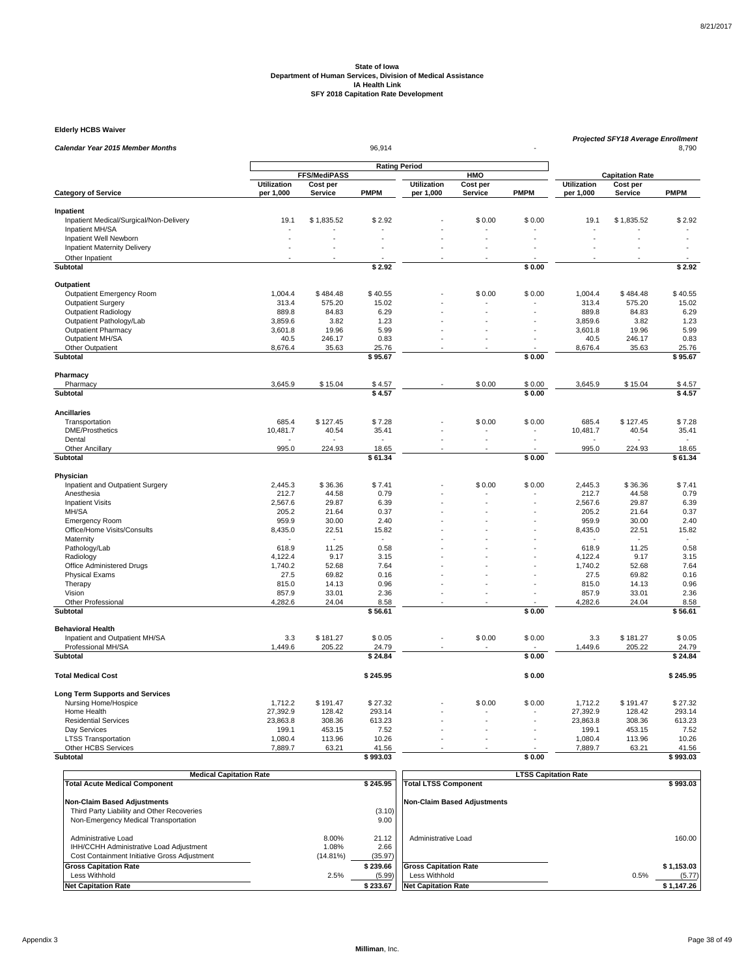**Elderly HCBS Waiver**

| Calendar Year 2015 Member Months        |                     |                      | Projected SFY18 Average Enrollment<br>8,790 |                    |                        |             |                    |            |                  |
|-----------------------------------------|---------------------|----------------------|---------------------------------------------|--------------------|------------------------|-------------|--------------------|------------|------------------|
|                                         |                     |                      |                                             |                    |                        |             |                    |            |                  |
|                                         | <b>FFS/MediPASS</b> | <b>Rating Period</b> | HMO                                         |                    | <b>Capitation Rate</b> |             |                    |            |                  |
|                                         | Utilization         | Cost per             |                                             | <b>Utilization</b> | Cost per               |             | <b>Utilization</b> | Cost per   |                  |
| <b>Category of Service</b>              | per 1,000           | <b>Service</b>       | <b>PMPM</b>                                 | per 1,000          | <b>Service</b>         | <b>PMPM</b> | per 1,000          | Service    | <b>PMPM</b>      |
| Inpatient                               |                     |                      |                                             |                    |                        |             |                    |            |                  |
| Inpatient Medical/Surgical/Non-Delivery | 19.1                | \$1,835.52           | \$2.92                                      |                    | \$0.00                 | \$0.00      | 19.1               | \$1,835.52 | \$2.92           |
| Inpatient MH/SA                         |                     |                      |                                             |                    |                        |             |                    |            |                  |
| Inpatient Well Newborn                  |                     |                      |                                             |                    |                        |             |                    |            |                  |
| <b>Inpatient Maternity Delivery</b>     |                     |                      |                                             |                    |                        |             |                    |            |                  |
| Other Inpatient                         |                     |                      |                                             |                    |                        |             |                    |            |                  |
| <b>Subtotal</b>                         |                     |                      | \$2.92                                      |                    |                        | \$0.00      |                    |            | \$2.92           |
|                                         |                     |                      |                                             |                    |                        |             |                    |            |                  |
| Outpatient                              |                     |                      |                                             |                    |                        |             |                    |            |                  |
| <b>Outpatient Emergency Room</b>        | 1,004.4             | \$484.48             | \$40.55                                     |                    | \$0.00                 | \$0.00      | 1,004.4            | \$484.48   | \$40.55          |
| <b>Outpatient Surgery</b>               | 313.4               | 575.20               | 15.02                                       |                    |                        |             | 313.4              | 575.20     | 15.02            |
| Outpatient Radiology                    | 889.8               | 84.83                | 6.29                                        |                    |                        |             | 889.8              | 84.83      | 6.29             |
| Outpatient Pathology/Lab                | 3,859.6             | 3.82                 | 1.23                                        |                    |                        |             | 3,859.6            | 3.82       | 1.23             |
| <b>Outpatient Pharmacy</b>              | 3,601.8             | 19.96                | 5.99                                        |                    |                        |             | 3,601.8            | 19.96      | 5.99             |
| Outpatient MH/SA                        | 40.5                | 246.17               | 0.83                                        |                    |                        |             | 40.5               | 246.17     | 0.83             |
| Other Outpatient                        | 8,676.4             | 35.63                | 25.76                                       |                    |                        |             | 8,676.4            | 35.63      | 25.76            |
| <b>Subtotal</b>                         |                     |                      | \$95.67                                     |                    |                        | \$0.00      |                    |            | \$95.67          |
| Pharmacy                                |                     |                      |                                             |                    |                        |             |                    |            |                  |
| Pharmacy                                | 3,645.9             | \$15.04              | \$4.57                                      |                    | \$0.00                 | \$0.00      | 3,645.9            | \$15.04    | \$4.57           |
| Subtotal                                |                     |                      | \$4.57                                      |                    |                        | \$0.00      |                    |            | \$4.57           |
|                                         |                     |                      |                                             |                    |                        |             |                    |            |                  |
| <b>Ancillaries</b>                      |                     |                      |                                             |                    |                        |             |                    |            |                  |
| Transportation                          | 685.4               | \$127.45             | \$7.28                                      |                    | \$0.00                 | \$0.00      | 685.4              | \$127.45   | \$7.28           |
| <b>DME/Prosthetics</b>                  | 10,481.7            | 40.54                | 35.41                                       |                    |                        |             | 10,481.7           | 40.54      | 35.41            |
| Dental                                  |                     |                      |                                             |                    |                        |             |                    |            |                  |
| <b>Other Ancillary</b>                  | 995.0               | 224.93               | 18.65                                       |                    |                        |             | 995.0              | 224.93     | 18.65            |
| Subtotal                                |                     |                      | \$61.34                                     |                    |                        | \$0.00      |                    |            | \$61.34          |
| Physician                               |                     |                      |                                             |                    |                        |             |                    |            |                  |
| Inpatient and Outpatient Surgery        | 2,445.3             | \$36.36              | \$7.41                                      |                    | \$0.00                 | \$0.00      | 2,445.3            | \$36.36    | \$7.41           |
| Anesthesia                              | 212.7               | 44.58                | 0.79                                        |                    |                        |             | 212.7              | 44.58      | 0.79             |
| <b>Inpatient Visits</b>                 | 2,567.6             | 29.87                | 6.39                                        |                    |                        |             | 2,567.6            | 29.87      | 6.39             |
| MH/SA                                   | 205.2               | 21.64                | 0.37                                        |                    | ÷.                     |             | 205.2              | 21.64      | 0.37             |
| <b>Emergency Room</b>                   | 959.9               | 30.00                | 2.40                                        |                    |                        |             | 959.9              | 30.00      | 2.40             |
| Office/Home Visits/Consults             | 8,435.0             | 22.51                | 15.82                                       |                    |                        |             | 8,435.0            | 22.51      | 15.82            |
| Maternity                               |                     |                      | $\overline{a}$                              |                    |                        |             |                    |            | $\sim$           |
| Pathology/Lab                           | 618.9               | 11.25                | 0.58                                        |                    |                        |             | 618.9              | 11.25      | 0.58             |
| Radiology                               | 4.122.4             | 9.17                 | 3.15                                        |                    |                        |             | 4.122.4            | 9.17       | 3.15             |
| Office Administered Drugs               | 1,740.2             | 52.68                | 7.64                                        |                    |                        |             | 1,740.2            | 52.68      | 7.64             |
| <b>Physical Exams</b>                   | 27.5                | 69.82                | 0.16                                        |                    |                        |             | 27.5               | 69.82      | 0.16             |
| Therapy                                 | 815.0               | 14.13                | 0.96                                        |                    |                        |             | 815.0              | 14.13      | 0.96             |
| Vision                                  | 857.9               | 33.01                | 2.36                                        |                    |                        |             | 857.9              | 33.01      | 2.36             |
| Other Professional                      | 4,282.6             | 24.04                | 8.58                                        |                    |                        |             | 4,282.6            | 24.04      | 8.58             |
| Subtotal                                |                     |                      | \$56.61                                     |                    |                        | \$0.00      |                    |            | \$56.61          |
|                                         |                     |                      |                                             |                    |                        |             |                    |            |                  |
| <b>Behavioral Health</b>                |                     |                      |                                             |                    |                        |             |                    |            |                  |
| Inpatient and Outpatient MH/SA          | 3.3                 | \$181.27             | \$0.05                                      |                    | \$0.00                 | \$0.00      | 3.3                | \$181.27   | \$0.05           |
| Professional MH/SA<br>Subtotal          | 1,449.6             | 205.22               | 24.79<br>\$24.84                            |                    |                        | \$0.00      | 1,449.6            | 205.22     | 24.79<br>\$24.84 |
|                                         |                     |                      |                                             |                    |                        |             |                    |            |                  |
| <b>Total Medical Cost</b>               |                     |                      | \$245.95                                    |                    |                        | \$0.00      |                    |            | \$245.95         |
| <b>Long Term Supports and Services</b>  |                     |                      |                                             |                    |                        |             |                    |            |                  |
| Nursing Home/Hospice                    | 1,712.2             | \$191.47             | \$27.32                                     |                    | \$0.00                 | \$0.00      | 1,712.2            | \$191.47   | \$27.32          |
| Home Health                             | 27,392.9            | 128.42               | 293.14                                      |                    |                        |             | 27,392.9           | 128.42     | 293.14           |
| <b>Residential Services</b>             | 23,863.8            | 308.36               | 613.23                                      |                    |                        |             | 23,863.8           | 308.36     | 613.23           |
| Day Services                            | 199.1               | 453.15               | 7.52                                        |                    |                        |             | 199.1              | 453.15     | 7.52             |
| <b>LTSS Transportation</b>              | 1,080.4             | 113.96               | 10.26                                       |                    |                        |             | 1,080.4            | 113.96     | 10.26            |
| Other HCBS Services                     | 7,889.7             | 63.21                | 41.56                                       |                    |                        |             | 7,889.7            | 63.21      | 41.56            |
| Subtotal                                |                     |                      | \$993.03                                    |                    |                        | \$0.00      |                    |            | \$993.03         |

|               | <b>Medical Capitation Rate</b>                                                                                 |                               |                          | <b>LTSS Capitation Rate</b>  |      |            |  |  |
|---------------|----------------------------------------------------------------------------------------------------------------|-------------------------------|--------------------------|------------------------------|------|------------|--|--|
|               | <b>Total Acute Medical Component</b>                                                                           |                               | \$245.95                 | <b>Total LTSS Component</b>  |      | \$993.03   |  |  |
|               | <b>Non-Claim Based Adjustments</b>                                                                             |                               |                          | Non-Claim Based Adiustments  |      |            |  |  |
|               | Third Party Liability and Other Recoveries                                                                     |                               | (3.10)                   |                              |      |            |  |  |
|               | Non-Emergency Medical Transportation                                                                           |                               | 9.00                     |                              |      |            |  |  |
|               | Administrative Load<br>IHH/CCHH Administrative Load Adjustment<br>Cost Containment Initiative Gross Adjustment | 8.00%<br>1.08%<br>$(14.81\%)$ | 21.12<br>2.66<br>(35.97) | Administrative Load          |      | 160.00     |  |  |
|               | <b>Gross Capitation Rate</b>                                                                                   |                               | \$239.66                 | <b>Gross Capitation Rate</b> |      | \$1,153.03 |  |  |
| Less Withhold |                                                                                                                | 2.5%                          | (5.99)                   | Less Withhold                | 0.5% | (5.77)     |  |  |
|               | <b>Net Capitation Rate</b>                                                                                     |                               | \$233.67                 | <b>Net Capitation Rate</b>   |      | \$1,147.26 |  |  |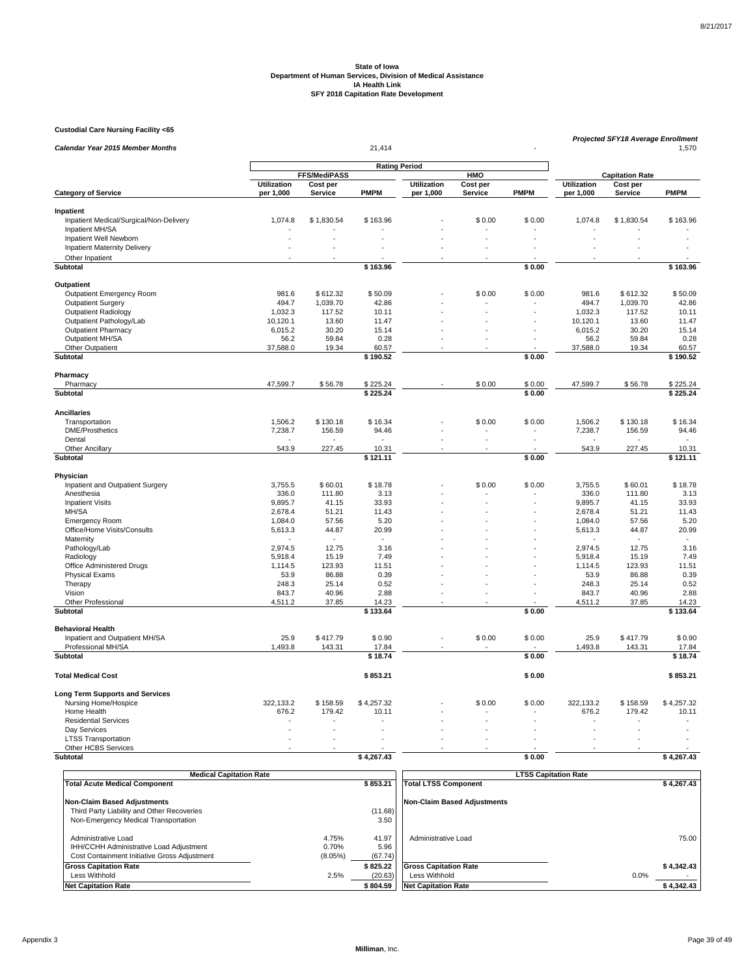**Custodial Care Nursing Facility <65**

| <b>Calendar Year 2015 Member Months</b> |                    |                 | 21,414               |                    |          |             | Projected SFY18 Average Enrollment<br>1,570 |                        |               |  |
|-----------------------------------------|--------------------|-----------------|----------------------|--------------------|----------|-------------|---------------------------------------------|------------------------|---------------|--|
|                                         |                    |                 |                      |                    |          |             |                                             |                        |               |  |
|                                         |                    | FFS/MediPASS    | <b>Rating Period</b> |                    | HMO      |             |                                             | <b>Capitation Rate</b> |               |  |
|                                         | <b>Utilization</b> | Cost per        |                      | <b>Utilization</b> | Cost per |             | <b>Utilization</b>                          | Cost per               |               |  |
| <b>Category of Service</b>              | per 1,000          | Service         | <b>PMPM</b>          | per 1,000          | Service  | <b>PMPM</b> | per 1,000                                   | <b>Service</b>         | <b>PMPM</b>   |  |
| Inpatient                               |                    |                 |                      |                    |          |             |                                             |                        |               |  |
| Inpatient Medical/Surgical/Non-Delivery | 1,074.8            | \$1,830.54      | \$163.96             |                    | \$0.00   | \$0.00      | 1,074.8                                     | \$1,830.54             | \$163.96      |  |
| Inpatient MH/SA                         |                    |                 |                      |                    |          |             |                                             |                        |               |  |
| Inpatient Well Newborn                  |                    |                 |                      |                    |          |             |                                             |                        |               |  |
| Inpatient Maternity Delivery            | ÷.                 |                 |                      |                    |          |             |                                             |                        |               |  |
| Other Inpatient                         |                    |                 |                      |                    |          |             |                                             |                        |               |  |
| <b>Subtotal</b>                         |                    |                 | \$163.96             |                    |          | \$0.00      |                                             |                        | \$163.96      |  |
| Outpatient                              |                    |                 |                      |                    |          |             |                                             |                        |               |  |
| Outpatient Emergency Room               | 981.6              | \$612.32        | \$50.09              |                    | \$0.00   | \$0.00      | 981.6                                       | \$612.32               | \$50.09       |  |
| <b>Outpatient Surgery</b>               | 494.7              | 1,039.70        | 42.86                |                    |          |             | 494.7                                       | 1,039.70               | 42.86         |  |
| <b>Outpatient Radiology</b>             | 1.032.3            | 117.52          | 10.11                |                    |          |             | 1.032.3                                     | 117.52                 | 10.11         |  |
| Outpatient Pathology/Lab                | 10,120.1           | 13.60           | 11.47                |                    |          |             | 10,120.1                                    | 13.60                  | 11.47         |  |
| <b>Outpatient Pharmacy</b>              | 6,015.2            | 30.20           | 15.14                |                    |          |             | 6,015.2                                     | 30.20                  | 15.14         |  |
| Outpatient MH/SA                        | 56.2               | 59.84           | 0.28                 |                    | L.       |             | 56.2                                        | 59.84                  | 0.28          |  |
| Other Outpatient                        | 37,588.0           | 19.34           | 60.57                |                    |          |             | 37,588.0                                    | 19.34                  | 60.57         |  |
| Subtotal                                |                    |                 | \$190.52             |                    |          | \$0.00      |                                             |                        | \$190.52      |  |
| Pharmacy                                |                    |                 |                      |                    |          |             |                                             |                        |               |  |
| Pharmacy                                | 47,599.7           | \$56.78         | \$225.24             |                    | \$0.00   | \$0.00      | 47,599.7                                    | \$56.78                | \$225.24      |  |
| Subtotal                                |                    |                 | \$225.24             |                    |          | \$0.00      |                                             |                        | \$225.24      |  |
|                                         |                    |                 |                      |                    |          |             |                                             |                        |               |  |
| <b>Ancillaries</b>                      |                    |                 |                      |                    |          |             |                                             |                        |               |  |
| Transportation                          | 1,506.2            | \$130.18        | \$16.34              |                    | \$0.00   | \$0.00      | 1,506.2                                     | \$130.18               | \$16.34       |  |
| <b>DME/Prosthetics</b>                  | 7,238.7            | 156.59          | 94.46                |                    |          |             | 7,238.7                                     | 156.59                 | 94.46         |  |
| Dental                                  |                    |                 |                      |                    | l,       |             |                                             |                        |               |  |
| <b>Other Ancillary</b>                  | 543.9              | 227.45          | 10.31                |                    |          |             | 543.9                                       | 227.45                 | 10.31         |  |
| Subtotal                                |                    |                 | \$121.11             |                    |          | \$0.00      |                                             |                        | \$121.11      |  |
| Physician                               |                    |                 |                      |                    |          |             |                                             |                        |               |  |
| Inpatient and Outpatient Surgery        | 3,755.5            | \$60.01         | \$18.78              |                    | \$0.00   | \$0.00      | 3,755.5                                     | \$60.01                | \$18.78       |  |
| Anesthesia                              | 336.0              | 111.80          | 3.13                 |                    |          |             | 336.0                                       | 111.80                 | 3.13          |  |
| <b>Inpatient Visits</b>                 | 9.895.7            | 41.15           | 33.93                |                    |          |             | 9,895.7                                     | 41.15                  | 33.93         |  |
| MH/SA                                   | 2,678.4            | 51.21           | 11.43                |                    |          |             | 2,678.4                                     | 51.21                  | 11.43         |  |
| <b>Emergency Room</b>                   | 1,084.0            | 57.56           | 5.20                 |                    |          |             | 1,084.0                                     | 57.56                  | 5.20          |  |
| Office/Home Visits/Consults             | 5,613.3            | 44.87           | 20.99                |                    |          |             | 5,613.3                                     | 44.87                  | 20.99         |  |
| Maternity                               |                    |                 |                      |                    |          |             |                                             |                        |               |  |
| Pathology/Lab                           | 2,974.5            | 12.75           | 3.16                 |                    |          |             | 2,974.5                                     | 12.75                  | 3.16          |  |
| Radiology<br>Office Administered Drugs  | 5,918.4<br>1,114.5 | 15.19<br>123.93 | 7.49<br>11.51        |                    |          |             | 5,918.4<br>1,114.5                          | 15.19<br>123.93        | 7.49<br>11.51 |  |
| <b>Physical Exams</b>                   | 53.9               | 86.88           | 0.39                 |                    |          |             | 53.9                                        | 86.88                  | 0.39          |  |
| Therapy                                 | 248.3              | 25.14           | 0.52                 |                    |          |             | 248.3                                       | 25.14                  | 0.52          |  |
| Vision                                  | 843.7              | 40.96           | 2.88                 |                    |          |             | 843.7                                       | 40.96                  | 2.88          |  |
| Other Professional                      | 4,511.2            | 37.85           | 14.23                |                    |          |             | 4,511.2                                     | 37.85                  | 14.23         |  |
| Subtotal                                |                    |                 | \$133.64             |                    |          | \$0.00      |                                             |                        | \$133.64      |  |
| <b>Behavioral Health</b>                |                    |                 |                      |                    |          |             |                                             |                        |               |  |
| Inpatient and Outpatient MH/SA          | 25.9               | \$417.79        | \$0.90               |                    | \$0.00   | \$0.00      | 25.9                                        | \$417.79               | \$0.90        |  |
| Professional MH/SA                      | 1,493.8            | 143.31          | 17.84                |                    |          |             | 1,493.8                                     | 143.31                 | 17.84         |  |
| Subtotal                                |                    |                 | \$18.74              |                    |          | \$0.00      |                                             |                        | \$18.74       |  |
|                                         |                    |                 |                      |                    |          |             |                                             |                        |               |  |
| <b>Total Medical Cost</b>               |                    |                 | \$853.21             |                    |          | \$0.00      |                                             |                        | \$853.21      |  |
| <b>Long Term Supports and Services</b>  |                    |                 |                      |                    |          |             |                                             |                        |               |  |
| Nursing Home/Hospice                    | 322,133.2          | \$158.59        | \$4,257.32           |                    | \$0.00   | \$0.00      | 322,133.2                                   | \$158.59               | \$4,257.32    |  |
| Home Health                             | 676.2              | 179.42          | 10.11                |                    |          |             | 676.2                                       | 179.42                 | 10.11         |  |
| <b>Residential Services</b>             |                    |                 |                      |                    |          |             |                                             |                        |               |  |
| Day Services                            |                    |                 |                      |                    |          |             |                                             |                        |               |  |
| <b>LTSS Transportation</b>              | L.                 |                 |                      |                    |          |             |                                             |                        |               |  |
| Other HCBS Services                     |                    |                 |                      |                    |          |             |                                             |                        |               |  |
| Subtotal                                |                    |                 | \$4,267.43           |                    |          | \$0.00      |                                             |                        | \$4,267.43    |  |

| <b>Medical Capitation Rate</b>                                                                                 |                           |                          | <b>LTSS Capitation Rate</b>  |            |  |  |
|----------------------------------------------------------------------------------------------------------------|---------------------------|--------------------------|------------------------------|------------|--|--|
| <b>Total Acute Medical Component</b>                                                                           |                           | \$853.21                 | <b>Total LTSS Component</b>  | \$4.267.43 |  |  |
| <b>Non-Claim Based Adjustments</b>                                                                             |                           |                          | Non-Claim Based Adiustments  |            |  |  |
| Third Party Liability and Other Recoveries                                                                     |                           | (11.68)                  |                              |            |  |  |
| Non-Emergency Medical Transportation                                                                           |                           | 3.50                     |                              |            |  |  |
| Administrative Load<br>IHH/CCHH Administrative Load Adjustment<br>Cost Containment Initiative Gross Adjustment | 4.75%<br>0.70%<br>(8.05%) | 41.97<br>5.96<br>(67.74) | Administrative Load          | 75.00      |  |  |
| <b>Gross Capitation Rate</b>                                                                                   |                           | \$825.22                 | <b>Gross Capitation Rate</b> | \$4.342.43 |  |  |
| Less Withhold                                                                                                  | 2.5%                      | (20.63)                  | Less Withhold                | 0.0%       |  |  |
| <b>Net Capitation Rate</b>                                                                                     |                           | \$804.59                 | <b>Net Capitation Rate</b>   | \$4,342.43 |  |  |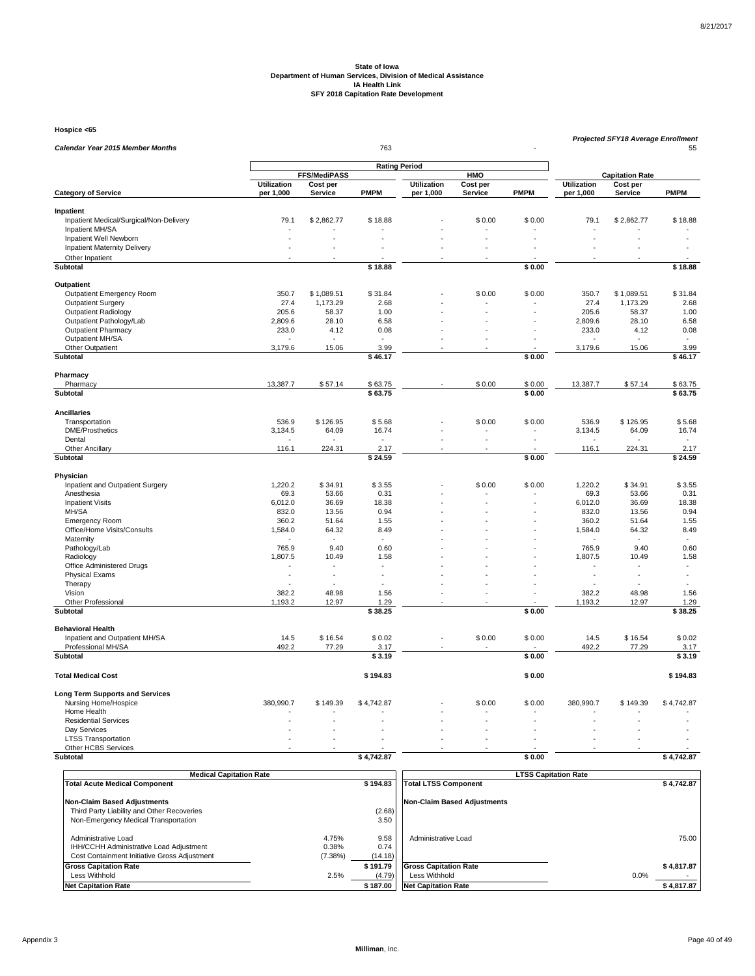**Hospice <65**

| Calendar Year 2015 Member Months                  |                                                    |                |                |                    | 763            |                          |                    |                                    |                          |  |  |  |
|---------------------------------------------------|----------------------------------------------------|----------------|----------------|--------------------|----------------|--------------------------|--------------------|------------------------------------|--------------------------|--|--|--|
|                                                   |                                                    |                |                |                    | 55             |                          |                    |                                    |                          |  |  |  |
|                                                   | <b>Rating Period</b><br><b>FFS/MediPASS</b><br>HMO |                |                |                    |                |                          |                    |                                    |                          |  |  |  |
|                                                   | <b>Utilization</b>                                 | Cost per       |                | <b>Utilization</b> | Cost per       |                          | <b>Utilization</b> | <b>Capitation Rate</b><br>Cost per |                          |  |  |  |
| <b>Category of Service</b>                        | per 1,000                                          | <b>Service</b> | <b>PMPM</b>    | per 1,000          | Service        | <b>PMPM</b>              | per 1,000          | <b>Service</b>                     | <b>PMPM</b>              |  |  |  |
| Inpatient                                         |                                                    |                |                |                    |                |                          |                    |                                    |                          |  |  |  |
| Inpatient Medical/Surgical/Non-Delivery           | 79.1                                               | \$2,862.77     | \$18.88        |                    | \$0.00         | \$0.00                   | 79.1               | \$2,862.77                         | \$18.88                  |  |  |  |
| Inpatient MH/SA                                   |                                                    |                |                |                    |                |                          |                    |                                    |                          |  |  |  |
| Inpatient Well Newborn                            |                                                    |                |                |                    |                |                          |                    |                                    |                          |  |  |  |
| <b>Inpatient Maternity Delivery</b>               |                                                    |                |                |                    |                |                          |                    |                                    |                          |  |  |  |
| Other Inpatient                                   |                                                    |                |                |                    |                |                          |                    |                                    |                          |  |  |  |
| Subtotal                                          |                                                    |                | \$18.88        |                    |                | \$0.00                   |                    |                                    | \$18.88                  |  |  |  |
| Outpatient                                        |                                                    |                |                |                    |                |                          |                    |                                    |                          |  |  |  |
| Outpatient Emergency Room                         | 350.7                                              | \$1,089.51     | \$31.84        |                    | \$0.00         | \$0.00                   | 350.7              | \$1,089.51                         | \$31.84                  |  |  |  |
| <b>Outpatient Surgery</b>                         | 27.4                                               | 1,173.29       | 2.68           |                    |                |                          | 27.4               | 1,173.29                           | 2.68                     |  |  |  |
| <b>Outpatient Radiology</b>                       | 205.6                                              | 58.37          | 1.00           |                    |                |                          | 205.6              | 58.37                              | 1.00                     |  |  |  |
| Outpatient Pathology/Lab                          | 2,809.6                                            | 28.10          | 6.58           |                    |                |                          | 2,809.6            | 28.10                              | 6.58                     |  |  |  |
| <b>Outpatient Pharmacy</b>                        | 233.0                                              | 4.12           | 0.08           |                    |                |                          | 233.0              | 4.12                               | 0.08                     |  |  |  |
| Outpatient MH/SA                                  |                                                    |                | 3.99           |                    |                |                          |                    |                                    |                          |  |  |  |
| Other Outpatient<br><b>Subtotal</b>               | 3,179.6                                            | 15.06          | \$46.17        |                    |                | \$0.00                   | 3,179.6            | 15.06                              | 3.99<br>\$46.17          |  |  |  |
| Pharmacy                                          |                                                    |                |                |                    |                |                          |                    |                                    |                          |  |  |  |
| Pharmacy                                          | 13,387.7                                           | \$57.14        | \$63.75        |                    | \$0.00         | \$0.00                   | 13,387.7           | \$57.14                            | \$63.75                  |  |  |  |
| Subtotal                                          |                                                    |                | \$63.75        |                    |                | \$0.00                   |                    |                                    | \$63.75                  |  |  |  |
|                                                   |                                                    |                |                |                    |                |                          |                    |                                    |                          |  |  |  |
| <b>Ancillaries</b><br>Transportation              | 536.9                                              | \$126.95       | \$5.68         |                    | \$0.00         | \$0.00                   | 536.9              | \$126.95                           | \$5.68                   |  |  |  |
| <b>DME/Prosthetics</b>                            | 3,134.5                                            | 64.09          | 16.74          |                    |                |                          | 3,134.5            | 64.09                              | 16.74                    |  |  |  |
| Dental                                            |                                                    |                |                |                    | $\overline{a}$ | $\overline{\phantom{a}}$ |                    |                                    |                          |  |  |  |
| <b>Other Ancillary</b>                            | 116.1                                              | 224.31         | 2.17           |                    |                |                          | 116.1              | 224.31                             | 2.17                     |  |  |  |
| Subtotal                                          |                                                    |                | \$24.59        |                    |                | \$0.00                   |                    |                                    | \$24.59                  |  |  |  |
| Physician                                         |                                                    |                |                |                    |                |                          |                    |                                    |                          |  |  |  |
| Inpatient and Outpatient Surgery                  | 1,220.2                                            | \$34.91        | \$3.55         |                    | \$0.00         | \$0.00                   | 1,220.2            | \$34.91                            | \$3.55                   |  |  |  |
| Anesthesia                                        | 69.3                                               | 53.66          | 0.31           |                    |                |                          | 69.3               | 53.66                              | 0.31                     |  |  |  |
| <b>Inpatient Visits</b>                           | 6,012.0                                            | 36.69          | 18.38          |                    |                |                          | 6,012.0            | 36.69                              | 18.38                    |  |  |  |
| MH/SA                                             | 832.0                                              | 13.56          | 0.94           |                    |                |                          | 832.0              | 13.56                              | 0.94                     |  |  |  |
| <b>Emergency Room</b>                             | 360.2                                              | 51.64          | 1.55           |                    |                |                          | 360.2              | 51.64                              | 1.55                     |  |  |  |
| Office/Home Visits/Consults                       | 1,584.0                                            | 64.32          | 8.49           |                    |                |                          | 1,584.0            | 64.32                              | 8.49                     |  |  |  |
| Maternity                                         |                                                    |                |                |                    |                |                          |                    |                                    | ÷.                       |  |  |  |
| Pathology/Lab<br>Radiology                        | 765.9<br>1,807.5                                   | 9.40<br>10.49  | 0.60<br>1.58   |                    |                |                          | 765.9<br>1,807.5   | 9.40<br>10.49                      | 0.60<br>1.58             |  |  |  |
| Office Administered Drugs                         |                                                    |                |                |                    |                |                          |                    |                                    | $\overline{\phantom{a}}$ |  |  |  |
| <b>Physical Exams</b>                             | $\overline{a}$                                     | ÷              | ÷.             |                    |                |                          | ÷.                 | ÷.                                 | ÷                        |  |  |  |
| Therapy                                           |                                                    |                |                |                    |                |                          |                    |                                    |                          |  |  |  |
| Vision                                            | 382.2                                              | 48.98          | 1.56           |                    |                |                          | 382.2              | 48.98                              | 1.56                     |  |  |  |
| Other Professional                                | 1,193.2                                            | 12.97          | 1.29           |                    |                |                          | 1,193.2            | 12.97                              | 1.29                     |  |  |  |
| Subtotal                                          |                                                    |                | \$38.25        |                    |                | \$0.00                   |                    |                                    | \$38.25                  |  |  |  |
| <b>Behavioral Health</b>                          |                                                    |                |                |                    |                |                          |                    |                                    |                          |  |  |  |
| Inpatient and Outpatient MH/SA                    | 14.5                                               | \$16.54        | \$0.02         |                    | \$0.00         | \$0.00                   | 14.5               | \$16.54                            | \$0.02                   |  |  |  |
| Professional MH/SA<br>Subtotal                    | 492.2                                              | 77.29          | 3.17<br>\$3.19 |                    |                | \$0.00                   | 492.2              | 77.29                              | 3.17<br>\$3.19           |  |  |  |
|                                                   |                                                    |                |                |                    |                |                          |                    |                                    |                          |  |  |  |
| <b>Total Medical Cost</b>                         |                                                    |                | \$194.83       |                    |                | \$0.00                   |                    |                                    | \$194.83                 |  |  |  |
| <b>Long Term Supports and Services</b>            |                                                    |                |                |                    |                |                          |                    |                                    |                          |  |  |  |
| Nursing Home/Hospice                              | 380,990.7                                          | \$149.39       | \$4,742.87     |                    | \$0.00         | \$0.00                   | 380,990.7          | \$149.39                           | \$4,742.87               |  |  |  |
| Home Health                                       |                                                    |                |                |                    |                |                          |                    |                                    |                          |  |  |  |
| <b>Residential Services</b>                       |                                                    |                |                |                    |                |                          |                    |                                    |                          |  |  |  |
| Day Services                                      |                                                    |                |                |                    |                |                          |                    |                                    |                          |  |  |  |
| <b>LTSS Transportation</b><br>Other HCBS Services |                                                    |                |                |                    |                |                          |                    |                                    |                          |  |  |  |
| Subtotal                                          |                                                    |                | \$4,742.87     |                    |                | \$0.00                   |                    |                                    | \$4,742.87               |  |  |  |
|                                                   |                                                    |                |                |                    |                |                          |                    |                                    |                          |  |  |  |

| <b>Medical Capitation Rate</b>                                                                                 |                           | <b>LTSS Capitation Rate</b> |                                    |            |  |  |
|----------------------------------------------------------------------------------------------------------------|---------------------------|-----------------------------|------------------------------------|------------|--|--|
| <b>Total Acute Medical Component</b>                                                                           |                           | \$194.83                    | <b>Total LTSS Component</b>        | \$4.742.87 |  |  |
| <b>Non-Claim Based Adjustments</b>                                                                             |                           |                             | <b>Non-Claim Based Adjustments</b> |            |  |  |
| Third Party Liability and Other Recoveries                                                                     |                           | (2.68)                      |                                    |            |  |  |
| Non-Emergency Medical Transportation                                                                           |                           | 3.50                        |                                    |            |  |  |
| Administrative Load<br>IHH/CCHH Administrative Load Adjustment<br>Cost Containment Initiative Gross Adjustment | 4.75%<br>0.38%<br>(7.38%) | 9.58<br>0.74<br>(14.18)     | Administrative Load                | 75.00      |  |  |
| <b>Gross Capitation Rate</b>                                                                                   |                           | \$191.79                    | <b>Gross Capitation Rate</b>       | \$4.817.87 |  |  |
| Less Withhold                                                                                                  | 2.5%                      | (4.79)                      | Less Withhold                      | 0.0%       |  |  |
| <b>Net Capitation Rate</b>                                                                                     |                           | \$187.00                    | <b>Net Capitation Rate</b>         | \$4,817.87 |  |  |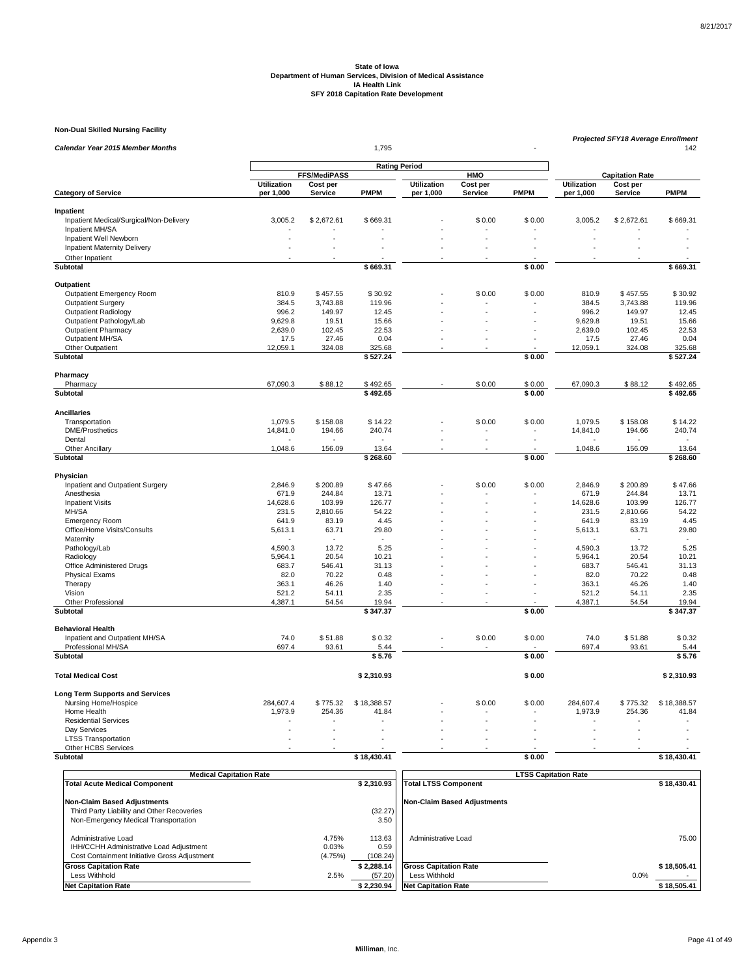**Non-Dual Skilled Nursing Facility**

| <b>Rating Period</b><br><b>FFS/MediPASS</b><br><b>HMO</b><br><b>Capitation Rate</b><br><b>Utilization</b><br>Cost per<br><b>Utilization</b><br>Cost per<br><b>Utilization</b><br>Cost per<br><b>PMPM</b><br><b>PMPM</b><br><b>Category of Service</b><br>per 1,000<br><b>Service</b><br>per 1,000<br>Service<br><b>PMPM</b><br><b>Service</b><br>per 1,000<br>Inpatient<br>Inpatient Medical/Surgical/Non-Delivery<br>3,005.2<br>\$2,672.61<br>\$669.31<br>\$0.00<br>\$0.00<br>3,005.2<br>\$2,672.61<br>\$669.31<br>Inpatient MH/SA<br>Inpatient Well Newborn<br><b>Inpatient Maternity Delivery</b><br>Other Inpatient<br><b>Subtotal</b><br>\$669.31<br>\$0.00<br>\$669.31<br>Outpatient<br><b>Outpatient Emergency Room</b><br>810.9<br>\$457.55<br>\$30.92<br>\$0.00<br>\$0.00<br>810.9<br>\$457.55<br>\$30.92<br><b>Outpatient Surgery</b><br>384.5<br>3,743.88<br>119.96<br>384.5<br>3,743.88<br>119.96<br>Outpatient Radiology<br>996.2<br>149.97<br>996.2<br>149.97<br>12.45<br>12.45<br>19.51<br>9,629.8<br>15.66<br>Outpatient Pathology/Lab<br>9,629.8<br>15.66<br>19.51<br>÷.<br>22.53<br><b>Outpatient Pharmacy</b><br>2,639.0<br>102.45<br>22.53<br>2,639.0<br>102.45<br>Outpatient MH/SA<br>17.5<br>27.46<br>0.04<br>17.5<br>27.46<br>0.04<br>Other Outpatient<br>12,059.1<br>324.08<br>325.68<br>12,059.1<br>324.08<br>325.68<br><b>Subtotal</b><br>\$527.24<br>\$0.00<br>\$527.24<br>Pharmacy<br>Pharmacy<br>67,090.3<br>\$88.12<br>\$492.65<br>\$0.00<br>\$0.00<br>67,090.3<br>\$88.12<br>\$492.65<br><b>Subtotal</b><br>\$492.65<br>\$0.00<br>\$492.65<br><b>Ancillaries</b><br>\$0.00<br>Transportation<br>1,079.5<br>\$158.08<br>\$14.22<br>\$0.00<br>1,079.5<br>\$158.08<br>\$14.22<br><b>DME/Prosthetics</b><br>14,841.0<br>194.66<br>240.74<br>14,841.0<br>194.66<br>240.74<br>Dental<br>156.09<br>13.64<br>1,048.6<br>156.09<br>13.64<br><b>Other Ancillary</b><br>1,048.6<br>\$0.00<br>Subtotal<br>\$268.60<br>\$268.60<br>Physician<br>Inpatient and Outpatient Surgery<br>2,846.9<br>\$200.89<br>\$47.66<br>\$0.00<br>\$0.00<br>\$200.89<br>\$47.66<br>2,846.9<br>671.9<br>244.84<br>244.84<br>13.71<br>Anesthesia<br>13.71<br>671.9<br><b>Inpatient Visits</b><br>14,628.6<br>103.99<br>126.77<br>14,628.6<br>103.99<br>126.77<br>MH/SA<br>231.5<br>2.810.66<br>54.22<br>2.810.66<br>54.22<br>231.5<br>4.45<br><b>Emergency Room</b><br>641.9<br>83.19<br>4.45<br>641.9<br>83.19<br>Office/Home Visits/Consults<br>5,613.1<br>29.80<br>63.71<br>29.80<br>5,613.1<br>63.71<br>Maternity<br>$\sim$<br>Pathology/Lab<br>4,590.3<br>13.72<br>5.25<br>4,590.3<br>13.72<br>5.25<br>Radiology<br>5.964.1<br>20.54<br>10.21<br>5.964.1<br>20.54<br>10.21<br>Office Administered Drugs<br>683.7<br>546.41<br>31.13<br>683.7<br>546.41<br>31.13<br><b>Physical Exams</b><br>82.0<br>70.22<br>0.48<br>82.0<br>70.22<br>0.48<br>Therapy<br>363.1<br>46.26<br>1.40<br>363.1<br>46.26<br>1.40<br>Vision<br>521.2<br>54.11<br>2.35<br>521.2<br>54.11<br>2.35<br>Other Professional<br>4,387.1<br>54.54<br>19.94<br>4,387.1<br>54.54<br>19.94<br>\$0.00<br>\$347.37<br>Subtotal<br>\$347.37<br><b>Behavioral Health</b><br>Inpatient and Outpatient MH/SA<br>74.0<br>\$51.88<br>\$0.32<br>\$0.00<br>\$0.00<br>74.0<br>\$0.32<br>\$51.88<br>Professional MH/SA<br>697.4<br>697.4<br>93.61<br>93.61<br>5.44<br>5.44<br>Subtotal<br>\$5.76<br>\$0.00<br>\$5.76<br><b>Total Medical Cost</b><br>\$0.00<br>\$2,310.93<br>\$2,310.93<br><b>Long Term Supports and Services</b><br>284,607.4<br>\$775.32<br>\$18,388.57<br>\$0.00<br>\$0.00<br>284,607.4<br>\$775.32<br>\$18,388.57<br>Nursing Home/Hospice<br>Home Health<br>1,973.9<br>254.36<br>1,973.9<br>254.36<br>41.84<br>41.84<br><b>Residential Services</b><br>Day Services<br>÷.<br>$\overline{a}$<br>L.<br>L.<br>$\overline{a}$<br><b>LTSS Transportation</b><br>÷.<br>Other HCBS Services<br>Subtotal<br>\$18,430.41<br>\$0.00<br>\$18,430.41 |                                  | 1,795 |  |  |  | Projected SFY18 Average Enrollment<br>142 |  |
|------------------------------------------------------------------------------------------------------------------------------------------------------------------------------------------------------------------------------------------------------------------------------------------------------------------------------------------------------------------------------------------------------------------------------------------------------------------------------------------------------------------------------------------------------------------------------------------------------------------------------------------------------------------------------------------------------------------------------------------------------------------------------------------------------------------------------------------------------------------------------------------------------------------------------------------------------------------------------------------------------------------------------------------------------------------------------------------------------------------------------------------------------------------------------------------------------------------------------------------------------------------------------------------------------------------------------------------------------------------------------------------------------------------------------------------------------------------------------------------------------------------------------------------------------------------------------------------------------------------------------------------------------------------------------------------------------------------------------------------------------------------------------------------------------------------------------------------------------------------------------------------------------------------------------------------------------------------------------------------------------------------------------------------------------------------------------------------------------------------------------------------------------------------------------------------------------------------------------------------------------------------------------------------------------------------------------------------------------------------------------------------------------------------------------------------------------------------------------------------------------------------------------------------------------------------------------------------------------------------------------------------------------------------------------------------------------------------------------------------------------------------------------------------------------------------------------------------------------------------------------------------------------------------------------------------------------------------------------------------------------------------------------------------------------------------------------------------------------------------------------------------------------------------------------------------------------------------------------------------------------------------------------------------------------------------------------------------------------------------------------------------------------------------------------------------------------------------------------------------------------------------------------------------------------------------------------------------------------------------------------------------------------------------------------------------------------------------------------------------------------------------------------------------------------------------------------------------------------------------------------------------------------------------|----------------------------------|-------|--|--|--|-------------------------------------------|--|
|                                                                                                                                                                                                                                                                                                                                                                                                                                                                                                                                                                                                                                                                                                                                                                                                                                                                                                                                                                                                                                                                                                                                                                                                                                                                                                                                                                                                                                                                                                                                                                                                                                                                                                                                                                                                                                                                                                                                                                                                                                                                                                                                                                                                                                                                                                                                                                                                                                                                                                                                                                                                                                                                                                                                                                                                                                                                                                                                                                                                                                                                                                                                                                                                                                                                                                                                                                                                                                                                                                                                                                                                                                                                                                                                                                                                                                                                                                                  | Calendar Year 2015 Member Months |       |  |  |  |                                           |  |
|                                                                                                                                                                                                                                                                                                                                                                                                                                                                                                                                                                                                                                                                                                                                                                                                                                                                                                                                                                                                                                                                                                                                                                                                                                                                                                                                                                                                                                                                                                                                                                                                                                                                                                                                                                                                                                                                                                                                                                                                                                                                                                                                                                                                                                                                                                                                                                                                                                                                                                                                                                                                                                                                                                                                                                                                                                                                                                                                                                                                                                                                                                                                                                                                                                                                                                                                                                                                                                                                                                                                                                                                                                                                                                                                                                                                                                                                                                                  |                                  |       |  |  |  |                                           |  |
|                                                                                                                                                                                                                                                                                                                                                                                                                                                                                                                                                                                                                                                                                                                                                                                                                                                                                                                                                                                                                                                                                                                                                                                                                                                                                                                                                                                                                                                                                                                                                                                                                                                                                                                                                                                                                                                                                                                                                                                                                                                                                                                                                                                                                                                                                                                                                                                                                                                                                                                                                                                                                                                                                                                                                                                                                                                                                                                                                                                                                                                                                                                                                                                                                                                                                                                                                                                                                                                                                                                                                                                                                                                                                                                                                                                                                                                                                                                  |                                  |       |  |  |  |                                           |  |
|                                                                                                                                                                                                                                                                                                                                                                                                                                                                                                                                                                                                                                                                                                                                                                                                                                                                                                                                                                                                                                                                                                                                                                                                                                                                                                                                                                                                                                                                                                                                                                                                                                                                                                                                                                                                                                                                                                                                                                                                                                                                                                                                                                                                                                                                                                                                                                                                                                                                                                                                                                                                                                                                                                                                                                                                                                                                                                                                                                                                                                                                                                                                                                                                                                                                                                                                                                                                                                                                                                                                                                                                                                                                                                                                                                                                                                                                                                                  |                                  |       |  |  |  |                                           |  |
|                                                                                                                                                                                                                                                                                                                                                                                                                                                                                                                                                                                                                                                                                                                                                                                                                                                                                                                                                                                                                                                                                                                                                                                                                                                                                                                                                                                                                                                                                                                                                                                                                                                                                                                                                                                                                                                                                                                                                                                                                                                                                                                                                                                                                                                                                                                                                                                                                                                                                                                                                                                                                                                                                                                                                                                                                                                                                                                                                                                                                                                                                                                                                                                                                                                                                                                                                                                                                                                                                                                                                                                                                                                                                                                                                                                                                                                                                                                  |                                  |       |  |  |  |                                           |  |
|                                                                                                                                                                                                                                                                                                                                                                                                                                                                                                                                                                                                                                                                                                                                                                                                                                                                                                                                                                                                                                                                                                                                                                                                                                                                                                                                                                                                                                                                                                                                                                                                                                                                                                                                                                                                                                                                                                                                                                                                                                                                                                                                                                                                                                                                                                                                                                                                                                                                                                                                                                                                                                                                                                                                                                                                                                                                                                                                                                                                                                                                                                                                                                                                                                                                                                                                                                                                                                                                                                                                                                                                                                                                                                                                                                                                                                                                                                                  |                                  |       |  |  |  |                                           |  |
|                                                                                                                                                                                                                                                                                                                                                                                                                                                                                                                                                                                                                                                                                                                                                                                                                                                                                                                                                                                                                                                                                                                                                                                                                                                                                                                                                                                                                                                                                                                                                                                                                                                                                                                                                                                                                                                                                                                                                                                                                                                                                                                                                                                                                                                                                                                                                                                                                                                                                                                                                                                                                                                                                                                                                                                                                                                                                                                                                                                                                                                                                                                                                                                                                                                                                                                                                                                                                                                                                                                                                                                                                                                                                                                                                                                                                                                                                                                  |                                  |       |  |  |  |                                           |  |
|                                                                                                                                                                                                                                                                                                                                                                                                                                                                                                                                                                                                                                                                                                                                                                                                                                                                                                                                                                                                                                                                                                                                                                                                                                                                                                                                                                                                                                                                                                                                                                                                                                                                                                                                                                                                                                                                                                                                                                                                                                                                                                                                                                                                                                                                                                                                                                                                                                                                                                                                                                                                                                                                                                                                                                                                                                                                                                                                                                                                                                                                                                                                                                                                                                                                                                                                                                                                                                                                                                                                                                                                                                                                                                                                                                                                                                                                                                                  |                                  |       |  |  |  |                                           |  |
|                                                                                                                                                                                                                                                                                                                                                                                                                                                                                                                                                                                                                                                                                                                                                                                                                                                                                                                                                                                                                                                                                                                                                                                                                                                                                                                                                                                                                                                                                                                                                                                                                                                                                                                                                                                                                                                                                                                                                                                                                                                                                                                                                                                                                                                                                                                                                                                                                                                                                                                                                                                                                                                                                                                                                                                                                                                                                                                                                                                                                                                                                                                                                                                                                                                                                                                                                                                                                                                                                                                                                                                                                                                                                                                                                                                                                                                                                                                  |                                  |       |  |  |  |                                           |  |
|                                                                                                                                                                                                                                                                                                                                                                                                                                                                                                                                                                                                                                                                                                                                                                                                                                                                                                                                                                                                                                                                                                                                                                                                                                                                                                                                                                                                                                                                                                                                                                                                                                                                                                                                                                                                                                                                                                                                                                                                                                                                                                                                                                                                                                                                                                                                                                                                                                                                                                                                                                                                                                                                                                                                                                                                                                                                                                                                                                                                                                                                                                                                                                                                                                                                                                                                                                                                                                                                                                                                                                                                                                                                                                                                                                                                                                                                                                                  |                                  |       |  |  |  |                                           |  |
|                                                                                                                                                                                                                                                                                                                                                                                                                                                                                                                                                                                                                                                                                                                                                                                                                                                                                                                                                                                                                                                                                                                                                                                                                                                                                                                                                                                                                                                                                                                                                                                                                                                                                                                                                                                                                                                                                                                                                                                                                                                                                                                                                                                                                                                                                                                                                                                                                                                                                                                                                                                                                                                                                                                                                                                                                                                                                                                                                                                                                                                                                                                                                                                                                                                                                                                                                                                                                                                                                                                                                                                                                                                                                                                                                                                                                                                                                                                  |                                  |       |  |  |  |                                           |  |
|                                                                                                                                                                                                                                                                                                                                                                                                                                                                                                                                                                                                                                                                                                                                                                                                                                                                                                                                                                                                                                                                                                                                                                                                                                                                                                                                                                                                                                                                                                                                                                                                                                                                                                                                                                                                                                                                                                                                                                                                                                                                                                                                                                                                                                                                                                                                                                                                                                                                                                                                                                                                                                                                                                                                                                                                                                                                                                                                                                                                                                                                                                                                                                                                                                                                                                                                                                                                                                                                                                                                                                                                                                                                                                                                                                                                                                                                                                                  |                                  |       |  |  |  |                                           |  |
|                                                                                                                                                                                                                                                                                                                                                                                                                                                                                                                                                                                                                                                                                                                                                                                                                                                                                                                                                                                                                                                                                                                                                                                                                                                                                                                                                                                                                                                                                                                                                                                                                                                                                                                                                                                                                                                                                                                                                                                                                                                                                                                                                                                                                                                                                                                                                                                                                                                                                                                                                                                                                                                                                                                                                                                                                                                                                                                                                                                                                                                                                                                                                                                                                                                                                                                                                                                                                                                                                                                                                                                                                                                                                                                                                                                                                                                                                                                  |                                  |       |  |  |  |                                           |  |
|                                                                                                                                                                                                                                                                                                                                                                                                                                                                                                                                                                                                                                                                                                                                                                                                                                                                                                                                                                                                                                                                                                                                                                                                                                                                                                                                                                                                                                                                                                                                                                                                                                                                                                                                                                                                                                                                                                                                                                                                                                                                                                                                                                                                                                                                                                                                                                                                                                                                                                                                                                                                                                                                                                                                                                                                                                                                                                                                                                                                                                                                                                                                                                                                                                                                                                                                                                                                                                                                                                                                                                                                                                                                                                                                                                                                                                                                                                                  |                                  |       |  |  |  |                                           |  |
|                                                                                                                                                                                                                                                                                                                                                                                                                                                                                                                                                                                                                                                                                                                                                                                                                                                                                                                                                                                                                                                                                                                                                                                                                                                                                                                                                                                                                                                                                                                                                                                                                                                                                                                                                                                                                                                                                                                                                                                                                                                                                                                                                                                                                                                                                                                                                                                                                                                                                                                                                                                                                                                                                                                                                                                                                                                                                                                                                                                                                                                                                                                                                                                                                                                                                                                                                                                                                                                                                                                                                                                                                                                                                                                                                                                                                                                                                                                  |                                  |       |  |  |  |                                           |  |
|                                                                                                                                                                                                                                                                                                                                                                                                                                                                                                                                                                                                                                                                                                                                                                                                                                                                                                                                                                                                                                                                                                                                                                                                                                                                                                                                                                                                                                                                                                                                                                                                                                                                                                                                                                                                                                                                                                                                                                                                                                                                                                                                                                                                                                                                                                                                                                                                                                                                                                                                                                                                                                                                                                                                                                                                                                                                                                                                                                                                                                                                                                                                                                                                                                                                                                                                                                                                                                                                                                                                                                                                                                                                                                                                                                                                                                                                                                                  |                                  |       |  |  |  |                                           |  |
|                                                                                                                                                                                                                                                                                                                                                                                                                                                                                                                                                                                                                                                                                                                                                                                                                                                                                                                                                                                                                                                                                                                                                                                                                                                                                                                                                                                                                                                                                                                                                                                                                                                                                                                                                                                                                                                                                                                                                                                                                                                                                                                                                                                                                                                                                                                                                                                                                                                                                                                                                                                                                                                                                                                                                                                                                                                                                                                                                                                                                                                                                                                                                                                                                                                                                                                                                                                                                                                                                                                                                                                                                                                                                                                                                                                                                                                                                                                  |                                  |       |  |  |  |                                           |  |
|                                                                                                                                                                                                                                                                                                                                                                                                                                                                                                                                                                                                                                                                                                                                                                                                                                                                                                                                                                                                                                                                                                                                                                                                                                                                                                                                                                                                                                                                                                                                                                                                                                                                                                                                                                                                                                                                                                                                                                                                                                                                                                                                                                                                                                                                                                                                                                                                                                                                                                                                                                                                                                                                                                                                                                                                                                                                                                                                                                                                                                                                                                                                                                                                                                                                                                                                                                                                                                                                                                                                                                                                                                                                                                                                                                                                                                                                                                                  |                                  |       |  |  |  |                                           |  |
|                                                                                                                                                                                                                                                                                                                                                                                                                                                                                                                                                                                                                                                                                                                                                                                                                                                                                                                                                                                                                                                                                                                                                                                                                                                                                                                                                                                                                                                                                                                                                                                                                                                                                                                                                                                                                                                                                                                                                                                                                                                                                                                                                                                                                                                                                                                                                                                                                                                                                                                                                                                                                                                                                                                                                                                                                                                                                                                                                                                                                                                                                                                                                                                                                                                                                                                                                                                                                                                                                                                                                                                                                                                                                                                                                                                                                                                                                                                  |                                  |       |  |  |  |                                           |  |
|                                                                                                                                                                                                                                                                                                                                                                                                                                                                                                                                                                                                                                                                                                                                                                                                                                                                                                                                                                                                                                                                                                                                                                                                                                                                                                                                                                                                                                                                                                                                                                                                                                                                                                                                                                                                                                                                                                                                                                                                                                                                                                                                                                                                                                                                                                                                                                                                                                                                                                                                                                                                                                                                                                                                                                                                                                                                                                                                                                                                                                                                                                                                                                                                                                                                                                                                                                                                                                                                                                                                                                                                                                                                                                                                                                                                                                                                                                                  |                                  |       |  |  |  |                                           |  |
|                                                                                                                                                                                                                                                                                                                                                                                                                                                                                                                                                                                                                                                                                                                                                                                                                                                                                                                                                                                                                                                                                                                                                                                                                                                                                                                                                                                                                                                                                                                                                                                                                                                                                                                                                                                                                                                                                                                                                                                                                                                                                                                                                                                                                                                                                                                                                                                                                                                                                                                                                                                                                                                                                                                                                                                                                                                                                                                                                                                                                                                                                                                                                                                                                                                                                                                                                                                                                                                                                                                                                                                                                                                                                                                                                                                                                                                                                                                  |                                  |       |  |  |  |                                           |  |
|                                                                                                                                                                                                                                                                                                                                                                                                                                                                                                                                                                                                                                                                                                                                                                                                                                                                                                                                                                                                                                                                                                                                                                                                                                                                                                                                                                                                                                                                                                                                                                                                                                                                                                                                                                                                                                                                                                                                                                                                                                                                                                                                                                                                                                                                                                                                                                                                                                                                                                                                                                                                                                                                                                                                                                                                                                                                                                                                                                                                                                                                                                                                                                                                                                                                                                                                                                                                                                                                                                                                                                                                                                                                                                                                                                                                                                                                                                                  |                                  |       |  |  |  |                                           |  |
|                                                                                                                                                                                                                                                                                                                                                                                                                                                                                                                                                                                                                                                                                                                                                                                                                                                                                                                                                                                                                                                                                                                                                                                                                                                                                                                                                                                                                                                                                                                                                                                                                                                                                                                                                                                                                                                                                                                                                                                                                                                                                                                                                                                                                                                                                                                                                                                                                                                                                                                                                                                                                                                                                                                                                                                                                                                                                                                                                                                                                                                                                                                                                                                                                                                                                                                                                                                                                                                                                                                                                                                                                                                                                                                                                                                                                                                                                                                  |                                  |       |  |  |  |                                           |  |
|                                                                                                                                                                                                                                                                                                                                                                                                                                                                                                                                                                                                                                                                                                                                                                                                                                                                                                                                                                                                                                                                                                                                                                                                                                                                                                                                                                                                                                                                                                                                                                                                                                                                                                                                                                                                                                                                                                                                                                                                                                                                                                                                                                                                                                                                                                                                                                                                                                                                                                                                                                                                                                                                                                                                                                                                                                                                                                                                                                                                                                                                                                                                                                                                                                                                                                                                                                                                                                                                                                                                                                                                                                                                                                                                                                                                                                                                                                                  |                                  |       |  |  |  |                                           |  |
|                                                                                                                                                                                                                                                                                                                                                                                                                                                                                                                                                                                                                                                                                                                                                                                                                                                                                                                                                                                                                                                                                                                                                                                                                                                                                                                                                                                                                                                                                                                                                                                                                                                                                                                                                                                                                                                                                                                                                                                                                                                                                                                                                                                                                                                                                                                                                                                                                                                                                                                                                                                                                                                                                                                                                                                                                                                                                                                                                                                                                                                                                                                                                                                                                                                                                                                                                                                                                                                                                                                                                                                                                                                                                                                                                                                                                                                                                                                  |                                  |       |  |  |  |                                           |  |
|                                                                                                                                                                                                                                                                                                                                                                                                                                                                                                                                                                                                                                                                                                                                                                                                                                                                                                                                                                                                                                                                                                                                                                                                                                                                                                                                                                                                                                                                                                                                                                                                                                                                                                                                                                                                                                                                                                                                                                                                                                                                                                                                                                                                                                                                                                                                                                                                                                                                                                                                                                                                                                                                                                                                                                                                                                                                                                                                                                                                                                                                                                                                                                                                                                                                                                                                                                                                                                                                                                                                                                                                                                                                                                                                                                                                                                                                                                                  |                                  |       |  |  |  |                                           |  |
|                                                                                                                                                                                                                                                                                                                                                                                                                                                                                                                                                                                                                                                                                                                                                                                                                                                                                                                                                                                                                                                                                                                                                                                                                                                                                                                                                                                                                                                                                                                                                                                                                                                                                                                                                                                                                                                                                                                                                                                                                                                                                                                                                                                                                                                                                                                                                                                                                                                                                                                                                                                                                                                                                                                                                                                                                                                                                                                                                                                                                                                                                                                                                                                                                                                                                                                                                                                                                                                                                                                                                                                                                                                                                                                                                                                                                                                                                                                  |                                  |       |  |  |  |                                           |  |
|                                                                                                                                                                                                                                                                                                                                                                                                                                                                                                                                                                                                                                                                                                                                                                                                                                                                                                                                                                                                                                                                                                                                                                                                                                                                                                                                                                                                                                                                                                                                                                                                                                                                                                                                                                                                                                                                                                                                                                                                                                                                                                                                                                                                                                                                                                                                                                                                                                                                                                                                                                                                                                                                                                                                                                                                                                                                                                                                                                                                                                                                                                                                                                                                                                                                                                                                                                                                                                                                                                                                                                                                                                                                                                                                                                                                                                                                                                                  |                                  |       |  |  |  |                                           |  |
|                                                                                                                                                                                                                                                                                                                                                                                                                                                                                                                                                                                                                                                                                                                                                                                                                                                                                                                                                                                                                                                                                                                                                                                                                                                                                                                                                                                                                                                                                                                                                                                                                                                                                                                                                                                                                                                                                                                                                                                                                                                                                                                                                                                                                                                                                                                                                                                                                                                                                                                                                                                                                                                                                                                                                                                                                                                                                                                                                                                                                                                                                                                                                                                                                                                                                                                                                                                                                                                                                                                                                                                                                                                                                                                                                                                                                                                                                                                  |                                  |       |  |  |  |                                           |  |
|                                                                                                                                                                                                                                                                                                                                                                                                                                                                                                                                                                                                                                                                                                                                                                                                                                                                                                                                                                                                                                                                                                                                                                                                                                                                                                                                                                                                                                                                                                                                                                                                                                                                                                                                                                                                                                                                                                                                                                                                                                                                                                                                                                                                                                                                                                                                                                                                                                                                                                                                                                                                                                                                                                                                                                                                                                                                                                                                                                                                                                                                                                                                                                                                                                                                                                                                                                                                                                                                                                                                                                                                                                                                                                                                                                                                                                                                                                                  |                                  |       |  |  |  |                                           |  |
|                                                                                                                                                                                                                                                                                                                                                                                                                                                                                                                                                                                                                                                                                                                                                                                                                                                                                                                                                                                                                                                                                                                                                                                                                                                                                                                                                                                                                                                                                                                                                                                                                                                                                                                                                                                                                                                                                                                                                                                                                                                                                                                                                                                                                                                                                                                                                                                                                                                                                                                                                                                                                                                                                                                                                                                                                                                                                                                                                                                                                                                                                                                                                                                                                                                                                                                                                                                                                                                                                                                                                                                                                                                                                                                                                                                                                                                                                                                  |                                  |       |  |  |  |                                           |  |
|                                                                                                                                                                                                                                                                                                                                                                                                                                                                                                                                                                                                                                                                                                                                                                                                                                                                                                                                                                                                                                                                                                                                                                                                                                                                                                                                                                                                                                                                                                                                                                                                                                                                                                                                                                                                                                                                                                                                                                                                                                                                                                                                                                                                                                                                                                                                                                                                                                                                                                                                                                                                                                                                                                                                                                                                                                                                                                                                                                                                                                                                                                                                                                                                                                                                                                                                                                                                                                                                                                                                                                                                                                                                                                                                                                                                                                                                                                                  |                                  |       |  |  |  |                                           |  |
|                                                                                                                                                                                                                                                                                                                                                                                                                                                                                                                                                                                                                                                                                                                                                                                                                                                                                                                                                                                                                                                                                                                                                                                                                                                                                                                                                                                                                                                                                                                                                                                                                                                                                                                                                                                                                                                                                                                                                                                                                                                                                                                                                                                                                                                                                                                                                                                                                                                                                                                                                                                                                                                                                                                                                                                                                                                                                                                                                                                                                                                                                                                                                                                                                                                                                                                                                                                                                                                                                                                                                                                                                                                                                                                                                                                                                                                                                                                  |                                  |       |  |  |  |                                           |  |
|                                                                                                                                                                                                                                                                                                                                                                                                                                                                                                                                                                                                                                                                                                                                                                                                                                                                                                                                                                                                                                                                                                                                                                                                                                                                                                                                                                                                                                                                                                                                                                                                                                                                                                                                                                                                                                                                                                                                                                                                                                                                                                                                                                                                                                                                                                                                                                                                                                                                                                                                                                                                                                                                                                                                                                                                                                                                                                                                                                                                                                                                                                                                                                                                                                                                                                                                                                                                                                                                                                                                                                                                                                                                                                                                                                                                                                                                                                                  |                                  |       |  |  |  |                                           |  |
|                                                                                                                                                                                                                                                                                                                                                                                                                                                                                                                                                                                                                                                                                                                                                                                                                                                                                                                                                                                                                                                                                                                                                                                                                                                                                                                                                                                                                                                                                                                                                                                                                                                                                                                                                                                                                                                                                                                                                                                                                                                                                                                                                                                                                                                                                                                                                                                                                                                                                                                                                                                                                                                                                                                                                                                                                                                                                                                                                                                                                                                                                                                                                                                                                                                                                                                                                                                                                                                                                                                                                                                                                                                                                                                                                                                                                                                                                                                  |                                  |       |  |  |  |                                           |  |
|                                                                                                                                                                                                                                                                                                                                                                                                                                                                                                                                                                                                                                                                                                                                                                                                                                                                                                                                                                                                                                                                                                                                                                                                                                                                                                                                                                                                                                                                                                                                                                                                                                                                                                                                                                                                                                                                                                                                                                                                                                                                                                                                                                                                                                                                                                                                                                                                                                                                                                                                                                                                                                                                                                                                                                                                                                                                                                                                                                                                                                                                                                                                                                                                                                                                                                                                                                                                                                                                                                                                                                                                                                                                                                                                                                                                                                                                                                                  |                                  |       |  |  |  |                                           |  |
|                                                                                                                                                                                                                                                                                                                                                                                                                                                                                                                                                                                                                                                                                                                                                                                                                                                                                                                                                                                                                                                                                                                                                                                                                                                                                                                                                                                                                                                                                                                                                                                                                                                                                                                                                                                                                                                                                                                                                                                                                                                                                                                                                                                                                                                                                                                                                                                                                                                                                                                                                                                                                                                                                                                                                                                                                                                                                                                                                                                                                                                                                                                                                                                                                                                                                                                                                                                                                                                                                                                                                                                                                                                                                                                                                                                                                                                                                                                  |                                  |       |  |  |  |                                           |  |
|                                                                                                                                                                                                                                                                                                                                                                                                                                                                                                                                                                                                                                                                                                                                                                                                                                                                                                                                                                                                                                                                                                                                                                                                                                                                                                                                                                                                                                                                                                                                                                                                                                                                                                                                                                                                                                                                                                                                                                                                                                                                                                                                                                                                                                                                                                                                                                                                                                                                                                                                                                                                                                                                                                                                                                                                                                                                                                                                                                                                                                                                                                                                                                                                                                                                                                                                                                                                                                                                                                                                                                                                                                                                                                                                                                                                                                                                                                                  |                                  |       |  |  |  |                                           |  |
|                                                                                                                                                                                                                                                                                                                                                                                                                                                                                                                                                                                                                                                                                                                                                                                                                                                                                                                                                                                                                                                                                                                                                                                                                                                                                                                                                                                                                                                                                                                                                                                                                                                                                                                                                                                                                                                                                                                                                                                                                                                                                                                                                                                                                                                                                                                                                                                                                                                                                                                                                                                                                                                                                                                                                                                                                                                                                                                                                                                                                                                                                                                                                                                                                                                                                                                                                                                                                                                                                                                                                                                                                                                                                                                                                                                                                                                                                                                  |                                  |       |  |  |  |                                           |  |
|                                                                                                                                                                                                                                                                                                                                                                                                                                                                                                                                                                                                                                                                                                                                                                                                                                                                                                                                                                                                                                                                                                                                                                                                                                                                                                                                                                                                                                                                                                                                                                                                                                                                                                                                                                                                                                                                                                                                                                                                                                                                                                                                                                                                                                                                                                                                                                                                                                                                                                                                                                                                                                                                                                                                                                                                                                                                                                                                                                                                                                                                                                                                                                                                                                                                                                                                                                                                                                                                                                                                                                                                                                                                                                                                                                                                                                                                                                                  |                                  |       |  |  |  |                                           |  |
|                                                                                                                                                                                                                                                                                                                                                                                                                                                                                                                                                                                                                                                                                                                                                                                                                                                                                                                                                                                                                                                                                                                                                                                                                                                                                                                                                                                                                                                                                                                                                                                                                                                                                                                                                                                                                                                                                                                                                                                                                                                                                                                                                                                                                                                                                                                                                                                                                                                                                                                                                                                                                                                                                                                                                                                                                                                                                                                                                                                                                                                                                                                                                                                                                                                                                                                                                                                                                                                                                                                                                                                                                                                                                                                                                                                                                                                                                                                  |                                  |       |  |  |  |                                           |  |
|                                                                                                                                                                                                                                                                                                                                                                                                                                                                                                                                                                                                                                                                                                                                                                                                                                                                                                                                                                                                                                                                                                                                                                                                                                                                                                                                                                                                                                                                                                                                                                                                                                                                                                                                                                                                                                                                                                                                                                                                                                                                                                                                                                                                                                                                                                                                                                                                                                                                                                                                                                                                                                                                                                                                                                                                                                                                                                                                                                                                                                                                                                                                                                                                                                                                                                                                                                                                                                                                                                                                                                                                                                                                                                                                                                                                                                                                                                                  |                                  |       |  |  |  |                                           |  |
|                                                                                                                                                                                                                                                                                                                                                                                                                                                                                                                                                                                                                                                                                                                                                                                                                                                                                                                                                                                                                                                                                                                                                                                                                                                                                                                                                                                                                                                                                                                                                                                                                                                                                                                                                                                                                                                                                                                                                                                                                                                                                                                                                                                                                                                                                                                                                                                                                                                                                                                                                                                                                                                                                                                                                                                                                                                                                                                                                                                                                                                                                                                                                                                                                                                                                                                                                                                                                                                                                                                                                                                                                                                                                                                                                                                                                                                                                                                  |                                  |       |  |  |  |                                           |  |
|                                                                                                                                                                                                                                                                                                                                                                                                                                                                                                                                                                                                                                                                                                                                                                                                                                                                                                                                                                                                                                                                                                                                                                                                                                                                                                                                                                                                                                                                                                                                                                                                                                                                                                                                                                                                                                                                                                                                                                                                                                                                                                                                                                                                                                                                                                                                                                                                                                                                                                                                                                                                                                                                                                                                                                                                                                                                                                                                                                                                                                                                                                                                                                                                                                                                                                                                                                                                                                                                                                                                                                                                                                                                                                                                                                                                                                                                                                                  |                                  |       |  |  |  |                                           |  |
|                                                                                                                                                                                                                                                                                                                                                                                                                                                                                                                                                                                                                                                                                                                                                                                                                                                                                                                                                                                                                                                                                                                                                                                                                                                                                                                                                                                                                                                                                                                                                                                                                                                                                                                                                                                                                                                                                                                                                                                                                                                                                                                                                                                                                                                                                                                                                                                                                                                                                                                                                                                                                                                                                                                                                                                                                                                                                                                                                                                                                                                                                                                                                                                                                                                                                                                                                                                                                                                                                                                                                                                                                                                                                                                                                                                                                                                                                                                  |                                  |       |  |  |  |                                           |  |
|                                                                                                                                                                                                                                                                                                                                                                                                                                                                                                                                                                                                                                                                                                                                                                                                                                                                                                                                                                                                                                                                                                                                                                                                                                                                                                                                                                                                                                                                                                                                                                                                                                                                                                                                                                                                                                                                                                                                                                                                                                                                                                                                                                                                                                                                                                                                                                                                                                                                                                                                                                                                                                                                                                                                                                                                                                                                                                                                                                                                                                                                                                                                                                                                                                                                                                                                                                                                                                                                                                                                                                                                                                                                                                                                                                                                                                                                                                                  |                                  |       |  |  |  |                                           |  |
|                                                                                                                                                                                                                                                                                                                                                                                                                                                                                                                                                                                                                                                                                                                                                                                                                                                                                                                                                                                                                                                                                                                                                                                                                                                                                                                                                                                                                                                                                                                                                                                                                                                                                                                                                                                                                                                                                                                                                                                                                                                                                                                                                                                                                                                                                                                                                                                                                                                                                                                                                                                                                                                                                                                                                                                                                                                                                                                                                                                                                                                                                                                                                                                                                                                                                                                                                                                                                                                                                                                                                                                                                                                                                                                                                                                                                                                                                                                  |                                  |       |  |  |  |                                           |  |
|                                                                                                                                                                                                                                                                                                                                                                                                                                                                                                                                                                                                                                                                                                                                                                                                                                                                                                                                                                                                                                                                                                                                                                                                                                                                                                                                                                                                                                                                                                                                                                                                                                                                                                                                                                                                                                                                                                                                                                                                                                                                                                                                                                                                                                                                                                                                                                                                                                                                                                                                                                                                                                                                                                                                                                                                                                                                                                                                                                                                                                                                                                                                                                                                                                                                                                                                                                                                                                                                                                                                                                                                                                                                                                                                                                                                                                                                                                                  |                                  |       |  |  |  |                                           |  |
|                                                                                                                                                                                                                                                                                                                                                                                                                                                                                                                                                                                                                                                                                                                                                                                                                                                                                                                                                                                                                                                                                                                                                                                                                                                                                                                                                                                                                                                                                                                                                                                                                                                                                                                                                                                                                                                                                                                                                                                                                                                                                                                                                                                                                                                                                                                                                                                                                                                                                                                                                                                                                                                                                                                                                                                                                                                                                                                                                                                                                                                                                                                                                                                                                                                                                                                                                                                                                                                                                                                                                                                                                                                                                                                                                                                                                                                                                                                  |                                  |       |  |  |  |                                           |  |
|                                                                                                                                                                                                                                                                                                                                                                                                                                                                                                                                                                                                                                                                                                                                                                                                                                                                                                                                                                                                                                                                                                                                                                                                                                                                                                                                                                                                                                                                                                                                                                                                                                                                                                                                                                                                                                                                                                                                                                                                                                                                                                                                                                                                                                                                                                                                                                                                                                                                                                                                                                                                                                                                                                                                                                                                                                                                                                                                                                                                                                                                                                                                                                                                                                                                                                                                                                                                                                                                                                                                                                                                                                                                                                                                                                                                                                                                                                                  |                                  |       |  |  |  |                                           |  |
|                                                                                                                                                                                                                                                                                                                                                                                                                                                                                                                                                                                                                                                                                                                                                                                                                                                                                                                                                                                                                                                                                                                                                                                                                                                                                                                                                                                                                                                                                                                                                                                                                                                                                                                                                                                                                                                                                                                                                                                                                                                                                                                                                                                                                                                                                                                                                                                                                                                                                                                                                                                                                                                                                                                                                                                                                                                                                                                                                                                                                                                                                                                                                                                                                                                                                                                                                                                                                                                                                                                                                                                                                                                                                                                                                                                                                                                                                                                  |                                  |       |  |  |  |                                           |  |
|                                                                                                                                                                                                                                                                                                                                                                                                                                                                                                                                                                                                                                                                                                                                                                                                                                                                                                                                                                                                                                                                                                                                                                                                                                                                                                                                                                                                                                                                                                                                                                                                                                                                                                                                                                                                                                                                                                                                                                                                                                                                                                                                                                                                                                                                                                                                                                                                                                                                                                                                                                                                                                                                                                                                                                                                                                                                                                                                                                                                                                                                                                                                                                                                                                                                                                                                                                                                                                                                                                                                                                                                                                                                                                                                                                                                                                                                                                                  |                                  |       |  |  |  |                                           |  |
|                                                                                                                                                                                                                                                                                                                                                                                                                                                                                                                                                                                                                                                                                                                                                                                                                                                                                                                                                                                                                                                                                                                                                                                                                                                                                                                                                                                                                                                                                                                                                                                                                                                                                                                                                                                                                                                                                                                                                                                                                                                                                                                                                                                                                                                                                                                                                                                                                                                                                                                                                                                                                                                                                                                                                                                                                                                                                                                                                                                                                                                                                                                                                                                                                                                                                                                                                                                                                                                                                                                                                                                                                                                                                                                                                                                                                                                                                                                  |                                  |       |  |  |  |                                           |  |
|                                                                                                                                                                                                                                                                                                                                                                                                                                                                                                                                                                                                                                                                                                                                                                                                                                                                                                                                                                                                                                                                                                                                                                                                                                                                                                                                                                                                                                                                                                                                                                                                                                                                                                                                                                                                                                                                                                                                                                                                                                                                                                                                                                                                                                                                                                                                                                                                                                                                                                                                                                                                                                                                                                                                                                                                                                                                                                                                                                                                                                                                                                                                                                                                                                                                                                                                                                                                                                                                                                                                                                                                                                                                                                                                                                                                                                                                                                                  |                                  |       |  |  |  |                                           |  |
|                                                                                                                                                                                                                                                                                                                                                                                                                                                                                                                                                                                                                                                                                                                                                                                                                                                                                                                                                                                                                                                                                                                                                                                                                                                                                                                                                                                                                                                                                                                                                                                                                                                                                                                                                                                                                                                                                                                                                                                                                                                                                                                                                                                                                                                                                                                                                                                                                                                                                                                                                                                                                                                                                                                                                                                                                                                                                                                                                                                                                                                                                                                                                                                                                                                                                                                                                                                                                                                                                                                                                                                                                                                                                                                                                                                                                                                                                                                  |                                  |       |  |  |  |                                           |  |
|                                                                                                                                                                                                                                                                                                                                                                                                                                                                                                                                                                                                                                                                                                                                                                                                                                                                                                                                                                                                                                                                                                                                                                                                                                                                                                                                                                                                                                                                                                                                                                                                                                                                                                                                                                                                                                                                                                                                                                                                                                                                                                                                                                                                                                                                                                                                                                                                                                                                                                                                                                                                                                                                                                                                                                                                                                                                                                                                                                                                                                                                                                                                                                                                                                                                                                                                                                                                                                                                                                                                                                                                                                                                                                                                                                                                                                                                                                                  |                                  |       |  |  |  |                                           |  |

| <b>Medical Capitation Rate</b>               |         |            |                                    | <b>LTSS Capitation Rate</b> |
|----------------------------------------------|---------|------------|------------------------------------|-----------------------------|
| <b>Total Acute Medical Component</b>         |         | \$2.310.93 | <b>Total LTSS Component</b>        | \$18.430.41                 |
|                                              |         |            |                                    |                             |
| <b>Non-Claim Based Adjustments</b>           |         |            | <b>Non-Claim Based Adjustments</b> |                             |
| Third Party Liability and Other Recoveries   |         | (32.27)    |                                    |                             |
| Non-Emergency Medical Transportation         |         | 3.50       |                                    |                             |
|                                              |         |            |                                    |                             |
| Administrative Load                          | 4.75%   | 113.63     | Administrative Load                | 75.00                       |
| IHH/CCHH Administrative Load Adjustment      | 0.03%   | 0.59       |                                    |                             |
| Cost Containment Initiative Gross Adjustment | (4.75%) | (108.24)   |                                    |                             |
| <b>Gross Capitation Rate</b>                 |         | \$2.288.14 | <b>Gross Capitation Rate</b>       | \$18.505.41                 |
| Less Withhold                                | 2.5%    | (57.20)    | Less Withhold                      | 0.0%                        |
| <b>Net Capitation Rate</b>                   |         | \$2.230.94 | <b>Net Capitation Rate</b>         | \$18,505.41                 |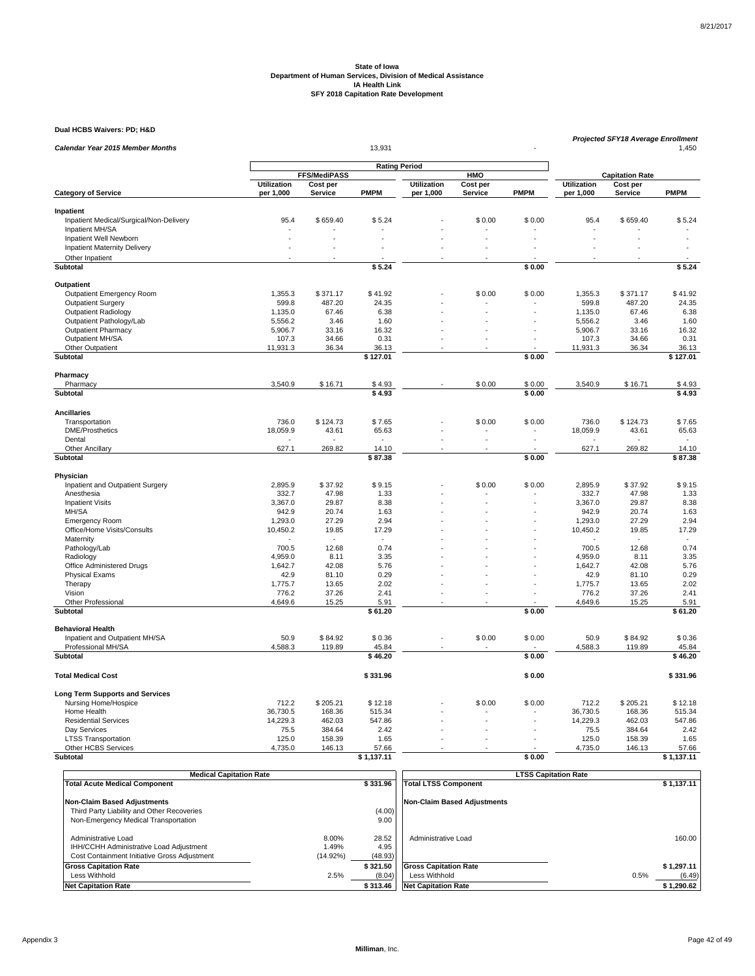**Dual HCBS Waivers: PD; H&D**

| Calendar Year 2015 Member Months        |                                                           |                | Projected SFY18 Average Enrollment<br>1,450 |                    |          |             |                    |                        |             |
|-----------------------------------------|-----------------------------------------------------------|----------------|---------------------------------------------|--------------------|----------|-------------|--------------------|------------------------|-------------|
|                                         |                                                           |                |                                             |                    |          |             |                    |                        |             |
|                                         | <b>Rating Period</b><br><b>FFS/MediPASS</b><br><b>HMO</b> |                |                                             |                    |          |             |                    | <b>Capitation Rate</b> |             |
|                                         | <b>Utilization</b>                                        | Cost per       |                                             | <b>Utilization</b> | Cost per |             | <b>Utilization</b> | Cost per               |             |
| <b>Category of Service</b>              | per 1,000                                                 | <b>Service</b> | <b>PMPM</b>                                 | per 1,000          | Service  | <b>PMPM</b> | per 1,000          | Service                | <b>PMPM</b> |
| Inpatient                               |                                                           |                |                                             |                    |          |             |                    |                        |             |
| Inpatient Medical/Surgical/Non-Delivery | 95.4                                                      | \$659.40       | \$5.24                                      |                    | \$0.00   | \$0.00      | 95.4               | \$659.40               | \$5.24      |
| Inpatient MH/SA                         |                                                           |                |                                             |                    |          |             |                    |                        |             |
| Inpatient Well Newborn                  |                                                           |                |                                             |                    |          |             |                    |                        |             |
| Inpatient Maternity Delivery            |                                                           |                |                                             |                    |          |             |                    |                        |             |
| Other Inpatient                         |                                                           |                |                                             |                    |          |             |                    |                        |             |
| Subtotal                                |                                                           |                | \$5.24                                      |                    |          | \$0.00      |                    |                        | \$5.24      |
|                                         |                                                           |                |                                             |                    |          |             |                    |                        |             |
| Outpatient                              |                                                           |                |                                             |                    |          |             |                    |                        |             |
| Outpatient Emergency Room               | 1,355.3                                                   | \$371.17       | \$41.92                                     |                    | \$0.00   | \$0.00      | 1,355.3            | \$371.17               | \$41.92     |
| <b>Outpatient Surgery</b>               | 599.8                                                     | 487.20         | 24.35                                       |                    |          |             | 599.8              | 487.20                 | 24.35       |
| Outpatient Radiology                    | 1,135.0                                                   | 67.46          | 6.38                                        |                    |          |             | 1,135.0            | 67.46                  | 6.38        |
| Outpatient Pathology/Lab                | 5,556.2                                                   | 3.46           | 1.60                                        |                    |          |             | 5,556.2            | 3.46                   | 1.60        |
| <b>Outpatient Pharmacy</b>              | 5,906.7                                                   | 33.16          | 16.32                                       |                    |          |             | 5,906.7            | 33.16                  | 16.32       |
| Outpatient MH/SA                        | 107.3                                                     | 34.66          | 0.31                                        |                    |          |             | 107.3              | 34.66                  | 0.31        |
| Other Outpatient                        | 11,931.3                                                  | 36.34          | 36.13                                       |                    |          |             | 11,931.3           | 36.34                  | 36.13       |
| Subtotal                                |                                                           |                | \$127.01                                    |                    |          | \$0.00      |                    |                        | \$127.01    |
| Pharmacy                                |                                                           |                |                                             |                    |          |             |                    |                        |             |
| Pharmacy                                | 3,540.9                                                   | \$16.71        | \$4.93                                      |                    | \$0.00   | \$0.00      | 3,540.9            | \$16.71                | \$4.93      |
| Subtotal                                |                                                           |                | \$4.93                                      |                    |          | \$0.00      |                    |                        | \$4.93      |
| <b>Ancillaries</b>                      |                                                           |                |                                             |                    |          |             |                    |                        |             |
|                                         | 736.0                                                     |                |                                             |                    | \$0.00   | \$0.00      | 736.0              | \$124.73               | \$7.65      |
| Transportation                          |                                                           | \$124.73       | \$7.65                                      |                    |          |             |                    |                        |             |
| <b>DME/Prosthetics</b>                  | 18,059.9                                                  | 43.61          | 65.63                                       |                    |          |             | 18,059.9           | 43.61                  | 65.63       |
| Dental                                  |                                                           |                |                                             |                    |          |             |                    |                        |             |
| <b>Other Ancillary</b>                  | 627.1                                                     | 269.82         | 14.10                                       |                    |          |             | 627.1              | 269.82                 | 14.10       |
| Subtotal                                |                                                           |                | \$87.38                                     |                    |          | \$0.00      |                    |                        | \$87.38     |
| Physician                               |                                                           |                |                                             |                    |          |             |                    |                        |             |
| Inpatient and Outpatient Surgery        | 2,895.9                                                   | \$37.92        | \$9.15                                      |                    | \$0.00   | \$0.00      | 2,895.9            | \$37.92                | \$9.15      |
| Anesthesia                              | 332.7                                                     | 47.98          | 1.33                                        |                    |          |             | 332.7              | 47.98                  | 1.33        |
| <b>Inpatient Visits</b>                 | 3.367.0                                                   | 29.87          | 8.38                                        |                    |          |             | 3.367.0            | 29.87                  | 8.38        |
| MH/SA                                   | 942.9                                                     | 20.74          | 1.63                                        |                    |          |             | 942.9              | 20.74                  | 1.63        |
| <b>Emergency Room</b>                   | 1,293.0                                                   | 27.29          | 2.94                                        |                    |          |             | 1,293.0            | 27.29                  | 2.94        |
| Office/Home Visits/Consults             | 10,450.2                                                  | 19.85          | 17.29                                       |                    |          |             | 10,450.2           | 19.85                  | 17.29       |
| Maternity                               |                                                           |                |                                             |                    |          |             |                    |                        |             |
| Pathology/Lab                           | 700.5                                                     | 12.68          | 0.74                                        |                    |          |             | 700.5              | 12.68                  | 0.74        |
| Radiology                               | 4,959.0                                                   | 8.11           | 3.35                                        |                    |          |             | 4,959.0            | 8.11                   | 3.35        |
| Office Administered Drugs               | 1,642.7                                                   | 42.08          | 5.76                                        |                    |          |             | 1,642.7            | 42.08                  | 5.76        |
| <b>Physical Exams</b>                   | 42.9                                                      | 81.10          | 0.29                                        |                    |          |             | 42.9               | 81.10                  | 0.29        |
| Therapy                                 | 1,775.7                                                   | 13.65          | 2.02                                        |                    |          |             | 1,775.7            | 13.65                  | 2.02        |
| Vision                                  | 776.2                                                     | 37.26          | 2.41                                        |                    |          |             | 776.2              | 37.26                  | 2.41        |
| Other Professional                      | 4,649.6                                                   | 15.25          | 5.91                                        |                    |          |             | 4,649.6            | 15.25                  | 5.91        |
| Subtotal                                |                                                           |                | \$61.20                                     |                    |          | \$0.00      |                    |                        | \$61.20     |
| <b>Behavioral Health</b>                |                                                           |                |                                             |                    |          |             |                    |                        |             |
| Inpatient and Outpatient MH/SA          | 50.9                                                      | \$84.92        | \$0.36                                      |                    | \$0.00   | \$0.00      | 50.9               | \$84.92                | \$0.36      |
| Professional MH/SA                      | 4,588.3                                                   | 119.89         | 45.84                                       |                    |          |             | 4,588.3            | 119.89                 | 45.84       |
| <b>Subtotal</b>                         |                                                           |                | \$46.20                                     |                    |          | \$0.00      |                    |                        | \$46.20     |
|                                         |                                                           |                |                                             |                    |          |             |                    |                        |             |
| <b>Total Medical Cost</b>               |                                                           |                | \$331.96                                    |                    |          | \$0.00      |                    |                        | \$331.96    |
| <b>Long Term Supports and Services</b>  |                                                           |                |                                             |                    |          |             |                    |                        |             |
| Nursing Home/Hospice                    | 712.2                                                     | \$205.21       | \$12.18                                     |                    | \$0.00   | \$0.00      | 712.2              | \$205.21               | \$12.18     |
| Home Health                             | 36,730.5                                                  | 168.36         | 515.34                                      |                    |          |             | 36,730.5           | 168.36                 | 515.34      |
| <b>Residential Services</b>             | 14,229.3                                                  | 462.03         | 547.86                                      |                    |          |             | 14,229.3           | 462.03                 | 547.86      |
| Day Services                            | 75.5                                                      | 384.64         | 2.42                                        |                    |          |             | 75.5               | 384.64                 | 2.42        |
| <b>LTSS Transportation</b>              | 125.0                                                     | 158.39         | 1.65                                        |                    |          |             | 125.0              | 158.39                 | 1.65        |
| Other HCBS Services                     | 4,735.0                                                   | 146.13         | 57.66                                       |                    |          |             | 4,735.0            | 146.13                 | 57.66       |
| <b>Subtotal</b>                         |                                                           |                | \$1,137.11                                  |                    |          | \$0.00      |                    |                        | \$1,137.11  |

| <b>Medical Capitation Rate</b>                                                                                 |                               |                          | <b>LTSS Capitation Rate</b>        |                |
|----------------------------------------------------------------------------------------------------------------|-------------------------------|--------------------------|------------------------------------|----------------|
| <b>Total Acute Medical Component</b>                                                                           |                               | \$331.96                 | <b>Total LTSS Component</b>        | \$1.137.11     |
| <b>Non-Claim Based Adjustments</b>                                                                             |                               |                          | <b>Non-Claim Based Adjustments</b> |                |
| Third Party Liability and Other Recoveries                                                                     |                               | (4.00)                   |                                    |                |
| Non-Emergency Medical Transportation                                                                           |                               | 9.00                     |                                    |                |
| Administrative Load<br>IHH/CCHH Administrative Load Adjustment<br>Cost Containment Initiative Gross Adjustment | 8.00%<br>1.49%<br>$(14.92\%)$ | 28.52<br>4.95<br>(48.93) | Administrative Load                | 160.00         |
| <b>Gross Capitation Rate</b>                                                                                   |                               | \$321.50                 | <b>Gross Capitation Rate</b>       | \$1.297.11     |
| Less Withhold                                                                                                  | 2.5%                          | (8.04)                   | Less Withhold                      | 0.5%<br>(6.49) |
| <b>Net Capitation Rate</b>                                                                                     |                               | \$313.46                 | <b>Net Capitation Rate</b>         | \$1,290.62     |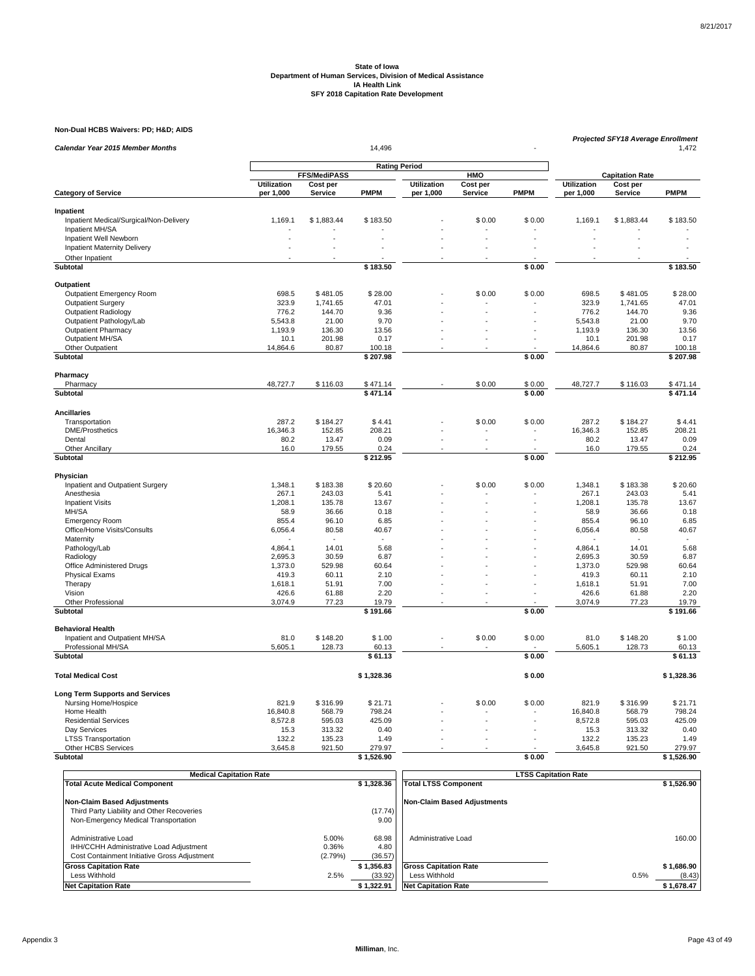### **Non-Dual HCBS Waivers: PD; H&D; AIDS**

| 14,496<br>Calendar Year 2015 Member Months<br>1,472<br><b>Rating Period</b><br>FFS/MediPASS<br>HMO<br><b>Capitation Rate</b><br><b>Utilization</b><br><b>Utilization</b><br><b>Utilization</b><br>Cost per<br>Cost per<br>Cost per<br><b>PMPM</b><br><b>PMPM</b><br><b>PMPM</b><br><b>Category of Service</b><br>per 1,000<br>Service<br>per 1,000<br>Service<br>per 1,000<br>Service<br>Inpatient<br>\$0.00<br>\$0.00<br>Inpatient Medical/Surgical/Non-Delivery<br>1,169.1<br>\$1,883.44<br>\$183.50<br>1,169.1<br>\$1,883.44<br>\$183.50<br>Inpatient MH/SA<br>Inpatient Well Newborn<br>÷,<br><b>Inpatient Maternity Delivery</b><br>÷.<br>Other Inpatient<br>\$183.50<br>\$0.00<br>\$183.50<br>Subtotal<br>Outpatient<br>\$0.00<br>\$0.00<br>Outpatient Emergency Room<br>698.5<br>\$481.05<br>\$28.00<br>698.5<br>\$481.05<br>\$28.00<br><b>Outpatient Surgery</b><br>323.9<br>1,741.65<br>47.01<br>323.9<br>1,741.65<br>47.01<br>144.70<br>144.70<br>9.36<br>Outpatient Radiology<br>776.2<br>9.36<br>776.2<br>21.00<br>5,543.8<br>21.00<br>9.70<br>Outpatient Pathology/Lab<br>5,543.8<br>9.70<br><b>Outpatient Pharmacy</b><br>136.30<br>136.30<br>13.56<br>1,193.9<br>13.56<br>1,193.9<br>Outpatient MH/SA<br>10.1<br>201.98<br>0.17<br>10.1<br>201.98<br>0.17<br>÷.<br>Other Outpatient<br>14,864.6<br>80.87<br>100.18<br>14,864.6<br>80.87<br>100.18<br><b>Subtotal</b><br>\$207.98<br>\$0.00<br>\$207.98<br>Pharmacy<br>48,727.7<br>\$116.03<br>\$0.00<br>48,727.7<br>\$116.03<br>\$471.14<br>Pharmacy<br>\$471.14<br>\$0.00<br>\$0.00<br>Subtotal<br>\$471.14<br>\$471.14<br><b>Ancillaries</b><br>287.2<br>\$0.00<br>\$0.00<br>287.2<br>Transportation<br>\$184.27<br>\$4.41<br>\$184.27<br>\$4.41<br>16,346.3<br><b>DME/Prosthetics</b><br>16,346.3<br>152.85<br>208.21<br>152.85<br>208.21<br>0.09<br>80.2<br>0.09<br>Dental<br>80.2<br>13.47<br>13.47<br>$\ddot{\phantom{1}}$<br>$\overline{\phantom{a}}$<br>16.0<br>179.55<br>179.55<br>0.24<br>Other Ancillary<br>0.24<br>16.0<br>\$0.00<br>Subtotal<br>\$212.95<br>\$212.95<br>Physician<br>\$20.60<br>Inpatient and Outpatient Surgery<br>1,348.1<br>\$183.38<br>\$20.60<br>\$0.00<br>\$0.00<br>1,348.1<br>\$183.38<br>267.1<br>243.03<br>267.1<br>243.03<br>5.41<br>Anesthesia<br>5.41<br>1,208.1<br>135.78<br>13.67<br>135.78<br>13.67<br><b>Inpatient Visits</b><br>1,208.1<br>MH/SA<br>58.9<br>36.66<br>0.18<br>58.9<br>36.66<br>0.18<br>855.4<br>96.10<br>6.85<br>855.4<br>96.10<br>6.85<br><b>Emergency Room</b><br>Office/Home Visits/Consults<br>6,056.4<br>80.58<br>6,056.4<br>80.58<br>40.67<br>40.67<br>Maternity<br>÷.<br>4,864.1<br>14.01<br>5.68<br>14.01<br>5.68<br>Pathology/Lab<br>4,864.1<br>2,695.3<br>30.59<br>30.59<br>6.87<br>Radiology<br>6.87<br>2,695.3<br>529.98<br>60.64<br>Office Administered Drugs<br>1,373.0<br>60.64<br>1,373.0<br>529.98<br>÷.<br><b>Physical Exams</b><br>419.3<br>60.11<br>2.10<br>419.3<br>60.11<br>2.10<br>7.00<br>Therapy<br>1,618.1<br>51.91<br>7.00<br>1,618.1<br>51.91<br>426.6<br>2.20<br>426.6<br>2.20<br>Vision<br>61.88<br>61.88<br>3,074.9<br>3,074.9<br>19.79<br>Other Professional<br>77.23<br>19.79<br>77.23<br>Subtotal<br>\$191.66<br>\$0.00<br>\$191.66<br><b>Behavioral Health</b><br>Inpatient and Outpatient MH/SA<br>81.0<br>\$148.20<br>\$1.00<br>\$0.00<br>\$0.00<br>81.0<br>\$148.20<br>\$1.00<br>Professional MH/SA<br>5,605.1<br>128.73<br>60.13<br>5,605.1<br>128.73<br>60.13<br>\$0.00<br>Subtotal<br>\$61.13<br>\$61.13<br>\$0.00<br>\$1,328.36<br><b>Total Medical Cost</b><br>\$1,328.36<br><b>Long Term Supports and Services</b><br>821.9<br>\$316.99<br>\$0.00<br>\$0.00<br>821.9<br>\$316.99<br>\$21.71<br>Nursing Home/Hospice<br>\$21.71<br>Home Health<br>16,840.8<br>568.79<br>798.24<br>16,840.8<br>568.79<br>798.24<br><b>Residential Services</b><br>8,572.8<br>595.03<br>425.09<br>595.03<br>425.09<br>8,572.8<br>Day Services<br>15.3<br>313.32<br>0.40<br>15.3<br>313.32<br>0.40<br><b>LTSS Transportation</b><br>132.2<br>135.23<br>132.2<br>135.23<br>1.49<br>1.49<br>Other HCBS Services<br>3,645.8<br>921.50<br>279.97<br>3,645.8<br>921.50<br>279.97<br><b>Subtotal</b><br>\$1.526.90<br>\$0.00<br>\$1.526.90 | Non-Dual HCBS Waivers: PD; H&D AIDS |  |  |  | <b>Projected SFY18 Average Enrollment</b> |  |
|------------------------------------------------------------------------------------------------------------------------------------------------------------------------------------------------------------------------------------------------------------------------------------------------------------------------------------------------------------------------------------------------------------------------------------------------------------------------------------------------------------------------------------------------------------------------------------------------------------------------------------------------------------------------------------------------------------------------------------------------------------------------------------------------------------------------------------------------------------------------------------------------------------------------------------------------------------------------------------------------------------------------------------------------------------------------------------------------------------------------------------------------------------------------------------------------------------------------------------------------------------------------------------------------------------------------------------------------------------------------------------------------------------------------------------------------------------------------------------------------------------------------------------------------------------------------------------------------------------------------------------------------------------------------------------------------------------------------------------------------------------------------------------------------------------------------------------------------------------------------------------------------------------------------------------------------------------------------------------------------------------------------------------------------------------------------------------------------------------------------------------------------------------------------------------------------------------------------------------------------------------------------------------------------------------------------------------------------------------------------------------------------------------------------------------------------------------------------------------------------------------------------------------------------------------------------------------------------------------------------------------------------------------------------------------------------------------------------------------------------------------------------------------------------------------------------------------------------------------------------------------------------------------------------------------------------------------------------------------------------------------------------------------------------------------------------------------------------------------------------------------------------------------------------------------------------------------------------------------------------------------------------------------------------------------------------------------------------------------------------------------------------------------------------------------------------------------------------------------------------------------------------------------------------------------------------------------------------------------------------------------------------------------------------------------------------------------------------------------------------------------------------------------------------------------------------------------------------------------------------------------------------------------------------------------------------------------------------------------------------------------------------------------------------------------------------------------------------------------------------------------------------------------------------------------------|-------------------------------------|--|--|--|-------------------------------------------|--|
|                                                                                                                                                                                                                                                                                                                                                                                                                                                                                                                                                                                                                                                                                                                                                                                                                                                                                                                                                                                                                                                                                                                                                                                                                                                                                                                                                                                                                                                                                                                                                                                                                                                                                                                                                                                                                                                                                                                                                                                                                                                                                                                                                                                                                                                                                                                                                                                                                                                                                                                                                                                                                                                                                                                                                                                                                                                                                                                                                                                                                                                                                                                                                                                                                                                                                                                                                                                                                                                                                                                                                                                                                                                                                                                                                                                                                                                                                                                                                                                                                                                                                                                                                                                          |                                     |  |  |  |                                           |  |
|                                                                                                                                                                                                                                                                                                                                                                                                                                                                                                                                                                                                                                                                                                                                                                                                                                                                                                                                                                                                                                                                                                                                                                                                                                                                                                                                                                                                                                                                                                                                                                                                                                                                                                                                                                                                                                                                                                                                                                                                                                                                                                                                                                                                                                                                                                                                                                                                                                                                                                                                                                                                                                                                                                                                                                                                                                                                                                                                                                                                                                                                                                                                                                                                                                                                                                                                                                                                                                                                                                                                                                                                                                                                                                                                                                                                                                                                                                                                                                                                                                                                                                                                                                                          |                                     |  |  |  |                                           |  |
|                                                                                                                                                                                                                                                                                                                                                                                                                                                                                                                                                                                                                                                                                                                                                                                                                                                                                                                                                                                                                                                                                                                                                                                                                                                                                                                                                                                                                                                                                                                                                                                                                                                                                                                                                                                                                                                                                                                                                                                                                                                                                                                                                                                                                                                                                                                                                                                                                                                                                                                                                                                                                                                                                                                                                                                                                                                                                                                                                                                                                                                                                                                                                                                                                                                                                                                                                                                                                                                                                                                                                                                                                                                                                                                                                                                                                                                                                                                                                                                                                                                                                                                                                                                          |                                     |  |  |  |                                           |  |
|                                                                                                                                                                                                                                                                                                                                                                                                                                                                                                                                                                                                                                                                                                                                                                                                                                                                                                                                                                                                                                                                                                                                                                                                                                                                                                                                                                                                                                                                                                                                                                                                                                                                                                                                                                                                                                                                                                                                                                                                                                                                                                                                                                                                                                                                                                                                                                                                                                                                                                                                                                                                                                                                                                                                                                                                                                                                                                                                                                                                                                                                                                                                                                                                                                                                                                                                                                                                                                                                                                                                                                                                                                                                                                                                                                                                                                                                                                                                                                                                                                                                                                                                                                                          |                                     |  |  |  |                                           |  |
|                                                                                                                                                                                                                                                                                                                                                                                                                                                                                                                                                                                                                                                                                                                                                                                                                                                                                                                                                                                                                                                                                                                                                                                                                                                                                                                                                                                                                                                                                                                                                                                                                                                                                                                                                                                                                                                                                                                                                                                                                                                                                                                                                                                                                                                                                                                                                                                                                                                                                                                                                                                                                                                                                                                                                                                                                                                                                                                                                                                                                                                                                                                                                                                                                                                                                                                                                                                                                                                                                                                                                                                                                                                                                                                                                                                                                                                                                                                                                                                                                                                                                                                                                                                          |                                     |  |  |  |                                           |  |
|                                                                                                                                                                                                                                                                                                                                                                                                                                                                                                                                                                                                                                                                                                                                                                                                                                                                                                                                                                                                                                                                                                                                                                                                                                                                                                                                                                                                                                                                                                                                                                                                                                                                                                                                                                                                                                                                                                                                                                                                                                                                                                                                                                                                                                                                                                                                                                                                                                                                                                                                                                                                                                                                                                                                                                                                                                                                                                                                                                                                                                                                                                                                                                                                                                                                                                                                                                                                                                                                                                                                                                                                                                                                                                                                                                                                                                                                                                                                                                                                                                                                                                                                                                                          |                                     |  |  |  |                                           |  |
|                                                                                                                                                                                                                                                                                                                                                                                                                                                                                                                                                                                                                                                                                                                                                                                                                                                                                                                                                                                                                                                                                                                                                                                                                                                                                                                                                                                                                                                                                                                                                                                                                                                                                                                                                                                                                                                                                                                                                                                                                                                                                                                                                                                                                                                                                                                                                                                                                                                                                                                                                                                                                                                                                                                                                                                                                                                                                                                                                                                                                                                                                                                                                                                                                                                                                                                                                                                                                                                                                                                                                                                                                                                                                                                                                                                                                                                                                                                                                                                                                                                                                                                                                                                          |                                     |  |  |  |                                           |  |
|                                                                                                                                                                                                                                                                                                                                                                                                                                                                                                                                                                                                                                                                                                                                                                                                                                                                                                                                                                                                                                                                                                                                                                                                                                                                                                                                                                                                                                                                                                                                                                                                                                                                                                                                                                                                                                                                                                                                                                                                                                                                                                                                                                                                                                                                                                                                                                                                                                                                                                                                                                                                                                                                                                                                                                                                                                                                                                                                                                                                                                                                                                                                                                                                                                                                                                                                                                                                                                                                                                                                                                                                                                                                                                                                                                                                                                                                                                                                                                                                                                                                                                                                                                                          |                                     |  |  |  |                                           |  |
|                                                                                                                                                                                                                                                                                                                                                                                                                                                                                                                                                                                                                                                                                                                                                                                                                                                                                                                                                                                                                                                                                                                                                                                                                                                                                                                                                                                                                                                                                                                                                                                                                                                                                                                                                                                                                                                                                                                                                                                                                                                                                                                                                                                                                                                                                                                                                                                                                                                                                                                                                                                                                                                                                                                                                                                                                                                                                                                                                                                                                                                                                                                                                                                                                                                                                                                                                                                                                                                                                                                                                                                                                                                                                                                                                                                                                                                                                                                                                                                                                                                                                                                                                                                          |                                     |  |  |  |                                           |  |
|                                                                                                                                                                                                                                                                                                                                                                                                                                                                                                                                                                                                                                                                                                                                                                                                                                                                                                                                                                                                                                                                                                                                                                                                                                                                                                                                                                                                                                                                                                                                                                                                                                                                                                                                                                                                                                                                                                                                                                                                                                                                                                                                                                                                                                                                                                                                                                                                                                                                                                                                                                                                                                                                                                                                                                                                                                                                                                                                                                                                                                                                                                                                                                                                                                                                                                                                                                                                                                                                                                                                                                                                                                                                                                                                                                                                                                                                                                                                                                                                                                                                                                                                                                                          |                                     |  |  |  |                                           |  |
|                                                                                                                                                                                                                                                                                                                                                                                                                                                                                                                                                                                                                                                                                                                                                                                                                                                                                                                                                                                                                                                                                                                                                                                                                                                                                                                                                                                                                                                                                                                                                                                                                                                                                                                                                                                                                                                                                                                                                                                                                                                                                                                                                                                                                                                                                                                                                                                                                                                                                                                                                                                                                                                                                                                                                                                                                                                                                                                                                                                                                                                                                                                                                                                                                                                                                                                                                                                                                                                                                                                                                                                                                                                                                                                                                                                                                                                                                                                                                                                                                                                                                                                                                                                          |                                     |  |  |  |                                           |  |
|                                                                                                                                                                                                                                                                                                                                                                                                                                                                                                                                                                                                                                                                                                                                                                                                                                                                                                                                                                                                                                                                                                                                                                                                                                                                                                                                                                                                                                                                                                                                                                                                                                                                                                                                                                                                                                                                                                                                                                                                                                                                                                                                                                                                                                                                                                                                                                                                                                                                                                                                                                                                                                                                                                                                                                                                                                                                                                                                                                                                                                                                                                                                                                                                                                                                                                                                                                                                                                                                                                                                                                                                                                                                                                                                                                                                                                                                                                                                                                                                                                                                                                                                                                                          |                                     |  |  |  |                                           |  |
|                                                                                                                                                                                                                                                                                                                                                                                                                                                                                                                                                                                                                                                                                                                                                                                                                                                                                                                                                                                                                                                                                                                                                                                                                                                                                                                                                                                                                                                                                                                                                                                                                                                                                                                                                                                                                                                                                                                                                                                                                                                                                                                                                                                                                                                                                                                                                                                                                                                                                                                                                                                                                                                                                                                                                                                                                                                                                                                                                                                                                                                                                                                                                                                                                                                                                                                                                                                                                                                                                                                                                                                                                                                                                                                                                                                                                                                                                                                                                                                                                                                                                                                                                                                          |                                     |  |  |  |                                           |  |
|                                                                                                                                                                                                                                                                                                                                                                                                                                                                                                                                                                                                                                                                                                                                                                                                                                                                                                                                                                                                                                                                                                                                                                                                                                                                                                                                                                                                                                                                                                                                                                                                                                                                                                                                                                                                                                                                                                                                                                                                                                                                                                                                                                                                                                                                                                                                                                                                                                                                                                                                                                                                                                                                                                                                                                                                                                                                                                                                                                                                                                                                                                                                                                                                                                                                                                                                                                                                                                                                                                                                                                                                                                                                                                                                                                                                                                                                                                                                                                                                                                                                                                                                                                                          |                                     |  |  |  |                                           |  |
|                                                                                                                                                                                                                                                                                                                                                                                                                                                                                                                                                                                                                                                                                                                                                                                                                                                                                                                                                                                                                                                                                                                                                                                                                                                                                                                                                                                                                                                                                                                                                                                                                                                                                                                                                                                                                                                                                                                                                                                                                                                                                                                                                                                                                                                                                                                                                                                                                                                                                                                                                                                                                                                                                                                                                                                                                                                                                                                                                                                                                                                                                                                                                                                                                                                                                                                                                                                                                                                                                                                                                                                                                                                                                                                                                                                                                                                                                                                                                                                                                                                                                                                                                                                          |                                     |  |  |  |                                           |  |
|                                                                                                                                                                                                                                                                                                                                                                                                                                                                                                                                                                                                                                                                                                                                                                                                                                                                                                                                                                                                                                                                                                                                                                                                                                                                                                                                                                                                                                                                                                                                                                                                                                                                                                                                                                                                                                                                                                                                                                                                                                                                                                                                                                                                                                                                                                                                                                                                                                                                                                                                                                                                                                                                                                                                                                                                                                                                                                                                                                                                                                                                                                                                                                                                                                                                                                                                                                                                                                                                                                                                                                                                                                                                                                                                                                                                                                                                                                                                                                                                                                                                                                                                                                                          |                                     |  |  |  |                                           |  |
|                                                                                                                                                                                                                                                                                                                                                                                                                                                                                                                                                                                                                                                                                                                                                                                                                                                                                                                                                                                                                                                                                                                                                                                                                                                                                                                                                                                                                                                                                                                                                                                                                                                                                                                                                                                                                                                                                                                                                                                                                                                                                                                                                                                                                                                                                                                                                                                                                                                                                                                                                                                                                                                                                                                                                                                                                                                                                                                                                                                                                                                                                                                                                                                                                                                                                                                                                                                                                                                                                                                                                                                                                                                                                                                                                                                                                                                                                                                                                                                                                                                                                                                                                                                          |                                     |  |  |  |                                           |  |
|                                                                                                                                                                                                                                                                                                                                                                                                                                                                                                                                                                                                                                                                                                                                                                                                                                                                                                                                                                                                                                                                                                                                                                                                                                                                                                                                                                                                                                                                                                                                                                                                                                                                                                                                                                                                                                                                                                                                                                                                                                                                                                                                                                                                                                                                                                                                                                                                                                                                                                                                                                                                                                                                                                                                                                                                                                                                                                                                                                                                                                                                                                                                                                                                                                                                                                                                                                                                                                                                                                                                                                                                                                                                                                                                                                                                                                                                                                                                                                                                                                                                                                                                                                                          |                                     |  |  |  |                                           |  |
|                                                                                                                                                                                                                                                                                                                                                                                                                                                                                                                                                                                                                                                                                                                                                                                                                                                                                                                                                                                                                                                                                                                                                                                                                                                                                                                                                                                                                                                                                                                                                                                                                                                                                                                                                                                                                                                                                                                                                                                                                                                                                                                                                                                                                                                                                                                                                                                                                                                                                                                                                                                                                                                                                                                                                                                                                                                                                                                                                                                                                                                                                                                                                                                                                                                                                                                                                                                                                                                                                                                                                                                                                                                                                                                                                                                                                                                                                                                                                                                                                                                                                                                                                                                          |                                     |  |  |  |                                           |  |
|                                                                                                                                                                                                                                                                                                                                                                                                                                                                                                                                                                                                                                                                                                                                                                                                                                                                                                                                                                                                                                                                                                                                                                                                                                                                                                                                                                                                                                                                                                                                                                                                                                                                                                                                                                                                                                                                                                                                                                                                                                                                                                                                                                                                                                                                                                                                                                                                                                                                                                                                                                                                                                                                                                                                                                                                                                                                                                                                                                                                                                                                                                                                                                                                                                                                                                                                                                                                                                                                                                                                                                                                                                                                                                                                                                                                                                                                                                                                                                                                                                                                                                                                                                                          |                                     |  |  |  |                                           |  |
|                                                                                                                                                                                                                                                                                                                                                                                                                                                                                                                                                                                                                                                                                                                                                                                                                                                                                                                                                                                                                                                                                                                                                                                                                                                                                                                                                                                                                                                                                                                                                                                                                                                                                                                                                                                                                                                                                                                                                                                                                                                                                                                                                                                                                                                                                                                                                                                                                                                                                                                                                                                                                                                                                                                                                                                                                                                                                                                                                                                                                                                                                                                                                                                                                                                                                                                                                                                                                                                                                                                                                                                                                                                                                                                                                                                                                                                                                                                                                                                                                                                                                                                                                                                          |                                     |  |  |  |                                           |  |
|                                                                                                                                                                                                                                                                                                                                                                                                                                                                                                                                                                                                                                                                                                                                                                                                                                                                                                                                                                                                                                                                                                                                                                                                                                                                                                                                                                                                                                                                                                                                                                                                                                                                                                                                                                                                                                                                                                                                                                                                                                                                                                                                                                                                                                                                                                                                                                                                                                                                                                                                                                                                                                                                                                                                                                                                                                                                                                                                                                                                                                                                                                                                                                                                                                                                                                                                                                                                                                                                                                                                                                                                                                                                                                                                                                                                                                                                                                                                                                                                                                                                                                                                                                                          |                                     |  |  |  |                                           |  |
|                                                                                                                                                                                                                                                                                                                                                                                                                                                                                                                                                                                                                                                                                                                                                                                                                                                                                                                                                                                                                                                                                                                                                                                                                                                                                                                                                                                                                                                                                                                                                                                                                                                                                                                                                                                                                                                                                                                                                                                                                                                                                                                                                                                                                                                                                                                                                                                                                                                                                                                                                                                                                                                                                                                                                                                                                                                                                                                                                                                                                                                                                                                                                                                                                                                                                                                                                                                                                                                                                                                                                                                                                                                                                                                                                                                                                                                                                                                                                                                                                                                                                                                                                                                          |                                     |  |  |  |                                           |  |
|                                                                                                                                                                                                                                                                                                                                                                                                                                                                                                                                                                                                                                                                                                                                                                                                                                                                                                                                                                                                                                                                                                                                                                                                                                                                                                                                                                                                                                                                                                                                                                                                                                                                                                                                                                                                                                                                                                                                                                                                                                                                                                                                                                                                                                                                                                                                                                                                                                                                                                                                                                                                                                                                                                                                                                                                                                                                                                                                                                                                                                                                                                                                                                                                                                                                                                                                                                                                                                                                                                                                                                                                                                                                                                                                                                                                                                                                                                                                                                                                                                                                                                                                                                                          |                                     |  |  |  |                                           |  |
|                                                                                                                                                                                                                                                                                                                                                                                                                                                                                                                                                                                                                                                                                                                                                                                                                                                                                                                                                                                                                                                                                                                                                                                                                                                                                                                                                                                                                                                                                                                                                                                                                                                                                                                                                                                                                                                                                                                                                                                                                                                                                                                                                                                                                                                                                                                                                                                                                                                                                                                                                                                                                                                                                                                                                                                                                                                                                                                                                                                                                                                                                                                                                                                                                                                                                                                                                                                                                                                                                                                                                                                                                                                                                                                                                                                                                                                                                                                                                                                                                                                                                                                                                                                          |                                     |  |  |  |                                           |  |
|                                                                                                                                                                                                                                                                                                                                                                                                                                                                                                                                                                                                                                                                                                                                                                                                                                                                                                                                                                                                                                                                                                                                                                                                                                                                                                                                                                                                                                                                                                                                                                                                                                                                                                                                                                                                                                                                                                                                                                                                                                                                                                                                                                                                                                                                                                                                                                                                                                                                                                                                                                                                                                                                                                                                                                                                                                                                                                                                                                                                                                                                                                                                                                                                                                                                                                                                                                                                                                                                                                                                                                                                                                                                                                                                                                                                                                                                                                                                                                                                                                                                                                                                                                                          |                                     |  |  |  |                                           |  |
|                                                                                                                                                                                                                                                                                                                                                                                                                                                                                                                                                                                                                                                                                                                                                                                                                                                                                                                                                                                                                                                                                                                                                                                                                                                                                                                                                                                                                                                                                                                                                                                                                                                                                                                                                                                                                                                                                                                                                                                                                                                                                                                                                                                                                                                                                                                                                                                                                                                                                                                                                                                                                                                                                                                                                                                                                                                                                                                                                                                                                                                                                                                                                                                                                                                                                                                                                                                                                                                                                                                                                                                                                                                                                                                                                                                                                                                                                                                                                                                                                                                                                                                                                                                          |                                     |  |  |  |                                           |  |
|                                                                                                                                                                                                                                                                                                                                                                                                                                                                                                                                                                                                                                                                                                                                                                                                                                                                                                                                                                                                                                                                                                                                                                                                                                                                                                                                                                                                                                                                                                                                                                                                                                                                                                                                                                                                                                                                                                                                                                                                                                                                                                                                                                                                                                                                                                                                                                                                                                                                                                                                                                                                                                                                                                                                                                                                                                                                                                                                                                                                                                                                                                                                                                                                                                                                                                                                                                                                                                                                                                                                                                                                                                                                                                                                                                                                                                                                                                                                                                                                                                                                                                                                                                                          |                                     |  |  |  |                                           |  |
|                                                                                                                                                                                                                                                                                                                                                                                                                                                                                                                                                                                                                                                                                                                                                                                                                                                                                                                                                                                                                                                                                                                                                                                                                                                                                                                                                                                                                                                                                                                                                                                                                                                                                                                                                                                                                                                                                                                                                                                                                                                                                                                                                                                                                                                                                                                                                                                                                                                                                                                                                                                                                                                                                                                                                                                                                                                                                                                                                                                                                                                                                                                                                                                                                                                                                                                                                                                                                                                                                                                                                                                                                                                                                                                                                                                                                                                                                                                                                                                                                                                                                                                                                                                          |                                     |  |  |  |                                           |  |
|                                                                                                                                                                                                                                                                                                                                                                                                                                                                                                                                                                                                                                                                                                                                                                                                                                                                                                                                                                                                                                                                                                                                                                                                                                                                                                                                                                                                                                                                                                                                                                                                                                                                                                                                                                                                                                                                                                                                                                                                                                                                                                                                                                                                                                                                                                                                                                                                                                                                                                                                                                                                                                                                                                                                                                                                                                                                                                                                                                                                                                                                                                                                                                                                                                                                                                                                                                                                                                                                                                                                                                                                                                                                                                                                                                                                                                                                                                                                                                                                                                                                                                                                                                                          |                                     |  |  |  |                                           |  |
|                                                                                                                                                                                                                                                                                                                                                                                                                                                                                                                                                                                                                                                                                                                                                                                                                                                                                                                                                                                                                                                                                                                                                                                                                                                                                                                                                                                                                                                                                                                                                                                                                                                                                                                                                                                                                                                                                                                                                                                                                                                                                                                                                                                                                                                                                                                                                                                                                                                                                                                                                                                                                                                                                                                                                                                                                                                                                                                                                                                                                                                                                                                                                                                                                                                                                                                                                                                                                                                                                                                                                                                                                                                                                                                                                                                                                                                                                                                                                                                                                                                                                                                                                                                          |                                     |  |  |  |                                           |  |
|                                                                                                                                                                                                                                                                                                                                                                                                                                                                                                                                                                                                                                                                                                                                                                                                                                                                                                                                                                                                                                                                                                                                                                                                                                                                                                                                                                                                                                                                                                                                                                                                                                                                                                                                                                                                                                                                                                                                                                                                                                                                                                                                                                                                                                                                                                                                                                                                                                                                                                                                                                                                                                                                                                                                                                                                                                                                                                                                                                                                                                                                                                                                                                                                                                                                                                                                                                                                                                                                                                                                                                                                                                                                                                                                                                                                                                                                                                                                                                                                                                                                                                                                                                                          |                                     |  |  |  |                                           |  |
|                                                                                                                                                                                                                                                                                                                                                                                                                                                                                                                                                                                                                                                                                                                                                                                                                                                                                                                                                                                                                                                                                                                                                                                                                                                                                                                                                                                                                                                                                                                                                                                                                                                                                                                                                                                                                                                                                                                                                                                                                                                                                                                                                                                                                                                                                                                                                                                                                                                                                                                                                                                                                                                                                                                                                                                                                                                                                                                                                                                                                                                                                                                                                                                                                                                                                                                                                                                                                                                                                                                                                                                                                                                                                                                                                                                                                                                                                                                                                                                                                                                                                                                                                                                          |                                     |  |  |  |                                           |  |
|                                                                                                                                                                                                                                                                                                                                                                                                                                                                                                                                                                                                                                                                                                                                                                                                                                                                                                                                                                                                                                                                                                                                                                                                                                                                                                                                                                                                                                                                                                                                                                                                                                                                                                                                                                                                                                                                                                                                                                                                                                                                                                                                                                                                                                                                                                                                                                                                                                                                                                                                                                                                                                                                                                                                                                                                                                                                                                                                                                                                                                                                                                                                                                                                                                                                                                                                                                                                                                                                                                                                                                                                                                                                                                                                                                                                                                                                                                                                                                                                                                                                                                                                                                                          |                                     |  |  |  |                                           |  |
|                                                                                                                                                                                                                                                                                                                                                                                                                                                                                                                                                                                                                                                                                                                                                                                                                                                                                                                                                                                                                                                                                                                                                                                                                                                                                                                                                                                                                                                                                                                                                                                                                                                                                                                                                                                                                                                                                                                                                                                                                                                                                                                                                                                                                                                                                                                                                                                                                                                                                                                                                                                                                                                                                                                                                                                                                                                                                                                                                                                                                                                                                                                                                                                                                                                                                                                                                                                                                                                                                                                                                                                                                                                                                                                                                                                                                                                                                                                                                                                                                                                                                                                                                                                          |                                     |  |  |  |                                           |  |
|                                                                                                                                                                                                                                                                                                                                                                                                                                                                                                                                                                                                                                                                                                                                                                                                                                                                                                                                                                                                                                                                                                                                                                                                                                                                                                                                                                                                                                                                                                                                                                                                                                                                                                                                                                                                                                                                                                                                                                                                                                                                                                                                                                                                                                                                                                                                                                                                                                                                                                                                                                                                                                                                                                                                                                                                                                                                                                                                                                                                                                                                                                                                                                                                                                                                                                                                                                                                                                                                                                                                                                                                                                                                                                                                                                                                                                                                                                                                                                                                                                                                                                                                                                                          |                                     |  |  |  |                                           |  |
|                                                                                                                                                                                                                                                                                                                                                                                                                                                                                                                                                                                                                                                                                                                                                                                                                                                                                                                                                                                                                                                                                                                                                                                                                                                                                                                                                                                                                                                                                                                                                                                                                                                                                                                                                                                                                                                                                                                                                                                                                                                                                                                                                                                                                                                                                                                                                                                                                                                                                                                                                                                                                                                                                                                                                                                                                                                                                                                                                                                                                                                                                                                                                                                                                                                                                                                                                                                                                                                                                                                                                                                                                                                                                                                                                                                                                                                                                                                                                                                                                                                                                                                                                                                          |                                     |  |  |  |                                           |  |
|                                                                                                                                                                                                                                                                                                                                                                                                                                                                                                                                                                                                                                                                                                                                                                                                                                                                                                                                                                                                                                                                                                                                                                                                                                                                                                                                                                                                                                                                                                                                                                                                                                                                                                                                                                                                                                                                                                                                                                                                                                                                                                                                                                                                                                                                                                                                                                                                                                                                                                                                                                                                                                                                                                                                                                                                                                                                                                                                                                                                                                                                                                                                                                                                                                                                                                                                                                                                                                                                                                                                                                                                                                                                                                                                                                                                                                                                                                                                                                                                                                                                                                                                                                                          |                                     |  |  |  |                                           |  |
|                                                                                                                                                                                                                                                                                                                                                                                                                                                                                                                                                                                                                                                                                                                                                                                                                                                                                                                                                                                                                                                                                                                                                                                                                                                                                                                                                                                                                                                                                                                                                                                                                                                                                                                                                                                                                                                                                                                                                                                                                                                                                                                                                                                                                                                                                                                                                                                                                                                                                                                                                                                                                                                                                                                                                                                                                                                                                                                                                                                                                                                                                                                                                                                                                                                                                                                                                                                                                                                                                                                                                                                                                                                                                                                                                                                                                                                                                                                                                                                                                                                                                                                                                                                          |                                     |  |  |  |                                           |  |
|                                                                                                                                                                                                                                                                                                                                                                                                                                                                                                                                                                                                                                                                                                                                                                                                                                                                                                                                                                                                                                                                                                                                                                                                                                                                                                                                                                                                                                                                                                                                                                                                                                                                                                                                                                                                                                                                                                                                                                                                                                                                                                                                                                                                                                                                                                                                                                                                                                                                                                                                                                                                                                                                                                                                                                                                                                                                                                                                                                                                                                                                                                                                                                                                                                                                                                                                                                                                                                                                                                                                                                                                                                                                                                                                                                                                                                                                                                                                                                                                                                                                                                                                                                                          |                                     |  |  |  |                                           |  |
|                                                                                                                                                                                                                                                                                                                                                                                                                                                                                                                                                                                                                                                                                                                                                                                                                                                                                                                                                                                                                                                                                                                                                                                                                                                                                                                                                                                                                                                                                                                                                                                                                                                                                                                                                                                                                                                                                                                                                                                                                                                                                                                                                                                                                                                                                                                                                                                                                                                                                                                                                                                                                                                                                                                                                                                                                                                                                                                                                                                                                                                                                                                                                                                                                                                                                                                                                                                                                                                                                                                                                                                                                                                                                                                                                                                                                                                                                                                                                                                                                                                                                                                                                                                          |                                     |  |  |  |                                           |  |
|                                                                                                                                                                                                                                                                                                                                                                                                                                                                                                                                                                                                                                                                                                                                                                                                                                                                                                                                                                                                                                                                                                                                                                                                                                                                                                                                                                                                                                                                                                                                                                                                                                                                                                                                                                                                                                                                                                                                                                                                                                                                                                                                                                                                                                                                                                                                                                                                                                                                                                                                                                                                                                                                                                                                                                                                                                                                                                                                                                                                                                                                                                                                                                                                                                                                                                                                                                                                                                                                                                                                                                                                                                                                                                                                                                                                                                                                                                                                                                                                                                                                                                                                                                                          |                                     |  |  |  |                                           |  |
|                                                                                                                                                                                                                                                                                                                                                                                                                                                                                                                                                                                                                                                                                                                                                                                                                                                                                                                                                                                                                                                                                                                                                                                                                                                                                                                                                                                                                                                                                                                                                                                                                                                                                                                                                                                                                                                                                                                                                                                                                                                                                                                                                                                                                                                                                                                                                                                                                                                                                                                                                                                                                                                                                                                                                                                                                                                                                                                                                                                                                                                                                                                                                                                                                                                                                                                                                                                                                                                                                                                                                                                                                                                                                                                                                                                                                                                                                                                                                                                                                                                                                                                                                                                          |                                     |  |  |  |                                           |  |
|                                                                                                                                                                                                                                                                                                                                                                                                                                                                                                                                                                                                                                                                                                                                                                                                                                                                                                                                                                                                                                                                                                                                                                                                                                                                                                                                                                                                                                                                                                                                                                                                                                                                                                                                                                                                                                                                                                                                                                                                                                                                                                                                                                                                                                                                                                                                                                                                                                                                                                                                                                                                                                                                                                                                                                                                                                                                                                                                                                                                                                                                                                                                                                                                                                                                                                                                                                                                                                                                                                                                                                                                                                                                                                                                                                                                                                                                                                                                                                                                                                                                                                                                                                                          |                                     |  |  |  |                                           |  |
|                                                                                                                                                                                                                                                                                                                                                                                                                                                                                                                                                                                                                                                                                                                                                                                                                                                                                                                                                                                                                                                                                                                                                                                                                                                                                                                                                                                                                                                                                                                                                                                                                                                                                                                                                                                                                                                                                                                                                                                                                                                                                                                                                                                                                                                                                                                                                                                                                                                                                                                                                                                                                                                                                                                                                                                                                                                                                                                                                                                                                                                                                                                                                                                                                                                                                                                                                                                                                                                                                                                                                                                                                                                                                                                                                                                                                                                                                                                                                                                                                                                                                                                                                                                          |                                     |  |  |  |                                           |  |
|                                                                                                                                                                                                                                                                                                                                                                                                                                                                                                                                                                                                                                                                                                                                                                                                                                                                                                                                                                                                                                                                                                                                                                                                                                                                                                                                                                                                                                                                                                                                                                                                                                                                                                                                                                                                                                                                                                                                                                                                                                                                                                                                                                                                                                                                                                                                                                                                                                                                                                                                                                                                                                                                                                                                                                                                                                                                                                                                                                                                                                                                                                                                                                                                                                                                                                                                                                                                                                                                                                                                                                                                                                                                                                                                                                                                                                                                                                                                                                                                                                                                                                                                                                                          |                                     |  |  |  |                                           |  |
|                                                                                                                                                                                                                                                                                                                                                                                                                                                                                                                                                                                                                                                                                                                                                                                                                                                                                                                                                                                                                                                                                                                                                                                                                                                                                                                                                                                                                                                                                                                                                                                                                                                                                                                                                                                                                                                                                                                                                                                                                                                                                                                                                                                                                                                                                                                                                                                                                                                                                                                                                                                                                                                                                                                                                                                                                                                                                                                                                                                                                                                                                                                                                                                                                                                                                                                                                                                                                                                                                                                                                                                                                                                                                                                                                                                                                                                                                                                                                                                                                                                                                                                                                                                          |                                     |  |  |  |                                           |  |
|                                                                                                                                                                                                                                                                                                                                                                                                                                                                                                                                                                                                                                                                                                                                                                                                                                                                                                                                                                                                                                                                                                                                                                                                                                                                                                                                                                                                                                                                                                                                                                                                                                                                                                                                                                                                                                                                                                                                                                                                                                                                                                                                                                                                                                                                                                                                                                                                                                                                                                                                                                                                                                                                                                                                                                                                                                                                                                                                                                                                                                                                                                                                                                                                                                                                                                                                                                                                                                                                                                                                                                                                                                                                                                                                                                                                                                                                                                                                                                                                                                                                                                                                                                                          |                                     |  |  |  |                                           |  |
|                                                                                                                                                                                                                                                                                                                                                                                                                                                                                                                                                                                                                                                                                                                                                                                                                                                                                                                                                                                                                                                                                                                                                                                                                                                                                                                                                                                                                                                                                                                                                                                                                                                                                                                                                                                                                                                                                                                                                                                                                                                                                                                                                                                                                                                                                                                                                                                                                                                                                                                                                                                                                                                                                                                                                                                                                                                                                                                                                                                                                                                                                                                                                                                                                                                                                                                                                                                                                                                                                                                                                                                                                                                                                                                                                                                                                                                                                                                                                                                                                                                                                                                                                                                          |                                     |  |  |  |                                           |  |
|                                                                                                                                                                                                                                                                                                                                                                                                                                                                                                                                                                                                                                                                                                                                                                                                                                                                                                                                                                                                                                                                                                                                                                                                                                                                                                                                                                                                                                                                                                                                                                                                                                                                                                                                                                                                                                                                                                                                                                                                                                                                                                                                                                                                                                                                                                                                                                                                                                                                                                                                                                                                                                                                                                                                                                                                                                                                                                                                                                                                                                                                                                                                                                                                                                                                                                                                                                                                                                                                                                                                                                                                                                                                                                                                                                                                                                                                                                                                                                                                                                                                                                                                                                                          |                                     |  |  |  |                                           |  |
|                                                                                                                                                                                                                                                                                                                                                                                                                                                                                                                                                                                                                                                                                                                                                                                                                                                                                                                                                                                                                                                                                                                                                                                                                                                                                                                                                                                                                                                                                                                                                                                                                                                                                                                                                                                                                                                                                                                                                                                                                                                                                                                                                                                                                                                                                                                                                                                                                                                                                                                                                                                                                                                                                                                                                                                                                                                                                                                                                                                                                                                                                                                                                                                                                                                                                                                                                                                                                                                                                                                                                                                                                                                                                                                                                                                                                                                                                                                                                                                                                                                                                                                                                                                          |                                     |  |  |  |                                           |  |
|                                                                                                                                                                                                                                                                                                                                                                                                                                                                                                                                                                                                                                                                                                                                                                                                                                                                                                                                                                                                                                                                                                                                                                                                                                                                                                                                                                                                                                                                                                                                                                                                                                                                                                                                                                                                                                                                                                                                                                                                                                                                                                                                                                                                                                                                                                                                                                                                                                                                                                                                                                                                                                                                                                                                                                                                                                                                                                                                                                                                                                                                                                                                                                                                                                                                                                                                                                                                                                                                                                                                                                                                                                                                                                                                                                                                                                                                                                                                                                                                                                                                                                                                                                                          |                                     |  |  |  |                                           |  |
|                                                                                                                                                                                                                                                                                                                                                                                                                                                                                                                                                                                                                                                                                                                                                                                                                                                                                                                                                                                                                                                                                                                                                                                                                                                                                                                                                                                                                                                                                                                                                                                                                                                                                                                                                                                                                                                                                                                                                                                                                                                                                                                                                                                                                                                                                                                                                                                                                                                                                                                                                                                                                                                                                                                                                                                                                                                                                                                                                                                                                                                                                                                                                                                                                                                                                                                                                                                                                                                                                                                                                                                                                                                                                                                                                                                                                                                                                                                                                                                                                                                                                                                                                                                          |                                     |  |  |  |                                           |  |
|                                                                                                                                                                                                                                                                                                                                                                                                                                                                                                                                                                                                                                                                                                                                                                                                                                                                                                                                                                                                                                                                                                                                                                                                                                                                                                                                                                                                                                                                                                                                                                                                                                                                                                                                                                                                                                                                                                                                                                                                                                                                                                                                                                                                                                                                                                                                                                                                                                                                                                                                                                                                                                                                                                                                                                                                                                                                                                                                                                                                                                                                                                                                                                                                                                                                                                                                                                                                                                                                                                                                                                                                                                                                                                                                                                                                                                                                                                                                                                                                                                                                                                                                                                                          |                                     |  |  |  |                                           |  |
|                                                                                                                                                                                                                                                                                                                                                                                                                                                                                                                                                                                                                                                                                                                                                                                                                                                                                                                                                                                                                                                                                                                                                                                                                                                                                                                                                                                                                                                                                                                                                                                                                                                                                                                                                                                                                                                                                                                                                                                                                                                                                                                                                                                                                                                                                                                                                                                                                                                                                                                                                                                                                                                                                                                                                                                                                                                                                                                                                                                                                                                                                                                                                                                                                                                                                                                                                                                                                                                                                                                                                                                                                                                                                                                                                                                                                                                                                                                                                                                                                                                                                                                                                                                          |                                     |  |  |  |                                           |  |
|                                                                                                                                                                                                                                                                                                                                                                                                                                                                                                                                                                                                                                                                                                                                                                                                                                                                                                                                                                                                                                                                                                                                                                                                                                                                                                                                                                                                                                                                                                                                                                                                                                                                                                                                                                                                                                                                                                                                                                                                                                                                                                                                                                                                                                                                                                                                                                                                                                                                                                                                                                                                                                                                                                                                                                                                                                                                                                                                                                                                                                                                                                                                                                                                                                                                                                                                                                                                                                                                                                                                                                                                                                                                                                                                                                                                                                                                                                                                                                                                                                                                                                                                                                                          |                                     |  |  |  |                                           |  |
|                                                                                                                                                                                                                                                                                                                                                                                                                                                                                                                                                                                                                                                                                                                                                                                                                                                                                                                                                                                                                                                                                                                                                                                                                                                                                                                                                                                                                                                                                                                                                                                                                                                                                                                                                                                                                                                                                                                                                                                                                                                                                                                                                                                                                                                                                                                                                                                                                                                                                                                                                                                                                                                                                                                                                                                                                                                                                                                                                                                                                                                                                                                                                                                                                                                                                                                                                                                                                                                                                                                                                                                                                                                                                                                                                                                                                                                                                                                                                                                                                                                                                                                                                                                          |                                     |  |  |  |                                           |  |

| <b>Medical Capitation Rate</b>                                                                                 |                           |                          | <b>LTSS Capitation Rate</b>        |                |
|----------------------------------------------------------------------------------------------------------------|---------------------------|--------------------------|------------------------------------|----------------|
| <b>Total Acute Medical Component</b>                                                                           |                           | \$1,328.36               | <b>Total LTSS Component</b>        | \$1,526.90     |
| <b>Non-Claim Based Adjustments</b>                                                                             |                           |                          | <b>Non-Claim Based Adjustments</b> |                |
| Third Party Liability and Other Recoveries                                                                     |                           | (17.74)                  |                                    |                |
| Non-Emergency Medical Transportation                                                                           |                           | 9.00                     |                                    |                |
| Administrative Load<br>IHH/CCHH Administrative Load Adjustment<br>Cost Containment Initiative Gross Adjustment | 5.00%<br>0.36%<br>(2.79%) | 68.98<br>4.80<br>(36.57) | Administrative Load                | 160.00         |
| <b>Gross Capitation Rate</b>                                                                                   |                           | \$1.356.83               | <b>Gross Capitation Rate</b>       | \$1,686.90     |
| Less Withhold                                                                                                  | 2.5%                      | (33.92)                  | Less Withhold                      | 0.5%<br>(8.43) |
| <b>Net Capitation Rate</b>                                                                                     |                           | \$1,322.91               | <b>Net Capitation Rate</b>         | \$1,678.47     |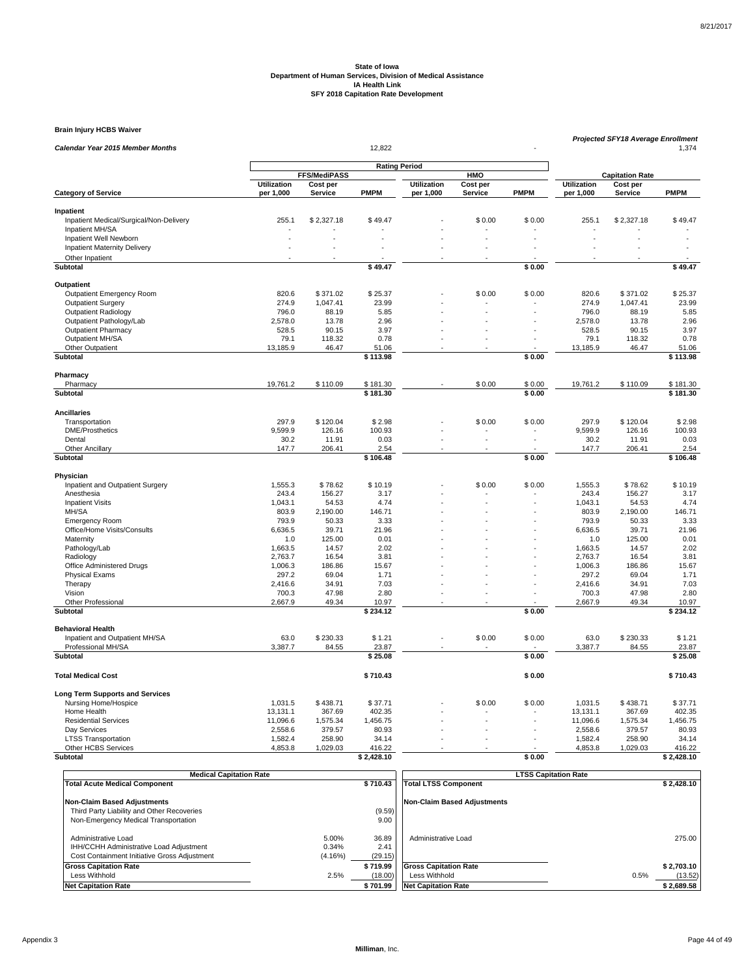**Brain Injury HCBS Waiver**

| <b>Calendar Year 2015 Member Months</b>                |                    |                     | 12,822            |                      |          |             | Projected SFY18 Average Enrollment<br>1,374 |                        |                   |  |
|--------------------------------------------------------|--------------------|---------------------|-------------------|----------------------|----------|-------------|---------------------------------------------|------------------------|-------------------|--|
|                                                        |                    |                     |                   |                      |          |             |                                             |                        |                   |  |
|                                                        |                    | <b>FFS/MediPASS</b> |                   | <b>Rating Period</b> | HMO      |             |                                             | <b>Capitation Rate</b> |                   |  |
|                                                        | Utilization        | Cost per            |                   | <b>Utilization</b>   | Cost per |             | <b>Utilization</b>                          | Cost per               |                   |  |
| <b>Category of Service</b>                             | per 1,000          | Service             | <b>PMPM</b>       | per 1,000            | Service  | <b>PMPM</b> | per 1,000                                   | Service                | <b>PMPM</b>       |  |
| Inpatient                                              |                    |                     |                   |                      |          |             |                                             |                        |                   |  |
| Inpatient Medical/Surgical/Non-Delivery                | 255.1              | \$2,327.18          | \$49.47           |                      | \$0.00   | \$0.00      | 255.1                                       | \$2,327.18             | \$49.47           |  |
| Inpatient MH/SA                                        |                    |                     |                   |                      |          |             |                                             |                        |                   |  |
| Inpatient Well Newborn                                 |                    |                     |                   |                      |          |             |                                             |                        |                   |  |
| <b>Inpatient Maternity Delivery</b>                    |                    |                     |                   |                      |          |             |                                             |                        |                   |  |
| Other Inpatient                                        |                    |                     |                   |                      |          |             |                                             |                        |                   |  |
| <b>Subtotal</b>                                        |                    |                     | \$49.47           |                      |          | \$0.00      |                                             |                        | \$49.47           |  |
| Outpatient                                             |                    |                     |                   |                      |          |             |                                             |                        |                   |  |
| <b>Outpatient Emergency Room</b>                       | 820.6              | \$371.02            | \$25.37           |                      | \$0.00   | \$0.00      | 820.6                                       | \$371.02               | \$25.37           |  |
| <b>Outpatient Surgery</b>                              | 274.9              | 1,047.41            | 23.99             |                      |          |             | 274.9                                       | 1,047.41               | 23.99             |  |
| <b>Outpatient Radiology</b>                            | 796.0              | 88.19               | 5.85              |                      | ÷.       |             | 796.0                                       | 88.19                  | 5.85              |  |
| Outpatient Pathology/Lab<br><b>Outpatient Pharmacy</b> | 2,578.0<br>528.5   | 13.78<br>90.15      | 2.96<br>3.97      |                      |          |             | 2,578.0<br>528.5                            | 13.78<br>90.15         | 2.96<br>3.97      |  |
| Outpatient MH/SA                                       | 79.1               | 118.32              | 0.78              |                      |          |             | 79.1                                        | 118.32                 | 0.78              |  |
| Other Outpatient                                       | 13,185.9           | 46.47               | 51.06             |                      |          |             | 13,185.9                                    | 46.47                  | 51.06             |  |
| Subtotal                                               |                    |                     | \$113.98          |                      |          | \$0.00      |                                             |                        | \$113.98          |  |
| Pharmacy                                               |                    |                     |                   |                      |          |             |                                             |                        |                   |  |
| Pharmacy                                               | 19,761.2           | \$110.09            | \$181.30          |                      | \$0.00   | \$0.00      | 19,761.2                                    | \$110.09               | \$181.30          |  |
| Subtotal                                               |                    |                     | \$181.30          |                      |          | \$0.00      |                                             |                        | \$181.30          |  |
|                                                        |                    |                     |                   |                      |          |             |                                             |                        |                   |  |
| <b>Ancillaries</b>                                     |                    |                     |                   |                      |          |             |                                             |                        |                   |  |
| Transportation<br><b>DME/Prosthetics</b>               | 297.9<br>9,599.9   | \$120.04<br>126.16  | \$2.98<br>100.93  |                      | \$0.00   | \$0.00      | 297.9<br>9,599.9                            | \$120.04<br>126.16     | \$2.98<br>100.93  |  |
| Dental                                                 | 30.2               | 11.91               | 0.03              |                      | ä,       |             | 30.2                                        | 11.91                  | 0.03              |  |
| <b>Other Ancillary</b>                                 | 147.7              | 206.41              | 2.54              |                      |          |             | 147.7                                       | 206.41                 | 2.54              |  |
| Subtotal                                               |                    |                     | \$106.48          |                      |          | \$0.00      |                                             |                        | \$106.48          |  |
| Physician                                              |                    |                     |                   |                      |          |             |                                             |                        |                   |  |
| Inpatient and Outpatient Surgery                       | 1,555.3            | \$78.62             | \$10.19           |                      | \$0.00   | \$0.00      | 1,555.3                                     | \$78.62                | \$10.19           |  |
| Anesthesia                                             | 243.4              | 156.27              | 3.17              |                      |          |             | 243.4                                       | 156.27                 | 3.17              |  |
| <b>Inpatient Visits</b>                                | 1,043.1            | 54.53               | 4.74              |                      | L.       |             | 1,043.1                                     | 54.53                  | 4.74              |  |
| MH/SA                                                  | 803.9              | 2,190.00            | 146.71            |                      |          |             | 803.9                                       | 2,190.00               | 146.71            |  |
| <b>Emergency Room</b>                                  | 793.9              | 50.33               | 3.33              |                      |          |             | 793.9                                       | 50.33                  | 3.33              |  |
| Office/Home Visits/Consults                            | 6,636.5            | 39.71               | 21.96             |                      |          |             | 6,636.5                                     | 39.71                  | 21.96             |  |
| Maternity                                              | 1.0<br>1,663.5     | 125.00<br>14.57     | 0.01<br>2.02      |                      |          |             | 1.0<br>1,663.5                              | 125.00<br>14.57        | 0.01<br>2.02      |  |
| Pathology/Lab<br>Radiology                             | 2,763.7            | 16.54               | 3.81              |                      |          |             | 2,763.7                                     | 16.54                  | 3.81              |  |
| Office Administered Drugs                              | 1,006.3            | 186.86              | 15.67             |                      |          |             | 1,006.3                                     | 186.86                 | 15.67             |  |
| <b>Physical Exams</b>                                  | 297.2              | 69.04               | 1.71              |                      |          |             | 297.2                                       | 69.04                  | 1.71              |  |
| Therapy                                                | 2,416.6            | 34.91               | 7.03              |                      |          |             | 2,416.6                                     | 34.91                  | 7.03              |  |
| Vision                                                 | 700.3              | 47.98               | 2.80              |                      |          |             | 700.3                                       | 47.98                  | 2.80              |  |
| <b>Other Professional</b><br>Subtotal                  | 2,667.9            | 49.34               | 10.97<br>\$234.12 |                      |          | \$0.00      | 2.667.9                                     | 49.34                  | 10.97<br>\$234.12 |  |
|                                                        |                    |                     |                   |                      |          |             |                                             |                        |                   |  |
| <b>Behavioral Health</b>                               |                    |                     |                   |                      |          |             |                                             |                        |                   |  |
| Inpatient and Outpatient MH/SA<br>Professional MH/SA   | 63.0<br>3,387.7    | \$230.33<br>84.55   | \$1.21<br>23.87   |                      | \$0.00   | \$0.00      | 63.0<br>3,387.7                             | \$230.33<br>84.55      | \$1.21<br>23.87   |  |
| Subtotal                                               |                    |                     | \$25.08           |                      |          | \$0.00      |                                             |                        | \$25.08           |  |
|                                                        |                    |                     |                   |                      |          |             |                                             |                        |                   |  |
| <b>Total Medical Cost</b>                              |                    |                     | \$710.43          |                      |          | \$0.00      |                                             |                        | \$710.43          |  |
| <b>Long Term Supports and Services</b>                 |                    |                     |                   |                      |          |             |                                             |                        |                   |  |
| Nursing Home/Hospice                                   | 1,031.5            | \$438.71            | \$37.71           |                      | \$0.00   | \$0.00      | 1,031.5                                     | \$438.71               | \$37.71           |  |
| Home Health                                            | 13,131.1           | 367.69              | 402.35            |                      |          |             | 13,131.1                                    | 367.69                 | 402.35            |  |
| <b>Residential Services</b>                            | 11,096.6           | 1,575.34            | 1,456.75          |                      |          |             | 11,096.6                                    | 1,575.34               | 1,456.75          |  |
| Day Services                                           | 2,558.6<br>1,582.4 | 379.57<br>258.90    | 80.93<br>34.14    |                      | ÷.       |             | 2,558.6<br>1,582.4                          | 379.57<br>258.90       | 80.93<br>34.14    |  |
| <b>LTSS Transportation</b><br>Other HCBS Services      | 4,853.8            | 1,029.03            | 416.22            |                      |          |             | 4,853.8                                     | 1,029.03               | 416.22            |  |
| <b>Subtotal</b>                                        |                    |                     | \$2,428.10        |                      |          | \$0.00      |                                             |                        | \$2,428.10        |  |
|                                                        |                    |                     |                   |                      |          |             |                                             |                        |                   |  |

| <b>Medical Capitation Rate</b>               |         |                | <b>LTSS Capitation Rate</b>  |                 |  |  |  |
|----------------------------------------------|---------|----------------|------------------------------|-----------------|--|--|--|
| <b>Total Acute Medical Component</b>         |         | \$710.43       | <b>Total LTSS Component</b>  | \$2.428.10      |  |  |  |
| <b>Non-Claim Based Adjustments</b>           |         |                | Non-Claim Based Adiustments  |                 |  |  |  |
| Third Party Liability and Other Recoveries   |         | (9.59)<br>9.00 |                              |                 |  |  |  |
| Non-Emergency Medical Transportation         |         |                |                              |                 |  |  |  |
| Administrative Load                          | 5.00%   | 36.89          | Administrative Load          | 275.00          |  |  |  |
| IHH/CCHH Administrative Load Adjustment      | 0.34%   | 2.41           |                              |                 |  |  |  |
| Cost Containment Initiative Gross Adjustment | (4.16%) | (29.15)        |                              |                 |  |  |  |
| <b>Gross Capitation Rate</b>                 |         | \$719.99       | <b>Gross Capitation Rate</b> | \$2.703.10      |  |  |  |
| Less Withhold                                | 2.5%    | (18.00)        | Less Withhold                | 0.5%<br>(13.52) |  |  |  |
| <b>Net Capitation Rate</b>                   |         | \$701.99       | <b>Net Capitation Rate</b>   | \$2,689.58      |  |  |  |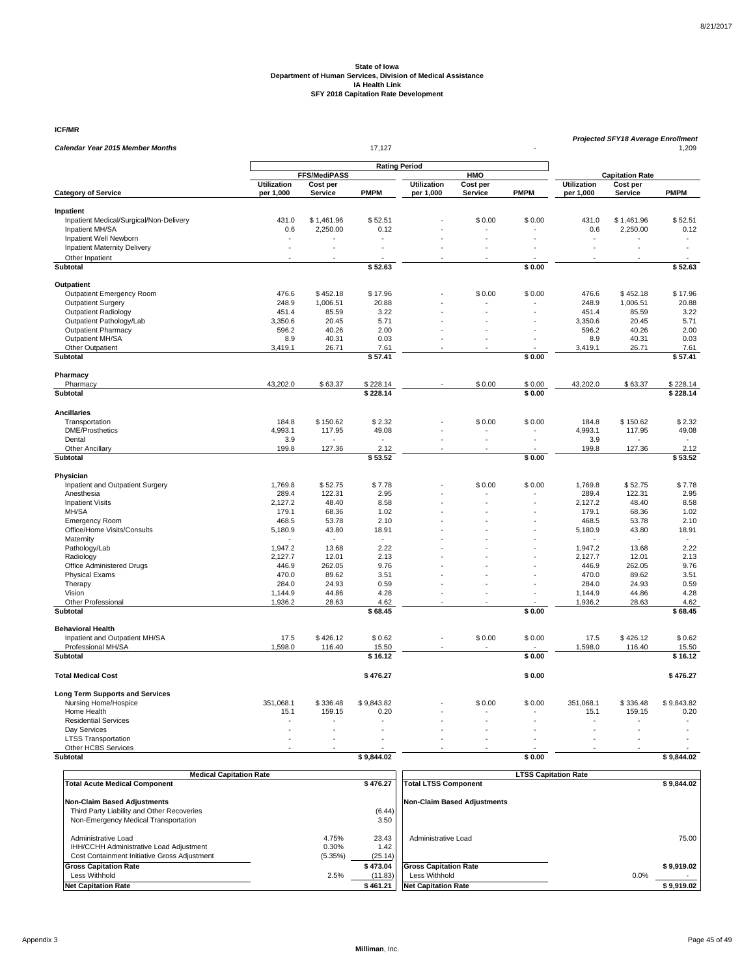**ICF/MR**

| <b>Calendar Year 2015 Member Months</b>              |                            |                     | 17,127               |                    |            |             | Projected SFY18 Average Enrollment<br>1,209 |                        |                 |  |
|------------------------------------------------------|----------------------------|---------------------|----------------------|--------------------|------------|-------------|---------------------------------------------|------------------------|-----------------|--|
|                                                      |                            |                     |                      |                    |            |             |                                             |                        |                 |  |
|                                                      |                            | <b>FFS/MediPASS</b> | <b>Rating Period</b> |                    | <b>HMO</b> |             |                                             | <b>Capitation Rate</b> |                 |  |
|                                                      | <b>Utilization</b>         | Cost per            |                      | <b>Utilization</b> | Cost per   |             | <b>Utilization</b>                          | Cost per               |                 |  |
| <b>Category of Service</b>                           | per 1,000                  | Service             | <b>PMPM</b>          | per 1,000          | Service    | <b>PMPM</b> | per 1,000                                   | Service                | <b>PMPM</b>     |  |
| Inpatient                                            |                            |                     |                      |                    |            |             |                                             |                        |                 |  |
| Inpatient Medical/Surgical/Non-Delivery              | 431.0                      | \$1,461.96          | \$52.51              |                    | \$0.00     | \$0.00      | 431.0                                       | \$1,461.96             | \$52.51         |  |
| Inpatient MH/SA                                      | 0.6                        | 2,250.00            | 0.12                 |                    |            |             | 0.6                                         | 2,250.00               | 0.12            |  |
| Inpatient Well Newborn                               |                            |                     |                      |                    |            |             |                                             |                        |                 |  |
| <b>Inpatient Maternity Delivery</b>                  | ÷.                         | ÷,                  |                      |                    |            |             |                                             | ÷,                     |                 |  |
| Other Inpatient                                      |                            |                     |                      |                    |            |             |                                             |                        |                 |  |
| Subtotal                                             |                            |                     | \$52.63              |                    |            | \$0.00      |                                             |                        | \$52.63         |  |
| Outpatient                                           |                            |                     |                      |                    |            |             |                                             |                        |                 |  |
| Outpatient Emergency Room                            | 476.6                      | \$452.18            | \$17.96              |                    | \$0.00     | \$0.00      | 476.6                                       | \$452.18               | \$17.96         |  |
| <b>Outpatient Surgery</b>                            | 248.9                      | 1,006.51            | 20.88                |                    |            |             | 248.9                                       | 1,006.51               | 20.88           |  |
| <b>Outpatient Radiology</b>                          | 451.4                      | 85.59               | 3.22                 |                    |            |             | 451.4                                       | 85.59                  | 3.22            |  |
| Outpatient Pathology/Lab                             | 3,350.6                    | 20.45               | 5.71                 |                    |            |             | 3,350.6                                     | 20.45                  | 5.71            |  |
| <b>Outpatient Pharmacy</b>                           | 596.2                      | 40.26               | 2.00                 |                    |            |             | 596.2                                       | 40.26                  | 2.00            |  |
| Outpatient MH/SA                                     | 8.9                        | 40.31               | 0.03                 |                    |            |             | 8.9                                         | 40.31                  | 0.03            |  |
| Other Outpatient<br><b>Subtotal</b>                  | 3,419.1                    | 26.71               | 7.61<br>\$57.41      |                    |            | \$0.00      | 3,419.1                                     | 26.71                  | 7.61<br>\$57.41 |  |
|                                                      |                            |                     |                      |                    |            |             |                                             |                        |                 |  |
| Pharmacy                                             |                            |                     |                      |                    |            |             |                                             |                        |                 |  |
| Pharmacy                                             | 43,202.0                   | \$63.37             | \$228.14             |                    | \$0.00     | \$0.00      | 43,202.0                                    | \$63.37                | \$228.14        |  |
| <b>Subtotal</b>                                      |                            |                     | \$228.14             |                    |            | \$0.00      |                                             |                        | \$228.14        |  |
| <b>Ancillaries</b>                                   |                            |                     |                      |                    |            |             |                                             |                        |                 |  |
| Transportation                                       | 184.8                      | \$150.62            | \$2.32               |                    | \$0.00     | \$0.00      | 184.8                                       | \$150.62               | \$2.32          |  |
| <b>DME/Prosthetics</b>                               | 4,993.1                    | 117.95              | 49.08                |                    |            |             | 4,993.1                                     | 117.95                 | 49.08           |  |
| Dental                                               | 3.9                        |                     |                      |                    |            |             | 3.9                                         |                        |                 |  |
| Other Ancillary                                      | 199.8                      | 127.36              | 2.12                 |                    |            |             | 199.8                                       | 127.36                 | 2.12            |  |
| Subtotal                                             |                            |                     | \$53.52              |                    |            | \$0.00      |                                             |                        | \$53.52         |  |
| Physician                                            |                            |                     |                      |                    |            |             |                                             |                        |                 |  |
| Inpatient and Outpatient Surgery                     | 1,769.8                    | \$52.75             | \$7.78               |                    | \$0.00     | \$0.00      | 1,769.8                                     | \$52.75                | \$7.78          |  |
| Anesthesia                                           | 289.4                      | 122.31              | 2.95                 |                    |            |             | 289.4                                       | 122.31                 | 2.95            |  |
| <b>Inpatient Visits</b>                              | 2,127.2                    | 48.40               | 8.58                 |                    |            |             | 2,127.2                                     | 48.40                  | 8.58            |  |
| MH/SA                                                | 179.1                      | 68.36               | 1.02                 |                    |            |             | 179.1                                       | 68.36                  | 1.02            |  |
| <b>Emergency Room</b><br>Office/Home Visits/Consults | 468.5<br>5,180.9           | 53.78<br>43.80      | 2.10<br>18.91        |                    |            |             | 468.5<br>5,180.9                            | 53.78<br>43.80         | 2.10<br>18.91   |  |
| Maternity                                            |                            |                     |                      |                    |            |             |                                             |                        |                 |  |
| Pathology/Lab                                        | 1.947.2                    | 13.68               | 2.22                 |                    |            |             | 1.947.2                                     | 13.68                  | 2.22            |  |
| Radiology                                            | 2,127.7                    | 12.01               | 2.13                 |                    |            |             | 2,127.7                                     | 12.01                  | 2.13            |  |
| Office Administered Drugs                            | 446.9                      | 262.05              | 9.76                 |                    |            |             | 446.9                                       | 262.05                 | 9.76            |  |
| <b>Physical Exams</b>                                | 470.0                      | 89.62               | 3.51                 |                    |            |             | 470.0                                       | 89.62                  | 3.51            |  |
| Therapy                                              | 284.0                      | 24.93               | 0.59                 |                    |            |             | 284.0                                       | 24.93                  | 0.59            |  |
| Vision<br>Other Professional                         | 1,144.9<br>1,936.2         | 44.86<br>28.63      | 4.28<br>4.62         |                    |            |             | 1,144.9<br>1,936.2                          | 44.86<br>28.63         | 4.28<br>4.62    |  |
| Subtotal                                             |                            |                     | \$68.45              |                    |            | \$0.00      |                                             |                        | \$68.45         |  |
|                                                      |                            |                     |                      |                    |            |             |                                             |                        |                 |  |
| <b>Behavioral Health</b>                             |                            |                     |                      |                    |            |             |                                             |                        |                 |  |
| Inpatient and Outpatient MH/SA<br>Professional MH/SA | 17.5<br>1,598.0            | \$426.12<br>116.40  | \$0.62<br>15.50      |                    | \$0.00     | \$0.00      | 17.5<br>1,598.0                             | \$426.12<br>116.40     | \$0.62<br>15.50 |  |
| <b>Subtotal</b>                                      |                            |                     | \$16.12              |                    |            | \$0.00      |                                             |                        | \$16.12         |  |
|                                                      |                            |                     |                      |                    |            |             |                                             |                        |                 |  |
| <b>Total Medical Cost</b>                            |                            |                     | \$476.27             |                    |            | \$0.00      |                                             |                        | \$476.27        |  |
| <b>Long Term Supports and Services</b>               |                            |                     |                      |                    |            |             |                                             |                        |                 |  |
| Nursing Home/Hospice                                 | 351,068.1                  | \$336.48            | \$9,843.82           |                    | \$0.00     | \$0.00      | 351,068.1                                   | \$336.48               | \$9,843.82      |  |
| Home Health                                          | 15.1                       | 159.15              | 0.20                 |                    |            |             | 15.1                                        | 159.15                 | 0.20            |  |
| <b>Residential Services</b>                          |                            |                     |                      |                    |            |             |                                             |                        |                 |  |
| Day Services                                         | $\ddot{\phantom{1}}$<br>÷. | L.                  |                      |                    |            |             |                                             | ÷,                     |                 |  |
| <b>LTSS Transportation</b><br>Other HCBS Services    |                            |                     |                      |                    |            |             |                                             |                        |                 |  |
| Subtotal                                             |                            |                     | \$9,844.02           |                    |            | \$0.00      |                                             |                        | \$9,844.02      |  |
|                                                      |                            |                     |                      |                    |            |             |                                             |                        |                 |  |

| <b>Medical Capitation Rate</b>                                                                                 |                           |                          | <b>LTSS Capitation Rate</b>        |            |
|----------------------------------------------------------------------------------------------------------------|---------------------------|--------------------------|------------------------------------|------------|
| <b>Total Acute Medical Component</b>                                                                           |                           | \$476.27                 | <b>Total LTSS Component</b>        | \$9.844.02 |
| <b>Non-Claim Based Adjustments</b>                                                                             |                           |                          | <b>Non-Claim Based Adjustments</b> |            |
| Third Party Liability and Other Recoveries                                                                     |                           | (6.44)                   |                                    |            |
| Non-Emergency Medical Transportation                                                                           |                           | 3.50                     |                                    |            |
| Administrative Load<br>IHH/CCHH Administrative Load Adjustment<br>Cost Containment Initiative Gross Adjustment | 4.75%<br>0.30%<br>(5.35%) | 23.43<br>1.42<br>(25.14) | Administrative Load                | 75.00      |
| <b>Gross Capitation Rate</b>                                                                                   |                           | \$473.04                 | <b>Gross Capitation Rate</b>       | \$9.919.02 |
| Less Withhold                                                                                                  | 2.5%                      | (11.83)                  | Less Withhold                      | 0.0%       |
| <b>Net Capitation Rate</b>                                                                                     |                           | \$461.21                 | <b>Net Capitation Rate</b>         | \$9,919.02 |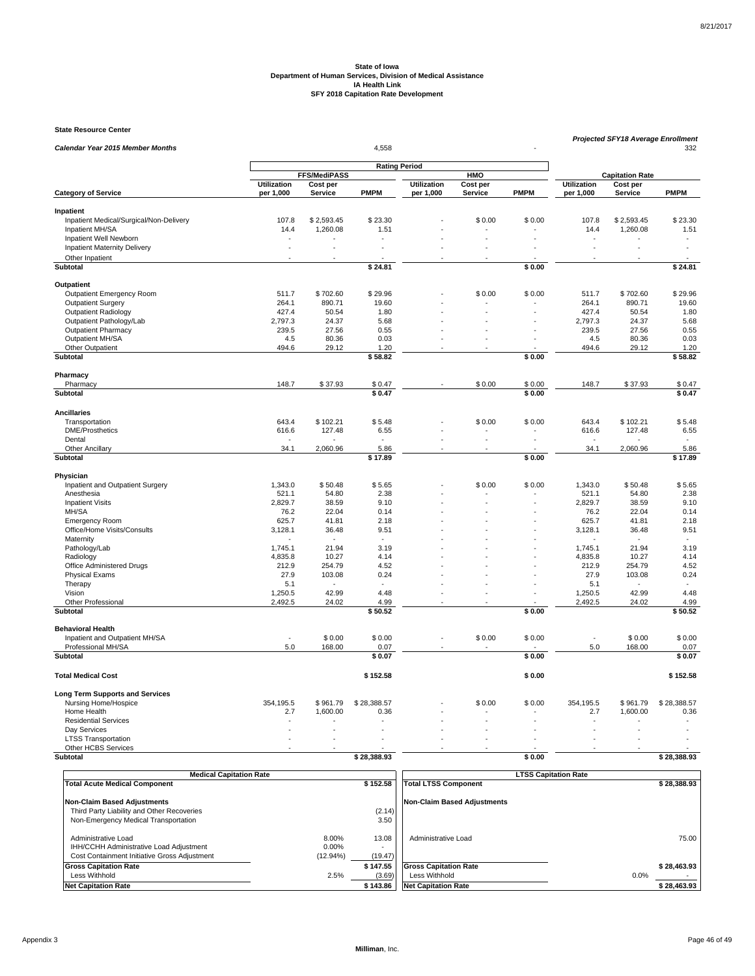**State Resource Center**

| Calendar Year 2015 Member Months                     | Projected SFY18 Average Enrollment<br>4,558 |                                 |                 |                    |                 |             |                    |                                    |                 |  |
|------------------------------------------------------|---------------------------------------------|---------------------------------|-----------------|--------------------|-----------------|-------------|--------------------|------------------------------------|-----------------|--|
|                                                      |                                             |                                 |                 |                    | 332             |             |                    |                                    |                 |  |
|                                                      |                                             | <b>Rating Period</b>            |                 |                    |                 |             |                    |                                    |                 |  |
|                                                      | <b>Utilization</b>                          | <b>FFS/MediPASS</b><br>Cost per |                 | <b>Utilization</b> | HMO<br>Cost per |             | <b>Utilization</b> | <b>Capitation Rate</b><br>Cost per |                 |  |
| <b>Category of Service</b>                           | per 1,000                                   | Service                         | <b>PMPM</b>     | per 1,000          | Service         | <b>PMPM</b> | per 1,000          | Service                            | <b>PMPM</b>     |  |
|                                                      |                                             |                                 |                 |                    |                 |             |                    |                                    |                 |  |
| Inpatient<br>Inpatient Medical/Surgical/Non-Delivery | 107.8                                       | \$2,593.45                      | \$23.30         |                    | \$0.00          | \$0.00      | 107.8              | \$2,593.45                         | \$23.30         |  |
| Inpatient MH/SA                                      | 14.4                                        | 1,260.08                        | 1.51            |                    |                 |             | 14.4               | 1,260.08                           | 1.51            |  |
| Inpatient Well Newborn                               |                                             |                                 |                 |                    |                 |             |                    |                                    | ÷.              |  |
| <b>Inpatient Maternity Delivery</b>                  |                                             |                                 |                 |                    |                 |             |                    |                                    |                 |  |
| Other Inpatient                                      |                                             |                                 |                 |                    |                 |             |                    |                                    |                 |  |
| Subtotal                                             |                                             |                                 | \$24.81         |                    |                 | \$0.00      |                    |                                    | \$24.81         |  |
| Outpatient                                           |                                             |                                 |                 |                    |                 |             |                    |                                    |                 |  |
| Outpatient Emergency Room                            | 511.7                                       | \$702.60                        | \$29.96         |                    | \$0.00          | \$0.00      | 511.7              | \$702.60                           | \$29.96         |  |
| <b>Outpatient Surgery</b>                            | 264.1                                       | 890.71                          | 19.60           |                    |                 |             | 264.1              | 890.71                             | 19.60           |  |
| <b>Outpatient Radiology</b>                          | 427.4                                       | 50.54                           | 1.80            |                    |                 |             | 427.4              | 50.54                              | 1.80            |  |
| Outpatient Pathology/Lab                             | 2,797.3                                     | 24.37                           | 5.68            |                    |                 |             | 2,797.3            | 24.37                              | 5.68            |  |
| <b>Outpatient Pharmacy</b>                           | 239.5                                       | 27.56                           | 0.55            |                    |                 |             | 239.5              | 27.56                              | 0.55            |  |
| Outpatient MH/SA                                     | 4.5                                         | 80.36                           | 0.03            |                    | ÷.              |             | 4.5                | 80.36                              | 0.03            |  |
| Other Outpatient                                     | 494.6                                       | 29.12                           | 1.20            |                    |                 |             | 494.6              | 29.12                              | 1.20            |  |
| Subtotal                                             |                                             |                                 | \$58.82         |                    |                 | \$0.00      |                    |                                    | \$58.82         |  |
| Pharmacy                                             |                                             |                                 |                 |                    |                 |             |                    |                                    |                 |  |
| Pharmacy                                             | 148.7                                       | \$37.93                         | \$0.47          |                    | \$0.00          | \$0.00      | 148.7              | \$37.93                            | \$0.47          |  |
| Subtotal                                             |                                             |                                 | \$0.47          |                    |                 | \$0.00      |                    |                                    | \$0.47          |  |
| <b>Ancillaries</b>                                   |                                             |                                 |                 |                    |                 |             |                    |                                    |                 |  |
| Transportation                                       | 643.4                                       | \$102.21                        | \$5.48          |                    | \$0.00          | \$0.00      | 643.4              | \$102.21                           | \$5.48          |  |
| <b>DME/Prosthetics</b>                               | 616.6                                       | 127.48                          | 6.55            |                    |                 |             | 616.6              | 127.48                             | 6.55            |  |
| Dental                                               |                                             |                                 |                 |                    |                 |             |                    |                                    |                 |  |
| <b>Other Ancillary</b><br>Subtotal                   | 34.1                                        | 2,060.96                        | 5.86<br>\$17.89 |                    |                 | \$0.00      | 34.1               | 2,060.96                           | 5.86<br>\$17.89 |  |
|                                                      |                                             |                                 |                 |                    |                 |             |                    |                                    |                 |  |
| Physician                                            |                                             |                                 |                 |                    |                 |             |                    |                                    |                 |  |
| Inpatient and Outpatient Surgery                     | 1,343.0                                     | \$50.48                         | \$5.65          |                    | \$0.00          | \$0.00      | 1,343.0            | \$50.48                            | \$5.65          |  |
| Anesthesia                                           | 521.1<br>2,829.7                            | 54.80<br>38.59                  | 2.38<br>9.10    |                    |                 |             | 521.1              | 54.80                              | 2.38<br>9.10    |  |
| <b>Inpatient Visits</b><br>MH/SA                     | 76.2                                        | 22.04                           | 0.14            |                    |                 |             | 2,829.7<br>76.2    | 38.59<br>22.04                     | 0.14            |  |
| <b>Emergency Room</b>                                | 625.7                                       | 41.81                           | 2.18            |                    |                 |             | 625.7              | 41.81                              | 2.18            |  |
| Office/Home Visits/Consults                          | 3,128.1                                     | 36.48                           | 9.51            |                    |                 |             | 3,128.1            | 36.48                              | 9.51            |  |
| Maternity                                            |                                             |                                 |                 |                    |                 |             |                    |                                    | $\sim$          |  |
| Pathology/Lab                                        | 1,745.1                                     | 21.94                           | 3.19            |                    |                 |             | 1,745.1            | 21.94                              | 3.19            |  |
| Radiology                                            | 4,835.8                                     | 10.27                           | 4.14            |                    |                 |             | 4,835.8            | 10.27                              | 4.14            |  |
| Office Administered Drugs                            | 212.9                                       | 254.79                          | 4.52            |                    |                 |             | 212.9              | 254.79                             | 4.52            |  |
| <b>Physical Exams</b>                                | 27.9                                        | 103.08                          | 0.24            |                    |                 |             | 27.9               | 103.08                             | 0.24            |  |
| Therapy                                              | 5.1                                         |                                 |                 |                    |                 |             | 5.1                |                                    | $\sim$          |  |
| Vision                                               | 1,250.5                                     | 42.99                           | 4.48            |                    |                 |             | 1,250.5            | 42.99                              | 4.48            |  |
| Other Professional                                   | 2,492.5                                     | 24.02                           | 4.99            |                    |                 |             | 2.492.5            | 24.02                              | 4.99            |  |
| Subtotal                                             |                                             |                                 | \$50.52         |                    |                 | \$0.00      |                    |                                    | \$50.52         |  |
| <b>Behavioral Health</b>                             |                                             |                                 |                 |                    |                 |             |                    |                                    |                 |  |
| Inpatient and Outpatient MH/SA                       |                                             | \$0.00                          | \$0.00          |                    | \$0.00          | \$0.00      |                    | \$0.00                             | \$0.00          |  |
| Professional MH/SA                                   | 5.0                                         | 168.00                          | 0.07            |                    |                 |             | 5.0                | 168.00                             | 0.07            |  |
| Subtotal                                             |                                             |                                 | \$0.07          |                    |                 | \$0.00      |                    |                                    | \$0.07          |  |
| <b>Total Medical Cost</b>                            |                                             |                                 | \$152.58        |                    |                 | \$0.00      |                    |                                    | \$152.58        |  |
| <b>Long Term Supports and Services</b>               |                                             |                                 |                 |                    |                 |             |                    |                                    |                 |  |
| Nursing Home/Hospice                                 | 354,195.5                                   | \$961.79                        | \$28,388.57     |                    | \$0.00          | \$0.00      | 354,195.5          | \$961.79                           | \$28,388.57     |  |
| Home Health                                          | 2.7                                         | 1,600.00                        | 0.36            |                    |                 |             | 2.7                | 1,600.00                           | 0.36            |  |
| <b>Residential Services</b>                          |                                             |                                 |                 |                    |                 |             |                    |                                    |                 |  |
| Dav Services                                         |                                             |                                 |                 |                    |                 |             |                    |                                    |                 |  |
| <b>LTSS Transportation</b><br>Other HCBS Services    |                                             |                                 |                 |                    |                 |             |                    |                                    |                 |  |
| Subtotal                                             |                                             |                                 | \$28,388.93     |                    |                 | \$0.00      |                    |                                    | \$28,388.93     |  |
|                                                      |                                             |                                 |                 |                    |                 |             |                    |                                    |                 |  |
|                                                      |                                             |                                 |                 |                    |                 |             |                    |                                    |                 |  |

| <b>Medical Capitation Rate</b>                                                                                 |                                  |                       |                                               | <b>LTSS Capitation Rate</b> |             |
|----------------------------------------------------------------------------------------------------------------|----------------------------------|-----------------------|-----------------------------------------------|-----------------------------|-------------|
| <b>Total Acute Medical Component</b>                                                                           |                                  | \$152.58              | <b>Total LTSS Component</b>                   |                             | \$28,388.93 |
| <b>Non-Claim Based Adjustments</b>                                                                             |                                  |                       | Non-Claim Based Adiustments                   |                             |             |
| Third Party Liability and Other Recoveries<br>Non-Emergency Medical Transportation                             |                                  | (2.14)<br>3.50        |                                               |                             |             |
| Administrative Load<br>IHH/CCHH Administrative Load Adjustment<br>Cost Containment Initiative Gross Adjustment | 8.00%<br>$0.00\%$<br>$(12.94\%)$ | 13.08<br>-<br>(19.47) | Administrative Load                           |                             | 75.00       |
| <b>Gross Capitation Rate</b><br>Less Withhold                                                                  | 2.5%                             | \$147.55<br>(3.69)    | <b>Gross Capitation Rate</b><br>Less Withhold | 0.0%                        | \$28.463.93 |
| <b>Net Capitation Rate</b>                                                                                     |                                  | \$143.86              | <b>Net Capitation Rate</b>                    |                             | \$28,463.93 |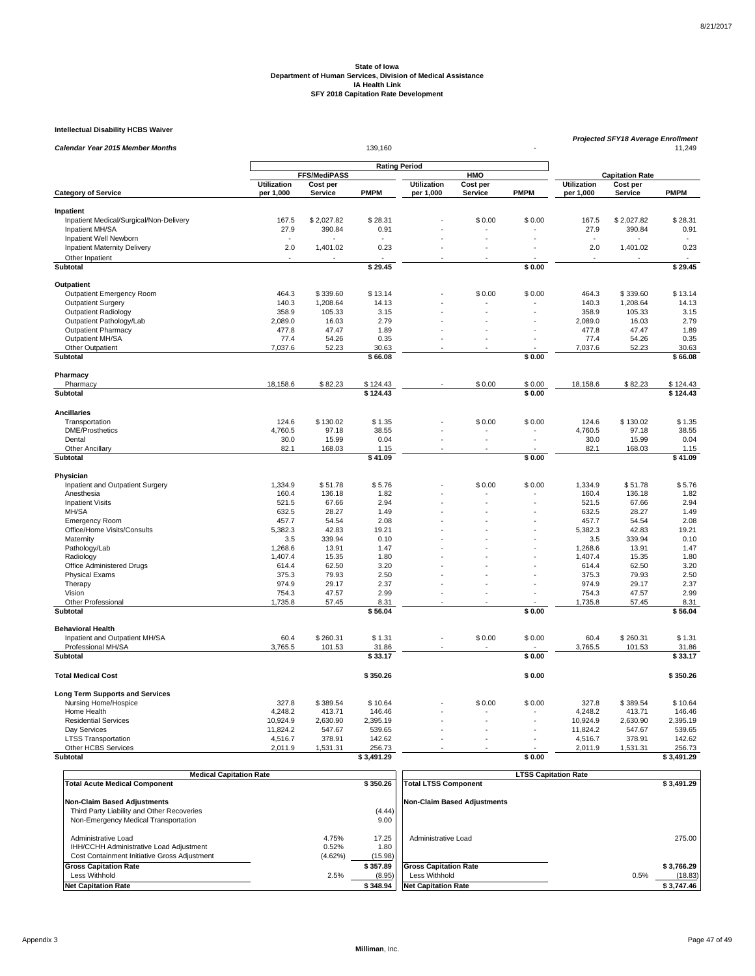#### **Intellectual Disability HCBS Waiver**

| Projected SFY18 Average Enrollment<br>139,160<br><b>Calendar Year 2015 Member Months</b><br>11,249<br><b>Rating Period</b><br>FFS/MediPASS<br>HMO<br><b>Capitation Rate</b><br><b>Utilization</b><br>Utilization<br>Cost per<br><b>Utilization</b><br>Cost per<br>Cost per<br><b>PMPM</b><br><b>PMPM</b><br><b>PMPM</b><br><b>Category of Service</b><br>per 1,000<br>Service<br>per 1,000<br>Service<br>per 1,000<br>Service<br>Inpatient<br>Inpatient Medical/Surgical/Non-Delivery<br>167.5<br>\$2,027.82<br>\$28.31<br>\$0.00<br>\$0.00<br>167.5<br>\$2,027.82<br>\$28.31<br>27.9<br>0.91<br>Inpatient MH/SA<br>390.84<br>0.91<br>27.9<br>390.84<br>Inpatient Well Newborn<br>2.0<br>1,401.02<br>2.0<br><b>Inpatient Maternity Delivery</b><br>0.23<br>1,401.02<br>0.23<br>Other Inpatient<br>\$0.00<br>Subtotal<br>\$29.45<br>\$29.45<br>Outpatient<br>Outpatient Emergency Room<br>464.3<br>\$339.60<br>\$13.14<br>\$0.00<br>\$0.00<br>464.3<br>\$339.60<br>\$13.14<br>140.3<br>1,208.64<br>1,208.64<br>14.13<br><b>Outpatient Surgery</b><br>14.13<br>140.3<br>358.9<br><b>Outpatient Radiology</b><br>105.33<br>3.15<br>358.9<br>105.33<br>3.15<br>Outpatient Pathology/Lab<br>2,089.0<br>16.03<br>2.79<br>2,089.0<br>16.03<br>2.79<br><b>Outpatient Pharmacy</b><br>477.8<br>47.47<br>1.89<br>477.8<br>47.47<br>1.89<br>Outpatient MH/SA<br>54.26<br>0.35<br>54.26<br>0.35<br>77.4<br>77.4<br>÷<br>Other Outpatient<br>7,037.6<br>52.23<br>30.63<br>7,037.6<br>52.23<br>30.63<br>Subtotal<br>\$66.08<br>\$0.00<br>\$66.08<br>Pharmacy<br>Pharmacy<br>18,158.6<br>\$82.23<br>\$124.43<br>\$0.00<br>\$0.00<br>18,158.6<br>\$82.23<br>\$124.43<br>Subtotal<br>\$124.43<br>\$0.00<br>\$124.43<br><b>Ancillaries</b><br>124.6<br>\$130.02<br>\$1.35<br>\$0.00<br>\$0.00<br>124.6<br>\$130.02<br>\$1.35<br>Transportation<br><b>DME/Prosthetics</b><br>4,760.5<br>97.18<br>38.55<br>4,760.5<br>97.18<br>38.55<br>0.04<br>0.04<br>Dental<br>30.0<br>15.99<br>30.0<br>15.99<br>÷,<br>÷,<br>82.1<br>168.03<br>82.1<br>168.03<br>Other Ancillary<br>1.15<br>1.15<br>$\overline{\phantom{a}}$<br>\$0.00<br>\$41.09<br>Subtotal<br>\$41.09<br>Physician<br>1,334.9<br>\$0.00<br>Inpatient and Outpatient Surgery<br>\$51.78<br>\$5.76<br>\$0.00<br>1,334.9<br>\$51.78<br>\$5.76<br>136.18<br>136.18<br>1.82<br>Anesthesia<br>160.4<br>1.82<br>160.4<br>521.5<br>67.66<br>2.94<br>521.5<br>67.66<br>2.94<br><b>Inpatient Visits</b><br>MH/SA<br>632.5<br>28.27<br>1.49<br>632.5<br>28.27<br>1.49<br>2.08<br>457.7<br>54.54<br>2.08<br>457.7<br>54.54<br><b>Emergency Room</b><br>Office/Home Visits/Consults<br>5,382.3<br>42.83<br>19.21<br>5,382.3<br>42.83<br>19.21<br>Maternity<br>3.5<br>339.94<br>0.10<br>3.5<br>339.94<br>0.10<br>13.91<br>1.47<br>13.91<br>1.47<br>Pathology/Lab<br>1,268.6<br>1,268.6<br>1,407.4<br>15.35<br>1,407.4<br>15.35<br>1.80<br>Radiology<br>1.80<br>Office Administered Drugs<br>614.4<br>62.50<br>3.20<br>614.4<br>62.50<br>3.20<br>÷.<br><b>Physical Exams</b><br>375.3<br>79.93<br>2.50<br>375.3<br>79.93<br>2.50<br>974.9<br>29.17<br>29.17<br>2.37<br>Therapy<br>2.37<br>974.9<br>2.99<br>2.99<br>Vision<br>754.3<br>47.57<br>754.3<br>47.57<br>Other Professional<br>1,735.8<br>57.45<br>8.31<br>1,735.8<br>57.45<br>8.31<br>\$0.00<br>Subtotal<br>\$56.04<br>\$56.04<br><b>Behavioral Health</b><br>\$260.31<br>\$0.00<br>\$0.00<br>60.4<br>\$260.31<br>Inpatient and Outpatient MH/SA<br>60.4<br>\$1.31<br>\$1.31<br>Professional MH/SA<br>3,765.5<br>3,765.5<br>101.53<br>31.86<br>101.53<br>31.86<br>\$33.17<br>\$0.00<br>Subtotal<br>\$33.17<br><b>Total Medical Cost</b><br>\$350.26<br>\$0.00<br>\$350.26<br><b>Long Term Supports and Services</b><br>327.8<br>\$389.54<br>\$10.64<br>Nursing Home/Hospice<br>\$389.54<br>\$10.64<br>\$0.00<br>\$0.00<br>327.8<br>Home Health<br>4,248.2<br>413.71<br>146.46<br>4,248.2<br>413.71<br>146.46<br>10,924.9<br>2,630.90<br>10,924.9<br>2,630.90<br><b>Residential Services</b><br>2,395.19<br>2.395.19<br>11,824.2<br>Day Services<br>547.67<br>539.65<br>11,824.2<br>547.67<br>539.65<br>÷,<br><b>LTSS Transportation</b><br>4,516.7<br>378.91<br>142.62<br>4,516.7<br>378.91<br>142.62<br>Other HCBS Services<br>2,011.9<br>1,531.31<br>256.73<br>2,011.9<br>1,531.31<br>256.73<br><b>Subtotal</b><br>\$3.491.29<br>\$0.00<br>\$3.491.29 | <b>Intellectual Disability HCBS Waiver</b> |  |  |  |  |  |  |  |  |
|-------------------------------------------------------------------------------------------------------------------------------------------------------------------------------------------------------------------------------------------------------------------------------------------------------------------------------------------------------------------------------------------------------------------------------------------------------------------------------------------------------------------------------------------------------------------------------------------------------------------------------------------------------------------------------------------------------------------------------------------------------------------------------------------------------------------------------------------------------------------------------------------------------------------------------------------------------------------------------------------------------------------------------------------------------------------------------------------------------------------------------------------------------------------------------------------------------------------------------------------------------------------------------------------------------------------------------------------------------------------------------------------------------------------------------------------------------------------------------------------------------------------------------------------------------------------------------------------------------------------------------------------------------------------------------------------------------------------------------------------------------------------------------------------------------------------------------------------------------------------------------------------------------------------------------------------------------------------------------------------------------------------------------------------------------------------------------------------------------------------------------------------------------------------------------------------------------------------------------------------------------------------------------------------------------------------------------------------------------------------------------------------------------------------------------------------------------------------------------------------------------------------------------------------------------------------------------------------------------------------------------------------------------------------------------------------------------------------------------------------------------------------------------------------------------------------------------------------------------------------------------------------------------------------------------------------------------------------------------------------------------------------------------------------------------------------------------------------------------------------------------------------------------------------------------------------------------------------------------------------------------------------------------------------------------------------------------------------------------------------------------------------------------------------------------------------------------------------------------------------------------------------------------------------------------------------------------------------------------------------------------------------------------------------------------------------------------------------------------------------------------------------------------------------------------------------------------------------------------------------------------------------------------------------------------------------------------------------------------------------------------------------------------------------------------------------------------------------------------------------------------------------------------------------------------------------------------------------------------------------------------------------------------------------------------------------------------------|--------------------------------------------|--|--|--|--|--|--|--|--|
|                                                                                                                                                                                                                                                                                                                                                                                                                                                                                                                                                                                                                                                                                                                                                                                                                                                                                                                                                                                                                                                                                                                                                                                                                                                                                                                                                                                                                                                                                                                                                                                                                                                                                                                                                                                                                                                                                                                                                                                                                                                                                                                                                                                                                                                                                                                                                                                                                                                                                                                                                                                                                                                                                                                                                                                                                                                                                                                                                                                                                                                                                                                                                                                                                                                                                                                                                                                                                                                                                                                                                                                                                                                                                                                                                                                                                                                                                                                                                                                                                                                                                                                                                                                                                                                                                                                                     |                                            |  |  |  |  |  |  |  |  |
|                                                                                                                                                                                                                                                                                                                                                                                                                                                                                                                                                                                                                                                                                                                                                                                                                                                                                                                                                                                                                                                                                                                                                                                                                                                                                                                                                                                                                                                                                                                                                                                                                                                                                                                                                                                                                                                                                                                                                                                                                                                                                                                                                                                                                                                                                                                                                                                                                                                                                                                                                                                                                                                                                                                                                                                                                                                                                                                                                                                                                                                                                                                                                                                                                                                                                                                                                                                                                                                                                                                                                                                                                                                                                                                                                                                                                                                                                                                                                                                                                                                                                                                                                                                                                                                                                                                                     |                                            |  |  |  |  |  |  |  |  |
|                                                                                                                                                                                                                                                                                                                                                                                                                                                                                                                                                                                                                                                                                                                                                                                                                                                                                                                                                                                                                                                                                                                                                                                                                                                                                                                                                                                                                                                                                                                                                                                                                                                                                                                                                                                                                                                                                                                                                                                                                                                                                                                                                                                                                                                                                                                                                                                                                                                                                                                                                                                                                                                                                                                                                                                                                                                                                                                                                                                                                                                                                                                                                                                                                                                                                                                                                                                                                                                                                                                                                                                                                                                                                                                                                                                                                                                                                                                                                                                                                                                                                                                                                                                                                                                                                                                                     |                                            |  |  |  |  |  |  |  |  |
|                                                                                                                                                                                                                                                                                                                                                                                                                                                                                                                                                                                                                                                                                                                                                                                                                                                                                                                                                                                                                                                                                                                                                                                                                                                                                                                                                                                                                                                                                                                                                                                                                                                                                                                                                                                                                                                                                                                                                                                                                                                                                                                                                                                                                                                                                                                                                                                                                                                                                                                                                                                                                                                                                                                                                                                                                                                                                                                                                                                                                                                                                                                                                                                                                                                                                                                                                                                                                                                                                                                                                                                                                                                                                                                                                                                                                                                                                                                                                                                                                                                                                                                                                                                                                                                                                                                                     |                                            |  |  |  |  |  |  |  |  |
|                                                                                                                                                                                                                                                                                                                                                                                                                                                                                                                                                                                                                                                                                                                                                                                                                                                                                                                                                                                                                                                                                                                                                                                                                                                                                                                                                                                                                                                                                                                                                                                                                                                                                                                                                                                                                                                                                                                                                                                                                                                                                                                                                                                                                                                                                                                                                                                                                                                                                                                                                                                                                                                                                                                                                                                                                                                                                                                                                                                                                                                                                                                                                                                                                                                                                                                                                                                                                                                                                                                                                                                                                                                                                                                                                                                                                                                                                                                                                                                                                                                                                                                                                                                                                                                                                                                                     |                                            |  |  |  |  |  |  |  |  |
|                                                                                                                                                                                                                                                                                                                                                                                                                                                                                                                                                                                                                                                                                                                                                                                                                                                                                                                                                                                                                                                                                                                                                                                                                                                                                                                                                                                                                                                                                                                                                                                                                                                                                                                                                                                                                                                                                                                                                                                                                                                                                                                                                                                                                                                                                                                                                                                                                                                                                                                                                                                                                                                                                                                                                                                                                                                                                                                                                                                                                                                                                                                                                                                                                                                                                                                                                                                                                                                                                                                                                                                                                                                                                                                                                                                                                                                                                                                                                                                                                                                                                                                                                                                                                                                                                                                                     |                                            |  |  |  |  |  |  |  |  |
|                                                                                                                                                                                                                                                                                                                                                                                                                                                                                                                                                                                                                                                                                                                                                                                                                                                                                                                                                                                                                                                                                                                                                                                                                                                                                                                                                                                                                                                                                                                                                                                                                                                                                                                                                                                                                                                                                                                                                                                                                                                                                                                                                                                                                                                                                                                                                                                                                                                                                                                                                                                                                                                                                                                                                                                                                                                                                                                                                                                                                                                                                                                                                                                                                                                                                                                                                                                                                                                                                                                                                                                                                                                                                                                                                                                                                                                                                                                                                                                                                                                                                                                                                                                                                                                                                                                                     |                                            |  |  |  |  |  |  |  |  |
|                                                                                                                                                                                                                                                                                                                                                                                                                                                                                                                                                                                                                                                                                                                                                                                                                                                                                                                                                                                                                                                                                                                                                                                                                                                                                                                                                                                                                                                                                                                                                                                                                                                                                                                                                                                                                                                                                                                                                                                                                                                                                                                                                                                                                                                                                                                                                                                                                                                                                                                                                                                                                                                                                                                                                                                                                                                                                                                                                                                                                                                                                                                                                                                                                                                                                                                                                                                                                                                                                                                                                                                                                                                                                                                                                                                                                                                                                                                                                                                                                                                                                                                                                                                                                                                                                                                                     |                                            |  |  |  |  |  |  |  |  |
|                                                                                                                                                                                                                                                                                                                                                                                                                                                                                                                                                                                                                                                                                                                                                                                                                                                                                                                                                                                                                                                                                                                                                                                                                                                                                                                                                                                                                                                                                                                                                                                                                                                                                                                                                                                                                                                                                                                                                                                                                                                                                                                                                                                                                                                                                                                                                                                                                                                                                                                                                                                                                                                                                                                                                                                                                                                                                                                                                                                                                                                                                                                                                                                                                                                                                                                                                                                                                                                                                                                                                                                                                                                                                                                                                                                                                                                                                                                                                                                                                                                                                                                                                                                                                                                                                                                                     |                                            |  |  |  |  |  |  |  |  |
|                                                                                                                                                                                                                                                                                                                                                                                                                                                                                                                                                                                                                                                                                                                                                                                                                                                                                                                                                                                                                                                                                                                                                                                                                                                                                                                                                                                                                                                                                                                                                                                                                                                                                                                                                                                                                                                                                                                                                                                                                                                                                                                                                                                                                                                                                                                                                                                                                                                                                                                                                                                                                                                                                                                                                                                                                                                                                                                                                                                                                                                                                                                                                                                                                                                                                                                                                                                                                                                                                                                                                                                                                                                                                                                                                                                                                                                                                                                                                                                                                                                                                                                                                                                                                                                                                                                                     |                                            |  |  |  |  |  |  |  |  |
|                                                                                                                                                                                                                                                                                                                                                                                                                                                                                                                                                                                                                                                                                                                                                                                                                                                                                                                                                                                                                                                                                                                                                                                                                                                                                                                                                                                                                                                                                                                                                                                                                                                                                                                                                                                                                                                                                                                                                                                                                                                                                                                                                                                                                                                                                                                                                                                                                                                                                                                                                                                                                                                                                                                                                                                                                                                                                                                                                                                                                                                                                                                                                                                                                                                                                                                                                                                                                                                                                                                                                                                                                                                                                                                                                                                                                                                                                                                                                                                                                                                                                                                                                                                                                                                                                                                                     |                                            |  |  |  |  |  |  |  |  |
|                                                                                                                                                                                                                                                                                                                                                                                                                                                                                                                                                                                                                                                                                                                                                                                                                                                                                                                                                                                                                                                                                                                                                                                                                                                                                                                                                                                                                                                                                                                                                                                                                                                                                                                                                                                                                                                                                                                                                                                                                                                                                                                                                                                                                                                                                                                                                                                                                                                                                                                                                                                                                                                                                                                                                                                                                                                                                                                                                                                                                                                                                                                                                                                                                                                                                                                                                                                                                                                                                                                                                                                                                                                                                                                                                                                                                                                                                                                                                                                                                                                                                                                                                                                                                                                                                                                                     |                                            |  |  |  |  |  |  |  |  |
|                                                                                                                                                                                                                                                                                                                                                                                                                                                                                                                                                                                                                                                                                                                                                                                                                                                                                                                                                                                                                                                                                                                                                                                                                                                                                                                                                                                                                                                                                                                                                                                                                                                                                                                                                                                                                                                                                                                                                                                                                                                                                                                                                                                                                                                                                                                                                                                                                                                                                                                                                                                                                                                                                                                                                                                                                                                                                                                                                                                                                                                                                                                                                                                                                                                                                                                                                                                                                                                                                                                                                                                                                                                                                                                                                                                                                                                                                                                                                                                                                                                                                                                                                                                                                                                                                                                                     |                                            |  |  |  |  |  |  |  |  |
|                                                                                                                                                                                                                                                                                                                                                                                                                                                                                                                                                                                                                                                                                                                                                                                                                                                                                                                                                                                                                                                                                                                                                                                                                                                                                                                                                                                                                                                                                                                                                                                                                                                                                                                                                                                                                                                                                                                                                                                                                                                                                                                                                                                                                                                                                                                                                                                                                                                                                                                                                                                                                                                                                                                                                                                                                                                                                                                                                                                                                                                                                                                                                                                                                                                                                                                                                                                                                                                                                                                                                                                                                                                                                                                                                                                                                                                                                                                                                                                                                                                                                                                                                                                                                                                                                                                                     |                                            |  |  |  |  |  |  |  |  |
|                                                                                                                                                                                                                                                                                                                                                                                                                                                                                                                                                                                                                                                                                                                                                                                                                                                                                                                                                                                                                                                                                                                                                                                                                                                                                                                                                                                                                                                                                                                                                                                                                                                                                                                                                                                                                                                                                                                                                                                                                                                                                                                                                                                                                                                                                                                                                                                                                                                                                                                                                                                                                                                                                                                                                                                                                                                                                                                                                                                                                                                                                                                                                                                                                                                                                                                                                                                                                                                                                                                                                                                                                                                                                                                                                                                                                                                                                                                                                                                                                                                                                                                                                                                                                                                                                                                                     |                                            |  |  |  |  |  |  |  |  |
|                                                                                                                                                                                                                                                                                                                                                                                                                                                                                                                                                                                                                                                                                                                                                                                                                                                                                                                                                                                                                                                                                                                                                                                                                                                                                                                                                                                                                                                                                                                                                                                                                                                                                                                                                                                                                                                                                                                                                                                                                                                                                                                                                                                                                                                                                                                                                                                                                                                                                                                                                                                                                                                                                                                                                                                                                                                                                                                                                                                                                                                                                                                                                                                                                                                                                                                                                                                                                                                                                                                                                                                                                                                                                                                                                                                                                                                                                                                                                                                                                                                                                                                                                                                                                                                                                                                                     |                                            |  |  |  |  |  |  |  |  |
|                                                                                                                                                                                                                                                                                                                                                                                                                                                                                                                                                                                                                                                                                                                                                                                                                                                                                                                                                                                                                                                                                                                                                                                                                                                                                                                                                                                                                                                                                                                                                                                                                                                                                                                                                                                                                                                                                                                                                                                                                                                                                                                                                                                                                                                                                                                                                                                                                                                                                                                                                                                                                                                                                                                                                                                                                                                                                                                                                                                                                                                                                                                                                                                                                                                                                                                                                                                                                                                                                                                                                                                                                                                                                                                                                                                                                                                                                                                                                                                                                                                                                                                                                                                                                                                                                                                                     |                                            |  |  |  |  |  |  |  |  |
|                                                                                                                                                                                                                                                                                                                                                                                                                                                                                                                                                                                                                                                                                                                                                                                                                                                                                                                                                                                                                                                                                                                                                                                                                                                                                                                                                                                                                                                                                                                                                                                                                                                                                                                                                                                                                                                                                                                                                                                                                                                                                                                                                                                                                                                                                                                                                                                                                                                                                                                                                                                                                                                                                                                                                                                                                                                                                                                                                                                                                                                                                                                                                                                                                                                                                                                                                                                                                                                                                                                                                                                                                                                                                                                                                                                                                                                                                                                                                                                                                                                                                                                                                                                                                                                                                                                                     |                                            |  |  |  |  |  |  |  |  |
|                                                                                                                                                                                                                                                                                                                                                                                                                                                                                                                                                                                                                                                                                                                                                                                                                                                                                                                                                                                                                                                                                                                                                                                                                                                                                                                                                                                                                                                                                                                                                                                                                                                                                                                                                                                                                                                                                                                                                                                                                                                                                                                                                                                                                                                                                                                                                                                                                                                                                                                                                                                                                                                                                                                                                                                                                                                                                                                                                                                                                                                                                                                                                                                                                                                                                                                                                                                                                                                                                                                                                                                                                                                                                                                                                                                                                                                                                                                                                                                                                                                                                                                                                                                                                                                                                                                                     |                                            |  |  |  |  |  |  |  |  |
|                                                                                                                                                                                                                                                                                                                                                                                                                                                                                                                                                                                                                                                                                                                                                                                                                                                                                                                                                                                                                                                                                                                                                                                                                                                                                                                                                                                                                                                                                                                                                                                                                                                                                                                                                                                                                                                                                                                                                                                                                                                                                                                                                                                                                                                                                                                                                                                                                                                                                                                                                                                                                                                                                                                                                                                                                                                                                                                                                                                                                                                                                                                                                                                                                                                                                                                                                                                                                                                                                                                                                                                                                                                                                                                                                                                                                                                                                                                                                                                                                                                                                                                                                                                                                                                                                                                                     |                                            |  |  |  |  |  |  |  |  |
|                                                                                                                                                                                                                                                                                                                                                                                                                                                                                                                                                                                                                                                                                                                                                                                                                                                                                                                                                                                                                                                                                                                                                                                                                                                                                                                                                                                                                                                                                                                                                                                                                                                                                                                                                                                                                                                                                                                                                                                                                                                                                                                                                                                                                                                                                                                                                                                                                                                                                                                                                                                                                                                                                                                                                                                                                                                                                                                                                                                                                                                                                                                                                                                                                                                                                                                                                                                                                                                                                                                                                                                                                                                                                                                                                                                                                                                                                                                                                                                                                                                                                                                                                                                                                                                                                                                                     |                                            |  |  |  |  |  |  |  |  |
|                                                                                                                                                                                                                                                                                                                                                                                                                                                                                                                                                                                                                                                                                                                                                                                                                                                                                                                                                                                                                                                                                                                                                                                                                                                                                                                                                                                                                                                                                                                                                                                                                                                                                                                                                                                                                                                                                                                                                                                                                                                                                                                                                                                                                                                                                                                                                                                                                                                                                                                                                                                                                                                                                                                                                                                                                                                                                                                                                                                                                                                                                                                                                                                                                                                                                                                                                                                                                                                                                                                                                                                                                                                                                                                                                                                                                                                                                                                                                                                                                                                                                                                                                                                                                                                                                                                                     |                                            |  |  |  |  |  |  |  |  |
|                                                                                                                                                                                                                                                                                                                                                                                                                                                                                                                                                                                                                                                                                                                                                                                                                                                                                                                                                                                                                                                                                                                                                                                                                                                                                                                                                                                                                                                                                                                                                                                                                                                                                                                                                                                                                                                                                                                                                                                                                                                                                                                                                                                                                                                                                                                                                                                                                                                                                                                                                                                                                                                                                                                                                                                                                                                                                                                                                                                                                                                                                                                                                                                                                                                                                                                                                                                                                                                                                                                                                                                                                                                                                                                                                                                                                                                                                                                                                                                                                                                                                                                                                                                                                                                                                                                                     |                                            |  |  |  |  |  |  |  |  |
|                                                                                                                                                                                                                                                                                                                                                                                                                                                                                                                                                                                                                                                                                                                                                                                                                                                                                                                                                                                                                                                                                                                                                                                                                                                                                                                                                                                                                                                                                                                                                                                                                                                                                                                                                                                                                                                                                                                                                                                                                                                                                                                                                                                                                                                                                                                                                                                                                                                                                                                                                                                                                                                                                                                                                                                                                                                                                                                                                                                                                                                                                                                                                                                                                                                                                                                                                                                                                                                                                                                                                                                                                                                                                                                                                                                                                                                                                                                                                                                                                                                                                                                                                                                                                                                                                                                                     |                                            |  |  |  |  |  |  |  |  |
|                                                                                                                                                                                                                                                                                                                                                                                                                                                                                                                                                                                                                                                                                                                                                                                                                                                                                                                                                                                                                                                                                                                                                                                                                                                                                                                                                                                                                                                                                                                                                                                                                                                                                                                                                                                                                                                                                                                                                                                                                                                                                                                                                                                                                                                                                                                                                                                                                                                                                                                                                                                                                                                                                                                                                                                                                                                                                                                                                                                                                                                                                                                                                                                                                                                                                                                                                                                                                                                                                                                                                                                                                                                                                                                                                                                                                                                                                                                                                                                                                                                                                                                                                                                                                                                                                                                                     |                                            |  |  |  |  |  |  |  |  |
|                                                                                                                                                                                                                                                                                                                                                                                                                                                                                                                                                                                                                                                                                                                                                                                                                                                                                                                                                                                                                                                                                                                                                                                                                                                                                                                                                                                                                                                                                                                                                                                                                                                                                                                                                                                                                                                                                                                                                                                                                                                                                                                                                                                                                                                                                                                                                                                                                                                                                                                                                                                                                                                                                                                                                                                                                                                                                                                                                                                                                                                                                                                                                                                                                                                                                                                                                                                                                                                                                                                                                                                                                                                                                                                                                                                                                                                                                                                                                                                                                                                                                                                                                                                                                                                                                                                                     |                                            |  |  |  |  |  |  |  |  |
|                                                                                                                                                                                                                                                                                                                                                                                                                                                                                                                                                                                                                                                                                                                                                                                                                                                                                                                                                                                                                                                                                                                                                                                                                                                                                                                                                                                                                                                                                                                                                                                                                                                                                                                                                                                                                                                                                                                                                                                                                                                                                                                                                                                                                                                                                                                                                                                                                                                                                                                                                                                                                                                                                                                                                                                                                                                                                                                                                                                                                                                                                                                                                                                                                                                                                                                                                                                                                                                                                                                                                                                                                                                                                                                                                                                                                                                                                                                                                                                                                                                                                                                                                                                                                                                                                                                                     |                                            |  |  |  |  |  |  |  |  |
|                                                                                                                                                                                                                                                                                                                                                                                                                                                                                                                                                                                                                                                                                                                                                                                                                                                                                                                                                                                                                                                                                                                                                                                                                                                                                                                                                                                                                                                                                                                                                                                                                                                                                                                                                                                                                                                                                                                                                                                                                                                                                                                                                                                                                                                                                                                                                                                                                                                                                                                                                                                                                                                                                                                                                                                                                                                                                                                                                                                                                                                                                                                                                                                                                                                                                                                                                                                                                                                                                                                                                                                                                                                                                                                                                                                                                                                                                                                                                                                                                                                                                                                                                                                                                                                                                                                                     |                                            |  |  |  |  |  |  |  |  |
|                                                                                                                                                                                                                                                                                                                                                                                                                                                                                                                                                                                                                                                                                                                                                                                                                                                                                                                                                                                                                                                                                                                                                                                                                                                                                                                                                                                                                                                                                                                                                                                                                                                                                                                                                                                                                                                                                                                                                                                                                                                                                                                                                                                                                                                                                                                                                                                                                                                                                                                                                                                                                                                                                                                                                                                                                                                                                                                                                                                                                                                                                                                                                                                                                                                                                                                                                                                                                                                                                                                                                                                                                                                                                                                                                                                                                                                                                                                                                                                                                                                                                                                                                                                                                                                                                                                                     |                                            |  |  |  |  |  |  |  |  |
|                                                                                                                                                                                                                                                                                                                                                                                                                                                                                                                                                                                                                                                                                                                                                                                                                                                                                                                                                                                                                                                                                                                                                                                                                                                                                                                                                                                                                                                                                                                                                                                                                                                                                                                                                                                                                                                                                                                                                                                                                                                                                                                                                                                                                                                                                                                                                                                                                                                                                                                                                                                                                                                                                                                                                                                                                                                                                                                                                                                                                                                                                                                                                                                                                                                                                                                                                                                                                                                                                                                                                                                                                                                                                                                                                                                                                                                                                                                                                                                                                                                                                                                                                                                                                                                                                                                                     |                                            |  |  |  |  |  |  |  |  |
|                                                                                                                                                                                                                                                                                                                                                                                                                                                                                                                                                                                                                                                                                                                                                                                                                                                                                                                                                                                                                                                                                                                                                                                                                                                                                                                                                                                                                                                                                                                                                                                                                                                                                                                                                                                                                                                                                                                                                                                                                                                                                                                                                                                                                                                                                                                                                                                                                                                                                                                                                                                                                                                                                                                                                                                                                                                                                                                                                                                                                                                                                                                                                                                                                                                                                                                                                                                                                                                                                                                                                                                                                                                                                                                                                                                                                                                                                                                                                                                                                                                                                                                                                                                                                                                                                                                                     |                                            |  |  |  |  |  |  |  |  |
|                                                                                                                                                                                                                                                                                                                                                                                                                                                                                                                                                                                                                                                                                                                                                                                                                                                                                                                                                                                                                                                                                                                                                                                                                                                                                                                                                                                                                                                                                                                                                                                                                                                                                                                                                                                                                                                                                                                                                                                                                                                                                                                                                                                                                                                                                                                                                                                                                                                                                                                                                                                                                                                                                                                                                                                                                                                                                                                                                                                                                                                                                                                                                                                                                                                                                                                                                                                                                                                                                                                                                                                                                                                                                                                                                                                                                                                                                                                                                                                                                                                                                                                                                                                                                                                                                                                                     |                                            |  |  |  |  |  |  |  |  |
|                                                                                                                                                                                                                                                                                                                                                                                                                                                                                                                                                                                                                                                                                                                                                                                                                                                                                                                                                                                                                                                                                                                                                                                                                                                                                                                                                                                                                                                                                                                                                                                                                                                                                                                                                                                                                                                                                                                                                                                                                                                                                                                                                                                                                                                                                                                                                                                                                                                                                                                                                                                                                                                                                                                                                                                                                                                                                                                                                                                                                                                                                                                                                                                                                                                                                                                                                                                                                                                                                                                                                                                                                                                                                                                                                                                                                                                                                                                                                                                                                                                                                                                                                                                                                                                                                                                                     |                                            |  |  |  |  |  |  |  |  |
|                                                                                                                                                                                                                                                                                                                                                                                                                                                                                                                                                                                                                                                                                                                                                                                                                                                                                                                                                                                                                                                                                                                                                                                                                                                                                                                                                                                                                                                                                                                                                                                                                                                                                                                                                                                                                                                                                                                                                                                                                                                                                                                                                                                                                                                                                                                                                                                                                                                                                                                                                                                                                                                                                                                                                                                                                                                                                                                                                                                                                                                                                                                                                                                                                                                                                                                                                                                                                                                                                                                                                                                                                                                                                                                                                                                                                                                                                                                                                                                                                                                                                                                                                                                                                                                                                                                                     |                                            |  |  |  |  |  |  |  |  |
|                                                                                                                                                                                                                                                                                                                                                                                                                                                                                                                                                                                                                                                                                                                                                                                                                                                                                                                                                                                                                                                                                                                                                                                                                                                                                                                                                                                                                                                                                                                                                                                                                                                                                                                                                                                                                                                                                                                                                                                                                                                                                                                                                                                                                                                                                                                                                                                                                                                                                                                                                                                                                                                                                                                                                                                                                                                                                                                                                                                                                                                                                                                                                                                                                                                                                                                                                                                                                                                                                                                                                                                                                                                                                                                                                                                                                                                                                                                                                                                                                                                                                                                                                                                                                                                                                                                                     |                                            |  |  |  |  |  |  |  |  |
|                                                                                                                                                                                                                                                                                                                                                                                                                                                                                                                                                                                                                                                                                                                                                                                                                                                                                                                                                                                                                                                                                                                                                                                                                                                                                                                                                                                                                                                                                                                                                                                                                                                                                                                                                                                                                                                                                                                                                                                                                                                                                                                                                                                                                                                                                                                                                                                                                                                                                                                                                                                                                                                                                                                                                                                                                                                                                                                                                                                                                                                                                                                                                                                                                                                                                                                                                                                                                                                                                                                                                                                                                                                                                                                                                                                                                                                                                                                                                                                                                                                                                                                                                                                                                                                                                                                                     |                                            |  |  |  |  |  |  |  |  |
|                                                                                                                                                                                                                                                                                                                                                                                                                                                                                                                                                                                                                                                                                                                                                                                                                                                                                                                                                                                                                                                                                                                                                                                                                                                                                                                                                                                                                                                                                                                                                                                                                                                                                                                                                                                                                                                                                                                                                                                                                                                                                                                                                                                                                                                                                                                                                                                                                                                                                                                                                                                                                                                                                                                                                                                                                                                                                                                                                                                                                                                                                                                                                                                                                                                                                                                                                                                                                                                                                                                                                                                                                                                                                                                                                                                                                                                                                                                                                                                                                                                                                                                                                                                                                                                                                                                                     |                                            |  |  |  |  |  |  |  |  |
|                                                                                                                                                                                                                                                                                                                                                                                                                                                                                                                                                                                                                                                                                                                                                                                                                                                                                                                                                                                                                                                                                                                                                                                                                                                                                                                                                                                                                                                                                                                                                                                                                                                                                                                                                                                                                                                                                                                                                                                                                                                                                                                                                                                                                                                                                                                                                                                                                                                                                                                                                                                                                                                                                                                                                                                                                                                                                                                                                                                                                                                                                                                                                                                                                                                                                                                                                                                                                                                                                                                                                                                                                                                                                                                                                                                                                                                                                                                                                                                                                                                                                                                                                                                                                                                                                                                                     |                                            |  |  |  |  |  |  |  |  |
|                                                                                                                                                                                                                                                                                                                                                                                                                                                                                                                                                                                                                                                                                                                                                                                                                                                                                                                                                                                                                                                                                                                                                                                                                                                                                                                                                                                                                                                                                                                                                                                                                                                                                                                                                                                                                                                                                                                                                                                                                                                                                                                                                                                                                                                                                                                                                                                                                                                                                                                                                                                                                                                                                                                                                                                                                                                                                                                                                                                                                                                                                                                                                                                                                                                                                                                                                                                                                                                                                                                                                                                                                                                                                                                                                                                                                                                                                                                                                                                                                                                                                                                                                                                                                                                                                                                                     |                                            |  |  |  |  |  |  |  |  |
|                                                                                                                                                                                                                                                                                                                                                                                                                                                                                                                                                                                                                                                                                                                                                                                                                                                                                                                                                                                                                                                                                                                                                                                                                                                                                                                                                                                                                                                                                                                                                                                                                                                                                                                                                                                                                                                                                                                                                                                                                                                                                                                                                                                                                                                                                                                                                                                                                                                                                                                                                                                                                                                                                                                                                                                                                                                                                                                                                                                                                                                                                                                                                                                                                                                                                                                                                                                                                                                                                                                                                                                                                                                                                                                                                                                                                                                                                                                                                                                                                                                                                                                                                                                                                                                                                                                                     |                                            |  |  |  |  |  |  |  |  |
|                                                                                                                                                                                                                                                                                                                                                                                                                                                                                                                                                                                                                                                                                                                                                                                                                                                                                                                                                                                                                                                                                                                                                                                                                                                                                                                                                                                                                                                                                                                                                                                                                                                                                                                                                                                                                                                                                                                                                                                                                                                                                                                                                                                                                                                                                                                                                                                                                                                                                                                                                                                                                                                                                                                                                                                                                                                                                                                                                                                                                                                                                                                                                                                                                                                                                                                                                                                                                                                                                                                                                                                                                                                                                                                                                                                                                                                                                                                                                                                                                                                                                                                                                                                                                                                                                                                                     |                                            |  |  |  |  |  |  |  |  |
|                                                                                                                                                                                                                                                                                                                                                                                                                                                                                                                                                                                                                                                                                                                                                                                                                                                                                                                                                                                                                                                                                                                                                                                                                                                                                                                                                                                                                                                                                                                                                                                                                                                                                                                                                                                                                                                                                                                                                                                                                                                                                                                                                                                                                                                                                                                                                                                                                                                                                                                                                                                                                                                                                                                                                                                                                                                                                                                                                                                                                                                                                                                                                                                                                                                                                                                                                                                                                                                                                                                                                                                                                                                                                                                                                                                                                                                                                                                                                                                                                                                                                                                                                                                                                                                                                                                                     |                                            |  |  |  |  |  |  |  |  |
|                                                                                                                                                                                                                                                                                                                                                                                                                                                                                                                                                                                                                                                                                                                                                                                                                                                                                                                                                                                                                                                                                                                                                                                                                                                                                                                                                                                                                                                                                                                                                                                                                                                                                                                                                                                                                                                                                                                                                                                                                                                                                                                                                                                                                                                                                                                                                                                                                                                                                                                                                                                                                                                                                                                                                                                                                                                                                                                                                                                                                                                                                                                                                                                                                                                                                                                                                                                                                                                                                                                                                                                                                                                                                                                                                                                                                                                                                                                                                                                                                                                                                                                                                                                                                                                                                                                                     |                                            |  |  |  |  |  |  |  |  |
|                                                                                                                                                                                                                                                                                                                                                                                                                                                                                                                                                                                                                                                                                                                                                                                                                                                                                                                                                                                                                                                                                                                                                                                                                                                                                                                                                                                                                                                                                                                                                                                                                                                                                                                                                                                                                                                                                                                                                                                                                                                                                                                                                                                                                                                                                                                                                                                                                                                                                                                                                                                                                                                                                                                                                                                                                                                                                                                                                                                                                                                                                                                                                                                                                                                                                                                                                                                                                                                                                                                                                                                                                                                                                                                                                                                                                                                                                                                                                                                                                                                                                                                                                                                                                                                                                                                                     |                                            |  |  |  |  |  |  |  |  |
|                                                                                                                                                                                                                                                                                                                                                                                                                                                                                                                                                                                                                                                                                                                                                                                                                                                                                                                                                                                                                                                                                                                                                                                                                                                                                                                                                                                                                                                                                                                                                                                                                                                                                                                                                                                                                                                                                                                                                                                                                                                                                                                                                                                                                                                                                                                                                                                                                                                                                                                                                                                                                                                                                                                                                                                                                                                                                                                                                                                                                                                                                                                                                                                                                                                                                                                                                                                                                                                                                                                                                                                                                                                                                                                                                                                                                                                                                                                                                                                                                                                                                                                                                                                                                                                                                                                                     |                                            |  |  |  |  |  |  |  |  |
|                                                                                                                                                                                                                                                                                                                                                                                                                                                                                                                                                                                                                                                                                                                                                                                                                                                                                                                                                                                                                                                                                                                                                                                                                                                                                                                                                                                                                                                                                                                                                                                                                                                                                                                                                                                                                                                                                                                                                                                                                                                                                                                                                                                                                                                                                                                                                                                                                                                                                                                                                                                                                                                                                                                                                                                                                                                                                                                                                                                                                                                                                                                                                                                                                                                                                                                                                                                                                                                                                                                                                                                                                                                                                                                                                                                                                                                                                                                                                                                                                                                                                                                                                                                                                                                                                                                                     |                                            |  |  |  |  |  |  |  |  |
|                                                                                                                                                                                                                                                                                                                                                                                                                                                                                                                                                                                                                                                                                                                                                                                                                                                                                                                                                                                                                                                                                                                                                                                                                                                                                                                                                                                                                                                                                                                                                                                                                                                                                                                                                                                                                                                                                                                                                                                                                                                                                                                                                                                                                                                                                                                                                                                                                                                                                                                                                                                                                                                                                                                                                                                                                                                                                                                                                                                                                                                                                                                                                                                                                                                                                                                                                                                                                                                                                                                                                                                                                                                                                                                                                                                                                                                                                                                                                                                                                                                                                                                                                                                                                                                                                                                                     |                                            |  |  |  |  |  |  |  |  |
|                                                                                                                                                                                                                                                                                                                                                                                                                                                                                                                                                                                                                                                                                                                                                                                                                                                                                                                                                                                                                                                                                                                                                                                                                                                                                                                                                                                                                                                                                                                                                                                                                                                                                                                                                                                                                                                                                                                                                                                                                                                                                                                                                                                                                                                                                                                                                                                                                                                                                                                                                                                                                                                                                                                                                                                                                                                                                                                                                                                                                                                                                                                                                                                                                                                                                                                                                                                                                                                                                                                                                                                                                                                                                                                                                                                                                                                                                                                                                                                                                                                                                                                                                                                                                                                                                                                                     |                                            |  |  |  |  |  |  |  |  |
|                                                                                                                                                                                                                                                                                                                                                                                                                                                                                                                                                                                                                                                                                                                                                                                                                                                                                                                                                                                                                                                                                                                                                                                                                                                                                                                                                                                                                                                                                                                                                                                                                                                                                                                                                                                                                                                                                                                                                                                                                                                                                                                                                                                                                                                                                                                                                                                                                                                                                                                                                                                                                                                                                                                                                                                                                                                                                                                                                                                                                                                                                                                                                                                                                                                                                                                                                                                                                                                                                                                                                                                                                                                                                                                                                                                                                                                                                                                                                                                                                                                                                                                                                                                                                                                                                                                                     |                                            |  |  |  |  |  |  |  |  |
|                                                                                                                                                                                                                                                                                                                                                                                                                                                                                                                                                                                                                                                                                                                                                                                                                                                                                                                                                                                                                                                                                                                                                                                                                                                                                                                                                                                                                                                                                                                                                                                                                                                                                                                                                                                                                                                                                                                                                                                                                                                                                                                                                                                                                                                                                                                                                                                                                                                                                                                                                                                                                                                                                                                                                                                                                                                                                                                                                                                                                                                                                                                                                                                                                                                                                                                                                                                                                                                                                                                                                                                                                                                                                                                                                                                                                                                                                                                                                                                                                                                                                                                                                                                                                                                                                                                                     |                                            |  |  |  |  |  |  |  |  |
|                                                                                                                                                                                                                                                                                                                                                                                                                                                                                                                                                                                                                                                                                                                                                                                                                                                                                                                                                                                                                                                                                                                                                                                                                                                                                                                                                                                                                                                                                                                                                                                                                                                                                                                                                                                                                                                                                                                                                                                                                                                                                                                                                                                                                                                                                                                                                                                                                                                                                                                                                                                                                                                                                                                                                                                                                                                                                                                                                                                                                                                                                                                                                                                                                                                                                                                                                                                                                                                                                                                                                                                                                                                                                                                                                                                                                                                                                                                                                                                                                                                                                                                                                                                                                                                                                                                                     |                                            |  |  |  |  |  |  |  |  |
|                                                                                                                                                                                                                                                                                                                                                                                                                                                                                                                                                                                                                                                                                                                                                                                                                                                                                                                                                                                                                                                                                                                                                                                                                                                                                                                                                                                                                                                                                                                                                                                                                                                                                                                                                                                                                                                                                                                                                                                                                                                                                                                                                                                                                                                                                                                                                                                                                                                                                                                                                                                                                                                                                                                                                                                                                                                                                                                                                                                                                                                                                                                                                                                                                                                                                                                                                                                                                                                                                                                                                                                                                                                                                                                                                                                                                                                                                                                                                                                                                                                                                                                                                                                                                                                                                                                                     |                                            |  |  |  |  |  |  |  |  |
|                                                                                                                                                                                                                                                                                                                                                                                                                                                                                                                                                                                                                                                                                                                                                                                                                                                                                                                                                                                                                                                                                                                                                                                                                                                                                                                                                                                                                                                                                                                                                                                                                                                                                                                                                                                                                                                                                                                                                                                                                                                                                                                                                                                                                                                                                                                                                                                                                                                                                                                                                                                                                                                                                                                                                                                                                                                                                                                                                                                                                                                                                                                                                                                                                                                                                                                                                                                                                                                                                                                                                                                                                                                                                                                                                                                                                                                                                                                                                                                                                                                                                                                                                                                                                                                                                                                                     |                                            |  |  |  |  |  |  |  |  |
|                                                                                                                                                                                                                                                                                                                                                                                                                                                                                                                                                                                                                                                                                                                                                                                                                                                                                                                                                                                                                                                                                                                                                                                                                                                                                                                                                                                                                                                                                                                                                                                                                                                                                                                                                                                                                                                                                                                                                                                                                                                                                                                                                                                                                                                                                                                                                                                                                                                                                                                                                                                                                                                                                                                                                                                                                                                                                                                                                                                                                                                                                                                                                                                                                                                                                                                                                                                                                                                                                                                                                                                                                                                                                                                                                                                                                                                                                                                                                                                                                                                                                                                                                                                                                                                                                                                                     |                                            |  |  |  |  |  |  |  |  |
|                                                                                                                                                                                                                                                                                                                                                                                                                                                                                                                                                                                                                                                                                                                                                                                                                                                                                                                                                                                                                                                                                                                                                                                                                                                                                                                                                                                                                                                                                                                                                                                                                                                                                                                                                                                                                                                                                                                                                                                                                                                                                                                                                                                                                                                                                                                                                                                                                                                                                                                                                                                                                                                                                                                                                                                                                                                                                                                                                                                                                                                                                                                                                                                                                                                                                                                                                                                                                                                                                                                                                                                                                                                                                                                                                                                                                                                                                                                                                                                                                                                                                                                                                                                                                                                                                                                                     |                                            |  |  |  |  |  |  |  |  |
|                                                                                                                                                                                                                                                                                                                                                                                                                                                                                                                                                                                                                                                                                                                                                                                                                                                                                                                                                                                                                                                                                                                                                                                                                                                                                                                                                                                                                                                                                                                                                                                                                                                                                                                                                                                                                                                                                                                                                                                                                                                                                                                                                                                                                                                                                                                                                                                                                                                                                                                                                                                                                                                                                                                                                                                                                                                                                                                                                                                                                                                                                                                                                                                                                                                                                                                                                                                                                                                                                                                                                                                                                                                                                                                                                                                                                                                                                                                                                                                                                                                                                                                                                                                                                                                                                                                                     |                                            |  |  |  |  |  |  |  |  |
|                                                                                                                                                                                                                                                                                                                                                                                                                                                                                                                                                                                                                                                                                                                                                                                                                                                                                                                                                                                                                                                                                                                                                                                                                                                                                                                                                                                                                                                                                                                                                                                                                                                                                                                                                                                                                                                                                                                                                                                                                                                                                                                                                                                                                                                                                                                                                                                                                                                                                                                                                                                                                                                                                                                                                                                                                                                                                                                                                                                                                                                                                                                                                                                                                                                                                                                                                                                                                                                                                                                                                                                                                                                                                                                                                                                                                                                                                                                                                                                                                                                                                                                                                                                                                                                                                                                                     |                                            |  |  |  |  |  |  |  |  |
|                                                                                                                                                                                                                                                                                                                                                                                                                                                                                                                                                                                                                                                                                                                                                                                                                                                                                                                                                                                                                                                                                                                                                                                                                                                                                                                                                                                                                                                                                                                                                                                                                                                                                                                                                                                                                                                                                                                                                                                                                                                                                                                                                                                                                                                                                                                                                                                                                                                                                                                                                                                                                                                                                                                                                                                                                                                                                                                                                                                                                                                                                                                                                                                                                                                                                                                                                                                                                                                                                                                                                                                                                                                                                                                                                                                                                                                                                                                                                                                                                                                                                                                                                                                                                                                                                                                                     |                                            |  |  |  |  |  |  |  |  |

| <b>Medical Capitation Rate</b>                                                                                 |                           |                          | <b>LTSS Capitation Rate</b>        |                 |
|----------------------------------------------------------------------------------------------------------------|---------------------------|--------------------------|------------------------------------|-----------------|
| <b>Total Acute Medical Component</b>                                                                           |                           | \$350.26                 | <b>Total LTSS Component</b>        | \$3.491.29      |
| <b>Non-Claim Based Adjustments</b>                                                                             |                           |                          | <b>Non-Claim Based Adjustments</b> |                 |
| Third Party Liability and Other Recoveries                                                                     |                           | (4.44)                   |                                    |                 |
| Non-Emergency Medical Transportation                                                                           |                           | 9.00                     |                                    |                 |
| Administrative Load<br>IHH/CCHH Administrative Load Adjustment<br>Cost Containment Initiative Gross Adjustment | 4.75%<br>0.52%<br>(4.62%) | 17.25<br>1.80<br>(15.98) | Administrative Load                | 275.00          |
| <b>Gross Capitation Rate</b>                                                                                   |                           | \$357.89                 | <b>Gross Capitation Rate</b>       | \$3.766.29      |
| Less Withhold                                                                                                  | 2.5%                      | (8.95)                   | Less Withhold                      | 0.5%<br>(18.83) |
| <b>Net Capitation Rate</b>                                                                                     |                           | \$348.94                 | <b>Net Capitation Rate</b>         | \$3.747.46      |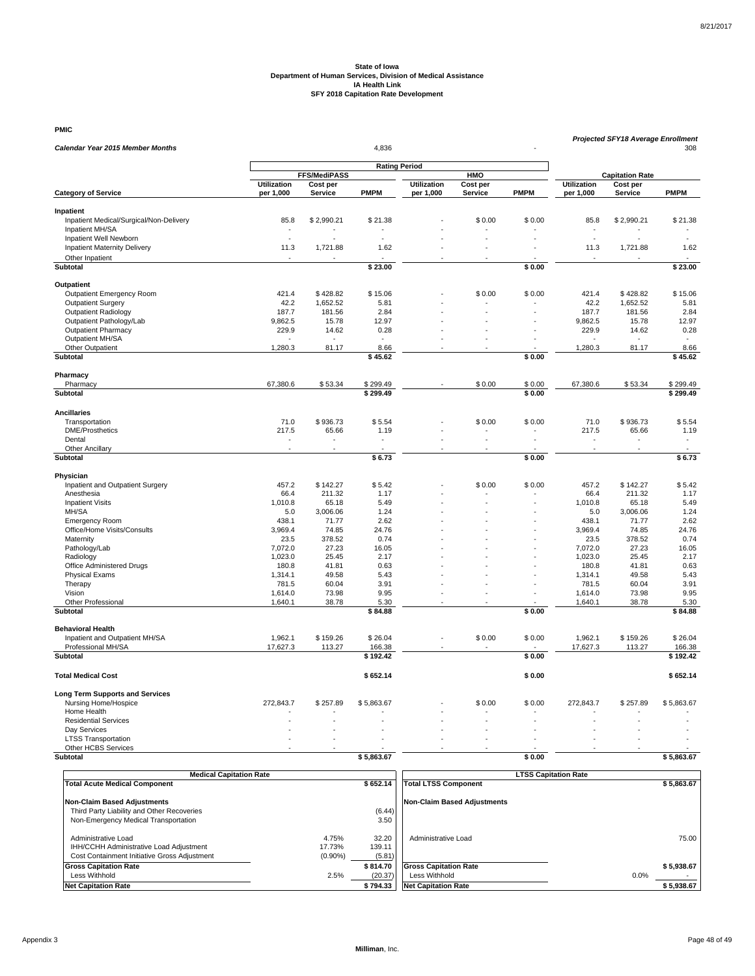**PMIC**

| <b>Rating Period</b><br>FFS/MediPASS<br><b>HMO</b><br><b>Capitation Rate</b><br><b>Utilization</b><br>Cost per<br><b>Utilization</b><br>Cost per<br><b>Utilization</b><br>Cost per<br><b>PMPM</b><br><b>PMPM</b><br><b>PMPM</b><br><b>Category of Service</b><br>per 1,000<br>Service<br>per 1,000<br>Service<br>Service<br>per 1,000<br>Inpatient<br>Inpatient Medical/Surgical/Non-Delivery<br>\$2,990.21<br>\$0.00<br>\$0.00<br>85.8<br>\$2,990.21<br>85.8<br>\$21.38<br>\$21.38<br>Inpatient MH/SA<br>Inpatient Well Newborn<br><b>Inpatient Maternity Delivery</b><br>11.3<br>1.62<br>1.62<br>1,721.88<br>11.3<br>1,721.88<br>$\overline{a}$<br>Other Inpatient<br>$\overline{\phantom{a}}$<br>\$23.00<br>\$0.00<br>\$23.00<br>Subtotal<br>Outpatient<br>Outpatient Emergency Room<br>421.4<br>\$428.82<br>\$15.06<br>\$0.00<br>\$0.00<br>421.4<br>\$428.82<br>\$15.06<br><b>Outpatient Surgery</b><br>42.2<br>1,652.52<br>5.81<br>42.2<br>1,652.52<br>5.81<br>Outpatient Radiology<br>187.7<br>2.84<br>2.84<br>181.56<br>187.7<br>181.56<br>Outpatient Pathology/Lab<br>9,862.5<br>15.78<br>12.97<br>9,862.5<br>15.78<br>12.97<br><b>Outpatient Pharmacy</b><br>229.9<br>14.62<br>0.28<br>229.9<br>14.62<br>0.28<br>Outpatient MH/SA<br>1,280.3<br>1,280.3<br>8.66<br>Other Outpatient<br>81.17<br>8.66<br>81.17<br><b>Subtotal</b><br>$\sqrt{545.62}$<br>\$0.00<br>\$45.62<br>Pharmacy<br>Pharmacy<br>67,380.6<br>\$53.34<br>\$299.49<br>\$0.00<br>\$0.00<br>67,380.6<br>\$53.34<br>\$299.49<br>Subtotal<br>\$299.49<br>\$0.00<br>\$299.49<br><b>Ancillaries</b><br>71.0<br>\$936.73<br>\$936.73<br>Transportation<br>\$5.54<br>\$0.00<br>\$0.00<br>71.0<br>\$5.54<br>217.5<br>217.5<br><b>DME/Prosthetics</b><br>65.66<br>1.19<br>65.66<br>1.19<br>Dental<br>$\sim$<br>$\sim$<br>٠<br>$\overline{\phantom{a}}$<br>$\overline{\phantom{a}}$<br>٠<br><b>Other Ancillary</b><br><b>Subtotal</b><br>\$6.73<br>\$6.73<br>\$0.00<br>Physician<br>Inpatient and Outpatient Surgery<br>457.2<br>\$142.27<br>\$5.42<br>\$0.00<br>\$0.00<br>457.2<br>\$142.27<br>\$5.42<br>211.32<br>1.17<br>Anesthesia<br>66.4<br>66.4<br>211.32<br>1.17<br>65.18<br>5.49<br>65.18<br>5.49<br><b>Inpatient Visits</b><br>1,010.8<br>1,010.8<br>1.24<br>MH/SA<br>5.0<br>3,006.06<br>1.24<br>5.0<br>3,006.06<br>2.62<br><b>Emergency Room</b><br>438.1<br>71.77<br>2.62<br>438.1<br>71.77<br>Office/Home Visits/Consults<br>3,969.4<br>74.85<br>24.76<br>3,969.4<br>74.85<br>24.76<br>378.52<br>378.52<br>0.74<br>Maternity<br>23.5<br>0.74<br>23.5<br>Pathology/Lab<br>7,072.0<br>27.23<br>16.05<br>7,072.0<br>27.23<br>16.05<br>1,023.0<br>25.45<br>1,023.0<br>25.45<br>2.17<br>Radiology<br>2.17<br>0.63<br>Office Administered Drugs<br>180.8<br>41.81<br>0.63<br>180.8<br>41.81<br><b>Physical Exams</b><br>1,314.1<br>49.58<br>5.43<br>1,314.1<br>49.58<br>5.43<br>Therapy<br>781.5<br>60.04<br>3.91<br>781.5<br>60.04<br>3.91<br>9.95<br>9.95<br>Vision<br>73.98<br>73.98<br>1,614.0<br>1,614.0<br><b>Other Professional</b><br>1,640.1<br>38.78<br>5.30<br>1,640.1<br>38.78<br>5.30<br>$\overline{a}$<br>÷.<br>\$84.88<br>\$0.00<br><b>Subtotal</b><br>\$84.88<br><b>Behavioral Health</b><br>\$0.00<br>Inpatient and Outpatient MH/SA<br>1,962.1<br>\$159.26<br>\$26.04<br>\$0.00<br>1,962.1<br>\$159.26<br>\$26.04<br>Professional MH/SA<br>17,627.3<br>113.27<br>17,627.3<br>113.27<br>166.38<br>166.38<br>Subtotal<br>\$0.00<br>\$192.42<br>\$192.42<br>\$652.14<br><b>Total Medical Cost</b><br>\$652.14<br>\$0.00<br><b>Long Term Supports and Services</b><br>Nursing Home/Hospice<br>272,843.7<br>\$257.89<br>\$5,863.67<br>\$0.00<br>\$0.00<br>272,843.7<br>\$257.89<br>\$5,863.67<br>Home Health<br><b>Residential Services</b><br>ä,<br>Day Services<br><b>LTSS Transportation</b><br>Other HCBS Services<br>\$5,863.67<br>Subtotal<br>\$5,863.67<br>\$0.00 | <b>Calendar Year 2015 Member Months</b> | 4.836 |  |  |  |  |  |  | <b>Projected SFY18 Average Enrollment</b><br>308 |  |  |  |
|-------------------------------------------------------------------------------------------------------------------------------------------------------------------------------------------------------------------------------------------------------------------------------------------------------------------------------------------------------------------------------------------------------------------------------------------------------------------------------------------------------------------------------------------------------------------------------------------------------------------------------------------------------------------------------------------------------------------------------------------------------------------------------------------------------------------------------------------------------------------------------------------------------------------------------------------------------------------------------------------------------------------------------------------------------------------------------------------------------------------------------------------------------------------------------------------------------------------------------------------------------------------------------------------------------------------------------------------------------------------------------------------------------------------------------------------------------------------------------------------------------------------------------------------------------------------------------------------------------------------------------------------------------------------------------------------------------------------------------------------------------------------------------------------------------------------------------------------------------------------------------------------------------------------------------------------------------------------------------------------------------------------------------------------------------------------------------------------------------------------------------------------------------------------------------------------------------------------------------------------------------------------------------------------------------------------------------------------------------------------------------------------------------------------------------------------------------------------------------------------------------------------------------------------------------------------------------------------------------------------------------------------------------------------------------------------------------------------------------------------------------------------------------------------------------------------------------------------------------------------------------------------------------------------------------------------------------------------------------------------------------------------------------------------------------------------------------------------------------------------------------------------------------------------------------------------------------------------------------------------------------------------------------------------------------------------------------------------------------------------------------------------------------------------------------------------------------------------------------------------------------------------------------------------------------------------------------------------------------------------------------------------------------------------------------------------------------------------------------------------------------------------------------------------------------------------------------------------------------------|-----------------------------------------|-------|--|--|--|--|--|--|--------------------------------------------------|--|--|--|
|                                                                                                                                                                                                                                                                                                                                                                                                                                                                                                                                                                                                                                                                                                                                                                                                                                                                                                                                                                                                                                                                                                                                                                                                                                                                                                                                                                                                                                                                                                                                                                                                                                                                                                                                                                                                                                                                                                                                                                                                                                                                                                                                                                                                                                                                                                                                                                                                                                                                                                                                                                                                                                                                                                                                                                                                                                                                                                                                                                                                                                                                                                                                                                                                                                                                                                                                                                                                                                                                                                                                                                                                                                                                                                                                                                                                                                                             |                                         |       |  |  |  |  |  |  |                                                  |  |  |  |
|                                                                                                                                                                                                                                                                                                                                                                                                                                                                                                                                                                                                                                                                                                                                                                                                                                                                                                                                                                                                                                                                                                                                                                                                                                                                                                                                                                                                                                                                                                                                                                                                                                                                                                                                                                                                                                                                                                                                                                                                                                                                                                                                                                                                                                                                                                                                                                                                                                                                                                                                                                                                                                                                                                                                                                                                                                                                                                                                                                                                                                                                                                                                                                                                                                                                                                                                                                                                                                                                                                                                                                                                                                                                                                                                                                                                                                                             |                                         |       |  |  |  |  |  |  |                                                  |  |  |  |
|                                                                                                                                                                                                                                                                                                                                                                                                                                                                                                                                                                                                                                                                                                                                                                                                                                                                                                                                                                                                                                                                                                                                                                                                                                                                                                                                                                                                                                                                                                                                                                                                                                                                                                                                                                                                                                                                                                                                                                                                                                                                                                                                                                                                                                                                                                                                                                                                                                                                                                                                                                                                                                                                                                                                                                                                                                                                                                                                                                                                                                                                                                                                                                                                                                                                                                                                                                                                                                                                                                                                                                                                                                                                                                                                                                                                                                                             |                                         |       |  |  |  |  |  |  |                                                  |  |  |  |
|                                                                                                                                                                                                                                                                                                                                                                                                                                                                                                                                                                                                                                                                                                                                                                                                                                                                                                                                                                                                                                                                                                                                                                                                                                                                                                                                                                                                                                                                                                                                                                                                                                                                                                                                                                                                                                                                                                                                                                                                                                                                                                                                                                                                                                                                                                                                                                                                                                                                                                                                                                                                                                                                                                                                                                                                                                                                                                                                                                                                                                                                                                                                                                                                                                                                                                                                                                                                                                                                                                                                                                                                                                                                                                                                                                                                                                                             |                                         |       |  |  |  |  |  |  |                                                  |  |  |  |
|                                                                                                                                                                                                                                                                                                                                                                                                                                                                                                                                                                                                                                                                                                                                                                                                                                                                                                                                                                                                                                                                                                                                                                                                                                                                                                                                                                                                                                                                                                                                                                                                                                                                                                                                                                                                                                                                                                                                                                                                                                                                                                                                                                                                                                                                                                                                                                                                                                                                                                                                                                                                                                                                                                                                                                                                                                                                                                                                                                                                                                                                                                                                                                                                                                                                                                                                                                                                                                                                                                                                                                                                                                                                                                                                                                                                                                                             |                                         |       |  |  |  |  |  |  |                                                  |  |  |  |
|                                                                                                                                                                                                                                                                                                                                                                                                                                                                                                                                                                                                                                                                                                                                                                                                                                                                                                                                                                                                                                                                                                                                                                                                                                                                                                                                                                                                                                                                                                                                                                                                                                                                                                                                                                                                                                                                                                                                                                                                                                                                                                                                                                                                                                                                                                                                                                                                                                                                                                                                                                                                                                                                                                                                                                                                                                                                                                                                                                                                                                                                                                                                                                                                                                                                                                                                                                                                                                                                                                                                                                                                                                                                                                                                                                                                                                                             |                                         |       |  |  |  |  |  |  |                                                  |  |  |  |
|                                                                                                                                                                                                                                                                                                                                                                                                                                                                                                                                                                                                                                                                                                                                                                                                                                                                                                                                                                                                                                                                                                                                                                                                                                                                                                                                                                                                                                                                                                                                                                                                                                                                                                                                                                                                                                                                                                                                                                                                                                                                                                                                                                                                                                                                                                                                                                                                                                                                                                                                                                                                                                                                                                                                                                                                                                                                                                                                                                                                                                                                                                                                                                                                                                                                                                                                                                                                                                                                                                                                                                                                                                                                                                                                                                                                                                                             |                                         |       |  |  |  |  |  |  |                                                  |  |  |  |
|                                                                                                                                                                                                                                                                                                                                                                                                                                                                                                                                                                                                                                                                                                                                                                                                                                                                                                                                                                                                                                                                                                                                                                                                                                                                                                                                                                                                                                                                                                                                                                                                                                                                                                                                                                                                                                                                                                                                                                                                                                                                                                                                                                                                                                                                                                                                                                                                                                                                                                                                                                                                                                                                                                                                                                                                                                                                                                                                                                                                                                                                                                                                                                                                                                                                                                                                                                                                                                                                                                                                                                                                                                                                                                                                                                                                                                                             |                                         |       |  |  |  |  |  |  |                                                  |  |  |  |
|                                                                                                                                                                                                                                                                                                                                                                                                                                                                                                                                                                                                                                                                                                                                                                                                                                                                                                                                                                                                                                                                                                                                                                                                                                                                                                                                                                                                                                                                                                                                                                                                                                                                                                                                                                                                                                                                                                                                                                                                                                                                                                                                                                                                                                                                                                                                                                                                                                                                                                                                                                                                                                                                                                                                                                                                                                                                                                                                                                                                                                                                                                                                                                                                                                                                                                                                                                                                                                                                                                                                                                                                                                                                                                                                                                                                                                                             |                                         |       |  |  |  |  |  |  |                                                  |  |  |  |
|                                                                                                                                                                                                                                                                                                                                                                                                                                                                                                                                                                                                                                                                                                                                                                                                                                                                                                                                                                                                                                                                                                                                                                                                                                                                                                                                                                                                                                                                                                                                                                                                                                                                                                                                                                                                                                                                                                                                                                                                                                                                                                                                                                                                                                                                                                                                                                                                                                                                                                                                                                                                                                                                                                                                                                                                                                                                                                                                                                                                                                                                                                                                                                                                                                                                                                                                                                                                                                                                                                                                                                                                                                                                                                                                                                                                                                                             |                                         |       |  |  |  |  |  |  |                                                  |  |  |  |
|                                                                                                                                                                                                                                                                                                                                                                                                                                                                                                                                                                                                                                                                                                                                                                                                                                                                                                                                                                                                                                                                                                                                                                                                                                                                                                                                                                                                                                                                                                                                                                                                                                                                                                                                                                                                                                                                                                                                                                                                                                                                                                                                                                                                                                                                                                                                                                                                                                                                                                                                                                                                                                                                                                                                                                                                                                                                                                                                                                                                                                                                                                                                                                                                                                                                                                                                                                                                                                                                                                                                                                                                                                                                                                                                                                                                                                                             |                                         |       |  |  |  |  |  |  |                                                  |  |  |  |
|                                                                                                                                                                                                                                                                                                                                                                                                                                                                                                                                                                                                                                                                                                                                                                                                                                                                                                                                                                                                                                                                                                                                                                                                                                                                                                                                                                                                                                                                                                                                                                                                                                                                                                                                                                                                                                                                                                                                                                                                                                                                                                                                                                                                                                                                                                                                                                                                                                                                                                                                                                                                                                                                                                                                                                                                                                                                                                                                                                                                                                                                                                                                                                                                                                                                                                                                                                                                                                                                                                                                                                                                                                                                                                                                                                                                                                                             |                                         |       |  |  |  |  |  |  |                                                  |  |  |  |
|                                                                                                                                                                                                                                                                                                                                                                                                                                                                                                                                                                                                                                                                                                                                                                                                                                                                                                                                                                                                                                                                                                                                                                                                                                                                                                                                                                                                                                                                                                                                                                                                                                                                                                                                                                                                                                                                                                                                                                                                                                                                                                                                                                                                                                                                                                                                                                                                                                                                                                                                                                                                                                                                                                                                                                                                                                                                                                                                                                                                                                                                                                                                                                                                                                                                                                                                                                                                                                                                                                                                                                                                                                                                                                                                                                                                                                                             |                                         |       |  |  |  |  |  |  |                                                  |  |  |  |
|                                                                                                                                                                                                                                                                                                                                                                                                                                                                                                                                                                                                                                                                                                                                                                                                                                                                                                                                                                                                                                                                                                                                                                                                                                                                                                                                                                                                                                                                                                                                                                                                                                                                                                                                                                                                                                                                                                                                                                                                                                                                                                                                                                                                                                                                                                                                                                                                                                                                                                                                                                                                                                                                                                                                                                                                                                                                                                                                                                                                                                                                                                                                                                                                                                                                                                                                                                                                                                                                                                                                                                                                                                                                                                                                                                                                                                                             |                                         |       |  |  |  |  |  |  |                                                  |  |  |  |
|                                                                                                                                                                                                                                                                                                                                                                                                                                                                                                                                                                                                                                                                                                                                                                                                                                                                                                                                                                                                                                                                                                                                                                                                                                                                                                                                                                                                                                                                                                                                                                                                                                                                                                                                                                                                                                                                                                                                                                                                                                                                                                                                                                                                                                                                                                                                                                                                                                                                                                                                                                                                                                                                                                                                                                                                                                                                                                                                                                                                                                                                                                                                                                                                                                                                                                                                                                                                                                                                                                                                                                                                                                                                                                                                                                                                                                                             |                                         |       |  |  |  |  |  |  |                                                  |  |  |  |
|                                                                                                                                                                                                                                                                                                                                                                                                                                                                                                                                                                                                                                                                                                                                                                                                                                                                                                                                                                                                                                                                                                                                                                                                                                                                                                                                                                                                                                                                                                                                                                                                                                                                                                                                                                                                                                                                                                                                                                                                                                                                                                                                                                                                                                                                                                                                                                                                                                                                                                                                                                                                                                                                                                                                                                                                                                                                                                                                                                                                                                                                                                                                                                                                                                                                                                                                                                                                                                                                                                                                                                                                                                                                                                                                                                                                                                                             |                                         |       |  |  |  |  |  |  |                                                  |  |  |  |
|                                                                                                                                                                                                                                                                                                                                                                                                                                                                                                                                                                                                                                                                                                                                                                                                                                                                                                                                                                                                                                                                                                                                                                                                                                                                                                                                                                                                                                                                                                                                                                                                                                                                                                                                                                                                                                                                                                                                                                                                                                                                                                                                                                                                                                                                                                                                                                                                                                                                                                                                                                                                                                                                                                                                                                                                                                                                                                                                                                                                                                                                                                                                                                                                                                                                                                                                                                                                                                                                                                                                                                                                                                                                                                                                                                                                                                                             |                                         |       |  |  |  |  |  |  |                                                  |  |  |  |
|                                                                                                                                                                                                                                                                                                                                                                                                                                                                                                                                                                                                                                                                                                                                                                                                                                                                                                                                                                                                                                                                                                                                                                                                                                                                                                                                                                                                                                                                                                                                                                                                                                                                                                                                                                                                                                                                                                                                                                                                                                                                                                                                                                                                                                                                                                                                                                                                                                                                                                                                                                                                                                                                                                                                                                                                                                                                                                                                                                                                                                                                                                                                                                                                                                                                                                                                                                                                                                                                                                                                                                                                                                                                                                                                                                                                                                                             |                                         |       |  |  |  |  |  |  |                                                  |  |  |  |
|                                                                                                                                                                                                                                                                                                                                                                                                                                                                                                                                                                                                                                                                                                                                                                                                                                                                                                                                                                                                                                                                                                                                                                                                                                                                                                                                                                                                                                                                                                                                                                                                                                                                                                                                                                                                                                                                                                                                                                                                                                                                                                                                                                                                                                                                                                                                                                                                                                                                                                                                                                                                                                                                                                                                                                                                                                                                                                                                                                                                                                                                                                                                                                                                                                                                                                                                                                                                                                                                                                                                                                                                                                                                                                                                                                                                                                                             |                                         |       |  |  |  |  |  |  |                                                  |  |  |  |
|                                                                                                                                                                                                                                                                                                                                                                                                                                                                                                                                                                                                                                                                                                                                                                                                                                                                                                                                                                                                                                                                                                                                                                                                                                                                                                                                                                                                                                                                                                                                                                                                                                                                                                                                                                                                                                                                                                                                                                                                                                                                                                                                                                                                                                                                                                                                                                                                                                                                                                                                                                                                                                                                                                                                                                                                                                                                                                                                                                                                                                                                                                                                                                                                                                                                                                                                                                                                                                                                                                                                                                                                                                                                                                                                                                                                                                                             |                                         |       |  |  |  |  |  |  |                                                  |  |  |  |
|                                                                                                                                                                                                                                                                                                                                                                                                                                                                                                                                                                                                                                                                                                                                                                                                                                                                                                                                                                                                                                                                                                                                                                                                                                                                                                                                                                                                                                                                                                                                                                                                                                                                                                                                                                                                                                                                                                                                                                                                                                                                                                                                                                                                                                                                                                                                                                                                                                                                                                                                                                                                                                                                                                                                                                                                                                                                                                                                                                                                                                                                                                                                                                                                                                                                                                                                                                                                                                                                                                                                                                                                                                                                                                                                                                                                                                                             |                                         |       |  |  |  |  |  |  |                                                  |  |  |  |
|                                                                                                                                                                                                                                                                                                                                                                                                                                                                                                                                                                                                                                                                                                                                                                                                                                                                                                                                                                                                                                                                                                                                                                                                                                                                                                                                                                                                                                                                                                                                                                                                                                                                                                                                                                                                                                                                                                                                                                                                                                                                                                                                                                                                                                                                                                                                                                                                                                                                                                                                                                                                                                                                                                                                                                                                                                                                                                                                                                                                                                                                                                                                                                                                                                                                                                                                                                                                                                                                                                                                                                                                                                                                                                                                                                                                                                                             |                                         |       |  |  |  |  |  |  |                                                  |  |  |  |
|                                                                                                                                                                                                                                                                                                                                                                                                                                                                                                                                                                                                                                                                                                                                                                                                                                                                                                                                                                                                                                                                                                                                                                                                                                                                                                                                                                                                                                                                                                                                                                                                                                                                                                                                                                                                                                                                                                                                                                                                                                                                                                                                                                                                                                                                                                                                                                                                                                                                                                                                                                                                                                                                                                                                                                                                                                                                                                                                                                                                                                                                                                                                                                                                                                                                                                                                                                                                                                                                                                                                                                                                                                                                                                                                                                                                                                                             |                                         |       |  |  |  |  |  |  |                                                  |  |  |  |
|                                                                                                                                                                                                                                                                                                                                                                                                                                                                                                                                                                                                                                                                                                                                                                                                                                                                                                                                                                                                                                                                                                                                                                                                                                                                                                                                                                                                                                                                                                                                                                                                                                                                                                                                                                                                                                                                                                                                                                                                                                                                                                                                                                                                                                                                                                                                                                                                                                                                                                                                                                                                                                                                                                                                                                                                                                                                                                                                                                                                                                                                                                                                                                                                                                                                                                                                                                                                                                                                                                                                                                                                                                                                                                                                                                                                                                                             |                                         |       |  |  |  |  |  |  |                                                  |  |  |  |
|                                                                                                                                                                                                                                                                                                                                                                                                                                                                                                                                                                                                                                                                                                                                                                                                                                                                                                                                                                                                                                                                                                                                                                                                                                                                                                                                                                                                                                                                                                                                                                                                                                                                                                                                                                                                                                                                                                                                                                                                                                                                                                                                                                                                                                                                                                                                                                                                                                                                                                                                                                                                                                                                                                                                                                                                                                                                                                                                                                                                                                                                                                                                                                                                                                                                                                                                                                                                                                                                                                                                                                                                                                                                                                                                                                                                                                                             |                                         |       |  |  |  |  |  |  |                                                  |  |  |  |
|                                                                                                                                                                                                                                                                                                                                                                                                                                                                                                                                                                                                                                                                                                                                                                                                                                                                                                                                                                                                                                                                                                                                                                                                                                                                                                                                                                                                                                                                                                                                                                                                                                                                                                                                                                                                                                                                                                                                                                                                                                                                                                                                                                                                                                                                                                                                                                                                                                                                                                                                                                                                                                                                                                                                                                                                                                                                                                                                                                                                                                                                                                                                                                                                                                                                                                                                                                                                                                                                                                                                                                                                                                                                                                                                                                                                                                                             |                                         |       |  |  |  |  |  |  |                                                  |  |  |  |
|                                                                                                                                                                                                                                                                                                                                                                                                                                                                                                                                                                                                                                                                                                                                                                                                                                                                                                                                                                                                                                                                                                                                                                                                                                                                                                                                                                                                                                                                                                                                                                                                                                                                                                                                                                                                                                                                                                                                                                                                                                                                                                                                                                                                                                                                                                                                                                                                                                                                                                                                                                                                                                                                                                                                                                                                                                                                                                                                                                                                                                                                                                                                                                                                                                                                                                                                                                                                                                                                                                                                                                                                                                                                                                                                                                                                                                                             |                                         |       |  |  |  |  |  |  |                                                  |  |  |  |
|                                                                                                                                                                                                                                                                                                                                                                                                                                                                                                                                                                                                                                                                                                                                                                                                                                                                                                                                                                                                                                                                                                                                                                                                                                                                                                                                                                                                                                                                                                                                                                                                                                                                                                                                                                                                                                                                                                                                                                                                                                                                                                                                                                                                                                                                                                                                                                                                                                                                                                                                                                                                                                                                                                                                                                                                                                                                                                                                                                                                                                                                                                                                                                                                                                                                                                                                                                                                                                                                                                                                                                                                                                                                                                                                                                                                                                                             |                                         |       |  |  |  |  |  |  |                                                  |  |  |  |
|                                                                                                                                                                                                                                                                                                                                                                                                                                                                                                                                                                                                                                                                                                                                                                                                                                                                                                                                                                                                                                                                                                                                                                                                                                                                                                                                                                                                                                                                                                                                                                                                                                                                                                                                                                                                                                                                                                                                                                                                                                                                                                                                                                                                                                                                                                                                                                                                                                                                                                                                                                                                                                                                                                                                                                                                                                                                                                                                                                                                                                                                                                                                                                                                                                                                                                                                                                                                                                                                                                                                                                                                                                                                                                                                                                                                                                                             |                                         |       |  |  |  |  |  |  |                                                  |  |  |  |
|                                                                                                                                                                                                                                                                                                                                                                                                                                                                                                                                                                                                                                                                                                                                                                                                                                                                                                                                                                                                                                                                                                                                                                                                                                                                                                                                                                                                                                                                                                                                                                                                                                                                                                                                                                                                                                                                                                                                                                                                                                                                                                                                                                                                                                                                                                                                                                                                                                                                                                                                                                                                                                                                                                                                                                                                                                                                                                                                                                                                                                                                                                                                                                                                                                                                                                                                                                                                                                                                                                                                                                                                                                                                                                                                                                                                                                                             |                                         |       |  |  |  |  |  |  |                                                  |  |  |  |
|                                                                                                                                                                                                                                                                                                                                                                                                                                                                                                                                                                                                                                                                                                                                                                                                                                                                                                                                                                                                                                                                                                                                                                                                                                                                                                                                                                                                                                                                                                                                                                                                                                                                                                                                                                                                                                                                                                                                                                                                                                                                                                                                                                                                                                                                                                                                                                                                                                                                                                                                                                                                                                                                                                                                                                                                                                                                                                                                                                                                                                                                                                                                                                                                                                                                                                                                                                                                                                                                                                                                                                                                                                                                                                                                                                                                                                                             |                                         |       |  |  |  |  |  |  |                                                  |  |  |  |
|                                                                                                                                                                                                                                                                                                                                                                                                                                                                                                                                                                                                                                                                                                                                                                                                                                                                                                                                                                                                                                                                                                                                                                                                                                                                                                                                                                                                                                                                                                                                                                                                                                                                                                                                                                                                                                                                                                                                                                                                                                                                                                                                                                                                                                                                                                                                                                                                                                                                                                                                                                                                                                                                                                                                                                                                                                                                                                                                                                                                                                                                                                                                                                                                                                                                                                                                                                                                                                                                                                                                                                                                                                                                                                                                                                                                                                                             |                                         |       |  |  |  |  |  |  |                                                  |  |  |  |
|                                                                                                                                                                                                                                                                                                                                                                                                                                                                                                                                                                                                                                                                                                                                                                                                                                                                                                                                                                                                                                                                                                                                                                                                                                                                                                                                                                                                                                                                                                                                                                                                                                                                                                                                                                                                                                                                                                                                                                                                                                                                                                                                                                                                                                                                                                                                                                                                                                                                                                                                                                                                                                                                                                                                                                                                                                                                                                                                                                                                                                                                                                                                                                                                                                                                                                                                                                                                                                                                                                                                                                                                                                                                                                                                                                                                                                                             |                                         |       |  |  |  |  |  |  |                                                  |  |  |  |
|                                                                                                                                                                                                                                                                                                                                                                                                                                                                                                                                                                                                                                                                                                                                                                                                                                                                                                                                                                                                                                                                                                                                                                                                                                                                                                                                                                                                                                                                                                                                                                                                                                                                                                                                                                                                                                                                                                                                                                                                                                                                                                                                                                                                                                                                                                                                                                                                                                                                                                                                                                                                                                                                                                                                                                                                                                                                                                                                                                                                                                                                                                                                                                                                                                                                                                                                                                                                                                                                                                                                                                                                                                                                                                                                                                                                                                                             |                                         |       |  |  |  |  |  |  |                                                  |  |  |  |
|                                                                                                                                                                                                                                                                                                                                                                                                                                                                                                                                                                                                                                                                                                                                                                                                                                                                                                                                                                                                                                                                                                                                                                                                                                                                                                                                                                                                                                                                                                                                                                                                                                                                                                                                                                                                                                                                                                                                                                                                                                                                                                                                                                                                                                                                                                                                                                                                                                                                                                                                                                                                                                                                                                                                                                                                                                                                                                                                                                                                                                                                                                                                                                                                                                                                                                                                                                                                                                                                                                                                                                                                                                                                                                                                                                                                                                                             |                                         |       |  |  |  |  |  |  |                                                  |  |  |  |
|                                                                                                                                                                                                                                                                                                                                                                                                                                                                                                                                                                                                                                                                                                                                                                                                                                                                                                                                                                                                                                                                                                                                                                                                                                                                                                                                                                                                                                                                                                                                                                                                                                                                                                                                                                                                                                                                                                                                                                                                                                                                                                                                                                                                                                                                                                                                                                                                                                                                                                                                                                                                                                                                                                                                                                                                                                                                                                                                                                                                                                                                                                                                                                                                                                                                                                                                                                                                                                                                                                                                                                                                                                                                                                                                                                                                                                                             |                                         |       |  |  |  |  |  |  |                                                  |  |  |  |
|                                                                                                                                                                                                                                                                                                                                                                                                                                                                                                                                                                                                                                                                                                                                                                                                                                                                                                                                                                                                                                                                                                                                                                                                                                                                                                                                                                                                                                                                                                                                                                                                                                                                                                                                                                                                                                                                                                                                                                                                                                                                                                                                                                                                                                                                                                                                                                                                                                                                                                                                                                                                                                                                                                                                                                                                                                                                                                                                                                                                                                                                                                                                                                                                                                                                                                                                                                                                                                                                                                                                                                                                                                                                                                                                                                                                                                                             |                                         |       |  |  |  |  |  |  |                                                  |  |  |  |
|                                                                                                                                                                                                                                                                                                                                                                                                                                                                                                                                                                                                                                                                                                                                                                                                                                                                                                                                                                                                                                                                                                                                                                                                                                                                                                                                                                                                                                                                                                                                                                                                                                                                                                                                                                                                                                                                                                                                                                                                                                                                                                                                                                                                                                                                                                                                                                                                                                                                                                                                                                                                                                                                                                                                                                                                                                                                                                                                                                                                                                                                                                                                                                                                                                                                                                                                                                                                                                                                                                                                                                                                                                                                                                                                                                                                                                                             |                                         |       |  |  |  |  |  |  |                                                  |  |  |  |
|                                                                                                                                                                                                                                                                                                                                                                                                                                                                                                                                                                                                                                                                                                                                                                                                                                                                                                                                                                                                                                                                                                                                                                                                                                                                                                                                                                                                                                                                                                                                                                                                                                                                                                                                                                                                                                                                                                                                                                                                                                                                                                                                                                                                                                                                                                                                                                                                                                                                                                                                                                                                                                                                                                                                                                                                                                                                                                                                                                                                                                                                                                                                                                                                                                                                                                                                                                                                                                                                                                                                                                                                                                                                                                                                                                                                                                                             |                                         |       |  |  |  |  |  |  |                                                  |  |  |  |
|                                                                                                                                                                                                                                                                                                                                                                                                                                                                                                                                                                                                                                                                                                                                                                                                                                                                                                                                                                                                                                                                                                                                                                                                                                                                                                                                                                                                                                                                                                                                                                                                                                                                                                                                                                                                                                                                                                                                                                                                                                                                                                                                                                                                                                                                                                                                                                                                                                                                                                                                                                                                                                                                                                                                                                                                                                                                                                                                                                                                                                                                                                                                                                                                                                                                                                                                                                                                                                                                                                                                                                                                                                                                                                                                                                                                                                                             |                                         |       |  |  |  |  |  |  |                                                  |  |  |  |
|                                                                                                                                                                                                                                                                                                                                                                                                                                                                                                                                                                                                                                                                                                                                                                                                                                                                                                                                                                                                                                                                                                                                                                                                                                                                                                                                                                                                                                                                                                                                                                                                                                                                                                                                                                                                                                                                                                                                                                                                                                                                                                                                                                                                                                                                                                                                                                                                                                                                                                                                                                                                                                                                                                                                                                                                                                                                                                                                                                                                                                                                                                                                                                                                                                                                                                                                                                                                                                                                                                                                                                                                                                                                                                                                                                                                                                                             |                                         |       |  |  |  |  |  |  |                                                  |  |  |  |
|                                                                                                                                                                                                                                                                                                                                                                                                                                                                                                                                                                                                                                                                                                                                                                                                                                                                                                                                                                                                                                                                                                                                                                                                                                                                                                                                                                                                                                                                                                                                                                                                                                                                                                                                                                                                                                                                                                                                                                                                                                                                                                                                                                                                                                                                                                                                                                                                                                                                                                                                                                                                                                                                                                                                                                                                                                                                                                                                                                                                                                                                                                                                                                                                                                                                                                                                                                                                                                                                                                                                                                                                                                                                                                                                                                                                                                                             |                                         |       |  |  |  |  |  |  |                                                  |  |  |  |
|                                                                                                                                                                                                                                                                                                                                                                                                                                                                                                                                                                                                                                                                                                                                                                                                                                                                                                                                                                                                                                                                                                                                                                                                                                                                                                                                                                                                                                                                                                                                                                                                                                                                                                                                                                                                                                                                                                                                                                                                                                                                                                                                                                                                                                                                                                                                                                                                                                                                                                                                                                                                                                                                                                                                                                                                                                                                                                                                                                                                                                                                                                                                                                                                                                                                                                                                                                                                                                                                                                                                                                                                                                                                                                                                                                                                                                                             |                                         |       |  |  |  |  |  |  |                                                  |  |  |  |
|                                                                                                                                                                                                                                                                                                                                                                                                                                                                                                                                                                                                                                                                                                                                                                                                                                                                                                                                                                                                                                                                                                                                                                                                                                                                                                                                                                                                                                                                                                                                                                                                                                                                                                                                                                                                                                                                                                                                                                                                                                                                                                                                                                                                                                                                                                                                                                                                                                                                                                                                                                                                                                                                                                                                                                                                                                                                                                                                                                                                                                                                                                                                                                                                                                                                                                                                                                                                                                                                                                                                                                                                                                                                                                                                                                                                                                                             |                                         |       |  |  |  |  |  |  |                                                  |  |  |  |
|                                                                                                                                                                                                                                                                                                                                                                                                                                                                                                                                                                                                                                                                                                                                                                                                                                                                                                                                                                                                                                                                                                                                                                                                                                                                                                                                                                                                                                                                                                                                                                                                                                                                                                                                                                                                                                                                                                                                                                                                                                                                                                                                                                                                                                                                                                                                                                                                                                                                                                                                                                                                                                                                                                                                                                                                                                                                                                                                                                                                                                                                                                                                                                                                                                                                                                                                                                                                                                                                                                                                                                                                                                                                                                                                                                                                                                                             |                                         |       |  |  |  |  |  |  |                                                  |  |  |  |
|                                                                                                                                                                                                                                                                                                                                                                                                                                                                                                                                                                                                                                                                                                                                                                                                                                                                                                                                                                                                                                                                                                                                                                                                                                                                                                                                                                                                                                                                                                                                                                                                                                                                                                                                                                                                                                                                                                                                                                                                                                                                                                                                                                                                                                                                                                                                                                                                                                                                                                                                                                                                                                                                                                                                                                                                                                                                                                                                                                                                                                                                                                                                                                                                                                                                                                                                                                                                                                                                                                                                                                                                                                                                                                                                                                                                                                                             |                                         |       |  |  |  |  |  |  |                                                  |  |  |  |
|                                                                                                                                                                                                                                                                                                                                                                                                                                                                                                                                                                                                                                                                                                                                                                                                                                                                                                                                                                                                                                                                                                                                                                                                                                                                                                                                                                                                                                                                                                                                                                                                                                                                                                                                                                                                                                                                                                                                                                                                                                                                                                                                                                                                                                                                                                                                                                                                                                                                                                                                                                                                                                                                                                                                                                                                                                                                                                                                                                                                                                                                                                                                                                                                                                                                                                                                                                                                                                                                                                                                                                                                                                                                                                                                                                                                                                                             |                                         |       |  |  |  |  |  |  |                                                  |  |  |  |
|                                                                                                                                                                                                                                                                                                                                                                                                                                                                                                                                                                                                                                                                                                                                                                                                                                                                                                                                                                                                                                                                                                                                                                                                                                                                                                                                                                                                                                                                                                                                                                                                                                                                                                                                                                                                                                                                                                                                                                                                                                                                                                                                                                                                                                                                                                                                                                                                                                                                                                                                                                                                                                                                                                                                                                                                                                                                                                                                                                                                                                                                                                                                                                                                                                                                                                                                                                                                                                                                                                                                                                                                                                                                                                                                                                                                                                                             |                                         |       |  |  |  |  |  |  |                                                  |  |  |  |
|                                                                                                                                                                                                                                                                                                                                                                                                                                                                                                                                                                                                                                                                                                                                                                                                                                                                                                                                                                                                                                                                                                                                                                                                                                                                                                                                                                                                                                                                                                                                                                                                                                                                                                                                                                                                                                                                                                                                                                                                                                                                                                                                                                                                                                                                                                                                                                                                                                                                                                                                                                                                                                                                                                                                                                                                                                                                                                                                                                                                                                                                                                                                                                                                                                                                                                                                                                                                                                                                                                                                                                                                                                                                                                                                                                                                                                                             |                                         |       |  |  |  |  |  |  |                                                  |  |  |  |
|                                                                                                                                                                                                                                                                                                                                                                                                                                                                                                                                                                                                                                                                                                                                                                                                                                                                                                                                                                                                                                                                                                                                                                                                                                                                                                                                                                                                                                                                                                                                                                                                                                                                                                                                                                                                                                                                                                                                                                                                                                                                                                                                                                                                                                                                                                                                                                                                                                                                                                                                                                                                                                                                                                                                                                                                                                                                                                                                                                                                                                                                                                                                                                                                                                                                                                                                                                                                                                                                                                                                                                                                                                                                                                                                                                                                                                                             |                                         |       |  |  |  |  |  |  |                                                  |  |  |  |
|                                                                                                                                                                                                                                                                                                                                                                                                                                                                                                                                                                                                                                                                                                                                                                                                                                                                                                                                                                                                                                                                                                                                                                                                                                                                                                                                                                                                                                                                                                                                                                                                                                                                                                                                                                                                                                                                                                                                                                                                                                                                                                                                                                                                                                                                                                                                                                                                                                                                                                                                                                                                                                                                                                                                                                                                                                                                                                                                                                                                                                                                                                                                                                                                                                                                                                                                                                                                                                                                                                                                                                                                                                                                                                                                                                                                                                                             |                                         |       |  |  |  |  |  |  |                                                  |  |  |  |
|                                                                                                                                                                                                                                                                                                                                                                                                                                                                                                                                                                                                                                                                                                                                                                                                                                                                                                                                                                                                                                                                                                                                                                                                                                                                                                                                                                                                                                                                                                                                                                                                                                                                                                                                                                                                                                                                                                                                                                                                                                                                                                                                                                                                                                                                                                                                                                                                                                                                                                                                                                                                                                                                                                                                                                                                                                                                                                                                                                                                                                                                                                                                                                                                                                                                                                                                                                                                                                                                                                                                                                                                                                                                                                                                                                                                                                                             |                                         |       |  |  |  |  |  |  |                                                  |  |  |  |
|                                                                                                                                                                                                                                                                                                                                                                                                                                                                                                                                                                                                                                                                                                                                                                                                                                                                                                                                                                                                                                                                                                                                                                                                                                                                                                                                                                                                                                                                                                                                                                                                                                                                                                                                                                                                                                                                                                                                                                                                                                                                                                                                                                                                                                                                                                                                                                                                                                                                                                                                                                                                                                                                                                                                                                                                                                                                                                                                                                                                                                                                                                                                                                                                                                                                                                                                                                                                                                                                                                                                                                                                                                                                                                                                                                                                                                                             |                                         |       |  |  |  |  |  |  |                                                  |  |  |  |
|                                                                                                                                                                                                                                                                                                                                                                                                                                                                                                                                                                                                                                                                                                                                                                                                                                                                                                                                                                                                                                                                                                                                                                                                                                                                                                                                                                                                                                                                                                                                                                                                                                                                                                                                                                                                                                                                                                                                                                                                                                                                                                                                                                                                                                                                                                                                                                                                                                                                                                                                                                                                                                                                                                                                                                                                                                                                                                                                                                                                                                                                                                                                                                                                                                                                                                                                                                                                                                                                                                                                                                                                                                                                                                                                                                                                                                                             |                                         |       |  |  |  |  |  |  |                                                  |  |  |  |
|                                                                                                                                                                                                                                                                                                                                                                                                                                                                                                                                                                                                                                                                                                                                                                                                                                                                                                                                                                                                                                                                                                                                                                                                                                                                                                                                                                                                                                                                                                                                                                                                                                                                                                                                                                                                                                                                                                                                                                                                                                                                                                                                                                                                                                                                                                                                                                                                                                                                                                                                                                                                                                                                                                                                                                                                                                                                                                                                                                                                                                                                                                                                                                                                                                                                                                                                                                                                                                                                                                                                                                                                                                                                                                                                                                                                                                                             |                                         |       |  |  |  |  |  |  |                                                  |  |  |  |
|                                                                                                                                                                                                                                                                                                                                                                                                                                                                                                                                                                                                                                                                                                                                                                                                                                                                                                                                                                                                                                                                                                                                                                                                                                                                                                                                                                                                                                                                                                                                                                                                                                                                                                                                                                                                                                                                                                                                                                                                                                                                                                                                                                                                                                                                                                                                                                                                                                                                                                                                                                                                                                                                                                                                                                                                                                                                                                                                                                                                                                                                                                                                                                                                                                                                                                                                                                                                                                                                                                                                                                                                                                                                                                                                                                                                                                                             |                                         |       |  |  |  |  |  |  |                                                  |  |  |  |

| <b>Medical Capitation Rate</b>                                                                                 |                               |                           | <b>LTSS Capitation Rate</b>  |            |
|----------------------------------------------------------------------------------------------------------------|-------------------------------|---------------------------|------------------------------|------------|
| <b>Total Acute Medical Component</b>                                                                           |                               | \$652.14                  | <b>Total LTSS Component</b>  | \$5,863.67 |
| <b>Non-Claim Based Adjustments</b>                                                                             |                               |                           | Non-Claim Based Adiustments  |            |
| Third Party Liability and Other Recoveries                                                                     |                               | (6.44)                    |                              |            |
| Non-Emergency Medical Transportation                                                                           |                               | 3.50                      |                              |            |
| Administrative Load<br>IHH/CCHH Administrative Load Adjustment<br>Cost Containment Initiative Gross Adjustment | 4.75%<br>17.73%<br>$(0.90\%)$ | 32.20<br>139.11<br>(5.81) | Administrative Load          | 75.00      |
| <b>Gross Capitation Rate</b>                                                                                   |                               | \$814.70                  | <b>Gross Capitation Rate</b> | \$5.938.67 |
| Less Withhold                                                                                                  | 2.5%                          | (20.37)                   | Less Withhold                | 0.0%       |
| <b>Net Capitation Rate</b>                                                                                     |                               | \$794.33                  | <b>Net Capitation Rate</b>   | \$5,938.67 |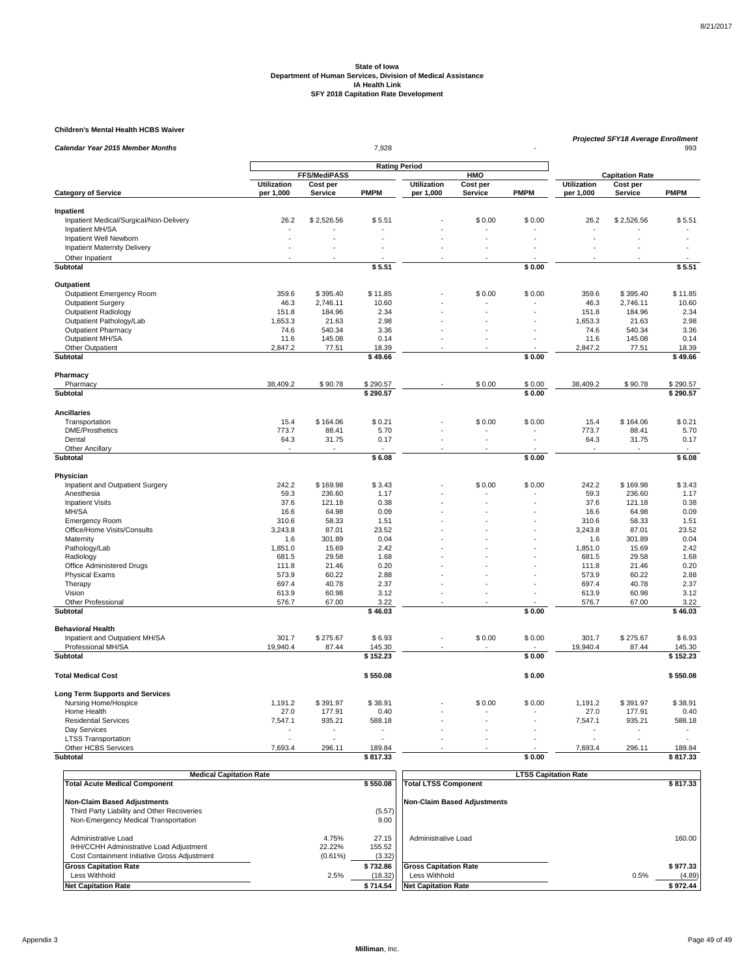### **Children's Mental Health HCBS Waiver**

| <b>Calendar Year 2015 Member Months</b>    | 7,928<br><b>Rating Period</b> |                                 |              |                    |                      |             |                    | <b>Projected SFY18 Average Enrollment</b><br>993 |              |  |  |
|--------------------------------------------|-------------------------------|---------------------------------|--------------|--------------------|----------------------|-------------|--------------------|--------------------------------------------------|--------------|--|--|
|                                            |                               |                                 |              |                    |                      |             |                    |                                                  |              |  |  |
|                                            |                               |                                 |              |                    |                      |             |                    |                                                  |              |  |  |
|                                            | <b>Utilization</b>            | <b>FFS/MediPASS</b><br>Cost per |              | <b>Utilization</b> | HMO<br>Cost per      |             | <b>Utilization</b> | <b>Capitation Rate</b><br>Cost per               |              |  |  |
| <b>Category of Service</b>                 | per 1,000                     | Service                         | <b>PMPM</b>  | per 1,000          | <b>Service</b>       | <b>PMPM</b> | per 1,000          | <b>Service</b>                                   | <b>PMPM</b>  |  |  |
| Inpatient                                  |                               |                                 |              |                    |                      |             |                    |                                                  |              |  |  |
| Inpatient Medical/Surgical/Non-Delivery    | 26.2                          | \$2,526.56                      | \$5.51       |                    | \$0.00               | \$0.00      | 26.2               | \$2,526.56                                       | \$5.51       |  |  |
| Inpatient MH/SA                            | $\ddot{\phantom{1}}$          |                                 |              |                    |                      |             |                    |                                                  |              |  |  |
| Inpatient Well Newborn                     | ÷.                            |                                 |              |                    |                      |             |                    |                                                  |              |  |  |
| <b>Inpatient Maternity Delivery</b>        |                               |                                 |              |                    |                      |             |                    |                                                  |              |  |  |
| Other Inpatient                            |                               |                                 |              |                    |                      |             |                    |                                                  |              |  |  |
| Subtotal                                   |                               |                                 | \$5.51       |                    |                      | \$0.00      |                    |                                                  | \$5.51       |  |  |
| Outpatient                                 |                               |                                 |              |                    |                      |             |                    |                                                  |              |  |  |
| <b>Outpatient Emergency Room</b>           | 359.6                         | \$395.40                        | \$11.85      |                    | \$0.00               | \$0.00      | 359.6              | \$395.40                                         | \$11.85      |  |  |
| <b>Outpatient Surgery</b>                  | 46.3                          | 2,746.11                        | 10.60        |                    |                      |             | 46.3               | 2,746.11                                         | 10.60        |  |  |
| <b>Outpatient Radiology</b>                | 151.8                         | 184.96                          | 2.34         |                    |                      |             | 151.8              | 184.96                                           | 2.34         |  |  |
| Outpatient Pathology/Lab                   | 1.653.3                       | 21.63                           | 2.98         |                    |                      |             | 1.653.3            | 21.63                                            | 2.98         |  |  |
| <b>Outpatient Pharmacy</b>                 | 74.6                          | 540.34                          | 3.36         |                    |                      |             | 74.6               | 540.34                                           | 3.36         |  |  |
| Outpatient MH/SA                           | 11.6                          | 145.08                          | 0.14         |                    |                      |             | 11.6               | 145.08                                           | 0.14         |  |  |
| Other Outpatient                           | 2,847.2                       | 77.51                           | 18.39        |                    |                      |             | 2,847.2            | 77.51                                            | 18.39        |  |  |
| Subtotal                                   |                               |                                 | \$49.66      |                    |                      | \$0.00      |                    |                                                  | \$49.66      |  |  |
| Pharmacy                                   |                               |                                 |              |                    |                      |             |                    |                                                  |              |  |  |
| Pharmacy                                   | 38,409.2                      | \$90.78                         | \$290.57     |                    | \$0.00               | \$0.00      | 38,409.2           | \$90.78                                          | \$290.57     |  |  |
| Subtotal                                   |                               |                                 | \$290.57     |                    |                      | \$0.00      |                    |                                                  | \$290.57     |  |  |
| <b>Ancillaries</b>                         |                               |                                 |              |                    |                      |             |                    |                                                  |              |  |  |
| Transportation                             | 15.4                          | \$164.06                        | \$0.21       |                    | \$0.00               | \$0.00      | 15.4               | \$164.06                                         | \$0.21       |  |  |
| <b>DME/Prosthetics</b>                     | 773.7                         | 88.41                           | 5.70         |                    |                      |             | 773.7              | 88.41                                            | 5.70         |  |  |
| Dental                                     | 64.3                          | 31.75                           | 0.17         |                    | ÷.                   | ÷.          | 64.3               | 31.75                                            | 0.17         |  |  |
| Other Ancillary                            |                               |                                 |              |                    |                      |             |                    |                                                  |              |  |  |
| Subtotal                                   |                               |                                 | \$6.08       |                    |                      | \$0.00      |                    |                                                  | \$6.08       |  |  |
| Physician                                  |                               |                                 |              |                    |                      |             |                    |                                                  |              |  |  |
| Inpatient and Outpatient Surgery           | 242.2                         | \$169.98                        | \$3.43       |                    | \$0.00               | \$0.00      | 242.2              | \$169.98                                         | \$3.43       |  |  |
| Anesthesia                                 | 59.3                          | 236.60                          | 1.17         |                    |                      |             | 59.3               | 236.60                                           | 1.17         |  |  |
| <b>Inpatient Visits</b>                    | 37.6                          | 121.18                          | 0.38         |                    |                      |             | 37.6               | 121.18                                           | 0.38         |  |  |
| MH/SA                                      | 16.6                          | 64.98                           | 0.09         |                    |                      |             | 16.6               | 64.98                                            | 0.09         |  |  |
| <b>Emergency Room</b>                      | 310.6                         | 58.33                           | 1.51         |                    |                      |             | 310.6              | 58.33                                            | 1.51         |  |  |
| Office/Home Visits/Consults                | 3,243.8                       | 87.01                           | 23.52        |                    |                      |             | 3,243.8            | 87.01                                            | 23.52        |  |  |
| Maternity                                  | 1.6                           | 301.89                          | 0.04         |                    |                      |             | 1.6                | 301.89                                           | 0.04         |  |  |
| Pathology/Lab                              | 1,851.0                       | 15.69                           | 2.42         |                    |                      |             | 1.851.0            | 15.69                                            | 2.42         |  |  |
| Radiology                                  | 681.5                         | 29.58                           | 1.68         |                    |                      |             | 681.5              | 29.58                                            | 1.68         |  |  |
| Office Administered Drugs                  | 111.8                         | 21.46                           | 0.20         |                    |                      |             | 111.8              | 21.46                                            | 0.20         |  |  |
| <b>Physical Exams</b><br>Therapy           | 573.9<br>697.4                | 60.22<br>40.78                  | 2.88<br>2.37 |                    |                      |             | 573.9<br>697.4     | 60.22<br>40.78                                   | 2.88<br>2.37 |  |  |
| Vision                                     | 613.9                         | 60.98                           | 3.12         |                    | $\ddot{\phantom{1}}$ |             | 613.9              | 60.98                                            | 3.12         |  |  |
| Other Professional                         | 576.7                         | 67.00                           | 3.22         |                    |                      |             | 576.7              | 67.00                                            | 3.22         |  |  |
| <b>Subtotal</b>                            |                               |                                 | \$46.03      |                    |                      | \$0.00      |                    |                                                  | \$46.03      |  |  |
| <b>Behavioral Health</b>                   |                               |                                 |              |                    |                      |             |                    |                                                  |              |  |  |
| Inpatient and Outpatient MH/SA             | 301.7                         | \$275.67                        | \$6.93       |                    | \$0.00               | \$0.00      | 301.7              | \$275.67                                         | \$6.93       |  |  |
| Professional MH/SA                         | 19.940.4                      | 87.44                           | 145.30       |                    |                      |             | 19.940.4           | 87.44                                            | 145.30       |  |  |
| Subtotal                                   |                               |                                 | \$152.23     |                    |                      | 50.00       |                    |                                                  | \$152.23     |  |  |
|                                            |                               |                                 |              |                    |                      |             |                    |                                                  |              |  |  |
| <b>Total Medical Cost</b>                  |                               |                                 | \$550.08     |                    |                      | \$0.00      |                    |                                                  | \$550.08     |  |  |
| <b>Long Term Supports and Services</b>     |                               |                                 |              |                    |                      |             |                    |                                                  |              |  |  |
| Nursing Home/Hospice                       | 1,191.2                       | \$391.97                        | \$38.91      |                    | \$0.00               | \$0.00      | 1,191.2            | \$391.97                                         | \$38.91      |  |  |
| Home Health                                | 27.0                          | 177.91                          | 0.40         |                    |                      |             | 27.0               | 177.91                                           | 0.40         |  |  |
| <b>Residential Services</b>                | 7,547.1                       | 935.21                          | 588.18       |                    |                      |             | 7,547.1            | 935.21                                           | 588.18       |  |  |
| Day Services<br><b>LTSS Transportation</b> |                               |                                 |              |                    |                      |             |                    |                                                  |              |  |  |
| Other HCBS Services                        | 7,693.4                       | 296.11                          | 189.84       |                    |                      |             | 7,693.4            | 296.11                                           | 189.84       |  |  |
| Subtotal                                   |                               |                                 | \$817.33     |                    |                      | \$0.00      |                    |                                                  | \$817.33     |  |  |
|                                            |                               |                                 |              |                    |                      |             |                    |                                                  |              |  |  |

| <b>Medical Capitation Rate</b>                                                                                 |                               |                           | <b>LTSS Capitation Rate</b>        |                |
|----------------------------------------------------------------------------------------------------------------|-------------------------------|---------------------------|------------------------------------|----------------|
| <b>Total Acute Medical Component</b>                                                                           |                               | \$550.08                  | <b>Total LTSS Component</b>        | \$817.33       |
| <b>Non-Claim Based Adjustments</b>                                                                             |                               |                           | <b>Non-Claim Based Adjustments</b> |                |
| Third Party Liability and Other Recoveries                                                                     |                               | (5.57)                    |                                    |                |
| Non-Emergency Medical Transportation                                                                           |                               | 9.00                      |                                    |                |
| Administrative Load<br>IHH/CCHH Administrative Load Adjustment<br>Cost Containment Initiative Gross Adjustment | 4.75%<br>22.22%<br>$(0.61\%)$ | 27.15<br>155.52<br>(3.32) | Administrative Load                | 160.00         |
| <b>Gross Capitation Rate</b>                                                                                   |                               | \$732.86                  | <b>Gross Capitation Rate</b>       | \$977.33       |
| Less Withhold                                                                                                  | 2.5%                          | (18.32)                   | Less Withhold                      | (4.89)<br>0.5% |
| <b>Net Capitation Rate</b>                                                                                     |                               | \$714.54                  | <b>Net Capitation Rate</b>         | \$972.44       |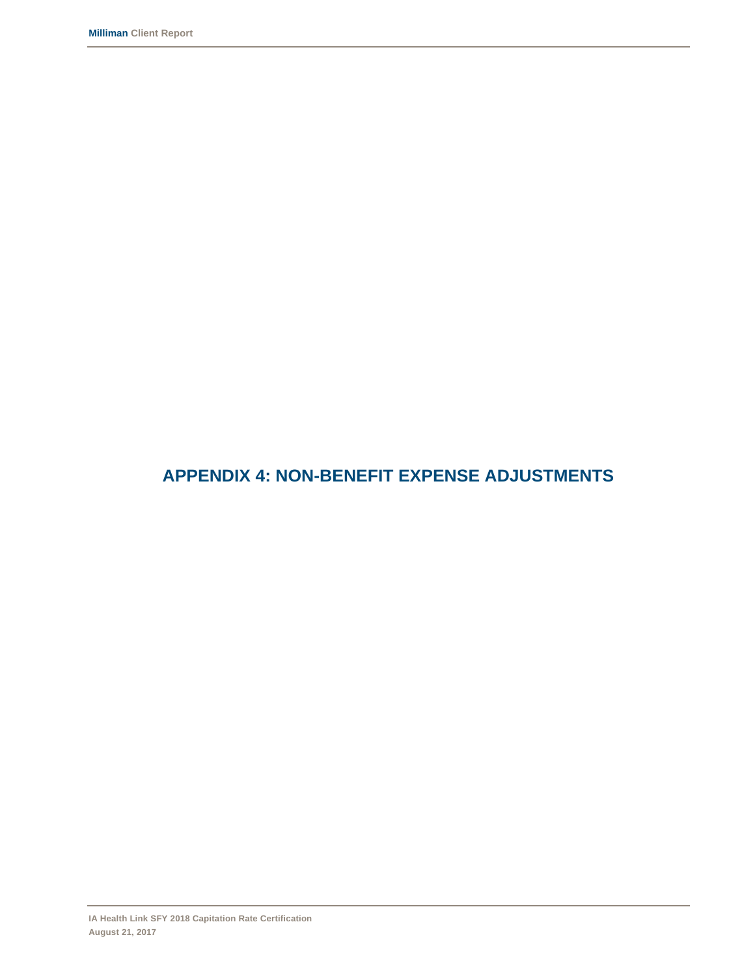### **APPENDIX 4: NON-BENEFIT EXPENSE ADJUSTMENTS**